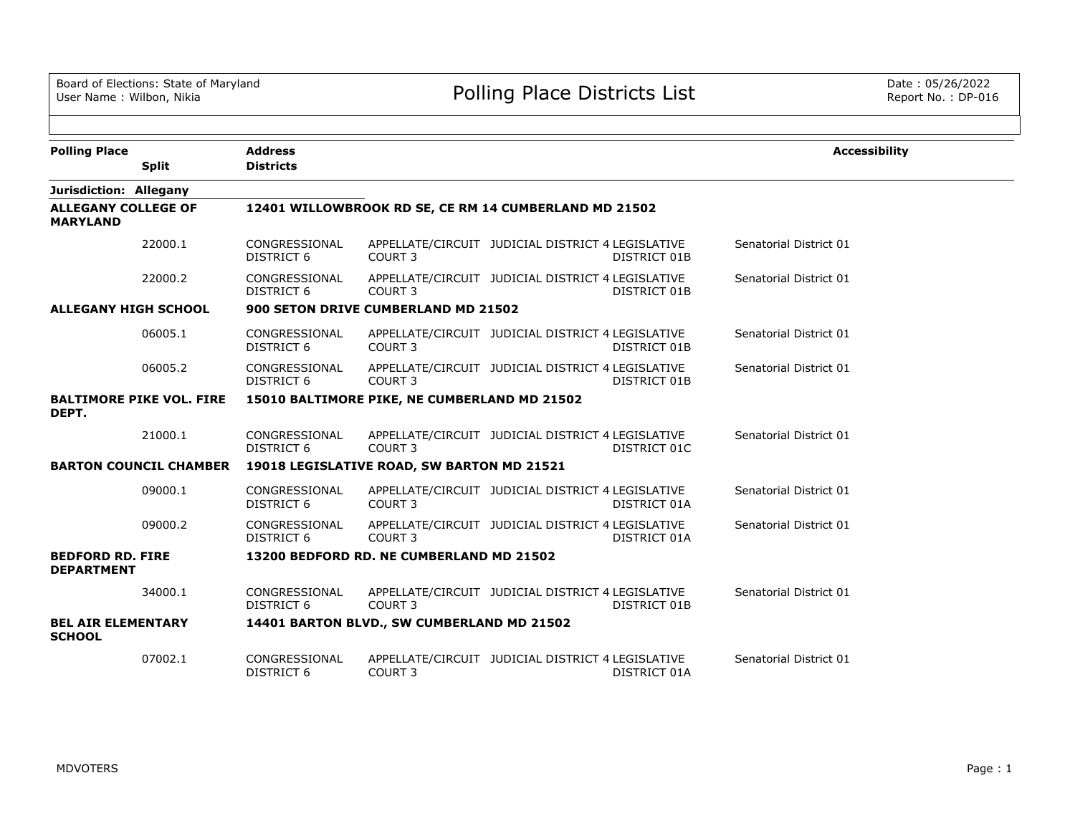| <b>Polling Place</b><br><b>Split</b>          | <b>Address</b><br><b>Districts</b> |                                                       |                                                   |                     | <b>Accessibility</b>   |
|-----------------------------------------------|------------------------------------|-------------------------------------------------------|---------------------------------------------------|---------------------|------------------------|
| Jurisdiction: Allegany                        |                                    |                                                       |                                                   |                     |                        |
| <b>ALLEGANY COLLEGE OF</b><br><b>MARYLAND</b> |                                    | 12401 WILLOWBROOK RD SE, CE RM 14 CUMBERLAND MD 21502 |                                                   |                     |                        |
| 22000.1                                       | CONGRESSIONAL<br>DISTRICT 6        | COURT <sub>3</sub>                                    | APPELLATE/CIRCUIT JUDICIAL DISTRICT 4 LEGISLATIVE | DISTRICT 01B        | Senatorial District 01 |
| 22000.2                                       | CONGRESSIONAL<br>DISTRICT 6        | COURT <sub>3</sub>                                    | APPELLATE/CIRCUIT JUDICIAL DISTRICT 4 LEGISLATIVE | DISTRICT 01B        | Senatorial District 01 |
| <b>ALLEGANY HIGH SCHOOL</b>                   |                                    | 900 SETON DRIVE CUMBERLAND MD 21502                   |                                                   |                     |                        |
| 06005.1                                       | CONGRESSIONAL<br><b>DISTRICT 6</b> | COURT <sub>3</sub>                                    | APPELLATE/CIRCUIT JUDICIAL DISTRICT 4 LEGISLATIVE | DISTRICT 01B        | Senatorial District 01 |
| 06005.2                                       | CONGRESSIONAL<br>DISTRICT 6        | COURT <sub>3</sub>                                    | APPELLATE/CIRCUIT JUDICIAL DISTRICT 4 LEGISLATIVE | DISTRICT 01B        | Senatorial District 01 |
| <b>BALTIMORE PIKE VOL. FIRE</b><br>DEPT.      |                                    | 15010 BALTIMORE PIKE, NE CUMBERLAND MD 21502          |                                                   |                     |                        |
| 21000.1                                       | CONGRESSIONAL<br><b>DISTRICT 6</b> | COURT <sub>3</sub>                                    | APPELLATE/CIRCUIT JUDICIAL DISTRICT 4 LEGISLATIVE | DISTRICT 01C        | Senatorial District 01 |
| <b>BARTON COUNCIL CHAMBER</b>                 |                                    | 19018 LEGISLATIVE ROAD, SW BARTON MD 21521            |                                                   |                     |                        |
| 09000.1                                       | CONGRESSIONAL<br><b>DISTRICT 6</b> | COURT <sub>3</sub>                                    | APPELLATE/CIRCUIT JUDICIAL DISTRICT 4 LEGISLATIVE | DISTRICT 01A        | Senatorial District 01 |
| 09000.2                                       | CONGRESSIONAL<br>DISTRICT 6        | COURT <sub>3</sub>                                    | APPELLATE/CIRCUIT JUDICIAL DISTRICT 4 LEGISLATIVE | DISTRICT 01A        | Senatorial District 01 |
| <b>BEDFORD RD. FIRE</b><br><b>DEPARTMENT</b>  |                                    | 13200 BEDFORD RD. NE CUMBERLAND MD 21502              |                                                   |                     |                        |
| 34000.1                                       | CONGRESSIONAL<br><b>DISTRICT 6</b> | COURT <sub>3</sub>                                    | APPELLATE/CIRCUIT JUDICIAL DISTRICT 4 LEGISLATIVE | <b>DISTRICT 01B</b> | Senatorial District 01 |
| <b>BEL AIR ELEMENTARY</b><br><b>SCHOOL</b>    |                                    | 14401 BARTON BLVD., SW CUMBERLAND MD 21502            |                                                   |                     |                        |
| 07002.1                                       | CONGRESSIONAL<br><b>DISTRICT 6</b> | COURT <sub>3</sub>                                    | APPELLATE/CIRCUIT JUDICIAL DISTRICT 4 LEGISLATIVE | DISTRICT 01A        | Senatorial District 01 |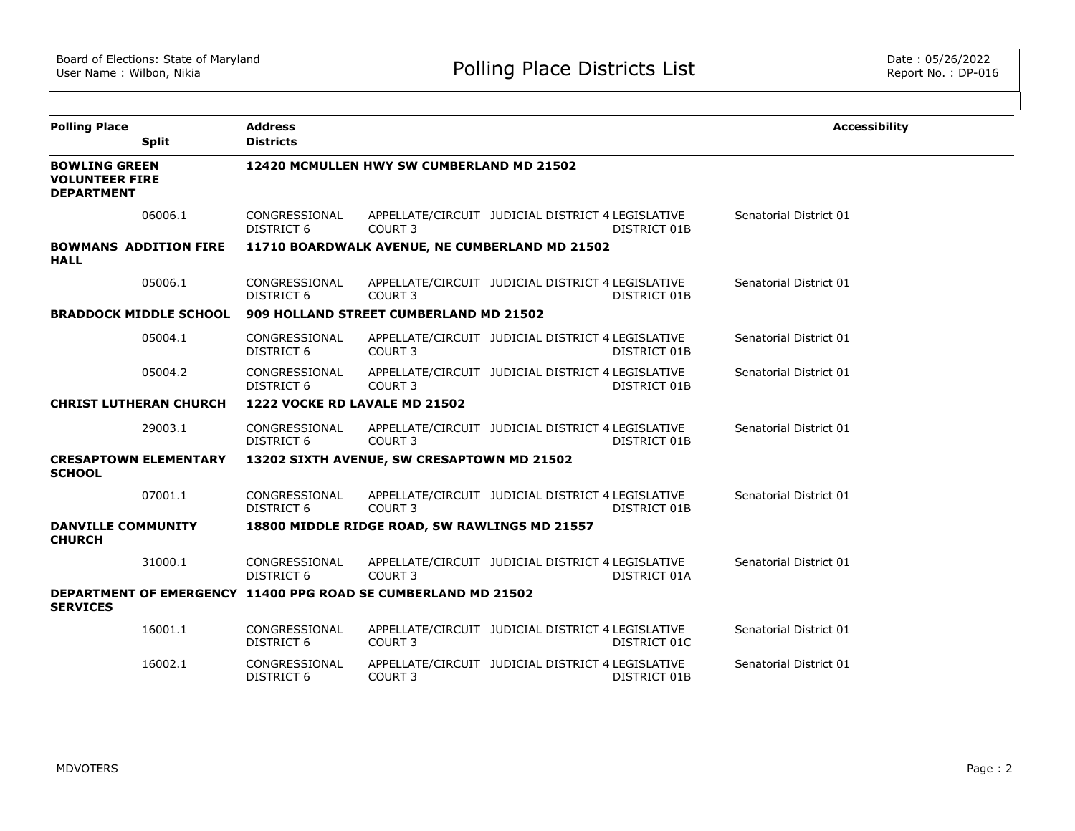| <b>Polling Place</b>                                               |                               | <b>Address</b>                     |                                                               |                                                   |              | <b>Accessibility</b>   |
|--------------------------------------------------------------------|-------------------------------|------------------------------------|---------------------------------------------------------------|---------------------------------------------------|--------------|------------------------|
|                                                                    | <b>Split</b>                  | <b>Districts</b>                   |                                                               |                                                   |              |                        |
| <b>BOWLING GREEN</b><br><b>VOLUNTEER FIRE</b><br><b>DEPARTMENT</b> |                               |                                    | 12420 MCMULLEN HWY SW CUMBERLAND MD 21502                     |                                                   |              |                        |
|                                                                    | 06006.1                       | CONGRESSIONAL<br><b>DISTRICT 6</b> | COURT <sub>3</sub>                                            | APPELLATE/CIRCUIT JUDICIAL DISTRICT 4 LEGISLATIVE | DISTRICT 01B | Senatorial District 01 |
| <b>HALL</b>                                                        | <b>BOWMANS ADDITION FIRE</b>  |                                    | 11710 BOARDWALK AVENUE, NE CUMBERLAND MD 21502                |                                                   |              |                        |
|                                                                    | 05006.1                       | CONGRESSIONAL<br><b>DISTRICT 6</b> | COURT 3                                                       | APPELLATE/CIRCUIT JUDICIAL DISTRICT 4 LEGISLATIVE | DISTRICT 01B | Senatorial District 01 |
|                                                                    | <b>BRADDOCK MIDDLE SCHOOL</b> |                                    | 909 HOLLAND STREET CUMBERLAND MD 21502                        |                                                   |              |                        |
|                                                                    | 05004.1                       | CONGRESSIONAL<br>DISTRICT 6        | COURT 3                                                       | APPELLATE/CIRCUIT JUDICIAL DISTRICT 4 LEGISLATIVE | DISTRICT 01B | Senatorial District 01 |
|                                                                    | 05004.2                       | CONGRESSIONAL<br>DISTRICT 6        | COURT <sub>3</sub>                                            | APPELLATE/CIRCUIT JUDICIAL DISTRICT 4 LEGISLATIVE | DISTRICT 01B | Senatorial District 01 |
|                                                                    | <b>CHRIST LUTHERAN CHURCH</b> | 1222 VOCKE RD LAVALE MD 21502      |                                                               |                                                   |              |                        |
|                                                                    | 29003.1                       | CONGRESSIONAL<br>DISTRICT 6        | COURT <sub>3</sub>                                            | APPELLATE/CIRCUIT JUDICIAL DISTRICT 4 LEGISLATIVE | DISTRICT 01B | Senatorial District 01 |
| <b>SCHOOL</b>                                                      | <b>CRESAPTOWN ELEMENTARY</b>  |                                    | 13202 SIXTH AVENUE, SW CRESAPTOWN MD 21502                    |                                                   |              |                        |
|                                                                    | 07001.1                       | CONGRESSIONAL<br>DISTRICT 6        | COURT <sub>3</sub>                                            | APPELLATE/CIRCUIT JUDICIAL DISTRICT 4 LEGISLATIVE | DISTRICT 01B | Senatorial District 01 |
| <b>DANVILLE COMMUNITY</b><br><b>CHURCH</b>                         |                               |                                    | 18800 MIDDLE RIDGE ROAD, SW RAWLINGS MD 21557                 |                                                   |              |                        |
|                                                                    | 31000.1                       | CONGRESSIONAL<br><b>DISTRICT 6</b> | COURT <sub>3</sub>                                            | APPELLATE/CIRCUIT JUDICIAL DISTRICT 4 LEGISLATIVE | DISTRICT 01A | Senatorial District 01 |
| <b>SERVICES</b>                                                    |                               |                                    | DEPARTMENT OF EMERGENCY 11400 PPG ROAD SE CUMBERLAND MD 21502 |                                                   |              |                        |
|                                                                    | 16001.1                       | CONGRESSIONAL<br>DISTRICT 6        | COURT 3                                                       | APPELLATE/CIRCUIT JUDICIAL DISTRICT 4 LEGISLATIVE | DISTRICT 01C | Senatorial District 01 |
|                                                                    | 16002.1                       | CONGRESSIONAL<br>DISTRICT 6        | COURT <sub>3</sub>                                            | APPELLATE/CIRCUIT JUDICIAL DISTRICT 4 LEGISLATIVE | DISTRICT 01B | Senatorial District 01 |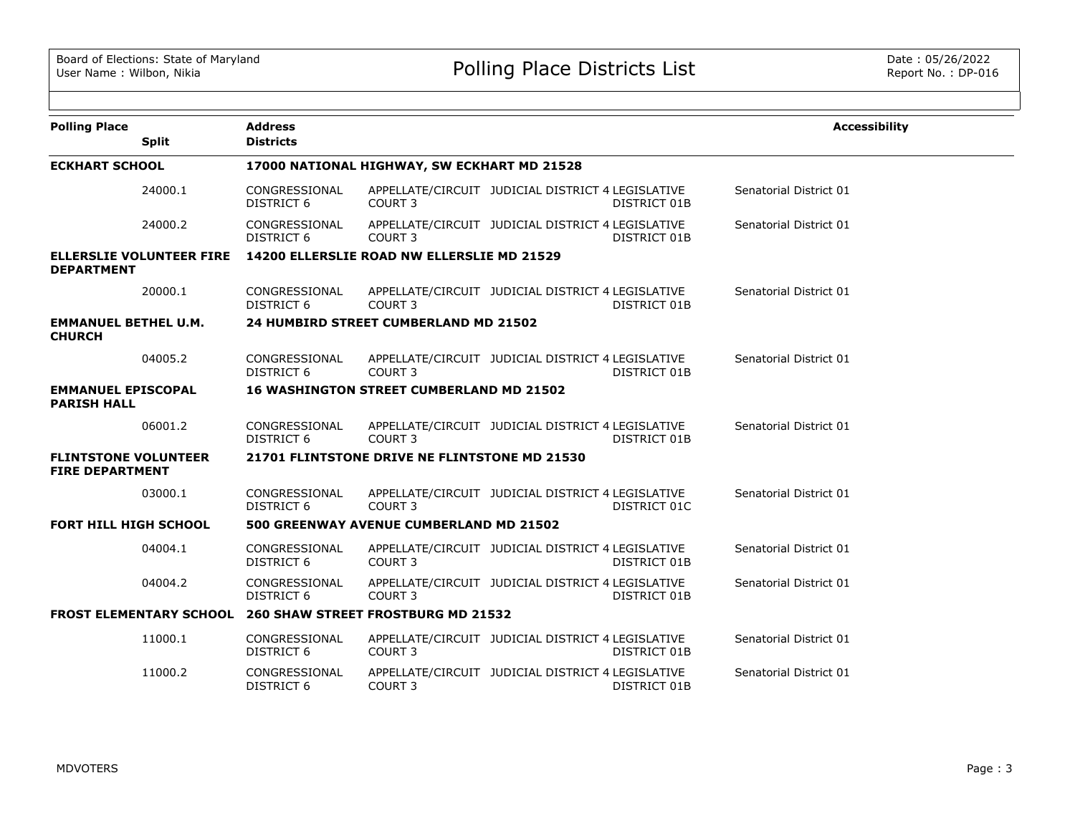| <b>Polling Place</b>                                  |                                 | <b>Address</b>                                                    |                                                                         |              | <b>Accessibility</b>   |
|-------------------------------------------------------|---------------------------------|-------------------------------------------------------------------|-------------------------------------------------------------------------|--------------|------------------------|
|                                                       | <b>Split</b>                    | <b>Districts</b>                                                  |                                                                         |              |                        |
| <b>ECKHART SCHOOL</b>                                 |                                 |                                                                   | 17000 NATIONAL HIGHWAY, SW ECKHART MD 21528                             |              |                        |
|                                                       | 24000.1                         | CONGRESSIONAL<br><b>DISTRICT 6</b>                                | APPELLATE/CIRCUIT JUDICIAL DISTRICT 4 LEGISLATIVE<br>COURT 3            | DISTRICT 01B | Senatorial District 01 |
|                                                       | 24000.2                         | CONGRESSIONAL<br><b>DISTRICT 6</b>                                | APPELLATE/CIRCUIT JUDICIAL DISTRICT 4 LEGISLATIVE<br>COURT <sub>3</sub> | DISTRICT 01B | Senatorial District 01 |
| <b>DEPARTMENT</b>                                     | <b>ELLERSLIE VOLUNTEER FIRE</b> |                                                                   | 14200 ELLERSLIE ROAD NW ELLERSLIE MD 21529                              |              |                        |
|                                                       | 20000.1                         | CONGRESSIONAL<br><b>DISTRICT 6</b>                                | APPELLATE/CIRCUIT JUDICIAL DISTRICT 4 LEGISLATIVE<br>COURT <sub>3</sub> | DISTRICT 01B | Senatorial District 01 |
| <b>EMMANUEL BETHEL U.M.</b><br><b>CHURCH</b>          |                                 |                                                                   | 24 HUMBIRD STREET CUMBERLAND MD 21502                                   |              |                        |
|                                                       | 04005.2                         | CONGRESSIONAL<br>DISTRICT 6                                       | APPELLATE/CIRCUIT JUDICIAL DISTRICT 4 LEGISLATIVE<br>COURT <sub>3</sub> | DISTRICT 01B | Senatorial District 01 |
| <b>EMMANUEL EPISCOPAL</b><br><b>PARISH HALL</b>       |                                 |                                                                   | <b>16 WASHINGTON STREET CUMBERLAND MD 21502</b>                         |              |                        |
|                                                       | 06001.2                         | CONGRESSIONAL<br>DISTRICT 6                                       | APPELLATE/CIRCUIT JUDICIAL DISTRICT 4 LEGISLATIVE<br>COURT 3            | DISTRICT 01B | Senatorial District 01 |
| <b>FLINTSTONE VOLUNTEER</b><br><b>FIRE DEPARTMENT</b> |                                 |                                                                   | 21701 FLINTSTONE DRIVE NE FLINTSTONE MD 21530                           |              |                        |
|                                                       | 03000.1                         | CONGRESSIONAL<br>DISTRICT 6                                       | APPELLATE/CIRCUIT JUDICIAL DISTRICT 4 LEGISLATIVE<br>COURT 3            | DISTRICT 01C | Senatorial District 01 |
| FORT HILL HIGH SCHOOL                                 |                                 |                                                                   | 500 GREENWAY AVENUE CUMBERLAND MD 21502                                 |              |                        |
|                                                       | 04004.1                         | CONGRESSIONAL<br><b>DISTRICT 6</b>                                | APPELLATE/CIRCUIT JUDICIAL DISTRICT 4 LEGISLATIVE<br>COURT <sub>3</sub> | DISTRICT 01B | Senatorial District 01 |
|                                                       | 04004.2                         | CONGRESSIONAL<br><b>DISTRICT 6</b>                                | APPELLATE/CIRCUIT JUDICIAL DISTRICT 4 LEGISLATIVE<br>COURT <sub>3</sub> | DISTRICT 01B | Senatorial District 01 |
|                                                       |                                 | <b>FROST ELEMENTARY SCHOOL 260 SHAW STREET FROSTBURG MD 21532</b> |                                                                         |              |                        |
|                                                       | 11000.1                         | CONGRESSIONAL<br>DISTRICT 6                                       | APPELLATE/CIRCUIT JUDICIAL DISTRICT 4 LEGISLATIVE<br>COURT <sub>3</sub> | DISTRICT 01B | Senatorial District 01 |
|                                                       | 11000.2                         | CONGRESSIONAL<br>DISTRICT 6                                       | APPELLATE/CIRCUIT JUDICIAL DISTRICT 4 LEGISLATIVE<br>COURT <sub>3</sub> | DISTRICT 01B | Senatorial District 01 |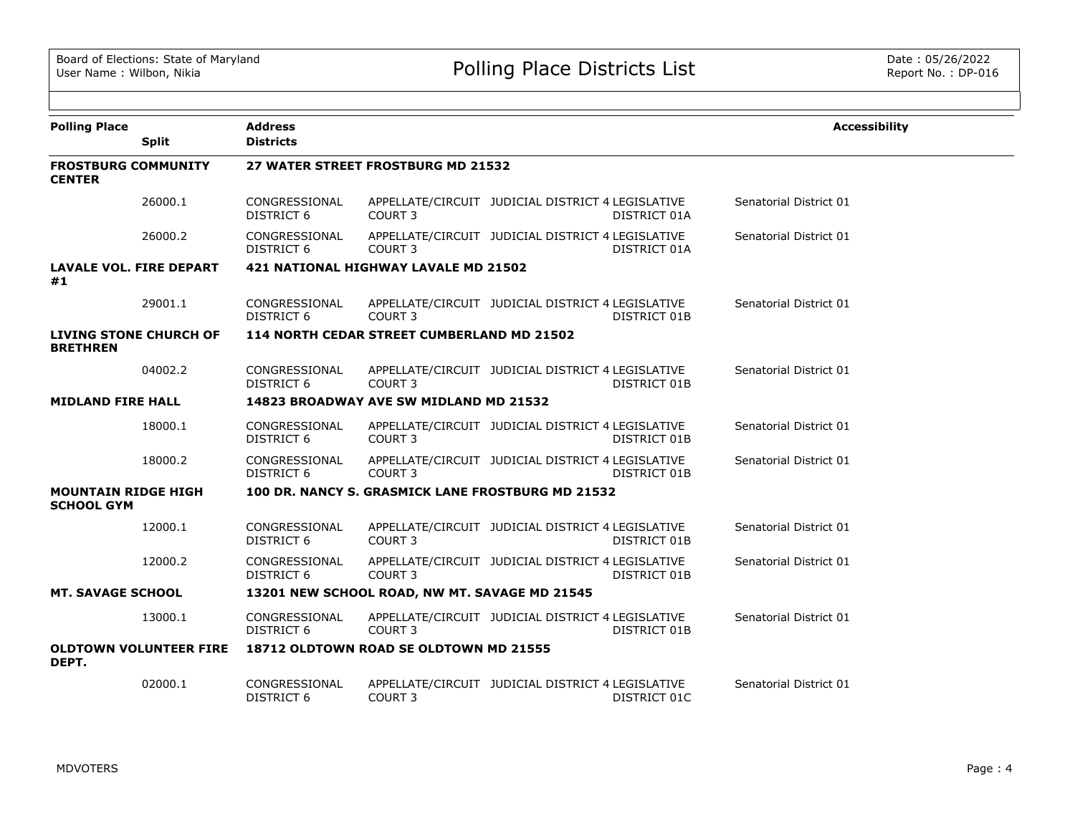| <b>Polling Place</b><br><b>Split</b>             | <b>Address</b><br><b>Districts</b> |                                                   |                                                   |              | <b>Accessibility</b>   |
|--------------------------------------------------|------------------------------------|---------------------------------------------------|---------------------------------------------------|--------------|------------------------|
|                                                  |                                    |                                                   |                                                   |              |                        |
| <b>FROSTBURG COMMUNITY</b><br><b>CENTER</b>      |                                    | 27 WATER STREET FROSTBURG MD 21532                |                                                   |              |                        |
| 26000.1                                          | CONGRESSIONAL<br><b>DISTRICT 6</b> | COURT <sub>3</sub>                                | APPELLATE/CIRCUIT JUDICIAL DISTRICT 4 LEGISLATIVE | DISTRICT 01A | Senatorial District 01 |
| 26000.2                                          | CONGRESSIONAL<br>DISTRICT 6        | <b>COURT 3</b>                                    | APPELLATE/CIRCUIT JUDICIAL DISTRICT 4 LEGISLATIVE | DISTRICT 01A | Senatorial District 01 |
| <b>LAVALE VOL. FIRE DEPART</b><br>#1             |                                    | 421 NATIONAL HIGHWAY LAVALE MD 21502              |                                                   |              |                        |
| 29001.1                                          | CONGRESSIONAL<br><b>DISTRICT 6</b> | COURT 3                                           | APPELLATE/CIRCUIT JUDICIAL DISTRICT 4 LEGISLATIVE | DISTRICT 01B | Senatorial District 01 |
| <b>LIVING STONE CHURCH OF</b><br><b>BRETHREN</b> |                                    | 114 NORTH CEDAR STREET CUMBERLAND MD 21502        |                                                   |              |                        |
| 04002.2                                          | CONGRESSIONAL<br><b>DISTRICT 6</b> | COURT <sub>3</sub>                                | APPELLATE/CIRCUIT JUDICIAL DISTRICT 4 LEGISLATIVE | DISTRICT 01B | Senatorial District 01 |
| <b>MIDLAND FIRE HALL</b>                         |                                    | 14823 BROADWAY AVE SW MIDLAND MD 21532            |                                                   |              |                        |
| 18000.1                                          | CONGRESSIONAL<br>DISTRICT 6        | COURT <sub>3</sub>                                | APPELLATE/CIRCUIT JUDICIAL DISTRICT 4 LEGISLATIVE | DISTRICT 01B | Senatorial District 01 |
| 18000.2                                          | CONGRESSIONAL<br>DISTRICT 6        | COURT <sub>3</sub>                                | APPELLATE/CIRCUIT JUDICIAL DISTRICT 4 LEGISLATIVE | DISTRICT 01B | Senatorial District 01 |
| <b>MOUNTAIN RIDGE HIGH</b><br><b>SCHOOL GYM</b>  |                                    | 100 DR. NANCY S. GRASMICK LANE FROSTBURG MD 21532 |                                                   |              |                        |
| 12000.1                                          | CONGRESSIONAL<br>DISTRICT 6        | COURT 3                                           | APPELLATE/CIRCUIT JUDICIAL DISTRICT 4 LEGISLATIVE | DISTRICT 01B | Senatorial District 01 |
| 12000.2                                          | CONGRESSIONAL<br><b>DISTRICT 6</b> | COURT <sub>3</sub>                                | APPELLATE/CIRCUIT JUDICIAL DISTRICT 4 LEGISLATIVE | DISTRICT 01B | Senatorial District 01 |
| <b>MT. SAVAGE SCHOOL</b>                         |                                    | 13201 NEW SCHOOL ROAD, NW MT. SAVAGE MD 21545     |                                                   |              |                        |
| 13000.1                                          | CONGRESSIONAL<br>DISTRICT 6        | COURT <sub>3</sub>                                | APPELLATE/CIRCUIT JUDICIAL DISTRICT 4 LEGISLATIVE | DISTRICT 01B | Senatorial District 01 |
| <b>OLDTOWN VOLUNTEER FIRE</b><br>DEPT.           |                                    | 18712 OLDTOWN ROAD SE OLDTOWN MD 21555            |                                                   |              |                        |
| 02000.1                                          | CONGRESSIONAL<br><b>DISTRICT 6</b> | COURT <sub>3</sub>                                | APPELLATE/CIRCUIT JUDICIAL DISTRICT 4 LEGISLATIVE | DISTRICT 01C | Senatorial District 01 |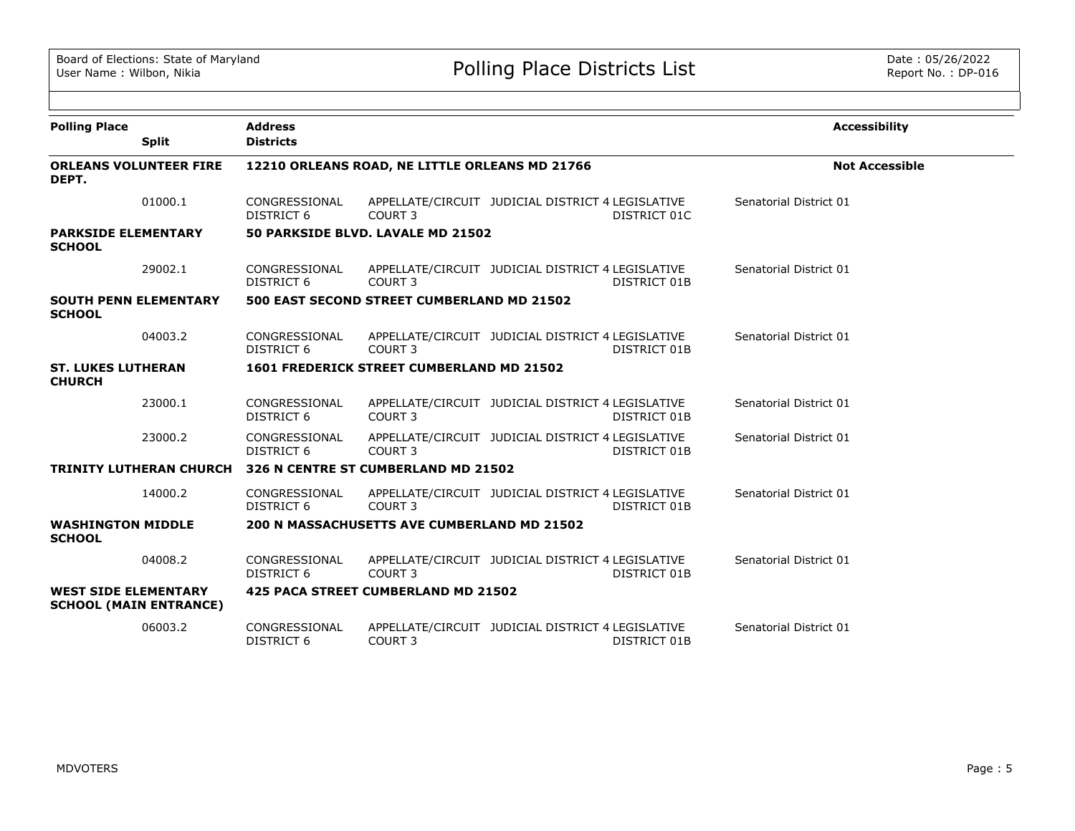| <b>Polling Place</b>                                         | <b>Address</b><br><b>Districts</b> |                                                  |                                                                          | <b>Accessibility</b>   |
|--------------------------------------------------------------|------------------------------------|--------------------------------------------------|--------------------------------------------------------------------------|------------------------|
| <b>Split</b>                                                 |                                    |                                                  |                                                                          |                        |
| <b>ORLEANS VOLUNTEER FIRE</b><br>DEPT.                       |                                    | 12210 ORLEANS ROAD, NE LITTLE ORLEANS MD 21766   |                                                                          | <b>Not Accessible</b>  |
| 01000.1                                                      | CONGRESSIONAL<br>DISTRICT 6        | COURT 3                                          | APPELLATE/CIRCUIT JUDICIAL DISTRICT 4 LEGISLATIVE<br>DISTRICT 01C        | Senatorial District 01 |
| <b>PARKSIDE ELEMENTARY</b><br><b>SCHOOL</b>                  |                                    | 50 PARKSIDE BLVD. LAVALE MD 21502                |                                                                          |                        |
| 29002.1                                                      | CONGRESSIONAL<br>DISTRICT 6        | COURT <sub>3</sub>                               | APPELLATE/CIRCUIT JUDICIAL DISTRICT 4 LEGISLATIVE<br>DISTRICT 01B        | Senatorial District 01 |
| <b>SOUTH PENN ELEMENTARY</b><br><b>SCHOOL</b>                |                                    | 500 EAST SECOND STREET CUMBERLAND MD 21502       |                                                                          |                        |
| 04003.2                                                      | CONGRESSIONAL<br><b>DISTRICT 6</b> | COURT <sub>3</sub>                               | APPELLATE/CIRCUIT JUDICIAL DISTRICT 4 LEGISLATIVE<br><b>DISTRICT 01B</b> | Senatorial District 01 |
| <b>ST. LUKES LUTHERAN</b><br><b>CHURCH</b>                   |                                    | <b>1601 FREDERICK STREET CUMBERLAND MD 21502</b> |                                                                          |                        |
| 23000.1                                                      | CONGRESSIONAL<br>DISTRICT 6        | COURT 3                                          | APPELLATE/CIRCUIT JUDICIAL DISTRICT 4 LEGISLATIVE<br>DISTRICT 01B        | Senatorial District 01 |
| 23000.2                                                      | CONGRESSIONAL<br><b>DISTRICT 6</b> | COURT <sub>3</sub>                               | APPELLATE/CIRCUIT JUDICIAL DISTRICT 4 LEGISLATIVE<br>DISTRICT 01B        | Senatorial District 01 |
| <b>TRINITY LUTHERAN CHURCH</b>                               |                                    | 326 N CENTRE ST CUMBERLAND MD 21502              |                                                                          |                        |
| 14000.2                                                      | CONGRESSIONAL<br><b>DISTRICT 6</b> | COURT <sub>3</sub>                               | APPELLATE/CIRCUIT JUDICIAL DISTRICT 4 LEGISLATIVE<br><b>DISTRICT 01B</b> | Senatorial District 01 |
| <b>WASHINGTON MIDDLE</b><br><b>SCHOOL</b>                    |                                    | 200 N MASSACHUSETTS AVE CUMBERLAND MD 21502      |                                                                          |                        |
| 04008.2                                                      | CONGRESSIONAL<br>DISTRICT 6        | COURT <sub>3</sub>                               | APPELLATE/CIRCUIT JUDICIAL DISTRICT 4 LEGISLATIVE<br>DISTRICT 01B        | Senatorial District 01 |
| <b>WEST SIDE ELEMENTARY</b><br><b>SCHOOL (MAIN ENTRANCE)</b> |                                    | <b>425 PACA STREET CUMBERLAND MD 21502</b>       |                                                                          |                        |
| 06003.2                                                      | CONGRESSIONAL<br><b>DISTRICT 6</b> | COURT <sub>3</sub>                               | APPELLATE/CIRCUIT JUDICIAL DISTRICT 4 LEGISLATIVE<br>DISTRICT 01B        | Senatorial District 01 |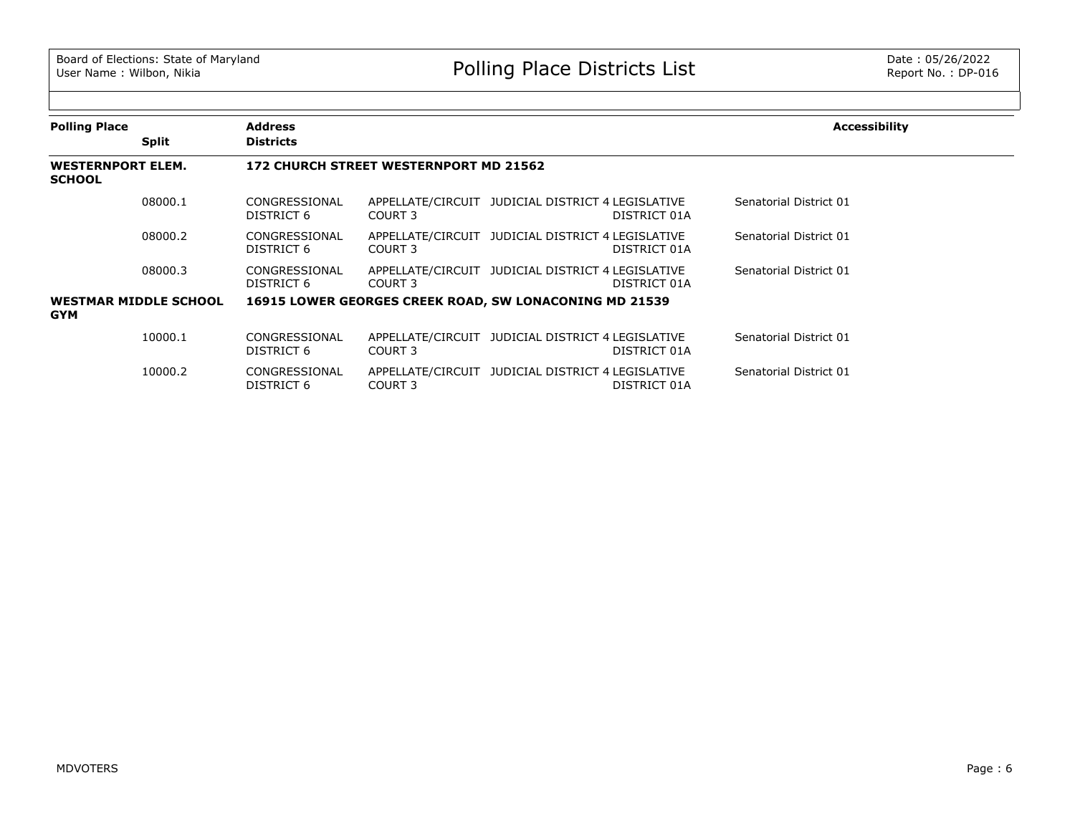| <b>Polling Place</b>                      |                              | <b>Address</b>              |                                                        |                                                   |              | <b>Accessibility</b>   |
|-------------------------------------------|------------------------------|-----------------------------|--------------------------------------------------------|---------------------------------------------------|--------------|------------------------|
|                                           | <b>Split</b>                 | <b>Districts</b>            |                                                        |                                                   |              |                        |
| <b>WESTERNPORT ELEM.</b><br><b>SCHOOL</b> |                              |                             | 172 CHURCH STREET WESTERNPORT MD 21562                 |                                                   |              |                        |
|                                           | 08000.1                      | CONGRESSIONAL<br>DISTRICT 6 | COURT 3                                                | APPELLATE/CIRCUIT JUDICIAL DISTRICT 4 LEGISLATIVE | DISTRICT 01A | Senatorial District 01 |
|                                           | 08000.2                      | CONGRESSIONAL<br>DISTRICT 6 | COURT 3                                                | APPELLATE/CIRCUIT JUDICIAL DISTRICT 4 LEGISLATIVE | DISTRICT 01A | Senatorial District 01 |
|                                           | 08000.3                      | CONGRESSIONAL<br>DISTRICT 6 | COURT 3                                                | APPELLATE/CIRCUIT JUDICIAL DISTRICT 4 LEGISLATIVE | DISTRICT 01A | Senatorial District 01 |
| <b>GYM</b>                                | <b>WESTMAR MIDDLE SCHOOL</b> |                             | 16915 LOWER GEORGES CREEK ROAD, SW LONACONING MD 21539 |                                                   |              |                        |
|                                           | 10000.1                      | CONGRESSIONAL<br>DISTRICT 6 | COURT 3                                                | APPELLATE/CIRCUIT JUDICIAL DISTRICT 4 LEGISLATIVE | DISTRICT 01A | Senatorial District 01 |
|                                           | 10000.2                      | CONGRESSIONAL<br>DISTRICT 6 | COURT 3                                                | APPELLATE/CIRCUIT JUDICIAL DISTRICT 4 LEGISLATIVE | DISTRICT 01A | Senatorial District 01 |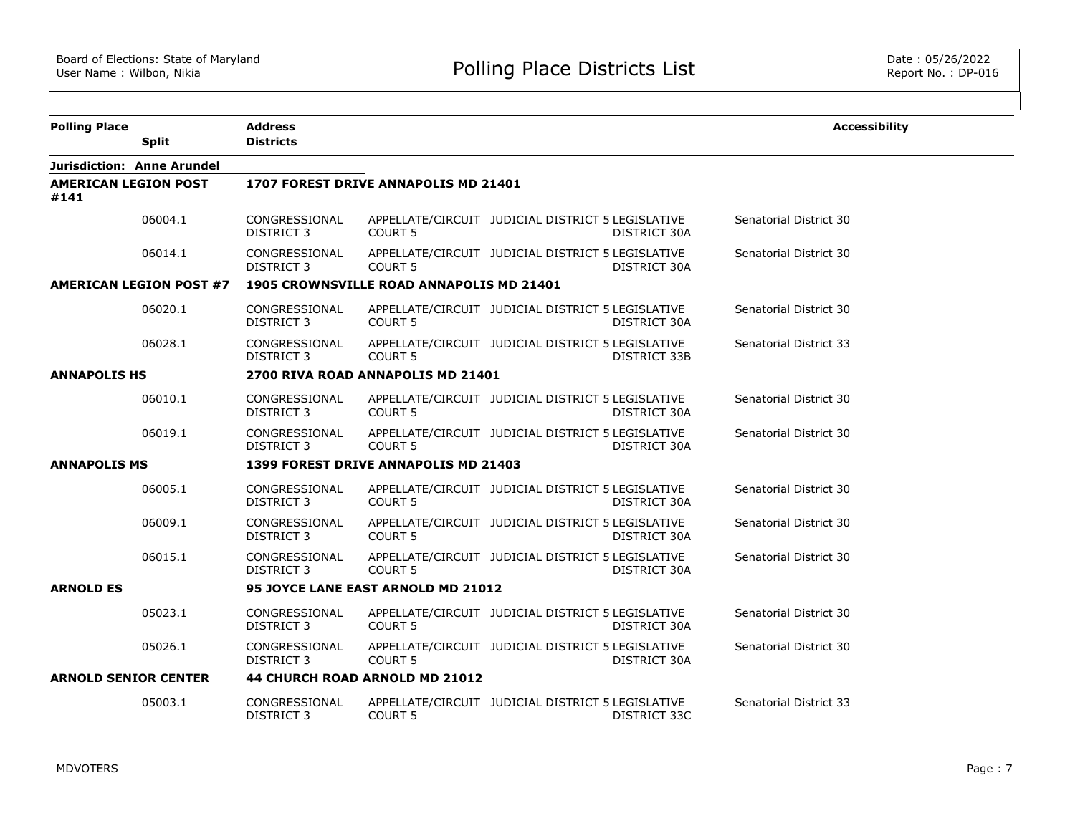| <b>Polling Place</b>           | <b>Address</b>                     |                                          |                                                   |              | <b>Accessibility</b>   |
|--------------------------------|------------------------------------|------------------------------------------|---------------------------------------------------|--------------|------------------------|
| <b>Split</b>                   | <b>Districts</b>                   |                                          |                                                   |              |                        |
| Jurisdiction: Anne Arundel     |                                    |                                          |                                                   |              |                        |
| AMERICAN LEGION POST<br>#141   |                                    | 1707 FOREST DRIVE ANNAPOLIS MD 21401     |                                                   |              |                        |
| 06004.1                        | CONGRESSIONAL<br>DISTRICT 3        | <b>COURT 5</b>                           | APPELLATE/CIRCUIT JUDICIAL DISTRICT 5 LEGISLATIVE | DISTRICT 30A | Senatorial District 30 |
| 06014.1                        | CONGRESSIONAL<br><b>DISTRICT 3</b> | <b>COURT 5</b>                           | APPELLATE/CIRCUIT JUDICIAL DISTRICT 5 LEGISLATIVE | DISTRICT 30A | Senatorial District 30 |
| <b>AMERICAN LEGION POST #7</b> |                                    | 1905 CROWNSVILLE ROAD ANNAPOLIS MD 21401 |                                                   |              |                        |
| 06020.1                        | CONGRESSIONAL<br><b>DISTRICT 3</b> | COURT 5                                  | APPELLATE/CIRCUIT JUDICIAL DISTRICT 5 LEGISLATIVE | DISTRICT 30A | Senatorial District 30 |
| 06028.1                        | CONGRESSIONAL<br><b>DISTRICT 3</b> | <b>COURT 5</b>                           | APPELLATE/CIRCUIT JUDICIAL DISTRICT 5 LEGISLATIVE | DISTRICT 33B | Senatorial District 33 |
| <b>ANNAPOLIS HS</b>            |                                    | 2700 RIVA ROAD ANNAPOLIS MD 21401        |                                                   |              |                        |
| 06010.1                        | CONGRESSIONAL<br><b>DISTRICT 3</b> | COURT <sub>5</sub>                       | APPELLATE/CIRCUIT JUDICIAL DISTRICT 5 LEGISLATIVE | DISTRICT 30A | Senatorial District 30 |
| 06019.1                        | CONGRESSIONAL<br>DISTRICT 3        | <b>COURT 5</b>                           | APPELLATE/CIRCUIT JUDICIAL DISTRICT 5 LEGISLATIVE | DISTRICT 30A | Senatorial District 30 |
| <b>ANNAPOLIS MS</b>            |                                    | 1399 FOREST DRIVE ANNAPOLIS MD 21403     |                                                   |              |                        |
| 06005.1                        | CONGRESSIONAL<br><b>DISTRICT 3</b> | COURT 5                                  | APPELLATE/CIRCUIT JUDICIAL DISTRICT 5 LEGISLATIVE | DISTRICT 30A | Senatorial District 30 |
| 06009.1                        | CONGRESSIONAL<br><b>DISTRICT 3</b> | COURT <sub>5</sub>                       | APPELLATE/CIRCUIT JUDICIAL DISTRICT 5 LEGISLATIVE | DISTRICT 30A | Senatorial District 30 |
| 06015.1                        | CONGRESSIONAL<br><b>DISTRICT 3</b> | <b>COURT 5</b>                           | APPELLATE/CIRCUIT JUDICIAL DISTRICT 5 LEGISLATIVE | DISTRICT 30A | Senatorial District 30 |
| <b>ARNOLD ES</b>               |                                    | 95 JOYCE LANE EAST ARNOLD MD 21012       |                                                   |              |                        |
| 05023.1                        | CONGRESSIONAL<br>DISTRICT 3        | COURT <sub>5</sub>                       | APPELLATE/CIRCUIT JUDICIAL DISTRICT 5 LEGISLATIVE | DISTRICT 30A | Senatorial District 30 |
| 05026.1                        | CONGRESSIONAL<br><b>DISTRICT 3</b> | COURT <sub>5</sub>                       | APPELLATE/CIRCUIT JUDICIAL DISTRICT 5 LEGISLATIVE | DISTRICT 30A | Senatorial District 30 |
| <b>ARNOLD SENIOR CENTER</b>    |                                    | 44 CHURCH ROAD ARNOLD MD 21012           |                                                   |              |                        |
| 05003.1                        | CONGRESSIONAL<br><b>DISTRICT 3</b> | COURT <sub>5</sub>                       | APPELLATE/CIRCUIT JUDICIAL DISTRICT 5 LEGISLATIVE | DISTRICT 33C | Senatorial District 33 |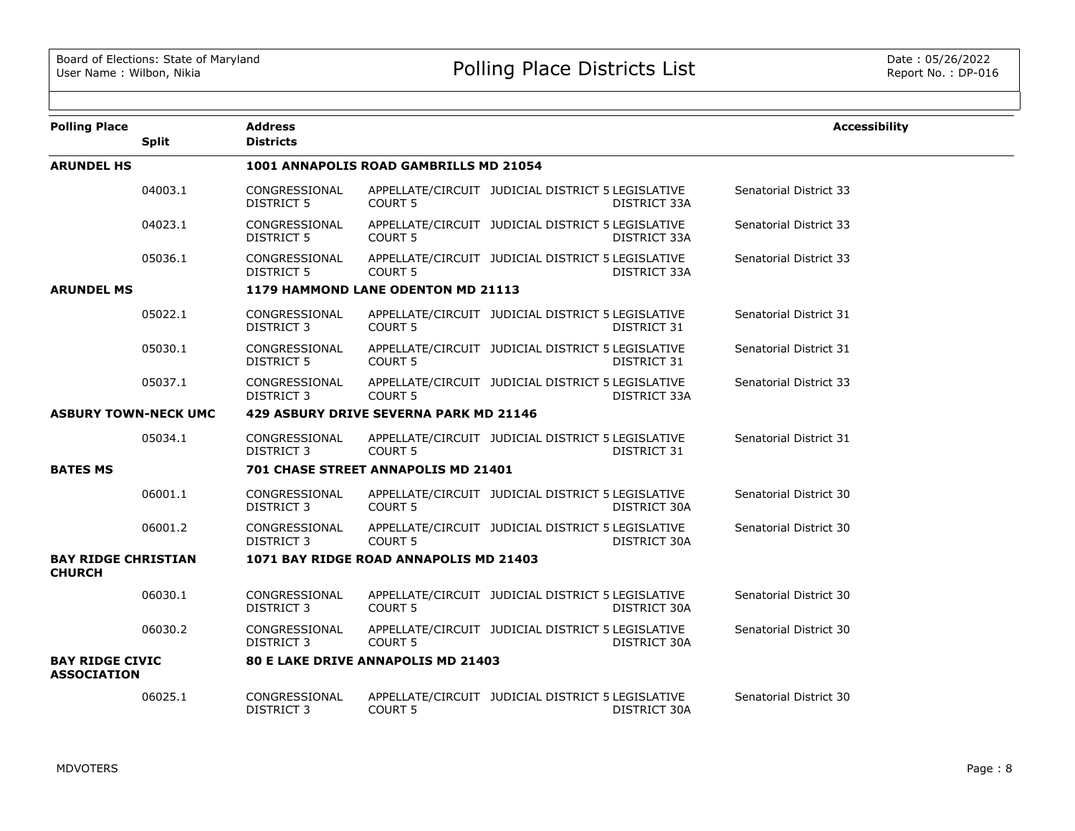| <b>Polling Place</b>                         | <b>Split</b> | <b>Address</b><br><b>Districts</b> |                                           |                                                   |                     | <b>Accessibility</b>   |
|----------------------------------------------|--------------|------------------------------------|-------------------------------------------|---------------------------------------------------|---------------------|------------------------|
| <b>ARUNDEL HS</b>                            |              |                                    | 1001 ANNAPOLIS ROAD GAMBRILLS MD 21054    |                                                   |                     |                        |
|                                              | 04003.1      | CONGRESSIONAL<br><b>DISTRICT 5</b> | <b>COURT 5</b>                            | APPELLATE/CIRCUIT JUDICIAL DISTRICT 5 LEGISLATIVE | <b>DISTRICT 33A</b> | Senatorial District 33 |
|                                              | 04023.1      | CONGRESSIONAL<br><b>DISTRICT 5</b> | <b>COURT 5</b>                            | APPELLATE/CIRCUIT JUDICIAL DISTRICT 5 LEGISLATIVE | DISTRICT 33A        | Senatorial District 33 |
|                                              | 05036.1      | CONGRESSIONAL<br><b>DISTRICT 5</b> | <b>COURT 5</b>                            | APPELLATE/CIRCUIT JUDICIAL DISTRICT 5 LEGISLATIVE | DISTRICT 33A        | Senatorial District 33 |
| <b>ARUNDEL MS</b>                            |              |                                    | 1179 HAMMOND LANE ODENTON MD 21113        |                                                   |                     |                        |
|                                              | 05022.1      | CONGRESSIONAL<br>DISTRICT 3        | <b>COURT 5</b>                            | APPELLATE/CIRCUIT JUDICIAL DISTRICT 5 LEGISLATIVE | DISTRICT 31         | Senatorial District 31 |
|                                              | 05030.1      | CONGRESSIONAL<br><b>DISTRICT 5</b> | <b>COURT 5</b>                            | APPELLATE/CIRCUIT JUDICIAL DISTRICT 5 LEGISLATIVE | DISTRICT 31         | Senatorial District 31 |
|                                              | 05037.1      | CONGRESSIONAL<br>DISTRICT 3        | <b>COURT 5</b>                            | APPELLATE/CIRCUIT JUDICIAL DISTRICT 5 LEGISLATIVE | DISTRICT 33A        | Senatorial District 33 |
| <b>ASBURY TOWN-NECK UMC</b>                  |              |                                    | 429 ASBURY DRIVE SEVERNA PARK MD 21146    |                                                   |                     |                        |
|                                              | 05034.1      | CONGRESSIONAL<br>DISTRICT 3        | <b>COURT 5</b>                            | APPELLATE/CIRCUIT JUDICIAL DISTRICT 5 LEGISLATIVE | DISTRICT 31         | Senatorial District 31 |
| <b>BATES MS</b>                              |              |                                    | 701 CHASE STREET ANNAPOLIS MD 21401       |                                                   |                     |                        |
|                                              | 06001.1      | CONGRESSIONAL<br>DISTRICT 3        | <b>COURT 5</b>                            | APPELLATE/CIRCUIT JUDICIAL DISTRICT 5 LEGISLATIVE | DISTRICT 30A        | Senatorial District 30 |
|                                              | 06001.2      | CONGRESSIONAL<br>DISTRICT 3        | <b>COURT 5</b>                            | APPELLATE/CIRCUIT JUDICIAL DISTRICT 5 LEGISLATIVE | DISTRICT 30A        | Senatorial District 30 |
| <b>BAY RIDGE CHRISTIAN</b><br><b>CHURCH</b>  |              |                                    | 1071 BAY RIDGE ROAD ANNAPOLIS MD 21403    |                                                   |                     |                        |
|                                              | 06030.1      | CONGRESSIONAL<br>DISTRICT 3        | <b>COURT 5</b>                            | APPELLATE/CIRCUIT JUDICIAL DISTRICT 5 LEGISLATIVE | DISTRICT 30A        | Senatorial District 30 |
|                                              | 06030.2      | CONGRESSIONAL<br>DISTRICT 3        | <b>COURT 5</b>                            | APPELLATE/CIRCUIT JUDICIAL DISTRICT 5 LEGISLATIVE | DISTRICT 30A        | Senatorial District 30 |
| <b>BAY RIDGE CIVIC</b><br><b>ASSOCIATION</b> |              |                                    | <b>80 E LAKE DRIVE ANNAPOLIS MD 21403</b> |                                                   |                     |                        |
|                                              | 06025.1      | CONGRESSIONAL<br><b>DISTRICT 3</b> | <b>COURT 5</b>                            | APPELLATE/CIRCUIT JUDICIAL DISTRICT 5 LEGISLATIVE | DISTRICT 30A        | Senatorial District 30 |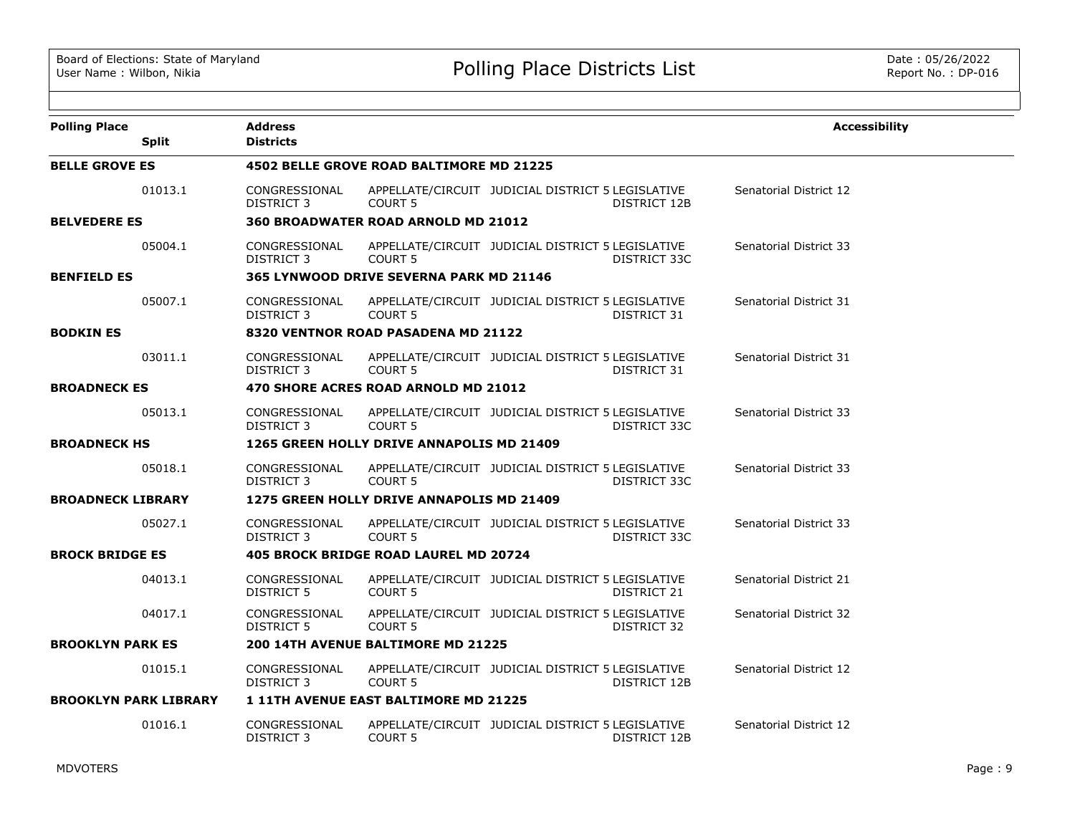| <b>Polling Place</b>         |              | <b>Address</b>                     |                                                |                                                   |              | <b>Accessibility</b>          |
|------------------------------|--------------|------------------------------------|------------------------------------------------|---------------------------------------------------|--------------|-------------------------------|
|                              | <b>Split</b> | <b>Districts</b>                   |                                                |                                                   |              |                               |
| <b>BELLE GROVE ES</b>        |              |                                    | 4502 BELLE GROVE ROAD BALTIMORE MD 21225       |                                                   |              |                               |
|                              | 01013.1      | CONGRESSIONAL<br><b>DISTRICT 3</b> | COURT <sub>5</sub>                             | APPELLATE/CIRCUIT JUDICIAL DISTRICT 5 LEGISLATIVE | DISTRICT 12B | Senatorial District 12        |
| <b>BELVEDERE ES</b>          |              |                                    | 360 BROADWATER ROAD ARNOLD MD 21012            |                                                   |              |                               |
|                              | 05004.1      | CONGRESSIONAL<br><b>DISTRICT 3</b> | <b>COURT 5</b>                                 | APPELLATE/CIRCUIT JUDICIAL DISTRICT 5 LEGISLATIVE | DISTRICT 33C | Senatorial District 33        |
| <b>BENFIELD ES</b>           |              |                                    | <b>365 LYNWOOD DRIVE SEVERNA PARK MD 21146</b> |                                                   |              |                               |
|                              | 05007.1      | CONGRESSIONAL<br>DISTRICT 3        | <b>COURT 5</b>                                 | APPELLATE/CIRCUIT JUDICIAL DISTRICT 5 LEGISLATIVE | DISTRICT 31  | Senatorial District 31        |
| <b>BODKIN ES</b>             |              |                                    | 8320 VENTNOR ROAD PASADENA MD 21122            |                                                   |              |                               |
|                              | 03011.1      | CONGRESSIONAL<br>DISTRICT 3        | <b>COURT 5</b>                                 | APPELLATE/CIRCUIT JUDICIAL DISTRICT 5 LEGISLATIVE | DISTRICT 31  | Senatorial District 31        |
| <b>BROADNECK ES</b>          |              |                                    | 470 SHORE ACRES ROAD ARNOLD MD 21012           |                                                   |              |                               |
|                              | 05013.1      | CONGRESSIONAL<br>DISTRICT 3        | <b>COURT 5</b>                                 | APPELLATE/CIRCUIT JUDICIAL DISTRICT 5 LEGISLATIVE | DISTRICT 33C | Senatorial District 33        |
| <b>BROADNECK HS</b>          |              |                                    | 1265 GREEN HOLLY DRIVE ANNAPOLIS MD 21409      |                                                   |              |                               |
|                              | 05018.1      | CONGRESSIONAL<br>DISTRICT 3        | <b>COURT 5</b>                                 | APPELLATE/CIRCUIT JUDICIAL DISTRICT 5 LEGISLATIVE | DISTRICT 33C | <b>Senatorial District 33</b> |
| <b>BROADNECK LIBRARY</b>     |              |                                    | 1275 GREEN HOLLY DRIVE ANNAPOLIS MD 21409      |                                                   |              |                               |
|                              | 05027.1      | CONGRESSIONAL<br><b>DISTRICT 3</b> | <b>COURT 5</b>                                 | APPELLATE/CIRCUIT JUDICIAL DISTRICT 5 LEGISLATIVE | DISTRICT 33C | Senatorial District 33        |
| <b>BROCK BRIDGE ES</b>       |              |                                    | <b>405 BROCK BRIDGE ROAD LAUREL MD 20724</b>   |                                                   |              |                               |
|                              | 04013.1      | CONGRESSIONAL<br>DISTRICT 5        | <b>COURT 5</b>                                 | APPELLATE/CIRCUIT JUDICIAL DISTRICT 5 LEGISLATIVE | DISTRICT 21  | Senatorial District 21        |
|                              | 04017.1      | CONGRESSIONAL<br><b>DISTRICT 5</b> | <b>COURT 5</b>                                 | APPELLATE/CIRCUIT JUDICIAL DISTRICT 5 LEGISLATIVE | DISTRICT 32  | Senatorial District 32        |
| <b>BROOKLYN PARK ES</b>      |              |                                    | 200 14TH AVENUE BALTIMORE MD 21225             |                                                   |              |                               |
|                              | 01015.1      | CONGRESSIONAL<br><b>DISTRICT 3</b> | <b>COURT 5</b>                                 | APPELLATE/CIRCUIT JUDICIAL DISTRICT 5 LEGISLATIVE | DISTRICT 12B | Senatorial District 12        |
| <b>BROOKLYN PARK LIBRARY</b> |              |                                    | 1 11TH AVENUE EAST BALTIMORE MD 21225          |                                                   |              |                               |
|                              | 01016.1      | CONGRESSIONAL<br>DISTRICT 3        | <b>COURT 5</b>                                 | APPELLATE/CIRCUIT JUDICIAL DISTRICT 5 LEGISLATIVE | DISTRICT 12B | Senatorial District 12        |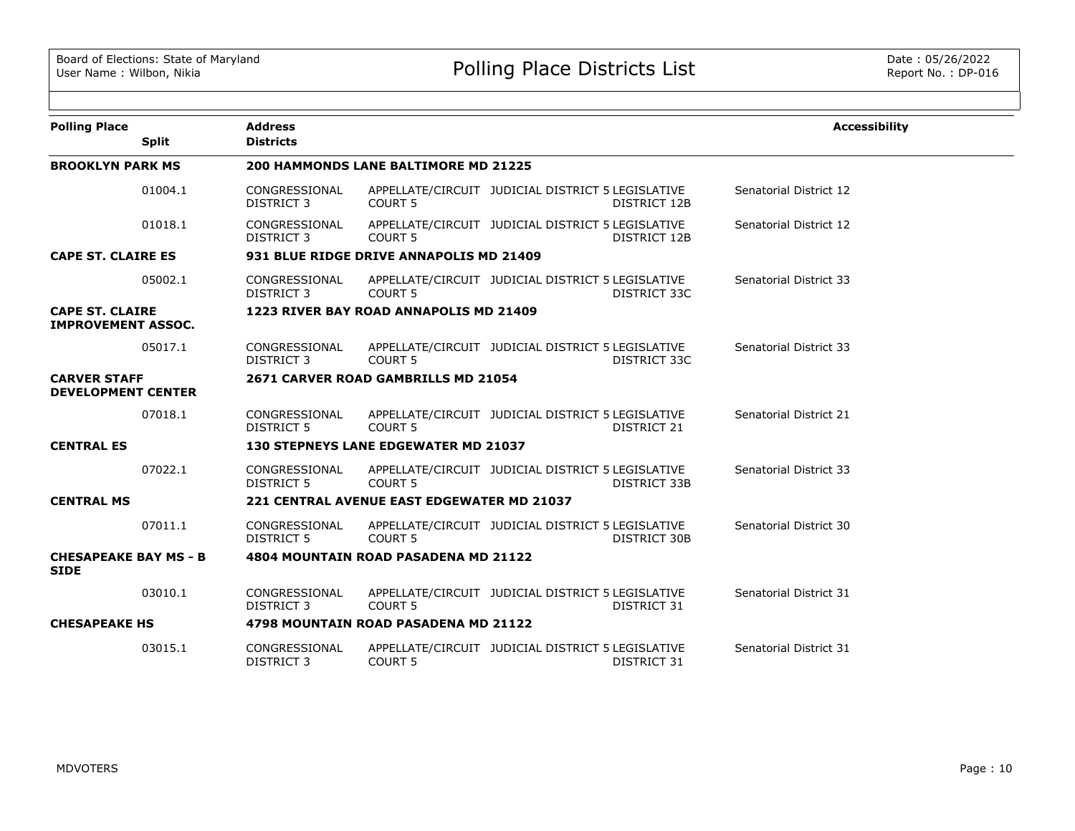| <b>Polling Place</b>                                | <b>Address</b>                     |                                                   |                                                   |                     | <b>Accessibility</b>   |
|-----------------------------------------------------|------------------------------------|---------------------------------------------------|---------------------------------------------------|---------------------|------------------------|
| <b>Split</b>                                        | <b>Districts</b>                   |                                                   |                                                   |                     |                        |
| <b>BROOKLYN PARK MS</b>                             |                                    | 200 HAMMONDS LANE BALTIMORE MD 21225              |                                                   |                     |                        |
| 01004.1                                             | CONGRESSIONAL<br><b>DISTRICT 3</b> | COURT <sub>5</sub>                                | APPELLATE/CIRCUIT JUDICIAL DISTRICT 5 LEGISLATIVE | DISTRICT 12B        | Senatorial District 12 |
| 01018.1                                             | CONGRESSIONAL<br><b>DISTRICT 3</b> | COURT <sub>5</sub>                                | APPELLATE/CIRCUIT JUDICIAL DISTRICT 5 LEGISLATIVE | DISTRICT 12B        | Senatorial District 12 |
| <b>CAPE ST. CLAIRE ES</b>                           |                                    | 931 BLUE RIDGE DRIVE ANNAPOLIS MD 21409           |                                                   |                     |                        |
| 05002.1                                             | CONGRESSIONAL<br>DISTRICT 3        | COURT <sub>5</sub>                                | APPELLATE/CIRCUIT JUDICIAL DISTRICT 5 LEGISLATIVE | DISTRICT 33C        | Senatorial District 33 |
| <b>CAPE ST. CLAIRE</b><br><b>IMPROVEMENT ASSOC.</b> |                                    | 1223 RIVER BAY ROAD ANNAPOLIS MD 21409            |                                                   |                     |                        |
| 05017.1                                             | CONGRESSIONAL<br>DISTRICT 3        | COURT <sub>5</sub>                                | APPELLATE/CIRCUIT JUDICIAL DISTRICT 5 LEGISLATIVE | DISTRICT 33C        | Senatorial District 33 |
| <b>CARVER STAFF</b><br><b>DEVELOPMENT CENTER</b>    |                                    | 2671 CARVER ROAD GAMBRILLS MD 21054               |                                                   |                     |                        |
| 07018.1                                             | CONGRESSIONAL<br>DISTRICT 5        | COURT <sub>5</sub>                                | APPELLATE/CIRCUIT JUDICIAL DISTRICT 5 LEGISLATIVE | DISTRICT 21         | Senatorial District 21 |
| <b>CENTRAL ES</b>                                   |                                    | <b>130 STEPNEYS LANE EDGEWATER MD 21037</b>       |                                                   |                     |                        |
| 07022.1                                             | CONGRESSIONAL<br><b>DISTRICT 5</b> | COURT <sub>5</sub>                                | APPELLATE/CIRCUIT JUDICIAL DISTRICT 5 LEGISLATIVE | DISTRICT 33B        | Senatorial District 33 |
| <b>CENTRAL MS</b>                                   |                                    | <b>221 CENTRAL AVENUE EAST EDGEWATER MD 21037</b> |                                                   |                     |                        |
| 07011.1                                             | CONGRESSIONAL<br><b>DISTRICT 5</b> | <b>COURT 5</b>                                    | APPELLATE/CIRCUIT JUDICIAL DISTRICT 5 LEGISLATIVE | <b>DISTRICT 30B</b> | Senatorial District 30 |
| <b>CHESAPEAKE BAY MS - B</b><br><b>SIDE</b>         |                                    | 4804 MOUNTAIN ROAD PASADENA MD 21122              |                                                   |                     |                        |
| 03010.1                                             | CONGRESSIONAL<br>DISTRICT 3        | COURT <sub>5</sub>                                | APPELLATE/CIRCUIT JUDICIAL DISTRICT 5 LEGISLATIVE | DISTRICT 31         | Senatorial District 31 |
| <b>CHESAPEAKE HS</b>                                |                                    | 4798 MOUNTAIN ROAD PASADENA MD 21122              |                                                   |                     |                        |
| 03015.1                                             | CONGRESSIONAL<br><b>DISTRICT 3</b> | <b>COURT 5</b>                                    | APPELLATE/CIRCUIT JUDICIAL DISTRICT 5 LEGISLATIVE | DISTRICT 31         | Senatorial District 31 |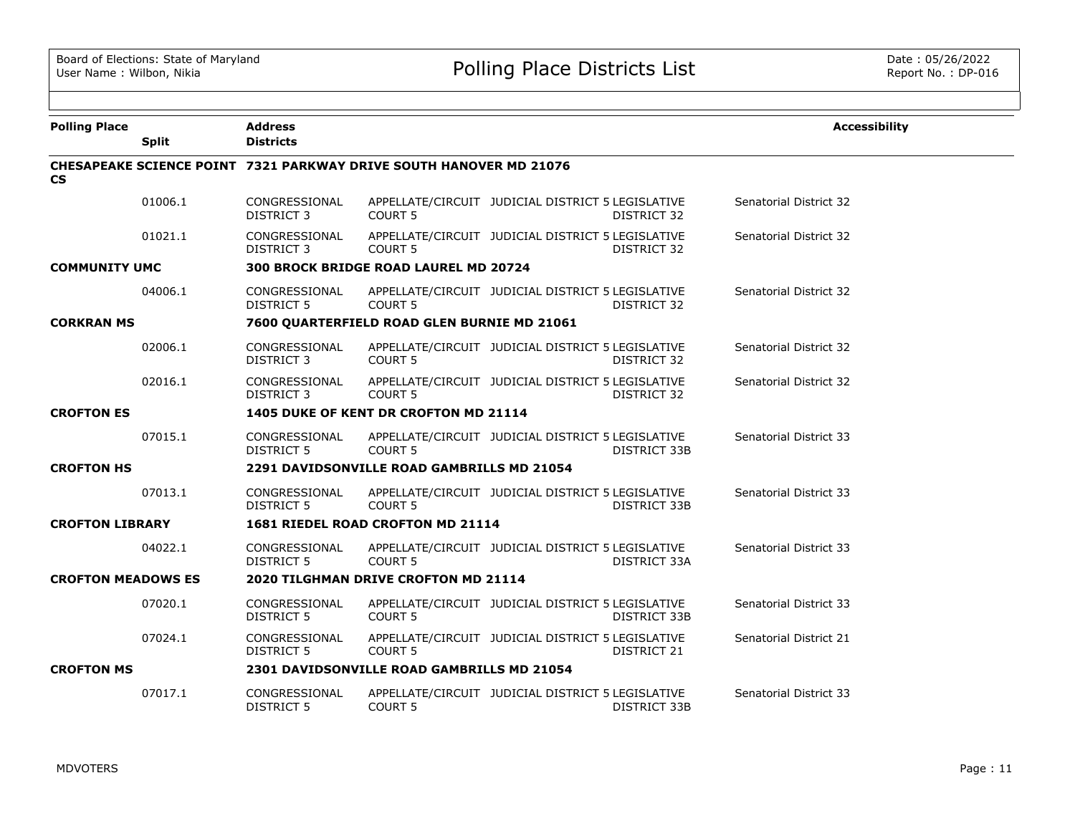| <b>Polling Place</b>      |              | <b>Address</b>                     |                                                                           |              | <b>Accessibility</b>          |
|---------------------------|--------------|------------------------------------|---------------------------------------------------------------------------|--------------|-------------------------------|
|                           | <b>Split</b> | <b>Districts</b>                   |                                                                           |              |                               |
| <b>CS</b>                 |              |                                    | <b>CHESAPEAKE SCIENCE POINT 7321 PARKWAY DRIVE SOUTH HANOVER MD 21076</b> |              |                               |
|                           | 01006.1      | CONGRESSIONAL<br>DISTRICT 3        | APPELLATE/CIRCUIT JUDICIAL DISTRICT 5 LEGISLATIVE<br><b>COURT 5</b>       | DISTRICT 32  | Senatorial District 32        |
|                           | 01021.1      | CONGRESSIONAL<br><b>DISTRICT 3</b> | APPELLATE/CIRCUIT JUDICIAL DISTRICT 5 LEGISLATIVE<br><b>COURT 5</b>       | DISTRICT 32  | Senatorial District 32        |
| <b>COMMUNITY UMC</b>      |              |                                    | 300 BROCK BRIDGE ROAD LAUREL MD 20724                                     |              |                               |
|                           | 04006.1      | CONGRESSIONAL<br><b>DISTRICT 5</b> | APPELLATE/CIRCUIT JUDICIAL DISTRICT 5 LEGISLATIVE<br><b>COURT 5</b>       | DISTRICT 32  | Senatorial District 32        |
| <b>CORKRAN MS</b>         |              |                                    | 7600 QUARTERFIELD ROAD GLEN BURNIE MD 21061                               |              |                               |
|                           | 02006.1      | CONGRESSIONAL<br>DISTRICT 3        | APPELLATE/CIRCUIT JUDICIAL DISTRICT 5 LEGISLATIVE<br><b>COURT 5</b>       | DISTRICT 32  | Senatorial District 32        |
|                           | 02016.1      | CONGRESSIONAL<br><b>DISTRICT 3</b> | APPELLATE/CIRCUIT JUDICIAL DISTRICT 5 LEGISLATIVE<br><b>COURT 5</b>       | DISTRICT 32  | Senatorial District 32        |
| <b>CROFTON ES</b>         |              |                                    | 1405 DUKE OF KENT DR CROFTON MD 21114                                     |              |                               |
|                           | 07015.1      | CONGRESSIONAL<br><b>DISTRICT 5</b> | APPELLATE/CIRCUIT JUDICIAL DISTRICT 5 LEGISLATIVE<br><b>COURT 5</b>       | DISTRICT 33B | Senatorial District 33        |
| <b>CROFTON HS</b>         |              |                                    | 2291 DAVIDSONVILLE ROAD GAMBRILLS MD 21054                                |              |                               |
|                           | 07013.1      | CONGRESSIONAL<br><b>DISTRICT 5</b> | APPELLATE/CIRCUIT JUDICIAL DISTRICT 5 LEGISLATIVE<br>COURT <sub>5</sub>   | DISTRICT 33B | Senatorial District 33        |
| <b>CROFTON LIBRARY</b>    |              |                                    | 1681 RIEDEL ROAD CROFTON MD 21114                                         |              |                               |
|                           | 04022.1      | CONGRESSIONAL<br>DISTRICT 5        | APPELLATE/CIRCUIT JUDICIAL DISTRICT 5 LEGISLATIVE<br><b>COURT 5</b>       | DISTRICT 33A | <b>Senatorial District 33</b> |
| <b>CROFTON MEADOWS ES</b> |              |                                    | 2020 TILGHMAN DRIVE CROFTON MD 21114                                      |              |                               |
|                           | 07020.1      | CONGRESSIONAL<br><b>DISTRICT 5</b> | APPELLATE/CIRCUIT JUDICIAL DISTRICT 5 LEGISLATIVE<br>COURT <sub>5</sub>   | DISTRICT 33B | Senatorial District 33        |
|                           | 07024.1      | CONGRESSIONAL<br><b>DISTRICT 5</b> | APPELLATE/CIRCUIT JUDICIAL DISTRICT 5 LEGISLATIVE<br><b>COURT 5</b>       | DISTRICT 21  | Senatorial District 21        |
| <b>CROFTON MS</b>         |              |                                    | <b>2301 DAVIDSONVILLE ROAD GAMBRILLS MD 21054</b>                         |              |                               |
|                           | 07017.1      | CONGRESSIONAL<br><b>DISTRICT 5</b> | APPELLATE/CIRCUIT JUDICIAL DISTRICT 5 LEGISLATIVE<br><b>COURT 5</b>       | DISTRICT 33B | Senatorial District 33        |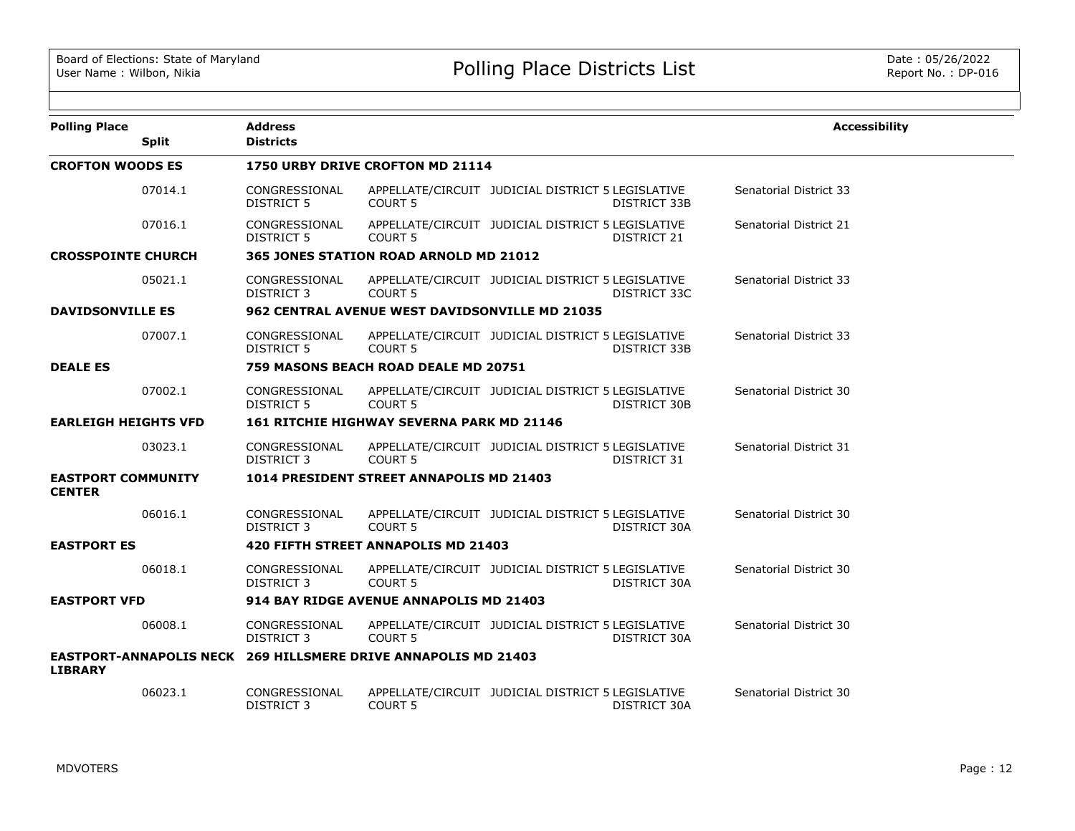| <b>Polling Place</b>                       | <b>Split</b> | <b>Address</b><br><b>Districts</b> |                                                                       |                                                   |              | <b>Accessibility</b>          |
|--------------------------------------------|--------------|------------------------------------|-----------------------------------------------------------------------|---------------------------------------------------|--------------|-------------------------------|
| <b>CROFTON WOODS ES</b>                    |              |                                    | 1750 URBY DRIVE CROFTON MD 21114                                      |                                                   |              |                               |
|                                            | 07014.1      | CONGRESSIONAL<br><b>DISTRICT 5</b> | <b>COURT 5</b>                                                        | APPELLATE/CIRCUIT JUDICIAL DISTRICT 5 LEGISLATIVE | DISTRICT 33B | <b>Senatorial District 33</b> |
|                                            | 07016.1      | CONGRESSIONAL<br><b>DISTRICT 5</b> | <b>COURT 5</b>                                                        | APPELLATE/CIRCUIT JUDICIAL DISTRICT 5 LEGISLATIVE | DISTRICT 21  | Senatorial District 21        |
| <b>CROSSPOINTE CHURCH</b>                  |              |                                    | 365 JONES STATION ROAD ARNOLD MD 21012                                |                                                   |              |                               |
|                                            | 05021.1      | CONGRESSIONAL<br><b>DISTRICT 3</b> | <b>COURT 5</b>                                                        | APPELLATE/CIRCUIT JUDICIAL DISTRICT 5 LEGISLATIVE | DISTRICT 33C | <b>Senatorial District 33</b> |
| <b>DAVIDSONVILLE ES</b>                    |              |                                    | 962 CENTRAL AVENUE WEST DAVIDSONVILLE MD 21035                        |                                                   |              |                               |
|                                            | 07007.1      | CONGRESSIONAL<br><b>DISTRICT 5</b> | <b>COURT 5</b>                                                        | APPELLATE/CIRCUIT JUDICIAL DISTRICT 5 LEGISLATIVE | DISTRICT 33B | <b>Senatorial District 33</b> |
| <b>DEALE ES</b>                            |              |                                    | 759 MASONS BEACH ROAD DEALE MD 20751                                  |                                                   |              |                               |
|                                            | 07002.1      | CONGRESSIONAL<br><b>DISTRICT 5</b> | COURT <sub>5</sub>                                                    | APPELLATE/CIRCUIT JUDICIAL DISTRICT 5 LEGISLATIVE | DISTRICT 30B | Senatorial District 30        |
| <b>EARLEIGH HEIGHTS VFD</b>                |              |                                    | <b>161 RITCHIE HIGHWAY SEVERNA PARK MD 21146</b>                      |                                                   |              |                               |
|                                            | 03023.1      | CONGRESSIONAL<br>DISTRICT 3        | COURT <sub>5</sub>                                                    | APPELLATE/CIRCUIT JUDICIAL DISTRICT 5 LEGISLATIVE | DISTRICT 31  | Senatorial District 31        |
| <b>EASTPORT COMMUNITY</b><br><b>CENTER</b> |              |                                    | 1014 PRESIDENT STREET ANNAPOLIS MD 21403                              |                                                   |              |                               |
|                                            | 06016.1      | CONGRESSIONAL<br>DISTRICT 3        | <b>COURT 5</b>                                                        | APPELLATE/CIRCUIT JUDICIAL DISTRICT 5 LEGISLATIVE | DISTRICT 30A | Senatorial District 30        |
| <b>EASTPORT ES</b>                         |              |                                    | 420 FIFTH STREET ANNAPOLIS MD 21403                                   |                                                   |              |                               |
|                                            | 06018.1      | CONGRESSIONAL<br>DISTRICT 3        | <b>COURT 5</b>                                                        | APPELLATE/CIRCUIT JUDICIAL DISTRICT 5 LEGISLATIVE | DISTRICT 30A | Senatorial District 30        |
| <b>EASTPORT VFD</b>                        |              |                                    | 914 BAY RIDGE AVENUE ANNAPOLIS MD 21403                               |                                                   |              |                               |
|                                            | 06008.1      | CONGRESSIONAL<br>DISTRICT 3        | <b>COURT 5</b>                                                        | APPELLATE/CIRCUIT JUDICIAL DISTRICT 5 LEGISLATIVE | DISTRICT 30A | Senatorial District 30        |
| <b>LIBRARY</b>                             |              |                                    | <b>EASTPORT-ANNAPOLIS NECK 269 HILLSMERE DRIVE ANNAPOLIS MD 21403</b> |                                                   |              |                               |
|                                            | 06023.1      | CONGRESSIONAL<br>DISTRICT 3        | COURT <sub>5</sub>                                                    | APPELLATE/CIRCUIT JUDICIAL DISTRICT 5 LEGISLATIVE | DISTRICT 30A | Senatorial District 30        |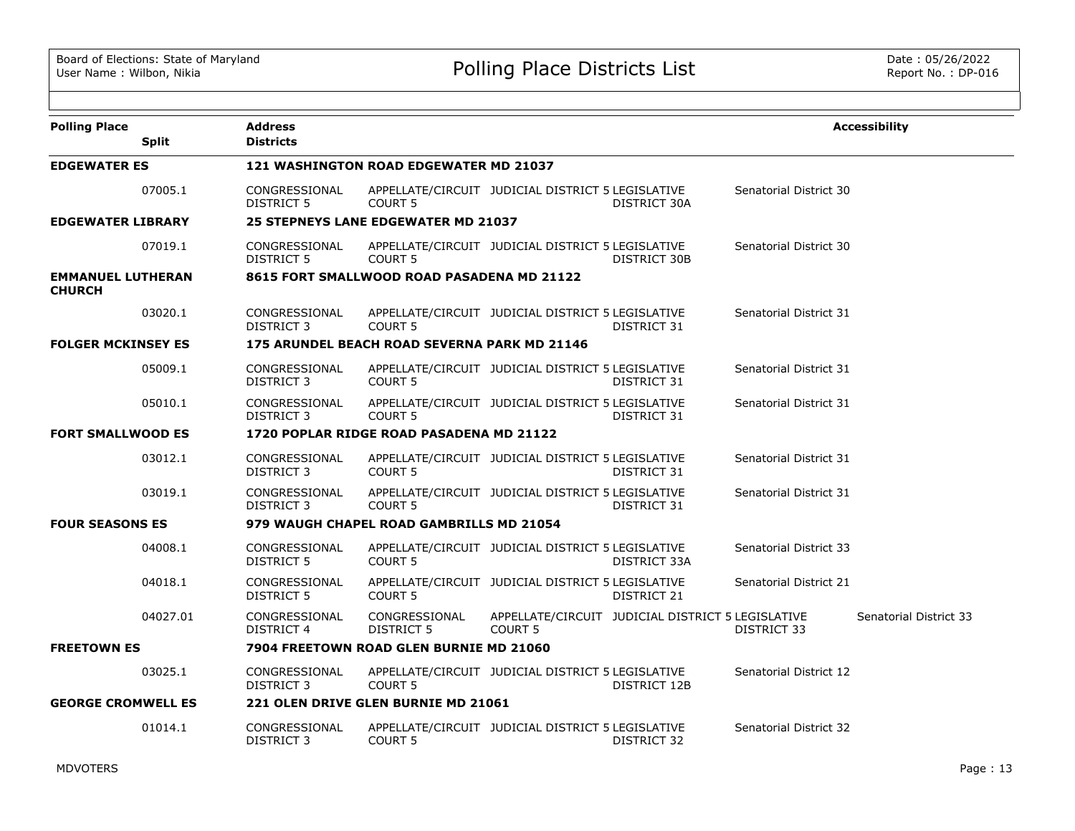| <b>Polling Place</b>                      | <b>Split</b> | <b>Address</b><br><b>Districts</b> |                                               |                                                   |                                                   |                        | <b>Accessibility</b>   |
|-------------------------------------------|--------------|------------------------------------|-----------------------------------------------|---------------------------------------------------|---------------------------------------------------|------------------------|------------------------|
| <b>EDGEWATER ES</b>                       |              |                                    | <b>121 WASHINGTON ROAD EDGEWATER MD 21037</b> |                                                   |                                                   |                        |                        |
|                                           | 07005.1      | CONGRESSIONAL<br>DISTRICT 5        | <b>COURT 5</b>                                | APPELLATE/CIRCUIT JUDICIAL DISTRICT 5 LEGISLATIVE | DISTRICT 30A                                      | Senatorial District 30 |                        |
| <b>EDGEWATER LIBRARY</b>                  |              |                                    | 25 STEPNEYS LANE EDGEWATER MD 21037           |                                                   |                                                   |                        |                        |
|                                           | 07019.1      | CONGRESSIONAL<br>DISTRICT 5        | COURT 5                                       | APPELLATE/CIRCUIT JUDICIAL DISTRICT 5 LEGISLATIVE | DISTRICT 30B                                      | Senatorial District 30 |                        |
| <b>EMMANUEL LUTHERAN</b><br><b>CHURCH</b> |              |                                    | 8615 FORT SMALLWOOD ROAD PASADENA MD 21122    |                                                   |                                                   |                        |                        |
|                                           | 03020.1      | CONGRESSIONAL<br>DISTRICT 3        | COURT <sub>5</sub>                            | APPELLATE/CIRCUIT JUDICIAL DISTRICT 5 LEGISLATIVE | DISTRICT 31                                       | Senatorial District 31 |                        |
| <b>FOLGER MCKINSEY ES</b>                 |              |                                    | 175 ARUNDEL BEACH ROAD SEVERNA PARK MD 21146  |                                                   |                                                   |                        |                        |
|                                           | 05009.1      | CONGRESSIONAL<br>DISTRICT 3        | <b>COURT 5</b>                                | APPELLATE/CIRCUIT JUDICIAL DISTRICT 5 LEGISLATIVE | DISTRICT 31                                       | Senatorial District 31 |                        |
|                                           | 05010.1      | CONGRESSIONAL<br>DISTRICT 3        | <b>COURT 5</b>                                | APPELLATE/CIRCUIT JUDICIAL DISTRICT 5 LEGISLATIVE | DISTRICT 31                                       | Senatorial District 31 |                        |
| <b>FORT SMALLWOOD ES</b>                  |              |                                    | 1720 POPLAR RIDGE ROAD PASADENA MD 21122      |                                                   |                                                   |                        |                        |
|                                           | 03012.1      | CONGRESSIONAL<br>DISTRICT 3        | COURT <sub>5</sub>                            | APPELLATE/CIRCUIT JUDICIAL DISTRICT 5 LEGISLATIVE | DISTRICT 31                                       | Senatorial District 31 |                        |
|                                           | 03019.1      | CONGRESSIONAL<br><b>DISTRICT 3</b> | <b>COURT 5</b>                                | APPELLATE/CIRCUIT JUDICIAL DISTRICT 5 LEGISLATIVE | DISTRICT 31                                       | Senatorial District 31 |                        |
| <b>FOUR SEASONS ES</b>                    |              |                                    | 979 WAUGH CHAPEL ROAD GAMBRILLS MD 21054      |                                                   |                                                   |                        |                        |
|                                           | 04008.1      | CONGRESSIONAL<br><b>DISTRICT 5</b> | <b>COURT 5</b>                                | APPELLATE/CIRCUIT JUDICIAL DISTRICT 5 LEGISLATIVE | DISTRICT 33A                                      | Senatorial District 33 |                        |
|                                           | 04018.1      | CONGRESSIONAL<br>DISTRICT 5        | <b>COURT 5</b>                                | APPELLATE/CIRCUIT JUDICIAL DISTRICT 5 LEGISLATIVE | DISTRICT 21                                       | Senatorial District 21 |                        |
|                                           | 04027.01     | CONGRESSIONAL<br>DISTRICT 4        | CONGRESSIONAL<br><b>DISTRICT 5</b>            | <b>COURT 5</b>                                    | APPELLATE/CIRCUIT JUDICIAL DISTRICT 5 LEGISLATIVE | <b>DISTRICT 33</b>     | Senatorial District 33 |
| <b>FREETOWN ES</b>                        |              |                                    | 7904 FREETOWN ROAD GLEN BURNIE MD 21060       |                                                   |                                                   |                        |                        |
|                                           | 03025.1      | CONGRESSIONAL<br>DISTRICT 3        | <b>COURT 5</b>                                | APPELLATE/CIRCUIT JUDICIAL DISTRICT 5 LEGISLATIVE | DISTRICT 12B                                      | Senatorial District 12 |                        |
| <b>GEORGE CROMWELL ES</b>                 |              |                                    | 221 OLEN DRIVE GLEN BURNIE MD 21061           |                                                   |                                                   |                        |                        |
|                                           | 01014.1      | CONGRESSIONAL<br>DISTRICT 3        | <b>COURT 5</b>                                | APPELLATE/CIRCUIT JUDICIAL DISTRICT 5 LEGISLATIVE | DISTRICT 32                                       | Senatorial District 32 |                        |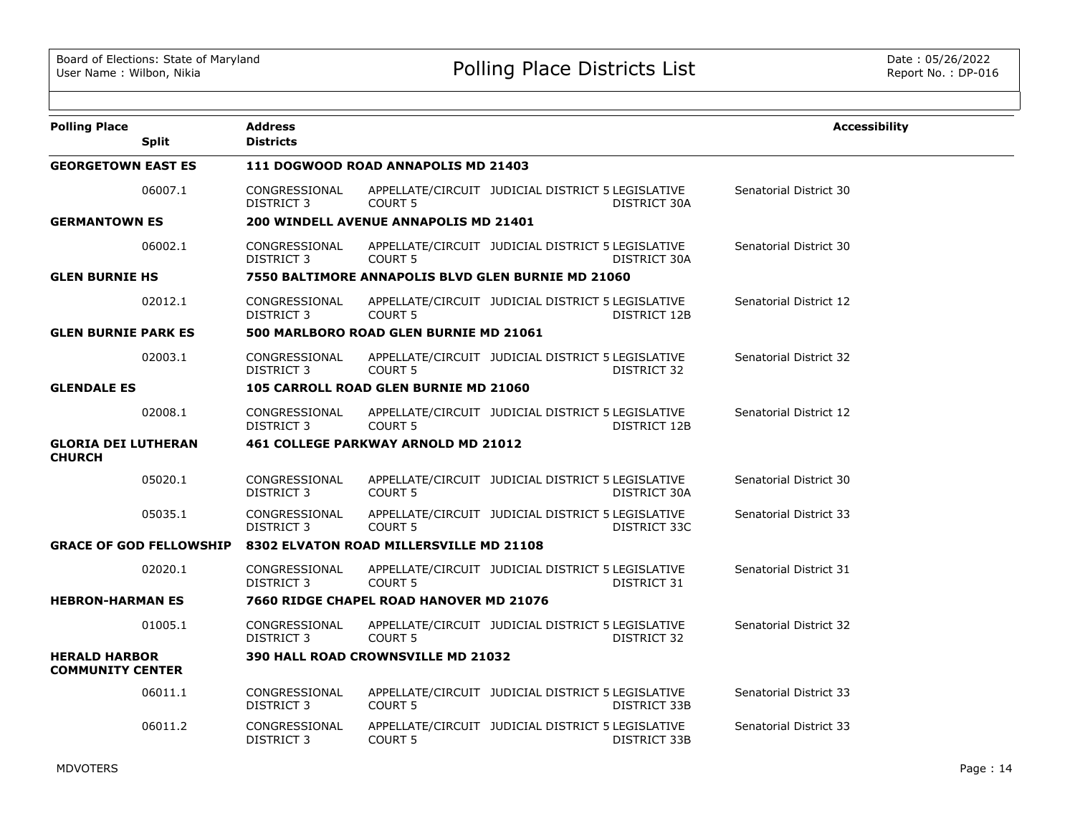| <b>Polling Place</b>                            | <b>Split</b>                   | <b>Address</b><br><b>Districts</b> |                                                    |                                                   |              | <b>Accessibility</b>          |
|-------------------------------------------------|--------------------------------|------------------------------------|----------------------------------------------------|---------------------------------------------------|--------------|-------------------------------|
| <b>GEORGETOWN EAST ES</b>                       |                                |                                    | 111 DOGWOOD ROAD ANNAPOLIS MD 21403                |                                                   |              |                               |
|                                                 | 06007.1                        | CONGRESSIONAL<br><b>DISTRICT 3</b> | <b>COURT 5</b>                                     | APPELLATE/CIRCUIT JUDICIAL DISTRICT 5 LEGISLATIVE | DISTRICT 30A | Senatorial District 30        |
| <b>GERMANTOWN ES</b>                            |                                |                                    | 200 WINDELL AVENUE ANNAPOLIS MD 21401              |                                                   |              |                               |
|                                                 | 06002.1                        | CONGRESSIONAL<br><b>DISTRICT 3</b> | <b>COURT 5</b>                                     | APPELLATE/CIRCUIT JUDICIAL DISTRICT 5 LEGISLATIVE | DISTRICT 30A | Senatorial District 30        |
| <b>GLEN BURNIE HS</b>                           |                                |                                    | 7550 BALTIMORE ANNAPOLIS BLVD GLEN BURNIE MD 21060 |                                                   |              |                               |
|                                                 | 02012.1                        | CONGRESSIONAL<br>DISTRICT 3        | COURT <sub>5</sub>                                 | APPELLATE/CIRCUIT JUDICIAL DISTRICT 5 LEGISLATIVE | DISTRICT 12B | Senatorial District 12        |
| <b>GLEN BURNIE PARK ES</b>                      |                                |                                    | 500 MARLBORO ROAD GLEN BURNIE MD 21061             |                                                   |              |                               |
|                                                 | 02003.1                        | CONGRESSIONAL<br><b>DISTRICT 3</b> | <b>COURT 5</b>                                     | APPELLATE/CIRCUIT JUDICIAL DISTRICT 5 LEGISLATIVE | DISTRICT 32  | Senatorial District 32        |
| <b>GLENDALE ES</b>                              |                                |                                    | 105 CARROLL ROAD GLEN BURNIE MD 21060              |                                                   |              |                               |
|                                                 | 02008.1                        | CONGRESSIONAL<br>DISTRICT 3        | <b>COURT 5</b>                                     | APPELLATE/CIRCUIT JUDICIAL DISTRICT 5 LEGISLATIVE | DISTRICT 12B | Senatorial District 12        |
| <b>GLORIA DEI LUTHERAN</b><br><b>CHURCH</b>     |                                |                                    | 461 COLLEGE PARKWAY ARNOLD MD 21012                |                                                   |              |                               |
|                                                 | 05020.1                        | CONGRESSIONAL<br>DISTRICT 3        | <b>COURT 5</b>                                     | APPELLATE/CIRCUIT JUDICIAL DISTRICT 5 LEGISLATIVE | DISTRICT 30A | Senatorial District 30        |
|                                                 | 05035.1                        | CONGRESSIONAL<br>DISTRICT 3        | <b>COURT 5</b>                                     | APPELLATE/CIRCUIT JUDICIAL DISTRICT 5 LEGISLATIVE | DISTRICT 33C | <b>Senatorial District 33</b> |
|                                                 | <b>GRACE OF GOD FELLOWSHIP</b> |                                    | 8302 ELVATON ROAD MILLERSVILLE MD 21108            |                                                   |              |                               |
|                                                 | 02020.1                        | CONGRESSIONAL<br>DISTRICT 3        | <b>COURT 5</b>                                     | APPELLATE/CIRCUIT JUDICIAL DISTRICT 5 LEGISLATIVE | DISTRICT 31  | Senatorial District 31        |
| <b>HEBRON-HARMAN ES</b>                         |                                |                                    | 7660 RIDGE CHAPEL ROAD HANOVER MD 21076            |                                                   |              |                               |
|                                                 | 01005.1                        | CONGRESSIONAL<br><b>DISTRICT 3</b> | <b>COURT 5</b>                                     | APPELLATE/CIRCUIT JUDICIAL DISTRICT 5 LEGISLATIVE | DISTRICT 32  | Senatorial District 32        |
| <b>HERALD HARBOR</b><br><b>COMMUNITY CENTER</b> |                                |                                    | <b>390 HALL ROAD CROWNSVILLE MD 21032</b>          |                                                   |              |                               |
|                                                 | 06011.1                        | CONGRESSIONAL<br>DISTRICT 3        | <b>COURT 5</b>                                     | APPELLATE/CIRCUIT JUDICIAL DISTRICT 5 LEGISLATIVE | DISTRICT 33B | Senatorial District 33        |
|                                                 | 06011.2                        | CONGRESSIONAL<br>DISTRICT 3        | <b>COURT 5</b>                                     | APPELLATE/CIRCUIT JUDICIAL DISTRICT 5 LEGISLATIVE | DISTRICT 33B | <b>Senatorial District 33</b> |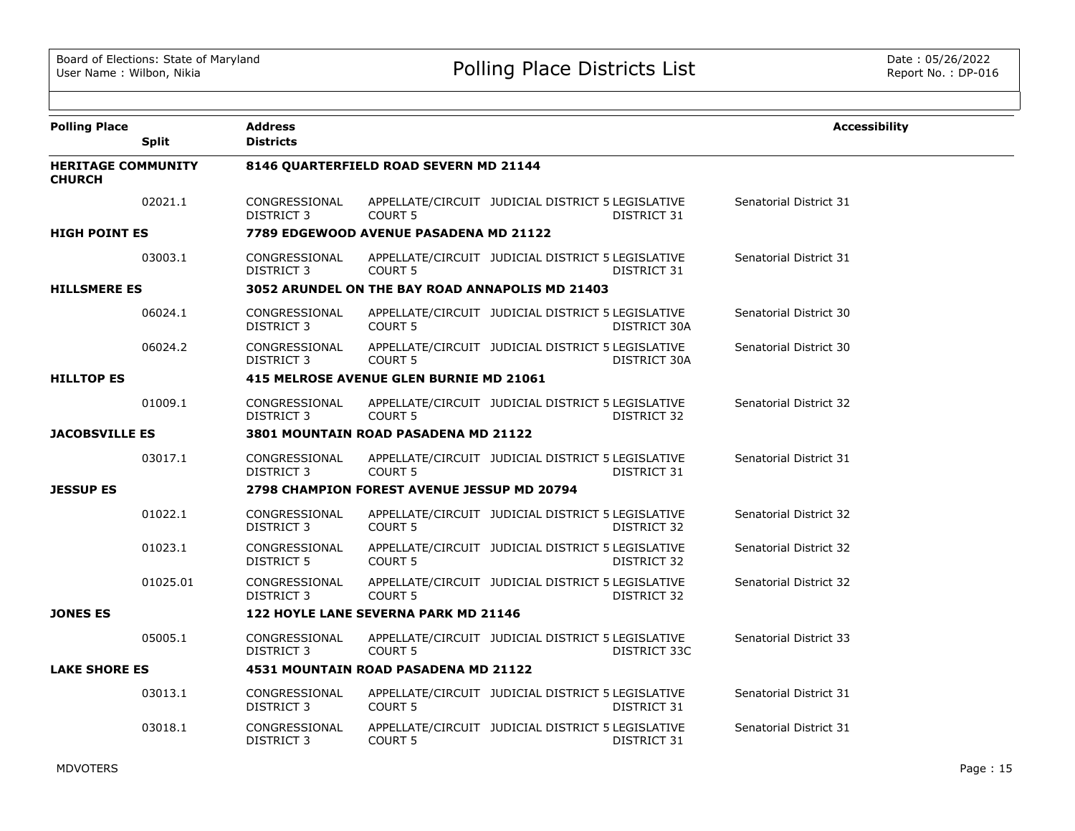| <b>Polling Place</b>                                         | <b>Split</b> | <b>Address</b><br><b>Districts</b> |                                                    |                                                   |              | <b>Accessibility</b>   |  |
|--------------------------------------------------------------|--------------|------------------------------------|----------------------------------------------------|---------------------------------------------------|--------------|------------------------|--|
| <b>HERITAGE COMMUNITY</b><br><b>CHURCH</b>                   |              |                                    | 8146 QUARTERFIELD ROAD SEVERN MD 21144             |                                                   |              |                        |  |
|                                                              | 02021.1      | CONGRESSIONAL<br>DISTRICT 3        | COURT <sub>5</sub>                                 | APPELLATE/CIRCUIT JUDICIAL DISTRICT 5 LEGISLATIVE | DISTRICT 31  | Senatorial District 31 |  |
| <b>HIGH POINT ES</b>                                         |              |                                    | 7789 EDGEWOOD AVENUE PASADENA MD 21122             |                                                   |              |                        |  |
|                                                              | 03003.1      | CONGRESSIONAL<br><b>DISTRICT 3</b> | <b>COURT 5</b>                                     | APPELLATE/CIRCUIT JUDICIAL DISTRICT 5 LEGISLATIVE | DISTRICT 31  | Senatorial District 31 |  |
| <b>HILLSMERE ES</b>                                          |              |                                    | 3052 ARUNDEL ON THE BAY ROAD ANNAPOLIS MD 21403    |                                                   |              |                        |  |
|                                                              | 06024.1      | CONGRESSIONAL<br><b>DISTRICT 3</b> | <b>COURT 5</b>                                     | APPELLATE/CIRCUIT JUDICIAL DISTRICT 5 LEGISLATIVE | DISTRICT 30A | Senatorial District 30 |  |
|                                                              | 06024.2      | CONGRESSIONAL<br>DISTRICT 3        | <b>COURT 5</b>                                     | APPELLATE/CIRCUIT JUDICIAL DISTRICT 5 LEGISLATIVE | DISTRICT 30A | Senatorial District 30 |  |
| <b>HILLTOP ES</b><br>415 MELROSE AVENUE GLEN BURNIE MD 21061 |              |                                    |                                                    |                                                   |              |                        |  |
|                                                              | 01009.1      | CONGRESSIONAL<br>DISTRICT 3        | <b>COURT 5</b>                                     | APPELLATE/CIRCUIT JUDICIAL DISTRICT 5 LEGISLATIVE | DISTRICT 32  | Senatorial District 32 |  |
| <b>JACOBSVILLE ES</b>                                        |              |                                    | <b>3801 MOUNTAIN ROAD PASADENA MD 21122</b>        |                                                   |              |                        |  |
|                                                              | 03017.1      | CONGRESSIONAL<br><b>DISTRICT 3</b> | <b>COURT 5</b>                                     | APPELLATE/CIRCUIT JUDICIAL DISTRICT 5 LEGISLATIVE | DISTRICT 31  | Senatorial District 31 |  |
| <b>JESSUP ES</b>                                             |              |                                    | <b>2798 CHAMPION FOREST AVENUE JESSUP MD 20794</b> |                                                   |              |                        |  |
|                                                              | 01022.1      | CONGRESSIONAL<br><b>DISTRICT 3</b> | <b>COURT 5</b>                                     | APPELLATE/CIRCUIT JUDICIAL DISTRICT 5 LEGISLATIVE | DISTRICT 32  | Senatorial District 32 |  |
|                                                              | 01023.1      | CONGRESSIONAL<br>DISTRICT 5        | <b>COURT 5</b>                                     | APPELLATE/CIRCUIT JUDICIAL DISTRICT 5 LEGISLATIVE | DISTRICT 32  | Senatorial District 32 |  |
|                                                              | 01025.01     | CONGRESSIONAL<br>DISTRICT 3        | <b>COURT 5</b>                                     | APPELLATE/CIRCUIT JUDICIAL DISTRICT 5 LEGISLATIVE | DISTRICT 32  | Senatorial District 32 |  |
| <b>JONES ES</b>                                              |              |                                    | 122 HOYLE LANE SEVERNA PARK MD 21146               |                                                   |              |                        |  |
|                                                              | 05005.1      | CONGRESSIONAL<br><b>DISTRICT 3</b> | <b>COURT 5</b>                                     | APPELLATE/CIRCUIT JUDICIAL DISTRICT 5 LEGISLATIVE | DISTRICT 33C | Senatorial District 33 |  |
| <b>LAKE SHORE ES</b>                                         |              |                                    | 4531 MOUNTAIN ROAD PASADENA MD 21122               |                                                   |              |                        |  |
|                                                              | 03013.1      | CONGRESSIONAL<br><b>DISTRICT 3</b> | <b>COURT 5</b>                                     | APPELLATE/CIRCUIT JUDICIAL DISTRICT 5 LEGISLATIVE | DISTRICT 31  | Senatorial District 31 |  |
|                                                              | 03018.1      | CONGRESSIONAL<br><b>DISTRICT 3</b> | <b>COURT 5</b>                                     | APPELLATE/CIRCUIT JUDICIAL DISTRICT 5 LEGISLATIVE | DISTRICT 31  | Senatorial District 31 |  |

MDVOTERS Page : 15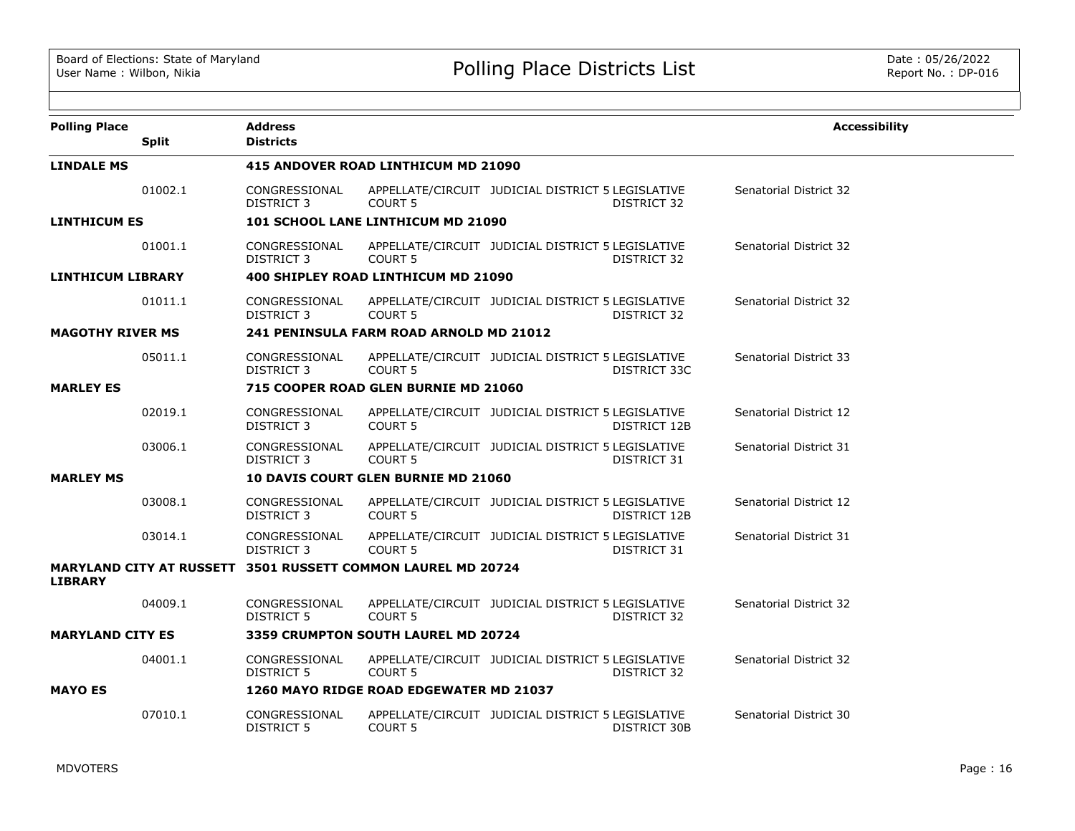| <b>Polling Place</b>     |              | <b>Address</b>                      |                                                              |                                                   |              | <b>Accessibility</b>   |
|--------------------------|--------------|-------------------------------------|--------------------------------------------------------------|---------------------------------------------------|--------------|------------------------|
|                          | <b>Split</b> | <b>Districts</b>                    |                                                              |                                                   |              |                        |
| <b>LINDALE MS</b>        |              |                                     | 415 ANDOVER ROAD LINTHICUM MD 21090                          |                                                   |              |                        |
|                          | 01002.1      | CONGRESSIONAL<br>DISTRICT 3         | <b>COURT 5</b>                                               | APPELLATE/CIRCUIT JUDICIAL DISTRICT 5 LEGISLATIVE | DISTRICT 32  | Senatorial District 32 |
| <b>LINTHICUM ES</b>      |              |                                     | 101 SCHOOL LANE LINTHICUM MD 21090                           |                                                   |              |                        |
|                          | 01001.1      | CONGRESSIONAL<br>DISTRICT 3         | COURT 5                                                      | APPELLATE/CIRCUIT JUDICIAL DISTRICT 5 LEGISLATIVE | DISTRICT 32  | Senatorial District 32 |
| <b>LINTHICUM LIBRARY</b> |              |                                     | 400 SHIPLEY ROAD LINTHICUM MD 21090                          |                                                   |              |                        |
|                          | 01011.1      | CONGRESSIONAL<br><b>DISTRICT 3</b>  | <b>COURT 5</b>                                               | APPELLATE/CIRCUIT JUDICIAL DISTRICT 5 LEGISLATIVE | DISTRICT 32  | Senatorial District 32 |
| <b>MAGOTHY RIVER MS</b>  |              |                                     | 241 PENINSULA FARM ROAD ARNOLD MD 21012                      |                                                   |              |                        |
|                          | 05011.1      | CONGRESSIONAL<br><b>DISTRICT 3</b>  | <b>COURT 5</b>                                               | APPELLATE/CIRCUIT JUDICIAL DISTRICT 5 LEGISLATIVE | DISTRICT 33C | Senatorial District 33 |
| <b>MARLEY ES</b>         |              |                                     | 715 COOPER ROAD GLEN BURNIE MD 21060                         |                                                   |              |                        |
|                          | 02019.1      | CONGRESSIONAL<br>DISTRICT 3         | <b>COURT 5</b>                                               | APPELLATE/CIRCUIT JUDICIAL DISTRICT 5 LEGISLATIVE | DISTRICT 12B | Senatorial District 12 |
|                          | 03006.1      | CONGRESSIONAL<br>DISTRICT 3         | COURT 5                                                      | APPELLATE/CIRCUIT JUDICIAL DISTRICT 5 LEGISLATIVE | DISTRICT 31  | Senatorial District 31 |
| <b>MARLEY MS</b>         |              | 10 DAVIS COURT GLEN BURNIE MD 21060 |                                                              |                                                   |              |                        |
|                          | 03008.1      | CONGRESSIONAL<br><b>DISTRICT 3</b>  | COURT <sub>5</sub>                                           | APPELLATE/CIRCUIT JUDICIAL DISTRICT 5 LEGISLATIVE | DISTRICT 12B | Senatorial District 12 |
|                          | 03014.1      | CONGRESSIONAL<br><b>DISTRICT 3</b>  | COURT <sub>5</sub>                                           | APPELLATE/CIRCUIT JUDICIAL DISTRICT 5 LEGISLATIVE | DISTRICT 31  | Senatorial District 31 |
| <b>LIBRARY</b>           |              |                                     | MARYLAND CITY AT RUSSETT 3501 RUSSETT COMMON LAUREL MD 20724 |                                                   |              |                        |
|                          | 04009.1      | CONGRESSIONAL<br><b>DISTRICT 5</b>  | <b>COURT 5</b>                                               | APPELLATE/CIRCUIT JUDICIAL DISTRICT 5 LEGISLATIVE | DISTRICT 32  | Senatorial District 32 |
| <b>MARYLAND CITY ES</b>  |              |                                     | <b>3359 CRUMPTON SOUTH LAUREL MD 20724</b>                   |                                                   |              |                        |
|                          | 04001.1      | CONGRESSIONAL<br>DISTRICT 5         | <b>COURT 5</b>                                               | APPELLATE/CIRCUIT JUDICIAL DISTRICT 5 LEGISLATIVE | DISTRICT 32  | Senatorial District 32 |
| <b>MAYO ES</b>           |              |                                     | 1260 MAYO RIDGE ROAD EDGEWATER MD 21037                      |                                                   |              |                        |
|                          | 07010.1      | CONGRESSIONAL<br>DISTRICT 5         | COURT <sub>5</sub>                                           | APPELLATE/CIRCUIT JUDICIAL DISTRICT 5 LEGISLATIVE | DISTRICT 30B | Senatorial District 30 |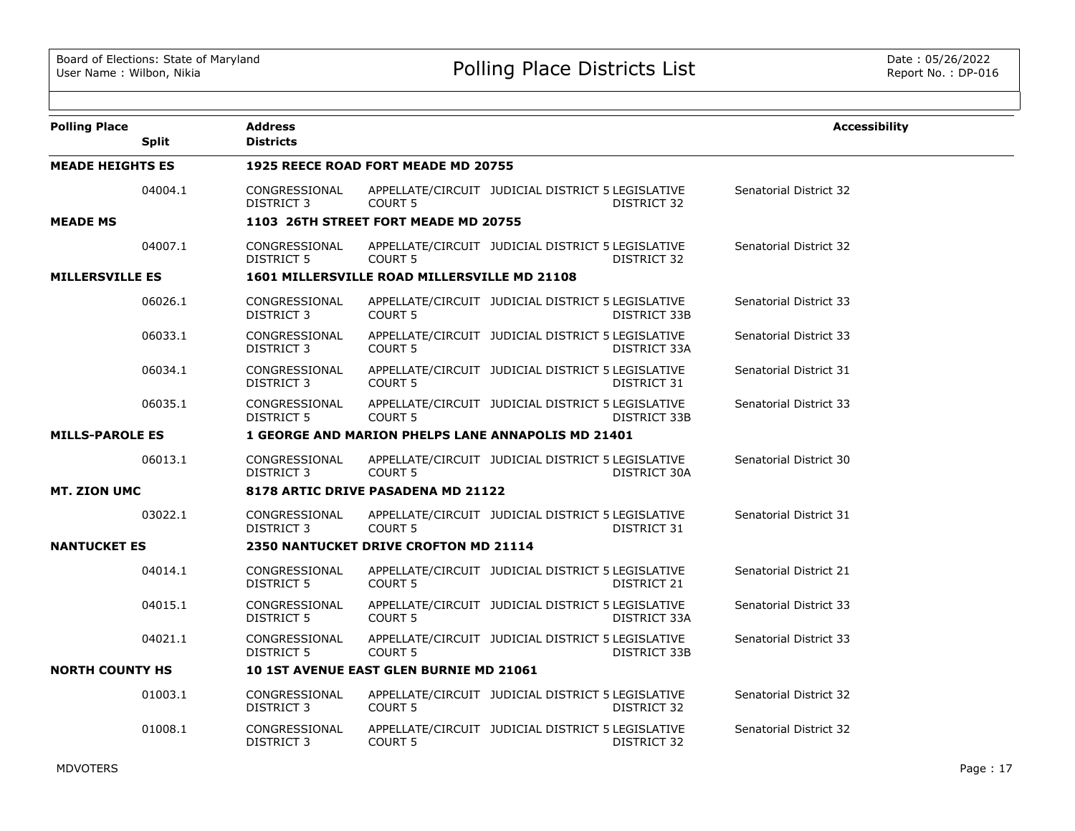| <b>Polling Place</b>    | <b>Split</b> | <b>Address</b><br><b>Districts</b>                        |                                                                         |                                                   |              | <b>Accessibility</b>   |  |  |
|-------------------------|--------------|-----------------------------------------------------------|-------------------------------------------------------------------------|---------------------------------------------------|--------------|------------------------|--|--|
| <b>MEADE HEIGHTS ES</b> |              |                                                           | 1925 REECE ROAD FORT MEADE MD 20755                                     |                                                   |              |                        |  |  |
|                         | 04004.1      | CONGRESSIONAL<br><b>DISTRICT 3</b>                        | <b>COURT 5</b>                                                          | APPELLATE/CIRCUIT JUDICIAL DISTRICT 5 LEGISLATIVE | DISTRICT 32  | Senatorial District 32 |  |  |
| <b>MEADE MS</b>         |              |                                                           | 1103 26TH STREET FORT MEADE MD 20755                                    |                                                   |              |                        |  |  |
|                         | 04007.1      | CONGRESSIONAL<br><b>DISTRICT 5</b>                        | APPELLATE/CIRCUIT JUDICIAL DISTRICT 5 LEGISLATIVE<br><b>COURT 5</b>     |                                                   | DISTRICT 32  | Senatorial District 32 |  |  |
| <b>MILLERSVILLE ES</b>  |              | 1601 MILLERSVILLE ROAD MILLERSVILLE MD 21108              |                                                                         |                                                   |              |                        |  |  |
|                         | 06026.1      | CONGRESSIONAL<br>DISTRICT 3                               | <b>COURT 5</b>                                                          | APPELLATE/CIRCUIT JUDICIAL DISTRICT 5 LEGISLATIVE | DISTRICT 33B | Senatorial District 33 |  |  |
|                         | 06033.1      | CONGRESSIONAL<br>DISTRICT 3                               | <b>COURT 5</b>                                                          | APPELLATE/CIRCUIT JUDICIAL DISTRICT 5 LEGISLATIVE | DISTRICT 33A | Senatorial District 33 |  |  |
|                         | 06034.1      | CONGRESSIONAL<br><b>DISTRICT 3</b>                        | COURT <sub>5</sub>                                                      | APPELLATE/CIRCUIT JUDICIAL DISTRICT 5 LEGISLATIVE | DISTRICT 31  | Senatorial District 31 |  |  |
|                         | 06035.1      | CONGRESSIONAL<br><b>DISTRICT 5</b>                        | APPELLATE/CIRCUIT JUDICIAL DISTRICT 5 LEGISLATIVE<br>COURT <sub>5</sub> |                                                   | DISTRICT 33B | Senatorial District 33 |  |  |
| <b>MILLS-PAROLE ES</b>  |              | <b>1 GEORGE AND MARION PHELPS LANE ANNAPOLIS MD 21401</b> |                                                                         |                                                   |              |                        |  |  |
|                         | 06013.1      | CONGRESSIONAL<br><b>DISTRICT 3</b>                        | APPELLATE/CIRCUIT JUDICIAL DISTRICT 5 LEGISLATIVE<br><b>COURT 5</b>     |                                                   | DISTRICT 30A | Senatorial District 30 |  |  |
| <b>MT. ZION UMC</b>     |              | 8178 ARTIC DRIVE PASADENA MD 21122                        |                                                                         |                                                   |              |                        |  |  |
|                         | 03022.1      | CONGRESSIONAL<br><b>DISTRICT 3</b>                        | <b>COURT 5</b>                                                          | APPELLATE/CIRCUIT JUDICIAL DISTRICT 5 LEGISLATIVE | DISTRICT 31  | Senatorial District 31 |  |  |
| <b>NANTUCKET ES</b>     |              |                                                           | 2350 NANTUCKET DRIVE CROFTON MD 21114                                   |                                                   |              |                        |  |  |
|                         | 04014.1      | CONGRESSIONAL<br><b>DISTRICT 5</b>                        | <b>COURT 5</b>                                                          | APPELLATE/CIRCUIT JUDICIAL DISTRICT 5 LEGISLATIVE | DISTRICT 21  | Senatorial District 21 |  |  |
|                         | 04015.1      | CONGRESSIONAL<br><b>DISTRICT 5</b>                        | APPELLATE/CIRCUIT JUDICIAL DISTRICT 5 LEGISLATIVE<br><b>COURT 5</b>     |                                                   | DISTRICT 33A | Senatorial District 33 |  |  |
|                         | 04021.1      | CONGRESSIONAL<br><b>DISTRICT 5</b>                        | APPELLATE/CIRCUIT JUDICIAL DISTRICT 5 LEGISLATIVE<br><b>COURT 5</b>     |                                                   | DISTRICT 33B | Senatorial District 33 |  |  |
| <b>NORTH COUNTY HS</b>  |              |                                                           | <b>10 1ST AVENUE EAST GLEN BURNIE MD 21061</b>                          |                                                   |              |                        |  |  |
|                         | 01003.1      | CONGRESSIONAL<br><b>DISTRICT 3</b>                        | <b>COURT 5</b>                                                          | APPELLATE/CIRCUIT JUDICIAL DISTRICT 5 LEGISLATIVE | DISTRICT 32  | Senatorial District 32 |  |  |
|                         | 01008.1      | CONGRESSIONAL<br><b>DISTRICT 3</b>                        | COURT <sub>5</sub>                                                      | APPELLATE/CIRCUIT JUDICIAL DISTRICT 5 LEGISLATIVE | DISTRICT 32  | Senatorial District 32 |  |  |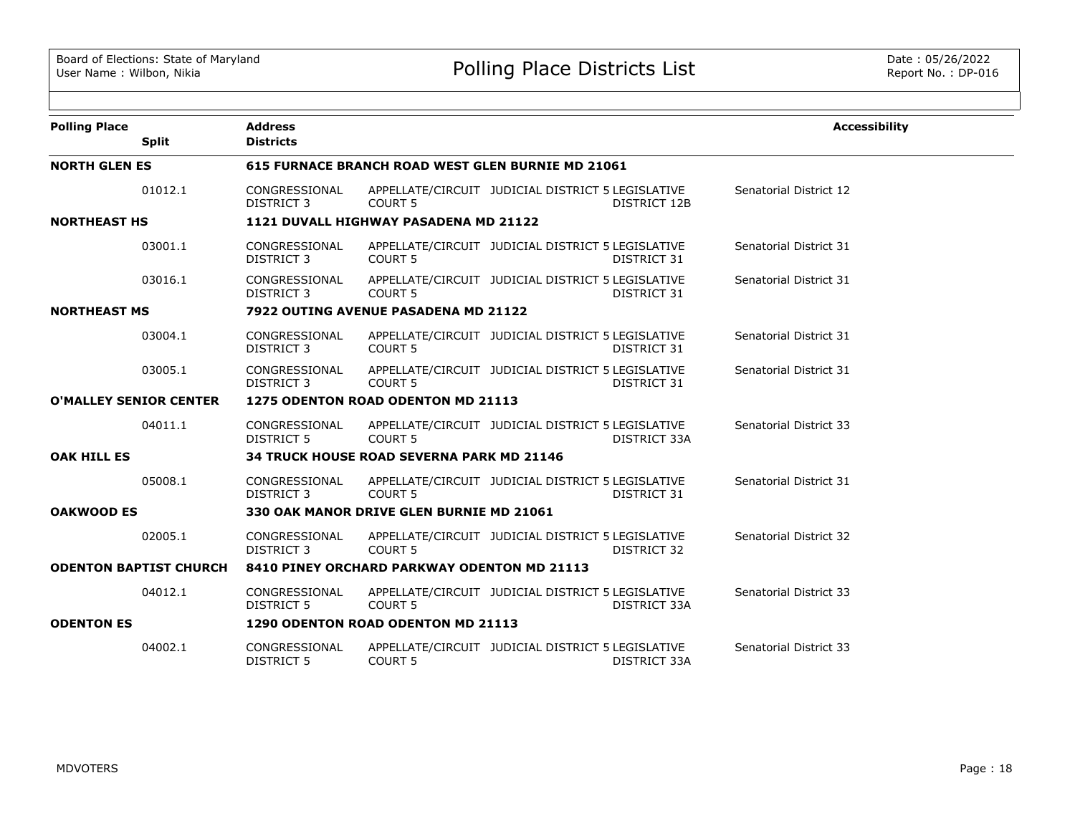| <b>Polling Place</b>          |                               | <b>Address</b>                                   |                                                                         |                                                   |                     | <b>Accessibility</b>          |  |  |  |
|-------------------------------|-------------------------------|--------------------------------------------------|-------------------------------------------------------------------------|---------------------------------------------------|---------------------|-------------------------------|--|--|--|
|                               | <b>Split</b>                  | <b>Districts</b>                                 |                                                                         |                                                   |                     |                               |  |  |  |
| <b>NORTH GLEN ES</b>          |                               |                                                  | 615 FURNACE BRANCH ROAD WEST GLEN BURNIE MD 21061                       |                                                   |                     |                               |  |  |  |
|                               | 01012.1                       | CONGRESSIONAL<br>DISTRICT 3                      | APPELLATE/CIRCUIT JUDICIAL DISTRICT 5 LEGISLATIVE<br><b>COURT 5</b>     |                                                   | <b>DISTRICT 12B</b> | Senatorial District 12        |  |  |  |
| <b>NORTHEAST HS</b>           |                               | 1121 DUVALL HIGHWAY PASADENA MD 21122            |                                                                         |                                                   |                     |                               |  |  |  |
|                               | 03001.1                       | CONGRESSIONAL<br><b>DISTRICT 3</b>               | APPELLATE/CIRCUIT JUDICIAL DISTRICT 5 LEGISLATIVE<br><b>COURT 5</b>     |                                                   | DISTRICT 31         | Senatorial District 31        |  |  |  |
|                               | 03016.1                       | CONGRESSIONAL<br>DISTRICT 3                      | APPELLATE/CIRCUIT JUDICIAL DISTRICT 5 LEGISLATIVE<br><b>COURT 5</b>     |                                                   | DISTRICT 31         | Senatorial District 31        |  |  |  |
| <b>NORTHEAST MS</b>           |                               | 7922 OUTING AVENUE PASADENA MD 21122             |                                                                         |                                                   |                     |                               |  |  |  |
|                               | 03004.1                       | CONGRESSIONAL<br><b>DISTRICT 3</b>               | APPELLATE/CIRCUIT JUDICIAL DISTRICT 5 LEGISLATIVE<br><b>COURT 5</b>     |                                                   | DISTRICT 31         | Senatorial District 31        |  |  |  |
|                               | 03005.1                       | CONGRESSIONAL<br>DISTRICT 3                      | APPELLATE/CIRCUIT JUDICIAL DISTRICT 5 LEGISLATIVE<br>COURT <sub>5</sub> |                                                   | DISTRICT 31         | Senatorial District 31        |  |  |  |
| <b>O'MALLEY SENIOR CENTER</b> |                               | 1275 ODENTON ROAD ODENTON MD 21113               |                                                                         |                                                   |                     |                               |  |  |  |
|                               | 04011.1                       | CONGRESSIONAL<br><b>DISTRICT 5</b>               | APPELLATE/CIRCUIT JUDICIAL DISTRICT 5 LEGISLATIVE<br>COURT <sub>5</sub> |                                                   | DISTRICT 33A        | Senatorial District 33        |  |  |  |
| <b>OAK HILL ES</b>            |                               | <b>34 TRUCK HOUSE ROAD SEVERNA PARK MD 21146</b> |                                                                         |                                                   |                     |                               |  |  |  |
|                               | 05008.1                       | CONGRESSIONAL<br><b>DISTRICT 3</b>               | <b>COURT 5</b>                                                          | APPELLATE/CIRCUIT JUDICIAL DISTRICT 5 LEGISLATIVE | DISTRICT 31         | Senatorial District 31        |  |  |  |
| <b>OAKWOOD ES</b>             |                               |                                                  | 330 OAK MANOR DRIVE GLEN BURNIE MD 21061                                |                                                   |                     |                               |  |  |  |
|                               | 02005.1                       | CONGRESSIONAL<br>DISTRICT 3                      | APPELLATE/CIRCUIT JUDICIAL DISTRICT 5 LEGISLATIVE<br><b>COURT 5</b>     |                                                   | DISTRICT 32         | Senatorial District 32        |  |  |  |
|                               | <b>ODENTON BAPTIST CHURCH</b> |                                                  | 8410 PINEY ORCHARD PARKWAY ODENTON MD 21113                             |                                                   |                     |                               |  |  |  |
|                               | 04012.1                       | CONGRESSIONAL<br>DISTRICT 5                      | APPELLATE/CIRCUIT JUDICIAL DISTRICT 5 LEGISLATIVE<br>COURT <sub>5</sub> |                                                   | DISTRICT 33A        | <b>Senatorial District 33</b> |  |  |  |
| <b>ODENTON ES</b>             |                               |                                                  | 1290 ODENTON ROAD ODENTON MD 21113                                      |                                                   |                     |                               |  |  |  |
|                               | 04002.1                       | CONGRESSIONAL<br><b>DISTRICT 5</b>               | APPELLATE/CIRCUIT JUDICIAL DISTRICT 5 LEGISLATIVE<br><b>COURT 5</b>     |                                                   | DISTRICT 33A        | Senatorial District 33        |  |  |  |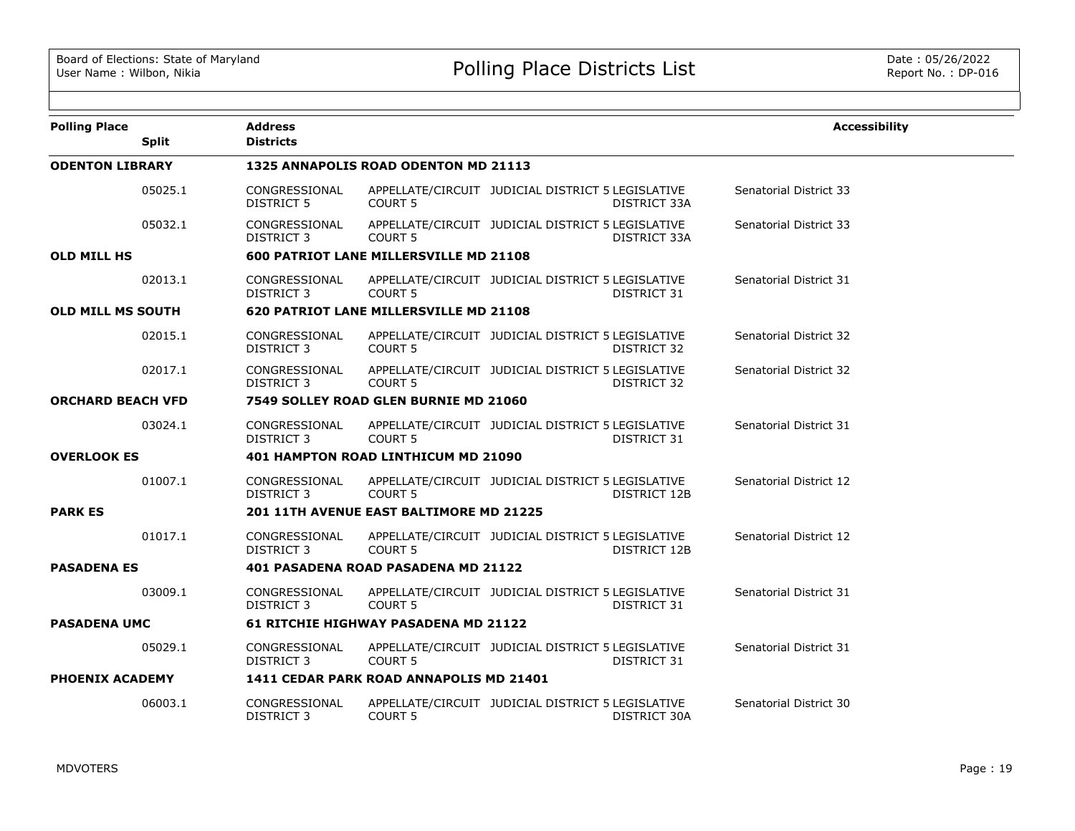| <b>Polling Place</b>     |              | Address                            |                                                |                                                   |                    | <b>Accessibility</b>   |
|--------------------------|--------------|------------------------------------|------------------------------------------------|---------------------------------------------------|--------------------|------------------------|
|                          | <b>Split</b> | <b>Districts</b>                   |                                                |                                                   |                    |                        |
| <b>ODENTON LIBRARY</b>   |              |                                    | 1325 ANNAPOLIS ROAD ODENTON MD 21113           |                                                   |                    |                        |
|                          | 05025.1      | CONGRESSIONAL<br><b>DISTRICT 5</b> | <b>COURT 5</b>                                 | APPELLATE/CIRCUIT JUDICIAL DISTRICT 5 LEGISLATIVE | DISTRICT 33A       | Senatorial District 33 |
|                          | 05032.1      | CONGRESSIONAL<br>DISTRICT 3        | <b>COURT 5</b>                                 | APPELLATE/CIRCUIT JUDICIAL DISTRICT 5 LEGISLATIVE | DISTRICT 33A       | Senatorial District 33 |
| <b>OLD MILL HS</b>       |              |                                    | 600 PATRIOT LANE MILLERSVILLE MD 21108         |                                                   |                    |                        |
|                          | 02013.1      | CONGRESSIONAL<br>DISTRICT 3        | COURT <sub>5</sub>                             | APPELLATE/CIRCUIT JUDICIAL DISTRICT 5 LEGISLATIVE | DISTRICT 31        | Senatorial District 31 |
| <b>OLD MILL MS SOUTH</b> |              |                                    | 620 PATRIOT LANE MILLERSVILLE MD 21108         |                                                   |                    |                        |
|                          | 02015.1      | CONGRESSIONAL<br><b>DISTRICT 3</b> | COURT <sub>5</sub>                             | APPELLATE/CIRCUIT JUDICIAL DISTRICT 5 LEGISLATIVE | <b>DISTRICT 32</b> | Senatorial District 32 |
|                          | 02017.1      | CONGRESSIONAL<br><b>DISTRICT 3</b> | <b>COURT 5</b>                                 | APPELLATE/CIRCUIT JUDICIAL DISTRICT 5 LEGISLATIVE | DISTRICT 32        | Senatorial District 32 |
| <b>ORCHARD BEACH VFD</b> |              |                                    | 7549 SOLLEY ROAD GLEN BURNIE MD 21060          |                                                   |                    |                        |
|                          | 03024.1      | CONGRESSIONAL<br>DISTRICT 3        | <b>COURT 5</b>                                 | APPELLATE/CIRCUIT JUDICIAL DISTRICT 5 LEGISLATIVE | DISTRICT 31        | Senatorial District 31 |
| <b>OVERLOOK ES</b>       |              |                                    | 401 HAMPTON ROAD LINTHICUM MD 21090            |                                                   |                    |                        |
|                          | 01007.1      | CONGRESSIONAL<br>DISTRICT 3        | COURT <sub>5</sub>                             | APPELLATE/CIRCUIT JUDICIAL DISTRICT 5 LEGISLATIVE | DISTRICT 12B       | Senatorial District 12 |
| <b>PARK ES</b>           |              |                                    | <b>201 11TH AVENUE EAST BALTIMORE MD 21225</b> |                                                   |                    |                        |
|                          | 01017.1      | CONGRESSIONAL<br><b>DISTRICT 3</b> | COURT <sub>5</sub>                             | APPELLATE/CIRCUIT JUDICIAL DISTRICT 5 LEGISLATIVE | DISTRICT 12B       | Senatorial District 12 |
| <b>PASADENA ES</b>       |              |                                    | <b>401 PASADENA ROAD PASADENA MD 21122</b>     |                                                   |                    |                        |
|                          | 03009.1      | CONGRESSIONAL<br>DISTRICT 3        | <b>COURT 5</b>                                 | APPELLATE/CIRCUIT JUDICIAL DISTRICT 5 LEGISLATIVE | DISTRICT 31        | Senatorial District 31 |
| <b>PASADENA UMC</b>      |              |                                    | <b>61 RITCHIE HIGHWAY PASADENA MD 21122</b>    |                                                   |                    |                        |
|                          | 05029.1      | CONGRESSIONAL<br><b>DISTRICT 3</b> | <b>COURT 5</b>                                 | APPELLATE/CIRCUIT JUDICIAL DISTRICT 5 LEGISLATIVE | DISTRICT 31        | Senatorial District 31 |
| <b>PHOENIX ACADEMY</b>   |              |                                    | 1411 CEDAR PARK ROAD ANNAPOLIS MD 21401        |                                                   |                    |                        |
|                          | 06003.1      | CONGRESSIONAL<br>DISTRICT 3        | COURT <sub>5</sub>                             | APPELLATE/CIRCUIT JUDICIAL DISTRICT 5 LEGISLATIVE | DISTRICT 30A       | Senatorial District 30 |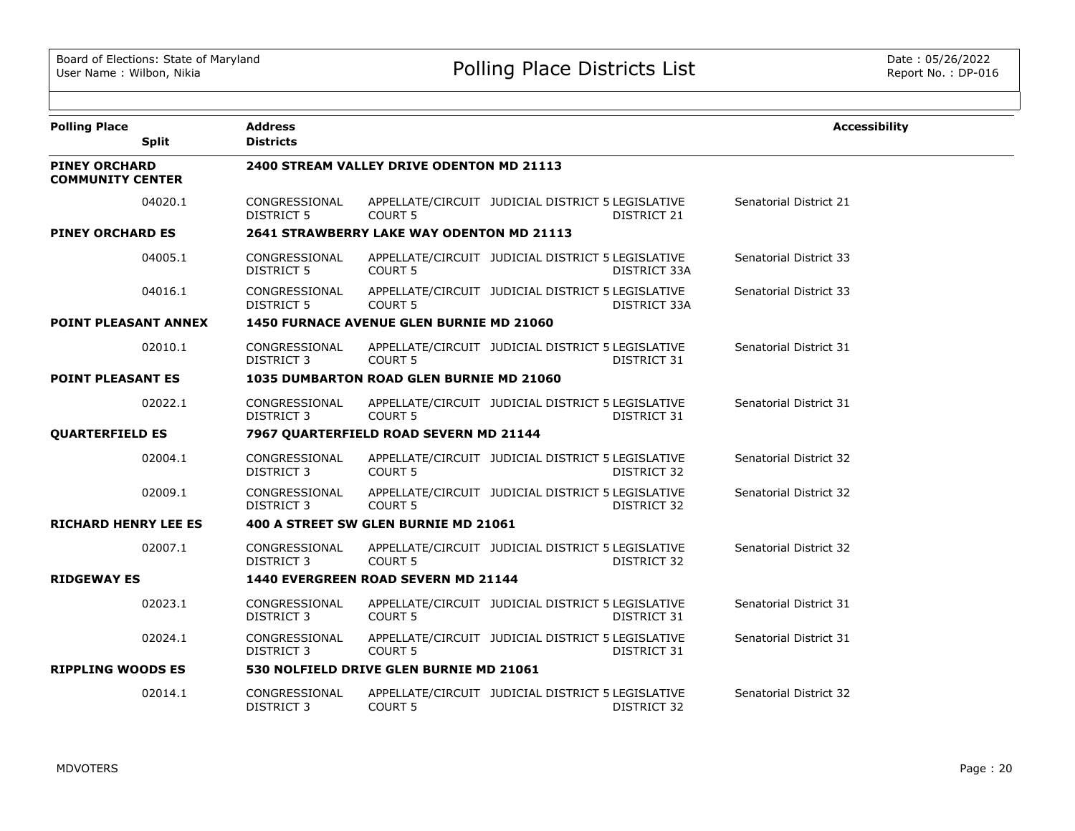| <b>Polling Place</b>                            |              | <b>Address</b>                     |                                                 |                                                   |              | <b>Accessibility</b>          |  |  |  |  |
|-------------------------------------------------|--------------|------------------------------------|-------------------------------------------------|---------------------------------------------------|--------------|-------------------------------|--|--|--|--|
|                                                 | <b>Split</b> | <b>Districts</b>                   |                                                 |                                                   |              |                               |  |  |  |  |
| <b>PINEY ORCHARD</b><br><b>COMMUNITY CENTER</b> |              |                                    | 2400 STREAM VALLEY DRIVE ODENTON MD 21113       |                                                   |              |                               |  |  |  |  |
|                                                 | 04020.1      | CONGRESSIONAL<br><b>DISTRICT 5</b> | COURT <sub>5</sub>                              | APPELLATE/CIRCUIT JUDICIAL DISTRICT 5 LEGISLATIVE | DISTRICT 21  | Senatorial District 21        |  |  |  |  |
| <b>PINEY ORCHARD ES</b>                         |              |                                    | 2641 STRAWBERRY LAKE WAY ODENTON MD 21113       |                                                   |              |                               |  |  |  |  |
|                                                 | 04005.1      | CONGRESSIONAL<br><b>DISTRICT 5</b> | COURT 5                                         | APPELLATE/CIRCUIT JUDICIAL DISTRICT 5 LEGISLATIVE | DISTRICT 33A | <b>Senatorial District 33</b> |  |  |  |  |
|                                                 | 04016.1      | CONGRESSIONAL<br>DISTRICT 5        | COURT <sub>5</sub>                              | APPELLATE/CIRCUIT JUDICIAL DISTRICT 5 LEGISLATIVE | DISTRICT 33A | Senatorial District 33        |  |  |  |  |
| <b>POINT PLEASANT ANNEX</b>                     |              |                                    | <b>1450 FURNACE AVENUE GLEN BURNIE MD 21060</b> |                                                   |              |                               |  |  |  |  |
|                                                 | 02010.1      | CONGRESSIONAL<br>DISTRICT 3        | COURT <sub>5</sub>                              | APPELLATE/CIRCUIT JUDICIAL DISTRICT 5 LEGISLATIVE | DISTRICT 31  | Senatorial District 31        |  |  |  |  |
| <b>POINT PLEASANT ES</b>                        |              |                                    | 1035 DUMBARTON ROAD GLEN BURNIE MD 21060        |                                                   |              |                               |  |  |  |  |
|                                                 | 02022.1      | CONGRESSIONAL<br>DISTRICT 3        | COURT <sub>5</sub>                              | APPELLATE/CIRCUIT JUDICIAL DISTRICT 5 LEGISLATIVE | DISTRICT 31  | Senatorial District 31        |  |  |  |  |
| <b>QUARTERFIELD ES</b>                          |              |                                    | 7967 QUARTERFIELD ROAD SEVERN MD 21144          |                                                   |              |                               |  |  |  |  |
|                                                 | 02004.1      | CONGRESSIONAL<br>DISTRICT 3        | COURT <sub>5</sub>                              | APPELLATE/CIRCUIT JUDICIAL DISTRICT 5 LEGISLATIVE | DISTRICT 32  | Senatorial District 32        |  |  |  |  |
|                                                 | 02009.1      | CONGRESSIONAL<br>DISTRICT 3        | <b>COURT 5</b>                                  | APPELLATE/CIRCUIT JUDICIAL DISTRICT 5 LEGISLATIVE | DISTRICT 32  | Senatorial District 32        |  |  |  |  |
| <b>RICHARD HENRY LEE ES</b>                     |              |                                    | 400 A STREET SW GLEN BURNIE MD 21061            |                                                   |              |                               |  |  |  |  |
|                                                 | 02007.1      | CONGRESSIONAL<br><b>DISTRICT 3</b> | COURT <sub>5</sub>                              | APPELLATE/CIRCUIT JUDICIAL DISTRICT 5 LEGISLATIVE | DISTRICT 32  | Senatorial District 32        |  |  |  |  |
| <b>RIDGEWAY ES</b>                              |              |                                    | 1440 EVERGREEN ROAD SEVERN MD 21144             |                                                   |              |                               |  |  |  |  |
|                                                 | 02023.1      | CONGRESSIONAL<br>DISTRICT 3        | COURT <sub>5</sub>                              | APPELLATE/CIRCUIT JUDICIAL DISTRICT 5 LEGISLATIVE | DISTRICT 31  | Senatorial District 31        |  |  |  |  |
|                                                 | 02024.1      | CONGRESSIONAL<br>DISTRICT 3        | <b>COURT 5</b>                                  | APPELLATE/CIRCUIT JUDICIAL DISTRICT 5 LEGISLATIVE | DISTRICT 31  | Senatorial District 31        |  |  |  |  |
| <b>RIPPLING WOODS ES</b>                        |              |                                    | 530 NOLFIELD DRIVE GLEN BURNIE MD 21061         |                                                   |              |                               |  |  |  |  |
|                                                 | 02014.1      | CONGRESSIONAL<br>DISTRICT 3        | COURT <sub>5</sub>                              | APPELLATE/CIRCUIT JUDICIAL DISTRICT 5 LEGISLATIVE | DISTRICT 32  | Senatorial District 32        |  |  |  |  |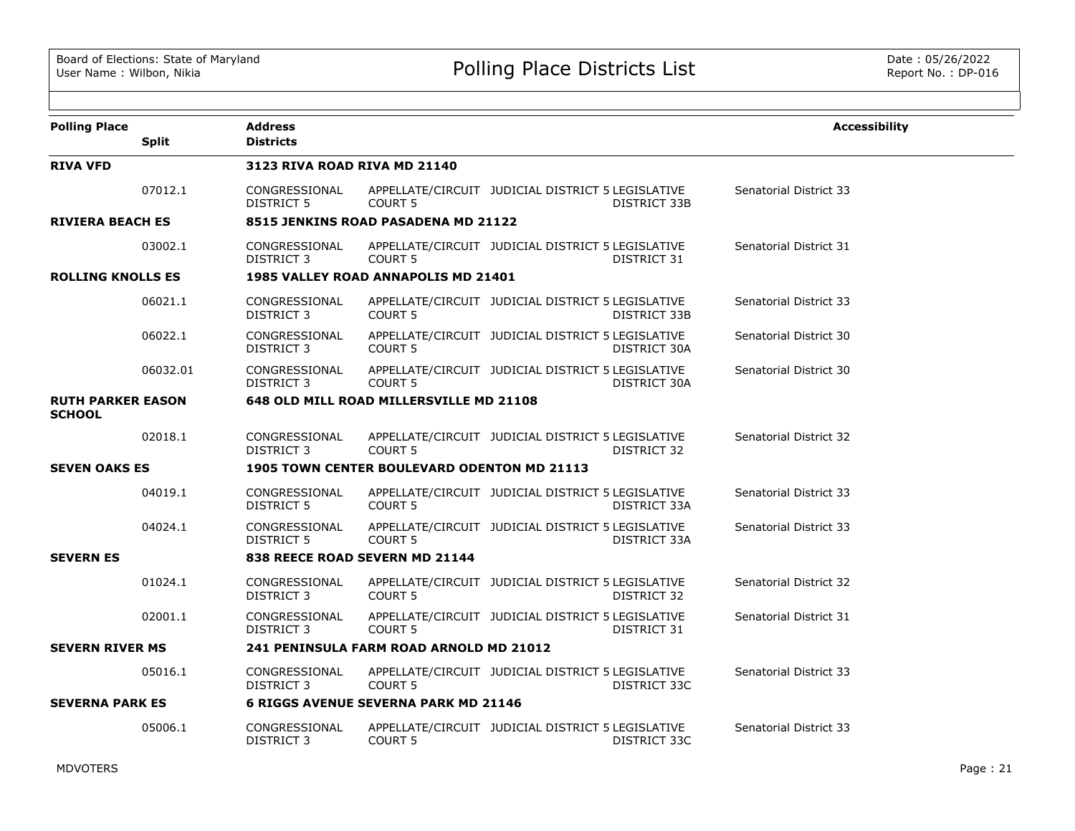| <b>Polling Place</b>                      | <b>Split</b> | <b>Address</b><br><b>Districts</b>             |                                                    |                                                   |                     | <b>Accessibility</b>          |
|-------------------------------------------|--------------|------------------------------------------------|----------------------------------------------------|---------------------------------------------------|---------------------|-------------------------------|
| <b>RIVA VFD</b>                           |              | <b>3123 RIVA ROAD RIVA MD 21140</b>            |                                                    |                                                   |                     |                               |
|                                           | 07012.1      | CONGRESSIONAL<br><b>DISTRICT 5</b>             | <b>COURT 5</b>                                     | APPELLATE/CIRCUIT JUDICIAL DISTRICT 5 LEGISLATIVE | DISTRICT 33B        | Senatorial District 33        |
| <b>RIVIERA BEACH ES</b>                   |              |                                                | 8515 JENKINS ROAD PASADENA MD 21122                |                                                   |                     |                               |
|                                           | 03002.1      | CONGRESSIONAL<br>DISTRICT 3                    | <b>COURT 5</b>                                     | APPELLATE/CIRCUIT JUDICIAL DISTRICT 5 LEGISLATIVE | DISTRICT 31         | Senatorial District 31        |
| <b>ROLLING KNOLLS ES</b>                  |              |                                                | <b>1985 VALLEY ROAD ANNAPOLIS MD 21401</b>         |                                                   |                     |                               |
|                                           | 06021.1      | CONGRESSIONAL<br>DISTRICT 3                    | COURT 5                                            | APPELLATE/CIRCUIT JUDICIAL DISTRICT 5 LEGISLATIVE | DISTRICT 33B        | <b>Senatorial District 33</b> |
|                                           | 06022.1      | CONGRESSIONAL<br>DISTRICT 3                    | <b>COURT 5</b>                                     | APPELLATE/CIRCUIT JUDICIAL DISTRICT 5 LEGISLATIVE | DISTRICT 30A        | Senatorial District 30        |
|                                           | 06032.01     | CONGRESSIONAL<br>DISTRICT 3                    | <b>COURT 5</b>                                     | APPELLATE/CIRCUIT JUDICIAL DISTRICT 5 LEGISLATIVE | DISTRICT 30A        | Senatorial District 30        |
| <b>RUTH PARKER EASON</b><br><b>SCHOOL</b> |              | <b>648 OLD MILL ROAD MILLERSVILLE MD 21108</b> |                                                    |                                                   |                     |                               |
|                                           | 02018.1      | CONGRESSIONAL<br>DISTRICT 3                    | <b>COURT 5</b>                                     | APPELLATE/CIRCUIT JUDICIAL DISTRICT 5 LEGISLATIVE | DISTRICT 32         | Senatorial District 32        |
| <b>SEVEN OAKS ES</b>                      |              |                                                | <b>1905 TOWN CENTER BOULEVARD ODENTON MD 21113</b> |                                                   |                     |                               |
|                                           | 04019.1      | CONGRESSIONAL<br><b>DISTRICT 5</b>             | <b>COURT 5</b>                                     | APPELLATE/CIRCUIT JUDICIAL DISTRICT 5 LEGISLATIVE | DISTRICT 33A        | Senatorial District 33        |
|                                           | 04024.1      | CONGRESSIONAL<br><b>DISTRICT 5</b>             | <b>COURT 5</b>                                     | APPELLATE/CIRCUIT JUDICIAL DISTRICT 5 LEGISLATIVE | DISTRICT 33A        | Senatorial District 33        |
| <b>SEVERN ES</b>                          |              |                                                | 838 REECE ROAD SEVERN MD 21144                     |                                                   |                     |                               |
|                                           | 01024.1      | CONGRESSIONAL<br>DISTRICT 3                    | <b>COURT 5</b>                                     | APPELLATE/CIRCUIT JUDICIAL DISTRICT 5 LEGISLATIVE | DISTRICT 32         | Senatorial District 32        |
|                                           | 02001.1      | CONGRESSIONAL<br>DISTRICT 3                    | <b>COURT 5</b>                                     | APPELLATE/CIRCUIT JUDICIAL DISTRICT 5 LEGISLATIVE | DISTRICT 31         | Senatorial District 31        |
| <b>SEVERN RIVER MS</b>                    |              |                                                | <b>241 PENINSULA FARM ROAD ARNOLD MD 21012</b>     |                                                   |                     |                               |
|                                           | 05016.1      | CONGRESSIONAL<br>DISTRICT 3                    | <b>COURT 5</b>                                     | APPELLATE/CIRCUIT JUDICIAL DISTRICT 5 LEGISLATIVE | DISTRICT 33C        | <b>Senatorial District 33</b> |
| <b>SEVERNA PARK ES</b>                    |              |                                                | 6 RIGGS AVENUE SEVERNA PARK MD 21146               |                                                   |                     |                               |
|                                           | 05006.1      | CONGRESSIONAL<br>DISTRICT 3                    | COURT <sub>5</sub>                                 | APPELLATE/CIRCUIT JUDICIAL DISTRICT 5 LEGISLATIVE | <b>DISTRICT 33C</b> | Senatorial District 33        |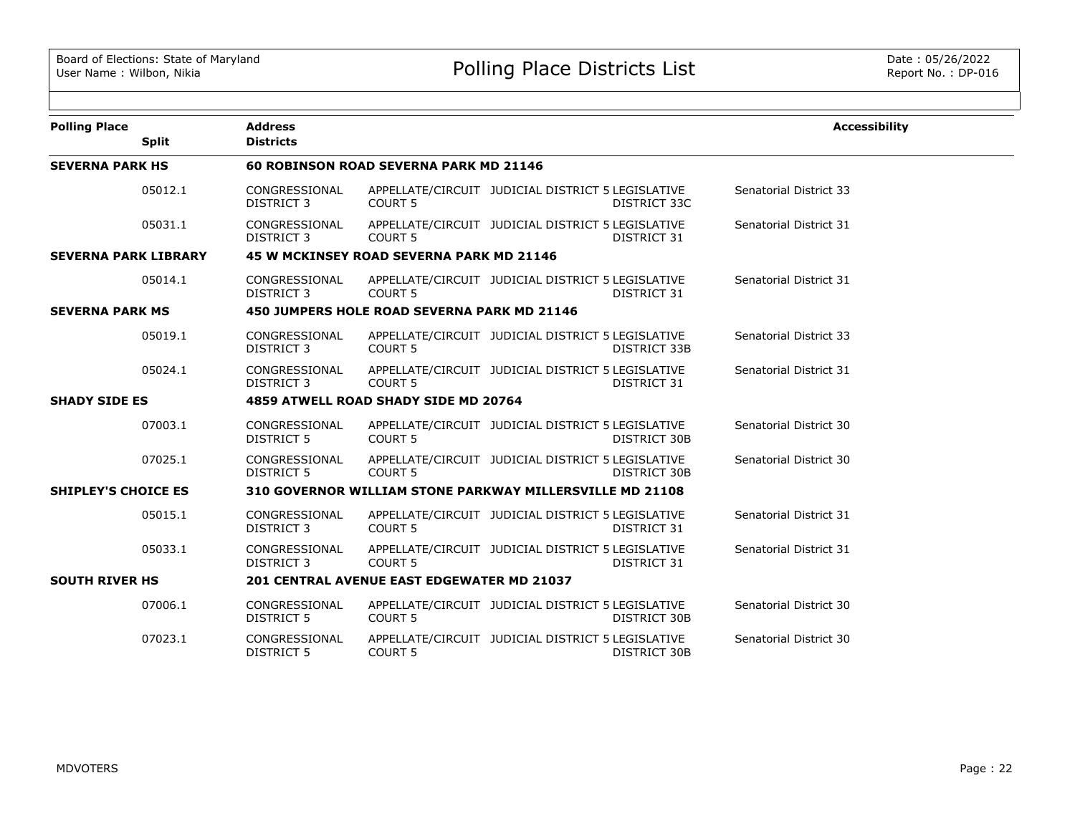| <b>Polling Place</b>        |              | <b>Address</b><br><b>Districts</b>   |                                                          |                                                   |                     | <b>Accessibility</b>          |  |  |  |
|-----------------------------|--------------|--------------------------------------|----------------------------------------------------------|---------------------------------------------------|---------------------|-------------------------------|--|--|--|
|                             | <b>Split</b> |                                      |                                                          |                                                   |                     |                               |  |  |  |
| <b>SEVERNA PARK HS</b>      |              |                                      | <b>60 ROBINSON ROAD SEVERNA PARK MD 21146</b>            |                                                   |                     |                               |  |  |  |
|                             | 05012.1      | CONGRESSIONAL<br><b>DISTRICT 3</b>   | COURT <sub>5</sub>                                       | APPELLATE/CIRCUIT JUDICIAL DISTRICT 5 LEGISLATIVE | DISTRICT 33C        | <b>Senatorial District 33</b> |  |  |  |
|                             | 05031.1      | CONGRESSIONAL<br><b>DISTRICT 3</b>   | <b>COURT 5</b>                                           | APPELLATE/CIRCUIT JUDICIAL DISTRICT 5 LEGISLATIVE | DISTRICT 31         | Senatorial District 31        |  |  |  |
| <b>SEVERNA PARK LIBRARY</b> |              |                                      | 45 W MCKINSEY ROAD SEVERNA PARK MD 21146                 |                                                   |                     |                               |  |  |  |
|                             | 05014.1      | CONGRESSIONAL<br><b>DISTRICT 3</b>   | COURT <sub>5</sub>                                       | APPELLATE/CIRCUIT JUDICIAL DISTRICT 5 LEGISLATIVE | DISTRICT 31         | Senatorial District 31        |  |  |  |
| <b>SEVERNA PARK MS</b>      |              |                                      | 450 JUMPERS HOLE ROAD SEVERNA PARK MD 21146              |                                                   |                     |                               |  |  |  |
|                             | 05019.1      | CONGRESSIONAL<br><b>DISTRICT 3</b>   | <b>COURT 5</b>                                           | APPELLATE/CIRCUIT JUDICIAL DISTRICT 5 LEGISLATIVE | DISTRICT 33B        | <b>Senatorial District 33</b> |  |  |  |
|                             | 05024.1      | CONGRESSIONAL<br><b>DISTRICT 3</b>   | COURT <sub>5</sub>                                       | APPELLATE/CIRCUIT JUDICIAL DISTRICT 5 LEGISLATIVE | DISTRICT 31         | Senatorial District 31        |  |  |  |
| <b>SHADY SIDE ES</b>        |              | 4859 ATWELL ROAD SHADY SIDE MD 20764 |                                                          |                                                   |                     |                               |  |  |  |
|                             | 07003.1      | CONGRESSIONAL<br><b>DISTRICT 5</b>   | COURT <sub>5</sub>                                       | APPELLATE/CIRCUIT JUDICIAL DISTRICT 5 LEGISLATIVE | DISTRICT 30B        | Senatorial District 30        |  |  |  |
|                             | 07025.1      | CONGRESSIONAL<br><b>DISTRICT 5</b>   | COURT <sub>5</sub>                                       | APPELLATE/CIRCUIT JUDICIAL DISTRICT 5 LEGISLATIVE | DISTRICT 30B        | Senatorial District 30        |  |  |  |
| <b>SHIPLEY'S CHOICE ES</b>  |              |                                      | 310 GOVERNOR WILLIAM STONE PARKWAY MILLERSVILLE MD 21108 |                                                   |                     |                               |  |  |  |
|                             | 05015.1      | CONGRESSIONAL<br><b>DISTRICT 3</b>   | <b>COURT 5</b>                                           | APPELLATE/CIRCUIT JUDICIAL DISTRICT 5 LEGISLATIVE | DISTRICT 31         | Senatorial District 31        |  |  |  |
|                             | 05033.1      | CONGRESSIONAL<br><b>DISTRICT 3</b>   | <b>COURT 5</b>                                           | APPELLATE/CIRCUIT JUDICIAL DISTRICT 5 LEGISLATIVE | DISTRICT 31         | Senatorial District 31        |  |  |  |
| <b>SOUTH RIVER HS</b>       |              |                                      | <b>201 CENTRAL AVENUE EAST EDGEWATER MD 21037</b>        |                                                   |                     |                               |  |  |  |
|                             | 07006.1      | CONGRESSIONAL<br><b>DISTRICT 5</b>   | <b>COURT 5</b>                                           | APPELLATE/CIRCUIT JUDICIAL DISTRICT 5 LEGISLATIVE | DISTRICT 30B        | Senatorial District 30        |  |  |  |
|                             | 07023.1      | CONGRESSIONAL<br><b>DISTRICT 5</b>   | <b>COURT 5</b>                                           | APPELLATE/CIRCUIT JUDICIAL DISTRICT 5 LEGISLATIVE | <b>DISTRICT 30B</b> | Senatorial District 30        |  |  |  |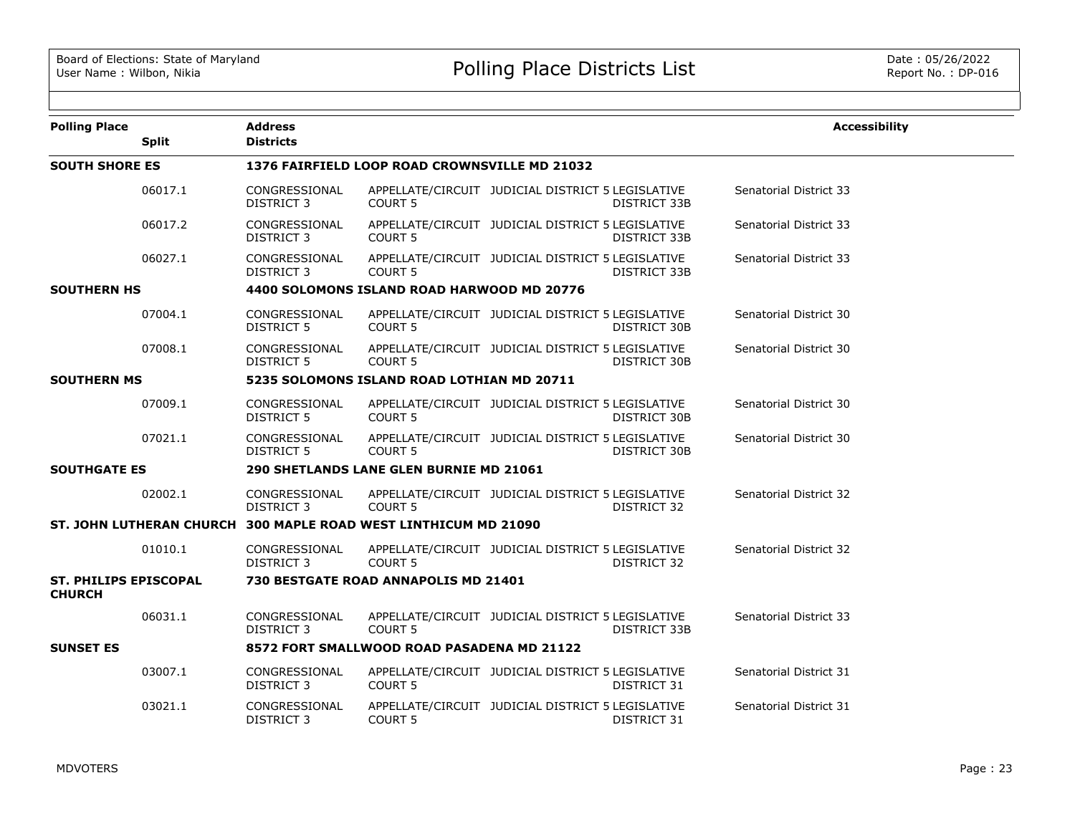| <b>Polling Place</b>                          | <b>Split</b> | <b>Address</b><br><b>Districts</b>         |                                                                 |                                                   |                     | <b>Accessibility</b>          |  |  |  |
|-----------------------------------------------|--------------|--------------------------------------------|-----------------------------------------------------------------|---------------------------------------------------|---------------------|-------------------------------|--|--|--|
| <b>SOUTH SHORE ES</b>                         |              |                                            | <b>1376 FAIRFIELD LOOP ROAD CROWNSVILLE MD 21032</b>            |                                                   |                     |                               |  |  |  |
|                                               | 06017.1      | CONGRESSIONAL<br>DISTRICT 3                | <b>COURT 5</b>                                                  | APPELLATE/CIRCUIT JUDICIAL DISTRICT 5 LEGISLATIVE | DISTRICT 33B        | <b>Senatorial District 33</b> |  |  |  |
|                                               | 06017.2      | CONGRESSIONAL<br>DISTRICT 3                | <b>COURT 5</b>                                                  | APPELLATE/CIRCUIT JUDICIAL DISTRICT 5 LEGISLATIVE | <b>DISTRICT 33B</b> | Senatorial District 33        |  |  |  |
|                                               | 06027.1      | CONGRESSIONAL<br><b>DISTRICT 3</b>         | <b>COURT 5</b>                                                  | APPELLATE/CIRCUIT JUDICIAL DISTRICT 5 LEGISLATIVE | DISTRICT 33B        | Senatorial District 33        |  |  |  |
| <b>SOUTHERN HS</b>                            |              | 4400 SOLOMONS ISLAND ROAD HARWOOD MD 20776 |                                                                 |                                                   |                     |                               |  |  |  |
|                                               | 07004.1      | CONGRESSIONAL<br><b>DISTRICT 5</b>         | <b>COURT 5</b>                                                  | APPELLATE/CIRCUIT JUDICIAL DISTRICT 5 LEGISLATIVE | DISTRICT 30B        | Senatorial District 30        |  |  |  |
|                                               | 07008.1      | CONGRESSIONAL<br>DISTRICT 5                | <b>COURT 5</b>                                                  | APPELLATE/CIRCUIT JUDICIAL DISTRICT 5 LEGISLATIVE | <b>DISTRICT 30B</b> | Senatorial District 30        |  |  |  |
| <b>SOUTHERN MS</b>                            |              | 5235 SOLOMONS ISLAND ROAD LOTHIAN MD 20711 |                                                                 |                                                   |                     |                               |  |  |  |
|                                               | 07009.1      | CONGRESSIONAL<br>DISTRICT 5                | <b>COURT 5</b>                                                  | APPELLATE/CIRCUIT JUDICIAL DISTRICT 5 LEGISLATIVE | DISTRICT 30B        | Senatorial District 30        |  |  |  |
|                                               | 07021.1      | CONGRESSIONAL<br>DISTRICT 5                | APPELLATE/CIRCUIT JUDICIAL DISTRICT 5 LEGISLATIVE<br>COURT 5    |                                                   | DISTRICT 30B        | Senatorial District 30        |  |  |  |
| <b>SOUTHGATE ES</b>                           |              | 290 SHETLANDS LANE GLEN BURNIE MD 21061    |                                                                 |                                                   |                     |                               |  |  |  |
|                                               | 02002.1      | CONGRESSIONAL<br>DISTRICT 3                | APPELLATE/CIRCUIT JUDICIAL DISTRICT 5 LEGISLATIVE<br>COURT 5    |                                                   | DISTRICT 32         | Senatorial District 32        |  |  |  |
|                                               |              |                                            | ST. JOHN LUTHERAN CHURCH 300 MAPLE ROAD WEST LINTHICUM MD 21090 |                                                   |                     |                               |  |  |  |
|                                               | 01010.1      | CONGRESSIONAL<br><b>DISTRICT 3</b>         | <b>COURT 5</b>                                                  | APPELLATE/CIRCUIT JUDICIAL DISTRICT 5 LEGISLATIVE | DISTRICT 32         | Senatorial District 32        |  |  |  |
| <b>ST. PHILIPS EPISCOPAL</b><br><b>CHURCH</b> |              |                                            | 730 BESTGATE ROAD ANNAPOLIS MD 21401                            |                                                   |                     |                               |  |  |  |
|                                               | 06031.1      | CONGRESSIONAL<br><b>DISTRICT 3</b>         | <b>COURT 5</b>                                                  | APPELLATE/CIRCUIT JUDICIAL DISTRICT 5 LEGISLATIVE | DISTRICT 33B        | Senatorial District 33        |  |  |  |
| <b>SUNSET ES</b>                              |              |                                            | 8572 FORT SMALLWOOD ROAD PASADENA MD 21122                      |                                                   |                     |                               |  |  |  |
|                                               | 03007.1      | CONGRESSIONAL<br><b>DISTRICT 3</b>         | COURT <sub>5</sub>                                              | APPELLATE/CIRCUIT JUDICIAL DISTRICT 5 LEGISLATIVE | DISTRICT 31         | Senatorial District 31        |  |  |  |
|                                               | 03021.1      | CONGRESSIONAL<br>DISTRICT 3                | COURT <sub>5</sub>                                              | APPELLATE/CIRCUIT JUDICIAL DISTRICT 5 LEGISLATIVE | <b>DISTRICT 31</b>  | Senatorial District 31        |  |  |  |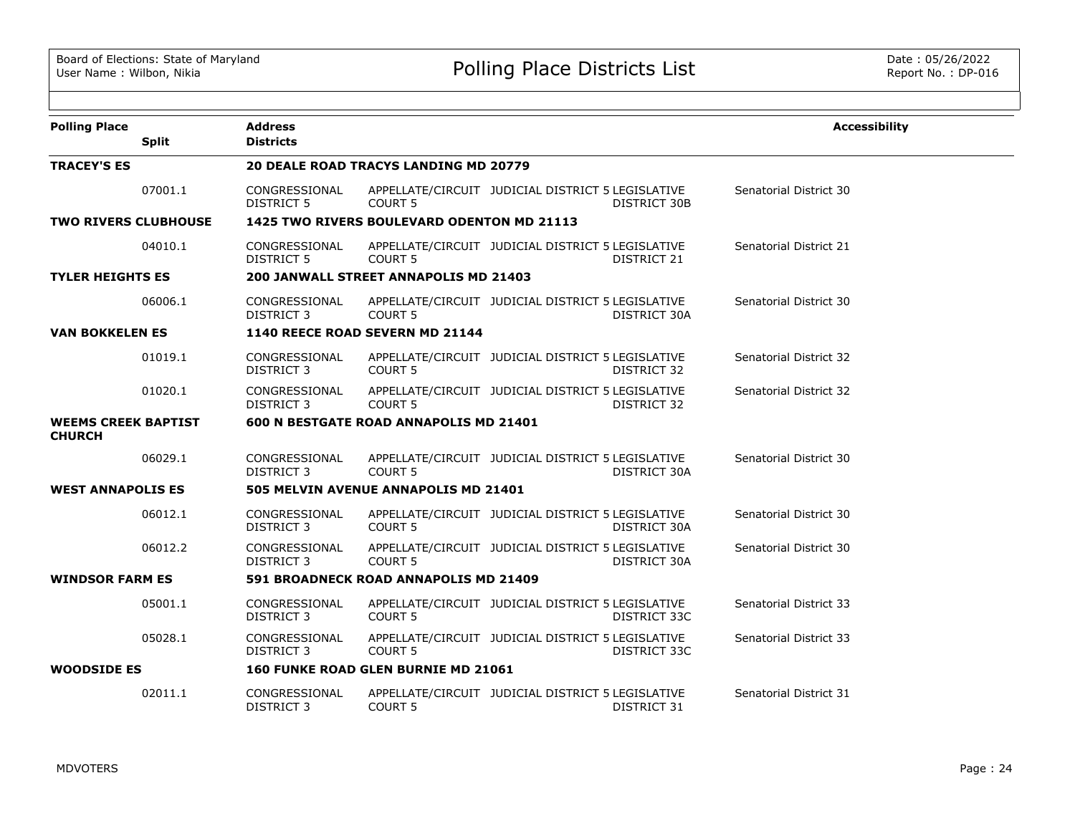| <b>Polling Place</b>                        | <b>Split</b> | <b>Address</b><br><b>Districts</b>    |                                            |                                                   |                     | <b>Accessibility</b>   |  |  |  |
|---------------------------------------------|--------------|---------------------------------------|--------------------------------------------|---------------------------------------------------|---------------------|------------------------|--|--|--|
| <b>TRACEY'S ES</b>                          |              |                                       | 20 DEALE ROAD TRACYS LANDING MD 20779      |                                                   |                     |                        |  |  |  |
|                                             | 07001.1      | CONGRESSIONAL<br><b>DISTRICT 5</b>    | COURT <sub>5</sub>                         | APPELLATE/CIRCUIT JUDICIAL DISTRICT 5 LEGISLATIVE | <b>DISTRICT 30B</b> | Senatorial District 30 |  |  |  |
| <b>TWO RIVERS CLUBHOUSE</b>                 |              |                                       | 1425 TWO RIVERS BOULEVARD ODENTON MD 21113 |                                                   |                     |                        |  |  |  |
|                                             | 04010.1      | CONGRESSIONAL<br>DISTRICT 5           | <b>COURT 5</b>                             | APPELLATE/CIRCUIT JUDICIAL DISTRICT 5 LEGISLATIVE | DISTRICT 21         | Senatorial District 21 |  |  |  |
| <b>TYLER HEIGHTS ES</b>                     |              | 200 JANWALL STREET ANNAPOLIS MD 21403 |                                            |                                                   |                     |                        |  |  |  |
|                                             | 06006.1      | CONGRESSIONAL<br>DISTRICT 3           | <b>COURT 5</b>                             | APPELLATE/CIRCUIT JUDICIAL DISTRICT 5 LEGISLATIVE | DISTRICT 30A        | Senatorial District 30 |  |  |  |
| <b>VAN BOKKELEN ES</b>                      |              |                                       | 1140 REECE ROAD SEVERN MD 21144            |                                                   |                     |                        |  |  |  |
|                                             | 01019.1      | CONGRESSIONAL<br>DISTRICT 3           | <b>COURT 5</b>                             | APPELLATE/CIRCUIT JUDICIAL DISTRICT 5 LEGISLATIVE | DISTRICT 32         | Senatorial District 32 |  |  |  |
|                                             | 01020.1      | CONGRESSIONAL<br><b>DISTRICT 3</b>    | <b>COURT 5</b>                             | APPELLATE/CIRCUIT JUDICIAL DISTRICT 5 LEGISLATIVE | <b>DISTRICT 32</b>  | Senatorial District 32 |  |  |  |
| <b>WEEMS CREEK BAPTIST</b><br><b>CHURCH</b> |              |                                       | 600 N BESTGATE ROAD ANNAPOLIS MD 21401     |                                                   |                     |                        |  |  |  |
|                                             | 06029.1      | CONGRESSIONAL<br>DISTRICT 3           | <b>COURT 5</b>                             | APPELLATE/CIRCUIT JUDICIAL DISTRICT 5 LEGISLATIVE | DISTRICT 30A        | Senatorial District 30 |  |  |  |
| <b>WEST ANNAPOLIS ES</b>                    |              | 505 MELVIN AVENUE ANNAPOLIS MD 21401  |                                            |                                                   |                     |                        |  |  |  |
|                                             | 06012.1      | CONGRESSIONAL<br><b>DISTRICT 3</b>    | <b>COURT 5</b>                             | APPELLATE/CIRCUIT JUDICIAL DISTRICT 5 LEGISLATIVE | DISTRICT 30A        | Senatorial District 30 |  |  |  |
|                                             | 06012.2      | CONGRESSIONAL<br><b>DISTRICT 3</b>    | <b>COURT 5</b>                             | APPELLATE/CIRCUIT JUDICIAL DISTRICT 5 LEGISLATIVE | DISTRICT 30A        | Senatorial District 30 |  |  |  |
| <b>WINDSOR FARM ES</b>                      |              |                                       | 591 BROADNECK ROAD ANNAPOLIS MD 21409      |                                                   |                     |                        |  |  |  |
|                                             | 05001.1      | CONGRESSIONAL<br><b>DISTRICT 3</b>    | <b>COURT 5</b>                             | APPELLATE/CIRCUIT JUDICIAL DISTRICT 5 LEGISLATIVE | DISTRICT 33C        | Senatorial District 33 |  |  |  |
|                                             | 05028.1      | CONGRESSIONAL<br>DISTRICT 3           | <b>COURT 5</b>                             | APPELLATE/CIRCUIT JUDICIAL DISTRICT 5 LEGISLATIVE | DISTRICT 33C        | Senatorial District 33 |  |  |  |
| <b>WOODSIDE ES</b>                          |              |                                       | 160 FUNKE ROAD GLEN BURNIE MD 21061        |                                                   |                     |                        |  |  |  |
|                                             | 02011.1      | CONGRESSIONAL<br><b>DISTRICT 3</b>    | <b>COURT 5</b>                             | APPELLATE/CIRCUIT JUDICIAL DISTRICT 5 LEGISLATIVE | DISTRICT 31         | Senatorial District 31 |  |  |  |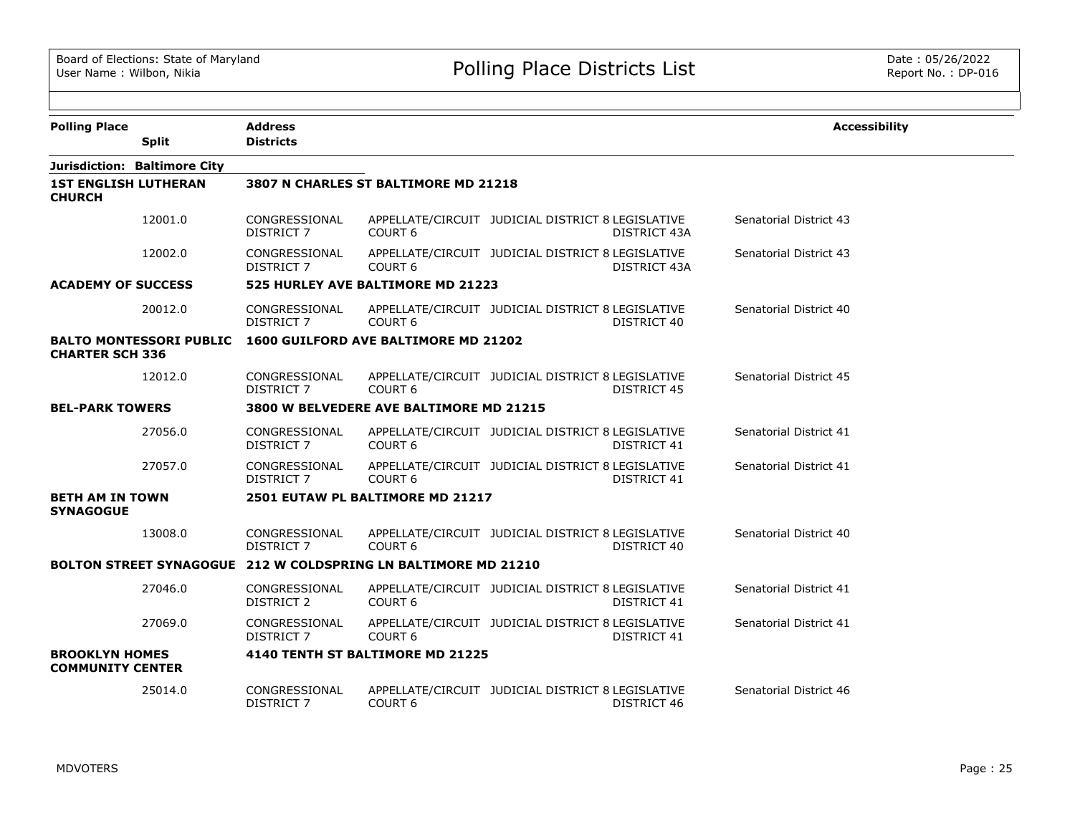| <b>Polling Place</b>                             |                                | <b>Address</b>                     |                                                                |                                                                   |                        | <b>Accessibility</b> |
|--------------------------------------------------|--------------------------------|------------------------------------|----------------------------------------------------------------|-------------------------------------------------------------------|------------------------|----------------------|
|                                                  | <b>Split</b>                   | <b>Districts</b>                   |                                                                |                                                                   |                        |                      |
|                                                  | Jurisdiction: Baltimore City   |                                    |                                                                |                                                                   |                        |                      |
| <b>1ST ENGLISH LUTHERAN</b><br><b>CHURCH</b>     |                                |                                    | 3807 N CHARLES ST BALTIMORE MD 21218                           |                                                                   |                        |                      |
|                                                  | 12001.0                        | CONGRESSIONAL<br>DISTRICT 7        | COURT <sub>6</sub>                                             | APPELLATE/CIRCUIT JUDICIAL DISTRICT 8 LEGISLATIVE<br>DISTRICT 43A | Senatorial District 43 |                      |
|                                                  | 12002.0                        | CONGRESSIONAL<br>DISTRICT 7        | COURT <sub>6</sub>                                             | APPELLATE/CIRCUIT JUDICIAL DISTRICT 8 LEGISLATIVE<br>DISTRICT 43A | Senatorial District 43 |                      |
| <b>ACADEMY OF SUCCESS</b>                        |                                |                                    | 525 HURLEY AVE BALTIMORE MD 21223                              |                                                                   |                        |                      |
|                                                  | 20012.0                        | CONGRESSIONAL<br><b>DISTRICT 7</b> | COURT <sub>6</sub>                                             | APPELLATE/CIRCUIT JUDICIAL DISTRICT 8 LEGISLATIVE<br>DISTRICT 40  | Senatorial District 40 |                      |
| <b>CHARTER SCH 336</b>                           | <b>BALTO MONTESSORI PUBLIC</b> |                                    | 1600 GUILFORD AVE BALTIMORE MD 21202                           |                                                                   |                        |                      |
|                                                  | 12012.0                        | CONGRESSIONAL<br>DISTRICT 7        | COURT <sub>6</sub>                                             | APPELLATE/CIRCUIT JUDICIAL DISTRICT 8 LEGISLATIVE<br>DISTRICT 45  | Senatorial District 45 |                      |
| <b>BEL-PARK TOWERS</b>                           |                                |                                    | 3800 W BELVEDERE AVE BALTIMORE MD 21215                        |                                                                   |                        |                      |
|                                                  | 27056.0                        | CONGRESSIONAL<br><b>DISTRICT 7</b> | COURT <sub>6</sub>                                             | APPELLATE/CIRCUIT JUDICIAL DISTRICT 8 LEGISLATIVE<br>DISTRICT 41  | Senatorial District 41 |                      |
|                                                  | 27057.0                        | CONGRESSIONAL<br>DISTRICT 7        | COURT <sub>6</sub>                                             | APPELLATE/CIRCUIT JUDICIAL DISTRICT 8 LEGISLATIVE<br>DISTRICT 41  | Senatorial District 41 |                      |
| <b>BETH AM IN TOWN</b><br><b>SYNAGOGUE</b>       |                                |                                    | 2501 EUTAW PL BALTIMORE MD 21217                               |                                                                   |                        |                      |
|                                                  | 13008.0                        | CONGRESSIONAL<br><b>DISTRICT 7</b> | COURT <sub>6</sub>                                             | APPELLATE/CIRCUIT JUDICIAL DISTRICT 8 LEGISLATIVE<br>DISTRICT 40  | Senatorial District 40 |                      |
|                                                  |                                |                                    | BOLTON STREET SYNAGOGUE 212 W COLDSPRING LN BALTIMORE MD 21210 |                                                                   |                        |                      |
|                                                  | 27046.0                        | CONGRESSIONAL<br><b>DISTRICT 2</b> | COURT <sub>6</sub>                                             | APPELLATE/CIRCUIT JUDICIAL DISTRICT 8 LEGISLATIVE<br>DISTRICT 41  | Senatorial District 41 |                      |
|                                                  | 27069.0                        | CONGRESSIONAL<br><b>DISTRICT 7</b> | COURT <sub>6</sub>                                             | APPELLATE/CIRCUIT JUDICIAL DISTRICT 8 LEGISLATIVE<br>DISTRICT 41  | Senatorial District 41 |                      |
| <b>BROOKLYN HOMES</b><br><b>COMMUNITY CENTER</b> |                                |                                    | 4140 TENTH ST BALTIMORE MD 21225                               |                                                                   |                        |                      |
|                                                  | 25014.0                        | CONGRESSIONAL<br><b>DISTRICT 7</b> | COURT <sub>6</sub>                                             | APPELLATE/CIRCUIT JUDICIAL DISTRICT 8 LEGISLATIVE<br>DISTRICT 46  | Senatorial District 46 |                      |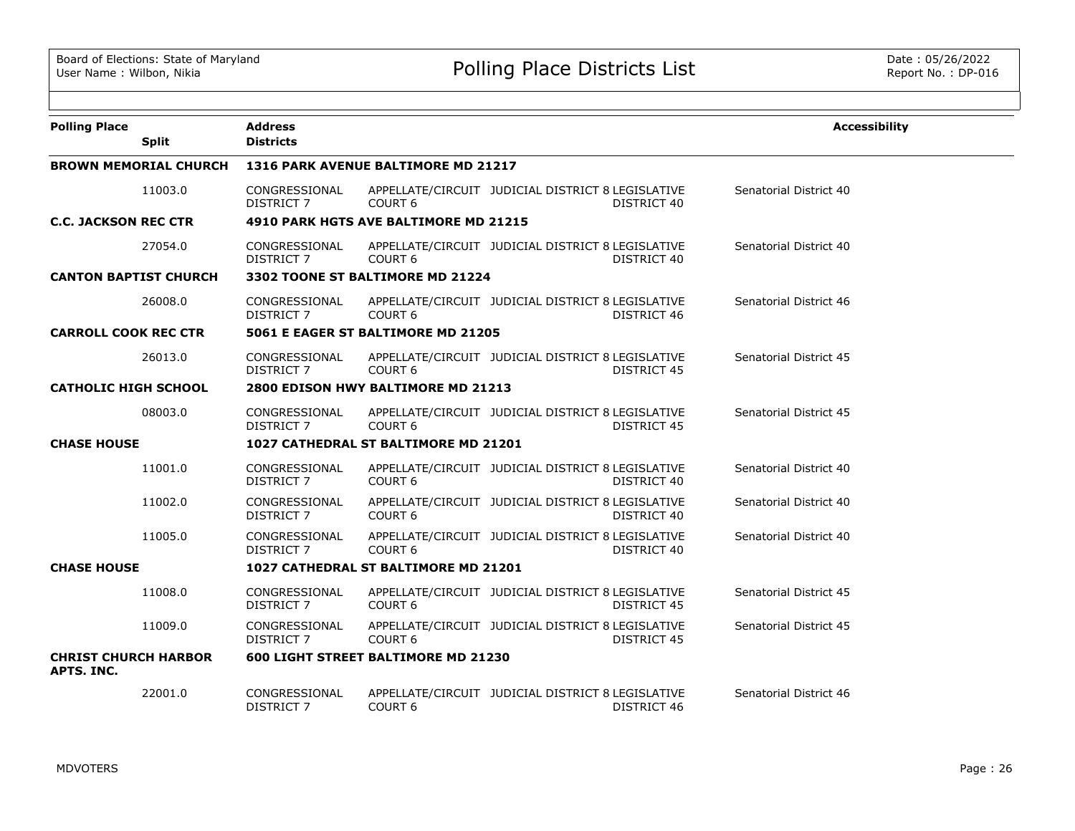| <b>Polling Place</b>                      | <b>Split</b>                 | <b>Address</b><br><b>Districts</b>   |                                            |                                                   |             | <b>Accessibility</b>   |  |
|-------------------------------------------|------------------------------|--------------------------------------|--------------------------------------------|---------------------------------------------------|-------------|------------------------|--|
|                                           |                              |                                      |                                            |                                                   |             |                        |  |
|                                           | <b>BROWN MEMORIAL CHURCH</b> |                                      | 1316 PARK AVENUE BALTIMORE MD 21217        |                                                   |             |                        |  |
|                                           | 11003.0                      | CONGRESSIONAL<br><b>DISTRICT 7</b>   | COURT <sub>6</sub>                         | APPELLATE/CIRCUIT JUDICIAL DISTRICT 8 LEGISLATIVE | DISTRICT 40 | Senatorial District 40 |  |
| <b>C.C. JACKSON REC CTR</b>               |                              |                                      | 4910 PARK HGTS AVE BALTIMORE MD 21215      |                                                   |             |                        |  |
|                                           | 27054.0                      | CONGRESSIONAL<br><b>DISTRICT 7</b>   | COURT <sub>6</sub>                         | APPELLATE/CIRCUIT JUDICIAL DISTRICT 8 LEGISLATIVE | DISTRICT 40 | Senatorial District 40 |  |
| <b>CANTON BAPTIST CHURCH</b>              |                              |                                      | 3302 TOONE ST BALTIMORE MD 21224           |                                                   |             |                        |  |
|                                           | 26008.0                      | CONGRESSIONAL<br>DISTRICT 7          | COURT <sub>6</sub>                         | APPELLATE/CIRCUIT JUDICIAL DISTRICT 8 LEGISLATIVE | DISTRICT 46 | Senatorial District 46 |  |
| <b>CARROLL COOK REC CTR</b>               |                              |                                      | 5061 E EAGER ST BALTIMORE MD 21205         |                                                   |             |                        |  |
|                                           | 26013.0                      | CONGRESSIONAL<br>DISTRICT 7          | COURT <sub>6</sub>                         | APPELLATE/CIRCUIT JUDICIAL DISTRICT 8 LEGISLATIVE | DISTRICT 45 | Senatorial District 45 |  |
| <b>CATHOLIC HIGH SCHOOL</b>               |                              | 2800 EDISON HWY BALTIMORE MD 21213   |                                            |                                                   |             |                        |  |
|                                           | 08003.0                      | CONGRESSIONAL<br>DISTRICT 7          | COURT <sub>6</sub>                         | APPELLATE/CIRCUIT JUDICIAL DISTRICT 8 LEGISLATIVE | DISTRICT 45 | Senatorial District 45 |  |
| <b>CHASE HOUSE</b>                        |                              | 1027 CATHEDRAL ST BALTIMORE MD 21201 |                                            |                                                   |             |                        |  |
|                                           | 11001.0                      | CONGRESSIONAL<br>DISTRICT 7          | COURT <sub>6</sub>                         | APPELLATE/CIRCUIT JUDICIAL DISTRICT 8 LEGISLATIVE | DISTRICT 40 | Senatorial District 40 |  |
|                                           | 11002.0                      | CONGRESSIONAL<br>DISTRICT 7          | COURT <sub>6</sub>                         | APPELLATE/CIRCUIT JUDICIAL DISTRICT 8 LEGISLATIVE | DISTRICT 40 | Senatorial District 40 |  |
|                                           | 11005.0                      | CONGRESSIONAL<br><b>DISTRICT 7</b>   | COURT <sub>6</sub>                         | APPELLATE/CIRCUIT JUDICIAL DISTRICT 8 LEGISLATIVE | DISTRICT 40 | Senatorial District 40 |  |
| <b>CHASE HOUSE</b>                        |                              |                                      | 1027 CATHEDRAL ST BALTIMORE MD 21201       |                                                   |             |                        |  |
|                                           | 11008.0                      | CONGRESSIONAL<br>DISTRICT 7          | COURT <sub>6</sub>                         | APPELLATE/CIRCUIT JUDICIAL DISTRICT 8 LEGISLATIVE | DISTRICT 45 | Senatorial District 45 |  |
|                                           | 11009.0                      | CONGRESSIONAL<br>DISTRICT 7          | COURT <sub>6</sub>                         | APPELLATE/CIRCUIT JUDICIAL DISTRICT 8 LEGISLATIVE | DISTRICT 45 | Senatorial District 45 |  |
| <b>CHRIST CHURCH HARBOR</b><br>APTS. INC. |                              |                                      | <b>600 LIGHT STREET BALTIMORE MD 21230</b> |                                                   |             |                        |  |
|                                           | 22001.0                      | CONGRESSIONAL<br><b>DISTRICT 7</b>   | COURT <sub>6</sub>                         | APPELLATE/CIRCUIT JUDICIAL DISTRICT 8 LEGISLATIVE | DISTRICT 46 | Senatorial District 46 |  |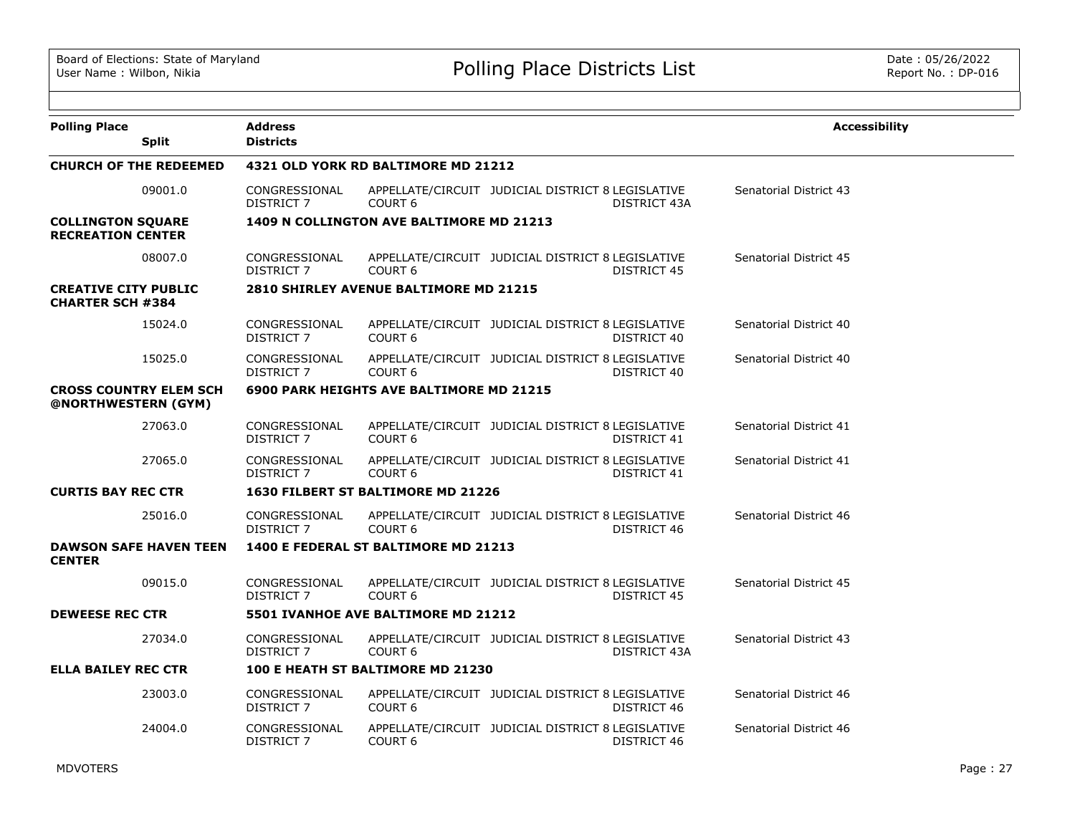| <b>Polling Place</b>                                   | <b>Address</b>                     |                                                 |                                                   |              | <b>Accessibility</b>   |
|--------------------------------------------------------|------------------------------------|-------------------------------------------------|---------------------------------------------------|--------------|------------------------|
| <b>Split</b>                                           | <b>Districts</b>                   |                                                 |                                                   |              |                        |
| <b>CHURCH OF THE REDEEMED</b>                          |                                    | 4321 OLD YORK RD BALTIMORE MD 21212             |                                                   |              |                        |
| 09001.0                                                | CONGRESSIONAL<br>DISTRICT 7        | COURT <sub>6</sub>                              | APPELLATE/CIRCUIT JUDICIAL DISTRICT 8 LEGISLATIVE | DISTRICT 43A | Senatorial District 43 |
| <b>COLLINGTON SQUARE</b><br><b>RECREATION CENTER</b>   |                                    | 1409 N COLLINGTON AVE BALTIMORE MD 21213        |                                                   |              |                        |
| 08007.0                                                | CONGRESSIONAL<br>DISTRICT 7        | COURT <sub>6</sub>                              | APPELLATE/CIRCUIT JUDICIAL DISTRICT 8 LEGISLATIVE | DISTRICT 45  | Senatorial District 45 |
| <b>CREATIVE CITY PUBLIC</b><br><b>CHARTER SCH #384</b> |                                    | 2810 SHIRLEY AVENUE BALTIMORE MD 21215          |                                                   |              |                        |
| 15024.0                                                | CONGRESSIONAL<br>DISTRICT 7        | COURT <sub>6</sub>                              | APPELLATE/CIRCUIT JUDICIAL DISTRICT 8 LEGISLATIVE | DISTRICT 40  | Senatorial District 40 |
| 15025.0                                                | CONGRESSIONAL<br><b>DISTRICT 7</b> | COURT <sub>6</sub>                              | APPELLATE/CIRCUIT JUDICIAL DISTRICT 8 LEGISLATIVE | DISTRICT 40  | Senatorial District 40 |
| <b>CROSS COUNTRY ELEM SCH</b><br>@NORTHWESTERN (GYM)   |                                    | <b>6900 PARK HEIGHTS AVE BALTIMORE MD 21215</b> |                                                   |              |                        |
| 27063.0                                                | CONGRESSIONAL<br><b>DISTRICT 7</b> | COURT <sub>6</sub>                              | APPELLATE/CIRCUIT JUDICIAL DISTRICT 8 LEGISLATIVE | DISTRICT 41  | Senatorial District 41 |
| 27065.0                                                | CONGRESSIONAL<br><b>DISTRICT 7</b> | COURT <sub>6</sub>                              | APPELLATE/CIRCUIT JUDICIAL DISTRICT 8 LEGISLATIVE | DISTRICT 41  | Senatorial District 41 |
| <b>CURTIS BAY REC CTR</b>                              |                                    | 1630 FILBERT ST BALTIMORE MD 21226              |                                                   |              |                        |
| 25016.0                                                | CONGRESSIONAL<br><b>DISTRICT 7</b> | COURT <sub>6</sub>                              | APPELLATE/CIRCUIT JUDICIAL DISTRICT 8 LEGISLATIVE | DISTRICT 46  | Senatorial District 46 |
| <b>DAWSON SAFE HAVEN TEEN</b><br><b>CENTER</b>         |                                    | 1400 E FEDERAL ST BALTIMORE MD 21213            |                                                   |              |                        |
| 09015.0                                                | CONGRESSIONAL<br>DISTRICT 7        | COURT <sub>6</sub>                              | APPELLATE/CIRCUIT JUDICIAL DISTRICT 8 LEGISLATIVE | DISTRICT 45  | Senatorial District 45 |
| <b>DEWEESE REC CTR</b>                                 |                                    | 5501 IVANHOE AVE BALTIMORE MD 21212             |                                                   |              |                        |
| 27034.0                                                | CONGRESSIONAL<br><b>DISTRICT 7</b> | COURT <sub>6</sub>                              | APPELLATE/CIRCUIT JUDICIAL DISTRICT 8 LEGISLATIVE | DISTRICT 43A | Senatorial District 43 |
| <b>ELLA BAILEY REC CTR</b>                             |                                    | 100 E HEATH ST BALTIMORE MD 21230               |                                                   |              |                        |
| 23003.0                                                | CONGRESSIONAL<br>DISTRICT 7        | COURT <sub>6</sub>                              | APPELLATE/CIRCUIT JUDICIAL DISTRICT 8 LEGISLATIVE | DISTRICT 46  | Senatorial District 46 |
| 24004.0                                                | CONGRESSIONAL<br><b>DISTRICT 7</b> | COURT <sub>6</sub>                              | APPELLATE/CIRCUIT JUDICIAL DISTRICT 8 LEGISLATIVE | DISTRICT 46  | Senatorial District 46 |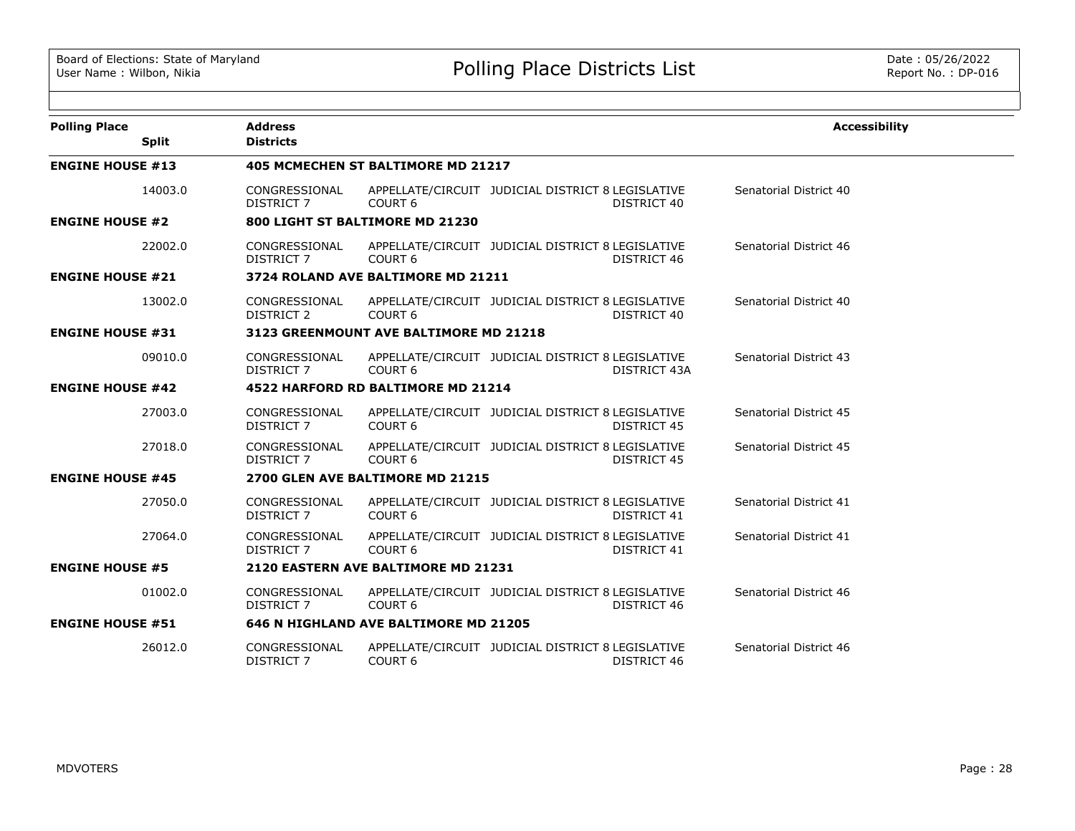| <b>Polling Place</b><br><b>Split</b> | <b>Address</b><br><b>Districts</b> |                                           |                                                                         | <b>Accessibility</b>   |
|--------------------------------------|------------------------------------|-------------------------------------------|-------------------------------------------------------------------------|------------------------|
| <b>ENGINE HOUSE #13</b>              |                                    | <b>405 MCMECHEN ST BALTIMORE MD 21217</b> |                                                                         |                        |
| 14003.0                              | CONGRESSIONAL<br>DISTRICT 7        | COURT <sub>6</sub>                        | APPELLATE/CIRCUIT JUDICIAL DISTRICT 8 LEGISLATIVE<br>DISTRICT 40        | Senatorial District 40 |
| <b>ENGINE HOUSE #2</b>               |                                    | 800 LIGHT ST BALTIMORE MD 21230           |                                                                         |                        |
| 22002.0                              | CONGRESSIONAL<br><b>DISTRICT 7</b> | COURT <sub>6</sub>                        | APPELLATE/CIRCUIT JUDICIAL DISTRICT 8 LEGISLATIVE<br>DISTRICT 46        | Senatorial District 46 |
| <b>ENGINE HOUSE #21</b>              |                                    | 3724 ROLAND AVE BALTIMORE MD 21211        |                                                                         |                        |
| 13002.0                              | CONGRESSIONAL<br><b>DISTRICT 2</b> | COURT <sub>6</sub>                        | APPELLATE/CIRCUIT JUDICIAL DISTRICT 8 LEGISLATIVE<br>DISTRICT 40        | Senatorial District 40 |
| <b>ENGINE HOUSE #31</b>              |                                    | 3123 GREENMOUNT AVE BALTIMORE MD 21218    |                                                                         |                        |
| 09010.0                              | CONGRESSIONAL<br><b>DISTRICT 7</b> | COURT <sub>6</sub>                        | APPELLATE/CIRCUIT JUDICIAL DISTRICT 8 LEGISLATIVE<br>DISTRICT 43A       | Senatorial District 43 |
| <b>ENGINE HOUSE #42</b>              |                                    | 4522 HARFORD RD BALTIMORE MD 21214        |                                                                         |                        |
| 27003.0                              | CONGRESSIONAL<br><b>DISTRICT 7</b> | COURT <sub>6</sub>                        | APPELLATE/CIRCUIT JUDICIAL DISTRICT 8 LEGISLATIVE<br><b>DISTRICT 45</b> | Senatorial District 45 |
| 27018.0                              | CONGRESSIONAL<br><b>DISTRICT 7</b> | COURT <sub>6</sub>                        | APPELLATE/CIRCUIT JUDICIAL DISTRICT 8 LEGISLATIVE<br><b>DISTRICT 45</b> | Senatorial District 45 |
| <b>ENGINE HOUSE #45</b>              |                                    | 2700 GLEN AVE BALTIMORE MD 21215          |                                                                         |                        |
| 27050.0                              | CONGRESSIONAL<br>DISTRICT 7        | COURT <sub>6</sub>                        | APPELLATE/CIRCUIT JUDICIAL DISTRICT 8 LEGISLATIVE<br>DISTRICT 41        | Senatorial District 41 |
| 27064.0                              | CONGRESSIONAL<br><b>DISTRICT 7</b> | COURT <sub>6</sub>                        | APPELLATE/CIRCUIT JUDICIAL DISTRICT 8 LEGISLATIVE<br><b>DISTRICT 41</b> | Senatorial District 41 |
| <b>ENGINE HOUSE #5</b>               |                                    | 2120 EASTERN AVE BALTIMORE MD 21231       |                                                                         |                        |
| 01002.0                              | CONGRESSIONAL<br><b>DISTRICT 7</b> | COURT <sub>6</sub>                        | APPELLATE/CIRCUIT JUDICIAL DISTRICT 8 LEGISLATIVE<br>DISTRICT 46        | Senatorial District 46 |
| <b>ENGINE HOUSE #51</b>              |                                    | 646 N HIGHLAND AVE BALTIMORE MD 21205     |                                                                         |                        |
| 26012.0                              | CONGRESSIONAL<br><b>DISTRICT 7</b> | COURT <sub>6</sub>                        | APPELLATE/CIRCUIT JUDICIAL DISTRICT 8 LEGISLATIVE<br>DISTRICT 46        | Senatorial District 46 |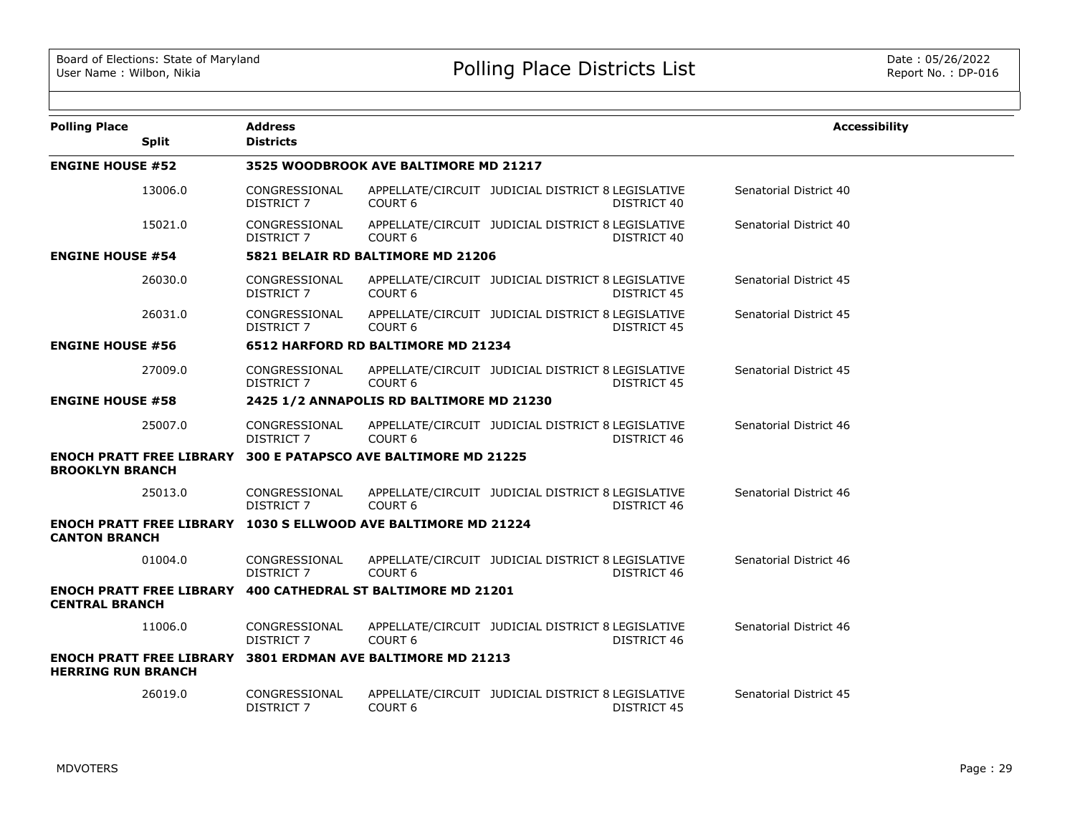|                                                                                               |                                    |                                              |                                                                         |                        | <b>Accessibility</b> |
|-----------------------------------------------------------------------------------------------|------------------------------------|----------------------------------------------|-------------------------------------------------------------------------|------------------------|----------------------|
| <b>Polling Place</b><br><b>Split</b>                                                          | <b>Address</b><br><b>Districts</b> |                                              |                                                                         |                        |                      |
| <b>ENGINE HOUSE #52</b>                                                                       |                                    | 3525 WOODBROOK AVE BALTIMORE MD 21217        |                                                                         |                        |                      |
| 13006.0                                                                                       | CONGRESSIONAL<br><b>DISTRICT 7</b> | COURT <sub>6</sub>                           | APPELLATE/CIRCUIT JUDICIAL DISTRICT 8 LEGISLATIVE<br>DISTRICT 40        | Senatorial District 40 |                      |
| 15021.0                                                                                       | CONGRESSIONAL<br>DISTRICT 7        | COURT <sub>6</sub>                           | APPELLATE/CIRCUIT JUDICIAL DISTRICT 8 LEGISLATIVE<br>DISTRICT 40        | Senatorial District 40 |                      |
| <b>ENGINE HOUSE #54</b>                                                                       |                                    | 5821 BELAIR RD BALTIMORE MD 21206            |                                                                         |                        |                      |
| 26030.0                                                                                       | CONGRESSIONAL<br>DISTRICT 7        | COURT <sub>6</sub>                           | APPELLATE/CIRCUIT JUDICIAL DISTRICT 8 LEGISLATIVE<br><b>DISTRICT 45</b> | Senatorial District 45 |                      |
| 26031.0                                                                                       | CONGRESSIONAL<br>DISTRICT 7        | COURT <sub>6</sub>                           | APPELLATE/CIRCUIT JUDICIAL DISTRICT 8 LEGISLATIVE<br>DISTRICT 45        | Senatorial District 45 |                      |
| <b>ENGINE HOUSE #56</b>                                                                       |                                    | 6512 HARFORD RD BALTIMORE MD 21234           |                                                                         |                        |                      |
| 27009.0                                                                                       | CONGRESSIONAL<br>DISTRICT 7        | COURT <sub>6</sub>                           | APPELLATE/CIRCUIT JUDICIAL DISTRICT 8 LEGISLATIVE<br><b>DISTRICT 45</b> | Senatorial District 45 |                      |
| <b>ENGINE HOUSE #58</b>                                                                       |                                    | 2425 1/2 ANNAPOLIS RD BALTIMORE MD 21230     |                                                                         |                        |                      |
| 25007.0                                                                                       | CONGRESSIONAL<br>DISTRICT 7        | COURT <sub>6</sub>                           | APPELLATE/CIRCUIT JUDICIAL DISTRICT 8 LEGISLATIVE<br>DISTRICT 46        | Senatorial District 46 |                      |
| <b>ENOCH PRATT FREE LIBRARY</b><br><b>BROOKLYN BRANCH</b>                                     |                                    | <b>300 E PATAPSCO AVE BALTIMORE MD 21225</b> |                                                                         |                        |                      |
| 25013.0                                                                                       | CONGRESSIONAL<br>DISTRICT 7        | COURT <sub>6</sub>                           | APPELLATE/CIRCUIT JUDICIAL DISTRICT 8 LEGISLATIVE<br>DISTRICT 46        | Senatorial District 46 |                      |
| <b>ENOCH PRATT FREE LIBRARY 1030 S ELLWOOD AVE BALTIMORE MD 21224</b><br><b>CANTON BRANCH</b> |                                    |                                              |                                                                         |                        |                      |
| 01004.0                                                                                       | CONGRESSIONAL<br><b>DISTRICT 7</b> | COURT <sub>6</sub>                           | APPELLATE/CIRCUIT JUDICIAL DISTRICT 8 LEGISLATIVE<br>DISTRICT 46        | Senatorial District 46 |                      |
| <b>ENOCH PRATT FREE LIBRARY 400 CATHEDRAL ST BALTIMORE MD 21201</b><br><b>CENTRAL BRANCH</b>  |                                    |                                              |                                                                         |                        |                      |
| 11006.0                                                                                       | CONGRESSIONAL<br><b>DISTRICT 7</b> | COURT <sub>6</sub>                           | APPELLATE/CIRCUIT JUDICIAL DISTRICT 8 LEGISLATIVE<br>DISTRICT 46        | Senatorial District 46 |                      |
| <b>ENOCH PRATT FREE LIBRARY</b><br><b>HERRING RUN BRANCH</b>                                  |                                    | 3801 ERDMAN AVE BALTIMORE MD 21213           |                                                                         |                        |                      |
| 26019.0                                                                                       | CONGRESSIONAL<br>DISTRICT 7        | COURT <sub>6</sub>                           | APPELLATE/CIRCUIT JUDICIAL DISTRICT 8 LEGISLATIVE<br><b>DISTRICT 45</b> | Senatorial District 45 |                      |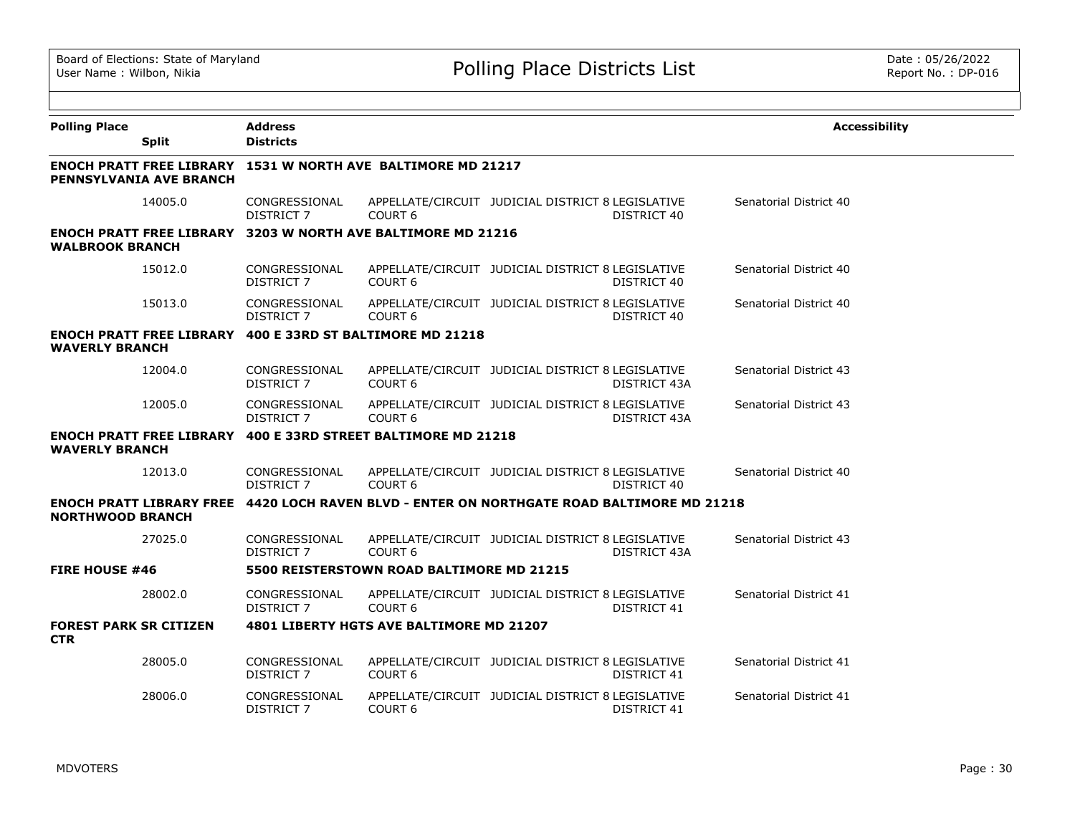| <b>Polling Place</b>                        | <b>Split</b>                    | <b>Address</b><br><b>Districts</b> |                                                                     |                                                   |                    | <b>Accessibility</b>   |
|---------------------------------------------|---------------------------------|------------------------------------|---------------------------------------------------------------------|---------------------------------------------------|--------------------|------------------------|
|                                             |                                 |                                    |                                                                     |                                                   |                    |                        |
|                                             | <b>PENNSYLVANIA AVE BRANCH</b>  |                                    | <b>ENOCH PRATT FREE LIBRARY 1531 W NORTH AVE BALTIMORE MD 21217</b> |                                                   |                    |                        |
|                                             | 14005.0                         | CONGRESSIONAL<br><b>DISTRICT 7</b> | COURT <sub>6</sub>                                                  | APPELLATE/CIRCUIT JUDICIAL DISTRICT 8 LEGISLATIVE | DISTRICT 40        | Senatorial District 40 |
| <b>WALBROOK BRANCH</b>                      |                                 |                                    | <b>ENOCH PRATT FREE LIBRARY 3203 W NORTH AVE BALTIMORE MD 21216</b> |                                                   |                    |                        |
|                                             | 15012.0                         | CONGRESSIONAL<br>DISTRICT 7        | COURT <sub>6</sub>                                                  | APPELLATE/CIRCUIT JUDICIAL DISTRICT 8 LEGISLATIVE | DISTRICT 40        | Senatorial District 40 |
|                                             | 15013.0                         | CONGRESSIONAL<br>DISTRICT 7        | COURT <sub>6</sub>                                                  | APPELLATE/CIRCUIT JUDICIAL DISTRICT 8 LEGISLATIVE | DISTRICT 40        | Senatorial District 40 |
| <b>WAVERLY BRANCH</b>                       | <b>ENOCH PRATT FREE LIBRARY</b> |                                    | 400 E 33RD ST BALTIMORE MD 21218                                    |                                                   |                    |                        |
|                                             | 12004.0                         | CONGRESSIONAL<br>DISTRICT 7        | COURT <sub>6</sub>                                                  | APPELLATE/CIRCUIT JUDICIAL DISTRICT 8 LEGISLATIVE | DISTRICT 43A       | Senatorial District 43 |
|                                             | 12005.0                         | CONGRESSIONAL<br>DISTRICT 7        | COURT <sub>6</sub>                                                  | APPELLATE/CIRCUIT JUDICIAL DISTRICT 8 LEGISLATIVE | DISTRICT 43A       | Senatorial District 43 |
| <b>WAVERLY BRANCH</b>                       | <b>ENOCH PRATT FREE LIBRARY</b> |                                    | 400 E 33RD STREET BALTIMORE MD 21218                                |                                                   |                    |                        |
|                                             | 12013.0                         | CONGRESSIONAL<br>DISTRICT 7        | COURT <sub>6</sub>                                                  | APPELLATE/CIRCUIT JUDICIAL DISTRICT 8 LEGISLATIVE | DISTRICT 40        | Senatorial District 40 |
| <b>NORTHWOOD BRANCH</b>                     | <b>ENOCH PRATT LIBRARY FREE</b> |                                    | 4420 LOCH RAVEN BLVD - ENTER ON NORTHGATE ROAD BALTIMORE MD 21218   |                                                   |                    |                        |
|                                             | 27025.0                         | CONGRESSIONAL<br>DISTRICT 7        | COURT <sub>6</sub>                                                  | APPELLATE/CIRCUIT JUDICIAL DISTRICT 8 LEGISLATIVE | DISTRICT 43A       | Senatorial District 43 |
| <b>FIRE HOUSE #46</b>                       |                                 |                                    | 5500 REISTERSTOWN ROAD BALTIMORE MD 21215                           |                                                   |                    |                        |
|                                             | 28002.0                         | CONGRESSIONAL<br><b>DISTRICT 7</b> | COURT <sub>6</sub>                                                  | APPELLATE/CIRCUIT JUDICIAL DISTRICT 8 LEGISLATIVE | <b>DISTRICT 41</b> | Senatorial District 41 |
| <b>FOREST PARK SR CITIZEN</b><br><b>CTR</b> |                                 |                                    | 4801 LIBERTY HGTS AVE BALTIMORE MD 21207                            |                                                   |                    |                        |
|                                             | 28005.0                         | CONGRESSIONAL<br>DISTRICT 7        | COURT <sub>6</sub>                                                  | APPELLATE/CIRCUIT JUDICIAL DISTRICT 8 LEGISLATIVE | DISTRICT 41        | Senatorial District 41 |
|                                             | 28006.0                         | CONGRESSIONAL<br>DISTRICT 7        | COURT <sub>6</sub>                                                  | APPELLATE/CIRCUIT JUDICIAL DISTRICT 8 LEGISLATIVE | DISTRICT 41        | Senatorial District 41 |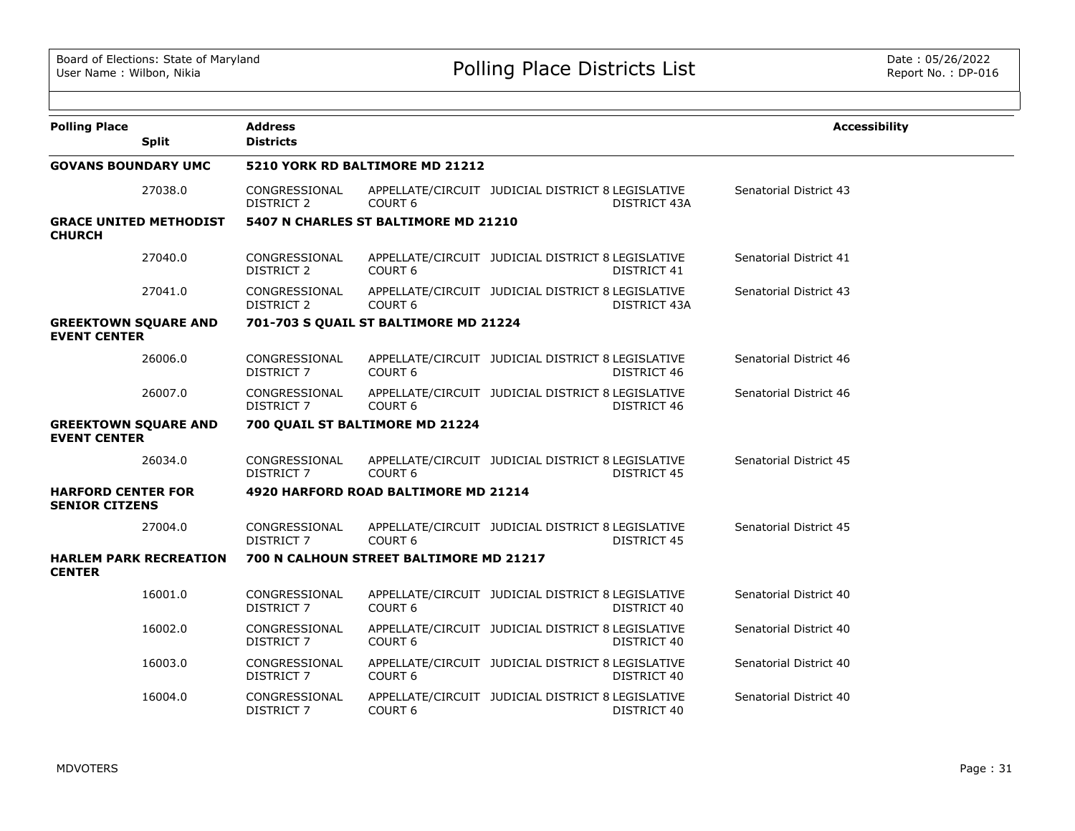| <b>Polling Place</b><br><b>Split</b>               | <b>Address</b><br><b>Districts</b> |                                         |                                                   |                    | <b>Accessibility</b>   |
|----------------------------------------------------|------------------------------------|-----------------------------------------|---------------------------------------------------|--------------------|------------------------|
| <b>GOVANS BOUNDARY UMC</b>                         |                                    | 5210 YORK RD BALTIMORE MD 21212         |                                                   |                    |                        |
| 27038.0                                            | CONGRESSIONAL<br><b>DISTRICT 2</b> | COURT <sub>6</sub>                      | APPELLATE/CIRCUIT JUDICIAL DISTRICT 8 LEGISLATIVE | DISTRICT 43A       | Senatorial District 43 |
| <b>GRACE UNITED METHODIST</b><br><b>CHURCH</b>     |                                    | 5407 N CHARLES ST BALTIMORE MD 21210    |                                                   |                    |                        |
| 27040.0                                            | CONGRESSIONAL<br>DISTRICT 2        | COURT 6                                 | APPELLATE/CIRCUIT JUDICIAL DISTRICT 8 LEGISLATIVE | DISTRICT 41        | Senatorial District 41 |
| 27041.0                                            | CONGRESSIONAL<br>DISTRICT 2        | COURT <sub>6</sub>                      | APPELLATE/CIRCUIT JUDICIAL DISTRICT 8 LEGISLATIVE | DISTRICT 43A       | Senatorial District 43 |
| <b>GREEKTOWN SQUARE AND</b><br><b>EVENT CENTER</b> |                                    | 701-703 S QUAIL ST BALTIMORE MD 21224   |                                                   |                    |                        |
| 26006.0                                            | CONGRESSIONAL<br><b>DISTRICT 7</b> | COURT <sub>6</sub>                      | APPELLATE/CIRCUIT JUDICIAL DISTRICT 8 LEGISLATIVE | DISTRICT 46        | Senatorial District 46 |
| 26007.0                                            | CONGRESSIONAL<br><b>DISTRICT 7</b> | COURT <sub>6</sub>                      | APPELLATE/CIRCUIT JUDICIAL DISTRICT 8 LEGISLATIVE | DISTRICT 46        | Senatorial District 46 |
| <b>GREEKTOWN SQUARE AND</b><br><b>EVENT CENTER</b> |                                    | 700 QUAIL ST BALTIMORE MD 21224         |                                                   |                    |                        |
| 26034.0                                            | CONGRESSIONAL<br><b>DISTRICT 7</b> | COURT <sub>6</sub>                      | APPELLATE/CIRCUIT JUDICIAL DISTRICT 8 LEGISLATIVE | <b>DISTRICT 45</b> | Senatorial District 45 |
| <b>HARFORD CENTER FOR</b><br><b>SENIOR CITZENS</b> |                                    | 4920 HARFORD ROAD BALTIMORE MD 21214    |                                                   |                    |                        |
| 27004.0                                            | CONGRESSIONAL<br><b>DISTRICT 7</b> | COURT <sub>6</sub>                      | APPELLATE/CIRCUIT JUDICIAL DISTRICT 8 LEGISLATIVE | DISTRICT 45        | Senatorial District 45 |
| <b>HARLEM PARK RECREATION</b><br><b>CENTER</b>     |                                    | 700 N CALHOUN STREET BALTIMORE MD 21217 |                                                   |                    |                        |
| 16001.0                                            | CONGRESSIONAL<br><b>DISTRICT 7</b> | COURT <sub>6</sub>                      | APPELLATE/CIRCUIT JUDICIAL DISTRICT 8 LEGISLATIVE | DISTRICT 40        | Senatorial District 40 |
| 16002.0                                            | CONGRESSIONAL<br>DISTRICT 7        | COURT <sub>6</sub>                      | APPELLATE/CIRCUIT JUDICIAL DISTRICT 8 LEGISLATIVE | DISTRICT 40        | Senatorial District 40 |
| 16003.0                                            | CONGRESSIONAL<br><b>DISTRICT 7</b> | COURT <sub>6</sub>                      | APPELLATE/CIRCUIT JUDICIAL DISTRICT 8 LEGISLATIVE | DISTRICT 40        | Senatorial District 40 |
| 16004.0                                            | CONGRESSIONAL<br><b>DISTRICT 7</b> | COURT <sub>6</sub>                      | APPELLATE/CIRCUIT JUDICIAL DISTRICT 8 LEGISLATIVE | DISTRICT 40        | Senatorial District 40 |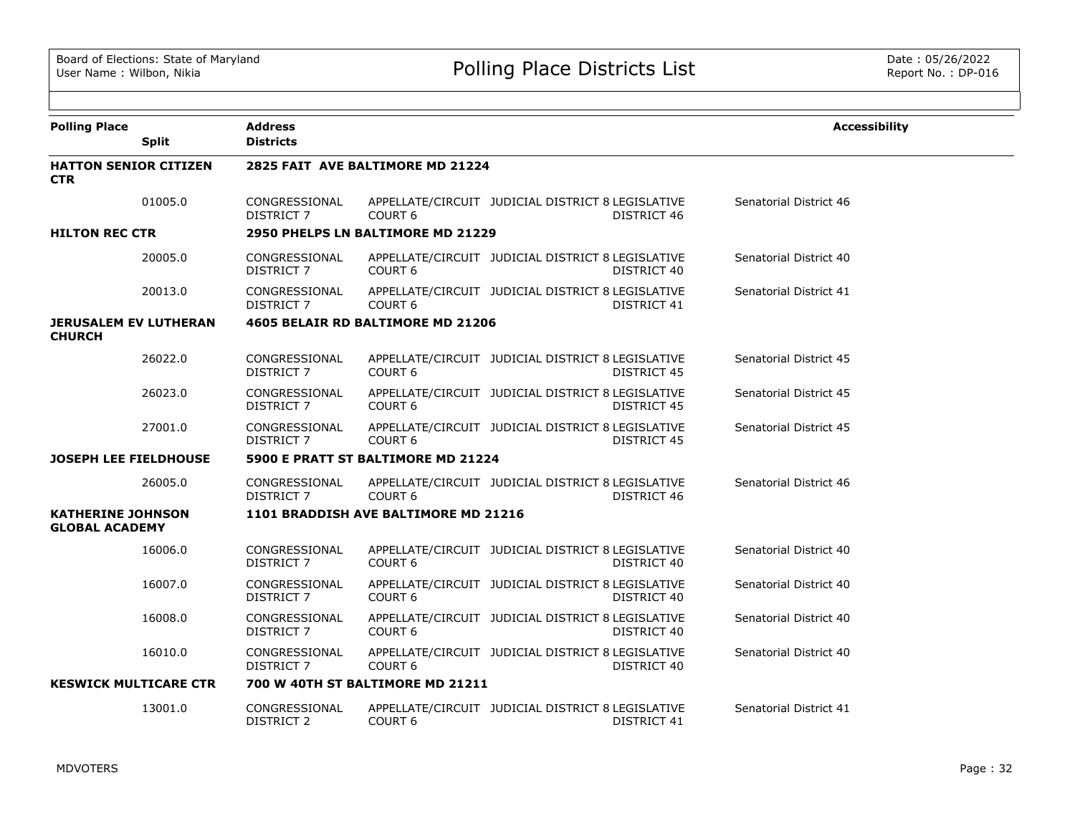| <b>Polling Place</b>                              | <b>Split</b> | <b>Address</b><br><b>Districts</b> |                                      |                                                   |                    | <b>Accessibility</b>   |  |
|---------------------------------------------------|--------------|------------------------------------|--------------------------------------|---------------------------------------------------|--------------------|------------------------|--|
| <b>HATTON SENIOR CITIZEN</b><br><b>CTR</b>        |              |                                    | 2825 FAIT AVE BALTIMORE MD 21224     |                                                   |                    |                        |  |
|                                                   | 01005.0      | CONGRESSIONAL<br><b>DISTRICT 7</b> | COURT <sub>6</sub>                   | APPELLATE/CIRCUIT JUDICIAL DISTRICT 8 LEGISLATIVE | DISTRICT 46        | Senatorial District 46 |  |
| <b>HILTON REC CTR</b>                             |              |                                    | 2950 PHELPS LN BALTIMORE MD 21229    |                                                   |                    |                        |  |
|                                                   | 20005.0      | CONGRESSIONAL<br>DISTRICT 7        | COURT <sub>6</sub>                   | APPELLATE/CIRCUIT JUDICIAL DISTRICT 8 LEGISLATIVE | DISTRICT 40        | Senatorial District 40 |  |
|                                                   | 20013.0      | CONGRESSIONAL<br><b>DISTRICT 7</b> | COURT <sub>6</sub>                   | APPELLATE/CIRCUIT JUDICIAL DISTRICT 8 LEGISLATIVE | DISTRICT 41        | Senatorial District 41 |  |
| <b>JERUSALEM EV LUTHERAN</b><br><b>CHURCH</b>     |              |                                    | 4605 BELAIR RD BALTIMORE MD 21206    |                                                   |                    |                        |  |
|                                                   | 26022.0      | CONGRESSIONAL<br>DISTRICT 7        | COURT <sub>6</sub>                   | APPELLATE/CIRCUIT JUDICIAL DISTRICT 8 LEGISLATIVE | DISTRICT 45        | Senatorial District 45 |  |
|                                                   | 26023.0      | CONGRESSIONAL<br><b>DISTRICT 7</b> | COURT <sub>6</sub>                   | APPELLATE/CIRCUIT JUDICIAL DISTRICT 8 LEGISLATIVE | <b>DISTRICT 45</b> | Senatorial District 45 |  |
|                                                   | 27001.0      | CONGRESSIONAL<br>DISTRICT 7        | COURT <sub>6</sub>                   | APPELLATE/CIRCUIT JUDICIAL DISTRICT 8 LEGISLATIVE | DISTRICT 45        | Senatorial District 45 |  |
| <b>JOSEPH LEE FIELDHOUSE</b>                      |              |                                    | 5900 E PRATT ST BALTIMORE MD 21224   |                                                   |                    |                        |  |
|                                                   | 26005.0      | CONGRESSIONAL<br>DISTRICT 7        | COURT <sub>6</sub>                   | APPELLATE/CIRCUIT JUDICIAL DISTRICT 8 LEGISLATIVE | DISTRICT 46        | Senatorial District 46 |  |
| <b>KATHERINE JOHNSON</b><br><b>GLOBAL ACADEMY</b> |              |                                    | 1101 BRADDISH AVE BALTIMORE MD 21216 |                                                   |                    |                        |  |
|                                                   | 16006.0      | CONGRESSIONAL<br>DISTRICT 7        | COURT <sub>6</sub>                   | APPELLATE/CIRCUIT JUDICIAL DISTRICT 8 LEGISLATIVE | DISTRICT 40        | Senatorial District 40 |  |
|                                                   | 16007.0      | CONGRESSIONAL<br><b>DISTRICT 7</b> | COURT <sub>6</sub>                   | APPELLATE/CIRCUIT JUDICIAL DISTRICT 8 LEGISLATIVE | DISTRICT 40        | Senatorial District 40 |  |
|                                                   | 16008.0      | CONGRESSIONAL<br>DISTRICT 7        | COURT 6                              | APPELLATE/CIRCUIT JUDICIAL DISTRICT 8 LEGISLATIVE | DISTRICT 40        | Senatorial District 40 |  |
|                                                   | 16010.0      | CONGRESSIONAL<br><b>DISTRICT 7</b> | COURT <sub>6</sub>                   | APPELLATE/CIRCUIT JUDICIAL DISTRICT 8 LEGISLATIVE | DISTRICT 40        | Senatorial District 40 |  |
| <b>KESWICK MULTICARE CTR</b>                      |              |                                    | 700 W 40TH ST BALTIMORE MD 21211     |                                                   |                    |                        |  |
|                                                   | 13001.0      | CONGRESSIONAL<br><b>DISTRICT 2</b> | COURT <sub>6</sub>                   | APPELLATE/CIRCUIT JUDICIAL DISTRICT 8 LEGISLATIVE | DISTRICT 41        | Senatorial District 41 |  |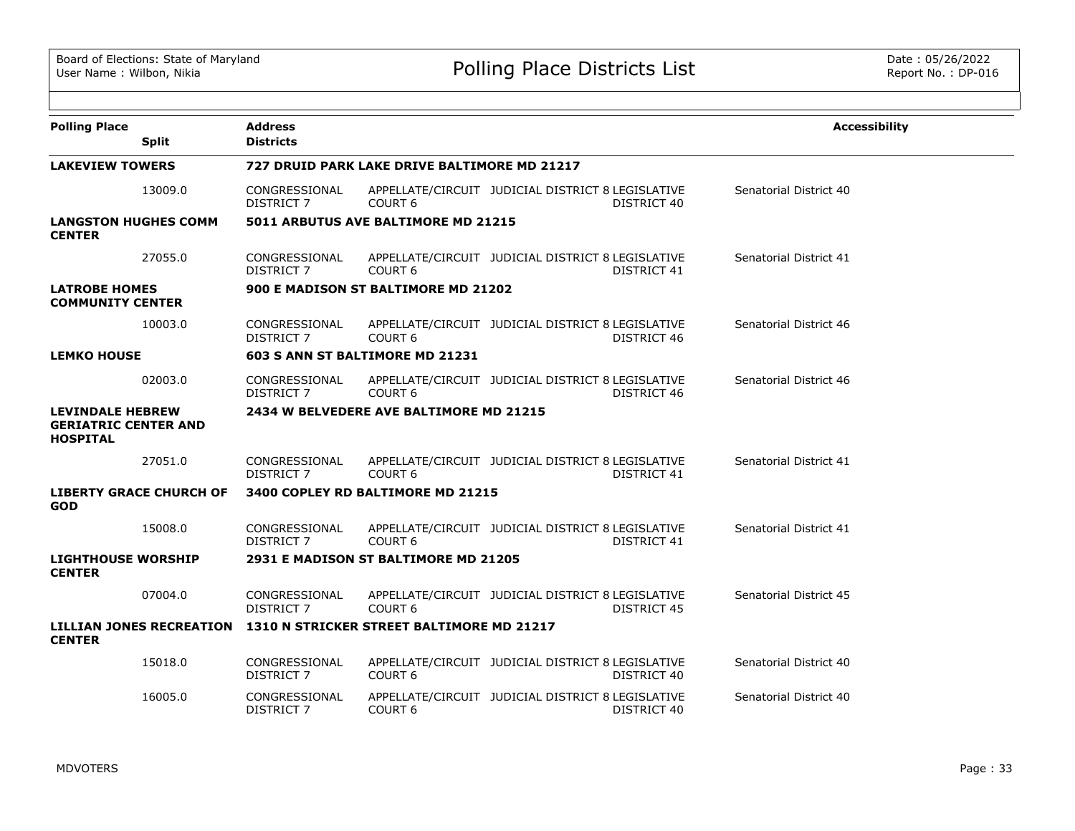| <b>Polling Place</b>                                                                | <b>Address</b>                     |                                              |                                                                         | <b>Accessibility</b>   |
|-------------------------------------------------------------------------------------|------------------------------------|----------------------------------------------|-------------------------------------------------------------------------|------------------------|
| <b>Split</b>                                                                        | <b>Districts</b>                   |                                              |                                                                         |                        |
| <b>LAKEVIEW TOWERS</b>                                                              |                                    | 727 DRUID PARK LAKE DRIVE BALTIMORE MD 21217 |                                                                         |                        |
| 13009.0                                                                             | CONGRESSIONAL<br><b>DISTRICT 7</b> | COURT <sub>6</sub>                           | APPELLATE/CIRCUIT JUDICIAL DISTRICT 8 LEGISLATIVE<br>DISTRICT 40        | Senatorial District 40 |
| <b>LANGSTON HUGHES COMM</b><br><b>CENTER</b>                                        |                                    | 5011 ARBUTUS AVE BALTIMORE MD 21215          |                                                                         |                        |
| 27055.0                                                                             | CONGRESSIONAL<br>DISTRICT 7        | COURT <sub>6</sub>                           | APPELLATE/CIRCUIT JUDICIAL DISTRICT 8 LEGISLATIVE<br>DISTRICT 41        | Senatorial District 41 |
| <b>LATROBE HOMES</b><br><b>COMMUNITY CENTER</b>                                     |                                    | 900 E MADISON ST BALTIMORE MD 21202          |                                                                         |                        |
| 10003.0                                                                             | CONGRESSIONAL<br><b>DISTRICT 7</b> | COURT <sub>6</sub>                           | APPELLATE/CIRCUIT JUDICIAL DISTRICT 8 LEGISLATIVE<br>DISTRICT 46        | Senatorial District 46 |
| <b>LEMKO HOUSE</b>                                                                  |                                    | 603 S ANN ST BALTIMORE MD 21231              |                                                                         |                        |
| 02003.0                                                                             | CONGRESSIONAL<br><b>DISTRICT 7</b> | COURT <sub>6</sub>                           | APPELLATE/CIRCUIT JUDICIAL DISTRICT 8 LEGISLATIVE<br>DISTRICT 46        | Senatorial District 46 |
| <b>LEVINDALE HEBREW</b><br><b>GERIATRIC CENTER AND</b><br><b>HOSPITAL</b>           |                                    | 2434 W BELVEDERE AVE BALTIMORE MD 21215      |                                                                         |                        |
| 27051.0                                                                             | CONGRESSIONAL<br><b>DISTRICT 7</b> | COURT <sub>6</sub>                           | APPELLATE/CIRCUIT JUDICIAL DISTRICT 8 LEGISLATIVE<br>DISTRICT 41        | Senatorial District 41 |
| <b>LIBERTY GRACE CHURCH OF</b><br><b>GOD</b>                                        |                                    | 3400 COPLEY RD BALTIMORE MD 21215            |                                                                         |                        |
| 15008.0                                                                             | CONGRESSIONAL<br>DISTRICT 7        | COURT <sub>6</sub>                           | APPELLATE/CIRCUIT JUDICIAL DISTRICT 8 LEGISLATIVE<br>DISTRICT 41        | Senatorial District 41 |
| <b>LIGHTHOUSE WORSHIP</b><br><b>CENTER</b>                                          |                                    | 2931 E MADISON ST BALTIMORE MD 21205         |                                                                         |                        |
| 07004.0                                                                             | CONGRESSIONAL<br><b>DISTRICT 7</b> | COURT <sub>6</sub>                           | APPELLATE/CIRCUIT JUDICIAL DISTRICT 8 LEGISLATIVE<br><b>DISTRICT 45</b> | Senatorial District 45 |
| LILLIAN JONES RECREATION 1310 N STRICKER STREET BALTIMORE MD 21217<br><b>CENTER</b> |                                    |                                              |                                                                         |                        |
| 15018.0                                                                             | CONGRESSIONAL<br>DISTRICT 7        | COURT <sub>6</sub>                           | APPELLATE/CIRCUIT JUDICIAL DISTRICT 8 LEGISLATIVE<br>DISTRICT 40        | Senatorial District 40 |
| 16005.0                                                                             | CONGRESSIONAL<br>DISTRICT 7        | COURT <sub>6</sub>                           | APPELLATE/CIRCUIT JUDICIAL DISTRICT 8 LEGISLATIVE<br>DISTRICT 40        | Senatorial District 40 |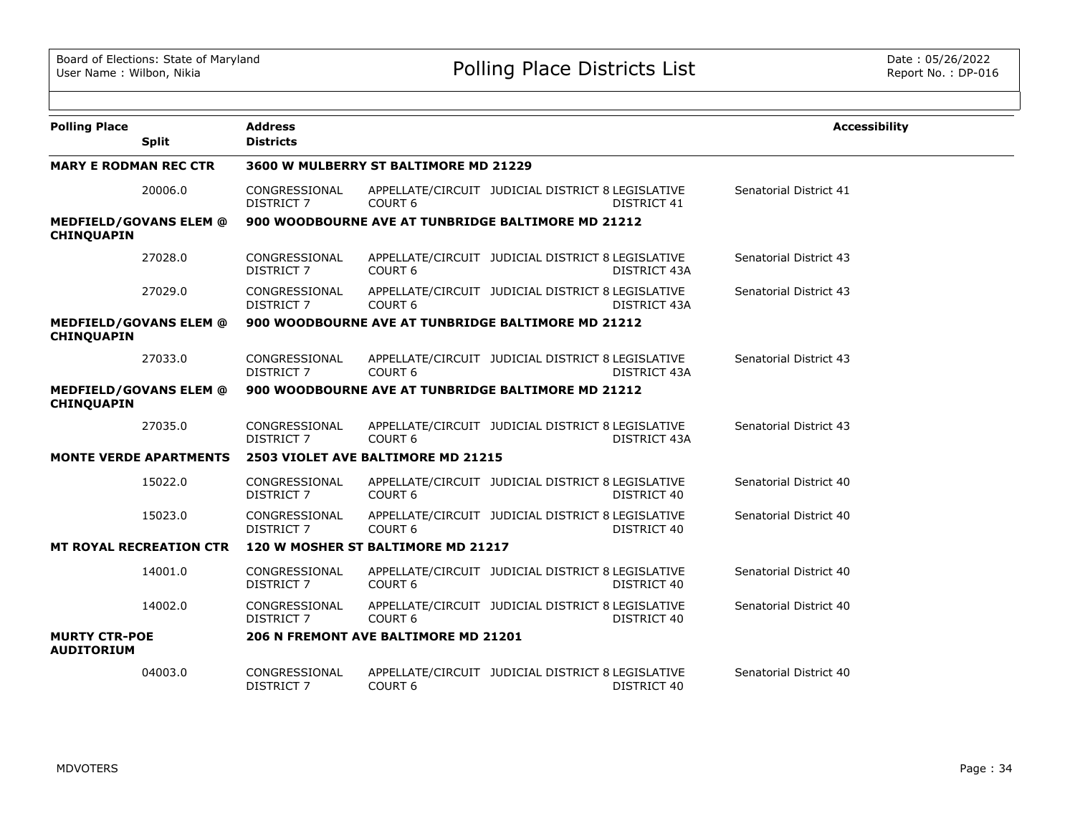| <b>Polling Place</b>                      |                                | <b>Address</b>                     |                                                    |                                                   |                     | <b>Accessibility</b>   |
|-------------------------------------------|--------------------------------|------------------------------------|----------------------------------------------------|---------------------------------------------------|---------------------|------------------------|
|                                           | <b>Split</b>                   | <b>Districts</b>                   |                                                    |                                                   |                     |                        |
| <b>MARY E RODMAN REC CTR</b>              |                                |                                    | 3600 W MULBERRY ST BALTIMORE MD 21229              |                                                   |                     |                        |
|                                           | 20006.0                        | CONGRESSIONAL<br>DISTRICT 7        | COURT <sub>6</sub>                                 | APPELLATE/CIRCUIT JUDICIAL DISTRICT 8 LEGISLATIVE | DISTRICT 41         | Senatorial District 41 |
| <b>CHINQUAPIN</b>                         | <b>MEDFIELD/GOVANS ELEM @</b>  |                                    | 900 WOODBOURNE AVE AT TUNBRIDGE BALTIMORE MD 21212 |                                                   |                     |                        |
|                                           | 27028.0                        | CONGRESSIONAL<br><b>DISTRICT 7</b> | COURT <sub>6</sub>                                 | APPELLATE/CIRCUIT JUDICIAL DISTRICT 8 LEGISLATIVE | <b>DISTRICT 43A</b> | Senatorial District 43 |
|                                           | 27029.0                        | CONGRESSIONAL<br><b>DISTRICT 7</b> | COURT <sub>6</sub>                                 | APPELLATE/CIRCUIT JUDICIAL DISTRICT 8 LEGISLATIVE | DISTRICT 43A        | Senatorial District 43 |
| <b>CHINQUAPIN</b>                         | <b>MEDFIELD/GOVANS ELEM @</b>  |                                    | 900 WOODBOURNE AVE AT TUNBRIDGE BALTIMORE MD 21212 |                                                   |                     |                        |
|                                           | 27033.0                        | CONGRESSIONAL<br><b>DISTRICT 7</b> | COURT <sub>6</sub>                                 | APPELLATE/CIRCUIT JUDICIAL DISTRICT 8 LEGISLATIVE | DISTRICT 43A        | Senatorial District 43 |
| <b>CHINQUAPIN</b>                         | <b>MEDFIELD/GOVANS ELEM @</b>  |                                    | 900 WOODBOURNE AVE AT TUNBRIDGE BALTIMORE MD 21212 |                                                   |                     |                        |
|                                           | 27035.0                        | CONGRESSIONAL<br><b>DISTRICT 7</b> | COURT <sub>6</sub>                                 | APPELLATE/CIRCUIT JUDICIAL DISTRICT 8 LEGISLATIVE | DISTRICT 43A        | Senatorial District 43 |
|                                           | <b>MONTE VERDE APARTMENTS</b>  |                                    | 2503 VIOLET AVE BALTIMORE MD 21215                 |                                                   |                     |                        |
|                                           | 15022.0                        | CONGRESSIONAL<br><b>DISTRICT 7</b> | COURT <sub>6</sub>                                 | APPELLATE/CIRCUIT JUDICIAL DISTRICT 8 LEGISLATIVE | DISTRICT 40         | Senatorial District 40 |
|                                           | 15023.0                        | CONGRESSIONAL<br><b>DISTRICT 7</b> | COURT <sub>6</sub>                                 | APPELLATE/CIRCUIT JUDICIAL DISTRICT 8 LEGISLATIVE | DISTRICT 40         | Senatorial District 40 |
|                                           | <b>MT ROYAL RECREATION CTR</b> |                                    | 120 W MOSHER ST BALTIMORE MD 21217                 |                                                   |                     |                        |
|                                           | 14001.0                        | CONGRESSIONAL<br><b>DISTRICT 7</b> | COURT <sub>6</sub>                                 | APPELLATE/CIRCUIT JUDICIAL DISTRICT 8 LEGISLATIVE | DISTRICT 40         | Senatorial District 40 |
|                                           | 14002.0                        | CONGRESSIONAL<br><b>DISTRICT 7</b> | COURT <sub>6</sub>                                 | APPELLATE/CIRCUIT JUDICIAL DISTRICT 8 LEGISLATIVE | DISTRICT 40         | Senatorial District 40 |
| <b>MURTY CTR-POE</b><br><b>AUDITORIUM</b> |                                |                                    | 206 N FREMONT AVE BALTIMORE MD 21201               |                                                   |                     |                        |
|                                           | 04003.0                        | CONGRESSIONAL<br><b>DISTRICT 7</b> | COURT <sub>6</sub>                                 | APPELLATE/CIRCUIT JUDICIAL DISTRICT 8 LEGISLATIVE | DISTRICT 40         | Senatorial District 40 |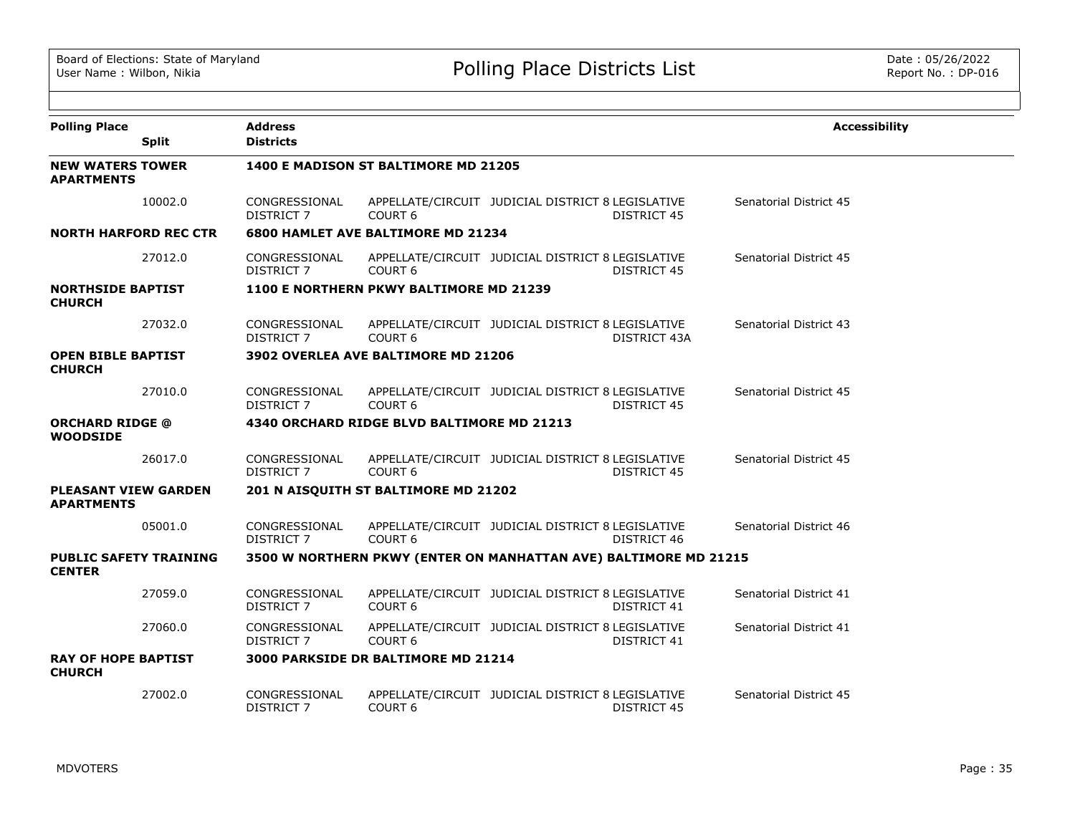| <b>Polling Place</b>                             |              | <b>Address</b>                     |                                             |                                                                  |                    | <b>Accessibility</b>   |
|--------------------------------------------------|--------------|------------------------------------|---------------------------------------------|------------------------------------------------------------------|--------------------|------------------------|
|                                                  | <b>Split</b> | <b>Districts</b>                   |                                             |                                                                  |                    |                        |
| <b>NEW WATERS TOWER</b><br><b>APARTMENTS</b>     |              |                                    | <b>1400 E MADISON ST BALTIMORE MD 21205</b> |                                                                  |                    |                        |
|                                                  | 10002.0      | CONGRESSIONAL<br><b>DISTRICT 7</b> | COURT <sub>6</sub>                          | APPELLATE/CIRCUIT JUDICIAL DISTRICT 8 LEGISLATIVE                | <b>DISTRICT 45</b> | Senatorial District 45 |
| <b>NORTH HARFORD REC CTR</b>                     |              |                                    | <b>6800 HAMLET AVE BALTIMORE MD 21234</b>   |                                                                  |                    |                        |
|                                                  | 27012.0      | CONGRESSIONAL<br>DISTRICT 7        | COURT <sub>6</sub>                          | APPELLATE/CIRCUIT JUDICIAL DISTRICT 8 LEGISLATIVE                | DISTRICT 45        | Senatorial District 45 |
| <b>NORTHSIDE BAPTIST</b><br><b>CHURCH</b>        |              |                                    | 1100 E NORTHERN PKWY BALTIMORE MD 21239     |                                                                  |                    |                        |
|                                                  | 27032.0      | CONGRESSIONAL<br>DISTRICT 7        | COURT <sub>6</sub>                          | APPELLATE/CIRCUIT JUDICIAL DISTRICT 8 LEGISLATIVE                | DISTRICT 43A       | Senatorial District 43 |
| <b>OPEN BIBLE BAPTIST</b><br><b>CHURCH</b>       |              |                                    | <b>3902 OVERLEA AVE BALTIMORE MD 21206</b>  |                                                                  |                    |                        |
|                                                  | 27010.0      | CONGRESSIONAL<br>DISTRICT 7        | COURT <sub>6</sub>                          | APPELLATE/CIRCUIT JUDICIAL DISTRICT 8 LEGISLATIVE                | <b>DISTRICT 45</b> | Senatorial District 45 |
| <b>ORCHARD RIDGE @</b><br><b>WOODSIDE</b>        |              |                                    | 4340 ORCHARD RIDGE BLVD BALTIMORE MD 21213  |                                                                  |                    |                        |
|                                                  | 26017.0      | CONGRESSIONAL<br>DISTRICT 7        | COURT <sub>6</sub>                          | APPELLATE/CIRCUIT JUDICIAL DISTRICT 8 LEGISLATIVE                | <b>DISTRICT 45</b> | Senatorial District 45 |
| <b>PLEASANT VIEW GARDEN</b><br><b>APARTMENTS</b> |              |                                    | 201 N AISQUITH ST BALTIMORE MD 21202        |                                                                  |                    |                        |
|                                                  | 05001.0      | CONGRESSIONAL<br>DISTRICT 7        | COURT <sub>6</sub>                          | APPELLATE/CIRCUIT JUDICIAL DISTRICT 8 LEGISLATIVE                | DISTRICT 46        | Senatorial District 46 |
| <b>PUBLIC SAFETY TRAINING</b><br><b>CENTER</b>   |              |                                    |                                             | 3500 W NORTHERN PKWY (ENTER ON MANHATTAN AVE) BALTIMORE MD 21215 |                    |                        |
|                                                  | 27059.0      | CONGRESSIONAL<br>DISTRICT 7        | COURT <sub>6</sub>                          | APPELLATE/CIRCUIT JUDICIAL DISTRICT 8 LEGISLATIVE                | DISTRICT 41        | Senatorial District 41 |
|                                                  | 27060.0      | CONGRESSIONAL<br>DISTRICT 7        | COURT <sub>6</sub>                          | APPELLATE/CIRCUIT JUDICIAL DISTRICT 8 LEGISLATIVE                | DISTRICT 41        | Senatorial District 41 |
| <b>RAY OF HOPE BAPTIST</b><br><b>CHURCH</b>      |              |                                    | <b>3000 PARKSIDE DR BALTIMORE MD 21214</b>  |                                                                  |                    |                        |
|                                                  | 27002.0      | CONGRESSIONAL<br>DISTRICT 7        | COURT <sub>6</sub>                          | APPELLATE/CIRCUIT JUDICIAL DISTRICT 8 LEGISLATIVE                | DISTRICT 45        | Senatorial District 45 |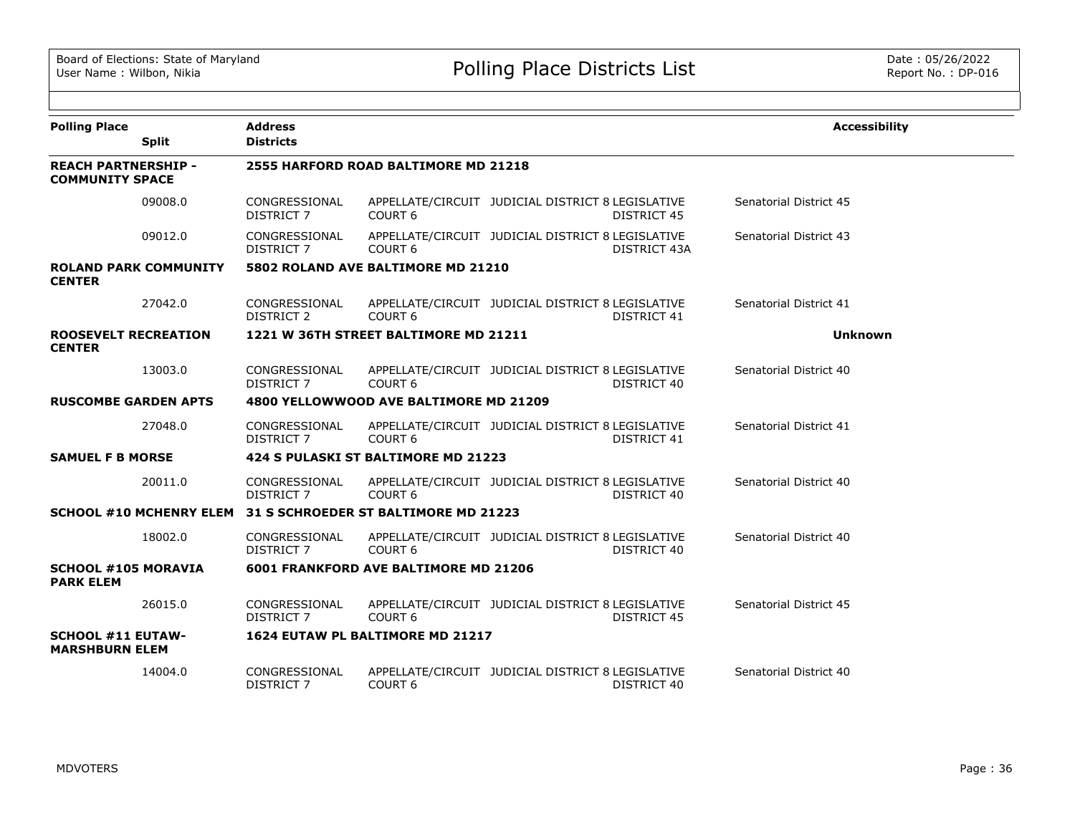| <b>Polling Place</b>                                 | <b>Split</b>                   | <b>Address</b><br><b>Districts</b> |                                        |                                                   |                    | <b>Accessibility</b>   |
|------------------------------------------------------|--------------------------------|------------------------------------|----------------------------------------|---------------------------------------------------|--------------------|------------------------|
| <b>REACH PARTNERSHIP -</b><br><b>COMMUNITY SPACE</b> |                                |                                    | 2555 HARFORD ROAD BALTIMORE MD 21218   |                                                   |                    |                        |
|                                                      | 09008.0                        | CONGRESSIONAL<br><b>DISTRICT 7</b> | COURT <sub>6</sub>                     | APPELLATE/CIRCUIT JUDICIAL DISTRICT 8 LEGISLATIVE | <b>DISTRICT 45</b> | Senatorial District 45 |
|                                                      | 09012.0                        | CONGRESSIONAL<br><b>DISTRICT 7</b> | COURT <sub>6</sub>                     | APPELLATE/CIRCUIT JUDICIAL DISTRICT 8 LEGISLATIVE | DISTRICT 43A       | Senatorial District 43 |
| <b>CENTER</b>                                        | <b>ROLAND PARK COMMUNITY</b>   |                                    | 5802 ROLAND AVE BALTIMORE MD 21210     |                                                   |                    |                        |
|                                                      | 27042.0                        | CONGRESSIONAL<br><b>DISTRICT 2</b> | COURT <sub>6</sub>                     | APPELLATE/CIRCUIT JUDICIAL DISTRICT 8 LEGISLATIVE | DISTRICT 41        | Senatorial District 41 |
| <b>ROOSEVELT RECREATION</b><br><b>CENTER</b>         |                                |                                    | 1221 W 36TH STREET BALTIMORE MD 21211  |                                                   |                    | <b>Unknown</b>         |
|                                                      | 13003.0                        | CONGRESSIONAL<br><b>DISTRICT 7</b> | COURT <sub>6</sub>                     | APPELLATE/CIRCUIT JUDICIAL DISTRICT 8 LEGISLATIVE | DISTRICT 40        | Senatorial District 40 |
| <b>RUSCOMBE GARDEN APTS</b>                          |                                |                                    | 4800 YELLOWWOOD AVE BALTIMORE MD 21209 |                                                   |                    |                        |
|                                                      | 27048.0                        | CONGRESSIONAL<br><b>DISTRICT 7</b> | COURT <sub>6</sub>                     | APPELLATE/CIRCUIT JUDICIAL DISTRICT 8 LEGISLATIVE | DISTRICT 41        | Senatorial District 41 |
| <b>SAMUEL F B MORSE</b>                              |                                |                                    | 424 S PULASKI ST BALTIMORE MD 21223    |                                                   |                    |                        |
|                                                      | 20011.0                        | CONGRESSIONAL<br><b>DISTRICT 7</b> | COURT <sub>6</sub>                     | APPELLATE/CIRCUIT JUDICIAL DISTRICT 8 LEGISLATIVE | DISTRICT 40        | Senatorial District 40 |
|                                                      | <b>SCHOOL #10 MCHENRY ELEM</b> |                                    | 31 S SCHROEDER ST BALTIMORE MD 21223   |                                                   |                    |                        |
|                                                      | 18002.0                        | CONGRESSIONAL<br><b>DISTRICT 7</b> | COURT <sub>6</sub>                     | APPELLATE/CIRCUIT JUDICIAL DISTRICT 8 LEGISLATIVE | DISTRICT 40        | Senatorial District 40 |
| <b>SCHOOL #105 MORAVIA</b><br><b>PARK ELEM</b>       |                                |                                    | 6001 FRANKFORD AVE BALTIMORE MD 21206  |                                                   |                    |                        |
|                                                      | 26015.0                        | CONGRESSIONAL<br><b>DISTRICT 7</b> | COURT <sub>6</sub>                     | APPELLATE/CIRCUIT JUDICIAL DISTRICT 8 LEGISLATIVE | <b>DISTRICT 45</b> | Senatorial District 45 |
| <b>SCHOOL #11 EUTAW-</b><br><b>MARSHBURN ELEM</b>    |                                |                                    | 1624 EUTAW PL BALTIMORE MD 21217       |                                                   |                    |                        |
|                                                      | 14004.0                        | CONGRESSIONAL<br><b>DISTRICT 7</b> | COURT <sub>6</sub>                     | APPELLATE/CIRCUIT JUDICIAL DISTRICT 8 LEGISLATIVE | DISTRICT 40        | Senatorial District 40 |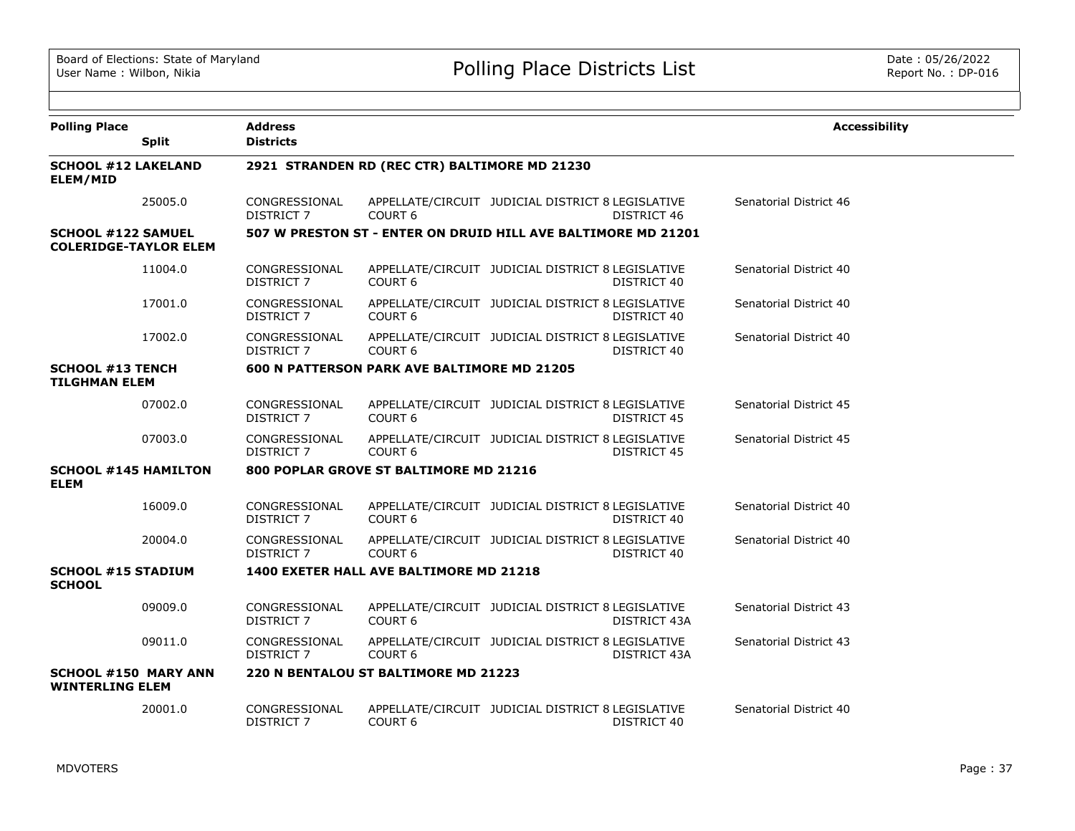| <b>Polling Place</b>                                      | <b>Split</b> | <b>Address</b><br><b>Districts</b> |                                                               |                                                   |              | <b>Accessibility</b>   |
|-----------------------------------------------------------|--------------|------------------------------------|---------------------------------------------------------------|---------------------------------------------------|--------------|------------------------|
| <b>SCHOOL #12 LAKELAND</b><br><b>ELEM/MID</b>             |              |                                    | 2921 STRANDEN RD (REC CTR) BALTIMORE MD 21230                 |                                                   |              |                        |
|                                                           | 25005.0      | CONGRESSIONAL<br>DISTRICT 7        | COURT <sub>6</sub>                                            | APPELLATE/CIRCUIT JUDICIAL DISTRICT 8 LEGISLATIVE | DISTRICT 46  | Senatorial District 46 |
| <b>SCHOOL #122 SAMUEL</b><br><b>COLERIDGE-TAYLOR ELEM</b> |              |                                    | 507 W PRESTON ST - ENTER ON DRUID HILL AVE BALTIMORE MD 21201 |                                                   |              |                        |
|                                                           | 11004.0      | CONGRESSIONAL<br><b>DISTRICT 7</b> | <b>COURT 6</b>                                                | APPELLATE/CIRCUIT JUDICIAL DISTRICT 8 LEGISLATIVE | DISTRICT 40  | Senatorial District 40 |
|                                                           | 17001.0      | CONGRESSIONAL<br>DISTRICT 7        | COURT <sub>6</sub>                                            | APPELLATE/CIRCUIT JUDICIAL DISTRICT 8 LEGISLATIVE | DISTRICT 40  | Senatorial District 40 |
|                                                           | 17002.0      | CONGRESSIONAL<br>DISTRICT 7        | COURT <sub>6</sub>                                            | APPELLATE/CIRCUIT JUDICIAL DISTRICT 8 LEGISLATIVE | DISTRICT 40  | Senatorial District 40 |
| <b>SCHOOL #13 TENCH</b><br><b>TILGHMAN ELEM</b>           |              |                                    | <b>600 N PATTERSON PARK AVE BALTIMORE MD 21205</b>            |                                                   |              |                        |
|                                                           | 07002.0      | CONGRESSIONAL<br>DISTRICT 7        | COURT <sub>6</sub>                                            | APPELLATE/CIRCUIT JUDICIAL DISTRICT 8 LEGISLATIVE | DISTRICT 45  | Senatorial District 45 |
|                                                           | 07003.0      | CONGRESSIONAL<br><b>DISTRICT 7</b> | <b>COURT 6</b>                                                | APPELLATE/CIRCUIT JUDICIAL DISTRICT 8 LEGISLATIVE | DISTRICT 45  | Senatorial District 45 |
| <b>SCHOOL #145 HAMILTON</b><br><b>ELEM</b>                |              |                                    | 800 POPLAR GROVE ST BALTIMORE MD 21216                        |                                                   |              |                        |
|                                                           | 16009.0      | CONGRESSIONAL<br>DISTRICT 7        | COURT <sub>6</sub>                                            | APPELLATE/CIRCUIT JUDICIAL DISTRICT 8 LEGISLATIVE | DISTRICT 40  | Senatorial District 40 |
|                                                           | 20004.0      | CONGRESSIONAL<br>DISTRICT 7        | COURT <sub>6</sub>                                            | APPELLATE/CIRCUIT JUDICIAL DISTRICT 8 LEGISLATIVE | DISTRICT 40  | Senatorial District 40 |
| <b>SCHOOL #15 STADIUM</b><br><b>SCHOOL</b>                |              |                                    | 1400 EXETER HALL AVE BALTIMORE MD 21218                       |                                                   |              |                        |
|                                                           | 09009.0      | CONGRESSIONAL<br><b>DISTRICT 7</b> | COURT <sub>6</sub>                                            | APPELLATE/CIRCUIT JUDICIAL DISTRICT 8 LEGISLATIVE | DISTRICT 43A | Senatorial District 43 |
|                                                           | 09011.0      | CONGRESSIONAL<br>DISTRICT 7        | COURT <sub>6</sub>                                            | APPELLATE/CIRCUIT JUDICIAL DISTRICT 8 LEGISLATIVE | DISTRICT 43A | Senatorial District 43 |
| <b>SCHOOL #150 MARY ANN</b><br><b>WINTERLING ELEM</b>     |              |                                    | 220 N BENTALOU ST BALTIMORE MD 21223                          |                                                   |              |                        |
|                                                           | 20001.0      | CONGRESSIONAL<br><b>DISTRICT 7</b> | COURT <sub>6</sub>                                            | APPELLATE/CIRCUIT JUDICIAL DISTRICT 8 LEGISLATIVE | DISTRICT 40  | Senatorial District 40 |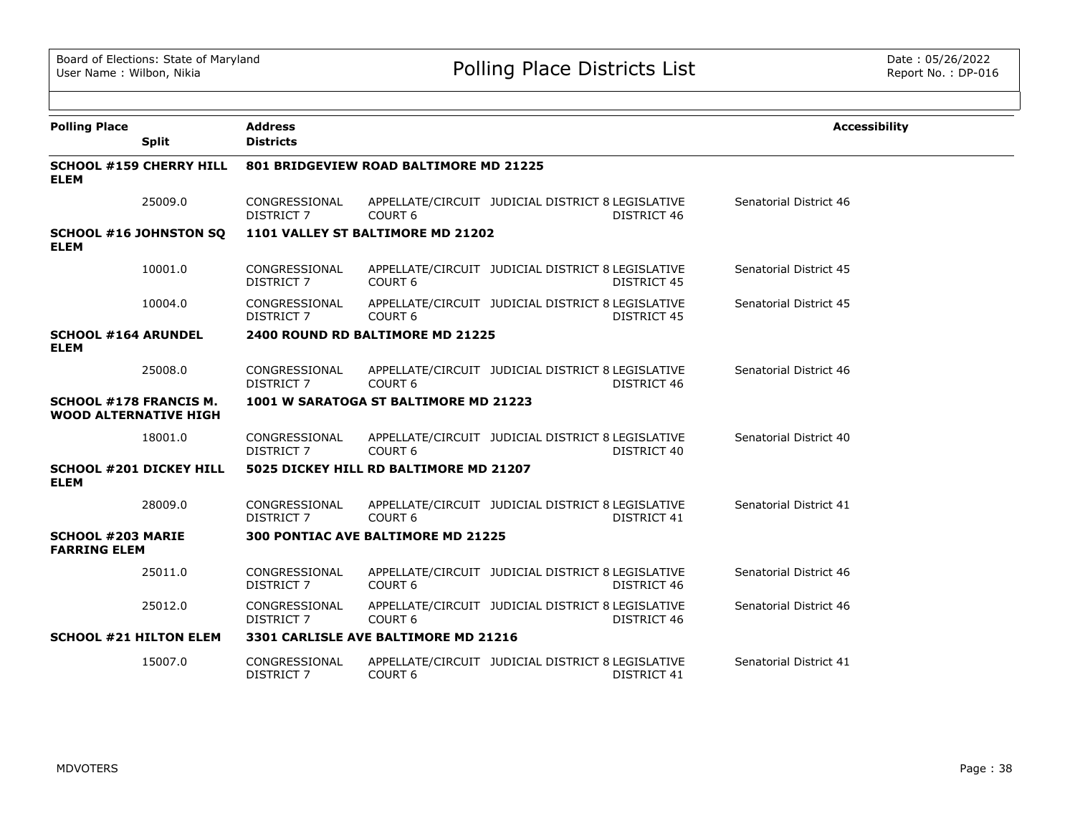| <b>Polling Place</b><br><b>Split</b>                          | <b>Address</b><br><b>Districts</b> |                                        |                                                                         | <b>Accessibility</b>   |
|---------------------------------------------------------------|------------------------------------|----------------------------------------|-------------------------------------------------------------------------|------------------------|
| <b>SCHOOL #159 CHERRY HILL</b><br><b>ELEM</b>                 |                                    | 801 BRIDGEVIEW ROAD BALTIMORE MD 21225 |                                                                         |                        |
| 25009.0                                                       | CONGRESSIONAL<br><b>DISTRICT 7</b> | COURT <sub>6</sub>                     | APPELLATE/CIRCUIT JUDICIAL DISTRICT 8 LEGISLATIVE<br>DISTRICT 46        | Senatorial District 46 |
| <b>SCHOOL #16 JOHNSTON SQ</b><br><b>ELEM</b>                  |                                    | 1101 VALLEY ST BALTIMORE MD 21202      |                                                                         |                        |
| 10001.0                                                       | CONGRESSIONAL<br><b>DISTRICT 7</b> | COURT <sub>6</sub>                     | APPELLATE/CIRCUIT JUDICIAL DISTRICT 8 LEGISLATIVE<br><b>DISTRICT 45</b> | Senatorial District 45 |
| 10004.0                                                       | CONGRESSIONAL<br><b>DISTRICT 7</b> | COURT <sub>6</sub>                     | APPELLATE/CIRCUIT JUDICIAL DISTRICT 8 LEGISLATIVE<br>DISTRICT 45        | Senatorial District 45 |
| <b>SCHOOL #164 ARUNDEL</b><br><b>ELEM</b>                     |                                    | 2400 ROUND RD BALTIMORE MD 21225       |                                                                         |                        |
| 25008.0                                                       | CONGRESSIONAL<br><b>DISTRICT 7</b> | COURT <sub>6</sub>                     | APPELLATE/CIRCUIT JUDICIAL DISTRICT 8 LEGISLATIVE<br>DISTRICT 46        | Senatorial District 46 |
| <b>SCHOOL #178 FRANCIS M.</b><br><b>WOOD ALTERNATIVE HIGH</b> |                                    | 1001 W SARATOGA ST BALTIMORE MD 21223  |                                                                         |                        |
| 18001.0                                                       | CONGRESSIONAL<br><b>DISTRICT 7</b> | COURT <sub>6</sub>                     | APPELLATE/CIRCUIT JUDICIAL DISTRICT 8 LEGISLATIVE<br>DISTRICT 40        | Senatorial District 40 |
| <b>SCHOOL #201 DICKEY HILL</b><br><b>ELEM</b>                 |                                    | 5025 DICKEY HILL RD BALTIMORE MD 21207 |                                                                         |                        |
| 28009.0                                                       | CONGRESSIONAL<br>DISTRICT 7        | COURT <sub>6</sub>                     | APPELLATE/CIRCUIT JUDICIAL DISTRICT 8 LEGISLATIVE<br><b>DISTRICT 41</b> | Senatorial District 41 |
| <b>SCHOOL #203 MARIE</b><br><b>FARRING ELEM</b>               |                                    | 300 PONTIAC AVE BALTIMORE MD 21225     |                                                                         |                        |
| 25011.0                                                       | CONGRESSIONAL<br>DISTRICT 7        | COURT <sub>6</sub>                     | APPELLATE/CIRCUIT JUDICIAL DISTRICT 8 LEGISLATIVE<br>DISTRICT 46        | Senatorial District 46 |
| 25012.0                                                       | CONGRESSIONAL<br>DISTRICT 7        | COURT <sub>6</sub>                     | APPELLATE/CIRCUIT JUDICIAL DISTRICT 8 LEGISLATIVE<br>DISTRICT 46        | Senatorial District 46 |
| <b>SCHOOL #21 HILTON ELEM</b>                                 |                                    | 3301 CARLISLE AVE BALTIMORE MD 21216   |                                                                         |                        |
| 15007.0                                                       | CONGRESSIONAL<br><b>DISTRICT 7</b> | COURT <sub>6</sub>                     | APPELLATE/CIRCUIT JUDICIAL DISTRICT 8 LEGISLATIVE<br>DISTRICT 41        | Senatorial District 41 |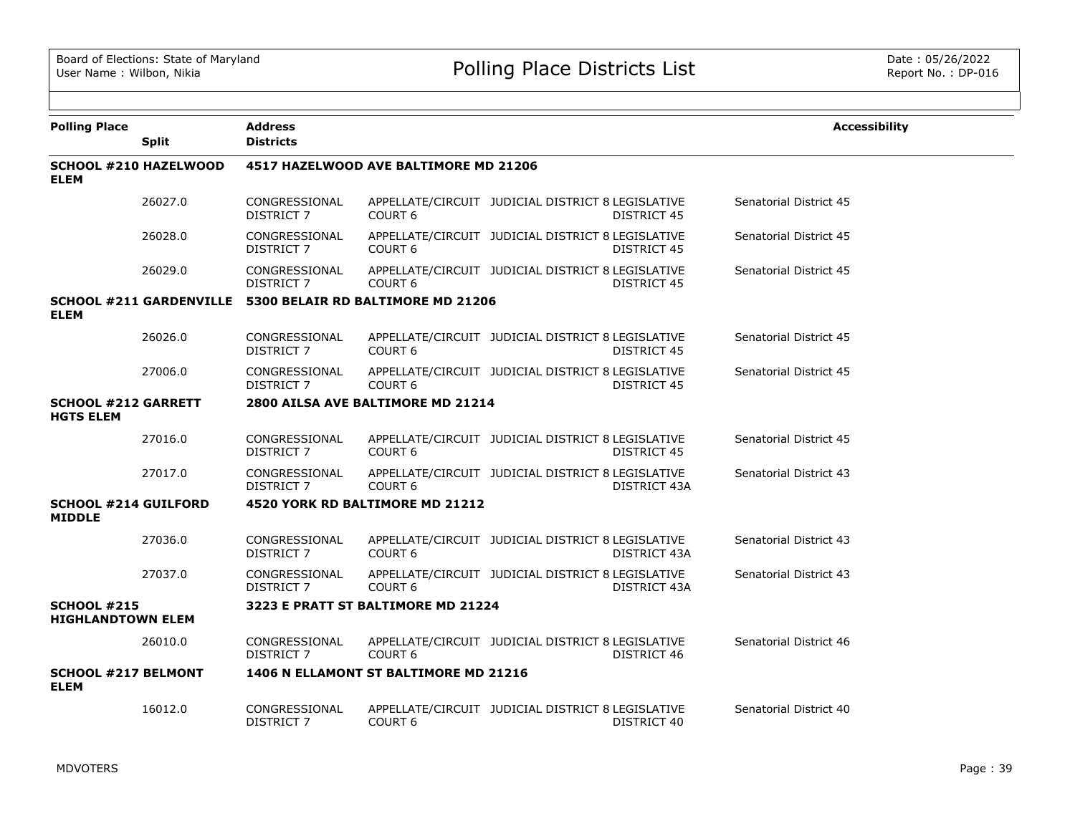| <b>Polling Place</b>                           | <b>Split</b>                   | <b>Address</b><br><b>Districts</b> |                                       |                                                   |                    | <b>Accessibility</b>   |  |
|------------------------------------------------|--------------------------------|------------------------------------|---------------------------------------|---------------------------------------------------|--------------------|------------------------|--|
| <b>ELEM</b>                                    | SCHOOL #210 HAZELWOOD          |                                    | 4517 HAZELWOOD AVE BALTIMORE MD 21206 |                                                   |                    |                        |  |
|                                                | 26027.0                        | CONGRESSIONAL<br>DISTRICT 7        | COURT <sub>6</sub>                    | APPELLATE/CIRCUIT JUDICIAL DISTRICT 8 LEGISLATIVE | DISTRICT 45        | Senatorial District 45 |  |
|                                                | 26028.0                        | CONGRESSIONAL<br>DISTRICT 7        | COURT <sub>6</sub>                    | APPELLATE/CIRCUIT JUDICIAL DISTRICT 8 LEGISLATIVE | <b>DISTRICT 45</b> | Senatorial District 45 |  |
|                                                | 26029.0                        | CONGRESSIONAL<br>DISTRICT 7        | COURT <sub>6</sub>                    | APPELLATE/CIRCUIT JUDICIAL DISTRICT 8 LEGISLATIVE | <b>DISTRICT 45</b> | Senatorial District 45 |  |
| <b>ELEM</b>                                    | <b>SCHOOL #211 GARDENVILLE</b> |                                    | 5300 BELAIR RD BALTIMORE MD 21206     |                                                   |                    |                        |  |
|                                                | 26026.0                        | CONGRESSIONAL<br>DISTRICT 7        | COURT <sub>6</sub>                    | APPELLATE/CIRCUIT JUDICIAL DISTRICT 8 LEGISLATIVE | <b>DISTRICT 45</b> | Senatorial District 45 |  |
|                                                | 27006.0                        | CONGRESSIONAL<br>DISTRICT 7        | COURT <sub>6</sub>                    | APPELLATE/CIRCUIT JUDICIAL DISTRICT 8 LEGISLATIVE | <b>DISTRICT 45</b> | Senatorial District 45 |  |
| <b>SCHOOL #212 GARRETT</b><br><b>HGTS ELEM</b> |                                |                                    | 2800 AILSA AVE BALTIMORE MD 21214     |                                                   |                    |                        |  |
|                                                | 27016.0                        | CONGRESSIONAL<br>DISTRICT 7        | COURT <sub>6</sub>                    | APPELLATE/CIRCUIT JUDICIAL DISTRICT 8 LEGISLATIVE | <b>DISTRICT 45</b> | Senatorial District 45 |  |
|                                                | 27017.0                        | CONGRESSIONAL<br>DISTRICT 7        | COURT <sub>6</sub>                    | APPELLATE/CIRCUIT JUDICIAL DISTRICT 8 LEGISLATIVE | DISTRICT 43A       | Senatorial District 43 |  |
| <b>SCHOOL #214 GUILFORD</b><br><b>MIDDLE</b>   |                                |                                    | 4520 YORK RD BALTIMORE MD 21212       |                                                   |                    |                        |  |
|                                                | 27036.0                        | CONGRESSIONAL<br><b>DISTRICT 7</b> | COURT <sub>6</sub>                    | APPELLATE/CIRCUIT JUDICIAL DISTRICT 8 LEGISLATIVE | DISTRICT 43A       | Senatorial District 43 |  |
|                                                | 27037.0                        | CONGRESSIONAL<br>DISTRICT 7        | COURT <sub>6</sub>                    | APPELLATE/CIRCUIT JUDICIAL DISTRICT 8 LEGISLATIVE | DISTRICT 43A       | Senatorial District 43 |  |
| <b>SCHOOL #215</b><br><b>HIGHLANDTOWN ELEM</b> |                                |                                    | 3223 E PRATT ST BALTIMORE MD 21224    |                                                   |                    |                        |  |
|                                                | 26010.0                        | CONGRESSIONAL<br>DISTRICT 7        | COURT <sub>6</sub>                    | APPELLATE/CIRCUIT JUDICIAL DISTRICT 8 LEGISLATIVE | DISTRICT 46        | Senatorial District 46 |  |
| <b>SCHOOL #217 BELMONT</b><br><b>ELEM</b>      |                                |                                    | 1406 N ELLAMONT ST BALTIMORE MD 21216 |                                                   |                    |                        |  |
|                                                | 16012.0                        | CONGRESSIONAL<br><b>DISTRICT 7</b> | COURT <sub>6</sub>                    | APPELLATE/CIRCUIT JUDICIAL DISTRICT 8 LEGISLATIVE | DISTRICT 40        | Senatorial District 40 |  |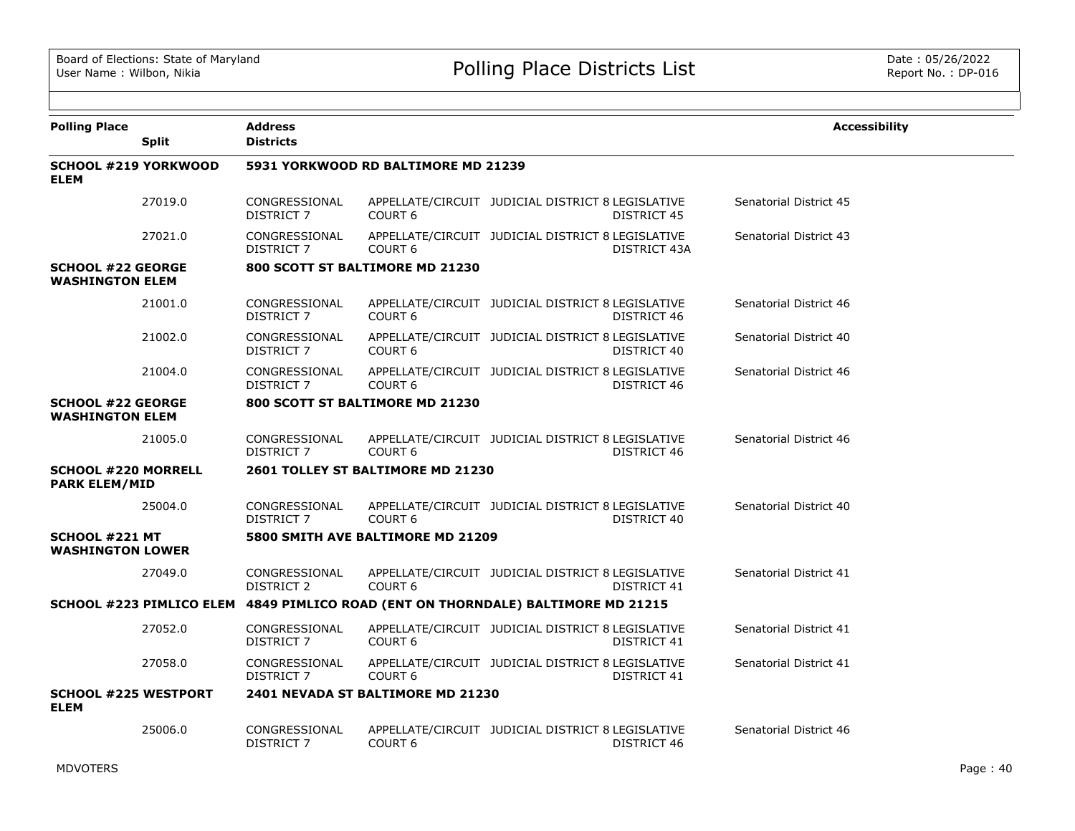| <b>Polling Place</b>                               |              | <b>Address</b><br><b>Districts</b> |                                                                                  |                                                   |              | <b>Accessibility</b>   |
|----------------------------------------------------|--------------|------------------------------------|----------------------------------------------------------------------------------|---------------------------------------------------|--------------|------------------------|
|                                                    | <b>Split</b> |                                    |                                                                                  |                                                   |              |                        |
| <b>SCHOOL #219 YORKWOOD</b><br><b>ELEM</b>         |              |                                    | 5931 YORKWOOD RD BALTIMORE MD 21239                                              |                                                   |              |                        |
|                                                    | 27019.0      | CONGRESSIONAL<br>DISTRICT 7        | <b>COURT 6</b>                                                                   | APPELLATE/CIRCUIT JUDICIAL DISTRICT 8 LEGISLATIVE | DISTRICT 45  | Senatorial District 45 |
|                                                    | 27021.0      | CONGRESSIONAL<br>DISTRICT 7        | COURT <sub>6</sub>                                                               | APPELLATE/CIRCUIT JUDICIAL DISTRICT 8 LEGISLATIVE | DISTRICT 43A | Senatorial District 43 |
| <b>SCHOOL #22 GEORGE</b><br><b>WASHINGTON ELEM</b> |              |                                    | 800 SCOTT ST BALTIMORE MD 21230                                                  |                                                   |              |                        |
|                                                    | 21001.0      | CONGRESSIONAL<br>DISTRICT 7        | <b>COURT 6</b>                                                                   | APPELLATE/CIRCUIT JUDICIAL DISTRICT 8 LEGISLATIVE | DISTRICT 46  | Senatorial District 46 |
|                                                    | 21002.0      | CONGRESSIONAL<br>DISTRICT 7        | COURT <sub>6</sub>                                                               | APPELLATE/CIRCUIT JUDICIAL DISTRICT 8 LEGISLATIVE | DISTRICT 40  | Senatorial District 40 |
|                                                    | 21004.0      | CONGRESSIONAL<br>DISTRICT 7        | COURT <sub>6</sub>                                                               | APPELLATE/CIRCUIT JUDICIAL DISTRICT 8 LEGISLATIVE | DISTRICT 46  | Senatorial District 46 |
| <b>SCHOOL #22 GEORGE</b><br><b>WASHINGTON ELEM</b> |              |                                    | 800 SCOTT ST BALTIMORE MD 21230                                                  |                                                   |              |                        |
|                                                    | 21005.0      | CONGRESSIONAL<br>DISTRICT 7        | COURT <sub>6</sub>                                                               | APPELLATE/CIRCUIT JUDICIAL DISTRICT 8 LEGISLATIVE | DISTRICT 46  | Senatorial District 46 |
| <b>SCHOOL #220 MORRELL</b><br><b>PARK ELEM/MID</b> |              |                                    | 2601 TOLLEY ST BALTIMORE MD 21230                                                |                                                   |              |                        |
|                                                    | 25004.0      | CONGRESSIONAL<br>DISTRICT 7        | <b>COURT 6</b>                                                                   | APPELLATE/CIRCUIT JUDICIAL DISTRICT 8 LEGISLATIVE | DISTRICT 40  | Senatorial District 40 |
| <b>SCHOOL #221 MT</b><br><b>WASHINGTON LOWER</b>   |              |                                    | 5800 SMITH AVE BALTIMORE MD 21209                                                |                                                   |              |                        |
|                                                    | 27049.0      | CONGRESSIONAL<br>DISTRICT 2        | COURT <sub>6</sub>                                                               | APPELLATE/CIRCUIT JUDICIAL DISTRICT 8 LEGISLATIVE | DISTRICT 41  | Senatorial District 41 |
|                                                    |              |                                    | SCHOOL #223 PIMLICO ELEM 4849 PIMLICO ROAD (ENT ON THORNDALE) BALTIMORE MD 21215 |                                                   |              |                        |
|                                                    | 27052.0      | CONGRESSIONAL<br>DISTRICT 7        | COURT <sub>6</sub>                                                               | APPELLATE/CIRCUIT JUDICIAL DISTRICT 8 LEGISLATIVE | DISTRICT 41  | Senatorial District 41 |
|                                                    | 27058.0      | CONGRESSIONAL<br>DISTRICT 7        | COURT <sub>6</sub>                                                               | APPELLATE/CIRCUIT JUDICIAL DISTRICT 8 LEGISLATIVE | DISTRICT 41  | Senatorial District 41 |
| <b>SCHOOL #225 WESTPORT</b><br><b>ELEM</b>         |              |                                    | 2401 NEVADA ST BALTIMORE MD 21230                                                |                                                   |              |                        |
|                                                    | 25006.0      | CONGRESSIONAL<br>DISTRICT 7        | <b>COURT 6</b>                                                                   | APPELLATE/CIRCUIT JUDICIAL DISTRICT 8 LEGISLATIVE | DISTRICT 46  | Senatorial District 46 |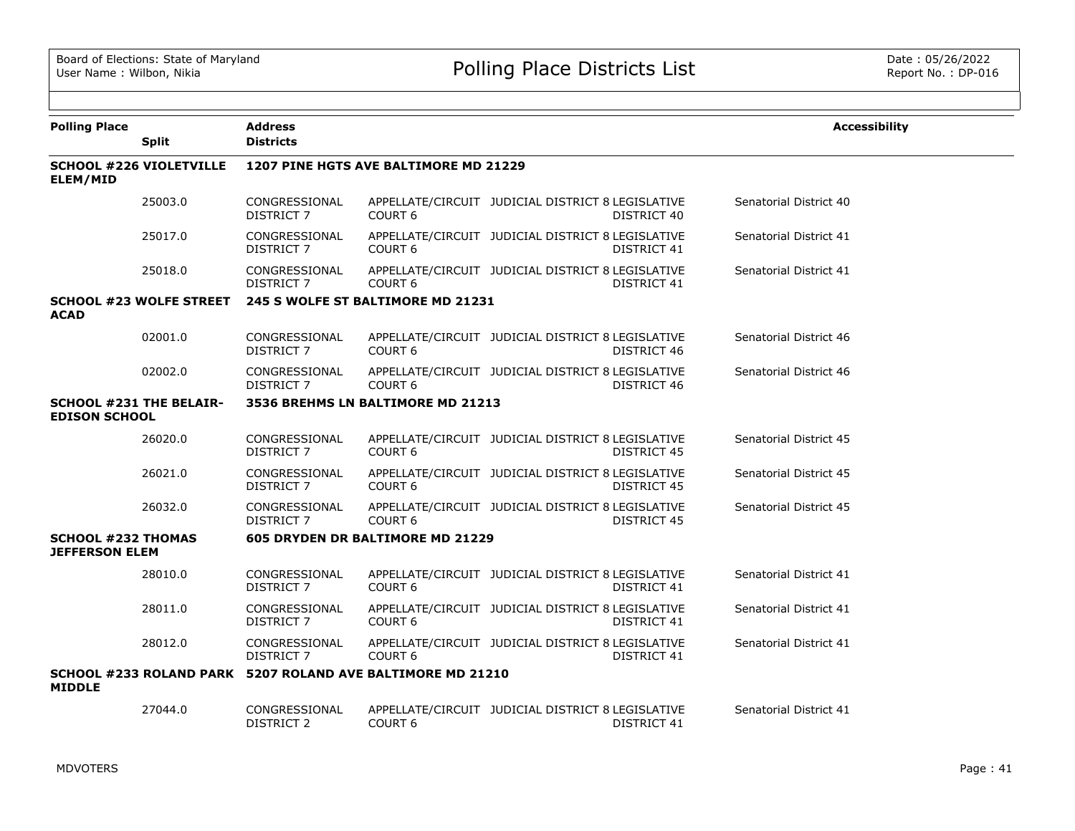| <b>Polling Place</b>                               | <b>Split</b>                   | <b>Address</b><br><b>Districts</b> |                                                            |                                                                         | <b>Accessibility</b>   |
|----------------------------------------------------|--------------------------------|------------------------------------|------------------------------------------------------------|-------------------------------------------------------------------------|------------------------|
| ELEM/MID                                           | <b>SCHOOL #226 VIOLETVILLE</b> |                                    | 1207 PINE HGTS AVE BALTIMORE MD 21229                      |                                                                         |                        |
|                                                    | 25003.0                        | CONGRESSIONAL<br><b>DISTRICT 7</b> | COURT <sub>6</sub>                                         | APPELLATE/CIRCUIT JUDICIAL DISTRICT 8 LEGISLATIVE<br>DISTRICT 40        | Senatorial District 40 |
|                                                    | 25017.0                        | CONGRESSIONAL<br>DISTRICT 7        | COURT <sub>6</sub>                                         | APPELLATE/CIRCUIT JUDICIAL DISTRICT 8 LEGISLATIVE<br>DISTRICT 41        | Senatorial District 41 |
|                                                    | 25018.0                        | CONGRESSIONAL<br><b>DISTRICT 7</b> | COURT <sub>6</sub>                                         | APPELLATE/CIRCUIT JUDICIAL DISTRICT 8 LEGISLATIVE<br>DISTRICT 41        | Senatorial District 41 |
| <b>ACAD</b>                                        | <b>SCHOOL #23 WOLFE STREET</b> |                                    | 245 S WOLFE ST BALTIMORE MD 21231                          |                                                                         |                        |
|                                                    | 02001.0                        | CONGRESSIONAL<br><b>DISTRICT 7</b> | COURT <sub>6</sub>                                         | APPELLATE/CIRCUIT JUDICIAL DISTRICT 8 LEGISLATIVE<br>DISTRICT 46        | Senatorial District 46 |
|                                                    | 02002.0                        | CONGRESSIONAL<br>DISTRICT 7        | COURT <sub>6</sub>                                         | APPELLATE/CIRCUIT JUDICIAL DISTRICT 8 LEGISLATIVE<br>DISTRICT 46        | Senatorial District 46 |
| <b>EDISON SCHOOL</b>                               | <b>SCHOOL #231 THE BELAIR-</b> |                                    | 3536 BREHMS LN BALTIMORE MD 21213                          |                                                                         |                        |
|                                                    | 26020.0                        | CONGRESSIONAL<br>DISTRICT 7        | COURT <sub>6</sub>                                         | APPELLATE/CIRCUIT JUDICIAL DISTRICT 8 LEGISLATIVE<br>DISTRICT 45        | Senatorial District 45 |
|                                                    | 26021.0                        | CONGRESSIONAL<br>DISTRICT 7        | COURT <sub>6</sub>                                         | APPELLATE/CIRCUIT JUDICIAL DISTRICT 8 LEGISLATIVE<br><b>DISTRICT 45</b> | Senatorial District 45 |
|                                                    | 26032.0                        | CONGRESSIONAL<br>DISTRICT 7        | COURT <sub>6</sub>                                         | APPELLATE/CIRCUIT JUDICIAL DISTRICT 8 LEGISLATIVE<br><b>DISTRICT 45</b> | Senatorial District 45 |
| <b>SCHOOL #232 THOMAS</b><br><b>JEFFERSON ELEM</b> |                                |                                    | 605 DRYDEN DR BALTIMORE MD 21229                           |                                                                         |                        |
|                                                    | 28010.0                        | CONGRESSIONAL<br>DISTRICT 7        | COURT <sub>6</sub>                                         | APPELLATE/CIRCUIT JUDICIAL DISTRICT 8 LEGISLATIVE<br>DISTRICT 41        | Senatorial District 41 |
|                                                    | 28011.0                        | CONGRESSIONAL<br>DISTRICT 7        | COURT <sub>6</sub>                                         | APPELLATE/CIRCUIT JUDICIAL DISTRICT 8 LEGISLATIVE<br>DISTRICT 41        | Senatorial District 41 |
|                                                    | 28012.0                        | CONGRESSIONAL<br>DISTRICT 7        | COURT <sub>6</sub>                                         | APPELLATE/CIRCUIT JUDICIAL DISTRICT 8 LEGISLATIVE<br>DISTRICT 41        | Senatorial District 41 |
| <b>MIDDLE</b>                                      |                                |                                    | SCHOOL #233 ROLAND PARK 5207 ROLAND AVE BALTIMORE MD 21210 |                                                                         |                        |
|                                                    | 27044.0                        | CONGRESSIONAL<br><b>DISTRICT 2</b> | COURT <sub>6</sub>                                         | APPELLATE/CIRCUIT JUDICIAL DISTRICT 8 LEGISLATIVE<br>DISTRICT 41        | Senatorial District 41 |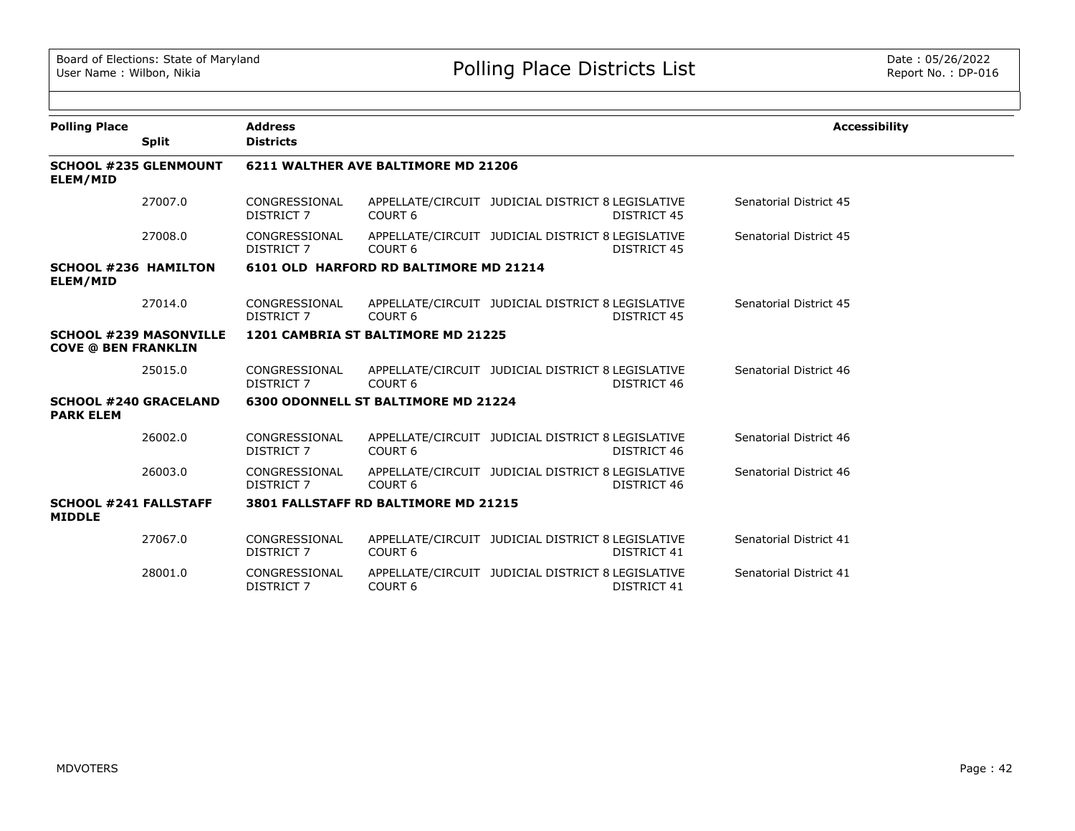| <b>Polling Place</b>                             |                               | <b>Address</b>                     |                                            |                                                   |             | <b>Accessibility</b>   |
|--------------------------------------------------|-------------------------------|------------------------------------|--------------------------------------------|---------------------------------------------------|-------------|------------------------|
|                                                  | <b>Split</b>                  | <b>Districts</b>                   |                                            |                                                   |             |                        |
| ELEM/MID                                         | <b>SCHOOL #235 GLENMOUNT</b>  |                                    | 6211 WALTHER AVE BALTIMORE MD 21206        |                                                   |             |                        |
|                                                  | 27007.0                       | CONGRESSIONAL<br>DISTRICT 7        | COURT <sub>6</sub>                         | APPELLATE/CIRCUIT JUDICIAL DISTRICT 8 LEGISLATIVE | DISTRICT 45 | Senatorial District 45 |
|                                                  | 27008.0                       | CONGRESSIONAL<br>DISTRICT 7        | COURT <sub>6</sub>                         | APPELLATE/CIRCUIT JUDICIAL DISTRICT 8 LEGISLATIVE | DISTRICT 45 | Senatorial District 45 |
| <b>SCHOOL #236 HAMILTON</b><br>ELEM/MID          |                               |                                    | 6101 OLD HARFORD RD BALTIMORE MD 21214     |                                                   |             |                        |
|                                                  | 27014.0                       | CONGRESSIONAL<br>DISTRICT 7        | COURT <sub>6</sub>                         | APPELLATE/CIRCUIT JUDICIAL DISTRICT 8 LEGISLATIVE | DISTRICT 45 | Senatorial District 45 |
| <b>COVE @ BEN FRANKLIN</b>                       | <b>SCHOOL #239 MASONVILLE</b> |                                    | 1201 CAMBRIA ST BALTIMORE MD 21225         |                                                   |             |                        |
|                                                  | 25015.0                       | CONGRESSIONAL<br>DISTRICT 7        | COURT <sub>6</sub>                         | APPELLATE/CIRCUIT JUDICIAL DISTRICT 8 LEGISLATIVE | DISTRICT 46 | Senatorial District 46 |
| <b>SCHOOL #240 GRACELAND</b><br><b>PARK ELEM</b> |                               |                                    | <b>6300 ODONNELL ST BALTIMORE MD 21224</b> |                                                   |             |                        |
|                                                  | 26002.0                       | CONGRESSIONAL<br><b>DISTRICT 7</b> | COURT <sub>6</sub>                         | APPELLATE/CIRCUIT JUDICIAL DISTRICT 8 LEGISLATIVE | DISTRICT 46 | Senatorial District 46 |
|                                                  | 26003.0                       | CONGRESSIONAL<br>DISTRICT 7        | COURT <sub>6</sub>                         | APPELLATE/CIRCUIT JUDICIAL DISTRICT 8 LEGISLATIVE | DISTRICT 46 | Senatorial District 46 |
| <b>SCHOOL #241 FALLSTAFF</b><br><b>MIDDLE</b>    |                               |                                    | 3801 FALLSTAFF RD BALTIMORE MD 21215       |                                                   |             |                        |
|                                                  | 27067.0                       | CONGRESSIONAL<br>DISTRICT 7        | COURT <sub>6</sub>                         | APPELLATE/CIRCUIT JUDICIAL DISTRICT 8 LEGISLATIVE | DISTRICT 41 | Senatorial District 41 |
|                                                  | 28001.0                       | CONGRESSIONAL<br><b>DISTRICT 7</b> | COURT <sub>6</sub>                         | APPELLATE/CIRCUIT JUDICIAL DISTRICT 8 LEGISLATIVE | DISTRICT 41 | Senatorial District 41 |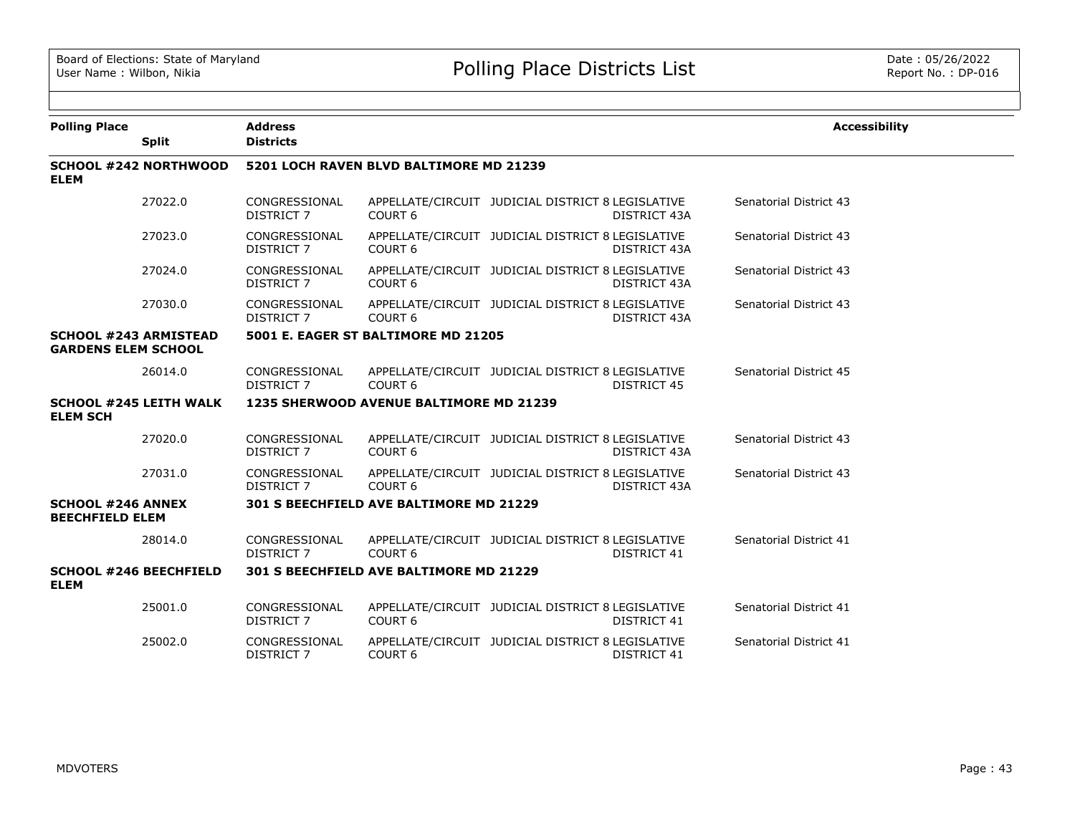| <b>Polling Place</b>                                       |                               | <b>Address</b>                     |                                         |                                                   |                     | <b>Accessibility</b>   |
|------------------------------------------------------------|-------------------------------|------------------------------------|-----------------------------------------|---------------------------------------------------|---------------------|------------------------|
|                                                            | <b>Split</b>                  | <b>Districts</b>                   |                                         |                                                   |                     |                        |
| <b>ELEM</b>                                                | <b>SCHOOL #242 NORTHWOOD</b>  |                                    | 5201 LOCH RAVEN BLVD BALTIMORE MD 21239 |                                                   |                     |                        |
|                                                            | 27022.0                       | CONGRESSIONAL<br>DISTRICT 7        | COURT <sub>6</sub>                      | APPELLATE/CIRCUIT JUDICIAL DISTRICT 8 LEGISLATIVE | DISTRICT 43A        | Senatorial District 43 |
|                                                            | 27023.0                       | CONGRESSIONAL<br><b>DISTRICT 7</b> | COURT <sub>6</sub>                      | APPELLATE/CIRCUIT JUDICIAL DISTRICT 8 LEGISLATIVE | DISTRICT 43A        | Senatorial District 43 |
|                                                            | 27024.0                       | CONGRESSIONAL<br><b>DISTRICT 7</b> | COURT <sub>6</sub>                      | APPELLATE/CIRCUIT JUDICIAL DISTRICT 8 LEGISLATIVE | DISTRICT 43A        | Senatorial District 43 |
|                                                            | 27030.0                       | CONGRESSIONAL<br>DISTRICT 7        | COURT <sub>6</sub>                      | APPELLATE/CIRCUIT JUDICIAL DISTRICT 8 LEGISLATIVE | DISTRICT 43A        | Senatorial District 43 |
| <b>SCHOOL #243 ARMISTEAD</b><br><b>GARDENS ELEM SCHOOL</b> |                               |                                    | 5001 E. EAGER ST BALTIMORE MD 21205     |                                                   |                     |                        |
|                                                            | 26014.0                       | CONGRESSIONAL<br>DISTRICT 7        | COURT <sub>6</sub>                      | APPELLATE/CIRCUIT JUDICIAL DISTRICT 8 LEGISLATIVE | <b>DISTRICT 45</b>  | Senatorial District 45 |
| <b>ELEM SCH</b>                                            | <b>SCHOOL #245 LEITH WALK</b> |                                    | 1235 SHERWOOD AVENUE BALTIMORE MD 21239 |                                                   |                     |                        |
|                                                            | 27020.0                       | CONGRESSIONAL<br>DISTRICT 7        | COURT <sub>6</sub>                      | APPELLATE/CIRCUIT JUDICIAL DISTRICT 8 LEGISLATIVE | <b>DISTRICT 43A</b> | Senatorial District 43 |
|                                                            | 27031.0                       | CONGRESSIONAL<br>DISTRICT 7        | COURT <sub>6</sub>                      | APPELLATE/CIRCUIT JUDICIAL DISTRICT 8 LEGISLATIVE | DISTRICT 43A        | Senatorial District 43 |
| <b>SCHOOL #246 ANNEX</b><br><b>BEECHFIELD ELEM</b>         |                               |                                    | 301 S BEECHFIELD AVE BALTIMORE MD 21229 |                                                   |                     |                        |
|                                                            | 28014.0                       | CONGRESSIONAL<br>DISTRICT 7        | COURT <sub>6</sub>                      | APPELLATE/CIRCUIT JUDICIAL DISTRICT 8 LEGISLATIVE | DISTRICT 41         | Senatorial District 41 |
| <b>SCHOOL #246 BEECHFIELD</b><br><b>ELEM</b>               |                               |                                    | 301 S BEECHFIELD AVE BALTIMORE MD 21229 |                                                   |                     |                        |
|                                                            | 25001.0                       | CONGRESSIONAL<br><b>DISTRICT 7</b> | COURT <sub>6</sub>                      | APPELLATE/CIRCUIT JUDICIAL DISTRICT 8 LEGISLATIVE | DISTRICT 41         | Senatorial District 41 |
|                                                            | 25002.0                       | CONGRESSIONAL<br><b>DISTRICT 7</b> | COURT <sub>6</sub>                      | APPELLATE/CIRCUIT JUDICIAL DISTRICT 8 LEGISLATIVE | DISTRICT 41         | Senatorial District 41 |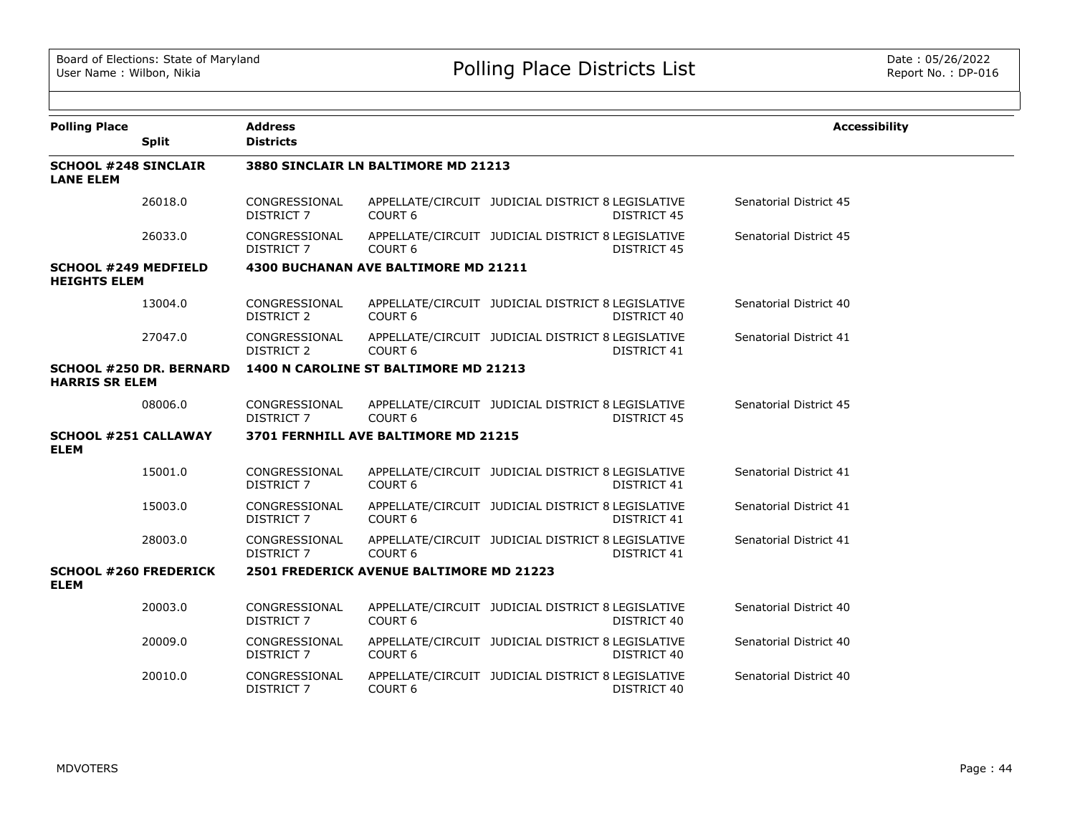| <b>Polling Place</b>                               | <b>Split</b>                   | <b>Address</b><br><b>Districts</b> |                                          |                                                   |                    | <b>Accessibility</b>   |
|----------------------------------------------------|--------------------------------|------------------------------------|------------------------------------------|---------------------------------------------------|--------------------|------------------------|
| <b>SCHOOL #248 SINCLAIR</b><br><b>LANE ELEM</b>    |                                |                                    | 3880 SINCLAIR LN BALTIMORE MD 21213      |                                                   |                    |                        |
|                                                    | 26018.0                        | CONGRESSIONAL<br><b>DISTRICT 7</b> | COURT <sub>6</sub>                       | APPELLATE/CIRCUIT JUDICIAL DISTRICT 8 LEGISLATIVE | <b>DISTRICT 45</b> | Senatorial District 45 |
|                                                    | 26033.0                        | CONGRESSIONAL<br>DISTRICT 7        | COURT <sub>6</sub>                       | APPELLATE/CIRCUIT JUDICIAL DISTRICT 8 LEGISLATIVE | DISTRICT 45        | Senatorial District 45 |
| <b>SCHOOL #249 MEDFIELD</b><br><b>HEIGHTS ELEM</b> |                                |                                    | 4300 BUCHANAN AVE BALTIMORE MD 21211     |                                                   |                    |                        |
|                                                    | 13004.0                        | CONGRESSIONAL<br>DISTRICT 2        | COURT <sub>6</sub>                       | APPELLATE/CIRCUIT JUDICIAL DISTRICT 8 LEGISLATIVE | DISTRICT 40        | Senatorial District 40 |
|                                                    | 27047.0                        | CONGRESSIONAL<br><b>DISTRICT 2</b> | COURT <sub>6</sub>                       | APPELLATE/CIRCUIT JUDICIAL DISTRICT 8 LEGISLATIVE | DISTRICT 41        | Senatorial District 41 |
| <b>HARRIS SR ELEM</b>                              | <b>SCHOOL #250 DR. BERNARD</b> |                                    | 1400 N CAROLINE ST BALTIMORE MD 21213    |                                                   |                    |                        |
|                                                    | 08006.0                        | CONGRESSIONAL<br><b>DISTRICT 7</b> | COURT <sub>6</sub>                       | APPELLATE/CIRCUIT JUDICIAL DISTRICT 8 LEGISLATIVE | <b>DISTRICT 45</b> | Senatorial District 45 |
| <b>SCHOOL #251 CALLAWAY</b><br><b>ELEM</b>         |                                |                                    | 3701 FERNHILL AVE BALTIMORE MD 21215     |                                                   |                    |                        |
|                                                    | 15001.0                        | CONGRESSIONAL<br>DISTRICT 7        | <b>COURT 6</b>                           | APPELLATE/CIRCUIT JUDICIAL DISTRICT 8 LEGISLATIVE | DISTRICT 41        | Senatorial District 41 |
|                                                    | 15003.0                        | CONGRESSIONAL<br><b>DISTRICT 7</b> | COURT <sub>6</sub>                       | APPELLATE/CIRCUIT JUDICIAL DISTRICT 8 LEGISLATIVE | <b>DISTRICT 41</b> | Senatorial District 41 |
|                                                    | 28003.0                        | CONGRESSIONAL<br><b>DISTRICT 7</b> | COURT <sub>6</sub>                       | APPELLATE/CIRCUIT JUDICIAL DISTRICT 8 LEGISLATIVE | <b>DISTRICT 41</b> | Senatorial District 41 |
| <b>SCHOOL #260 FREDERICK</b><br><b>ELEM</b>        |                                |                                    | 2501 FREDERICK AVENUE BALTIMORE MD 21223 |                                                   |                    |                        |
|                                                    | 20003.0                        | CONGRESSIONAL<br><b>DISTRICT 7</b> | COURT <sub>6</sub>                       | APPELLATE/CIRCUIT JUDICIAL DISTRICT 8 LEGISLATIVE | DISTRICT 40        | Senatorial District 40 |
|                                                    | 20009.0                        | CONGRESSIONAL<br><b>DISTRICT 7</b> | COURT <sub>6</sub>                       | APPELLATE/CIRCUIT JUDICIAL DISTRICT 8 LEGISLATIVE | DISTRICT 40        | Senatorial District 40 |
|                                                    | 20010.0                        | CONGRESSIONAL<br><b>DISTRICT 7</b> | COURT <sub>6</sub>                       | APPELLATE/CIRCUIT JUDICIAL DISTRICT 8 LEGISLATIVE | DISTRICT 40        | Senatorial District 40 |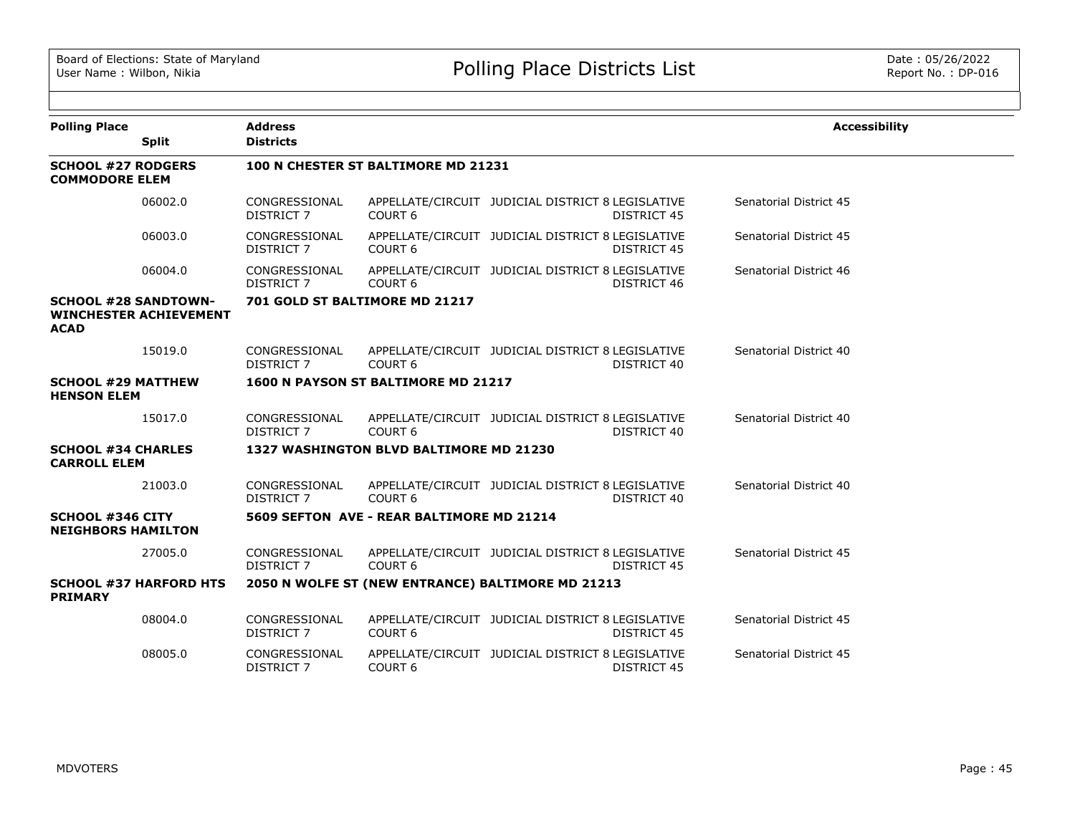| <b>Polling Place</b>                                 |                               | <b>Address</b>                      |                                           |                                                                         | <b>Accessibility</b>   |  |  |  |
|------------------------------------------------------|-------------------------------|-------------------------------------|-------------------------------------------|-------------------------------------------------------------------------|------------------------|--|--|--|
|                                                      | <b>Split</b>                  | <b>Districts</b>                    |                                           |                                                                         |                        |  |  |  |
| <b>SCHOOL #27 RODGERS</b><br><b>COMMODORE ELEM</b>   |                               | 100 N CHESTER ST BALTIMORE MD 21231 |                                           |                                                                         |                        |  |  |  |
|                                                      | 06002.0                       | CONGRESSIONAL<br><b>DISTRICT 7</b>  | COURT <sub>6</sub>                        | APPELLATE/CIRCUIT JUDICIAL DISTRICT 8 LEGISLATIVE<br><b>DISTRICT 45</b> | Senatorial District 45 |  |  |  |
|                                                      | 06003.0                       | CONGRESSIONAL<br><b>DISTRICT 7</b>  | COURT <sub>6</sub>                        | APPELLATE/CIRCUIT JUDICIAL DISTRICT 8 LEGISLATIVE<br>DISTRICT 45        | Senatorial District 45 |  |  |  |
|                                                      | 06004.0                       | CONGRESSIONAL<br><b>DISTRICT 7</b>  | COURT <sub>6</sub>                        | APPELLATE/CIRCUIT JUDICIAL DISTRICT 8 LEGISLATIVE<br>DISTRICT 46        | Senatorial District 46 |  |  |  |
| <b>SCHOOL #28 SANDTOWN-</b><br><b>ACAD</b>           | <b>WINCHESTER ACHIEVEMENT</b> |                                     | 701 GOLD ST BALTIMORE MD 21217            |                                                                         |                        |  |  |  |
|                                                      | 15019.0                       | CONGRESSIONAL<br><b>DISTRICT 7</b>  | COURT <sub>6</sub>                        | APPELLATE/CIRCUIT JUDICIAL DISTRICT 8 LEGISLATIVE<br>DISTRICT 40        | Senatorial District 40 |  |  |  |
| <b>SCHOOL #29 MATTHEW</b><br><b>HENSON ELEM</b>      |                               |                                     | 1600 N PAYSON ST BALTIMORE MD 21217       |                                                                         |                        |  |  |  |
|                                                      | 15017.0                       | CONGRESSIONAL<br><b>DISTRICT 7</b>  | COURT <sub>6</sub>                        | APPELLATE/CIRCUIT JUDICIAL DISTRICT 8 LEGISLATIVE<br>DISTRICT 40        | Senatorial District 40 |  |  |  |
| <b>SCHOOL #34 CHARLES</b><br><b>CARROLL ELEM</b>     |                               |                                     | 1327 WASHINGTON BLVD BALTIMORE MD 21230   |                                                                         |                        |  |  |  |
|                                                      | 21003.0                       | CONGRESSIONAL<br><b>DISTRICT 7</b>  | COURT <sub>6</sub>                        | APPELLATE/CIRCUIT JUDICIAL DISTRICT 8 LEGISLATIVE<br>DISTRICT 40        | Senatorial District 40 |  |  |  |
| <b>SCHOOL #346 CITY</b><br><b>NEIGHBORS HAMILTON</b> |                               |                                     | 5609 SEFTON AVE - REAR BALTIMORE MD 21214 |                                                                         |                        |  |  |  |
|                                                      | 27005.0                       | CONGRESSIONAL<br>DISTRICT 7         | COURT <sub>6</sub>                        | APPELLATE/CIRCUIT JUDICIAL DISTRICT 8 LEGISLATIVE<br>DISTRICT 45        | Senatorial District 45 |  |  |  |
| <b>PRIMARY</b>                                       | <b>SCHOOL #37 HARFORD HTS</b> |                                     |                                           | 2050 N WOLFE ST (NEW ENTRANCE) BALTIMORE MD 21213                       |                        |  |  |  |
|                                                      | 08004.0                       | CONGRESSIONAL<br><b>DISTRICT 7</b>  | COURT <sub>6</sub>                        | APPELLATE/CIRCUIT JUDICIAL DISTRICT 8 LEGISLATIVE<br><b>DISTRICT 45</b> | Senatorial District 45 |  |  |  |
|                                                      | 08005.0                       | CONGRESSIONAL<br><b>DISTRICT 7</b>  | COURT <sub>6</sub>                        | APPELLATE/CIRCUIT JUDICIAL DISTRICT 8 LEGISLATIVE<br><b>DISTRICT 45</b> | Senatorial District 45 |  |  |  |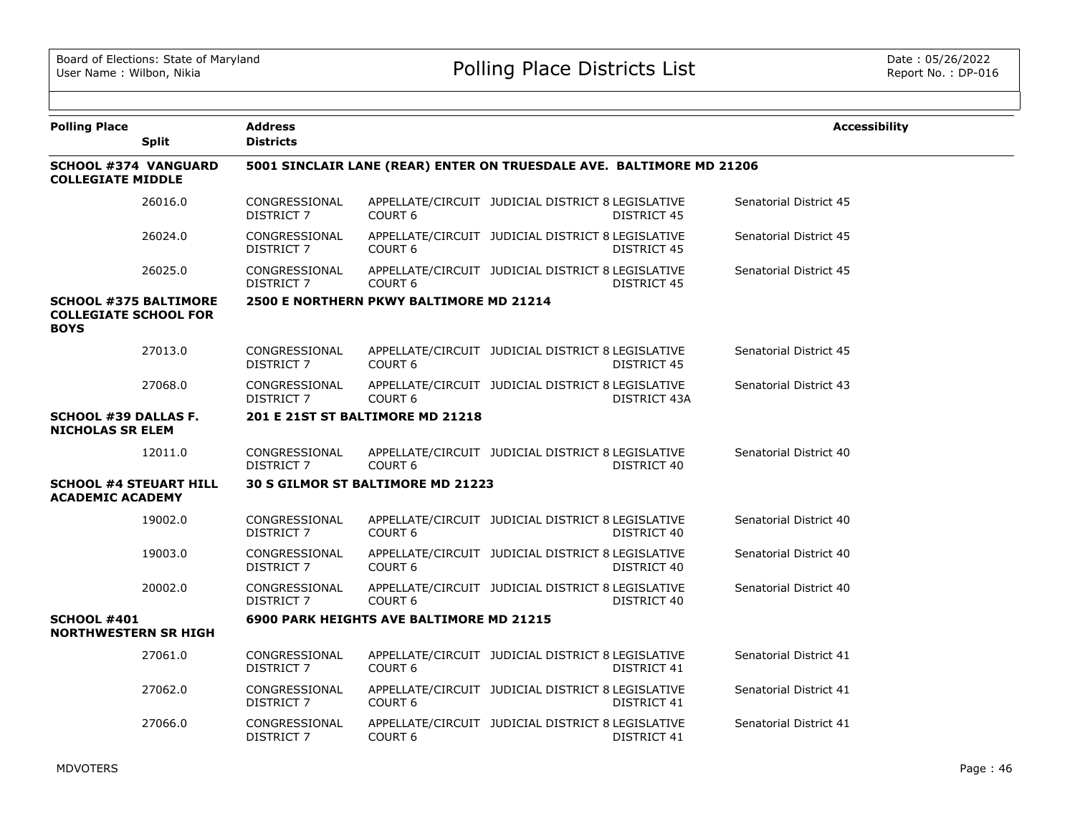| <b>Polling Place</b>                                                        | <b>Split</b> | <b>Address</b><br><b>Districts</b> |                                                                      |                                                   |                    | <b>Accessibility</b>   |
|-----------------------------------------------------------------------------|--------------|------------------------------------|----------------------------------------------------------------------|---------------------------------------------------|--------------------|------------------------|
| <b>SCHOOL #374 VANGUARD</b><br><b>COLLEGIATE MIDDLE</b>                     |              |                                    | 5001 SINCLAIR LANE (REAR) ENTER ON TRUESDALE AVE. BALTIMORE MD 21206 |                                                   |                    |                        |
|                                                                             | 26016.0      | CONGRESSIONAL<br>DISTRICT 7        | COURT <sub>6</sub>                                                   | APPELLATE/CIRCUIT JUDICIAL DISTRICT 8 LEGISLATIVE | DISTRICT 45        | Senatorial District 45 |
|                                                                             | 26024.0      | CONGRESSIONAL<br>DISTRICT 7        | <b>COURT 6</b>                                                       | APPELLATE/CIRCUIT JUDICIAL DISTRICT 8 LEGISLATIVE | DISTRICT 45        | Senatorial District 45 |
|                                                                             | 26025.0      | CONGRESSIONAL<br>DISTRICT 7        | COURT <sub>6</sub>                                                   | APPELLATE/CIRCUIT JUDICIAL DISTRICT 8 LEGISLATIVE | DISTRICT 45        | Senatorial District 45 |
| <b>SCHOOL #375 BALTIMORE</b><br><b>COLLEGIATE SCHOOL FOR</b><br><b>BOYS</b> |              |                                    | 2500 E NORTHERN PKWY BALTIMORE MD 21214                              |                                                   |                    |                        |
|                                                                             | 27013.0      | CONGRESSIONAL<br>DISTRICT 7        | <b>COURT 6</b>                                                       | APPELLATE/CIRCUIT JUDICIAL DISTRICT 8 LEGISLATIVE | <b>DISTRICT 45</b> | Senatorial District 45 |
|                                                                             | 27068.0      | CONGRESSIONAL<br>DISTRICT 7        | COURT <sub>6</sub>                                                   | APPELLATE/CIRCUIT JUDICIAL DISTRICT 8 LEGISLATIVE | DISTRICT 43A       | Senatorial District 43 |
| <b>SCHOOL #39 DALLAS F.</b><br><b>NICHOLAS SR ELEM</b>                      |              |                                    | 201 E 21ST ST BALTIMORE MD 21218                                     |                                                   |                    |                        |
|                                                                             | 12011.0      | CONGRESSIONAL<br>DISTRICT 7        | COURT <sub>6</sub>                                                   | APPELLATE/CIRCUIT JUDICIAL DISTRICT 8 LEGISLATIVE | DISTRICT 40        | Senatorial District 40 |
| <b>SCHOOL #4 STEUART HILL</b><br><b>ACADEMIC ACADEMY</b>                    |              |                                    | 30 S GILMOR ST BALTIMORE MD 21223                                    |                                                   |                    |                        |
|                                                                             | 19002.0      | CONGRESSIONAL<br><b>DISTRICT 7</b> | COURT <sub>6</sub>                                                   | APPELLATE/CIRCUIT JUDICIAL DISTRICT 8 LEGISLATIVE | DISTRICT 40        | Senatorial District 40 |
|                                                                             | 19003.0      | CONGRESSIONAL<br>DISTRICT 7        | COURT <sub>6</sub>                                                   | APPELLATE/CIRCUIT JUDICIAL DISTRICT 8 LEGISLATIVE | DISTRICT 40        | Senatorial District 40 |
|                                                                             | 20002.0      | CONGRESSIONAL<br>DISTRICT 7        | COURT <sub>6</sub>                                                   | APPELLATE/CIRCUIT JUDICIAL DISTRICT 8 LEGISLATIVE | DISTRICT 40        | Senatorial District 40 |
| <b>SCHOOL #401</b><br><b>NORTHWESTERN SR HIGH</b>                           |              |                                    | 6900 PARK HEIGHTS AVE BALTIMORE MD 21215                             |                                                   |                    |                        |
|                                                                             | 27061.0      | CONGRESSIONAL<br><b>DISTRICT 7</b> | COURT <sub>6</sub>                                                   | APPELLATE/CIRCUIT JUDICIAL DISTRICT 8 LEGISLATIVE | DISTRICT 41        | Senatorial District 41 |
|                                                                             | 27062.0      | CONGRESSIONAL<br><b>DISTRICT 7</b> | COURT <sub>6</sub>                                                   | APPELLATE/CIRCUIT JUDICIAL DISTRICT 8 LEGISLATIVE | DISTRICT 41        | Senatorial District 41 |
|                                                                             | 27066.0      | CONGRESSIONAL<br><b>DISTRICT 7</b> | COURT <sub>6</sub>                                                   | APPELLATE/CIRCUIT JUDICIAL DISTRICT 8 LEGISLATIVE | DISTRICT 41        | Senatorial District 41 |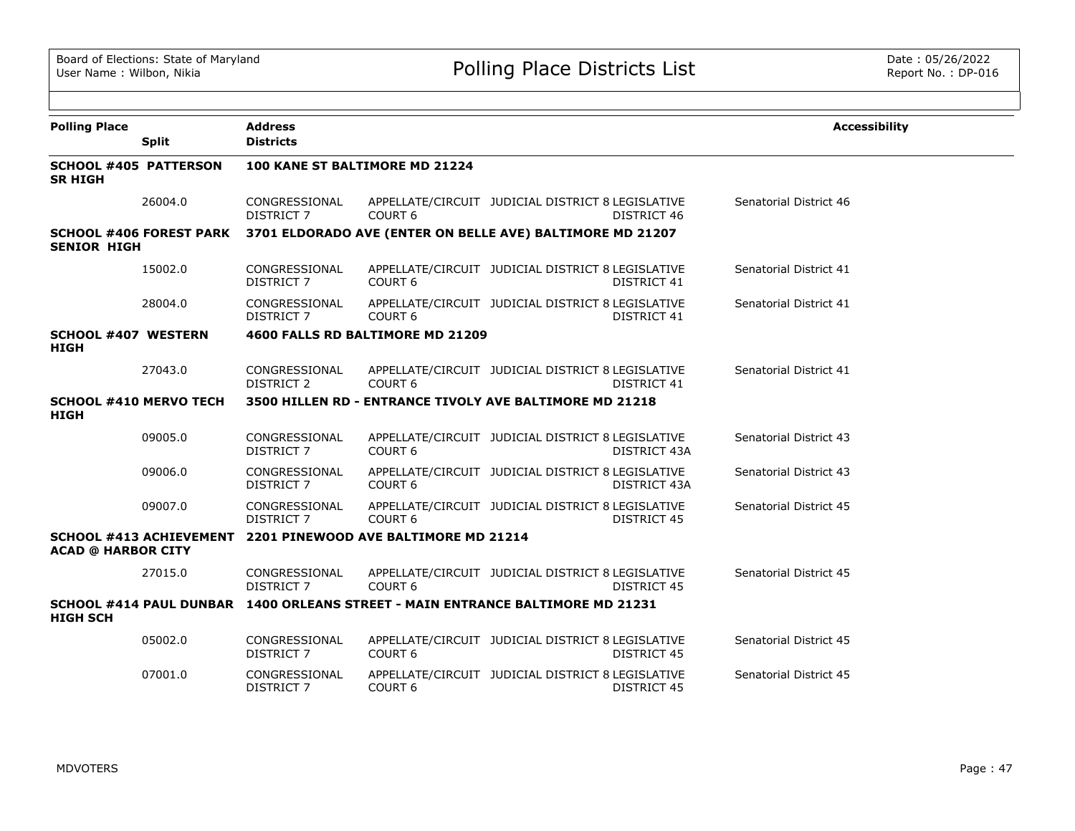| <b>Polling Place</b>                           | <b>Split</b>                   | <b>Address</b><br><b>Districts</b> |                                                                                |                                                   |                    | <b>Accessibility</b>   |
|------------------------------------------------|--------------------------------|------------------------------------|--------------------------------------------------------------------------------|---------------------------------------------------|--------------------|------------------------|
| <b>SCHOOL #405 PATTERSON</b><br><b>SR HIGH</b> |                                |                                    | 100 KANE ST BALTIMORE MD 21224                                                 |                                                   |                    |                        |
|                                                | 26004.0                        | CONGRESSIONAL<br><b>DISTRICT 7</b> | COURT <sub>6</sub>                                                             | APPELLATE/CIRCUIT JUDICIAL DISTRICT 8 LEGISLATIVE | DISTRICT 46        | Senatorial District 46 |
| <b>SENIOR HIGH</b>                             | <b>SCHOOL #406 FOREST PARK</b> |                                    | 3701 ELDORADO AVE (ENTER ON BELLE AVE) BALTIMORE MD 21207                      |                                                   |                    |                        |
|                                                | 15002.0                        | CONGRESSIONAL<br><b>DISTRICT 7</b> | COURT <sub>6</sub>                                                             | APPELLATE/CIRCUIT JUDICIAL DISTRICT 8 LEGISLATIVE | DISTRICT 41        | Senatorial District 41 |
|                                                | 28004.0                        | CONGRESSIONAL<br><b>DISTRICT 7</b> | COURT <sub>6</sub>                                                             | APPELLATE/CIRCUIT JUDICIAL DISTRICT 8 LEGISLATIVE | <b>DISTRICT 41</b> | Senatorial District 41 |
| <b>SCHOOL #407 WESTERN</b><br>HIGH             |                                |                                    | 4600 FALLS RD BALTIMORE MD 21209                                               |                                                   |                    |                        |
|                                                | 27043.0                        | CONGRESSIONAL<br>DISTRICT 2        | COURT <sub>6</sub>                                                             | APPELLATE/CIRCUIT JUDICIAL DISTRICT 8 LEGISLATIVE | <b>DISTRICT 41</b> | Senatorial District 41 |
| <b>SCHOOL #410 MERVO TECH</b><br>HIGH          |                                |                                    | 3500 HILLEN RD - ENTRANCE TIVOLY AVE BALTIMORE MD 21218                        |                                                   |                    |                        |
|                                                | 09005.0                        | CONGRESSIONAL<br><b>DISTRICT 7</b> | COURT 6                                                                        | APPELLATE/CIRCUIT JUDICIAL DISTRICT 8 LEGISLATIVE | DISTRICT 43A       | Senatorial District 43 |
|                                                | 09006.0                        | CONGRESSIONAL<br><b>DISTRICT 7</b> | COURT <sub>6</sub>                                                             | APPELLATE/CIRCUIT JUDICIAL DISTRICT 8 LEGISLATIVE | DISTRICT 43A       | Senatorial District 43 |
|                                                | 09007.0                        | CONGRESSIONAL<br><b>DISTRICT 7</b> | COURT <sub>6</sub>                                                             | APPELLATE/CIRCUIT JUDICIAL DISTRICT 8 LEGISLATIVE | <b>DISTRICT 45</b> | Senatorial District 45 |
| <b>ACAD @ HARBOR CITY</b>                      | <b>SCHOOL #413 ACHIEVEMENT</b> |                                    | 2201 PINEWOOD AVE BALTIMORE MD 21214                                           |                                                   |                    |                        |
|                                                | 27015.0                        | CONGRESSIONAL<br><b>DISTRICT 7</b> | COURT <sub>6</sub>                                                             | APPELLATE/CIRCUIT JUDICIAL DISTRICT 8 LEGISLATIVE | DISTRICT 45        | Senatorial District 45 |
| <b>HIGH SCH</b>                                |                                |                                    | SCHOOL #414 PAUL DUNBAR 1400 ORLEANS STREET - MAIN ENTRANCE BALTIMORE MD 21231 |                                                   |                    |                        |
|                                                | 05002.0                        | CONGRESSIONAL<br><b>DISTRICT 7</b> | COURT <sub>6</sub>                                                             | APPELLATE/CIRCUIT JUDICIAL DISTRICT 8 LEGISLATIVE | <b>DISTRICT 45</b> | Senatorial District 45 |
|                                                | 07001.0                        | CONGRESSIONAL<br><b>DISTRICT 7</b> | COURT <sub>6</sub>                                                             | APPELLATE/CIRCUIT JUDICIAL DISTRICT 8 LEGISLATIVE | <b>DISTRICT 45</b> | Senatorial District 45 |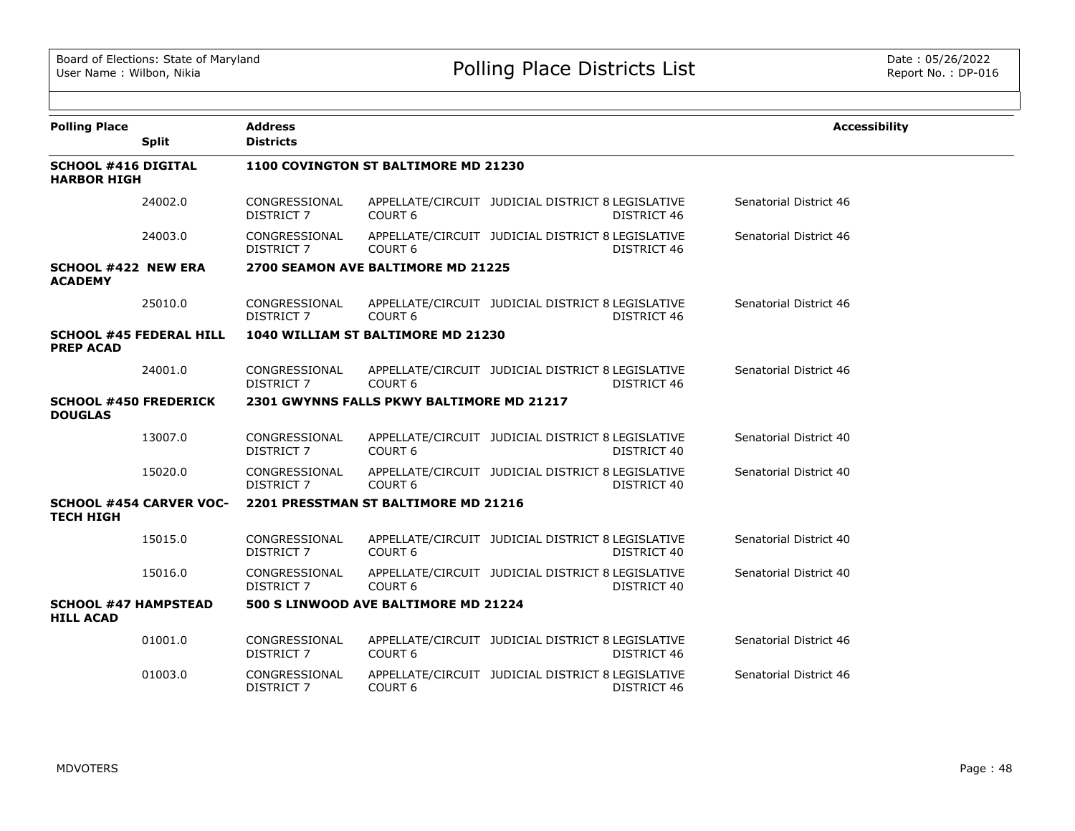| <b>Polling Place</b>                             | <b>Split</b>                   | <b>Address</b><br><b>Districts</b> |                                           |                                                                         | <b>Accessibility</b>   |
|--------------------------------------------------|--------------------------------|------------------------------------|-------------------------------------------|-------------------------------------------------------------------------|------------------------|
| <b>SCHOOL #416 DIGITAL</b><br><b>HARBOR HIGH</b> |                                |                                    | 1100 COVINGTON ST BALTIMORE MD 21230      |                                                                         |                        |
|                                                  | 24002.0                        | CONGRESSIONAL<br><b>DISTRICT 7</b> | COURT <sub>6</sub>                        | APPELLATE/CIRCUIT JUDICIAL DISTRICT 8 LEGISLATIVE<br><b>DISTRICT 46</b> | Senatorial District 46 |
|                                                  | 24003.0                        | CONGRESSIONAL<br>DISTRICT 7        | COURT <sub>6</sub>                        | APPELLATE/CIRCUIT JUDICIAL DISTRICT 8 LEGISLATIVE<br><b>DISTRICT 46</b> | Senatorial District 46 |
| <b>SCHOOL #422 NEW ERA</b><br><b>ACADEMY</b>     |                                |                                    | 2700 SEAMON AVE BALTIMORE MD 21225        |                                                                         |                        |
|                                                  | 25010.0                        | CONGRESSIONAL<br><b>DISTRICT 7</b> | COURT <sub>6</sub>                        | APPELLATE/CIRCUIT JUDICIAL DISTRICT 8 LEGISLATIVE<br>DISTRICT 46        | Senatorial District 46 |
| <b>PREP ACAD</b>                                 | <b>SCHOOL #45 FEDERAL HILL</b> |                                    | 1040 WILLIAM ST BALTIMORE MD 21230        |                                                                         |                        |
|                                                  | 24001.0                        | CONGRESSIONAL<br>DISTRICT 7        | COURT <sub>6</sub>                        | APPELLATE/CIRCUIT JUDICIAL DISTRICT 8 LEGISLATIVE<br>DISTRICT 46        | Senatorial District 46 |
| <b>SCHOOL #450 FREDERICK</b><br><b>DOUGLAS</b>   |                                |                                    | 2301 GWYNNS FALLS PKWY BALTIMORE MD 21217 |                                                                         |                        |
|                                                  | 13007.0                        | CONGRESSIONAL<br><b>DISTRICT 7</b> | COURT <sub>6</sub>                        | APPELLATE/CIRCUIT JUDICIAL DISTRICT 8 LEGISLATIVE<br>DISTRICT 40        | Senatorial District 40 |
|                                                  | 15020.0                        | CONGRESSIONAL<br>DISTRICT 7        | COURT <sub>6</sub>                        | APPELLATE/CIRCUIT JUDICIAL DISTRICT 8 LEGISLATIVE<br>DISTRICT 40        | Senatorial District 40 |
| <b>TECH HIGH</b>                                 | <b>SCHOOL #454 CARVER VOC-</b> |                                    | 2201 PRESSTMAN ST BALTIMORE MD 21216      |                                                                         |                        |
|                                                  | 15015.0                        | CONGRESSIONAL<br><b>DISTRICT 7</b> | COURT <sub>6</sub>                        | APPELLATE/CIRCUIT JUDICIAL DISTRICT 8 LEGISLATIVE<br>DISTRICT 40        | Senatorial District 40 |
|                                                  | 15016.0                        | CONGRESSIONAL<br>DISTRICT 7        | COURT <sub>6</sub>                        | APPELLATE/CIRCUIT JUDICIAL DISTRICT 8 LEGISLATIVE<br>DISTRICT 40        | Senatorial District 40 |
| <b>SCHOOL #47 HAMPSTEAD</b><br><b>HILL ACAD</b>  |                                |                                    | 500 S LINWOOD AVE BALTIMORE MD 21224      |                                                                         |                        |
|                                                  | 01001.0                        | CONGRESSIONAL<br><b>DISTRICT 7</b> | COURT <sub>6</sub>                        | APPELLATE/CIRCUIT JUDICIAL DISTRICT 8 LEGISLATIVE<br><b>DISTRICT 46</b> | Senatorial District 46 |
|                                                  | 01003.0                        | CONGRESSIONAL<br><b>DISTRICT 7</b> | COURT 6                                   | APPELLATE/CIRCUIT JUDICIAL DISTRICT 8 LEGISLATIVE<br>DISTRICT 46        | Senatorial District 46 |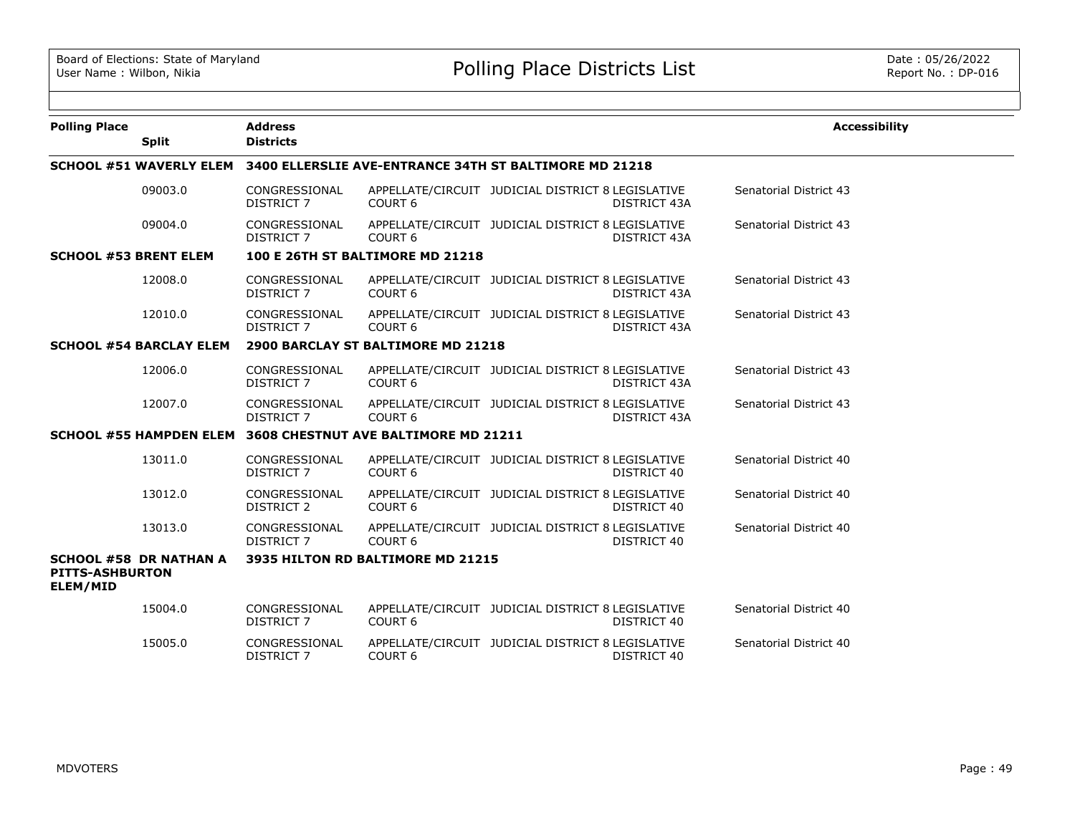| <b>Polling Place</b>               | <b>Split</b>                   | <b>Address</b><br><b>Districts</b> |                                                              |                                                   |                     | <b>Accessibility</b>   |
|------------------------------------|--------------------------------|------------------------------------|--------------------------------------------------------------|---------------------------------------------------|---------------------|------------------------|
|                                    | <b>SCHOOL #51 WAVERLY ELEM</b> |                                    | 3400 ELLERSLIE AVE-ENTRANCE 34TH ST BALTIMORE MD 21218       |                                                   |                     |                        |
|                                    | 09003.0                        | CONGRESSIONAL<br>DISTRICT 7        | COURT <sub>6</sub>                                           | APPELLATE/CIRCUIT JUDICIAL DISTRICT 8 LEGISLATIVE | DISTRICT 43A        | Senatorial District 43 |
|                                    | 09004.0                        | CONGRESSIONAL<br>DISTRICT 7        | COURT <sub>6</sub>                                           | APPELLATE/CIRCUIT JUDICIAL DISTRICT 8 LEGISLATIVE | DISTRICT 43A        | Senatorial District 43 |
| <b>SCHOOL #53 BRENT ELEM</b>       |                                |                                    | 100 E 26TH ST BALTIMORE MD 21218                             |                                                   |                     |                        |
|                                    | 12008.0                        | CONGRESSIONAL<br>DISTRICT 7        | COURT <sub>6</sub>                                           | APPELLATE/CIRCUIT JUDICIAL DISTRICT 8 LEGISLATIVE | DISTRICT 43A        | Senatorial District 43 |
|                                    | 12010.0                        | CONGRESSIONAL<br>DISTRICT 7        | COURT <sub>6</sub>                                           | APPELLATE/CIRCUIT JUDICIAL DISTRICT 8 LEGISLATIVE | DISTRICT 43A        | Senatorial District 43 |
|                                    | <b>SCHOOL #54 BARCLAY ELEM</b> |                                    | 2900 BARCLAY ST BALTIMORE MD 21218                           |                                                   |                     |                        |
|                                    | 12006.0                        | CONGRESSIONAL<br>DISTRICT 7        | COURT <sub>6</sub>                                           | APPELLATE/CIRCUIT JUDICIAL DISTRICT 8 LEGISLATIVE | <b>DISTRICT 43A</b> | Senatorial District 43 |
|                                    | 12007.0                        | CONGRESSIONAL<br><b>DISTRICT 7</b> | COURT <sub>6</sub>                                           | APPELLATE/CIRCUIT JUDICIAL DISTRICT 8 LEGISLATIVE | DISTRICT 43A        | Senatorial District 43 |
|                                    |                                |                                    | SCHOOL #55 HAMPDEN ELEM 3608 CHESTNUT AVE BALTIMORE MD 21211 |                                                   |                     |                        |
|                                    | 13011.0                        | CONGRESSIONAL<br><b>DISTRICT 7</b> | COURT <sub>6</sub>                                           | APPELLATE/CIRCUIT JUDICIAL DISTRICT 8 LEGISLATIVE | DISTRICT 40         | Senatorial District 40 |
|                                    | 13012.0                        | CONGRESSIONAL<br>DISTRICT 2        | COURT <sub>6</sub>                                           | APPELLATE/CIRCUIT JUDICIAL DISTRICT 8 LEGISLATIVE | DISTRICT 40         | Senatorial District 40 |
|                                    | 13013.0                        | CONGRESSIONAL<br>DISTRICT 7        | COURT <sub>6</sub>                                           | APPELLATE/CIRCUIT JUDICIAL DISTRICT 8 LEGISLATIVE | DISTRICT 40         | Senatorial District 40 |
| <b>PITTS-ASHBURTON</b><br>ELEM/MID | <b>SCHOOL #58 DR NATHAN A</b>  |                                    | 3935 HILTON RD BALTIMORE MD 21215                            |                                                   |                     |                        |
|                                    | 15004.0                        | CONGRESSIONAL<br>DISTRICT 7        | COURT <sub>6</sub>                                           | APPELLATE/CIRCUIT JUDICIAL DISTRICT 8 LEGISLATIVE | DISTRICT 40         | Senatorial District 40 |
|                                    | 15005.0                        | CONGRESSIONAL<br><b>DISTRICT 7</b> | COURT <sub>6</sub>                                           | APPELLATE/CIRCUIT JUDICIAL DISTRICT 8 LEGISLATIVE | DISTRICT 40         | Senatorial District 40 |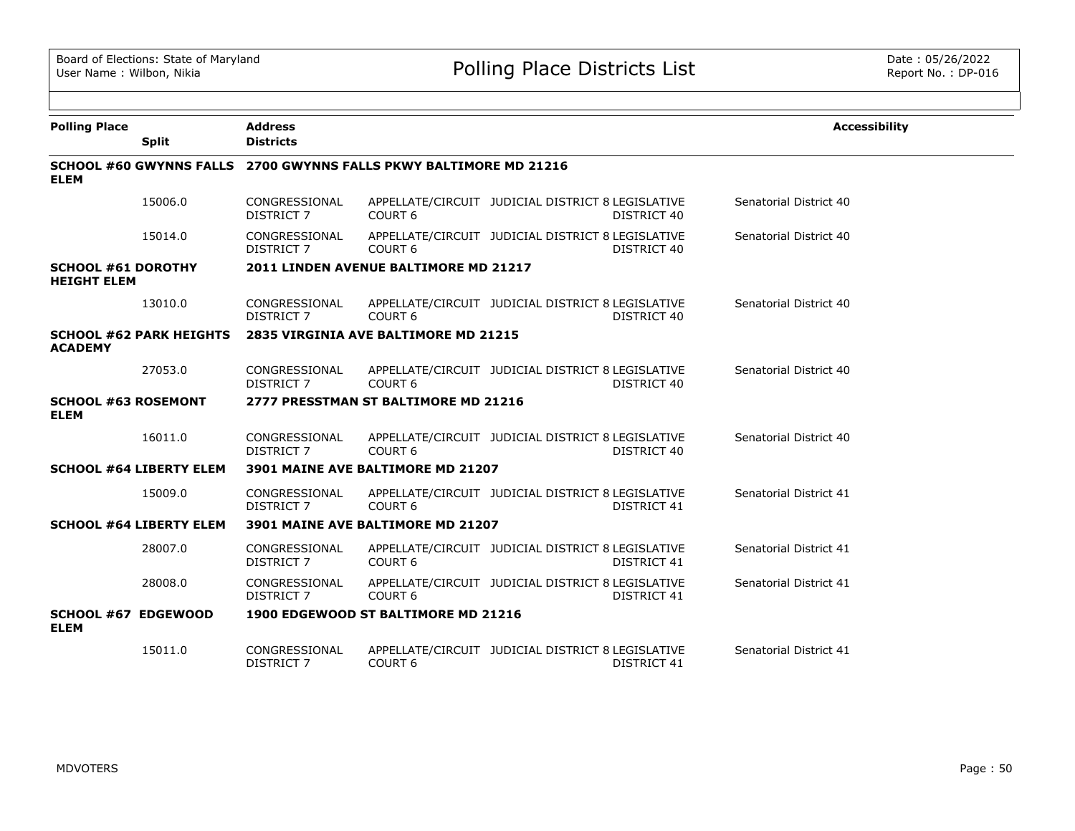| <b>Polling Place</b>                            |                                | <b>Address</b>                     |                                                                   |                                                   |             | <b>Accessibility</b>   |
|-------------------------------------------------|--------------------------------|------------------------------------|-------------------------------------------------------------------|---------------------------------------------------|-------------|------------------------|
|                                                 | <b>Split</b>                   | <b>Districts</b>                   |                                                                   |                                                   |             |                        |
| <b>ELEM</b>                                     |                                |                                    | SCHOOL #60 GWYNNS FALLS 2700 GWYNNS FALLS PKWY BALTIMORE MD 21216 |                                                   |             |                        |
|                                                 | 15006.0                        | CONGRESSIONAL<br><b>DISTRICT 7</b> | COURT <sub>6</sub>                                                | APPELLATE/CIRCUIT JUDICIAL DISTRICT 8 LEGISLATIVE | DISTRICT 40 | Senatorial District 40 |
|                                                 | 15014.0                        | CONGRESSIONAL<br><b>DISTRICT 7</b> | COURT <sub>6</sub>                                                | APPELLATE/CIRCUIT JUDICIAL DISTRICT 8 LEGISLATIVE | DISTRICT 40 | Senatorial District 40 |
| <b>SCHOOL #61 DOROTHY</b><br><b>HEIGHT ELEM</b> |                                |                                    | 2011 LINDEN AVENUE BALTIMORE MD 21217                             |                                                   |             |                        |
|                                                 | 13010.0                        | CONGRESSIONAL<br>DISTRICT 7        | COURT <sub>6</sub>                                                | APPELLATE/CIRCUIT JUDICIAL DISTRICT 8 LEGISLATIVE | DISTRICT 40 | Senatorial District 40 |
| <b>ACADEMY</b>                                  | <b>SCHOOL #62 PARK HEIGHTS</b> |                                    | 2835 VIRGINIA AVE BALTIMORE MD 21215                              |                                                   |             |                        |
|                                                 | 27053.0                        | CONGRESSIONAL<br>DISTRICT 7        | COURT <sub>6</sub>                                                | APPELLATE/CIRCUIT JUDICIAL DISTRICT 8 LEGISLATIVE | DISTRICT 40 | Senatorial District 40 |
| <b>SCHOOL #63 ROSEMONT</b><br><b>ELEM</b>       |                                |                                    | 2777 PRESSTMAN ST BALTIMORE MD 21216                              |                                                   |             |                        |
|                                                 | 16011.0                        | CONGRESSIONAL<br><b>DISTRICT 7</b> | COURT <sub>6</sub>                                                | APPELLATE/CIRCUIT JUDICIAL DISTRICT 8 LEGISLATIVE | DISTRICT 40 | Senatorial District 40 |
|                                                 | <b>SCHOOL #64 LIBERTY ELEM</b> |                                    | 3901 MAINE AVE BALTIMORE MD 21207                                 |                                                   |             |                        |
|                                                 | 15009.0                        | CONGRESSIONAL<br><b>DISTRICT 7</b> | COURT <sub>6</sub>                                                | APPELLATE/CIRCUIT JUDICIAL DISTRICT 8 LEGISLATIVE | DISTRICT 41 | Senatorial District 41 |
|                                                 | <b>SCHOOL #64 LIBERTY ELEM</b> |                                    | 3901 MAINE AVE BALTIMORE MD 21207                                 |                                                   |             |                        |
|                                                 | 28007.0                        | CONGRESSIONAL<br><b>DISTRICT 7</b> | COURT <sub>6</sub>                                                | APPELLATE/CIRCUIT JUDICIAL DISTRICT 8 LEGISLATIVE | DISTRICT 41 | Senatorial District 41 |
|                                                 | 28008.0                        | CONGRESSIONAL<br>DISTRICT 7        | COURT <sub>6</sub>                                                | APPELLATE/CIRCUIT JUDICIAL DISTRICT 8 LEGISLATIVE | DISTRICT 41 | Senatorial District 41 |
| SCHOOL #67 EDGEWOOD<br><b>ELEM</b>              |                                |                                    | 1900 EDGEWOOD ST BALTIMORE MD 21216                               |                                                   |             |                        |
|                                                 | 15011.0                        | CONGRESSIONAL<br><b>DISTRICT 7</b> | COURT <sub>6</sub>                                                | APPELLATE/CIRCUIT JUDICIAL DISTRICT 8 LEGISLATIVE | DISTRICT 41 | Senatorial District 41 |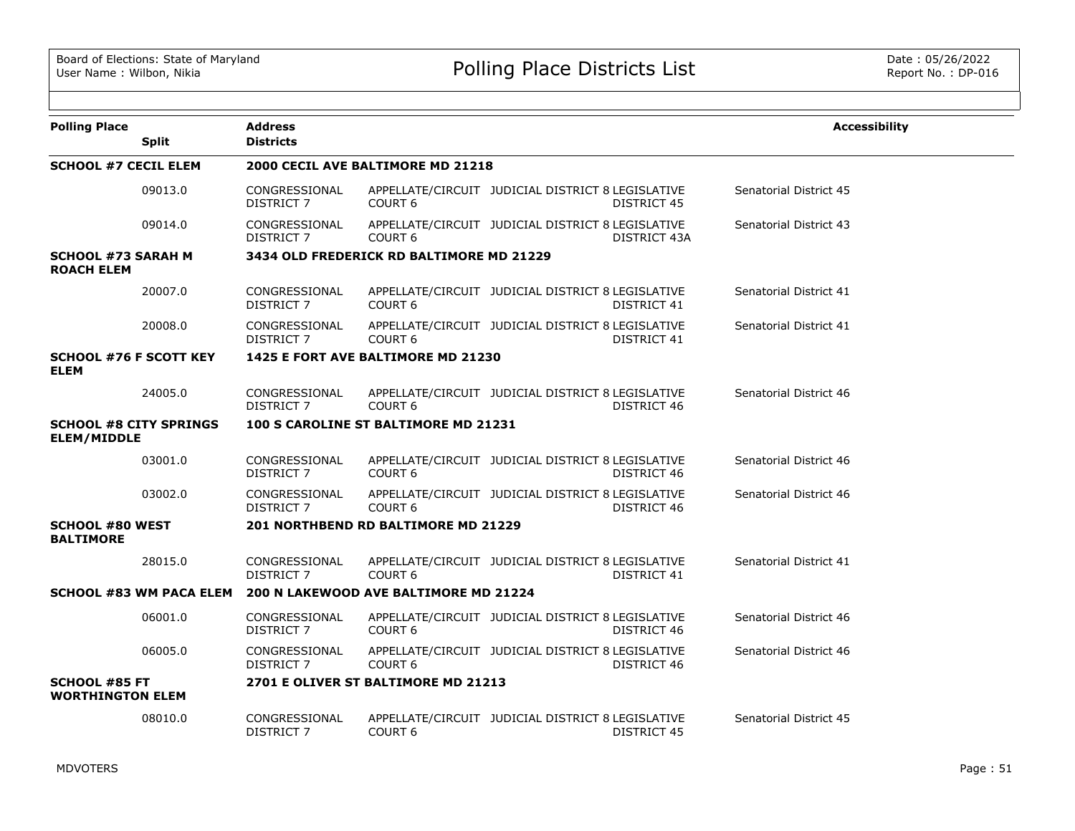| <b>Polling Place</b>                                | <b>Split</b> | <b>Address</b><br><b>Districts</b> |                                          |                                                   |                    | <b>Accessibility</b>   |
|-----------------------------------------------------|--------------|------------------------------------|------------------------------------------|---------------------------------------------------|--------------------|------------------------|
| <b>SCHOOL #7 CECIL ELEM</b>                         |              |                                    | 2000 CECIL AVE BALTIMORE MD 21218        |                                                   |                    |                        |
|                                                     | 09013.0      | CONGRESSIONAL<br><b>DISTRICT 7</b> | COURT <sub>6</sub>                       | APPELLATE/CIRCUIT JUDICIAL DISTRICT 8 LEGISLATIVE | DISTRICT 45        | Senatorial District 45 |
|                                                     | 09014.0      | CONGRESSIONAL<br>DISTRICT 7        | COURT <sub>6</sub>                       | APPELLATE/CIRCUIT JUDICIAL DISTRICT 8 LEGISLATIVE | DISTRICT 43A       | Senatorial District 43 |
| <b>SCHOOL #73 SARAH M</b><br><b>ROACH ELEM</b>      |              |                                    | 3434 OLD FREDERICK RD BALTIMORE MD 21229 |                                                   |                    |                        |
|                                                     | 20007.0      | CONGRESSIONAL<br><b>DISTRICT 7</b> | COURT 6                                  | APPELLATE/CIRCUIT JUDICIAL DISTRICT 8 LEGISLATIVE | DISTRICT 41        | Senatorial District 41 |
|                                                     | 20008.0      | CONGRESSIONAL<br>DISTRICT 7        | COURT <sub>6</sub>                       | APPELLATE/CIRCUIT JUDICIAL DISTRICT 8 LEGISLATIVE | DISTRICT 41        | Senatorial District 41 |
| <b>SCHOOL #76 F SCOTT KEY</b><br><b>ELEM</b>        |              |                                    | 1425 E FORT AVE BALTIMORE MD 21230       |                                                   |                    |                        |
|                                                     | 24005.0      | CONGRESSIONAL<br>DISTRICT 7        | COURT <sub>6</sub>                       | APPELLATE/CIRCUIT JUDICIAL DISTRICT 8 LEGISLATIVE | DISTRICT 46        | Senatorial District 46 |
| <b>SCHOOL #8 CITY SPRINGS</b><br><b>ELEM/MIDDLE</b> |              |                                    | 100 S CAROLINE ST BALTIMORE MD 21231     |                                                   |                    |                        |
|                                                     | 03001.0      | CONGRESSIONAL<br>DISTRICT 7        | COURT <sub>6</sub>                       | APPELLATE/CIRCUIT JUDICIAL DISTRICT 8 LEGISLATIVE | DISTRICT 46        | Senatorial District 46 |
|                                                     | 03002.0      | CONGRESSIONAL<br>DISTRICT 7        | COURT <sub>6</sub>                       | APPELLATE/CIRCUIT JUDICIAL DISTRICT 8 LEGISLATIVE | DISTRICT 46        | Senatorial District 46 |
| <b>SCHOOL #80 WEST</b><br><b>BALTIMORE</b>          |              |                                    | 201 NORTHBEND RD BALTIMORE MD 21229      |                                                   |                    |                        |
|                                                     | 28015.0      | CONGRESSIONAL<br>DISTRICT 7        | COURT <sub>6</sub>                       | APPELLATE/CIRCUIT JUDICIAL DISTRICT 8 LEGISLATIVE | <b>DISTRICT 41</b> | Senatorial District 41 |
| <b>SCHOOL #83 WM PACA ELEM</b>                      |              |                                    | 200 N LAKEWOOD AVE BALTIMORE MD 21224    |                                                   |                    |                        |
|                                                     | 06001.0      | CONGRESSIONAL<br>DISTRICT 7        | COURT <sub>6</sub>                       | APPELLATE/CIRCUIT JUDICIAL DISTRICT 8 LEGISLATIVE | DISTRICT 46        | Senatorial District 46 |
|                                                     | 06005.0      | CONGRESSIONAL<br>DISTRICT 7        | COURT <sub>6</sub>                       | APPELLATE/CIRCUIT JUDICIAL DISTRICT 8 LEGISLATIVE | DISTRICT 46        | Senatorial District 46 |
| <b>SCHOOL #85 FT</b><br><b>WORTHINGTON ELEM</b>     |              |                                    | 2701 E OLIVER ST BALTIMORE MD 21213      |                                                   |                    |                        |
|                                                     | 08010.0      | CONGRESSIONAL<br><b>DISTRICT 7</b> | COURT <sub>6</sub>                       | APPELLATE/CIRCUIT JUDICIAL DISTRICT 8 LEGISLATIVE | <b>DISTRICT 45</b> | Senatorial District 45 |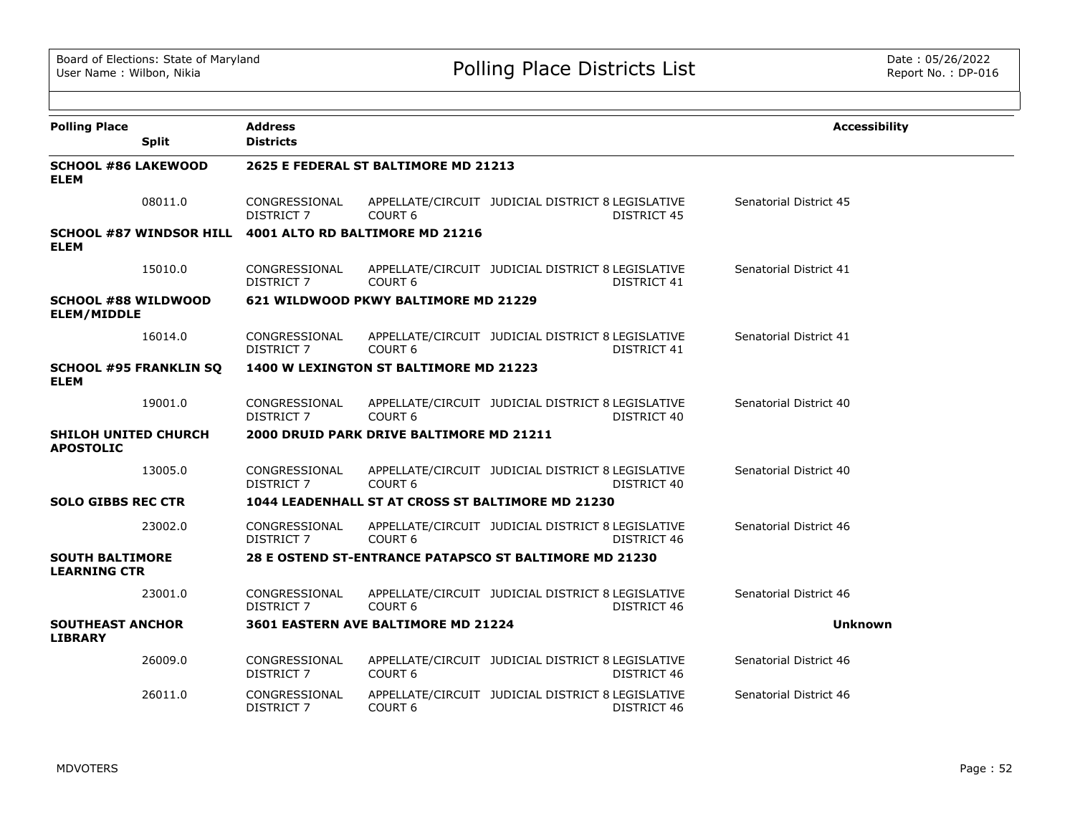| <b>Polling Place</b><br><b>Split</b>             | <b>Address</b><br><b>Districts</b> |                                          |                                                                         | <b>Accessibility</b>   |
|--------------------------------------------------|------------------------------------|------------------------------------------|-------------------------------------------------------------------------|------------------------|
| <b>SCHOOL #86 LAKEWOOD</b><br><b>ELEM</b>        |                                    | 2625 E FEDERAL ST BALTIMORE MD 21213     |                                                                         |                        |
| 08011.0                                          | CONGRESSIONAL<br><b>DISTRICT 7</b> | COURT <sub>6</sub>                       | APPELLATE/CIRCUIT JUDICIAL DISTRICT 8 LEGISLATIVE<br><b>DISTRICT 45</b> | Senatorial District 45 |
| <b>SCHOOL #87 WINDSOR HILL</b><br><b>ELEM</b>    |                                    | 4001 ALTO RD BALTIMORE MD 21216          |                                                                         |                        |
| 15010.0                                          | CONGRESSIONAL<br>DISTRICT 7        | COURT <sub>6</sub>                       | APPELLATE/CIRCUIT JUDICIAL DISTRICT 8 LEGISLATIVE<br>DISTRICT 41        | Senatorial District 41 |
| <b>SCHOOL #88 WILDWOOD</b><br><b>ELEM/MIDDLE</b> |                                    | 621 WILDWOOD PKWY BALTIMORE MD 21229     |                                                                         |                        |
| 16014.0                                          | CONGRESSIONAL<br><b>DISTRICT 7</b> | COURT <sub>6</sub>                       | APPELLATE/CIRCUIT JUDICIAL DISTRICT 8 LEGISLATIVE<br>DISTRICT 41        | Senatorial District 41 |
| <b>SCHOOL #95 FRANKLIN SQ</b><br><b>ELEM</b>     |                                    | 1400 W LEXINGTON ST BALTIMORE MD 21223   |                                                                         |                        |
| 19001.0                                          | CONGRESSIONAL<br>DISTRICT 7        | <b>COURT 6</b>                           | APPELLATE/CIRCUIT JUDICIAL DISTRICT 8 LEGISLATIVE<br>DISTRICT 40        | Senatorial District 40 |
| <b>SHILOH UNITED CHURCH</b><br><b>APOSTOLIC</b>  |                                    | 2000 DRUID PARK DRIVE BALTIMORE MD 21211 |                                                                         |                        |
| 13005.0                                          | CONGRESSIONAL<br>DISTRICT 7        | COURT <sub>6</sub>                       | APPELLATE/CIRCUIT JUDICIAL DISTRICT 8 LEGISLATIVE<br>DISTRICT 40        | Senatorial District 40 |
| <b>SOLO GIBBS REC CTR</b>                        |                                    |                                          | 1044 LEADENHALL ST AT CROSS ST BALTIMORE MD 21230                       |                        |
| 23002.0                                          | CONGRESSIONAL<br>DISTRICT 7        | COURT <sub>6</sub>                       | APPELLATE/CIRCUIT JUDICIAL DISTRICT 8 LEGISLATIVE<br>DISTRICT 46        | Senatorial District 46 |
| <b>SOUTH BALTIMORE</b><br><b>LEARNING CTR</b>    |                                    |                                          | 28 E OSTEND ST-ENTRANCE PATAPSCO ST BALTIMORE MD 21230                  |                        |
| 23001.0                                          | CONGRESSIONAL<br>DISTRICT 7        | <b>COURT 6</b>                           | APPELLATE/CIRCUIT JUDICIAL DISTRICT 8 LEGISLATIVE<br>DISTRICT 46        | Senatorial District 46 |
| <b>SOUTHEAST ANCHOR</b><br><b>LIBRARY</b>        |                                    | 3601 EASTERN AVE BALTIMORE MD 21224      |                                                                         | Unknown                |
| 26009.0                                          | CONGRESSIONAL<br><b>DISTRICT 7</b> | COURT <sub>6</sub>                       | APPELLATE/CIRCUIT JUDICIAL DISTRICT 8 LEGISLATIVE<br><b>DISTRICT 46</b> | Senatorial District 46 |
| 26011.0                                          | CONGRESSIONAL<br><b>DISTRICT 7</b> | COURT <sub>6</sub>                       | APPELLATE/CIRCUIT JUDICIAL DISTRICT 8 LEGISLATIVE<br>DISTRICT 46        | Senatorial District 46 |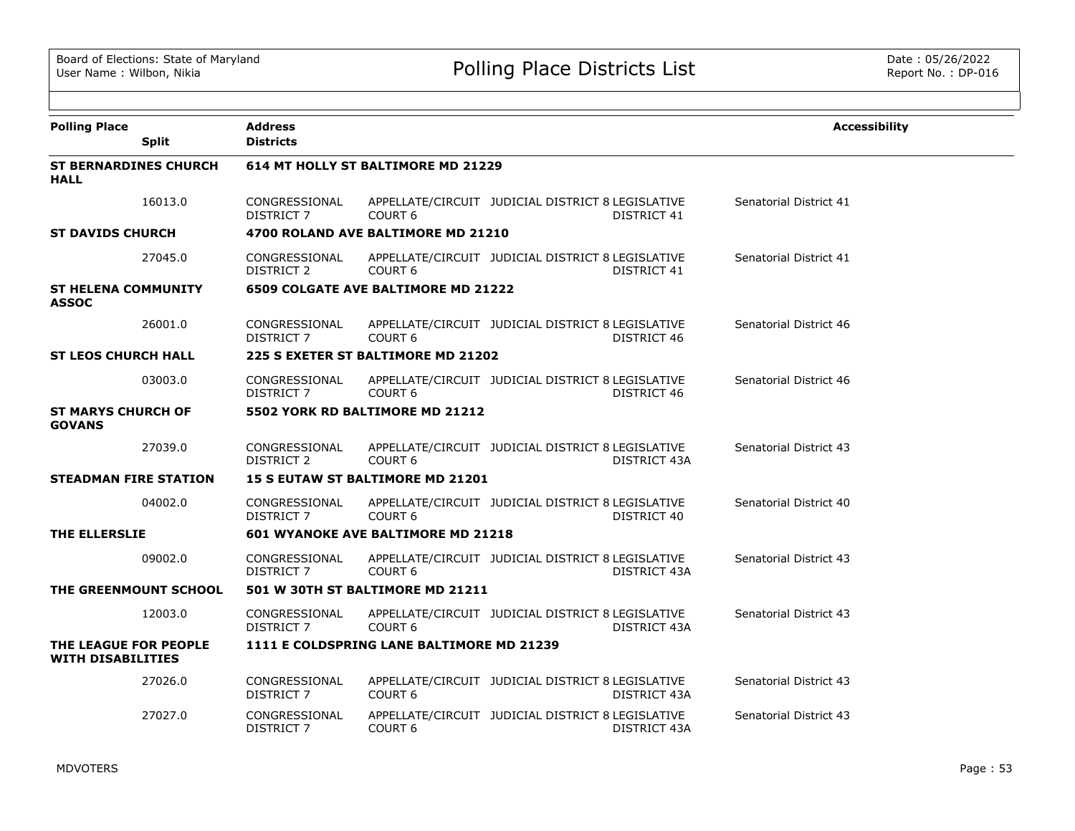| <b>Polling Place</b>                              | <b>Address</b>                     |                                           |                                                   |              | <b>Accessibility</b>   |
|---------------------------------------------------|------------------------------------|-------------------------------------------|---------------------------------------------------|--------------|------------------------|
| <b>Split</b>                                      | <b>Districts</b>                   |                                           |                                                   |              |                        |
| <b>ST BERNARDINES CHURCH</b><br><b>HALL</b>       |                                    | 614 MT HOLLY ST BALTIMORE MD 21229        |                                                   |              |                        |
| 16013.0                                           | CONGRESSIONAL<br>DISTRICT 7        | COURT <sub>6</sub>                        | APPELLATE/CIRCUIT JUDICIAL DISTRICT 8 LEGISLATIVE | DISTRICT 41  | Senatorial District 41 |
| <b>ST DAVIDS CHURCH</b>                           |                                    | 4700 ROLAND AVE BALTIMORE MD 21210        |                                                   |              |                        |
| 27045.0                                           | CONGRESSIONAL<br>DISTRICT 2        | COURT <sub>6</sub>                        | APPELLATE/CIRCUIT JUDICIAL DISTRICT 8 LEGISLATIVE | DISTRICT 41  | Senatorial District 41 |
| <b>ST HELENA COMMUNITY</b><br><b>ASSOC</b>        |                                    | 6509 COLGATE AVE BALTIMORE MD 21222       |                                                   |              |                        |
| 26001.0                                           | CONGRESSIONAL<br>DISTRICT 7        | COURT <sub>6</sub>                        | APPELLATE/CIRCUIT JUDICIAL DISTRICT 8 LEGISLATIVE | DISTRICT 46  | Senatorial District 46 |
| <b>ST LEOS CHURCH HALL</b>                        |                                    | 225 S EXETER ST BALTIMORE MD 21202        |                                                   |              |                        |
| 03003.0                                           | CONGRESSIONAL<br>DISTRICT 7        | COURT <sub>6</sub>                        | APPELLATE/CIRCUIT JUDICIAL DISTRICT 8 LEGISLATIVE | DISTRICT 46  | Senatorial District 46 |
| <b>ST MARYS CHURCH OF</b><br><b>GOVANS</b>        |                                    | 5502 YORK RD BALTIMORE MD 21212           |                                                   |              |                        |
| 27039.0                                           | CONGRESSIONAL<br>DISTRICT 2        | COURT <sub>6</sub>                        | APPELLATE/CIRCUIT JUDICIAL DISTRICT 8 LEGISLATIVE | DISTRICT 43A | Senatorial District 43 |
| <b>STEADMAN FIRE STATION</b>                      |                                    | <b>15 S EUTAW ST BALTIMORE MD 21201</b>   |                                                   |              |                        |
| 04002.0                                           | CONGRESSIONAL<br><b>DISTRICT 7</b> | COURT <sub>6</sub>                        | APPELLATE/CIRCUIT JUDICIAL DISTRICT 8 LEGISLATIVE | DISTRICT 40  | Senatorial District 40 |
| THE ELLERSLIE                                     |                                    | 601 WYANOKE AVE BALTIMORE MD 21218        |                                                   |              |                        |
| 09002.0                                           | CONGRESSIONAL<br>DISTRICT 7        | COURT <sub>6</sub>                        | APPELLATE/CIRCUIT JUDICIAL DISTRICT 8 LEGISLATIVE | DISTRICT 43A | Senatorial District 43 |
| THE GREENMOUNT SCHOOL                             |                                    | 501 W 30TH ST BALTIMORE MD 21211          |                                                   |              |                        |
| 12003.0                                           | CONGRESSIONAL<br>DISTRICT 7        | COURT <sub>6</sub>                        | APPELLATE/CIRCUIT JUDICIAL DISTRICT 8 LEGISLATIVE | DISTRICT 43A | Senatorial District 43 |
| THE LEAGUE FOR PEOPLE<br><b>WITH DISABILITIES</b> |                                    | 1111 E COLDSPRING LANE BALTIMORE MD 21239 |                                                   |              |                        |
| 27026.0                                           | CONGRESSIONAL<br>DISTRICT 7        | COURT <sub>6</sub>                        | APPELLATE/CIRCUIT JUDICIAL DISTRICT 8 LEGISLATIVE | DISTRICT 43A | Senatorial District 43 |
| 27027.0                                           | CONGRESSIONAL<br><b>DISTRICT 7</b> | COURT <sub>6</sub>                        | APPELLATE/CIRCUIT JUDICIAL DISTRICT 8 LEGISLATIVE | DISTRICT 43A | Senatorial District 43 |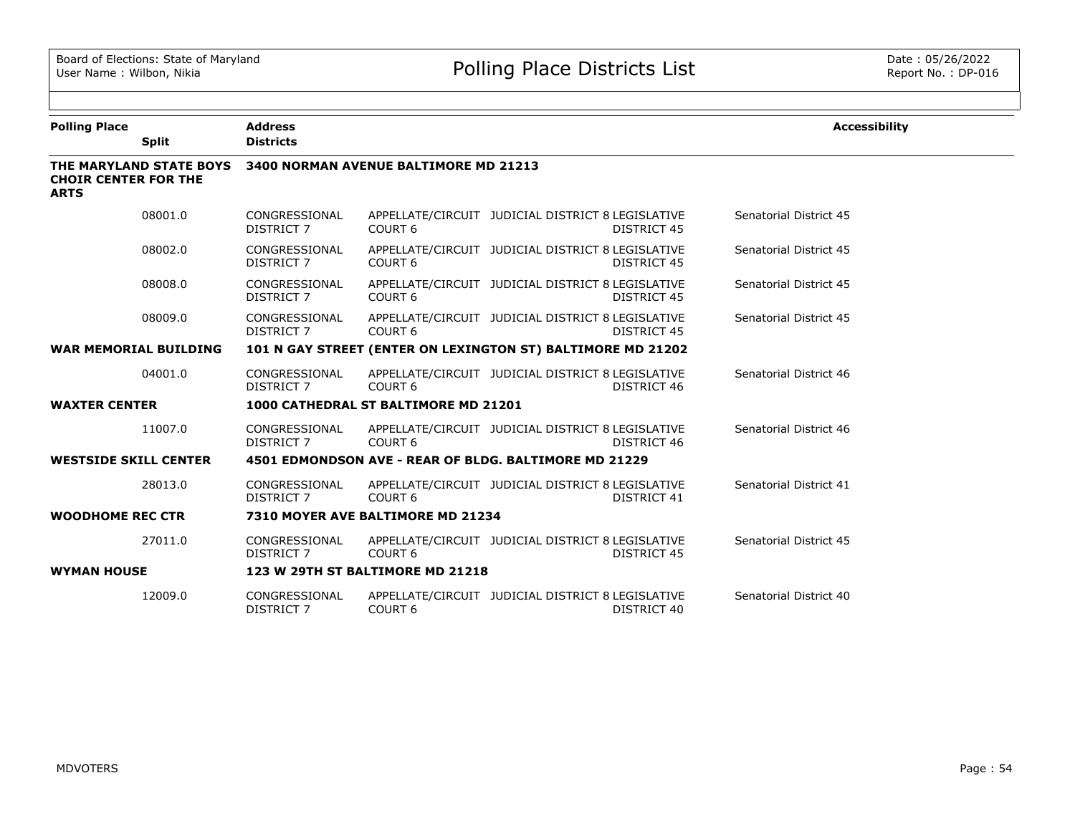| <b>Polling Place</b><br><b>Split</b>                                  | <b>Address</b><br><b>Districts</b> |                                       |                                                             |                    | <b>Accessibility</b>   |
|-----------------------------------------------------------------------|------------------------------------|---------------------------------------|-------------------------------------------------------------|--------------------|------------------------|
| THE MARYLAND STATE BOYS<br><b>CHOIR CENTER FOR THE</b><br><b>ARTS</b> |                                    | 3400 NORMAN AVENUE BALTIMORE MD 21213 |                                                             |                    |                        |
| 08001.0                                                               | CONGRESSIONAL<br>DISTRICT 7        | COURT <sub>6</sub>                    | APPELLATE/CIRCUIT JUDICIAL DISTRICT 8 LEGISLATIVE           | <b>DISTRICT 45</b> | Senatorial District 45 |
| 08002.0                                                               | CONGRESSIONAL<br><b>DISTRICT 7</b> | COURT <sub>6</sub>                    | APPELLATE/CIRCUIT JUDICIAL DISTRICT 8 LEGISLATIVE           | DISTRICT 45        | Senatorial District 45 |
| 08008.0                                                               | CONGRESSIONAL<br>DISTRICT 7        | COURT <sub>6</sub>                    | APPELLATE/CIRCUIT JUDICIAL DISTRICT 8 LEGISLATIVE           | DISTRICT 45        | Senatorial District 45 |
| 08009.0                                                               | CONGRESSIONAL<br>DISTRICT 7        | COURT <sub>6</sub>                    | APPELLATE/CIRCUIT JUDICIAL DISTRICT 8 LEGISLATIVE           | DISTRICT 45        | Senatorial District 45 |
| <b>WAR MEMORIAL BUILDING</b>                                          |                                    |                                       | 101 N GAY STREET (ENTER ON LEXINGTON ST) BALTIMORE MD 21202 |                    |                        |
| 04001.0                                                               | CONGRESSIONAL<br><b>DISTRICT 7</b> | COURT <sub>6</sub>                    | APPELLATE/CIRCUIT JUDICIAL DISTRICT 8 LEGISLATIVE           | DISTRICT 46        | Senatorial District 46 |
| <b>WAXTER CENTER</b>                                                  |                                    | 1000 CATHEDRAL ST BALTIMORE MD 21201  |                                                             |                    |                        |
| 11007.0                                                               | CONGRESSIONAL<br><b>DISTRICT 7</b> | COURT <sub>6</sub>                    | APPELLATE/CIRCUIT JUDICIAL DISTRICT 8 LEGISLATIVE           | <b>DISTRICT 46</b> | Senatorial District 46 |
| <b>WESTSIDE SKILL CENTER</b>                                          |                                    |                                       | 4501 EDMONDSON AVE - REAR OF BLDG. BALTIMORE MD 21229       |                    |                        |
| 28013.0                                                               | CONGRESSIONAL<br><b>DISTRICT 7</b> | COURT <sub>6</sub>                    | APPELLATE/CIRCUIT JUDICIAL DISTRICT 8 LEGISLATIVE           | <b>DISTRICT 41</b> | Senatorial District 41 |
| <b>WOODHOME REC CTR</b>                                               |                                    | 7310 MOYER AVE BALTIMORE MD 21234     |                                                             |                    |                        |
| 27011.0                                                               | CONGRESSIONAL<br><b>DISTRICT 7</b> | COURT <sub>6</sub>                    | APPELLATE/CIRCUIT JUDICIAL DISTRICT 8 LEGISLATIVE           | <b>DISTRICT 45</b> | Senatorial District 45 |
| <b>WYMAN HOUSE</b>                                                    |                                    | 123 W 29TH ST BALTIMORE MD 21218      |                                                             |                    |                        |
| 12009.0                                                               | CONGRESSIONAL<br>DISTRICT 7        | COURT <sub>6</sub>                    | APPELLATE/CIRCUIT JUDICIAL DISTRICT 8 LEGISLATIVE           | DISTRICT 40        | Senatorial District 40 |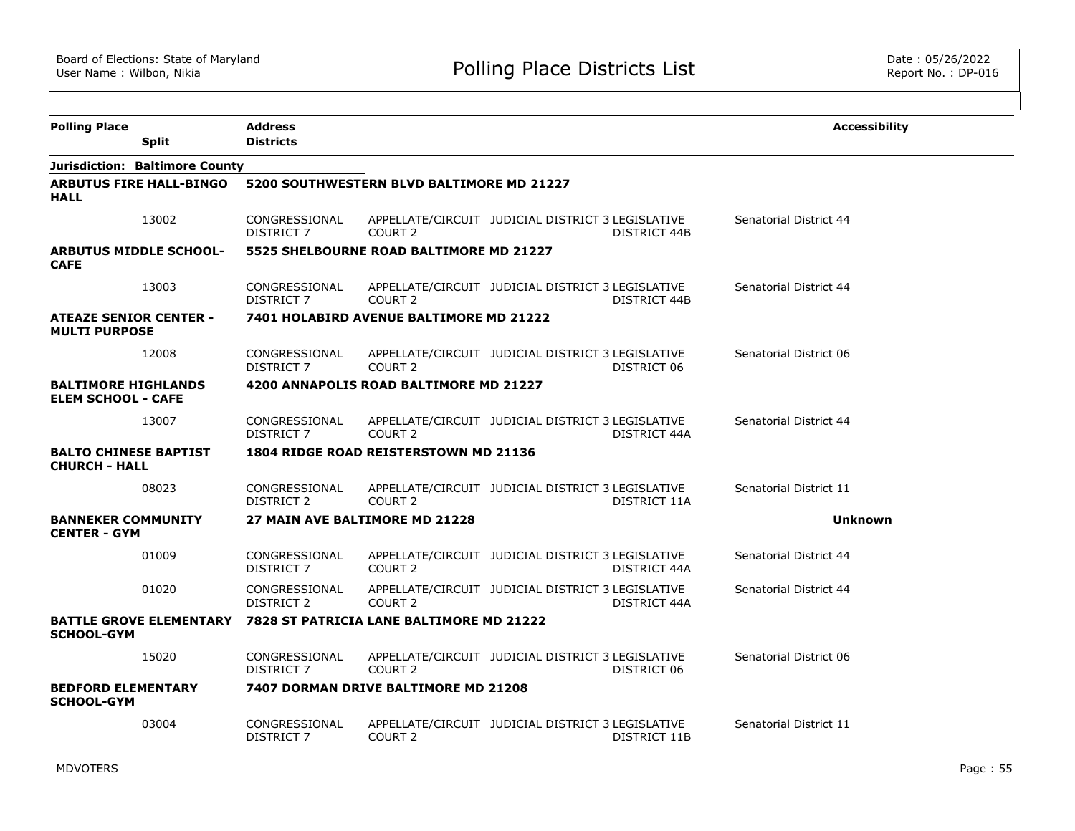| <b>Polling Place</b>                                    | <b>Address</b>                     |                                           |                                                                   | <b>Accessibility</b>   |
|---------------------------------------------------------|------------------------------------|-------------------------------------------|-------------------------------------------------------------------|------------------------|
| <b>Split</b>                                            | <b>Districts</b>                   |                                           |                                                                   |                        |
| Jurisdiction: Baltimore County                          |                                    |                                           |                                                                   |                        |
| <b>ARBUTUS FIRE HALL-BINGO</b><br><b>HALL</b>           |                                    | 5200 SOUTHWESTERN BLVD BALTIMORE MD 21227 |                                                                   |                        |
| 13002                                                   | CONGRESSIONAL<br><b>DISTRICT 7</b> | COURT <sub>2</sub>                        | APPELLATE/CIRCUIT JUDICIAL DISTRICT 3 LEGISLATIVE<br>DISTRICT 44B | Senatorial District 44 |
| <b>ARBUTUS MIDDLE SCHOOL-</b><br><b>CAFE</b>            |                                    | 5525 SHELBOURNE ROAD BALTIMORE MD 21227   |                                                                   |                        |
| 13003                                                   | CONGRESSIONAL<br>DISTRICT 7        | COURT <sub>2</sub>                        | APPELLATE/CIRCUIT JUDICIAL DISTRICT 3 LEGISLATIVE<br>DISTRICT 44B | Senatorial District 44 |
| <b>ATEAZE SENIOR CENTER -</b><br><b>MULTI PURPOSE</b>   |                                    | 7401 HOLABIRD AVENUE BALTIMORE MD 21222   |                                                                   |                        |
| 12008                                                   | CONGRESSIONAL<br><b>DISTRICT 7</b> | COURT <sub>2</sub>                        | APPELLATE/CIRCUIT JUDICIAL DISTRICT 3 LEGISLATIVE<br>DISTRICT 06  | Senatorial District 06 |
| <b>BALTIMORE HIGHLANDS</b><br><b>ELEM SCHOOL - CAFE</b> |                                    | 4200 ANNAPOLIS ROAD BALTIMORE MD 21227    |                                                                   |                        |
| 13007                                                   | CONGRESSIONAL<br><b>DISTRICT 7</b> | COURT <sub>2</sub>                        | APPELLATE/CIRCUIT JUDICIAL DISTRICT 3 LEGISLATIVE<br>DISTRICT 44A | Senatorial District 44 |
| <b>BALTO CHINESE BAPTIST</b><br><b>CHURCH - HALL</b>    |                                    | 1804 RIDGE ROAD REISTERSTOWN MD 21136     |                                                                   |                        |
| 08023                                                   | CONGRESSIONAL<br>DISTRICT 2        | COURT <sub>2</sub>                        | APPELLATE/CIRCUIT JUDICIAL DISTRICT 3 LEGISLATIVE<br>DISTRICT 11A | Senatorial District 11 |
| <b>BANNEKER COMMUNITY</b><br><b>CENTER - GYM</b>        |                                    | 27 MAIN AVE BALTIMORE MD 21228            |                                                                   | <b>Unknown</b>         |
| 01009                                                   | CONGRESSIONAL<br><b>DISTRICT 7</b> | COURT 2                                   | APPELLATE/CIRCUIT JUDICIAL DISTRICT 3 LEGISLATIVE<br>DISTRICT 44A | Senatorial District 44 |
| 01020                                                   | CONGRESSIONAL<br><b>DISTRICT 2</b> | COURT <sub>2</sub>                        | APPELLATE/CIRCUIT JUDICIAL DISTRICT 3 LEGISLATIVE<br>DISTRICT 44A | Senatorial District 44 |
| <b>BATTLE GROVE ELEMENTARY</b><br><b>SCHOOL-GYM</b>     |                                    | 7828 ST PATRICIA LANE BALTIMORE MD 21222  |                                                                   |                        |
| 15020                                                   | CONGRESSIONAL<br><b>DISTRICT 7</b> | COURT <sub>2</sub>                        | APPELLATE/CIRCUIT JUDICIAL DISTRICT 3 LEGISLATIVE<br>DISTRICT 06  | Senatorial District 06 |
| <b>BEDFORD ELEMENTARY</b><br><b>SCHOOL-GYM</b>          |                                    | 7407 DORMAN DRIVE BALTIMORE MD 21208      |                                                                   |                        |
| 03004                                                   | CONGRESSIONAL<br>DISTRICT 7        | COURT 2                                   | APPELLATE/CIRCUIT JUDICIAL DISTRICT 3 LEGISLATIVE<br>DISTRICT 11B | Senatorial District 11 |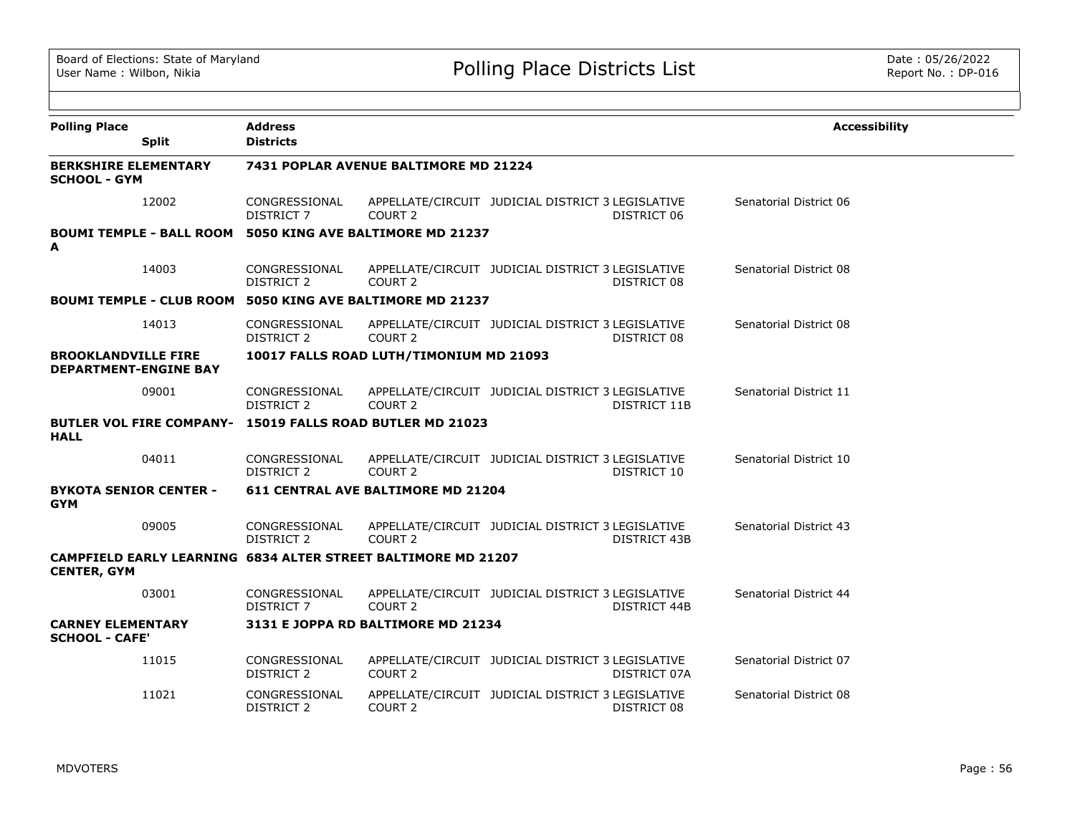| <b>Polling Place</b>                               |                                 | <b>Address</b>                     |                                                                  |                                                   |                     | <b>Accessibility</b>   |
|----------------------------------------------------|---------------------------------|------------------------------------|------------------------------------------------------------------|---------------------------------------------------|---------------------|------------------------|
|                                                    | <b>Split</b>                    | <b>Districts</b>                   |                                                                  |                                                   |                     |                        |
| <b>BERKSHIRE ELEMENTARY</b><br><b>SCHOOL - GYM</b> |                                 |                                    | 7431 POPLAR AVENUE BALTIMORE MD 21224                            |                                                   |                     |                        |
|                                                    | 12002                           | CONGRESSIONAL<br><b>DISTRICT 7</b> | COURT <sub>2</sub>                                               | APPELLATE/CIRCUIT JUDICIAL DISTRICT 3 LEGISLATIVE | DISTRICT 06         | Senatorial District 06 |
| A                                                  |                                 |                                    | BOUMI TEMPLE - BALL ROOM 5050 KING AVE BALTIMORE MD 21237        |                                                   |                     |                        |
|                                                    | 14003                           | CONGRESSIONAL<br>DISTRICT 2        | COURT 2                                                          | APPELLATE/CIRCUIT JUDICIAL DISTRICT 3 LEGISLATIVE | DISTRICT 08         | Senatorial District 08 |
|                                                    |                                 |                                    | <b>BOUMI TEMPLE - CLUB ROOM 5050 KING AVE BALTIMORE MD 21237</b> |                                                   |                     |                        |
|                                                    | 14013                           | CONGRESSIONAL<br>DISTRICT 2        | COURT <sub>2</sub>                                               | APPELLATE/CIRCUIT JUDICIAL DISTRICT 3 LEGISLATIVE | DISTRICT 08         | Senatorial District 08 |
| <b>BROOKLANDVILLE FIRE</b>                         | <b>DEPARTMENT-ENGINE BAY</b>    |                                    | 10017 FALLS ROAD LUTH/TIMONIUM MD 21093                          |                                                   |                     |                        |
|                                                    | 09001                           | CONGRESSIONAL<br>DISTRICT 2        | COURT <sub>2</sub>                                               | APPELLATE/CIRCUIT JUDICIAL DISTRICT 3 LEGISLATIVE | DISTRICT 11B        | Senatorial District 11 |
|                                                    | <b>BUTLER VOL FIRE COMPANY-</b> |                                    | 15019 FALLS ROAD BUTLER MD 21023                                 |                                                   |                     |                        |
| <b>HALL</b>                                        |                                 |                                    |                                                                  |                                                   |                     |                        |
|                                                    | 04011                           | CONGRESSIONAL<br><b>DISTRICT 2</b> | COURT <sub>2</sub>                                               | APPELLATE/CIRCUIT JUDICIAL DISTRICT 3 LEGISLATIVE | DISTRICT 10         | Senatorial District 10 |
| <b>BYKOTA SENIOR CENTER -</b><br><b>GYM</b>        |                                 |                                    | 611 CENTRAL AVE BALTIMORE MD 21204                               |                                                   |                     |                        |
|                                                    | 09005                           | CONGRESSIONAL<br><b>DISTRICT 2</b> | COURT <sub>2</sub>                                               | APPELLATE/CIRCUIT JUDICIAL DISTRICT 3 LEGISLATIVE | <b>DISTRICT 43B</b> | Senatorial District 43 |
| <b>CENTER, GYM</b>                                 |                                 |                                    | CAMPFIELD EARLY LEARNING 6834 ALTER STREET BALTIMORE MD 21207    |                                                   |                     |                        |
|                                                    | 03001                           | CONGRESSIONAL<br>DISTRICT 7        | COURT <sub>2</sub>                                               | APPELLATE/CIRCUIT JUDICIAL DISTRICT 3 LEGISLATIVE | DISTRICT 44B        | Senatorial District 44 |
| <b>CARNEY ELEMENTARY</b><br><b>SCHOOL - CAFE'</b>  |                                 |                                    | 3131 E JOPPA RD BALTIMORE MD 21234                               |                                                   |                     |                        |
|                                                    | 11015                           | CONGRESSIONAL<br><b>DISTRICT 2</b> | COURT 2                                                          | APPELLATE/CIRCUIT JUDICIAL DISTRICT 3 LEGISLATIVE | DISTRICT 07A        | Senatorial District 07 |
|                                                    | 11021                           | CONGRESSIONAL<br>DISTRICT 2        | COURT 2                                                          | APPELLATE/CIRCUIT JUDICIAL DISTRICT 3 LEGISLATIVE | DISTRICT 08         | Senatorial District 08 |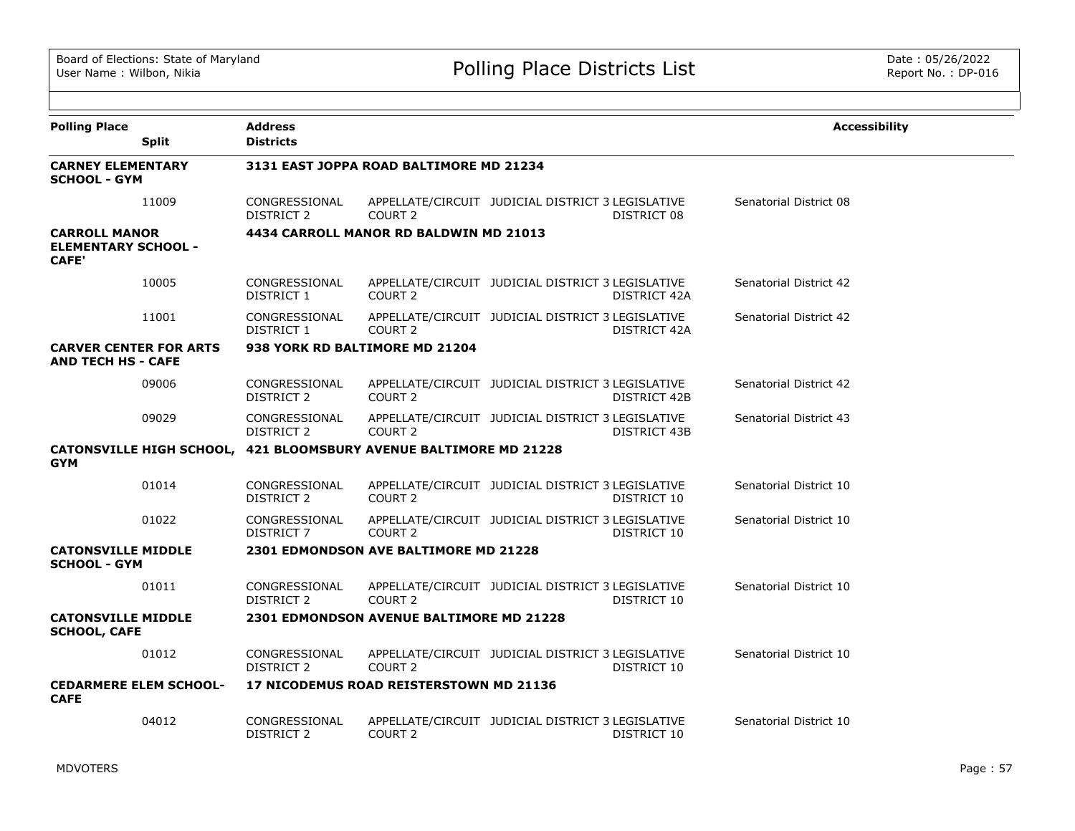| <b>Polling Place</b>                                               | <b>Split</b>                  | <b>Address</b><br><b>Districts</b> |                                                                   |                                                   |              | <b>Accessibility</b>   |
|--------------------------------------------------------------------|-------------------------------|------------------------------------|-------------------------------------------------------------------|---------------------------------------------------|--------------|------------------------|
| <b>CARNEY ELEMENTARY</b><br><b>SCHOOL - GYM</b>                    |                               |                                    | 3131 EAST JOPPA ROAD BALTIMORE MD 21234                           |                                                   |              |                        |
|                                                                    | 11009                         | CONGRESSIONAL<br>DISTRICT 2        | COURT <sub>2</sub>                                                | APPELLATE/CIRCUIT JUDICIAL DISTRICT 3 LEGISLATIVE | DISTRICT 08  | Senatorial District 08 |
| <b>CARROLL MANOR</b><br><b>ELEMENTARY SCHOOL -</b><br><b>CAFE'</b> |                               |                                    | 4434 CARROLL MANOR RD BALDWIN MD 21013                            |                                                   |              |                        |
|                                                                    | 10005                         | CONGRESSIONAL<br>DISTRICT 1        | COURT <sub>2</sub>                                                | APPELLATE/CIRCUIT JUDICIAL DISTRICT 3 LEGISLATIVE | DISTRICT 42A | Senatorial District 42 |
|                                                                    | 11001                         | CONGRESSIONAL<br>DISTRICT 1        | COURT <sub>2</sub>                                                | APPELLATE/CIRCUIT JUDICIAL DISTRICT 3 LEGISLATIVE | DISTRICT 42A | Senatorial District 42 |
| <b>CARVER CENTER FOR ARTS</b><br><b>AND TECH HS - CAFE</b>         |                               |                                    | 938 YORK RD BALTIMORE MD 21204                                    |                                                   |              |                        |
|                                                                    | 09006                         | CONGRESSIONAL<br>DISTRICT 2        | COURT 2                                                           | APPELLATE/CIRCUIT JUDICIAL DISTRICT 3 LEGISLATIVE | DISTRICT 42B | Senatorial District 42 |
|                                                                    | 09029                         | CONGRESSIONAL<br>DISTRICT 2        | COURT <sub>2</sub>                                                | APPELLATE/CIRCUIT JUDICIAL DISTRICT 3 LEGISLATIVE | DISTRICT 43B | Senatorial District 43 |
| <b>GYM</b>                                                         |                               |                                    | CATONSVILLE HIGH SCHOOL, 421 BLOOMSBURY AVENUE BALTIMORE MD 21228 |                                                   |              |                        |
|                                                                    | 01014                         | CONGRESSIONAL<br>DISTRICT 2        | COURT <sub>2</sub>                                                | APPELLATE/CIRCUIT JUDICIAL DISTRICT 3 LEGISLATIVE | DISTRICT 10  | Senatorial District 10 |
|                                                                    | 01022                         | CONGRESSIONAL<br>DISTRICT 7        | COURT <sub>2</sub>                                                | APPELLATE/CIRCUIT JUDICIAL DISTRICT 3 LEGISLATIVE | DISTRICT 10  | Senatorial District 10 |
| <b>CATONSVILLE MIDDLE</b><br><b>SCHOOL - GYM</b>                   |                               |                                    | 2301 EDMONDSON AVE BALTIMORE MD 21228                             |                                                   |              |                        |
|                                                                    | 01011                         | CONGRESSIONAL<br>DISTRICT 2        | COURT <sub>2</sub>                                                | APPELLATE/CIRCUIT JUDICIAL DISTRICT 3 LEGISLATIVE | DISTRICT 10  | Senatorial District 10 |
| <b>CATONSVILLE MIDDLE</b><br><b>SCHOOL, CAFE</b>                   |                               |                                    | <b>2301 EDMONDSON AVENUE BALTIMORE MD 21228</b>                   |                                                   |              |                        |
|                                                                    | 01012                         | CONGRESSIONAL<br>DISTRICT 2        | COURT 2                                                           | APPELLATE/CIRCUIT JUDICIAL DISTRICT 3 LEGISLATIVE | DISTRICT 10  | Senatorial District 10 |
| <b>CAFE</b>                                                        | <b>CEDARMERE ELEM SCHOOL-</b> |                                    | 17 NICODEMUS ROAD REISTERSTOWN MD 21136                           |                                                   |              |                        |
|                                                                    | 04012                         | CONGRESSIONAL<br><b>DISTRICT 2</b> | COURT <sub>2</sub>                                                | APPELLATE/CIRCUIT JUDICIAL DISTRICT 3 LEGISLATIVE | DISTRICT 10  | Senatorial District 10 |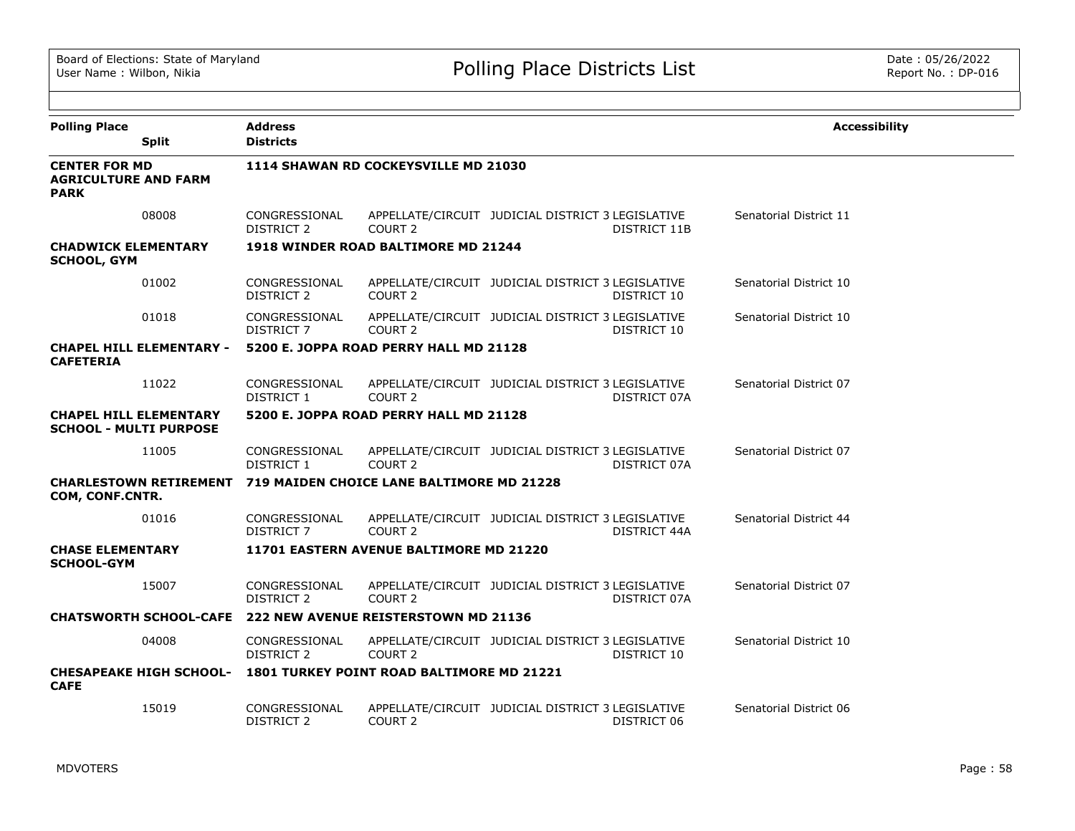| <b>Polling Place</b><br><b>Split</b>                               | <b>Address</b><br><b>Districts</b>                               |                                           |                                                   |              | <b>Accessibility</b>   |  |
|--------------------------------------------------------------------|------------------------------------------------------------------|-------------------------------------------|---------------------------------------------------|--------------|------------------------|--|
| <b>CENTER FOR MD</b><br><b>AGRICULTURE AND FARM</b><br><b>PARK</b> |                                                                  | 1114 SHAWAN RD COCKEYSVILLE MD 21030      |                                                   |              |                        |  |
| 08008                                                              | CONGRESSIONAL<br>DISTRICT 2                                      | COURT <sub>2</sub>                        | APPELLATE/CIRCUIT JUDICIAL DISTRICT 3 LEGISLATIVE | DISTRICT 11B | Senatorial District 11 |  |
| <b>CHADWICK ELEMENTARY</b><br><b>SCHOOL, GYM</b>                   |                                                                  | 1918 WINDER ROAD BALTIMORE MD 21244       |                                                   |              |                        |  |
| 01002                                                              | CONGRESSIONAL<br>DISTRICT 2                                      | COURT <sub>2</sub>                        | APPELLATE/CIRCUIT JUDICIAL DISTRICT 3 LEGISLATIVE | DISTRICT 10  | Senatorial District 10 |  |
| 01018                                                              | CONGRESSIONAL<br>DISTRICT 7                                      | COURT <sub>2</sub>                        | APPELLATE/CIRCUIT JUDICIAL DISTRICT 3 LEGISLATIVE | DISTRICT 10  | Senatorial District 10 |  |
| <b>CHAPEL HILL ELEMENTARY -</b><br><b>CAFETERIA</b>                |                                                                  | 5200 E. JOPPA ROAD PERRY HALL MD 21128    |                                                   |              |                        |  |
| 11022                                                              | CONGRESSIONAL<br>DISTRICT 1                                      | COURT <sub>2</sub>                        | APPELLATE/CIRCUIT JUDICIAL DISTRICT 3 LEGISLATIVE | DISTRICT 07A | Senatorial District 07 |  |
| <b>CHAPEL HILL ELEMENTARY</b><br><b>SCHOOL - MULTI PURPOSE</b>     |                                                                  | 5200 E. JOPPA ROAD PERRY HALL MD 21128    |                                                   |              |                        |  |
| 11005                                                              | CONGRESSIONAL<br>DISTRICT 1                                      | COURT <sub>2</sub>                        | APPELLATE/CIRCUIT JUDICIAL DISTRICT 3 LEGISLATIVE | DISTRICT 07A | Senatorial District 07 |  |
| COM, CONF.CNTR.                                                    | CHARLESTOWN RETIREMENT 719 MAIDEN CHOICE LANE BALTIMORE MD 21228 |                                           |                                                   |              |                        |  |
| 01016                                                              | CONGRESSIONAL<br>DISTRICT 7                                      | COURT <sub>2</sub>                        | APPELLATE/CIRCUIT JUDICIAL DISTRICT 3 LEGISLATIVE | DISTRICT 44A | Senatorial District 44 |  |
| <b>CHASE ELEMENTARY</b><br><b>SCHOOL-GYM</b>                       |                                                                  | 11701 EASTERN AVENUE BALTIMORE MD 21220   |                                                   |              |                        |  |
| 15007                                                              | CONGRESSIONAL<br><b>DISTRICT 2</b>                               | COURT <sub>2</sub>                        | APPELLATE/CIRCUIT JUDICIAL DISTRICT 3 LEGISLATIVE | DISTRICT 07A | Senatorial District 07 |  |
| <b>CHATSWORTH SCHOOL-CAFE</b>                                      |                                                                  | 222 NEW AVENUE REISTERSTOWN MD 21136      |                                                   |              |                        |  |
| 04008                                                              | CONGRESSIONAL<br>DISTRICT 2                                      | COURT <sub>2</sub>                        | APPELLATE/CIRCUIT JUDICIAL DISTRICT 3 LEGISLATIVE | DISTRICT 10  | Senatorial District 10 |  |
| <b>CHESAPEAKE HIGH SCHOOL-</b><br><b>CAFE</b>                      |                                                                  | 1801 TURKEY POINT ROAD BALTIMORE MD 21221 |                                                   |              |                        |  |
| 15019                                                              | CONGRESSIONAL<br><b>DISTRICT 2</b>                               | COURT <sub>2</sub>                        | APPELLATE/CIRCUIT JUDICIAL DISTRICT 3 LEGISLATIVE | DISTRICT 06  | Senatorial District 06 |  |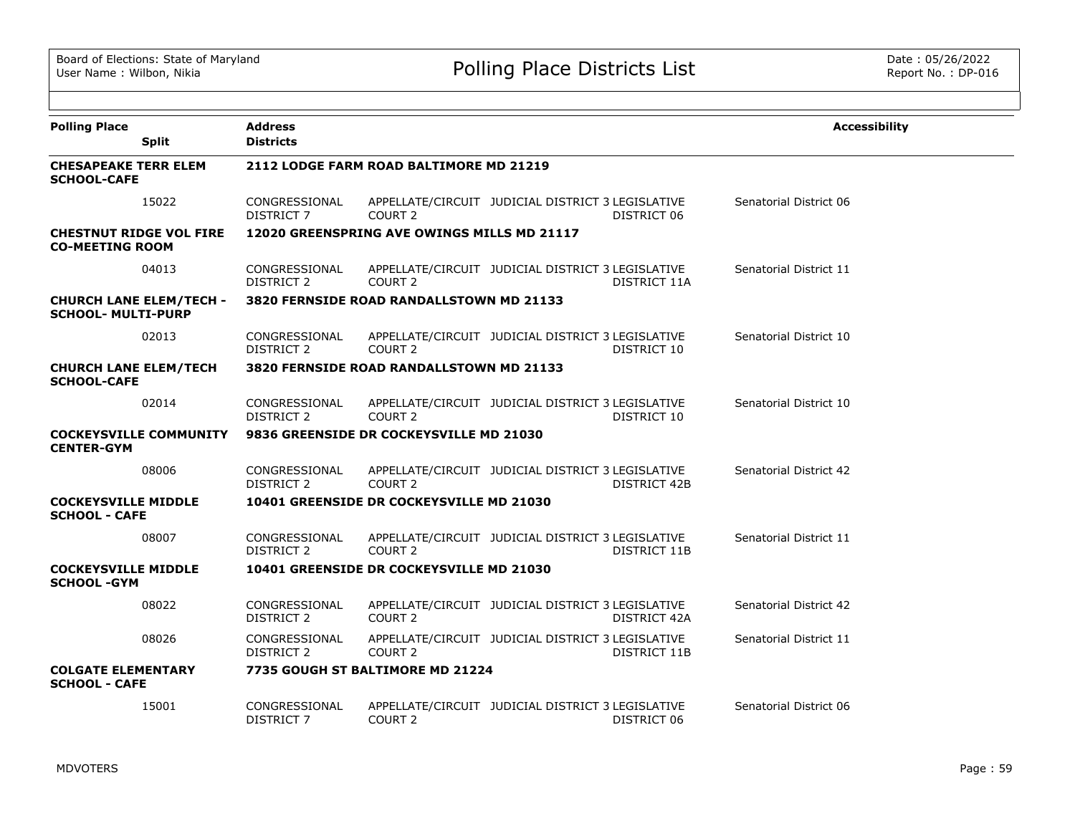| <b>Polling Place</b><br><b>Split</b>                        | <b>Address</b><br><b>Districts</b> |                                                 |                                                   |              | <b>Accessibility</b>   |
|-------------------------------------------------------------|------------------------------------|-------------------------------------------------|---------------------------------------------------|--------------|------------------------|
| <b>CHESAPEAKE TERR ELEM</b><br><b>SCHOOL-CAFE</b>           |                                    | 2112 LODGE FARM ROAD BALTIMORE MD 21219         |                                                   |              |                        |
| 15022                                                       | CONGRESSIONAL<br>DISTRICT 7        | COURT <sub>2</sub>                              | APPELLATE/CIRCUIT JUDICIAL DISTRICT 3 LEGISLATIVE | DISTRICT 06  | Senatorial District 06 |
| <b>CHESTNUT RIDGE VOL FIRE</b><br><b>CO-MEETING ROOM</b>    |                                    | 12020 GREENSPRING AVE OWINGS MILLS MD 21117     |                                                   |              |                        |
| 04013                                                       | CONGRESSIONAL<br>DISTRICT 2        | COURT <sub>2</sub>                              | APPELLATE/CIRCUIT JUDICIAL DISTRICT 3 LEGISLATIVE | DISTRICT 11A | Senatorial District 11 |
| <b>CHURCH LANE ELEM/TECH -</b><br><b>SCHOOL- MULTI-PURP</b> |                                    | 3820 FERNSIDE ROAD RANDALLSTOWN MD 21133        |                                                   |              |                        |
| 02013                                                       | CONGRESSIONAL<br>DISTRICT 2        | COURT <sub>2</sub>                              | APPELLATE/CIRCUIT JUDICIAL DISTRICT 3 LEGISLATIVE | DISTRICT 10  | Senatorial District 10 |
| <b>CHURCH LANE ELEM/TECH</b><br><b>SCHOOL-CAFE</b>          |                                    | 3820 FERNSIDE ROAD RANDALLSTOWN MD 21133        |                                                   |              |                        |
| 02014                                                       | CONGRESSIONAL<br>DISTRICT 2        | COURT <sub>2</sub>                              | APPELLATE/CIRCUIT JUDICIAL DISTRICT 3 LEGISLATIVE | DISTRICT 10  | Senatorial District 10 |
| <b>COCKEYSVILLE COMMUNITY</b><br><b>CENTER-GYM</b>          |                                    | 9836 GREENSIDE DR COCKEYSVILLE MD 21030         |                                                   |              |                        |
| 08006                                                       | CONGRESSIONAL<br>DISTRICT 2        | COURT <sub>2</sub>                              | APPELLATE/CIRCUIT JUDICIAL DISTRICT 3 LEGISLATIVE | DISTRICT 42B | Senatorial District 42 |
| <b>COCKEYSVILLE MIDDLE</b><br><b>SCHOOL - CAFE</b>          |                                    | 10401 GREENSIDE DR COCKEYSVILLE MD 21030        |                                                   |              |                        |
| 08007                                                       | CONGRESSIONAL<br>DISTRICT 2        | COURT 2                                         | APPELLATE/CIRCUIT JUDICIAL DISTRICT 3 LEGISLATIVE | DISTRICT 11B | Senatorial District 11 |
| <b>COCKEYSVILLE MIDDLE</b><br><b>SCHOOL -GYM</b>            |                                    | <b>10401 GREENSIDE DR COCKEYSVILLE MD 21030</b> |                                                   |              |                        |
| 08022                                                       | CONGRESSIONAL<br>DISTRICT 2        | COURT 2                                         | APPELLATE/CIRCUIT JUDICIAL DISTRICT 3 LEGISLATIVE | DISTRICT 42A | Senatorial District 42 |
| 08026                                                       | CONGRESSIONAL<br>DISTRICT 2        | COURT <sub>2</sub>                              | APPELLATE/CIRCUIT JUDICIAL DISTRICT 3 LEGISLATIVE | DISTRICT 11B | Senatorial District 11 |
| <b>COLGATE ELEMENTARY</b><br><b>SCHOOL - CAFE</b>           |                                    | 7735 GOUGH ST BALTIMORE MD 21224                |                                                   |              |                        |
| 15001                                                       | CONGRESSIONAL<br><b>DISTRICT 7</b> | COURT <sub>2</sub>                              | APPELLATE/CIRCUIT JUDICIAL DISTRICT 3 LEGISLATIVE | DISTRICT 06  | Senatorial District 06 |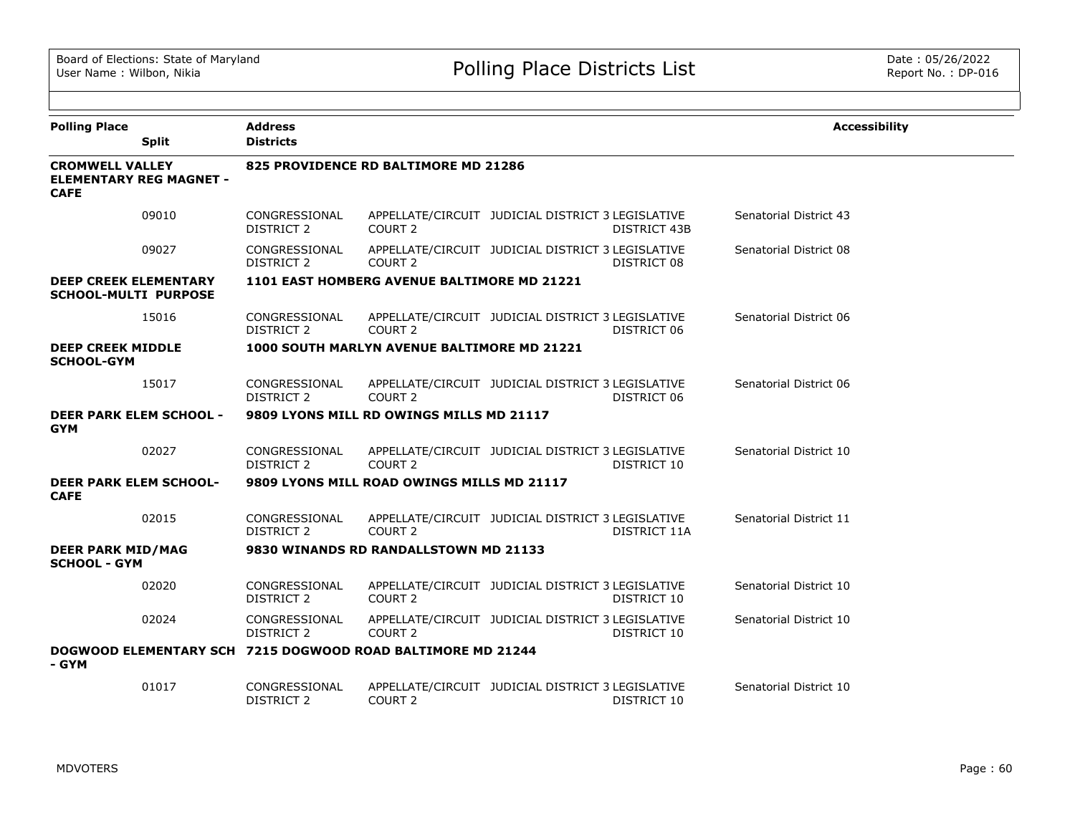| <b>Polling Place</b><br><b>Split</b>                                    | <b>Address</b><br><b>Districts</b> |                                             |                                                   |                     | <b>Accessibility</b>   |
|-------------------------------------------------------------------------|------------------------------------|---------------------------------------------|---------------------------------------------------|---------------------|------------------------|
| <b>CROMWELL VALLEY</b><br><b>ELEMENTARY REG MAGNET -</b><br><b>CAFE</b> |                                    | 825 PROVIDENCE RD BALTIMORE MD 21286        |                                                   |                     |                        |
| 09010                                                                   | CONGRESSIONAL<br><b>DISTRICT 2</b> | COURT <sub>2</sub>                          | APPELLATE/CIRCUIT JUDICIAL DISTRICT 3 LEGISLATIVE | <b>DISTRICT 43B</b> | Senatorial District 43 |
| 09027                                                                   | CONGRESSIONAL<br>DISTRICT 2        | COURT <sub>2</sub>                          | APPELLATE/CIRCUIT JUDICIAL DISTRICT 3 LEGISLATIVE | DISTRICT 08         | Senatorial District 08 |
| <b>DEEP CREEK ELEMENTARY</b><br><b>SCHOOL-MULTI PURPOSE</b>             |                                    | 1101 EAST HOMBERG AVENUE BALTIMORE MD 21221 |                                                   |                     |                        |
| 15016                                                                   | CONGRESSIONAL<br><b>DISTRICT 2</b> | COURT 2                                     | APPELLATE/CIRCUIT JUDICIAL DISTRICT 3 LEGISLATIVE | DISTRICT 06         | Senatorial District 06 |
| <b>DEEP CREEK MIDDLE</b><br><b>SCHOOL-GYM</b>                           |                                    | 1000 SOUTH MARLYN AVENUE BALTIMORE MD 21221 |                                                   |                     |                        |
| 15017                                                                   | CONGRESSIONAL<br>DISTRICT 2        | COURT 2                                     | APPELLATE/CIRCUIT JUDICIAL DISTRICT 3 LEGISLATIVE | DISTRICT 06         | Senatorial District 06 |
| <b>DEER PARK ELEM SCHOOL -</b><br><b>GYM</b>                            |                                    | 9809 LYONS MILL RD OWINGS MILLS MD 21117    |                                                   |                     |                        |
| 02027                                                                   | CONGRESSIONAL<br><b>DISTRICT 2</b> | COURT <sub>2</sub>                          | APPELLATE/CIRCUIT JUDICIAL DISTRICT 3 LEGISLATIVE | DISTRICT 10         | Senatorial District 10 |
| <b>DEER PARK ELEM SCHOOL-</b><br><b>CAFE</b>                            |                                    | 9809 LYONS MILL ROAD OWINGS MILLS MD 21117  |                                                   |                     |                        |
| 02015                                                                   | CONGRESSIONAL<br><b>DISTRICT 2</b> | COURT <sub>2</sub>                          | APPELLATE/CIRCUIT JUDICIAL DISTRICT 3 LEGISLATIVE | <b>DISTRICT 11A</b> | Senatorial District 11 |
| <b>DEER PARK MID/MAG</b><br><b>SCHOOL - GYM</b>                         |                                    | 9830 WINANDS RD RANDALLSTOWN MD 21133       |                                                   |                     |                        |
| 02020                                                                   | CONGRESSIONAL<br><b>DISTRICT 2</b> | COURT <sub>2</sub>                          | APPELLATE/CIRCUIT JUDICIAL DISTRICT 3 LEGISLATIVE | DISTRICT 10         | Senatorial District 10 |
| 02024                                                                   | CONGRESSIONAL<br><b>DISTRICT 2</b> | COURT <sub>2</sub>                          | APPELLATE/CIRCUIT JUDICIAL DISTRICT 3 LEGISLATIVE | DISTRICT 10         | Senatorial District 10 |
| DOGWOOD ELEMENTARY SCH 7215 DOGWOOD ROAD BALTIMORE MD 21244<br>- GYM    |                                    |                                             |                                                   |                     |                        |
| 01017                                                                   | CONGRESSIONAL<br><b>DISTRICT 2</b> | COURT <sub>2</sub>                          | APPELLATE/CIRCUIT JUDICIAL DISTRICT 3 LEGISLATIVE | DISTRICT 10         | Senatorial District 10 |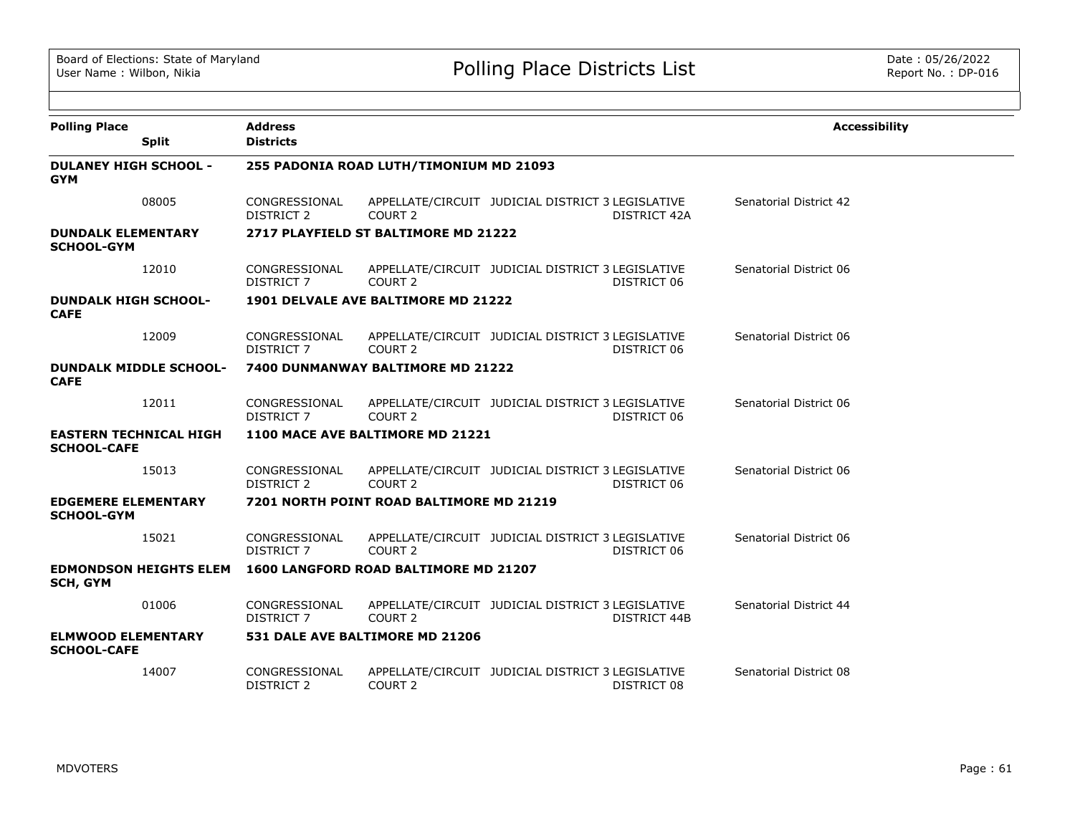| <b>Polling Place</b>                                | <b>Address</b>                     |                                              |                                                   |              | <b>Accessibility</b>   |
|-----------------------------------------------------|------------------------------------|----------------------------------------------|---------------------------------------------------|--------------|------------------------|
| <b>Split</b>                                        | <b>Districts</b>                   |                                              |                                                   |              |                        |
| <b>DULANEY HIGH SCHOOL -</b><br><b>GYM</b>          |                                    | 255 PADONIA ROAD LUTH/TIMONIUM MD 21093      |                                                   |              |                        |
| 08005                                               | CONGRESSIONAL<br><b>DISTRICT 2</b> | COURT 2                                      | APPELLATE/CIRCUIT JUDICIAL DISTRICT 3 LEGISLATIVE | DISTRICT 42A | Senatorial District 42 |
| <b>DUNDALK ELEMENTARY</b><br><b>SCHOOL-GYM</b>      |                                    | 2717 PLAYFIELD ST BALTIMORE MD 21222         |                                                   |              |                        |
| 12010                                               | CONGRESSIONAL<br><b>DISTRICT 7</b> | COURT <sub>2</sub>                           | APPELLATE/CIRCUIT JUDICIAL DISTRICT 3 LEGISLATIVE | DISTRICT 06  | Senatorial District 06 |
| <b>DUNDALK HIGH SCHOOL-</b><br><b>CAFE</b>          |                                    | 1901 DELVALE AVE BALTIMORE MD 21222          |                                                   |              |                        |
| 12009                                               | CONGRESSIONAL<br><b>DISTRICT 7</b> | COURT <sub>2</sub>                           | APPELLATE/CIRCUIT JUDICIAL DISTRICT 3 LEGISLATIVE | DISTRICT 06  | Senatorial District 06 |
| <b>DUNDALK MIDDLE SCHOOL-</b><br><b>CAFE</b>        |                                    | 7400 DUNMANWAY BALTIMORE MD 21222            |                                                   |              |                        |
| 12011                                               | CONGRESSIONAL<br><b>DISTRICT 7</b> | COURT <sub>2</sub>                           | APPELLATE/CIRCUIT JUDICIAL DISTRICT 3 LEGISLATIVE | DISTRICT 06  | Senatorial District 06 |
| <b>EASTERN TECHNICAL HIGH</b><br><b>SCHOOL-CAFE</b> |                                    | 1100 MACE AVE BALTIMORE MD 21221             |                                                   |              |                        |
| 15013                                               | CONGRESSIONAL<br><b>DISTRICT 2</b> | COURT <sub>2</sub>                           | APPELLATE/CIRCUIT JUDICIAL DISTRICT 3 LEGISLATIVE | DISTRICT 06  | Senatorial District 06 |
| <b>EDGEMERE ELEMENTARY</b><br><b>SCHOOL-GYM</b>     |                                    | 7201 NORTH POINT ROAD BALTIMORE MD 21219     |                                                   |              |                        |
| 15021                                               | CONGRESSIONAL<br>DISTRICT 7        | COURT <sub>2</sub>                           | APPELLATE/CIRCUIT JUDICIAL DISTRICT 3 LEGISLATIVE | DISTRICT 06  | Senatorial District 06 |
| <b>EDMONDSON HEIGHTS ELEM</b><br><b>SCH, GYM</b>    |                                    | <b>1600 LANGFORD ROAD BALTIMORE MD 21207</b> |                                                   |              |                        |
| 01006                                               | CONGRESSIONAL<br><b>DISTRICT 7</b> | COURT <sub>2</sub>                           | APPELLATE/CIRCUIT JUDICIAL DISTRICT 3 LEGISLATIVE | DISTRICT 44B | Senatorial District 44 |
| <b>ELMWOOD ELEMENTARY</b><br><b>SCHOOL-CAFE</b>     |                                    | 531 DALE AVE BALTIMORE MD 21206              |                                                   |              |                        |
| 14007                                               | CONGRESSIONAL<br>DISTRICT 2        | COURT 2                                      | APPELLATE/CIRCUIT JUDICIAL DISTRICT 3 LEGISLATIVE | DISTRICT 08  | Senatorial District 08 |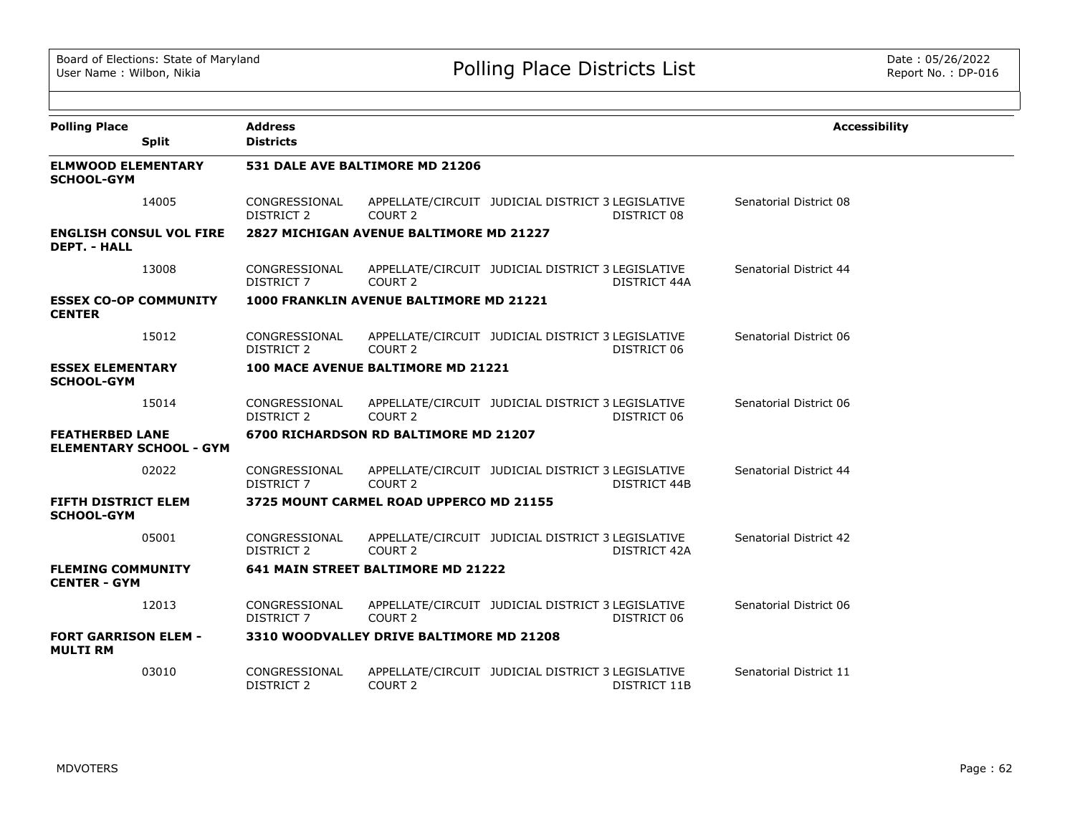| <b>Polling Place</b><br><b>Split</b>                     | <b>Address</b><br><b>Districts</b> |                                          |                                                                          | <b>Accessibility</b>   |
|----------------------------------------------------------|------------------------------------|------------------------------------------|--------------------------------------------------------------------------|------------------------|
| <b>ELMWOOD ELEMENTARY</b><br><b>SCHOOL-GYM</b>           |                                    | 531 DALE AVE BALTIMORE MD 21206          |                                                                          |                        |
| 14005                                                    | CONGRESSIONAL<br><b>DISTRICT 2</b> | COURT 2                                  | APPELLATE/CIRCUIT JUDICIAL DISTRICT 3 LEGISLATIVE<br>DISTRICT 08         | Senatorial District 08 |
| <b>ENGLISH CONSUL VOL FIRE</b><br><b>DEPT. - HALL</b>    |                                    | 2827 MICHIGAN AVENUE BALTIMORE MD 21227  |                                                                          |                        |
| 13008                                                    | CONGRESSIONAL<br><b>DISTRICT 7</b> | COURT 2                                  | APPELLATE/CIRCUIT JUDICIAL DISTRICT 3 LEGISLATIVE<br>DISTRICT 44A        | Senatorial District 44 |
| <b>ESSEX CO-OP COMMUNITY</b><br><b>CENTER</b>            |                                    | 1000 FRANKLIN AVENUE BALTIMORE MD 21221  |                                                                          |                        |
| 15012                                                    | CONGRESSIONAL<br><b>DISTRICT 2</b> | COURT 2                                  | APPELLATE/CIRCUIT JUDICIAL DISTRICT 3 LEGISLATIVE<br>DISTRICT 06         | Senatorial District 06 |
| <b>ESSEX ELEMENTARY</b><br><b>SCHOOL-GYM</b>             |                                    | 100 MACE AVENUE BALTIMORE MD 21221       |                                                                          |                        |
| 15014                                                    | CONGRESSIONAL<br><b>DISTRICT 2</b> | COURT <sub>2</sub>                       | APPELLATE/CIRCUIT JUDICIAL DISTRICT 3 LEGISLATIVE<br>DISTRICT 06         | Senatorial District 06 |
| <b>FEATHERBED LANE</b><br><b>ELEMENTARY SCHOOL - GYM</b> |                                    | 6700 RICHARDSON RD BALTIMORE MD 21207    |                                                                          |                        |
| 02022                                                    | CONGRESSIONAL<br><b>DISTRICT 7</b> | COURT <sub>2</sub>                       | APPELLATE/CIRCUIT JUDICIAL DISTRICT 3 LEGISLATIVE<br><b>DISTRICT 44B</b> | Senatorial District 44 |
| <b>FIFTH DISTRICT ELEM</b><br><b>SCHOOL-GYM</b>          |                                    | 3725 MOUNT CARMEL ROAD UPPERCO MD 21155  |                                                                          |                        |
| 05001                                                    | CONGRESSIONAL<br><b>DISTRICT 2</b> | COURT 2                                  | APPELLATE/CIRCUIT JUDICIAL DISTRICT 3 LEGISLATIVE<br><b>DISTRICT 42A</b> | Senatorial District 42 |
| <b>FLEMING COMMUNITY</b><br><b>CENTER - GYM</b>          |                                    | 641 MAIN STREET BALTIMORE MD 21222       |                                                                          |                        |
| 12013                                                    | CONGRESSIONAL<br>DISTRICT 7        | COURT <sub>2</sub>                       | APPELLATE/CIRCUIT JUDICIAL DISTRICT 3 LEGISLATIVE<br>DISTRICT 06         | Senatorial District 06 |
| <b>FORT GARRISON ELEM -</b><br><b>MULTI RM</b>           |                                    | 3310 WOODVALLEY DRIVE BALTIMORE MD 21208 |                                                                          |                        |
| 03010                                                    | CONGRESSIONAL<br><b>DISTRICT 2</b> | COURT <sub>2</sub>                       | APPELLATE/CIRCUIT JUDICIAL DISTRICT 3 LEGISLATIVE<br>DISTRICT 11B        | Senatorial District 11 |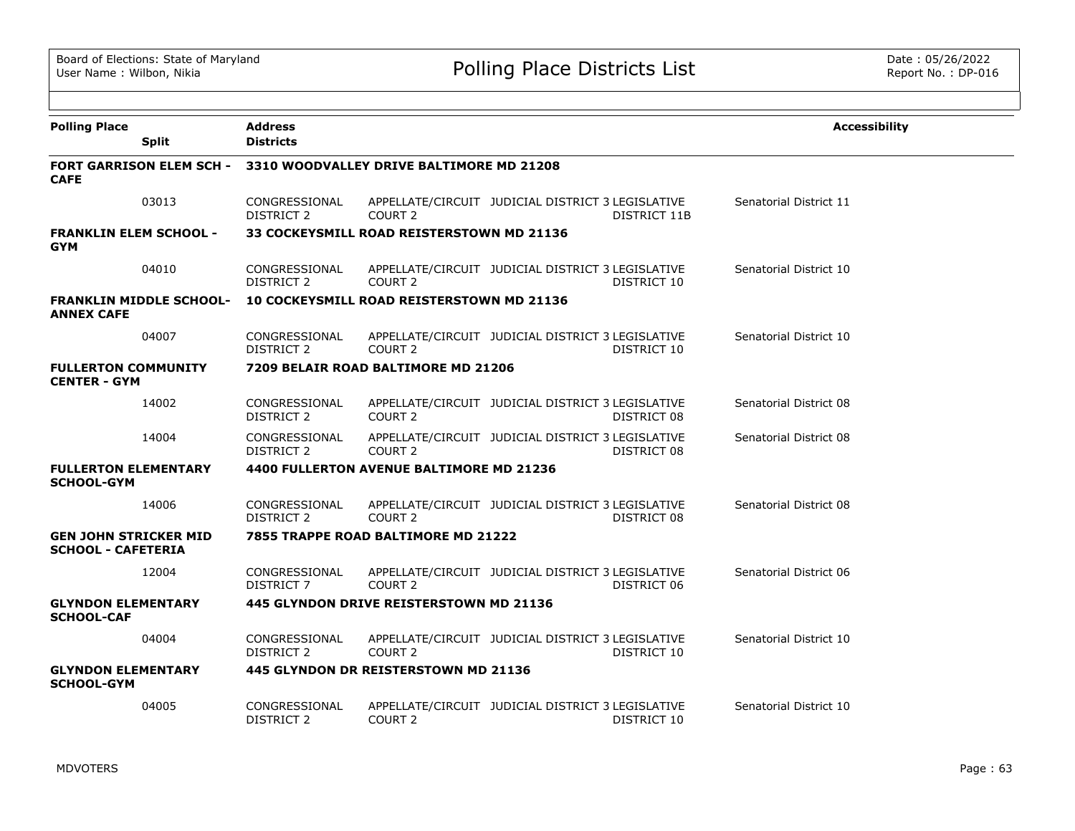| <b>Polling Place</b>                                      |                                 | <b>Address</b>                     |                                           |                                                   |              | <b>Accessibility</b>   |
|-----------------------------------------------------------|---------------------------------|------------------------------------|-------------------------------------------|---------------------------------------------------|--------------|------------------------|
|                                                           | <b>Split</b>                    | <b>Districts</b>                   |                                           |                                                   |              |                        |
| <b>CAFE</b>                                               | <b>FORT GARRISON ELEM SCH -</b> |                                    | 3310 WOODVALLEY DRIVE BALTIMORE MD 21208  |                                                   |              |                        |
|                                                           | 03013                           | CONGRESSIONAL<br>DISTRICT 2        | COURT <sub>2</sub>                        | APPELLATE/CIRCUIT JUDICIAL DISTRICT 3 LEGISLATIVE | DISTRICT 11B | Senatorial District 11 |
| <b>FRANKLIN ELEM SCHOOL -</b><br><b>GYM</b>               |                                 |                                    | 33 COCKEYSMILL ROAD REISTERSTOWN MD 21136 |                                                   |              |                        |
|                                                           | 04010                           | CONGRESSIONAL<br>DISTRICT 2        | COURT <sub>2</sub>                        | APPELLATE/CIRCUIT JUDICIAL DISTRICT 3 LEGISLATIVE | DISTRICT 10  | Senatorial District 10 |
| <b>ANNEX CAFE</b>                                         | <b>FRANKLIN MIDDLE SCHOOL-</b>  |                                    | 10 COCKEYSMILL ROAD REISTERSTOWN MD 21136 |                                                   |              |                        |
|                                                           | 04007                           | CONGRESSIONAL<br><b>DISTRICT 2</b> | COURT <sub>2</sub>                        | APPELLATE/CIRCUIT JUDICIAL DISTRICT 3 LEGISLATIVE | DISTRICT 10  | Senatorial District 10 |
| <b>FULLERTON COMMUNITY</b><br><b>CENTER - GYM</b>         |                                 |                                    | 7209 BELAIR ROAD BALTIMORE MD 21206       |                                                   |              |                        |
|                                                           | 14002                           | CONGRESSIONAL<br><b>DISTRICT 2</b> | COURT <sub>2</sub>                        | APPELLATE/CIRCUIT JUDICIAL DISTRICT 3 LEGISLATIVE | DISTRICT 08  | Senatorial District 08 |
|                                                           | 14004                           | CONGRESSIONAL<br><b>DISTRICT 2</b> | COURT <sub>2</sub>                        | APPELLATE/CIRCUIT JUDICIAL DISTRICT 3 LEGISLATIVE | DISTRICT 08  | Senatorial District 08 |
| <b>FULLERTON ELEMENTARY</b><br><b>SCHOOL-GYM</b>          |                                 |                                    | 4400 FULLERTON AVENUE BALTIMORE MD 21236  |                                                   |              |                        |
|                                                           | 14006                           | CONGRESSIONAL<br><b>DISTRICT 2</b> | COURT <sub>2</sub>                        | APPELLATE/CIRCUIT JUDICIAL DISTRICT 3 LEGISLATIVE | DISTRICT 08  | Senatorial District 08 |
| <b>GEN JOHN STRICKER MID</b><br><b>SCHOOL - CAFETERIA</b> |                                 |                                    | 7855 TRAPPE ROAD BALTIMORE MD 21222       |                                                   |              |                        |
|                                                           | 12004                           | CONGRESSIONAL<br>DISTRICT 7        | COURT <sub>2</sub>                        | APPELLATE/CIRCUIT JUDICIAL DISTRICT 3 LEGISLATIVE | DISTRICT 06  | Senatorial District 06 |
| <b>GLYNDON ELEMENTARY</b><br><b>SCHOOL-CAF</b>            |                                 |                                    | 445 GLYNDON DRIVE REISTERSTOWN MD 21136   |                                                   |              |                        |
|                                                           | 04004                           | CONGRESSIONAL<br>DISTRICT 2        | COURT <sub>2</sub>                        | APPELLATE/CIRCUIT JUDICIAL DISTRICT 3 LEGISLATIVE | DISTRICT 10  | Senatorial District 10 |
| <b>GLYNDON ELEMENTARY</b><br><b>SCHOOL-GYM</b>            |                                 |                                    | 445 GLYNDON DR REISTERSTOWN MD 21136      |                                                   |              |                        |
|                                                           | 04005                           | CONGRESSIONAL<br><b>DISTRICT 2</b> | COURT <sub>2</sub>                        | APPELLATE/CIRCUIT JUDICIAL DISTRICT 3 LEGISLATIVE | DISTRICT 10  | Senatorial District 10 |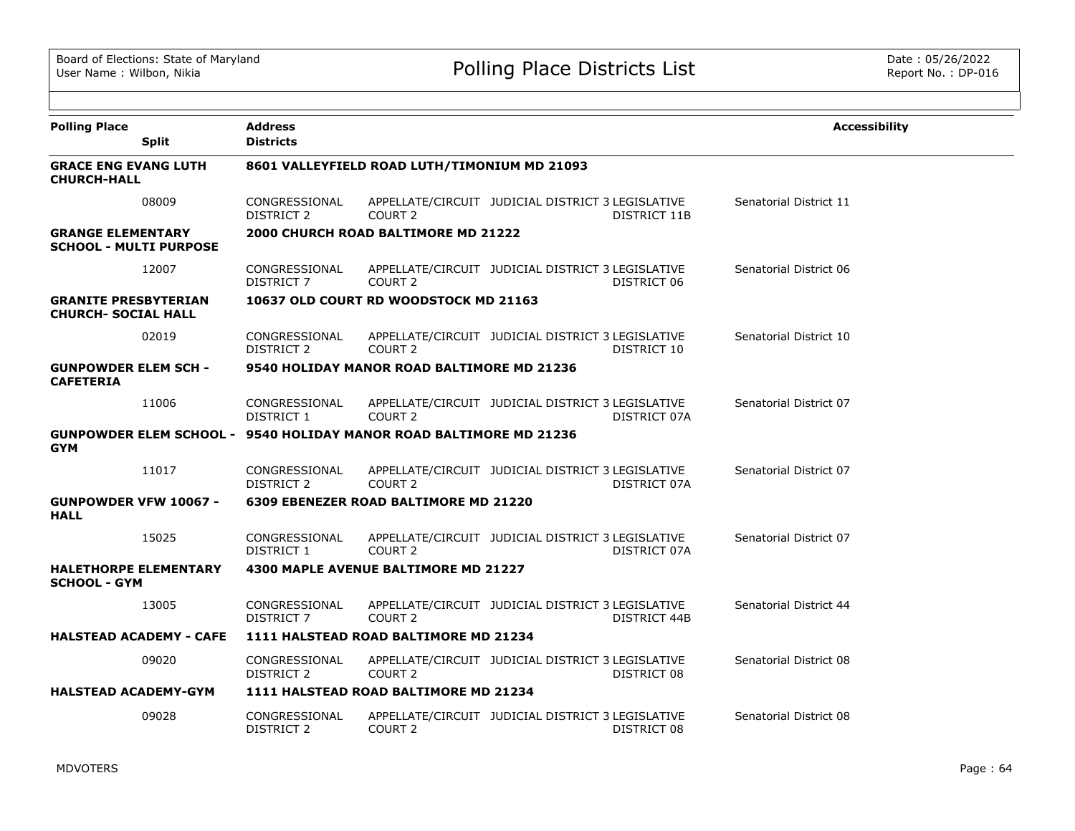| <b>Polling Place</b><br><b>Split</b>                                                    | <b>Address</b><br><b>Districts</b> |                                              |                                                   |                     | <b>Accessibility</b>   |
|-----------------------------------------------------------------------------------------|------------------------------------|----------------------------------------------|---------------------------------------------------|---------------------|------------------------|
| <b>GRACE ENG EVANG LUTH</b><br><b>CHURCH-HALL</b>                                       |                                    | 8601 VALLEYFIELD ROAD LUTH/TIMONIUM MD 21093 |                                                   |                     |                        |
| 08009                                                                                   | CONGRESSIONAL<br><b>DISTRICT 2</b> | COURT <sub>2</sub>                           | APPELLATE/CIRCUIT JUDICIAL DISTRICT 3 LEGISLATIVE | <b>DISTRICT 11B</b> | Senatorial District 11 |
| <b>GRANGE ELEMENTARY</b><br><b>SCHOOL - MULTI PURPOSE</b>                               |                                    | <b>2000 CHURCH ROAD BALTIMORE MD 21222</b>   |                                                   |                     |                        |
| 12007                                                                                   | CONGRESSIONAL<br><b>DISTRICT 7</b> | COURT <sub>2</sub>                           | APPELLATE/CIRCUIT JUDICIAL DISTRICT 3 LEGISLATIVE | DISTRICT 06         | Senatorial District 06 |
| <b>GRANITE PRESBYTERIAN</b><br><b>CHURCH- SOCIAL HALL</b>                               |                                    | 10637 OLD COURT RD WOODSTOCK MD 21163        |                                                   |                     |                        |
| 02019                                                                                   | CONGRESSIONAL<br>DISTRICT 2        | COURT 2                                      | APPELLATE/CIRCUIT JUDICIAL DISTRICT 3 LEGISLATIVE | DISTRICT 10         | Senatorial District 10 |
| <b>GUNPOWDER ELEM SCH -</b><br><b>CAFETERIA</b>                                         |                                    | 9540 HOLIDAY MANOR ROAD BALTIMORE MD 21236   |                                                   |                     |                        |
| 11006                                                                                   | CONGRESSIONAL<br>DISTRICT 1        | COURT 2                                      | APPELLATE/CIRCUIT JUDICIAL DISTRICT 3 LEGISLATIVE | DISTRICT 07A        | Senatorial District 07 |
| <b>GUNPOWDER ELEM SCHOOL - 9540 HOLIDAY MANOR ROAD BALTIMORE MD 21236</b><br><b>GYM</b> |                                    |                                              |                                                   |                     |                        |
| 11017                                                                                   | CONGRESSIONAL<br>DISTRICT 2        | COURT <sub>2</sub>                           | APPELLATE/CIRCUIT JUDICIAL DISTRICT 3 LEGISLATIVE | DISTRICT 07A        | Senatorial District 07 |
| <b>GUNPOWDER VFW 10067 -</b><br><b>HALL</b>                                             |                                    | 6309 EBENEZER ROAD BALTIMORE MD 21220        |                                                   |                     |                        |
| 15025                                                                                   | CONGRESSIONAL<br>DISTRICT 1        | COURT <sub>2</sub>                           | APPELLATE/CIRCUIT JUDICIAL DISTRICT 3 LEGISLATIVE | DISTRICT 07A        | Senatorial District 07 |
| <b>HALETHORPE ELEMENTARY</b><br><b>SCHOOL - GYM</b>                                     |                                    | 4300 MAPLE AVENUE BALTIMORE MD 21227         |                                                   |                     |                        |
| 13005                                                                                   | CONGRESSIONAL<br><b>DISTRICT 7</b> | COURT <sub>2</sub>                           | APPELLATE/CIRCUIT JUDICIAL DISTRICT 3 LEGISLATIVE | DISTRICT 44B        | Senatorial District 44 |
| <b>HALSTEAD ACADEMY - CAFE</b>                                                          |                                    | 1111 HALSTEAD ROAD BALTIMORE MD 21234        |                                                   |                     |                        |
| 09020                                                                                   | CONGRESSIONAL<br>DISTRICT 2        | COURT <sub>2</sub>                           | APPELLATE/CIRCUIT JUDICIAL DISTRICT 3 LEGISLATIVE | DISTRICT 08         | Senatorial District 08 |
| <b>HALSTEAD ACADEMY-GYM</b>                                                             |                                    | 1111 HALSTEAD ROAD BALTIMORE MD 21234        |                                                   |                     |                        |
| 09028                                                                                   | CONGRESSIONAL<br>DISTRICT 2        | COURT <sub>2</sub>                           | APPELLATE/CIRCUIT JUDICIAL DISTRICT 3 LEGISLATIVE | DISTRICT 08         | Senatorial District 08 |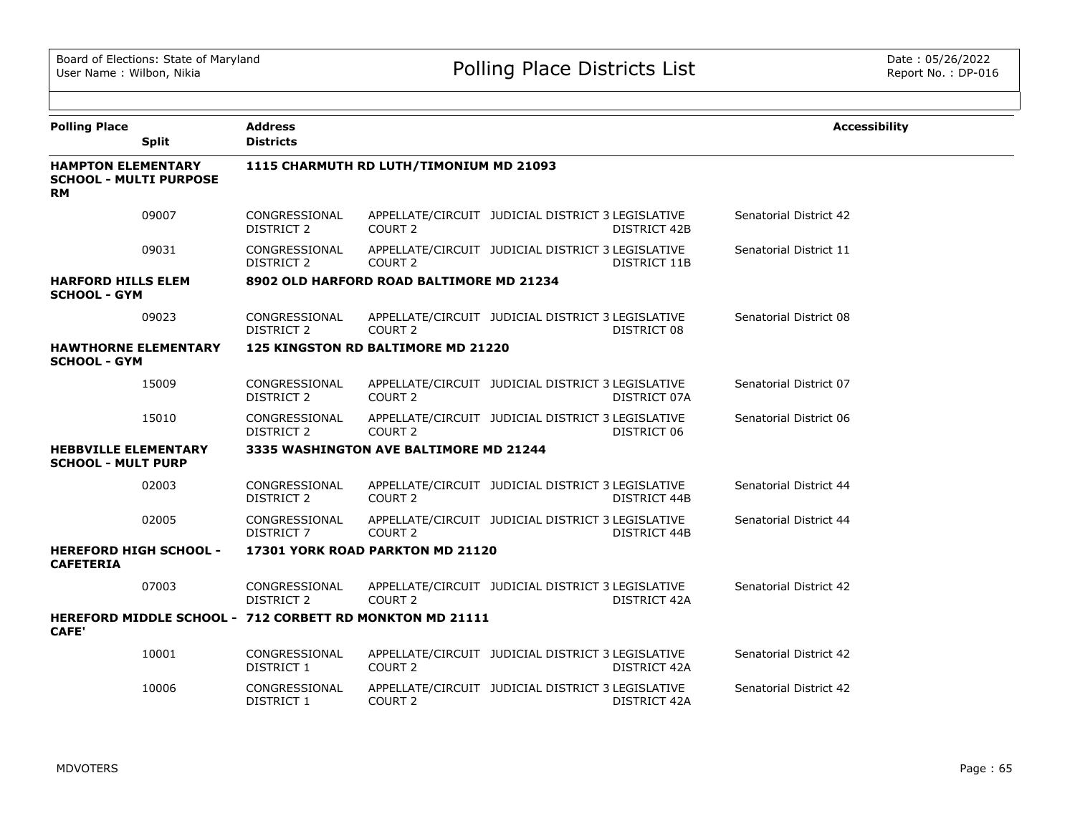| <b>Polling Place</b>                                                    | <b>Split</b> | <b>Address</b><br><b>Districts</b> |                                                                 |                                                   |                     | <b>Accessibility</b>   |
|-------------------------------------------------------------------------|--------------|------------------------------------|-----------------------------------------------------------------|---------------------------------------------------|---------------------|------------------------|
| <b>HAMPTON ELEMENTARY</b><br><b>SCHOOL - MULTI PURPOSE</b><br><b>RM</b> |              |                                    | 1115 CHARMUTH RD LUTH/TIMONIUM MD 21093                         |                                                   |                     |                        |
|                                                                         | 09007        | CONGRESSIONAL<br><b>DISTRICT 2</b> | COURT <sub>2</sub>                                              | APPELLATE/CIRCUIT JUDICIAL DISTRICT 3 LEGISLATIVE | <b>DISTRICT 42B</b> | Senatorial District 42 |
|                                                                         | 09031        | CONGRESSIONAL<br><b>DISTRICT 2</b> | COURT <sub>2</sub>                                              | APPELLATE/CIRCUIT JUDICIAL DISTRICT 3 LEGISLATIVE | DISTRICT 11B        | Senatorial District 11 |
| <b>HARFORD HILLS ELEM</b><br><b>SCHOOL - GYM</b>                        |              |                                    | 8902 OLD HARFORD ROAD BALTIMORE MD 21234                        |                                                   |                     |                        |
|                                                                         | 09023        | CONGRESSIONAL<br>DISTRICT 2        | COURT 2                                                         | APPELLATE/CIRCUIT JUDICIAL DISTRICT 3 LEGISLATIVE | DISTRICT 08         | Senatorial District 08 |
| <b>HAWTHORNE ELEMENTARY</b><br><b>SCHOOL - GYM</b>                      |              |                                    | 125 KINGSTON RD BALTIMORE MD 21220                              |                                                   |                     |                        |
|                                                                         | 15009        | CONGRESSIONAL<br><b>DISTRICT 2</b> | COURT 2                                                         | APPELLATE/CIRCUIT JUDICIAL DISTRICT 3 LEGISLATIVE | DISTRICT 07A        | Senatorial District 07 |
|                                                                         | 15010        | CONGRESSIONAL<br>DISTRICT 2        | COURT <sub>2</sub>                                              | APPELLATE/CIRCUIT JUDICIAL DISTRICT 3 LEGISLATIVE | DISTRICT 06         | Senatorial District 06 |
| <b>HEBBVILLE ELEMENTARY</b><br><b>SCHOOL - MULT PURP</b>                |              |                                    | 3335 WASHINGTON AVE BALTIMORE MD 21244                          |                                                   |                     |                        |
|                                                                         | 02003        | CONGRESSIONAL<br><b>DISTRICT 2</b> | COURT <sub>2</sub>                                              | APPELLATE/CIRCUIT JUDICIAL DISTRICT 3 LEGISLATIVE | DISTRICT 44B        | Senatorial District 44 |
|                                                                         | 02005        | CONGRESSIONAL<br><b>DISTRICT 7</b> | COURT <sub>2</sub>                                              | APPELLATE/CIRCUIT JUDICIAL DISTRICT 3 LEGISLATIVE | DISTRICT 44B        | Senatorial District 44 |
| <b>HEREFORD HIGH SCHOOL -</b><br><b>CAFETERIA</b>                       |              |                                    | 17301 YORK ROAD PARKTON MD 21120                                |                                                   |                     |                        |
|                                                                         | 07003        | CONGRESSIONAL<br><b>DISTRICT 2</b> | COURT 2                                                         | APPELLATE/CIRCUIT JUDICIAL DISTRICT 3 LEGISLATIVE | DISTRICT 42A        | Senatorial District 42 |
| <b>CAFE'</b>                                                            |              |                                    | <b>HEREFORD MIDDLE SCHOOL - 712 CORBETT RD MONKTON MD 21111</b> |                                                   |                     |                        |
|                                                                         | 10001        | CONGRESSIONAL<br>DISTRICT 1        | COURT 2                                                         | APPELLATE/CIRCUIT JUDICIAL DISTRICT 3 LEGISLATIVE | DISTRICT 42A        | Senatorial District 42 |
|                                                                         | 10006        | CONGRESSIONAL<br>DISTRICT 1        | COURT 2                                                         | APPELLATE/CIRCUIT JUDICIAL DISTRICT 3 LEGISLATIVE | DISTRICT 42A        | Senatorial District 42 |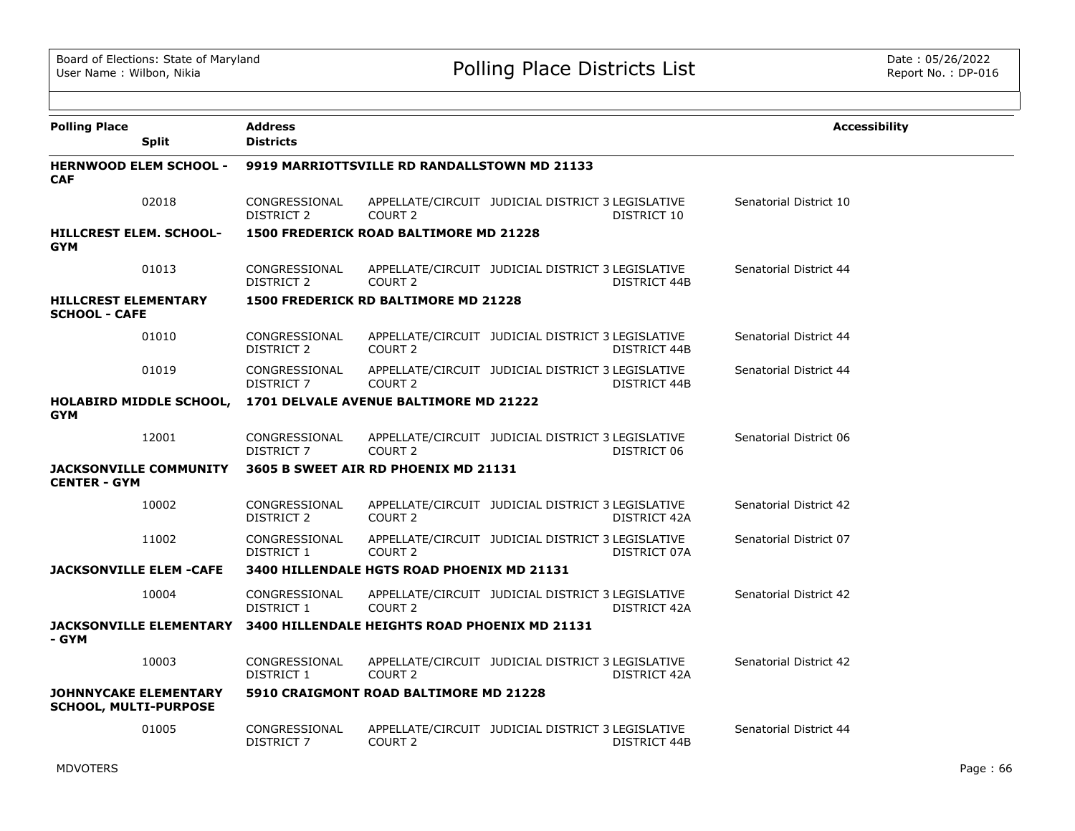| <b>Polling Place</b><br><b>Split</b>                         | <b>Address</b><br><b>Districts</b> |                                               |                                                   |              | <b>Accessibility</b>   |
|--------------------------------------------------------------|------------------------------------|-----------------------------------------------|---------------------------------------------------|--------------|------------------------|
| <b>HERNWOOD ELEM SCHOOL -</b><br><b>CAF</b>                  |                                    | 9919 MARRIOTTSVILLE RD RANDALLSTOWN MD 21133  |                                                   |              |                        |
| 02018                                                        | CONGRESSIONAL<br>DISTRICT 2        | COURT 2                                       | APPELLATE/CIRCUIT JUDICIAL DISTRICT 3 LEGISLATIVE | DISTRICT 10  | Senatorial District 10 |
| <b>HILLCREST ELEM. SCHOOL-</b><br><b>GYM</b>                 |                                    | <b>1500 FREDERICK ROAD BALTIMORE MD 21228</b> |                                                   |              |                        |
| 01013                                                        | CONGRESSIONAL<br><b>DISTRICT 2</b> | COURT <sub>2</sub>                            | APPELLATE/CIRCUIT JUDICIAL DISTRICT 3 LEGISLATIVE | DISTRICT 44B | Senatorial District 44 |
| <b>HILLCREST ELEMENTARY</b><br><b>SCHOOL - CAFE</b>          |                                    | 1500 FREDERICK RD BALTIMORE MD 21228          |                                                   |              |                        |
| 01010                                                        | CONGRESSIONAL<br>DISTRICT 2        | COURT 2                                       | APPELLATE/CIRCUIT JUDICIAL DISTRICT 3 LEGISLATIVE | DISTRICT 44B | Senatorial District 44 |
| 01019                                                        | CONGRESSIONAL<br>DISTRICT 7        | COURT <sub>2</sub>                            | APPELLATE/CIRCUIT JUDICIAL DISTRICT 3 LEGISLATIVE | DISTRICT 44B | Senatorial District 44 |
| <b>HOLABIRD MIDDLE SCHOOL,</b><br><b>GYM</b>                 |                                    | 1701 DELVALE AVENUE BALTIMORE MD 21222        |                                                   |              |                        |
| 12001                                                        | CONGRESSIONAL<br>DISTRICT 7        | COURT 2                                       | APPELLATE/CIRCUIT JUDICIAL DISTRICT 3 LEGISLATIVE | DISTRICT 06  | Senatorial District 06 |
| <b>JACKSONVILLE COMMUNITY</b><br><b>CENTER - GYM</b>         |                                    | 3605 B SWEET AIR RD PHOENIX MD 21131          |                                                   |              |                        |
| 10002                                                        | CONGRESSIONAL<br>DISTRICT 2        | COURT <sub>2</sub>                            | APPELLATE/CIRCUIT JUDICIAL DISTRICT 3 LEGISLATIVE | DISTRICT 42A | Senatorial District 42 |
| 11002                                                        | CONGRESSIONAL<br>DISTRICT 1        | COURT <sub>2</sub>                            | APPELLATE/CIRCUIT JUDICIAL DISTRICT 3 LEGISLATIVE | DISTRICT 07A | Senatorial District 07 |
| <b>JACKSONVILLE ELEM -CAFE</b>                               |                                    | 3400 HILLENDALE HGTS ROAD PHOENIX MD 21131    |                                                   |              |                        |
| 10004                                                        | CONGRESSIONAL<br>DISTRICT 1        | COURT <sub>2</sub>                            | APPELLATE/CIRCUIT JUDICIAL DISTRICT 3 LEGISLATIVE | DISTRICT 42A | Senatorial District 42 |
| <b>JACKSONVILLE ELEMENTARY</b><br>- GYM                      |                                    | 3400 HILLENDALE HEIGHTS ROAD PHOENIX MD 21131 |                                                   |              |                        |
| 10003                                                        | CONGRESSIONAL<br>DISTRICT 1        | COURT <sub>2</sub>                            | APPELLATE/CIRCUIT JUDICIAL DISTRICT 3 LEGISLATIVE | DISTRICT 42A | Senatorial District 42 |
| <b>JOHNNYCAKE ELEMENTARY</b><br><b>SCHOOL, MULTI-PURPOSE</b> |                                    | 5910 CRAIGMONT ROAD BALTIMORE MD 21228        |                                                   |              |                        |
| 01005                                                        | CONGRESSIONAL<br><b>DISTRICT 7</b> | COURT 2                                       | APPELLATE/CIRCUIT JUDICIAL DISTRICT 3 LEGISLATIVE | DISTRICT 44B | Senatorial District 44 |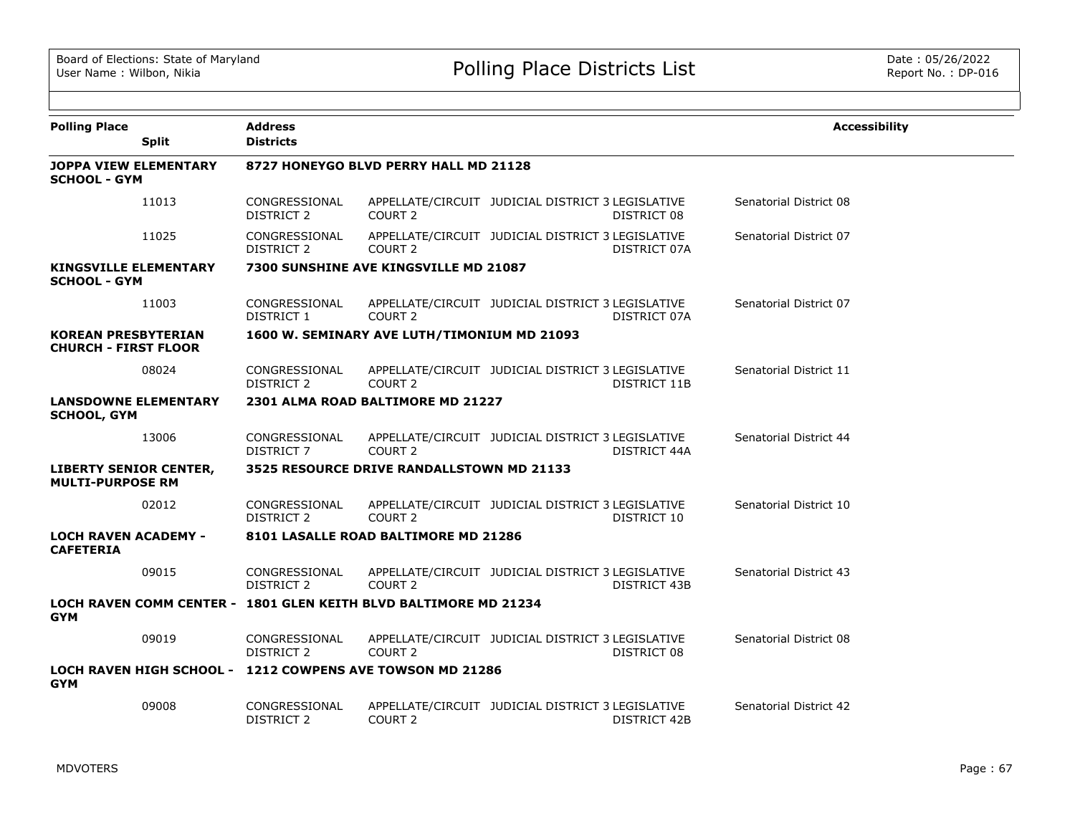| <b>Polling Place</b><br><b>Split</b>                      | <b>Address</b><br><b>Districts</b> |                                                                  |                                                   |              | <b>Accessibility</b>   |
|-----------------------------------------------------------|------------------------------------|------------------------------------------------------------------|---------------------------------------------------|--------------|------------------------|
| <b>JOPPA VIEW ELEMENTARY</b><br><b>SCHOOL - GYM</b>       |                                    | 8727 HONEYGO BLVD PERRY HALL MD 21128                            |                                                   |              |                        |
| 11013                                                     | CONGRESSIONAL<br>DISTRICT 2        | COURT <sub>2</sub>                                               | APPELLATE/CIRCUIT JUDICIAL DISTRICT 3 LEGISLATIVE | DISTRICT 08  | Senatorial District 08 |
| 11025                                                     | CONGRESSIONAL<br>DISTRICT 2        | COURT <sub>2</sub>                                               | APPELLATE/CIRCUIT JUDICIAL DISTRICT 3 LEGISLATIVE | DISTRICT 07A | Senatorial District 07 |
| <b>KINGSVILLE ELEMENTARY</b><br>SCHOOL - GYM              |                                    | 7300 SUNSHINE AVE KINGSVILLE MD 21087                            |                                                   |              |                        |
| 11003                                                     | CONGRESSIONAL<br>DISTRICT 1        | COURT <sub>2</sub>                                               | APPELLATE/CIRCUIT JUDICIAL DISTRICT 3 LEGISLATIVE | DISTRICT 07A | Senatorial District 07 |
| <b>KOREAN PRESBYTERIAN</b><br><b>CHURCH - FIRST FLOOR</b> |                                    | 1600 W. SEMINARY AVE LUTH/TIMONIUM MD 21093                      |                                                   |              |                        |
| 08024                                                     | CONGRESSIONAL<br><b>DISTRICT 2</b> | COURT <sub>2</sub>                                               | APPELLATE/CIRCUIT JUDICIAL DISTRICT 3 LEGISLATIVE | DISTRICT 11B | Senatorial District 11 |
| <b>LANSDOWNE ELEMENTARY</b><br><b>SCHOOL, GYM</b>         |                                    | 2301 ALMA ROAD BALTIMORE MD 21227                                |                                                   |              |                        |
| 13006                                                     | CONGRESSIONAL<br><b>DISTRICT 7</b> | COURT <sub>2</sub>                                               | APPELLATE/CIRCUIT JUDICIAL DISTRICT 3 LEGISLATIVE | DISTRICT 44A | Senatorial District 44 |
| <b>LIBERTY SENIOR CENTER,</b><br><b>MULTI-PURPOSE RM</b>  |                                    | 3525 RESOURCE DRIVE RANDALLSTOWN MD 21133                        |                                                   |              |                        |
| 02012                                                     | CONGRESSIONAL<br><b>DISTRICT 2</b> | COURT <sub>2</sub>                                               | APPELLATE/CIRCUIT JUDICIAL DISTRICT 3 LEGISLATIVE | DISTRICT 10  | Senatorial District 10 |
| <b>LOCH RAVEN ACADEMY -</b><br><b>CAFETERIA</b>           |                                    | 8101 LASALLE ROAD BALTIMORE MD 21286                             |                                                   |              |                        |
| 09015                                                     | CONGRESSIONAL<br>DISTRICT 2        | COURT 2                                                          | APPELLATE/CIRCUIT JUDICIAL DISTRICT 3 LEGISLATIVE | DISTRICT 43B | Senatorial District 43 |
| <b>GYM</b>                                                |                                    | LOCH RAVEN COMM CENTER - 1801 GLEN KEITH BLVD BALTIMORE MD 21234 |                                                   |              |                        |
| 09019                                                     | CONGRESSIONAL<br>DISTRICT 2        | COURT <sub>2</sub>                                               | APPELLATE/CIRCUIT JUDICIAL DISTRICT 3 LEGISLATIVE | DISTRICT 08  | Senatorial District 08 |
| <b>GYM</b>                                                |                                    | LOCH RAVEN HIGH SCHOOL - 1212 COWPENS AVE TOWSON MD 21286        |                                                   |              |                        |
| 09008                                                     | CONGRESSIONAL<br><b>DISTRICT 2</b> | COURT <sub>2</sub>                                               | APPELLATE/CIRCUIT JUDICIAL DISTRICT 3 LEGISLATIVE | DISTRICT 42B | Senatorial District 42 |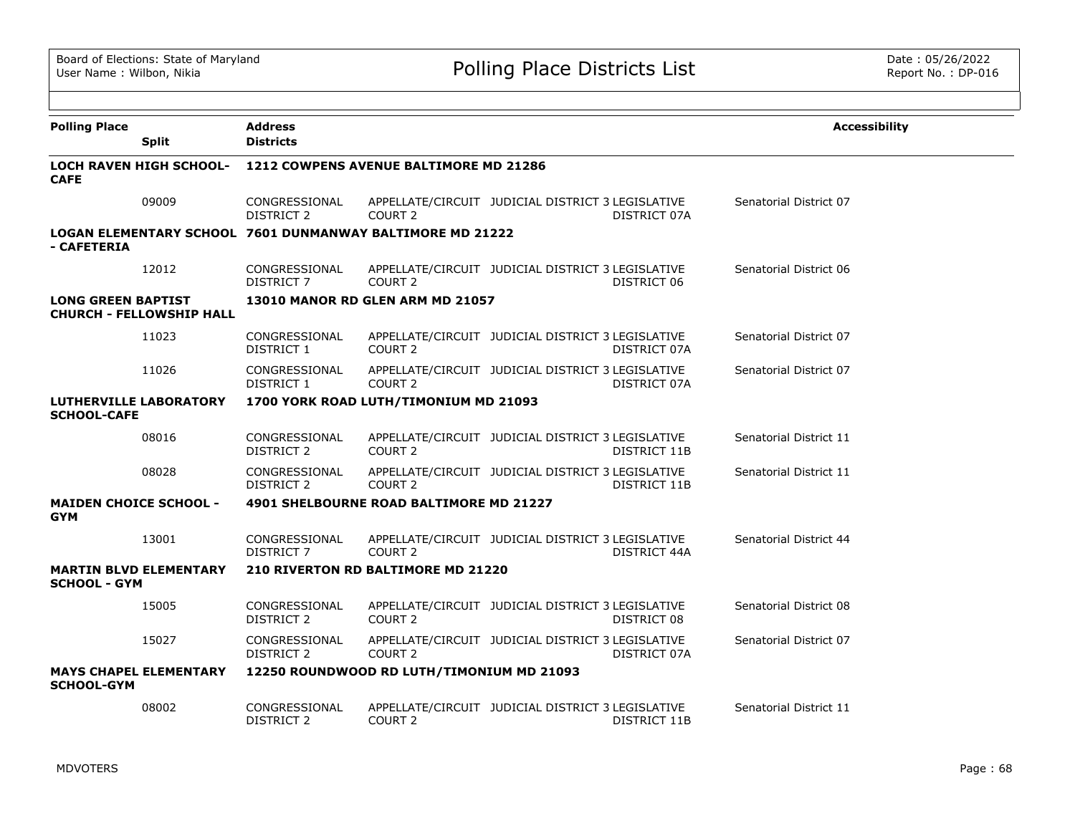| <b>Polling Place</b>                        | <b>Split</b>                    | <b>Address</b><br><b>Districts</b> |                                                           |                                                   |              | <b>Accessibility</b>   |  |
|---------------------------------------------|---------------------------------|------------------------------------|-----------------------------------------------------------|---------------------------------------------------|--------------|------------------------|--|
| <b>CAFE</b>                                 | <b>LOCH RAVEN HIGH SCHOOL-</b>  |                                    | 1212 COWPENS AVENUE BALTIMORE MD 21286                    |                                                   |              |                        |  |
|                                             | 09009                           | CONGRESSIONAL<br>DISTRICT 2        | COURT <sub>2</sub>                                        | APPELLATE/CIRCUIT JUDICIAL DISTRICT 3 LEGISLATIVE | DISTRICT 07A | Senatorial District 07 |  |
| - CAFETERIA                                 |                                 |                                    | LOGAN ELEMENTARY SCHOOL 7601 DUNMANWAY BALTIMORE MD 21222 |                                                   |              |                        |  |
|                                             | 12012                           | CONGRESSIONAL<br>DISTRICT 7        | COURT <sub>2</sub>                                        | APPELLATE/CIRCUIT JUDICIAL DISTRICT 3 LEGISLATIVE | DISTRICT 06  | Senatorial District 06 |  |
| <b>LONG GREEN BAPTIST</b>                   | <b>CHURCH - FELLOWSHIP HALL</b> |                                    | <b>13010 MANOR RD GLEN ARM MD 21057</b>                   |                                                   |              |                        |  |
|                                             | 11023                           | CONGRESSIONAL<br>DISTRICT 1        | COURT <sub>2</sub>                                        | APPELLATE/CIRCUIT JUDICIAL DISTRICT 3 LEGISLATIVE | DISTRICT 07A | Senatorial District 07 |  |
|                                             | 11026                           | CONGRESSIONAL<br>DISTRICT 1        | COURT <sub>2</sub>                                        | APPELLATE/CIRCUIT JUDICIAL DISTRICT 3 LEGISLATIVE | DISTRICT 07A | Senatorial District 07 |  |
| <b>SCHOOL-CAFE</b>                          | <b>LUTHERVILLE LABORATORY</b>   |                                    | 1700 YORK ROAD LUTH/TIMONIUM MD 21093                     |                                                   |              |                        |  |
|                                             | 08016                           | CONGRESSIONAL<br>DISTRICT 2        | COURT 2                                                   | APPELLATE/CIRCUIT JUDICIAL DISTRICT 3 LEGISLATIVE | DISTRICT 11B | Senatorial District 11 |  |
|                                             | 08028                           | CONGRESSIONAL<br><b>DISTRICT 2</b> | COURT <sub>2</sub>                                        | APPELLATE/CIRCUIT JUDICIAL DISTRICT 3 LEGISLATIVE | DISTRICT 11B | Senatorial District 11 |  |
| <b>MAIDEN CHOICE SCHOOL -</b><br><b>GYM</b> |                                 |                                    | 4901 SHELBOURNE ROAD BALTIMORE MD 21227                   |                                                   |              |                        |  |
|                                             | 13001                           | CONGRESSIONAL<br>DISTRICT 7        | COURT 2                                                   | APPELLATE/CIRCUIT JUDICIAL DISTRICT 3 LEGISLATIVE | DISTRICT 44A | Senatorial District 44 |  |
| <b>SCHOOL - GYM</b>                         | <b>MARTIN BLVD ELEMENTARY</b>   |                                    | 210 RIVERTON RD BALTIMORE MD 21220                        |                                                   |              |                        |  |
|                                             | 15005                           | CONGRESSIONAL<br>DISTRICT 2        | COURT 2                                                   | APPELLATE/CIRCUIT JUDICIAL DISTRICT 3 LEGISLATIVE | DISTRICT 08  | Senatorial District 08 |  |
|                                             | 15027                           | CONGRESSIONAL<br>DISTRICT 2        | COURT <sub>2</sub>                                        | APPELLATE/CIRCUIT JUDICIAL DISTRICT 3 LEGISLATIVE | DISTRICT 07A | Senatorial District 07 |  |
| <b>SCHOOL-GYM</b>                           | <b>MAYS CHAPEL ELEMENTARY</b>   |                                    | 12250 ROUNDWOOD RD LUTH/TIMONIUM MD 21093                 |                                                   |              |                        |  |
|                                             | 08002                           | CONGRESSIONAL<br><b>DISTRICT 2</b> | COURT <sub>2</sub>                                        | APPELLATE/CIRCUIT JUDICIAL DISTRICT 3 LEGISLATIVE | DISTRICT 11B | Senatorial District 11 |  |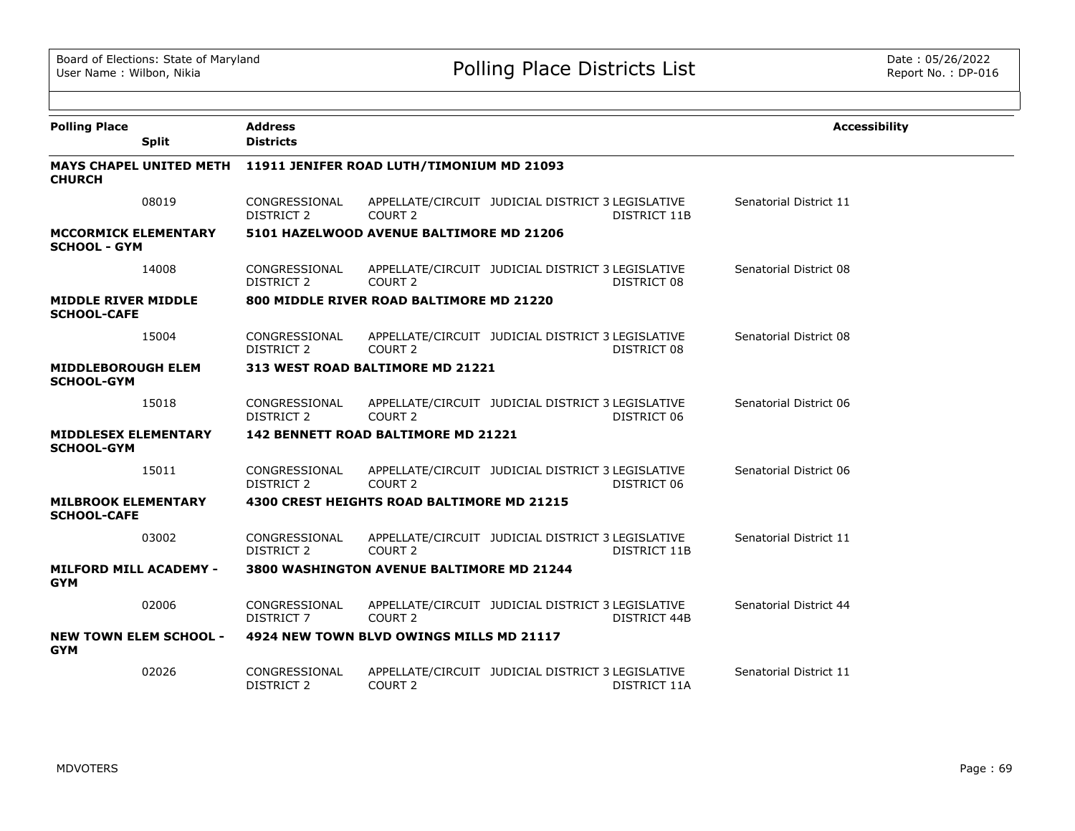| <b>Polling Place</b>                               | <b>Split</b> | <b>Address</b><br><b>Districts</b>                                |                                            |                                                   |              | <b>Accessibility</b>   |
|----------------------------------------------------|--------------|-------------------------------------------------------------------|--------------------------------------------|---------------------------------------------------|--------------|------------------------|
| <b>CHURCH</b>                                      |              | MAYS CHAPEL UNITED METH 11911 JENIFER ROAD LUTH/TIMONIUM MD 21093 |                                            |                                                   |              |                        |
|                                                    | 08019        | CONGRESSIONAL<br><b>DISTRICT 2</b>                                | COURT 2                                    | APPELLATE/CIRCUIT JUDICIAL DISTRICT 3 LEGISLATIVE | DISTRICT 11B | Senatorial District 11 |
| <b>MCCORMICK ELEMENTARY</b><br><b>SCHOOL - GYM</b> |              |                                                                   | 5101 HAZELWOOD AVENUE BALTIMORE MD 21206   |                                                   |              |                        |
|                                                    | 14008        | CONGRESSIONAL<br>DISTRICT 2                                       | COURT 2                                    | APPELLATE/CIRCUIT JUDICIAL DISTRICT 3 LEGISLATIVE | DISTRICT 08  | Senatorial District 08 |
| <b>MIDDLE RIVER MIDDLE</b><br><b>SCHOOL-CAFE</b>   |              |                                                                   | 800 MIDDLE RIVER ROAD BALTIMORE MD 21220   |                                                   |              |                        |
|                                                    | 15004        | CONGRESSIONAL<br><b>DISTRICT 2</b>                                | COURT 2                                    | APPELLATE/CIRCUIT JUDICIAL DISTRICT 3 LEGISLATIVE | DISTRICT 08  | Senatorial District 08 |
| <b>MIDDLEBOROUGH ELEM</b><br><b>SCHOOL-GYM</b>     |              |                                                                   | 313 WEST ROAD BALTIMORE MD 21221           |                                                   |              |                        |
|                                                    | 15018        | CONGRESSIONAL<br><b>DISTRICT 2</b>                                | COURT <sub>2</sub>                         | APPELLATE/CIRCUIT JUDICIAL DISTRICT 3 LEGISLATIVE | DISTRICT 06  | Senatorial District 06 |
| <b>MIDDLESEX ELEMENTARY</b><br><b>SCHOOL-GYM</b>   |              |                                                                   | 142 BENNETT ROAD BALTIMORE MD 21221        |                                                   |              |                        |
|                                                    | 15011        | CONGRESSIONAL<br>DISTRICT 2                                       | COURT 2                                    | APPELLATE/CIRCUIT JUDICIAL DISTRICT 3 LEGISLATIVE | DISTRICT 06  | Senatorial District 06 |
| <b>MILBROOK ELEMENTARY</b><br><b>SCHOOL-CAFE</b>   |              |                                                                   | 4300 CREST HEIGHTS ROAD BALTIMORE MD 21215 |                                                   |              |                        |
|                                                    | 03002        | CONGRESSIONAL<br><b>DISTRICT 2</b>                                | COURT 2                                    | APPELLATE/CIRCUIT JUDICIAL DISTRICT 3 LEGISLATIVE | DISTRICT 11B | Senatorial District 11 |
| <b>MILFORD MILL ACADEMY -</b><br><b>GYM</b>        |              |                                                                   | 3800 WASHINGTON AVENUE BALTIMORE MD 21244  |                                                   |              |                        |
|                                                    | 02006        | CONGRESSIONAL<br>DISTRICT 7                                       | COURT <sub>2</sub>                         | APPELLATE/CIRCUIT JUDICIAL DISTRICT 3 LEGISLATIVE | DISTRICT 44B | Senatorial District 44 |
| <b>NEW TOWN ELEM SCHOOL -</b><br><b>GYM</b>        |              |                                                                   | 4924 NEW TOWN BLVD OWINGS MILLS MD 21117   |                                                   |              |                        |
|                                                    | 02026        | CONGRESSIONAL<br><b>DISTRICT 2</b>                                | COURT 2                                    | APPELLATE/CIRCUIT JUDICIAL DISTRICT 3 LEGISLATIVE | DISTRICT 11A | Senatorial District 11 |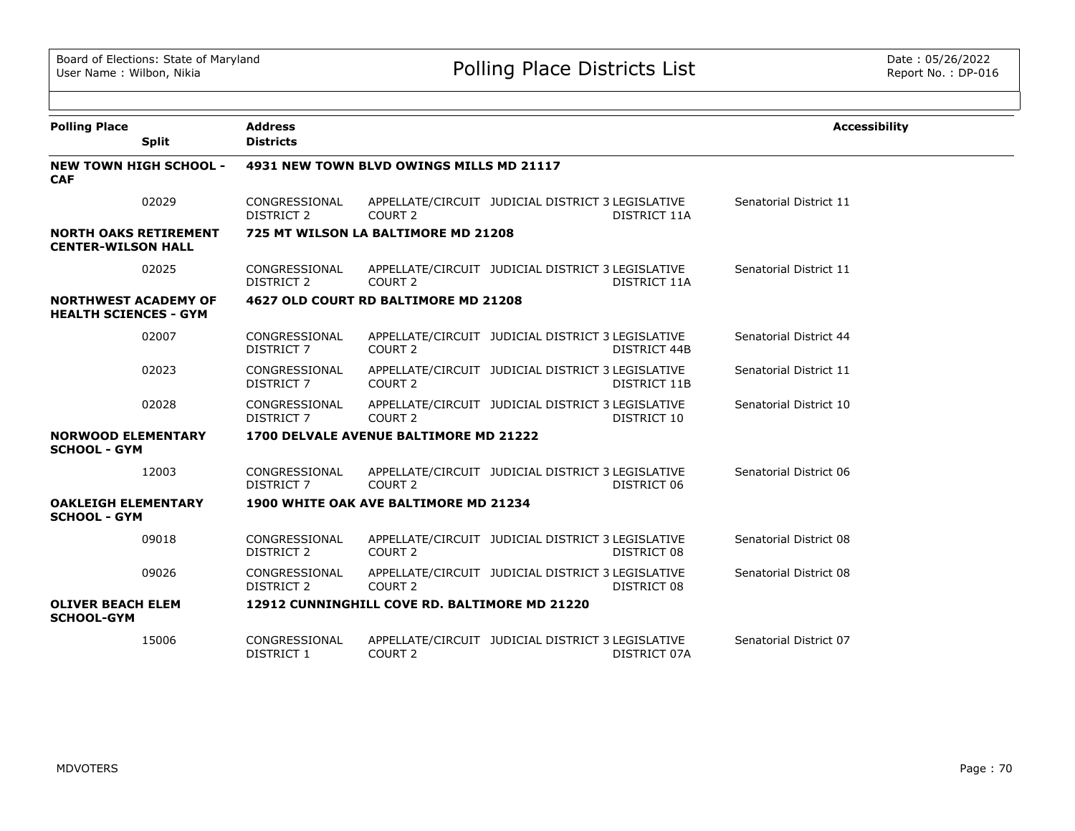| <b>Polling Place</b>                                        | <b>Address</b>                     |                                               |                                                   |                     | <b>Accessibility</b>   |
|-------------------------------------------------------------|------------------------------------|-----------------------------------------------|---------------------------------------------------|---------------------|------------------------|
| <b>Split</b>                                                | <b>Districts</b>                   |                                               |                                                   |                     |                        |
| <b>NEW TOWN HIGH SCHOOL -</b><br><b>CAF</b>                 |                                    | 4931 NEW TOWN BLVD OWINGS MILLS MD 21117      |                                                   |                     |                        |
| 02029                                                       | CONGRESSIONAL<br>DISTRICT 2        | COURT <sub>2</sub>                            | APPELLATE/CIRCUIT JUDICIAL DISTRICT 3 LEGISLATIVE | DISTRICT 11A        | Senatorial District 11 |
| <b>NORTH OAKS RETIREMENT</b><br><b>CENTER-WILSON HALL</b>   |                                    | 725 MT WILSON LA BALTIMORE MD 21208           |                                                   |                     |                        |
| 02025                                                       | CONGRESSIONAL<br>DISTRICT 2        | COURT <sub>2</sub>                            | APPELLATE/CIRCUIT JUDICIAL DISTRICT 3 LEGISLATIVE | DISTRICT 11A        | Senatorial District 11 |
| <b>NORTHWEST ACADEMY OF</b><br><b>HEALTH SCIENCES - GYM</b> |                                    | 4627 OLD COURT RD BALTIMORE MD 21208          |                                                   |                     |                        |
| 02007                                                       | CONGRESSIONAL<br><b>DISTRICT 7</b> | COURT <sub>2</sub>                            | APPELLATE/CIRCUIT JUDICIAL DISTRICT 3 LEGISLATIVE | DISTRICT 44B        | Senatorial District 44 |
| 02023                                                       | CONGRESSIONAL<br>DISTRICT 7        | COURT <sub>2</sub>                            | APPELLATE/CIRCUIT JUDICIAL DISTRICT 3 LEGISLATIVE | <b>DISTRICT 11B</b> | Senatorial District 11 |
| 02028                                                       | CONGRESSIONAL<br>DISTRICT 7        | COURT <sub>2</sub>                            | APPELLATE/CIRCUIT JUDICIAL DISTRICT 3 LEGISLATIVE | DISTRICT 10         | Senatorial District 10 |
| <b>NORWOOD ELEMENTARY</b><br><b>SCHOOL - GYM</b>            |                                    | 1700 DELVALE AVENUE BALTIMORE MD 21222        |                                                   |                     |                        |
| 12003                                                       | CONGRESSIONAL<br><b>DISTRICT 7</b> | COURT <sub>2</sub>                            | APPELLATE/CIRCUIT JUDICIAL DISTRICT 3 LEGISLATIVE | DISTRICT 06         | Senatorial District 06 |
| <b>OAKLEIGH ELEMENTARY</b><br><b>SCHOOL - GYM</b>           |                                    | 1900 WHITE OAK AVE BALTIMORE MD 21234         |                                                   |                     |                        |
| 09018                                                       | CONGRESSIONAL<br>DISTRICT 2        | COURT <sub>2</sub>                            | APPELLATE/CIRCUIT JUDICIAL DISTRICT 3 LEGISLATIVE | DISTRICT 08         | Senatorial District 08 |
| 09026                                                       | CONGRESSIONAL<br><b>DISTRICT 2</b> | COURT <sub>2</sub>                            | APPELLATE/CIRCUIT JUDICIAL DISTRICT 3 LEGISLATIVE | DISTRICT 08         | Senatorial District 08 |
| <b>OLIVER BEACH ELEM</b><br><b>SCHOOL-GYM</b>               |                                    | 12912 CUNNINGHILL COVE RD. BALTIMORE MD 21220 |                                                   |                     |                        |
| 15006                                                       | CONGRESSIONAL<br><b>DISTRICT 1</b> | COURT <sub>2</sub>                            | APPELLATE/CIRCUIT JUDICIAL DISTRICT 3 LEGISLATIVE | DISTRICT 07A        | Senatorial District 07 |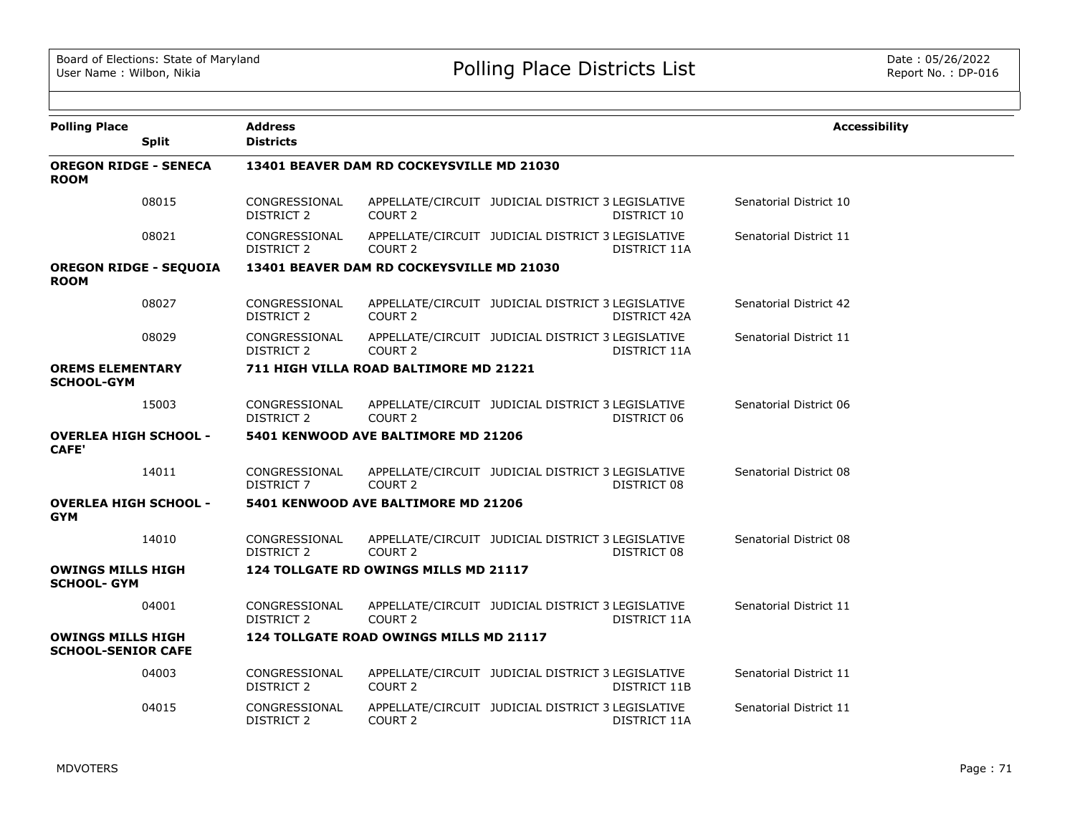| <b>Polling Place</b>                                  | <b>Split</b> | <b>Address</b><br><b>Districts</b> |                                           |                                                   |              | <b>Accessibility</b>   |
|-------------------------------------------------------|--------------|------------------------------------|-------------------------------------------|---------------------------------------------------|--------------|------------------------|
| <b>OREGON RIDGE - SENECA</b><br><b>ROOM</b>           |              |                                    | 13401 BEAVER DAM RD COCKEYSVILLE MD 21030 |                                                   |              |                        |
|                                                       | 08015        | CONGRESSIONAL<br>DISTRICT 2        | COURT <sub>2</sub>                        | APPELLATE/CIRCUIT JUDICIAL DISTRICT 3 LEGISLATIVE | DISTRICT 10  | Senatorial District 10 |
|                                                       | 08021        | CONGRESSIONAL<br>DISTRICT 2        | COURT <sub>2</sub>                        | APPELLATE/CIRCUIT JUDICIAL DISTRICT 3 LEGISLATIVE | DISTRICT 11A | Senatorial District 11 |
| <b>OREGON RIDGE - SEQUOIA</b><br><b>ROOM</b>          |              |                                    | 13401 BEAVER DAM RD COCKEYSVILLE MD 21030 |                                                   |              |                        |
|                                                       | 08027        | CONGRESSIONAL<br>DISTRICT 2        | COURT 2                                   | APPELLATE/CIRCUIT JUDICIAL DISTRICT 3 LEGISLATIVE | DISTRICT 42A | Senatorial District 42 |
|                                                       | 08029        | CONGRESSIONAL<br>DISTRICT 2        | COURT <sub>2</sub>                        | APPELLATE/CIRCUIT JUDICIAL DISTRICT 3 LEGISLATIVE | DISTRICT 11A | Senatorial District 11 |
| <b>OREMS ELEMENTARY</b><br><b>SCHOOL-GYM</b>          |              |                                    | 711 HIGH VILLA ROAD BALTIMORE MD 21221    |                                                   |              |                        |
|                                                       | 15003        | CONGRESSIONAL<br><b>DISTRICT 2</b> | COURT <sub>2</sub>                        | APPELLATE/CIRCUIT JUDICIAL DISTRICT 3 LEGISLATIVE | DISTRICT 06  | Senatorial District 06 |
| <b>OVERLEA HIGH SCHOOL -</b><br>CAFE'                 |              |                                    | 5401 KENWOOD AVE BALTIMORE MD 21206       |                                                   |              |                        |
|                                                       | 14011        | CONGRESSIONAL<br>DISTRICT 7        | COURT <sub>2</sub>                        | APPELLATE/CIRCUIT JUDICIAL DISTRICT 3 LEGISLATIVE | DISTRICT 08  | Senatorial District 08 |
| <b>OVERLEA HIGH SCHOOL -</b><br><b>GYM</b>            |              |                                    | 5401 KENWOOD AVE BALTIMORE MD 21206       |                                                   |              |                        |
|                                                       | 14010        | CONGRESSIONAL<br>DISTRICT 2        | COURT 2                                   | APPELLATE/CIRCUIT JUDICIAL DISTRICT 3 LEGISLATIVE | DISTRICT 08  | Senatorial District 08 |
| <b>OWINGS MILLS HIGH</b><br><b>SCHOOL- GYM</b>        |              |                                    | 124 TOLLGATE RD OWINGS MILLS MD 21117     |                                                   |              |                        |
|                                                       | 04001        | CONGRESSIONAL<br>DISTRICT 2        | COURT <sub>2</sub>                        | APPELLATE/CIRCUIT JUDICIAL DISTRICT 3 LEGISLATIVE | DISTRICT 11A | Senatorial District 11 |
| <b>OWINGS MILLS HIGH</b><br><b>SCHOOL-SENIOR CAFE</b> |              |                                    | 124 TOLLGATE ROAD OWINGS MILLS MD 21117   |                                                   |              |                        |
|                                                       | 04003        | CONGRESSIONAL<br>DISTRICT 2        | COURT 2                                   | APPELLATE/CIRCUIT JUDICIAL DISTRICT 3 LEGISLATIVE | DISTRICT 11B | Senatorial District 11 |
|                                                       | 04015        | CONGRESSIONAL<br>DISTRICT 2        | COURT <sub>2</sub>                        | APPELLATE/CIRCUIT JUDICIAL DISTRICT 3 LEGISLATIVE | DISTRICT 11A | Senatorial District 11 |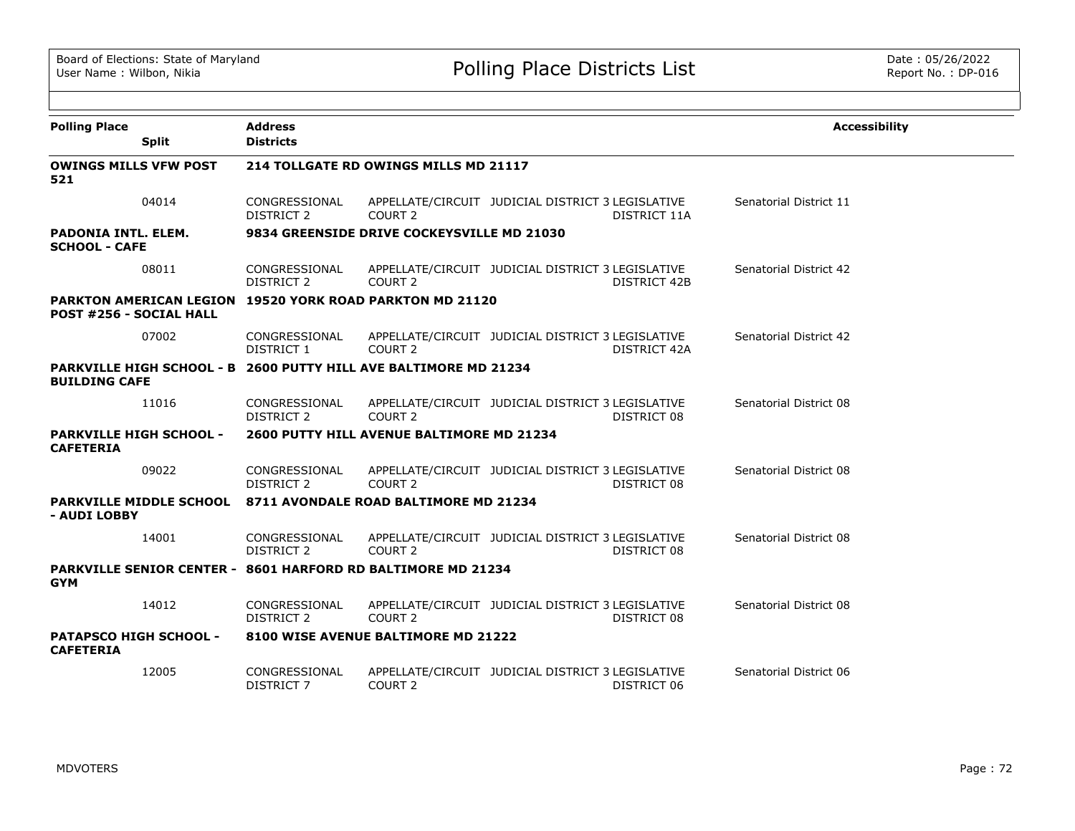| <b>Polling Place</b>                                                                       | <b>Address</b>                     |                                            |                                                   |                     | <b>Accessibility</b>   |
|--------------------------------------------------------------------------------------------|------------------------------------|--------------------------------------------|---------------------------------------------------|---------------------|------------------------|
| <b>Split</b>                                                                               | <b>Districts</b>                   |                                            |                                                   |                     |                        |
| <b>OWINGS MILLS VFW POST</b><br>521                                                        |                                    | 214 TOLLGATE RD OWINGS MILLS MD 21117      |                                                   |                     |                        |
| 04014                                                                                      | CONGRESSIONAL<br><b>DISTRICT 2</b> | COURT <sub>2</sub>                         | APPELLATE/CIRCUIT JUDICIAL DISTRICT 3 LEGISLATIVE | DISTRICT 11A        | Senatorial District 11 |
| <b>PADONIA INTL. ELEM.</b><br><b>SCHOOL - CAFE</b>                                         |                                    | 9834 GREENSIDE DRIVE COCKEYSVILLE MD 21030 |                                                   |                     |                        |
| 08011                                                                                      | CONGRESSIONAL<br><b>DISTRICT 2</b> | COURT <sub>2</sub>                         | APPELLATE/CIRCUIT JUDICIAL DISTRICT 3 LEGISLATIVE | <b>DISTRICT 42B</b> | Senatorial District 42 |
| PARKTON AMERICAN LEGION 19520 YORK ROAD PARKTON MD 21120<br><b>POST #256 - SOCIAL HALL</b> |                                    |                                            |                                                   |                     |                        |
| 07002                                                                                      | CONGRESSIONAL<br>DISTRICT 1        | COURT <sub>2</sub>                         | APPELLATE/CIRCUIT JUDICIAL DISTRICT 3 LEGISLATIVE | <b>DISTRICT 42A</b> | Senatorial District 42 |
| PARKVILLE HIGH SCHOOL - B 2600 PUTTY HILL AVE BALTIMORE MD 21234<br><b>BUILDING CAFE</b>   |                                    |                                            |                                                   |                     |                        |
| 11016                                                                                      | CONGRESSIONAL<br><b>DISTRICT 2</b> | COURT <sub>2</sub>                         | APPELLATE/CIRCUIT JUDICIAL DISTRICT 3 LEGISLATIVE | DISTRICT 08         | Senatorial District 08 |
| <b>PARKVILLE HIGH SCHOOL -</b><br><b>CAFETERIA</b>                                         |                                    | 2600 PUTTY HILL AVENUE BALTIMORE MD 21234  |                                                   |                     |                        |
| 09022                                                                                      | CONGRESSIONAL<br>DISTRICT 2        | COURT <sub>2</sub>                         | APPELLATE/CIRCUIT JUDICIAL DISTRICT 3 LEGISLATIVE | DISTRICT 08         | Senatorial District 08 |
| <b>PARKVILLE MIDDLE SCHOOL</b><br>- AUDI LOBBY                                             |                                    | 8711 AVONDALE ROAD BALTIMORE MD 21234      |                                                   |                     |                        |
| 14001                                                                                      | CONGRESSIONAL<br>DISTRICT 2        | COURT <sub>2</sub>                         | APPELLATE/CIRCUIT JUDICIAL DISTRICT 3 LEGISLATIVE | DISTRICT 08         | Senatorial District 08 |
| <b>PARKVILLE SENIOR CENTER - 8601 HARFORD RD BALTIMORE MD 21234</b><br><b>GYM</b>          |                                    |                                            |                                                   |                     |                        |
| 14012                                                                                      | CONGRESSIONAL<br>DISTRICT 2        | COURT <sub>2</sub>                         | APPELLATE/CIRCUIT JUDICIAL DISTRICT 3 LEGISLATIVE | DISTRICT 08         | Senatorial District 08 |
| <b>PATAPSCO HIGH SCHOOL -</b><br><b>CAFETERIA</b>                                          |                                    | 8100 WISE AVENUE BALTIMORE MD 21222        |                                                   |                     |                        |
| 12005                                                                                      | CONGRESSIONAL<br><b>DISTRICT 7</b> | COURT <sub>2</sub>                         | APPELLATE/CIRCUIT JUDICIAL DISTRICT 3 LEGISLATIVE | DISTRICT 06         | Senatorial District 06 |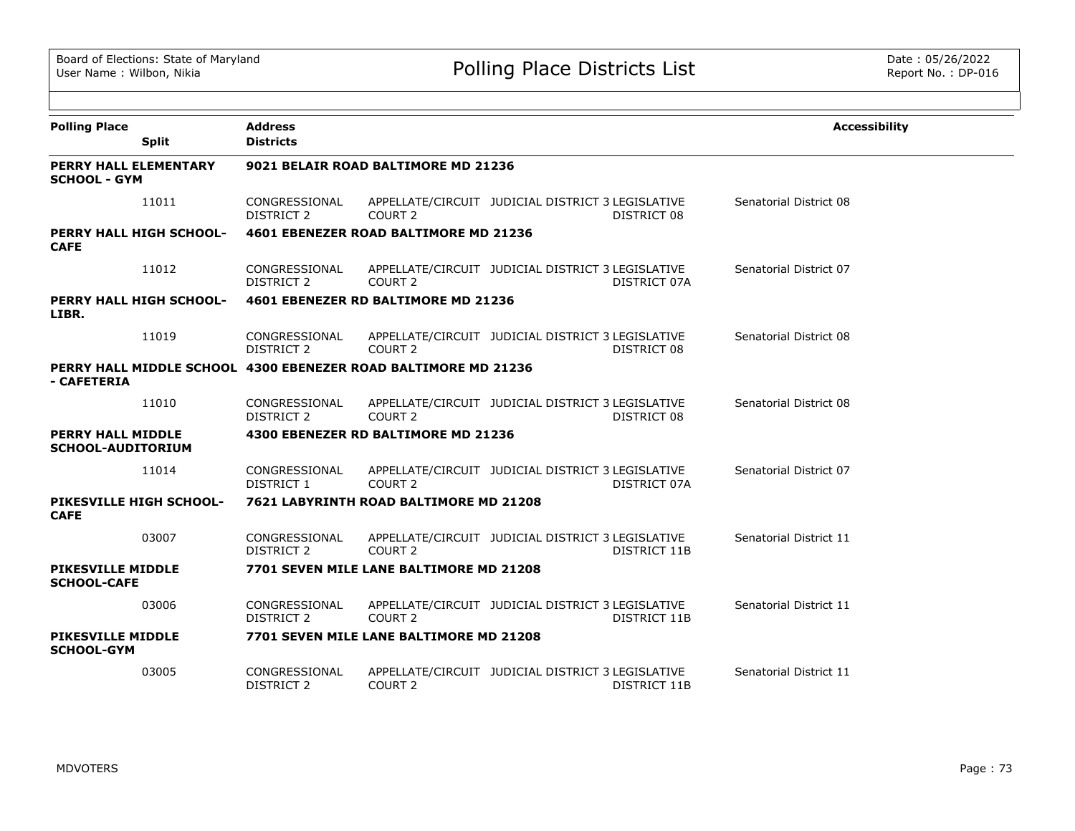| <b>Polling Place</b>                                                          | <b>Address</b>                     |                                         |                                                   |              | <b>Accessibility</b>   |
|-------------------------------------------------------------------------------|------------------------------------|-----------------------------------------|---------------------------------------------------|--------------|------------------------|
| <b>Split</b>                                                                  | <b>Districts</b>                   |                                         |                                                   |              |                        |
| <b>PERRY HALL ELEMENTARY</b><br><b>SCHOOL - GYM</b>                           |                                    | 9021 BELAIR ROAD BALTIMORE MD 21236     |                                                   |              |                        |
| 11011                                                                         | CONGRESSIONAL<br>DISTRICT 2        | COURT 2                                 | APPELLATE/CIRCUIT JUDICIAL DISTRICT 3 LEGISLATIVE | DISTRICT 08  | Senatorial District 08 |
| <b>PERRY HALL HIGH SCHOOL-</b><br><b>CAFE</b>                                 |                                    | 4601 EBENEZER ROAD BALTIMORE MD 21236   |                                                   |              |                        |
| 11012                                                                         | CONGRESSIONAL<br>DISTRICT 2        | COURT 2                                 | APPELLATE/CIRCUIT JUDICIAL DISTRICT 3 LEGISLATIVE | DISTRICT 07A | Senatorial District 07 |
| <b>PERRY HALL HIGH SCHOOL-</b><br>LIBR.                                       |                                    | 4601 EBENEZER RD BALTIMORE MD 21236     |                                                   |              |                        |
| 11019                                                                         | CONGRESSIONAL<br><b>DISTRICT 2</b> | COURT <sub>2</sub>                      | APPELLATE/CIRCUIT JUDICIAL DISTRICT 3 LEGISLATIVE | DISTRICT 08  | Senatorial District 08 |
| PERRY HALL MIDDLE SCHOOL 4300 EBENEZER ROAD BALTIMORE MD 21236<br>- CAFETERIA |                                    |                                         |                                                   |              |                        |
| 11010                                                                         | CONGRESSIONAL<br>DISTRICT 2        | COURT <sub>2</sub>                      | APPELLATE/CIRCUIT JUDICIAL DISTRICT 3 LEGISLATIVE | DISTRICT 08  | Senatorial District 08 |
| <b>PERRY HALL MIDDLE</b><br><b>SCHOOL-AUDITORIUM</b>                          |                                    | 4300 EBENEZER RD BALTIMORE MD 21236     |                                                   |              |                        |
| 11014                                                                         | CONGRESSIONAL<br>DISTRICT 1        | COURT 2                                 | APPELLATE/CIRCUIT JUDICIAL DISTRICT 3 LEGISLATIVE | DISTRICT 07A | Senatorial District 07 |
| PIKESVILLE HIGH SCHOOL-<br><b>CAFE</b>                                        |                                    | 7621 LABYRINTH ROAD BALTIMORE MD 21208  |                                                   |              |                        |
| 03007                                                                         | CONGRESSIONAL<br>DISTRICT 2        | COURT <sub>2</sub>                      | APPELLATE/CIRCUIT JUDICIAL DISTRICT 3 LEGISLATIVE | DISTRICT 11B | Senatorial District 11 |
| <b>PIKESVILLE MIDDLE</b><br><b>SCHOOL-CAFE</b>                                |                                    | 7701 SEVEN MILE LANE BALTIMORE MD 21208 |                                                   |              |                        |
| 03006                                                                         | CONGRESSIONAL<br><b>DISTRICT 2</b> | COURT <sub>2</sub>                      | APPELLATE/CIRCUIT JUDICIAL DISTRICT 3 LEGISLATIVE | DISTRICT 11B | Senatorial District 11 |
| <b>PIKESVILLE MIDDLE</b><br><b>SCHOOL-GYM</b>                                 |                                    | 7701 SEVEN MILE LANE BALTIMORE MD 21208 |                                                   |              |                        |
| 03005                                                                         | CONGRESSIONAL<br>DISTRICT 2        | COURT 2                                 | APPELLATE/CIRCUIT JUDICIAL DISTRICT 3 LEGISLATIVE | DISTRICT 11B | Senatorial District 11 |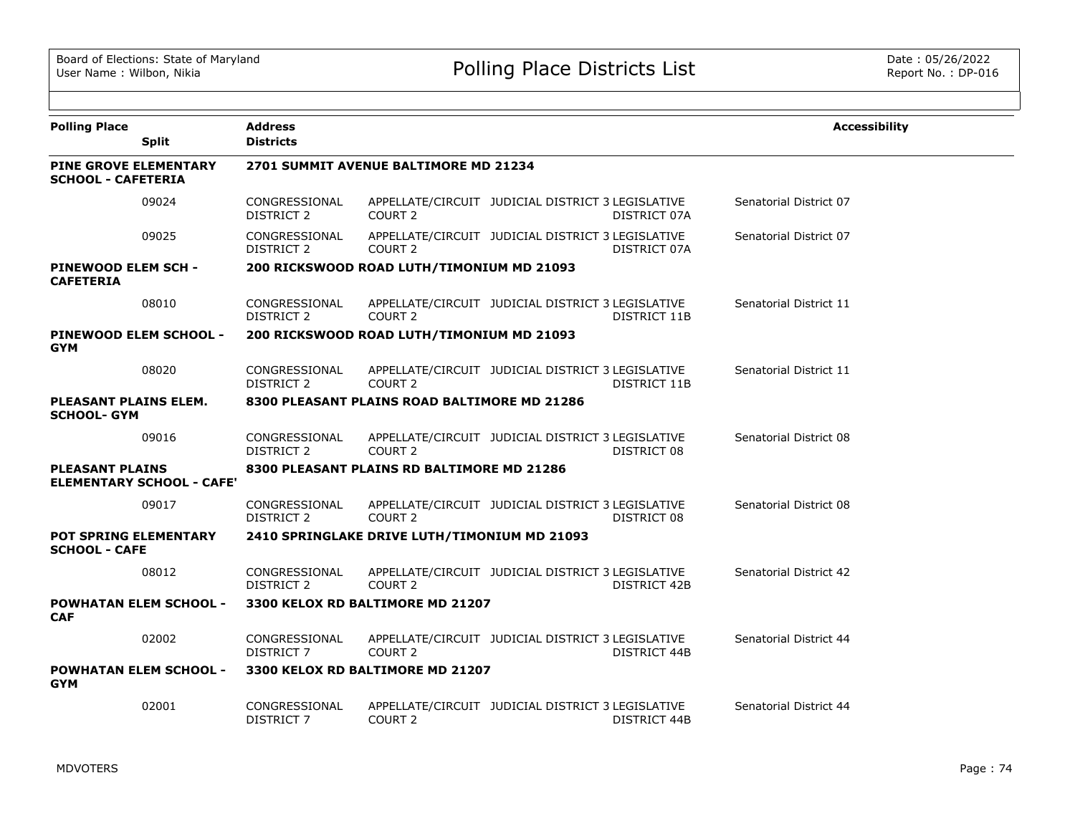| <b>Polling Place</b>                                      | <b>Split</b>                     | <b>Address</b><br><b>Districts</b> |                                              |                                                   |              | <b>Accessibility</b>   |
|-----------------------------------------------------------|----------------------------------|------------------------------------|----------------------------------------------|---------------------------------------------------|--------------|------------------------|
| <b>PINE GROVE ELEMENTARY</b><br><b>SCHOOL - CAFETERIA</b> |                                  |                                    | 2701 SUMMIT AVENUE BALTIMORE MD 21234        |                                                   |              |                        |
|                                                           | 09024                            | CONGRESSIONAL<br><b>DISTRICT 2</b> | COURT <sub>2</sub>                           | APPELLATE/CIRCUIT JUDICIAL DISTRICT 3 LEGISLATIVE | DISTRICT 07A | Senatorial District 07 |
|                                                           | 09025                            | CONGRESSIONAL<br>DISTRICT 2        | <b>COURT 2</b>                               | APPELLATE/CIRCUIT JUDICIAL DISTRICT 3 LEGISLATIVE | DISTRICT 07A | Senatorial District 07 |
| PINEWOOD ELEM SCH -<br><b>CAFETERIA</b>                   |                                  |                                    | 200 RICKSWOOD ROAD LUTH/TIMONIUM MD 21093    |                                                   |              |                        |
|                                                           | 08010                            | CONGRESSIONAL<br><b>DISTRICT 2</b> | COURT <sub>2</sub>                           | APPELLATE/CIRCUIT JUDICIAL DISTRICT 3 LEGISLATIVE | DISTRICT 11B | Senatorial District 11 |
| <b>GYM</b>                                                | PINEWOOD ELEM SCHOOL -           |                                    | 200 RICKSWOOD ROAD LUTH/TIMONIUM MD 21093    |                                                   |              |                        |
|                                                           | 08020                            | CONGRESSIONAL<br><b>DISTRICT 2</b> | COURT <sub>2</sub>                           | APPELLATE/CIRCUIT JUDICIAL DISTRICT 3 LEGISLATIVE | DISTRICT 11B | Senatorial District 11 |
| <b>PLEASANT PLAINS ELEM.</b><br><b>SCHOOL- GYM</b>        |                                  |                                    | 8300 PLEASANT PLAINS ROAD BALTIMORE MD 21286 |                                                   |              |                        |
|                                                           | 09016                            | CONGRESSIONAL<br>DISTRICT 2        | COURT <sub>2</sub>                           | APPELLATE/CIRCUIT JUDICIAL DISTRICT 3 LEGISLATIVE | DISTRICT 08  | Senatorial District 08 |
| <b>PLEASANT PLAINS</b>                                    | <b>ELEMENTARY SCHOOL - CAFE'</b> |                                    | 8300 PLEASANT PLAINS RD BALTIMORE MD 21286   |                                                   |              |                        |
|                                                           | 09017                            | CONGRESSIONAL<br><b>DISTRICT 2</b> | COURT <sub>2</sub>                           | APPELLATE/CIRCUIT JUDICIAL DISTRICT 3 LEGISLATIVE | DISTRICT 08  | Senatorial District 08 |
| <b>POT SPRING ELEMENTARY</b><br><b>SCHOOL - CAFE</b>      |                                  |                                    | 2410 SPRINGLAKE DRIVE LUTH/TIMONIUM MD 21093 |                                                   |              |                        |
|                                                           | 08012                            | CONGRESSIONAL<br><b>DISTRICT 2</b> | COURT <sub>2</sub>                           | APPELLATE/CIRCUIT JUDICIAL DISTRICT 3 LEGISLATIVE | DISTRICT 42B | Senatorial District 42 |
| <b>CAF</b>                                                | <b>POWHATAN ELEM SCHOOL -</b>    |                                    | 3300 KELOX RD BALTIMORE MD 21207             |                                                   |              |                        |
|                                                           | 02002                            | CONGRESSIONAL<br>DISTRICT 7        | COURT 2                                      | APPELLATE/CIRCUIT JUDICIAL DISTRICT 3 LEGISLATIVE | DISTRICT 44B | Senatorial District 44 |
| <b>GYM</b>                                                | <b>POWHATAN ELEM SCHOOL -</b>    |                                    | 3300 KELOX RD BALTIMORE MD 21207             |                                                   |              |                        |
|                                                           | 02001                            | CONGRESSIONAL<br><b>DISTRICT 7</b> | COURT <sub>2</sub>                           | APPELLATE/CIRCUIT JUDICIAL DISTRICT 3 LEGISLATIVE | DISTRICT 44B | Senatorial District 44 |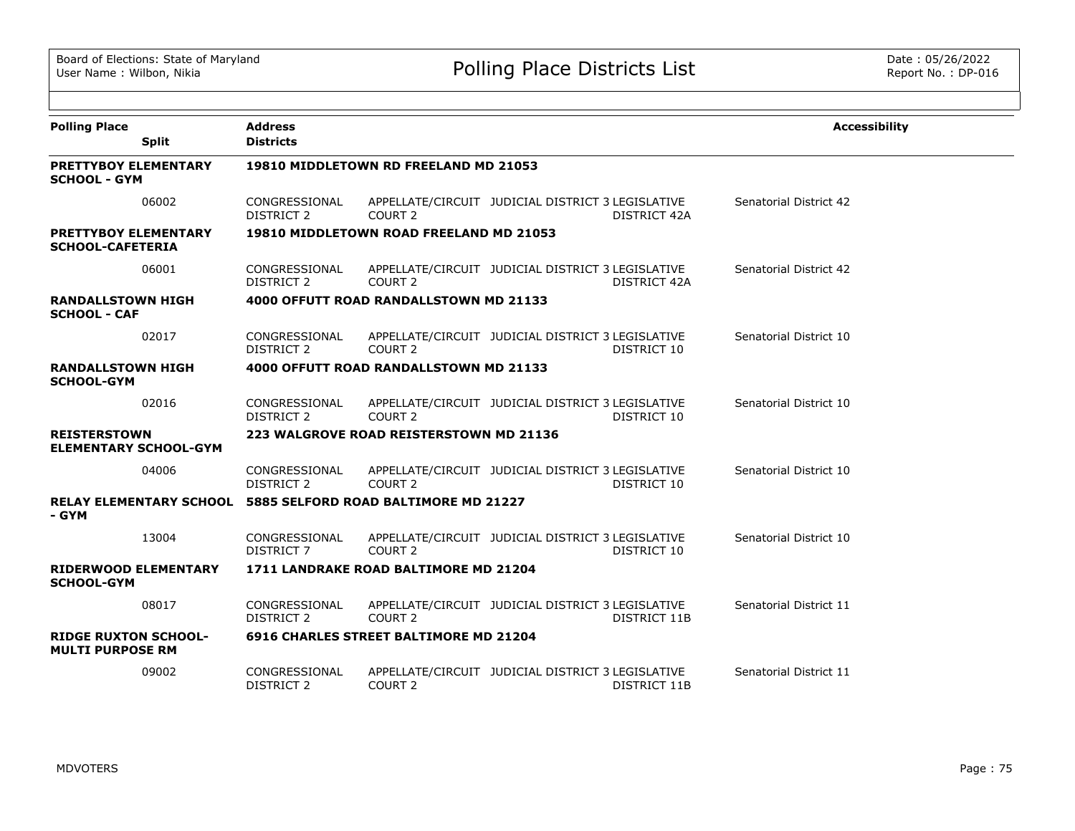|                                                                       | <b>Address</b>                     |                                         |                                                   |              |                        |
|-----------------------------------------------------------------------|------------------------------------|-----------------------------------------|---------------------------------------------------|--------------|------------------------|
| <b>Polling Place</b><br><b>Split</b>                                  | <b>Districts</b>                   |                                         |                                                   |              | <b>Accessibility</b>   |
| <b>PRETTYBOY ELEMENTARY</b><br><b>SCHOOL - GYM</b>                    |                                    | 19810 MIDDLETOWN RD FREELAND MD 21053   |                                                   |              |                        |
| 06002                                                                 | CONGRESSIONAL<br>DISTRICT 2        | COURT 2                                 | APPELLATE/CIRCUIT JUDICIAL DISTRICT 3 LEGISLATIVE | DISTRICT 42A | Senatorial District 42 |
| <b>PRETTYBOY ELEMENTARY</b><br><b>SCHOOL-CAFETERIA</b>                |                                    | 19810 MIDDLETOWN ROAD FREELAND MD 21053 |                                                   |              |                        |
| 06001                                                                 | CONGRESSIONAL<br><b>DISTRICT 2</b> | COURT 2                                 | APPELLATE/CIRCUIT JUDICIAL DISTRICT 3 LEGISLATIVE | DISTRICT 42A | Senatorial District 42 |
| <b>RANDALLSTOWN HIGH</b><br><b>SCHOOL - CAF</b>                       |                                    | 4000 OFFUTT ROAD RANDALLSTOWN MD 21133  |                                                   |              |                        |
| 02017                                                                 | CONGRESSIONAL<br><b>DISTRICT 2</b> | COURT <sub>2</sub>                      | APPELLATE/CIRCUIT JUDICIAL DISTRICT 3 LEGISLATIVE | DISTRICT 10  | Senatorial District 10 |
| <b>RANDALLSTOWN HIGH</b><br><b>SCHOOL-GYM</b>                         |                                    | 4000 OFFUTT ROAD RANDALLSTOWN MD 21133  |                                                   |              |                        |
| 02016                                                                 | CONGRESSIONAL<br><b>DISTRICT 2</b> | COURT <sub>2</sub>                      | APPELLATE/CIRCUIT JUDICIAL DISTRICT 3 LEGISLATIVE | DISTRICT 10  | Senatorial District 10 |
| <b>REISTERSTOWN</b><br><b>ELEMENTARY SCHOOL-GYM</b>                   |                                    | 223 WALGROVE ROAD REISTERSTOWN MD 21136 |                                                   |              |                        |
| 04006                                                                 | CONGRESSIONAL<br>DISTRICT 2        | COURT 2                                 | APPELLATE/CIRCUIT JUDICIAL DISTRICT 3 LEGISLATIVE | DISTRICT 10  | Senatorial District 10 |
| RELAY ELEMENTARY SCHOOL 5885 SELFORD ROAD BALTIMORE MD 21227<br>- GYM |                                    |                                         |                                                   |              |                        |
| 13004                                                                 | CONGRESSIONAL<br><b>DISTRICT 7</b> | COURT 2                                 | APPELLATE/CIRCUIT JUDICIAL DISTRICT 3 LEGISLATIVE | DISTRICT 10  | Senatorial District 10 |
| <b>RIDERWOOD ELEMENTARY</b><br><b>SCHOOL-GYM</b>                      |                                    | 1711 LANDRAKE ROAD BALTIMORE MD 21204   |                                                   |              |                        |
| 08017                                                                 | CONGRESSIONAL<br>DISTRICT 2        | COURT <sub>2</sub>                      | APPELLATE/CIRCUIT JUDICIAL DISTRICT 3 LEGISLATIVE | DISTRICT 11B | Senatorial District 11 |
| <b>RIDGE RUXTON SCHOOL-</b><br><b>MULTI PURPOSE RM</b>                |                                    | 6916 CHARLES STREET BALTIMORE MD 21204  |                                                   |              |                        |
| 09002                                                                 | CONGRESSIONAL<br><b>DISTRICT 2</b> | COURT <sub>2</sub>                      | APPELLATE/CIRCUIT JUDICIAL DISTRICT 3 LEGISLATIVE | DISTRICT 11B | Senatorial District 11 |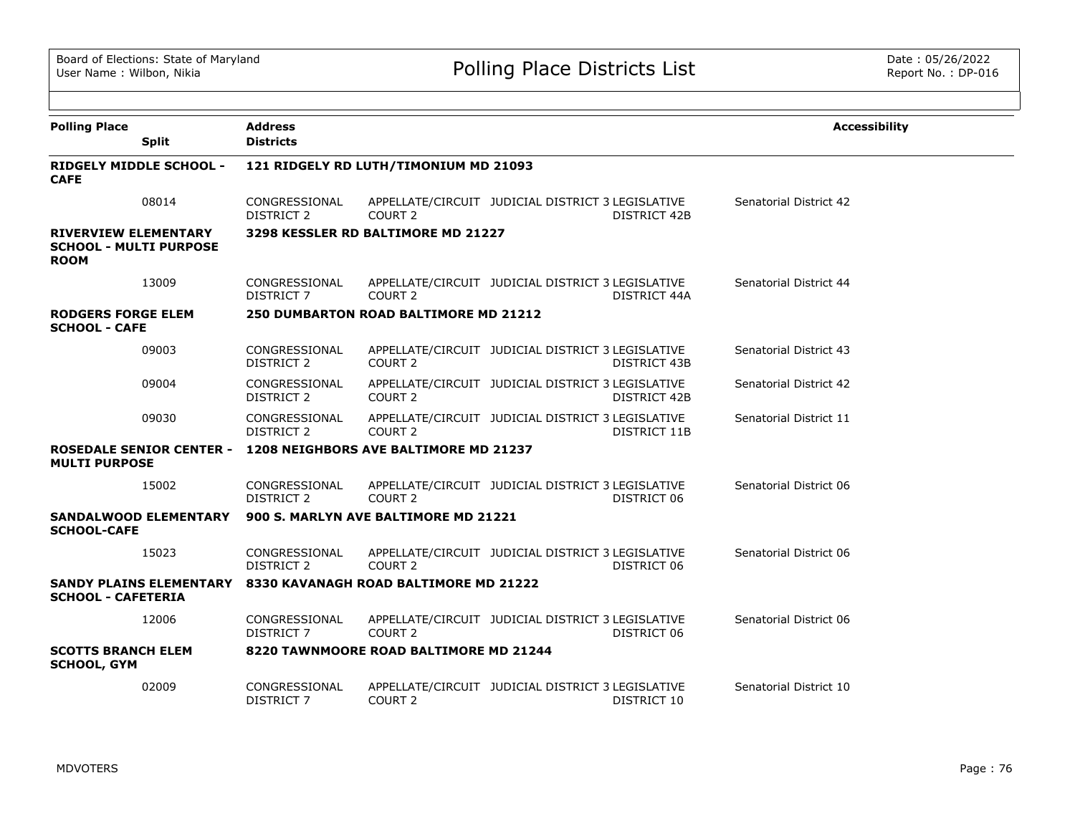| <b>Polling Place</b>                                                        | <b>Address</b>                     |                                        |                                                   |                     | <b>Accessibility</b>   |
|-----------------------------------------------------------------------------|------------------------------------|----------------------------------------|---------------------------------------------------|---------------------|------------------------|
| <b>Split</b>                                                                | <b>Districts</b>                   |                                        |                                                   |                     |                        |
| <b>RIDGELY MIDDLE SCHOOL -</b><br><b>CAFE</b>                               |                                    | 121 RIDGELY RD LUTH/TIMONIUM MD 21093  |                                                   |                     |                        |
| 08014                                                                       | CONGRESSIONAL<br><b>DISTRICT 2</b> | COURT <sub>2</sub>                     | APPELLATE/CIRCUIT JUDICIAL DISTRICT 3 LEGISLATIVE | <b>DISTRICT 42B</b> | Senatorial District 42 |
| <b>RIVERVIEW ELEMENTARY</b><br><b>SCHOOL - MULTI PURPOSE</b><br><b>ROOM</b> |                                    | 3298 KESSLER RD BALTIMORE MD 21227     |                                                   |                     |                        |
| 13009                                                                       | CONGRESSIONAL<br>DISTRICT 7        | COURT <sub>2</sub>                     | APPELLATE/CIRCUIT JUDICIAL DISTRICT 3 LEGISLATIVE | DISTRICT 44A        | Senatorial District 44 |
| <b>RODGERS FORGE ELEM</b><br><b>SCHOOL - CAFE</b>                           |                                    | 250 DUMBARTON ROAD BALTIMORE MD 21212  |                                                   |                     |                        |
| 09003                                                                       | CONGRESSIONAL<br>DISTRICT 2        | COURT 2                                | APPELLATE/CIRCUIT JUDICIAL DISTRICT 3 LEGISLATIVE | DISTRICT 43B        | Senatorial District 43 |
| 09004                                                                       | CONGRESSIONAL<br><b>DISTRICT 2</b> | COURT <sub>2</sub>                     | APPELLATE/CIRCUIT JUDICIAL DISTRICT 3 LEGISLATIVE | DISTRICT 42B        | Senatorial District 42 |
| 09030                                                                       | CONGRESSIONAL<br><b>DISTRICT 2</b> | COURT <sub>2</sub>                     | APPELLATE/CIRCUIT JUDICIAL DISTRICT 3 LEGISLATIVE | DISTRICT 11B        | Senatorial District 11 |
| <b>ROSEDALE SENIOR CENTER -</b><br><b>MULTI PURPOSE</b>                     |                                    | 1208 NEIGHBORS AVE BALTIMORE MD 21237  |                                                   |                     |                        |
| 15002                                                                       | CONGRESSIONAL<br>DISTRICT 2        | COURT <sub>2</sub>                     | APPELLATE/CIRCUIT JUDICIAL DISTRICT 3 LEGISLATIVE | DISTRICT 06         | Senatorial District 06 |
| <b>SANDALWOOD ELEMENTARY</b><br><b>SCHOOL-CAFE</b>                          |                                    | 900 S. MARLYN AVE BALTIMORE MD 21221   |                                                   |                     |                        |
| 15023                                                                       | CONGRESSIONAL<br><b>DISTRICT 2</b> | COURT <sub>2</sub>                     | APPELLATE/CIRCUIT JUDICIAL DISTRICT 3 LEGISLATIVE | DISTRICT 06         | Senatorial District 06 |
| <b>SANDY PLAINS ELEMENTARY</b><br><b>SCHOOL - CAFETERIA</b>                 |                                    | 8330 KAVANAGH ROAD BALTIMORE MD 21222  |                                                   |                     |                        |
| 12006                                                                       | CONGRESSIONAL<br><b>DISTRICT 7</b> | COURT <sub>2</sub>                     | APPELLATE/CIRCUIT JUDICIAL DISTRICT 3 LEGISLATIVE | DISTRICT 06         | Senatorial District 06 |
| <b>SCOTTS BRANCH ELEM</b><br><b>SCHOOL, GYM</b>                             |                                    | 8220 TAWNMOORE ROAD BALTIMORE MD 21244 |                                                   |                     |                        |
| 02009                                                                       | CONGRESSIONAL<br>DISTRICT 7        | COURT 2                                | APPELLATE/CIRCUIT JUDICIAL DISTRICT 3 LEGISLATIVE | DISTRICT 10         | Senatorial District 10 |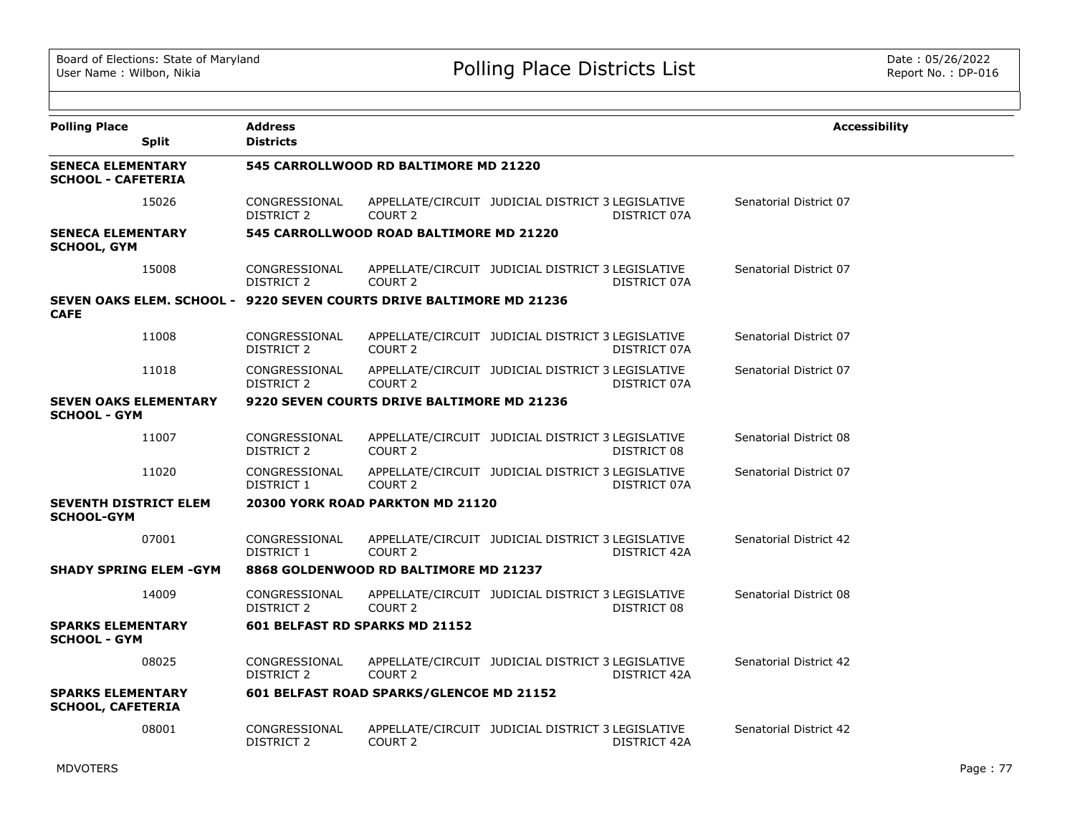| <b>Polling Place</b>                                  | <b>Split</b> | <b>Address</b><br><b>Districts</b> |                                                                      |                                                                   | <b>Accessibility</b>   |
|-------------------------------------------------------|--------------|------------------------------------|----------------------------------------------------------------------|-------------------------------------------------------------------|------------------------|
| <b>SENECA ELEMENTARY</b><br><b>SCHOOL - CAFETERIA</b> |              |                                    | 545 CARROLLWOOD RD BALTIMORE MD 21220                                |                                                                   |                        |
|                                                       | 15026        | CONGRESSIONAL<br><b>DISTRICT 2</b> | COURT <sub>2</sub>                                                   | APPELLATE/CIRCUIT JUDICIAL DISTRICT 3 LEGISLATIVE<br>DISTRICT 07A | Senatorial District 07 |
| <b>SENECA ELEMENTARY</b><br><b>SCHOOL, GYM</b>        |              |                                    | 545 CARROLLWOOD ROAD BALTIMORE MD 21220                              |                                                                   |                        |
|                                                       | 15008        | CONGRESSIONAL<br><b>DISTRICT 2</b> | COURT <sub>2</sub>                                                   | APPELLATE/CIRCUIT JUDICIAL DISTRICT 3 LEGISLATIVE<br>DISTRICT 07A | Senatorial District 07 |
| <b>CAFE</b>                                           |              |                                    | SEVEN OAKS ELEM. SCHOOL - 9220 SEVEN COURTS DRIVE BALTIMORE MD 21236 |                                                                   |                        |
|                                                       | 11008        | CONGRESSIONAL<br>DISTRICT 2        | COURT 2                                                              | APPELLATE/CIRCUIT JUDICIAL DISTRICT 3 LEGISLATIVE<br>DISTRICT 07A | Senatorial District 07 |
|                                                       | 11018        | CONGRESSIONAL<br>DISTRICT 2        | COURT <sub>2</sub>                                                   | APPELLATE/CIRCUIT JUDICIAL DISTRICT 3 LEGISLATIVE<br>DISTRICT 07A | Senatorial District 07 |
| <b>SEVEN OAKS ELEMENTARY</b><br><b>SCHOOL - GYM</b>   |              |                                    | 9220 SEVEN COURTS DRIVE BALTIMORE MD 21236                           |                                                                   |                        |
|                                                       | 11007        | CONGRESSIONAL<br>DISTRICT 2        | COURT <sub>2</sub>                                                   | APPELLATE/CIRCUIT JUDICIAL DISTRICT 3 LEGISLATIVE<br>DISTRICT 08  | Senatorial District 08 |
|                                                       | 11020        | CONGRESSIONAL<br>DISTRICT 1        | COURT 2                                                              | APPELLATE/CIRCUIT JUDICIAL DISTRICT 3 LEGISLATIVE<br>DISTRICT 07A | Senatorial District 07 |
| <b>SEVENTH DISTRICT ELEM</b><br><b>SCHOOL-GYM</b>     |              |                                    | 20300 YORK ROAD PARKTON MD 21120                                     |                                                                   |                        |
|                                                       | 07001        | CONGRESSIONAL<br>DISTRICT 1        | COURT 2                                                              | APPELLATE/CIRCUIT JUDICIAL DISTRICT 3 LEGISLATIVE<br>DISTRICT 42A | Senatorial District 42 |
| <b>SHADY SPRING ELEM -GYM</b>                         |              |                                    | 8868 GOLDENWOOD RD BALTIMORE MD 21237                                |                                                                   |                        |
|                                                       | 14009        | CONGRESSIONAL<br>DISTRICT 2        | COURT <sub>2</sub>                                                   | APPELLATE/CIRCUIT JUDICIAL DISTRICT 3 LEGISLATIVE<br>DISTRICT 08  | Senatorial District 08 |
| <b>SPARKS ELEMENTARY</b><br><b>SCHOOL - GYM</b>       |              | 601 BELFAST RD SPARKS MD 21152     |                                                                      |                                                                   |                        |
|                                                       | 08025        | CONGRESSIONAL<br>DISTRICT 2        | COURT <sub>2</sub>                                                   | APPELLATE/CIRCUIT JUDICIAL DISTRICT 3 LEGISLATIVE<br>DISTRICT 42A | Senatorial District 42 |
| <b>SPARKS ELEMENTARY</b><br><b>SCHOOL, CAFETERIA</b>  |              |                                    | 601 BELFAST ROAD SPARKS/GLENCOE MD 21152                             |                                                                   |                        |
|                                                       | 08001        | CONGRESSIONAL<br><b>DISTRICT 2</b> | COURT <sub>2</sub>                                                   | APPELLATE/CIRCUIT JUDICIAL DISTRICT 3 LEGISLATIVE<br>DISTRICT 42A | Senatorial District 42 |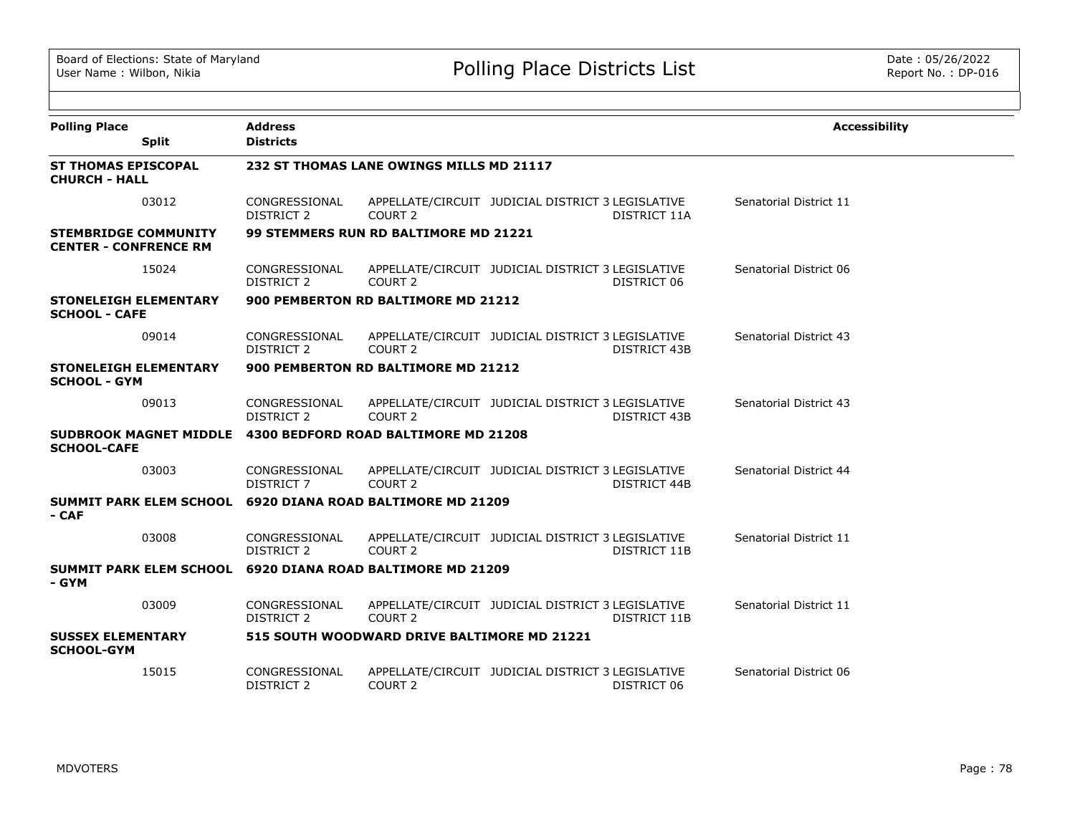| <b>Polling Place</b>                                        | <b>Split</b> | <b>Address</b><br><b>Districts</b> |                                                             |                                                   |                     | <b>Accessibility</b>   |
|-------------------------------------------------------------|--------------|------------------------------------|-------------------------------------------------------------|---------------------------------------------------|---------------------|------------------------|
| <b>ST THOMAS EPISCOPAL</b><br><b>CHURCH - HALL</b>          |              |                                    | 232 ST THOMAS LANE OWINGS MILLS MD 21117                    |                                                   |                     |                        |
|                                                             | 03012        | CONGRESSIONAL<br>DISTRICT 2        | COURT 2                                                     | APPELLATE/CIRCUIT JUDICIAL DISTRICT 3 LEGISLATIVE | DISTRICT 11A        | Senatorial District 11 |
| <b>STEMBRIDGE COMMUNITY</b><br><b>CENTER - CONFRENCE RM</b> |              |                                    | <b>99 STEMMERS RUN RD BALTIMORE MD 21221</b>                |                                                   |                     |                        |
|                                                             | 15024        | CONGRESSIONAL<br>DISTRICT 2        | COURT 2                                                     | APPELLATE/CIRCUIT JUDICIAL DISTRICT 3 LEGISLATIVE | DISTRICT 06         | Senatorial District 06 |
| <b>STONELEIGH ELEMENTARY</b><br><b>SCHOOL - CAFE</b>        |              |                                    | 900 PEMBERTON RD BALTIMORE MD 21212                         |                                                   |                     |                        |
|                                                             | 09014        | CONGRESSIONAL<br><b>DISTRICT 2</b> | COURT <sub>2</sub>                                          | APPELLATE/CIRCUIT JUDICIAL DISTRICT 3 LEGISLATIVE | <b>DISTRICT 43B</b> | Senatorial District 43 |
| <b>STONELEIGH ELEMENTARY</b><br><b>SCHOOL - GYM</b>         |              |                                    | 900 PEMBERTON RD BALTIMORE MD 21212                         |                                                   |                     |                        |
|                                                             | 09013        | CONGRESSIONAL<br><b>DISTRICT 2</b> | COURT <sub>2</sub>                                          | APPELLATE/CIRCUIT JUDICIAL DISTRICT 3 LEGISLATIVE | <b>DISTRICT 43B</b> | Senatorial District 43 |
| <b>SCHOOL-CAFE</b>                                          |              |                                    | SUDBROOK MAGNET MIDDLE 4300 BEDFORD ROAD BALTIMORE MD 21208 |                                                   |                     |                        |
|                                                             | 03003        | CONGRESSIONAL<br><b>DISTRICT 7</b> | COURT <sub>2</sub>                                          | APPELLATE/CIRCUIT JUDICIAL DISTRICT 3 LEGISLATIVE | DISTRICT 44B        | Senatorial District 44 |
| <b>SUMMIT PARK ELEM SCHOOL</b><br>- CAF                     |              |                                    | 6920 DIANA ROAD BALTIMORE MD 21209                          |                                                   |                     |                        |
|                                                             | 03008        | CONGRESSIONAL<br><b>DISTRICT 2</b> | COURT <sub>2</sub>                                          | APPELLATE/CIRCUIT JUDICIAL DISTRICT 3 LEGISLATIVE | DISTRICT 11B        | Senatorial District 11 |
| - GYM                                                       |              |                                    | SUMMIT PARK ELEM SCHOOL 6920 DIANA ROAD BALTIMORE MD 21209  |                                                   |                     |                        |
|                                                             | 03009        | CONGRESSIONAL<br>DISTRICT 2        | COURT 2                                                     | APPELLATE/CIRCUIT JUDICIAL DISTRICT 3 LEGISLATIVE | DISTRICT 11B        | Senatorial District 11 |
| <b>SUSSEX ELEMENTARY</b><br><b>SCHOOL-GYM</b>               |              |                                    | 515 SOUTH WOODWARD DRIVE BALTIMORE MD 21221                 |                                                   |                     |                        |
|                                                             | 15015        | CONGRESSIONAL<br><b>DISTRICT 2</b> | COURT <sub>2</sub>                                          | APPELLATE/CIRCUIT JUDICIAL DISTRICT 3 LEGISLATIVE | DISTRICT 06         | Senatorial District 06 |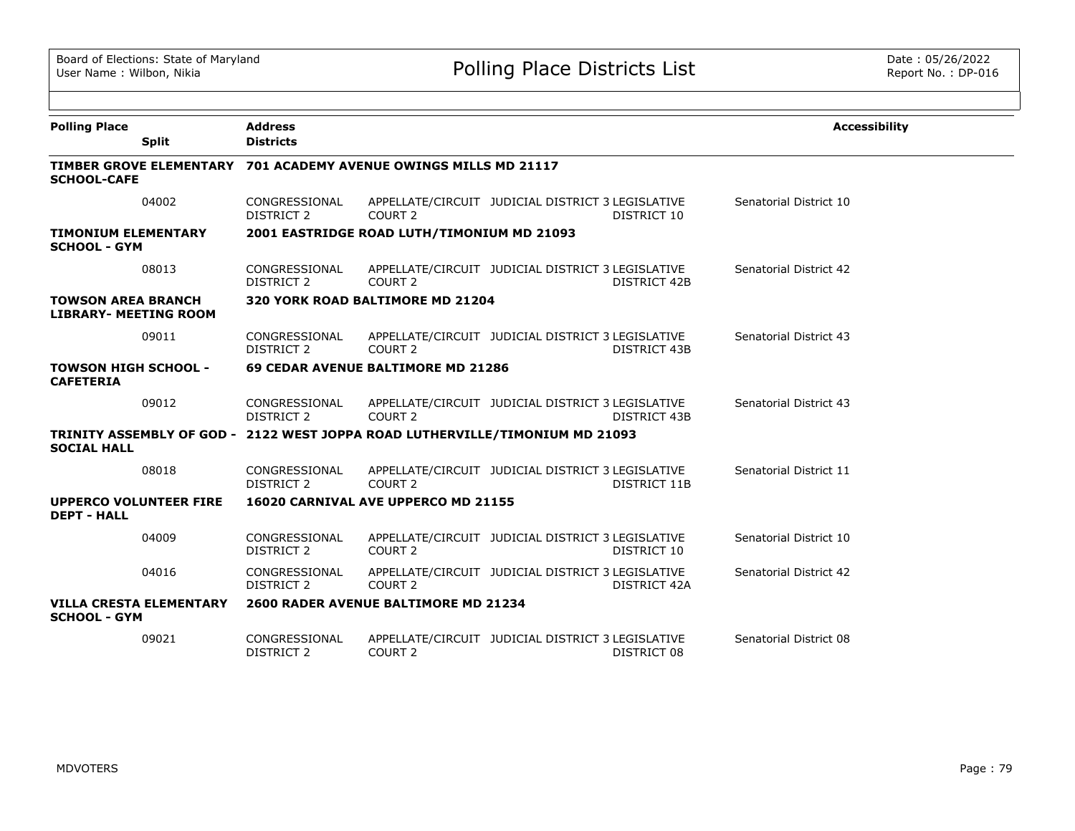| <b>Polling Place</b>                                      | <b>Address</b>                                                               |                                            |                                                   |                     | <b>Accessibility</b>   |
|-----------------------------------------------------------|------------------------------------------------------------------------------|--------------------------------------------|---------------------------------------------------|---------------------|------------------------|
| <b>Split</b>                                              | <b>Districts</b>                                                             |                                            |                                                   |                     |                        |
| <b>SCHOOL-CAFE</b>                                        | TIMBER GROVE ELEMENTARY 701 ACADEMY AVENUE OWINGS MILLS MD 21117             |                                            |                                                   |                     |                        |
| 04002                                                     | CONGRESSIONAL<br><b>DISTRICT 2</b>                                           | COURT <sub>2</sub>                         | APPELLATE/CIRCUIT JUDICIAL DISTRICT 3 LEGISLATIVE | DISTRICT 10         | Senatorial District 10 |
| <b>TIMONIUM ELEMENTARY</b><br><b>SCHOOL - GYM</b>         |                                                                              | 2001 EASTRIDGE ROAD LUTH/TIMONIUM MD 21093 |                                                   |                     |                        |
| 08013                                                     | CONGRESSIONAL<br><b>DISTRICT 2</b>                                           | COURT <sub>2</sub>                         | APPELLATE/CIRCUIT JUDICIAL DISTRICT 3 LEGISLATIVE | <b>DISTRICT 42B</b> | Senatorial District 42 |
| <b>TOWSON AREA BRANCH</b><br><b>LIBRARY- MEETING ROOM</b> |                                                                              | 320 YORK ROAD BALTIMORE MD 21204           |                                                   |                     |                        |
| 09011                                                     | CONGRESSIONAL<br><b>DISTRICT 2</b>                                           | COURT <sub>2</sub>                         | APPELLATE/CIRCUIT JUDICIAL DISTRICT 3 LEGISLATIVE | <b>DISTRICT 43B</b> | Senatorial District 43 |
| <b>TOWSON HIGH SCHOOL -</b><br><b>CAFETERIA</b>           |                                                                              | 69 CEDAR AVENUE BALTIMORE MD 21286         |                                                   |                     |                        |
| 09012                                                     | CONGRESSIONAL<br><b>DISTRICT 2</b>                                           | COURT <sub>2</sub>                         | APPELLATE/CIRCUIT JUDICIAL DISTRICT 3 LEGISLATIVE | <b>DISTRICT 43B</b> | Senatorial District 43 |
| <b>SOCIAL HALL</b>                                        | TRINITY ASSEMBLY OF GOD - 2122 WEST JOPPA ROAD LUTHERVILLE/TIMONIUM MD 21093 |                                            |                                                   |                     |                        |
| 08018                                                     | CONGRESSIONAL<br><b>DISTRICT 2</b>                                           | COURT <sub>2</sub>                         | APPELLATE/CIRCUIT JUDICIAL DISTRICT 3 LEGISLATIVE | DISTRICT 11B        | Senatorial District 11 |
| <b>UPPERCO VOLUNTEER FIRE</b><br><b>DEPT - HALL</b>       |                                                                              | 16020 CARNIVAL AVE UPPERCO MD 21155        |                                                   |                     |                        |
| 04009                                                     | CONGRESSIONAL<br><b>DISTRICT 2</b>                                           | COURT <sub>2</sub>                         | APPELLATE/CIRCUIT JUDICIAL DISTRICT 3 LEGISLATIVE | DISTRICT 10         | Senatorial District 10 |
| 04016                                                     | CONGRESSIONAL<br><b>DISTRICT 2</b>                                           | COURT <sub>2</sub>                         | APPELLATE/CIRCUIT JUDICIAL DISTRICT 3 LEGISLATIVE | DISTRICT 42A        | Senatorial District 42 |
| <b>VILLA CRESTA ELEMENTARY</b><br><b>SCHOOL - GYM</b>     |                                                                              | 2600 RADER AVENUE BALTIMORE MD 21234       |                                                   |                     |                        |
| 09021                                                     | CONGRESSIONAL<br><b>DISTRICT 2</b>                                           | COURT 2                                    | APPELLATE/CIRCUIT JUDICIAL DISTRICT 3 LEGISLATIVE | DISTRICT 08         | Senatorial District 08 |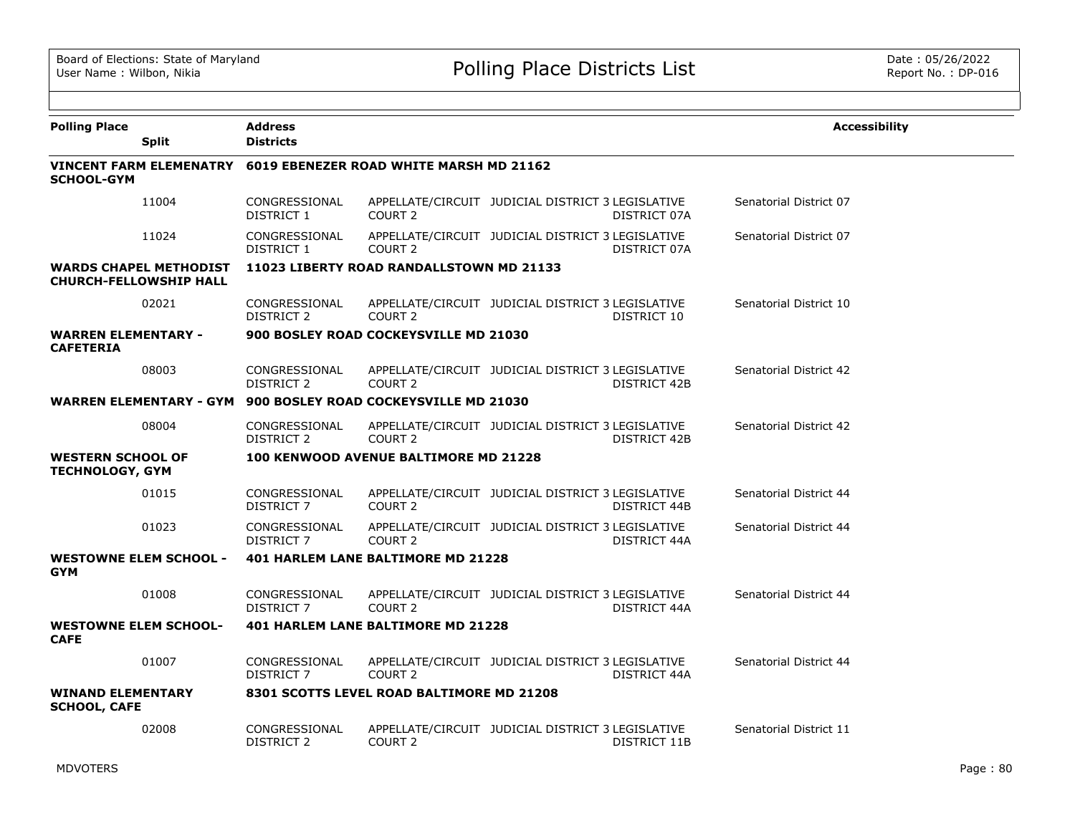| <b>Polling Place</b><br><b>Split</b>                                                 | <b>Address</b><br><b>Districts</b> |                                              |                                                   |              | <b>Accessibility</b>   |
|--------------------------------------------------------------------------------------|------------------------------------|----------------------------------------------|---------------------------------------------------|--------------|------------------------|
| VINCENT FARM ELEMENATRY 6019 EBENEZER ROAD WHITE MARSH MD 21162<br><b>SCHOOL-GYM</b> |                                    |                                              |                                                   |              |                        |
| 11004                                                                                | CONGRESSIONAL<br>DISTRICT 1        | COURT <sub>2</sub>                           | APPELLATE/CIRCUIT JUDICIAL DISTRICT 3 LEGISLATIVE | DISTRICT 07A | Senatorial District 07 |
| 11024                                                                                | CONGRESSIONAL<br><b>DISTRICT 1</b> | COURT <sub>2</sub>                           | APPELLATE/CIRCUIT JUDICIAL DISTRICT 3 LEGISLATIVE | DISTRICT 07A | Senatorial District 07 |
| <b>WARDS CHAPEL METHODIST</b><br><b>CHURCH-FELLOWSHIP HALL</b>                       |                                    | 11023 LIBERTY ROAD RANDALLSTOWN MD 21133     |                                                   |              |                        |
| 02021                                                                                | CONGRESSIONAL<br>DISTRICT 2        | COURT <sub>2</sub>                           | APPELLATE/CIRCUIT JUDICIAL DISTRICT 3 LEGISLATIVE | DISTRICT 10  | Senatorial District 10 |
| <b>WARREN ELEMENTARY -</b><br><b>CAFETERIA</b>                                       |                                    | 900 BOSLEY ROAD COCKEYSVILLE MD 21030        |                                                   |              |                        |
| 08003                                                                                | CONGRESSIONAL<br>DISTRICT 2        | COURT <sub>2</sub>                           | APPELLATE/CIRCUIT JUDICIAL DISTRICT 3 LEGISLATIVE | DISTRICT 42B | Senatorial District 42 |
| <b>WARREN ELEMENTARY - GYM</b>                                                       |                                    | 900 BOSLEY ROAD COCKEYSVILLE MD 21030        |                                                   |              |                        |
| 08004                                                                                | CONGRESSIONAL<br><b>DISTRICT 2</b> | COURT <sub>2</sub>                           | APPELLATE/CIRCUIT JUDICIAL DISTRICT 3 LEGISLATIVE | DISTRICT 42B | Senatorial District 42 |
| <b>WESTERN SCHOOL OF</b><br><b>TECHNOLOGY, GYM</b>                                   |                                    | <b>100 KENWOOD AVENUE BALTIMORE MD 21228</b> |                                                   |              |                        |
| 01015                                                                                | CONGRESSIONAL<br><b>DISTRICT 7</b> | COURT <sub>2</sub>                           | APPELLATE/CIRCUIT JUDICIAL DISTRICT 3 LEGISLATIVE | DISTRICT 44B | Senatorial District 44 |
| 01023                                                                                | CONGRESSIONAL<br>DISTRICT 7        | COURT <sub>2</sub>                           | APPELLATE/CIRCUIT JUDICIAL DISTRICT 3 LEGISLATIVE | DISTRICT 44A | Senatorial District 44 |
| <b>WESTOWNE ELEM SCHOOL -</b><br><b>GYM</b>                                          |                                    | 401 HARLEM LANE BALTIMORE MD 21228           |                                                   |              |                        |
| 01008                                                                                | CONGRESSIONAL<br>DISTRICT 7        | COURT <sub>2</sub>                           | APPELLATE/CIRCUIT JUDICIAL DISTRICT 3 LEGISLATIVE | DISTRICT 44A | Senatorial District 44 |
| <b>WESTOWNE ELEM SCHOOL-</b><br><b>CAFE</b>                                          |                                    | 401 HARLEM LANE BALTIMORE MD 21228           |                                                   |              |                        |
| 01007                                                                                | CONGRESSIONAL<br>DISTRICT 7        | COURT <sub>2</sub>                           | APPELLATE/CIRCUIT JUDICIAL DISTRICT 3 LEGISLATIVE | DISTRICT 44A | Senatorial District 44 |
| <b>WINAND ELEMENTARY</b><br><b>SCHOOL, CAFE</b>                                      |                                    | 8301 SCOTTS LEVEL ROAD BALTIMORE MD 21208    |                                                   |              |                        |
| 02008                                                                                | CONGRESSIONAL<br><b>DISTRICT 2</b> | COURT <sub>2</sub>                           | APPELLATE/CIRCUIT JUDICIAL DISTRICT 3 LEGISLATIVE | DISTRICT 11B | Senatorial District 11 |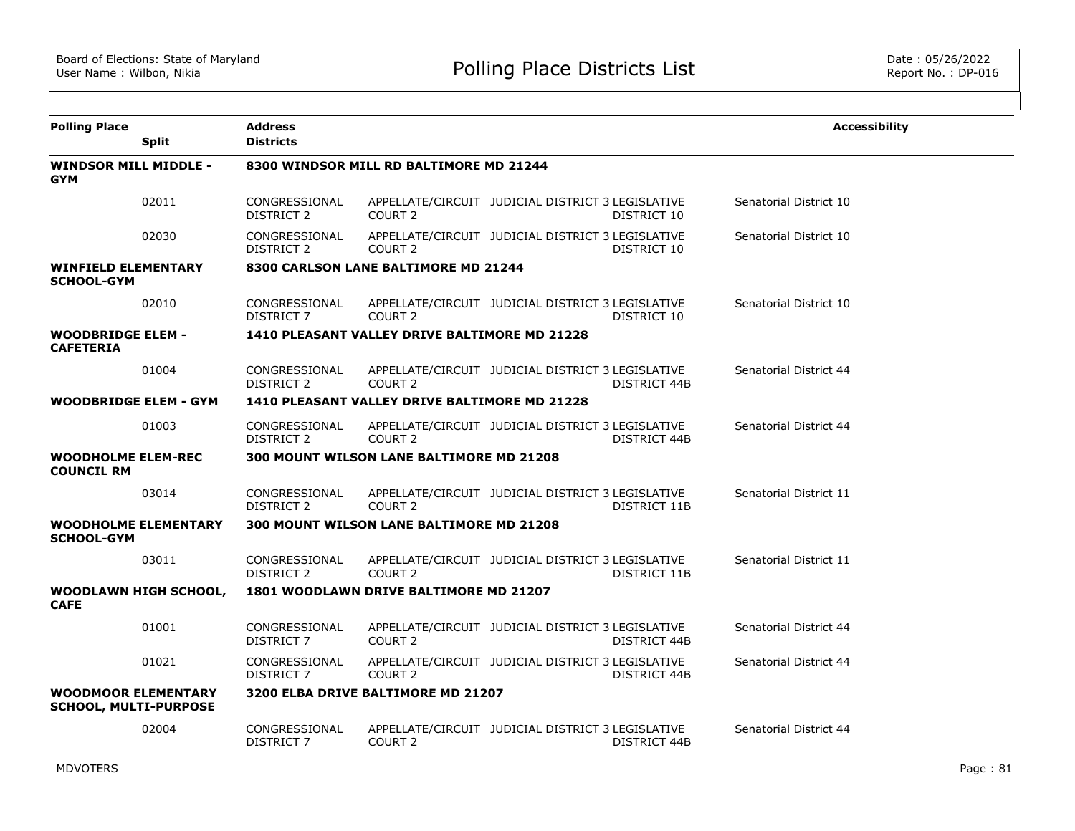| <b>Polling Place</b>                                       | <b>Split</b>                | <b>Address</b><br><b>Districts</b> |                                                 |                                                   |                     | <b>Accessibility</b>   |
|------------------------------------------------------------|-----------------------------|------------------------------------|-------------------------------------------------|---------------------------------------------------|---------------------|------------------------|
| <b>WINDSOR MILL MIDDLE -</b><br><b>GYM</b>                 |                             |                                    | 8300 WINDSOR MILL RD BALTIMORE MD 21244         |                                                   |                     |                        |
|                                                            | 02011                       | CONGRESSIONAL<br>DISTRICT 2        | COURT 2                                         | APPELLATE/CIRCUIT JUDICIAL DISTRICT 3 LEGISLATIVE | DISTRICT 10         | Senatorial District 10 |
|                                                            | 02030                       | CONGRESSIONAL<br><b>DISTRICT 2</b> | COURT <sub>2</sub>                              | APPELLATE/CIRCUIT JUDICIAL DISTRICT 3 LEGISLATIVE | DISTRICT 10         | Senatorial District 10 |
| <b>WINFIELD ELEMENTARY</b><br><b>SCHOOL-GYM</b>            |                             |                                    | 8300 CARLSON LANE BALTIMORE MD 21244            |                                                   |                     |                        |
|                                                            | 02010                       | CONGRESSIONAL<br>DISTRICT 7        | COURT <sub>2</sub>                              | APPELLATE/CIRCUIT JUDICIAL DISTRICT 3 LEGISLATIVE | DISTRICT 10         | Senatorial District 10 |
| <b>WOODBRIDGE ELEM -</b><br><b>CAFETERIA</b>               |                             |                                    | 1410 PLEASANT VALLEY DRIVE BALTIMORE MD 21228   |                                                   |                     |                        |
|                                                            | 01004                       | CONGRESSIONAL<br>DISTRICT 2        | COURT 2                                         | APPELLATE/CIRCUIT JUDICIAL DISTRICT 3 LEGISLATIVE | DISTRICT 44B        | Senatorial District 44 |
| <b>WOODBRIDGE ELEM - GYM</b>                               |                             |                                    | 1410 PLEASANT VALLEY DRIVE BALTIMORE MD 21228   |                                                   |                     |                        |
|                                                            | 01003                       | CONGRESSIONAL<br>DISTRICT 2        | COURT <sub>2</sub>                              | APPELLATE/CIRCUIT JUDICIAL DISTRICT 3 LEGISLATIVE | DISTRICT 44B        | Senatorial District 44 |
| <b>WOODHOLME ELEM-REC</b><br><b>COUNCIL RM</b>             |                             |                                    | <b>300 MOUNT WILSON LANE BALTIMORE MD 21208</b> |                                                   |                     |                        |
|                                                            | 03014                       | CONGRESSIONAL<br><b>DISTRICT 2</b> | COURT <sub>2</sub>                              | APPELLATE/CIRCUIT JUDICIAL DISTRICT 3 LEGISLATIVE | DISTRICT 11B        | Senatorial District 11 |
| <b>SCHOOL-GYM</b>                                          | <b>WOODHOLME ELEMENTARY</b> |                                    | <b>300 MOUNT WILSON LANE BALTIMORE MD 21208</b> |                                                   |                     |                        |
|                                                            | 03011                       | CONGRESSIONAL<br>DISTRICT 2        | COURT <sub>2</sub>                              | APPELLATE/CIRCUIT JUDICIAL DISTRICT 3 LEGISLATIVE | DISTRICT 11B        | Senatorial District 11 |
| <b>CAFE</b>                                                | WOODLAWN HIGH SCHOOL,       |                                    | 1801 WOODLAWN DRIVE BALTIMORE MD 21207          |                                                   |                     |                        |
|                                                            | 01001                       | CONGRESSIONAL<br>DISTRICT 7        | COURT <sub>2</sub>                              | APPELLATE/CIRCUIT JUDICIAL DISTRICT 3 LEGISLATIVE | <b>DISTRICT 44B</b> | Senatorial District 44 |
|                                                            | 01021                       | CONGRESSIONAL<br>DISTRICT 7        | COURT 2                                         | APPELLATE/CIRCUIT JUDICIAL DISTRICT 3 LEGISLATIVE | DISTRICT 44B        | Senatorial District 44 |
| <b>WOODMOOR ELEMENTARY</b><br><b>SCHOOL, MULTI-PURPOSE</b> |                             |                                    | 3200 ELBA DRIVE BALTIMORE MD 21207              |                                                   |                     |                        |
|                                                            | 02004                       | CONGRESSIONAL<br><b>DISTRICT 7</b> | COURT <sub>2</sub>                              | APPELLATE/CIRCUIT JUDICIAL DISTRICT 3 LEGISLATIVE | DISTRICT 44B        | Senatorial District 44 |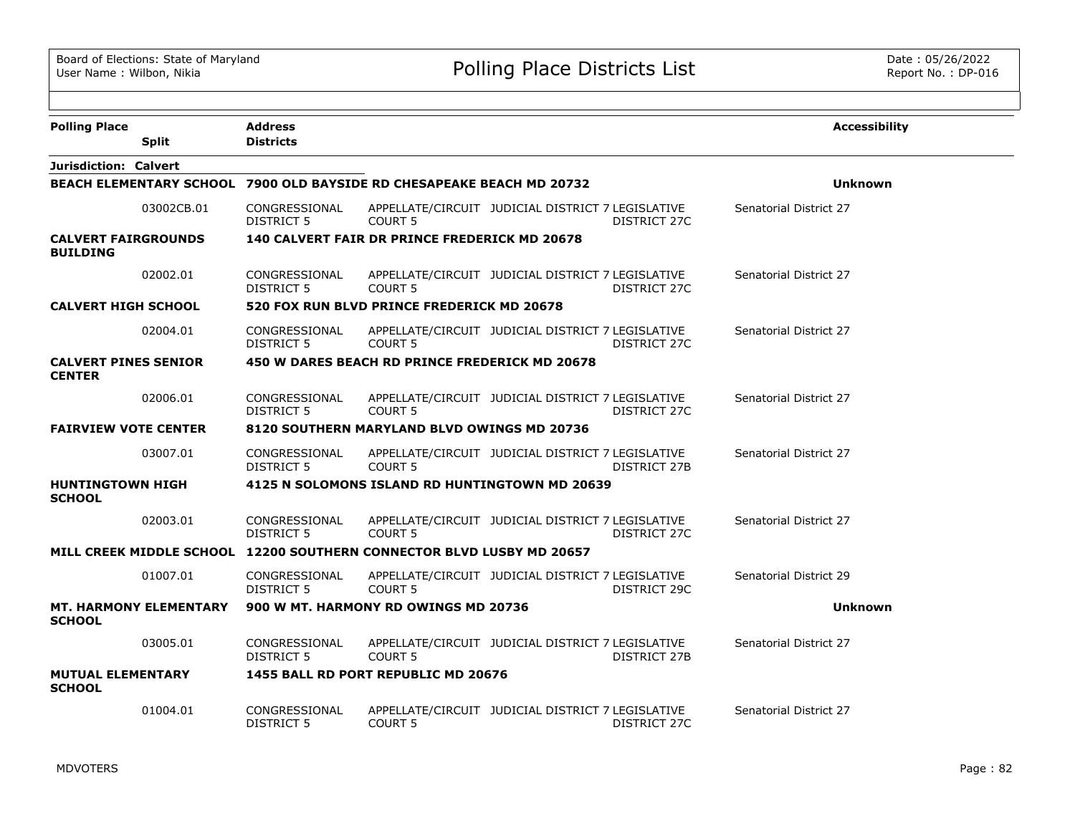| <b>Polling Place</b>                                                  | <b>Address</b>                     |                                                |                                                   |              | <b>Accessibility</b>   |
|-----------------------------------------------------------------------|------------------------------------|------------------------------------------------|---------------------------------------------------|--------------|------------------------|
| <b>Split</b>                                                          | <b>Districts</b>                   |                                                |                                                   |              |                        |
| Jurisdiction: Calvert                                                 |                                    |                                                |                                                   |              |                        |
| BEACH ELEMENTARY SCHOOL 7900 OLD BAYSIDE RD CHESAPEAKE BEACH MD 20732 |                                    |                                                |                                                   |              | <b>Unknown</b>         |
| 03002CB.01                                                            | CONGRESSIONAL<br>DISTRICT 5        | <b>COURT 5</b>                                 | APPELLATE/CIRCUIT JUDICIAL DISTRICT 7 LEGISLATIVE | DISTRICT 27C | Senatorial District 27 |
| <b>CALVERT FAIRGROUNDS</b><br><b>BUILDING</b>                         |                                    | 140 CALVERT FAIR DR PRINCE FREDERICK MD 20678  |                                                   |              |                        |
| 02002.01                                                              | CONGRESSIONAL<br>DISTRICT 5        | <b>COURT 5</b>                                 | APPELLATE/CIRCUIT JUDICIAL DISTRICT 7 LEGISLATIVE | DISTRICT 27C | Senatorial District 27 |
| <b>CALVERT HIGH SCHOOL</b>                                            |                                    | 520 FOX RUN BLVD PRINCE FREDERICK MD 20678     |                                                   |              |                        |
| 02004.01                                                              | CONGRESSIONAL<br>DISTRICT 5        | COURT 5                                        | APPELLATE/CIRCUIT JUDICIAL DISTRICT 7 LEGISLATIVE | DISTRICT 27C | Senatorial District 27 |
| <b>CALVERT PINES SENIOR</b><br><b>CENTER</b>                          |                                    | 450 W DARES BEACH RD PRINCE FREDERICK MD 20678 |                                                   |              |                        |
| 02006.01                                                              | CONGRESSIONAL<br><b>DISTRICT 5</b> | <b>COURT 5</b>                                 | APPELLATE/CIRCUIT JUDICIAL DISTRICT 7 LEGISLATIVE | DISTRICT 27C | Senatorial District 27 |
| <b>FAIRVIEW VOTE CENTER</b>                                           |                                    | 8120 SOUTHERN MARYLAND BLVD OWINGS MD 20736    |                                                   |              |                        |
| 03007.01                                                              | CONGRESSIONAL<br>DISTRICT 5        | <b>COURT 5</b>                                 | APPELLATE/CIRCUIT JUDICIAL DISTRICT 7 LEGISLATIVE | DISTRICT 27B | Senatorial District 27 |
| <b>HUNTINGTOWN HIGH</b><br><b>SCHOOL</b>                              |                                    | 4125 N SOLOMONS ISLAND RD HUNTINGTOWN MD 20639 |                                                   |              |                        |
| 02003.01                                                              | CONGRESSIONAL<br><b>DISTRICT 5</b> | <b>COURT 5</b>                                 | APPELLATE/CIRCUIT JUDICIAL DISTRICT 7 LEGISLATIVE | DISTRICT 27C | Senatorial District 27 |
| MILL CREEK MIDDLE SCHOOL 12200 SOUTHERN CONNECTOR BLVD LUSBY MD 20657 |                                    |                                                |                                                   |              |                        |
| 01007.01                                                              | CONGRESSIONAL<br>DISTRICT 5        | COURT <sub>5</sub>                             | APPELLATE/CIRCUIT JUDICIAL DISTRICT 7 LEGISLATIVE | DISTRICT 29C | Senatorial District 29 |
| <b>MT. HARMONY ELEMENTARY</b><br><b>SCHOOL</b>                        |                                    | 900 W MT. HARMONY RD OWINGS MD 20736           |                                                   |              | <b>Unknown</b>         |
| 03005.01                                                              | CONGRESSIONAL<br>DISTRICT 5        | <b>COURT 5</b>                                 | APPELLATE/CIRCUIT JUDICIAL DISTRICT 7 LEGISLATIVE | DISTRICT 27B | Senatorial District 27 |
| <b>MUTUAL ELEMENTARY</b><br><b>SCHOOL</b>                             |                                    | 1455 BALL RD PORT REPUBLIC MD 20676            |                                                   |              |                        |
| 01004.01                                                              | CONGRESSIONAL<br>DISTRICT 5        | <b>COURT 5</b>                                 | APPELLATE/CIRCUIT JUDICIAL DISTRICT 7 LEGISLATIVE | DISTRICT 27C | Senatorial District 27 |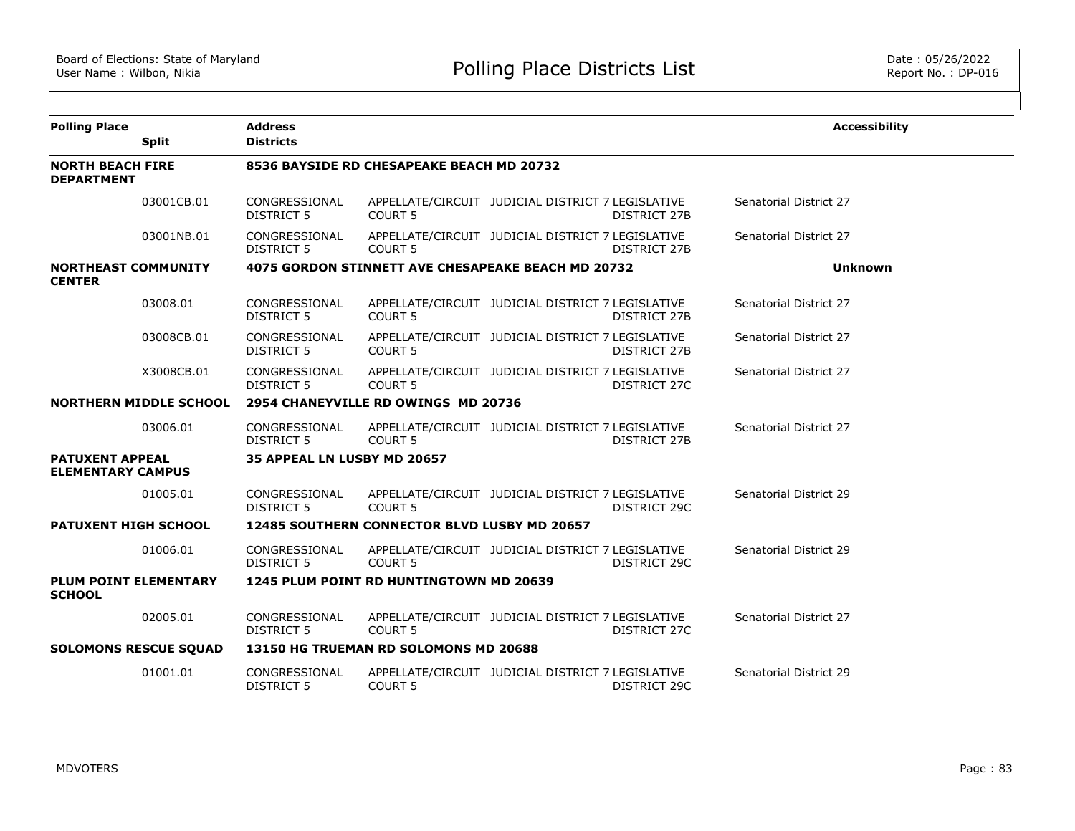| <b>Polling Place</b>                               |                               | <b>Address</b>                     |                                                           |                                                   |                     | <b>Accessibility</b>   |
|----------------------------------------------------|-------------------------------|------------------------------------|-----------------------------------------------------------|---------------------------------------------------|---------------------|------------------------|
|                                                    | <b>Split</b>                  | <b>Districts</b>                   |                                                           |                                                   |                     |                        |
| <b>NORTH BEACH FIRE</b><br><b>DEPARTMENT</b>       |                               |                                    | 8536 BAYSIDE RD CHESAPEAKE BEACH MD 20732                 |                                                   |                     |                        |
|                                                    | 03001CB.01                    | CONGRESSIONAL<br><b>DISTRICT 5</b> | <b>COURT 5</b>                                            | APPELLATE/CIRCUIT JUDICIAL DISTRICT 7 LEGISLATIVE | <b>DISTRICT 27B</b> | Senatorial District 27 |
|                                                    | 03001NB.01                    | CONGRESSIONAL<br><b>DISTRICT 5</b> | COURT <sub>5</sub>                                        | APPELLATE/CIRCUIT JUDICIAL DISTRICT 7 LEGISLATIVE | DISTRICT 27B        | Senatorial District 27 |
| <b>NORTHEAST COMMUNITY</b><br><b>CENTER</b>        |                               |                                    | <b>4075 GORDON STINNETT AVE CHESAPEAKE BEACH MD 20732</b> |                                                   |                     | <b>Unknown</b>         |
|                                                    | 03008.01                      | CONGRESSIONAL<br>DISTRICT 5        | <b>COURT 5</b>                                            | APPELLATE/CIRCUIT JUDICIAL DISTRICT 7 LEGISLATIVE | DISTRICT 27B        | Senatorial District 27 |
|                                                    | 03008CB.01                    | CONGRESSIONAL<br><b>DISTRICT 5</b> | <b>COURT 5</b>                                            | APPELLATE/CIRCUIT JUDICIAL DISTRICT 7 LEGISLATIVE | DISTRICT 27B        | Senatorial District 27 |
|                                                    | X3008CB.01                    | CONGRESSIONAL<br><b>DISTRICT 5</b> | <b>COURT 5</b>                                            | APPELLATE/CIRCUIT JUDICIAL DISTRICT 7 LEGISLATIVE | DISTRICT 27C        | Senatorial District 27 |
|                                                    | <b>NORTHERN MIDDLE SCHOOL</b> |                                    | 2954 CHANEYVILLE RD OWINGS MD 20736                       |                                                   |                     |                        |
|                                                    | 03006.01                      | CONGRESSIONAL<br><b>DISTRICT 5</b> | <b>COURT 5</b>                                            | APPELLATE/CIRCUIT JUDICIAL DISTRICT 7 LEGISLATIVE | DISTRICT 27B        | Senatorial District 27 |
| <b>PATUXENT APPEAL</b><br><b>ELEMENTARY CAMPUS</b> |                               | <b>35 APPEAL LN LUSBY MD 20657</b> |                                                           |                                                   |                     |                        |
|                                                    | 01005.01                      | CONGRESSIONAL<br><b>DISTRICT 5</b> | <b>COURT 5</b>                                            | APPELLATE/CIRCUIT JUDICIAL DISTRICT 7 LEGISLATIVE | DISTRICT 29C        | Senatorial District 29 |
| <b>PATUXENT HIGH SCHOOL</b>                        |                               |                                    | <b>12485 SOUTHERN CONNECTOR BLVD LUSBY MD 20657</b>       |                                                   |                     |                        |
|                                                    | 01006.01                      | CONGRESSIONAL<br><b>DISTRICT 5</b> | <b>COURT 5</b>                                            | APPELLATE/CIRCUIT JUDICIAL DISTRICT 7 LEGISLATIVE | DISTRICT 29C        | Senatorial District 29 |
| <b>PLUM POINT ELEMENTARY</b><br><b>SCHOOL</b>      |                               |                                    | 1245 PLUM POINT RD HUNTINGTOWN MD 20639                   |                                                   |                     |                        |
|                                                    | 02005.01                      | CONGRESSIONAL<br><b>DISTRICT 5</b> | COURT <sub>5</sub>                                        | APPELLATE/CIRCUIT JUDICIAL DISTRICT 7 LEGISLATIVE | DISTRICT 27C        | Senatorial District 27 |
| <b>SOLOMONS RESCUE SQUAD</b>                       |                               |                                    | 13150 HG TRUEMAN RD SOLOMONS MD 20688                     |                                                   |                     |                        |
|                                                    | 01001.01                      | CONGRESSIONAL<br><b>DISTRICT 5</b> | <b>COURT 5</b>                                            | APPELLATE/CIRCUIT JUDICIAL DISTRICT 7 LEGISLATIVE | DISTRICT 29C        | Senatorial District 29 |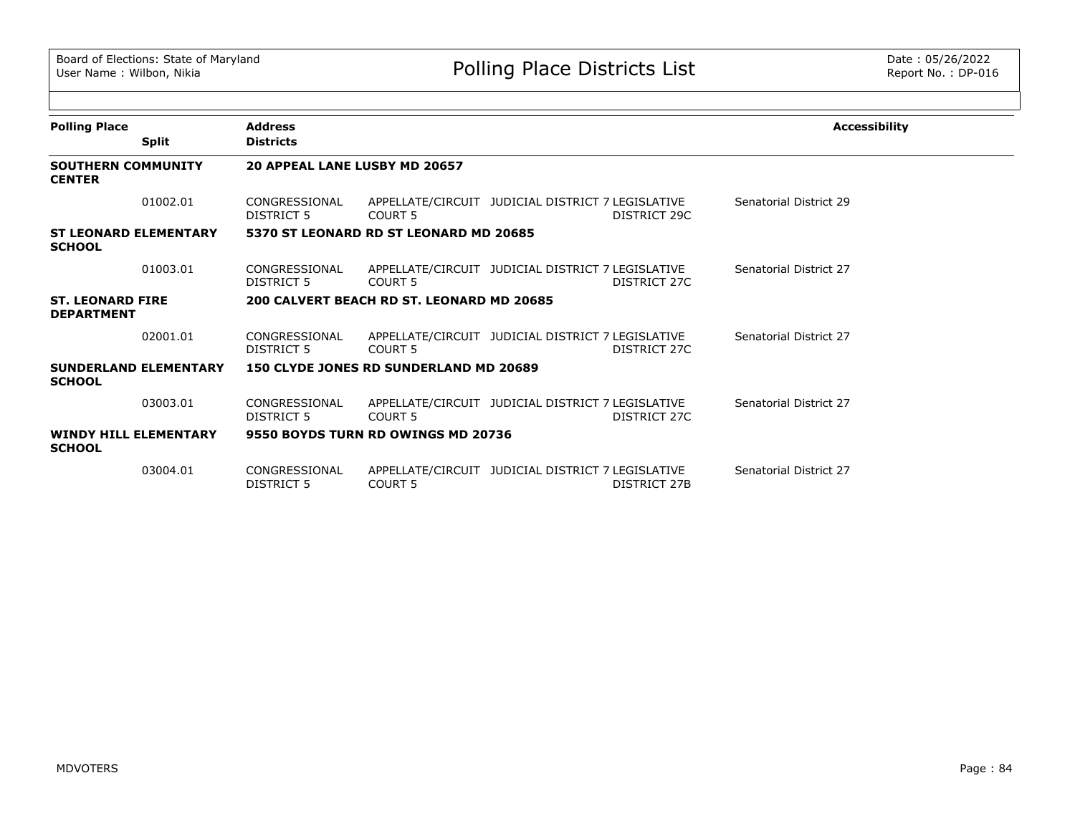| <b>Polling Place</b>                         |                              | <b>Address</b>                     |                                               |                                                   |              | <b>Accessibility</b>   |
|----------------------------------------------|------------------------------|------------------------------------|-----------------------------------------------|---------------------------------------------------|--------------|------------------------|
|                                              | <b>Split</b>                 | <b>Districts</b>                   |                                               |                                                   |              |                        |
| <b>SOUTHERN COMMUNITY</b><br><b>CENTER</b>   |                              | 20 APPEAL LANE LUSBY MD 20657      |                                               |                                                   |              |                        |
|                                              | 01002.01                     | CONGRESSIONAL<br>DISTRICT 5        | COURT 5                                       | APPELLATE/CIRCUIT JUDICIAL DISTRICT 7 LEGISLATIVE | DISTRICT 29C | Senatorial District 29 |
| <b>SCHOOL</b>                                | <b>ST LEONARD ELEMENTARY</b> |                                    | 5370 ST LEONARD RD ST LEONARD MD 20685        |                                                   |              |                        |
|                                              | 01003.01                     | CONGRESSIONAL<br>DISTRICT 5        | COURT <sub>5</sub>                            | APPELLATE/CIRCUIT JUDICIAL DISTRICT 7 LEGISLATIVE | DISTRICT 27C | Senatorial District 27 |
| <b>ST. LEONARD FIRE</b><br><b>DEPARTMENT</b> |                              |                                    | 200 CALVERT BEACH RD ST. LEONARD MD 20685     |                                                   |              |                        |
|                                              | 02001.01                     | CONGRESSIONAL<br>DISTRICT 5        | COURT <sub>5</sub>                            | APPELLATE/CIRCUIT JUDICIAL DISTRICT 7 LEGISLATIVE | DISTRICT 27C | Senatorial District 27 |
| <b>SCHOOL</b>                                | <b>SUNDERLAND ELEMENTARY</b> |                                    | <b>150 CLYDE JONES RD SUNDERLAND MD 20689</b> |                                                   |              |                        |
|                                              | 03003.01                     | CONGRESSIONAL<br>DISTRICT 5        | COURT <sub>5</sub>                            | APPELLATE/CIRCUIT JUDICIAL DISTRICT 7 LEGISLATIVE | DISTRICT 27C | Senatorial District 27 |
| <b>SCHOOL</b>                                | <b>WINDY HILL ELEMENTARY</b> |                                    | 9550 BOYDS TURN RD OWINGS MD 20736            |                                                   |              |                        |
|                                              | 03004.01                     | CONGRESSIONAL<br><b>DISTRICT 5</b> | <b>COURT 5</b>                                | APPELLATE/CIRCUIT JUDICIAL DISTRICT 7 LEGISLATIVE | DISTRICT 27B | Senatorial District 27 |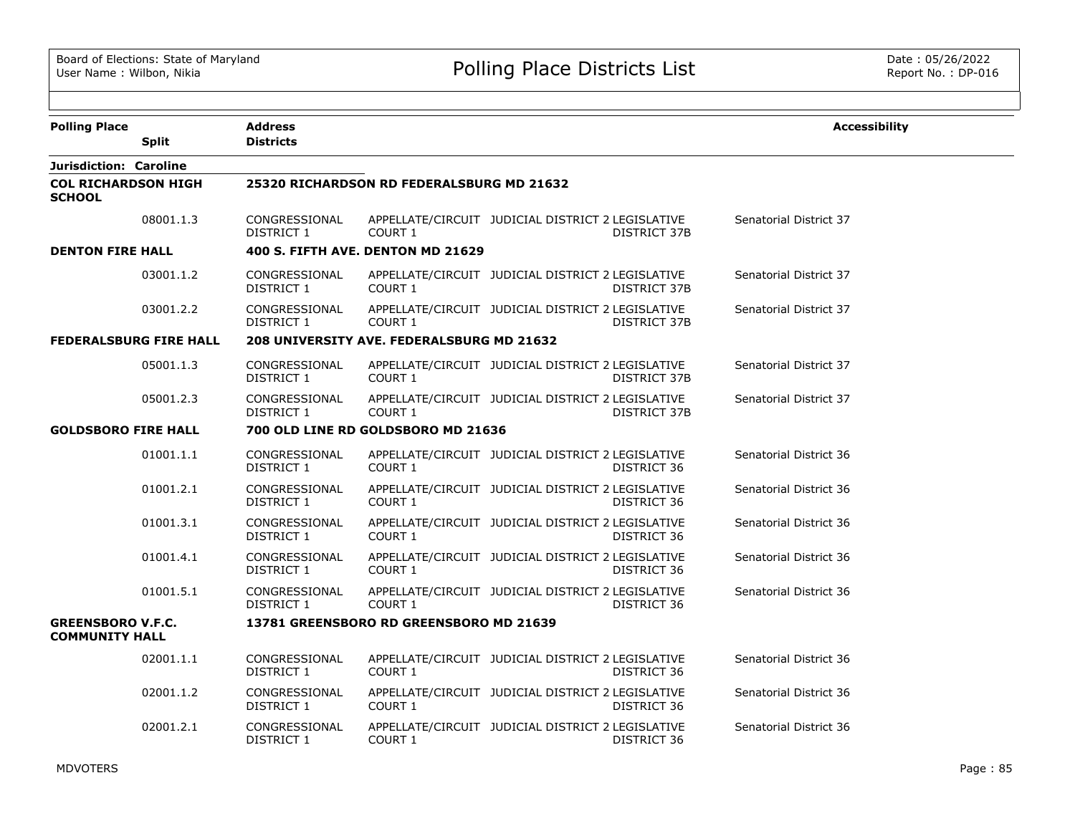| <b>Polling Place</b>                              |              | <b>Address</b>              |                                                  |                                                   |                     | <b>Accessibility</b>   |
|---------------------------------------------------|--------------|-----------------------------|--------------------------------------------------|---------------------------------------------------|---------------------|------------------------|
|                                                   | <b>Split</b> | <b>Districts</b>            |                                                  |                                                   |                     |                        |
| Jurisdiction: Caroline                            |              |                             |                                                  |                                                   |                     |                        |
| <b>COL RICHARDSON HIGH</b><br><b>SCHOOL</b>       |              |                             | 25320 RICHARDSON RD FEDERALSBURG MD 21632        |                                                   |                     |                        |
|                                                   | 08001.1.3    | CONGRESSIONAL<br>DISTRICT 1 | COURT 1                                          | APPELLATE/CIRCUIT JUDICIAL DISTRICT 2 LEGISLATIVE | <b>DISTRICT 37B</b> | Senatorial District 37 |
| <b>DENTON FIRE HALL</b>                           |              |                             | 400 S. FIFTH AVE. DENTON MD 21629                |                                                   |                     |                        |
|                                                   | 03001.1.2    | CONGRESSIONAL<br>DISTRICT 1 | COURT 1                                          | APPELLATE/CIRCUIT JUDICIAL DISTRICT 2 LEGISLATIVE | <b>DISTRICT 37B</b> | Senatorial District 37 |
|                                                   | 03001.2.2    | CONGRESSIONAL<br>DISTRICT 1 | <b>COURT 1</b>                                   | APPELLATE/CIRCUIT JUDICIAL DISTRICT 2 LEGISLATIVE | DISTRICT 37B        | Senatorial District 37 |
| <b>FEDERALSBURG FIRE HALL</b>                     |              |                             | <b>208 UNIVERSITY AVE. FEDERALSBURG MD 21632</b> |                                                   |                     |                        |
|                                                   | 05001.1.3    | CONGRESSIONAL<br>DISTRICT 1 | COURT 1                                          | APPELLATE/CIRCUIT JUDICIAL DISTRICT 2 LEGISLATIVE | <b>DISTRICT 37B</b> | Senatorial District 37 |
|                                                   | 05001.2.3    | CONGRESSIONAL<br>DISTRICT 1 | COURT 1                                          | APPELLATE/CIRCUIT JUDICIAL DISTRICT 2 LEGISLATIVE | DISTRICT 37B        | Senatorial District 37 |
| <b>GOLDSBORO FIRE HALL</b>                        |              |                             | 700 OLD LINE RD GOLDSBORO MD 21636               |                                                   |                     |                        |
|                                                   | 01001.1.1    | CONGRESSIONAL<br>DISTRICT 1 | COURT 1                                          | APPELLATE/CIRCUIT JUDICIAL DISTRICT 2 LEGISLATIVE | DISTRICT 36         | Senatorial District 36 |
|                                                   | 01001.2.1    | CONGRESSIONAL<br>DISTRICT 1 | COURT 1                                          | APPELLATE/CIRCUIT JUDICIAL DISTRICT 2 LEGISLATIVE | DISTRICT 36         | Senatorial District 36 |
|                                                   | 01001.3.1    | CONGRESSIONAL<br>DISTRICT 1 | COURT 1                                          | APPELLATE/CIRCUIT JUDICIAL DISTRICT 2 LEGISLATIVE | DISTRICT 36         | Senatorial District 36 |
|                                                   | 01001.4.1    | CONGRESSIONAL<br>DISTRICT 1 | COURT 1                                          | APPELLATE/CIRCUIT JUDICIAL DISTRICT 2 LEGISLATIVE | DISTRICT 36         | Senatorial District 36 |
|                                                   | 01001.5.1    | CONGRESSIONAL<br>DISTRICT 1 | COURT 1                                          | APPELLATE/CIRCUIT JUDICIAL DISTRICT 2 LEGISLATIVE | DISTRICT 36         | Senatorial District 36 |
| <b>GREENSBORO V.F.C.</b><br><b>COMMUNITY HALL</b> |              |                             | 13781 GREENSBORO RD GREENSBORO MD 21639          |                                                   |                     |                        |
|                                                   | 02001.1.1    | CONGRESSIONAL<br>DISTRICT 1 | COURT 1                                          | APPELLATE/CIRCUIT JUDICIAL DISTRICT 2 LEGISLATIVE | DISTRICT 36         | Senatorial District 36 |
|                                                   | 02001.1.2    | CONGRESSIONAL<br>DISTRICT 1 | COURT 1                                          | APPELLATE/CIRCUIT JUDICIAL DISTRICT 2 LEGISLATIVE | DISTRICT 36         | Senatorial District 36 |
|                                                   | 02001.2.1    | CONGRESSIONAL<br>DISTRICT 1 | COURT <sub>1</sub>                               | APPELLATE/CIRCUIT JUDICIAL DISTRICT 2 LEGISLATIVE | DISTRICT 36         | Senatorial District 36 |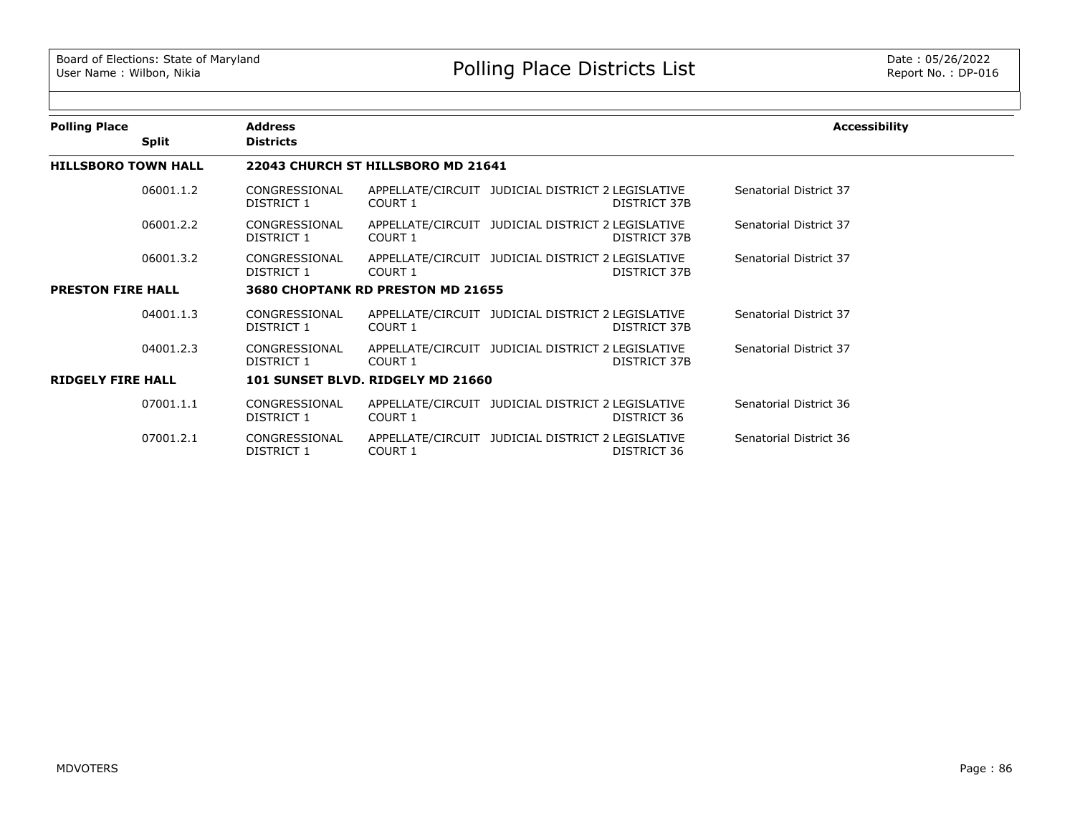| <b>Polling Place</b>       | <b>Address</b>              |                                    |                                                   |              | <b>Accessibility</b>   |
|----------------------------|-----------------------------|------------------------------------|---------------------------------------------------|--------------|------------------------|
| <b>Split</b>               | <b>Districts</b>            |                                    |                                                   |              |                        |
| <b>HILLSBORO TOWN HALL</b> |                             | 22043 CHURCH ST HILLSBORO MD 21641 |                                                   |              |                        |
| 06001.1.2                  | CONGRESSIONAL<br>DISTRICT 1 | COURT 1                            | APPELLATE/CIRCUIT JUDICIAL DISTRICT 2 LEGISLATIVE | DISTRICT 37B | Senatorial District 37 |
| 06001.2.2                  | CONGRESSIONAL<br>DISTRICT 1 | COURT 1                            | APPELLATE/CIRCUIT JUDICIAL DISTRICT 2 LEGISLATIVE | DISTRICT 37B | Senatorial District 37 |
| 06001.3.2                  | CONGRESSIONAL<br>DISTRICT 1 | COURT 1                            | APPELLATE/CIRCUIT JUDICIAL DISTRICT 2 LEGISLATIVE | DISTRICT 37B | Senatorial District 37 |
| <b>PRESTON FIRE HALL</b>   |                             | 3680 CHOPTANK RD PRESTON MD 21655  |                                                   |              |                        |
| 04001.1.3                  | CONGRESSIONAL<br>DISTRICT 1 | COURT 1                            | APPELLATE/CIRCUIT JUDICIAL DISTRICT 2 LEGISLATIVE | DISTRICT 37B | Senatorial District 37 |
| 04001.2.3                  | CONGRESSIONAL<br>DISTRICT 1 | COURT 1                            | APPELLATE/CIRCUIT JUDICIAL DISTRICT 2 LEGISLATIVE | DISTRICT 37B | Senatorial District 37 |
| <b>RIDGELY FIRE HALL</b>   |                             | 101 SUNSET BLVD. RIDGELY MD 21660  |                                                   |              |                        |
| 07001.1.1                  | CONGRESSIONAL<br>DISTRICT 1 | COURT 1                            | APPELLATE/CIRCUIT JUDICIAL DISTRICT 2 LEGISLATIVE | DISTRICT 36  | Senatorial District 36 |
| 07001.2.1                  | CONGRESSIONAL<br>DISTRICT 1 | COURT 1                            | APPELLATE/CIRCUIT JUDICIAL DISTRICT 2 LEGISLATIVE | DISTRICT 36  | Senatorial District 36 |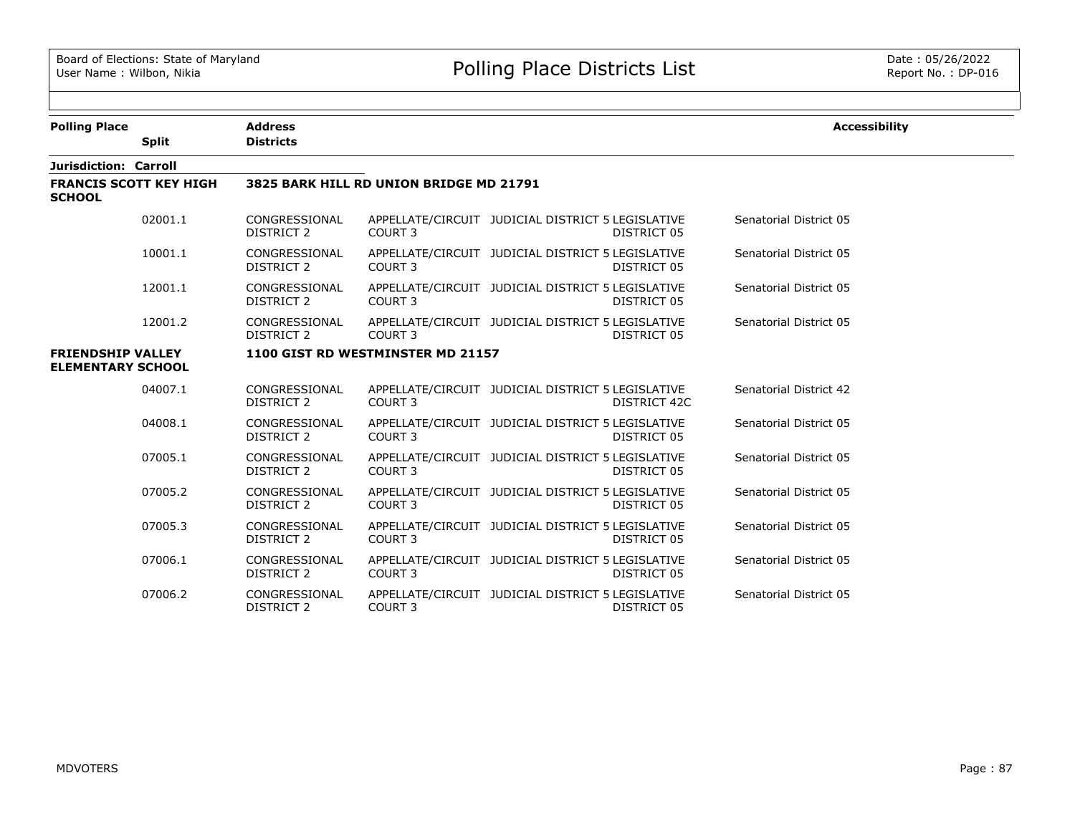$\equiv$ 

e e

| <b>Polling Place</b>                                 |              | <b>Address</b>                     |                                         |                                                                   | <b>Accessibility</b>   |
|------------------------------------------------------|--------------|------------------------------------|-----------------------------------------|-------------------------------------------------------------------|------------------------|
|                                                      | <b>Split</b> | <b>Districts</b>                   |                                         |                                                                   |                        |
| Jurisdiction: Carroll                                |              |                                    |                                         |                                                                   |                        |
| <b>FRANCIS SCOTT KEY HIGH</b><br><b>SCHOOL</b>       |              |                                    | 3825 BARK HILL RD UNION BRIDGE MD 21791 |                                                                   |                        |
|                                                      | 02001.1      | CONGRESSIONAL<br>DISTRICT 2        | COURT 3                                 | APPELLATE/CIRCUIT JUDICIAL DISTRICT 5 LEGISLATIVE<br>DISTRICT 05  | Senatorial District 05 |
|                                                      | 10001.1      | CONGRESSIONAL<br>DISTRICT 2        | COURT <sub>3</sub>                      | APPELLATE/CIRCUIT JUDICIAL DISTRICT 5 LEGISLATIVE<br>DISTRICT 05  | Senatorial District 05 |
|                                                      | 12001.1      | CONGRESSIONAL<br>DISTRICT 2        | COURT 3                                 | APPELLATE/CIRCUIT JUDICIAL DISTRICT 5 LEGISLATIVE<br>DISTRICT 05  | Senatorial District 05 |
|                                                      | 12001.2      | CONGRESSIONAL<br>DISTRICT 2        | COURT <sub>3</sub>                      | APPELLATE/CIRCUIT JUDICIAL DISTRICT 5 LEGISLATIVE<br>DISTRICT 05  | Senatorial District 05 |
| <b>FRIENDSHIP VALLEY</b><br><b>ELEMENTARY SCHOOL</b> |              |                                    | 1100 GIST RD WESTMINSTER MD 21157       |                                                                   |                        |
|                                                      | 04007.1      | CONGRESSIONAL<br>DISTRICT 2        | COURT <sub>3</sub>                      | APPELLATE/CIRCUIT JUDICIAL DISTRICT 5 LEGISLATIVE<br>DISTRICT 42C | Senatorial District 42 |
|                                                      | 04008.1      | CONGRESSIONAL<br>DISTRICT 2        | COURT <sub>3</sub>                      | APPELLATE/CIRCUIT JUDICIAL DISTRICT 5 LEGISLATIVE<br>DISTRICT 05  | Senatorial District 05 |
|                                                      | 07005.1      | CONGRESSIONAL<br><b>DISTRICT 2</b> | COURT <sub>3</sub>                      | APPELLATE/CIRCUIT JUDICIAL DISTRICT 5 LEGISLATIVE<br>DISTRICT 05  | Senatorial District 05 |
|                                                      | 07005.2      | CONGRESSIONAL<br>DISTRICT 2        | COURT <sub>3</sub>                      | APPELLATE/CIRCUIT JUDICIAL DISTRICT 5 LEGISLATIVE<br>DISTRICT 05  | Senatorial District 05 |
|                                                      | 07005.3      | CONGRESSIONAL<br>DISTRICT 2        | COURT <sub>3</sub>                      | APPELLATE/CIRCUIT JUDICIAL DISTRICT 5 LEGISLATIVE<br>DISTRICT 05  | Senatorial District 05 |
|                                                      | 07006.1      | CONGRESSIONAL<br><b>DISTRICT 2</b> | COURT <sub>3</sub>                      | APPELLATE/CIRCUIT JUDICIAL DISTRICT 5 LEGISLATIVE<br>DISTRICT 05  | Senatorial District 05 |
|                                                      | 07006.2      | CONGRESSIONAL<br><b>DISTRICT 2</b> | COURT <sub>3</sub>                      | APPELLATE/CIRCUIT JUDICIAL DISTRICT 5 LEGISLATIVE<br>DISTRICT 05  | Senatorial District 05 |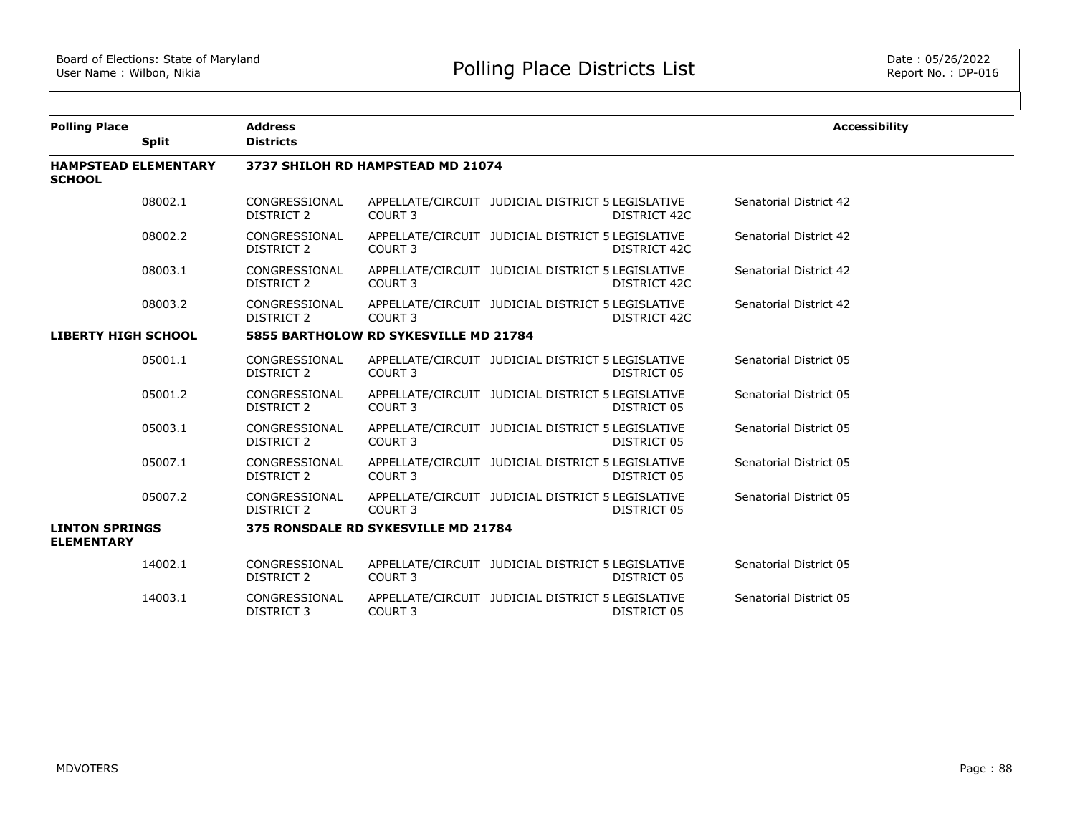| <b>Polling Place</b>                         |              | <b>Address</b>                     |                                       |                                                   |              | <b>Accessibility</b>   |
|----------------------------------------------|--------------|------------------------------------|---------------------------------------|---------------------------------------------------|--------------|------------------------|
|                                              | <b>Split</b> | <b>Districts</b>                   |                                       |                                                   |              |                        |
| <b>HAMPSTEAD ELEMENTARY</b><br><b>SCHOOL</b> |              |                                    | 3737 SHILOH RD HAMPSTEAD MD 21074     |                                                   |              |                        |
|                                              | 08002.1      | CONGRESSIONAL<br><b>DISTRICT 2</b> | COURT <sub>3</sub>                    | APPELLATE/CIRCUIT JUDICIAL DISTRICT 5 LEGISLATIVE | DISTRICT 42C | Senatorial District 42 |
|                                              | 08002.2      | CONGRESSIONAL<br><b>DISTRICT 2</b> | COURT <sub>3</sub>                    | APPELLATE/CIRCUIT JUDICIAL DISTRICT 5 LEGISLATIVE | DISTRICT 42C | Senatorial District 42 |
|                                              | 08003.1      | CONGRESSIONAL<br>DISTRICT 2        | COURT <sub>3</sub>                    | APPELLATE/CIRCUIT JUDICIAL DISTRICT 5 LEGISLATIVE | DISTRICT 42C | Senatorial District 42 |
|                                              | 08003.2      | CONGRESSIONAL<br>DISTRICT 2        | COURT <sub>3</sub>                    | APPELLATE/CIRCUIT JUDICIAL DISTRICT 5 LEGISLATIVE | DISTRICT 42C | Senatorial District 42 |
| <b>LIBERTY HIGH SCHOOL</b>                   |              |                                    | 5855 BARTHOLOW RD SYKESVILLE MD 21784 |                                                   |              |                        |
|                                              | 05001.1      | CONGRESSIONAL<br><b>DISTRICT 2</b> | COURT <sub>3</sub>                    | APPELLATE/CIRCUIT JUDICIAL DISTRICT 5 LEGISLATIVE | DISTRICT 05  | Senatorial District 05 |
|                                              | 05001.2      | CONGRESSIONAL<br><b>DISTRICT 2</b> | COURT <sub>3</sub>                    | APPELLATE/CIRCUIT JUDICIAL DISTRICT 5 LEGISLATIVE | DISTRICT 05  | Senatorial District 05 |
|                                              | 05003.1      | CONGRESSIONAL<br><b>DISTRICT 2</b> | COURT <sub>3</sub>                    | APPELLATE/CIRCUIT JUDICIAL DISTRICT 5 LEGISLATIVE | DISTRICT 05  | Senatorial District 05 |
|                                              | 05007.1      | CONGRESSIONAL<br><b>DISTRICT 2</b> | COURT <sub>3</sub>                    | APPELLATE/CIRCUIT JUDICIAL DISTRICT 5 LEGISLATIVE | DISTRICT 05  | Senatorial District 05 |
|                                              | 05007.2      | CONGRESSIONAL<br>DISTRICT 2        | COURT <sub>3</sub>                    | APPELLATE/CIRCUIT JUDICIAL DISTRICT 5 LEGISLATIVE | DISTRICT 05  | Senatorial District 05 |
| <b>LINTON SPRINGS</b><br><b>ELEMENTARY</b>   |              |                                    | 375 RONSDALE RD SYKESVILLE MD 21784   |                                                   |              |                        |
|                                              | 14002.1      | CONGRESSIONAL<br>DISTRICT 2        | COURT <sub>3</sub>                    | APPELLATE/CIRCUIT JUDICIAL DISTRICT 5 LEGISLATIVE | DISTRICT 05  | Senatorial District 05 |
|                                              | 14003.1      | CONGRESSIONAL<br><b>DISTRICT 3</b> | COURT 3                               | APPELLATE/CIRCUIT JUDICIAL DISTRICT 5 LEGISLATIVE | DISTRICT 05  | Senatorial District 05 |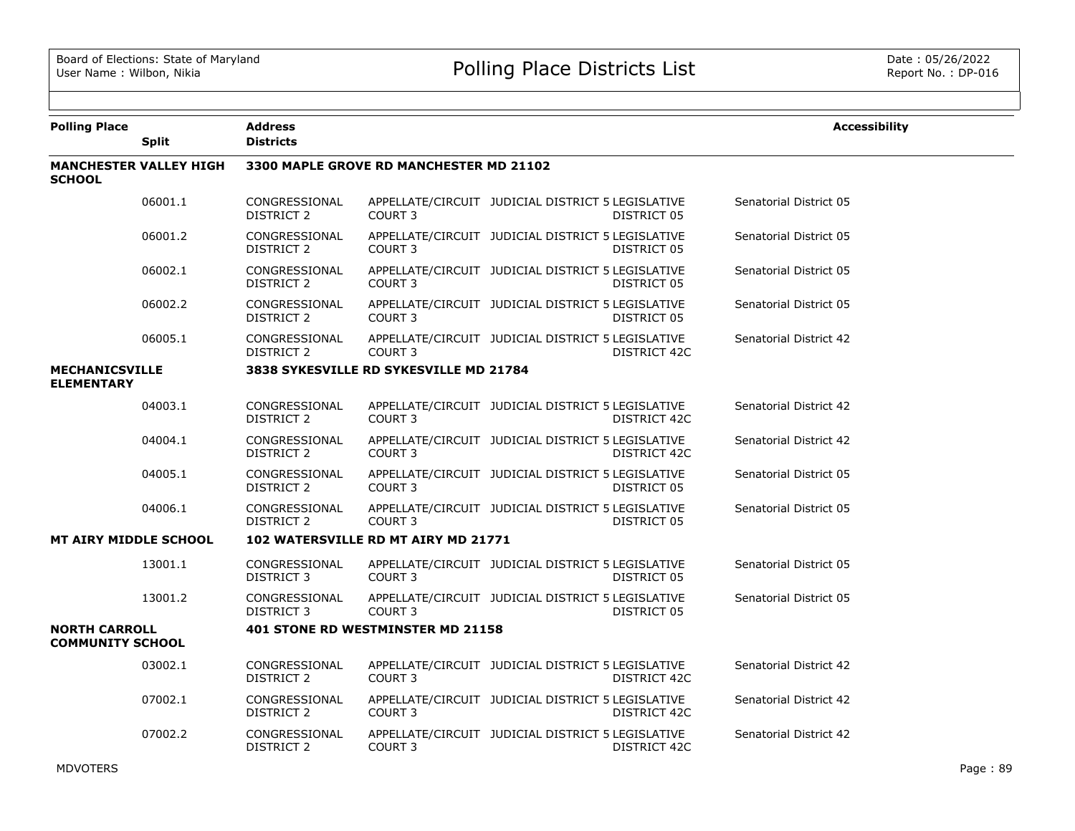| <b>Polling Place</b>                            | <b>Split</b>                  | <b>Address</b><br><b>Districts</b> |                                         |                                                   |              | <b>Accessibility</b>   |
|-------------------------------------------------|-------------------------------|------------------------------------|-----------------------------------------|---------------------------------------------------|--------------|------------------------|
| <b>SCHOOL</b>                                   | <b>MANCHESTER VALLEY HIGH</b> |                                    | 3300 MAPLE GROVE RD MANCHESTER MD 21102 |                                                   |              |                        |
|                                                 | 06001.1                       | CONGRESSIONAL<br><b>DISTRICT 2</b> | COURT <sub>3</sub>                      | APPELLATE/CIRCUIT JUDICIAL DISTRICT 5 LEGISLATIVE | DISTRICT 05  | Senatorial District 05 |
|                                                 | 06001.2                       | CONGRESSIONAL<br>DISTRICT 2        | <b>COURT 3</b>                          | APPELLATE/CIRCUIT JUDICIAL DISTRICT 5 LEGISLATIVE | DISTRICT 05  | Senatorial District 05 |
|                                                 | 06002.1                       | CONGRESSIONAL<br>DISTRICT 2        | <b>COURT 3</b>                          | APPELLATE/CIRCUIT JUDICIAL DISTRICT 5 LEGISLATIVE | DISTRICT 05  | Senatorial District 05 |
|                                                 | 06002.2                       | CONGRESSIONAL<br>DISTRICT 2        | COURT <sub>3</sub>                      | APPELLATE/CIRCUIT JUDICIAL DISTRICT 5 LEGISLATIVE | DISTRICT 05  | Senatorial District 05 |
|                                                 | 06005.1                       | CONGRESSIONAL<br><b>DISTRICT 2</b> | COURT <sub>3</sub>                      | APPELLATE/CIRCUIT JUDICIAL DISTRICT 5 LEGISLATIVE | DISTRICT 42C | Senatorial District 42 |
| <b>MECHANICSVILLE</b><br><b>ELEMENTARY</b>      |                               |                                    | 3838 SYKESVILLE RD SYKESVILLE MD 21784  |                                                   |              |                        |
|                                                 | 04003.1                       | CONGRESSIONAL<br>DISTRICT 2        | COURT <sub>3</sub>                      | APPELLATE/CIRCUIT JUDICIAL DISTRICT 5 LEGISLATIVE | DISTRICT 42C | Senatorial District 42 |
|                                                 | 04004.1                       | CONGRESSIONAL<br>DISTRICT 2        | COURT <sub>3</sub>                      | APPELLATE/CIRCUIT JUDICIAL DISTRICT 5 LEGISLATIVE | DISTRICT 42C | Senatorial District 42 |
|                                                 | 04005.1                       | CONGRESSIONAL<br>DISTRICT 2        | COURT <sub>3</sub>                      | APPELLATE/CIRCUIT JUDICIAL DISTRICT 5 LEGISLATIVE | DISTRICT 05  | Senatorial District 05 |
|                                                 | 04006.1                       | CONGRESSIONAL<br>DISTRICT 2        | COURT <sub>3</sub>                      | APPELLATE/CIRCUIT JUDICIAL DISTRICT 5 LEGISLATIVE | DISTRICT 05  | Senatorial District 05 |
| <b>MT AIRY MIDDLE SCHOOL</b>                    |                               |                                    | 102 WATERSVILLE RD MT AIRY MD 21771     |                                                   |              |                        |
|                                                 | 13001.1                       | CONGRESSIONAL<br><b>DISTRICT 3</b> | COURT <sub>3</sub>                      | APPELLATE/CIRCUIT JUDICIAL DISTRICT 5 LEGISLATIVE | DISTRICT 05  | Senatorial District 05 |
|                                                 | 13001.2                       | CONGRESSIONAL<br><b>DISTRICT 3</b> | COURT 3                                 | APPELLATE/CIRCUIT JUDICIAL DISTRICT 5 LEGISLATIVE | DISTRICT 05  | Senatorial District 05 |
| <b>NORTH CARROLL</b><br><b>COMMUNITY SCHOOL</b> |                               |                                    | 401 STONE RD WESTMINSTER MD 21158       |                                                   |              |                        |
|                                                 | 03002.1                       | CONGRESSIONAL<br>DISTRICT 2        | <b>COURT 3</b>                          | APPELLATE/CIRCUIT JUDICIAL DISTRICT 5 LEGISLATIVE | DISTRICT 42C | Senatorial District 42 |
|                                                 | 07002.1                       | CONGRESSIONAL<br>DISTRICT 2        | COURT <sub>3</sub>                      | APPELLATE/CIRCUIT JUDICIAL DISTRICT 5 LEGISLATIVE | DISTRICT 42C | Senatorial District 42 |
|                                                 | 07002.2                       | CONGRESSIONAL<br>DISTRICT 2        | COURT <sub>3</sub>                      | APPELLATE/CIRCUIT JUDICIAL DISTRICT 5 LEGISLATIVE | DISTRICT 42C | Senatorial District 42 |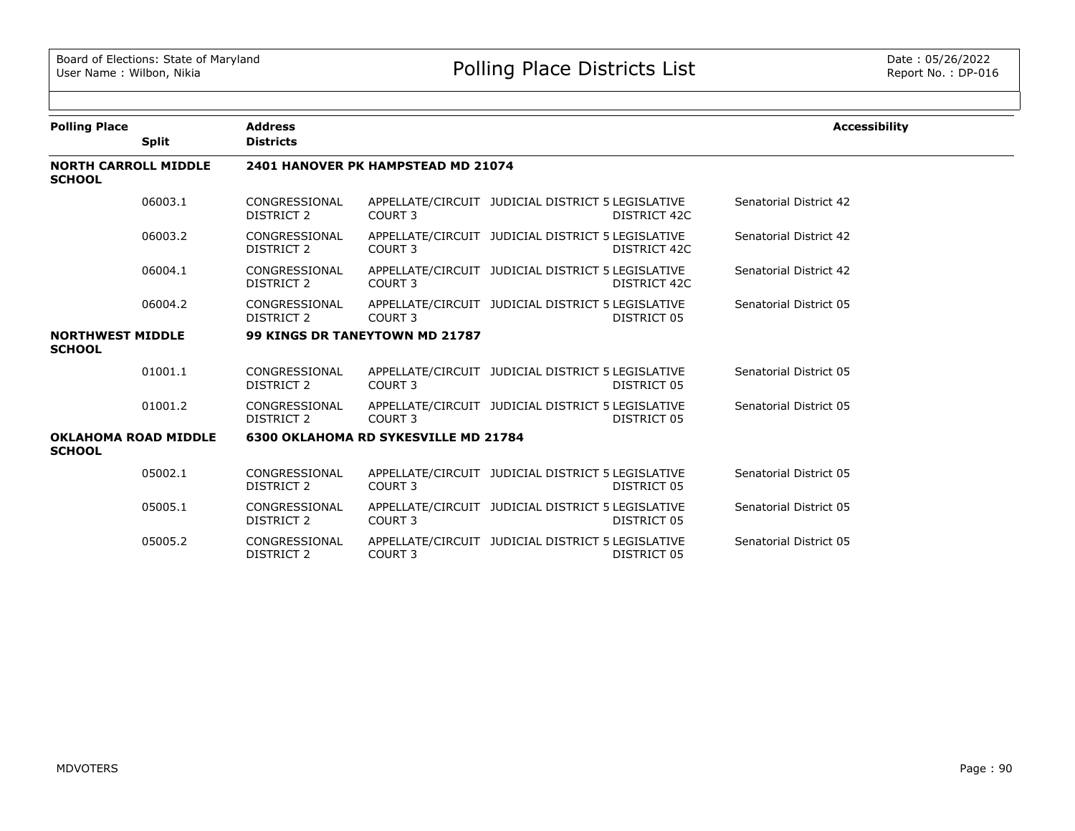| <b>Polling Place</b>                         |              | <b>Address</b>                     |                                             |                                                                   | <b>Accessibility</b>   |
|----------------------------------------------|--------------|------------------------------------|---------------------------------------------|-------------------------------------------------------------------|------------------------|
|                                              | <b>Split</b> | <b>Districts</b>                   |                                             |                                                                   |                        |
| <b>NORTH CARROLL MIDDLE</b><br><b>SCHOOL</b> |              |                                    | 2401 HANOVER PK HAMPSTEAD MD 21074          |                                                                   |                        |
|                                              | 06003.1      | CONGRESSIONAL<br>DISTRICT 2        | COURT 3                                     | APPELLATE/CIRCUIT JUDICIAL DISTRICT 5 LEGISLATIVE<br>DISTRICT 42C | Senatorial District 42 |
|                                              | 06003.2      | CONGRESSIONAL<br>DISTRICT 2        | COURT <sub>3</sub>                          | APPELLATE/CIRCUIT JUDICIAL DISTRICT 5 LEGISLATIVE<br>DISTRICT 42C | Senatorial District 42 |
|                                              | 06004.1      | CONGRESSIONAL<br>DISTRICT 2        | COURT <sub>3</sub>                          | APPELLATE/CIRCUIT JUDICIAL DISTRICT 5 LEGISLATIVE<br>DISTRICT 42C | Senatorial District 42 |
|                                              | 06004.2      | CONGRESSIONAL<br>DISTRICT 2        | COURT 3                                     | APPELLATE/CIRCUIT JUDICIAL DISTRICT 5 LEGISLATIVE<br>DISTRICT 05  | Senatorial District 05 |
| <b>NORTHWEST MIDDLE</b><br><b>SCHOOL</b>     |              |                                    | 99 KINGS DR TANEYTOWN MD 21787              |                                                                   |                        |
|                                              | 01001.1      | CONGRESSIONAL<br>DISTRICT 2        | COURT 3                                     | APPELLATE/CIRCUIT JUDICIAL DISTRICT 5 LEGISLATIVE<br>DISTRICT 05  | Senatorial District 05 |
|                                              | 01001.2      | CONGRESSIONAL<br><b>DISTRICT 2</b> | COURT <sub>3</sub>                          | APPELLATE/CIRCUIT JUDICIAL DISTRICT 5 LEGISLATIVE<br>DISTRICT 05  | Senatorial District 05 |
| <b>OKLAHOMA ROAD MIDDLE</b><br><b>SCHOOL</b> |              |                                    | <b>6300 OKLAHOMA RD SYKESVILLE MD 21784</b> |                                                                   |                        |
|                                              | 05002.1      | CONGRESSIONAL<br><b>DISTRICT 2</b> | COURT <sub>3</sub>                          | APPELLATE/CIRCUIT JUDICIAL DISTRICT 5 LEGISLATIVE<br>DISTRICT 05  | Senatorial District 05 |
|                                              | 05005.1      | CONGRESSIONAL<br><b>DISTRICT 2</b> | <b>COURT 3</b>                              | APPELLATE/CIRCUIT JUDICIAL DISTRICT 5 LEGISLATIVE<br>DISTRICT 05  | Senatorial District 05 |
|                                              | 05005.2      | CONGRESSIONAL<br>DISTRICT 2        | COURT <sub>3</sub>                          | APPELLATE/CIRCUIT JUDICIAL DISTRICT 5 LEGISLATIVE<br>DISTRICT 05  | Senatorial District 05 |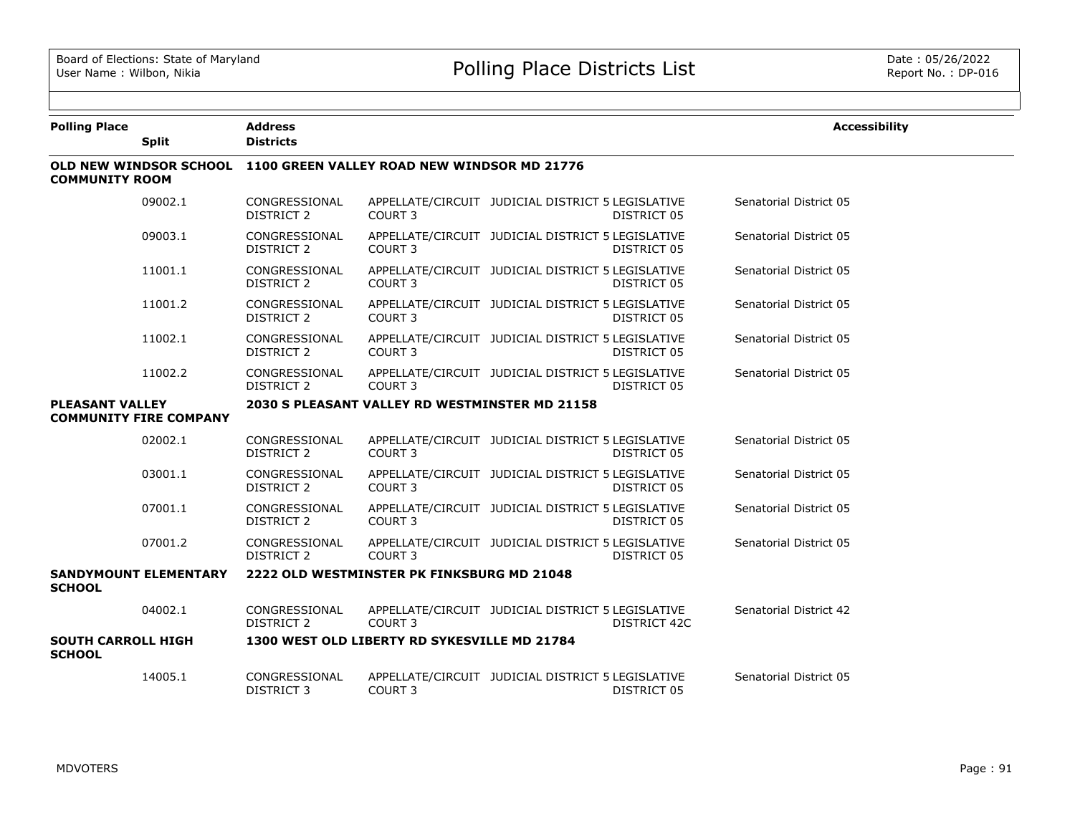| <b>Polling Place</b>                          | <b>Split</b>                  | <b>Address</b><br><b>Districts</b> |                                                                    |                                                   |                     | <b>Accessibility</b>   |
|-----------------------------------------------|-------------------------------|------------------------------------|--------------------------------------------------------------------|---------------------------------------------------|---------------------|------------------------|
|                                               |                               |                                    | OLD NEW WINDSOR SCHOOL 1100 GREEN VALLEY ROAD NEW WINDSOR MD 21776 |                                                   |                     |                        |
| <b>COMMUNITY ROOM</b>                         |                               |                                    |                                                                    |                                                   |                     |                        |
|                                               | 09002.1                       | CONGRESSIONAL<br>DISTRICT 2        | COURT <sub>3</sub>                                                 | APPELLATE/CIRCUIT JUDICIAL DISTRICT 5 LEGISLATIVE | DISTRICT 05         | Senatorial District 05 |
|                                               | 09003.1                       | CONGRESSIONAL<br><b>DISTRICT 2</b> | COURT <sub>3</sub>                                                 | APPELLATE/CIRCUIT JUDICIAL DISTRICT 5 LEGISLATIVE | DISTRICT 05         | Senatorial District 05 |
|                                               | 11001.1                       | CONGRESSIONAL<br><b>DISTRICT 2</b> | <b>COURT 3</b>                                                     | APPELLATE/CIRCUIT JUDICIAL DISTRICT 5 LEGISLATIVE | DISTRICT 05         | Senatorial District 05 |
|                                               | 11001.2                       | CONGRESSIONAL<br>DISTRICT 2        | COURT <sub>3</sub>                                                 | APPELLATE/CIRCUIT JUDICIAL DISTRICT 5 LEGISLATIVE | DISTRICT 05         | Senatorial District 05 |
|                                               | 11002.1                       | CONGRESSIONAL<br><b>DISTRICT 2</b> | COURT <sub>3</sub>                                                 | APPELLATE/CIRCUIT JUDICIAL DISTRICT 5 LEGISLATIVE | DISTRICT 05         | Senatorial District 05 |
|                                               | 11002.2                       | CONGRESSIONAL<br>DISTRICT 2        | COURT <sub>3</sub>                                                 | APPELLATE/CIRCUIT JUDICIAL DISTRICT 5 LEGISLATIVE | DISTRICT 05         | Senatorial District 05 |
| <b>PLEASANT VALLEY</b>                        | <b>COMMUNITY FIRE COMPANY</b> |                                    | 2030 S PLEASANT VALLEY RD WESTMINSTER MD 21158                     |                                                   |                     |                        |
|                                               | 02002.1                       | CONGRESSIONAL<br>DISTRICT 2        | COURT <sub>3</sub>                                                 | APPELLATE/CIRCUIT JUDICIAL DISTRICT 5 LEGISLATIVE | DISTRICT 05         | Senatorial District 05 |
|                                               | 03001.1                       | CONGRESSIONAL<br>DISTRICT 2        | COURT <sub>3</sub>                                                 | APPELLATE/CIRCUIT JUDICIAL DISTRICT 5 LEGISLATIVE | DISTRICT 05         | Senatorial District 05 |
|                                               | 07001.1                       | CONGRESSIONAL<br>DISTRICT 2        | COURT <sub>3</sub>                                                 | APPELLATE/CIRCUIT JUDICIAL DISTRICT 5 LEGISLATIVE | DISTRICT 05         | Senatorial District 05 |
|                                               | 07001.2                       | CONGRESSIONAL<br>DISTRICT 2        | COURT <sub>3</sub>                                                 | APPELLATE/CIRCUIT JUDICIAL DISTRICT 5 LEGISLATIVE | DISTRICT 05         | Senatorial District 05 |
| <b>SANDYMOUNT ELEMENTARY</b><br><b>SCHOOL</b> |                               |                                    | 2222 OLD WESTMINSTER PK FINKSBURG MD 21048                         |                                                   |                     |                        |
|                                               | 04002.1                       | CONGRESSIONAL<br><b>DISTRICT 2</b> | COURT <sub>3</sub>                                                 | APPELLATE/CIRCUIT JUDICIAL DISTRICT 5 LEGISLATIVE | <b>DISTRICT 42C</b> | Senatorial District 42 |
| <b>SOUTH CARROLL HIGH</b><br><b>SCHOOL</b>    |                               |                                    | 1300 WEST OLD LIBERTY RD SYKESVILLE MD 21784                       |                                                   |                     |                        |
|                                               | 14005.1                       | CONGRESSIONAL<br><b>DISTRICT 3</b> | COURT 3                                                            | APPELLATE/CIRCUIT JUDICIAL DISTRICT 5 LEGISLATIVE | DISTRICT 05         | Senatorial District 05 |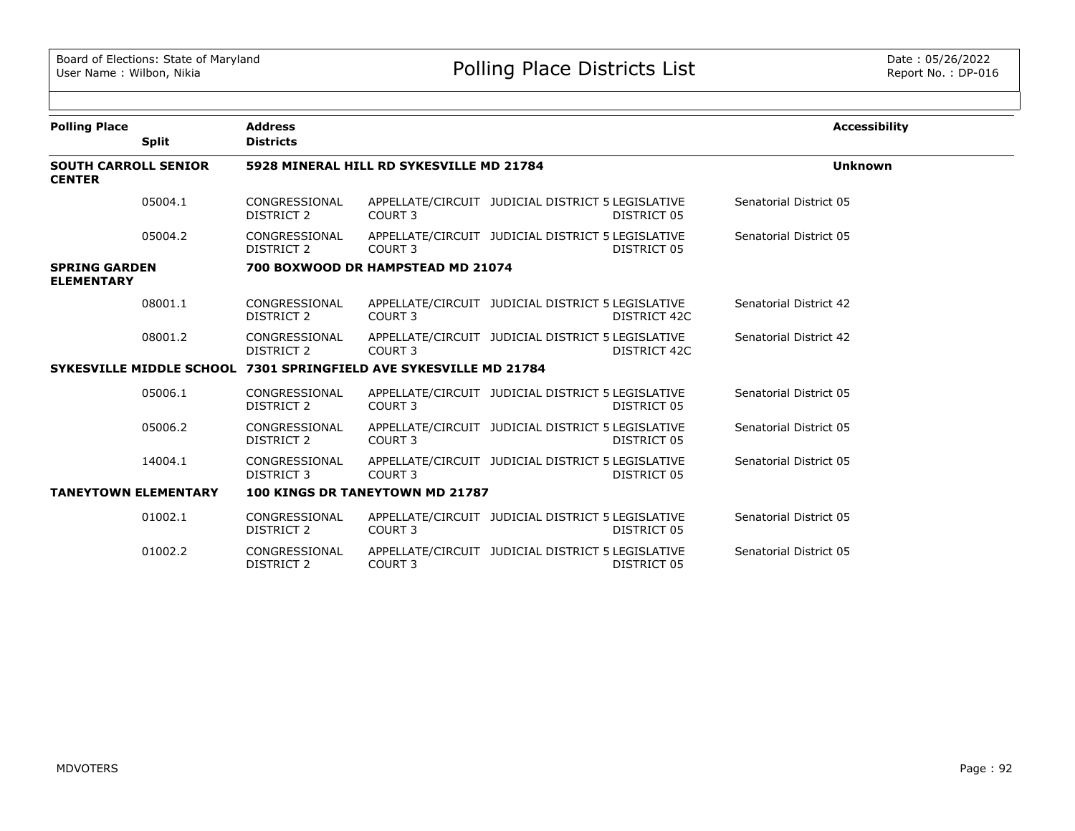| <b>Polling Place</b>                         |              | <b>Address</b>                     |                                                                   |                                                                   |                        | <b>Accessibility</b> |
|----------------------------------------------|--------------|------------------------------------|-------------------------------------------------------------------|-------------------------------------------------------------------|------------------------|----------------------|
|                                              | <b>Split</b> | <b>Districts</b>                   |                                                                   |                                                                   |                        |                      |
| <b>SOUTH CARROLL SENIOR</b><br><b>CENTER</b> |              |                                    | 5928 MINERAL HILL RD SYKESVILLE MD 21784                          |                                                                   |                        | <b>Unknown</b>       |
|                                              | 05004.1      | CONGRESSIONAL<br>DISTRICT 2        | COURT <sub>3</sub>                                                | APPELLATE/CIRCUIT JUDICIAL DISTRICT 5 LEGISLATIVE<br>DISTRICT 05  | Senatorial District 05 |                      |
|                                              | 05004.2      | CONGRESSIONAL<br>DISTRICT 2        | COURT 3                                                           | APPELLATE/CIRCUIT JUDICIAL DISTRICT 5 LEGISLATIVE<br>DISTRICT 05  | Senatorial District 05 |                      |
| <b>SPRING GARDEN</b><br><b>ELEMENTARY</b>    |              |                                    | 700 BOXWOOD DR HAMPSTEAD MD 21074                                 |                                                                   |                        |                      |
|                                              | 08001.1      | CONGRESSIONAL<br><b>DISTRICT 2</b> | COURT <sub>3</sub>                                                | APPELLATE/CIRCUIT JUDICIAL DISTRICT 5 LEGISLATIVE<br>DISTRICT 42C | Senatorial District 42 |                      |
|                                              | 08001.2      | CONGRESSIONAL<br>DISTRICT 2        | COURT 3                                                           | APPELLATE/CIRCUIT JUDICIAL DISTRICT 5 LEGISLATIVE<br>DISTRICT 42C | Senatorial District 42 |                      |
|                                              |              |                                    | SYKESVILLE MIDDLE SCHOOL 7301 SPRINGFIELD AVE SYKESVILLE MD 21784 |                                                                   |                        |                      |
|                                              | 05006.1      | CONGRESSIONAL<br><b>DISTRICT 2</b> | COURT 3                                                           | APPELLATE/CIRCUIT JUDICIAL DISTRICT 5 LEGISLATIVE<br>DISTRICT 05  | Senatorial District 05 |                      |
|                                              | 05006.2      | CONGRESSIONAL<br><b>DISTRICT 2</b> | COURT <sub>3</sub>                                                | APPELLATE/CIRCUIT JUDICIAL DISTRICT 5 LEGISLATIVE<br>DISTRICT 05  | Senatorial District 05 |                      |
|                                              | 14004.1      | CONGRESSIONAL<br>DISTRICT 3        | COURT 3                                                           | APPELLATE/CIRCUIT JUDICIAL DISTRICT 5 LEGISLATIVE<br>DISTRICT 05  | Senatorial District 05 |                      |
| <b>TANEYTOWN ELEMENTARY</b>                  |              |                                    | <b>100 KINGS DR TANEYTOWN MD 21787</b>                            |                                                                   |                        |                      |
|                                              | 01002.1      | CONGRESSIONAL<br><b>DISTRICT 2</b> | COURT <sub>3</sub>                                                | APPELLATE/CIRCUIT JUDICIAL DISTRICT 5 LEGISLATIVE<br>DISTRICT 05  | Senatorial District 05 |                      |
|                                              | 01002.2      | CONGRESSIONAL<br>DISTRICT 2        | COURT 3                                                           | APPELLATE/CIRCUIT JUDICIAL DISTRICT 5 LEGISLATIVE<br>DISTRICT 05  | Senatorial District 05 |                      |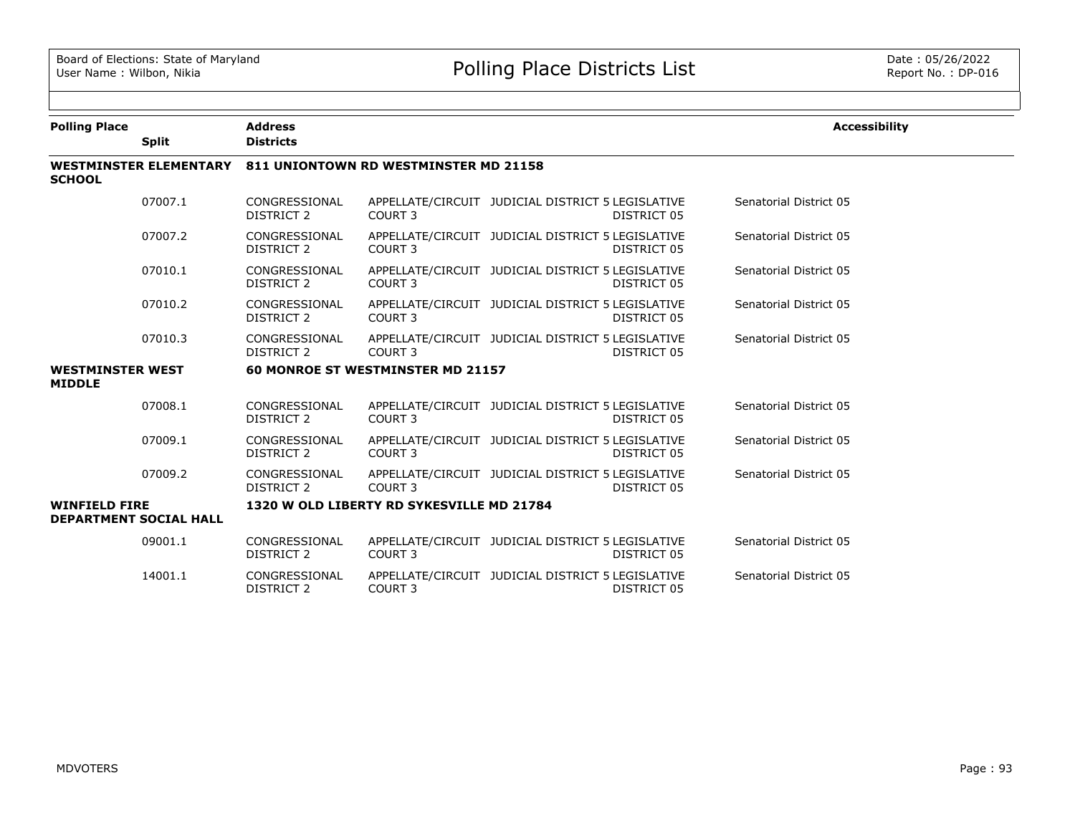| <b>Polling Place</b>                     |                               | <b>Address</b>                     |                                           |                                                                  | <b>Accessibility</b>   |
|------------------------------------------|-------------------------------|------------------------------------|-------------------------------------------|------------------------------------------------------------------|------------------------|
|                                          | <b>Split</b>                  | <b>Districts</b>                   |                                           |                                                                  |                        |
| <b>SCHOOL</b>                            | <b>WESTMINSTER ELEMENTARY</b> |                                    | 811 UNIONTOWN RD WESTMINSTER MD 21158     |                                                                  |                        |
|                                          | 07007.1                       | CONGRESSIONAL<br><b>DISTRICT 2</b> | COURT <sub>3</sub>                        | APPELLATE/CIRCUIT JUDICIAL DISTRICT 5 LEGISLATIVE<br>DISTRICT 05 | Senatorial District 05 |
|                                          | 07007.2                       | CONGRESSIONAL<br>DISTRICT 2        | COURT <sub>3</sub>                        | APPELLATE/CIRCUIT JUDICIAL DISTRICT 5 LEGISLATIVE<br>DISTRICT 05 | Senatorial District 05 |
|                                          | 07010.1                       | CONGRESSIONAL<br><b>DISTRICT 2</b> | COURT <sub>3</sub>                        | APPELLATE/CIRCUIT JUDICIAL DISTRICT 5 LEGISLATIVE<br>DISTRICT 05 | Senatorial District 05 |
|                                          | 07010.2                       | CONGRESSIONAL<br><b>DISTRICT 2</b> | COURT <sub>3</sub>                        | APPELLATE/CIRCUIT JUDICIAL DISTRICT 5 LEGISLATIVE<br>DISTRICT 05 | Senatorial District 05 |
|                                          | 07010.3                       | CONGRESSIONAL<br><b>DISTRICT 2</b> | COURT <sub>3</sub>                        | APPELLATE/CIRCUIT JUDICIAL DISTRICT 5 LEGISLATIVE<br>DISTRICT 05 | Senatorial District 05 |
| <b>WESTMINSTER WEST</b><br><b>MIDDLE</b> |                               |                                    | 60 MONROE ST WESTMINSTER MD 21157         |                                                                  |                        |
|                                          | 07008.1                       | CONGRESSIONAL<br><b>DISTRICT 2</b> | COURT <sub>3</sub>                        | APPELLATE/CIRCUIT JUDICIAL DISTRICT 5 LEGISLATIVE<br>DISTRICT 05 | Senatorial District 05 |
|                                          | 07009.1                       | CONGRESSIONAL<br><b>DISTRICT 2</b> | COURT <sub>3</sub>                        | APPELLATE/CIRCUIT JUDICIAL DISTRICT 5 LEGISLATIVE<br>DISTRICT 05 | Senatorial District 05 |
|                                          | 07009.2                       | CONGRESSIONAL<br>DISTRICT 2        | COURT <sub>3</sub>                        | APPELLATE/CIRCUIT JUDICIAL DISTRICT 5 LEGISLATIVE<br>DISTRICT 05 | Senatorial District 05 |
| <b>WINFIELD FIRE</b>                     | <b>DEPARTMENT SOCIAL HALL</b> |                                    | 1320 W OLD LIBERTY RD SYKESVILLE MD 21784 |                                                                  |                        |
|                                          | 09001.1                       | CONGRESSIONAL<br>DISTRICT 2        | COURT <sub>3</sub>                        | APPELLATE/CIRCUIT JUDICIAL DISTRICT 5 LEGISLATIVE<br>DISTRICT 05 | Senatorial District 05 |
|                                          | 14001.1                       | CONGRESSIONAL<br><b>DISTRICT 2</b> | COURT <sub>3</sub>                        | APPELLATE/CIRCUIT JUDICIAL DISTRICT 5 LEGISLATIVE<br>DISTRICT 05 | Senatorial District 05 |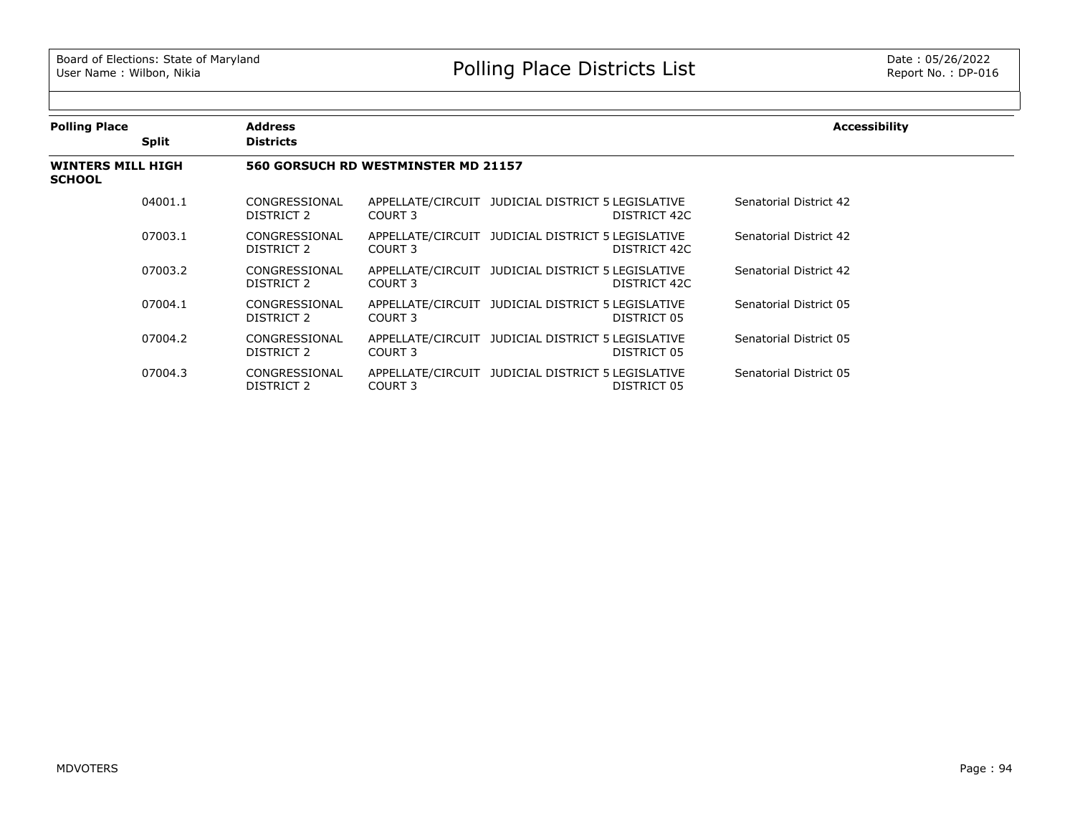| <b>Polling Place</b>                      |              | <b>Address</b>              |                                     |                                                                   | <b>Accessibility</b>   |
|-------------------------------------------|--------------|-----------------------------|-------------------------------------|-------------------------------------------------------------------|------------------------|
|                                           | <b>Split</b> | <b>Districts</b>            |                                     |                                                                   |                        |
| <b>WINTERS MILL HIGH</b><br><b>SCHOOL</b> |              |                             | 560 GORSUCH RD WESTMINSTER MD 21157 |                                                                   |                        |
|                                           | 04001.1      | CONGRESSIONAL<br>DISTRICT 2 | COURT 3                             | APPELLATE/CIRCUIT JUDICIAL DISTRICT 5 LEGISLATIVE<br>DISTRICT 42C | Senatorial District 42 |
|                                           | 07003.1      | CONGRESSIONAL<br>DISTRICT 2 | COURT 3                             | APPELLATE/CIRCUIT JUDICIAL DISTRICT 5 LEGISLATIVE<br>DISTRICT 42C | Senatorial District 42 |
|                                           | 07003.2      | CONGRESSIONAL<br>DISTRICT 2 | COURT 3                             | APPELLATE/CIRCUIT JUDICIAL DISTRICT 5 LEGISLATIVE<br>DISTRICT 42C | Senatorial District 42 |
|                                           | 07004.1      | CONGRESSIONAL<br>DISTRICT 2 | COURT 3                             | APPELLATE/CIRCUIT JUDICIAL DISTRICT 5 LEGISLATIVE<br>DISTRICT 05  | Senatorial District 05 |
|                                           | 07004.2      | CONGRESSIONAL<br>DISTRICT 2 | COURT 3                             | APPELLATE/CIRCUIT JUDICIAL DISTRICT 5 LEGISLATIVE<br>DISTRICT 05  | Senatorial District 05 |
|                                           | 07004.3      | CONGRESSIONAL<br>DISTRICT 2 | COURT 3                             | APPELLATE/CIRCUIT JUDICIAL DISTRICT 5 LEGISLATIVE<br>DISTRICT 05  | Senatorial District 05 |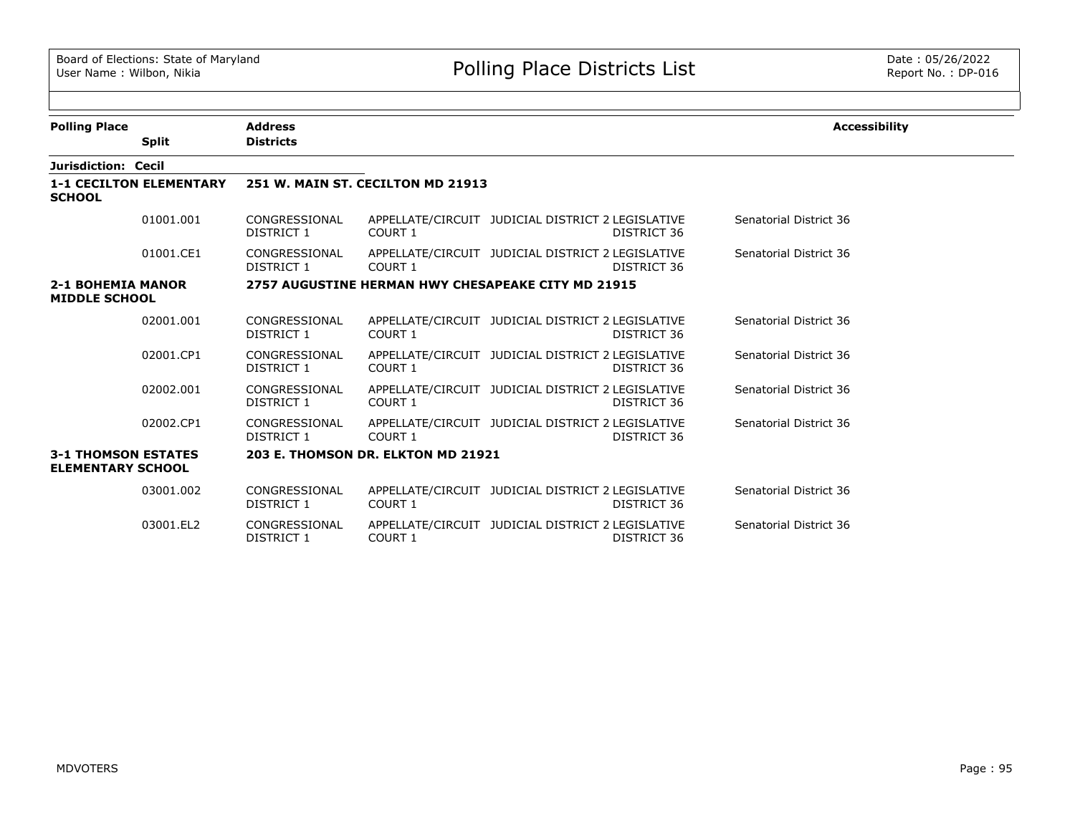$\sim$ 

| <b>Polling Place</b>                                   |                                | <b>Address</b>                     |                                    |                                                                  | <b>Accessibility</b>   |
|--------------------------------------------------------|--------------------------------|------------------------------------|------------------------------------|------------------------------------------------------------------|------------------------|
|                                                        | <b>Split</b>                   | <b>Districts</b>                   |                                    |                                                                  |                        |
| Jurisdiction: Cecil                                    |                                |                                    |                                    |                                                                  |                        |
| <b>SCHOOL</b>                                          | <b>1-1 CECILTON ELEMENTARY</b> |                                    | 251 W. MAIN ST. CECILTON MD 21913  |                                                                  |                        |
|                                                        | 01001.001                      | CONGRESSIONAL<br>DISTRICT 1        | COURT 1                            | APPELLATE/CIRCUIT JUDICIAL DISTRICT 2 LEGISLATIVE<br>DISTRICT 36 | Senatorial District 36 |
|                                                        | 01001.CE1                      | CONGRESSIONAL<br>DISTRICT 1        | COURT 1                            | APPELLATE/CIRCUIT JUDICIAL DISTRICT 2 LEGISLATIVE<br>DISTRICT 36 | Senatorial District 36 |
| <b>2-1 BOHEMIA MANOR</b><br><b>MIDDLE SCHOOL</b>       |                                |                                    |                                    | 2757 AUGUSTINE HERMAN HWY CHESAPEAKE CITY MD 21915               |                        |
|                                                        | 02001.001                      | CONGRESSIONAL<br>DISTRICT 1        | COURT 1                            | APPELLATE/CIRCUIT JUDICIAL DISTRICT 2 LEGISLATIVE<br>DISTRICT 36 | Senatorial District 36 |
|                                                        | 02001.CP1                      | CONGRESSIONAL<br>DISTRICT 1        | COURT 1                            | APPELLATE/CIRCUIT JUDICIAL DISTRICT 2 LEGISLATIVE<br>DISTRICT 36 | Senatorial District 36 |
|                                                        | 02002.001                      | CONGRESSIONAL<br>DISTRICT 1        | COURT 1                            | APPELLATE/CIRCUIT JUDICIAL DISTRICT 2 LEGISLATIVE<br>DISTRICT 36 | Senatorial District 36 |
|                                                        | 02002.CP1                      | CONGRESSIONAL<br>DISTRICT 1        | COURT 1                            | APPELLATE/CIRCUIT JUDICIAL DISTRICT 2 LEGISLATIVE<br>DISTRICT 36 | Senatorial District 36 |
| <b>3-1 THOMSON ESTATES</b><br><b>ELEMENTARY SCHOOL</b> |                                |                                    | 203 E. THOMSON DR. ELKTON MD 21921 |                                                                  |                        |
|                                                        | 03001.002                      | CONGRESSIONAL<br>DISTRICT 1        | COURT 1                            | APPELLATE/CIRCUIT JUDICIAL DISTRICT 2 LEGISLATIVE<br>DISTRICT 36 | Senatorial District 36 |
|                                                        | 03001.EL2                      | CONGRESSIONAL<br><b>DISTRICT 1</b> | COURT 1                            | APPELLATE/CIRCUIT JUDICIAL DISTRICT 2 LEGISLATIVE<br>DISTRICT 36 | Senatorial District 36 |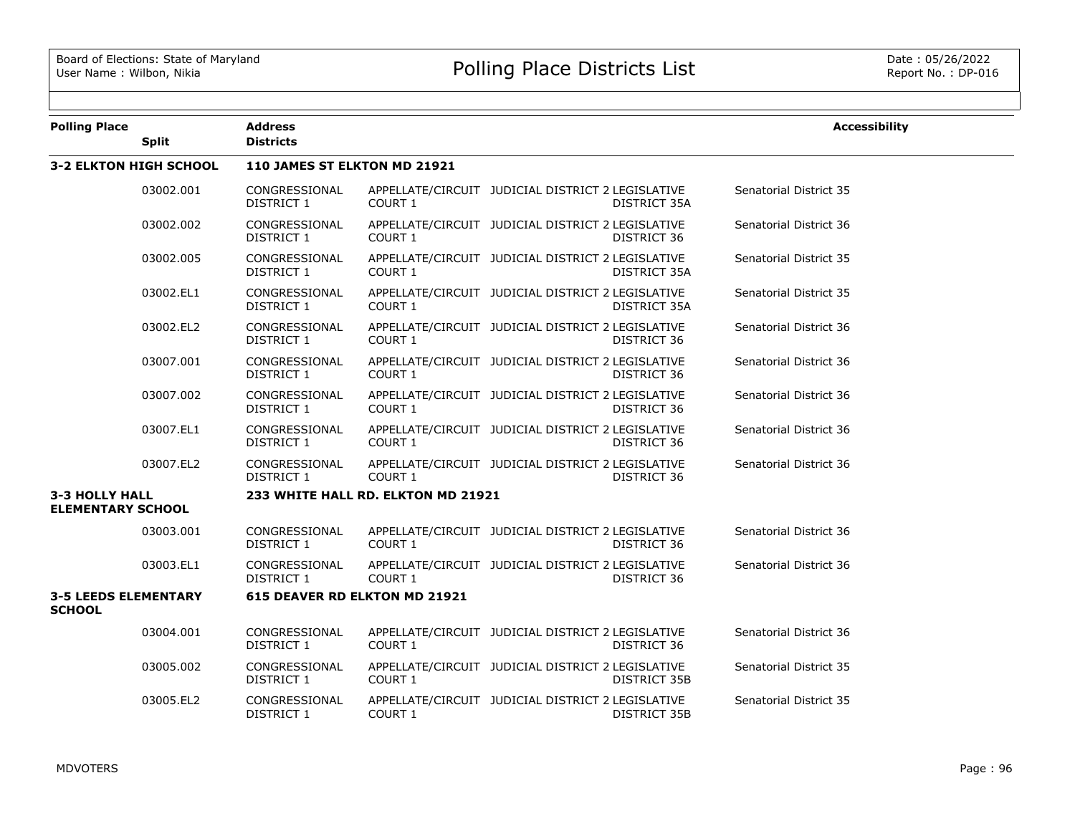| <b>Polling Place</b>                              | <b>Split</b>                  | <b>Address</b><br><b>Districts</b> |                                    |                                                   |                     | <b>Accessibility</b>   |
|---------------------------------------------------|-------------------------------|------------------------------------|------------------------------------|---------------------------------------------------|---------------------|------------------------|
|                                                   | <b>3-2 ELKTON HIGH SCHOOL</b> | 110 JAMES ST ELKTON MD 21921       |                                    |                                                   |                     |                        |
|                                                   | 03002.001                     | CONGRESSIONAL<br>DISTRICT 1        | COURT 1                            | APPELLATE/CIRCUIT JUDICIAL DISTRICT 2 LEGISLATIVE | <b>DISTRICT 35A</b> | Senatorial District 35 |
|                                                   | 03002.002                     | CONGRESSIONAL<br>DISTRICT 1        | COURT 1                            | APPELLATE/CIRCUIT JUDICIAL DISTRICT 2 LEGISLATIVE | DISTRICT 36         | Senatorial District 36 |
|                                                   | 03002.005                     | CONGRESSIONAL<br>DISTRICT 1        | COURT 1                            | APPELLATE/CIRCUIT JUDICIAL DISTRICT 2 LEGISLATIVE | DISTRICT 35A        | Senatorial District 35 |
|                                                   | 03002.EL1                     | CONGRESSIONAL<br>DISTRICT 1        | COURT 1                            | APPELLATE/CIRCUIT JUDICIAL DISTRICT 2 LEGISLATIVE | DISTRICT 35A        | Senatorial District 35 |
|                                                   | 03002.EL2                     | CONGRESSIONAL<br>DISTRICT 1        | COURT 1                            | APPELLATE/CIRCUIT JUDICIAL DISTRICT 2 LEGISLATIVE | DISTRICT 36         | Senatorial District 36 |
|                                                   | 03007.001                     | CONGRESSIONAL<br>DISTRICT 1        | COURT 1                            | APPELLATE/CIRCUIT JUDICIAL DISTRICT 2 LEGISLATIVE | DISTRICT 36         | Senatorial District 36 |
|                                                   | 03007.002                     | CONGRESSIONAL<br>DISTRICT 1        | COURT 1                            | APPELLATE/CIRCUIT JUDICIAL DISTRICT 2 LEGISLATIVE | DISTRICT 36         | Senatorial District 36 |
|                                                   | 03007.EL1                     | CONGRESSIONAL<br>DISTRICT 1        | COURT 1                            | APPELLATE/CIRCUIT JUDICIAL DISTRICT 2 LEGISLATIVE | DISTRICT 36         | Senatorial District 36 |
|                                                   | 03007.EL2                     | CONGRESSIONAL<br>DISTRICT 1        | COURT 1                            | APPELLATE/CIRCUIT JUDICIAL DISTRICT 2 LEGISLATIVE | DISTRICT 36         | Senatorial District 36 |
| <b>3-3 HOLLY HALL</b><br><b>ELEMENTARY SCHOOL</b> |                               |                                    | 233 WHITE HALL RD. ELKTON MD 21921 |                                                   |                     |                        |
|                                                   | 03003.001                     | CONGRESSIONAL<br>DISTRICT 1        | COURT 1                            | APPELLATE/CIRCUIT JUDICIAL DISTRICT 2 LEGISLATIVE | DISTRICT 36         | Senatorial District 36 |
|                                                   | 03003.EL1                     | CONGRESSIONAL<br>DISTRICT 1        | COURT 1                            | APPELLATE/CIRCUIT JUDICIAL DISTRICT 2 LEGISLATIVE | DISTRICT 36         | Senatorial District 36 |
| <b>3-5 LEEDS ELEMENTARY</b><br><b>SCHOOL</b>      |                               |                                    | 615 DEAVER RD ELKTON MD 21921      |                                                   |                     |                        |
|                                                   | 03004.001                     | CONGRESSIONAL<br>DISTRICT 1        | COURT 1                            | APPELLATE/CIRCUIT JUDICIAL DISTRICT 2 LEGISLATIVE | DISTRICT 36         | Senatorial District 36 |
|                                                   | 03005.002                     | CONGRESSIONAL<br>DISTRICT 1        | COURT 1                            | APPELLATE/CIRCUIT JUDICIAL DISTRICT 2 LEGISLATIVE | <b>DISTRICT 35B</b> | Senatorial District 35 |
|                                                   | 03005.EL2                     | CONGRESSIONAL<br><b>DISTRICT 1</b> | COURT 1                            | APPELLATE/CIRCUIT JUDICIAL DISTRICT 2 LEGISLATIVE | DISTRICT 35B        | Senatorial District 35 |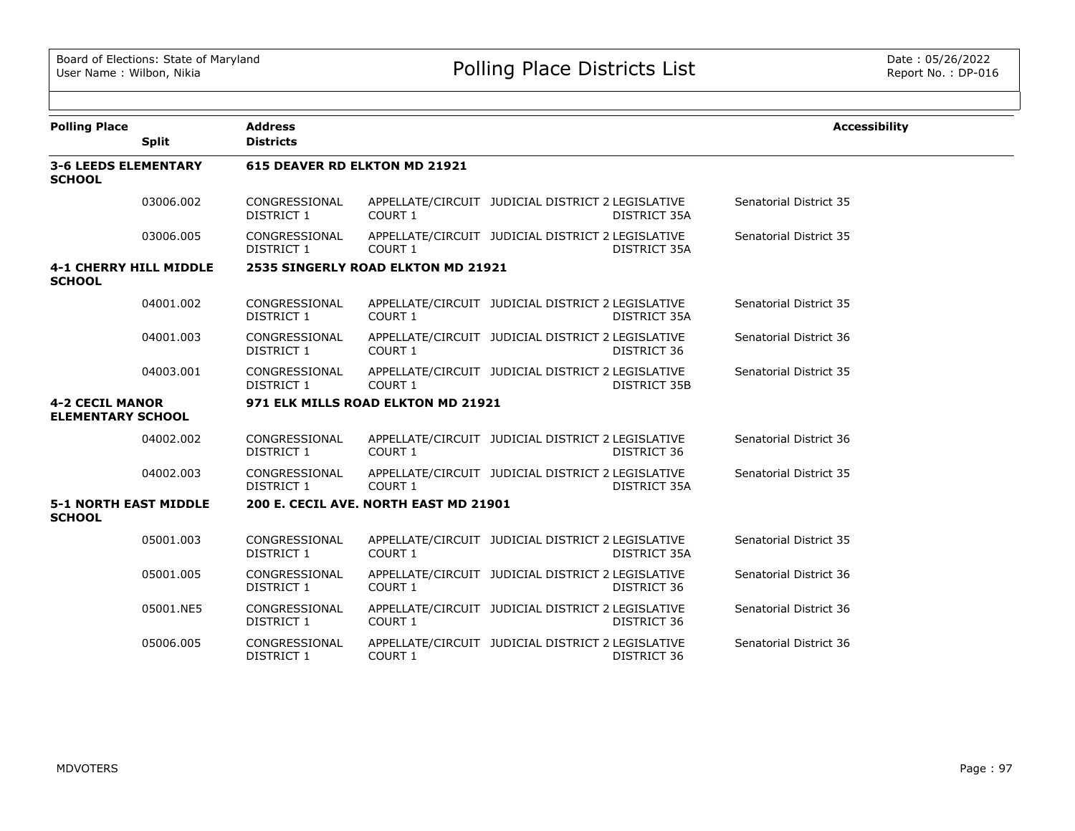| <b>Polling Place</b>                               | <b>Split</b> | <b>Address</b><br><b>Districts</b> |                                       |                                                   |                     | <b>Accessibility</b>   |
|----------------------------------------------------|--------------|------------------------------------|---------------------------------------|---------------------------------------------------|---------------------|------------------------|
| <b>3-6 LEEDS ELEMENTARY</b><br><b>SCHOOL</b>       |              |                                    | 615 DEAVER RD ELKTON MD 21921         |                                                   |                     |                        |
|                                                    | 03006.002    | CONGRESSIONAL<br><b>DISTRICT 1</b> | COURT 1                               | APPELLATE/CIRCUIT JUDICIAL DISTRICT 2 LEGISLATIVE | DISTRICT 35A        | Senatorial District 35 |
|                                                    | 03006.005    | CONGRESSIONAL<br><b>DISTRICT 1</b> | COURT 1                               | APPELLATE/CIRCUIT JUDICIAL DISTRICT 2 LEGISLATIVE | DISTRICT 35A        | Senatorial District 35 |
| <b>4-1 CHERRY HILL MIDDLE</b><br><b>SCHOOL</b>     |              |                                    | 2535 SINGERLY ROAD ELKTON MD 21921    |                                                   |                     |                        |
|                                                    | 04001.002    | CONGRESSIONAL<br><b>DISTRICT 1</b> | COURT 1                               | APPELLATE/CIRCUIT JUDICIAL DISTRICT 2 LEGISLATIVE | DISTRICT 35A        | Senatorial District 35 |
|                                                    | 04001.003    | CONGRESSIONAL<br><b>DISTRICT 1</b> | COURT 1                               | APPELLATE/CIRCUIT JUDICIAL DISTRICT 2 LEGISLATIVE | DISTRICT 36         | Senatorial District 36 |
|                                                    | 04003.001    | CONGRESSIONAL<br>DISTRICT 1        | COURT 1                               | APPELLATE/CIRCUIT JUDICIAL DISTRICT 2 LEGISLATIVE | DISTRICT 35B        | Senatorial District 35 |
| <b>4-2 CECIL MANOR</b><br><b>ELEMENTARY SCHOOL</b> |              |                                    | 971 ELK MILLS ROAD ELKTON MD 21921    |                                                   |                     |                        |
|                                                    | 04002.002    | CONGRESSIONAL<br><b>DISTRICT 1</b> | COURT 1                               | APPELLATE/CIRCUIT JUDICIAL DISTRICT 2 LEGISLATIVE | DISTRICT 36         | Senatorial District 36 |
|                                                    | 04002.003    | CONGRESSIONAL<br><b>DISTRICT 1</b> | COURT 1                               | APPELLATE/CIRCUIT JUDICIAL DISTRICT 2 LEGISLATIVE | <b>DISTRICT 35A</b> | Senatorial District 35 |
| <b>5-1 NORTH EAST MIDDLE</b><br><b>SCHOOL</b>      |              |                                    | 200 E. CECIL AVE. NORTH EAST MD 21901 |                                                   |                     |                        |
|                                                    | 05001.003    | CONGRESSIONAL<br><b>DISTRICT 1</b> | COURT 1                               | APPELLATE/CIRCUIT JUDICIAL DISTRICT 2 LEGISLATIVE | DISTRICT 35A        | Senatorial District 35 |
|                                                    | 05001.005    | CONGRESSIONAL<br>DISTRICT 1        | COURT 1                               | APPELLATE/CIRCUIT JUDICIAL DISTRICT 2 LEGISLATIVE | DISTRICT 36         | Senatorial District 36 |
|                                                    | 05001.NE5    | CONGRESSIONAL<br>DISTRICT 1        | COURT 1                               | APPELLATE/CIRCUIT JUDICIAL DISTRICT 2 LEGISLATIVE | DISTRICT 36         | Senatorial District 36 |
|                                                    | 05006.005    | CONGRESSIONAL<br>DISTRICT 1        | COURT 1                               | APPELLATE/CIRCUIT JUDICIAL DISTRICT 2 LEGISLATIVE | DISTRICT 36         | Senatorial District 36 |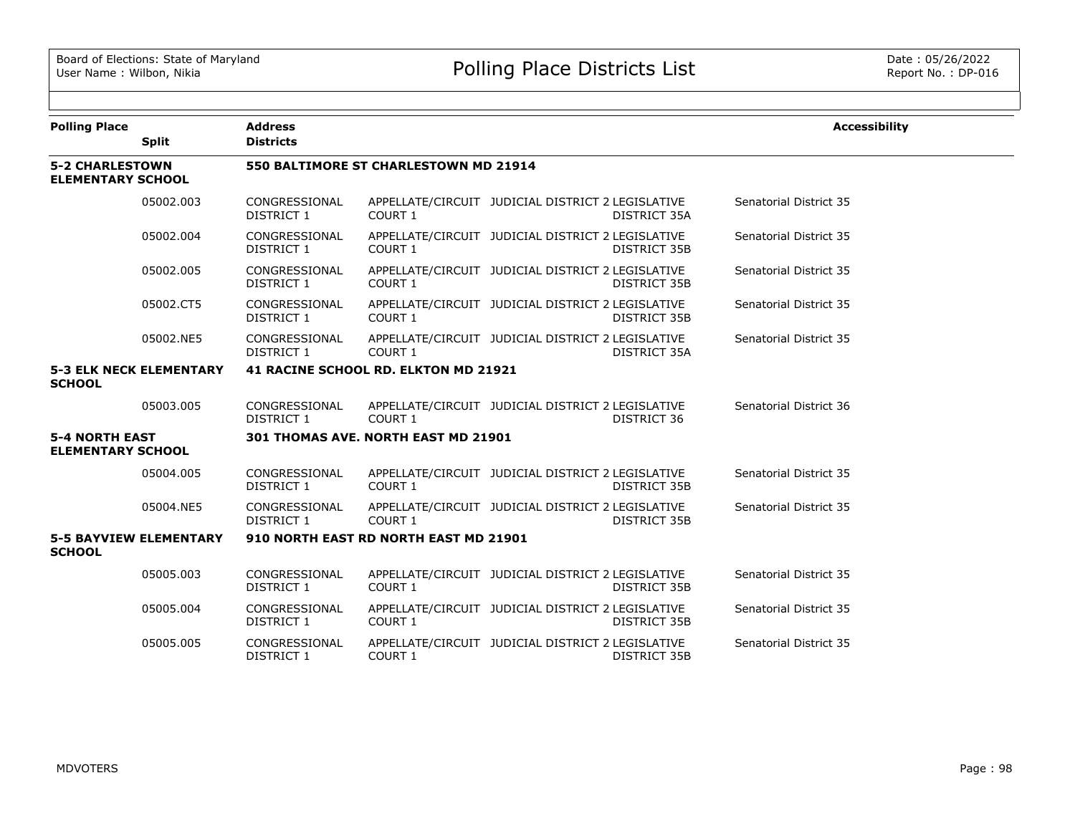| <b>Polling Place</b>                               |                                | <b>Address</b>                        |                                       |                                                   |                     | <b>Accessibility</b>   |  |  |
|----------------------------------------------------|--------------------------------|---------------------------------------|---------------------------------------|---------------------------------------------------|---------------------|------------------------|--|--|
|                                                    | <b>Split</b>                   | <b>Districts</b>                      |                                       |                                                   |                     |                        |  |  |
| <b>5-2 CHARLESTOWN</b><br><b>ELEMENTARY SCHOOL</b> |                                | 550 BALTIMORE ST CHARLESTOWN MD 21914 |                                       |                                                   |                     |                        |  |  |
|                                                    | 05002.003                      | CONGRESSIONAL<br>DISTRICT 1           | COURT 1                               | APPELLATE/CIRCUIT JUDICIAL DISTRICT 2 LEGISLATIVE | DISTRICT 35A        | Senatorial District 35 |  |  |
|                                                    | 05002.004                      | CONGRESSIONAL<br>DISTRICT 1           | <b>COURT 1</b>                        | APPELLATE/CIRCUIT JUDICIAL DISTRICT 2 LEGISLATIVE | <b>DISTRICT 35B</b> | Senatorial District 35 |  |  |
|                                                    | 05002.005                      | CONGRESSIONAL<br>DISTRICT 1           | <b>COURT 1</b>                        | APPELLATE/CIRCUIT JUDICIAL DISTRICT 2 LEGISLATIVE | DISTRICT 35B        | Senatorial District 35 |  |  |
|                                                    | 05002.CT5                      | CONGRESSIONAL<br>DISTRICT 1           | <b>COURT 1</b>                        | APPELLATE/CIRCUIT JUDICIAL DISTRICT 2 LEGISLATIVE | DISTRICT 35B        | Senatorial District 35 |  |  |
|                                                    | 05002.NE5                      | CONGRESSIONAL<br>DISTRICT 1           | COURT 1                               | APPELLATE/CIRCUIT JUDICIAL DISTRICT 2 LEGISLATIVE | DISTRICT 35A        | Senatorial District 35 |  |  |
| <b>SCHOOL</b>                                      | <b>5-3 ELK NECK ELEMENTARY</b> |                                       | 41 RACINE SCHOOL RD. ELKTON MD 21921  |                                                   |                     |                        |  |  |
|                                                    | 05003.005                      | CONGRESSIONAL<br>DISTRICT 1           | <b>COURT 1</b>                        | APPELLATE/CIRCUIT JUDICIAL DISTRICT 2 LEGISLATIVE | DISTRICT 36         | Senatorial District 36 |  |  |
| <b>5-4 NORTH EAST</b><br><b>ELEMENTARY SCHOOL</b>  |                                |                                       | 301 THOMAS AVE. NORTH EAST MD 21901   |                                                   |                     |                        |  |  |
|                                                    | 05004.005                      | CONGRESSIONAL<br>DISTRICT 1           | COURT 1                               | APPELLATE/CIRCUIT JUDICIAL DISTRICT 2 LEGISLATIVE | <b>DISTRICT 35B</b> | Senatorial District 35 |  |  |
|                                                    | 05004.NE5                      | CONGRESSIONAL<br>DISTRICT 1           | COURT 1                               | APPELLATE/CIRCUIT JUDICIAL DISTRICT 2 LEGISLATIVE | DISTRICT 35B        | Senatorial District 35 |  |  |
| <b>SCHOOL</b>                                      | <b>5-5 BAYVIEW ELEMENTARY</b>  |                                       | 910 NORTH EAST RD NORTH EAST MD 21901 |                                                   |                     |                        |  |  |
|                                                    | 05005.003                      | CONGRESSIONAL<br>DISTRICT 1           | COURT 1                               | APPELLATE/CIRCUIT JUDICIAL DISTRICT 2 LEGISLATIVE | <b>DISTRICT 35B</b> | Senatorial District 35 |  |  |
|                                                    | 05005.004                      | CONGRESSIONAL<br>DISTRICT 1           | COURT 1                               | APPELLATE/CIRCUIT JUDICIAL DISTRICT 2 LEGISLATIVE | DISTRICT 35B        | Senatorial District 35 |  |  |
|                                                    | 05005.005                      | CONGRESSIONAL<br><b>DISTRICT 1</b>    | <b>COURT 1</b>                        | APPELLATE/CIRCUIT JUDICIAL DISTRICT 2 LEGISLATIVE | DISTRICT 35B        | Senatorial District 35 |  |  |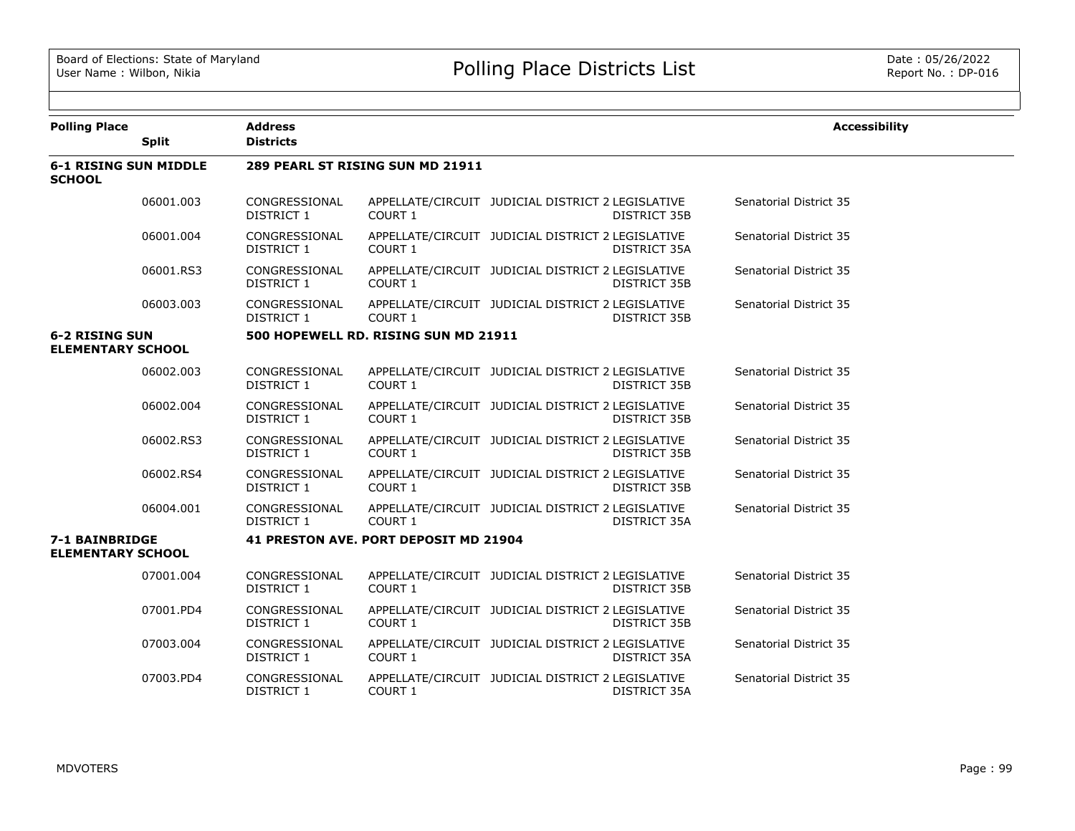| <b>Polling Place</b>                          |              | <b>Address</b>                     |                                       |                                                   |                     | <b>Accessibility</b>   |
|-----------------------------------------------|--------------|------------------------------------|---------------------------------------|---------------------------------------------------|---------------------|------------------------|
|                                               | <b>Split</b> | <b>Districts</b>                   |                                       |                                                   |                     |                        |
| <b>6-1 RISING SUN MIDDLE</b><br><b>SCHOOL</b> |              |                                    | 289 PEARL ST RISING SUN MD 21911      |                                                   |                     |                        |
|                                               | 06001.003    | CONGRESSIONAL<br><b>DISTRICT 1</b> | COURT 1                               | APPELLATE/CIRCUIT JUDICIAL DISTRICT 2 LEGISLATIVE | <b>DISTRICT 35B</b> | Senatorial District 35 |
|                                               | 06001.004    | CONGRESSIONAL<br>DISTRICT 1        | COURT 1                               | APPELLATE/CIRCUIT JUDICIAL DISTRICT 2 LEGISLATIVE | DISTRICT 35A        | Senatorial District 35 |
|                                               | 06001.RS3    | CONGRESSIONAL<br>DISTRICT 1        | COURT 1                               | APPELLATE/CIRCUIT JUDICIAL DISTRICT 2 LEGISLATIVE | <b>DISTRICT 35B</b> | Senatorial District 35 |
|                                               | 06003.003    | CONGRESSIONAL<br>DISTRICT 1        | COURT 1                               | APPELLATE/CIRCUIT JUDICIAL DISTRICT 2 LEGISLATIVE | DISTRICT 35B        | Senatorial District 35 |
| <b>6-2 RISING SUN</b>                         |              |                                    | 500 HOPEWELL RD. RISING SUN MD 21911  |                                                   |                     |                        |
| <b>ELEMENTARY SCHOOL</b>                      |              |                                    |                                       |                                                   |                     |                        |
|                                               | 06002.003    | CONGRESSIONAL<br>DISTRICT 1        | COURT 1                               | APPELLATE/CIRCUIT JUDICIAL DISTRICT 2 LEGISLATIVE | <b>DISTRICT 35B</b> | Senatorial District 35 |
|                                               | 06002.004    | CONGRESSIONAL<br><b>DISTRICT 1</b> | COURT 1                               | APPELLATE/CIRCUIT JUDICIAL DISTRICT 2 LEGISLATIVE | <b>DISTRICT 35B</b> | Senatorial District 35 |
|                                               | 06002.RS3    | CONGRESSIONAL<br>DISTRICT 1        | COURT 1                               | APPELLATE/CIRCUIT JUDICIAL DISTRICT 2 LEGISLATIVE | DISTRICT 35B        | Senatorial District 35 |
|                                               | 06002.RS4    | CONGRESSIONAL<br>DISTRICT 1        | COURT 1                               | APPELLATE/CIRCUIT JUDICIAL DISTRICT 2 LEGISLATIVE | <b>DISTRICT 35B</b> | Senatorial District 35 |
|                                               | 06004.001    | CONGRESSIONAL<br>DISTRICT 1        | COURT 1                               | APPELLATE/CIRCUIT JUDICIAL DISTRICT 2 LEGISLATIVE | <b>DISTRICT 35A</b> | Senatorial District 35 |
| 7-1 BAINBRIDGE<br><b>ELEMENTARY SCHOOL</b>    |              |                                    | 41 PRESTON AVE. PORT DEPOSIT MD 21904 |                                                   |                     |                        |
|                                               | 07001.004    | CONGRESSIONAL<br>DISTRICT 1        | COURT 1                               | APPELLATE/CIRCUIT JUDICIAL DISTRICT 2 LEGISLATIVE | <b>DISTRICT 35B</b> | Senatorial District 35 |
|                                               | 07001.PD4    | CONGRESSIONAL<br>DISTRICT 1        | COURT 1                               | APPELLATE/CIRCUIT JUDICIAL DISTRICT 2 LEGISLATIVE | DISTRICT 35B        | Senatorial District 35 |
|                                               | 07003.004    | CONGRESSIONAL<br>DISTRICT 1        | COURT 1                               | APPELLATE/CIRCUIT JUDICIAL DISTRICT 2 LEGISLATIVE | DISTRICT 35A        | Senatorial District 35 |
|                                               | 07003.PD4    | CONGRESSIONAL<br><b>DISTRICT 1</b> | COURT 1                               | APPELLATE/CIRCUIT JUDICIAL DISTRICT 2 LEGISLATIVE | DISTRICT 35A        | Senatorial District 35 |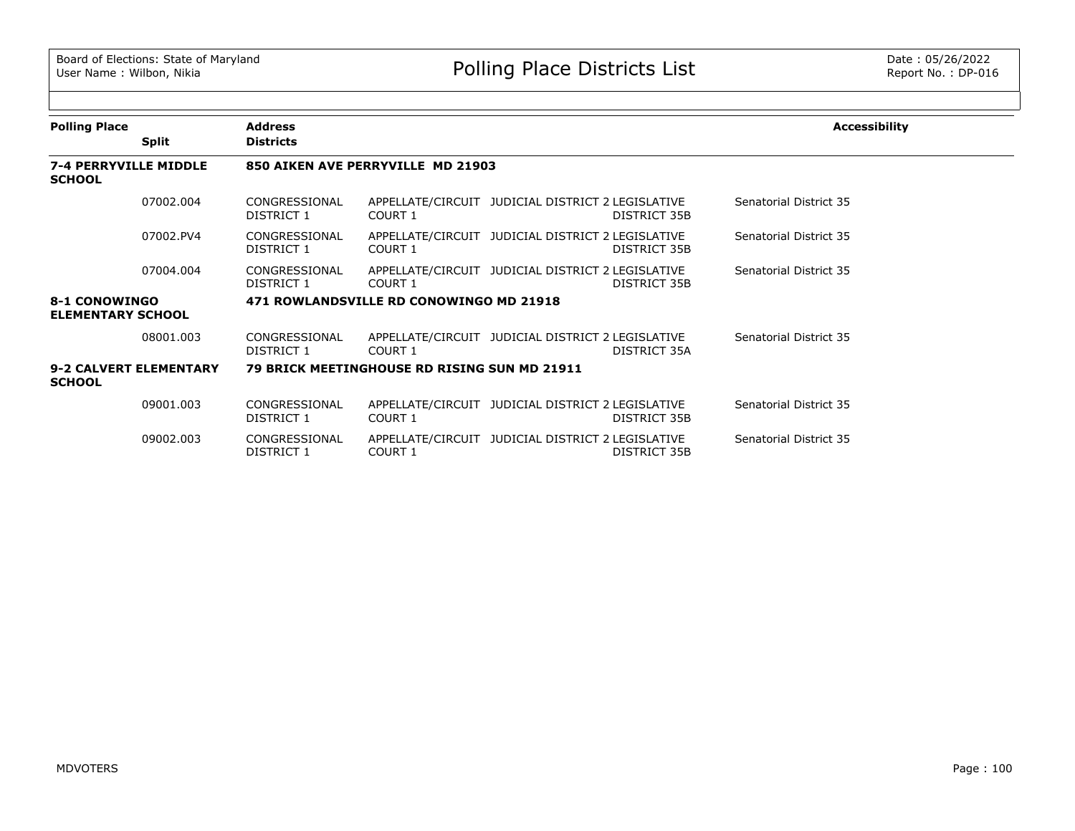| <b>Polling Place</b>                          |              | <b>Address</b>              |                                              |                                                   |                     | <b>Accessibility</b>   |
|-----------------------------------------------|--------------|-----------------------------|----------------------------------------------|---------------------------------------------------|---------------------|------------------------|
|                                               | <b>Split</b> | <b>Districts</b>            |                                              |                                                   |                     |                        |
| <b>7-4 PERRYVILLE MIDDLE</b><br><b>SCHOOL</b> |              |                             | 850 AIKEN AVE PERRYVILLE MD 21903            |                                                   |                     |                        |
|                                               | 07002.004    | CONGRESSIONAL<br>DISTRICT 1 | COURT 1                                      | APPELLATE/CIRCUIT JUDICIAL DISTRICT 2 LEGISLATIVE | <b>DISTRICT 35B</b> | Senatorial District 35 |
|                                               | 07002.PV4    | CONGRESSIONAL<br>DISTRICT 1 | COURT 1                                      | APPELLATE/CIRCUIT JUDICIAL DISTRICT 2 LEGISLATIVE | DISTRICT 35B        | Senatorial District 35 |
|                                               | 07004.004    | CONGRESSIONAL<br>DISTRICT 1 | COURT 1                                      | APPELLATE/CIRCUIT JUDICIAL DISTRICT 2 LEGISLATIVE | DISTRICT 35B        | Senatorial District 35 |
| 8-1 CONOWINGO<br><b>ELEMENTARY SCHOOL</b>     |              |                             | 471 ROWLANDSVILLE RD CONOWINGO MD 21918      |                                                   |                     |                        |
|                                               | 08001.003    | CONGRESSIONAL<br>DISTRICT 1 | COURT 1                                      | APPELLATE/CIRCUIT JUDICIAL DISTRICT 2 LEGISLATIVE | DISTRICT 35A        | Senatorial District 35 |
| 9-2 CALVERT ELEMENTARY<br><b>SCHOOL</b>       |              |                             | 79 BRICK MEETINGHOUSE RD RISING SUN MD 21911 |                                                   |                     |                        |
|                                               | 09001.003    | CONGRESSIONAL<br>DISTRICT 1 | COURT 1                                      | APPELLATE/CIRCUIT JUDICIAL DISTRICT 2 LEGISLATIVE | DISTRICT 35B        | Senatorial District 35 |
|                                               | 09002.003    | CONGRESSIONAL<br>DISTRICT 1 | COURT 1                                      | APPELLATE/CIRCUIT JUDICIAL DISTRICT 2 LEGISLATIVE | DISTRICT 35B        | Senatorial District 35 |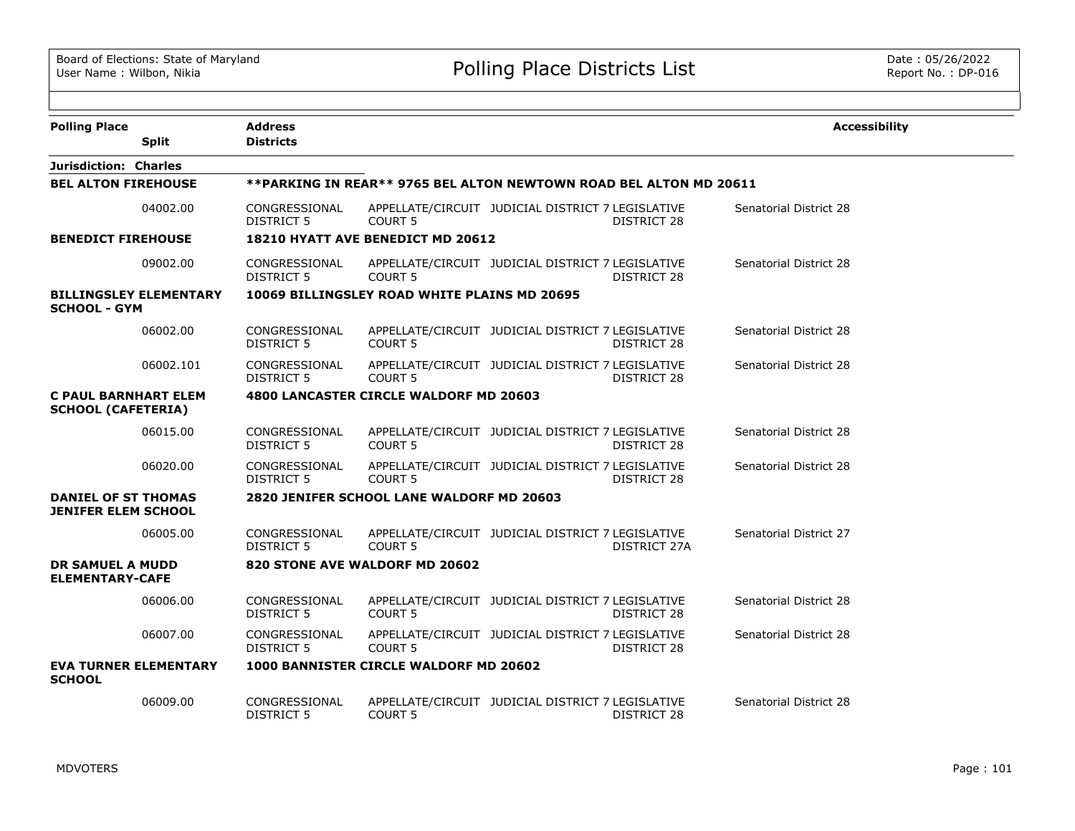| <b>Polling Place</b>                                     |                               | <b>Address</b>                     |                                              |                                                                    | <b>Accessibility</b>   |
|----------------------------------------------------------|-------------------------------|------------------------------------|----------------------------------------------|--------------------------------------------------------------------|------------------------|
|                                                          | <b>Split</b>                  | <b>Districts</b>                   |                                              |                                                                    |                        |
| Jurisdiction: Charles                                    |                               |                                    |                                              |                                                                    |                        |
| <b>BEL ALTON FIREHOUSE</b>                               |                               |                                    |                                              | **PARKING IN REAR** 9765 BEL ALTON NEWTOWN ROAD BEL ALTON MD 20611 |                        |
|                                                          | 04002.00                      | CONGRESSIONAL<br>DISTRICT 5        | <b>COURT 5</b>                               | APPELLATE/CIRCUIT JUDICIAL DISTRICT 7 LEGISLATIVE<br>DISTRICT 28   | Senatorial District 28 |
| <b>BENEDICT FIREHOUSE</b>                                |                               |                                    | 18210 HYATT AVE BENEDICT MD 20612            |                                                                    |                        |
|                                                          | 09002.00                      | CONGRESSIONAL<br>DISTRICT 5        | <b>COURT 5</b>                               | APPELLATE/CIRCUIT JUDICIAL DISTRICT 7 LEGISLATIVE<br>DISTRICT 28   | Senatorial District 28 |
| <b>SCHOOL - GYM</b>                                      | <b>BILLINGSLEY ELEMENTARY</b> |                                    | 10069 BILLINGSLEY ROAD WHITE PLAINS MD 20695 |                                                                    |                        |
|                                                          | 06002.00                      | CONGRESSIONAL<br><b>DISTRICT 5</b> | <b>COURT 5</b>                               | APPELLATE/CIRCUIT JUDICIAL DISTRICT 7 LEGISLATIVE<br>DISTRICT 28   | Senatorial District 28 |
|                                                          | 06002.101                     | CONGRESSIONAL<br><b>DISTRICT 5</b> | <b>COURT 5</b>                               | APPELLATE/CIRCUIT JUDICIAL DISTRICT 7 LEGISLATIVE<br>DISTRICT 28   | Senatorial District 28 |
| <b>C PAUL BARNHART ELEM</b><br><b>SCHOOL (CAFETERIA)</b> |                               |                                    | 4800 LANCASTER CIRCLE WALDORF MD 20603       |                                                                    |                        |
|                                                          | 06015.00                      | CONGRESSIONAL<br><b>DISTRICT 5</b> | <b>COURT 5</b>                               | APPELLATE/CIRCUIT JUDICIAL DISTRICT 7 LEGISLATIVE<br>DISTRICT 28   | Senatorial District 28 |
|                                                          | 06020.00                      | CONGRESSIONAL<br><b>DISTRICT 5</b> | <b>COURT 5</b>                               | APPELLATE/CIRCUIT JUDICIAL DISTRICT 7 LEGISLATIVE<br>DISTRICT 28   | Senatorial District 28 |
| <b>DANIEL OF ST THOMAS</b><br><b>JENIFER ELEM SCHOOL</b> |                               |                                    | 2820 JENIFER SCHOOL LANE WALDORF MD 20603    |                                                                    |                        |
|                                                          | 06005.00                      | CONGRESSIONAL<br><b>DISTRICT 5</b> | COURT <sub>5</sub>                           | APPELLATE/CIRCUIT JUDICIAL DISTRICT 7 LEGISLATIVE<br>DISTRICT 27A  | Senatorial District 27 |
| <b>DR SAMUEL A MUDD</b><br><b>ELEMENTARY-CAFE</b>        |                               |                                    | 820 STONE AVE WALDORF MD 20602               |                                                                    |                        |
|                                                          | 06006.00                      | CONGRESSIONAL<br>DISTRICT 5        | COURT <sub>5</sub>                           | APPELLATE/CIRCUIT JUDICIAL DISTRICT 7 LEGISLATIVE<br>DISTRICT 28   | Senatorial District 28 |
|                                                          | 06007.00                      | CONGRESSIONAL<br>DISTRICT 5        | <b>COURT 5</b>                               | APPELLATE/CIRCUIT JUDICIAL DISTRICT 7 LEGISLATIVE<br>DISTRICT 28   | Senatorial District 28 |
| <b>SCHOOL</b>                                            | <b>EVA TURNER ELEMENTARY</b>  |                                    | 1000 BANNISTER CIRCLE WALDORF MD 20602       |                                                                    |                        |
|                                                          | 06009.00                      | CONGRESSIONAL<br><b>DISTRICT 5</b> | <b>COURT 5</b>                               | APPELLATE/CIRCUIT JUDICIAL DISTRICT 7 LEGISLATIVE<br>DISTRICT 28   | Senatorial District 28 |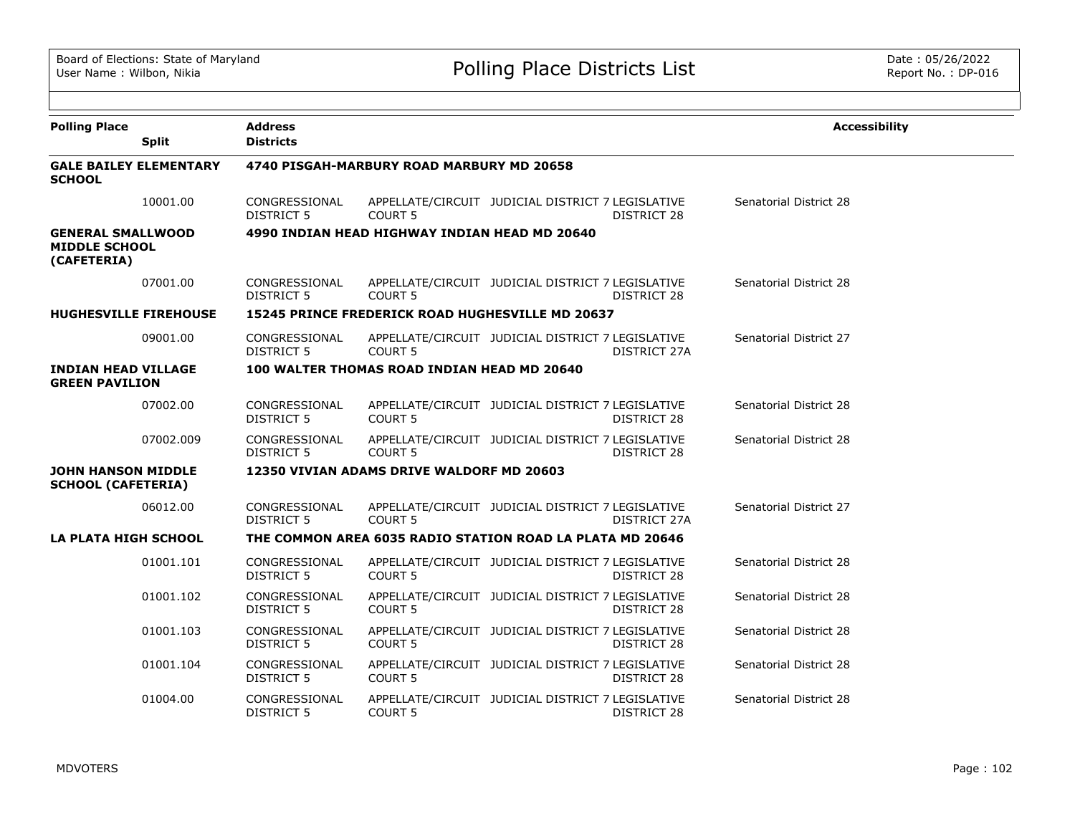| <b>Polling Place</b>                                            | <b>Split</b>                  | <b>Address</b><br><b>Districts</b> |                                                           |                                                   |                    | <b>Accessibility</b>   |
|-----------------------------------------------------------------|-------------------------------|------------------------------------|-----------------------------------------------------------|---------------------------------------------------|--------------------|------------------------|
| <b>SCHOOL</b>                                                   | <b>GALE BAILEY ELEMENTARY</b> |                                    | 4740 PISGAH-MARBURY ROAD MARBURY MD 20658                 |                                                   |                    |                        |
|                                                                 | 10001.00                      | CONGRESSIONAL<br>DISTRICT 5        | COURT <sub>5</sub>                                        | APPELLATE/CIRCUIT JUDICIAL DISTRICT 7 LEGISLATIVE | DISTRICT 28        | Senatorial District 28 |
| <b>GENERAL SMALLWOOD</b><br><b>MIDDLE SCHOOL</b><br>(CAFETERIA) |                               |                                    | 4990 INDIAN HEAD HIGHWAY INDIAN HEAD MD 20640             |                                                   |                    |                        |
|                                                                 | 07001.00                      | CONGRESSIONAL<br>DISTRICT 5        | COURT <sub>5</sub>                                        | APPELLATE/CIRCUIT JUDICIAL DISTRICT 7 LEGISLATIVE | DISTRICT 28        | Senatorial District 28 |
| <b>HUGHESVILLE FIREHOUSE</b>                                    |                               |                                    | <b>15245 PRINCE FREDERICK ROAD HUGHESVILLE MD 20637</b>   |                                                   |                    |                        |
|                                                                 | 09001.00                      | CONGRESSIONAL<br>DISTRICT 5        | COURT <sub>5</sub>                                        | APPELLATE/CIRCUIT JUDICIAL DISTRICT 7 LEGISLATIVE | DISTRICT 27A       | Senatorial District 27 |
| <b>INDIAN HEAD VILLAGE</b><br><b>GREEN PAVILION</b>             |                               |                                    | 100 WALTER THOMAS ROAD INDIAN HEAD MD 20640               |                                                   |                    |                        |
|                                                                 | 07002.00                      | CONGRESSIONAL<br>DISTRICT 5        | <b>COURT 5</b>                                            | APPELLATE/CIRCUIT JUDICIAL DISTRICT 7 LEGISLATIVE | DISTRICT 28        | Senatorial District 28 |
|                                                                 | 07002.009                     | CONGRESSIONAL<br><b>DISTRICT 5</b> | COURT <sub>5</sub>                                        | APPELLATE/CIRCUIT JUDICIAL DISTRICT 7 LEGISLATIVE | <b>DISTRICT 28</b> | Senatorial District 28 |
| <b>JOHN HANSON MIDDLE</b><br><b>SCHOOL (CAFETERIA)</b>          |                               |                                    | 12350 VIVIAN ADAMS DRIVE WALDORF MD 20603                 |                                                   |                    |                        |
|                                                                 | 06012.00                      | CONGRESSIONAL<br><b>DISTRICT 5</b> | <b>COURT 5</b>                                            | APPELLATE/CIRCUIT JUDICIAL DISTRICT 7 LEGISLATIVE | DISTRICT 27A       | Senatorial District 27 |
| LA PLATA HIGH SCHOOL                                            |                               |                                    | THE COMMON AREA 6035 RADIO STATION ROAD LA PLATA MD 20646 |                                                   |                    |                        |
|                                                                 | 01001.101                     | CONGRESSIONAL<br>DISTRICT 5        | <b>COURT 5</b>                                            | APPELLATE/CIRCUIT JUDICIAL DISTRICT 7 LEGISLATIVE | DISTRICT 28        | Senatorial District 28 |
|                                                                 | 01001.102                     | CONGRESSIONAL<br><b>DISTRICT 5</b> | COURT <sub>5</sub>                                        | APPELLATE/CIRCUIT JUDICIAL DISTRICT 7 LEGISLATIVE | DISTRICT 28        | Senatorial District 28 |
|                                                                 | 01001.103                     | CONGRESSIONAL<br><b>DISTRICT 5</b> | <b>COURT 5</b>                                            | APPELLATE/CIRCUIT JUDICIAL DISTRICT 7 LEGISLATIVE | DISTRICT 28        | Senatorial District 28 |
|                                                                 | 01001.104                     | CONGRESSIONAL<br>DISTRICT 5        | COURT 5                                                   | APPELLATE/CIRCUIT JUDICIAL DISTRICT 7 LEGISLATIVE | DISTRICT 28        | Senatorial District 28 |
|                                                                 | 01004.00                      | CONGRESSIONAL<br>DISTRICT 5        | <b>COURT 5</b>                                            | APPELLATE/CIRCUIT JUDICIAL DISTRICT 7 LEGISLATIVE | DISTRICT 28        | Senatorial District 28 |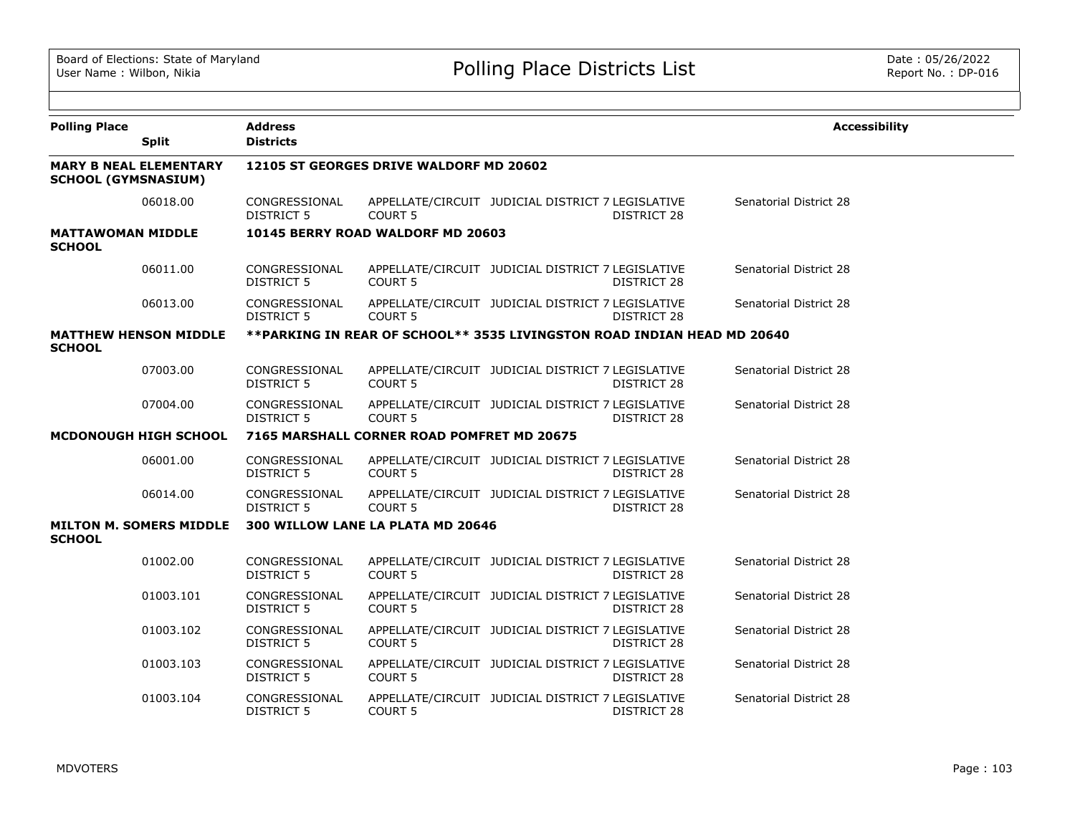| <b>Polling Place</b>                      |                                | <b>Address</b>                     |                                            |                                                                         |                    | <b>Accessibility</b>          |
|-------------------------------------------|--------------------------------|------------------------------------|--------------------------------------------|-------------------------------------------------------------------------|--------------------|-------------------------------|
|                                           | <b>Split</b>                   | <b>Districts</b>                   |                                            |                                                                         |                    |                               |
| <b>SCHOOL (GYMSNASIUM)</b>                | <b>MARY B NEAL ELEMENTARY</b>  |                                    | 12105 ST GEORGES DRIVE WALDORF MD 20602    |                                                                         |                    |                               |
|                                           | 06018.00                       | CONGRESSIONAL<br><b>DISTRICT 5</b> | COURT <sub>5</sub>                         | APPELLATE/CIRCUIT JUDICIAL DISTRICT 7 LEGISLATIVE                       | <b>DISTRICT 28</b> | Senatorial District 28        |
| <b>MATTAWOMAN MIDDLE</b><br><b>SCHOOL</b> |                                |                                    | 10145 BERRY ROAD WALDORF MD 20603          |                                                                         |                    |                               |
|                                           | 06011.00                       | CONGRESSIONAL<br><b>DISTRICT 5</b> | <b>COURT 5</b>                             | APPELLATE/CIRCUIT JUDICIAL DISTRICT 7 LEGISLATIVE                       | DISTRICT 28        | Senatorial District 28        |
|                                           | 06013.00                       | CONGRESSIONAL<br>DISTRICT 5        | <b>COURT 5</b>                             | APPELLATE/CIRCUIT JUDICIAL DISTRICT 7 LEGISLATIVE                       | DISTRICT 28        | Senatorial District 28        |
| <b>SCHOOL</b>                             | <b>MATTHEW HENSON MIDDLE</b>   |                                    |                                            | **PARKING IN REAR OF SCHOOL** 3535 LIVINGSTON ROAD INDIAN HEAD MD 20640 |                    |                               |
|                                           | 07003.00                       | CONGRESSIONAL<br><b>DISTRICT 5</b> | COURT <sub>5</sub>                         | APPELLATE/CIRCUIT JUDICIAL DISTRICT 7 LEGISLATIVE                       | DISTRICT 28        | Senatorial District 28        |
|                                           | 07004.00                       | CONGRESSIONAL<br><b>DISTRICT 5</b> | COURT <sub>5</sub>                         | APPELLATE/CIRCUIT JUDICIAL DISTRICT 7 LEGISLATIVE                       | DISTRICT 28        | <b>Senatorial District 28</b> |
|                                           | MCDONOUGH HIGH SCHOOL          |                                    | 7165 MARSHALL CORNER ROAD POMFRET MD 20675 |                                                                         |                    |                               |
|                                           | 06001.00                       | CONGRESSIONAL<br><b>DISTRICT 5</b> | <b>COURT 5</b>                             | APPELLATE/CIRCUIT JUDICIAL DISTRICT 7 LEGISLATIVE                       | DISTRICT 28        | Senatorial District 28        |
|                                           | 06014.00                       | CONGRESSIONAL<br>DISTRICT 5        | <b>COURT 5</b>                             | APPELLATE/CIRCUIT JUDICIAL DISTRICT 7 LEGISLATIVE                       | DISTRICT 28        | Senatorial District 28        |
| <b>SCHOOL</b>                             | <b>MILTON M. SOMERS MIDDLE</b> |                                    | 300 WILLOW LANE LA PLATA MD 20646          |                                                                         |                    |                               |
|                                           | 01002.00                       | CONGRESSIONAL<br><b>DISTRICT 5</b> | COURT 5                                    | APPELLATE/CIRCUIT JUDICIAL DISTRICT 7 LEGISLATIVE                       | DISTRICT 28        | Senatorial District 28        |
|                                           | 01003.101                      | CONGRESSIONAL<br><b>DISTRICT 5</b> | COURT 5                                    | APPELLATE/CIRCUIT JUDICIAL DISTRICT 7 LEGISLATIVE                       | DISTRICT 28        | Senatorial District 28        |
|                                           | 01003.102                      | CONGRESSIONAL<br><b>DISTRICT 5</b> | <b>COURT 5</b>                             | APPELLATE/CIRCUIT JUDICIAL DISTRICT 7 LEGISLATIVE                       | DISTRICT 28        | Senatorial District 28        |
|                                           | 01003.103                      | CONGRESSIONAL<br><b>DISTRICT 5</b> | COURT <sub>5</sub>                         | APPELLATE/CIRCUIT JUDICIAL DISTRICT 7 LEGISLATIVE                       | DISTRICT 28        | Senatorial District 28        |
|                                           | 01003.104                      | CONGRESSIONAL<br><b>DISTRICT 5</b> | COURT 5                                    | APPELLATE/CIRCUIT JUDICIAL DISTRICT 7 LEGISLATIVE                       | <b>DISTRICT 28</b> | Senatorial District 28        |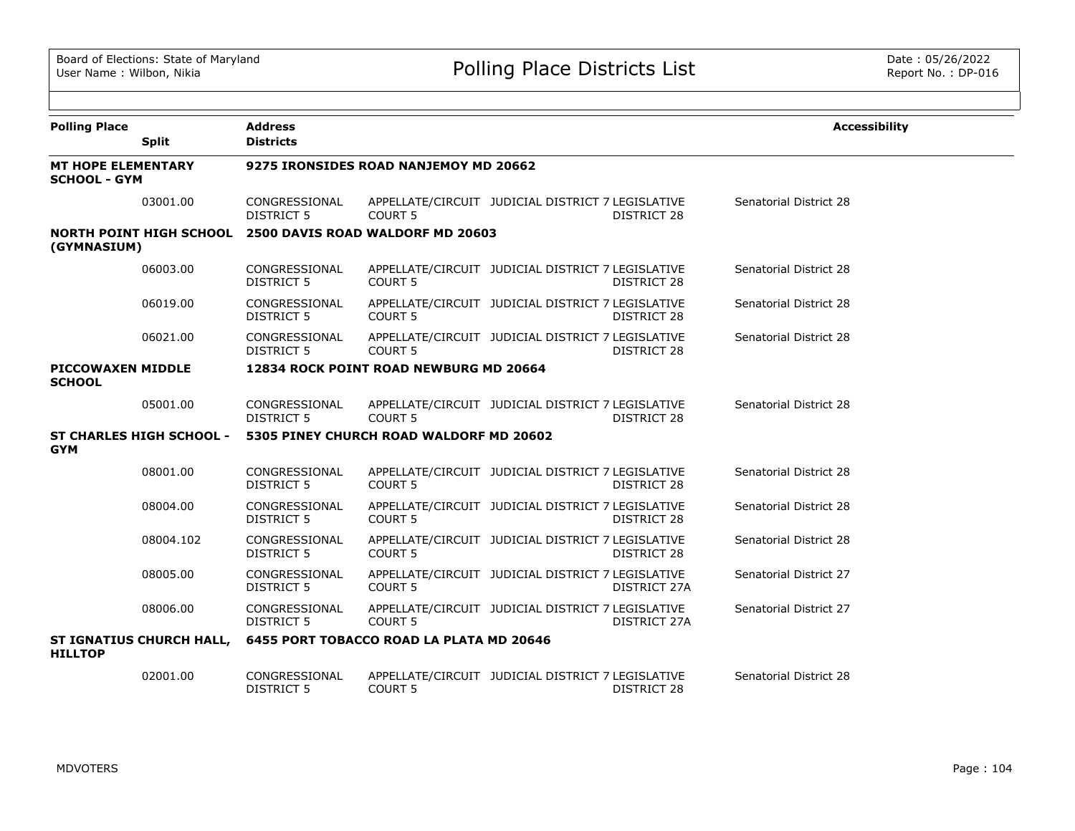| <b>Polling Place</b>                             |                                 | <b>Address</b>                        |                                          |                                                   |                    | <b>Accessibility</b>   |  |  |
|--------------------------------------------------|---------------------------------|---------------------------------------|------------------------------------------|---------------------------------------------------|--------------------|------------------------|--|--|
|                                                  | <b>Split</b>                    | <b>Districts</b>                      |                                          |                                                   |                    |                        |  |  |
| <b>MT HOPE ELEMENTARY</b><br><b>SCHOOL - GYM</b> |                                 | 9275 IRONSIDES ROAD NANJEMOY MD 20662 |                                          |                                                   |                    |                        |  |  |
|                                                  | 03001.00                        | CONGRESSIONAL<br>DISTRICT 5           | <b>COURT 5</b>                           | APPELLATE/CIRCUIT JUDICIAL DISTRICT 7 LEGISLATIVE | DISTRICT 28        | Senatorial District 28 |  |  |
| (GYMNASIUM)                                      | <b>NORTH POINT HIGH SCHOOL</b>  |                                       | 2500 DAVIS ROAD WALDORF MD 20603         |                                                   |                    |                        |  |  |
|                                                  | 06003.00                        | CONGRESSIONAL<br><b>DISTRICT 5</b>    | COURT <sub>5</sub>                       | APPELLATE/CIRCUIT JUDICIAL DISTRICT 7 LEGISLATIVE | <b>DISTRICT 28</b> | Senatorial District 28 |  |  |
|                                                  | 06019.00                        | CONGRESSIONAL<br>DISTRICT 5           | <b>COURT 5</b>                           | APPELLATE/CIRCUIT JUDICIAL DISTRICT 7 LEGISLATIVE | DISTRICT 28        | Senatorial District 28 |  |  |
|                                                  | 06021.00                        | CONGRESSIONAL<br><b>DISTRICT 5</b>    | <b>COURT 5</b>                           | APPELLATE/CIRCUIT JUDICIAL DISTRICT 7 LEGISLATIVE | DISTRICT 28        | Senatorial District 28 |  |  |
| <b>PICCOWAXEN MIDDLE</b><br><b>SCHOOL</b>        |                                 |                                       | 12834 ROCK POINT ROAD NEWBURG MD 20664   |                                                   |                    |                        |  |  |
|                                                  | 05001.00                        | CONGRESSIONAL<br><b>DISTRICT 5</b>    | COURT <sub>5</sub>                       | APPELLATE/CIRCUIT JUDICIAL DISTRICT 7 LEGISLATIVE | DISTRICT 28        | Senatorial District 28 |  |  |
| <b>GYM</b>                                       | <b>ST CHARLES HIGH SCHOOL -</b> |                                       | 5305 PINEY CHURCH ROAD WALDORF MD 20602  |                                                   |                    |                        |  |  |
|                                                  | 08001.00                        | CONGRESSIONAL<br><b>DISTRICT 5</b>    | COURT <sub>5</sub>                       | APPELLATE/CIRCUIT JUDICIAL DISTRICT 7 LEGISLATIVE | DISTRICT 28        | Senatorial District 28 |  |  |
|                                                  | 08004.00                        | CONGRESSIONAL<br><b>DISTRICT 5</b>    | COURT <sub>5</sub>                       | APPELLATE/CIRCUIT JUDICIAL DISTRICT 7 LEGISLATIVE | <b>DISTRICT 28</b> | Senatorial District 28 |  |  |
|                                                  | 08004.102                       | CONGRESSIONAL<br><b>DISTRICT 5</b>    | <b>COURT 5</b>                           | APPELLATE/CIRCUIT JUDICIAL DISTRICT 7 LEGISLATIVE | DISTRICT 28        | Senatorial District 28 |  |  |
|                                                  | 08005.00                        | CONGRESSIONAL<br><b>DISTRICT 5</b>    | <b>COURT 5</b>                           | APPELLATE/CIRCUIT JUDICIAL DISTRICT 7 LEGISLATIVE | DISTRICT 27A       | Senatorial District 27 |  |  |
|                                                  | 08006.00                        | CONGRESSIONAL<br>DISTRICT 5           | COURT <sub>5</sub>                       | APPELLATE/CIRCUIT JUDICIAL DISTRICT 7 LEGISLATIVE | DISTRICT 27A       | Senatorial District 27 |  |  |
| <b>HILLTOP</b>                                   | <b>ST IGNATIUS CHURCH HALL,</b> |                                       | 6455 PORT TOBACCO ROAD LA PLATA MD 20646 |                                                   |                    |                        |  |  |
|                                                  | 02001.00                        | CONGRESSIONAL<br><b>DISTRICT 5</b>    | COURT <sub>5</sub>                       | APPELLATE/CIRCUIT JUDICIAL DISTRICT 7 LEGISLATIVE | <b>DISTRICT 28</b> | Senatorial District 28 |  |  |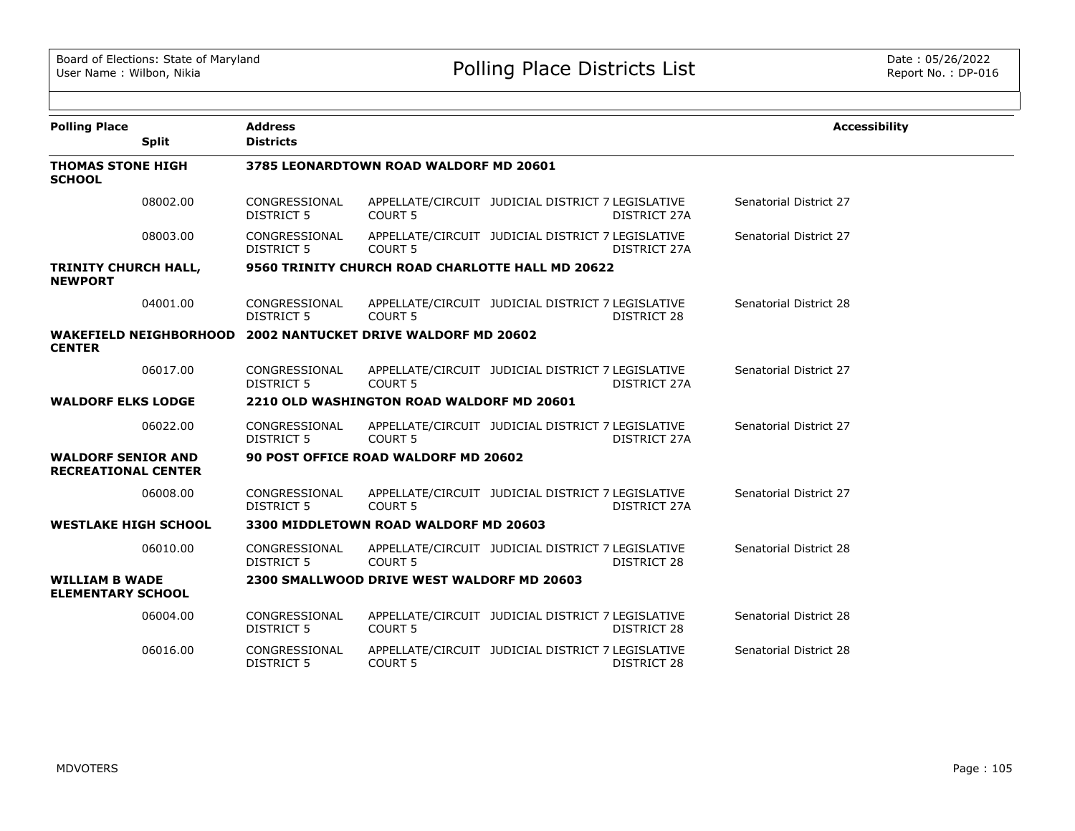| <b>Polling Place</b>                                    |              | <b>Address</b>                     |                                                              |                                                   |                    | <b>Accessibility</b>   |
|---------------------------------------------------------|--------------|------------------------------------|--------------------------------------------------------------|---------------------------------------------------|--------------------|------------------------|
|                                                         | <b>Split</b> | <b>Districts</b>                   |                                                              |                                                   |                    |                        |
| <b>THOMAS STONE HIGH</b><br><b>SCHOOL</b>               |              |                                    | 3785 LEONARDTOWN ROAD WALDORF MD 20601                       |                                                   |                    |                        |
|                                                         | 08002.00     | CONGRESSIONAL<br><b>DISTRICT 5</b> | <b>COURT 5</b>                                               | APPELLATE/CIRCUIT JUDICIAL DISTRICT 7 LEGISLATIVE | DISTRICT 27A       | Senatorial District 27 |
|                                                         | 08003.00     | CONGRESSIONAL<br><b>DISTRICT 5</b> | COURT <sub>5</sub>                                           | APPELLATE/CIRCUIT JUDICIAL DISTRICT 7 LEGISLATIVE | DISTRICT 27A       | Senatorial District 27 |
| <b>TRINITY CHURCH HALL,</b><br><b>NEWPORT</b>           |              |                                    | 9560 TRINITY CHURCH ROAD CHARLOTTE HALL MD 20622             |                                                   |                    |                        |
|                                                         | 04001.00     | CONGRESSIONAL<br><b>DISTRICT 5</b> | <b>COURT 5</b>                                               | APPELLATE/CIRCUIT JUDICIAL DISTRICT 7 LEGISLATIVE | DISTRICT 28        | Senatorial District 28 |
| <b>CENTER</b>                                           |              |                                    | WAKEFIELD NEIGHBORHOOD 2002 NANTUCKET DRIVE WALDORF MD 20602 |                                                   |                    |                        |
|                                                         | 06017.00     | CONGRESSIONAL<br><b>DISTRICT 5</b> | COURT <sub>5</sub>                                           | APPELLATE/CIRCUIT JUDICIAL DISTRICT 7 LEGISLATIVE | DISTRICT 27A       | Senatorial District 27 |
| <b>WALDORF ELKS LODGE</b>                               |              |                                    | 2210 OLD WASHINGTON ROAD WALDORF MD 20601                    |                                                   |                    |                        |
|                                                         | 06022.00     | CONGRESSIONAL<br>DISTRICT 5        | <b>COURT 5</b>                                               | APPELLATE/CIRCUIT JUDICIAL DISTRICT 7 LEGISLATIVE | DISTRICT 27A       | Senatorial District 27 |
| <b>WALDORF SENIOR AND</b><br><b>RECREATIONAL CENTER</b> |              |                                    | 90 POST OFFICE ROAD WALDORF MD 20602                         |                                                   |                    |                        |
|                                                         | 06008.00     | CONGRESSIONAL<br><b>DISTRICT 5</b> | COURT <sub>5</sub>                                           | APPELLATE/CIRCUIT JUDICIAL DISTRICT 7 LEGISLATIVE | DISTRICT 27A       | Senatorial District 27 |
| <b>WESTLAKE HIGH SCHOOL</b>                             |              |                                    | 3300 MIDDLETOWN ROAD WALDORF MD 20603                        |                                                   |                    |                        |
|                                                         | 06010.00     | CONGRESSIONAL<br><b>DISTRICT 5</b> | COURT 5                                                      | APPELLATE/CIRCUIT JUDICIAL DISTRICT 7 LEGISLATIVE | <b>DISTRICT 28</b> | Senatorial District 28 |
| <b>WILLIAM B WADE</b><br><b>ELEMENTARY SCHOOL</b>       |              |                                    | 2300 SMALLWOOD DRIVE WEST WALDORF MD 20603                   |                                                   |                    |                        |
|                                                         | 06004.00     | CONGRESSIONAL<br><b>DISTRICT 5</b> | COURT 5                                                      | APPELLATE/CIRCUIT JUDICIAL DISTRICT 7 LEGISLATIVE | <b>DISTRICT 28</b> | Senatorial District 28 |
|                                                         | 06016.00     | CONGRESSIONAL<br><b>DISTRICT 5</b> | COURT 5                                                      | APPELLATE/CIRCUIT JUDICIAL DISTRICT 7 LEGISLATIVE | DISTRICT 28        | Senatorial District 28 |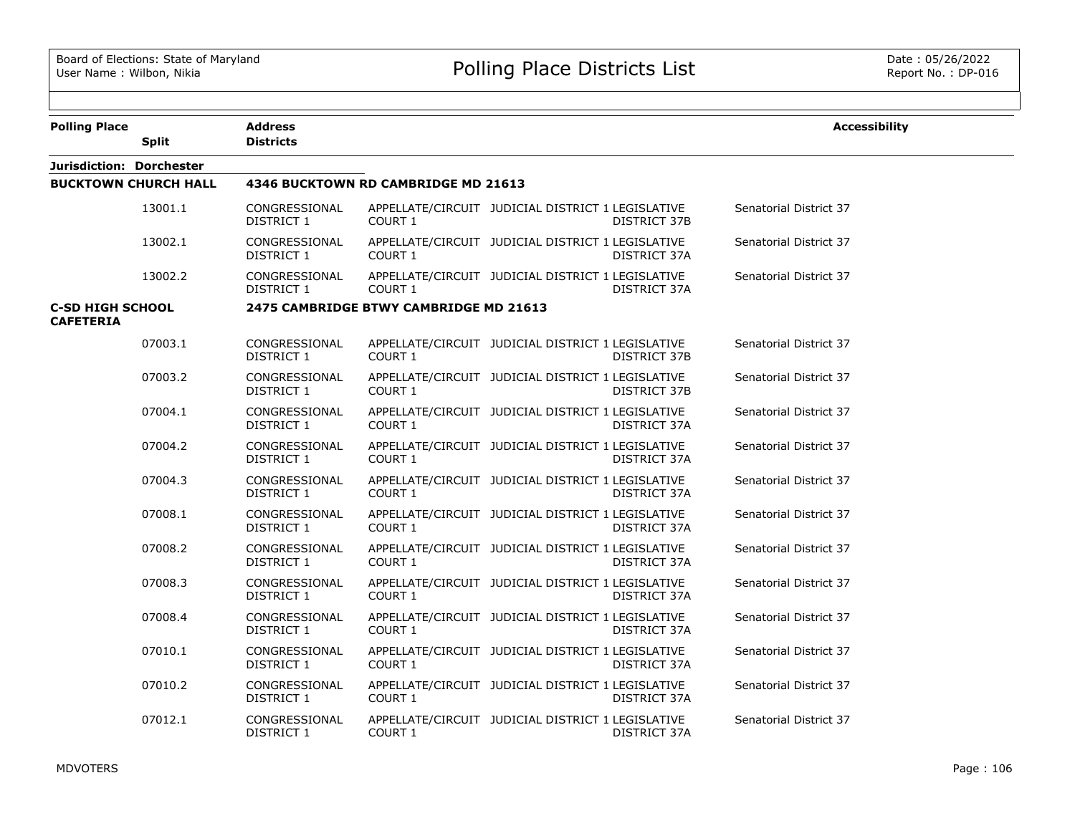| <b>Polling Place</b>                        | <b>Split</b>                | Address<br><b>Districts</b>        |                                        |                                                   |                     | <b>Accessibility</b>   |
|---------------------------------------------|-----------------------------|------------------------------------|----------------------------------------|---------------------------------------------------|---------------------|------------------------|
| Jurisdiction: Dorchester                    |                             |                                    |                                        |                                                   |                     |                        |
|                                             | <b>BUCKTOWN CHURCH HALL</b> |                                    | 4346 BUCKTOWN RD CAMBRIDGE MD 21613    |                                                   |                     |                        |
|                                             | 13001.1                     | CONGRESSIONAL<br>DISTRICT 1        | COURT 1                                | APPELLATE/CIRCUIT JUDICIAL DISTRICT 1 LEGISLATIVE | <b>DISTRICT 37B</b> | Senatorial District 37 |
|                                             | 13002.1                     | CONGRESSIONAL<br>DISTRICT 1        | COURT 1                                | APPELLATE/CIRCUIT JUDICIAL DISTRICT 1 LEGISLATIVE | DISTRICT 37A        | Senatorial District 37 |
|                                             | 13002.2                     | CONGRESSIONAL<br>DISTRICT 1        | COURT 1                                | APPELLATE/CIRCUIT JUDICIAL DISTRICT 1 LEGISLATIVE | DISTRICT 37A        | Senatorial District 37 |
| <b>C-SD HIGH SCHOOL</b><br><b>CAFETERIA</b> |                             |                                    | 2475 CAMBRIDGE BTWY CAMBRIDGE MD 21613 |                                                   |                     |                        |
|                                             | 07003.1                     | CONGRESSIONAL<br><b>DISTRICT 1</b> | COURT 1                                | APPELLATE/CIRCUIT JUDICIAL DISTRICT 1 LEGISLATIVE | <b>DISTRICT 37B</b> | Senatorial District 37 |
|                                             | 07003.2                     | CONGRESSIONAL<br>DISTRICT 1        | COURT 1                                | APPELLATE/CIRCUIT JUDICIAL DISTRICT 1 LEGISLATIVE | DISTRICT 37B        | Senatorial District 37 |
|                                             | 07004.1                     | CONGRESSIONAL<br>DISTRICT 1        | COURT 1                                | APPELLATE/CIRCUIT JUDICIAL DISTRICT 1 LEGISLATIVE | DISTRICT 37A        | Senatorial District 37 |
|                                             | 07004.2                     | CONGRESSIONAL<br>DISTRICT 1        | COURT 1                                | APPELLATE/CIRCUIT JUDICIAL DISTRICT 1 LEGISLATIVE | DISTRICT 37A        | Senatorial District 37 |
|                                             | 07004.3                     | CONGRESSIONAL<br>DISTRICT 1        | COURT 1                                | APPELLATE/CIRCUIT JUDICIAL DISTRICT 1 LEGISLATIVE | DISTRICT 37A        | Senatorial District 37 |
|                                             | 07008.1                     | CONGRESSIONAL<br>DISTRICT 1        | COURT 1                                | APPELLATE/CIRCUIT JUDICIAL DISTRICT 1 LEGISLATIVE | DISTRICT 37A        | Senatorial District 37 |
|                                             | 07008.2                     | CONGRESSIONAL<br>DISTRICT 1        | COURT 1                                | APPELLATE/CIRCUIT JUDICIAL DISTRICT 1 LEGISLATIVE | DISTRICT 37A        | Senatorial District 37 |
|                                             | 07008.3                     | CONGRESSIONAL<br>DISTRICT 1        | COURT 1                                | APPELLATE/CIRCUIT JUDICIAL DISTRICT 1 LEGISLATIVE | DISTRICT 37A        | Senatorial District 37 |
|                                             | 07008.4                     | CONGRESSIONAL<br><b>DISTRICT 1</b> | COURT 1                                | APPELLATE/CIRCUIT JUDICIAL DISTRICT 1 LEGISLATIVE | DISTRICT 37A        | Senatorial District 37 |
|                                             | 07010.1                     | CONGRESSIONAL<br>DISTRICT 1        | COURT 1                                | APPELLATE/CIRCUIT JUDICIAL DISTRICT 1 LEGISLATIVE | DISTRICT 37A        | Senatorial District 37 |
|                                             | 07010.2                     | CONGRESSIONAL<br>DISTRICT 1        | COURT 1                                | APPELLATE/CIRCUIT JUDICIAL DISTRICT 1 LEGISLATIVE | DISTRICT 37A        | Senatorial District 37 |
|                                             | 07012.1                     | CONGRESSIONAL<br><b>DISTRICT 1</b> | COURT 1                                | APPELLATE/CIRCUIT JUDICIAL DISTRICT 1 LEGISLATIVE | DISTRICT 37A        | Senatorial District 37 |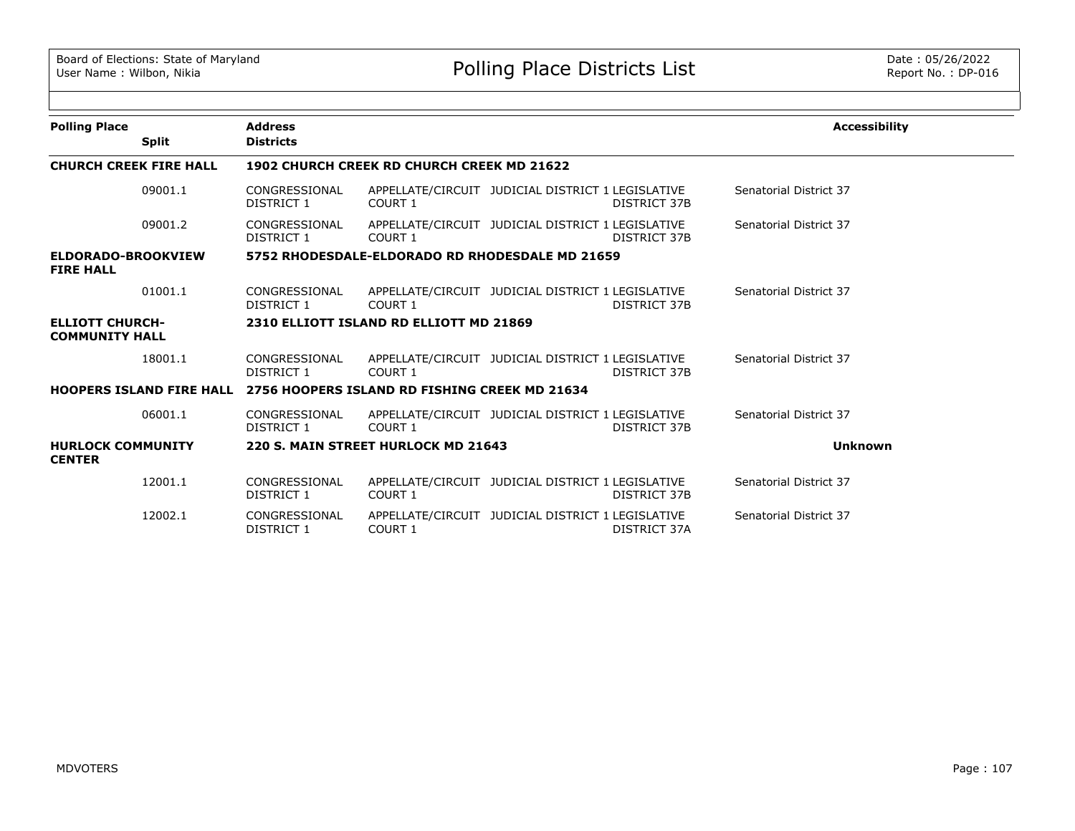| <b>Polling Place</b>                            |              | <b>Address</b>                                                                |         |                                                   |                     | <b>Accessibility</b>   |
|-------------------------------------------------|--------------|-------------------------------------------------------------------------------|---------|---------------------------------------------------|---------------------|------------------------|
|                                                 | <b>Split</b> | <b>Districts</b>                                                              |         |                                                   |                     |                        |
| <b>CHURCH CREEK FIRE HALL</b>                   |              | <b>1902 CHURCH CREEK RD CHURCH CREEK MD 21622</b>                             |         |                                                   |                     |                        |
|                                                 | 09001.1      | CONGRESSIONAL<br>DISTRICT 1                                                   | COURT 1 | APPELLATE/CIRCUIT JUDICIAL DISTRICT 1 LEGISLATIVE | <b>DISTRICT 37B</b> | Senatorial District 37 |
|                                                 | 09001.2      | CONGRESSIONAL<br>DISTRICT 1                                                   | COURT 1 | APPELLATE/CIRCUIT JUDICIAL DISTRICT 1 LEGISLATIVE | <b>DISTRICT 37B</b> | Senatorial District 37 |
| ELDORADO-BROOKVIEW<br><b>FIRE HALL</b>          |              |                                                                               |         | 5752 RHODESDALE-ELDORADO RD RHODESDALE MD 21659   |                     |                        |
|                                                 | 01001.1      | CONGRESSIONAL<br>DISTRICT 1                                                   | COURT 1 | APPELLATE/CIRCUIT JUDICIAL DISTRICT 1 LEGISLATIVE | DISTRICT 37B        | Senatorial District 37 |
| <b>ELLIOTT CHURCH-</b><br><b>COMMUNITY HALL</b> |              | 2310 ELLIOTT ISLAND RD ELLIOTT MD 21869                                       |         |                                                   |                     |                        |
|                                                 | 18001.1      | CONGRESSIONAL<br>DISTRICT 1                                                   | COURT 1 | APPELLATE/CIRCUIT JUDICIAL DISTRICT 1 LEGISLATIVE | DISTRICT 37B        | Senatorial District 37 |
|                                                 |              | <b>HOOPERS ISLAND FIRE HALL 2756 HOOPERS ISLAND RD FISHING CREEK MD 21634</b> |         |                                                   |                     |                        |
|                                                 | 06001.1      | CONGRESSIONAL<br>DISTRICT 1                                                   | COURT 1 | APPELLATE/CIRCUIT JUDICIAL DISTRICT 1 LEGISLATIVE | <b>DISTRICT 37B</b> | Senatorial District 37 |
| <b>HURLOCK COMMUNITY</b><br><b>CENTER</b>       |              | 220 S. MAIN STREET HURLOCK MD 21643                                           |         |                                                   |                     | <b>Unknown</b>         |
|                                                 | 12001.1      | CONGRESSIONAL<br>DISTRICT 1                                                   | COURT 1 | APPELLATE/CIRCUIT JUDICIAL DISTRICT 1 LEGISLATIVE | DISTRICT 37B        | Senatorial District 37 |
|                                                 | 12002.1      | CONGRESSIONAL<br><b>DISTRICT 1</b>                                            | COURT 1 | APPELLATE/CIRCUIT JUDICIAL DISTRICT 1 LEGISLATIVE | DISTRICT 37A        | Senatorial District 37 |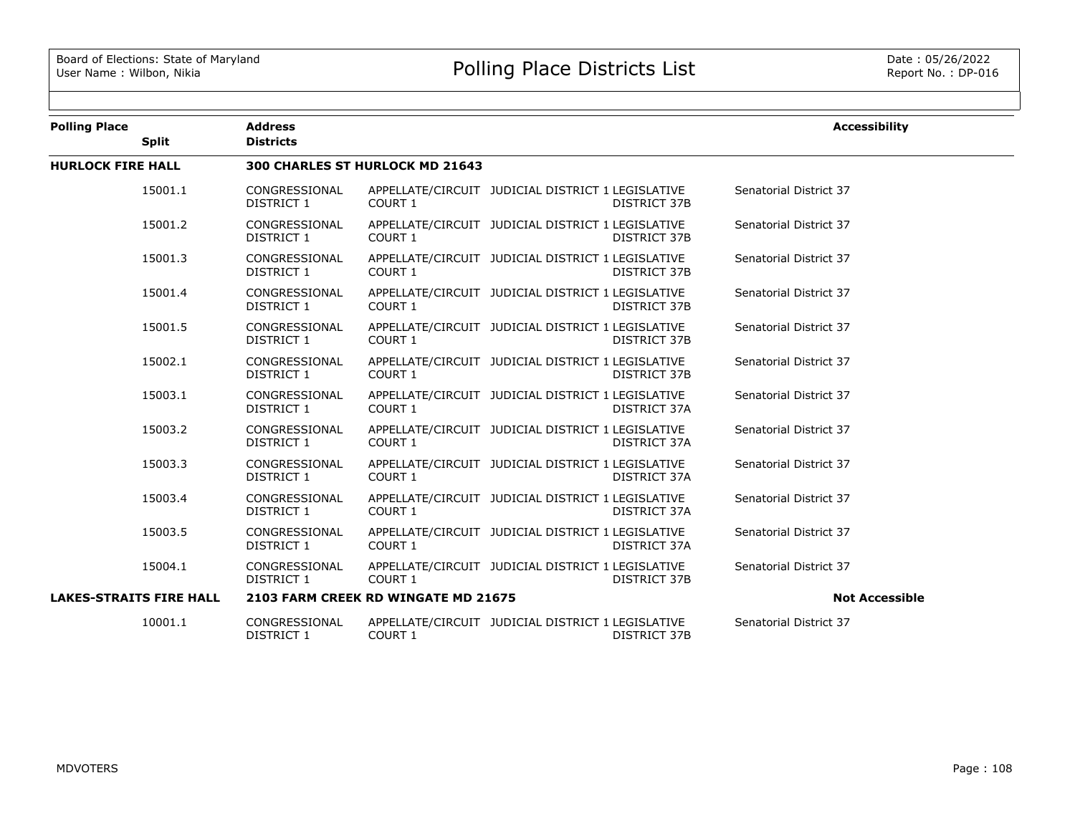| <b>Polling Place</b><br><b>Split</b> | <b>Address</b><br><b>Districts</b> |                                     |                                                                          | <b>Accessibility</b>   |
|--------------------------------------|------------------------------------|-------------------------------------|--------------------------------------------------------------------------|------------------------|
| <b>HURLOCK FIRE HALL</b>             |                                    | 300 CHARLES ST HURLOCK MD 21643     |                                                                          |                        |
| 15001.1                              | CONGRESSIONAL<br><b>DISTRICT 1</b> | COURT 1                             | APPELLATE/CIRCUIT JUDICIAL DISTRICT 1 LEGISLATIVE<br><b>DISTRICT 37B</b> | Senatorial District 37 |
| 15001.2                              | CONGRESSIONAL<br><b>DISTRICT 1</b> | COURT 1                             | APPELLATE/CIRCUIT JUDICIAL DISTRICT 1 LEGISLATIVE<br>DISTRICT 37B        | Senatorial District 37 |
| 15001.3                              | CONGRESSIONAL<br>DISTRICT 1        | COURT 1                             | APPELLATE/CIRCUIT JUDICIAL DISTRICT 1 LEGISLATIVE<br><b>DISTRICT 37B</b> | Senatorial District 37 |
| 15001.4                              | CONGRESSIONAL<br>DISTRICT 1        | COURT 1                             | APPELLATE/CIRCUIT JUDICIAL DISTRICT 1 LEGISLATIVE<br>DISTRICT 37B        | Senatorial District 37 |
| 15001.5                              | CONGRESSIONAL<br>DISTRICT 1        | COURT 1                             | APPELLATE/CIRCUIT JUDICIAL DISTRICT 1 LEGISLATIVE<br>DISTRICT 37B        | Senatorial District 37 |
| 15002.1                              | CONGRESSIONAL<br>DISTRICT 1        | COURT 1                             | APPELLATE/CIRCUIT JUDICIAL DISTRICT 1 LEGISLATIVE<br><b>DISTRICT 37B</b> | Senatorial District 37 |
| 15003.1                              | CONGRESSIONAL<br>DISTRICT 1        | COURT 1                             | APPELLATE/CIRCUIT JUDICIAL DISTRICT 1 LEGISLATIVE<br>DISTRICT 37A        | Senatorial District 37 |
| 15003.2                              | CONGRESSIONAL<br><b>DISTRICT 1</b> | COURT 1                             | APPELLATE/CIRCUIT JUDICIAL DISTRICT 1 LEGISLATIVE<br>DISTRICT 37A        | Senatorial District 37 |
| 15003.3                              | CONGRESSIONAL<br>DISTRICT 1        | COURT 1                             | APPELLATE/CIRCUIT JUDICIAL DISTRICT 1 LEGISLATIVE<br>DISTRICT 37A        | Senatorial District 37 |
| 15003.4                              | CONGRESSIONAL<br><b>DISTRICT 1</b> | COURT 1                             | APPELLATE/CIRCUIT JUDICIAL DISTRICT 1 LEGISLATIVE<br>DISTRICT 37A        | Senatorial District 37 |
| 15003.5                              | CONGRESSIONAL<br>DISTRICT 1        | COURT 1                             | APPELLATE/CIRCUIT JUDICIAL DISTRICT 1 LEGISLATIVE<br>DISTRICT 37A        | Senatorial District 37 |
| 15004.1                              | CONGRESSIONAL<br>DISTRICT 1        | COURT 1                             | APPELLATE/CIRCUIT JUDICIAL DISTRICT 1 LEGISLATIVE<br>DISTRICT 37B        | Senatorial District 37 |
| <b>LAKES-STRAITS FIRE HALL</b>       |                                    | 2103 FARM CREEK RD WINGATE MD 21675 |                                                                          | <b>Not Accessible</b>  |
| 10001.1                              | CONGRESSIONAL<br>DISTRICT 1        | COURT 1                             | APPELLATE/CIRCUIT JUDICIAL DISTRICT 1 LEGISLATIVE<br><b>DISTRICT 37B</b> | Senatorial District 37 |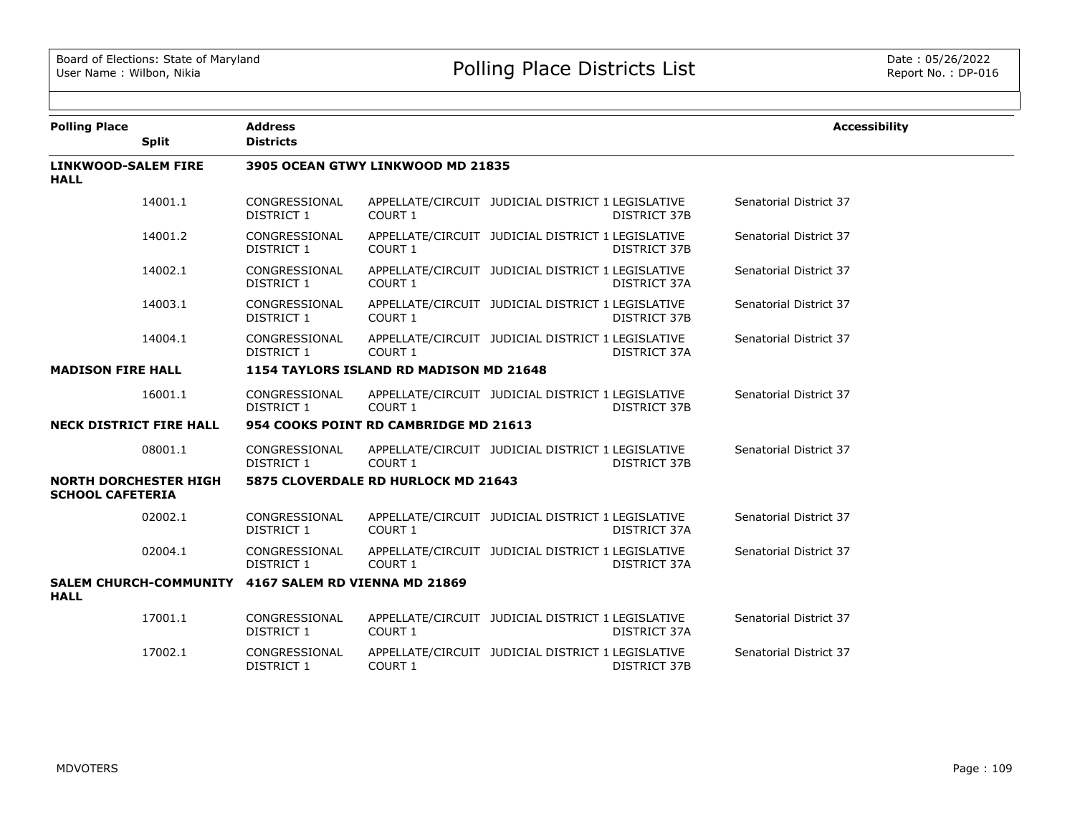| <b>Polling Place</b>               |                                | <b>Address</b>                |                                         |                                                                          | <b>Accessibility</b>   |
|------------------------------------|--------------------------------|-------------------------------|-----------------------------------------|--------------------------------------------------------------------------|------------------------|
|                                    | <b>Split</b>                   | <b>Districts</b>              |                                         |                                                                          |                        |
| LINKWOOD-SALEM FIRE<br><b>HALL</b> |                                |                               | 3905 OCEAN GTWY LINKWOOD MD 21835       |                                                                          |                        |
|                                    | 14001.1                        | CONGRESSIONAL<br>DISTRICT 1   | COURT 1                                 | APPELLATE/CIRCUIT JUDICIAL DISTRICT 1 LEGISLATIVE<br><b>DISTRICT 37B</b> | Senatorial District 37 |
|                                    | 14001.2                        | CONGRESSIONAL<br>DISTRICT 1   | COURT 1                                 | APPELLATE/CIRCUIT JUDICIAL DISTRICT 1 LEGISLATIVE<br>DISTRICT 37B        | Senatorial District 37 |
|                                    | 14002.1                        | CONGRESSIONAL<br>DISTRICT 1   | COURT 1                                 | APPELLATE/CIRCUIT JUDICIAL DISTRICT 1 LEGISLATIVE<br>DISTRICT 37A        | Senatorial District 37 |
|                                    | 14003.1                        | CONGRESSIONAL<br>DISTRICT 1   | COURT 1                                 | APPELLATE/CIRCUIT JUDICIAL DISTRICT 1 LEGISLATIVE<br><b>DISTRICT 37B</b> | Senatorial District 37 |
|                                    | 14004.1                        | CONGRESSIONAL<br>DISTRICT 1   | COURT 1                                 | APPELLATE/CIRCUIT JUDICIAL DISTRICT 1 LEGISLATIVE<br>DISTRICT 37A        | Senatorial District 37 |
| <b>MADISON FIRE HALL</b>           |                                |                               | 1154 TAYLORS ISLAND RD MADISON MD 21648 |                                                                          |                        |
|                                    | 16001.1                        | CONGRESSIONAL<br>DISTRICT 1   | COURT 1                                 | APPELLATE/CIRCUIT JUDICIAL DISTRICT 1 LEGISLATIVE<br><b>DISTRICT 37B</b> | Senatorial District 37 |
|                                    | <b>NECK DISTRICT FIRE HALL</b> |                               | 954 COOKS POINT RD CAMBRIDGE MD 21613   |                                                                          |                        |
|                                    | 08001.1                        | CONGRESSIONAL<br>DISTRICT 1   | COURT 1                                 | APPELLATE/CIRCUIT JUDICIAL DISTRICT 1 LEGISLATIVE<br>DISTRICT 37B        | Senatorial District 37 |
| <b>SCHOOL CAFETERIA</b>            | <b>NORTH DORCHESTER HIGH</b>   |                               | 5875 CLOVERDALE RD HURLOCK MD 21643     |                                                                          |                        |
|                                    | 02002.1                        | CONGRESSIONAL<br>DISTRICT 1   | COURT 1                                 | APPELLATE/CIRCUIT JUDICIAL DISTRICT 1 LEGISLATIVE<br>DISTRICT 37A        | Senatorial District 37 |
|                                    | 02004.1                        | CONGRESSIONAL<br>DISTRICT 1   | COURT 1                                 | APPELLATE/CIRCUIT JUDICIAL DISTRICT 1 LEGISLATIVE<br>DISTRICT 37A        | Senatorial District 37 |
| <b>HALL</b>                        | <b>SALEM CHURCH-COMMUNITY</b>  | 4167 SALEM RD VIENNA MD 21869 |                                         |                                                                          |                        |
|                                    | 17001.1                        | CONGRESSIONAL<br>DISTRICT 1   | COURT 1                                 | APPELLATE/CIRCUIT JUDICIAL DISTRICT 1 LEGISLATIVE<br>DISTRICT 37A        | Senatorial District 37 |
|                                    | 17002.1                        | CONGRESSIONAL<br>DISTRICT 1   | COURT 1                                 | APPELLATE/CIRCUIT JUDICIAL DISTRICT 1 LEGISLATIVE<br>DISTRICT 37B        | Senatorial District 37 |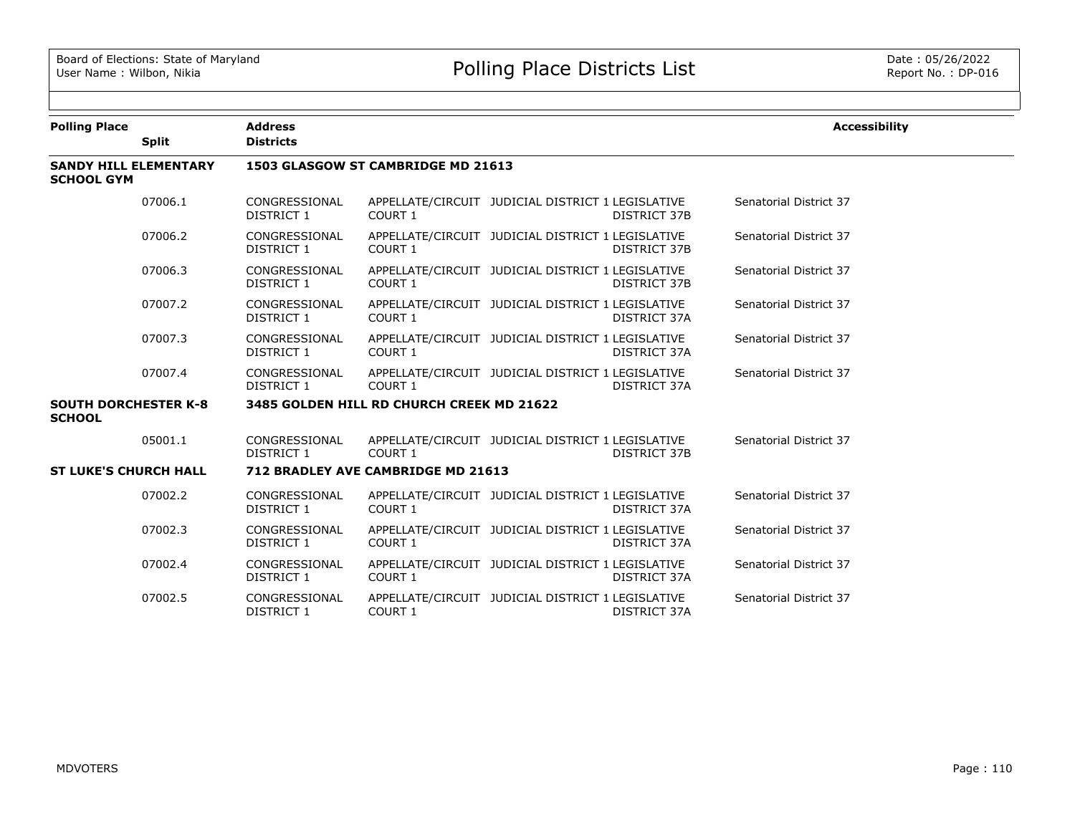| <b>Polling Place</b><br><b>Split</b>         | <b>Address</b><br><b>Districts</b> |                                           |                                                                          | <b>Accessibility</b>   |
|----------------------------------------------|------------------------------------|-------------------------------------------|--------------------------------------------------------------------------|------------------------|
| <b>SANDY HILL ELEMENTARY</b>                 |                                    | 1503 GLASGOW ST CAMBRIDGE MD 21613        |                                                                          |                        |
| <b>SCHOOL GYM</b>                            |                                    |                                           |                                                                          |                        |
| 07006.1                                      | CONGRESSIONAL<br>DISTRICT 1        | COURT 1                                   | APPELLATE/CIRCUIT JUDICIAL DISTRICT 1 LEGISLATIVE<br><b>DISTRICT 37B</b> | Senatorial District 37 |
| 07006.2                                      | CONGRESSIONAL<br>DISTRICT 1        | COURT 1                                   | APPELLATE/CIRCUIT JUDICIAL DISTRICT 1 LEGISLATIVE<br><b>DISTRICT 37B</b> | Senatorial District 37 |
| 07006.3                                      | CONGRESSIONAL<br>DISTRICT 1        | COURT 1                                   | APPELLATE/CIRCUIT JUDICIAL DISTRICT 1 LEGISLATIVE<br><b>DISTRICT 37B</b> | Senatorial District 37 |
| 07007.2                                      | CONGRESSIONAL<br>DISTRICT 1        | COURT 1                                   | APPELLATE/CIRCUIT JUDICIAL DISTRICT 1 LEGISLATIVE<br>DISTRICT 37A        | Senatorial District 37 |
| 07007.3                                      | CONGRESSIONAL<br>DISTRICT 1        | COURT 1                                   | APPELLATE/CIRCUIT JUDICIAL DISTRICT 1 LEGISLATIVE<br>DISTRICT 37A        | Senatorial District 37 |
| 07007.4                                      | CONGRESSIONAL<br>DISTRICT 1        | COURT 1                                   | APPELLATE/CIRCUIT JUDICIAL DISTRICT 1 LEGISLATIVE<br>DISTRICT 37A        | Senatorial District 37 |
| <b>SOUTH DORCHESTER K-8</b><br><b>SCHOOL</b> |                                    | 3485 GOLDEN HILL RD CHURCH CREEK MD 21622 |                                                                          |                        |
| 05001.1                                      | CONGRESSIONAL<br><b>DISTRICT 1</b> | COURT 1                                   | APPELLATE/CIRCUIT JUDICIAL DISTRICT 1 LEGISLATIVE<br><b>DISTRICT 37B</b> | Senatorial District 37 |
| <b>ST LUKE'S CHURCH HALL</b>                 |                                    | 712 BRADLEY AVE CAMBRIDGE MD 21613        |                                                                          |                        |
| 07002.2                                      | CONGRESSIONAL<br><b>DISTRICT 1</b> | COURT 1                                   | APPELLATE/CIRCUIT JUDICIAL DISTRICT 1 LEGISLATIVE<br>DISTRICT 37A        | Senatorial District 37 |
| 07002.3                                      | CONGRESSIONAL<br>DISTRICT 1        | COURT 1                                   | APPELLATE/CIRCUIT JUDICIAL DISTRICT 1 LEGISLATIVE<br>DISTRICT 37A        | Senatorial District 37 |
| 07002.4                                      | CONGRESSIONAL<br>DISTRICT 1        | COURT 1                                   | APPELLATE/CIRCUIT JUDICIAL DISTRICT 1 LEGISLATIVE<br>DISTRICT 37A        | Senatorial District 37 |
| 07002.5                                      | CONGRESSIONAL<br><b>DISTRICT 1</b> | COURT 1                                   | APPELLATE/CIRCUIT JUDICIAL DISTRICT 1 LEGISLATIVE<br>DISTRICT 37A        | Senatorial District 37 |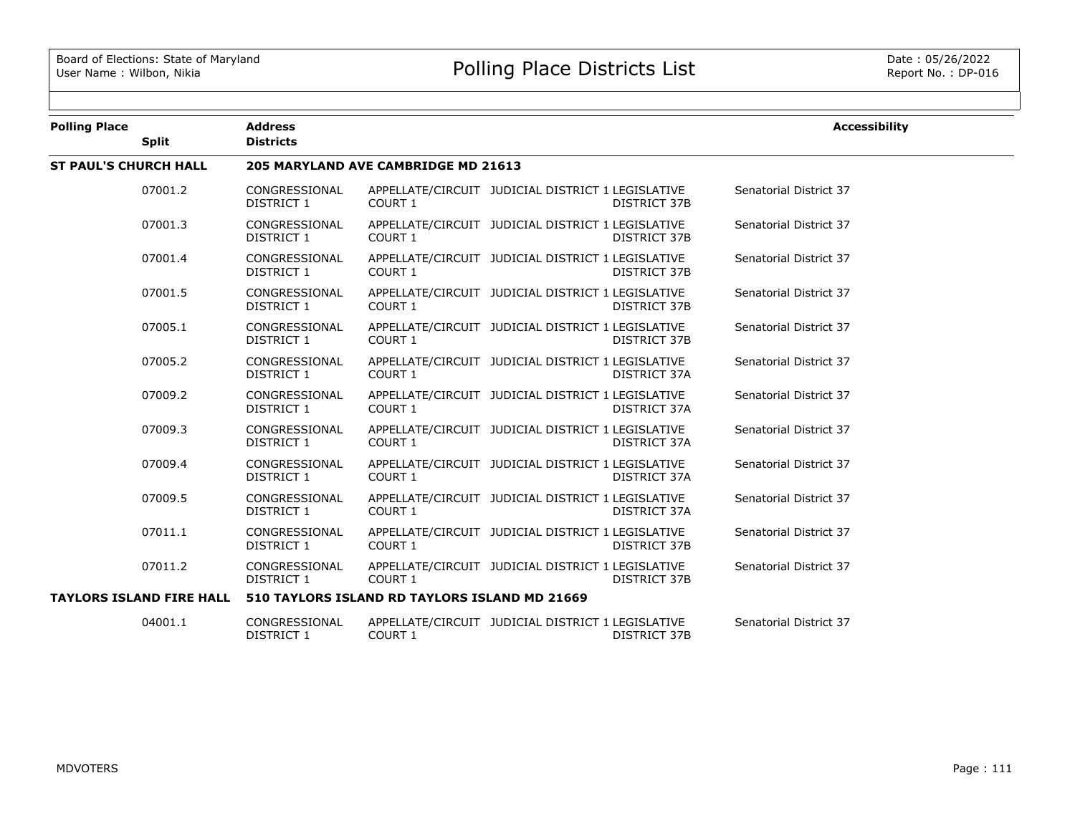| <b>Polling Place</b>            | <b>Address</b>                     |                                               |                                                   |                     | <b>Accessibility</b>   |
|---------------------------------|------------------------------------|-----------------------------------------------|---------------------------------------------------|---------------------|------------------------|
| <b>Split</b>                    | <b>Districts</b>                   |                                               |                                                   |                     |                        |
| <b>ST PAUL'S CHURCH HALL</b>    |                                    | 205 MARYLAND AVE CAMBRIDGE MD 21613           |                                                   |                     |                        |
| 07001.2                         | CONGRESSIONAL<br><b>DISTRICT 1</b> | COURT 1                                       | APPELLATE/CIRCUIT JUDICIAL DISTRICT 1 LEGISLATIVE | <b>DISTRICT 37B</b> | Senatorial District 37 |
| 07001.3                         | CONGRESSIONAL<br>DISTRICT 1        | COURT 1                                       | APPELLATE/CIRCUIT JUDICIAL DISTRICT 1 LEGISLATIVE | DISTRICT 37B        | Senatorial District 37 |
| 07001.4                         | CONGRESSIONAL<br><b>DISTRICT 1</b> | <b>COURT 1</b>                                | APPELLATE/CIRCUIT JUDICIAL DISTRICT 1 LEGISLATIVE | <b>DISTRICT 37B</b> | Senatorial District 37 |
| 07001.5                         | CONGRESSIONAL<br>DISTRICT 1        | COURT 1                                       | APPELLATE/CIRCUIT JUDICIAL DISTRICT 1 LEGISLATIVE | <b>DISTRICT 37B</b> | Senatorial District 37 |
| 07005.1                         | CONGRESSIONAL<br><b>DISTRICT 1</b> | <b>COURT 1</b>                                | APPELLATE/CIRCUIT JUDICIAL DISTRICT 1 LEGISLATIVE | <b>DISTRICT 37B</b> | Senatorial District 37 |
| 07005.2                         | CONGRESSIONAL<br><b>DISTRICT 1</b> | COURT 1                                       | APPELLATE/CIRCUIT JUDICIAL DISTRICT 1 LEGISLATIVE | DISTRICT 37A        | Senatorial District 37 |
| 07009.2                         | CONGRESSIONAL<br>DISTRICT 1        | COURT 1                                       | APPELLATE/CIRCUIT JUDICIAL DISTRICT 1 LEGISLATIVE | DISTRICT 37A        | Senatorial District 37 |
| 07009.3                         | CONGRESSIONAL<br><b>DISTRICT 1</b> | <b>COURT 1</b>                                | APPELLATE/CIRCUIT JUDICIAL DISTRICT 1 LEGISLATIVE | DISTRICT 37A        | Senatorial District 37 |
| 07009.4                         | CONGRESSIONAL<br>DISTRICT 1        | COURT 1                                       | APPELLATE/CIRCUIT JUDICIAL DISTRICT 1 LEGISLATIVE | DISTRICT 37A        | Senatorial District 37 |
| 07009.5                         | CONGRESSIONAL<br><b>DISTRICT 1</b> | COURT 1                                       | APPELLATE/CIRCUIT JUDICIAL DISTRICT 1 LEGISLATIVE | DISTRICT 37A        | Senatorial District 37 |
| 07011.1                         | CONGRESSIONAL<br><b>DISTRICT 1</b> | <b>COURT 1</b>                                | APPELLATE/CIRCUIT JUDICIAL DISTRICT 1 LEGISLATIVE | <b>DISTRICT 37B</b> | Senatorial District 37 |
| 07011.2                         | CONGRESSIONAL<br>DISTRICT 1        | COURT 1                                       | APPELLATE/CIRCUIT JUDICIAL DISTRICT 1 LEGISLATIVE | <b>DISTRICT 37B</b> | Senatorial District 37 |
| <b>TAYLORS ISLAND FIRE HALL</b> |                                    | 510 TAYLORS ISLAND RD TAYLORS ISLAND MD 21669 |                                                   |                     |                        |
| 04001.1                         | CONGRESSIONAL<br>DISTRICT 1        | COURT 1                                       | APPELLATE/CIRCUIT JUDICIAL DISTRICT 1 LEGISLATIVE | DISTRICT 37B        | Senatorial District 37 |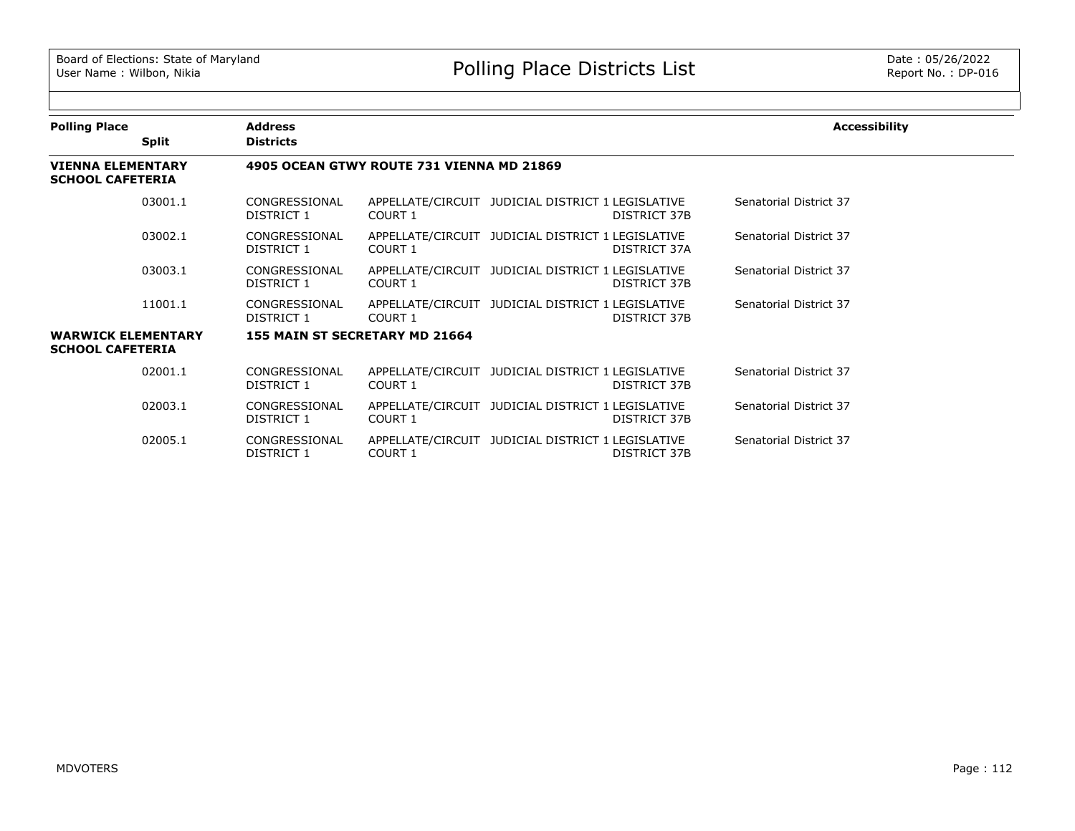| <b>Polling Place</b>                                 |              | <b>Address</b>              |                                           |                                                                   | <b>Accessibility</b>   |
|------------------------------------------------------|--------------|-----------------------------|-------------------------------------------|-------------------------------------------------------------------|------------------------|
|                                                      | <b>Split</b> | <b>Districts</b>            |                                           |                                                                   |                        |
| <b>VIENNA ELEMENTARY</b><br><b>SCHOOL CAFETERIA</b>  |              |                             | 4905 OCEAN GTWY ROUTE 731 VIENNA MD 21869 |                                                                   |                        |
|                                                      | 03001.1      | CONGRESSIONAL<br>DISTRICT 1 | <b>COURT 1</b>                            | APPELLATE/CIRCUIT JUDICIAL DISTRICT 1 LEGISLATIVE<br>DISTRICT 37B | Senatorial District 37 |
|                                                      | 03002.1      | CONGRESSIONAL<br>DISTRICT 1 | COURT 1                                   | APPELLATE/CIRCUIT JUDICIAL DISTRICT 1 LEGISLATIVE<br>DISTRICT 37A | Senatorial District 37 |
|                                                      | 03003.1      | CONGRESSIONAL<br>DISTRICT 1 | COURT 1                                   | APPELLATE/CIRCUIT JUDICIAL DISTRICT 1 LEGISLATIVE<br>DISTRICT 37B | Senatorial District 37 |
|                                                      | 11001.1      | CONGRESSIONAL<br>DISTRICT 1 | COURT 1                                   | APPELLATE/CIRCUIT JUDICIAL DISTRICT 1 LEGISLATIVE<br>DISTRICT 37B | Senatorial District 37 |
| <b>WARWICK ELEMENTARY</b><br><b>SCHOOL CAFETERIA</b> |              |                             | 155 MAIN ST SECRETARY MD 21664            |                                                                   |                        |
|                                                      | 02001.1      | CONGRESSIONAL<br>DISTRICT 1 | <b>COURT 1</b>                            | APPELLATE/CIRCUIT JUDICIAL DISTRICT 1 LEGISLATIVE<br>DISTRICT 37B | Senatorial District 37 |
|                                                      | 02003.1      | CONGRESSIONAL<br>DISTRICT 1 | COURT 1                                   | APPELLATE/CIRCUIT JUDICIAL DISTRICT 1 LEGISLATIVE<br>DISTRICT 37B | Senatorial District 37 |
|                                                      | 02005.1      | CONGRESSIONAL<br>DISTRICT 1 | COURT 1                                   | APPELLATE/CIRCUIT JUDICIAL DISTRICT 1 LEGISLATIVE<br>DISTRICT 37B | Senatorial District 37 |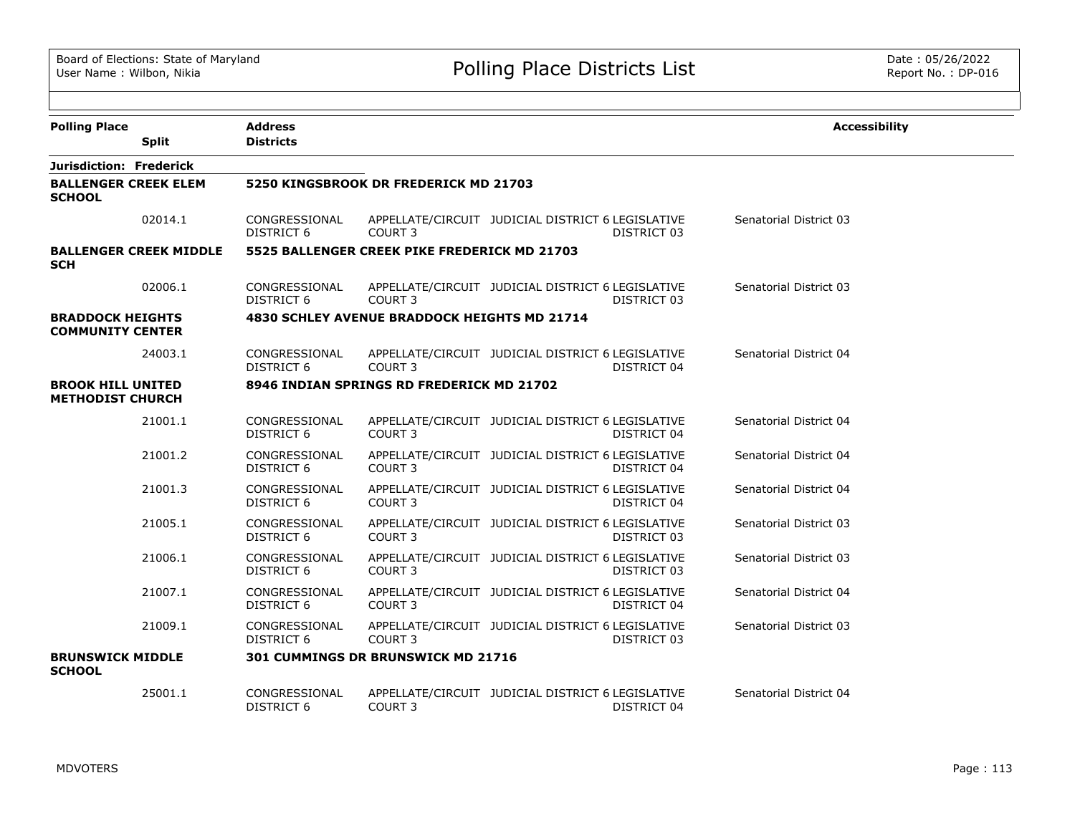| <b>Polling Place</b>                                | <b>Address</b>                     |                                              |                                                                  | <b>Accessibility</b>   |
|-----------------------------------------------------|------------------------------------|----------------------------------------------|------------------------------------------------------------------|------------------------|
| <b>Split</b>                                        | <b>Districts</b>                   |                                              |                                                                  |                        |
| Jurisdiction: Frederick                             |                                    |                                              |                                                                  |                        |
| <b>BALLENGER CREEK ELEM</b><br><b>SCHOOL</b>        |                                    | 5250 KINGSBROOK DR FREDERICK MD 21703        |                                                                  |                        |
| 02014.1                                             | CONGRESSIONAL<br><b>DISTRICT 6</b> | COURT 3                                      | APPELLATE/CIRCUIT JUDICIAL DISTRICT 6 LEGISLATIVE<br>DISTRICT 03 | Senatorial District 03 |
| <b>BALLENGER CREEK MIDDLE</b><br><b>SCH</b>         |                                    | 5525 BALLENGER CREEK PIKE FREDERICK MD 21703 |                                                                  |                        |
| 02006.1                                             | CONGRESSIONAL<br>DISTRICT 6        | COURT 3                                      | APPELLATE/CIRCUIT JUDICIAL DISTRICT 6 LEGISLATIVE<br>DISTRICT 03 | Senatorial District 03 |
| <b>BRADDOCK HEIGHTS</b><br><b>COMMUNITY CENTER</b>  |                                    | 4830 SCHLEY AVENUE BRADDOCK HEIGHTS MD 21714 |                                                                  |                        |
| 24003.1                                             | CONGRESSIONAL<br>DISTRICT 6        | COURT <sub>3</sub>                           | APPELLATE/CIRCUIT JUDICIAL DISTRICT 6 LEGISLATIVE<br>DISTRICT 04 | Senatorial District 04 |
| <b>BROOK HILL UNITED</b><br><b>METHODIST CHURCH</b> |                                    | 8946 INDIAN SPRINGS RD FREDERICK MD 21702    |                                                                  |                        |
| 21001.1                                             | CONGRESSIONAL<br>DISTRICT 6        | COURT <sub>3</sub>                           | APPELLATE/CIRCUIT JUDICIAL DISTRICT 6 LEGISLATIVE<br>DISTRICT 04 | Senatorial District 04 |
| 21001.2                                             | CONGRESSIONAL<br>DISTRICT 6        | COURT <sub>3</sub>                           | APPELLATE/CIRCUIT JUDICIAL DISTRICT 6 LEGISLATIVE<br>DISTRICT 04 | Senatorial District 04 |
| 21001.3                                             | CONGRESSIONAL<br>DISTRICT 6        | COURT <sub>3</sub>                           | APPELLATE/CIRCUIT JUDICIAL DISTRICT 6 LEGISLATIVE<br>DISTRICT 04 | Senatorial District 04 |
| 21005.1                                             | CONGRESSIONAL<br>DISTRICT 6        | COURT <sub>3</sub>                           | APPELLATE/CIRCUIT JUDICIAL DISTRICT 6 LEGISLATIVE<br>DISTRICT 03 | Senatorial District 03 |
| 21006.1                                             | CONGRESSIONAL<br>DISTRICT 6        | COURT 3                                      | APPELLATE/CIRCUIT JUDICIAL DISTRICT 6 LEGISLATIVE<br>DISTRICT 03 | Senatorial District 03 |
| 21007.1                                             | CONGRESSIONAL<br><b>DISTRICT 6</b> | COURT <sub>3</sub>                           | APPELLATE/CIRCUIT JUDICIAL DISTRICT 6 LEGISLATIVE<br>DISTRICT 04 | Senatorial District 04 |
| 21009.1                                             | CONGRESSIONAL<br>DISTRICT 6        | COURT <sub>3</sub>                           | APPELLATE/CIRCUIT JUDICIAL DISTRICT 6 LEGISLATIVE<br>DISTRICT 03 | Senatorial District 03 |
| <b>BRUNSWICK MIDDLE</b><br><b>SCHOOL</b>            |                                    | 301 CUMMINGS DR BRUNSWICK MD 21716           |                                                                  |                        |
| 25001.1                                             | CONGRESSIONAL<br>DISTRICT 6        | COURT 3                                      | APPELLATE/CIRCUIT JUDICIAL DISTRICT 6 LEGISLATIVE<br>DISTRICT 04 | Senatorial District 04 |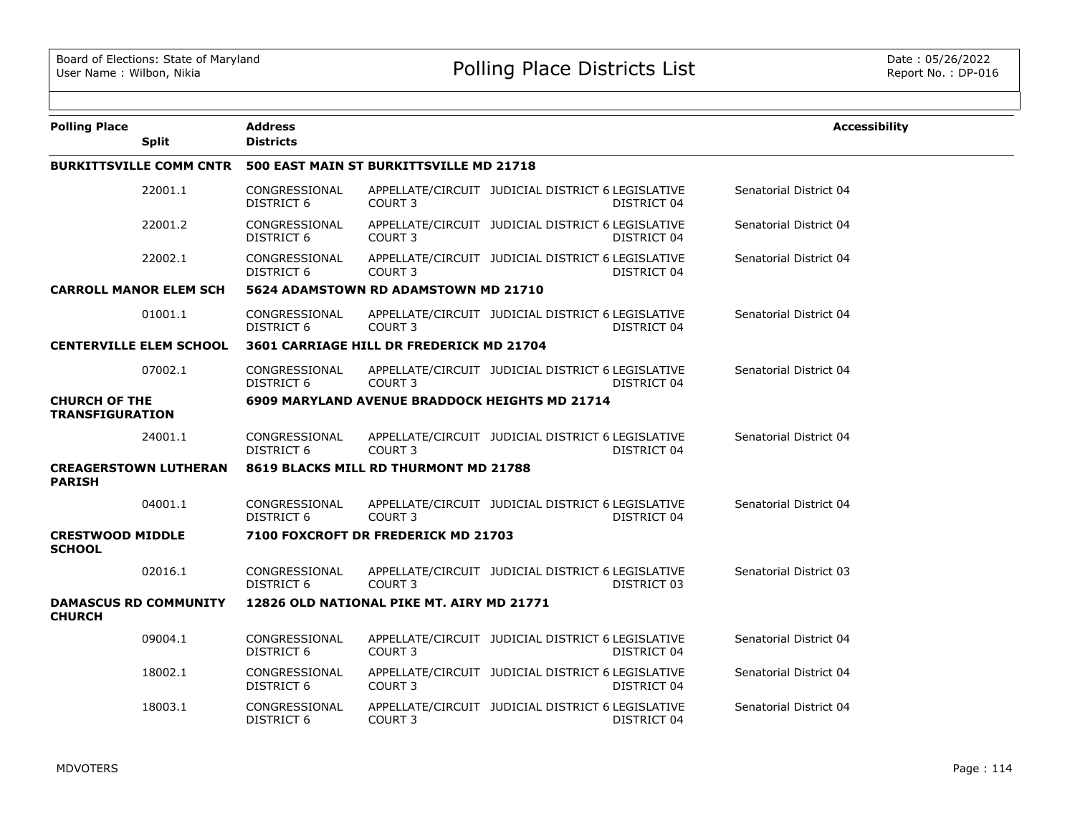| <b>Polling Place</b>                    |                                | <b>Address</b><br><b>Districts</b> |                                                |                                                   |             | <b>Accessibility</b>   |
|-----------------------------------------|--------------------------------|------------------------------------|------------------------------------------------|---------------------------------------------------|-------------|------------------------|
|                                         | <b>Split</b>                   |                                    |                                                |                                                   |             |                        |
|                                         | <b>BURKITTSVILLE COMM CNTR</b> |                                    | 500 EAST MAIN ST BURKITTSVILLE MD 21718        |                                                   |             |                        |
|                                         | 22001.1                        | CONGRESSIONAL<br><b>DISTRICT 6</b> | COURT <sub>3</sub>                             | APPELLATE/CIRCUIT JUDICIAL DISTRICT 6 LEGISLATIVE | DISTRICT 04 | Senatorial District 04 |
|                                         | 22001.2                        | CONGRESSIONAL<br><b>DISTRICT 6</b> | <b>COURT 3</b>                                 | APPELLATE/CIRCUIT JUDICIAL DISTRICT 6 LEGISLATIVE | DISTRICT 04 | Senatorial District 04 |
|                                         | 22002.1                        | CONGRESSIONAL<br>DISTRICT 6        | <b>COURT 3</b>                                 | APPELLATE/CIRCUIT JUDICIAL DISTRICT 6 LEGISLATIVE | DISTRICT 04 | Senatorial District 04 |
|                                         | <b>CARROLL MANOR ELEM SCH</b>  |                                    | 5624 ADAMSTOWN RD ADAMSTOWN MD 21710           |                                                   |             |                        |
|                                         | 01001.1                        | CONGRESSIONAL<br><b>DISTRICT 6</b> | COURT <sub>3</sub>                             | APPELLATE/CIRCUIT JUDICIAL DISTRICT 6 LEGISLATIVE | DISTRICT 04 | Senatorial District 04 |
|                                         | <b>CENTERVILLE ELEM SCHOOL</b> |                                    | 3601 CARRIAGE HILL DR FREDERICK MD 21704       |                                                   |             |                        |
|                                         | 07002.1                        | CONGRESSIONAL<br>DISTRICT 6        | COURT <sub>3</sub>                             | APPELLATE/CIRCUIT JUDICIAL DISTRICT 6 LEGISLATIVE | DISTRICT 04 | Senatorial District 04 |
| <b>CHURCH OF THE</b><br>TRANSFIGURATION |                                |                                    | 6909 MARYLAND AVENUE BRADDOCK HEIGHTS MD 21714 |                                                   |             |                        |
|                                         | 24001.1                        | CONGRESSIONAL<br>DISTRICT 6        | <b>COURT 3</b>                                 | APPELLATE/CIRCUIT JUDICIAL DISTRICT 6 LEGISLATIVE | DISTRICT 04 | Senatorial District 04 |
| <b>PARISH</b>                           | <b>CREAGERSTOWN LUTHERAN</b>   |                                    | 8619 BLACKS MILL RD THURMONT MD 21788          |                                                   |             |                        |
|                                         | 04001.1                        | CONGRESSIONAL<br><b>DISTRICT 6</b> | COURT <sub>3</sub>                             | APPELLATE/CIRCUIT JUDICIAL DISTRICT 6 LEGISLATIVE | DISTRICT 04 | Senatorial District 04 |
| <b>CRESTWOOD MIDDLE</b>                 |                                |                                    | 7100 FOXCROFT DR FREDERICK MD 21703            |                                                   |             |                        |
| <b>SCHOOL</b>                           |                                |                                    |                                                |                                                   |             |                        |
|                                         | 02016.1                        | CONGRESSIONAL<br>DISTRICT 6        | COURT 3                                        | APPELLATE/CIRCUIT JUDICIAL DISTRICT 6 LEGISLATIVE | DISTRICT 03 | Senatorial District 03 |
| <b>CHURCH</b>                           | <b>DAMASCUS RD COMMUNITY</b>   |                                    | 12826 OLD NATIONAL PIKE MT. AIRY MD 21771      |                                                   |             |                        |
|                                         | 09004.1                        | CONGRESSIONAL<br>DISTRICT 6        | COURT <sub>3</sub>                             | APPELLATE/CIRCUIT JUDICIAL DISTRICT 6 LEGISLATIVE | DISTRICT 04 | Senatorial District 04 |
|                                         | 18002.1                        | CONGRESSIONAL<br><b>DISTRICT 6</b> | COURT 3                                        | APPELLATE/CIRCUIT JUDICIAL DISTRICT 6 LEGISLATIVE | DISTRICT 04 | Senatorial District 04 |
|                                         | 18003.1                        | CONGRESSIONAL<br><b>DISTRICT 6</b> | <b>COURT 3</b>                                 | APPELLATE/CIRCUIT JUDICIAL DISTRICT 6 LEGISLATIVE | DISTRICT 04 | Senatorial District 04 |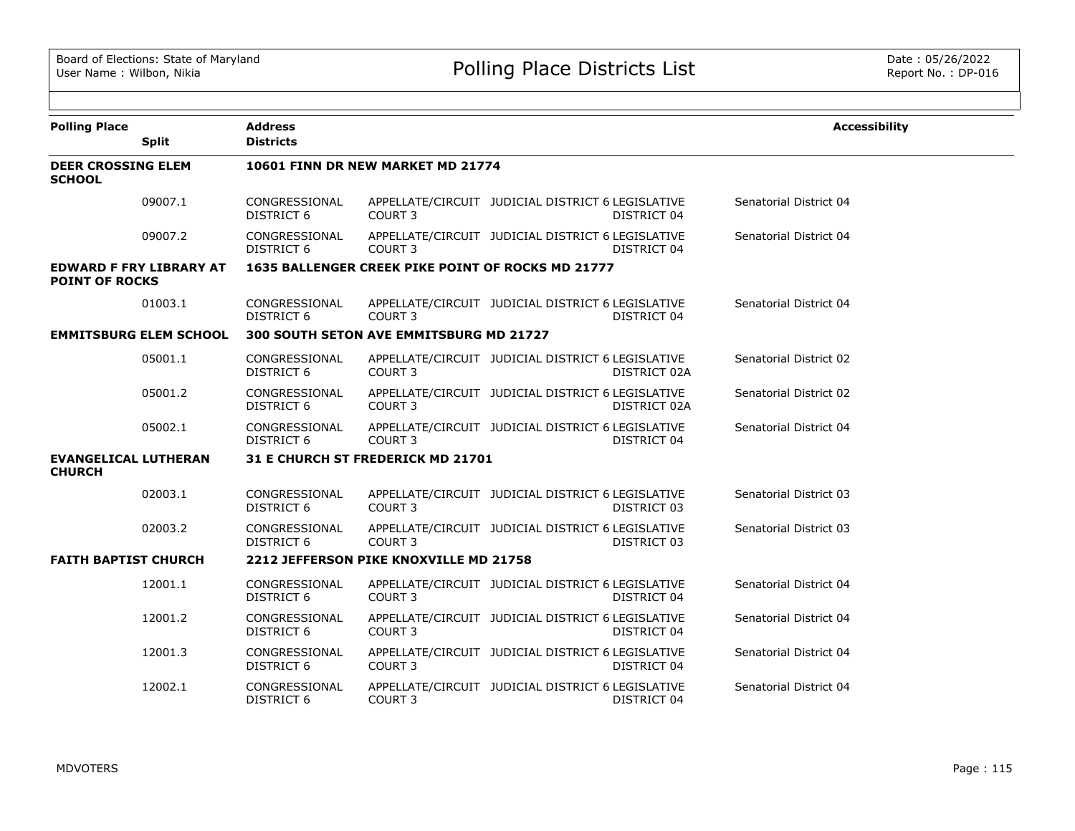| <b>Polling Place</b>                         |                                | <b>Address</b>                     |                                                   |                                                   |              | <b>Accessibility</b>   |
|----------------------------------------------|--------------------------------|------------------------------------|---------------------------------------------------|---------------------------------------------------|--------------|------------------------|
|                                              | <b>Split</b>                   | <b>Districts</b>                   |                                                   |                                                   |              |                        |
| <b>DEER CROSSING ELEM</b><br><b>SCHOOL</b>   |                                |                                    | 10601 FINN DR NEW MARKET MD 21774                 |                                                   |              |                        |
|                                              | 09007.1                        | CONGRESSIONAL<br>DISTRICT 6        | COURT <sub>3</sub>                                | APPELLATE/CIRCUIT JUDICIAL DISTRICT 6 LEGISLATIVE | DISTRICT 04  | Senatorial District 04 |
|                                              | 09007.2                        | CONGRESSIONAL<br>DISTRICT 6        | COURT 3                                           | APPELLATE/CIRCUIT JUDICIAL DISTRICT 6 LEGISLATIVE | DISTRICT 04  | Senatorial District 04 |
| <b>POINT OF ROCKS</b>                        | <b>EDWARD F FRY LIBRARY AT</b> |                                    | 1635 BALLENGER CREEK PIKE POINT OF ROCKS MD 21777 |                                                   |              |                        |
|                                              | 01003.1                        | CONGRESSIONAL<br>DISTRICT 6        | COURT <sub>3</sub>                                | APPELLATE/CIRCUIT JUDICIAL DISTRICT 6 LEGISLATIVE | DISTRICT 04  | Senatorial District 04 |
|                                              | <b>EMMITSBURG ELEM SCHOOL</b>  |                                    | 300 SOUTH SETON AVE EMMITSBURG MD 21727           |                                                   |              |                        |
|                                              | 05001.1                        | CONGRESSIONAL<br><b>DISTRICT 6</b> | COURT <sub>3</sub>                                | APPELLATE/CIRCUIT JUDICIAL DISTRICT 6 LEGISLATIVE | DISTRICT 02A | Senatorial District 02 |
|                                              | 05001.2                        | CONGRESSIONAL<br><b>DISTRICT 6</b> | COURT <sub>3</sub>                                | APPELLATE/CIRCUIT JUDICIAL DISTRICT 6 LEGISLATIVE | DISTRICT 02A | Senatorial District 02 |
|                                              | 05002.1                        | CONGRESSIONAL<br>DISTRICT 6        | COURT 3                                           | APPELLATE/CIRCUIT JUDICIAL DISTRICT 6 LEGISLATIVE | DISTRICT 04  | Senatorial District 04 |
| <b>EVANGELICAL LUTHERAN</b><br><b>CHURCH</b> |                                |                                    | 31 E CHURCH ST FREDERICK MD 21701                 |                                                   |              |                        |
|                                              | 02003.1                        | CONGRESSIONAL<br><b>DISTRICT 6</b> | COURT 3                                           | APPELLATE/CIRCUIT JUDICIAL DISTRICT 6 LEGISLATIVE | DISTRICT 03  | Senatorial District 03 |
|                                              | 02003.2                        | CONGRESSIONAL<br>DISTRICT 6        | COURT <sub>3</sub>                                | APPELLATE/CIRCUIT JUDICIAL DISTRICT 6 LEGISLATIVE | DISTRICT 03  | Senatorial District 03 |
| <b>FAITH BAPTIST CHURCH</b>                  |                                |                                    | 2212 JEFFERSON PIKE KNOXVILLE MD 21758            |                                                   |              |                        |
|                                              | 12001.1                        | CONGRESSIONAL<br>DISTRICT 6        | COURT <sub>3</sub>                                | APPELLATE/CIRCUIT JUDICIAL DISTRICT 6 LEGISLATIVE | DISTRICT 04  | Senatorial District 04 |
|                                              | 12001.2                        | CONGRESSIONAL<br><b>DISTRICT 6</b> | COURT <sub>3</sub>                                | APPELLATE/CIRCUIT JUDICIAL DISTRICT 6 LEGISLATIVE | DISTRICT 04  | Senatorial District 04 |
|                                              | 12001.3                        | CONGRESSIONAL<br><b>DISTRICT 6</b> | COURT <sub>3</sub>                                | APPELLATE/CIRCUIT JUDICIAL DISTRICT 6 LEGISLATIVE | DISTRICT 04  | Senatorial District 04 |
|                                              | 12002.1                        | CONGRESSIONAL<br>DISTRICT 6        | COURT <sub>3</sub>                                | APPELLATE/CIRCUIT JUDICIAL DISTRICT 6 LEGISLATIVE | DISTRICT 04  | Senatorial District 04 |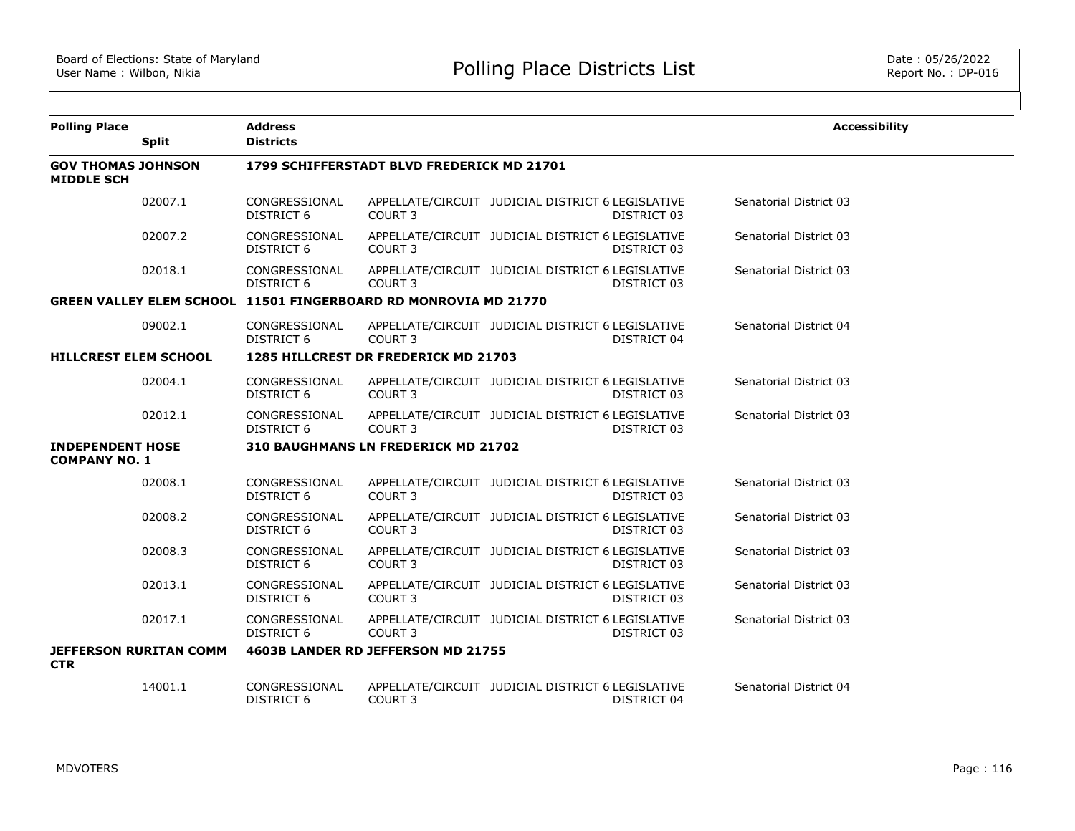| <b>Polling Place</b>                            |                               | <b>Address</b>                     |                                                                        |                                                   |             | <b>Accessibility</b>   |
|-------------------------------------------------|-------------------------------|------------------------------------|------------------------------------------------------------------------|---------------------------------------------------|-------------|------------------------|
|                                                 | <b>Split</b>                  | <b>Districts</b>                   |                                                                        |                                                   |             |                        |
| <b>GOV THOMAS JOHNSON</b><br><b>MIDDLE SCH</b>  |                               |                                    | 1799 SCHIFFERSTADT BLVD FREDERICK MD 21701                             |                                                   |             |                        |
|                                                 | 02007.1                       | CONGRESSIONAL<br><b>DISTRICT 6</b> | COURT <sub>3</sub>                                                     | APPELLATE/CIRCUIT JUDICIAL DISTRICT 6 LEGISLATIVE | DISTRICT 03 | Senatorial District 03 |
|                                                 | 02007.2                       | CONGRESSIONAL<br><b>DISTRICT 6</b> | COURT <sub>3</sub>                                                     | APPELLATE/CIRCUIT JUDICIAL DISTRICT 6 LEGISLATIVE | DISTRICT 03 | Senatorial District 03 |
|                                                 | 02018.1                       | CONGRESSIONAL<br>DISTRICT 6        | COURT <sub>3</sub>                                                     | APPELLATE/CIRCUIT JUDICIAL DISTRICT 6 LEGISLATIVE | DISTRICT 03 | Senatorial District 03 |
|                                                 |                               |                                    | <b>GREEN VALLEY ELEM SCHOOL 11501 FINGERBOARD RD MONROVIA MD 21770</b> |                                                   |             |                        |
|                                                 | 09002.1                       | CONGRESSIONAL<br>DISTRICT 6        | COURT 3                                                                | APPELLATE/CIRCUIT JUDICIAL DISTRICT 6 LEGISLATIVE | DISTRICT 04 | Senatorial District 04 |
| <b>HILLCREST ELEM SCHOOL</b>                    |                               |                                    | 1285 HILLCREST DR FREDERICK MD 21703                                   |                                                   |             |                        |
|                                                 | 02004.1                       | CONGRESSIONAL<br>DISTRICT 6        | COURT <sub>3</sub>                                                     | APPELLATE/CIRCUIT JUDICIAL DISTRICT 6 LEGISLATIVE | DISTRICT 03 | Senatorial District 03 |
|                                                 | 02012.1                       | CONGRESSIONAL<br><b>DISTRICT 6</b> | COURT <sub>3</sub>                                                     | APPELLATE/CIRCUIT JUDICIAL DISTRICT 6 LEGISLATIVE | DISTRICT 03 | Senatorial District 03 |
| <b>INDEPENDENT HOSE</b><br><b>COMPANY NO. 1</b> |                               |                                    | 310 BAUGHMANS LN FREDERICK MD 21702                                    |                                                   |             |                        |
|                                                 | 02008.1                       | CONGRESSIONAL<br>DISTRICT 6        | COURT <sub>3</sub>                                                     | APPELLATE/CIRCUIT JUDICIAL DISTRICT 6 LEGISLATIVE | DISTRICT 03 | Senatorial District 03 |
|                                                 | 02008.2                       | CONGRESSIONAL<br><b>DISTRICT 6</b> | COURT <sub>3</sub>                                                     | APPELLATE/CIRCUIT JUDICIAL DISTRICT 6 LEGISLATIVE | DISTRICT 03 | Senatorial District 03 |
|                                                 | 02008.3                       | CONGRESSIONAL<br>DISTRICT 6        | <b>COURT 3</b>                                                         | APPELLATE/CIRCUIT JUDICIAL DISTRICT 6 LEGISLATIVE | DISTRICT 03 | Senatorial District 03 |
|                                                 | 02013.1                       | CONGRESSIONAL<br><b>DISTRICT 6</b> | COURT <sub>3</sub>                                                     | APPELLATE/CIRCUIT JUDICIAL DISTRICT 6 LEGISLATIVE | DISTRICT 03 | Senatorial District 03 |
|                                                 | 02017.1                       | CONGRESSIONAL<br><b>DISTRICT 6</b> | COURT <sub>3</sub>                                                     | APPELLATE/CIRCUIT JUDICIAL DISTRICT 6 LEGISLATIVE | DISTRICT 03 | Senatorial District 03 |
| <b>CTR</b>                                      | <b>JEFFERSON RURITAN COMM</b> |                                    | 4603B LANDER RD JEFFERSON MD 21755                                     |                                                   |             |                        |
|                                                 | 14001.1                       | CONGRESSIONAL<br><b>DISTRICT 6</b> | COURT <sub>3</sub>                                                     | APPELLATE/CIRCUIT JUDICIAL DISTRICT 6 LEGISLATIVE | DISTRICT 04 | Senatorial District 04 |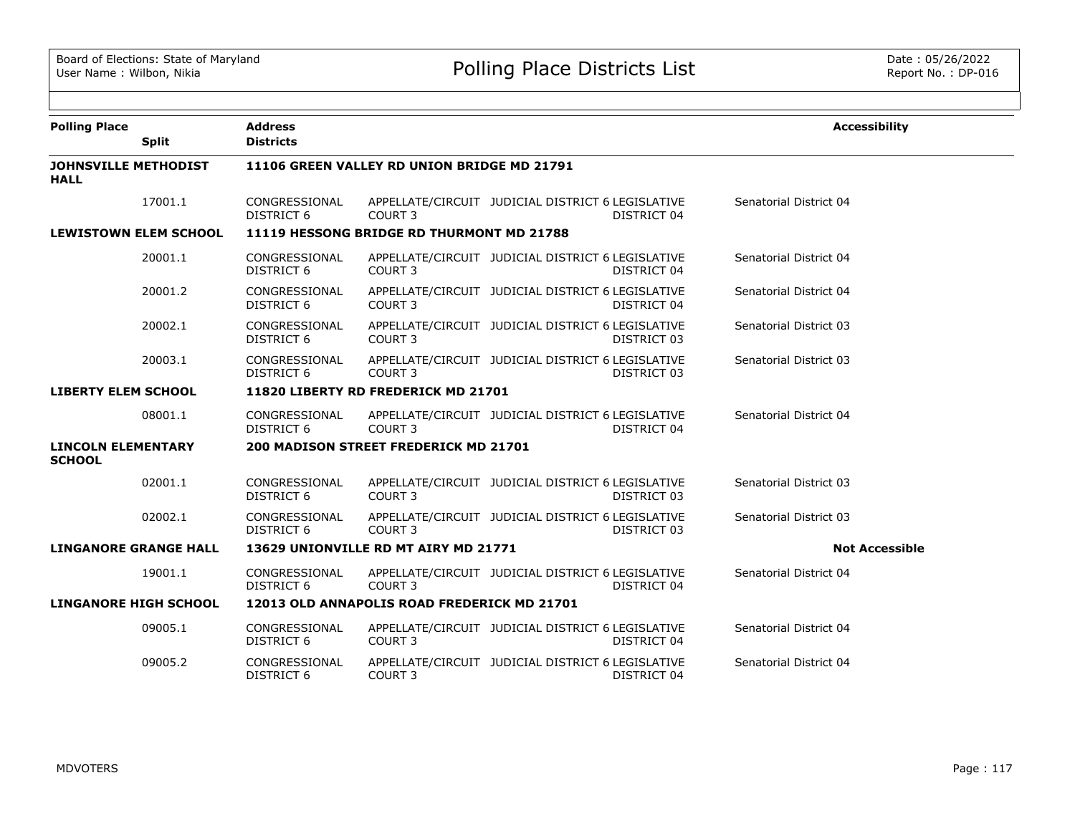| <b>Polling Place</b><br><b>Split</b>       | <b>Address</b><br><b>Districts</b> |                                              |                                                   |             | <b>Accessibility</b>   |  |
|--------------------------------------------|------------------------------------|----------------------------------------------|---------------------------------------------------|-------------|------------------------|--|
| <b>JOHNSVILLE METHODIST</b><br><b>HALL</b> |                                    | 11106 GREEN VALLEY RD UNION BRIDGE MD 21791  |                                                   |             |                        |  |
| 17001.1                                    | CONGRESSIONAL<br><b>DISTRICT 6</b> | COURT 3                                      | APPELLATE/CIRCUIT JUDICIAL DISTRICT 6 LEGISLATIVE | DISTRICT 04 | Senatorial District 04 |  |
| <b>LEWISTOWN ELEM SCHOOL</b>               |                                    | 11119 HESSONG BRIDGE RD THURMONT MD 21788    |                                                   |             |                        |  |
| 20001.1                                    | CONGRESSIONAL<br>DISTRICT 6        | COURT 3                                      | APPELLATE/CIRCUIT JUDICIAL DISTRICT 6 LEGISLATIVE | DISTRICT 04 | Senatorial District 04 |  |
| 20001.2                                    | CONGRESSIONAL<br><b>DISTRICT 6</b> | COURT <sub>3</sub>                           | APPELLATE/CIRCUIT JUDICIAL DISTRICT 6 LEGISLATIVE | DISTRICT 04 | Senatorial District 04 |  |
| 20002.1                                    | CONGRESSIONAL<br><b>DISTRICT 6</b> | COURT <sub>3</sub>                           | APPELLATE/CIRCUIT JUDICIAL DISTRICT 6 LEGISLATIVE | DISTRICT 03 | Senatorial District 03 |  |
| 20003.1                                    | CONGRESSIONAL<br>DISTRICT 6        | COURT <sub>3</sub>                           | APPELLATE/CIRCUIT JUDICIAL DISTRICT 6 LEGISLATIVE | DISTRICT 03 | Senatorial District 03 |  |
| <b>LIBERTY ELEM SCHOOL</b>                 |                                    | 11820 LIBERTY RD FREDERICK MD 21701          |                                                   |             |                        |  |
| 08001.1                                    | CONGRESSIONAL<br><b>DISTRICT 6</b> | COURT <sub>3</sub>                           | APPELLATE/CIRCUIT JUDICIAL DISTRICT 6 LEGISLATIVE | DISTRICT 04 | Senatorial District 04 |  |
| <b>LINCOLN ELEMENTARY</b><br><b>SCHOOL</b> |                                    | <b>200 MADISON STREET FREDERICK MD 21701</b> |                                                   |             |                        |  |
| 02001.1                                    | CONGRESSIONAL<br><b>DISTRICT 6</b> | COURT 3                                      | APPELLATE/CIRCUIT JUDICIAL DISTRICT 6 LEGISLATIVE | DISTRICT 03 | Senatorial District 03 |  |
| 02002.1                                    | CONGRESSIONAL<br><b>DISTRICT 6</b> | COURT <sub>3</sub>                           | APPELLATE/CIRCUIT JUDICIAL DISTRICT 6 LEGISLATIVE | DISTRICT 03 | Senatorial District 03 |  |
| <b>LINGANORE GRANGE HALL</b>               |                                    | 13629 UNIONVILLE RD MT AIRY MD 21771         |                                                   |             | <b>Not Accessible</b>  |  |
| 19001.1                                    | CONGRESSIONAL<br>DISTRICT 6        | COURT <sub>3</sub>                           | APPELLATE/CIRCUIT JUDICIAL DISTRICT 6 LEGISLATIVE | DISTRICT 04 | Senatorial District 04 |  |
| <b>LINGANORE HIGH SCHOOL</b>               |                                    | 12013 OLD ANNAPOLIS ROAD FREDERICK MD 21701  |                                                   |             |                        |  |
| 09005.1                                    | CONGRESSIONAL<br><b>DISTRICT 6</b> | COURT 3                                      | APPELLATE/CIRCUIT JUDICIAL DISTRICT 6 LEGISLATIVE | DISTRICT 04 | Senatorial District 04 |  |
| 09005.2                                    | CONGRESSIONAL<br><b>DISTRICT 6</b> | COURT 3                                      | APPELLATE/CIRCUIT JUDICIAL DISTRICT 6 LEGISLATIVE | DISTRICT 04 | Senatorial District 04 |  |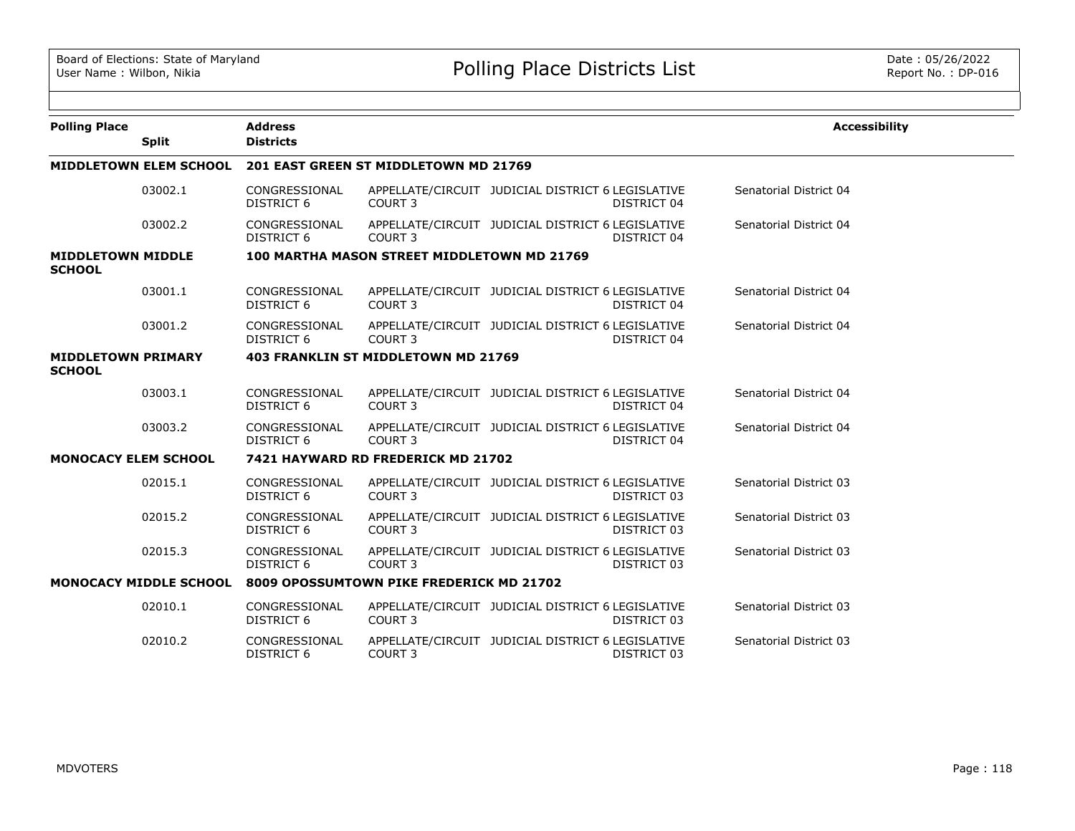| <b>Polling Place</b>                       | <b>Split</b>                  | <b>Address</b><br><b>Districts</b> |                                             |                                                   |             | <b>Accessibility</b>   |
|--------------------------------------------|-------------------------------|------------------------------------|---------------------------------------------|---------------------------------------------------|-------------|------------------------|
|                                            | <b>MIDDLETOWN ELEM SCHOOL</b> |                                    | 201 EAST GREEN ST MIDDLETOWN MD 21769       |                                                   |             |                        |
|                                            | 03002.1                       | CONGRESSIONAL<br><b>DISTRICT 6</b> | COURT 3                                     | APPELLATE/CIRCUIT JUDICIAL DISTRICT 6 LEGISLATIVE | DISTRICT 04 | Senatorial District 04 |
|                                            | 03002.2                       | CONGRESSIONAL<br><b>DISTRICT 6</b> | COURT <sub>3</sub>                          | APPELLATE/CIRCUIT JUDICIAL DISTRICT 6 LEGISLATIVE | DISTRICT 04 | Senatorial District 04 |
| <b>MIDDLETOWN MIDDLE</b><br><b>SCHOOL</b>  |                               |                                    | 100 MARTHA MASON STREET MIDDLETOWN MD 21769 |                                                   |             |                        |
|                                            | 03001.1                       | CONGRESSIONAL<br>DISTRICT 6        | COURT 3                                     | APPELLATE/CIRCUIT JUDICIAL DISTRICT 6 LEGISLATIVE | DISTRICT 04 | Senatorial District 04 |
|                                            | 03001.2                       | CONGRESSIONAL<br><b>DISTRICT 6</b> | COURT <sub>3</sub>                          | APPELLATE/CIRCUIT JUDICIAL DISTRICT 6 LEGISLATIVE | DISTRICT 04 | Senatorial District 04 |
| <b>MIDDLETOWN PRIMARY</b><br><b>SCHOOL</b> |                               |                                    | <b>403 FRANKLIN ST MIDDLETOWN MD 21769</b>  |                                                   |             |                        |
|                                            | 03003.1                       | CONGRESSIONAL<br>DISTRICT 6        | COURT 3                                     | APPELLATE/CIRCUIT JUDICIAL DISTRICT 6 LEGISLATIVE | DISTRICT 04 | Senatorial District 04 |
|                                            | 03003.2                       | CONGRESSIONAL<br><b>DISTRICT 6</b> | COURT <sub>3</sub>                          | APPELLATE/CIRCUIT JUDICIAL DISTRICT 6 LEGISLATIVE | DISTRICT 04 | Senatorial District 04 |
| <b>MONOCACY ELEM SCHOOL</b>                |                               |                                    | 7421 HAYWARD RD FREDERICK MD 21702          |                                                   |             |                        |
|                                            | 02015.1                       | CONGRESSIONAL<br>DISTRICT 6        | COURT 3                                     | APPELLATE/CIRCUIT JUDICIAL DISTRICT 6 LEGISLATIVE | DISTRICT 03 | Senatorial District 03 |
|                                            | 02015.2                       | CONGRESSIONAL<br>DISTRICT 6        | COURT <sub>3</sub>                          | APPELLATE/CIRCUIT JUDICIAL DISTRICT 6 LEGISLATIVE | DISTRICT 03 | Senatorial District 03 |
|                                            | 02015.3                       | CONGRESSIONAL<br><b>DISTRICT 6</b> | COURT <sub>3</sub>                          | APPELLATE/CIRCUIT JUDICIAL DISTRICT 6 LEGISLATIVE | DISTRICT 03 | Senatorial District 03 |
|                                            | <b>MONOCACY MIDDLE SCHOOL</b> |                                    | 8009 OPOSSUMTOWN PIKE FREDERICK MD 21702    |                                                   |             |                        |
|                                            | 02010.1                       | CONGRESSIONAL<br><b>DISTRICT 6</b> | COURT <sub>3</sub>                          | APPELLATE/CIRCUIT JUDICIAL DISTRICT 6 LEGISLATIVE | DISTRICT 03 | Senatorial District 03 |
|                                            | 02010.2                       | CONGRESSIONAL<br>DISTRICT 6        | COURT 3                                     | APPELLATE/CIRCUIT JUDICIAL DISTRICT 6 LEGISLATIVE | DISTRICT 03 | Senatorial District 03 |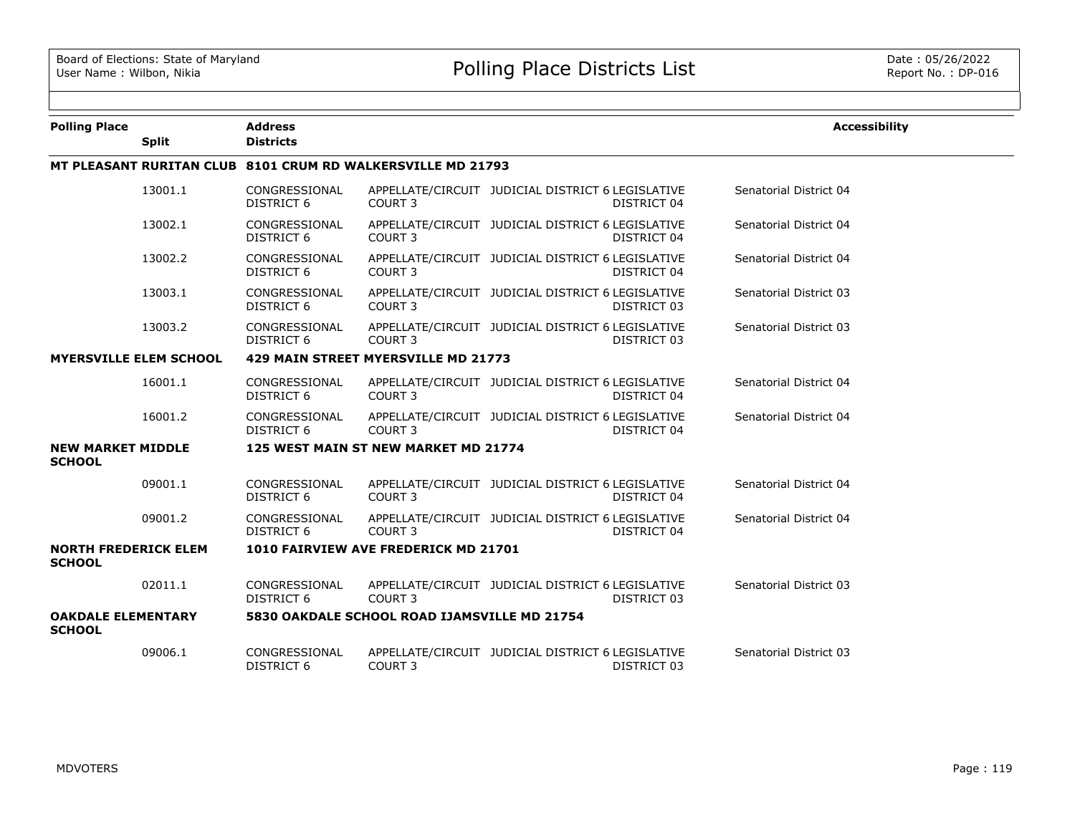| <b>Polling Place</b>                         |                               | <b>Address</b>                     |                                                             |                                                   |             | <b>Accessibility</b>   |
|----------------------------------------------|-------------------------------|------------------------------------|-------------------------------------------------------------|---------------------------------------------------|-------------|------------------------|
|                                              | <b>Split</b>                  | <b>Districts</b>                   |                                                             |                                                   |             |                        |
|                                              |                               |                                    | MT PLEASANT RURITAN CLUB 8101 CRUM RD WALKERSVILLE MD 21793 |                                                   |             |                        |
|                                              | 13001.1                       | CONGRESSIONAL<br>DISTRICT 6        | COURT 3                                                     | APPELLATE/CIRCUIT JUDICIAL DISTRICT 6 LEGISLATIVE | DISTRICT 04 | Senatorial District 04 |
|                                              | 13002.1                       | CONGRESSIONAL<br><b>DISTRICT 6</b> | COURT <sub>3</sub>                                          | APPELLATE/CIRCUIT JUDICIAL DISTRICT 6 LEGISLATIVE | DISTRICT 04 | Senatorial District 04 |
|                                              | 13002.2                       | CONGRESSIONAL<br>DISTRICT 6        | COURT <sub>3</sub>                                          | APPELLATE/CIRCUIT JUDICIAL DISTRICT 6 LEGISLATIVE | DISTRICT 04 | Senatorial District 04 |
|                                              | 13003.1                       | CONGRESSIONAL<br>DISTRICT 6        | COURT 3                                                     | APPELLATE/CIRCUIT JUDICIAL DISTRICT 6 LEGISLATIVE | DISTRICT 03 | Senatorial District 03 |
|                                              | 13003.2                       | CONGRESSIONAL<br>DISTRICT 6        | COURT <sub>3</sub>                                          | APPELLATE/CIRCUIT JUDICIAL DISTRICT 6 LEGISLATIVE | DISTRICT 03 | Senatorial District 03 |
|                                              | <b>MYERSVILLE ELEM SCHOOL</b> |                                    | 429 MAIN STREET MYERSVILLE MD 21773                         |                                                   |             |                        |
|                                              | 16001.1                       | CONGRESSIONAL<br>DISTRICT 6        | COURT 3                                                     | APPELLATE/CIRCUIT JUDICIAL DISTRICT 6 LEGISLATIVE | DISTRICT 04 | Senatorial District 04 |
|                                              | 16001.2                       | CONGRESSIONAL<br>DISTRICT 6        | COURT 3                                                     | APPELLATE/CIRCUIT JUDICIAL DISTRICT 6 LEGISLATIVE | DISTRICT 04 | Senatorial District 04 |
| <b>NEW MARKET MIDDLE</b><br><b>SCHOOL</b>    |                               |                                    | 125 WEST MAIN ST NEW MARKET MD 21774                        |                                                   |             |                        |
|                                              | 09001.1                       | CONGRESSIONAL<br><b>DISTRICT 6</b> | COURT <sub>3</sub>                                          | APPELLATE/CIRCUIT JUDICIAL DISTRICT 6 LEGISLATIVE | DISTRICT 04 | Senatorial District 04 |
|                                              | 09001.2                       | CONGRESSIONAL<br>DISTRICT 6        | COURT <sub>3</sub>                                          | APPELLATE/CIRCUIT JUDICIAL DISTRICT 6 LEGISLATIVE | DISTRICT 04 | Senatorial District 04 |
| <b>NORTH FREDERICK ELEM</b><br><b>SCHOOL</b> |                               |                                    | 1010 FAIRVIEW AVE FREDERICK MD 21701                        |                                                   |             |                        |
|                                              | 02011.1                       | CONGRESSIONAL<br>DISTRICT 6        | COURT <sub>3</sub>                                          | APPELLATE/CIRCUIT JUDICIAL DISTRICT 6 LEGISLATIVE | DISTRICT 03 | Senatorial District 03 |
| <b>OAKDALE ELEMENTARY</b><br><b>SCHOOL</b>   |                               |                                    | 5830 OAKDALE SCHOOL ROAD IJAMSVILLE MD 21754                |                                                   |             |                        |
|                                              | 09006.1                       | CONGRESSIONAL<br>DISTRICT 6        | COURT 3                                                     | APPELLATE/CIRCUIT JUDICIAL DISTRICT 6 LEGISLATIVE | DISTRICT 03 | Senatorial District 03 |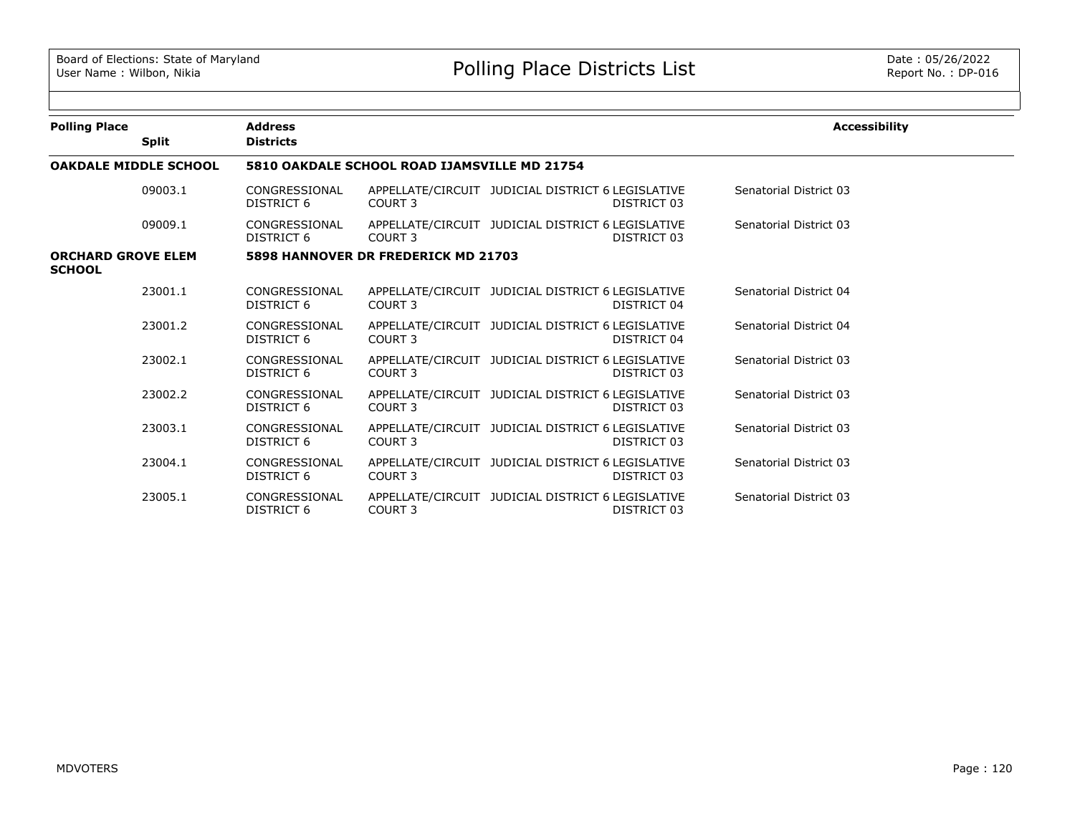| <b>Polling Place</b>                       |                              | <b>Address</b>                               |                                     |                                                                  | <b>Accessibility</b>   |  |  |  |  |
|--------------------------------------------|------------------------------|----------------------------------------------|-------------------------------------|------------------------------------------------------------------|------------------------|--|--|--|--|
|                                            | <b>Split</b>                 | <b>Districts</b>                             |                                     |                                                                  |                        |  |  |  |  |
|                                            | <b>OAKDALE MIDDLE SCHOOL</b> | 5810 OAKDALE SCHOOL ROAD IJAMSVILLE MD 21754 |                                     |                                                                  |                        |  |  |  |  |
|                                            | 09003.1                      | CONGRESSIONAL<br>DISTRICT 6                  | COURT <sub>3</sub>                  | APPELLATE/CIRCUIT JUDICIAL DISTRICT 6 LEGISLATIVE<br>DISTRICT 03 | Senatorial District 03 |  |  |  |  |
|                                            | 09009.1                      | CONGRESSIONAL<br>DISTRICT 6                  | COURT 3                             | APPELLATE/CIRCUIT JUDICIAL DISTRICT 6 LEGISLATIVE<br>DISTRICT 03 | Senatorial District 03 |  |  |  |  |
| <b>ORCHARD GROVE ELEM</b><br><b>SCHOOL</b> |                              |                                              | 5898 HANNOVER DR FREDERICK MD 21703 |                                                                  |                        |  |  |  |  |
|                                            | 23001.1                      | CONGRESSIONAL<br>DISTRICT 6                  | COURT 3                             | APPELLATE/CIRCUIT JUDICIAL DISTRICT 6 LEGISLATIVE<br>DISTRICT 04 | Senatorial District 04 |  |  |  |  |
|                                            | 23001.2                      | CONGRESSIONAL<br>DISTRICT 6                  | COURT 3                             | APPELLATE/CIRCUIT JUDICIAL DISTRICT 6 LEGISLATIVE<br>DISTRICT 04 | Senatorial District 04 |  |  |  |  |
|                                            | 23002.1                      | CONGRESSIONAL<br>DISTRICT 6                  | COURT 3                             | APPELLATE/CIRCUIT JUDICIAL DISTRICT 6 LEGISLATIVE<br>DISTRICT 03 | Senatorial District 03 |  |  |  |  |
|                                            | 23002.2                      | CONGRESSIONAL<br><b>DISTRICT 6</b>           | COURT 3                             | APPELLATE/CIRCUIT JUDICIAL DISTRICT 6 LEGISLATIVE<br>DISTRICT 03 | Senatorial District 03 |  |  |  |  |
|                                            | 23003.1                      | CONGRESSIONAL<br>DISTRICT 6                  | COURT <sub>3</sub>                  | APPELLATE/CIRCUIT JUDICIAL DISTRICT 6 LEGISLATIVE<br>DISTRICT 03 | Senatorial District 03 |  |  |  |  |
|                                            | 23004.1                      | CONGRESSIONAL<br><b>DISTRICT 6</b>           | COURT 3                             | APPELLATE/CIRCUIT JUDICIAL DISTRICT 6 LEGISLATIVE<br>DISTRICT 03 | Senatorial District 03 |  |  |  |  |
|                                            | 23005.1                      | CONGRESSIONAL<br>DISTRICT 6                  | COURT <sub>3</sub>                  | APPELLATE/CIRCUIT JUDICIAL DISTRICT 6 LEGISLATIVE<br>DISTRICT 03 | Senatorial District 03 |  |  |  |  |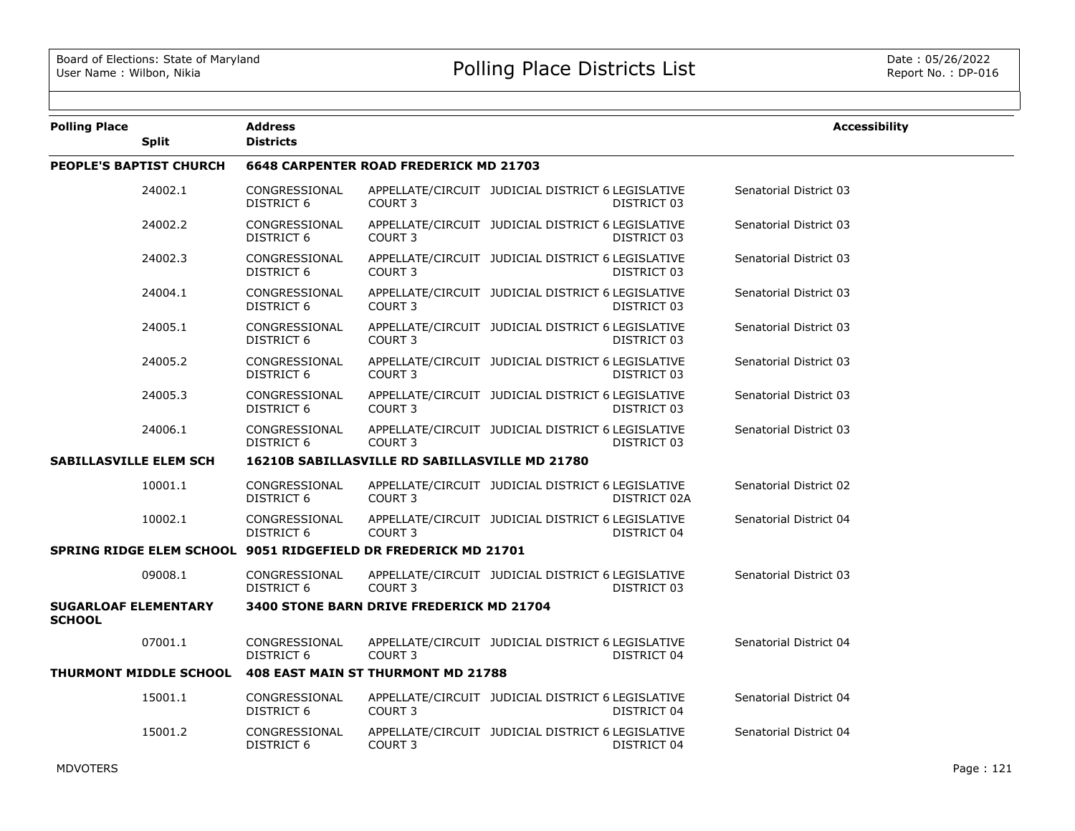| <b>Polling Place</b>                         | <b>Split</b>                   | Address<br><b>Districts</b> |                                                                |                                                   |              | <b>Accessibility</b>   |
|----------------------------------------------|--------------------------------|-----------------------------|----------------------------------------------------------------|---------------------------------------------------|--------------|------------------------|
|                                              | <b>PEOPLE'S BAPTIST CHURCH</b> |                             | <b>6648 CARPENTER ROAD FREDERICK MD 21703</b>                  |                                                   |              |                        |
|                                              | 24002.1                        | CONGRESSIONAL<br>DISTRICT 6 | COURT <sub>3</sub>                                             | APPELLATE/CIRCUIT JUDICIAL DISTRICT 6 LEGISLATIVE | DISTRICT 03  | Senatorial District 03 |
|                                              | 24002.2                        | CONGRESSIONAL<br>DISTRICT 6 | COURT <sub>3</sub>                                             | APPELLATE/CIRCUIT JUDICIAL DISTRICT 6 LEGISLATIVE | DISTRICT 03  | Senatorial District 03 |
|                                              | 24002.3                        | CONGRESSIONAL<br>DISTRICT 6 | COURT <sub>3</sub>                                             | APPELLATE/CIRCUIT JUDICIAL DISTRICT 6 LEGISLATIVE | DISTRICT 03  | Senatorial District 03 |
|                                              | 24004.1                        | CONGRESSIONAL<br>DISTRICT 6 | COURT <sub>3</sub>                                             | APPELLATE/CIRCUIT JUDICIAL DISTRICT 6 LEGISLATIVE | DISTRICT 03  | Senatorial District 03 |
|                                              | 24005.1                        | CONGRESSIONAL<br>DISTRICT 6 | COURT <sub>3</sub>                                             | APPELLATE/CIRCUIT JUDICIAL DISTRICT 6 LEGISLATIVE | DISTRICT 03  | Senatorial District 03 |
|                                              | 24005.2                        | CONGRESSIONAL<br>DISTRICT 6 | COURT 3                                                        | APPELLATE/CIRCUIT JUDICIAL DISTRICT 6 LEGISLATIVE | DISTRICT 03  | Senatorial District 03 |
|                                              | 24005.3                        | CONGRESSIONAL<br>DISTRICT 6 | COURT <sub>3</sub>                                             | APPELLATE/CIRCUIT JUDICIAL DISTRICT 6 LEGISLATIVE | DISTRICT 03  | Senatorial District 03 |
|                                              | 24006.1                        | CONGRESSIONAL<br>DISTRICT 6 | COURT <sub>3</sub>                                             | APPELLATE/CIRCUIT JUDICIAL DISTRICT 6 LEGISLATIVE | DISTRICT 03  | Senatorial District 03 |
| <b>SABILLASVILLE ELEM SCH</b>                |                                |                             | <b>16210B SABILLASVILLE RD SABILLASVILLE MD 21780</b>          |                                                   |              |                        |
|                                              | 10001.1                        | CONGRESSIONAL<br>DISTRICT 6 | COURT <sub>3</sub>                                             | APPELLATE/CIRCUIT JUDICIAL DISTRICT 6 LEGISLATIVE | DISTRICT 02A | Senatorial District 02 |
|                                              | 10002.1                        | CONGRESSIONAL<br>DISTRICT 6 | COURT <sub>3</sub>                                             | APPELLATE/CIRCUIT JUDICIAL DISTRICT 6 LEGISLATIVE | DISTRICT 04  | Senatorial District 04 |
|                                              |                                |                             | SPRING RIDGE ELEM SCHOOL 9051 RIDGEFIELD DR FREDERICK MD 21701 |                                                   |              |                        |
|                                              | 09008.1                        | CONGRESSIONAL<br>DISTRICT 6 | COURT <sub>3</sub>                                             | APPELLATE/CIRCUIT JUDICIAL DISTRICT 6 LEGISLATIVE | DISTRICT 03  | Senatorial District 03 |
| <b>SUGARLOAF ELEMENTARY</b><br><b>SCHOOL</b> |                                |                             | 3400 STONE BARN DRIVE FREDERICK MD 21704                       |                                                   |              |                        |
|                                              | 07001.1                        | CONGRESSIONAL<br>DISTRICT 6 | COURT <sub>3</sub>                                             | APPELLATE/CIRCUIT JUDICIAL DISTRICT 6 LEGISLATIVE | DISTRICT 04  | Senatorial District 04 |
|                                              | <b>THURMONT MIDDLE SCHOOL</b>  |                             | 408 EAST MAIN ST THURMONT MD 21788                             |                                                   |              |                        |
|                                              | 15001.1                        | CONGRESSIONAL<br>DISTRICT 6 | COURT 3                                                        | APPELLATE/CIRCUIT JUDICIAL DISTRICT 6 LEGISLATIVE | DISTRICT 04  | Senatorial District 04 |
|                                              | 15001.2                        | CONGRESSIONAL<br>DISTRICT 6 | COURT <sub>3</sub>                                             | APPELLATE/CIRCUIT JUDICIAL DISTRICT 6 LEGISLATIVE | DISTRICT 04  | Senatorial District 04 |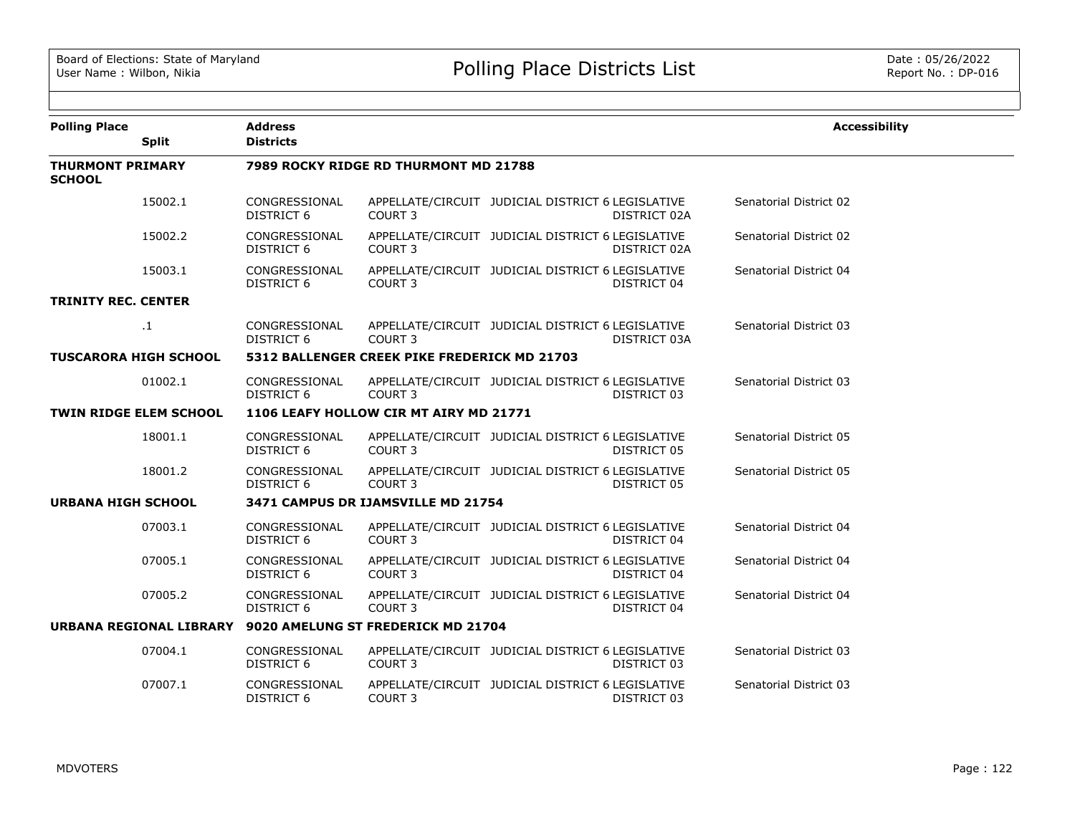| <b>Polling Place</b>                     | <b>Split</b>                  | <b>Address</b><br><b>Districts</b>           |                                        |                                                   |              | <b>Accessibility</b>   |  |  |
|------------------------------------------|-------------------------------|----------------------------------------------|----------------------------------------|---------------------------------------------------|--------------|------------------------|--|--|
| <b>THURMONT PRIMARY</b><br><b>SCHOOL</b> |                               |                                              | 7989 ROCKY RIDGE RD THURMONT MD 21788  |                                                   |              |                        |  |  |
|                                          | 15002.1                       | CONGRESSIONAL<br><b>DISTRICT 6</b>           | COURT 3                                | APPELLATE/CIRCUIT JUDICIAL DISTRICT 6 LEGISLATIVE | DISTRICT 02A | Senatorial District 02 |  |  |
|                                          | 15002.2                       | CONGRESSIONAL<br>DISTRICT 6                  | COURT 3                                | APPELLATE/CIRCUIT JUDICIAL DISTRICT 6 LEGISLATIVE | DISTRICT 02A | Senatorial District 02 |  |  |
|                                          | 15003.1                       | CONGRESSIONAL<br>DISTRICT 6                  | COURT 3                                | APPELLATE/CIRCUIT JUDICIAL DISTRICT 6 LEGISLATIVE | DISTRICT 04  | Senatorial District 04 |  |  |
| <b>TRINITY REC. CENTER</b>               |                               |                                              |                                        |                                                   |              |                        |  |  |
|                                          | $\cdot$                       | CONGRESSIONAL<br>DISTRICT 6                  | COURT 3                                | APPELLATE/CIRCUIT JUDICIAL DISTRICT 6 LEGISLATIVE | DISTRICT 03A | Senatorial District 03 |  |  |
|                                          | <b>TUSCARORA HIGH SCHOOL</b>  | 5312 BALLENGER CREEK PIKE FREDERICK MD 21703 |                                        |                                                   |              |                        |  |  |
|                                          | 01002.1                       | CONGRESSIONAL<br>DISTRICT 6                  | COURT <sub>3</sub>                     | APPELLATE/CIRCUIT JUDICIAL DISTRICT 6 LEGISLATIVE | DISTRICT 03  | Senatorial District 03 |  |  |
|                                          | <b>TWIN RIDGE ELEM SCHOOL</b> |                                              | 1106 LEAFY HOLLOW CIR MT AIRY MD 21771 |                                                   |              |                        |  |  |
|                                          | 18001.1                       | CONGRESSIONAL<br>DISTRICT 6                  | COURT 3                                | APPELLATE/CIRCUIT JUDICIAL DISTRICT 6 LEGISLATIVE | DISTRICT 05  | Senatorial District 05 |  |  |
|                                          | 18001.2                       | CONGRESSIONAL<br>DISTRICT 6                  | COURT 3                                | APPELLATE/CIRCUIT JUDICIAL DISTRICT 6 LEGISLATIVE | DISTRICT 05  | Senatorial District 05 |  |  |
| <b>URBANA HIGH SCHOOL</b>                |                               |                                              | 3471 CAMPUS DR IJAMSVILLE MD 21754     |                                                   |              |                        |  |  |
|                                          | 07003.1                       | CONGRESSIONAL<br><b>DISTRICT 6</b>           | COURT 3                                | APPELLATE/CIRCUIT JUDICIAL DISTRICT 6 LEGISLATIVE | DISTRICT 04  | Senatorial District 04 |  |  |
|                                          | 07005.1                       | CONGRESSIONAL<br>DISTRICT 6                  | COURT 3                                | APPELLATE/CIRCUIT JUDICIAL DISTRICT 6 LEGISLATIVE | DISTRICT 04  | Senatorial District 04 |  |  |
|                                          | 07005.2                       | CONGRESSIONAL<br>DISTRICT 6                  | COURT <sub>3</sub>                     | APPELLATE/CIRCUIT JUDICIAL DISTRICT 6 LEGISLATIVE | DISTRICT 04  | Senatorial District 04 |  |  |
|                                          | URBANA REGIONAL LIBRARY       |                                              | 9020 AMELUNG ST FREDERICK MD 21704     |                                                   |              |                        |  |  |
|                                          | 07004.1                       | CONGRESSIONAL<br>DISTRICT 6                  | COURT 3                                | APPELLATE/CIRCUIT JUDICIAL DISTRICT 6 LEGISLATIVE | DISTRICT 03  | Senatorial District 03 |  |  |
|                                          | 07007.1                       | CONGRESSIONAL<br>DISTRICT 6                  | COURT 3                                | APPELLATE/CIRCUIT JUDICIAL DISTRICT 6 LEGISLATIVE | DISTRICT 03  | Senatorial District 03 |  |  |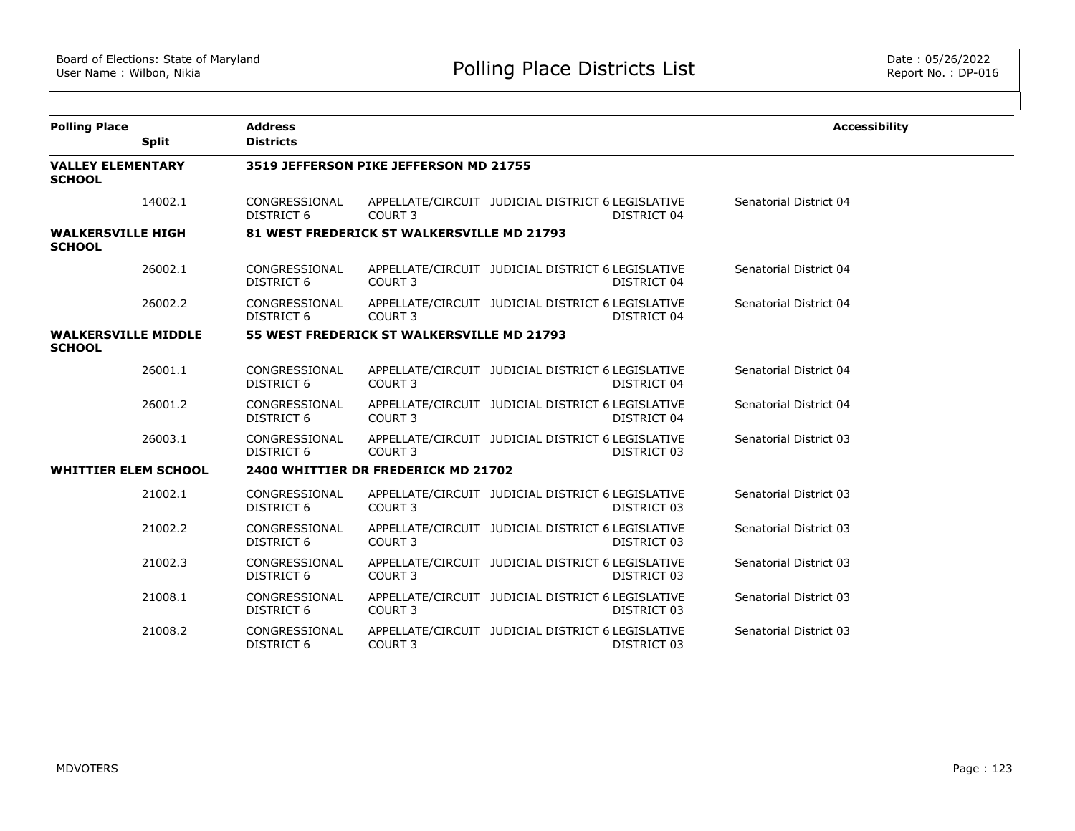| <b>Polling Place</b>                        | <b>Split</b> | <b>Address</b><br><b>Districts</b>         |                                            |                                                                  | <b>Accessibility</b>   |  |  |  |  |
|---------------------------------------------|--------------|--------------------------------------------|--------------------------------------------|------------------------------------------------------------------|------------------------|--|--|--|--|
| <b>VALLEY ELEMENTARY</b><br><b>SCHOOL</b>   |              | 3519 JEFFERSON PIKE JEFFERSON MD 21755     |                                            |                                                                  |                        |  |  |  |  |
|                                             | 14002.1      | CONGRESSIONAL<br>DISTRICT 6                | COURT 3                                    | APPELLATE/CIRCUIT JUDICIAL DISTRICT 6 LEGISLATIVE<br>DISTRICT 04 | Senatorial District 04 |  |  |  |  |
| <b>WALKERSVILLE HIGH</b><br><b>SCHOOL</b>   |              |                                            | 81 WEST FREDERICK ST WALKERSVILLE MD 21793 |                                                                  |                        |  |  |  |  |
|                                             | 26002.1      | CONGRESSIONAL<br><b>DISTRICT 6</b>         | COURT <sub>3</sub>                         | APPELLATE/CIRCUIT JUDICIAL DISTRICT 6 LEGISLATIVE<br>DISTRICT 04 | Senatorial District 04 |  |  |  |  |
|                                             | 26002.2      | CONGRESSIONAL<br><b>DISTRICT 6</b>         | COURT 3                                    | APPELLATE/CIRCUIT JUDICIAL DISTRICT 6 LEGISLATIVE<br>DISTRICT 04 | Senatorial District 04 |  |  |  |  |
| <b>WALKERSVILLE MIDDLE</b><br><b>SCHOOL</b> |              | 55 WEST FREDERICK ST WALKERSVILLE MD 21793 |                                            |                                                                  |                        |  |  |  |  |
|                                             | 26001.1      | CONGRESSIONAL<br><b>DISTRICT 6</b>         | COURT 3                                    | APPELLATE/CIRCUIT JUDICIAL DISTRICT 6 LEGISLATIVE<br>DISTRICT 04 | Senatorial District 04 |  |  |  |  |
|                                             | 26001.2      | CONGRESSIONAL<br><b>DISTRICT 6</b>         | COURT <sub>3</sub>                         | APPELLATE/CIRCUIT JUDICIAL DISTRICT 6 LEGISLATIVE<br>DISTRICT 04 | Senatorial District 04 |  |  |  |  |
|                                             | 26003.1      | CONGRESSIONAL<br><b>DISTRICT 6</b>         | COURT <sub>3</sub>                         | APPELLATE/CIRCUIT JUDICIAL DISTRICT 6 LEGISLATIVE<br>DISTRICT 03 | Senatorial District 03 |  |  |  |  |
| <b>WHITTIER ELEM SCHOOL</b>                 |              |                                            | 2400 WHITTIER DR FREDERICK MD 21702        |                                                                  |                        |  |  |  |  |
|                                             | 21002.1      | CONGRESSIONAL<br><b>DISTRICT 6</b>         | COURT <sub>3</sub>                         | APPELLATE/CIRCUIT JUDICIAL DISTRICT 6 LEGISLATIVE<br>DISTRICT 03 | Senatorial District 03 |  |  |  |  |
|                                             | 21002.2      | CONGRESSIONAL<br><b>DISTRICT 6</b>         | COURT <sub>3</sub>                         | APPELLATE/CIRCUIT JUDICIAL DISTRICT 6 LEGISLATIVE<br>DISTRICT 03 | Senatorial District 03 |  |  |  |  |
|                                             | 21002.3      | CONGRESSIONAL<br>DISTRICT 6                | COURT <sub>3</sub>                         | APPELLATE/CIRCUIT JUDICIAL DISTRICT 6 LEGISLATIVE<br>DISTRICT 03 | Senatorial District 03 |  |  |  |  |
|                                             | 21008.1      | CONGRESSIONAL<br>DISTRICT 6                | COURT <sub>3</sub>                         | APPELLATE/CIRCUIT JUDICIAL DISTRICT 6 LEGISLATIVE<br>DISTRICT 03 | Senatorial District 03 |  |  |  |  |
|                                             | 21008.2      | CONGRESSIONAL<br><b>DISTRICT 6</b>         | COURT <sub>3</sub>                         | APPELLATE/CIRCUIT JUDICIAL DISTRICT 6 LEGISLATIVE<br>DISTRICT 03 | Senatorial District 03 |  |  |  |  |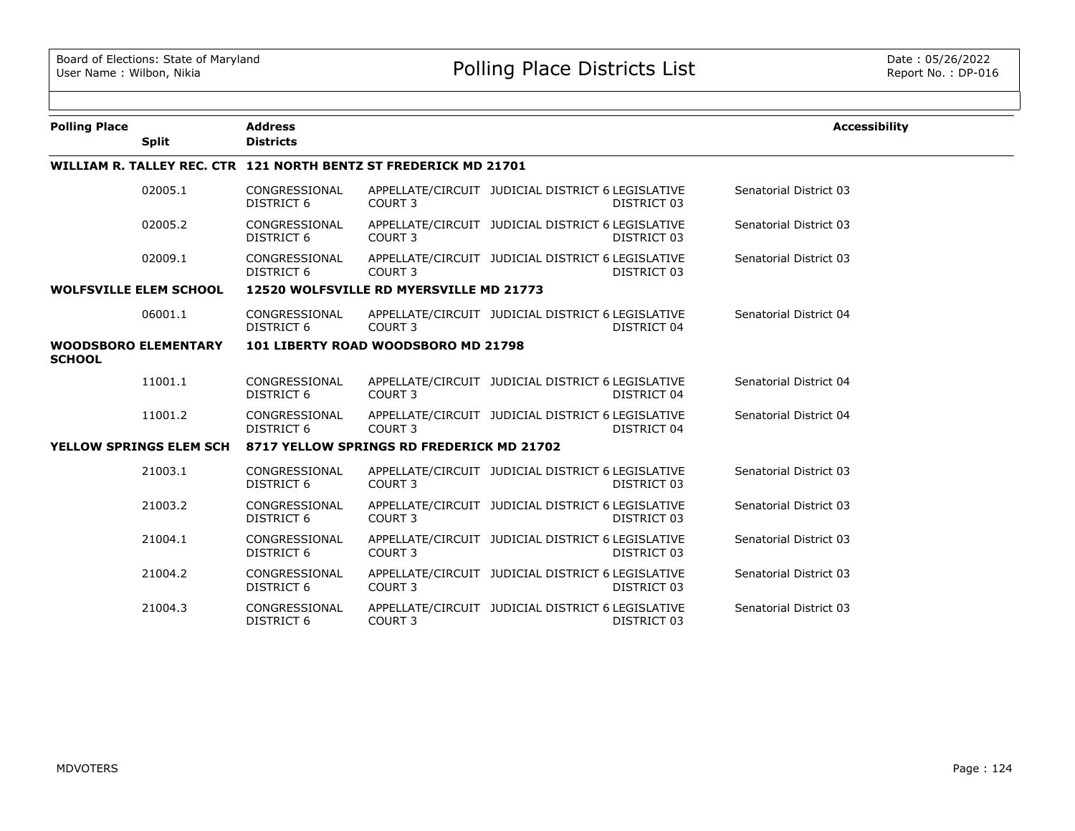| <b>Polling Place</b><br><b>Split</b>                             |  | <b>Address</b><br><b>Districts</b>        |                                         |                                                   |             | <b>Accessibility</b>   |  |
|------------------------------------------------------------------|--|-------------------------------------------|-----------------------------------------|---------------------------------------------------|-------------|------------------------|--|
| WILLIAM R. TALLEY REC. CTR 121 NORTH BENTZ ST FREDERICK MD 21701 |  |                                           |                                         |                                                   |             |                        |  |
| 02005.1                                                          |  | CONGRESSIONAL<br><b>DISTRICT 6</b>        | COURT <sub>3</sub>                      | APPELLATE/CIRCUIT JUDICIAL DISTRICT 6 LEGISLATIVE | DISTRICT 03 | Senatorial District 03 |  |
| 02005.2                                                          |  | CONGRESSIONAL<br>DISTRICT 6               | COURT 3                                 | APPELLATE/CIRCUIT JUDICIAL DISTRICT 6 LEGISLATIVE | DISTRICT 03 | Senatorial District 03 |  |
| 02009.1                                                          |  | CONGRESSIONAL<br><b>DISTRICT 6</b>        | COURT <sub>3</sub>                      | APPELLATE/CIRCUIT JUDICIAL DISTRICT 6 LEGISLATIVE | DISTRICT 03 | Senatorial District 03 |  |
| <b>WOLFSVILLE ELEM SCHOOL</b>                                    |  |                                           | 12520 WOLFSVILLE RD MYERSVILLE MD 21773 |                                                   |             |                        |  |
| 06001.1                                                          |  | CONGRESSIONAL<br><b>DISTRICT 6</b>        | COURT <sub>3</sub>                      | APPELLATE/CIRCUIT JUDICIAL DISTRICT 6 LEGISLATIVE | DISTRICT 04 | Senatorial District 04 |  |
| <b>WOODSBORO ELEMENTARY</b><br><b>SCHOOL</b>                     |  |                                           | 101 LIBERTY ROAD WOODSBORO MD 21798     |                                                   |             |                        |  |
| 11001.1                                                          |  | CONGRESSIONAL<br><b>DISTRICT 6</b>        | COURT <sub>3</sub>                      | APPELLATE/CIRCUIT JUDICIAL DISTRICT 6 LEGISLATIVE | DISTRICT 04 | Senatorial District 04 |  |
| 11001.2                                                          |  | CONGRESSIONAL<br>DISTRICT 6               | COURT <sub>3</sub>                      | APPELLATE/CIRCUIT JUDICIAL DISTRICT 6 LEGISLATIVE | DISTRICT 04 | Senatorial District 04 |  |
| YELLOW SPRINGS ELEM SCH                                          |  | 8717 YELLOW SPRINGS RD FREDERICK MD 21702 |                                         |                                                   |             |                        |  |
| 21003.1                                                          |  | CONGRESSIONAL<br>DISTRICT 6               | COURT <sub>3</sub>                      | APPELLATE/CIRCUIT JUDICIAL DISTRICT 6 LEGISLATIVE | DISTRICT 03 | Senatorial District 03 |  |
| 21003.2                                                          |  | CONGRESSIONAL<br><b>DISTRICT 6</b>        | COURT <sub>3</sub>                      | APPELLATE/CIRCUIT JUDICIAL DISTRICT 6 LEGISLATIVE | DISTRICT 03 | Senatorial District 03 |  |
| 21004.1                                                          |  | CONGRESSIONAL<br><b>DISTRICT 6</b>        | COURT <sub>3</sub>                      | APPELLATE/CIRCUIT JUDICIAL DISTRICT 6 LEGISLATIVE | DISTRICT 03 | Senatorial District 03 |  |
| 21004.2                                                          |  | CONGRESSIONAL<br><b>DISTRICT 6</b>        | COURT <sub>3</sub>                      | APPELLATE/CIRCUIT JUDICIAL DISTRICT 6 LEGISLATIVE | DISTRICT 03 | Senatorial District 03 |  |
| 21004.3                                                          |  | CONGRESSIONAL<br><b>DISTRICT 6</b>        | COURT <sub>3</sub>                      | APPELLATE/CIRCUIT JUDICIAL DISTRICT 6 LEGISLATIVE | DISTRICT 03 | Senatorial District 03 |  |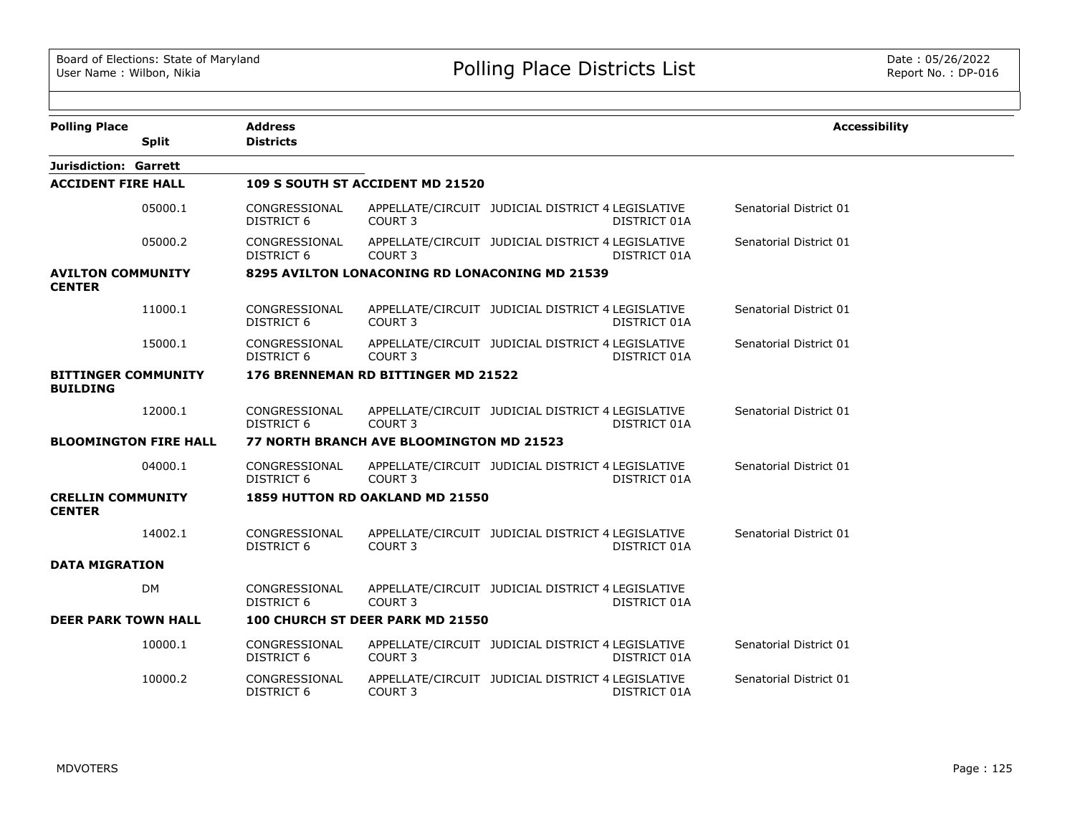| <b>Polling Place</b>                          |                              | <b>Address</b>                     |                                                |                                                   |              | <b>Accessibility</b>   |
|-----------------------------------------------|------------------------------|------------------------------------|------------------------------------------------|---------------------------------------------------|--------------|------------------------|
|                                               | <b>Split</b>                 | <b>Districts</b>                   |                                                |                                                   |              |                        |
| <b>Jurisdiction: Garrett</b>                  |                              |                                    |                                                |                                                   |              |                        |
| <b>ACCIDENT FIRE HALL</b>                     |                              |                                    | 109 S SOUTH ST ACCIDENT MD 21520               |                                                   |              |                        |
|                                               | 05000.1                      | CONGRESSIONAL<br><b>DISTRICT 6</b> | COURT 3                                        | APPELLATE/CIRCUIT JUDICIAL DISTRICT 4 LEGISLATIVE | DISTRICT 01A | Senatorial District 01 |
|                                               | 05000.2                      | CONGRESSIONAL<br><b>DISTRICT 6</b> | COURT <sub>3</sub>                             | APPELLATE/CIRCUIT JUDICIAL DISTRICT 4 LEGISLATIVE | DISTRICT 01A | Senatorial District 01 |
| <b>AVILTON COMMUNITY</b><br><b>CENTER</b>     |                              |                                    | 8295 AVILTON LONACONING RD LONACONING MD 21539 |                                                   |              |                        |
|                                               | 11000.1                      | CONGRESSIONAL<br><b>DISTRICT 6</b> | COURT 3                                        | APPELLATE/CIRCUIT JUDICIAL DISTRICT 4 LEGISLATIVE | DISTRICT 01A | Senatorial District 01 |
|                                               | 15000.1                      | CONGRESSIONAL<br>DISTRICT 6        | COURT 3                                        | APPELLATE/CIRCUIT JUDICIAL DISTRICT 4 LEGISLATIVE | DISTRICT 01A | Senatorial District 01 |
| <b>BITTINGER COMMUNITY</b><br><b>BUILDING</b> |                              |                                    | 176 BRENNEMAN RD BITTINGER MD 21522            |                                                   |              |                        |
|                                               | 12000.1                      | CONGRESSIONAL<br>DISTRICT 6        | COURT 3                                        | APPELLATE/CIRCUIT JUDICIAL DISTRICT 4 LEGISLATIVE | DISTRICT 01A | Senatorial District 01 |
|                                               | <b>BLOOMINGTON FIRE HALL</b> |                                    | 77 NORTH BRANCH AVE BLOOMINGTON MD 21523       |                                                   |              |                        |
|                                               | 04000.1                      | CONGRESSIONAL<br><b>DISTRICT 6</b> | COURT <sub>3</sub>                             | APPELLATE/CIRCUIT JUDICIAL DISTRICT 4 LEGISLATIVE | DISTRICT 01A | Senatorial District 01 |
| <b>CRELLIN COMMUNITY</b><br><b>CENTER</b>     |                              |                                    | 1859 HUTTON RD OAKLAND MD 21550                |                                                   |              |                        |
|                                               | 14002.1                      | CONGRESSIONAL<br><b>DISTRICT 6</b> | COURT <sub>3</sub>                             | APPELLATE/CIRCUIT JUDICIAL DISTRICT 4 LEGISLATIVE | DISTRICT 01A | Senatorial District 01 |
| <b>DATA MIGRATION</b>                         |                              |                                    |                                                |                                                   |              |                        |
|                                               | <b>DM</b>                    | CONGRESSIONAL<br>DISTRICT 6        | COURT <sub>3</sub>                             | APPELLATE/CIRCUIT JUDICIAL DISTRICT 4 LEGISLATIVE | DISTRICT 01A |                        |
| <b>DEER PARK TOWN HALL</b>                    |                              |                                    | 100 CHURCH ST DEER PARK MD 21550               |                                                   |              |                        |
|                                               | 10000.1                      | CONGRESSIONAL<br><b>DISTRICT 6</b> | COURT <sub>3</sub>                             | APPELLATE/CIRCUIT JUDICIAL DISTRICT 4 LEGISLATIVE | DISTRICT 01A | Senatorial District 01 |
|                                               | 10000.2                      | CONGRESSIONAL<br><b>DISTRICT 6</b> | COURT 3                                        | APPELLATE/CIRCUIT JUDICIAL DISTRICT 4 LEGISLATIVE | DISTRICT 01A | Senatorial District 01 |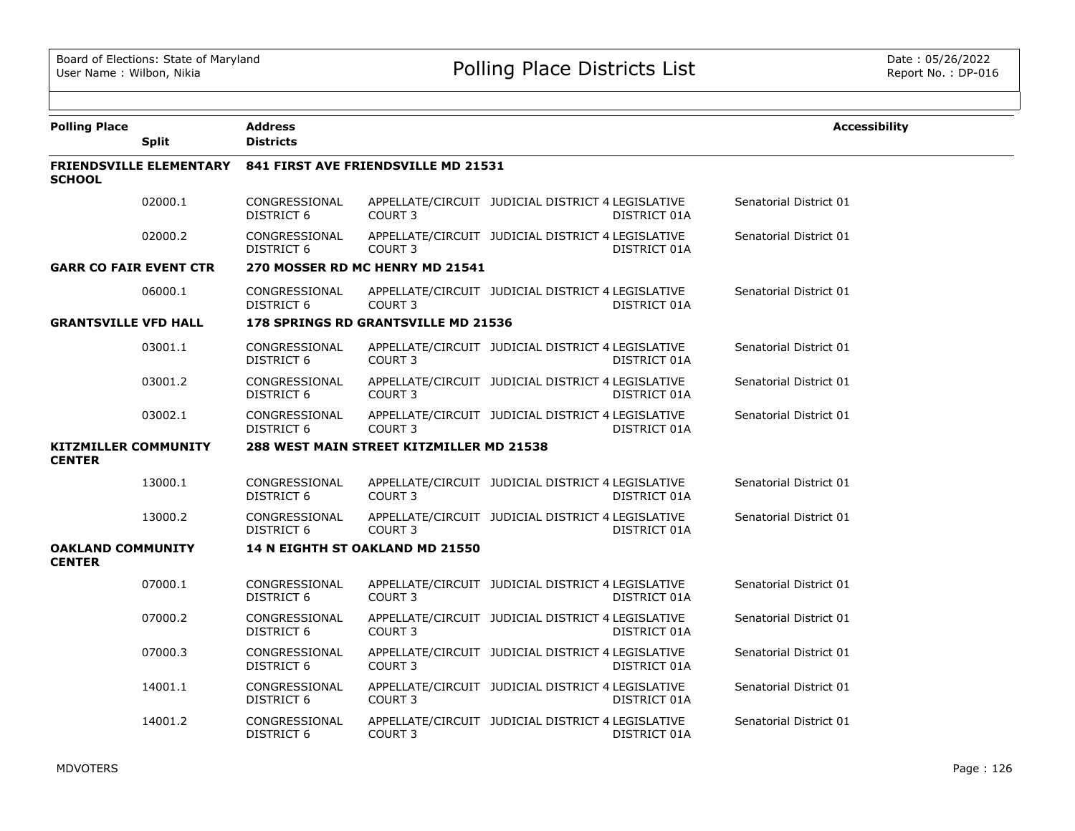| <b>Polling Place</b>                         |                                | <b>Address</b>                     |                                          |                                                   |              | <b>Accessibility</b>   |
|----------------------------------------------|--------------------------------|------------------------------------|------------------------------------------|---------------------------------------------------|--------------|------------------------|
|                                              | <b>Split</b>                   | <b>Districts</b>                   |                                          |                                                   |              |                        |
| <b>SCHOOL</b>                                | <b>FRIENDSVILLE ELEMENTARY</b> |                                    | 841 FIRST AVE FRIENDSVILLE MD 21531      |                                                   |              |                        |
|                                              | 02000.1                        | CONGRESSIONAL<br><b>DISTRICT 6</b> | COURT <sub>3</sub>                       | APPELLATE/CIRCUIT JUDICIAL DISTRICT 4 LEGISLATIVE | DISTRICT 01A | Senatorial District 01 |
|                                              | 02000.2                        | CONGRESSIONAL<br>DISTRICT 6        | COURT <sub>3</sub>                       | APPELLATE/CIRCUIT JUDICIAL DISTRICT 4 LEGISLATIVE | DISTRICT 01A | Senatorial District 01 |
| <b>GARR CO FAIR EVENT CTR</b>                |                                |                                    | 270 MOSSER RD MC HENRY MD 21541          |                                                   |              |                        |
|                                              | 06000.1                        | CONGRESSIONAL<br>DISTRICT 6        | COURT <sub>3</sub>                       | APPELLATE/CIRCUIT JUDICIAL DISTRICT 4 LEGISLATIVE | DISTRICT 01A | Senatorial District 01 |
| <b>GRANTSVILLE VFD HALL</b>                  |                                |                                    | 178 SPRINGS RD GRANTSVILLE MD 21536      |                                                   |              |                        |
|                                              | 03001.1                        | CONGRESSIONAL<br><b>DISTRICT 6</b> | COURT <sub>3</sub>                       | APPELLATE/CIRCUIT JUDICIAL DISTRICT 4 LEGISLATIVE | DISTRICT 01A | Senatorial District 01 |
|                                              | 03001.2                        | CONGRESSIONAL<br>DISTRICT 6        | COURT <sub>3</sub>                       | APPELLATE/CIRCUIT JUDICIAL DISTRICT 4 LEGISLATIVE | DISTRICT 01A | Senatorial District 01 |
|                                              | 03002.1                        | CONGRESSIONAL<br>DISTRICT 6        | COURT <sub>3</sub>                       | APPELLATE/CIRCUIT JUDICIAL DISTRICT 4 LEGISLATIVE | DISTRICT 01A | Senatorial District 01 |
| <b>KITZMILLER COMMUNITY</b><br><b>CENTER</b> |                                |                                    | 288 WEST MAIN STREET KITZMILLER MD 21538 |                                                   |              |                        |
|                                              | 13000.1                        | CONGRESSIONAL<br>DISTRICT 6        | COURT <sub>3</sub>                       | APPELLATE/CIRCUIT JUDICIAL DISTRICT 4 LEGISLATIVE | DISTRICT 01A | Senatorial District 01 |
|                                              | 13000.2                        | CONGRESSIONAL<br>DISTRICT 6        | COURT <sub>3</sub>                       | APPELLATE/CIRCUIT JUDICIAL DISTRICT 4 LEGISLATIVE | DISTRICT 01A | Senatorial District 01 |
| <b>OAKLAND COMMUNITY</b><br><b>CENTER</b>    |                                |                                    | 14 N EIGHTH ST OAKLAND MD 21550          |                                                   |              |                        |
|                                              | 07000.1                        | CONGRESSIONAL<br><b>DISTRICT 6</b> | COURT <sub>3</sub>                       | APPELLATE/CIRCUIT JUDICIAL DISTRICT 4 LEGISLATIVE | DISTRICT 01A | Senatorial District 01 |
|                                              | 07000.2                        | CONGRESSIONAL<br><b>DISTRICT 6</b> | COURT 3                                  | APPELLATE/CIRCUIT JUDICIAL DISTRICT 4 LEGISLATIVE | DISTRICT 01A | Senatorial District 01 |
|                                              | 07000.3                        | CONGRESSIONAL<br>DISTRICT 6        | COURT <sub>3</sub>                       | APPELLATE/CIRCUIT JUDICIAL DISTRICT 4 LEGISLATIVE | DISTRICT 01A | Senatorial District 01 |
|                                              | 14001.1                        | CONGRESSIONAL<br>DISTRICT 6        | COURT 3                                  | APPELLATE/CIRCUIT JUDICIAL DISTRICT 4 LEGISLATIVE | DISTRICT 01A | Senatorial District 01 |
|                                              | 14001.2                        | CONGRESSIONAL<br>DISTRICT 6        | COURT <sub>3</sub>                       | APPELLATE/CIRCUIT JUDICIAL DISTRICT 4 LEGISLATIVE | DISTRICT 01A | Senatorial District 01 |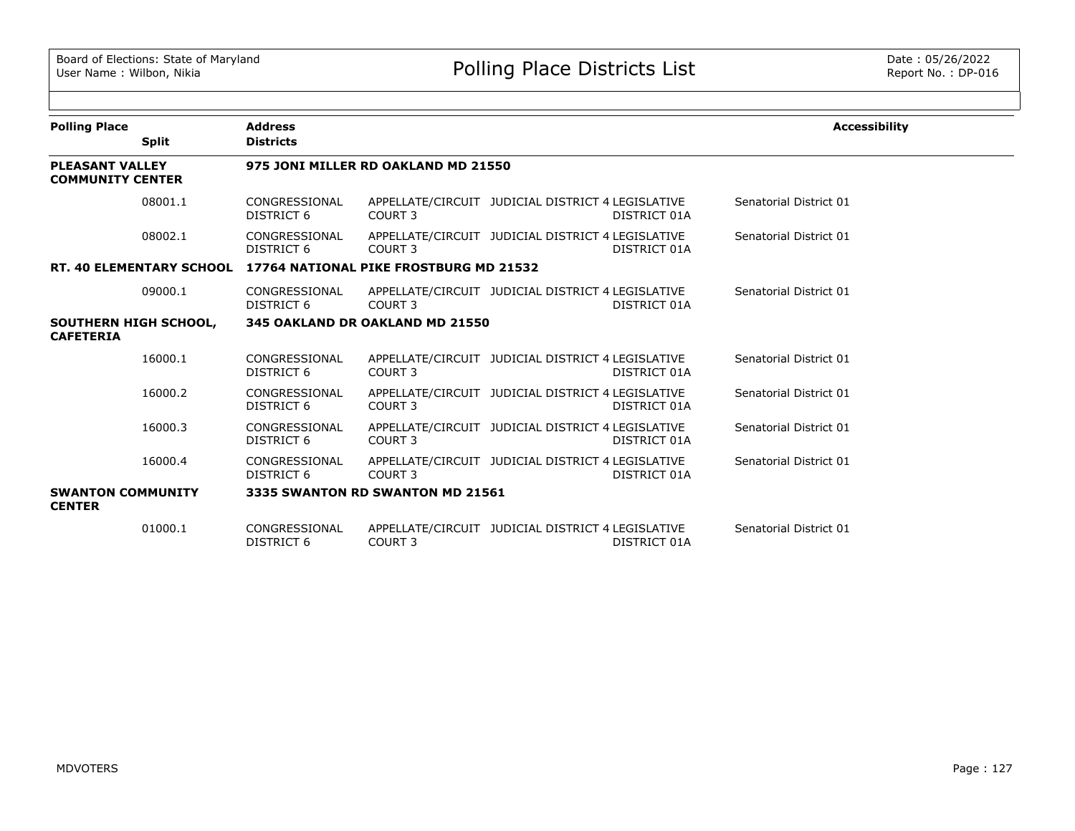| <b>Polling Place</b>                              |              | <b>Address</b>                     |                                                                 |                                                   |              | <b>Accessibility</b>   |
|---------------------------------------------------|--------------|------------------------------------|-----------------------------------------------------------------|---------------------------------------------------|--------------|------------------------|
|                                                   | <b>Split</b> | <b>Districts</b>                   |                                                                 |                                                   |              |                        |
| <b>PLEASANT VALLEY</b><br><b>COMMUNITY CENTER</b> |              |                                    | 975 JONI MILLER RD OAKLAND MD 21550                             |                                                   |              |                        |
|                                                   | 08001.1      | CONGRESSIONAL<br>DISTRICT 6        | COURT 3                                                         | APPELLATE/CIRCUIT JUDICIAL DISTRICT 4 LEGISLATIVE | DISTRICT 01A | Senatorial District 01 |
|                                                   | 08002.1      | CONGRESSIONAL<br>DISTRICT 6        | COURT 3                                                         | APPELLATE/CIRCUIT JUDICIAL DISTRICT 4 LEGISLATIVE | DISTRICT 01A | Senatorial District 01 |
|                                                   |              |                                    | RT. 40 ELEMENTARY SCHOOL 17764 NATIONAL PIKE FROSTBURG MD 21532 |                                                   |              |                        |
|                                                   | 09000.1      | CONGRESSIONAL<br>DISTRICT 6        | COURT <sub>3</sub>                                              | APPELLATE/CIRCUIT JUDICIAL DISTRICT 4 LEGISLATIVE | DISTRICT 01A | Senatorial District 01 |
| SOUTHERN HIGH SCHOOL,<br><b>CAFETERIA</b>         |              |                                    | 345 OAKLAND DR OAKLAND MD 21550                                 |                                                   |              |                        |
|                                                   | 16000.1      | CONGRESSIONAL<br>DISTRICT 6        | COURT 3                                                         | APPELLATE/CIRCUIT JUDICIAL DISTRICT 4 LEGISLATIVE | DISTRICT 01A | Senatorial District 01 |
|                                                   | 16000.2      | CONGRESSIONAL<br>DISTRICT 6        | COURT <sub>3</sub>                                              | APPELLATE/CIRCUIT JUDICIAL DISTRICT 4 LEGISLATIVE | DISTRICT 01A | Senatorial District 01 |
|                                                   | 16000.3      | CONGRESSIONAL<br>DISTRICT 6        | COURT 3                                                         | APPELLATE/CIRCUIT JUDICIAL DISTRICT 4 LEGISLATIVE | DISTRICT 01A | Senatorial District 01 |
|                                                   | 16000.4      | CONGRESSIONAL<br>DISTRICT 6        | COURT 3                                                         | APPELLATE/CIRCUIT JUDICIAL DISTRICT 4 LEGISLATIVE | DISTRICT 01A | Senatorial District 01 |
| <b>SWANTON COMMUNITY</b><br><b>CENTER</b>         |              |                                    | 3335 SWANTON RD SWANTON MD 21561                                |                                                   |              |                        |
|                                                   | 01000.1      | CONGRESSIONAL<br><b>DISTRICT 6</b> | COURT <sub>3</sub>                                              | APPELLATE/CIRCUIT JUDICIAL DISTRICT 4 LEGISLATIVE | DISTRICT 01A | Senatorial District 01 |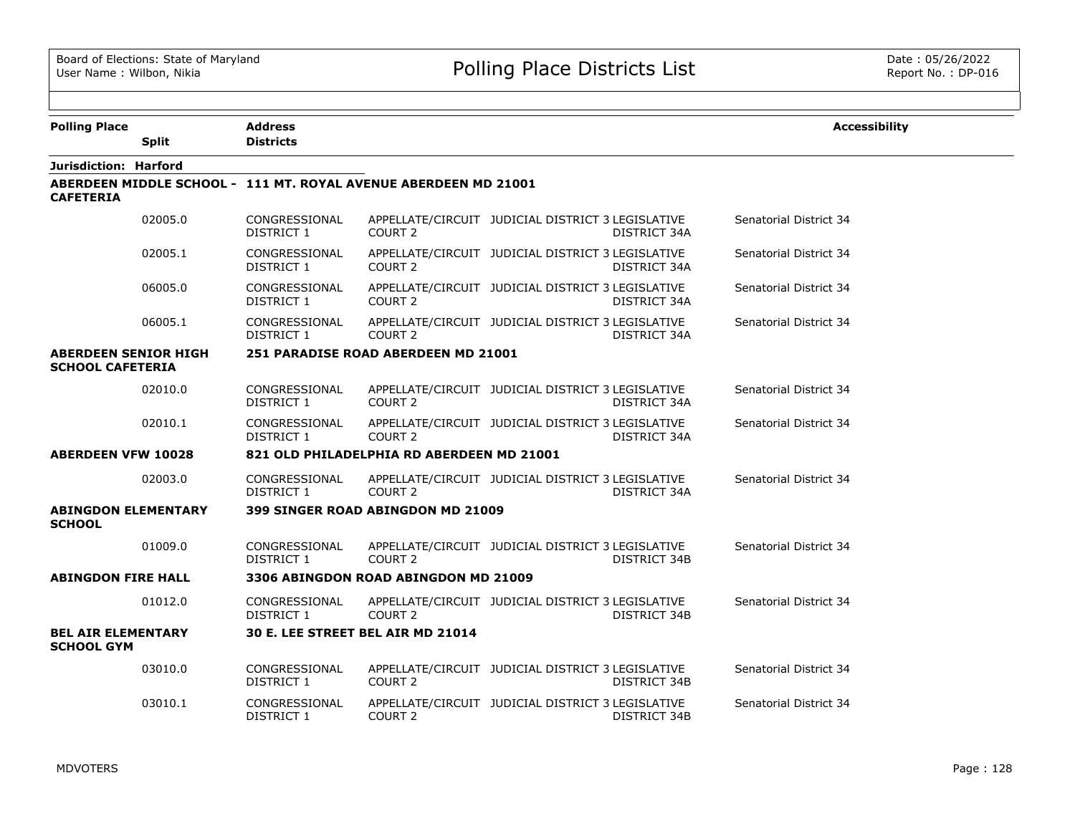$\equiv$ 

| <b>Polling Place</b>                                   |              | Address                            |                                                                 |                                                                   | <b>Accessibility</b>   |
|--------------------------------------------------------|--------------|------------------------------------|-----------------------------------------------------------------|-------------------------------------------------------------------|------------------------|
|                                                        | <b>Split</b> | <b>Districts</b>                   |                                                                 |                                                                   |                        |
| Jurisdiction: Harford                                  |              |                                    |                                                                 |                                                                   |                        |
| <b>CAFETERIA</b>                                       |              |                                    | ABERDEEN MIDDLE SCHOOL - 111 MT. ROYAL AVENUE ABERDEEN MD 21001 |                                                                   |                        |
|                                                        | 02005.0      | CONGRESSIONAL<br>DISTRICT 1        | COURT <sub>2</sub>                                              | APPELLATE/CIRCUIT JUDICIAL DISTRICT 3 LEGISLATIVE<br>DISTRICT 34A | Senatorial District 34 |
|                                                        | 02005.1      | CONGRESSIONAL<br>DISTRICT 1        | COURT <sub>2</sub>                                              | APPELLATE/CIRCUIT JUDICIAL DISTRICT 3 LEGISLATIVE<br>DISTRICT 34A | Senatorial District 34 |
|                                                        | 06005.0      | CONGRESSIONAL<br>DISTRICT 1        | COURT <sub>2</sub>                                              | APPELLATE/CIRCUIT JUDICIAL DISTRICT 3 LEGISLATIVE<br>DISTRICT 34A | Senatorial District 34 |
|                                                        | 06005.1      | CONGRESSIONAL<br>DISTRICT 1        | COURT <sub>2</sub>                                              | APPELLATE/CIRCUIT JUDICIAL DISTRICT 3 LEGISLATIVE<br>DISTRICT 34A | Senatorial District 34 |
| <b>ABERDEEN SENIOR HIGH</b><br><b>SCHOOL CAFETERIA</b> |              |                                    | 251 PARADISE ROAD ABERDEEN MD 21001                             |                                                                   |                        |
|                                                        | 02010.0      | CONGRESSIONAL<br><b>DISTRICT 1</b> | COURT 2                                                         | APPELLATE/CIRCUIT JUDICIAL DISTRICT 3 LEGISLATIVE<br>DISTRICT 34A | Senatorial District 34 |
|                                                        | 02010.1      | CONGRESSIONAL<br>DISTRICT 1        | COURT <sub>2</sub>                                              | APPELLATE/CIRCUIT JUDICIAL DISTRICT 3 LEGISLATIVE<br>DISTRICT 34A | Senatorial District 34 |
| <b>ABERDEEN VFW 10028</b>                              |              |                                    | 821 OLD PHILADELPHIA RD ABERDEEN MD 21001                       |                                                                   |                        |
|                                                        | 02003.0      | CONGRESSIONAL<br><b>DISTRICT 1</b> | COURT <sub>2</sub>                                              | APPELLATE/CIRCUIT JUDICIAL DISTRICT 3 LEGISLATIVE<br>DISTRICT 34A | Senatorial District 34 |
| <b>ABINGDON ELEMENTARY</b><br><b>SCHOOL</b>            |              |                                    | 399 SINGER ROAD ABINGDON MD 21009                               |                                                                   |                        |
|                                                        | 01009.0      | CONGRESSIONAL<br><b>DISTRICT 1</b> | COURT <sub>2</sub>                                              | APPELLATE/CIRCUIT JUDICIAL DISTRICT 3 LEGISLATIVE<br>DISTRICT 34B | Senatorial District 34 |
| <b>ABINGDON FIRE HALL</b>                              |              |                                    | 3306 ABINGDON ROAD ABINGDON MD 21009                            |                                                                   |                        |
|                                                        | 01012.0      | CONGRESSIONAL<br>DISTRICT 1        | COURT 2                                                         | APPELLATE/CIRCUIT JUDICIAL DISTRICT 3 LEGISLATIVE<br>DISTRICT 34B | Senatorial District 34 |
| <b>BEL AIR ELEMENTARY</b><br><b>SCHOOL GYM</b>         |              |                                    | 30 E. LEE STREET BEL AIR MD 21014                               |                                                                   |                        |
|                                                        | 03010.0      | CONGRESSIONAL<br>DISTRICT 1        | COURT 2                                                         | APPELLATE/CIRCUIT JUDICIAL DISTRICT 3 LEGISLATIVE<br>DISTRICT 34B | Senatorial District 34 |
|                                                        | 03010.1      | CONGRESSIONAL<br>DISTRICT 1        | COURT <sub>2</sub>                                              | APPELLATE/CIRCUIT JUDICIAL DISTRICT 3 LEGISLATIVE<br>DISTRICT 34B | Senatorial District 34 |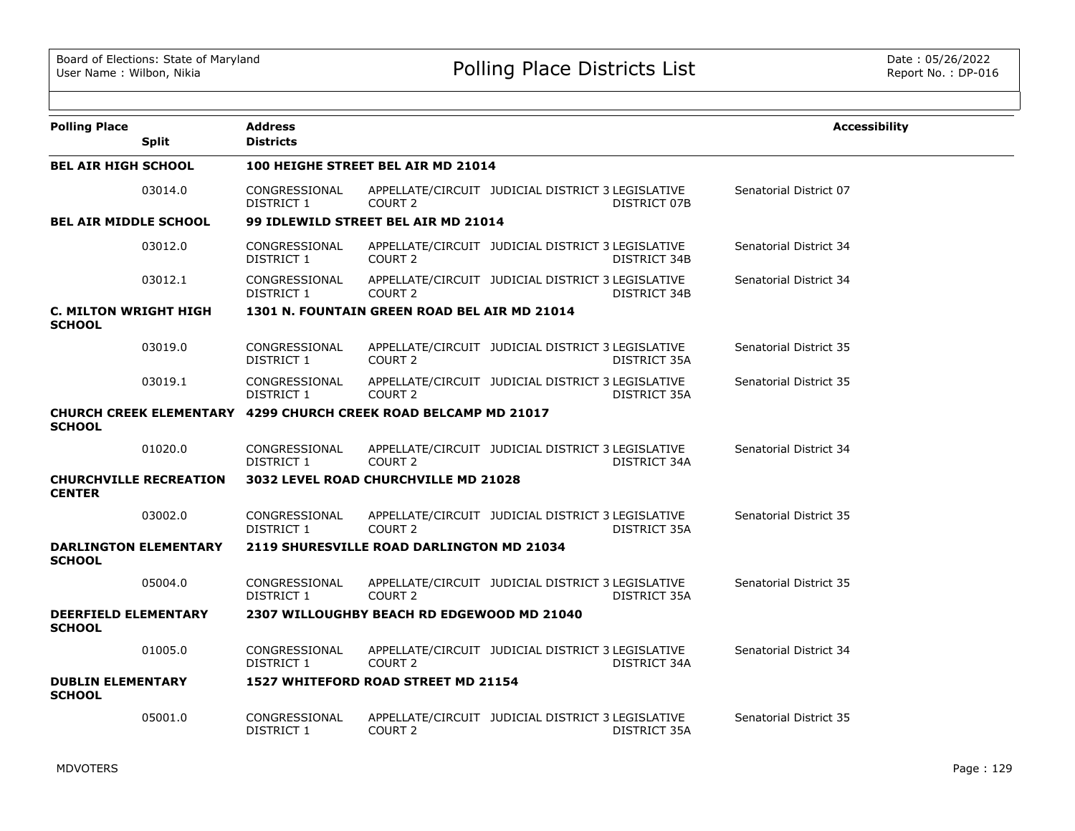| <b>Polling Place</b>                          | <b>Split</b>                  | <b>Address</b><br><b>Districts</b> |                                                                 |                                                   |              | <b>Accessibility</b>   |  |  |  |
|-----------------------------------------------|-------------------------------|------------------------------------|-----------------------------------------------------------------|---------------------------------------------------|--------------|------------------------|--|--|--|
| <b>BEL AIR HIGH SCHOOL</b>                    |                               |                                    | 100 HEIGHE STREET BEL AIR MD 21014                              |                                                   |              |                        |  |  |  |
|                                               | 03014.0                       | CONGRESSIONAL<br>DISTRICT 1        | COURT <sub>2</sub>                                              | APPELLATE/CIRCUIT JUDICIAL DISTRICT 3 LEGISLATIVE | DISTRICT 07B | Senatorial District 07 |  |  |  |
| <b>BEL AIR MIDDLE SCHOOL</b>                  |                               |                                    | 99 IDLEWILD STREET BEL AIR MD 21014                             |                                                   |              |                        |  |  |  |
|                                               | 03012.0                       | CONGRESSIONAL<br>DISTRICT 1        | COURT 2                                                         | APPELLATE/CIRCUIT JUDICIAL DISTRICT 3 LEGISLATIVE | DISTRICT 34B | Senatorial District 34 |  |  |  |
|                                               | 03012.1                       | CONGRESSIONAL<br>DISTRICT 1        | COURT 2                                                         | APPELLATE/CIRCUIT JUDICIAL DISTRICT 3 LEGISLATIVE | DISTRICT 34B | Senatorial District 34 |  |  |  |
| <b>C. MILTON WRIGHT HIGH</b><br><b>SCHOOL</b> |                               |                                    | 1301 N. FOUNTAIN GREEN ROAD BEL AIR MD 21014                    |                                                   |              |                        |  |  |  |
|                                               | 03019.0                       | CONGRESSIONAL<br>DISTRICT 1        | COURT 2                                                         | APPELLATE/CIRCUIT JUDICIAL DISTRICT 3 LEGISLATIVE | DISTRICT 35A | Senatorial District 35 |  |  |  |
|                                               | 03019.1                       | CONGRESSIONAL<br>DISTRICT 1        | COURT <sub>2</sub>                                              | APPELLATE/CIRCUIT JUDICIAL DISTRICT 3 LEGISLATIVE | DISTRICT 35A | Senatorial District 35 |  |  |  |
| <b>SCHOOL</b>                                 |                               |                                    | CHURCH CREEK ELEMENTARY 4299 CHURCH CREEK ROAD BELCAMP MD 21017 |                                                   |              |                        |  |  |  |
|                                               | 01020.0                       | CONGRESSIONAL<br>DISTRICT 1        | COURT 2                                                         | APPELLATE/CIRCUIT JUDICIAL DISTRICT 3 LEGISLATIVE | DISTRICT 34A | Senatorial District 34 |  |  |  |
| <b>CENTER</b>                                 | <b>CHURCHVILLE RECREATION</b> |                                    | 3032 LEVEL ROAD CHURCHVILLE MD 21028                            |                                                   |              |                        |  |  |  |
|                                               | 03002.0                       | CONGRESSIONAL<br>DISTRICT 1        | COURT 2                                                         | APPELLATE/CIRCUIT JUDICIAL DISTRICT 3 LEGISLATIVE | DISTRICT 35A | Senatorial District 35 |  |  |  |
| <b>SCHOOL</b>                                 | <b>DARLINGTON ELEMENTARY</b>  |                                    | <b>2119 SHURESVILLE ROAD DARLINGTON MD 21034</b>                |                                                   |              |                        |  |  |  |
|                                               | 05004.0                       | CONGRESSIONAL<br>DISTRICT 1        | COURT 2                                                         | APPELLATE/CIRCUIT JUDICIAL DISTRICT 3 LEGISLATIVE | DISTRICT 35A | Senatorial District 35 |  |  |  |
| <b>DEERFIELD ELEMENTARY</b><br><b>SCHOOL</b>  |                               |                                    | 2307 WILLOUGHBY BEACH RD EDGEWOOD MD 21040                      |                                                   |              |                        |  |  |  |
|                                               | 01005.0                       | CONGRESSIONAL<br>DISTRICT 1        | COURT 2                                                         | APPELLATE/CIRCUIT JUDICIAL DISTRICT 3 LEGISLATIVE | DISTRICT 34A | Senatorial District 34 |  |  |  |
| <b>DUBLIN ELEMENTARY</b><br><b>SCHOOL</b>     |                               |                                    | 1527 WHITEFORD ROAD STREET MD 21154                             |                                                   |              |                        |  |  |  |
|                                               | 05001.0                       | CONGRESSIONAL<br>DISTRICT 1        | COURT 2                                                         | APPELLATE/CIRCUIT JUDICIAL DISTRICT 3 LEGISLATIVE | DISTRICT 35A | Senatorial District 35 |  |  |  |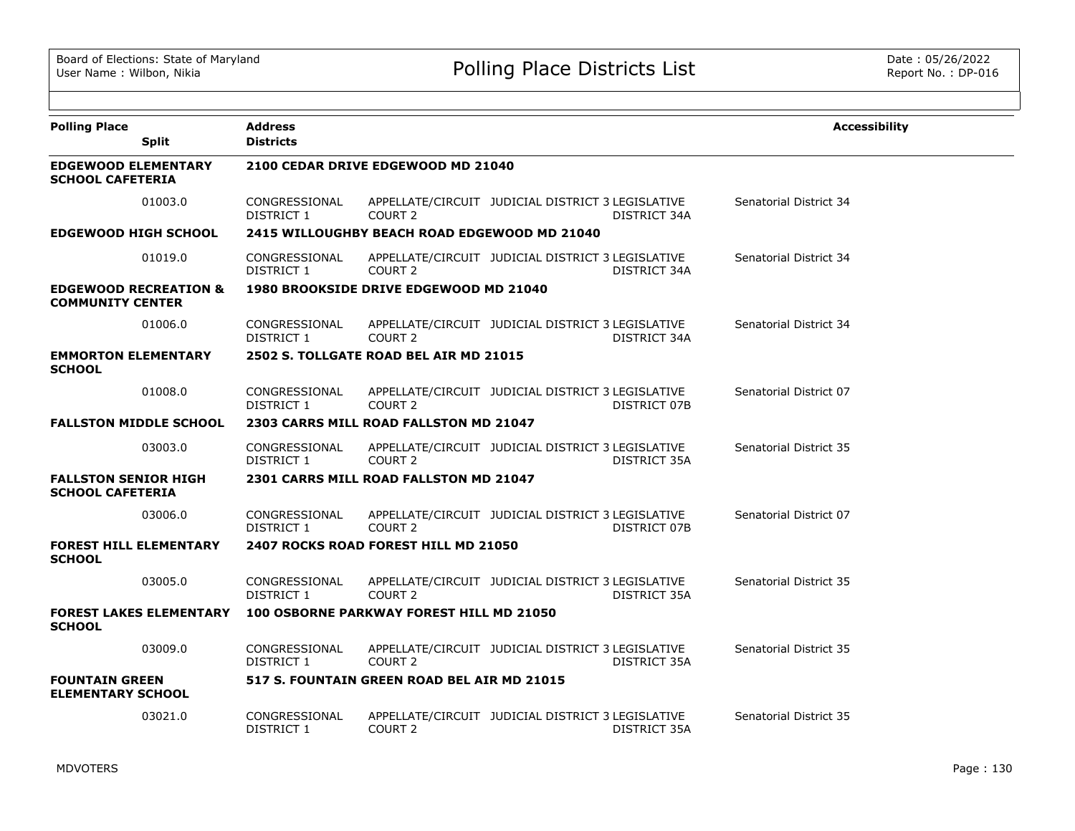| <b>Polling Place</b><br><b>Split</b>                        | <b>Address</b><br><b>Districts</b> |                                              |                                                   |                     | <b>Accessibility</b>   |
|-------------------------------------------------------------|------------------------------------|----------------------------------------------|---------------------------------------------------|---------------------|------------------------|
| <b>EDGEWOOD ELEMENTARY</b><br><b>SCHOOL CAFETERIA</b>       |                                    | 2100 CEDAR DRIVE EDGEWOOD MD 21040           |                                                   |                     |                        |
| 01003.0                                                     | CONGRESSIONAL<br>DISTRICT 1        | COURT <sub>2</sub>                           | APPELLATE/CIRCUIT JUDICIAL DISTRICT 3 LEGISLATIVE | <b>DISTRICT 34A</b> | Senatorial District 34 |
| <b>EDGEWOOD HIGH SCHOOL</b>                                 |                                    | 2415 WILLOUGHBY BEACH ROAD EDGEWOOD MD 21040 |                                                   |                     |                        |
| 01019.0                                                     | CONGRESSIONAL<br>DISTRICT 1        | COURT 2                                      | APPELLATE/CIRCUIT JUDICIAL DISTRICT 3 LEGISLATIVE | DISTRICT 34A        | Senatorial District 34 |
| <b>EDGEWOOD RECREATION &amp;</b><br><b>COMMUNITY CENTER</b> |                                    | 1980 BROOKSIDE DRIVE EDGEWOOD MD 21040       |                                                   |                     |                        |
| 01006.0                                                     | CONGRESSIONAL<br><b>DISTRICT 1</b> | COURT <sub>2</sub>                           | APPELLATE/CIRCUIT JUDICIAL DISTRICT 3 LEGISLATIVE | DISTRICT 34A        | Senatorial District 34 |
| <b>EMMORTON ELEMENTARY</b><br><b>SCHOOL</b>                 |                                    | 2502 S. TOLLGATE ROAD BEL AIR MD 21015       |                                                   |                     |                        |
| 01008.0                                                     | CONGRESSIONAL<br><b>DISTRICT 1</b> | COURT 2                                      | APPELLATE/CIRCUIT JUDICIAL DISTRICT 3 LEGISLATIVE | DISTRICT 07B        | Senatorial District 07 |
| <b>FALLSTON MIDDLE SCHOOL</b>                               |                                    | 2303 CARRS MILL ROAD FALLSTON MD 21047       |                                                   |                     |                        |
| 03003.0                                                     | CONGRESSIONAL<br>DISTRICT 1        | COURT 2                                      | APPELLATE/CIRCUIT JUDICIAL DISTRICT 3 LEGISLATIVE | DISTRICT 35A        | Senatorial District 35 |
| <b>FALLSTON SENIOR HIGH</b><br><b>SCHOOL CAFETERIA</b>      |                                    | 2301 CARRS MILL ROAD FALLSTON MD 21047       |                                                   |                     |                        |
| 03006.0                                                     | CONGRESSIONAL<br>DISTRICT 1        | COURT 2                                      | APPELLATE/CIRCUIT JUDICIAL DISTRICT 3 LEGISLATIVE | DISTRICT 07B        | Senatorial District 07 |
| <b>FOREST HILL ELEMENTARY</b><br><b>SCHOOL</b>              |                                    | 2407 ROCKS ROAD FOREST HILL MD 21050         |                                                   |                     |                        |
| 03005.0                                                     | CONGRESSIONAL<br>DISTRICT 1        | COURT 2                                      | APPELLATE/CIRCUIT JUDICIAL DISTRICT 3 LEGISLATIVE | DISTRICT 35A        | Senatorial District 35 |
| <b>FOREST LAKES ELEMENTARY</b><br><b>SCHOOL</b>             |                                    | 100 OSBORNE PARKWAY FOREST HILL MD 21050     |                                                   |                     |                        |
| 03009.0                                                     | CONGRESSIONAL<br>DISTRICT 1        | COURT <sub>2</sub>                           | APPELLATE/CIRCUIT JUDICIAL DISTRICT 3 LEGISLATIVE | DISTRICT 35A        | Senatorial District 35 |
| <b>FOUNTAIN GREEN</b><br><b>ELEMENTARY SCHOOL</b>           |                                    | 517 S. FOUNTAIN GREEN ROAD BEL AIR MD 21015  |                                                   |                     |                        |
| 03021.0                                                     | CONGRESSIONAL<br><b>DISTRICT 1</b> | COURT 2                                      | APPELLATE/CIRCUIT JUDICIAL DISTRICT 3 LEGISLATIVE | DISTRICT 35A        | Senatorial District 35 |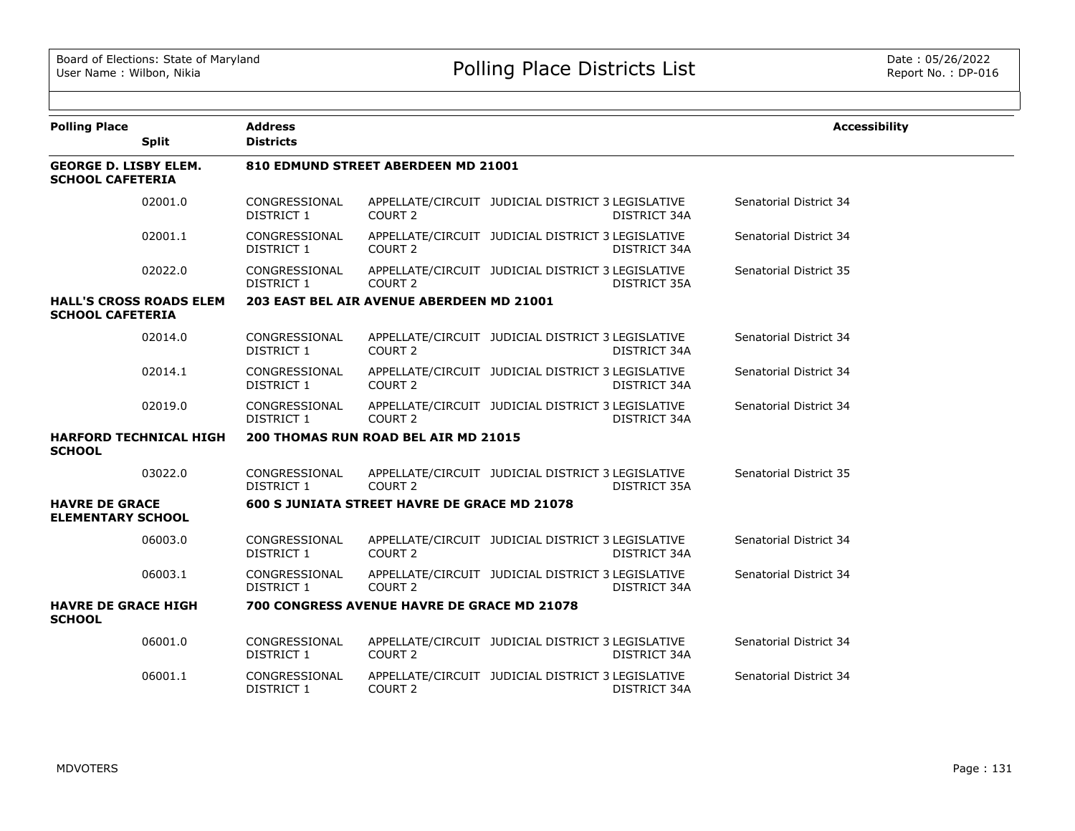| <b>Polling Place</b>                                    |                                | <b>Address</b>                     |                                                              |                                                   |                     | <b>Accessibility</b>   |
|---------------------------------------------------------|--------------------------------|------------------------------------|--------------------------------------------------------------|---------------------------------------------------|---------------------|------------------------|
|                                                         | <b>Split</b>                   | <b>Districts</b>                   |                                                              |                                                   |                     |                        |
| <b>GEORGE D. LISBY ELEM.</b><br><b>SCHOOL CAFETERIA</b> |                                |                                    | 810 EDMUND STREET ABERDEEN MD 21001                          |                                                   |                     |                        |
|                                                         | 02001.0                        | CONGRESSIONAL<br><b>DISTRICT 1</b> | COURT <sub>2</sub>                                           | APPELLATE/CIRCUIT JUDICIAL DISTRICT 3 LEGISLATIVE | <b>DISTRICT 34A</b> | Senatorial District 34 |
|                                                         | 02001.1                        | CONGRESSIONAL<br>DISTRICT 1        | COURT 2                                                      | APPELLATE/CIRCUIT JUDICIAL DISTRICT 3 LEGISLATIVE | DISTRICT 34A        | Senatorial District 34 |
|                                                         | 02022.0                        | CONGRESSIONAL<br>DISTRICT 1        | COURT <sub>2</sub>                                           | APPELLATE/CIRCUIT JUDICIAL DISTRICT 3 LEGISLATIVE | DISTRICT 35A        | Senatorial District 35 |
| <b>SCHOOL CAFETERIA</b>                                 | <b>HALL'S CROSS ROADS ELEM</b> |                                    | 203 EAST BEL AIR AVENUE ABERDEEN MD 21001                    |                                                   |                     |                        |
|                                                         | 02014.0                        | CONGRESSIONAL<br><b>DISTRICT 1</b> | COURT 2                                                      | APPELLATE/CIRCUIT JUDICIAL DISTRICT 3 LEGISLATIVE | <b>DISTRICT 34A</b> | Senatorial District 34 |
|                                                         | 02014.1                        | CONGRESSIONAL<br><b>DISTRICT 1</b> | COURT <sub>2</sub>                                           | APPELLATE/CIRCUIT JUDICIAL DISTRICT 3 LEGISLATIVE | <b>DISTRICT 34A</b> | Senatorial District 34 |
|                                                         | 02019.0                        | CONGRESSIONAL<br>DISTRICT 1        | COURT <sub>2</sub>                                           | APPELLATE/CIRCUIT JUDICIAL DISTRICT 3 LEGISLATIVE | DISTRICT 34A        | Senatorial District 34 |
| <b>SCHOOL</b>                                           | <b>HARFORD TECHNICAL HIGH</b>  |                                    | 200 THOMAS RUN ROAD BEL AIR MD 21015                         |                                                   |                     |                        |
|                                                         | 03022.0                        | CONGRESSIONAL<br>DISTRICT 1        | COURT 2                                                      | APPELLATE/CIRCUIT JUDICIAL DISTRICT 3 LEGISLATIVE | DISTRICT 35A        | Senatorial District 35 |
| <b>HAVRE DE GRACE</b><br><b>ELEMENTARY SCHOOL</b>       |                                |                                    | 600 S JUNIATA STREET HAVRE DE GRACE MD 21078                 |                                                   |                     |                        |
|                                                         | 06003.0                        | CONGRESSIONAL<br>DISTRICT 1        | APPELLATE/CIRCUIT JUDICIAL DISTRICT 3 LEGISLATIVE<br>COURT 2 |                                                   | <b>DISTRICT 34A</b> | Senatorial District 34 |
|                                                         | 06003.1                        | CONGRESSIONAL<br>DISTRICT 1        | COURT <sub>2</sub>                                           | APPELLATE/CIRCUIT JUDICIAL DISTRICT 3 LEGISLATIVE | DISTRICT 34A        | Senatorial District 34 |
| <b>HAVRE DE GRACE HIGH</b><br><b>SCHOOL</b>             |                                |                                    | 700 CONGRESS AVENUE HAVRE DE GRACE MD 21078                  |                                                   |                     |                        |
|                                                         | 06001.0                        | CONGRESSIONAL<br><b>DISTRICT 1</b> | COURT 2                                                      | APPELLATE/CIRCUIT JUDICIAL DISTRICT 3 LEGISLATIVE | <b>DISTRICT 34A</b> | Senatorial District 34 |
|                                                         | 06001.1                        | CONGRESSIONAL<br>DISTRICT 1        | COURT 2                                                      | APPELLATE/CIRCUIT JUDICIAL DISTRICT 3 LEGISLATIVE | DISTRICT 34A        | Senatorial District 34 |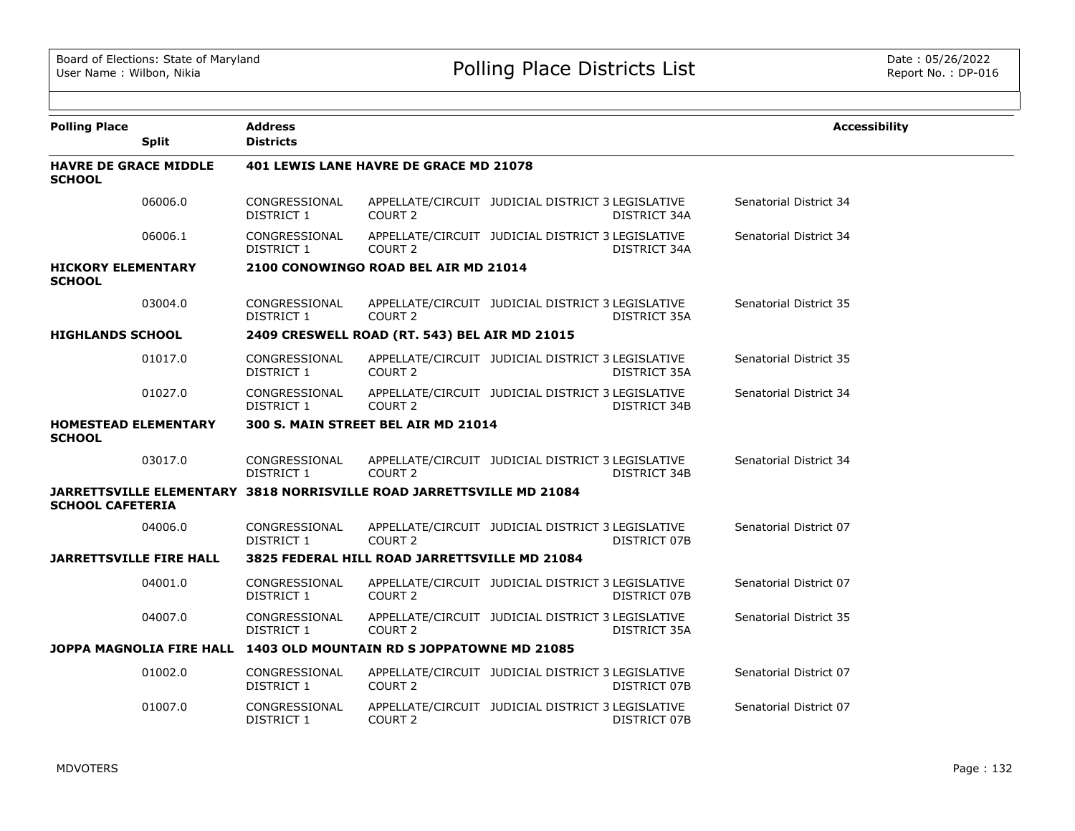| <b>Polling Place</b>                          | <b>Split</b> | <b>Address</b><br><b>Districts</b> |                                                                       |                                                   |              | <b>Accessibility</b>          |
|-----------------------------------------------|--------------|------------------------------------|-----------------------------------------------------------------------|---------------------------------------------------|--------------|-------------------------------|
| <b>HAVRE DE GRACE MIDDLE</b><br><b>SCHOOL</b> |              |                                    | <b>401 LEWIS LANE HAVRE DE GRACE MD 21078</b>                         |                                                   |              |                               |
|                                               | 06006.0      | CONGRESSIONAL<br>DISTRICT 1        | COURT <sub>2</sub>                                                    | APPELLATE/CIRCUIT JUDICIAL DISTRICT 3 LEGISLATIVE | DISTRICT 34A | Senatorial District 34        |
|                                               | 06006.1      | CONGRESSIONAL<br>DISTRICT 1        | COURT <sub>2</sub>                                                    | APPELLATE/CIRCUIT JUDICIAL DISTRICT 3 LEGISLATIVE | DISTRICT 34A | Senatorial District 34        |
| <b>HICKORY ELEMENTARY</b><br><b>SCHOOL</b>    |              |                                    | 2100 CONOWINGO ROAD BEL AIR MD 21014                                  |                                                   |              |                               |
|                                               | 03004.0      | CONGRESSIONAL<br>DISTRICT 1        | COURT <sub>2</sub>                                                    | APPELLATE/CIRCUIT JUDICIAL DISTRICT 3 LEGISLATIVE | DISTRICT 35A | <b>Senatorial District 35</b> |
| <b>HIGHLANDS SCHOOL</b>                       |              |                                    | 2409 CRESWELL ROAD (RT. 543) BEL AIR MD 21015                         |                                                   |              |                               |
|                                               | 01017.0      | CONGRESSIONAL<br>DISTRICT 1        | COURT 2                                                               | APPELLATE/CIRCUIT JUDICIAL DISTRICT 3 LEGISLATIVE | DISTRICT 35A | Senatorial District 35        |
|                                               | 01027.0      | CONGRESSIONAL<br>DISTRICT 1        | COURT 2                                                               | APPELLATE/CIRCUIT JUDICIAL DISTRICT 3 LEGISLATIVE | DISTRICT 34B | Senatorial District 34        |
| <b>HOMESTEAD ELEMENTARY</b><br><b>SCHOOL</b>  |              |                                    | 300 S. MAIN STREET BEL AIR MD 21014                                   |                                                   |              |                               |
|                                               | 03017.0      | CONGRESSIONAL<br>DISTRICT 1        | COURT <sub>2</sub>                                                    | APPELLATE/CIRCUIT JUDICIAL DISTRICT 3 LEGISLATIVE | DISTRICT 34B | Senatorial District 34        |
| <b>SCHOOL CAFETERIA</b>                       |              |                                    | JARRETTSVILLE ELEMENTARY 3818 NORRISVILLE ROAD JARRETTSVILLE MD 21084 |                                                   |              |                               |
|                                               | 04006.0      | CONGRESSIONAL<br>DISTRICT 1        | COURT <sub>2</sub>                                                    | APPELLATE/CIRCUIT JUDICIAL DISTRICT 3 LEGISLATIVE | DISTRICT 07B | Senatorial District 07        |
| <b>JARRETTSVILLE FIRE HALL</b>                |              |                                    | 3825 FEDERAL HILL ROAD JARRETTSVILLE MD 21084                         |                                                   |              |                               |
|                                               | 04001.0      | CONGRESSIONAL<br>DISTRICT 1        | COURT <sub>2</sub>                                                    | APPELLATE/CIRCUIT JUDICIAL DISTRICT 3 LEGISLATIVE | DISTRICT 07B | Senatorial District 07        |
|                                               | 04007.0      | CONGRESSIONAL<br>DISTRICT 1        | COURT <sub>2</sub>                                                    | APPELLATE/CIRCUIT JUDICIAL DISTRICT 3 LEGISLATIVE | DISTRICT 35A | Senatorial District 35        |
|                                               |              |                                    | JOPPA MAGNOLIA FIRE HALL 1403 OLD MOUNTAIN RD S JOPPATOWNE MD 21085   |                                                   |              |                               |
|                                               | 01002.0      | CONGRESSIONAL<br>DISTRICT 1        | COURT 2                                                               | APPELLATE/CIRCUIT JUDICIAL DISTRICT 3 LEGISLATIVE | DISTRICT 07B | Senatorial District 07        |
|                                               | 01007.0      | CONGRESSIONAL<br>DISTRICT 1        | COURT 2                                                               | APPELLATE/CIRCUIT JUDICIAL DISTRICT 3 LEGISLATIVE | DISTRICT 07B | Senatorial District 07        |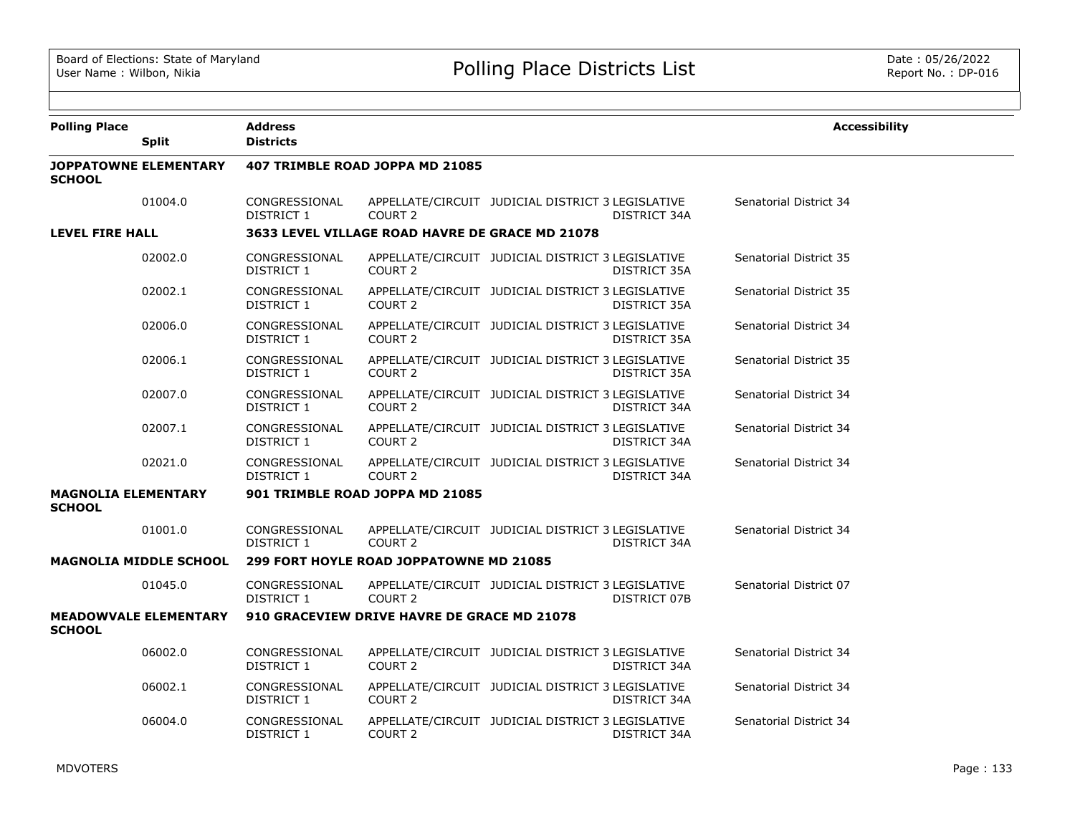| <b>Polling Place</b>                        | <b>Split</b>                  | <b>Address</b><br><b>Districts</b> |                                                 |                                                   |              | <b>Accessibility</b>   |
|---------------------------------------------|-------------------------------|------------------------------------|-------------------------------------------------|---------------------------------------------------|--------------|------------------------|
| <b>SCHOOL</b>                               | <b>JOPPATOWNE ELEMENTARY</b>  |                                    | 407 TRIMBLE ROAD JOPPA MD 21085                 |                                                   |              |                        |
|                                             | 01004.0                       | CONGRESSIONAL<br>DISTRICT 1        | COURT <sub>2</sub>                              | APPELLATE/CIRCUIT JUDICIAL DISTRICT 3 LEGISLATIVE | DISTRICT 34A | Senatorial District 34 |
| LEVEL FIRE HALL                             |                               |                                    | 3633 LEVEL VILLAGE ROAD HAVRE DE GRACE MD 21078 |                                                   |              |                        |
|                                             | 02002.0                       | CONGRESSIONAL<br>DISTRICT 1        | COURT 2                                         | APPELLATE/CIRCUIT JUDICIAL DISTRICT 3 LEGISLATIVE | DISTRICT 35A | Senatorial District 35 |
|                                             | 02002.1                       | CONGRESSIONAL<br>DISTRICT 1        | COURT 2                                         | APPELLATE/CIRCUIT JUDICIAL DISTRICT 3 LEGISLATIVE | DISTRICT 35A | Senatorial District 35 |
|                                             | 02006.0                       | CONGRESSIONAL<br>DISTRICT 1        | COURT <sub>2</sub>                              | APPELLATE/CIRCUIT JUDICIAL DISTRICT 3 LEGISLATIVE | DISTRICT 35A | Senatorial District 34 |
|                                             | 02006.1                       | CONGRESSIONAL<br>DISTRICT 1        | COURT <sub>2</sub>                              | APPELLATE/CIRCUIT JUDICIAL DISTRICT 3 LEGISLATIVE | DISTRICT 35A | Senatorial District 35 |
|                                             | 02007.0                       | CONGRESSIONAL<br>DISTRICT 1        | COURT <sub>2</sub>                              | APPELLATE/CIRCUIT JUDICIAL DISTRICT 3 LEGISLATIVE | DISTRICT 34A | Senatorial District 34 |
|                                             | 02007.1                       | CONGRESSIONAL<br>DISTRICT 1        | COURT 2                                         | APPELLATE/CIRCUIT JUDICIAL DISTRICT 3 LEGISLATIVE | DISTRICT 34A | Senatorial District 34 |
|                                             | 02021.0                       | CONGRESSIONAL<br>DISTRICT 1        | COURT <sub>2</sub>                              | APPELLATE/CIRCUIT JUDICIAL DISTRICT 3 LEGISLATIVE | DISTRICT 34A | Senatorial District 34 |
| <b>MAGNOLIA ELEMENTARY</b><br><b>SCHOOL</b> |                               |                                    | 901 TRIMBLE ROAD JOPPA MD 21085                 |                                                   |              |                        |
|                                             | 01001.0                       | CONGRESSIONAL<br>DISTRICT 1        | COURT <sub>2</sub>                              | APPELLATE/CIRCUIT JUDICIAL DISTRICT 3 LEGISLATIVE | DISTRICT 34A | Senatorial District 34 |
|                                             | <b>MAGNOLIA MIDDLE SCHOOL</b> |                                    | <b>299 FORT HOYLE ROAD JOPPATOWNE MD 21085</b>  |                                                   |              |                        |
|                                             | 01045.0                       | CONGRESSIONAL<br>DISTRICT 1        | COURT 2                                         | APPELLATE/CIRCUIT JUDICIAL DISTRICT 3 LEGISLATIVE | DISTRICT 07B | Senatorial District 07 |
| <b>SCHOOL</b>                               | <b>MEADOWVALE ELEMENTARY</b>  |                                    | 910 GRACEVIEW DRIVE HAVRE DE GRACE MD 21078     |                                                   |              |                        |
|                                             | 06002.0                       | CONGRESSIONAL<br>DISTRICT 1        | COURT <sub>2</sub>                              | APPELLATE/CIRCUIT JUDICIAL DISTRICT 3 LEGISLATIVE | DISTRICT 34A | Senatorial District 34 |
|                                             | 06002.1                       | CONGRESSIONAL<br>DISTRICT 1        | COURT <sub>2</sub>                              | APPELLATE/CIRCUIT JUDICIAL DISTRICT 3 LEGISLATIVE | DISTRICT 34A | Senatorial District 34 |
|                                             | 06004.0                       | CONGRESSIONAL<br>DISTRICT 1        | COURT <sub>2</sub>                              | APPELLATE/CIRCUIT JUDICIAL DISTRICT 3 LEGISLATIVE | DISTRICT 34A | Senatorial District 34 |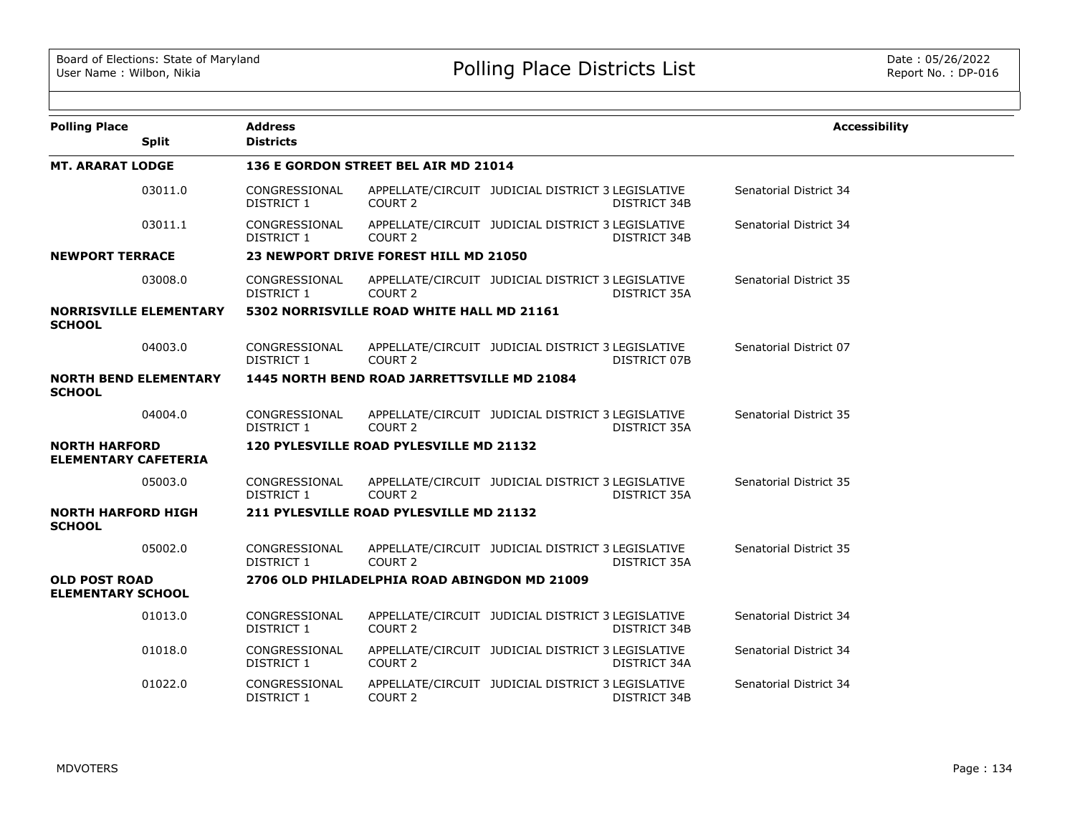| <b>Polling Place</b>                                | <b>Address</b>              |                                              |                                                   |              | <b>Accessibility</b>          |
|-----------------------------------------------------|-----------------------------|----------------------------------------------|---------------------------------------------------|--------------|-------------------------------|
| <b>Split</b>                                        | <b>Districts</b>            |                                              |                                                   |              |                               |
| <b>MT. ARARAT LODGE</b>                             |                             | 136 E GORDON STREET BEL AIR MD 21014         |                                                   |              |                               |
| 03011.0                                             | CONGRESSIONAL<br>DISTRICT 1 | COURT 2                                      | APPELLATE/CIRCUIT JUDICIAL DISTRICT 3 LEGISLATIVE | DISTRICT 34B | Senatorial District 34        |
| 03011.1                                             | CONGRESSIONAL<br>DISTRICT 1 | COURT 2                                      | APPELLATE/CIRCUIT JUDICIAL DISTRICT 3 LEGISLATIVE | DISTRICT 34B | Senatorial District 34        |
| <b>NEWPORT TERRACE</b>                              |                             | 23 NEWPORT DRIVE FOREST HILL MD 21050        |                                                   |              |                               |
| 03008.0                                             | CONGRESSIONAL<br>DISTRICT 1 | COURT 2                                      | APPELLATE/CIRCUIT JUDICIAL DISTRICT 3 LEGISLATIVE | DISTRICT 35A | <b>Senatorial District 35</b> |
| <b>NORRISVILLE ELEMENTARY</b><br><b>SCHOOL</b>      |                             | 5302 NORRISVILLE ROAD WHITE HALL MD 21161    |                                                   |              |                               |
| 04003.0                                             | CONGRESSIONAL<br>DISTRICT 1 | COURT <sub>2</sub>                           | APPELLATE/CIRCUIT JUDICIAL DISTRICT 3 LEGISLATIVE | DISTRICT 07B | Senatorial District 07        |
| <b>NORTH BEND ELEMENTARY</b><br><b>SCHOOL</b>       |                             | 1445 NORTH BEND ROAD JARRETTSVILLE MD 21084  |                                                   |              |                               |
| 04004.0                                             | CONGRESSIONAL<br>DISTRICT 1 | COURT <sub>2</sub>                           | APPELLATE/CIRCUIT JUDICIAL DISTRICT 3 LEGISLATIVE | DISTRICT 35A | Senatorial District 35        |
| <b>NORTH HARFORD</b><br><b>ELEMENTARY CAFETERIA</b> |                             | 120 PYLESVILLE ROAD PYLESVILLE MD 21132      |                                                   |              |                               |
| 05003.0                                             | CONGRESSIONAL<br>DISTRICT 1 | COURT 2                                      | APPELLATE/CIRCUIT JUDICIAL DISTRICT 3 LEGISLATIVE | DISTRICT 35A | Senatorial District 35        |
| <b>NORTH HARFORD HIGH</b><br><b>SCHOOL</b>          |                             | 211 PYLESVILLE ROAD PYLESVILLE MD 21132      |                                                   |              |                               |
| 05002.0                                             | CONGRESSIONAL<br>DISTRICT 1 | COURT <sub>2</sub>                           | APPELLATE/CIRCUIT JUDICIAL DISTRICT 3 LEGISLATIVE | DISTRICT 35A | Senatorial District 35        |
| <b>OLD POST ROAD</b><br><b>ELEMENTARY SCHOOL</b>    |                             | 2706 OLD PHILADELPHIA ROAD ABINGDON MD 21009 |                                                   |              |                               |
| 01013.0                                             | CONGRESSIONAL<br>DISTRICT 1 | COURT <sub>2</sub>                           | APPELLATE/CIRCUIT JUDICIAL DISTRICT 3 LEGISLATIVE | DISTRICT 34B | Senatorial District 34        |
| 01018.0                                             | CONGRESSIONAL<br>DISTRICT 1 | COURT 2                                      | APPELLATE/CIRCUIT JUDICIAL DISTRICT 3 LEGISLATIVE | DISTRICT 34A | Senatorial District 34        |
| 01022.0                                             | CONGRESSIONAL<br>DISTRICT 1 | COURT <sub>2</sub>                           | APPELLATE/CIRCUIT JUDICIAL DISTRICT 3 LEGISLATIVE | DISTRICT 34B | Senatorial District 34        |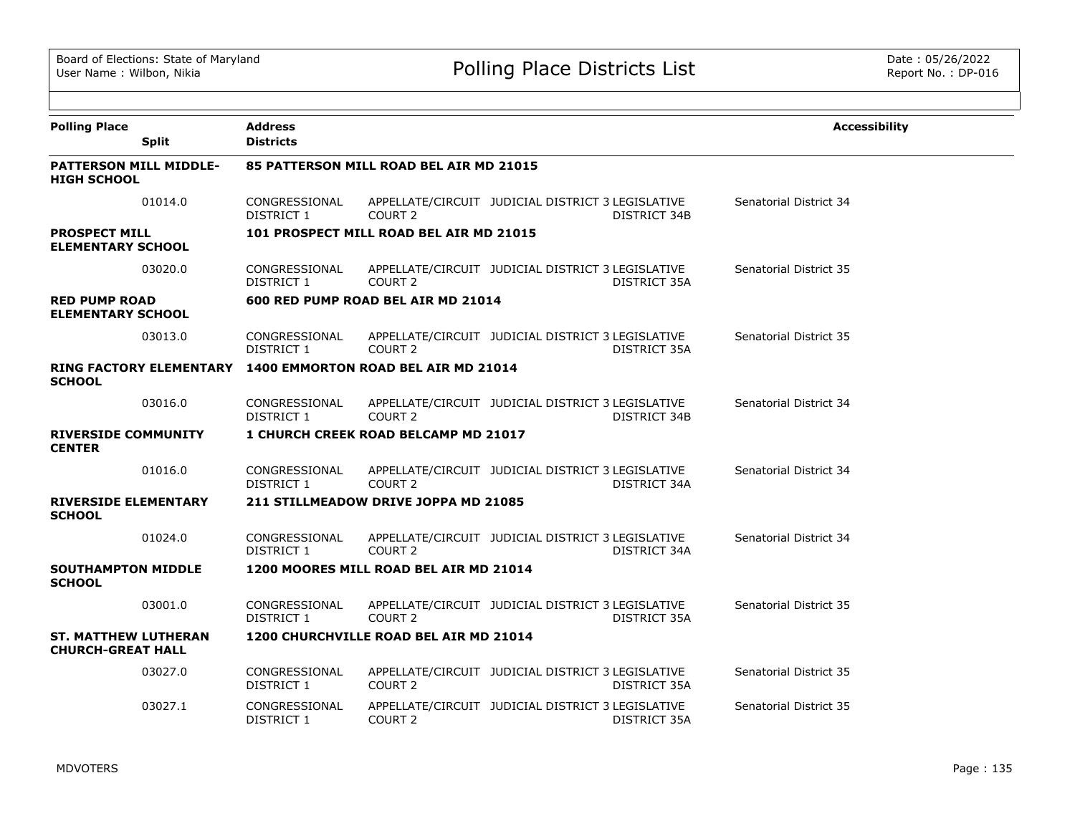| <b>Polling Place</b><br><b>Split</b>                    | <b>Address</b><br><b>Districts</b>      |                                             |                                                   |              | <b>Accessibility</b>   |  |  |  |
|---------------------------------------------------------|-----------------------------------------|---------------------------------------------|---------------------------------------------------|--------------|------------------------|--|--|--|
| <b>PATTERSON MILL MIDDLE-</b><br><b>HIGH SCHOOL</b>     | 85 PATTERSON MILL ROAD BEL AIR MD 21015 |                                             |                                                   |              |                        |  |  |  |
| 01014.0                                                 | CONGRESSIONAL<br>DISTRICT 1             | COURT <sub>2</sub>                          | APPELLATE/CIRCUIT JUDICIAL DISTRICT 3 LEGISLATIVE | DISTRICT 34B | Senatorial District 34 |  |  |  |
| <b>PROSPECT MILL</b><br><b>ELEMENTARY SCHOOL</b>        |                                         | 101 PROSPECT MILL ROAD BEL AIR MD 21015     |                                                   |              |                        |  |  |  |
| 03020.0                                                 | CONGRESSIONAL<br>DISTRICT 1             | COURT <sub>2</sub>                          | APPELLATE/CIRCUIT JUDICIAL DISTRICT 3 LEGISLATIVE | DISTRICT 35A | Senatorial District 35 |  |  |  |
| <b>RED PUMP ROAD</b><br><b>ELEMENTARY SCHOOL</b>        |                                         | 600 RED PUMP ROAD BEL AIR MD 21014          |                                                   |              |                        |  |  |  |
| 03013.0                                                 | CONGRESSIONAL<br>DISTRICT 1             | COURT <sub>2</sub>                          | APPELLATE/CIRCUIT JUDICIAL DISTRICT 3 LEGISLATIVE | DISTRICT 35A | Senatorial District 35 |  |  |  |
| <b>RING FACTORY ELEMENTARY</b><br><b>SCHOOL</b>         |                                         | 1400 EMMORTON ROAD BEL AIR MD 21014         |                                                   |              |                        |  |  |  |
| 03016.0                                                 | CONGRESSIONAL<br>DISTRICT 1             | COURT <sub>2</sub>                          | APPELLATE/CIRCUIT JUDICIAL DISTRICT 3 LEGISLATIVE | DISTRICT 34B | Senatorial District 34 |  |  |  |
| <b>RIVERSIDE COMMUNITY</b><br><b>CENTER</b>             |                                         | <b>1 CHURCH CREEK ROAD BELCAMP MD 21017</b> |                                                   |              |                        |  |  |  |
| 01016.0                                                 | CONGRESSIONAL<br>DISTRICT 1             | COURT 2                                     | APPELLATE/CIRCUIT JUDICIAL DISTRICT 3 LEGISLATIVE | DISTRICT 34A | Senatorial District 34 |  |  |  |
| <b>RIVERSIDE ELEMENTARY</b><br><b>SCHOOL</b>            |                                         | 211 STILLMEADOW DRIVE JOPPA MD 21085        |                                                   |              |                        |  |  |  |
| 01024.0                                                 | CONGRESSIONAL<br>DISTRICT 1             | COURT <sub>2</sub>                          | APPELLATE/CIRCUIT JUDICIAL DISTRICT 3 LEGISLATIVE | DISTRICT 34A | Senatorial District 34 |  |  |  |
| <b>SOUTHAMPTON MIDDLE</b><br><b>SCHOOL</b>              |                                         | 1200 MOORES MILL ROAD BEL AIR MD 21014      |                                                   |              |                        |  |  |  |
| 03001.0                                                 | CONGRESSIONAL<br>DISTRICT 1             | COURT <sub>2</sub>                          | APPELLATE/CIRCUIT JUDICIAL DISTRICT 3 LEGISLATIVE | DISTRICT 35A | Senatorial District 35 |  |  |  |
| <b>ST. MATTHEW LUTHERAN</b><br><b>CHURCH-GREAT HALL</b> |                                         | 1200 CHURCHVILLE ROAD BEL AIR MD 21014      |                                                   |              |                        |  |  |  |
| 03027.0                                                 | CONGRESSIONAL<br>DISTRICT 1             | COURT <sub>2</sub>                          | APPELLATE/CIRCUIT JUDICIAL DISTRICT 3 LEGISLATIVE | DISTRICT 35A | Senatorial District 35 |  |  |  |
| 03027.1                                                 | CONGRESSIONAL<br><b>DISTRICT 1</b>      | COURT <sub>2</sub>                          | APPELLATE/CIRCUIT JUDICIAL DISTRICT 3 LEGISLATIVE | DISTRICT 35A | Senatorial District 35 |  |  |  |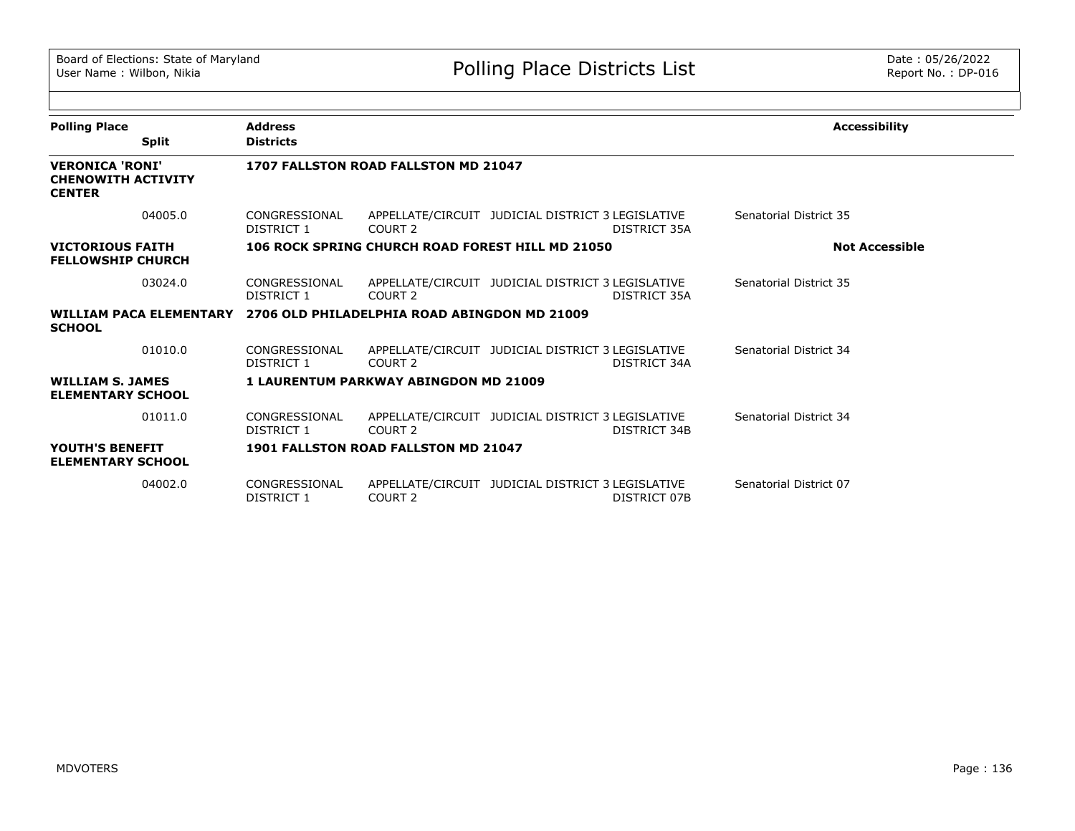| <b>Polling Place</b>                                                 |              | <b>Address</b>              |                                                                      |                                                   |              | <b>Accessibility</b>   |
|----------------------------------------------------------------------|--------------|-----------------------------|----------------------------------------------------------------------|---------------------------------------------------|--------------|------------------------|
|                                                                      | <b>Split</b> | <b>Districts</b>            |                                                                      |                                                   |              |                        |
| <b>VERONICA 'RONI'</b><br><b>CHENOWITH ACTIVITY</b><br><b>CENTER</b> |              |                             | 1707 FALLSTON ROAD FALLSTON MD 21047                                 |                                                   |              |                        |
|                                                                      | 04005.0      | CONGRESSIONAL<br>DISTRICT 1 | COURT 2                                                              | APPELLATE/CIRCUIT JUDICIAL DISTRICT 3 LEGISLATIVE | DISTRICT 35A | Senatorial District 35 |
| <b>VICTORIOUS FAITH</b><br><b>FELLOWSHIP CHURCH</b>                  |              |                             |                                                                      | 106 ROCK SPRING CHURCH ROAD FOREST HILL MD 21050  |              | <b>Not Accessible</b>  |
|                                                                      | 03024.0      | CONGRESSIONAL<br>DISTRICT 1 | COURT 2                                                              | APPELLATE/CIRCUIT JUDICIAL DISTRICT 3 LEGISLATIVE | DISTRICT 35A | Senatorial District 35 |
| <b>SCHOOL</b>                                                        |              |                             | WILLIAM PACA ELEMENTARY 2706 OLD PHILADELPHIA ROAD ABINGDON MD 21009 |                                                   |              |                        |
|                                                                      | 01010.0      | CONGRESSIONAL<br>DISTRICT 1 | COURT 2                                                              | APPELLATE/CIRCUIT JUDICIAL DISTRICT 3 LEGISLATIVE | DISTRICT 34A | Senatorial District 34 |
| <b>WILLIAM S. JAMES</b><br><b>ELEMENTARY SCHOOL</b>                  |              |                             | <b>1 LAURENTUM PARKWAY ABINGDON MD 21009</b>                         |                                                   |              |                        |
|                                                                      | 01011.0      | CONGRESSIONAL<br>DISTRICT 1 | COURT 2                                                              | APPELLATE/CIRCUIT JUDICIAL DISTRICT 3 LEGISLATIVE | DISTRICT 34B | Senatorial District 34 |
| YOUTH'S BENEFIT<br><b>ELEMENTARY SCHOOL</b>                          |              |                             | 1901 FALLSTON ROAD FALLSTON MD 21047                                 |                                                   |              |                        |
|                                                                      | 04002.0      | CONGRESSIONAL<br>DISTRICT 1 | COURT <sub>2</sub>                                                   | APPELLATE/CIRCUIT JUDICIAL DISTRICT 3 LEGISLATIVE | DISTRICT 07B | Senatorial District 07 |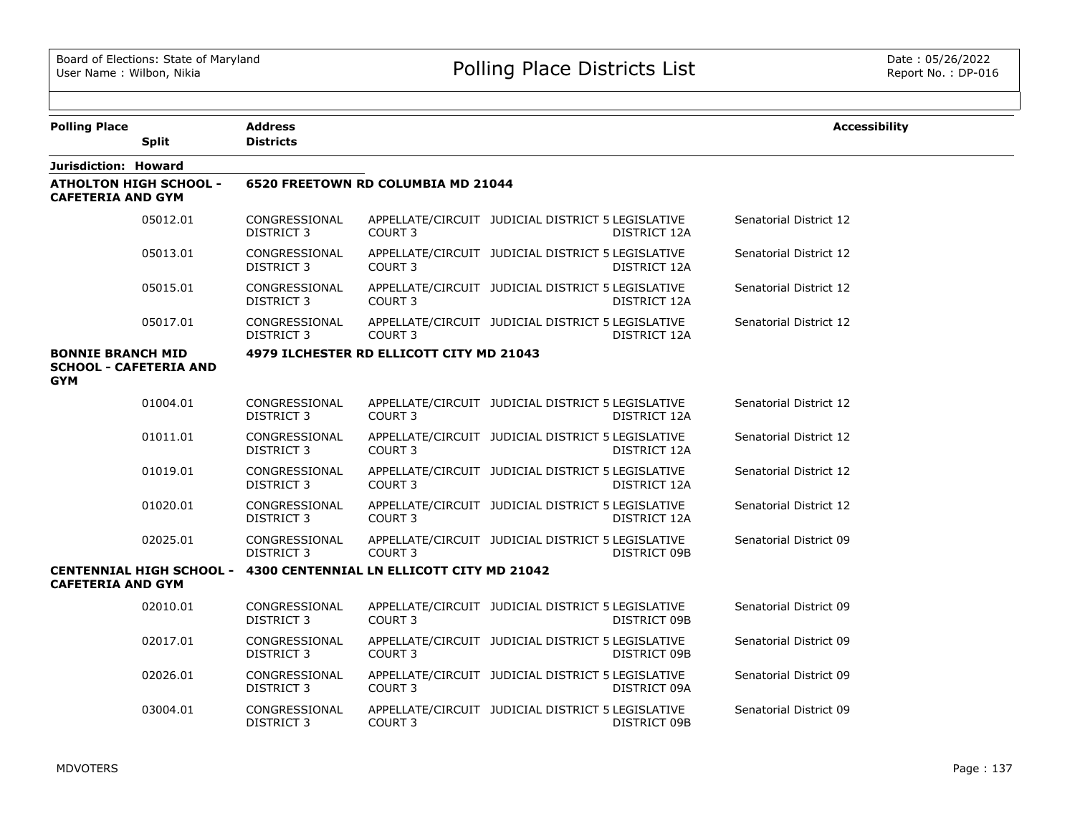| <b>Polling Place</b>                   |                                 | <b>Address</b>                     |                                           |                                                   |              | <b>Accessibility</b>   |
|----------------------------------------|---------------------------------|------------------------------------|-------------------------------------------|---------------------------------------------------|--------------|------------------------|
|                                        | <b>Split</b>                    | <b>Districts</b>                   |                                           |                                                   |              |                        |
| Jurisdiction: Howard                   |                                 |                                    |                                           |                                                   |              |                        |
| <b>CAFETERIA AND GYM</b>               | <b>ATHOLTON HIGH SCHOOL -</b>   |                                    | 6520 FREETOWN RD COLUMBIA MD 21044        |                                                   |              |                        |
|                                        | 05012.01                        | CONGRESSIONAL<br><b>DISTRICT 3</b> | <b>COURT 3</b>                            | APPELLATE/CIRCUIT JUDICIAL DISTRICT 5 LEGISLATIVE | DISTRICT 12A | Senatorial District 12 |
|                                        | 05013.01                        | CONGRESSIONAL<br><b>DISTRICT 3</b> | COURT <sub>3</sub>                        | APPELLATE/CIRCUIT JUDICIAL DISTRICT 5 LEGISLATIVE | DISTRICT 12A | Senatorial District 12 |
|                                        | 05015.01                        | CONGRESSIONAL<br><b>DISTRICT 3</b> | COURT <sub>3</sub>                        | APPELLATE/CIRCUIT JUDICIAL DISTRICT 5 LEGISLATIVE | DISTRICT 12A | Senatorial District 12 |
|                                        | 05017.01                        | CONGRESSIONAL<br><b>DISTRICT 3</b> | COURT <sub>3</sub>                        | APPELLATE/CIRCUIT JUDICIAL DISTRICT 5 LEGISLATIVE | DISTRICT 12A | Senatorial District 12 |
| <b>BONNIE BRANCH MID</b><br><b>GYM</b> | <b>SCHOOL - CAFETERIA AND</b>   |                                    | 4979 ILCHESTER RD ELLICOTT CITY MD 21043  |                                                   |              |                        |
|                                        | 01004.01                        | CONGRESSIONAL<br><b>DISTRICT 3</b> | COURT <sub>3</sub>                        | APPELLATE/CIRCUIT JUDICIAL DISTRICT 5 LEGISLATIVE | DISTRICT 12A | Senatorial District 12 |
|                                        | 01011.01                        | CONGRESSIONAL<br><b>DISTRICT 3</b> | COURT <sub>3</sub>                        | APPELLATE/CIRCUIT JUDICIAL DISTRICT 5 LEGISLATIVE | DISTRICT 12A | Senatorial District 12 |
|                                        | 01019.01                        | CONGRESSIONAL<br><b>DISTRICT 3</b> | COURT <sub>3</sub>                        | APPELLATE/CIRCUIT JUDICIAL DISTRICT 5 LEGISLATIVE | DISTRICT 12A | Senatorial District 12 |
|                                        | 01020.01                        | CONGRESSIONAL<br><b>DISTRICT 3</b> | <b>COURT 3</b>                            | APPELLATE/CIRCUIT JUDICIAL DISTRICT 5 LEGISLATIVE | DISTRICT 12A | Senatorial District 12 |
|                                        | 02025.01                        | CONGRESSIONAL<br><b>DISTRICT 3</b> | COURT <sub>3</sub>                        | APPELLATE/CIRCUIT JUDICIAL DISTRICT 5 LEGISLATIVE | DISTRICT 09B | Senatorial District 09 |
| <b>CAFETERIA AND GYM</b>               | <b>CENTENNIAL HIGH SCHOOL -</b> |                                    | 4300 CENTENNIAL LN ELLICOTT CITY MD 21042 |                                                   |              |                        |
|                                        | 02010.01                        | CONGRESSIONAL<br><b>DISTRICT 3</b> | <b>COURT 3</b>                            | APPELLATE/CIRCUIT JUDICIAL DISTRICT 5 LEGISLATIVE | DISTRICT 09B | Senatorial District 09 |
|                                        | 02017.01                        | CONGRESSIONAL<br><b>DISTRICT 3</b> | COURT 3                                   | APPELLATE/CIRCUIT JUDICIAL DISTRICT 5 LEGISLATIVE | DISTRICT 09B | Senatorial District 09 |
|                                        | 02026.01                        | CONGRESSIONAL<br><b>DISTRICT 3</b> | <b>COURT 3</b>                            | APPELLATE/CIRCUIT JUDICIAL DISTRICT 5 LEGISLATIVE | DISTRICT 09A | Senatorial District 09 |
|                                        | 03004.01                        | CONGRESSIONAL<br><b>DISTRICT 3</b> | COURT <sub>3</sub>                        | APPELLATE/CIRCUIT JUDICIAL DISTRICT 5 LEGISLATIVE | DISTRICT 09B | Senatorial District 09 |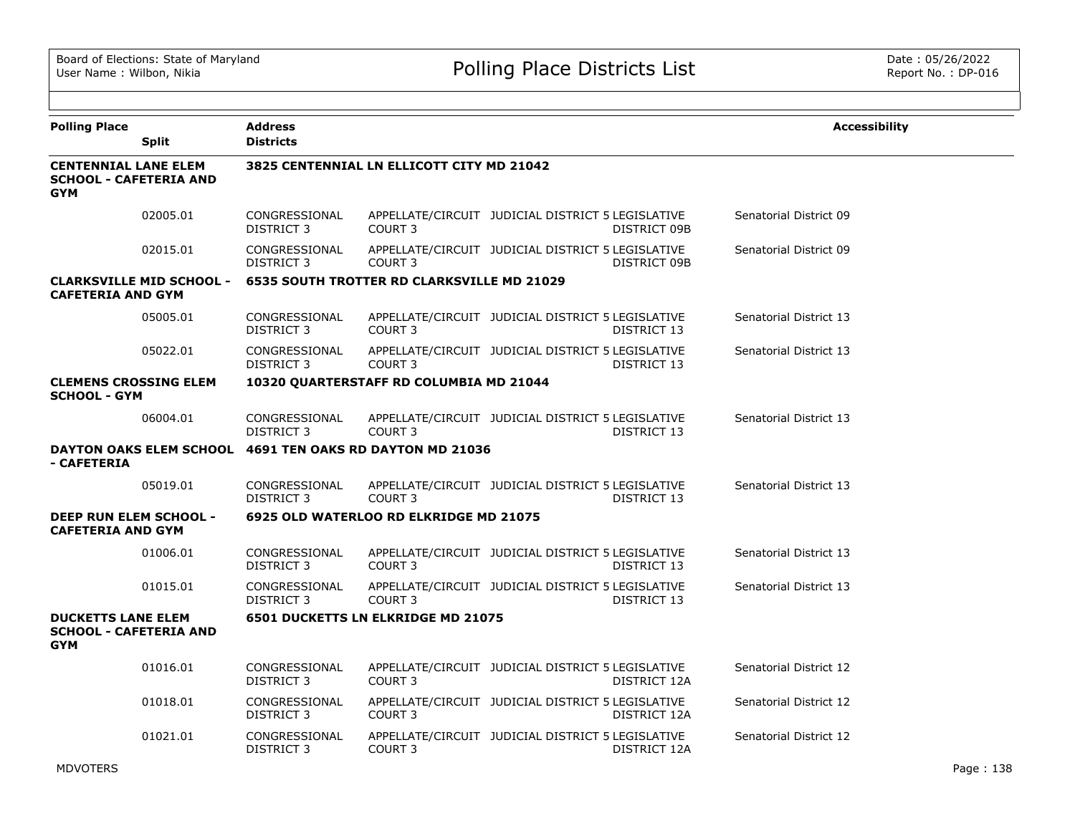| <b>Polling Place</b>                                                       | <b>Split</b>                    | Address<br><b>Districts</b>        |                                                   |                                                   |              | <b>Accessibility</b>   |  |
|----------------------------------------------------------------------------|---------------------------------|------------------------------------|---------------------------------------------------|---------------------------------------------------|--------------|------------------------|--|
| <b>CENTENNIAL LANE ELEM</b><br><b>SCHOOL - CAFETERIA AND</b><br><b>GYM</b> |                                 |                                    | 3825 CENTENNIAL LN ELLICOTT CITY MD 21042         |                                                   |              |                        |  |
|                                                                            | 02005.01                        | CONGRESSIONAL<br>DISTRICT 3        | COURT <sub>3</sub>                                | APPELLATE/CIRCUIT JUDICIAL DISTRICT 5 LEGISLATIVE | DISTRICT 09B | Senatorial District 09 |  |
|                                                                            | 02015.01                        | CONGRESSIONAL<br><b>DISTRICT 3</b> | COURT <sub>3</sub>                                | APPELLATE/CIRCUIT JUDICIAL DISTRICT 5 LEGISLATIVE | DISTRICT 09B | Senatorial District 09 |  |
| <b>CAFETERIA AND GYM</b>                                                   | <b>CLARKSVILLE MID SCHOOL -</b> |                                    | <b>6535 SOUTH TROTTER RD CLARKSVILLE MD 21029</b> |                                                   |              |                        |  |
|                                                                            | 05005.01                        | CONGRESSIONAL<br>DISTRICT 3        | COURT <sub>3</sub>                                | APPELLATE/CIRCUIT JUDICIAL DISTRICT 5 LEGISLATIVE | DISTRICT 13  | Senatorial District 13 |  |
|                                                                            | 05022.01                        | CONGRESSIONAL<br>DISTRICT 3        | COURT <sub>3</sub>                                | APPELLATE/CIRCUIT JUDICIAL DISTRICT 5 LEGISLATIVE | DISTRICT 13  | Senatorial District 13 |  |
| <b>CLEMENS CROSSING ELEM</b><br><b>SCHOOL - GYM</b>                        |                                 |                                    | 10320 QUARTERSTAFF RD COLUMBIA MD 21044           |                                                   |              |                        |  |
|                                                                            | 06004.01                        | CONGRESSIONAL<br><b>DISTRICT 3</b> | COURT 3                                           | APPELLATE/CIRCUIT JUDICIAL DISTRICT 5 LEGISLATIVE | DISTRICT 13  | Senatorial District 13 |  |
| - CAFETERIA                                                                | <b>DAYTON OAKS ELEM SCHOOL</b>  |                                    | 4691 TEN OAKS RD DAYTON MD 21036                  |                                                   |              |                        |  |
|                                                                            | 05019.01                        | CONGRESSIONAL<br>DISTRICT 3        | COURT <sub>3</sub>                                | APPELLATE/CIRCUIT JUDICIAL DISTRICT 5 LEGISLATIVE | DISTRICT 13  | Senatorial District 13 |  |
| DEEP RUN ELEM SCHOOL -<br><b>CAFETERIA AND GYM</b>                         |                                 |                                    | 6925 OLD WATERLOO RD ELKRIDGE MD 21075            |                                                   |              |                        |  |
|                                                                            | 01006.01                        | CONGRESSIONAL<br>DISTRICT 3        | COURT <sub>3</sub>                                | APPELLATE/CIRCUIT JUDICIAL DISTRICT 5 LEGISLATIVE | DISTRICT 13  | Senatorial District 13 |  |
|                                                                            | 01015.01                        | CONGRESSIONAL<br>DISTRICT 3        | COURT 3                                           | APPELLATE/CIRCUIT JUDICIAL DISTRICT 5 LEGISLATIVE | DISTRICT 13  | Senatorial District 13 |  |
| <b>DUCKETTS LANE ELEM</b><br><b>SCHOOL - CAFETERIA AND</b><br><b>GYM</b>   |                                 |                                    | <b>6501 DUCKETTS LN ELKRIDGE MD 21075</b>         |                                                   |              |                        |  |
|                                                                            | 01016.01                        | CONGRESSIONAL<br>DISTRICT 3        | COURT <sub>3</sub>                                | APPELLATE/CIRCUIT JUDICIAL DISTRICT 5 LEGISLATIVE | DISTRICT 12A | Senatorial District 12 |  |
|                                                                            | 01018.01                        | CONGRESSIONAL<br>DISTRICT 3        | COURT <sub>3</sub>                                | APPELLATE/CIRCUIT JUDICIAL DISTRICT 5 LEGISLATIVE | DISTRICT 12A | Senatorial District 12 |  |
|                                                                            | 01021.01                        | CONGRESSIONAL<br>DISTRICT 3        | COURT <sub>3</sub>                                | APPELLATE/CIRCUIT JUDICIAL DISTRICT 5 LEGISLATIVE | DISTRICT 12A | Senatorial District 12 |  |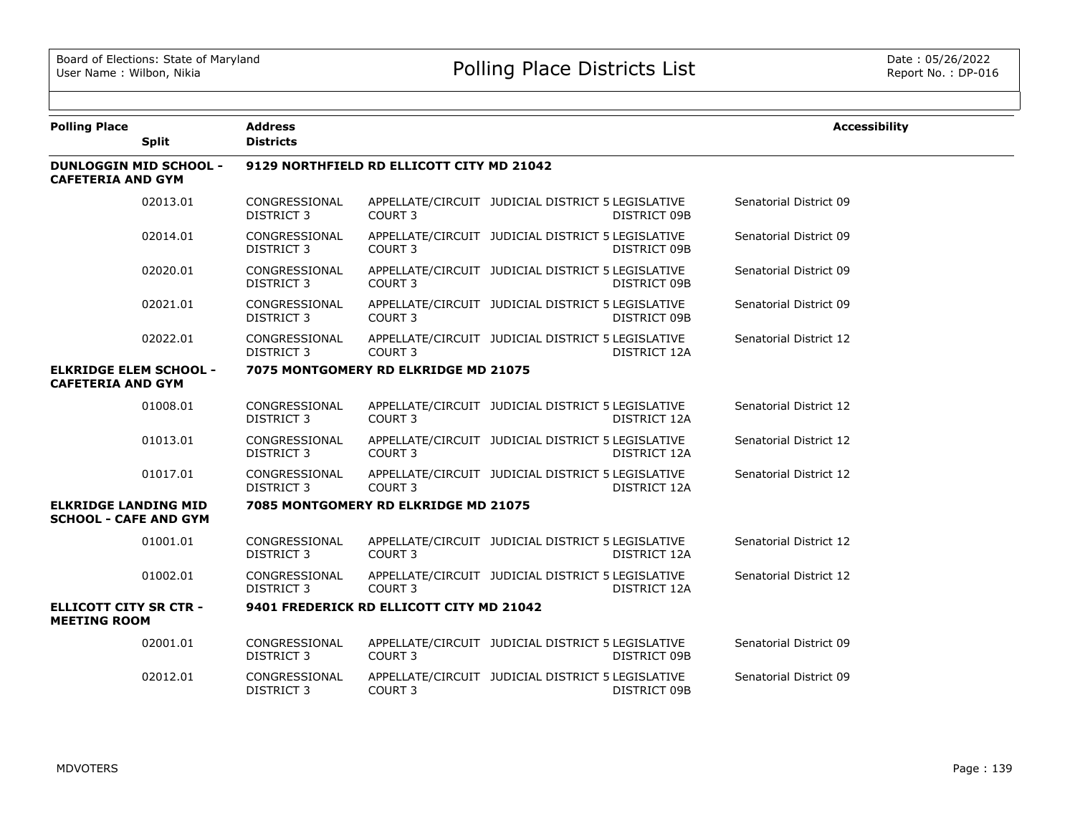| <b>Polling Place</b>                                        | <b>Split</b> | <b>Address</b><br><b>Districts</b>        |                                          |                                                                          | <b>Accessibility</b>   |  |  |  |  |
|-------------------------------------------------------------|--------------|-------------------------------------------|------------------------------------------|--------------------------------------------------------------------------|------------------------|--|--|--|--|
| <b>DUNLOGGIN MID SCHOOL -</b><br><b>CAFETERIA AND GYM</b>   |              | 9129 NORTHFIELD RD ELLICOTT CITY MD 21042 |                                          |                                                                          |                        |  |  |  |  |
|                                                             | 02013.01     | CONGRESSIONAL<br><b>DISTRICT 3</b>        | COURT 3                                  | APPELLATE/CIRCUIT JUDICIAL DISTRICT 5 LEGISLATIVE<br>DISTRICT 09B        | Senatorial District 09 |  |  |  |  |
|                                                             | 02014.01     | CONGRESSIONAL<br><b>DISTRICT 3</b>        | COURT <sub>3</sub>                       | APPELLATE/CIRCUIT JUDICIAL DISTRICT 5 LEGISLATIVE<br>DISTRICT 09B        | Senatorial District 09 |  |  |  |  |
|                                                             | 02020.01     | CONGRESSIONAL<br><b>DISTRICT 3</b>        | COURT <sub>3</sub>                       | APPELLATE/CIRCUIT JUDICIAL DISTRICT 5 LEGISLATIVE<br><b>DISTRICT 09B</b> | Senatorial District 09 |  |  |  |  |
|                                                             | 02021.01     | CONGRESSIONAL<br>DISTRICT 3               | <b>COURT 3</b>                           | APPELLATE/CIRCUIT JUDICIAL DISTRICT 5 LEGISLATIVE<br>DISTRICT 09B        | Senatorial District 09 |  |  |  |  |
|                                                             | 02022.01     | CONGRESSIONAL<br><b>DISTRICT 3</b>        | COURT <sub>3</sub>                       | APPELLATE/CIRCUIT JUDICIAL DISTRICT 5 LEGISLATIVE<br>DISTRICT 12A        | Senatorial District 12 |  |  |  |  |
| <b>ELKRIDGE ELEM SCHOOL -</b><br><b>CAFETERIA AND GYM</b>   |              |                                           | 7075 MONTGOMERY RD ELKRIDGE MD 21075     |                                                                          |                        |  |  |  |  |
|                                                             | 01008.01     | CONGRESSIONAL<br>DISTRICT 3               | COURT <sub>3</sub>                       | APPELLATE/CIRCUIT JUDICIAL DISTRICT 5 LEGISLATIVE<br>DISTRICT 12A        | Senatorial District 12 |  |  |  |  |
|                                                             | 01013.01     | CONGRESSIONAL<br><b>DISTRICT 3</b>        | COURT <sub>3</sub>                       | APPELLATE/CIRCUIT JUDICIAL DISTRICT 5 LEGISLATIVE<br>DISTRICT 12A        | Senatorial District 12 |  |  |  |  |
|                                                             | 01017.01     | CONGRESSIONAL<br><b>DISTRICT 3</b>        | COURT <sub>3</sub>                       | APPELLATE/CIRCUIT JUDICIAL DISTRICT 5 LEGISLATIVE<br>DISTRICT 12A        | Senatorial District 12 |  |  |  |  |
| <b>ELKRIDGE LANDING MID</b><br><b>SCHOOL - CAFE AND GYM</b> |              |                                           | 7085 MONTGOMERY RD ELKRIDGE MD 21075     |                                                                          |                        |  |  |  |  |
|                                                             | 01001.01     | CONGRESSIONAL<br><b>DISTRICT 3</b>        | COURT <sub>3</sub>                       | APPELLATE/CIRCUIT JUDICIAL DISTRICT 5 LEGISLATIVE<br>DISTRICT 12A        | Senatorial District 12 |  |  |  |  |
|                                                             | 01002.01     | CONGRESSIONAL<br><b>DISTRICT 3</b>        | COURT <sub>3</sub>                       | APPELLATE/CIRCUIT JUDICIAL DISTRICT 5 LEGISLATIVE<br>DISTRICT 12A        | Senatorial District 12 |  |  |  |  |
| <b>ELLICOTT CITY SR CTR -</b><br><b>MEETING ROOM</b>        |              |                                           | 9401 FREDERICK RD ELLICOTT CITY MD 21042 |                                                                          |                        |  |  |  |  |
|                                                             | 02001.01     | CONGRESSIONAL<br><b>DISTRICT 3</b>        | COURT 3                                  | APPELLATE/CIRCUIT JUDICIAL DISTRICT 5 LEGISLATIVE<br>DISTRICT 09B        | Senatorial District 09 |  |  |  |  |
|                                                             | 02012.01     | CONGRESSIONAL<br><b>DISTRICT 3</b>        | <b>COURT 3</b>                           | APPELLATE/CIRCUIT JUDICIAL DISTRICT 5 LEGISLATIVE<br>DISTRICT 09B        | Senatorial District 09 |  |  |  |  |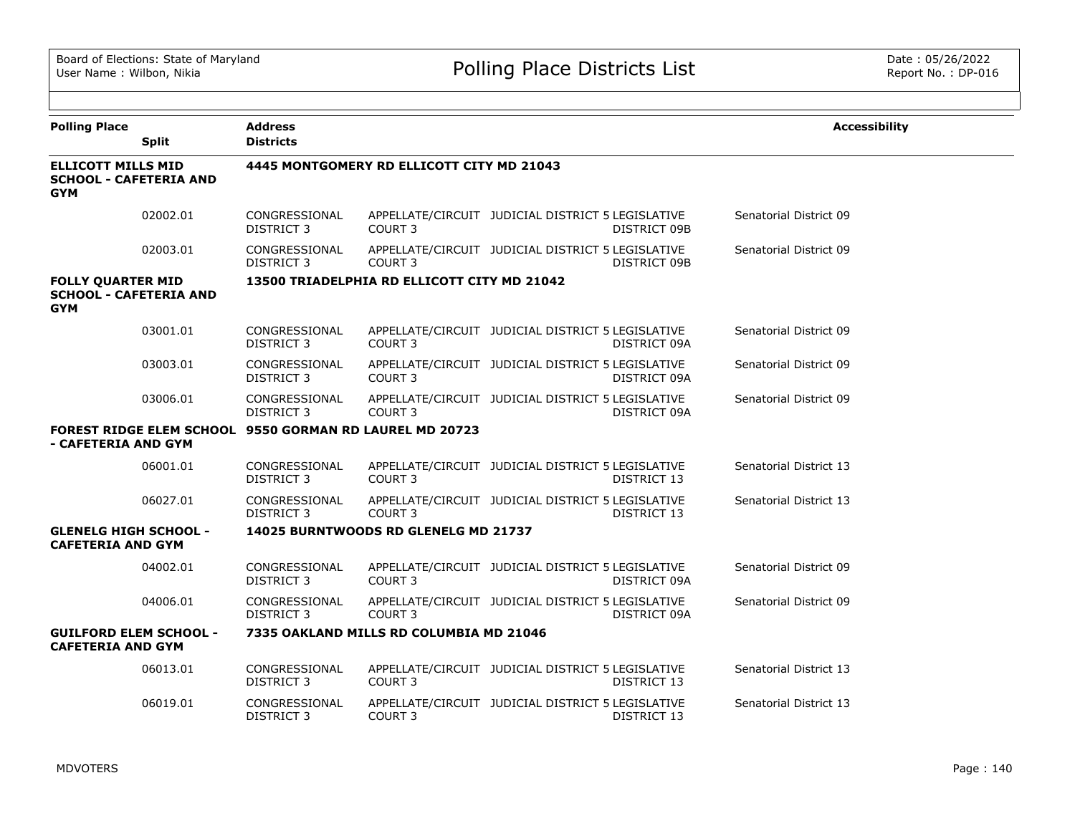| <b>Polling Place</b>                                                     | <b>Split</b> | <b>Address</b><br><b>Districts</b>                             |                                             |                                                   |              | <b>Accessibility</b>   |
|--------------------------------------------------------------------------|--------------|----------------------------------------------------------------|---------------------------------------------|---------------------------------------------------|--------------|------------------------|
|                                                                          |              |                                                                |                                             |                                                   |              |                        |
| <b>ELLICOTT MILLS MID</b><br><b>SCHOOL - CAFETERIA AND</b><br><b>GYM</b> |              |                                                                | 4445 MONTGOMERY RD ELLICOTT CITY MD 21043   |                                                   |              |                        |
|                                                                          | 02002.01     | CONGRESSIONAL<br><b>DISTRICT 3</b>                             | COURT <sub>3</sub>                          | APPELLATE/CIRCUIT JUDICIAL DISTRICT 5 LEGISLATIVE | DISTRICT 09B | Senatorial District 09 |
|                                                                          | 02003.01     | CONGRESSIONAL<br><b>DISTRICT 3</b>                             | COURT <sub>3</sub>                          | APPELLATE/CIRCUIT JUDICIAL DISTRICT 5 LEGISLATIVE | DISTRICT 09B | Senatorial District 09 |
| <b>FOLLY QUARTER MID</b><br><b>SCHOOL - CAFETERIA AND</b><br><b>GYM</b>  |              |                                                                | 13500 TRIADELPHIA RD ELLICOTT CITY MD 21042 |                                                   |              |                        |
|                                                                          | 03001.01     | CONGRESSIONAL<br>DISTRICT 3                                    | COURT <sub>3</sub>                          | APPELLATE/CIRCUIT JUDICIAL DISTRICT 5 LEGISLATIVE | DISTRICT 09A | Senatorial District 09 |
|                                                                          | 03003.01     | CONGRESSIONAL<br><b>DISTRICT 3</b>                             | <b>COURT 3</b>                              | APPELLATE/CIRCUIT JUDICIAL DISTRICT 5 LEGISLATIVE | DISTRICT 09A | Senatorial District 09 |
|                                                                          | 03006.01     | CONGRESSIONAL<br>DISTRICT 3                                    | COURT <sub>3</sub>                          | APPELLATE/CIRCUIT JUDICIAL DISTRICT 5 LEGISLATIVE | DISTRICT 09A | Senatorial District 09 |
| - CAFETERIA AND GYM                                                      |              | <b>FOREST RIDGE ELEM SCHOOL 9550 GORMAN RD LAUREL MD 20723</b> |                                             |                                                   |              |                        |
|                                                                          | 06001.01     | CONGRESSIONAL<br><b>DISTRICT 3</b>                             | <b>COURT 3</b>                              | APPELLATE/CIRCUIT JUDICIAL DISTRICT 5 LEGISLATIVE | DISTRICT 13  | Senatorial District 13 |
|                                                                          | 06027.01     | CONGRESSIONAL<br>DISTRICT 3                                    | <b>COURT 3</b>                              | APPELLATE/CIRCUIT JUDICIAL DISTRICT 5 LEGISLATIVE | DISTRICT 13  | Senatorial District 13 |
| <b>GLENELG HIGH SCHOOL -</b><br><b>CAFETERIA AND GYM</b>                 |              |                                                                | 14025 BURNTWOODS RD GLENELG MD 21737        |                                                   |              |                        |
|                                                                          | 04002.01     | CONGRESSIONAL<br><b>DISTRICT 3</b>                             | COURT <sub>3</sub>                          | APPELLATE/CIRCUIT JUDICIAL DISTRICT 5 LEGISLATIVE | DISTRICT 09A | Senatorial District 09 |
|                                                                          | 04006.01     | CONGRESSIONAL<br><b>DISTRICT 3</b>                             | COURT <sub>3</sub>                          | APPELLATE/CIRCUIT JUDICIAL DISTRICT 5 LEGISLATIVE | DISTRICT 09A | Senatorial District 09 |
| <b>GUILFORD ELEM SCHOOL -</b><br><b>CAFETERIA AND GYM</b>                |              |                                                                | 7335 OAKLAND MILLS RD COLUMBIA MD 21046     |                                                   |              |                        |
|                                                                          | 06013.01     | CONGRESSIONAL<br><b>DISTRICT 3</b>                             | COURT 3                                     | APPELLATE/CIRCUIT JUDICIAL DISTRICT 5 LEGISLATIVE | DISTRICT 13  | Senatorial District 13 |
|                                                                          | 06019.01     | CONGRESSIONAL<br><b>DISTRICT 3</b>                             | COURT <sub>3</sub>                          | APPELLATE/CIRCUIT JUDICIAL DISTRICT 5 LEGISLATIVE | DISTRICT 13  | Senatorial District 13 |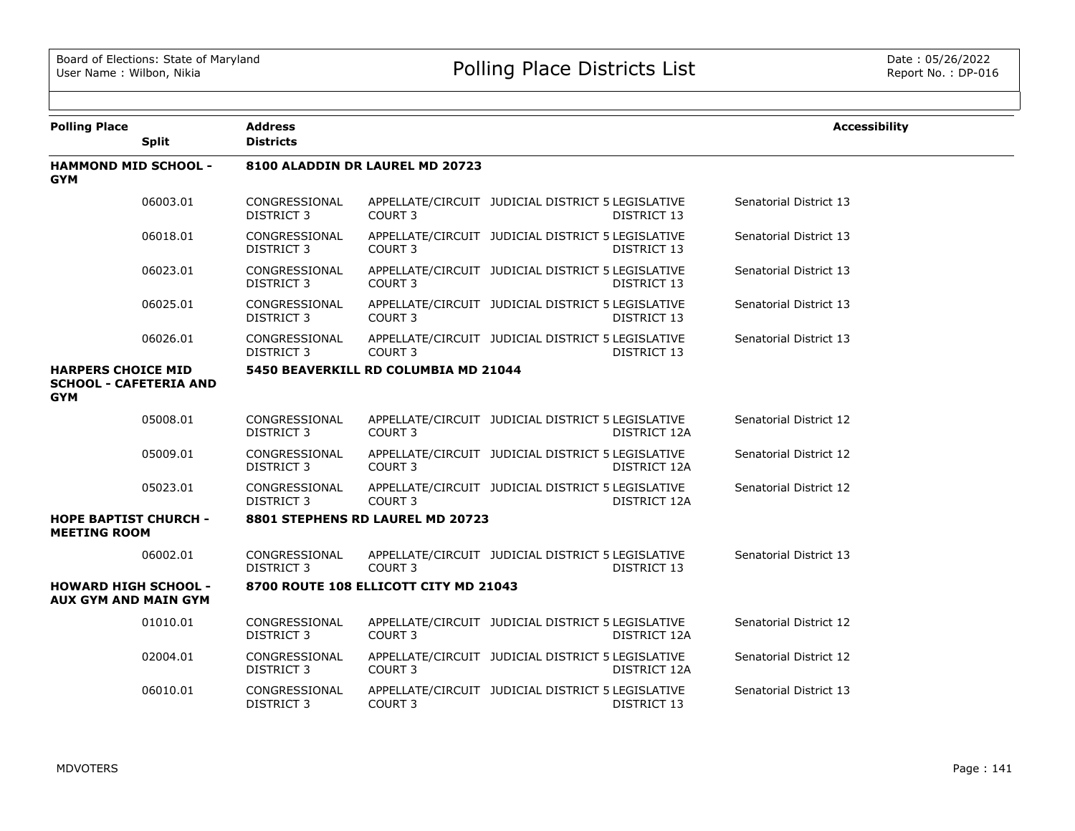| <b>Polling Place</b>                                                     |              | <b>Address</b>                     |                                       |                                                   |                    | <b>Accessibility</b>   |
|--------------------------------------------------------------------------|--------------|------------------------------------|---------------------------------------|---------------------------------------------------|--------------------|------------------------|
|                                                                          | <b>Split</b> | <b>Districts</b>                   |                                       |                                                   |                    |                        |
| <b>HAMMOND MID SCHOOL -</b><br><b>GYM</b>                                |              |                                    | 8100 ALADDIN DR LAUREL MD 20723       |                                                   |                    |                        |
|                                                                          | 06003.01     | CONGRESSIONAL<br>DISTRICT 3        | COURT <sub>3</sub>                    | APPELLATE/CIRCUIT JUDICIAL DISTRICT 5 LEGISLATIVE | DISTRICT 13        | Senatorial District 13 |
|                                                                          | 06018.01     | CONGRESSIONAL<br>DISTRICT 3        | <b>COURT 3</b>                        | APPELLATE/CIRCUIT JUDICIAL DISTRICT 5 LEGISLATIVE | DISTRICT 13        | Senatorial District 13 |
|                                                                          | 06023.01     | CONGRESSIONAL<br>DISTRICT 3        | COURT <sub>3</sub>                    | APPELLATE/CIRCUIT JUDICIAL DISTRICT 5 LEGISLATIVE | DISTRICT 13        | Senatorial District 13 |
|                                                                          | 06025.01     | CONGRESSIONAL<br>DISTRICT 3        | COURT <sub>3</sub>                    | APPELLATE/CIRCUIT JUDICIAL DISTRICT 5 LEGISLATIVE | DISTRICT 13        | Senatorial District 13 |
|                                                                          | 06026.01     | CONGRESSIONAL<br>DISTRICT 3        | COURT <sub>3</sub>                    | APPELLATE/CIRCUIT JUDICIAL DISTRICT 5 LEGISLATIVE | <b>DISTRICT 13</b> | Senatorial District 13 |
| <b>HARPERS CHOICE MID</b><br><b>SCHOOL - CAFETERIA AND</b><br><b>GYM</b> |              |                                    | 5450 BEAVERKILL RD COLUMBIA MD 21044  |                                                   |                    |                        |
|                                                                          | 05008.01     | CONGRESSIONAL<br>DISTRICT 3        | COURT <sub>3</sub>                    | APPELLATE/CIRCUIT JUDICIAL DISTRICT 5 LEGISLATIVE | DISTRICT 12A       | Senatorial District 12 |
|                                                                          | 05009.01     | CONGRESSIONAL<br>DISTRICT 3        | COURT <sub>3</sub>                    | APPELLATE/CIRCUIT JUDICIAL DISTRICT 5 LEGISLATIVE | DISTRICT 12A       | Senatorial District 12 |
|                                                                          | 05023.01     | CONGRESSIONAL<br>DISTRICT 3        | COURT <sub>3</sub>                    | APPELLATE/CIRCUIT JUDICIAL DISTRICT 5 LEGISLATIVE | DISTRICT 12A       | Senatorial District 12 |
| <b>HOPE BAPTIST CHURCH -</b><br><b>MEETING ROOM</b>                      |              |                                    | 8801 STEPHENS RD LAUREL MD 20723      |                                                   |                    |                        |
|                                                                          | 06002.01     | CONGRESSIONAL<br><b>DISTRICT 3</b> | COURT <sub>3</sub>                    | APPELLATE/CIRCUIT JUDICIAL DISTRICT 5 LEGISLATIVE | DISTRICT 13        | Senatorial District 13 |
| <b>HOWARD HIGH SCHOOL -</b><br><b>AUX GYM AND MAIN GYM</b>               |              |                                    | 8700 ROUTE 108 ELLICOTT CITY MD 21043 |                                                   |                    |                        |
|                                                                          | 01010.01     | CONGRESSIONAL<br><b>DISTRICT 3</b> | COURT 3                               | APPELLATE/CIRCUIT JUDICIAL DISTRICT 5 LEGISLATIVE | DISTRICT 12A       | Senatorial District 12 |
|                                                                          | 02004.01     | CONGRESSIONAL<br><b>DISTRICT 3</b> | <b>COURT 3</b>                        | APPELLATE/CIRCUIT JUDICIAL DISTRICT 5 LEGISLATIVE | DISTRICT 12A       | Senatorial District 12 |
|                                                                          | 06010.01     | CONGRESSIONAL<br>DISTRICT 3        | COURT <sub>3</sub>                    | APPELLATE/CIRCUIT JUDICIAL DISTRICT 5 LEGISLATIVE | DISTRICT 13        | Senatorial District 13 |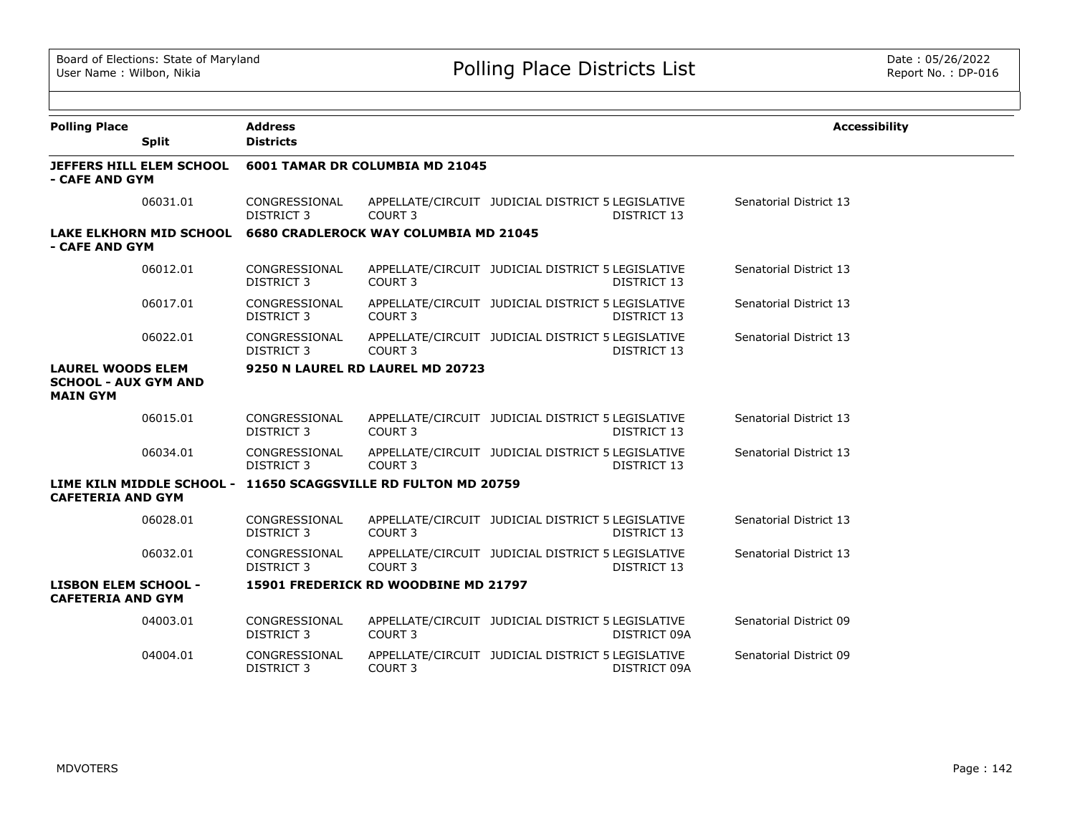| <b>Polling Place</b>                                                       |                                | <b>Address</b>                     |                                                                |                                                   |              | <b>Accessibility</b>   |  |  |  |
|----------------------------------------------------------------------------|--------------------------------|------------------------------------|----------------------------------------------------------------|---------------------------------------------------|--------------|------------------------|--|--|--|
|                                                                            | <b>Split</b>                   | <b>Districts</b>                   |                                                                |                                                   |              |                        |  |  |  |
| - CAFE AND GYM                                                             | JEFFERS HILL ELEM SCHOOL       | 6001 TAMAR DR COLUMBIA MD 21045    |                                                                |                                                   |              |                        |  |  |  |
|                                                                            | 06031.01                       | CONGRESSIONAL<br><b>DISTRICT 3</b> | COURT <sub>3</sub>                                             | APPELLATE/CIRCUIT JUDICIAL DISTRICT 5 LEGISLATIVE | DISTRICT 13  | Senatorial District 13 |  |  |  |
| - CAFE AND GYM                                                             | <b>LAKE ELKHORN MID SCHOOL</b> |                                    | <b>6680 CRADLEROCK WAY COLUMBIA MD 21045</b>                   |                                                   |              |                        |  |  |  |
|                                                                            | 06012.01                       | CONGRESSIONAL<br><b>DISTRICT 3</b> | COURT <sub>3</sub>                                             | APPELLATE/CIRCUIT JUDICIAL DISTRICT 5 LEGISLATIVE | DISTRICT 13  | Senatorial District 13 |  |  |  |
|                                                                            | 06017.01                       | CONGRESSIONAL<br><b>DISTRICT 3</b> | COURT <sub>3</sub>                                             | APPELLATE/CIRCUIT JUDICIAL DISTRICT 5 LEGISLATIVE | DISTRICT 13  | Senatorial District 13 |  |  |  |
|                                                                            | 06022.01                       | CONGRESSIONAL<br><b>DISTRICT 3</b> | COURT <sub>3</sub>                                             | APPELLATE/CIRCUIT JUDICIAL DISTRICT 5 LEGISLATIVE | DISTRICT 13  | Senatorial District 13 |  |  |  |
| <b>LAUREL WOODS ELEM</b><br><b>SCHOOL - AUX GYM AND</b><br><b>MAIN GYM</b> |                                |                                    | 9250 N LAUREL RD LAUREL MD 20723                               |                                                   |              |                        |  |  |  |
|                                                                            | 06015.01                       | CONGRESSIONAL<br><b>DISTRICT 3</b> | COURT <sub>3</sub>                                             | APPELLATE/CIRCUIT JUDICIAL DISTRICT 5 LEGISLATIVE | DISTRICT 13  | Senatorial District 13 |  |  |  |
|                                                                            | 06034.01                       | CONGRESSIONAL<br><b>DISTRICT 3</b> | COURT <sub>3</sub>                                             | APPELLATE/CIRCUIT JUDICIAL DISTRICT 5 LEGISLATIVE | DISTRICT 13  | Senatorial District 13 |  |  |  |
| <b>CAFETERIA AND GYM</b>                                                   |                                |                                    | LIME KILN MIDDLE SCHOOL - 11650 SCAGGSVILLE RD FULTON MD 20759 |                                                   |              |                        |  |  |  |
|                                                                            | 06028.01                       | CONGRESSIONAL<br><b>DISTRICT 3</b> | COURT <sub>3</sub>                                             | APPELLATE/CIRCUIT JUDICIAL DISTRICT 5 LEGISLATIVE | DISTRICT 13  | Senatorial District 13 |  |  |  |
|                                                                            | 06032.01                       | CONGRESSIONAL<br><b>DISTRICT 3</b> | COURT <sub>3</sub>                                             | APPELLATE/CIRCUIT JUDICIAL DISTRICT 5 LEGISLATIVE | DISTRICT 13  | Senatorial District 13 |  |  |  |
| <b>LISBON ELEM SCHOOL -</b><br><b>CAFETERIA AND GYM</b>                    |                                |                                    | 15901 FREDERICK RD WOODBINE MD 21797                           |                                                   |              |                        |  |  |  |
|                                                                            | 04003.01                       | CONGRESSIONAL<br><b>DISTRICT 3</b> | COURT <sub>3</sub>                                             | APPELLATE/CIRCUIT JUDICIAL DISTRICT 5 LEGISLATIVE | DISTRICT 09A | Senatorial District 09 |  |  |  |
|                                                                            | 04004.01                       | CONGRESSIONAL<br><b>DISTRICT 3</b> | COURT 3                                                        | APPELLATE/CIRCUIT JUDICIAL DISTRICT 5 LEGISLATIVE | DISTRICT 09A | Senatorial District 09 |  |  |  |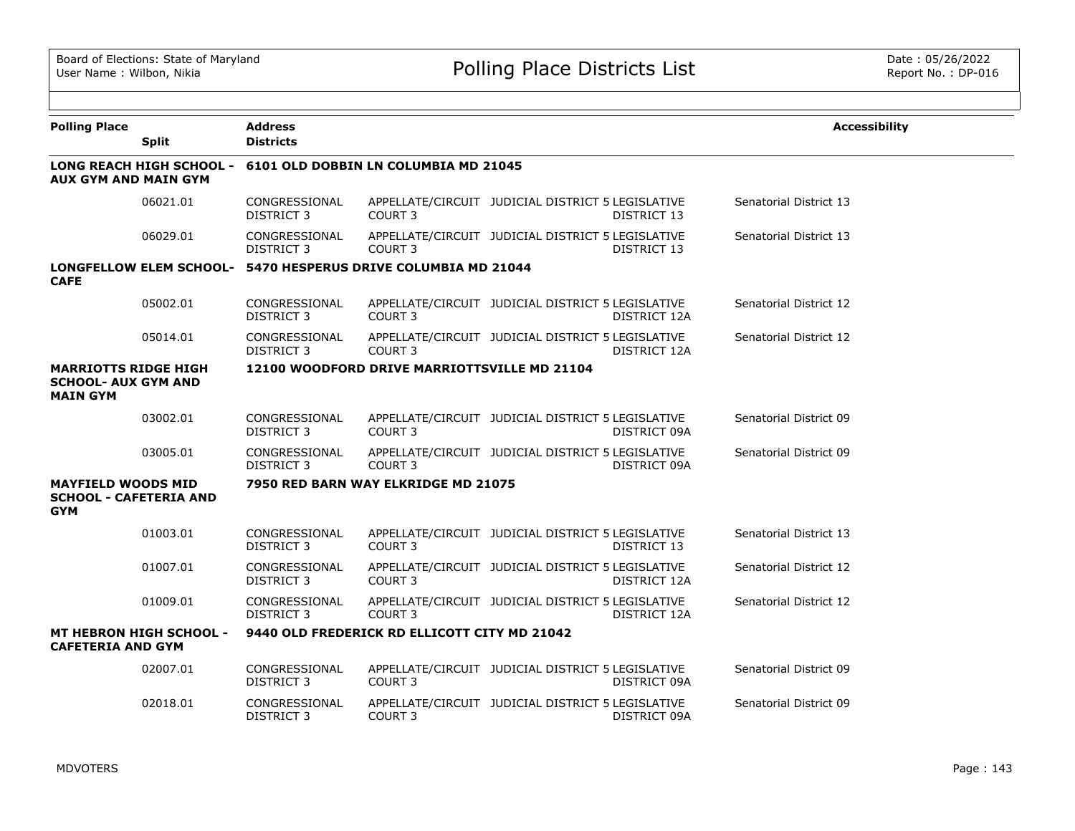| <b>Polling Place</b>                                                         | <b>Split</b>                    | <b>Address</b><br><b>Districts</b> |                                                               |                                                   |              | <b>Accessibility</b>   |  |  |  |  |
|------------------------------------------------------------------------------|---------------------------------|------------------------------------|---------------------------------------------------------------|---------------------------------------------------|--------------|------------------------|--|--|--|--|
| <b>AUX GYM AND MAIN GYM</b>                                                  | <b>LONG REACH HIGH SCHOOL -</b> |                                    | 6101 OLD DOBBIN LN COLUMBIA MD 21045                          |                                                   |              |                        |  |  |  |  |
|                                                                              | 06021.01                        | CONGRESSIONAL<br><b>DISTRICT 3</b> | <b>COURT 3</b>                                                | APPELLATE/CIRCUIT JUDICIAL DISTRICT 5 LEGISLATIVE | DISTRICT 13  | Senatorial District 13 |  |  |  |  |
|                                                                              | 06029.01                        | CONGRESSIONAL<br>DISTRICT 3        | COURT <sub>3</sub>                                            | APPELLATE/CIRCUIT JUDICIAL DISTRICT 5 LEGISLATIVE | DISTRICT 13  | Senatorial District 13 |  |  |  |  |
| <b>CAFE</b>                                                                  |                                 |                                    | LONGFELLOW ELEM SCHOOL- 5470 HESPERUS DRIVE COLUMBIA MD 21044 |                                                   |              |                        |  |  |  |  |
|                                                                              | 05002.01                        | CONGRESSIONAL<br><b>DISTRICT 3</b> | COURT <sub>3</sub>                                            | APPELLATE/CIRCUIT JUDICIAL DISTRICT 5 LEGISLATIVE | DISTRICT 12A | Senatorial District 12 |  |  |  |  |
|                                                                              | 05014.01                        | CONGRESSIONAL<br><b>DISTRICT 3</b> | COURT <sub>3</sub>                                            | APPELLATE/CIRCUIT JUDICIAL DISTRICT 5 LEGISLATIVE | DISTRICT 12A | Senatorial District 12 |  |  |  |  |
| <b>MARRIOTTS RIDGE HIGH</b><br><b>SCHOOL- AUX GYM AND</b><br><b>MAIN GYM</b> |                                 |                                    | 12100 WOODFORD DRIVE MARRIOTTSVILLE MD 21104                  |                                                   |              |                        |  |  |  |  |
|                                                                              | 03002.01                        | CONGRESSIONAL<br><b>DISTRICT 3</b> | <b>COURT 3</b>                                                | APPELLATE/CIRCUIT JUDICIAL DISTRICT 5 LEGISLATIVE | DISTRICT 09A | Senatorial District 09 |  |  |  |  |
|                                                                              | 03005.01                        | CONGRESSIONAL<br><b>DISTRICT 3</b> | COURT <sub>3</sub>                                            | APPELLATE/CIRCUIT JUDICIAL DISTRICT 5 LEGISLATIVE | DISTRICT 09A | Senatorial District 09 |  |  |  |  |
| <b>MAYFIELD WOODS MID</b><br><b>SCHOOL - CAFETERIA AND</b><br><b>GYM</b>     |                                 |                                    | 7950 RED BARN WAY ELKRIDGE MD 21075                           |                                                   |              |                        |  |  |  |  |
|                                                                              | 01003.01                        | CONGRESSIONAL<br><b>DISTRICT 3</b> | COURT <sub>3</sub>                                            | APPELLATE/CIRCUIT JUDICIAL DISTRICT 5 LEGISLATIVE | DISTRICT 13  | Senatorial District 13 |  |  |  |  |
|                                                                              | 01007.01                        | CONGRESSIONAL<br>DISTRICT 3        | COURT <sub>3</sub>                                            | APPELLATE/CIRCUIT JUDICIAL DISTRICT 5 LEGISLATIVE | DISTRICT 12A | Senatorial District 12 |  |  |  |  |
|                                                                              | 01009.01                        | CONGRESSIONAL<br><b>DISTRICT 3</b> | COURT <sub>3</sub>                                            | APPELLATE/CIRCUIT JUDICIAL DISTRICT 5 LEGISLATIVE | DISTRICT 12A | Senatorial District 12 |  |  |  |  |
| <b>CAFETERIA AND GYM</b>                                                     | <b>MT HEBRON HIGH SCHOOL -</b>  |                                    | 9440 OLD FREDERICK RD ELLICOTT CITY MD 21042                  |                                                   |              |                        |  |  |  |  |
|                                                                              | 02007.01                        | CONGRESSIONAL<br><b>DISTRICT 3</b> | COURT <sub>3</sub>                                            | APPELLATE/CIRCUIT JUDICIAL DISTRICT 5 LEGISLATIVE | DISTRICT 09A | Senatorial District 09 |  |  |  |  |
|                                                                              | 02018.01                        | CONGRESSIONAL<br><b>DISTRICT 3</b> | COURT <sub>3</sub>                                            | APPELLATE/CIRCUIT JUDICIAL DISTRICT 5 LEGISLATIVE | DISTRICT 09A | Senatorial District 09 |  |  |  |  |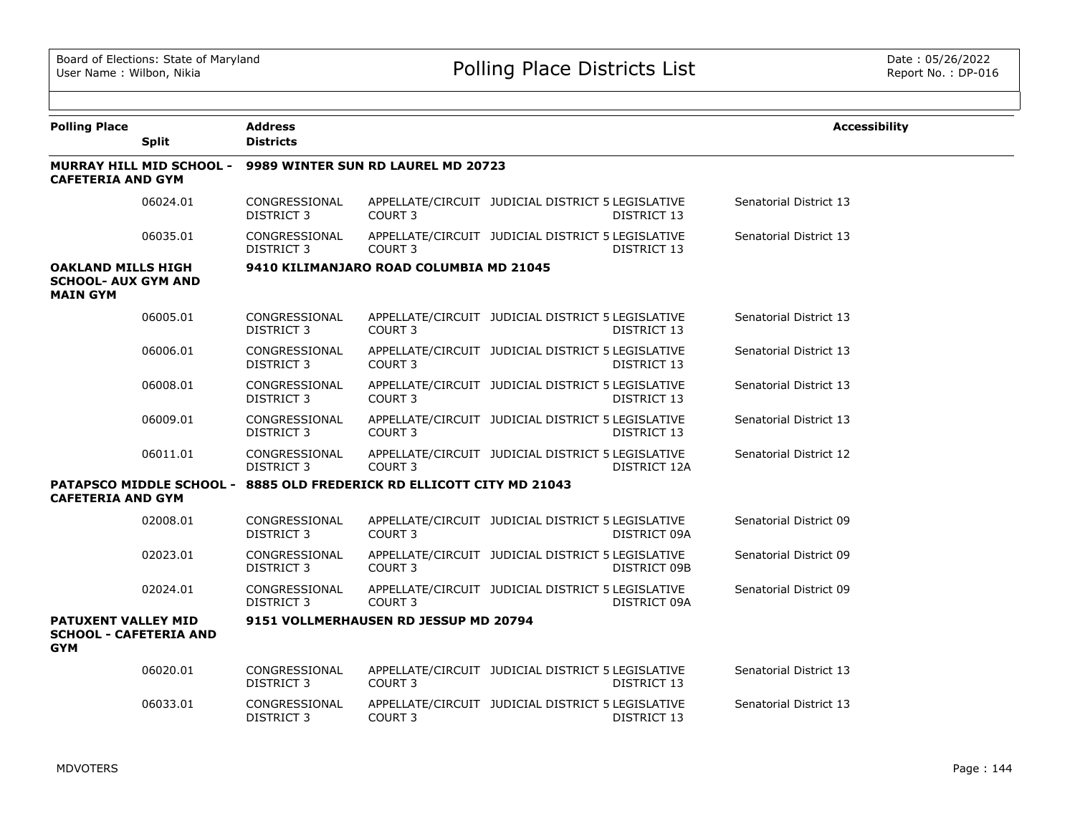| <b>Polling Place</b>                                                       | <b>Split</b>                    | <b>Address</b><br><b>Districts</b> |                                                                       |                                                   |              | <b>Accessibility</b>   |  |  |  |
|----------------------------------------------------------------------------|---------------------------------|------------------------------------|-----------------------------------------------------------------------|---------------------------------------------------|--------------|------------------------|--|--|--|
| <b>CAFETERIA AND GYM</b>                                                   | <b>MURRAY HILL MID SCHOOL -</b> | 9989 WINTER SUN RD LAUREL MD 20723 |                                                                       |                                                   |              |                        |  |  |  |
|                                                                            | 06024.01                        | CONGRESSIONAL<br>DISTRICT 3        | COURT 3                                                               | APPELLATE/CIRCUIT JUDICIAL DISTRICT 5 LEGISLATIVE | DISTRICT 13  | Senatorial District 13 |  |  |  |
|                                                                            | 06035.01                        | CONGRESSIONAL<br>DISTRICT 3        | COURT <sub>3</sub>                                                    | APPELLATE/CIRCUIT JUDICIAL DISTRICT 5 LEGISLATIVE | DISTRICT 13  | Senatorial District 13 |  |  |  |
| <b>OAKLAND MILLS HIGH</b><br><b>SCHOOL- AUX GYM AND</b><br><b>MAIN GYM</b> |                                 |                                    | 9410 KILIMANJARO ROAD COLUMBIA MD 21045                               |                                                   |              |                        |  |  |  |
|                                                                            | 06005.01                        | CONGRESSIONAL<br><b>DISTRICT 3</b> | COURT <sub>3</sub>                                                    | APPELLATE/CIRCUIT JUDICIAL DISTRICT 5 LEGISLATIVE | DISTRICT 13  | Senatorial District 13 |  |  |  |
|                                                                            | 06006.01                        | CONGRESSIONAL<br>DISTRICT 3        | COURT <sub>3</sub>                                                    | APPELLATE/CIRCUIT JUDICIAL DISTRICT 5 LEGISLATIVE | DISTRICT 13  | Senatorial District 13 |  |  |  |
|                                                                            | 06008.01                        | CONGRESSIONAL<br>DISTRICT 3        | COURT <sub>3</sub>                                                    | APPELLATE/CIRCUIT JUDICIAL DISTRICT 5 LEGISLATIVE | DISTRICT 13  | Senatorial District 13 |  |  |  |
|                                                                            | 06009.01                        | CONGRESSIONAL<br>DISTRICT 3        | COURT <sub>3</sub>                                                    | APPELLATE/CIRCUIT JUDICIAL DISTRICT 5 LEGISLATIVE | DISTRICT 13  | Senatorial District 13 |  |  |  |
|                                                                            | 06011.01                        | CONGRESSIONAL<br>DISTRICT 3        | COURT <sub>3</sub>                                                    | APPELLATE/CIRCUIT JUDICIAL DISTRICT 5 LEGISLATIVE | DISTRICT 12A | Senatorial District 12 |  |  |  |
| <b>CAFETERIA AND GYM</b>                                                   |                                 |                                    | PATAPSCO MIDDLE SCHOOL - 8885 OLD FREDERICK RD ELLICOTT CITY MD 21043 |                                                   |              |                        |  |  |  |
|                                                                            | 02008.01                        | CONGRESSIONAL<br>DISTRICT 3        | COURT 3                                                               | APPELLATE/CIRCUIT JUDICIAL DISTRICT 5 LEGISLATIVE | DISTRICT 09A | Senatorial District 09 |  |  |  |
|                                                                            | 02023.01                        | CONGRESSIONAL<br>DISTRICT 3        | COURT 3                                                               | APPELLATE/CIRCUIT JUDICIAL DISTRICT 5 LEGISLATIVE | DISTRICT 09B | Senatorial District 09 |  |  |  |
|                                                                            | 02024.01                        | CONGRESSIONAL<br><b>DISTRICT 3</b> | COURT <sub>3</sub>                                                    | APPELLATE/CIRCUIT JUDICIAL DISTRICT 5 LEGISLATIVE | DISTRICT 09A | Senatorial District 09 |  |  |  |
| <b>PATUXENT VALLEY MID</b><br><b>GYM</b>                                   | <b>SCHOOL - CAFETERIA AND</b>   |                                    | 9151 VOLLMERHAUSEN RD JESSUP MD 20794                                 |                                                   |              |                        |  |  |  |
|                                                                            | 06020.01                        | CONGRESSIONAL<br><b>DISTRICT 3</b> | COURT <sub>3</sub>                                                    | APPELLATE/CIRCUIT JUDICIAL DISTRICT 5 LEGISLATIVE | DISTRICT 13  | Senatorial District 13 |  |  |  |
|                                                                            | 06033.01                        | CONGRESSIONAL<br>DISTRICT 3        | COURT <sub>3</sub>                                                    | APPELLATE/CIRCUIT JUDICIAL DISTRICT 5 LEGISLATIVE | DISTRICT 13  | Senatorial District 13 |  |  |  |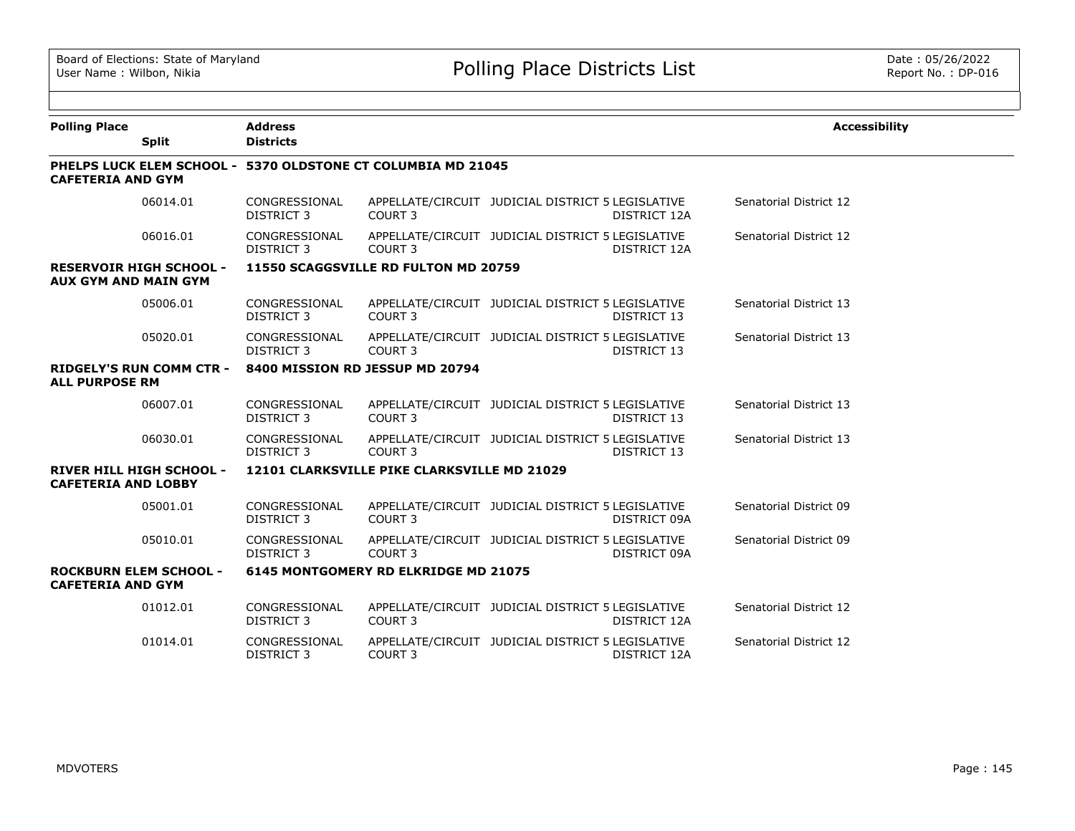| <b>Polling Place</b>        |                                 | <b>Address</b>                                               |                                             |                                                   |                     | <b>Accessibility</b>   |  |  |
|-----------------------------|---------------------------------|--------------------------------------------------------------|---------------------------------------------|---------------------------------------------------|---------------------|------------------------|--|--|
|                             | <b>Split</b>                    | <b>Districts</b>                                             |                                             |                                                   |                     |                        |  |  |
| <b>CAFETERIA AND GYM</b>    |                                 | PHELPS LUCK ELEM SCHOOL - 5370 OLDSTONE CT COLUMBIA MD 21045 |                                             |                                                   |                     |                        |  |  |
|                             | 06014.01                        | CONGRESSIONAL<br>DISTRICT 3                                  | COURT 3                                     | APPELLATE/CIRCUIT JUDICIAL DISTRICT 5 LEGISLATIVE | DISTRICT 12A        | Senatorial District 12 |  |  |
|                             | 06016.01                        | CONGRESSIONAL<br><b>DISTRICT 3</b>                           | COURT 3                                     | APPELLATE/CIRCUIT JUDICIAL DISTRICT 5 LEGISLATIVE | <b>DISTRICT 12A</b> | Senatorial District 12 |  |  |
| <b>AUX GYM AND MAIN GYM</b> | <b>RESERVOIR HIGH SCHOOL -</b>  |                                                              | 11550 SCAGGSVILLE RD FULTON MD 20759        |                                                   |                     |                        |  |  |
|                             | 05006.01                        | CONGRESSIONAL<br><b>DISTRICT 3</b>                           | COURT 3                                     | APPELLATE/CIRCUIT JUDICIAL DISTRICT 5 LEGISLATIVE | DISTRICT 13         | Senatorial District 13 |  |  |
|                             | 05020.01                        | CONGRESSIONAL<br><b>DISTRICT 3</b>                           | COURT <sub>3</sub>                          | APPELLATE/CIRCUIT JUDICIAL DISTRICT 5 LEGISLATIVE | DISTRICT 13         | Senatorial District 13 |  |  |
| <b>ALL PURPOSE RM</b>       | <b>RIDGELY'S RUN COMM CTR -</b> |                                                              | 8400 MISSION RD JESSUP MD 20794             |                                                   |                     |                        |  |  |
|                             | 06007.01                        | CONGRESSIONAL<br>DISTRICT 3                                  | COURT 3                                     | APPELLATE/CIRCUIT JUDICIAL DISTRICT 5 LEGISLATIVE | DISTRICT 13         | Senatorial District 13 |  |  |
|                             | 06030.01                        | CONGRESSIONAL<br><b>DISTRICT 3</b>                           | COURT <sub>3</sub>                          | APPELLATE/CIRCUIT JUDICIAL DISTRICT 5 LEGISLATIVE | DISTRICT 13         | Senatorial District 13 |  |  |
| <b>CAFETERIA AND LOBBY</b>  | <b>RIVER HILL HIGH SCHOOL -</b> |                                                              | 12101 CLARKSVILLE PIKE CLARKSVILLE MD 21029 |                                                   |                     |                        |  |  |
|                             | 05001.01                        | CONGRESSIONAL<br><b>DISTRICT 3</b>                           | COURT <sub>3</sub>                          | APPELLATE/CIRCUIT JUDICIAL DISTRICT 5 LEGISLATIVE | DISTRICT 09A        | Senatorial District 09 |  |  |
|                             | 05010.01                        | CONGRESSIONAL<br>DISTRICT 3                                  | COURT <sub>3</sub>                          | APPELLATE/CIRCUIT JUDICIAL DISTRICT 5 LEGISLATIVE | DISTRICT 09A        | Senatorial District 09 |  |  |
| <b>CAFETERIA AND GYM</b>    | <b>ROCKBURN ELEM SCHOOL -</b>   |                                                              | 6145 MONTGOMERY RD ELKRIDGE MD 21075        |                                                   |                     |                        |  |  |
|                             | 01012.01                        | CONGRESSIONAL<br><b>DISTRICT 3</b>                           | COURT <sub>3</sub>                          | APPELLATE/CIRCUIT JUDICIAL DISTRICT 5 LEGISLATIVE | <b>DISTRICT 12A</b> | Senatorial District 12 |  |  |
|                             | 01014.01                        | CONGRESSIONAL<br><b>DISTRICT 3</b>                           | <b>COURT 3</b>                              | APPELLATE/CIRCUIT JUDICIAL DISTRICT 5 LEGISLATIVE | DISTRICT 12A        | Senatorial District 12 |  |  |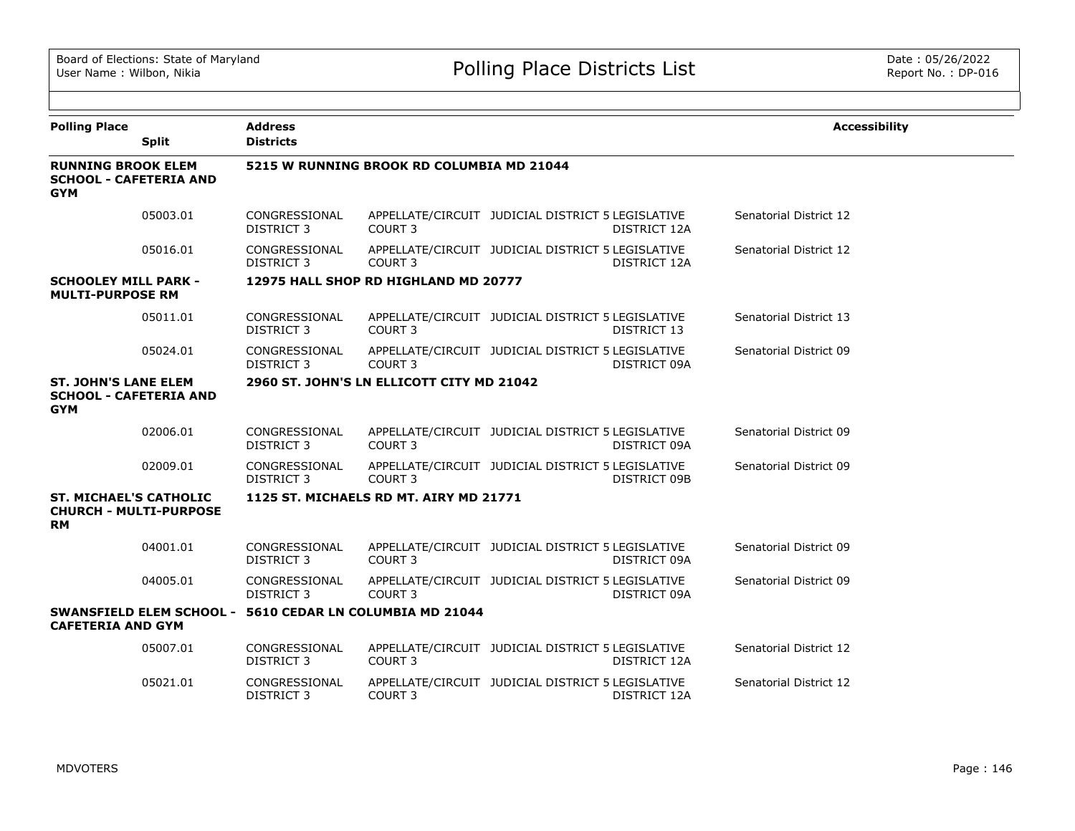| <b>Polling Place</b>                                                        | <b>Split</b> | <b>Address</b><br><b>Districts</b> |                                                          |                                                   |              | <b>Accessibility</b>   |
|-----------------------------------------------------------------------------|--------------|------------------------------------|----------------------------------------------------------|---------------------------------------------------|--------------|------------------------|
| <b>RUNNING BROOK ELEM</b><br><b>SCHOOL - CAFETERIA AND</b><br><b>GYM</b>    |              |                                    | 5215 W RUNNING BROOK RD COLUMBIA MD 21044                |                                                   |              |                        |
|                                                                             | 05003.01     | CONGRESSIONAL<br><b>DISTRICT 3</b> | COURT <sub>3</sub>                                       | APPELLATE/CIRCUIT JUDICIAL DISTRICT 5 LEGISLATIVE | DISTRICT 12A | Senatorial District 12 |
|                                                                             | 05016.01     | CONGRESSIONAL<br><b>DISTRICT 3</b> | COURT <sub>3</sub>                                       | APPELLATE/CIRCUIT JUDICIAL DISTRICT 5 LEGISLATIVE | DISTRICT 12A | Senatorial District 12 |
| <b>SCHOOLEY MILL PARK -</b><br><b>MULTI-PURPOSE RM</b>                      |              |                                    | 12975 HALL SHOP RD HIGHLAND MD 20777                     |                                                   |              |                        |
|                                                                             | 05011.01     | CONGRESSIONAL<br><b>DISTRICT 3</b> | COURT <sub>3</sub>                                       | APPELLATE/CIRCUIT JUDICIAL DISTRICT 5 LEGISLATIVE | DISTRICT 13  | Senatorial District 13 |
|                                                                             | 05024.01     | CONGRESSIONAL<br><b>DISTRICT 3</b> | COURT 3                                                  | APPELLATE/CIRCUIT JUDICIAL DISTRICT 5 LEGISLATIVE | DISTRICT 09A | Senatorial District 09 |
| <b>ST. JOHN'S LANE ELEM</b><br><b>SCHOOL - CAFETERIA AND</b><br><b>GYM</b>  |              |                                    | 2960 ST. JOHN'S LN ELLICOTT CITY MD 21042                |                                                   |              |                        |
|                                                                             | 02006.01     | CONGRESSIONAL<br><b>DISTRICT 3</b> | COURT <sub>3</sub>                                       | APPELLATE/CIRCUIT JUDICIAL DISTRICT 5 LEGISLATIVE | DISTRICT 09A | Senatorial District 09 |
|                                                                             | 02009.01     | CONGRESSIONAL<br><b>DISTRICT 3</b> | COURT <sub>3</sub>                                       | APPELLATE/CIRCUIT JUDICIAL DISTRICT 5 LEGISLATIVE | DISTRICT 09B | Senatorial District 09 |
| <b>ST. MICHAEL'S CATHOLIC</b><br><b>CHURCH - MULTI-PURPOSE</b><br><b>RM</b> |              |                                    | 1125 ST. MICHAELS RD MT. AIRY MD 21771                   |                                                   |              |                        |
|                                                                             | 04001.01     | CONGRESSIONAL<br><b>DISTRICT 3</b> | COURT <sub>3</sub>                                       | APPELLATE/CIRCUIT JUDICIAL DISTRICT 5 LEGISLATIVE | DISTRICT 09A | Senatorial District 09 |
|                                                                             | 04005.01     | CONGRESSIONAL<br><b>DISTRICT 3</b> | COURT <sub>3</sub>                                       | APPELLATE/CIRCUIT JUDICIAL DISTRICT 5 LEGISLATIVE | DISTRICT 09A | Senatorial District 09 |
| <b>CAFETERIA AND GYM</b>                                                    |              |                                    | SWANSFIELD ELEM SCHOOL - 5610 CEDAR LN COLUMBIA MD 21044 |                                                   |              |                        |
|                                                                             | 05007.01     | CONGRESSIONAL<br><b>DISTRICT 3</b> | COURT <sub>3</sub>                                       | APPELLATE/CIRCUIT JUDICIAL DISTRICT 5 LEGISLATIVE | DISTRICT 12A | Senatorial District 12 |
|                                                                             | 05021.01     | CONGRESSIONAL<br><b>DISTRICT 3</b> | COURT <sub>3</sub>                                       | APPELLATE/CIRCUIT JUDICIAL DISTRICT 5 LEGISLATIVE | DISTRICT 12A | Senatorial District 12 |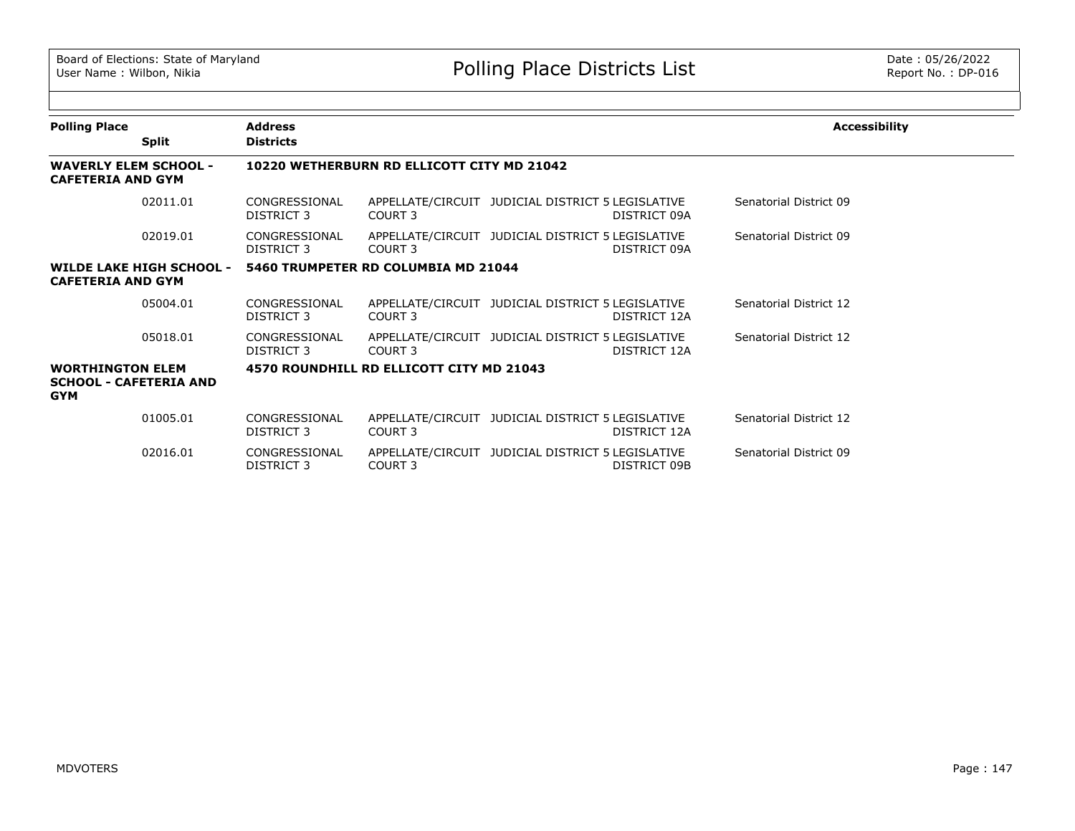| <b>Polling Place</b>                                                   |                                 | <b>Address</b>              |                                            |                                                   |              | <b>Accessibility</b>   |
|------------------------------------------------------------------------|---------------------------------|-----------------------------|--------------------------------------------|---------------------------------------------------|--------------|------------------------|
|                                                                        | <b>Split</b>                    | <b>Districts</b>            |                                            |                                                   |              |                        |
| <b>WAVERLY ELEM SCHOOL -</b><br><b>CAFETERIA AND GYM</b>               |                                 |                             | 10220 WETHERBURN RD ELLICOTT CITY MD 21042 |                                                   |              |                        |
|                                                                        | 02011.01                        | CONGRESSIONAL<br>DISTRICT 3 | COURT 3                                    | APPELLATE/CIRCUIT JUDICIAL DISTRICT 5 LEGISLATIVE | DISTRICT 09A | Senatorial District 09 |
|                                                                        | 02019.01                        | CONGRESSIONAL<br>DISTRICT 3 | COURT 3                                    | APPELLATE/CIRCUIT JUDICIAL DISTRICT 5 LEGISLATIVE | DISTRICT 09A | Senatorial District 09 |
| <b>CAFETERIA AND GYM</b>                                               | <b>WILDE LAKE HIGH SCHOOL -</b> |                             | 5460 TRUMPETER RD COLUMBIA MD 21044        |                                                   |              |                        |
|                                                                        | 05004.01                        | CONGRESSIONAL<br>DISTRICT 3 | COURT 3                                    | APPELLATE/CIRCUIT JUDICIAL DISTRICT 5 LEGISLATIVE | DISTRICT 12A | Senatorial District 12 |
|                                                                        | 05018.01                        | CONGRESSIONAL<br>DISTRICT 3 | COURT <sub>3</sub>                         | APPELLATE/CIRCUIT JUDICIAL DISTRICT 5 LEGISLATIVE | DISTRICT 12A | Senatorial District 12 |
| <b>WORTHINGTON ELEM</b><br><b>SCHOOL - CAFETERIA AND</b><br><b>GYM</b> |                                 |                             | 4570 ROUNDHILL RD ELLICOTT CITY MD 21043   |                                                   |              |                        |
|                                                                        | 01005.01                        | CONGRESSIONAL<br>DISTRICT 3 | COURT 3                                    | APPELLATE/CIRCUIT JUDICIAL DISTRICT 5 LEGISLATIVE | DISTRICT 12A | Senatorial District 12 |
|                                                                        | 02016.01                        | CONGRESSIONAL<br>DISTRICT 3 | COURT <sub>3</sub>                         | APPELLATE/CIRCUIT JUDICIAL DISTRICT 5 LEGISLATIVE | DISTRICT 09B | Senatorial District 09 |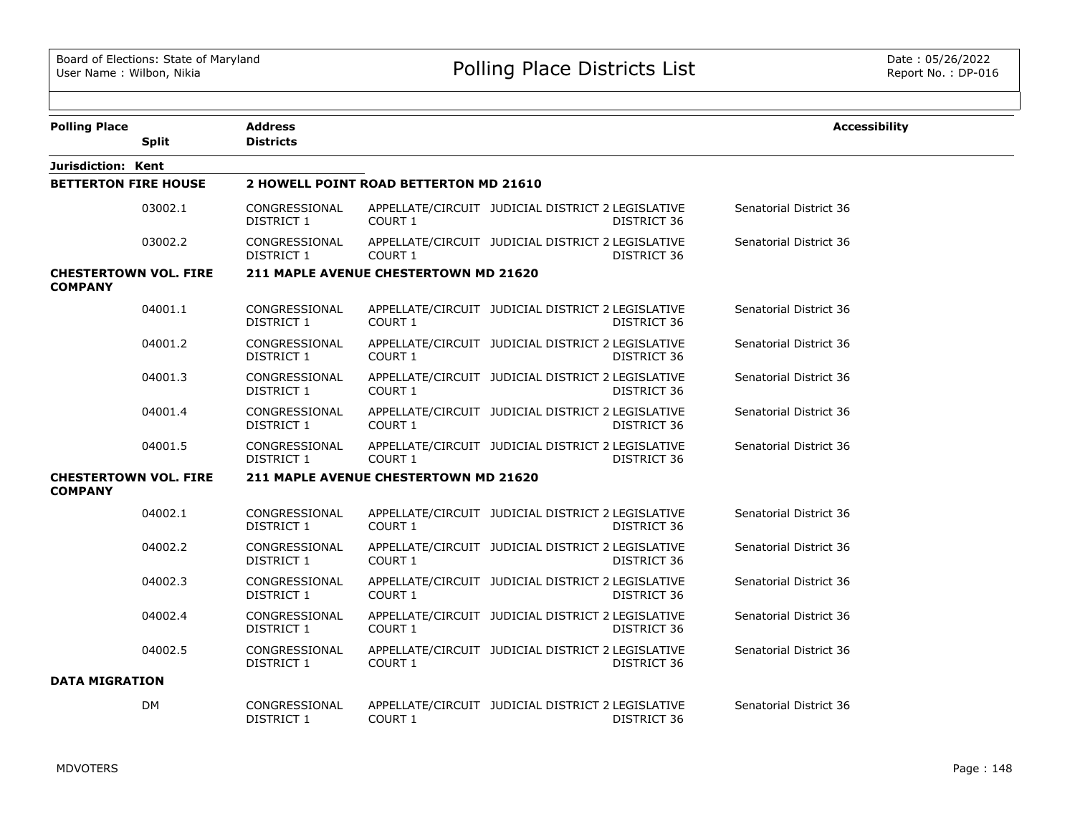| <b>Polling Place</b>                           | <b>Split</b>                 | <b>Address</b><br><b>Districts</b> |                                        |                                                                  | <b>Accessibility</b>   |
|------------------------------------------------|------------------------------|------------------------------------|----------------------------------------|------------------------------------------------------------------|------------------------|
| Jurisdiction: Kent                             |                              |                                    |                                        |                                                                  |                        |
| <b>BETTERTON FIRE HOUSE</b>                    |                              |                                    | 2 HOWELL POINT ROAD BETTERTON MD 21610 |                                                                  |                        |
|                                                | 03002.1                      | CONGRESSIONAL<br>DISTRICT 1        | COURT 1                                | APPELLATE/CIRCUIT JUDICIAL DISTRICT 2 LEGISLATIVE<br>DISTRICT 36 | Senatorial District 36 |
|                                                | 03002.2                      | CONGRESSIONAL<br>DISTRICT 1        | <b>COURT 1</b>                         | APPELLATE/CIRCUIT JUDICIAL DISTRICT 2 LEGISLATIVE<br>DISTRICT 36 | Senatorial District 36 |
| <b>CHESTERTOWN VOL. FIRE</b><br><b>COMPANY</b> |                              |                                    | 211 MAPLE AVENUE CHESTERTOWN MD 21620  |                                                                  |                        |
|                                                | 04001.1                      | CONGRESSIONAL<br>DISTRICT 1        | COURT 1                                | APPELLATE/CIRCUIT JUDICIAL DISTRICT 2 LEGISLATIVE<br>DISTRICT 36 | Senatorial District 36 |
|                                                | 04001.2                      | CONGRESSIONAL<br><b>DISTRICT 1</b> | COURT 1                                | APPELLATE/CIRCUIT JUDICIAL DISTRICT 2 LEGISLATIVE<br>DISTRICT 36 | Senatorial District 36 |
|                                                | 04001.3                      | CONGRESSIONAL<br><b>DISTRICT 1</b> | <b>COURT 1</b>                         | APPELLATE/CIRCUIT JUDICIAL DISTRICT 2 LEGISLATIVE<br>DISTRICT 36 | Senatorial District 36 |
|                                                | 04001.4                      | CONGRESSIONAL<br><b>DISTRICT 1</b> | COURT 1                                | APPELLATE/CIRCUIT JUDICIAL DISTRICT 2 LEGISLATIVE<br>DISTRICT 36 | Senatorial District 36 |
|                                                | 04001.5                      | CONGRESSIONAL<br>DISTRICT 1        | COURT 1                                | APPELLATE/CIRCUIT JUDICIAL DISTRICT 2 LEGISLATIVE<br>DISTRICT 36 | Senatorial District 36 |
| <b>COMPANY</b>                                 | <b>CHESTERTOWN VOL. FIRE</b> |                                    | 211 MAPLE AVENUE CHESTERTOWN MD 21620  |                                                                  |                        |
|                                                | 04002.1                      | CONGRESSIONAL<br>DISTRICT 1        | COURT 1                                | APPELLATE/CIRCUIT JUDICIAL DISTRICT 2 LEGISLATIVE<br>DISTRICT 36 | Senatorial District 36 |
|                                                | 04002.2                      | CONGRESSIONAL<br>DISTRICT 1        | <b>COURT 1</b>                         | APPELLATE/CIRCUIT JUDICIAL DISTRICT 2 LEGISLATIVE<br>DISTRICT 36 | Senatorial District 36 |
|                                                | 04002.3                      | CONGRESSIONAL<br>DISTRICT 1        | <b>COURT 1</b>                         | APPELLATE/CIRCUIT JUDICIAL DISTRICT 2 LEGISLATIVE<br>DISTRICT 36 | Senatorial District 36 |
|                                                | 04002.4                      | CONGRESSIONAL<br>DISTRICT 1        | <b>COURT 1</b>                         | APPELLATE/CIRCUIT JUDICIAL DISTRICT 2 LEGISLATIVE<br>DISTRICT 36 | Senatorial District 36 |
|                                                | 04002.5                      | CONGRESSIONAL<br>DISTRICT 1        | COURT 1                                | APPELLATE/CIRCUIT JUDICIAL DISTRICT 2 LEGISLATIVE<br>DISTRICT 36 | Senatorial District 36 |
| <b>DATA MIGRATION</b>                          |                              |                                    |                                        |                                                                  |                        |
|                                                | <b>DM</b>                    | CONGRESSIONAL<br>DISTRICT 1        | <b>COURT 1</b>                         | APPELLATE/CIRCUIT JUDICIAL DISTRICT 2 LEGISLATIVE<br>DISTRICT 36 | Senatorial District 36 |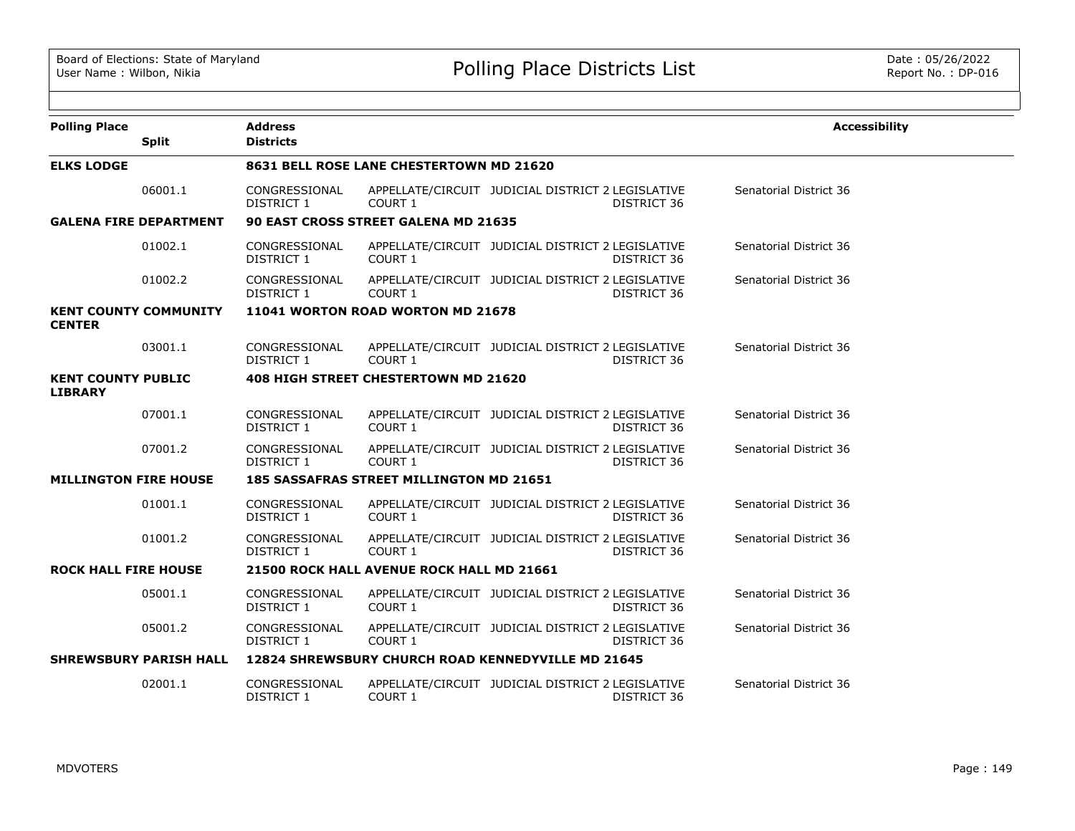| <b>Polling Place</b>                          |              | <b>Address</b>                           |                                                                     |  |             | <b>Accessibility</b>   |  |  |
|-----------------------------------------------|--------------|------------------------------------------|---------------------------------------------------------------------|--|-------------|------------------------|--|--|
|                                               | <b>Split</b> | <b>Districts</b>                         |                                                                     |  |             |                        |  |  |
| <b>ELKS LODGE</b>                             |              | 8631 BELL ROSE LANE CHESTERTOWN MD 21620 |                                                                     |  |             |                        |  |  |
|                                               | 06001.1      | CONGRESSIONAL<br>DISTRICT 1              | APPELLATE/CIRCUIT JUDICIAL DISTRICT 2 LEGISLATIVE<br>COURT 1        |  | DISTRICT 36 | Senatorial District 36 |  |  |
| <b>GALENA FIRE DEPARTMENT</b>                 |              |                                          | 90 EAST CROSS STREET GALENA MD 21635                                |  |             |                        |  |  |
|                                               | 01002.1      | CONGRESSIONAL<br>DISTRICT 1              | APPELLATE/CIRCUIT JUDICIAL DISTRICT 2 LEGISLATIVE<br>COURT 1        |  | DISTRICT 36 | Senatorial District 36 |  |  |
|                                               | 01002.2      | CONGRESSIONAL<br>DISTRICT 1              | APPELLATE/CIRCUIT JUDICIAL DISTRICT 2 LEGISLATIVE<br>COURT 1        |  | DISTRICT 36 | Senatorial District 36 |  |  |
| <b>KENT COUNTY COMMUNITY</b><br><b>CENTER</b> |              |                                          | 11041 WORTON ROAD WORTON MD 21678                                   |  |             |                        |  |  |
|                                               |              |                                          |                                                                     |  |             |                        |  |  |
|                                               | 03001.1      | CONGRESSIONAL<br>DISTRICT 1              | APPELLATE/CIRCUIT JUDICIAL DISTRICT 2 LEGISLATIVE<br>COURT 1        |  | DISTRICT 36 | Senatorial District 36 |  |  |
| <b>KENT COUNTY PUBLIC</b><br><b>LIBRARY</b>   |              |                                          | 408 HIGH STREET CHESTERTOWN MD 21620                                |  |             |                        |  |  |
|                                               | 07001.1      | CONGRESSIONAL<br>DISTRICT 1              | APPELLATE/CIRCUIT JUDICIAL DISTRICT 2 LEGISLATIVE<br>COURT 1        |  | DISTRICT 36 | Senatorial District 36 |  |  |
|                                               | 07001.2      | CONGRESSIONAL<br>DISTRICT 1              | APPELLATE/CIRCUIT JUDICIAL DISTRICT 2 LEGISLATIVE<br>COURT 1        |  | DISTRICT 36 | Senatorial District 36 |  |  |
| <b>MILLINGTON FIRE HOUSE</b>                  |              |                                          | <b>185 SASSAFRAS STREET MILLINGTON MD 21651</b>                     |  |             |                        |  |  |
|                                               | 01001.1      | CONGRESSIONAL<br>DISTRICT 1              | APPELLATE/CIRCUIT JUDICIAL DISTRICT 2 LEGISLATIVE<br><b>COURT 1</b> |  | DISTRICT 36 | Senatorial District 36 |  |  |
|                                               | 01001.2      | CONGRESSIONAL<br>DISTRICT 1              | APPELLATE/CIRCUIT JUDICIAL DISTRICT 2 LEGISLATIVE<br>COURT 1        |  | DISTRICT 36 | Senatorial District 36 |  |  |
| <b>ROCK HALL FIRE HOUSE</b>                   |              |                                          | 21500 ROCK HALL AVENUE ROCK HALL MD 21661                           |  |             |                        |  |  |
|                                               | 05001.1      | CONGRESSIONAL<br>DISTRICT 1              | APPELLATE/CIRCUIT JUDICIAL DISTRICT 2 LEGISLATIVE<br>COURT 1        |  | DISTRICT 36 | Senatorial District 36 |  |  |
|                                               | 05001.2      | CONGRESSIONAL<br><b>DISTRICT 1</b>       | APPELLATE/CIRCUIT JUDICIAL DISTRICT 2 LEGISLATIVE<br>COURT 1        |  | DISTRICT 36 | Senatorial District 36 |  |  |
| <b>SHREWSBURY PARISH HALL</b>                 |              |                                          | 12824 SHREWSBURY CHURCH ROAD KENNEDYVILLE MD 21645                  |  |             |                        |  |  |
|                                               | 02001.1      | CONGRESSIONAL<br>DISTRICT 1              | APPELLATE/CIRCUIT JUDICIAL DISTRICT 2 LEGISLATIVE<br>COURT 1        |  | DISTRICT 36 | Senatorial District 36 |  |  |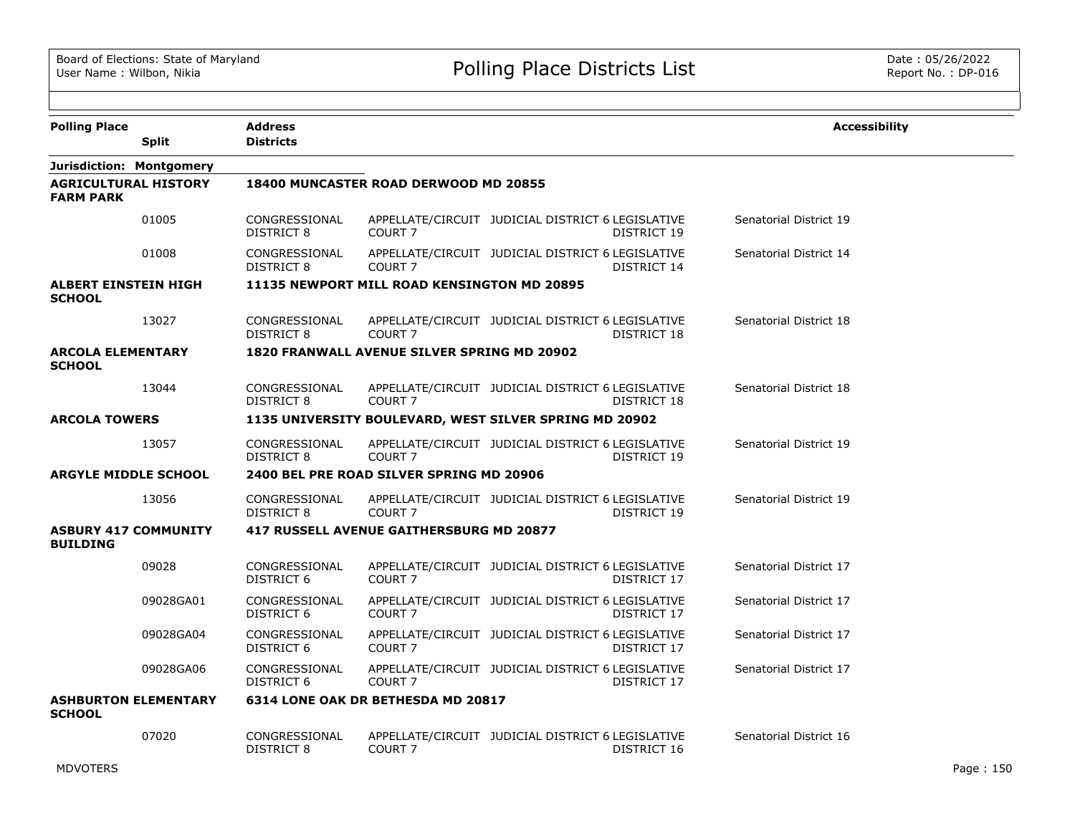| <b>Polling Place</b>                            |                             | <b>Address</b>                     |                                                    |                                                                  | <b>Accessibility</b>   |
|-------------------------------------------------|-----------------------------|------------------------------------|----------------------------------------------------|------------------------------------------------------------------|------------------------|
|                                                 | <b>Split</b>                | <b>Districts</b>                   |                                                    |                                                                  |                        |
| Jurisdiction: Montgomery                        |                             |                                    |                                                    |                                                                  |                        |
| <b>AGRICULTURAL HISTORY</b><br><b>FARM PARK</b> |                             |                                    | 18400 MUNCASTER ROAD DERWOOD MD 20855              |                                                                  |                        |
|                                                 | 01005                       | CONGRESSIONAL<br><b>DISTRICT 8</b> | COURT <sub>7</sub>                                 | APPELLATE/CIRCUIT JUDICIAL DISTRICT 6 LEGISLATIVE<br>DISTRICT 19 | Senatorial District 19 |
|                                                 | 01008                       | CONGRESSIONAL<br><b>DISTRICT 8</b> | COURT <sub>7</sub>                                 | APPELLATE/CIRCUIT JUDICIAL DISTRICT 6 LEGISLATIVE<br>DISTRICT 14 | Senatorial District 14 |
| <b>ALBERT EINSTEIN HIGH</b><br><b>SCHOOL</b>    |                             |                                    | 11135 NEWPORT MILL ROAD KENSINGTON MD 20895        |                                                                  |                        |
|                                                 | 13027                       | CONGRESSIONAL<br>DISTRICT 8        | COURT <sub>7</sub>                                 | APPELLATE/CIRCUIT JUDICIAL DISTRICT 6 LEGISLATIVE<br>DISTRICT 18 | Senatorial District 18 |
| <b>ARCOLA ELEMENTARY</b><br><b>SCHOOL</b>       |                             |                                    | <b>1820 FRANWALL AVENUE SILVER SPRING MD 20902</b> |                                                                  |                        |
|                                                 | 13044                       | CONGRESSIONAL<br><b>DISTRICT 8</b> | COURT <sub>7</sub>                                 | APPELLATE/CIRCUIT JUDICIAL DISTRICT 6 LEGISLATIVE<br>DISTRICT 18 | Senatorial District 18 |
| <b>ARCOLA TOWERS</b>                            |                             |                                    |                                                    | 1135 UNIVERSITY BOULEVARD, WEST SILVER SPRING MD 20902           |                        |
|                                                 | 13057                       | CONGRESSIONAL<br>DISTRICT 8        | COURT <sub>7</sub>                                 | APPELLATE/CIRCUIT JUDICIAL DISTRICT 6 LEGISLATIVE<br>DISTRICT 19 | Senatorial District 19 |
| <b>ARGYLE MIDDLE SCHOOL</b>                     |                             |                                    | 2400 BEL PRE ROAD SILVER SPRING MD 20906           |                                                                  |                        |
|                                                 | 13056                       | CONGRESSIONAL<br><b>DISTRICT 8</b> | COURT <sub>7</sub>                                 | APPELLATE/CIRCUIT JUDICIAL DISTRICT 6 LEGISLATIVE<br>DISTRICT 19 | Senatorial District 19 |
| <b>ASBURY 417 COMMUNITY</b><br><b>BUILDING</b>  |                             |                                    | <b>417 RUSSELL AVENUE GAITHERSBURG MD 20877</b>    |                                                                  |                        |
|                                                 | 09028                       | CONGRESSIONAL<br>DISTRICT 6        | COURT <sub>7</sub>                                 | APPELLATE/CIRCUIT JUDICIAL DISTRICT 6 LEGISLATIVE<br>DISTRICT 17 | Senatorial District 17 |
|                                                 | 09028GA01                   | CONGRESSIONAL<br>DISTRICT 6        | COURT <sub>7</sub>                                 | APPELLATE/CIRCUIT JUDICIAL DISTRICT 6 LEGISLATIVE<br>DISTRICT 17 | Senatorial District 17 |
|                                                 | 09028GA04                   | CONGRESSIONAL<br>DISTRICT 6        | COURT <sub>7</sub>                                 | APPELLATE/CIRCUIT JUDICIAL DISTRICT 6 LEGISLATIVE<br>DISTRICT 17 | Senatorial District 17 |
|                                                 | 09028GA06                   | CONGRESSIONAL<br>DISTRICT 6        | COURT <sub>7</sub>                                 | APPELLATE/CIRCUIT JUDICIAL DISTRICT 6 LEGISLATIVE<br>DISTRICT 17 | Senatorial District 17 |
| <b>SCHOOL</b>                                   | <b>ASHBURTON ELEMENTARY</b> |                                    | 6314 LONE OAK DR BETHESDA MD 20817                 |                                                                  |                        |
|                                                 | 07020                       | CONGRESSIONAL<br>DISTRICT 8        | COURT <sub>7</sub>                                 | APPELLATE/CIRCUIT JUDICIAL DISTRICT 6 LEGISLATIVE<br>DISTRICT 16 | Senatorial District 16 |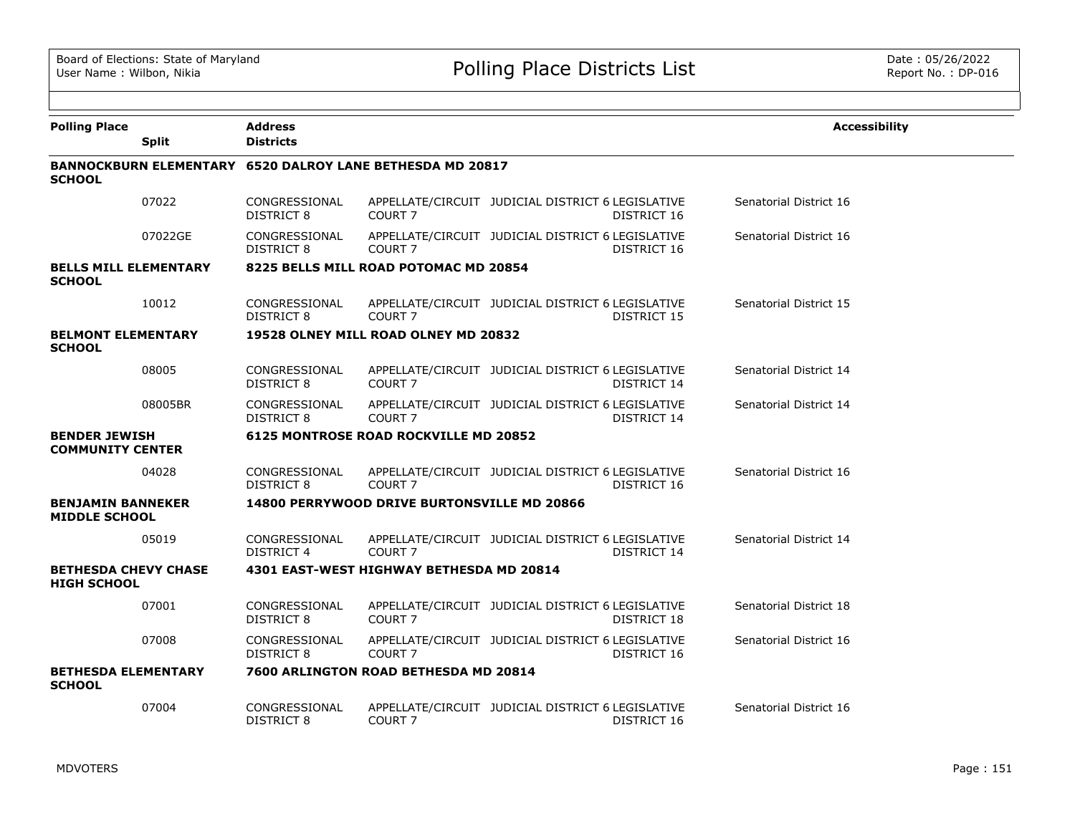| <b>Polling Place</b>                              |              | <b>Address</b>                     |                                                           |                                                                  | <b>Accessibility</b>   |
|---------------------------------------------------|--------------|------------------------------------|-----------------------------------------------------------|------------------------------------------------------------------|------------------------|
|                                                   | <b>Split</b> | <b>Districts</b>                   |                                                           |                                                                  |                        |
| <b>SCHOOL</b>                                     |              |                                    | BANNOCKBURN ELEMENTARY 6520 DALROY LANE BETHESDA MD 20817 |                                                                  |                        |
|                                                   | 07022        | CONGRESSIONAL<br>DISTRICT 8        | COURT <sub>7</sub>                                        | APPELLATE/CIRCUIT JUDICIAL DISTRICT 6 LEGISLATIVE<br>DISTRICT 16 | Senatorial District 16 |
|                                                   | 07022GE      | CONGRESSIONAL<br>DISTRICT 8        | COURT <sub>7</sub>                                        | APPELLATE/CIRCUIT JUDICIAL DISTRICT 6 LEGISLATIVE<br>DISTRICT 16 | Senatorial District 16 |
| <b>BELLS MILL ELEMENTARY</b><br><b>SCHOOL</b>     |              |                                    | 8225 BELLS MILL ROAD POTOMAC MD 20854                     |                                                                  |                        |
|                                                   | 10012        | CONGRESSIONAL<br>DISTRICT 8        | COURT <sub>7</sub>                                        | APPELLATE/CIRCUIT JUDICIAL DISTRICT 6 LEGISLATIVE<br>DISTRICT 15 | Senatorial District 15 |
| <b>BELMONT ELEMENTARY</b><br><b>SCHOOL</b>        |              |                                    | 19528 OLNEY MILL ROAD OLNEY MD 20832                      |                                                                  |                        |
|                                                   | 08005        | CONGRESSIONAL<br>DISTRICT 8        | COURT <sub>7</sub>                                        | APPELLATE/CIRCUIT JUDICIAL DISTRICT 6 LEGISLATIVE<br>DISTRICT 14 | Senatorial District 14 |
|                                                   | 08005BR      | CONGRESSIONAL<br>DISTRICT 8        | COURT <sub>7</sub>                                        | APPELLATE/CIRCUIT JUDICIAL DISTRICT 6 LEGISLATIVE<br>DISTRICT 14 | Senatorial District 14 |
| <b>BENDER JEWISH</b><br><b>COMMUNITY CENTER</b>   |              |                                    | <b>6125 MONTROSE ROAD ROCKVILLE MD 20852</b>              |                                                                  |                        |
|                                                   | 04028        | CONGRESSIONAL<br>DISTRICT 8        | COURT <sub>7</sub>                                        | APPELLATE/CIRCUIT JUDICIAL DISTRICT 6 LEGISLATIVE<br>DISTRICT 16 | Senatorial District 16 |
| <b>BENJAMIN BANNEKER</b><br><b>MIDDLE SCHOOL</b>  |              |                                    | 14800 PERRYWOOD DRIVE BURTONSVILLE MD 20866               |                                                                  |                        |
|                                                   | 05019        | CONGRESSIONAL<br><b>DISTRICT 4</b> | COURT <sub>7</sub>                                        | APPELLATE/CIRCUIT JUDICIAL DISTRICT 6 LEGISLATIVE<br>DISTRICT 14 | Senatorial District 14 |
| <b>BETHESDA CHEVY CHASE</b><br><b>HIGH SCHOOL</b> |              |                                    | 4301 EAST-WEST HIGHWAY BETHESDA MD 20814                  |                                                                  |                        |
|                                                   | 07001        | CONGRESSIONAL<br>DISTRICT 8        | COURT <sub>7</sub>                                        | APPELLATE/CIRCUIT JUDICIAL DISTRICT 6 LEGISLATIVE<br>DISTRICT 18 | Senatorial District 18 |
|                                                   | 07008        | CONGRESSIONAL<br>DISTRICT 8        | COURT <sub>7</sub>                                        | APPELLATE/CIRCUIT JUDICIAL DISTRICT 6 LEGISLATIVE<br>DISTRICT 16 | Senatorial District 16 |
| <b>BETHESDA ELEMENTARY</b><br><b>SCHOOL</b>       |              |                                    | 7600 ARLINGTON ROAD BETHESDA MD 20814                     |                                                                  |                        |
|                                                   | 07004        | CONGRESSIONAL<br><b>DISTRICT 8</b> | COURT <sub>7</sub>                                        | APPELLATE/CIRCUIT JUDICIAL DISTRICT 6 LEGISLATIVE<br>DISTRICT 16 | Senatorial District 16 |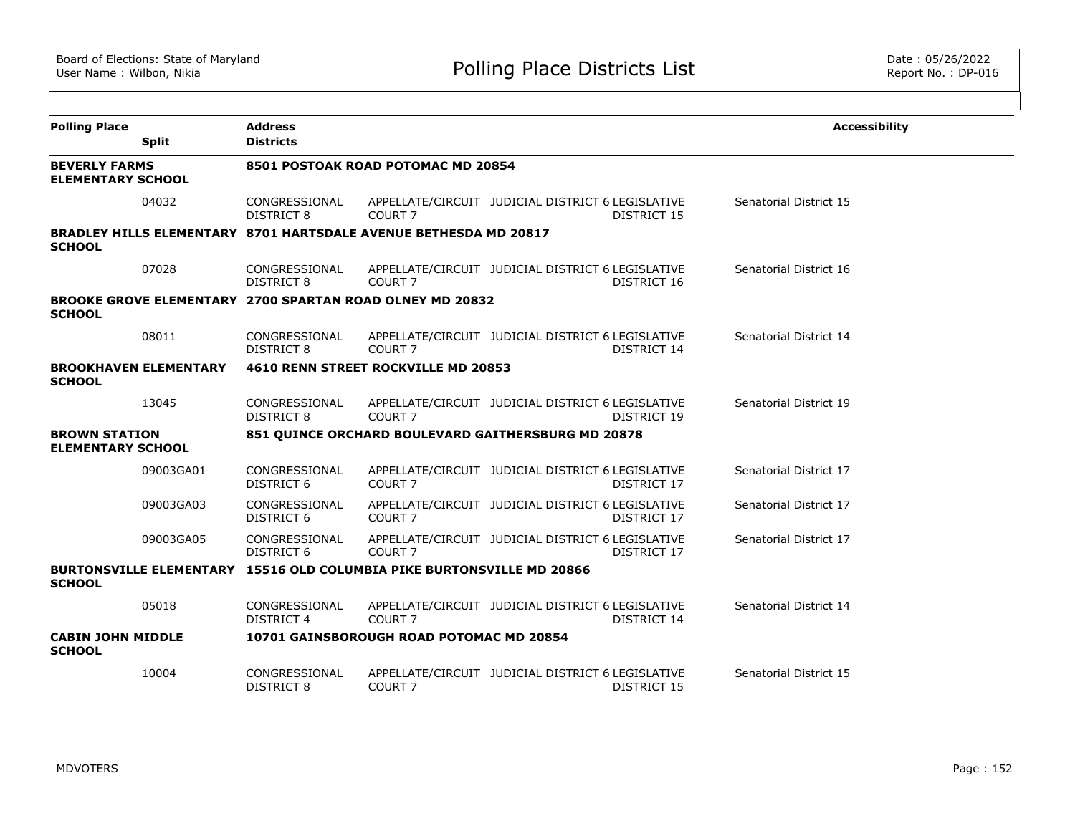| <b>Polling Place</b>                             |                              | <b>Address</b>                     |                                                                         |                                                   |             | <b>Accessibility</b>   |  |  |
|--------------------------------------------------|------------------------------|------------------------------------|-------------------------------------------------------------------------|---------------------------------------------------|-------------|------------------------|--|--|
|                                                  | <b>Split</b>                 | <b>Districts</b>                   |                                                                         |                                                   |             |                        |  |  |
| <b>BEVERLY FARMS</b><br><b>ELEMENTARY SCHOOL</b> |                              | 8501 POSTOAK ROAD POTOMAC MD 20854 |                                                                         |                                                   |             |                        |  |  |
|                                                  | 04032                        | CONGRESSIONAL<br>DISTRICT 8        | COURT <sub>7</sub>                                                      | APPELLATE/CIRCUIT JUDICIAL DISTRICT 6 LEGISLATIVE | DISTRICT 15 | Senatorial District 15 |  |  |
| <b>SCHOOL</b>                                    |                              |                                    | <b>BRADLEY HILLS ELEMENTARY 8701 HARTSDALE AVENUE BETHESDA MD 20817</b> |                                                   |             |                        |  |  |
|                                                  | 07028                        | CONGRESSIONAL<br>DISTRICT 8        | COURT <sub>7</sub>                                                      | APPELLATE/CIRCUIT JUDICIAL DISTRICT 6 LEGISLATIVE | DISTRICT 16 | Senatorial District 16 |  |  |
| <b>SCHOOL</b>                                    |                              |                                    | <b>BROOKE GROVE ELEMENTARY 2700 SPARTAN ROAD OLNEY MD 20832</b>         |                                                   |             |                        |  |  |
|                                                  | 08011                        | CONGRESSIONAL<br>DISTRICT 8        | COURT <sub>7</sub>                                                      | APPELLATE/CIRCUIT JUDICIAL DISTRICT 6 LEGISLATIVE | DISTRICT 14 | Senatorial District 14 |  |  |
| <b>SCHOOL</b>                                    | <b>BROOKHAVEN ELEMENTARY</b> |                                    | 4610 RENN STREET ROCKVILLE MD 20853                                     |                                                   |             |                        |  |  |
|                                                  | 13045                        | CONGRESSIONAL<br><b>DISTRICT 8</b> | COURT <sub>7</sub>                                                      | APPELLATE/CIRCUIT JUDICIAL DISTRICT 6 LEGISLATIVE | DISTRICT 19 | Senatorial District 19 |  |  |
| <b>BROWN STATION</b><br><b>ELEMENTARY SCHOOL</b> |                              |                                    | 851 QUINCE ORCHARD BOULEVARD GAITHERSBURG MD 20878                      |                                                   |             |                        |  |  |
|                                                  | 09003GA01                    | CONGRESSIONAL<br>DISTRICT 6        | COURT <sub>7</sub>                                                      | APPELLATE/CIRCUIT JUDICIAL DISTRICT 6 LEGISLATIVE | DISTRICT 17 | Senatorial District 17 |  |  |
|                                                  | 09003GA03                    | CONGRESSIONAL<br>DISTRICT 6        | COURT <sub>7</sub>                                                      | APPELLATE/CIRCUIT JUDICIAL DISTRICT 6 LEGISLATIVE | DISTRICT 17 | Senatorial District 17 |  |  |
|                                                  | 09003GA05                    | CONGRESSIONAL<br>DISTRICT 6        | COURT <sub>7</sub>                                                      | APPELLATE/CIRCUIT JUDICIAL DISTRICT 6 LEGISLATIVE | DISTRICT 17 | Senatorial District 17 |  |  |
| <b>SCHOOL</b>                                    |                              |                                    | BURTONSVILLE ELEMENTARY 15516 OLD COLUMBIA PIKE BURTONSVILLE MD 20866   |                                                   |             |                        |  |  |
|                                                  | 05018                        | CONGRESSIONAL<br><b>DISTRICT 4</b> | COURT <sub>7</sub>                                                      | APPELLATE/CIRCUIT JUDICIAL DISTRICT 6 LEGISLATIVE | DISTRICT 14 | Senatorial District 14 |  |  |
| <b>CABIN JOHN MIDDLE</b><br><b>SCHOOL</b>        |                              |                                    | 10701 GAINSBOROUGH ROAD POTOMAC MD 20854                                |                                                   |             |                        |  |  |
|                                                  | 10004                        | CONGRESSIONAL<br><b>DISTRICT 8</b> | COURT <sub>7</sub>                                                      | APPELLATE/CIRCUIT JUDICIAL DISTRICT 6 LEGISLATIVE | DISTRICT 15 | Senatorial District 15 |  |  |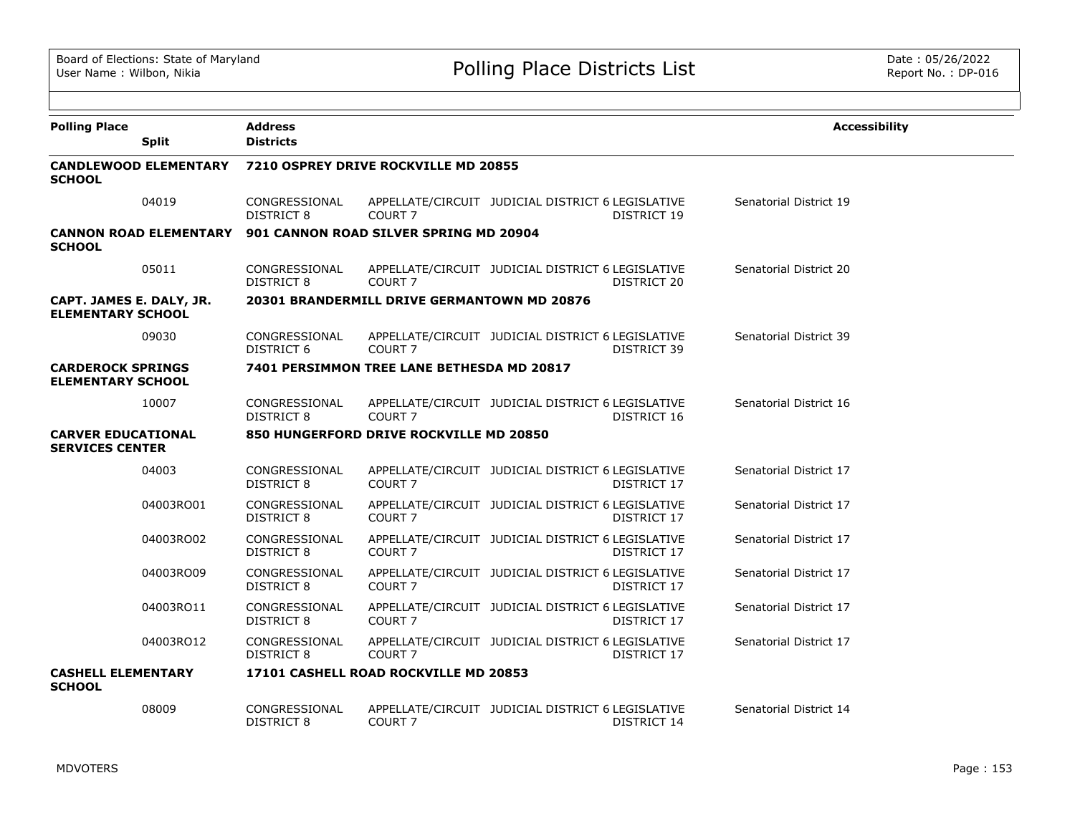| <b>Polling Place</b>                                 | <b>Split</b>                  | <b>Address</b><br><b>Districts</b>   |                                             |                                                   |             | <b>Accessibility</b>   |  |
|------------------------------------------------------|-------------------------------|--------------------------------------|---------------------------------------------|---------------------------------------------------|-------------|------------------------|--|
| <b>SCHOOL</b>                                        | <b>CANDLEWOOD ELEMENTARY</b>  | 7210 OSPREY DRIVE ROCKVILLE MD 20855 |                                             |                                                   |             |                        |  |
|                                                      | 04019                         | CONGRESSIONAL<br>DISTRICT 8          | COURT <sub>7</sub>                          | APPELLATE/CIRCUIT JUDICIAL DISTRICT 6 LEGISLATIVE | DISTRICT 19 | Senatorial District 19 |  |
| <b>SCHOOL</b>                                        | <b>CANNON ROAD ELEMENTARY</b> |                                      | 901 CANNON ROAD SILVER SPRING MD 20904      |                                                   |             |                        |  |
|                                                      | 05011                         | CONGRESSIONAL<br>DISTRICT 8          | COURT <sub>7</sub>                          | APPELLATE/CIRCUIT JUDICIAL DISTRICT 6 LEGISLATIVE | DISTRICT 20 | Senatorial District 20 |  |
| CAPT. JAMES E. DALY, JR.<br><b>ELEMENTARY SCHOOL</b> |                               |                                      | 20301 BRANDERMILL DRIVE GERMANTOWN MD 20876 |                                                   |             |                        |  |
|                                                      | 09030                         | CONGRESSIONAL<br>DISTRICT 6          | COURT <sub>7</sub>                          | APPELLATE/CIRCUIT JUDICIAL DISTRICT 6 LEGISLATIVE | DISTRICT 39 | Senatorial District 39 |  |
| <b>CARDEROCK SPRINGS</b><br><b>ELEMENTARY SCHOOL</b> |                               |                                      | 7401 PERSIMMON TREE LANE BETHESDA MD 20817  |                                                   |             |                        |  |
|                                                      | 10007                         | CONGRESSIONAL<br>DISTRICT 8          | COURT <sub>7</sub>                          | APPELLATE/CIRCUIT JUDICIAL DISTRICT 6 LEGISLATIVE | DISTRICT 16 | Senatorial District 16 |  |
| <b>CARVER EDUCATIONAL</b><br><b>SERVICES CENTER</b>  |                               |                                      | 850 HUNGERFORD DRIVE ROCKVILLE MD 20850     |                                                   |             |                        |  |
|                                                      | 04003                         | CONGRESSIONAL<br>DISTRICT 8          | COURT <sub>7</sub>                          | APPELLATE/CIRCUIT JUDICIAL DISTRICT 6 LEGISLATIVE | DISTRICT 17 | Senatorial District 17 |  |
|                                                      | 04003RO01                     | CONGRESSIONAL<br>DISTRICT 8          | COURT <sub>7</sub>                          | APPELLATE/CIRCUIT JUDICIAL DISTRICT 6 LEGISLATIVE | DISTRICT 17 | Senatorial District 17 |  |
|                                                      | 04003RO02                     | CONGRESSIONAL<br>DISTRICT 8          | COURT <sub>7</sub>                          | APPELLATE/CIRCUIT JUDICIAL DISTRICT 6 LEGISLATIVE | DISTRICT 17 | Senatorial District 17 |  |
|                                                      | 04003RO09                     | CONGRESSIONAL<br>DISTRICT 8          | COURT <sub>7</sub>                          | APPELLATE/CIRCUIT JUDICIAL DISTRICT 6 LEGISLATIVE | DISTRICT 17 | Senatorial District 17 |  |
|                                                      | 04003RO11                     | CONGRESSIONAL<br>DISTRICT 8          | COURT <sub>7</sub>                          | APPELLATE/CIRCUIT JUDICIAL DISTRICT 6 LEGISLATIVE | DISTRICT 17 | Senatorial District 17 |  |
|                                                      | 04003RO12                     | CONGRESSIONAL<br>DISTRICT 8          | COURT 7                                     | APPELLATE/CIRCUIT JUDICIAL DISTRICT 6 LEGISLATIVE | DISTRICT 17 | Senatorial District 17 |  |
| <b>CASHELL ELEMENTARY</b><br><b>SCHOOL</b>           |                               |                                      | 17101 CASHELL ROAD ROCKVILLE MD 20853       |                                                   |             |                        |  |
|                                                      | 08009                         | CONGRESSIONAL<br>DISTRICT 8          | COURT <sub>7</sub>                          | APPELLATE/CIRCUIT JUDICIAL DISTRICT 6 LEGISLATIVE | DISTRICT 14 | Senatorial District 14 |  |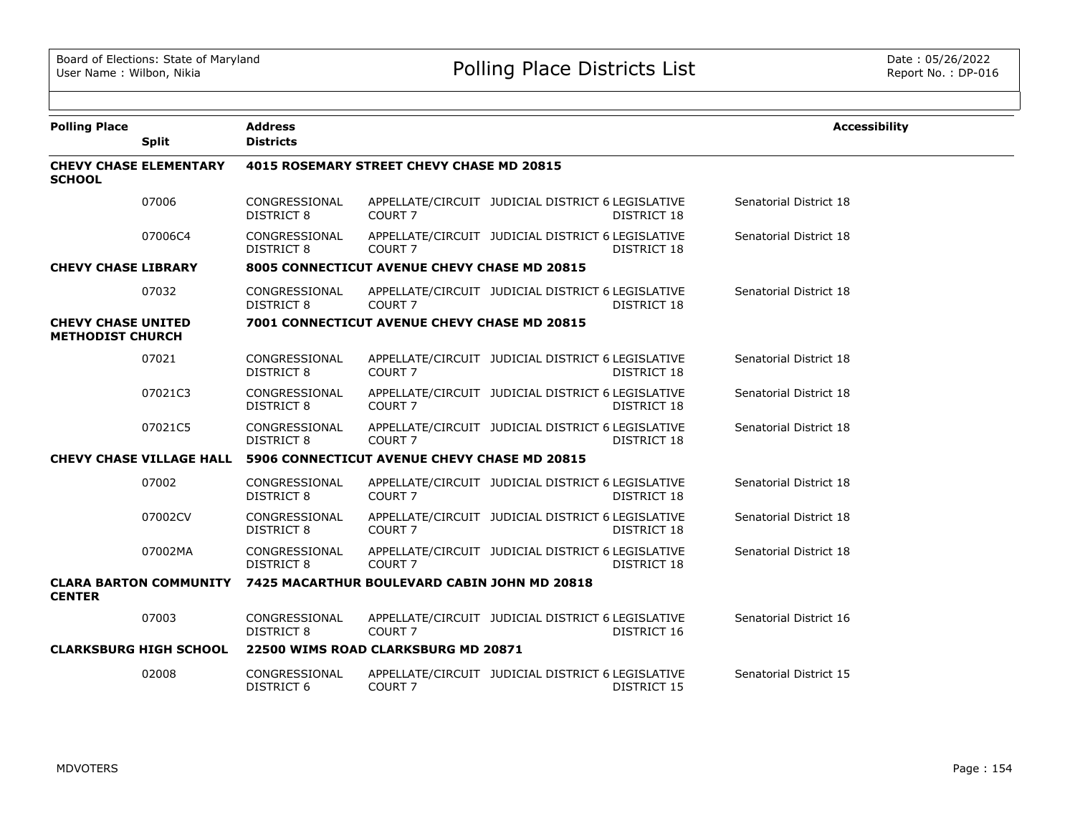| <b>Polling Place</b>                                 |                                 | <b>Address</b>                     |                                                  |                                                   |                    | <b>Accessibility</b>   |
|------------------------------------------------------|---------------------------------|------------------------------------|--------------------------------------------------|---------------------------------------------------|--------------------|------------------------|
|                                                      | <b>Split</b>                    | <b>Districts</b>                   |                                                  |                                                   |                    |                        |
| <b>CHEVY CHASE ELEMENTARY</b><br><b>SCHOOL</b>       |                                 |                                    | <b>4015 ROSEMARY STREET CHEVY CHASE MD 20815</b> |                                                   |                    |                        |
|                                                      | 07006                           | CONGRESSIONAL<br>DISTRICT 8        | COURT <sub>7</sub>                               | APPELLATE/CIRCUIT JUDICIAL DISTRICT 6 LEGISLATIVE | <b>DISTRICT 18</b> | Senatorial District 18 |
|                                                      | 07006C4                         | CONGRESSIONAL<br><b>DISTRICT 8</b> | COURT <sub>7</sub>                               | APPELLATE/CIRCUIT JUDICIAL DISTRICT 6 LEGISLATIVE | DISTRICT 18        | Senatorial District 18 |
| <b>CHEVY CHASE LIBRARY</b>                           |                                 |                                    | 8005 CONNECTICUT AVENUE CHEVY CHASE MD 20815     |                                                   |                    |                        |
|                                                      | 07032                           | CONGRESSIONAL<br><b>DISTRICT 8</b> | COURT <sub>7</sub>                               | APPELLATE/CIRCUIT JUDICIAL DISTRICT 6 LEGISLATIVE | DISTRICT 18        | Senatorial District 18 |
| <b>CHEVY CHASE UNITED</b><br><b>METHODIST CHURCH</b> |                                 |                                    | 7001 CONNECTICUT AVENUE CHEVY CHASE MD 20815     |                                                   |                    |                        |
|                                                      | 07021                           | CONGRESSIONAL<br><b>DISTRICT 8</b> | COURT <sub>7</sub>                               | APPELLATE/CIRCUIT JUDICIAL DISTRICT 6 LEGISLATIVE | <b>DISTRICT 18</b> | Senatorial District 18 |
|                                                      | 07021C3                         | CONGRESSIONAL<br>DISTRICT 8        | COURT <sub>7</sub>                               | APPELLATE/CIRCUIT JUDICIAL DISTRICT 6 LEGISLATIVE | DISTRICT 18        | Senatorial District 18 |
|                                                      | 07021C5                         | CONGRESSIONAL<br><b>DISTRICT 8</b> | COURT <sub>7</sub>                               | APPELLATE/CIRCUIT JUDICIAL DISTRICT 6 LEGISLATIVE | DISTRICT 18        | Senatorial District 18 |
|                                                      | <b>CHEVY CHASE VILLAGE HALL</b> |                                    | 5906 CONNECTICUT AVENUE CHEVY CHASE MD 20815     |                                                   |                    |                        |
|                                                      | 07002                           | CONGRESSIONAL<br><b>DISTRICT 8</b> | COURT <sub>7</sub>                               | APPELLATE/CIRCUIT JUDICIAL DISTRICT 6 LEGISLATIVE | <b>DISTRICT 18</b> | Senatorial District 18 |
|                                                      | 07002CV                         | CONGRESSIONAL<br><b>DISTRICT 8</b> | COURT <sub>7</sub>                               | APPELLATE/CIRCUIT JUDICIAL DISTRICT 6 LEGISLATIVE | DISTRICT 18        | Senatorial District 18 |
|                                                      | 07002MA                         | CONGRESSIONAL<br>DISTRICT 8        | COURT <sub>7</sub>                               | APPELLATE/CIRCUIT JUDICIAL DISTRICT 6 LEGISLATIVE | DISTRICT 18        | Senatorial District 18 |
| <b>CENTER</b>                                        | <b>CLARA BARTON COMMUNITY</b>   |                                    | 7425 MACARTHUR BOULEVARD CABIN JOHN MD 20818     |                                                   |                    |                        |
|                                                      | 07003                           | CONGRESSIONAL<br><b>DISTRICT 8</b> | COURT <sub>7</sub>                               | APPELLATE/CIRCUIT JUDICIAL DISTRICT 6 LEGISLATIVE | DISTRICT 16        | Senatorial District 16 |
| <b>CLARKSBURG HIGH SCHOOL</b>                        |                                 |                                    | 22500 WIMS ROAD CLARKSBURG MD 20871              |                                                   |                    |                        |
|                                                      | 02008                           | CONGRESSIONAL<br><b>DISTRICT 6</b> | COURT <sub>7</sub>                               | APPELLATE/CIRCUIT JUDICIAL DISTRICT 6 LEGISLATIVE | DISTRICT 15        | Senatorial District 15 |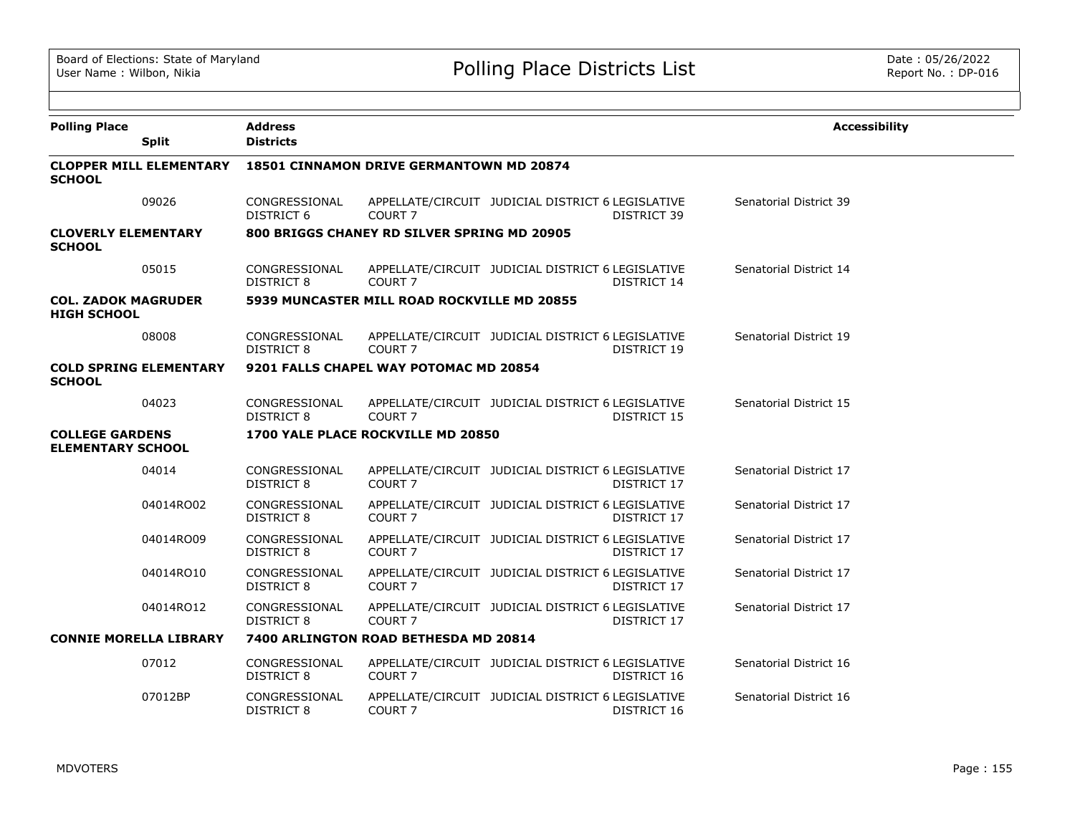| <b>Polling Place</b>                               | <b>Split</b>                   | <b>Address</b><br><b>Districts</b> |                                                 |                                                   |             | <b>Accessibility</b>   |
|----------------------------------------------------|--------------------------------|------------------------------------|-------------------------------------------------|---------------------------------------------------|-------------|------------------------|
| <b>SCHOOL</b>                                      | <b>CLOPPER MILL ELEMENTARY</b> |                                    | <b>18501 CINNAMON DRIVE GERMANTOWN MD 20874</b> |                                                   |             |                        |
|                                                    | 09026                          | CONGRESSIONAL<br>DISTRICT 6        | COURT <sub>7</sub>                              | APPELLATE/CIRCUIT JUDICIAL DISTRICT 6 LEGISLATIVE | DISTRICT 39 | Senatorial District 39 |
| <b>CLOVERLY ELEMENTARY</b><br><b>SCHOOL</b>        |                                |                                    | 800 BRIGGS CHANEY RD SILVER SPRING MD 20905     |                                                   |             |                        |
|                                                    | 05015                          | CONGRESSIONAL<br>DISTRICT 8        | COURT <sub>7</sub>                              | APPELLATE/CIRCUIT JUDICIAL DISTRICT 6 LEGISLATIVE | DISTRICT 14 | Senatorial District 14 |
| <b>COL. ZADOK MAGRUDER</b><br><b>HIGH SCHOOL</b>   |                                |                                    | 5939 MUNCASTER MILL ROAD ROCKVILLE MD 20855     |                                                   |             |                        |
|                                                    | 08008                          | CONGRESSIONAL<br><b>DISTRICT 8</b> | COURT <sub>7</sub>                              | APPELLATE/CIRCUIT JUDICIAL DISTRICT 6 LEGISLATIVE | DISTRICT 19 | Senatorial District 19 |
| <b>SCHOOL</b>                                      | <b>COLD SPRING ELEMENTARY</b>  |                                    | 9201 FALLS CHAPEL WAY POTOMAC MD 20854          |                                                   |             |                        |
|                                                    | 04023                          | CONGRESSIONAL<br><b>DISTRICT 8</b> | COURT 7                                         | APPELLATE/CIRCUIT JUDICIAL DISTRICT 6 LEGISLATIVE | DISTRICT 15 | Senatorial District 15 |
| <b>COLLEGE GARDENS</b><br><b>ELEMENTARY SCHOOL</b> |                                |                                    | 1700 YALE PLACE ROCKVILLE MD 20850              |                                                   |             |                        |
|                                                    | 04014                          | CONGRESSIONAL<br><b>DISTRICT 8</b> | COURT <sub>7</sub>                              | APPELLATE/CIRCUIT JUDICIAL DISTRICT 6 LEGISLATIVE | DISTRICT 17 | Senatorial District 17 |
|                                                    | 04014RO02                      | CONGRESSIONAL<br><b>DISTRICT 8</b> | COURT <sub>7</sub>                              | APPELLATE/CIRCUIT JUDICIAL DISTRICT 6 LEGISLATIVE | DISTRICT 17 | Senatorial District 17 |
|                                                    | 04014RO09                      | CONGRESSIONAL<br><b>DISTRICT 8</b> | COURT <sub>7</sub>                              | APPELLATE/CIRCUIT JUDICIAL DISTRICT 6 LEGISLATIVE | DISTRICT 17 | Senatorial District 17 |
|                                                    | 04014RO10                      | CONGRESSIONAL<br><b>DISTRICT 8</b> | COURT <sub>7</sub>                              | APPELLATE/CIRCUIT JUDICIAL DISTRICT 6 LEGISLATIVE | DISTRICT 17 | Senatorial District 17 |
|                                                    | 04014RO12                      | CONGRESSIONAL<br><b>DISTRICT 8</b> | COURT <sub>7</sub>                              | APPELLATE/CIRCUIT JUDICIAL DISTRICT 6 LEGISLATIVE | DISTRICT 17 | Senatorial District 17 |
| <b>CONNIE MORELLA LIBRARY</b>                      |                                |                                    | 7400 ARLINGTON ROAD BETHESDA MD 20814           |                                                   |             |                        |
|                                                    | 07012                          | CONGRESSIONAL<br><b>DISTRICT 8</b> | COURT <sub>7</sub>                              | APPELLATE/CIRCUIT JUDICIAL DISTRICT 6 LEGISLATIVE | DISTRICT 16 | Senatorial District 16 |
|                                                    | 07012BP                        | CONGRESSIONAL<br><b>DISTRICT 8</b> | COURT <sub>7</sub>                              | APPELLATE/CIRCUIT JUDICIAL DISTRICT 6 LEGISLATIVE | DISTRICT 16 | Senatorial District 16 |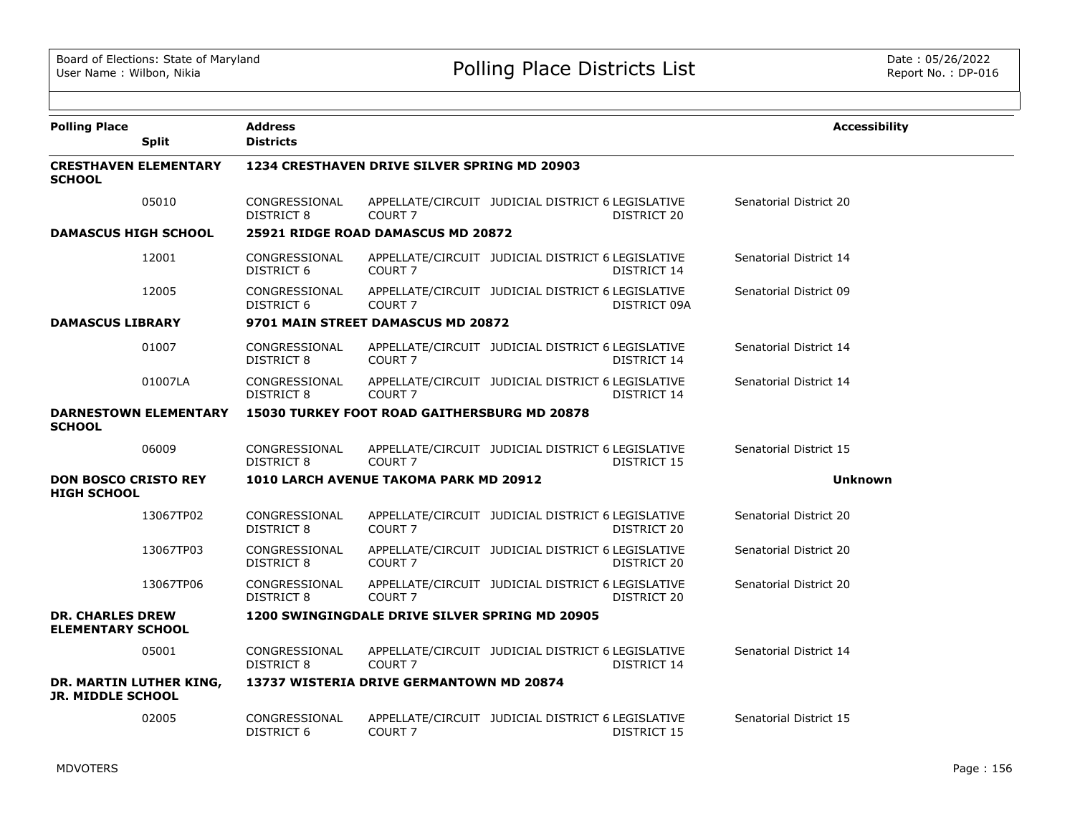| <b>Polling Place</b><br><b>Split</b>                | <b>Address</b><br><b>Districts</b> |                                                     |                                                                   | <b>Accessibility</b>   |  |  |  |  |
|-----------------------------------------------------|------------------------------------|-----------------------------------------------------|-------------------------------------------------------------------|------------------------|--|--|--|--|
| <b>CRESTHAVEN ELEMENTARY</b><br><b>SCHOOL</b>       |                                    | 1234 CRESTHAVEN DRIVE SILVER SPRING MD 20903        |                                                                   |                        |  |  |  |  |
| 05010                                               | CONGRESSIONAL<br>DISTRICT 8        | COURT <sub>7</sub>                                  | APPELLATE/CIRCUIT JUDICIAL DISTRICT 6 LEGISLATIVE<br>DISTRICT 20  | Senatorial District 20 |  |  |  |  |
| <b>DAMASCUS HIGH SCHOOL</b>                         |                                    | 25921 RIDGE ROAD DAMASCUS MD 20872                  |                                                                   |                        |  |  |  |  |
| 12001                                               | CONGRESSIONAL<br>DISTRICT 6        | COURT <sub>7</sub>                                  | APPELLATE/CIRCUIT JUDICIAL DISTRICT 6 LEGISLATIVE<br>DISTRICT 14  | Senatorial District 14 |  |  |  |  |
| 12005                                               | CONGRESSIONAL<br>DISTRICT 6        | COURT <sub>7</sub>                                  | APPELLATE/CIRCUIT JUDICIAL DISTRICT 6 LEGISLATIVE<br>DISTRICT 09A | Senatorial District 09 |  |  |  |  |
| <b>DAMASCUS LIBRARY</b>                             |                                    | 9701 MAIN STREET DAMASCUS MD 20872                  |                                                                   |                        |  |  |  |  |
| 01007                                               | CONGRESSIONAL<br><b>DISTRICT 8</b> | COURT <sub>7</sub>                                  | APPELLATE/CIRCUIT JUDICIAL DISTRICT 6 LEGISLATIVE<br>DISTRICT 14  | Senatorial District 14 |  |  |  |  |
| 01007LA                                             | CONGRESSIONAL<br><b>DISTRICT 8</b> | COURT <sub>7</sub>                                  | APPELLATE/CIRCUIT JUDICIAL DISTRICT 6 LEGISLATIVE<br>DISTRICT 14  | Senatorial District 14 |  |  |  |  |
| <b>DARNESTOWN ELEMENTARY</b><br><b>SCHOOL</b>       |                                    | <b>15030 TURKEY FOOT ROAD GAITHERSBURG MD 20878</b> |                                                                   |                        |  |  |  |  |
| 06009                                               | CONGRESSIONAL<br><b>DISTRICT 8</b> | COURT <sub>7</sub>                                  | APPELLATE/CIRCUIT JUDICIAL DISTRICT 6 LEGISLATIVE<br>DISTRICT 15  | Senatorial District 15 |  |  |  |  |
| <b>DON BOSCO CRISTO REY</b><br><b>HIGH SCHOOL</b>   |                                    | 1010 LARCH AVENUE TAKOMA PARK MD 20912              |                                                                   | <b>Unknown</b>         |  |  |  |  |
| 13067TP02                                           | CONGRESSIONAL<br><b>DISTRICT 8</b> | COURT <sub>7</sub>                                  | APPELLATE/CIRCUIT JUDICIAL DISTRICT 6 LEGISLATIVE<br>DISTRICT 20  | Senatorial District 20 |  |  |  |  |
| 13067TP03                                           | CONGRESSIONAL<br><b>DISTRICT 8</b> | COURT <sub>7</sub>                                  | APPELLATE/CIRCUIT JUDICIAL DISTRICT 6 LEGISLATIVE<br>DISTRICT 20  | Senatorial District 20 |  |  |  |  |
| 13067TP06                                           | CONGRESSIONAL<br><b>DISTRICT 8</b> | COURT <sub>7</sub>                                  | APPELLATE/CIRCUIT JUDICIAL DISTRICT 6 LEGISLATIVE<br>DISTRICT 20  | Senatorial District 20 |  |  |  |  |
| <b>DR. CHARLES DREW</b><br><b>ELEMENTARY SCHOOL</b> |                                    | 1200 SWINGINGDALE DRIVE SILVER SPRING MD 20905      |                                                                   |                        |  |  |  |  |
| 05001                                               | CONGRESSIONAL<br><b>DISTRICT 8</b> | COURT <sub>7</sub>                                  | APPELLATE/CIRCUIT JUDICIAL DISTRICT 6 LEGISLATIVE<br>DISTRICT 14  | Senatorial District 14 |  |  |  |  |
| DR. MARTIN LUTHER KING,<br><b>JR. MIDDLE SCHOOL</b> |                                    | 13737 WISTERIA DRIVE GERMANTOWN MD 20874            |                                                                   |                        |  |  |  |  |
| 02005                                               | CONGRESSIONAL<br>DISTRICT 6        | COURT <sub>7</sub>                                  | APPELLATE/CIRCUIT JUDICIAL DISTRICT 6 LEGISLATIVE<br>DISTRICT 15  | Senatorial District 15 |  |  |  |  |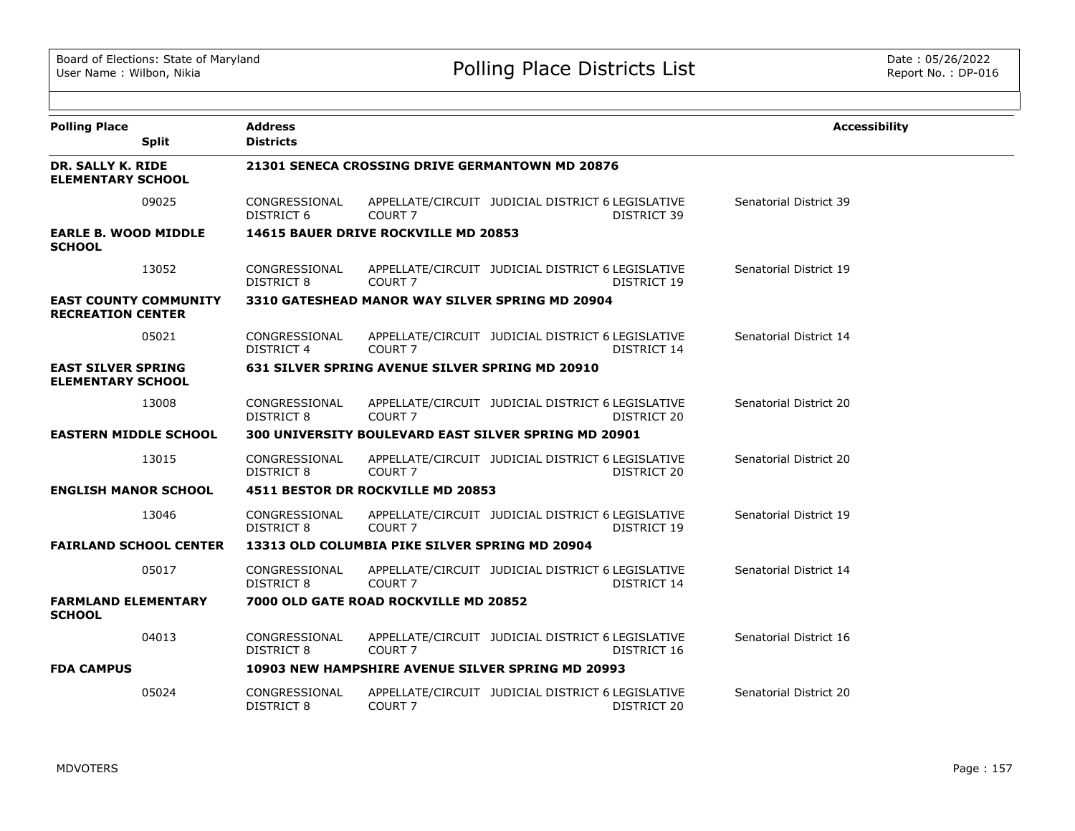| <b>Polling Place</b><br><b>Split</b>                     | <b>Address</b><br><b>Districts</b> |                                                 |                                                                  | <b>Accessibility</b>   |
|----------------------------------------------------------|------------------------------------|-------------------------------------------------|------------------------------------------------------------------|------------------------|
| <b>DR. SALLY K. RIDE</b><br><b>ELEMENTARY SCHOOL</b>     |                                    |                                                 | 21301 SENECA CROSSING DRIVE GERMANTOWN MD 20876                  |                        |
| 09025                                                    | CONGRESSIONAL<br><b>DISTRICT 6</b> | COURT <sub>7</sub>                              | APPELLATE/CIRCUIT JUDICIAL DISTRICT 6 LEGISLATIVE<br>DISTRICT 39 | Senatorial District 39 |
| <b>EARLE B. WOOD MIDDLE</b><br><b>SCHOOL</b>             |                                    | 14615 BAUER DRIVE ROCKVILLE MD 20853            |                                                                  |                        |
| 13052                                                    | CONGRESSIONAL<br><b>DISTRICT 8</b> | COURT <sub>7</sub>                              | APPELLATE/CIRCUIT JUDICIAL DISTRICT 6 LEGISLATIVE<br>DISTRICT 19 | Senatorial District 19 |
| <b>EAST COUNTY COMMUNITY</b><br><b>RECREATION CENTER</b> |                                    |                                                 | 3310 GATESHEAD MANOR WAY SILVER SPRING MD 20904                  |                        |
| 05021                                                    | CONGRESSIONAL<br><b>DISTRICT 4</b> | COURT <sub>7</sub>                              | APPELLATE/CIRCUIT JUDICIAL DISTRICT 6 LEGISLATIVE<br>DISTRICT 14 | Senatorial District 14 |
| <b>EAST SILVER SPRING</b><br><b>ELEMENTARY SCHOOL</b>    |                                    | 631 SILVER SPRING AVENUE SILVER SPRING MD 20910 |                                                                  |                        |
| 13008                                                    | CONGRESSIONAL<br>DISTRICT 8        | COURT <sub>7</sub>                              | APPELLATE/CIRCUIT JUDICIAL DISTRICT 6 LEGISLATIVE<br>DISTRICT 20 | Senatorial District 20 |
| <b>EASTERN MIDDLE SCHOOL</b>                             |                                    |                                                 | 300 UNIVERSITY BOULEVARD EAST SILVER SPRING MD 20901             |                        |
| 13015                                                    | CONGRESSIONAL<br><b>DISTRICT 8</b> | COURT <sub>7</sub>                              | APPELLATE/CIRCUIT JUDICIAL DISTRICT 6 LEGISLATIVE<br>DISTRICT 20 | Senatorial District 20 |
| <b>ENGLISH MANOR SCHOOL</b>                              |                                    | 4511 BESTOR DR ROCKVILLE MD 20853               |                                                                  |                        |
| 13046                                                    | CONGRESSIONAL<br>DISTRICT 8        | COURT <sub>7</sub>                              | APPELLATE/CIRCUIT JUDICIAL DISTRICT 6 LEGISLATIVE<br>DISTRICT 19 | Senatorial District 19 |
| <b>FAIRLAND SCHOOL CENTER</b>                            |                                    | 13313 OLD COLUMBIA PIKE SILVER SPRING MD 20904  |                                                                  |                        |
| 05017                                                    | CONGRESSIONAL<br>DISTRICT 8        | COURT <sub>7</sub>                              | APPELLATE/CIRCUIT JUDICIAL DISTRICT 6 LEGISLATIVE<br>DISTRICT 14 | Senatorial District 14 |
| <b>FARMLAND ELEMENTARY</b><br><b>SCHOOL</b>              |                                    | 7000 OLD GATE ROAD ROCKVILLE MD 20852           |                                                                  |                        |
| 04013                                                    | CONGRESSIONAL<br>DISTRICT 8        | COURT <sub>7</sub>                              | APPELLATE/CIRCUIT JUDICIAL DISTRICT 6 LEGISLATIVE<br>DISTRICT 16 | Senatorial District 16 |
| <b>FDA CAMPUS</b>                                        |                                    |                                                 | 10903 NEW HAMPSHIRE AVENUE SILVER SPRING MD 20993                |                        |
| 05024                                                    | CONGRESSIONAL<br><b>DISTRICT 8</b> | COURT <sub>7</sub>                              | APPELLATE/CIRCUIT JUDICIAL DISTRICT 6 LEGISLATIVE<br>DISTRICT 20 | Senatorial District 20 |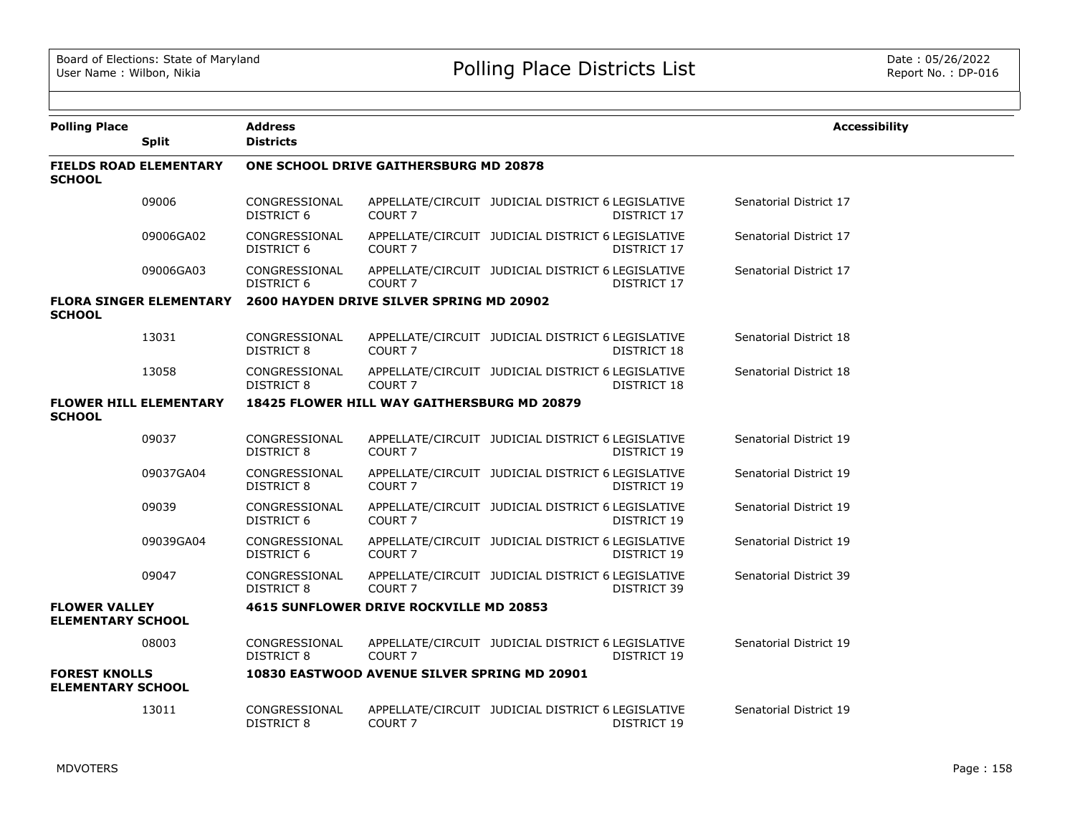| <b>Polling Place</b>                             | <b>Split</b>                   | <b>Address</b><br><b>Districts</b> |                                                    |                                                   |             | <b>Accessibility</b>   |
|--------------------------------------------------|--------------------------------|------------------------------------|----------------------------------------------------|---------------------------------------------------|-------------|------------------------|
| <b>FIELDS ROAD ELEMENTARY</b><br><b>SCHOOL</b>   |                                |                                    | ONE SCHOOL DRIVE GAITHERSBURG MD 20878             |                                                   |             |                        |
|                                                  | 09006                          | CONGRESSIONAL<br><b>DISTRICT 6</b> | COURT <sub>7</sub>                                 | APPELLATE/CIRCUIT JUDICIAL DISTRICT 6 LEGISLATIVE | DISTRICT 17 | Senatorial District 17 |
|                                                  | 09006GA02                      | CONGRESSIONAL<br>DISTRICT 6        | COURT <sub>7</sub>                                 | APPELLATE/CIRCUIT JUDICIAL DISTRICT 6 LEGISLATIVE | DISTRICT 17 | Senatorial District 17 |
|                                                  | 09006GA03                      | CONGRESSIONAL<br>DISTRICT 6        | COURT <sub>7</sub>                                 | APPELLATE/CIRCUIT JUDICIAL DISTRICT 6 LEGISLATIVE | DISTRICT 17 | Senatorial District 17 |
| <b>SCHOOL</b>                                    | <b>FLORA SINGER ELEMENTARY</b> |                                    | 2600 HAYDEN DRIVE SILVER SPRING MD 20902           |                                                   |             |                        |
|                                                  | 13031                          | CONGRESSIONAL<br>DISTRICT 8        | COURT <sub>7</sub>                                 | APPELLATE/CIRCUIT JUDICIAL DISTRICT 6 LEGISLATIVE | DISTRICT 18 | Senatorial District 18 |
|                                                  | 13058                          | CONGRESSIONAL<br>DISTRICT 8        | COURT <sub>7</sub>                                 | APPELLATE/CIRCUIT JUDICIAL DISTRICT 6 LEGISLATIVE | DISTRICT 18 | Senatorial District 18 |
| <b>SCHOOL</b>                                    | <b>FLOWER HILL ELEMENTARY</b>  |                                    | <b>18425 FLOWER HILL WAY GAITHERSBURG MD 20879</b> |                                                   |             |                        |
|                                                  | 09037                          | CONGRESSIONAL<br>DISTRICT 8        | COURT <sub>7</sub>                                 | APPELLATE/CIRCUIT JUDICIAL DISTRICT 6 LEGISLATIVE | DISTRICT 19 | Senatorial District 19 |
|                                                  | 09037GA04                      | CONGRESSIONAL<br>DISTRICT 8        | COURT <sub>7</sub>                                 | APPELLATE/CIRCUIT JUDICIAL DISTRICT 6 LEGISLATIVE | DISTRICT 19 | Senatorial District 19 |
|                                                  | 09039                          | CONGRESSIONAL<br>DISTRICT 6        | COURT <sub>7</sub>                                 | APPELLATE/CIRCUIT JUDICIAL DISTRICT 6 LEGISLATIVE | DISTRICT 19 | Senatorial District 19 |
|                                                  | 09039GA04                      | CONGRESSIONAL<br>DISTRICT 6        | COURT 7                                            | APPELLATE/CIRCUIT JUDICIAL DISTRICT 6 LEGISLATIVE | DISTRICT 19 | Senatorial District 19 |
|                                                  | 09047                          | CONGRESSIONAL<br>DISTRICT 8        | COURT <sub>7</sub>                                 | APPELLATE/CIRCUIT JUDICIAL DISTRICT 6 LEGISLATIVE | DISTRICT 39 | Senatorial District 39 |
| <b>FLOWER VALLEY</b><br><b>ELEMENTARY SCHOOL</b> |                                |                                    | 4615 SUNFLOWER DRIVE ROCKVILLE MD 20853            |                                                   |             |                        |
|                                                  | 08003                          | CONGRESSIONAL<br>DISTRICT 8        | COURT <sub>7</sub>                                 | APPELLATE/CIRCUIT JUDICIAL DISTRICT 6 LEGISLATIVE | DISTRICT 19 | Senatorial District 19 |
| <b>FOREST KNOLLS</b><br><b>ELEMENTARY SCHOOL</b> |                                |                                    | 10830 EASTWOOD AVENUE SILVER SPRING MD 20901       |                                                   |             |                        |
|                                                  | 13011                          | CONGRESSIONAL<br>DISTRICT 8        | COURT <sub>7</sub>                                 | APPELLATE/CIRCUIT JUDICIAL DISTRICT 6 LEGISLATIVE | DISTRICT 19 | Senatorial District 19 |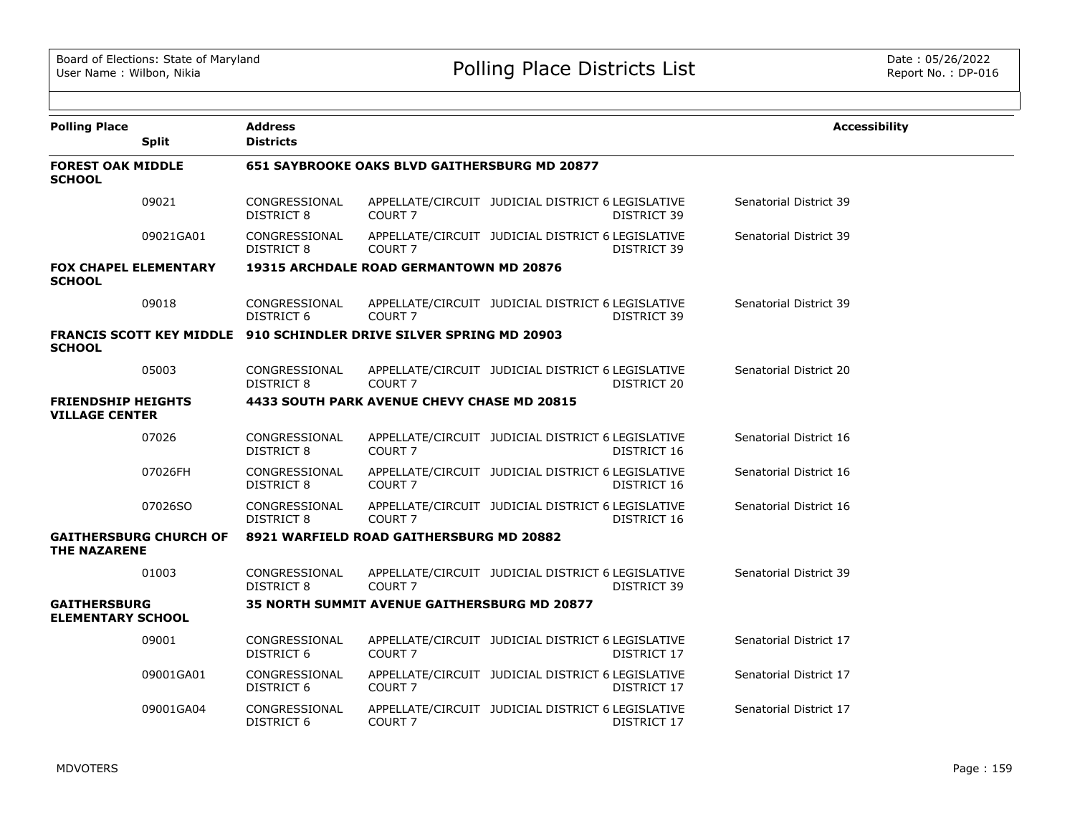| <b>Polling Place</b>                               | <b>Split</b>                  | <b>Address</b><br><b>Districts</b> |                                                                     |                                                                  | <b>Accessibility</b>   |
|----------------------------------------------------|-------------------------------|------------------------------------|---------------------------------------------------------------------|------------------------------------------------------------------|------------------------|
| <b>FOREST OAK MIDDLE</b><br><b>SCHOOL</b>          |                               |                                    | 651 SAYBROOKE OAKS BLVD GAITHERSBURG MD 20877                       |                                                                  |                        |
|                                                    | 09021                         | CONGRESSIONAL<br><b>DISTRICT 8</b> | COURT <sub>7</sub>                                                  | APPELLATE/CIRCUIT JUDICIAL DISTRICT 6 LEGISLATIVE<br>DISTRICT 39 | Senatorial District 39 |
|                                                    | 09021GA01                     | CONGRESSIONAL<br><b>DISTRICT 8</b> | COURT <sub>7</sub>                                                  | APPELLATE/CIRCUIT JUDICIAL DISTRICT 6 LEGISLATIVE<br>DISTRICT 39 | Senatorial District 39 |
| <b>FOX CHAPEL ELEMENTARY</b><br><b>SCHOOL</b>      |                               |                                    | 19315 ARCHDALE ROAD GERMANTOWN MD 20876                             |                                                                  |                        |
|                                                    | 09018                         | CONGRESSIONAL<br>DISTRICT 6        | COURT <sub>7</sub>                                                  | APPELLATE/CIRCUIT JUDICIAL DISTRICT 6 LEGISLATIVE<br>DISTRICT 39 | Senatorial District 39 |
| <b>SCHOOL</b>                                      |                               |                                    | FRANCIS SCOTT KEY MIDDLE 910 SCHINDLER DRIVE SILVER SPRING MD 20903 |                                                                  |                        |
|                                                    | 05003                         | CONGRESSIONAL<br>DISTRICT 8        | COURT <sub>7</sub>                                                  | APPELLATE/CIRCUIT JUDICIAL DISTRICT 6 LEGISLATIVE<br>DISTRICT 20 | Senatorial District 20 |
| <b>FRIENDSHIP HEIGHTS</b><br><b>VILLAGE CENTER</b> |                               |                                    | 4433 SOUTH PARK AVENUE CHEVY CHASE MD 20815                         |                                                                  |                        |
|                                                    | 07026                         | CONGRESSIONAL<br><b>DISTRICT 8</b> | COURT <sub>7</sub>                                                  | APPELLATE/CIRCUIT JUDICIAL DISTRICT 6 LEGISLATIVE<br>DISTRICT 16 | Senatorial District 16 |
|                                                    | 07026FH                       | CONGRESSIONAL<br>DISTRICT 8        | COURT <sub>7</sub>                                                  | APPELLATE/CIRCUIT JUDICIAL DISTRICT 6 LEGISLATIVE<br>DISTRICT 16 | Senatorial District 16 |
|                                                    | 07026SO                       | CONGRESSIONAL<br><b>DISTRICT 8</b> | COURT <sub>7</sub>                                                  | APPELLATE/CIRCUIT JUDICIAL DISTRICT 6 LEGISLATIVE<br>DISTRICT 16 | Senatorial District 16 |
| <b>THE NAZARENE</b>                                | <b>GAITHERSBURG CHURCH OF</b> |                                    | 8921 WARFIELD ROAD GAITHERSBURG MD 20882                            |                                                                  |                        |
|                                                    | 01003                         | CONGRESSIONAL<br><b>DISTRICT 8</b> | COURT <sub>7</sub>                                                  | APPELLATE/CIRCUIT JUDICIAL DISTRICT 6 LEGISLATIVE<br>DISTRICT 39 | Senatorial District 39 |
| <b>GAITHERSBURG</b><br><b>ELEMENTARY SCHOOL</b>    |                               |                                    | <b>35 NORTH SUMMIT AVENUE GAITHERSBURG MD 20877</b>                 |                                                                  |                        |
|                                                    | 09001                         | CONGRESSIONAL<br><b>DISTRICT 6</b> | COURT <sub>7</sub>                                                  | APPELLATE/CIRCUIT JUDICIAL DISTRICT 6 LEGISLATIVE<br>DISTRICT 17 | Senatorial District 17 |
|                                                    | 09001GA01                     | CONGRESSIONAL<br>DISTRICT 6        | COURT <sub>7</sub>                                                  | APPELLATE/CIRCUIT JUDICIAL DISTRICT 6 LEGISLATIVE<br>DISTRICT 17 | Senatorial District 17 |
|                                                    | 09001GA04                     | CONGRESSIONAL<br><b>DISTRICT 6</b> | COURT <sub>7</sub>                                                  | APPELLATE/CIRCUIT JUDICIAL DISTRICT 6 LEGISLATIVE<br>DISTRICT 17 | Senatorial District 17 |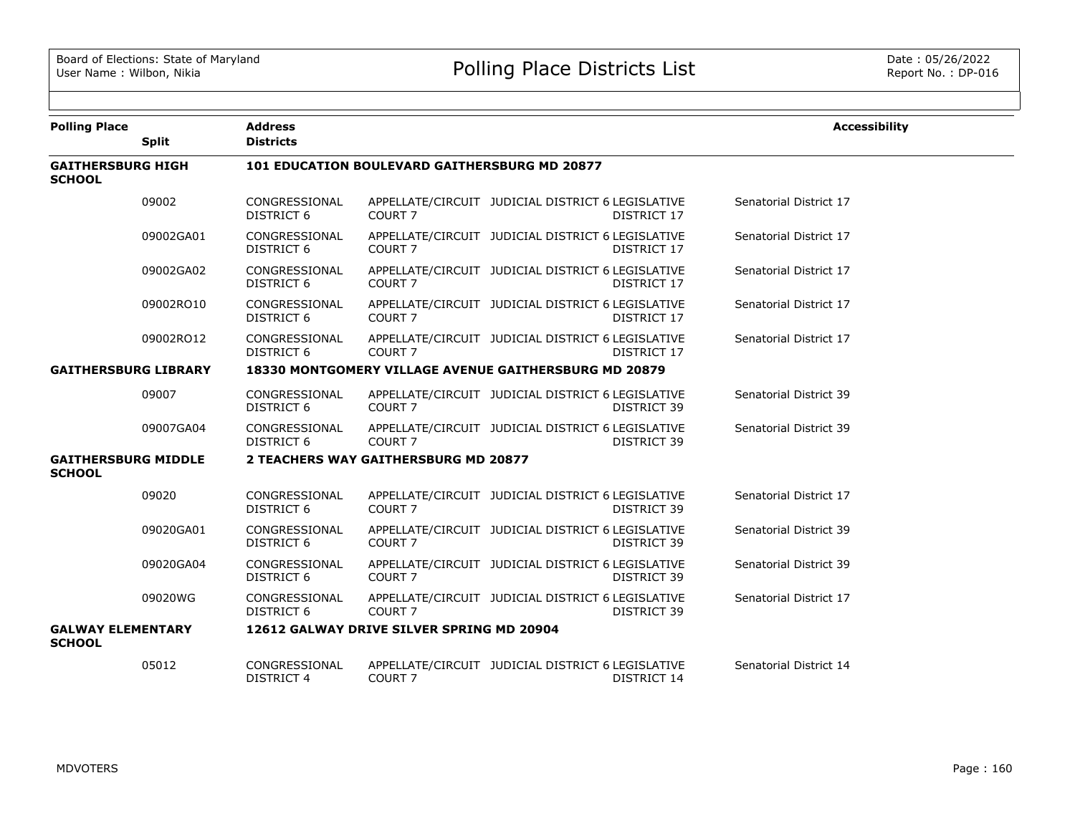| <b>Polling Place</b>                        | <b>Split</b> | <b>Address</b><br><b>Districts</b> |                                                      |                                                                  | <b>Accessibility</b>   |
|---------------------------------------------|--------------|------------------------------------|------------------------------------------------------|------------------------------------------------------------------|------------------------|
| <b>GAITHERSBURG HIGH</b><br><b>SCHOOL</b>   |              |                                    | <b>101 EDUCATION BOULEVARD GAITHERSBURG MD 20877</b> |                                                                  |                        |
|                                             | 09002        | CONGRESSIONAL<br><b>DISTRICT 6</b> | COURT <sub>7</sub>                                   | APPELLATE/CIRCUIT JUDICIAL DISTRICT 6 LEGISLATIVE<br>DISTRICT 17 | Senatorial District 17 |
|                                             | 09002GA01    | CONGRESSIONAL<br>DISTRICT 6        | COURT 7                                              | APPELLATE/CIRCUIT JUDICIAL DISTRICT 6 LEGISLATIVE<br>DISTRICT 17 | Senatorial District 17 |
|                                             | 09002GA02    | CONGRESSIONAL<br><b>DISTRICT 6</b> | COURT <sub>7</sub>                                   | APPELLATE/CIRCUIT JUDICIAL DISTRICT 6 LEGISLATIVE<br>DISTRICT 17 | Senatorial District 17 |
|                                             | 09002RO10    | CONGRESSIONAL<br>DISTRICT 6        | COURT <sub>7</sub>                                   | APPELLATE/CIRCUIT JUDICIAL DISTRICT 6 LEGISLATIVE<br>DISTRICT 17 | Senatorial District 17 |
|                                             | 09002RO12    | CONGRESSIONAL<br><b>DISTRICT 6</b> | COURT <sub>7</sub>                                   | APPELLATE/CIRCUIT JUDICIAL DISTRICT 6 LEGISLATIVE<br>DISTRICT 17 | Senatorial District 17 |
| <b>GAITHERSBURG LIBRARY</b>                 |              |                                    |                                                      | 18330 MONTGOMERY VILLAGE AVENUE GAITHERSBURG MD 20879            |                        |
|                                             | 09007        | CONGRESSIONAL<br><b>DISTRICT 6</b> | COURT <sub>7</sub>                                   | APPELLATE/CIRCUIT JUDICIAL DISTRICT 6 LEGISLATIVE<br>DISTRICT 39 | Senatorial District 39 |
|                                             | 09007GA04    | CONGRESSIONAL<br><b>DISTRICT 6</b> | COURT <sub>7</sub>                                   | APPELLATE/CIRCUIT JUDICIAL DISTRICT 6 LEGISLATIVE<br>DISTRICT 39 | Senatorial District 39 |
| <b>GAITHERSBURG MIDDLE</b><br><b>SCHOOL</b> |              |                                    | 2 TEACHERS WAY GAITHERSBURG MD 20877                 |                                                                  |                        |
|                                             | 09020        | CONGRESSIONAL<br><b>DISTRICT 6</b> | COURT <sub>7</sub>                                   | APPELLATE/CIRCUIT JUDICIAL DISTRICT 6 LEGISLATIVE<br>DISTRICT 39 | Senatorial District 17 |
|                                             | 09020GA01    | CONGRESSIONAL<br><b>DISTRICT 6</b> | COURT <sub>7</sub>                                   | APPELLATE/CIRCUIT JUDICIAL DISTRICT 6 LEGISLATIVE<br>DISTRICT 39 | Senatorial District 39 |
|                                             | 09020GA04    | CONGRESSIONAL<br><b>DISTRICT 6</b> | COURT 7                                              | APPELLATE/CIRCUIT JUDICIAL DISTRICT 6 LEGISLATIVE<br>DISTRICT 39 | Senatorial District 39 |
|                                             | 09020WG      | CONGRESSIONAL<br><b>DISTRICT 6</b> | COURT <sub>7</sub>                                   | APPELLATE/CIRCUIT JUDICIAL DISTRICT 6 LEGISLATIVE<br>DISTRICT 39 | Senatorial District 17 |
| <b>GALWAY ELEMENTARY</b><br><b>SCHOOL</b>   |              |                                    | 12612 GALWAY DRIVE SILVER SPRING MD 20904            |                                                                  |                        |
|                                             | 05012        | CONGRESSIONAL<br><b>DISTRICT 4</b> | COURT 7                                              | APPELLATE/CIRCUIT JUDICIAL DISTRICT 6 LEGISLATIVE<br>DISTRICT 14 | Senatorial District 14 |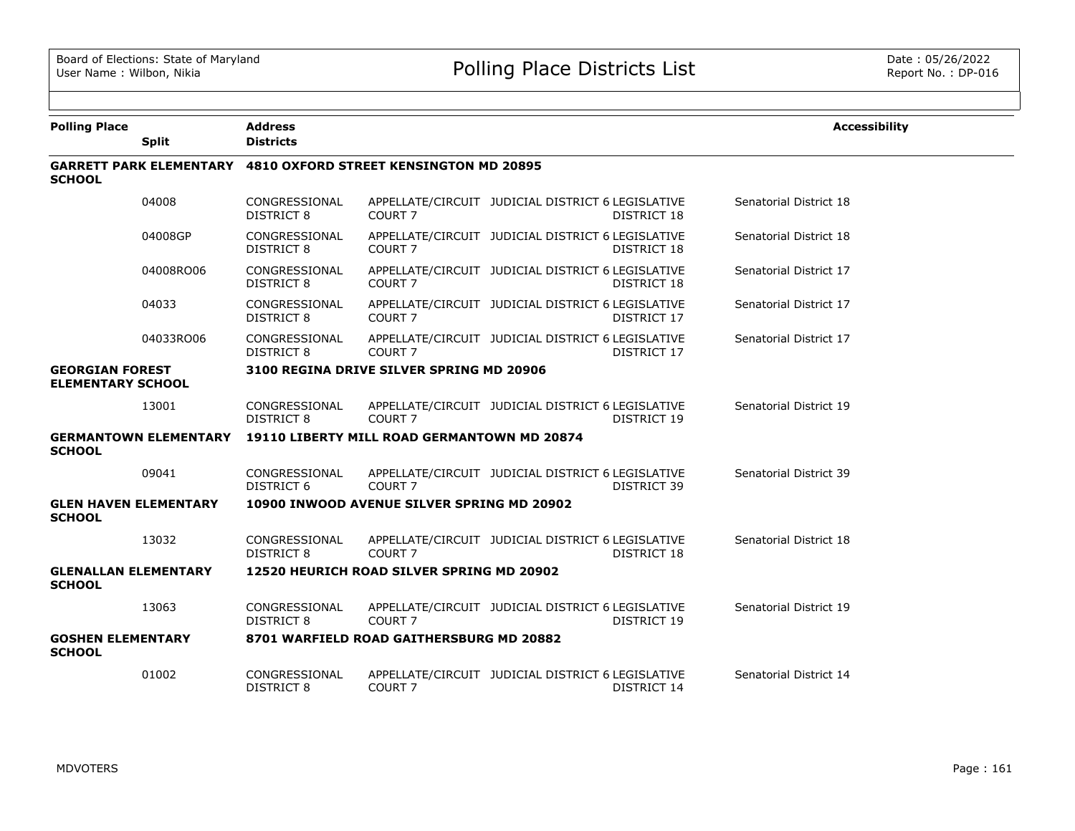| <b>Polling Place</b>                               |                              | <b>Address</b>                     |                                                                       |                                                                         | <b>Accessibility</b>   |
|----------------------------------------------------|------------------------------|------------------------------------|-----------------------------------------------------------------------|-------------------------------------------------------------------------|------------------------|
|                                                    | <b>Split</b>                 | <b>Districts</b>                   |                                                                       |                                                                         |                        |
| <b>SCHOOL</b>                                      |                              |                                    | <b>GARRETT PARK ELEMENTARY 4810 OXFORD STREET KENSINGTON MD 20895</b> |                                                                         |                        |
|                                                    | 04008                        | CONGRESSIONAL<br><b>DISTRICT 8</b> | COURT <sub>7</sub>                                                    | APPELLATE/CIRCUIT JUDICIAL DISTRICT 6 LEGISLATIVE<br>DISTRICT 18        | Senatorial District 18 |
|                                                    | 04008GP                      | CONGRESSIONAL<br>DISTRICT 8        | COURT <sub>7</sub>                                                    | APPELLATE/CIRCUIT JUDICIAL DISTRICT 6 LEGISLATIVE<br>DISTRICT 18        | Senatorial District 18 |
|                                                    | 04008RO06                    | CONGRESSIONAL<br><b>DISTRICT 8</b> | COURT <sub>7</sub>                                                    | APPELLATE/CIRCUIT JUDICIAL DISTRICT 6 LEGISLATIVE<br><b>DISTRICT 18</b> | Senatorial District 17 |
|                                                    | 04033                        | CONGRESSIONAL<br><b>DISTRICT 8</b> | COURT <sub>7</sub>                                                    | APPELLATE/CIRCUIT JUDICIAL DISTRICT 6 LEGISLATIVE<br>DISTRICT 17        | Senatorial District 17 |
|                                                    | 04033RO06                    | CONGRESSIONAL<br><b>DISTRICT 8</b> | COURT <sub>7</sub>                                                    | APPELLATE/CIRCUIT JUDICIAL DISTRICT 6 LEGISLATIVE<br>DISTRICT 17        | Senatorial District 17 |
| <b>GEORGIAN FOREST</b><br><b>ELEMENTARY SCHOOL</b> |                              |                                    | 3100 REGINA DRIVE SILVER SPRING MD 20906                              |                                                                         |                        |
|                                                    | 13001                        | CONGRESSIONAL<br>DISTRICT 8        | COURT <sub>7</sub>                                                    | APPELLATE/CIRCUIT JUDICIAL DISTRICT 6 LEGISLATIVE<br>DISTRICT 19        | Senatorial District 19 |
| <b>SCHOOL</b>                                      | <b>GERMANTOWN ELEMENTARY</b> |                                    | 19110 LIBERTY MILL ROAD GERMANTOWN MD 20874                           |                                                                         |                        |
|                                                    | 09041                        | CONGRESSIONAL<br>DISTRICT 6        | COURT <sub>7</sub>                                                    | APPELLATE/CIRCUIT JUDICIAL DISTRICT 6 LEGISLATIVE<br>DISTRICT 39        | Senatorial District 39 |
| <b>GLEN HAVEN ELEMENTARY</b><br><b>SCHOOL</b>      |                              |                                    | 10900 INWOOD AVENUE SILVER SPRING MD 20902                            |                                                                         |                        |
|                                                    | 13032                        | CONGRESSIONAL<br><b>DISTRICT 8</b> | COURT <sub>7</sub>                                                    | APPELLATE/CIRCUIT JUDICIAL DISTRICT 6 LEGISLATIVE<br><b>DISTRICT 18</b> | Senatorial District 18 |
| <b>GLENALLAN ELEMENTARY</b><br><b>SCHOOL</b>       |                              |                                    | 12520 HEURICH ROAD SILVER SPRING MD 20902                             |                                                                         |                        |
|                                                    | 13063                        | CONGRESSIONAL<br><b>DISTRICT 8</b> | COURT <sub>7</sub>                                                    | APPELLATE/CIRCUIT JUDICIAL DISTRICT 6 LEGISLATIVE<br>DISTRICT 19        | Senatorial District 19 |
| <b>GOSHEN ELEMENTARY</b><br><b>SCHOOL</b>          |                              |                                    | 8701 WARFIELD ROAD GAITHERSBURG MD 20882                              |                                                                         |                        |
|                                                    | 01002                        | CONGRESSIONAL<br>DISTRICT 8        | COURT <sub>7</sub>                                                    | APPELLATE/CIRCUIT JUDICIAL DISTRICT 6 LEGISLATIVE<br>DISTRICT 14        | Senatorial District 14 |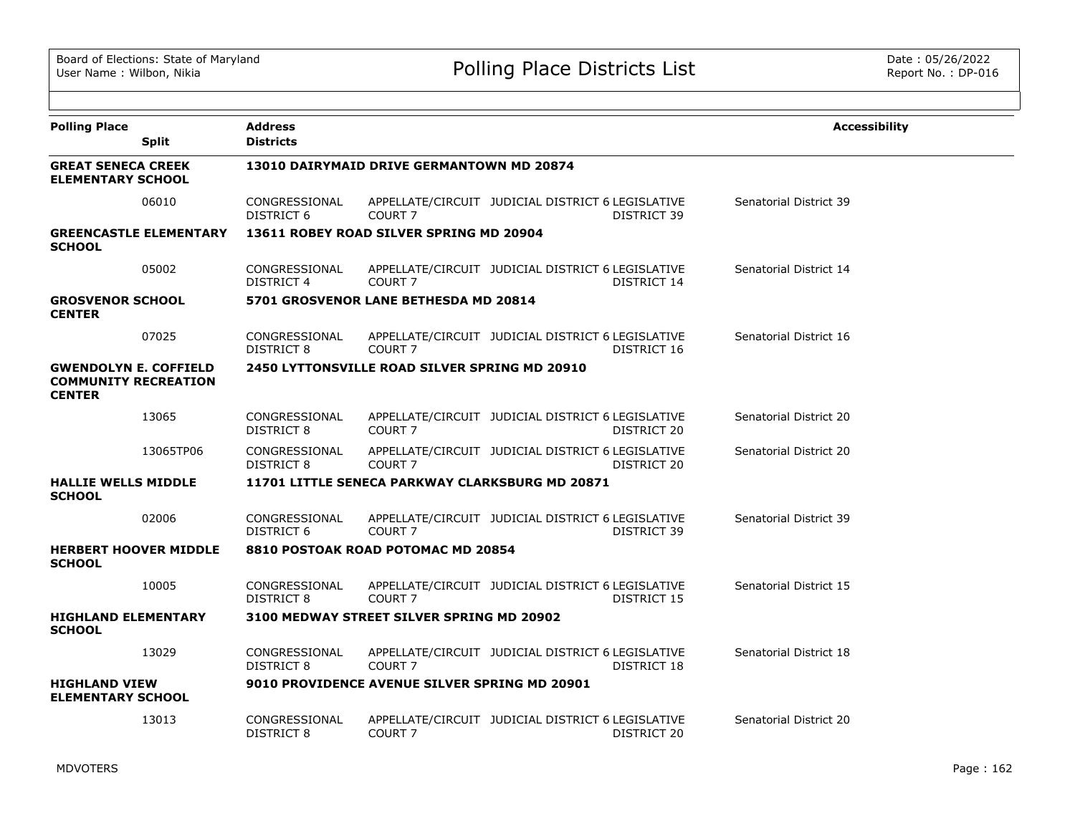| <b>Polling Place</b>                                                         | <b>Split</b>                  | <b>Address</b><br><b>Districts</b> |                                                      |                                                                  | <b>Accessibility</b>   |
|------------------------------------------------------------------------------|-------------------------------|------------------------------------|------------------------------------------------------|------------------------------------------------------------------|------------------------|
| <b>GREAT SENECA CREEK</b><br><b>ELEMENTARY SCHOOL</b>                        |                               |                                    | 13010 DAIRYMAID DRIVE GERMANTOWN MD 20874            |                                                                  |                        |
|                                                                              | 06010                         | CONGRESSIONAL<br>DISTRICT 6        | COURT <sub>7</sub>                                   | APPELLATE/CIRCUIT JUDICIAL DISTRICT 6 LEGISLATIVE<br>DISTRICT 39 | Senatorial District 39 |
| <b>SCHOOL</b>                                                                | <b>GREENCASTLE ELEMENTARY</b> |                                    | 13611 ROBEY ROAD SILVER SPRING MD 20904              |                                                                  |                        |
|                                                                              | 05002                         | CONGRESSIONAL<br>DISTRICT 4        | COURT <sub>7</sub>                                   | APPELLATE/CIRCUIT JUDICIAL DISTRICT 6 LEGISLATIVE<br>DISTRICT 14 | Senatorial District 14 |
| <b>GROSVENOR SCHOOL</b><br><b>CENTER</b>                                     |                               |                                    | 5701 GROSVENOR LANE BETHESDA MD 20814                |                                                                  |                        |
|                                                                              | 07025                         | CONGRESSIONAL<br>DISTRICT 8        | COURT <sub>7</sub>                                   | APPELLATE/CIRCUIT JUDICIAL DISTRICT 6 LEGISLATIVE<br>DISTRICT 16 | Senatorial District 16 |
| <b>GWENDOLYN E. COFFIELD</b><br><b>COMMUNITY RECREATION</b><br><b>CENTER</b> |                               |                                    | <b>2450 LYTTONSVILLE ROAD SILVER SPRING MD 20910</b> |                                                                  |                        |
|                                                                              | 13065                         | CONGRESSIONAL<br>DISTRICT 8        | COURT <sub>7</sub>                                   | APPELLATE/CIRCUIT JUDICIAL DISTRICT 6 LEGISLATIVE<br>DISTRICT 20 | Senatorial District 20 |
|                                                                              | 13065TP06                     | CONGRESSIONAL<br><b>DISTRICT 8</b> | COURT <sub>7</sub>                                   | APPELLATE/CIRCUIT JUDICIAL DISTRICT 6 LEGISLATIVE<br>DISTRICT 20 | Senatorial District 20 |
| <b>HALLIE WELLS MIDDLE</b><br><b>SCHOOL</b>                                  |                               |                                    |                                                      | 11701 LITTLE SENECA PARKWAY CLARKSBURG MD 20871                  |                        |
|                                                                              | 02006                         | CONGRESSIONAL<br>DISTRICT 6        | COURT <sub>7</sub>                                   | APPELLATE/CIRCUIT JUDICIAL DISTRICT 6 LEGISLATIVE<br>DISTRICT 39 | Senatorial District 39 |
| <b>SCHOOL</b>                                                                | <b>HERBERT HOOVER MIDDLE</b>  |                                    | 8810 POSTOAK ROAD POTOMAC MD 20854                   |                                                                  |                        |
|                                                                              | 10005                         | CONGRESSIONAL<br>DISTRICT 8        | COURT <sub>7</sub>                                   | APPELLATE/CIRCUIT JUDICIAL DISTRICT 6 LEGISLATIVE<br>DISTRICT 15 | Senatorial District 15 |
| <b>HIGHLAND ELEMENTARY</b><br><b>SCHOOL</b>                                  |                               |                                    | 3100 MEDWAY STREET SILVER SPRING MD 20902            |                                                                  |                        |
|                                                                              | 13029                         | CONGRESSIONAL<br>DISTRICT 8        | COURT <sub>7</sub>                                   | APPELLATE/CIRCUIT JUDICIAL DISTRICT 6 LEGISLATIVE<br>DISTRICT 18 | Senatorial District 18 |
| <b>HIGHLAND VIEW</b><br><b>ELEMENTARY SCHOOL</b>                             |                               |                                    | 9010 PROVIDENCE AVENUE SILVER SPRING MD 20901        |                                                                  |                        |
|                                                                              | 13013                         | CONGRESSIONAL<br>DISTRICT 8        | COURT <sub>7</sub>                                   | APPELLATE/CIRCUIT JUDICIAL DISTRICT 6 LEGISLATIVE<br>DISTRICT 20 | Senatorial District 20 |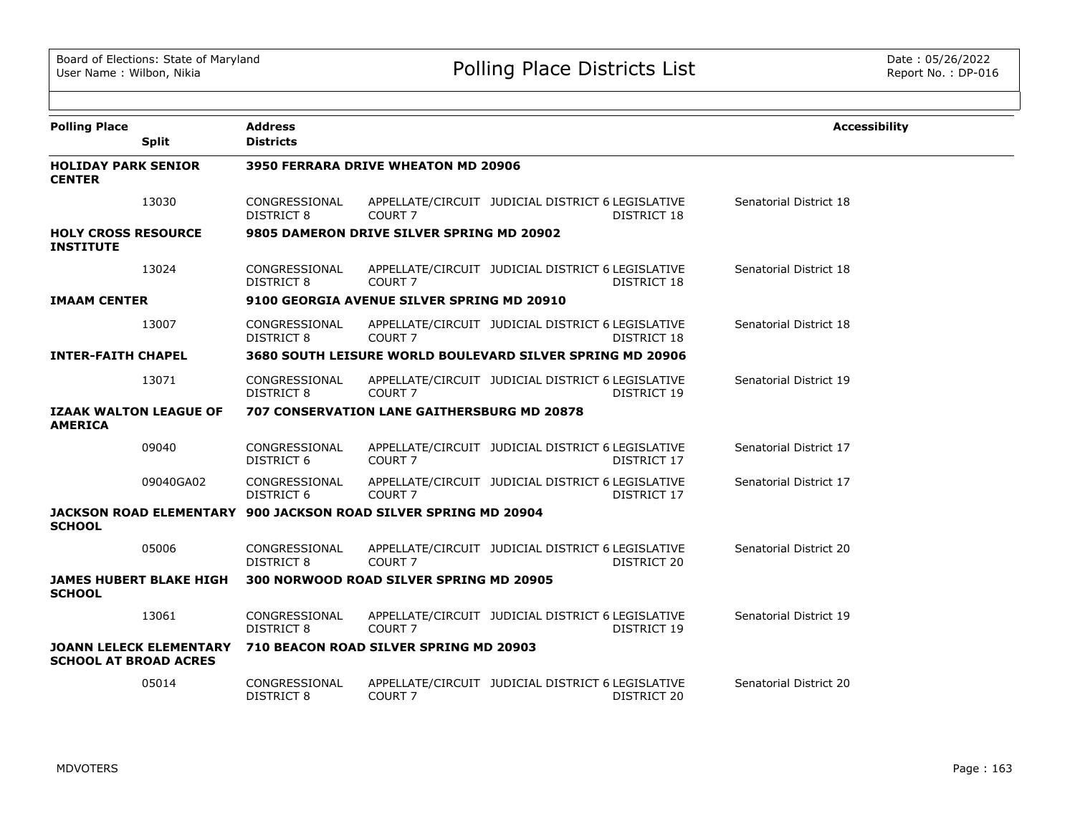| <b>Polling Place</b>                           |                                | <b>Address</b>                     |                                                                 |                                                                  | <b>Accessibility</b>   |
|------------------------------------------------|--------------------------------|------------------------------------|-----------------------------------------------------------------|------------------------------------------------------------------|------------------------|
|                                                | <b>Split</b>                   | <b>Districts</b>                   |                                                                 |                                                                  |                        |
| <b>HOLIDAY PARK SENIOR</b><br><b>CENTER</b>    |                                |                                    | 3950 FERRARA DRIVE WHEATON MD 20906                             |                                                                  |                        |
|                                                | 13030                          | CONGRESSIONAL<br>DISTRICT 8        | COURT <sub>7</sub>                                              | APPELLATE/CIRCUIT JUDICIAL DISTRICT 6 LEGISLATIVE<br>DISTRICT 18 | Senatorial District 18 |
| <b>HOLY CROSS RESOURCE</b><br><b>INSTITUTE</b> |                                |                                    | 9805 DAMERON DRIVE SILVER SPRING MD 20902                       |                                                                  |                        |
|                                                | 13024                          | CONGRESSIONAL<br>DISTRICT 8        | COURT <sub>7</sub>                                              | APPELLATE/CIRCUIT JUDICIAL DISTRICT 6 LEGISLATIVE<br>DISTRICT 18 | Senatorial District 18 |
| <b>IMAAM CENTER</b>                            |                                |                                    | 9100 GEORGIA AVENUE SILVER SPRING MD 20910                      |                                                                  |                        |
|                                                | 13007                          | CONGRESSIONAL<br>DISTRICT 8        | COURT <sub>7</sub>                                              | APPELLATE/CIRCUIT JUDICIAL DISTRICT 6 LEGISLATIVE<br>DISTRICT 18 | Senatorial District 18 |
| <b>INTER-FAITH CHAPEL</b>                      |                                |                                    |                                                                 | 3680 SOUTH LEISURE WORLD BOULEVARD SILVER SPRING MD 20906        |                        |
|                                                | 13071                          | CONGRESSIONAL<br>DISTRICT 8        | COURT <sub>7</sub>                                              | APPELLATE/CIRCUIT JUDICIAL DISTRICT 6 LEGISLATIVE<br>DISTRICT 19 | Senatorial District 19 |
| <b>AMERICA</b>                                 | <b>IZAAK WALTON LEAGUE OF</b>  |                                    | <b>707 CONSERVATION LANE GAITHERSBURG MD 20878</b>              |                                                                  |                        |
|                                                | 09040                          | CONGRESSIONAL<br>DISTRICT 6        | COURT <sub>7</sub>                                              | APPELLATE/CIRCUIT JUDICIAL DISTRICT 6 LEGISLATIVE<br>DISTRICT 17 | Senatorial District 17 |
|                                                | 09040GA02                      | CONGRESSIONAL<br><b>DISTRICT 6</b> | COURT <sub>7</sub>                                              | APPELLATE/CIRCUIT JUDICIAL DISTRICT 6 LEGISLATIVE<br>DISTRICT 17 | Senatorial District 17 |
| <b>SCHOOL</b>                                  |                                |                                    | JACKSON ROAD ELEMENTARY 900 JACKSON ROAD SILVER SPRING MD 20904 |                                                                  |                        |
|                                                | 05006                          | CONGRESSIONAL<br>DISTRICT 8        | COURT <sub>7</sub>                                              | APPELLATE/CIRCUIT JUDICIAL DISTRICT 6 LEGISLATIVE<br>DISTRICT 20 | Senatorial District 20 |
| <b>SCHOOL</b>                                  | <b>JAMES HUBERT BLAKE HIGH</b> |                                    | 300 NORWOOD ROAD SILVER SPRING MD 20905                         |                                                                  |                        |
|                                                | 13061                          | CONGRESSIONAL<br><b>DISTRICT 8</b> | COURT <sub>7</sub>                                              | APPELLATE/CIRCUIT JUDICIAL DISTRICT 6 LEGISLATIVE<br>DISTRICT 19 | Senatorial District 19 |
| <b>SCHOOL AT BROAD ACRES</b>                   | <b>JOANN LELECK ELEMENTARY</b> |                                    | 710 BEACON ROAD SILVER SPRING MD 20903                          |                                                                  |                        |
|                                                | 05014                          | CONGRESSIONAL<br><b>DISTRICT 8</b> | COURT <sub>7</sub>                                              | APPELLATE/CIRCUIT JUDICIAL DISTRICT 6 LEGISLATIVE<br>DISTRICT 20 | Senatorial District 20 |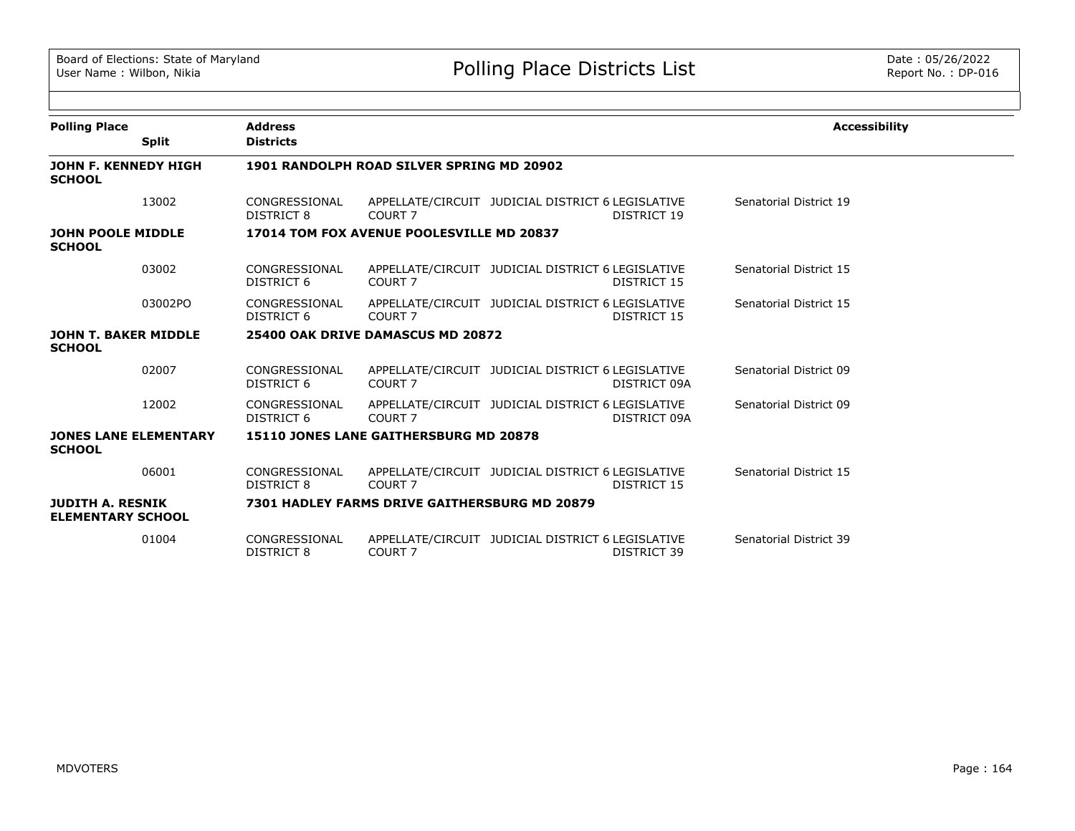| <b>Polling Place</b>                                |              | <b>Address</b>              |                                                                         |                                                   |              | <b>Accessibility</b>   |
|-----------------------------------------------------|--------------|-----------------------------|-------------------------------------------------------------------------|---------------------------------------------------|--------------|------------------------|
|                                                     | <b>Split</b> | <b>Districts</b>            |                                                                         |                                                   |              |                        |
| JOHN F. KENNEDY HIGH<br><b>SCHOOL</b>               |              |                             | 1901 RANDOLPH ROAD SILVER SPRING MD 20902                               |                                                   |              |                        |
|                                                     | 13002        | CONGRESSIONAL<br>DISTRICT 8 | APPELLATE/CIRCUIT JUDICIAL DISTRICT 6 LEGISLATIVE<br>COURT 7            |                                                   | DISTRICT 19  | Senatorial District 19 |
| <b>JOHN POOLE MIDDLE</b><br><b>SCHOOL</b>           |              |                             | 17014 TOM FOX AVENUE POOLESVILLE MD 20837                               |                                                   |              |                        |
|                                                     | 03002        | CONGRESSIONAL<br>DISTRICT 6 | COURT <sub>7</sub>                                                      | APPELLATE/CIRCUIT JUDICIAL DISTRICT 6 LEGISLATIVE | DISTRICT 15  | Senatorial District 15 |
|                                                     | 03002PO      | CONGRESSIONAL<br>DISTRICT 6 | COURT <sub>7</sub>                                                      | APPELLATE/CIRCUIT JUDICIAL DISTRICT 6 LEGISLATIVE | DISTRICT 15  | Senatorial District 15 |
| <b>JOHN T. BAKER MIDDLE</b><br><b>SCHOOL</b>        |              |                             | 25400 OAK DRIVE DAMASCUS MD 20872                                       |                                                   |              |                        |
|                                                     | 02007        | CONGRESSIONAL<br>DISTRICT 6 | COURT 7                                                                 | APPELLATE/CIRCUIT JUDICIAL DISTRICT 6 LEGISLATIVE | DISTRICT 09A | Senatorial District 09 |
|                                                     | 12002        | CONGRESSIONAL<br>DISTRICT 6 | COURT <sub>7</sub>                                                      | APPELLATE/CIRCUIT JUDICIAL DISTRICT 6 LEGISLATIVE | DISTRICT 09A | Senatorial District 09 |
| <b>JONES LANE ELEMENTARY</b><br><b>SCHOOL</b>       |              |                             | <b>15110 JONES LANE GAITHERSBURG MD 20878</b>                           |                                                   |              |                        |
|                                                     | 06001        | CONGRESSIONAL<br>DISTRICT 8 | APPELLATE/CIRCUIT JUDICIAL DISTRICT 6 LEGISLATIVE<br>COURT <sub>7</sub> |                                                   | DISTRICT 15  | Senatorial District 15 |
| <b>JUDITH A. RESNIK</b><br><b>ELEMENTARY SCHOOL</b> |              |                             | 7301 HADLEY FARMS DRIVE GAITHERSBURG MD 20879                           |                                                   |              |                        |
|                                                     | 01004        | CONGRESSIONAL<br>DISTRICT 8 | COURT <sub>7</sub>                                                      | APPELLATE/CIRCUIT JUDICIAL DISTRICT 6 LEGISLATIVE | DISTRICT 39  | Senatorial District 39 |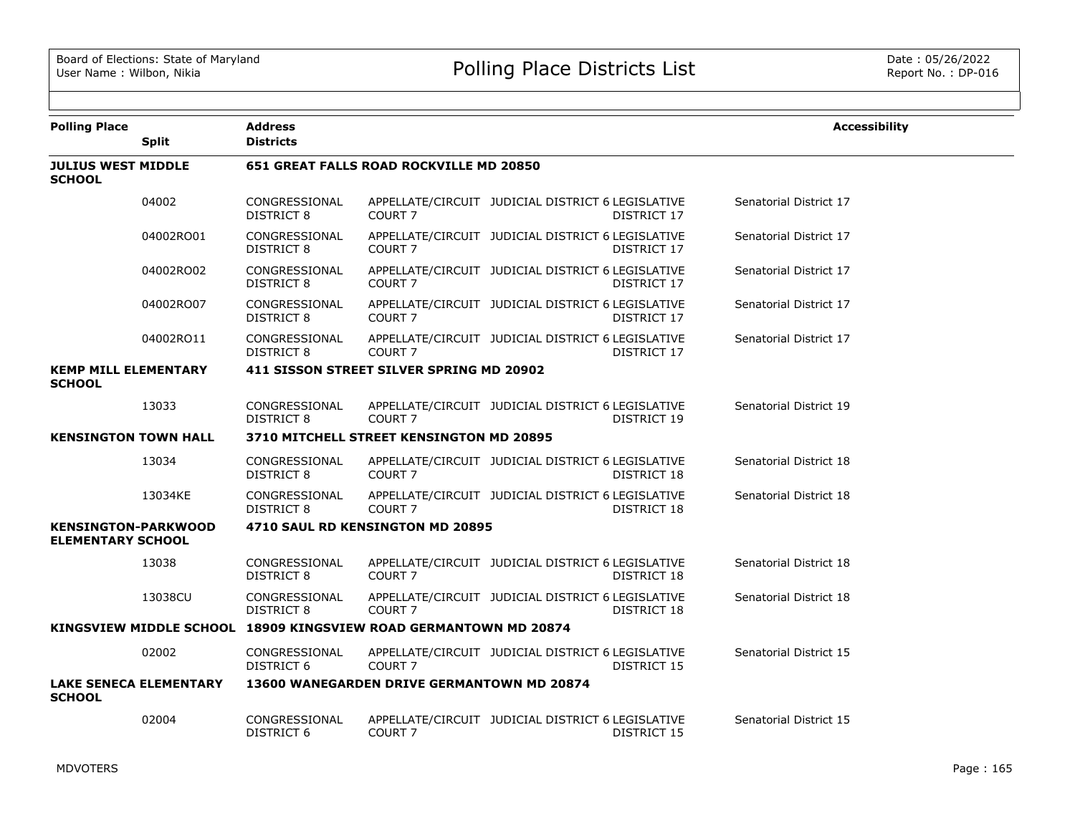| <b>Polling Place</b>                                   | <b>Split</b>                  | <b>Address</b><br><b>Districts</b> |                                                                  |                                                                  | <b>Accessibility</b>   |
|--------------------------------------------------------|-------------------------------|------------------------------------|------------------------------------------------------------------|------------------------------------------------------------------|------------------------|
| <b>JULIUS WEST MIDDLE</b><br><b>SCHOOL</b>             |                               |                                    | 651 GREAT FALLS ROAD ROCKVILLE MD 20850                          |                                                                  |                        |
|                                                        | 04002                         | CONGRESSIONAL<br>DISTRICT 8        | COURT <sub>7</sub>                                               | APPELLATE/CIRCUIT JUDICIAL DISTRICT 6 LEGISLATIVE<br>DISTRICT 17 | Senatorial District 17 |
|                                                        | 04002RO01                     | CONGRESSIONAL<br><b>DISTRICT 8</b> | COURT <sub>7</sub>                                               | APPELLATE/CIRCUIT JUDICIAL DISTRICT 6 LEGISLATIVE<br>DISTRICT 17 | Senatorial District 17 |
|                                                        | 04002RO02                     | CONGRESSIONAL<br><b>DISTRICT 8</b> | COURT <sub>7</sub>                                               | APPELLATE/CIRCUIT JUDICIAL DISTRICT 6 LEGISLATIVE<br>DISTRICT 17 | Senatorial District 17 |
|                                                        | 04002RO07                     | CONGRESSIONAL<br>DISTRICT 8        | COURT <sub>7</sub>                                               | APPELLATE/CIRCUIT JUDICIAL DISTRICT 6 LEGISLATIVE<br>DISTRICT 17 | Senatorial District 17 |
|                                                        | 04002RO11                     | CONGRESSIONAL<br>DISTRICT 8        | <b>COURT 7</b>                                                   | APPELLATE/CIRCUIT JUDICIAL DISTRICT 6 LEGISLATIVE<br>DISTRICT 17 | Senatorial District 17 |
| <b>KEMP MILL ELEMENTARY</b><br><b>SCHOOL</b>           |                               |                                    | 411 SISSON STREET SILVER SPRING MD 20902                         |                                                                  |                        |
|                                                        | 13033                         | CONGRESSIONAL<br>DISTRICT 8        | COURT <sub>7</sub>                                               | APPELLATE/CIRCUIT JUDICIAL DISTRICT 6 LEGISLATIVE<br>DISTRICT 19 | Senatorial District 19 |
| <b>KENSINGTON TOWN HALL</b>                            |                               |                                    | 3710 MITCHELL STREET KENSINGTON MD 20895                         |                                                                  |                        |
|                                                        | 13034                         | CONGRESSIONAL<br>DISTRICT 8        | COURT <sub>7</sub>                                               | APPELLATE/CIRCUIT JUDICIAL DISTRICT 6 LEGISLATIVE<br>DISTRICT 18 | Senatorial District 18 |
|                                                        | 13034KE                       | CONGRESSIONAL<br>DISTRICT 8        | COURT <sub>7</sub>                                               | APPELLATE/CIRCUIT JUDICIAL DISTRICT 6 LEGISLATIVE<br>DISTRICT 18 | Senatorial District 18 |
| <b>KENSINGTON-PARKWOOD</b><br><b>ELEMENTARY SCHOOL</b> |                               |                                    | 4710 SAUL RD KENSINGTON MD 20895                                 |                                                                  |                        |
|                                                        | 13038                         | CONGRESSIONAL<br>DISTRICT 8        | COURT <sub>7</sub>                                               | APPELLATE/CIRCUIT JUDICIAL DISTRICT 6 LEGISLATIVE<br>DISTRICT 18 | Senatorial District 18 |
|                                                        | 13038CU                       | CONGRESSIONAL<br>DISTRICT 8        | <b>COURT 7</b>                                                   | APPELLATE/CIRCUIT JUDICIAL DISTRICT 6 LEGISLATIVE<br>DISTRICT 18 | Senatorial District 18 |
|                                                        |                               |                                    | KINGSVIEW MIDDLE SCHOOL 18909 KINGSVIEW ROAD GERMANTOWN MD 20874 |                                                                  |                        |
|                                                        | 02002                         | CONGRESSIONAL<br>DISTRICT 6        | COURT 7                                                          | APPELLATE/CIRCUIT JUDICIAL DISTRICT 6 LEGISLATIVE<br>DISTRICT 15 | Senatorial District 15 |
| <b>SCHOOL</b>                                          | <b>LAKE SENECA ELEMENTARY</b> |                                    | <b>13600 WANEGARDEN DRIVE GERMANTOWN MD 20874</b>                |                                                                  |                        |
|                                                        | 02004                         | CONGRESSIONAL<br>DISTRICT 6        | <b>COURT 7</b>                                                   | APPELLATE/CIRCUIT JUDICIAL DISTRICT 6 LEGISLATIVE<br>DISTRICT 15 | Senatorial District 15 |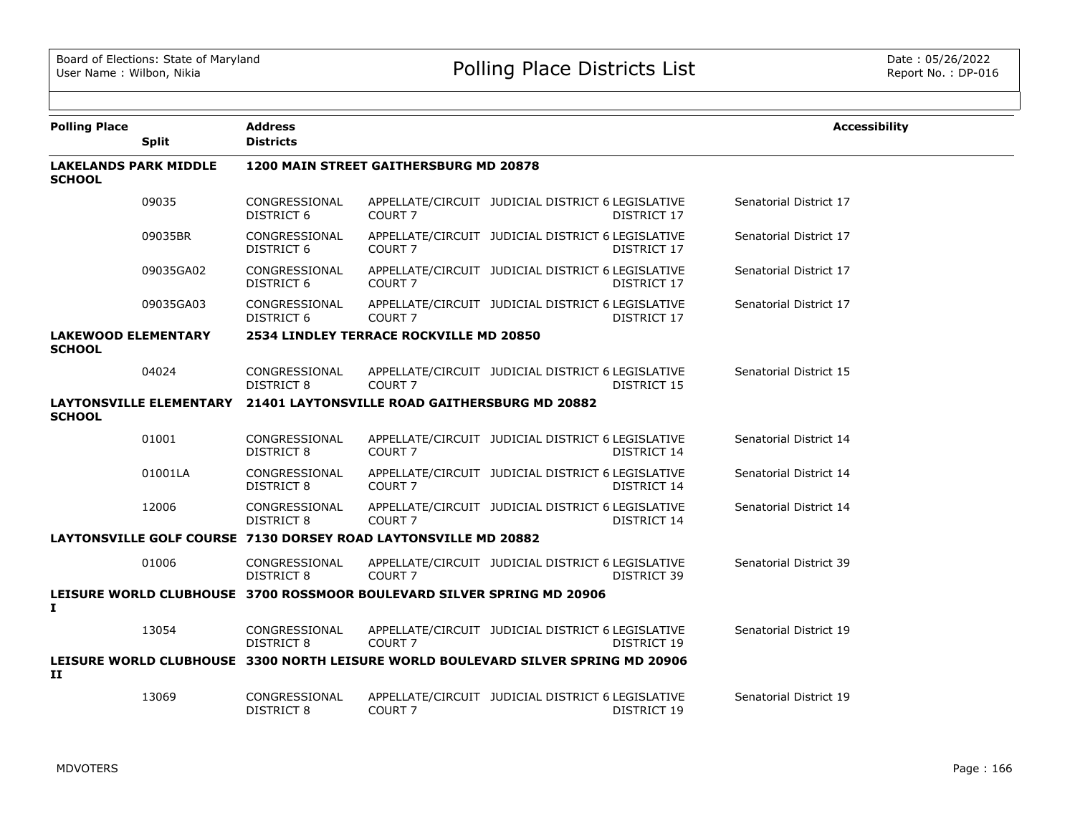| <b>Polling Place</b>                          | <b>Split</b>                   | <b>Address</b><br><b>Districts</b> |                                                                                    |                                                   |                    | <b>Accessibility</b>   |  |
|-----------------------------------------------|--------------------------------|------------------------------------|------------------------------------------------------------------------------------|---------------------------------------------------|--------------------|------------------------|--|
| <b>LAKELANDS PARK MIDDLE</b><br><b>SCHOOL</b> |                                |                                    | 1200 MAIN STREET GAITHERSBURG MD 20878                                             |                                                   |                    |                        |  |
|                                               | 09035                          | CONGRESSIONAL<br>DISTRICT 6        | COURT <sub>7</sub>                                                                 | APPELLATE/CIRCUIT JUDICIAL DISTRICT 6 LEGISLATIVE | <b>DISTRICT 17</b> | Senatorial District 17 |  |
|                                               | 09035BR                        | CONGRESSIONAL<br>DISTRICT 6        | COURT <sub>7</sub>                                                                 | APPELLATE/CIRCUIT JUDICIAL DISTRICT 6 LEGISLATIVE | DISTRICT 17        | Senatorial District 17 |  |
|                                               | 09035GA02                      | CONGRESSIONAL<br>DISTRICT 6        | COURT <sub>7</sub>                                                                 | APPELLATE/CIRCUIT JUDICIAL DISTRICT 6 LEGISLATIVE | DISTRICT 17        | Senatorial District 17 |  |
|                                               | 09035GA03                      | CONGRESSIONAL<br>DISTRICT 6        | COURT <sub>7</sub>                                                                 | APPELLATE/CIRCUIT JUDICIAL DISTRICT 6 LEGISLATIVE | DISTRICT 17        | Senatorial District 17 |  |
| <b>LAKEWOOD ELEMENTARY</b><br><b>SCHOOL</b>   |                                |                                    | 2534 LINDLEY TERRACE ROCKVILLE MD 20850                                            |                                                   |                    |                        |  |
|                                               | 04024                          | CONGRESSIONAL<br>DISTRICT 8        | COURT <sub>7</sub>                                                                 | APPELLATE/CIRCUIT JUDICIAL DISTRICT 6 LEGISLATIVE | DISTRICT 15        | Senatorial District 15 |  |
| <b>SCHOOL</b>                                 | <b>LAYTONSVILLE ELEMENTARY</b> |                                    | 21401 LAYTONSVILLE ROAD GAITHERSBURG MD 20882                                      |                                                   |                    |                        |  |
|                                               | 01001                          | CONGRESSIONAL<br>DISTRICT 8        | COURT <sub>7</sub>                                                                 | APPELLATE/CIRCUIT JUDICIAL DISTRICT 6 LEGISLATIVE | DISTRICT 14        | Senatorial District 14 |  |
|                                               | 01001LA                        | CONGRESSIONAL<br><b>DISTRICT 8</b> | COURT <sub>7</sub>                                                                 | APPELLATE/CIRCUIT JUDICIAL DISTRICT 6 LEGISLATIVE | DISTRICT 14        | Senatorial District 14 |  |
|                                               | 12006                          | CONGRESSIONAL<br><b>DISTRICT 8</b> | COURT <sub>7</sub>                                                                 | APPELLATE/CIRCUIT JUDICIAL DISTRICT 6 LEGISLATIVE | DISTRICT 14        | Senatorial District 14 |  |
|                                               |                                |                                    | LAYTONSVILLE GOLF COURSE 7130 DORSEY ROAD LAYTONSVILLE MD 20882                    |                                                   |                    |                        |  |
|                                               | 01006                          | CONGRESSIONAL<br>DISTRICT 8        | COURT <sub>7</sub>                                                                 | APPELLATE/CIRCUIT JUDICIAL DISTRICT 6 LEGISLATIVE | DISTRICT 39        | Senatorial District 39 |  |
| $\mathbf{I}$                                  |                                |                                    | LEISURE WORLD CLUBHOUSE 3700 ROSSMOOR BOULEVARD SILVER SPRING MD 20906             |                                                   |                    |                        |  |
|                                               | 13054                          | CONGRESSIONAL<br>DISTRICT 8        | COURT <sub>7</sub>                                                                 | APPELLATE/CIRCUIT JUDICIAL DISTRICT 6 LEGISLATIVE | DISTRICT 19        | Senatorial District 19 |  |
| 11                                            |                                |                                    | LEISURE WORLD CLUBHOUSE _3300 NORTH LEISURE WORLD BOULEVARD SILVER SPRING MD 20906 |                                                   |                    |                        |  |
|                                               | 13069                          | CONGRESSIONAL<br>DISTRICT 8        | COURT <sub>7</sub>                                                                 | APPELLATE/CIRCUIT JUDICIAL DISTRICT 6 LEGISLATIVE | DISTRICT 19        | Senatorial District 19 |  |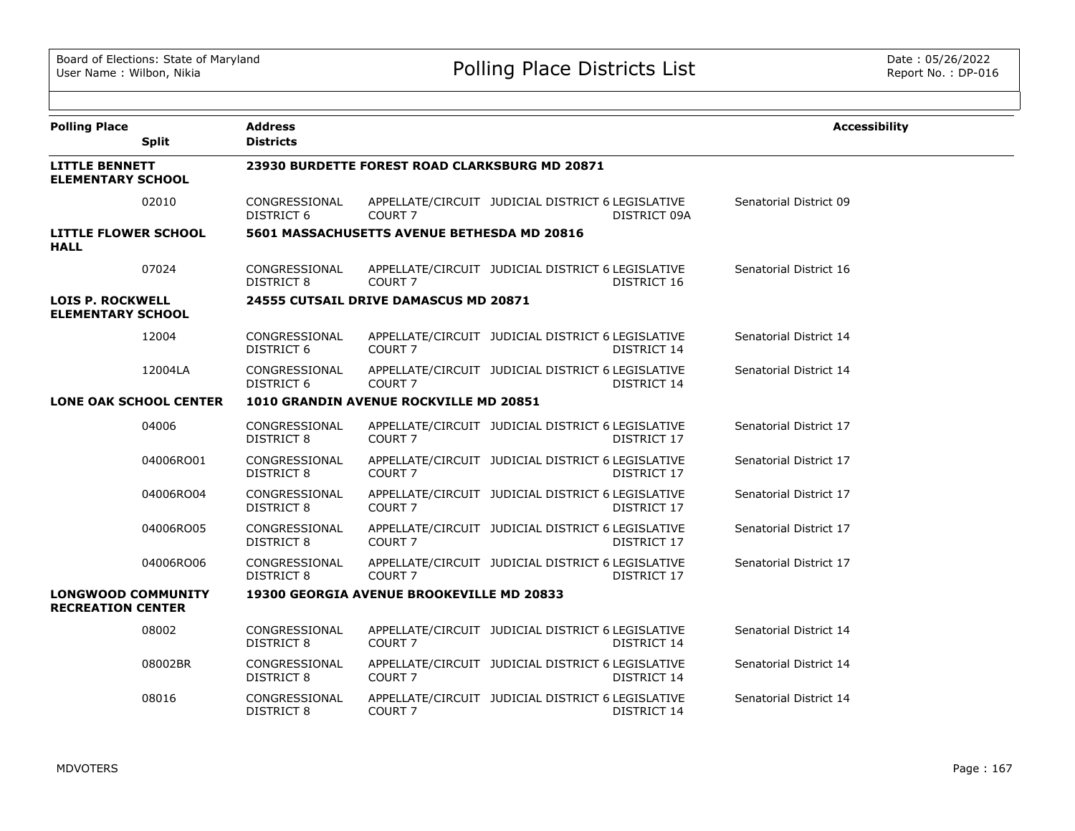| <b>Polling Place</b>                                  | <b>Split</b>                  | <b>Address</b><br><b>Districts</b> |                                                  |                                                   |              | <b>Accessibility</b>   |
|-------------------------------------------------------|-------------------------------|------------------------------------|--------------------------------------------------|---------------------------------------------------|--------------|------------------------|
| <b>LITTLE BENNETT</b><br><b>ELEMENTARY SCHOOL</b>     |                               |                                    | 23930 BURDETTE FOREST ROAD CLARKSBURG MD 20871   |                                                   |              |                        |
|                                                       | 02010                         | CONGRESSIONAL<br>DISTRICT 6        | COURT <sub>7</sub>                               | APPELLATE/CIRCUIT JUDICIAL DISTRICT 6 LEGISLATIVE | DISTRICT 09A | Senatorial District 09 |
| <b>LITTLE FLOWER SCHOOL</b><br><b>HALL</b>            |                               |                                    | 5601 MASSACHUSETTS AVENUE BETHESDA MD 20816      |                                                   |              |                        |
|                                                       | 07024                         | CONGRESSIONAL<br>DISTRICT 8        | COURT <sub>7</sub>                               | APPELLATE/CIRCUIT JUDICIAL DISTRICT 6 LEGISLATIVE | DISTRICT 16  | Senatorial District 16 |
| <b>LOIS P. ROCKWELL</b><br><b>ELEMENTARY SCHOOL</b>   |                               |                                    | 24555 CUTSAIL DRIVE DAMASCUS MD 20871            |                                                   |              |                        |
|                                                       | 12004                         | CONGRESSIONAL<br>DISTRICT 6        | COURT <sub>7</sub>                               | APPELLATE/CIRCUIT JUDICIAL DISTRICT 6 LEGISLATIVE | DISTRICT 14  | Senatorial District 14 |
|                                                       | 12004LA                       | CONGRESSIONAL<br>DISTRICT 6        | COURT <sub>7</sub>                               | APPELLATE/CIRCUIT JUDICIAL DISTRICT 6 LEGISLATIVE | DISTRICT 14  | Senatorial District 14 |
|                                                       | <b>LONE OAK SCHOOL CENTER</b> |                                    | 1010 GRANDIN AVENUE ROCKVILLE MD 20851           |                                                   |              |                        |
|                                                       | 04006                         | CONGRESSIONAL<br><b>DISTRICT 8</b> | COURT <sub>7</sub>                               | APPELLATE/CIRCUIT JUDICIAL DISTRICT 6 LEGISLATIVE | DISTRICT 17  | Senatorial District 17 |
|                                                       | 04006RO01                     | CONGRESSIONAL<br><b>DISTRICT 8</b> | COURT <sub>7</sub>                               | APPELLATE/CIRCUIT JUDICIAL DISTRICT 6 LEGISLATIVE | DISTRICT 17  | Senatorial District 17 |
|                                                       | 04006RO04                     | CONGRESSIONAL<br><b>DISTRICT 8</b> | COURT <sub>7</sub>                               | APPELLATE/CIRCUIT JUDICIAL DISTRICT 6 LEGISLATIVE | DISTRICT 17  | Senatorial District 17 |
|                                                       | 04006RO05                     | CONGRESSIONAL<br>DISTRICT 8        | COURT <sub>7</sub>                               | APPELLATE/CIRCUIT JUDICIAL DISTRICT 6 LEGISLATIVE | DISTRICT 17  | Senatorial District 17 |
|                                                       | 04006RO06                     | CONGRESSIONAL<br><b>DISTRICT 8</b> | COURT <sub>7</sub>                               | APPELLATE/CIRCUIT JUDICIAL DISTRICT 6 LEGISLATIVE | DISTRICT 17  | Senatorial District 17 |
| <b>LONGWOOD COMMUNITY</b><br><b>RECREATION CENTER</b> |                               |                                    | <b>19300 GEORGIA AVENUE BROOKEVILLE MD 20833</b> |                                                   |              |                        |
|                                                       | 08002                         | CONGRESSIONAL<br>DISTRICT 8        | COURT <sub>7</sub>                               | APPELLATE/CIRCUIT JUDICIAL DISTRICT 6 LEGISLATIVE | DISTRICT 14  | Senatorial District 14 |
|                                                       | 08002BR                       | CONGRESSIONAL<br><b>DISTRICT 8</b> | COURT <sub>7</sub>                               | APPELLATE/CIRCUIT JUDICIAL DISTRICT 6 LEGISLATIVE | DISTRICT 14  | Senatorial District 14 |
|                                                       | 08016                         | CONGRESSIONAL<br>DISTRICT 8        | COURT <sub>7</sub>                               | APPELLATE/CIRCUIT JUDICIAL DISTRICT 6 LEGISLATIVE | DISTRICT 14  | Senatorial District 14 |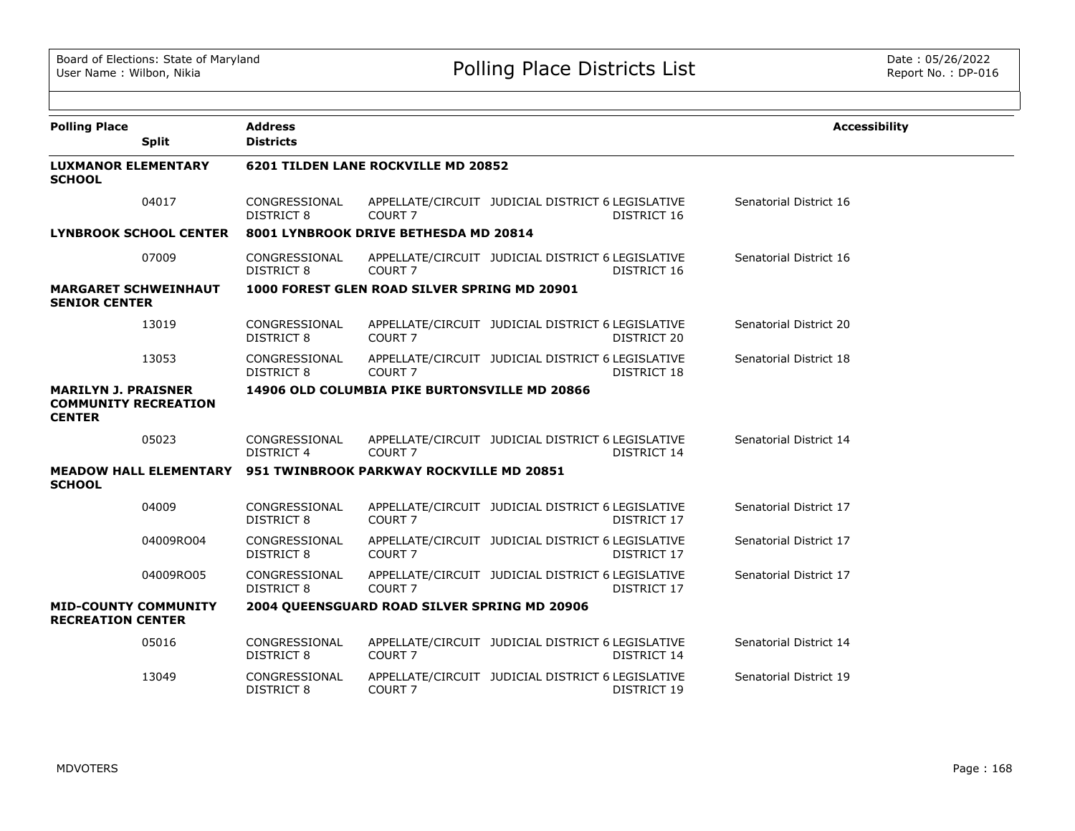| <b>Polling Place</b><br><b>Split</b>                                       |           | <b>Address</b><br><b>Districts</b> |                                               |                                                   |             | <b>Accessibility</b>   |
|----------------------------------------------------------------------------|-----------|------------------------------------|-----------------------------------------------|---------------------------------------------------|-------------|------------------------|
| <b>LUXMANOR ELEMENTARY</b><br><b>SCHOOL</b>                                |           |                                    | 6201 TILDEN LANE ROCKVILLE MD 20852           |                                                   |             |                        |
|                                                                            | 04017     | CONGRESSIONAL<br><b>DISTRICT 8</b> | COURT <sub>7</sub>                            | APPELLATE/CIRCUIT JUDICIAL DISTRICT 6 LEGISLATIVE | DISTRICT 16 | Senatorial District 16 |
| <b>LYNBROOK SCHOOL CENTER</b>                                              |           |                                    | 8001 LYNBROOK DRIVE BETHESDA MD 20814         |                                                   |             |                        |
|                                                                            | 07009     | CONGRESSIONAL<br><b>DISTRICT 8</b> | COURT <sub>7</sub>                            | APPELLATE/CIRCUIT JUDICIAL DISTRICT 6 LEGISLATIVE | DISTRICT 16 | Senatorial District 16 |
| <b>MARGARET SCHWEINHAUT</b><br><b>SENIOR CENTER</b>                        |           |                                    | 1000 FOREST GLEN ROAD SILVER SPRING MD 20901  |                                                   |             |                        |
|                                                                            | 13019     | CONGRESSIONAL<br><b>DISTRICT 8</b> | COURT <sub>7</sub>                            | APPELLATE/CIRCUIT JUDICIAL DISTRICT 6 LEGISLATIVE | DISTRICT 20 | Senatorial District 20 |
|                                                                            | 13053     | CONGRESSIONAL<br><b>DISTRICT 8</b> | COURT <sub>7</sub>                            | APPELLATE/CIRCUIT JUDICIAL DISTRICT 6 LEGISLATIVE | DISTRICT 18 | Senatorial District 18 |
| <b>MARILYN J. PRAISNER</b><br><b>COMMUNITY RECREATION</b><br><b>CENTER</b> |           |                                    | 14906 OLD COLUMBIA PIKE BURTONSVILLE MD 20866 |                                                   |             |                        |
|                                                                            | 05023     | CONGRESSIONAL<br>DISTRICT 4        | COURT <sub>7</sub>                            | APPELLATE/CIRCUIT JUDICIAL DISTRICT 6 LEGISLATIVE | DISTRICT 14 | Senatorial District 14 |
| <b>MEADOW HALL ELEMENTARY</b><br><b>SCHOOL</b>                             |           |                                    | 951 TWINBROOK PARKWAY ROCKVILLE MD 20851      |                                                   |             |                        |
|                                                                            | 04009     | CONGRESSIONAL<br><b>DISTRICT 8</b> | COURT <sub>7</sub>                            | APPELLATE/CIRCUIT JUDICIAL DISTRICT 6 LEGISLATIVE | DISTRICT 17 | Senatorial District 17 |
|                                                                            | 04009RO04 | CONGRESSIONAL<br><b>DISTRICT 8</b> | COURT <sub>7</sub>                            | APPELLATE/CIRCUIT JUDICIAL DISTRICT 6 LEGISLATIVE | DISTRICT 17 | Senatorial District 17 |
|                                                                            | 04009RO05 | CONGRESSIONAL<br>DISTRICT 8        | COURT <sub>7</sub>                            | APPELLATE/CIRCUIT JUDICIAL DISTRICT 6 LEGISLATIVE | DISTRICT 17 | Senatorial District 17 |
| <b>MID-COUNTY COMMUNITY</b><br><b>RECREATION CENTER</b>                    |           |                                    | 2004 QUEENSGUARD ROAD SILVER SPRING MD 20906  |                                                   |             |                        |
|                                                                            | 05016     | CONGRESSIONAL<br><b>DISTRICT 8</b> | COURT <sub>7</sub>                            | APPELLATE/CIRCUIT JUDICIAL DISTRICT 6 LEGISLATIVE | DISTRICT 14 | Senatorial District 14 |
|                                                                            | 13049     | CONGRESSIONAL<br>DISTRICT 8        | COURT <sub>7</sub>                            | APPELLATE/CIRCUIT JUDICIAL DISTRICT 6 LEGISLATIVE | DISTRICT 19 | Senatorial District 19 |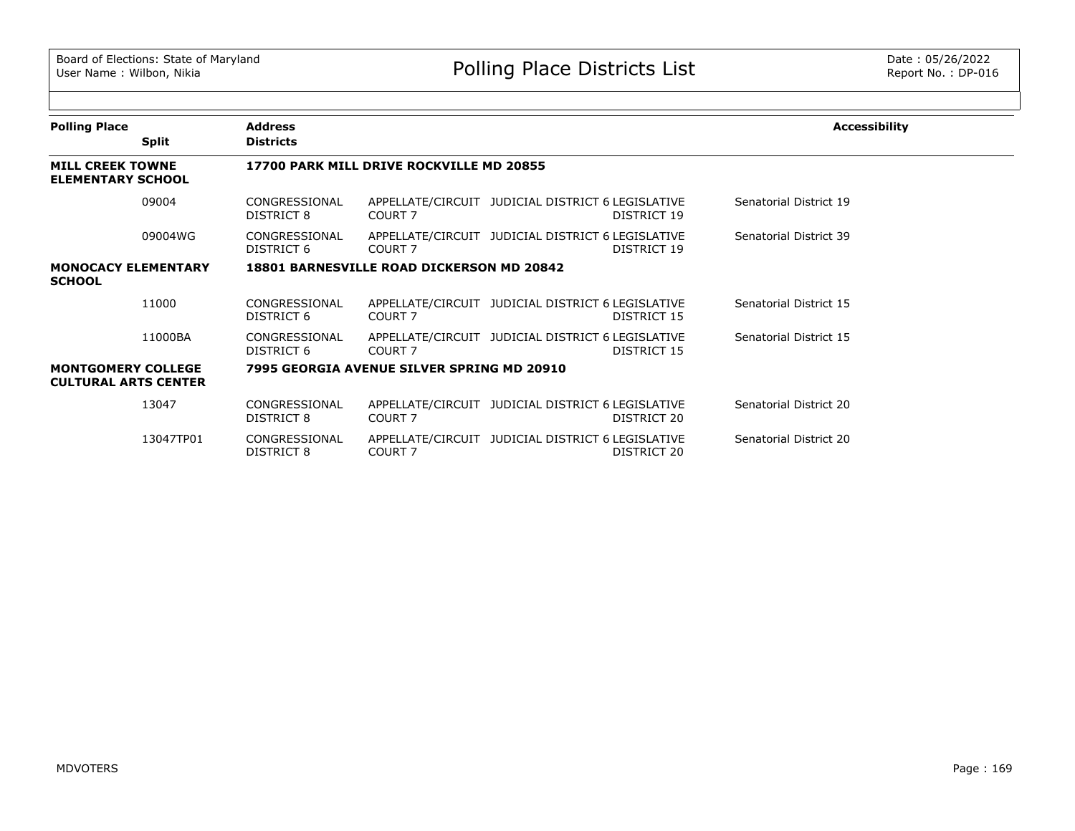| <b>Polling Place</b>                                     | <b>Split</b> | <b>Address</b><br><b>Districts</b> |                                                  |                                                                  | <b>Accessibility</b>   |
|----------------------------------------------------------|--------------|------------------------------------|--------------------------------------------------|------------------------------------------------------------------|------------------------|
| <b>MILL CREEK TOWNE</b><br><b>ELEMENTARY SCHOOL</b>      |              |                                    | 17700 PARK MILL DRIVE ROCKVILLE MD 20855         |                                                                  |                        |
|                                                          | 09004        | CONGRESSIONAL<br>DISTRICT 8        | COURT 7                                          | APPELLATE/CIRCUIT JUDICIAL DISTRICT 6 LEGISLATIVE<br>DISTRICT 19 | Senatorial District 19 |
|                                                          | 09004WG      | CONGRESSIONAL<br>DISTRICT 6        | COURT <sub>7</sub>                               | APPELLATE/CIRCUIT JUDICIAL DISTRICT 6 LEGISLATIVE<br>DISTRICT 19 | Senatorial District 39 |
| <b>MONOCACY ELEMENTARY</b><br><b>SCHOOL</b>              |              |                                    | <b>18801 BARNESVILLE ROAD DICKERSON MD 20842</b> |                                                                  |                        |
|                                                          | 11000        | CONGRESSIONAL<br>DISTRICT 6        | COURT <sub>7</sub>                               | APPELLATE/CIRCUIT JUDICIAL DISTRICT 6 LEGISLATIVE<br>DISTRICT 15 | Senatorial District 15 |
|                                                          | 11000BA      | CONGRESSIONAL<br>DISTRICT 6        | COURT <sub>7</sub>                               | APPELLATE/CIRCUIT JUDICIAL DISTRICT 6 LEGISLATIVE<br>DISTRICT 15 | Senatorial District 15 |
| <b>MONTGOMERY COLLEGE</b><br><b>CULTURAL ARTS CENTER</b> |              |                                    | 7995 GEORGIA AVENUE SILVER SPRING MD 20910       |                                                                  |                        |
|                                                          | 13047        | CONGRESSIONAL<br>DISTRICT 8        | COURT 7                                          | APPELLATE/CIRCUIT JUDICIAL DISTRICT 6 LEGISLATIVE<br>DISTRICT 20 | Senatorial District 20 |
|                                                          | 13047TP01    | CONGRESSIONAL<br>DISTRICT 8        | COURT <sub>7</sub>                               | APPELLATE/CIRCUIT JUDICIAL DISTRICT 6 LEGISLATIVE<br>DISTRICT 20 | Senatorial District 20 |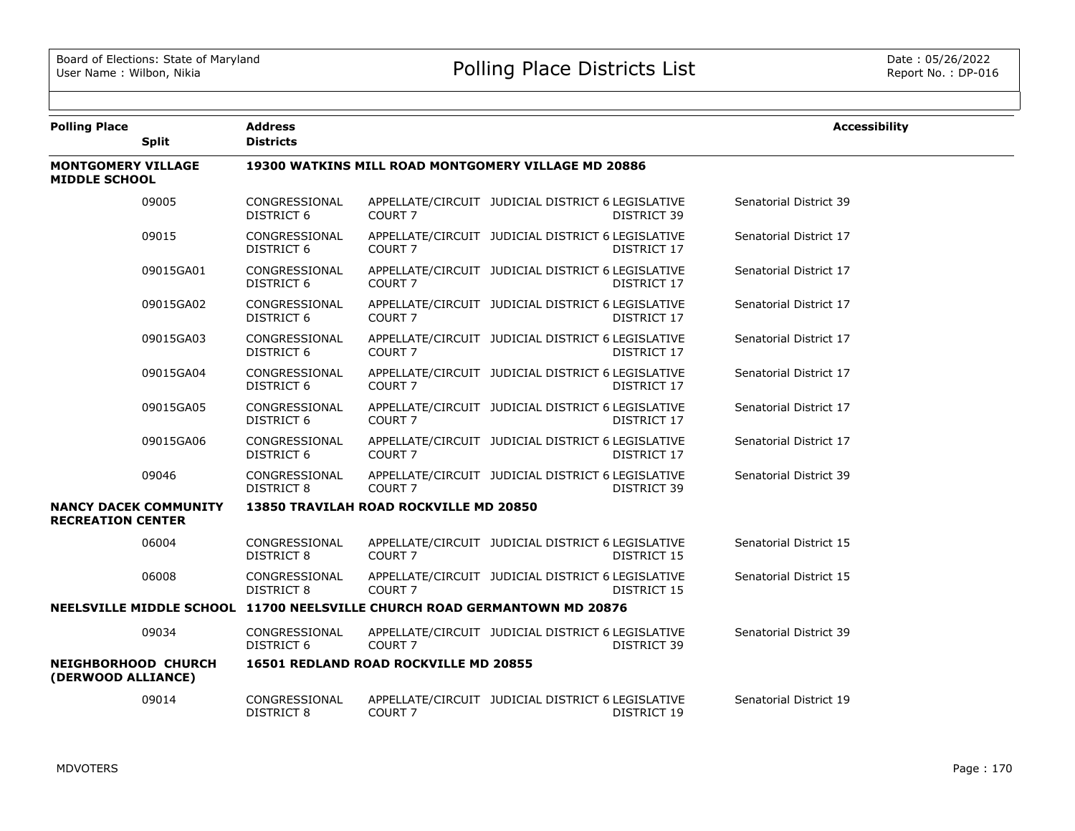| <b>Polling Place</b>                              | <b>Split</b>                 | <b>Address</b><br><b>Districts</b> |                                        |                                                                           | <b>Accessibility</b>   |
|---------------------------------------------------|------------------------------|------------------------------------|----------------------------------------|---------------------------------------------------------------------------|------------------------|
| <b>MONTGOMERY VILLAGE</b><br><b>MIDDLE SCHOOL</b> |                              |                                    |                                        | 19300 WATKINS MILL ROAD MONTGOMERY VILLAGE MD 20886                       |                        |
|                                                   | 09005                        | CONGRESSIONAL<br><b>DISTRICT 6</b> | COURT <sub>7</sub>                     | APPELLATE/CIRCUIT JUDICIAL DISTRICT 6 LEGISLATIVE<br>DISTRICT 39          | Senatorial District 39 |
|                                                   | 09015                        | CONGRESSIONAL<br>DISTRICT 6        | COURT <sub>7</sub>                     | APPELLATE/CIRCUIT JUDICIAL DISTRICT 6 LEGISLATIVE<br>DISTRICT 17          | Senatorial District 17 |
|                                                   | 09015GA01                    | CONGRESSIONAL<br>DISTRICT 6        | <b>COURT 7</b>                         | APPELLATE/CIRCUIT JUDICIAL DISTRICT 6 LEGISLATIVE<br>DISTRICT 17          | Senatorial District 17 |
|                                                   | 09015GA02                    | CONGRESSIONAL<br><b>DISTRICT 6</b> | <b>COURT 7</b>                         | APPELLATE/CIRCUIT JUDICIAL DISTRICT 6 LEGISLATIVE<br>DISTRICT 17          | Senatorial District 17 |
|                                                   | 09015GA03                    | CONGRESSIONAL<br>DISTRICT 6        | COURT <sub>7</sub>                     | APPELLATE/CIRCUIT JUDICIAL DISTRICT 6 LEGISLATIVE<br>DISTRICT 17          | Senatorial District 17 |
|                                                   | 09015GA04                    | CONGRESSIONAL<br>DISTRICT 6        | COURT <sub>7</sub>                     | APPELLATE/CIRCUIT JUDICIAL DISTRICT 6 LEGISLATIVE<br>DISTRICT 17          | Senatorial District 17 |
|                                                   | 09015GA05                    | CONGRESSIONAL<br><b>DISTRICT 6</b> | COURT <sub>7</sub>                     | APPELLATE/CIRCUIT JUDICIAL DISTRICT 6 LEGISLATIVE<br><b>DISTRICT 17</b>   | Senatorial District 17 |
|                                                   | 09015GA06                    | CONGRESSIONAL<br><b>DISTRICT 6</b> | COURT <sub>7</sub>                     | APPELLATE/CIRCUIT JUDICIAL DISTRICT 6 LEGISLATIVE<br>DISTRICT 17          | Senatorial District 17 |
|                                                   | 09046                        | CONGRESSIONAL<br>DISTRICT 8        | COURT <sub>7</sub>                     | APPELLATE/CIRCUIT JUDICIAL DISTRICT 6 LEGISLATIVE<br>DISTRICT 39          | Senatorial District 39 |
| <b>RECREATION CENTER</b>                          | <b>NANCY DACEK COMMUNITY</b> |                                    | 13850 TRAVILAH ROAD ROCKVILLE MD 20850 |                                                                           |                        |
|                                                   | 06004                        | CONGRESSIONAL<br>DISTRICT 8        | COURT <sub>7</sub>                     | APPELLATE/CIRCUIT JUDICIAL DISTRICT 6 LEGISLATIVE<br>DISTRICT 15          | Senatorial District 15 |
|                                                   | 06008                        | CONGRESSIONAL<br>DISTRICT 8        | COURT <sub>7</sub>                     | APPELLATE/CIRCUIT JUDICIAL DISTRICT 6 LEGISLATIVE<br>DISTRICT 15          | Senatorial District 15 |
|                                                   |                              |                                    |                                        | NEELSVILLE MIDDLE SCHOOL 11700 NEELSVILLE CHURCH ROAD GERMANTOWN MD 20876 |                        |
|                                                   | 09034                        | CONGRESSIONAL<br>DISTRICT 6        | COURT <sub>7</sub>                     | APPELLATE/CIRCUIT JUDICIAL DISTRICT 6 LEGISLATIVE<br>DISTRICT 39          | Senatorial District 39 |
| NEIGHBORHOOD CHURCH<br>(DERWOOD ALLIANCE)         |                              |                                    | 16501 REDLAND ROAD ROCKVILLE MD 20855  |                                                                           |                        |
|                                                   | 09014                        | CONGRESSIONAL<br><b>DISTRICT 8</b> | COURT <sub>7</sub>                     | APPELLATE/CIRCUIT JUDICIAL DISTRICT 6 LEGISLATIVE<br>DISTRICT 19          | Senatorial District 19 |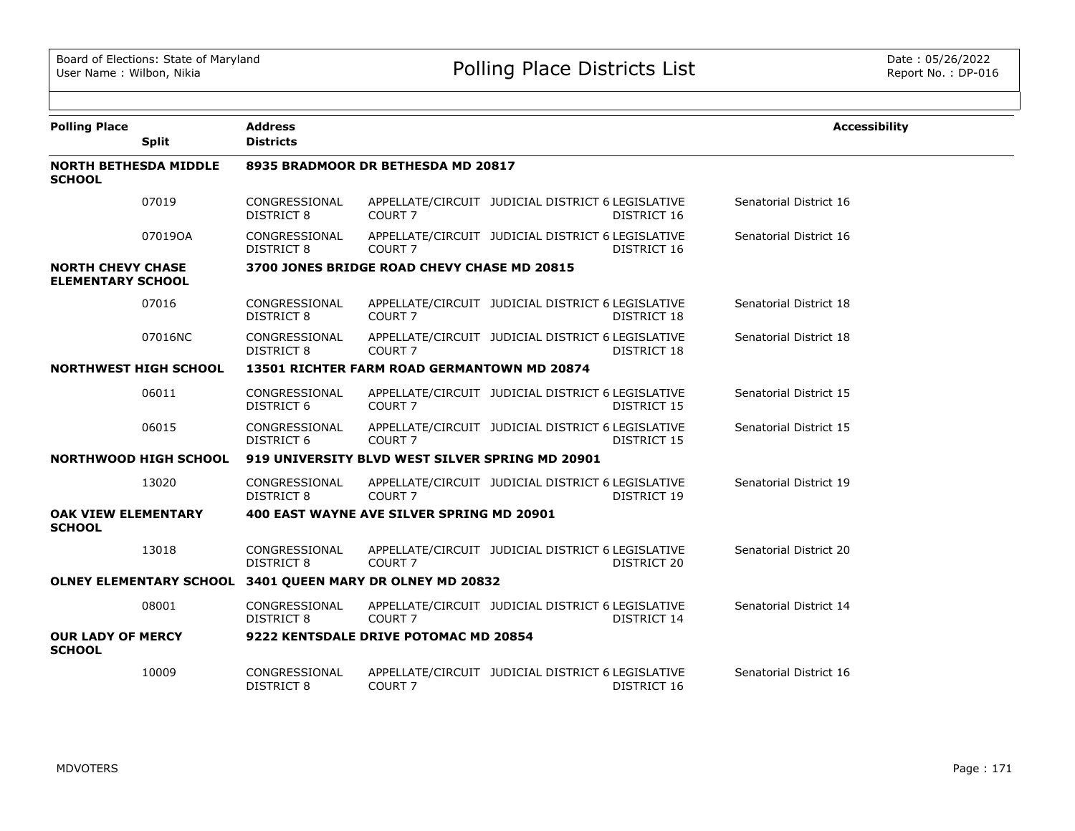| <b>Polling Place</b>                                 |         | <b>Address</b>                     |                                                           |                                                   |                    | <b>Accessibility</b>   |
|------------------------------------------------------|---------|------------------------------------|-----------------------------------------------------------|---------------------------------------------------|--------------------|------------------------|
| <b>Split</b>                                         |         | <b>Districts</b>                   |                                                           |                                                   |                    |                        |
| <b>NORTH BETHESDA MIDDLE</b><br><b>SCHOOL</b>        |         |                                    | 8935 BRADMOOR DR BETHESDA MD 20817                        |                                                   |                    |                        |
| 07019                                                |         | CONGRESSIONAL<br><b>DISTRICT 8</b> | COURT <sub>7</sub>                                        | APPELLATE/CIRCUIT JUDICIAL DISTRICT 6 LEGISLATIVE | DISTRICT 16        | Senatorial District 16 |
| 070190A                                              |         | CONGRESSIONAL<br><b>DISTRICT 8</b> | COURT <sub>7</sub>                                        | APPELLATE/CIRCUIT JUDICIAL DISTRICT 6 LEGISLATIVE | DISTRICT 16        | Senatorial District 16 |
| <b>NORTH CHEVY CHASE</b><br><b>ELEMENTARY SCHOOL</b> |         |                                    | 3700 JONES BRIDGE ROAD CHEVY CHASE MD 20815               |                                                   |                    |                        |
| 07016                                                |         | CONGRESSIONAL<br><b>DISTRICT 8</b> | COURT <sub>7</sub>                                        | APPELLATE/CIRCUIT JUDICIAL DISTRICT 6 LEGISLATIVE | <b>DISTRICT 18</b> | Senatorial District 18 |
|                                                      | 07016NC | CONGRESSIONAL<br><b>DISTRICT 8</b> | COURT <sub>7</sub>                                        | APPELLATE/CIRCUIT JUDICIAL DISTRICT 6 LEGISLATIVE | DISTRICT 18        | Senatorial District 18 |
| <b>NORTHWEST HIGH SCHOOL</b>                         |         |                                    | 13501 RICHTER FARM ROAD GERMANTOWN MD 20874               |                                                   |                    |                        |
| 06011                                                |         | CONGRESSIONAL<br><b>DISTRICT 6</b> | COURT <sub>7</sub>                                        | APPELLATE/CIRCUIT JUDICIAL DISTRICT 6 LEGISLATIVE | DISTRICT 15        | Senatorial District 15 |
| 06015                                                |         | CONGRESSIONAL<br><b>DISTRICT 6</b> | COURT <sub>7</sub>                                        | APPELLATE/CIRCUIT JUDICIAL DISTRICT 6 LEGISLATIVE | DISTRICT 15        | Senatorial District 15 |
| <b>NORTHWOOD HIGH SCHOOL</b>                         |         |                                    | 919 UNIVERSITY BLVD WEST SILVER SPRING MD 20901           |                                                   |                    |                        |
| 13020                                                |         | CONGRESSIONAL<br><b>DISTRICT 8</b> | COURT <sub>7</sub>                                        | APPELLATE/CIRCUIT JUDICIAL DISTRICT 6 LEGISLATIVE | DISTRICT 19        | Senatorial District 19 |
| <b>OAK VIEW ELEMENTARY</b><br><b>SCHOOL</b>          |         |                                    | 400 EAST WAYNE AVE SILVER SPRING MD 20901                 |                                                   |                    |                        |
| 13018                                                |         | CONGRESSIONAL<br><b>DISTRICT 8</b> | COURT <sub>7</sub>                                        | APPELLATE/CIRCUIT JUDICIAL DISTRICT 6 LEGISLATIVE | DISTRICT 20        | Senatorial District 20 |
|                                                      |         |                                    | OLNEY ELEMENTARY SCHOOL 3401 QUEEN MARY DR OLNEY MD 20832 |                                                   |                    |                        |
| 08001                                                |         | CONGRESSIONAL<br>DISTRICT 8        | COURT <sub>7</sub>                                        | APPELLATE/CIRCUIT JUDICIAL DISTRICT 6 LEGISLATIVE | DISTRICT 14        | Senatorial District 14 |
| <b>OUR LADY OF MERCY</b><br><b>SCHOOL</b>            |         |                                    | 9222 KENTSDALE DRIVE POTOMAC MD 20854                     |                                                   |                    |                        |
| 10009                                                |         | CONGRESSIONAL<br>DISTRICT 8        | COURT 7                                                   | APPELLATE/CIRCUIT JUDICIAL DISTRICT 6 LEGISLATIVE | DISTRICT 16        | Senatorial District 16 |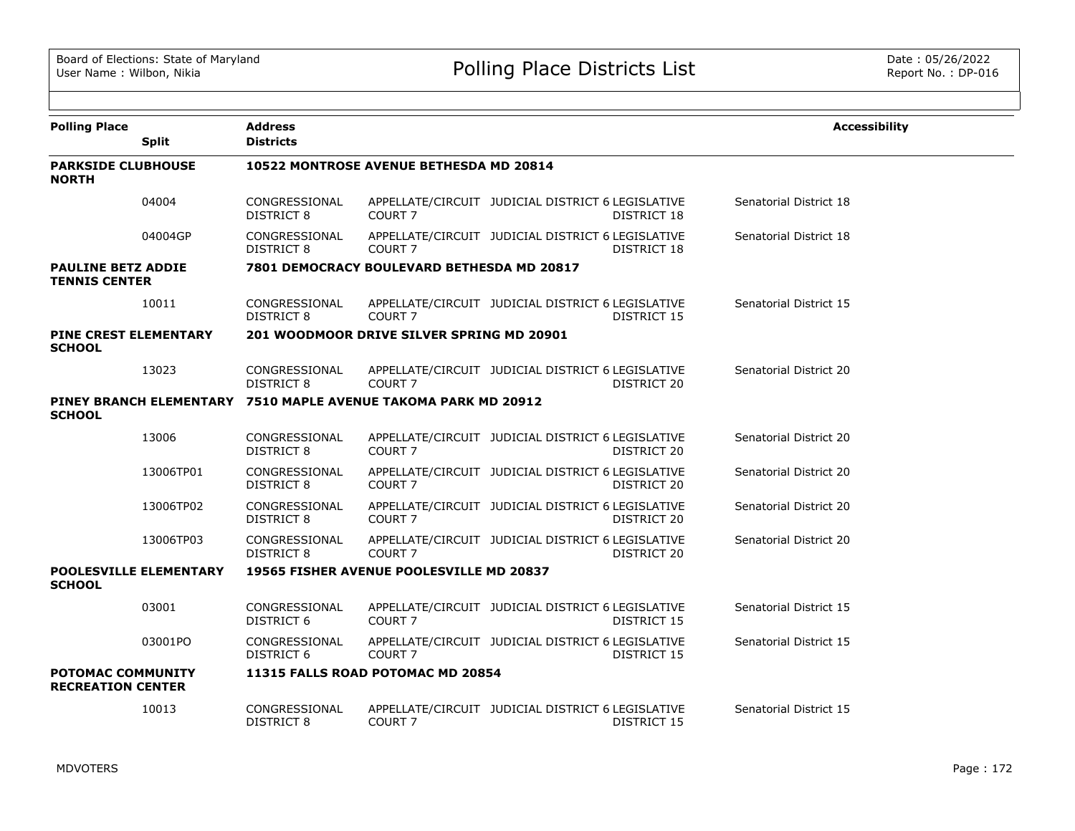| <b>Polling Place</b>                                 | <b>Split</b>                  | <b>Address</b><br><b>Districts</b> |                                            |                                                                         | <b>Accessibility</b>   |
|------------------------------------------------------|-------------------------------|------------------------------------|--------------------------------------------|-------------------------------------------------------------------------|------------------------|
| <b>PARKSIDE CLUBHOUSE</b><br><b>NORTH</b>            |                               |                                    | 10522 MONTROSE AVENUE BETHESDA MD 20814    |                                                                         |                        |
|                                                      | 04004                         | CONGRESSIONAL<br><b>DISTRICT 8</b> | COURT <sub>7</sub>                         | APPELLATE/CIRCUIT JUDICIAL DISTRICT 6 LEGISLATIVE<br><b>DISTRICT 18</b> | Senatorial District 18 |
|                                                      | 04004GP                       | CONGRESSIONAL<br>DISTRICT 8        | COURT <sub>7</sub>                         | APPELLATE/CIRCUIT JUDICIAL DISTRICT 6 LEGISLATIVE<br>DISTRICT 18        | Senatorial District 18 |
| <b>PAULINE BETZ ADDIE</b><br><b>TENNIS CENTER</b>    |                               |                                    | 7801 DEMOCRACY BOULEVARD BETHESDA MD 20817 |                                                                         |                        |
|                                                      | 10011                         | CONGRESSIONAL<br>DISTRICT 8        | COURT <sub>7</sub>                         | APPELLATE/CIRCUIT JUDICIAL DISTRICT 6 LEGISLATIVE<br>DISTRICT 15        | Senatorial District 15 |
| PINE CREST ELEMENTARY<br><b>SCHOOL</b>               |                               |                                    | 201 WOODMOOR DRIVE SILVER SPRING MD 20901  |                                                                         |                        |
|                                                      | 13023                         | CONGRESSIONAL<br>DISTRICT 8        | COURT <sub>7</sub>                         | APPELLATE/CIRCUIT JUDICIAL DISTRICT 6 LEGISLATIVE<br>DISTRICT 20        | Senatorial District 20 |
| <b>SCHOOL</b>                                        | PINEY BRANCH ELEMENTARY       |                                    | 7510 MAPLE AVENUE TAKOMA PARK MD 20912     |                                                                         |                        |
|                                                      | 13006                         | CONGRESSIONAL<br>DISTRICT 8        | COURT <sub>7</sub>                         | APPELLATE/CIRCUIT JUDICIAL DISTRICT 6 LEGISLATIVE<br>DISTRICT 20        | Senatorial District 20 |
|                                                      | 13006TP01                     | CONGRESSIONAL<br><b>DISTRICT 8</b> | COURT <sub>7</sub>                         | APPELLATE/CIRCUIT JUDICIAL DISTRICT 6 LEGISLATIVE<br>DISTRICT 20        | Senatorial District 20 |
|                                                      | 13006TP02                     | CONGRESSIONAL<br>DISTRICT 8        | COURT <sub>7</sub>                         | APPELLATE/CIRCUIT JUDICIAL DISTRICT 6 LEGISLATIVE<br>DISTRICT 20        | Senatorial District 20 |
|                                                      | 13006TP03                     | CONGRESSIONAL<br><b>DISTRICT 8</b> | COURT <sub>7</sub>                         | APPELLATE/CIRCUIT JUDICIAL DISTRICT 6 LEGISLATIVE<br>DISTRICT 20        | Senatorial District 20 |
| <b>SCHOOL</b>                                        | <b>POOLESVILLE ELEMENTARY</b> |                                    | 19565 FISHER AVENUE POOLESVILLE MD 20837   |                                                                         |                        |
|                                                      | 03001                         | CONGRESSIONAL<br><b>DISTRICT 6</b> | COURT <sub>7</sub>                         | APPELLATE/CIRCUIT JUDICIAL DISTRICT 6 LEGISLATIVE<br>DISTRICT 15        | Senatorial District 15 |
|                                                      | 03001PO                       | CONGRESSIONAL<br>DISTRICT 6        | COURT <sub>7</sub>                         | APPELLATE/CIRCUIT JUDICIAL DISTRICT 6 LEGISLATIVE<br>DISTRICT 15        | Senatorial District 15 |
| <b>POTOMAC COMMUNITY</b><br><b>RECREATION CENTER</b> |                               |                                    | 11315 FALLS ROAD POTOMAC MD 20854          |                                                                         |                        |
|                                                      | 10013                         | CONGRESSIONAL<br>DISTRICT 8        | COURT <sub>7</sub>                         | APPELLATE/CIRCUIT JUDICIAL DISTRICT 6 LEGISLATIVE<br>DISTRICT 15        | Senatorial District 15 |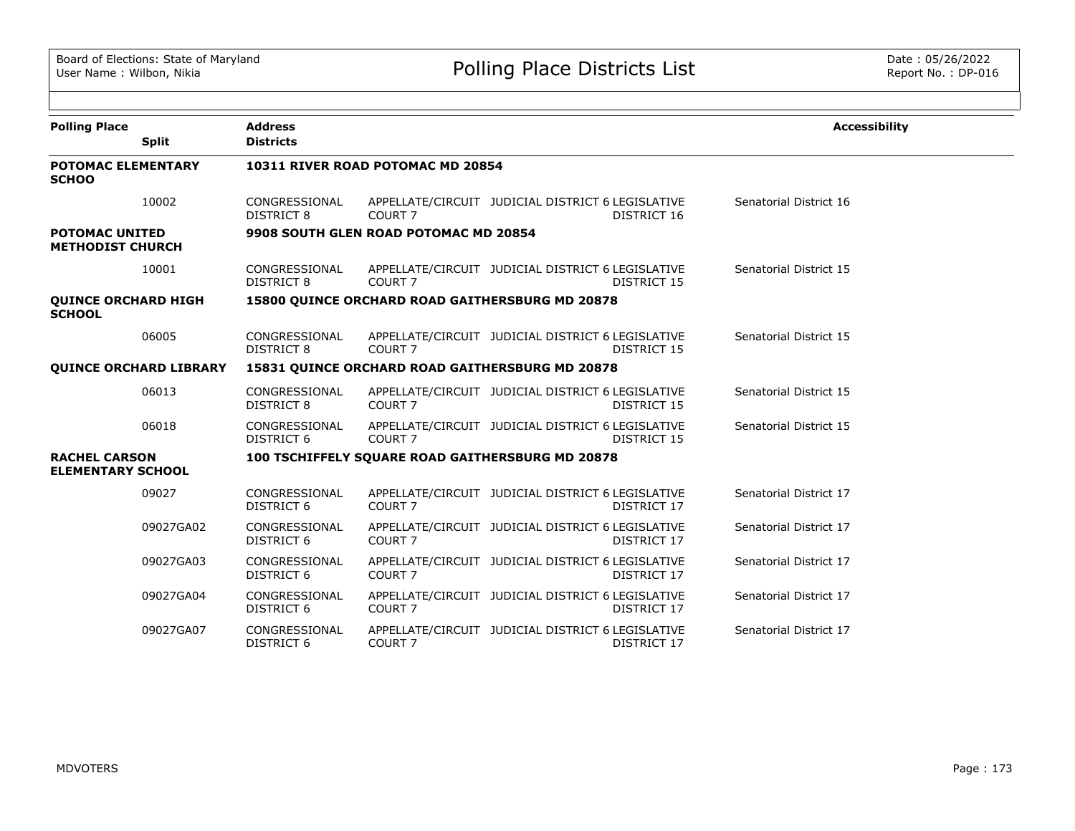| <b>Polling Place</b>                             | <b>Split</b> | <b>Address</b><br><b>Districts</b> |                                       |                                                                         | <b>Accessibility</b>   |
|--------------------------------------------------|--------------|------------------------------------|---------------------------------------|-------------------------------------------------------------------------|------------------------|
| <b>POTOMAC ELEMENTARY</b><br><b>SCHOO</b>        |              |                                    | 10311 RIVER ROAD POTOMAC MD 20854     |                                                                         |                        |
|                                                  | 10002        | CONGRESSIONAL<br><b>DISTRICT 8</b> | COURT <sub>7</sub>                    | APPELLATE/CIRCUIT JUDICIAL DISTRICT 6 LEGISLATIVE<br>DISTRICT 16        | Senatorial District 16 |
| <b>POTOMAC UNITED</b><br><b>METHODIST CHURCH</b> |              |                                    | 9908 SOUTH GLEN ROAD POTOMAC MD 20854 |                                                                         |                        |
|                                                  | 10001        | CONGRESSIONAL<br>DISTRICT 8        | COURT <sub>7</sub>                    | APPELLATE/CIRCUIT JUDICIAL DISTRICT 6 LEGISLATIVE<br>DISTRICT 15        | Senatorial District 15 |
| <b>QUINCE ORCHARD HIGH</b><br><b>SCHOOL</b>      |              |                                    |                                       | <b>15800 OUINCE ORCHARD ROAD GAITHERSBURG MD 20878</b>                  |                        |
|                                                  | 06005        | CONGRESSIONAL<br><b>DISTRICT 8</b> | COURT <sub>7</sub>                    | APPELLATE/CIRCUIT JUDICIAL DISTRICT 6 LEGISLATIVE<br>DISTRICT 15        | Senatorial District 15 |
| <b>OUINCE ORCHARD LIBRARY</b>                    |              |                                    |                                       | 15831 QUINCE ORCHARD ROAD GAITHERSBURG MD 20878                         |                        |
|                                                  | 06013        | CONGRESSIONAL<br><b>DISTRICT 8</b> | COURT <sub>7</sub>                    | APPELLATE/CIRCUIT JUDICIAL DISTRICT 6 LEGISLATIVE<br><b>DISTRICT 15</b> | Senatorial District 15 |
|                                                  | 06018        | CONGRESSIONAL<br>DISTRICT 6        | COURT <sub>7</sub>                    | APPELLATE/CIRCUIT JUDICIAL DISTRICT 6 LEGISLATIVE<br>DISTRICT 15        | Senatorial District 15 |
| <b>RACHEL CARSON</b><br><b>ELEMENTARY SCHOOL</b> |              |                                    |                                       | 100 TSCHIFFELY SQUARE ROAD GAITHERSBURG MD 20878                        |                        |
|                                                  | 09027        | CONGRESSIONAL<br><b>DISTRICT 6</b> | COURT <sub>7</sub>                    | APPELLATE/CIRCUIT JUDICIAL DISTRICT 6 LEGISLATIVE<br>DISTRICT 17        | Senatorial District 17 |
|                                                  | 09027GA02    | CONGRESSIONAL<br><b>DISTRICT 6</b> | COURT <sub>7</sub>                    | APPELLATE/CIRCUIT JUDICIAL DISTRICT 6 LEGISLATIVE<br>DISTRICT 17        | Senatorial District 17 |
|                                                  | 09027GA03    | CONGRESSIONAL<br><b>DISTRICT 6</b> | COURT <sub>7</sub>                    | APPELLATE/CIRCUIT JUDICIAL DISTRICT 6 LEGISLATIVE<br>DISTRICT 17        | Senatorial District 17 |
|                                                  | 09027GA04    | CONGRESSIONAL<br><b>DISTRICT 6</b> | COURT <sub>7</sub>                    | APPELLATE/CIRCUIT JUDICIAL DISTRICT 6 LEGISLATIVE<br>DISTRICT 17        | Senatorial District 17 |
|                                                  | 09027GA07    | CONGRESSIONAL<br><b>DISTRICT 6</b> | COURT <sub>7</sub>                    | APPELLATE/CIRCUIT JUDICIAL DISTRICT 6 LEGISLATIVE<br>DISTRICT 17        | Senatorial District 17 |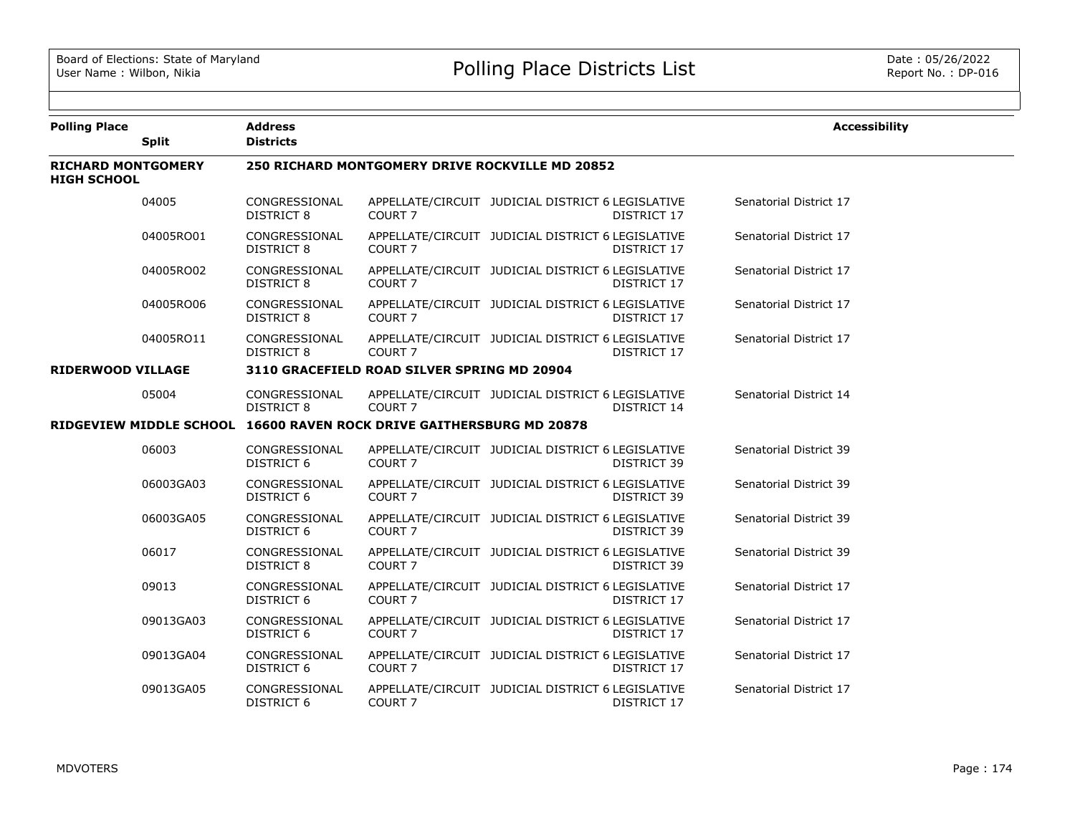| <b>Polling Place</b>                            | <b>Split</b> | <b>Address</b><br><b>Districts</b>                     |                                                                      |                                                   |                    | <b>Accessibility</b>   |  |  |
|-------------------------------------------------|--------------|--------------------------------------------------------|----------------------------------------------------------------------|---------------------------------------------------|--------------------|------------------------|--|--|
| <b>RICHARD MONTGOMERY</b><br><b>HIGH SCHOOL</b> |              | <b>250 RICHARD MONTGOMERY DRIVE ROCKVILLE MD 20852</b> |                                                                      |                                                   |                    |                        |  |  |
|                                                 | 04005        | CONGRESSIONAL<br><b>DISTRICT 8</b>                     | COURT <sub>7</sub>                                                   | APPELLATE/CIRCUIT JUDICIAL DISTRICT 6 LEGISLATIVE | DISTRICT 17        | Senatorial District 17 |  |  |
|                                                 | 04005RO01    | CONGRESSIONAL<br>DISTRICT 8                            | COURT <sub>7</sub>                                                   | APPELLATE/CIRCUIT JUDICIAL DISTRICT 6 LEGISLATIVE | DISTRICT 17        | Senatorial District 17 |  |  |
|                                                 | 04005RO02    | CONGRESSIONAL<br><b>DISTRICT 8</b>                     | COURT <sub>7</sub>                                                   | APPELLATE/CIRCUIT JUDICIAL DISTRICT 6 LEGISLATIVE | DISTRICT 17        | Senatorial District 17 |  |  |
|                                                 | 04005RO06    | CONGRESSIONAL<br>DISTRICT 8                            | COURT <sub>7</sub>                                                   | APPELLATE/CIRCUIT JUDICIAL DISTRICT 6 LEGISLATIVE | DISTRICT 17        | Senatorial District 17 |  |  |
|                                                 | 04005RO11    | CONGRESSIONAL<br><b>DISTRICT 8</b>                     | COURT <sub>7</sub>                                                   | APPELLATE/CIRCUIT JUDICIAL DISTRICT 6 LEGISLATIVE | DISTRICT 17        | Senatorial District 17 |  |  |
| <b>RIDERWOOD VILLAGE</b>                        |              | 3110 GRACEFIELD ROAD SILVER SPRING MD 20904            |                                                                      |                                                   |                    |                        |  |  |
|                                                 | 05004        | CONGRESSIONAL<br>DISTRICT 8                            | COURT <sub>7</sub>                                                   | APPELLATE/CIRCUIT JUDICIAL DISTRICT 6 LEGISLATIVE | DISTRICT 14        | Senatorial District 14 |  |  |
|                                                 |              |                                                        | RIDGEVIEW MIDDLE SCHOOL 16600 RAVEN ROCK DRIVE GAITHERSBURG MD 20878 |                                                   |                    |                        |  |  |
|                                                 | 06003        | CONGRESSIONAL<br>DISTRICT 6                            | COURT 7                                                              | APPELLATE/CIRCUIT JUDICIAL DISTRICT 6 LEGISLATIVE | DISTRICT 39        | Senatorial District 39 |  |  |
|                                                 | 06003GA03    | CONGRESSIONAL<br><b>DISTRICT 6</b>                     | COURT <sub>7</sub>                                                   | APPELLATE/CIRCUIT JUDICIAL DISTRICT 6 LEGISLATIVE | <b>DISTRICT 39</b> | Senatorial District 39 |  |  |
|                                                 | 06003GA05    | CONGRESSIONAL<br><b>DISTRICT 6</b>                     | COURT <sub>7</sub>                                                   | APPELLATE/CIRCUIT JUDICIAL DISTRICT 6 LEGISLATIVE | DISTRICT 39        | Senatorial District 39 |  |  |
|                                                 | 06017        | CONGRESSIONAL<br>DISTRICT 8                            | COURT <sub>7</sub>                                                   | APPELLATE/CIRCUIT JUDICIAL DISTRICT 6 LEGISLATIVE | DISTRICT 39        | Senatorial District 39 |  |  |
|                                                 | 09013        | CONGRESSIONAL<br>DISTRICT 6                            | COURT <sub>7</sub>                                                   | APPELLATE/CIRCUIT JUDICIAL DISTRICT 6 LEGISLATIVE | DISTRICT 17        | Senatorial District 17 |  |  |
|                                                 | 09013GA03    | CONGRESSIONAL<br>DISTRICT 6                            | COURT <sub>7</sub>                                                   | APPELLATE/CIRCUIT JUDICIAL DISTRICT 6 LEGISLATIVE | DISTRICT 17        | Senatorial District 17 |  |  |
|                                                 | 09013GA04    | CONGRESSIONAL<br>DISTRICT 6                            | COURT 7                                                              | APPELLATE/CIRCUIT JUDICIAL DISTRICT 6 LEGISLATIVE | DISTRICT 17        | Senatorial District 17 |  |  |
|                                                 | 09013GA05    | CONGRESSIONAL<br><b>DISTRICT 6</b>                     | COURT <sub>7</sub>                                                   | APPELLATE/CIRCUIT JUDICIAL DISTRICT 6 LEGISLATIVE | DISTRICT 17        | Senatorial District 17 |  |  |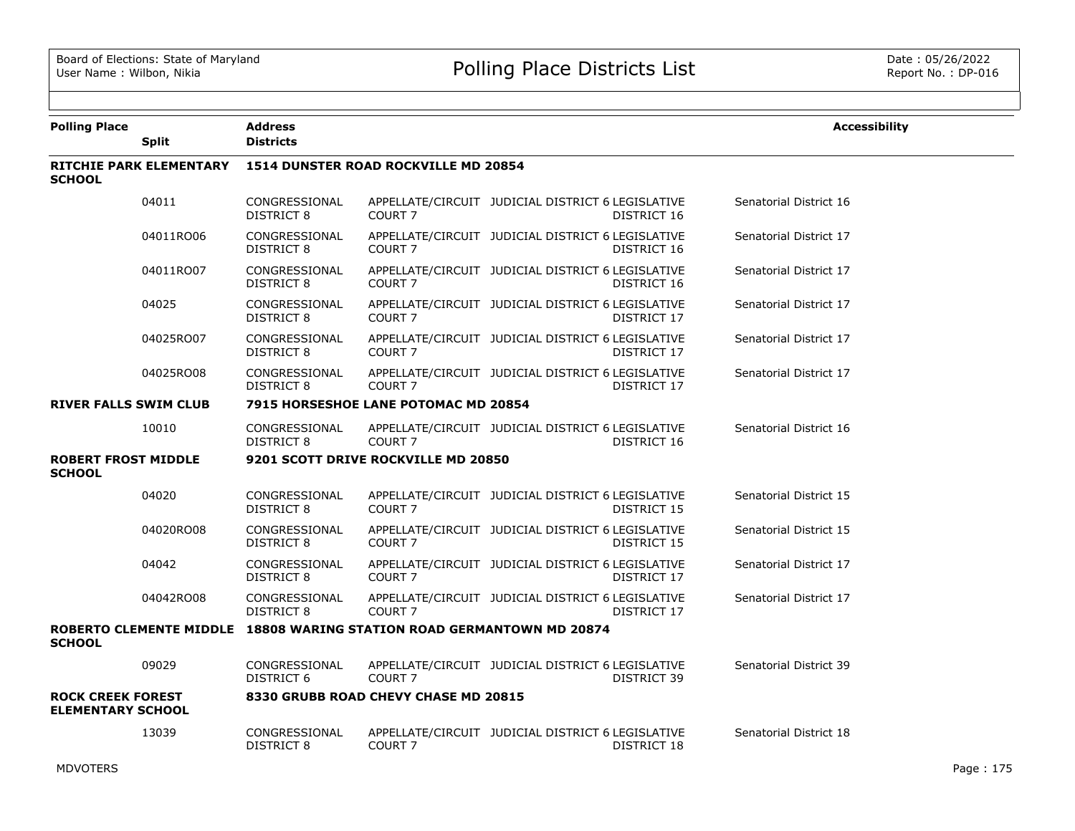| <b>Polling Place</b>                                 | <b>Split</b>                   | <b>Address</b><br><b>Districts</b> |                                      |                                                                       | <b>Accessibility</b>   |
|------------------------------------------------------|--------------------------------|------------------------------------|--------------------------------------|-----------------------------------------------------------------------|------------------------|
| <b>SCHOOL</b>                                        | <b>RITCHIE PARK ELEMENTARY</b> |                                    | 1514 DUNSTER ROAD ROCKVILLE MD 20854 |                                                                       |                        |
|                                                      | 04011                          | CONGRESSIONAL<br>DISTRICT 8        | COURT <sub>7</sub>                   | APPELLATE/CIRCUIT JUDICIAL DISTRICT 6 LEGISLATIVE<br>DISTRICT 16      | Senatorial District 16 |
|                                                      | 04011RO06                      | CONGRESSIONAL<br><b>DISTRICT 8</b> | COURT <sub>7</sub>                   | APPELLATE/CIRCUIT JUDICIAL DISTRICT 6 LEGISLATIVE<br>DISTRICT 16      | Senatorial District 17 |
|                                                      | 04011RO07                      | CONGRESSIONAL<br>DISTRICT 8        | COURT <sub>7</sub>                   | APPELLATE/CIRCUIT JUDICIAL DISTRICT 6 LEGISLATIVE<br>DISTRICT 16      | Senatorial District 17 |
|                                                      | 04025                          | CONGRESSIONAL<br>DISTRICT 8        | COURT <sub>7</sub>                   | APPELLATE/CIRCUIT JUDICIAL DISTRICT 6 LEGISLATIVE<br>DISTRICT 17      | Senatorial District 17 |
|                                                      | 04025RO07                      | CONGRESSIONAL<br><b>DISTRICT 8</b> | COURT <sub>7</sub>                   | APPELLATE/CIRCUIT JUDICIAL DISTRICT 6 LEGISLATIVE<br>DISTRICT 17      | Senatorial District 17 |
|                                                      | 04025RO08                      | CONGRESSIONAL<br><b>DISTRICT 8</b> | COURT <sub>7</sub>                   | APPELLATE/CIRCUIT JUDICIAL DISTRICT 6 LEGISLATIVE<br>DISTRICT 17      | Senatorial District 17 |
| <b>RIVER FALLS SWIM CLUB</b>                         |                                |                                    | 7915 HORSESHOE LANE POTOMAC MD 20854 |                                                                       |                        |
|                                                      | 10010                          | CONGRESSIONAL<br>DISTRICT 8        | COURT <sub>7</sub>                   | APPELLATE/CIRCUIT JUDICIAL DISTRICT 6 LEGISLATIVE<br>DISTRICT 16      | Senatorial District 16 |
| <b>ROBERT FROST MIDDLE</b><br><b>SCHOOL</b>          |                                |                                    | 9201 SCOTT DRIVE ROCKVILLE MD 20850  |                                                                       |                        |
|                                                      | 04020                          | CONGRESSIONAL<br><b>DISTRICT 8</b> | COURT <sub>7</sub>                   | APPELLATE/CIRCUIT JUDICIAL DISTRICT 6 LEGISLATIVE<br>DISTRICT 15      | Senatorial District 15 |
|                                                      | 04020RO08                      | CONGRESSIONAL<br><b>DISTRICT 8</b> | COURT <sub>7</sub>                   | APPELLATE/CIRCUIT JUDICIAL DISTRICT 6 LEGISLATIVE<br>DISTRICT 15      | Senatorial District 15 |
|                                                      | 04042                          | CONGRESSIONAL<br><b>DISTRICT 8</b> | COURT <sub>7</sub>                   | APPELLATE/CIRCUIT JUDICIAL DISTRICT 6 LEGISLATIVE<br>DISTRICT 17      | Senatorial District 17 |
|                                                      | 04042RO08                      | CONGRESSIONAL<br><b>DISTRICT 8</b> | COURT <sub>7</sub>                   | APPELLATE/CIRCUIT JUDICIAL DISTRICT 6 LEGISLATIVE<br>DISTRICT 17      | Senatorial District 17 |
| <b>SCHOOL</b>                                        |                                |                                    |                                      | ROBERTO CLEMENTE MIDDLE 18808 WARING STATION ROAD GERMANTOWN MD 20874 |                        |
|                                                      | 09029                          | CONGRESSIONAL<br>DISTRICT 6        | COURT <sub>7</sub>                   | APPELLATE/CIRCUIT JUDICIAL DISTRICT 6 LEGISLATIVE<br>DISTRICT 39      | Senatorial District 39 |
| <b>ROCK CREEK FOREST</b><br><b>ELEMENTARY SCHOOL</b> |                                |                                    | 8330 GRUBB ROAD CHEVY CHASE MD 20815 |                                                                       |                        |
|                                                      | 13039                          | CONGRESSIONAL<br>DISTRICT 8        | COURT <sub>7</sub>                   | APPELLATE/CIRCUIT JUDICIAL DISTRICT 6 LEGISLATIVE<br>DISTRICT 18      | Senatorial District 18 |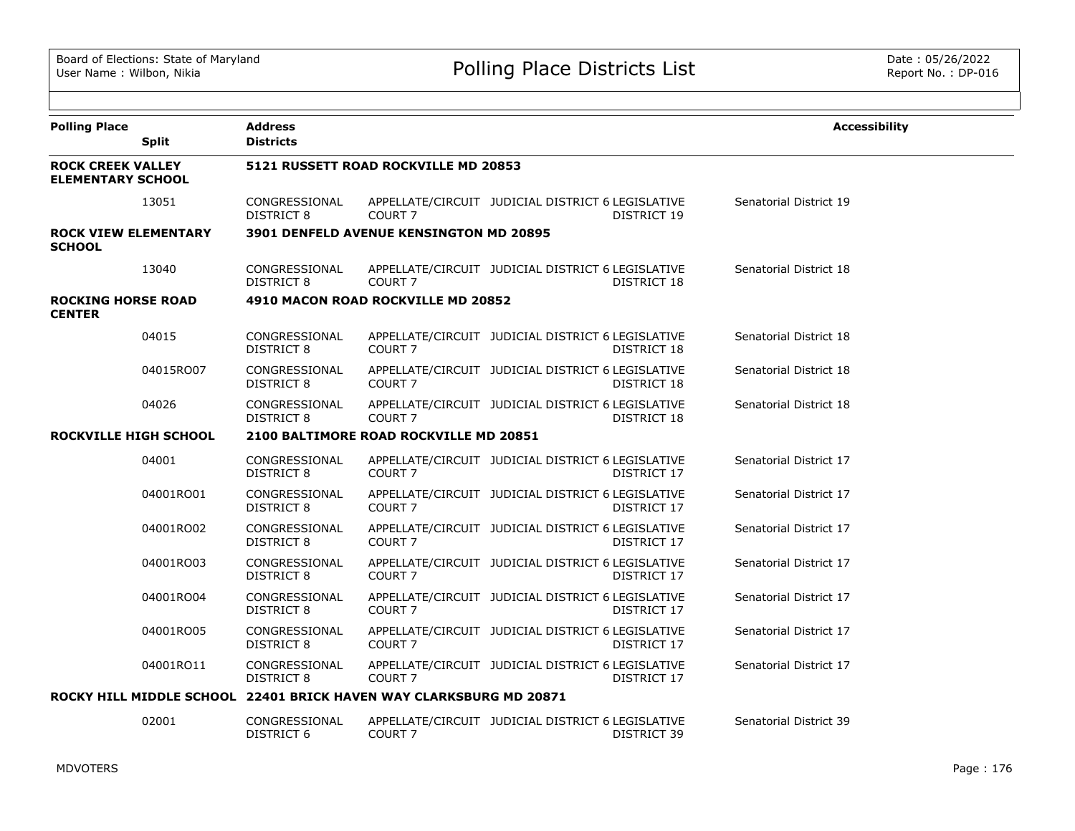| <b>Polling Place</b>                                 | <b>Split</b> | <b>Address</b><br><b>Districts</b> |                                                                    |                                                   |             | <b>Accessibility</b>   |
|------------------------------------------------------|--------------|------------------------------------|--------------------------------------------------------------------|---------------------------------------------------|-------------|------------------------|
| <b>ROCK CREEK VALLEY</b><br><b>ELEMENTARY SCHOOL</b> |              |                                    | 5121 RUSSETT ROAD ROCKVILLE MD 20853                               |                                                   |             |                        |
|                                                      | 13051        | CONGRESSIONAL<br><b>DISTRICT 8</b> | COURT <sub>7</sub>                                                 | APPELLATE/CIRCUIT JUDICIAL DISTRICT 6 LEGISLATIVE | DISTRICT 19 | Senatorial District 19 |
| <b>ROCK VIEW ELEMENTARY</b><br><b>SCHOOL</b>         |              |                                    | <b>3901 DENFELD AVENUE KENSINGTON MD 20895</b>                     |                                                   |             |                        |
|                                                      | 13040        | CONGRESSIONAL<br><b>DISTRICT 8</b> | COURT <sub>7</sub>                                                 | APPELLATE/CIRCUIT JUDICIAL DISTRICT 6 LEGISLATIVE | DISTRICT 18 | Senatorial District 18 |
| <b>ROCKING HORSE ROAD</b><br><b>CENTER</b>           |              |                                    | 4910 MACON ROAD ROCKVILLE MD 20852                                 |                                                   |             |                        |
|                                                      | 04015        | CONGRESSIONAL<br><b>DISTRICT 8</b> | COURT <sub>7</sub>                                                 | APPELLATE/CIRCUIT JUDICIAL DISTRICT 6 LEGISLATIVE | DISTRICT 18 | Senatorial District 18 |
|                                                      | 04015RO07    | CONGRESSIONAL<br><b>DISTRICT 8</b> | COURT <sub>7</sub>                                                 | APPELLATE/CIRCUIT JUDICIAL DISTRICT 6 LEGISLATIVE | DISTRICT 18 | Senatorial District 18 |
|                                                      | 04026        | CONGRESSIONAL<br><b>DISTRICT 8</b> | COURT <sub>7</sub>                                                 | APPELLATE/CIRCUIT JUDICIAL DISTRICT 6 LEGISLATIVE | DISTRICT 18 | Senatorial District 18 |
| <b>ROCKVILLE HIGH SCHOOL</b>                         |              |                                    | 2100 BALTIMORE ROAD ROCKVILLE MD 20851                             |                                                   |             |                        |
|                                                      | 04001        | CONGRESSIONAL<br>DISTRICT 8        | COURT <sub>7</sub>                                                 | APPELLATE/CIRCUIT JUDICIAL DISTRICT 6 LEGISLATIVE | DISTRICT 17 | Senatorial District 17 |
|                                                      | 04001RO01    | CONGRESSIONAL<br><b>DISTRICT 8</b> | COURT <sub>7</sub>                                                 | APPELLATE/CIRCUIT JUDICIAL DISTRICT 6 LEGISLATIVE | DISTRICT 17 | Senatorial District 17 |
|                                                      | 04001RO02    | CONGRESSIONAL<br><b>DISTRICT 8</b> | COURT <sub>7</sub>                                                 | APPELLATE/CIRCUIT JUDICIAL DISTRICT 6 LEGISLATIVE | DISTRICT 17 | Senatorial District 17 |
|                                                      | 04001RO03    | CONGRESSIONAL<br><b>DISTRICT 8</b> | COURT <sub>7</sub>                                                 | APPELLATE/CIRCUIT JUDICIAL DISTRICT 6 LEGISLATIVE | DISTRICT 17 | Senatorial District 17 |
|                                                      | 04001RO04    | CONGRESSIONAL<br><b>DISTRICT 8</b> | COURT 7                                                            | APPELLATE/CIRCUIT JUDICIAL DISTRICT 6 LEGISLATIVE | DISTRICT 17 | Senatorial District 17 |
|                                                      | 04001RO05    | CONGRESSIONAL<br><b>DISTRICT 8</b> | COURT <sub>7</sub>                                                 | APPELLATE/CIRCUIT JUDICIAL DISTRICT 6 LEGISLATIVE | DISTRICT 17 | Senatorial District 17 |
|                                                      | 04001RO11    | CONGRESSIONAL<br><b>DISTRICT 8</b> | COURT <sub>7</sub>                                                 | APPELLATE/CIRCUIT JUDICIAL DISTRICT 6 LEGISLATIVE | DISTRICT 17 | Senatorial District 17 |
|                                                      |              |                                    | ROCKY HILL MIDDLE SCHOOL 22401 BRICK HAVEN WAY CLARKSBURG MD 20871 |                                                   |             |                        |
|                                                      | 02001        | CONGRESSIONAL<br><b>DISTRICT 6</b> | COURT <sub>7</sub>                                                 | APPELLATE/CIRCUIT JUDICIAL DISTRICT 6 LEGISLATIVE | DISTRICT 39 | Senatorial District 39 |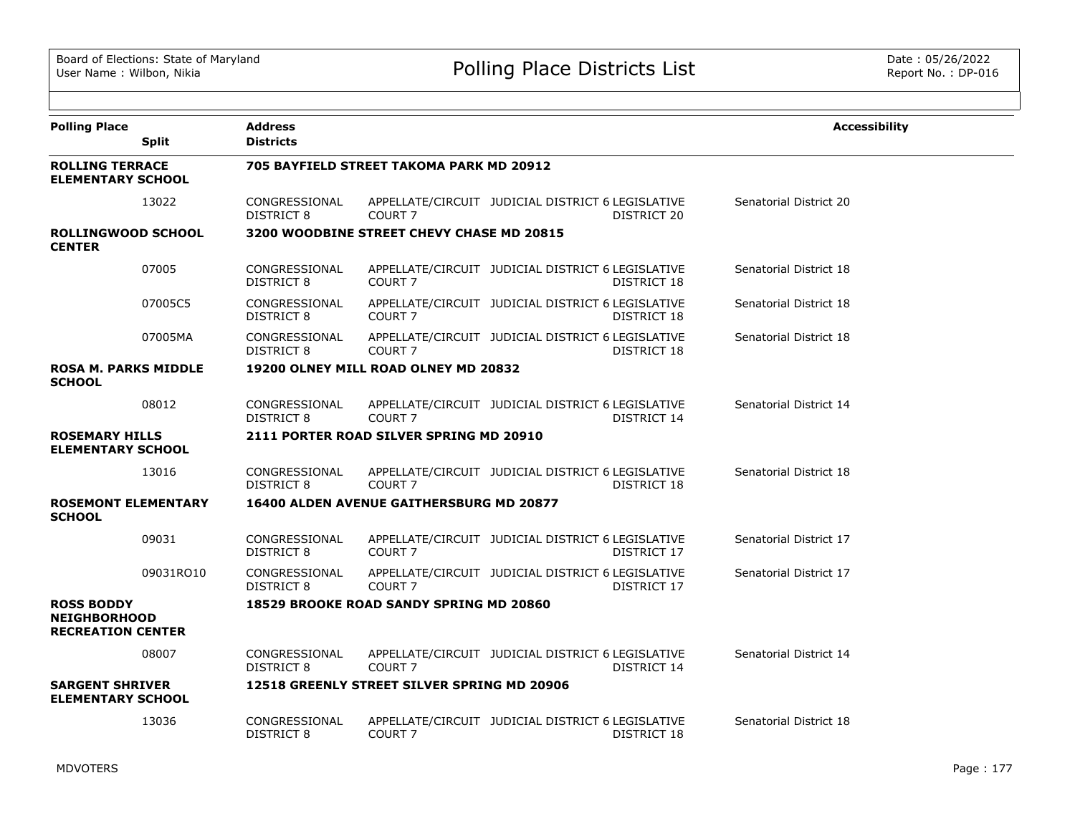| <b>Polling Place</b>                                                 | <b>Split</b> | <b>Address</b><br><b>Districts</b> |                                                 |                                                                         | <b>Accessibility</b>   |
|----------------------------------------------------------------------|--------------|------------------------------------|-------------------------------------------------|-------------------------------------------------------------------------|------------------------|
| <b>ROLLING TERRACE</b><br><b>ELEMENTARY SCHOOL</b>                   |              |                                    | 705 BAYFIELD STREET TAKOMA PARK MD 20912        |                                                                         |                        |
|                                                                      | 13022        | CONGRESSIONAL<br>DISTRICT 8        | COURT <sub>7</sub>                              | APPELLATE/CIRCUIT JUDICIAL DISTRICT 6 LEGISLATIVE<br>DISTRICT 20        | Senatorial District 20 |
| <b>ROLLINGWOOD SCHOOL</b><br><b>CENTER</b>                           |              |                                    | 3200 WOODBINE STREET CHEVY CHASE MD 20815       |                                                                         |                        |
|                                                                      | 07005        | CONGRESSIONAL<br>DISTRICT 8        | COURT <sub>7</sub>                              | APPELLATE/CIRCUIT JUDICIAL DISTRICT 6 LEGISLATIVE<br><b>DISTRICT 18</b> | Senatorial District 18 |
|                                                                      | 07005C5      | CONGRESSIONAL<br>DISTRICT 8        | COURT <sub>7</sub>                              | APPELLATE/CIRCUIT JUDICIAL DISTRICT 6 LEGISLATIVE<br>DISTRICT 18        | Senatorial District 18 |
|                                                                      | 07005MA      | CONGRESSIONAL<br>DISTRICT 8        | COURT <sub>7</sub>                              | APPELLATE/CIRCUIT JUDICIAL DISTRICT 6 LEGISLATIVE<br>DISTRICT 18        | Senatorial District 18 |
| <b>ROSA M. PARKS MIDDLE</b><br><b>SCHOOL</b>                         |              |                                    | 19200 OLNEY MILL ROAD OLNEY MD 20832            |                                                                         |                        |
|                                                                      | 08012        | CONGRESSIONAL<br>DISTRICT 8        | COURT <sub>7</sub>                              | APPELLATE/CIRCUIT JUDICIAL DISTRICT 6 LEGISLATIVE<br>DISTRICT 14        | Senatorial District 14 |
| <b>ROSEMARY HILLS</b><br><b>ELEMENTARY SCHOOL</b>                    |              |                                    | 2111 PORTER ROAD SILVER SPRING MD 20910         |                                                                         |                        |
|                                                                      | 13016        | CONGRESSIONAL<br><b>DISTRICT 8</b> | COURT <sub>7</sub>                              | APPELLATE/CIRCUIT JUDICIAL DISTRICT 6 LEGISLATIVE<br>DISTRICT 18        | Senatorial District 18 |
| <b>ROSEMONT ELEMENTARY</b><br><b>SCHOOL</b>                          |              |                                    | <b>16400 ALDEN AVENUE GAITHERSBURG MD 20877</b> |                                                                         |                        |
|                                                                      | 09031        | CONGRESSIONAL<br><b>DISTRICT 8</b> | COURT <sub>7</sub>                              | APPELLATE/CIRCUIT JUDICIAL DISTRICT 6 LEGISLATIVE<br>DISTRICT 17        | Senatorial District 17 |
|                                                                      | 09031RO10    | CONGRESSIONAL<br><b>DISTRICT 8</b> | COURT <sub>7</sub>                              | APPELLATE/CIRCUIT JUDICIAL DISTRICT 6 LEGISLATIVE<br>DISTRICT 17        | Senatorial District 17 |
| <b>ROSS BODDY</b><br><b>NEIGHBORHOOD</b><br><b>RECREATION CENTER</b> |              |                                    | <b>18529 BROOKE ROAD SANDY SPRING MD 20860</b>  |                                                                         |                        |
|                                                                      | 08007        | CONGRESSIONAL<br><b>DISTRICT 8</b> | COURT <sub>7</sub>                              | APPELLATE/CIRCUIT JUDICIAL DISTRICT 6 LEGISLATIVE<br>DISTRICT 14        | Senatorial District 14 |
| <b>SARGENT SHRIVER</b><br><b>ELEMENTARY SCHOOL</b>                   |              |                                    | 12518 GREENLY STREET SILVER SPRING MD 20906     |                                                                         |                        |
|                                                                      | 13036        | CONGRESSIONAL<br>DISTRICT 8        | COURT <sub>7</sub>                              | APPELLATE/CIRCUIT JUDICIAL DISTRICT 6 LEGISLATIVE<br>DISTRICT 18        | Senatorial District 18 |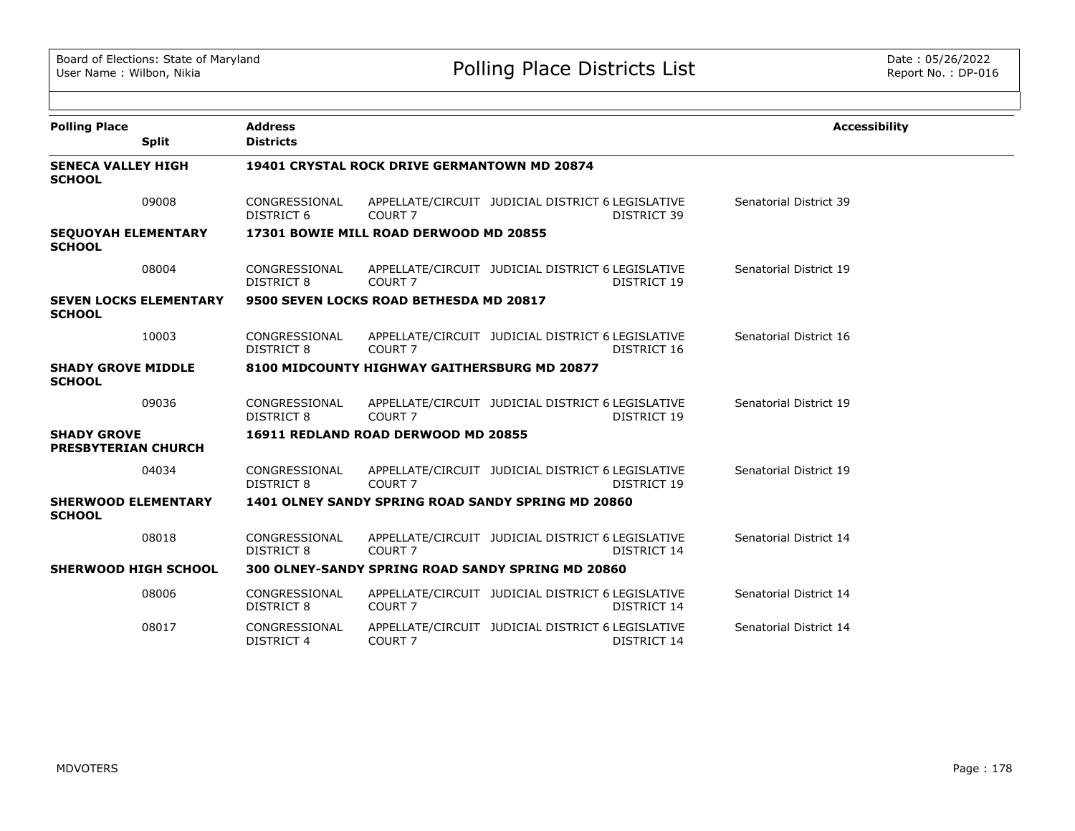| <b>Polling Place</b>                             | <b>Split</b>                  | <b>Address</b><br><b>Districts</b>           |                                              |                                                                         | <b>Accessibility</b>   |  |  |  |
|--------------------------------------------------|-------------------------------|----------------------------------------------|----------------------------------------------|-------------------------------------------------------------------------|------------------------|--|--|--|
| <b>SENECA VALLEY HIGH</b><br><b>SCHOOL</b>       |                               | 19401 CRYSTAL ROCK DRIVE GERMANTOWN MD 20874 |                                              |                                                                         |                        |  |  |  |
|                                                  | 09008                         | CONGRESSIONAL<br>DISTRICT 6                  | COURT <sub>7</sub>                           | APPELLATE/CIRCUIT JUDICIAL DISTRICT 6 LEGISLATIVE<br>DISTRICT 39        | Senatorial District 39 |  |  |  |
| <b>SEQUOYAH ELEMENTARY</b><br><b>SCHOOL</b>      |                               |                                              | 17301 BOWIE MILL ROAD DERWOOD MD 20855       |                                                                         |                        |  |  |  |
|                                                  | 08004                         | CONGRESSIONAL<br>DISTRICT 8                  | COURT <sub>7</sub>                           | APPELLATE/CIRCUIT JUDICIAL DISTRICT 6 LEGISLATIVE<br>DISTRICT 19        | Senatorial District 19 |  |  |  |
| <b>SCHOOL</b>                                    | <b>SEVEN LOCKS ELEMENTARY</b> |                                              | 9500 SEVEN LOCKS ROAD BETHESDA MD 20817      |                                                                         |                        |  |  |  |
|                                                  | 10003                         | CONGRESSIONAL<br>DISTRICT 8                  | COURT <sub>7</sub>                           | APPELLATE/CIRCUIT JUDICIAL DISTRICT 6 LEGISLATIVE<br>DISTRICT 16        | Senatorial District 16 |  |  |  |
| <b>SHADY GROVE MIDDLE</b><br><b>SCHOOL</b>       |                               |                                              | 8100 MIDCOUNTY HIGHWAY GAITHERSBURG MD 20877 |                                                                         |                        |  |  |  |
|                                                  | 09036                         | CONGRESSIONAL<br>DISTRICT 8                  | COURT <sub>7</sub>                           | APPELLATE/CIRCUIT JUDICIAL DISTRICT 6 LEGISLATIVE<br>DISTRICT 19        | Senatorial District 19 |  |  |  |
| <b>SHADY GROVE</b><br><b>PRESBYTERIAN CHURCH</b> |                               |                                              | 16911 REDLAND ROAD DERWOOD MD 20855          |                                                                         |                        |  |  |  |
|                                                  | 04034                         | CONGRESSIONAL<br>DISTRICT 8                  | COURT <sub>7</sub>                           | APPELLATE/CIRCUIT JUDICIAL DISTRICT 6 LEGISLATIVE<br>DISTRICT 19        | Senatorial District 19 |  |  |  |
| <b>SHERWOOD ELEMENTARY</b><br><b>SCHOOL</b>      |                               |                                              |                                              | 1401 OLNEY SANDY SPRING ROAD SANDY SPRING MD 20860                      |                        |  |  |  |
|                                                  | 08018                         | CONGRESSIONAL<br>DISTRICT 8                  | COURT <sub>7</sub>                           | APPELLATE/CIRCUIT JUDICIAL DISTRICT 6 LEGISLATIVE<br>DISTRICT 14        | Senatorial District 14 |  |  |  |
| <b>SHERWOOD HIGH SCHOOL</b>                      |                               |                                              |                                              | 300 OLNEY-SANDY SPRING ROAD SANDY SPRING MD 20860                       |                        |  |  |  |
|                                                  | 08006                         | CONGRESSIONAL<br>DISTRICT 8                  | COURT <sub>7</sub>                           | APPELLATE/CIRCUIT JUDICIAL DISTRICT 6 LEGISLATIVE<br><b>DISTRICT 14</b> | Senatorial District 14 |  |  |  |
|                                                  | 08017                         | CONGRESSIONAL<br><b>DISTRICT 4</b>           | COURT 7                                      | APPELLATE/CIRCUIT JUDICIAL DISTRICT 6 LEGISLATIVE<br>DISTRICT 14        | Senatorial District 14 |  |  |  |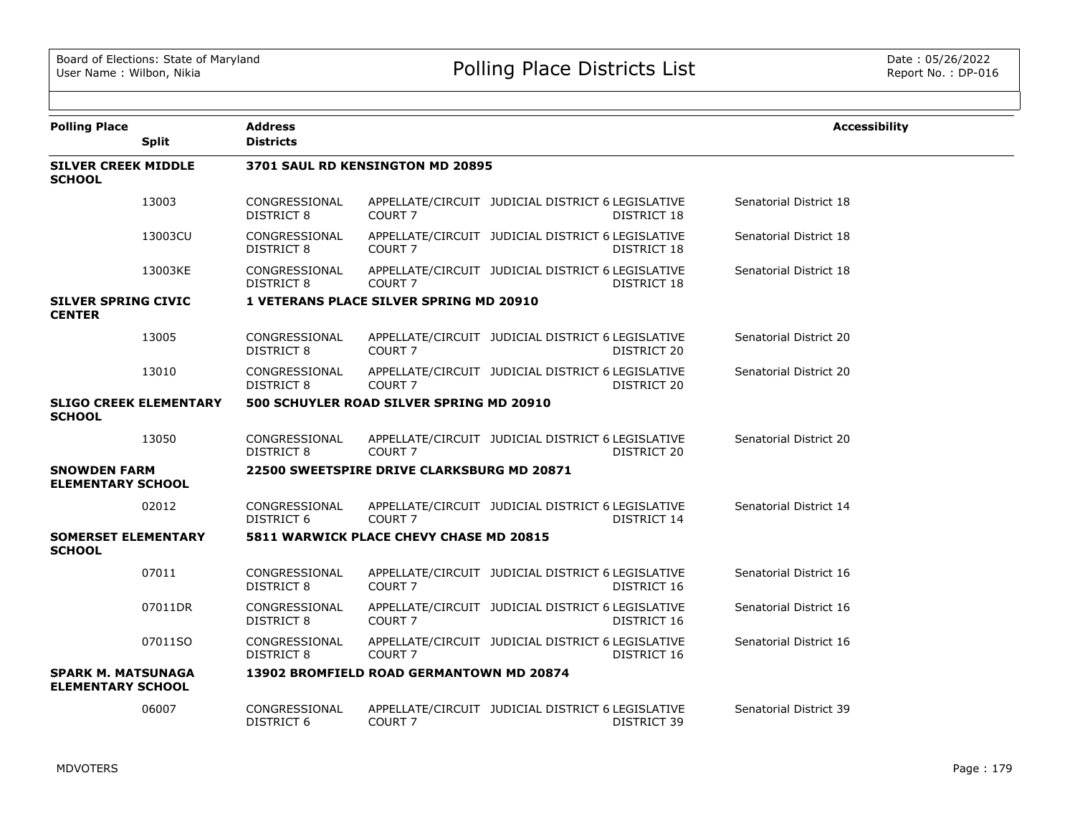| <b>Polling Place</b>                                  | <b>Split</b>                  | <b>Address</b><br><b>Districts</b> |                                                |                                                   |                    | <b>Accessibility</b>   |
|-------------------------------------------------------|-------------------------------|------------------------------------|------------------------------------------------|---------------------------------------------------|--------------------|------------------------|
| <b>SILVER CREEK MIDDLE</b><br><b>SCHOOL</b>           |                               |                                    | 3701 SAUL RD KENSINGTON MD 20895               |                                                   |                    |                        |
|                                                       | 13003                         | CONGRESSIONAL<br><b>DISTRICT 8</b> | COURT <sub>7</sub>                             | APPELLATE/CIRCUIT JUDICIAL DISTRICT 6 LEGISLATIVE | DISTRICT 18        | Senatorial District 18 |
|                                                       | 13003CU                       | CONGRESSIONAL<br><b>DISTRICT 8</b> | COURT <sub>7</sub>                             | APPELLATE/CIRCUIT JUDICIAL DISTRICT 6 LEGISLATIVE | <b>DISTRICT 18</b> | Senatorial District 18 |
|                                                       | 13003KE                       | CONGRESSIONAL<br>DISTRICT 8        | <b>COURT 7</b>                                 | APPELLATE/CIRCUIT JUDICIAL DISTRICT 6 LEGISLATIVE | DISTRICT 18        | Senatorial District 18 |
| <b>SILVER SPRING CIVIC</b><br><b>CENTER</b>           |                               |                                    | <b>1 VETERANS PLACE SILVER SPRING MD 20910</b> |                                                   |                    |                        |
|                                                       | 13005                         | CONGRESSIONAL<br>DISTRICT 8        | COURT <sub>7</sub>                             | APPELLATE/CIRCUIT JUDICIAL DISTRICT 6 LEGISLATIVE | DISTRICT 20        | Senatorial District 20 |
|                                                       | 13010                         | CONGRESSIONAL<br>DISTRICT 8        | COURT <sub>7</sub>                             | APPELLATE/CIRCUIT JUDICIAL DISTRICT 6 LEGISLATIVE | DISTRICT 20        | Senatorial District 20 |
| <b>SCHOOL</b>                                         | <b>SLIGO CREEK ELEMENTARY</b> |                                    | 500 SCHUYLER ROAD SILVER SPRING MD 20910       |                                                   |                    |                        |
|                                                       | 13050                         | CONGRESSIONAL<br>DISTRICT 8        | COURT <sub>7</sub>                             | APPELLATE/CIRCUIT JUDICIAL DISTRICT 6 LEGISLATIVE | DISTRICT 20        | Senatorial District 20 |
| <b>SNOWDEN FARM</b><br><b>ELEMENTARY SCHOOL</b>       |                               |                                    | 22500 SWEETSPIRE DRIVE CLARKSBURG MD 20871     |                                                   |                    |                        |
|                                                       | 02012                         | CONGRESSIONAL<br>DISTRICT 6        | COURT <sub>7</sub>                             | APPELLATE/CIRCUIT JUDICIAL DISTRICT 6 LEGISLATIVE | DISTRICT 14        | Senatorial District 14 |
| <b>SOMERSET ELEMENTARY</b><br><b>SCHOOL</b>           |                               |                                    | 5811 WARWICK PLACE CHEVY CHASE MD 20815        |                                                   |                    |                        |
|                                                       | 07011                         | CONGRESSIONAL<br>DISTRICT 8        | COURT <sub>7</sub>                             | APPELLATE/CIRCUIT JUDICIAL DISTRICT 6 LEGISLATIVE | DISTRICT 16        | Senatorial District 16 |
|                                                       | 07011DR                       | CONGRESSIONAL<br>DISTRICT 8        | COURT <sub>7</sub>                             | APPELLATE/CIRCUIT JUDICIAL DISTRICT 6 LEGISLATIVE | DISTRICT 16        | Senatorial District 16 |
|                                                       | 07011SO                       | CONGRESSIONAL<br>DISTRICT 8        | COURT <sub>7</sub>                             | APPELLATE/CIRCUIT JUDICIAL DISTRICT 6 LEGISLATIVE | DISTRICT 16        | Senatorial District 16 |
| <b>SPARK M. MATSUNAGA</b><br><b>ELEMENTARY SCHOOL</b> |                               |                                    | 13902 BROMFIELD ROAD GERMANTOWN MD 20874       |                                                   |                    |                        |
|                                                       | 06007                         | CONGRESSIONAL<br><b>DISTRICT 6</b> | COURT <sub>7</sub>                             | APPELLATE/CIRCUIT JUDICIAL DISTRICT 6 LEGISLATIVE | DISTRICT 39        | Senatorial District 39 |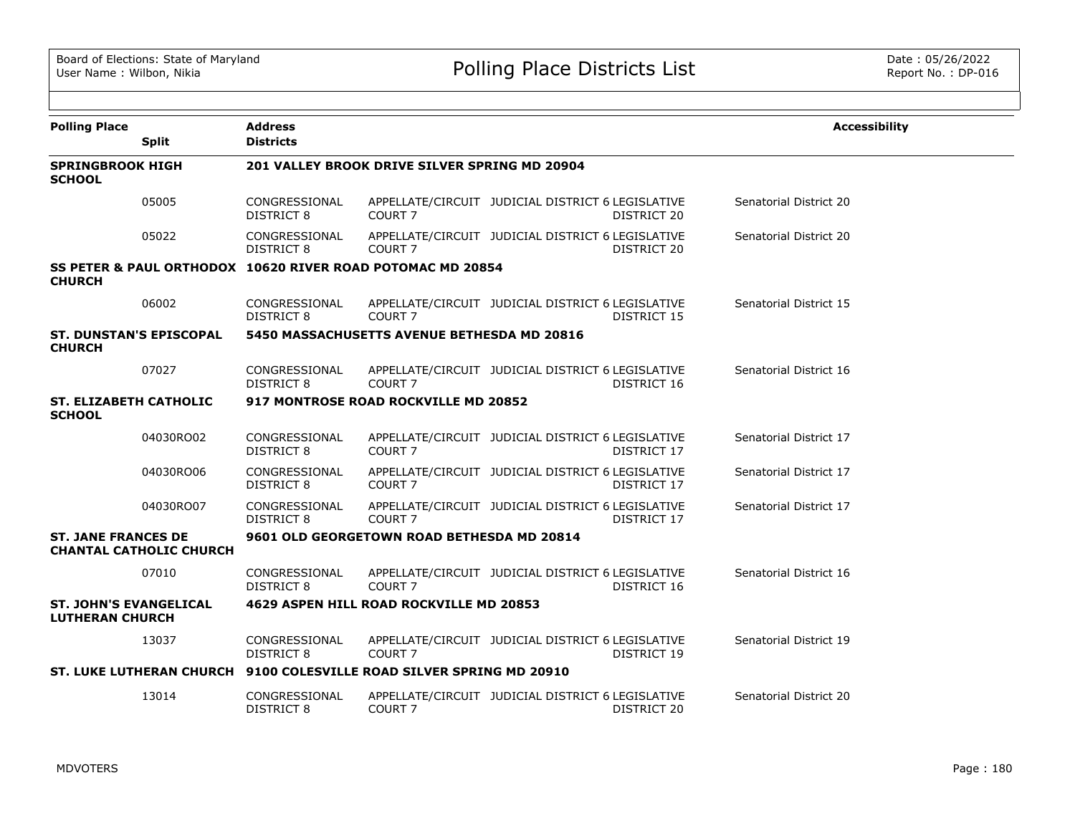| <b>Polling Place</b>                                    |                                | <b>Address</b>                     |                                                                      |                                                   |                    | <b>Accessibility</b>   |
|---------------------------------------------------------|--------------------------------|------------------------------------|----------------------------------------------------------------------|---------------------------------------------------|--------------------|------------------------|
|                                                         | <b>Split</b>                   | <b>Districts</b>                   |                                                                      |                                                   |                    |                        |
| <b>SPRINGBROOK HIGH</b><br><b>SCHOOL</b>                |                                |                                    | 201 VALLEY BROOK DRIVE SILVER SPRING MD 20904                        |                                                   |                    |                        |
|                                                         | 05005                          | CONGRESSIONAL<br><b>DISTRICT 8</b> | COURT <sub>7</sub>                                                   | APPELLATE/CIRCUIT JUDICIAL DISTRICT 6 LEGISLATIVE | DISTRICT 20        | Senatorial District 20 |
|                                                         | 05022                          | CONGRESSIONAL<br><b>DISTRICT 8</b> | <b>COURT 7</b>                                                       | APPELLATE/CIRCUIT JUDICIAL DISTRICT 6 LEGISLATIVE | DISTRICT 20        | Senatorial District 20 |
| <b>CHURCH</b>                                           |                                |                                    | SS PETER & PAUL ORTHODOX 10620 RIVER ROAD POTOMAC MD 20854           |                                                   |                    |                        |
|                                                         | 06002                          | CONGRESSIONAL<br>DISTRICT 8        | COURT <sub>7</sub>                                                   | APPELLATE/CIRCUIT JUDICIAL DISTRICT 6 LEGISLATIVE | DISTRICT 15        | Senatorial District 15 |
| <b>CHURCH</b>                                           | <b>ST. DUNSTAN'S EPISCOPAL</b> |                                    | <b>5450 MASSACHUSETTS AVENUE BETHESDA MD 20816</b>                   |                                                   |                    |                        |
|                                                         | 07027                          | CONGRESSIONAL<br>DISTRICT 8        | COURT <sub>7</sub>                                                   | APPELLATE/CIRCUIT JUDICIAL DISTRICT 6 LEGISLATIVE | DISTRICT 16        | Senatorial District 16 |
| <b>ST. ELIZABETH CATHOLIC</b><br><b>SCHOOL</b>          |                                |                                    | 917 MONTROSE ROAD ROCKVILLE MD 20852                                 |                                                   |                    |                        |
|                                                         | 04030RO02                      | CONGRESSIONAL<br><b>DISTRICT 8</b> | COURT <sub>7</sub>                                                   | APPELLATE/CIRCUIT JUDICIAL DISTRICT 6 LEGISLATIVE | DISTRICT 17        | Senatorial District 17 |
|                                                         | 04030RO06                      | CONGRESSIONAL<br>DISTRICT 8        | COURT <sub>7</sub>                                                   | APPELLATE/CIRCUIT JUDICIAL DISTRICT 6 LEGISLATIVE | DISTRICT 17        | Senatorial District 17 |
|                                                         | 04030RO07                      | CONGRESSIONAL<br><b>DISTRICT 8</b> | COURT <sub>7</sub>                                                   | APPELLATE/CIRCUIT JUDICIAL DISTRICT 6 LEGISLATIVE | <b>DISTRICT 17</b> | Senatorial District 17 |
| <b>ST. JANE FRANCES DE</b>                              | <b>CHANTAL CATHOLIC CHURCH</b> |                                    | 9601 OLD GEORGETOWN ROAD BETHESDA MD 20814                           |                                                   |                    |                        |
|                                                         | 07010                          | CONGRESSIONAL<br><b>DISTRICT 8</b> | COURT <sub>7</sub>                                                   | APPELLATE/CIRCUIT JUDICIAL DISTRICT 6 LEGISLATIVE | DISTRICT 16        | Senatorial District 16 |
| <b>ST. JOHN'S EVANGELICAL</b><br><b>LUTHERAN CHURCH</b> |                                |                                    | 4629 ASPEN HILL ROAD ROCKVILLE MD 20853                              |                                                   |                    |                        |
|                                                         | 13037                          | CONGRESSIONAL<br><b>DISTRICT 8</b> | COURT <sub>7</sub>                                                   | APPELLATE/CIRCUIT JUDICIAL DISTRICT 6 LEGISLATIVE | DISTRICT 19        | Senatorial District 19 |
|                                                         |                                |                                    | ST. LUKE LUTHERAN CHURCH 9100 COLESVILLE ROAD SILVER SPRING MD 20910 |                                                   |                    |                        |
|                                                         | 13014                          | CONGRESSIONAL<br><b>DISTRICT 8</b> | COURT <sub>7</sub>                                                   | APPELLATE/CIRCUIT JUDICIAL DISTRICT 6 LEGISLATIVE | <b>DISTRICT 20</b> | Senatorial District 20 |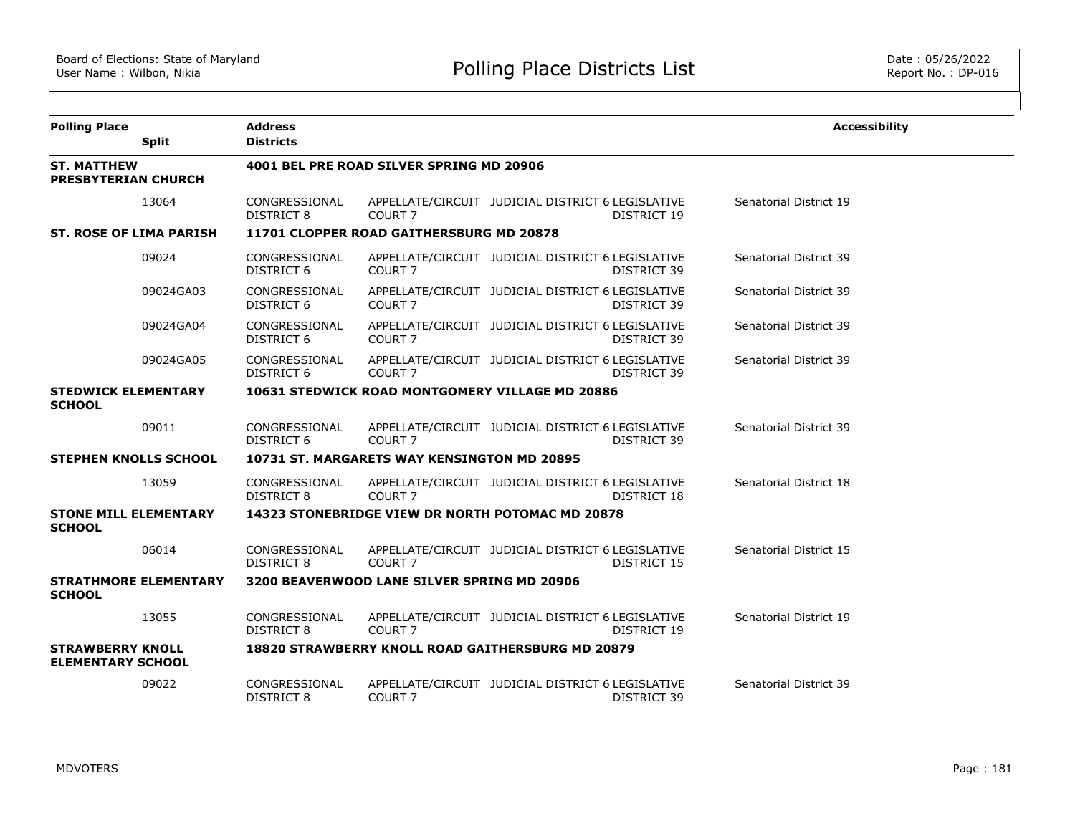| <b>Polling Place</b>                                | <b>Split</b>                 | <b>Address</b><br><b>Districts</b> |                                             |                                                          |                    | <b>Accessibility</b>   |
|-----------------------------------------------------|------------------------------|------------------------------------|---------------------------------------------|----------------------------------------------------------|--------------------|------------------------|
| <b>ST. MATTHEW</b><br><b>PRESBYTERIAN CHURCH</b>    |                              |                                    | 4001 BEL PRE ROAD SILVER SPRING MD 20906    |                                                          |                    |                        |
|                                                     | 13064                        | CONGRESSIONAL<br><b>DISTRICT 8</b> | COURT <sub>7</sub>                          | APPELLATE/CIRCUIT JUDICIAL DISTRICT 6 LEGISLATIVE        | DISTRICT 19        | Senatorial District 19 |
| <b>ST. ROSE OF LIMA PARISH</b>                      |                              |                                    | 11701 CLOPPER ROAD GAITHERSBURG MD 20878    |                                                          |                    |                        |
|                                                     | 09024                        | CONGRESSIONAL<br><b>DISTRICT 6</b> | COURT <sub>7</sub>                          | APPELLATE/CIRCUIT JUDICIAL DISTRICT 6 LEGISLATIVE        | <b>DISTRICT 39</b> | Senatorial District 39 |
|                                                     | 09024GA03                    | CONGRESSIONAL<br>DISTRICT 6        | COURT <sub>7</sub>                          | APPELLATE/CIRCUIT JUDICIAL DISTRICT 6 LEGISLATIVE        | DISTRICT 39        | Senatorial District 39 |
|                                                     | 09024GA04                    | CONGRESSIONAL<br>DISTRICT 6        | COURT <sub>7</sub>                          | APPELLATE/CIRCUIT JUDICIAL DISTRICT 6 LEGISLATIVE        | DISTRICT 39        | Senatorial District 39 |
|                                                     | 09024GA05                    | CONGRESSIONAL<br>DISTRICT 6        | COURT <sub>7</sub>                          | APPELLATE/CIRCUIT JUDICIAL DISTRICT 6 LEGISLATIVE        | DISTRICT 39        | Senatorial District 39 |
| <b>STEDWICK ELEMENTARY</b><br><b>SCHOOL</b>         |                              |                                    |                                             | 10631 STEDWICK ROAD MONTGOMERY VILLAGE MD 20886          |                    |                        |
|                                                     | 09011                        | CONGRESSIONAL<br>DISTRICT 6        | COURT <sub>7</sub>                          | APPELLATE/CIRCUIT JUDICIAL DISTRICT 6 LEGISLATIVE        | DISTRICT 39        | Senatorial District 39 |
| <b>STEPHEN KNOLLS SCHOOL</b>                        |                              |                                    | 10731 ST. MARGARETS WAY KENSINGTON MD 20895 |                                                          |                    |                        |
|                                                     | 13059                        | CONGRESSIONAL<br><b>DISTRICT 8</b> | COURT <sub>7</sub>                          | APPELLATE/CIRCUIT JUDICIAL DISTRICT 6 LEGISLATIVE        | <b>DISTRICT 18</b> | Senatorial District 18 |
| <b>STONE MILL ELEMENTARY</b><br><b>SCHOOL</b>       |                              |                                    |                                             | 14323 STONEBRIDGE VIEW DR NORTH POTOMAC MD 20878         |                    |                        |
|                                                     | 06014                        | CONGRESSIONAL<br>DISTRICT 8        | COURT <sub>7</sub>                          | APPELLATE/CIRCUIT JUDICIAL DISTRICT 6 LEGISLATIVE        | DISTRICT 15        | Senatorial District 15 |
| <b>SCHOOL</b>                                       | <b>STRATHMORE ELEMENTARY</b> |                                    | 3200 BEAVERWOOD LANE SILVER SPRING MD 20906 |                                                          |                    |                        |
|                                                     | 13055                        | CONGRESSIONAL<br><b>DISTRICT 8</b> | COURT <sub>7</sub>                          | APPELLATE/CIRCUIT JUDICIAL DISTRICT 6 LEGISLATIVE        | DISTRICT 19        | Senatorial District 19 |
| <b>STRAWBERRY KNOLL</b><br><b>ELEMENTARY SCHOOL</b> |                              |                                    |                                             | <b>18820 STRAWBERRY KNOLL ROAD GAITHERSBURG MD 20879</b> |                    |                        |
|                                                     | 09022                        | CONGRESSIONAL<br><b>DISTRICT 8</b> | COURT <sub>7</sub>                          | APPELLATE/CIRCUIT JUDICIAL DISTRICT 6 LEGISLATIVE        | DISTRICT 39        | Senatorial District 39 |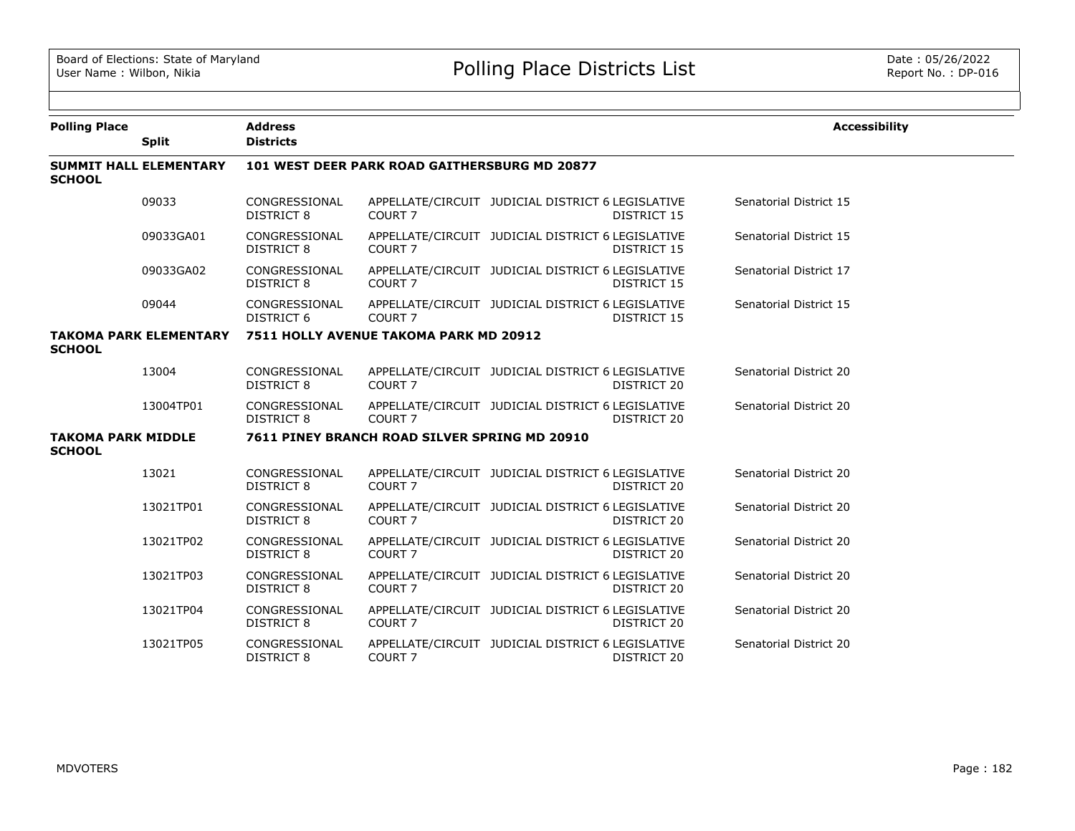| <b>Polling Place</b>                       |                               | <b>Address</b><br><b>Districts</b> |                                               |                                                   |                    | <b>Accessibility</b>   |
|--------------------------------------------|-------------------------------|------------------------------------|-----------------------------------------------|---------------------------------------------------|--------------------|------------------------|
|                                            | <b>Split</b>                  |                                    |                                               |                                                   |                    |                        |
| <b>SCHOOL</b>                              | <b>SUMMIT HALL ELEMENTARY</b> |                                    | 101 WEST DEER PARK ROAD GAITHERSBURG MD 20877 |                                                   |                    |                        |
|                                            | 09033                         | CONGRESSIONAL<br>DISTRICT 8        | COURT <sub>7</sub>                            | APPELLATE/CIRCUIT JUDICIAL DISTRICT 6 LEGISLATIVE | DISTRICT 15        | Senatorial District 15 |
|                                            | 09033GA01                     | CONGRESSIONAL<br><b>DISTRICT 8</b> | COURT <sub>7</sub>                            | APPELLATE/CIRCUIT JUDICIAL DISTRICT 6 LEGISLATIVE | DISTRICT 15        | Senatorial District 15 |
|                                            | 09033GA02                     | CONGRESSIONAL<br><b>DISTRICT 8</b> | COURT <sub>7</sub>                            | APPELLATE/CIRCUIT JUDICIAL DISTRICT 6 LEGISLATIVE | DISTRICT 15        | Senatorial District 17 |
|                                            | 09044                         | CONGRESSIONAL<br><b>DISTRICT 6</b> | COURT <sub>7</sub>                            | APPELLATE/CIRCUIT JUDICIAL DISTRICT 6 LEGISLATIVE | <b>DISTRICT 15</b> | Senatorial District 15 |
| <b>SCHOOL</b>                              | <b>TAKOMA PARK ELEMENTARY</b> |                                    | 7511 HOLLY AVENUE TAKOMA PARK MD 20912        |                                                   |                    |                        |
|                                            | 13004                         | CONGRESSIONAL<br><b>DISTRICT 8</b> | COURT <sub>7</sub>                            | APPELLATE/CIRCUIT JUDICIAL DISTRICT 6 LEGISLATIVE | DISTRICT 20        | Senatorial District 20 |
|                                            | 13004TP01                     | CONGRESSIONAL<br><b>DISTRICT 8</b> | COURT <sub>7</sub>                            | APPELLATE/CIRCUIT JUDICIAL DISTRICT 6 LEGISLATIVE | DISTRICT 20        | Senatorial District 20 |
| <b>TAKOMA PARK MIDDLE</b><br><b>SCHOOL</b> |                               |                                    | 7611 PINEY BRANCH ROAD SILVER SPRING MD 20910 |                                                   |                    |                        |
|                                            | 13021                         | CONGRESSIONAL<br><b>DISTRICT 8</b> | COURT <sub>7</sub>                            | APPELLATE/CIRCUIT JUDICIAL DISTRICT 6 LEGISLATIVE | DISTRICT 20        | Senatorial District 20 |
|                                            | 13021TP01                     | CONGRESSIONAL<br><b>DISTRICT 8</b> | COURT <sub>7</sub>                            | APPELLATE/CIRCUIT JUDICIAL DISTRICT 6 LEGISLATIVE | DISTRICT 20        | Senatorial District 20 |
|                                            | 13021TP02                     | CONGRESSIONAL<br><b>DISTRICT 8</b> | COURT <sub>7</sub>                            | APPELLATE/CIRCUIT JUDICIAL DISTRICT 6 LEGISLATIVE | DISTRICT 20        | Senatorial District 20 |
|                                            | 13021TP03                     | CONGRESSIONAL<br><b>DISTRICT 8</b> | COURT <sub>7</sub>                            | APPELLATE/CIRCUIT JUDICIAL DISTRICT 6 LEGISLATIVE | DISTRICT 20        | Senatorial District 20 |
|                                            | 13021TP04                     | CONGRESSIONAL<br><b>DISTRICT 8</b> | COURT <sub>7</sub>                            | APPELLATE/CIRCUIT JUDICIAL DISTRICT 6 LEGISLATIVE | DISTRICT 20        | Senatorial District 20 |
|                                            | 13021TP05                     | CONGRESSIONAL<br>DISTRICT 8        | COURT <sub>7</sub>                            | APPELLATE/CIRCUIT JUDICIAL DISTRICT 6 LEGISLATIVE | DISTRICT 20        | Senatorial District 20 |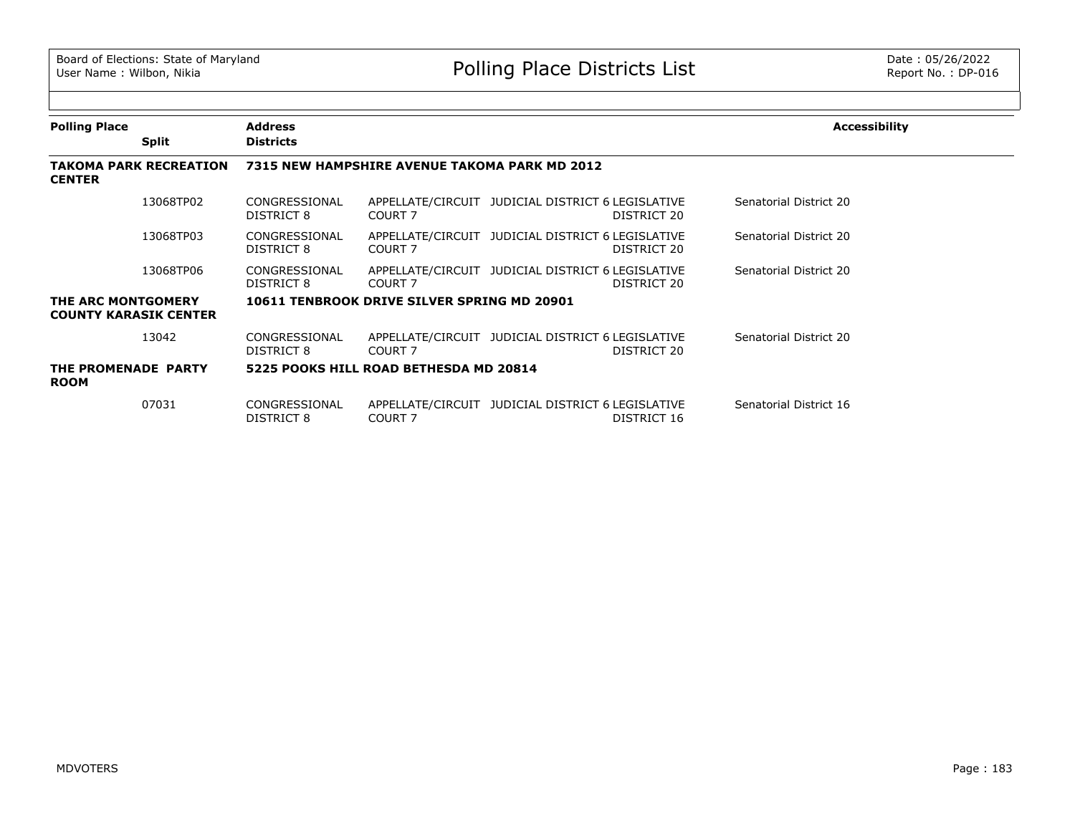| <b>Polling Place</b>               |                               | <b>Address</b>              |                                               |                                                                  | <b>Accessibility</b>   |
|------------------------------------|-------------------------------|-----------------------------|-----------------------------------------------|------------------------------------------------------------------|------------------------|
|                                    | <b>Split</b>                  | <b>Districts</b>            |                                               |                                                                  |                        |
| <b>CENTER</b>                      | <b>TAKOMA PARK RECREATION</b> |                             | 7315 NEW HAMPSHIRE AVENUE TAKOMA PARK MD 2012 |                                                                  |                        |
|                                    | 13068TP02                     | CONGRESSIONAL<br>DISTRICT 8 | COURT 7                                       | APPELLATE/CIRCUIT JUDICIAL DISTRICT 6 LEGISLATIVE<br>DISTRICT 20 | Senatorial District 20 |
|                                    | 13068TP03                     | CONGRESSIONAL<br>DISTRICT 8 | COURT 7                                       | APPELLATE/CIRCUIT JUDICIAL DISTRICT 6 LEGISLATIVE<br>DISTRICT 20 | Senatorial District 20 |
|                                    | 13068TP06                     | CONGRESSIONAL<br>DISTRICT 8 | COURT 7                                       | APPELLATE/CIRCUIT JUDICIAL DISTRICT 6 LEGISLATIVE<br>DISTRICT 20 | Senatorial District 20 |
| THE ARC MONTGOMERY                 | <b>COUNTY KARASIK CENTER</b>  |                             | 10611 TENBROOK DRIVE SILVER SPRING MD 20901   |                                                                  |                        |
|                                    | 13042                         | CONGRESSIONAL<br>DISTRICT 8 | COURT 7                                       | APPELLATE/CIRCUIT JUDICIAL DISTRICT 6 LEGISLATIVE<br>DISTRICT 20 | Senatorial District 20 |
| THE PROMENADE PARTY<br><b>ROOM</b> |                               |                             | 5225 POOKS HILL ROAD BETHESDA MD 20814        |                                                                  |                        |
|                                    | 07031                         | CONGRESSIONAL<br>DISTRICT 8 | COURT 7                                       | APPELLATE/CIRCUIT JUDICIAL DISTRICT 6 LEGISLATIVE<br>DISTRICT 16 | Senatorial District 16 |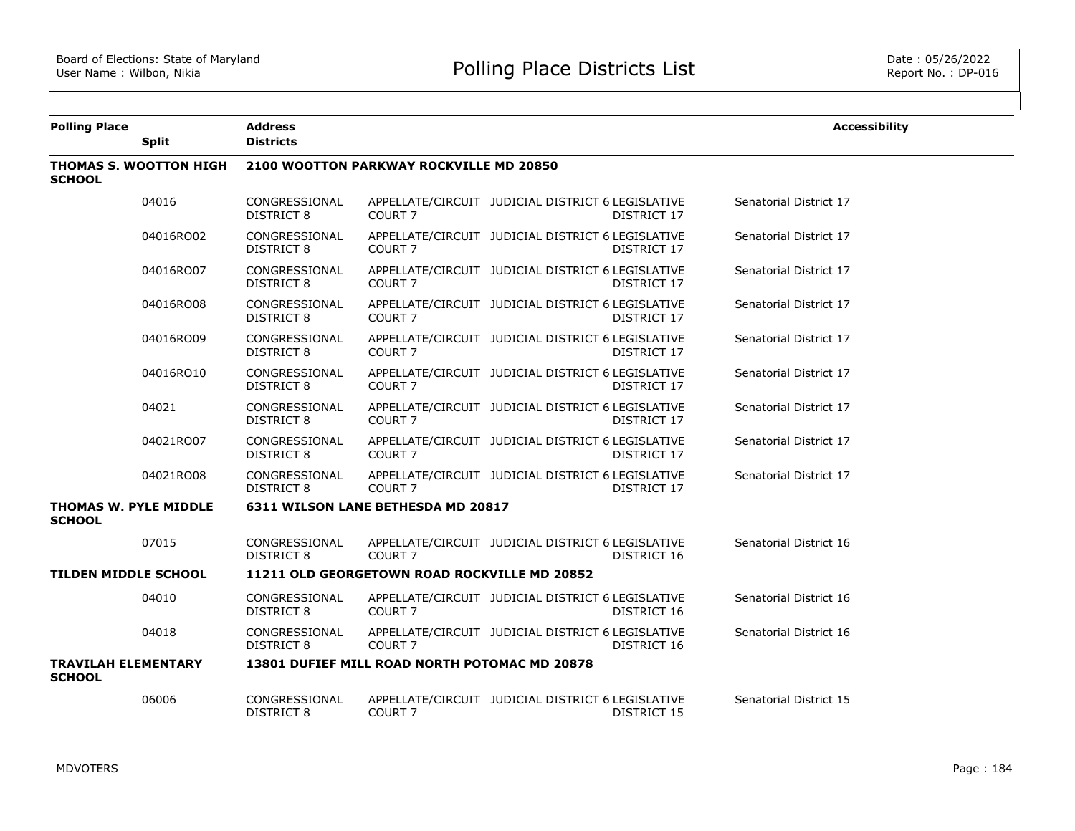| <b>Polling Place</b>                          |                               | <b>Address</b>                     |                                               |                                                                         | <b>Accessibility</b>   |
|-----------------------------------------------|-------------------------------|------------------------------------|-----------------------------------------------|-------------------------------------------------------------------------|------------------------|
|                                               | <b>Split</b>                  | <b>Districts</b>                   |                                               |                                                                         |                        |
| <b>SCHOOL</b>                                 | <b>THOMAS S. WOOTTON HIGH</b> |                                    | 2100 WOOTTON PARKWAY ROCKVILLE MD 20850       |                                                                         |                        |
|                                               | 04016                         | CONGRESSIONAL<br>DISTRICT 8        | COURT <sub>7</sub>                            | APPELLATE/CIRCUIT JUDICIAL DISTRICT 6 LEGISLATIVE<br><b>DISTRICT 17</b> | Senatorial District 17 |
|                                               | 04016RO02                     | CONGRESSIONAL<br>DISTRICT 8        | COURT <sub>7</sub>                            | APPELLATE/CIRCUIT JUDICIAL DISTRICT 6 LEGISLATIVE<br><b>DISTRICT 17</b> | Senatorial District 17 |
|                                               | 04016RO07                     | CONGRESSIONAL<br>DISTRICT 8        | <b>COURT 7</b>                                | APPELLATE/CIRCUIT JUDICIAL DISTRICT 6 LEGISLATIVE<br>DISTRICT 17        | Senatorial District 17 |
|                                               | 04016RO08                     | CONGRESSIONAL<br>DISTRICT 8        | <b>COURT 7</b>                                | APPELLATE/CIRCUIT JUDICIAL DISTRICT 6 LEGISLATIVE<br><b>DISTRICT 17</b> | Senatorial District 17 |
|                                               | 04016RO09                     | CONGRESSIONAL<br>DISTRICT 8        | <b>COURT 7</b>                                | APPELLATE/CIRCUIT JUDICIAL DISTRICT 6 LEGISLATIVE<br>DISTRICT 17        | Senatorial District 17 |
|                                               | 04016RO10                     | CONGRESSIONAL<br>DISTRICT 8        | COURT <sub>7</sub>                            | APPELLATE/CIRCUIT JUDICIAL DISTRICT 6 LEGISLATIVE<br><b>DISTRICT 17</b> | Senatorial District 17 |
|                                               | 04021                         | CONGRESSIONAL<br>DISTRICT 8        | COURT <sub>7</sub>                            | APPELLATE/CIRCUIT JUDICIAL DISTRICT 6 LEGISLATIVE<br>DISTRICT 17        | Senatorial District 17 |
|                                               | 04021RO07                     | CONGRESSIONAL<br><b>DISTRICT 8</b> | COURT <sub>7</sub>                            | APPELLATE/CIRCUIT JUDICIAL DISTRICT 6 LEGISLATIVE<br><b>DISTRICT 17</b> | Senatorial District 17 |
|                                               | 04021RO08                     | CONGRESSIONAL<br>DISTRICT 8        | COURT <sub>7</sub>                            | APPELLATE/CIRCUIT JUDICIAL DISTRICT 6 LEGISLATIVE<br>DISTRICT 17        | Senatorial District 17 |
| <b>THOMAS W. PYLE MIDDLE</b><br><b>SCHOOL</b> |                               |                                    | 6311 WILSON LANE BETHESDA MD 20817            |                                                                         |                        |
|                                               | 07015                         | CONGRESSIONAL<br><b>DISTRICT 8</b> | COURT <sub>7</sub>                            | APPELLATE/CIRCUIT JUDICIAL DISTRICT 6 LEGISLATIVE<br>DISTRICT 16        | Senatorial District 16 |
| <b>TILDEN MIDDLE SCHOOL</b>                   |                               |                                    | 11211 OLD GEORGETOWN ROAD ROCKVILLE MD 20852  |                                                                         |                        |
|                                               | 04010                         | CONGRESSIONAL<br>DISTRICT 8        | COURT <sub>7</sub>                            | APPELLATE/CIRCUIT JUDICIAL DISTRICT 6 LEGISLATIVE<br>DISTRICT 16        | Senatorial District 16 |
|                                               | 04018                         | CONGRESSIONAL<br>DISTRICT 8        | COURT <sub>7</sub>                            | APPELLATE/CIRCUIT JUDICIAL DISTRICT 6 LEGISLATIVE<br>DISTRICT 16        | Senatorial District 16 |
| <b>TRAVILAH ELEMENTARY</b><br><b>SCHOOL</b>   |                               |                                    | 13801 DUFIEF MILL ROAD NORTH POTOMAC MD 20878 |                                                                         |                        |
|                                               | 06006                         | CONGRESSIONAL<br>DISTRICT 8        | COURT <sub>7</sub>                            | APPELLATE/CIRCUIT JUDICIAL DISTRICT 6 LEGISLATIVE<br><b>DISTRICT 15</b> | Senatorial District 15 |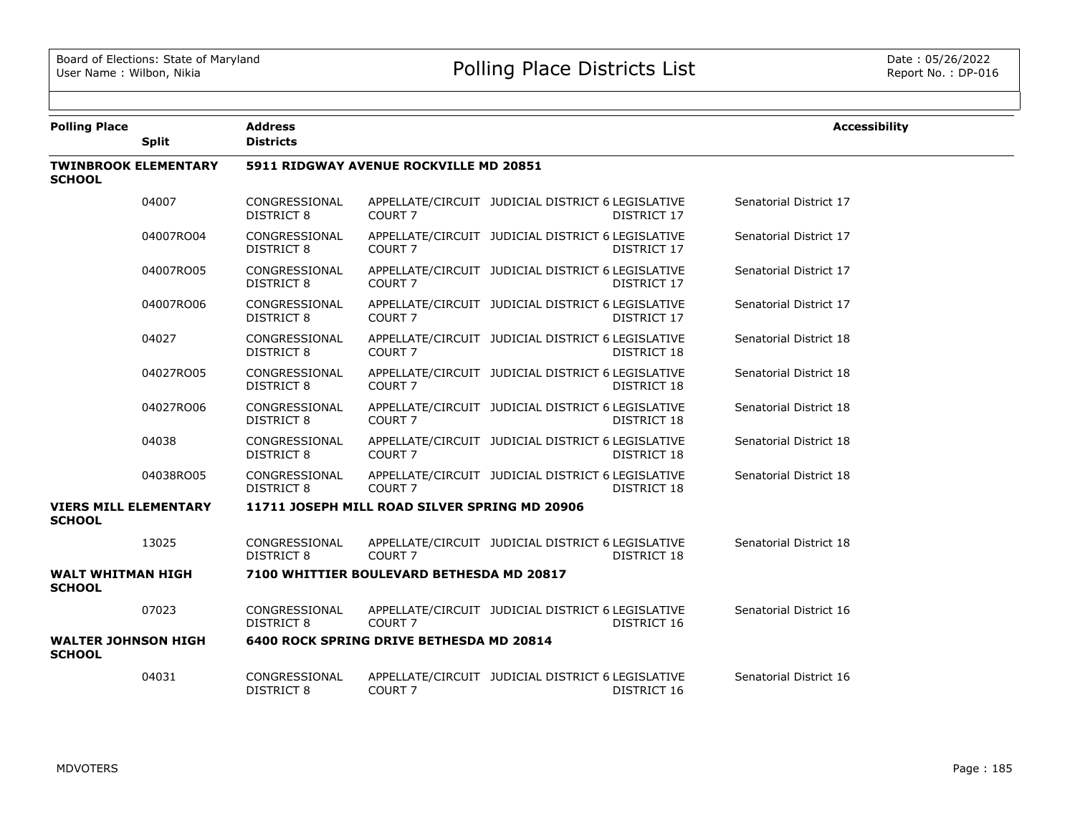| <b>Polling Place</b>                          |                             | <b>Address</b>                     |                                               |                                                                         | <b>Accessibility</b>   |
|-----------------------------------------------|-----------------------------|------------------------------------|-----------------------------------------------|-------------------------------------------------------------------------|------------------------|
|                                               | <b>Split</b>                | <b>Districts</b>                   |                                               |                                                                         |                        |
| <b>SCHOOL</b>                                 | <b>TWINBROOK ELEMENTARY</b> |                                    | 5911 RIDGWAY AVENUE ROCKVILLE MD 20851        |                                                                         |                        |
|                                               | 04007                       | CONGRESSIONAL<br><b>DISTRICT 8</b> | COURT <sub>7</sub>                            | APPELLATE/CIRCUIT JUDICIAL DISTRICT 6 LEGISLATIVE<br>DISTRICT 17        | Senatorial District 17 |
|                                               | 04007RO04                   | CONGRESSIONAL<br>DISTRICT 8        | COURT <sub>7</sub>                            | APPELLATE/CIRCUIT JUDICIAL DISTRICT 6 LEGISLATIVE<br><b>DISTRICT 17</b> | Senatorial District 17 |
|                                               | 04007RO05                   | CONGRESSIONAL<br><b>DISTRICT 8</b> | COURT <sub>7</sub>                            | APPELLATE/CIRCUIT JUDICIAL DISTRICT 6 LEGISLATIVE<br><b>DISTRICT 17</b> | Senatorial District 17 |
|                                               | 04007RO06                   | CONGRESSIONAL<br><b>DISTRICT 8</b> | COURT <sub>7</sub>                            | APPELLATE/CIRCUIT JUDICIAL DISTRICT 6 LEGISLATIVE<br>DISTRICT 17        | Senatorial District 17 |
|                                               | 04027                       | CONGRESSIONAL<br>DISTRICT 8        | COURT <sub>7</sub>                            | APPELLATE/CIRCUIT JUDICIAL DISTRICT 6 LEGISLATIVE<br>DISTRICT 18        | Senatorial District 18 |
|                                               | 04027RO05                   | CONGRESSIONAL<br><b>DISTRICT 8</b> | COURT <sub>7</sub>                            | APPELLATE/CIRCUIT JUDICIAL DISTRICT 6 LEGISLATIVE<br>DISTRICT 18        | Senatorial District 18 |
|                                               | 04027RO06                   | CONGRESSIONAL<br><b>DISTRICT 8</b> | COURT <sub>7</sub>                            | APPELLATE/CIRCUIT JUDICIAL DISTRICT 6 LEGISLATIVE<br>DISTRICT 18        | Senatorial District 18 |
|                                               | 04038                       | CONGRESSIONAL<br>DISTRICT 8        | COURT <sub>7</sub>                            | APPELLATE/CIRCUIT JUDICIAL DISTRICT 6 LEGISLATIVE<br>DISTRICT 18        | Senatorial District 18 |
|                                               | 04038RO05                   | CONGRESSIONAL<br>DISTRICT 8        | COURT <sub>7</sub>                            | APPELLATE/CIRCUIT JUDICIAL DISTRICT 6 LEGISLATIVE<br>DISTRICT 18        | Senatorial District 18 |
| <b>VIERS MILL ELEMENTARY</b><br><b>SCHOOL</b> |                             |                                    | 11711 JOSEPH MILL ROAD SILVER SPRING MD 20906 |                                                                         |                        |
|                                               | 13025                       | CONGRESSIONAL<br>DISTRICT 8        | COURT <sub>7</sub>                            | APPELLATE/CIRCUIT JUDICIAL DISTRICT 6 LEGISLATIVE<br><b>DISTRICT 18</b> | Senatorial District 18 |
| <b>WALT WHITMAN HIGH</b><br><b>SCHOOL</b>     |                             |                                    | 7100 WHITTIER BOULEVARD BETHESDA MD 20817     |                                                                         |                        |
|                                               | 07023                       | CONGRESSIONAL<br>DISTRICT 8        | COURT <sub>7</sub>                            | APPELLATE/CIRCUIT JUDICIAL DISTRICT 6 LEGISLATIVE<br>DISTRICT 16        | Senatorial District 16 |
| <b>WALTER JOHNSON HIGH</b><br><b>SCHOOL</b>   |                             |                                    | 6400 ROCK SPRING DRIVE BETHESDA MD 20814      |                                                                         |                        |
|                                               | 04031                       | CONGRESSIONAL<br>DISTRICT 8        | COURT <sub>7</sub>                            | APPELLATE/CIRCUIT JUDICIAL DISTRICT 6 LEGISLATIVE<br>DISTRICT 16        | Senatorial District 16 |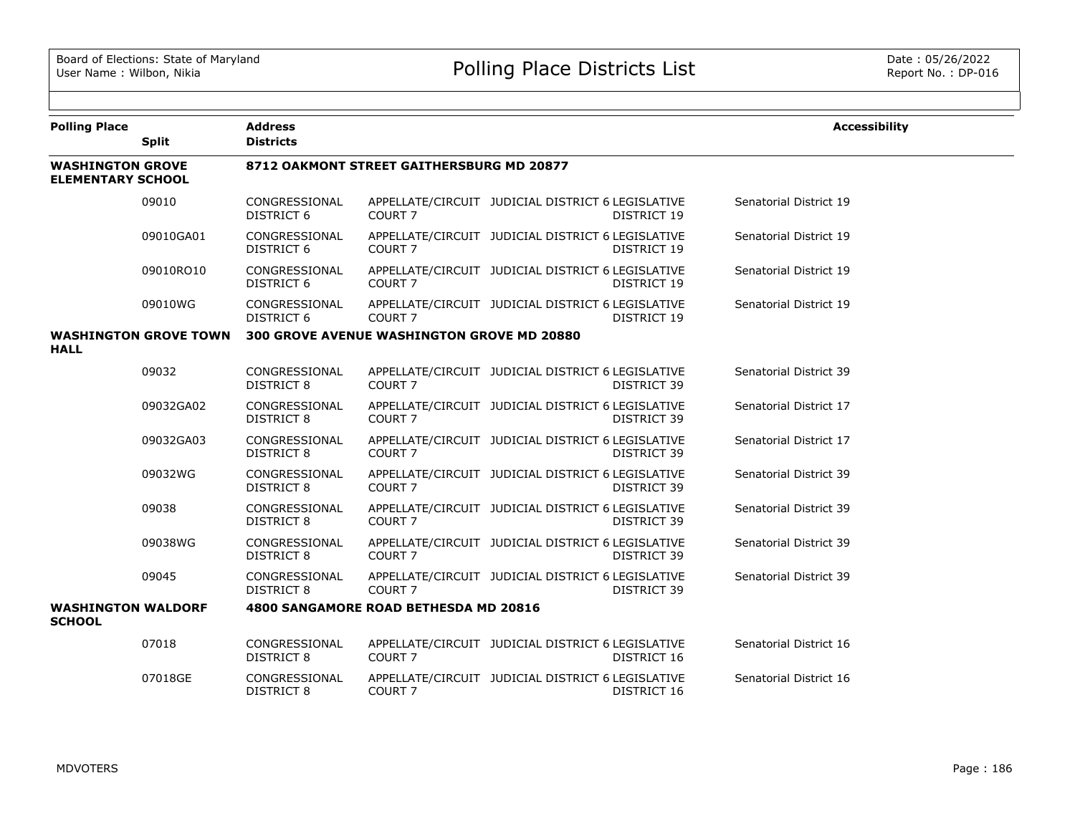| <b>Polling Place</b>                                |                              | <b>Address</b>                     |                                                   |                                                   |                    | <b>Accessibility</b>   |
|-----------------------------------------------------|------------------------------|------------------------------------|---------------------------------------------------|---------------------------------------------------|--------------------|------------------------|
|                                                     | <b>Split</b>                 | <b>Districts</b>                   |                                                   |                                                   |                    |                        |
| <b>WASHINGTON GROVE</b><br><b>ELEMENTARY SCHOOL</b> |                              |                                    | 8712 OAKMONT STREET GAITHERSBURG MD 20877         |                                                   |                    |                        |
|                                                     | 09010                        | CONGRESSIONAL<br><b>DISTRICT 6</b> | COURT <sub>7</sub>                                | APPELLATE/CIRCUIT JUDICIAL DISTRICT 6 LEGISLATIVE | <b>DISTRICT 19</b> | Senatorial District 19 |
|                                                     | 09010GA01                    | CONGRESSIONAL<br>DISTRICT 6        | COURT <sub>7</sub>                                | APPELLATE/CIRCUIT JUDICIAL DISTRICT 6 LEGISLATIVE | DISTRICT 19        | Senatorial District 19 |
|                                                     | 09010RO10                    | CONGRESSIONAL<br><b>DISTRICT 6</b> | COURT <sub>7</sub>                                | APPELLATE/CIRCUIT JUDICIAL DISTRICT 6 LEGISLATIVE | DISTRICT 19        | Senatorial District 19 |
|                                                     | 09010WG                      | CONGRESSIONAL<br><b>DISTRICT 6</b> | COURT <sub>7</sub>                                | APPELLATE/CIRCUIT JUDICIAL DISTRICT 6 LEGISLATIVE | DISTRICT 19        | Senatorial District 19 |
|                                                     | <b>WASHINGTON GROVE TOWN</b> |                                    | <b>300 GROVE AVENUE WASHINGTON GROVE MD 20880</b> |                                                   |                    |                        |
| <b>HALL</b>                                         |                              |                                    |                                                   |                                                   |                    |                        |
|                                                     | 09032                        | CONGRESSIONAL<br><b>DISTRICT 8</b> | COURT <sub>7</sub>                                | APPELLATE/CIRCUIT JUDICIAL DISTRICT 6 LEGISLATIVE | <b>DISTRICT 39</b> | Senatorial District 39 |
|                                                     | 09032GA02                    | CONGRESSIONAL<br><b>DISTRICT 8</b> | COURT <sub>7</sub>                                | APPELLATE/CIRCUIT JUDICIAL DISTRICT 6 LEGISLATIVE | DISTRICT 39        | Senatorial District 17 |
|                                                     | 09032GA03                    | CONGRESSIONAL<br><b>DISTRICT 8</b> | COURT <sub>7</sub>                                | APPELLATE/CIRCUIT JUDICIAL DISTRICT 6 LEGISLATIVE | <b>DISTRICT 39</b> | Senatorial District 17 |
|                                                     | 09032WG                      | CONGRESSIONAL<br><b>DISTRICT 8</b> | COURT <sub>7</sub>                                | APPELLATE/CIRCUIT JUDICIAL DISTRICT 6 LEGISLATIVE | <b>DISTRICT 39</b> | Senatorial District 39 |
|                                                     | 09038                        | CONGRESSIONAL<br><b>DISTRICT 8</b> | COURT 7                                           | APPELLATE/CIRCUIT JUDICIAL DISTRICT 6 LEGISLATIVE | DISTRICT 39        | Senatorial District 39 |
|                                                     | 09038WG                      | CONGRESSIONAL<br><b>DISTRICT 8</b> | COURT <sub>7</sub>                                | APPELLATE/CIRCUIT JUDICIAL DISTRICT 6 LEGISLATIVE | <b>DISTRICT 39</b> | Senatorial District 39 |
|                                                     | 09045                        | CONGRESSIONAL<br>DISTRICT 8        | COURT <sub>7</sub>                                | APPELLATE/CIRCUIT JUDICIAL DISTRICT 6 LEGISLATIVE | DISTRICT 39        | Senatorial District 39 |
| <b>WASHINGTON WALDORF</b><br><b>SCHOOL</b>          |                              |                                    | 4800 SANGAMORE ROAD BETHESDA MD 20816             |                                                   |                    |                        |
|                                                     | 07018                        | CONGRESSIONAL<br><b>DISTRICT 8</b> | COURT <sub>7</sub>                                | APPELLATE/CIRCUIT JUDICIAL DISTRICT 6 LEGISLATIVE | DISTRICT 16        | Senatorial District 16 |
|                                                     | 07018GE                      | CONGRESSIONAL<br>DISTRICT 8        | COURT <sub>7</sub>                                | APPELLATE/CIRCUIT JUDICIAL DISTRICT 6 LEGISLATIVE | DISTRICT 16        | Senatorial District 16 |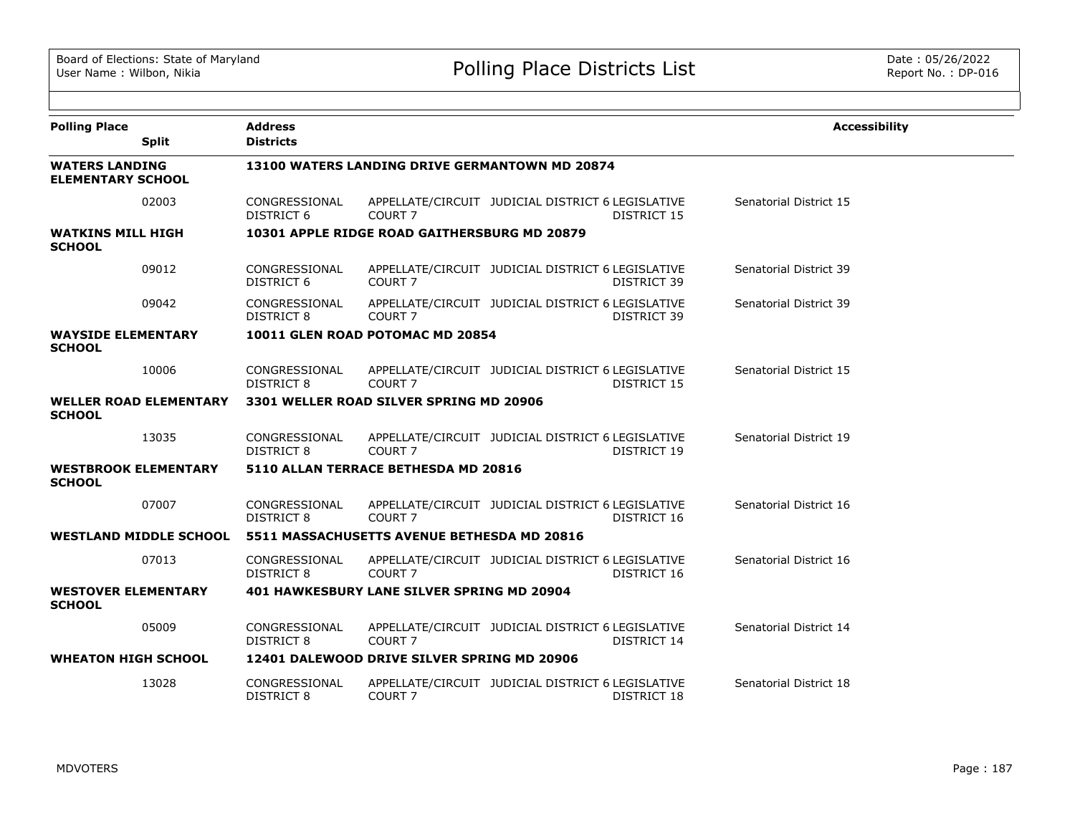| <b>Polling Place</b><br><b>Split</b>              | <b>Address</b><br><b>Districts</b> |                                                |                                                   |             | <b>Accessibility</b>   |
|---------------------------------------------------|------------------------------------|------------------------------------------------|---------------------------------------------------|-------------|------------------------|
| <b>WATERS LANDING</b><br><b>ELEMENTARY SCHOOL</b> |                                    | 13100 WATERS LANDING DRIVE GERMANTOWN MD 20874 |                                                   |             |                        |
| 02003                                             | CONGRESSIONAL<br>DISTRICT 6        | COURT <sub>7</sub>                             | APPELLATE/CIRCUIT JUDICIAL DISTRICT 6 LEGISLATIVE | DISTRICT 15 | Senatorial District 15 |
| <b>WATKINS MILL HIGH</b><br><b>SCHOOL</b>         |                                    | 10301 APPLE RIDGE ROAD GAITHERSBURG MD 20879   |                                                   |             |                        |
| 09012                                             | CONGRESSIONAL<br>DISTRICT 6        | COURT 7                                        | APPELLATE/CIRCUIT JUDICIAL DISTRICT 6 LEGISLATIVE | DISTRICT 39 | Senatorial District 39 |
| 09042                                             | CONGRESSIONAL<br>DISTRICT 8        | COURT <sub>7</sub>                             | APPELLATE/CIRCUIT JUDICIAL DISTRICT 6 LEGISLATIVE | DISTRICT 39 | Senatorial District 39 |
| <b>WAYSIDE ELEMENTARY</b><br><b>SCHOOL</b>        |                                    | 10011 GLEN ROAD POTOMAC MD 20854               |                                                   |             |                        |
| 10006                                             | CONGRESSIONAL<br>DISTRICT 8        | COURT <sub>7</sub>                             | APPELLATE/CIRCUIT JUDICIAL DISTRICT 6 LEGISLATIVE | DISTRICT 15 | Senatorial District 15 |
| <b>WELLER ROAD ELEMENTARY</b><br><b>SCHOOL</b>    |                                    | 3301 WELLER ROAD SILVER SPRING MD 20906        |                                                   |             |                        |
| 13035                                             | CONGRESSIONAL<br><b>DISTRICT 8</b> | COURT <sub>7</sub>                             | APPELLATE/CIRCUIT JUDICIAL DISTRICT 6 LEGISLATIVE | DISTRICT 19 | Senatorial District 19 |
| <b>WESTBROOK ELEMENTARY</b><br><b>SCHOOL</b>      |                                    | 5110 ALLAN TERRACE BETHESDA MD 20816           |                                                   |             |                        |
| 07007                                             | CONGRESSIONAL<br><b>DISTRICT 8</b> | COURT <sub>7</sub>                             | APPELLATE/CIRCUIT JUDICIAL DISTRICT 6 LEGISLATIVE | DISTRICT 16 | Senatorial District 16 |
| <b>WESTLAND MIDDLE SCHOOL</b>                     |                                    | 5511 MASSACHUSETTS AVENUE BETHESDA MD 20816    |                                                   |             |                        |
| 07013                                             | CONGRESSIONAL<br><b>DISTRICT 8</b> | COURT <sub>7</sub>                             | APPELLATE/CIRCUIT JUDICIAL DISTRICT 6 LEGISLATIVE | DISTRICT 16 | Senatorial District 16 |
| <b>WESTOVER ELEMENTARY</b><br><b>SCHOOL</b>       |                                    | 401 HAWKESBURY LANE SILVER SPRING MD 20904     |                                                   |             |                        |
| 05009                                             | CONGRESSIONAL<br><b>DISTRICT 8</b> | COURT <sub>7</sub>                             | APPELLATE/CIRCUIT JUDICIAL DISTRICT 6 LEGISLATIVE | DISTRICT 14 | Senatorial District 14 |
| <b>WHEATON HIGH SCHOOL</b>                        |                                    | 12401 DALEWOOD DRIVE SILVER SPRING MD 20906    |                                                   |             |                        |
| 13028                                             | CONGRESSIONAL<br><b>DISTRICT 8</b> | COURT <sub>7</sub>                             | APPELLATE/CIRCUIT JUDICIAL DISTRICT 6 LEGISLATIVE | DISTRICT 18 | Senatorial District 18 |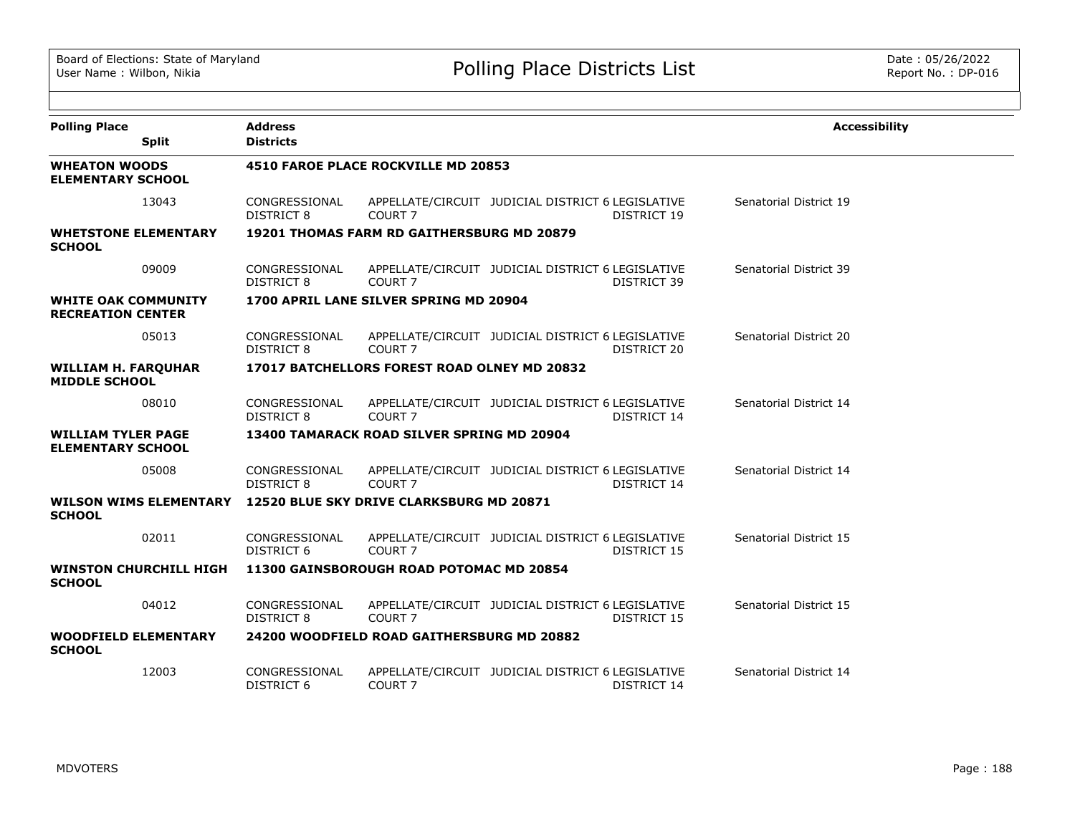| <b>Polling Place</b><br><b>Split</b>                   | <b>Address</b><br><b>Districts</b> |                                                   |                                                                  | <b>Accessibility</b>   |
|--------------------------------------------------------|------------------------------------|---------------------------------------------------|------------------------------------------------------------------|------------------------|
| <b>WHEATON WOODS</b><br><b>ELEMENTARY SCHOOL</b>       |                                    | 4510 FAROE PLACE ROCKVILLE MD 20853               |                                                                  |                        |
| 13043                                                  | CONGRESSIONAL<br><b>DISTRICT 8</b> | COURT <sub>7</sub>                                | APPELLATE/CIRCUIT JUDICIAL DISTRICT 6 LEGISLATIVE<br>DISTRICT 19 | Senatorial District 19 |
| <b>WHETSTONE ELEMENTARY</b><br><b>SCHOOL</b>           |                                    | <b>19201 THOMAS FARM RD GAITHERSBURG MD 20879</b> |                                                                  |                        |
| 09009                                                  | CONGRESSIONAL<br>DISTRICT 8        | COURT <sub>7</sub>                                | APPELLATE/CIRCUIT JUDICIAL DISTRICT 6 LEGISLATIVE<br>DISTRICT 39 | Senatorial District 39 |
| <b>WHITE OAK COMMUNITY</b><br><b>RECREATION CENTER</b> |                                    | 1700 APRIL LANE SILVER SPRING MD 20904            |                                                                  |                        |
| 05013                                                  | CONGRESSIONAL<br><b>DISTRICT 8</b> | COURT <sub>7</sub>                                | APPELLATE/CIRCUIT JUDICIAL DISTRICT 6 LEGISLATIVE<br>DISTRICT 20 | Senatorial District 20 |
| <b>WILLIAM H. FARQUHAR</b><br><b>MIDDLE SCHOOL</b>     |                                    | 17017 BATCHELLORS FOREST ROAD OLNEY MD 20832      |                                                                  |                        |
| 08010                                                  | CONGRESSIONAL<br><b>DISTRICT 8</b> | COURT <sub>7</sub>                                | APPELLATE/CIRCUIT JUDICIAL DISTRICT 6 LEGISLATIVE<br>DISTRICT 14 | Senatorial District 14 |
| <b>WILLIAM TYLER PAGE</b><br><b>ELEMENTARY SCHOOL</b>  |                                    | 13400 TAMARACK ROAD SILVER SPRING MD 20904        |                                                                  |                        |
| 05008                                                  | CONGRESSIONAL<br><b>DISTRICT 8</b> | COURT <sub>7</sub>                                | APPELLATE/CIRCUIT JUDICIAL DISTRICT 6 LEGISLATIVE<br>DISTRICT 14 | Senatorial District 14 |
| <b>WILSON WIMS ELEMENTARY</b><br><b>SCHOOL</b>         |                                    | 12520 BLUE SKY DRIVE CLARKSBURG MD 20871          |                                                                  |                        |
| 02011                                                  | CONGRESSIONAL<br>DISTRICT 6        | COURT <sub>7</sub>                                | APPELLATE/CIRCUIT JUDICIAL DISTRICT 6 LEGISLATIVE<br>DISTRICT 15 | Senatorial District 15 |
| <b>WINSTON CHURCHILL HIGH</b><br><b>SCHOOL</b>         |                                    | 11300 GAINSBOROUGH ROAD POTOMAC MD 20854          |                                                                  |                        |
| 04012                                                  | CONGRESSIONAL<br><b>DISTRICT 8</b> | COURT <sub>7</sub>                                | APPELLATE/CIRCUIT JUDICIAL DISTRICT 6 LEGISLATIVE<br>DISTRICT 15 | Senatorial District 15 |
| <b>WOODFIELD ELEMENTARY</b><br><b>SCHOOL</b>           |                                    | 24200 WOODFIELD ROAD GAITHERSBURG MD 20882        |                                                                  |                        |
| 12003                                                  | CONGRESSIONAL<br><b>DISTRICT 6</b> | COURT <sub>7</sub>                                | APPELLATE/CIRCUIT JUDICIAL DISTRICT 6 LEGISLATIVE<br>DISTRICT 14 | Senatorial District 14 |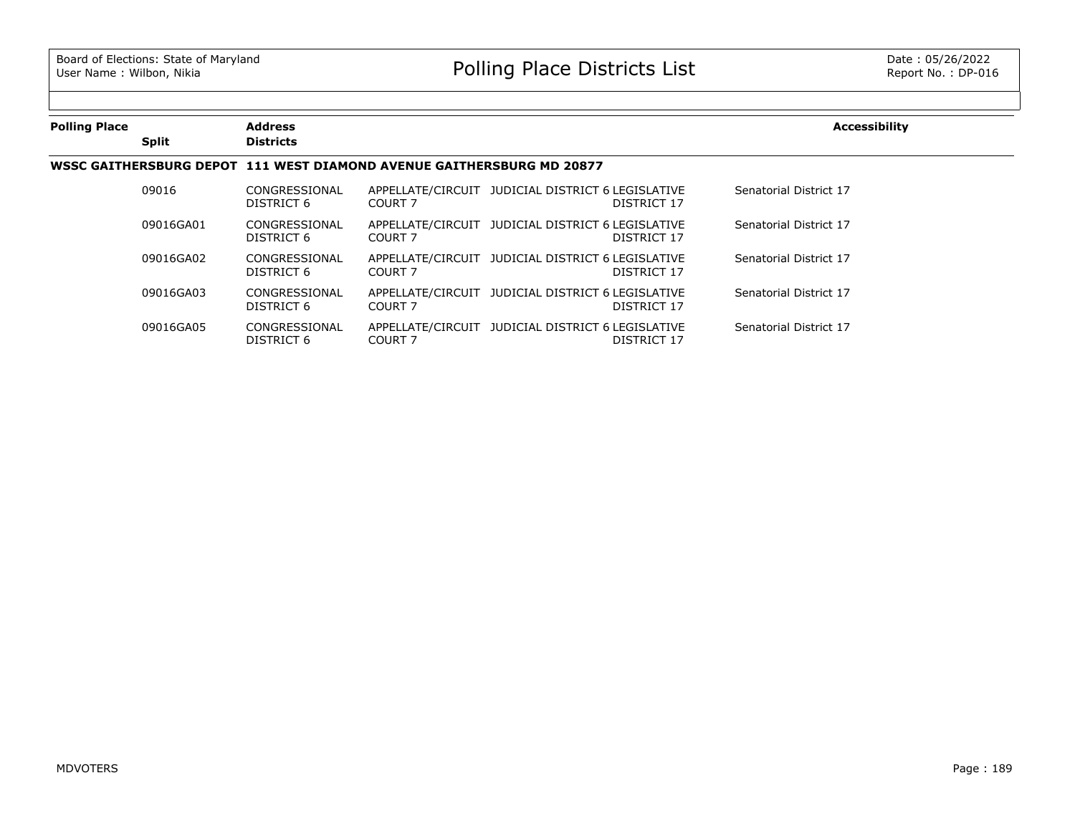| <b>Polling Place</b> |              | <b>Address</b>              |                                                                       |                                                                         | <b>Accessibility</b>   |
|----------------------|--------------|-----------------------------|-----------------------------------------------------------------------|-------------------------------------------------------------------------|------------------------|
|                      | <b>Split</b> | <b>Districts</b>            |                                                                       |                                                                         |                        |
|                      |              |                             | WSSC GAITHERSBURG DEPOT 111 WEST DIAMOND AVENUE GAITHERSBURG MD 20877 |                                                                         |                        |
|                      | 09016        | CONGRESSIONAL<br>DISTRICT 6 | COURT 7                                                               | APPELLATE/CIRCUIT JUDICIAL DISTRICT 6 LEGISLATIVE<br>DISTRICT 17        | Senatorial District 17 |
|                      | 09016GA01    | CONGRESSIONAL<br>DISTRICT 6 | COURT 7                                                               | APPELLATE/CIRCUIT JUDICIAL DISTRICT 6 LEGISLATIVE<br>DISTRICT 17        | Senatorial District 17 |
|                      | 09016GA02    | CONGRESSIONAL<br>DISTRICT 6 | COURT 7                                                               | APPELLATE/CIRCUIT JUDICIAL DISTRICT 6 LEGISLATIVE<br>DISTRICT 17        | Senatorial District 17 |
|                      | 09016GA03    | CONGRESSIONAL<br>DISTRICT 6 | COURT 7                                                               | APPELLATE/CIRCUIT JUDICIAL DISTRICT 6 LEGISLATIVE<br>DISTRICT 17        | Senatorial District 17 |
|                      | 09016GA05    | CONGRESSIONAL<br>DISTRICT 6 | COURT 7                                                               | APPELLATE/CIRCUIT JUDICIAL DISTRICT 6 LEGISLATIVE<br><b>DISTRICT 17</b> | Senatorial District 17 |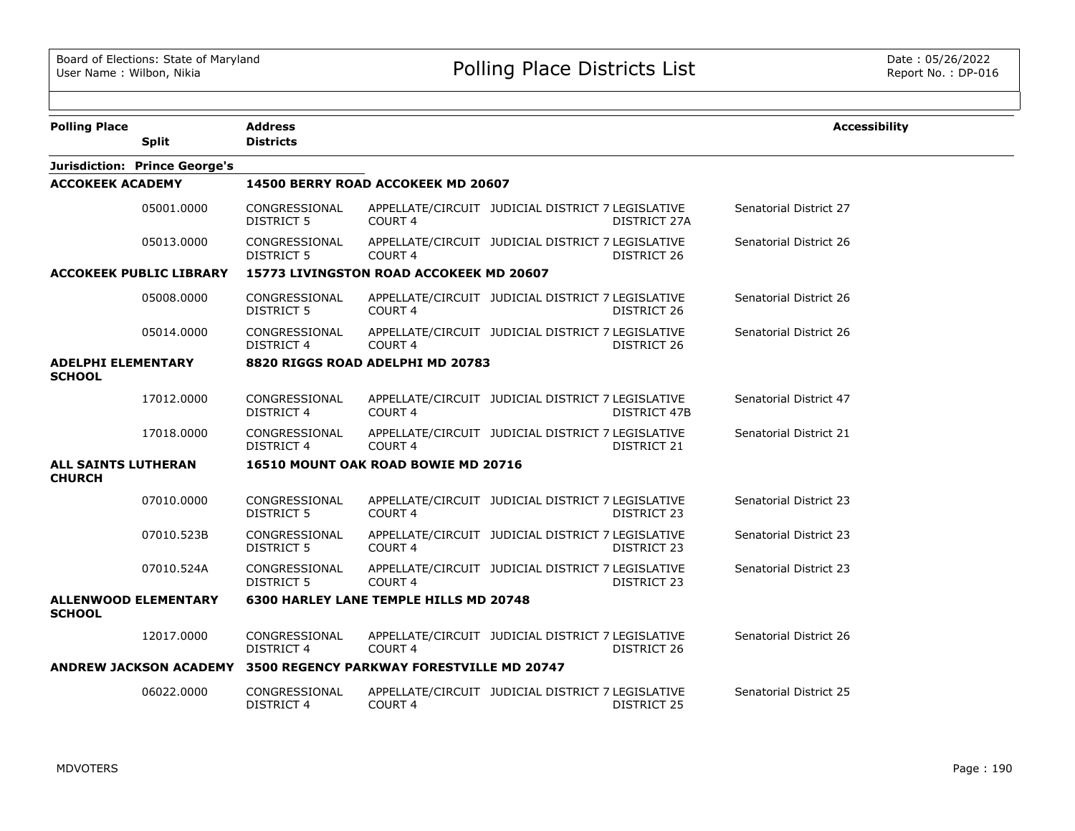| <b>Polling Place</b>                        |                                      | <b>Address</b>                     |                                           |                                                   |              | <b>Accessibility</b>   |
|---------------------------------------------|--------------------------------------|------------------------------------|-------------------------------------------|---------------------------------------------------|--------------|------------------------|
|                                             | <b>Split</b>                         | <b>Districts</b>                   |                                           |                                                   |              |                        |
|                                             | <b>Jurisdiction: Prince George's</b> |                                    |                                           |                                                   |              |                        |
| <b>ACCOKEEK ACADEMY</b>                     |                                      |                                    | 14500 BERRY ROAD ACCOKEEK MD 20607        |                                                   |              |                        |
|                                             | 05001.0000                           | CONGRESSIONAL<br>DISTRICT 5        | COURT 4                                   | APPELLATE/CIRCUIT JUDICIAL DISTRICT 7 LEGISLATIVE | DISTRICT 27A | Senatorial District 27 |
|                                             | 05013.0000                           | CONGRESSIONAL<br>DISTRICT 5        | <b>COURT 4</b>                            | APPELLATE/CIRCUIT JUDICIAL DISTRICT 7 LEGISLATIVE | DISTRICT 26  | Senatorial District 26 |
|                                             | <b>ACCOKEEK PUBLIC LIBRARY</b>       |                                    | 15773 LIVINGSTON ROAD ACCOKEEK MD 20607   |                                                   |              |                        |
|                                             | 05008.0000                           | CONGRESSIONAL<br><b>DISTRICT 5</b> | COURT <sub>4</sub>                        | APPELLATE/CIRCUIT JUDICIAL DISTRICT 7 LEGISLATIVE | DISTRICT 26  | Senatorial District 26 |
|                                             | 05014.0000                           | CONGRESSIONAL<br><b>DISTRICT 4</b> | COURT <sub>4</sub>                        | APPELLATE/CIRCUIT JUDICIAL DISTRICT 7 LEGISLATIVE | DISTRICT 26  | Senatorial District 26 |
| <b>ADELPHI ELEMENTARY</b><br><b>SCHOOL</b>  |                                      |                                    | 8820 RIGGS ROAD ADELPHI MD 20783          |                                                   |              |                        |
|                                             | 17012.0000                           | CONGRESSIONAL<br><b>DISTRICT 4</b> | COURT 4                                   | APPELLATE/CIRCUIT JUDICIAL DISTRICT 7 LEGISLATIVE | DISTRICT 47B | Senatorial District 47 |
|                                             | 17018.0000                           | CONGRESSIONAL<br><b>DISTRICT 4</b> | COURT 4                                   | APPELLATE/CIRCUIT JUDICIAL DISTRICT 7 LEGISLATIVE | DISTRICT 21  | Senatorial District 21 |
| <b>ALL SAINTS LUTHERAN</b><br><b>CHURCH</b> |                                      |                                    | 16510 MOUNT OAK ROAD BOWIE MD 20716       |                                                   |              |                        |
|                                             | 07010.0000                           | CONGRESSIONAL<br><b>DISTRICT 5</b> | COURT <sub>4</sub>                        | APPELLATE/CIRCUIT JUDICIAL DISTRICT 7 LEGISLATIVE | DISTRICT 23  | Senatorial District 23 |
|                                             | 07010.523B                           | CONGRESSIONAL<br>DISTRICT 5        | COURT <sub>4</sub>                        | APPELLATE/CIRCUIT JUDICIAL DISTRICT 7 LEGISLATIVE | DISTRICT 23  | Senatorial District 23 |
|                                             | 07010.524A                           | CONGRESSIONAL<br>DISTRICT 5        | <b>COURT 4</b>                            | APPELLATE/CIRCUIT JUDICIAL DISTRICT 7 LEGISLATIVE | DISTRICT 23  | Senatorial District 23 |
| <b>SCHOOL</b>                               | <b>ALLENWOOD ELEMENTARY</b>          |                                    | 6300 HARLEY LANE TEMPLE HILLS MD 20748    |                                                   |              |                        |
|                                             | 12017.0000                           | CONGRESSIONAL<br>DISTRICT 4        | <b>COURT 4</b>                            | APPELLATE/CIRCUIT JUDICIAL DISTRICT 7 LEGISLATIVE | DISTRICT 26  | Senatorial District 26 |
|                                             | <b>ANDREW JACKSON ACADEMY</b>        |                                    | 3500 REGENCY PARKWAY FORESTVILLE MD 20747 |                                                   |              |                        |
|                                             | 06022.0000                           | CONGRESSIONAL<br><b>DISTRICT 4</b> | COURT 4                                   | APPELLATE/CIRCUIT JUDICIAL DISTRICT 7 LEGISLATIVE | DISTRICT 25  | Senatorial District 25 |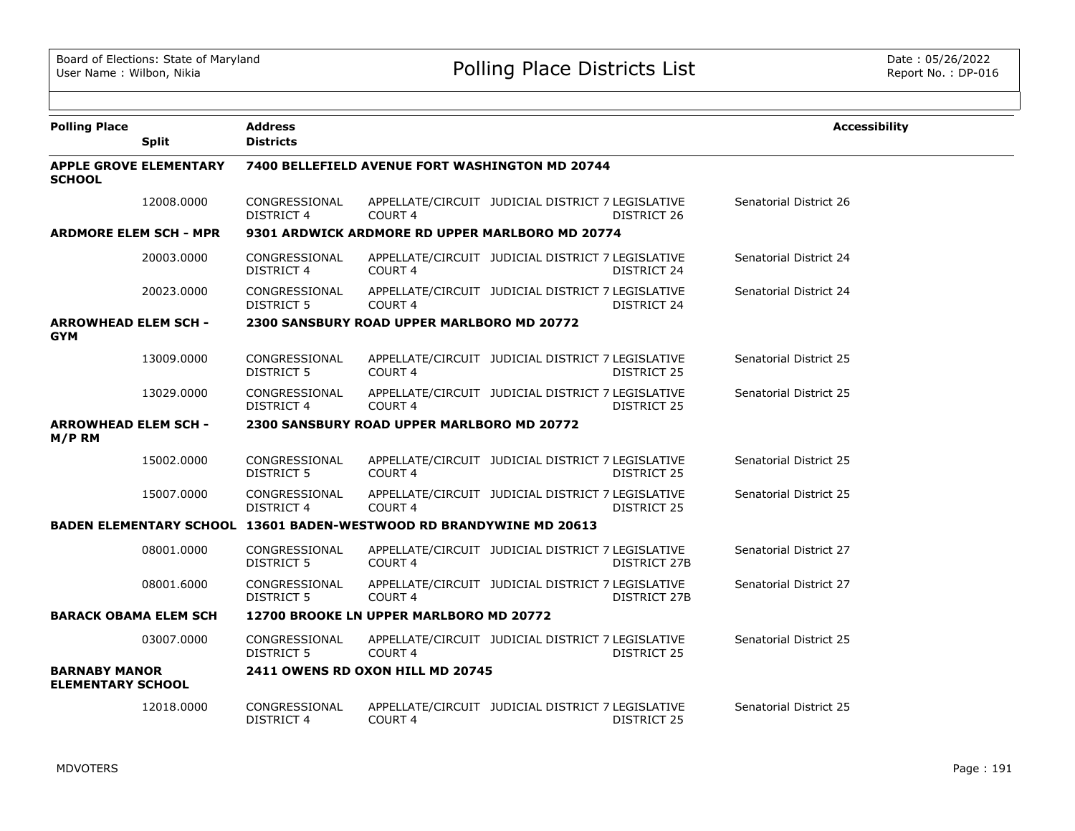| <b>Polling Place</b>                             |                               | <b>Address</b>                     |                                                                     |                                                   |                    | <b>Accessibility</b>   |  |
|--------------------------------------------------|-------------------------------|------------------------------------|---------------------------------------------------------------------|---------------------------------------------------|--------------------|------------------------|--|
|                                                  | <b>Split</b>                  | <b>Districts</b>                   |                                                                     |                                                   |                    |                        |  |
| <b>SCHOOL</b>                                    | <b>APPLE GROVE ELEMENTARY</b> |                                    | 7400 BELLEFIELD AVENUE FORT WASHINGTON MD 20744                     |                                                   |                    |                        |  |
|                                                  | 12008.0000                    | CONGRESSIONAL<br>DISTRICT 4        | COURT <sub>4</sub>                                                  | APPELLATE/CIRCUIT JUDICIAL DISTRICT 7 LEGISLATIVE | DISTRICT 26        | Senatorial District 26 |  |
| <b>ARDMORE ELEM SCH - MPR</b>                    |                               |                                    | 9301 ARDWICK ARDMORE RD UPPER MARLBORO MD 20774                     |                                                   |                    |                        |  |
|                                                  | 20003.0000                    | CONGRESSIONAL<br>DISTRICT 4        | COURT <sub>4</sub>                                                  | APPELLATE/CIRCUIT JUDICIAL DISTRICT 7 LEGISLATIVE | DISTRICT 24        | Senatorial District 24 |  |
|                                                  | 20023.0000                    | CONGRESSIONAL<br><b>DISTRICT 5</b> | COURT <sub>4</sub>                                                  | APPELLATE/CIRCUIT JUDICIAL DISTRICT 7 LEGISLATIVE | DISTRICT 24        | Senatorial District 24 |  |
| <b>ARROWHEAD ELEM SCH -</b><br><b>GYM</b>        |                               |                                    | 2300 SANSBURY ROAD UPPER MARLBORO MD 20772                          |                                                   |                    |                        |  |
|                                                  | 13009.0000                    | CONGRESSIONAL<br>DISTRICT 5        | COURT <sub>4</sub>                                                  | APPELLATE/CIRCUIT JUDICIAL DISTRICT 7 LEGISLATIVE | <b>DISTRICT 25</b> | Senatorial District 25 |  |
|                                                  | 13029.0000                    | CONGRESSIONAL<br>DISTRICT 4        | COURT <sub>4</sub>                                                  | APPELLATE/CIRCUIT JUDICIAL DISTRICT 7 LEGISLATIVE | <b>DISTRICT 25</b> | Senatorial District 25 |  |
| <b>ARROWHEAD ELEM SCH -</b><br>M/P RM            |                               |                                    | 2300 SANSBURY ROAD UPPER MARLBORO MD 20772                          |                                                   |                    |                        |  |
|                                                  | 15002.0000                    | CONGRESSIONAL<br>DISTRICT 5        | COURT <sub>4</sub>                                                  | APPELLATE/CIRCUIT JUDICIAL DISTRICT 7 LEGISLATIVE | <b>DISTRICT 25</b> | Senatorial District 25 |  |
|                                                  | 15007.0000                    | CONGRESSIONAL<br>DISTRICT 4        | COURT <sub>4</sub>                                                  | APPELLATE/CIRCUIT JUDICIAL DISTRICT 7 LEGISLATIVE | DISTRICT 25        | Senatorial District 25 |  |
|                                                  |                               |                                    | BADEN ELEMENTARY SCHOOL 13601 BADEN-WESTWOOD RD BRANDYWINE MD 20613 |                                                   |                    |                        |  |
|                                                  | 08001.0000                    | CONGRESSIONAL<br>DISTRICT 5        | COURT <sub>4</sub>                                                  | APPELLATE/CIRCUIT JUDICIAL DISTRICT 7 LEGISLATIVE | DISTRICT 27B       | Senatorial District 27 |  |
|                                                  | 08001.6000                    | CONGRESSIONAL<br><b>DISTRICT 5</b> | <b>COURT 4</b>                                                      | APPELLATE/CIRCUIT JUDICIAL DISTRICT 7 LEGISLATIVE | DISTRICT 27B       | Senatorial District 27 |  |
| <b>BARACK OBAMA ELEM SCH</b>                     |                               |                                    | 12700 BROOKE LN UPPER MARLBORO MD 20772                             |                                                   |                    |                        |  |
|                                                  | 03007.0000                    | CONGRESSIONAL<br>DISTRICT 5        | COURT 4                                                             | APPELLATE/CIRCUIT JUDICIAL DISTRICT 7 LEGISLATIVE | DISTRICT 25        | Senatorial District 25 |  |
| <b>BARNABY MANOR</b><br><b>ELEMENTARY SCHOOL</b> |                               |                                    | <b>2411 OWENS RD OXON HILL MD 20745</b>                             |                                                   |                    |                        |  |
|                                                  | 12018.0000                    | CONGRESSIONAL<br>DISTRICT 4        | COURT 4                                                             | APPELLATE/CIRCUIT JUDICIAL DISTRICT 7 LEGISLATIVE | <b>DISTRICT 25</b> | Senatorial District 25 |  |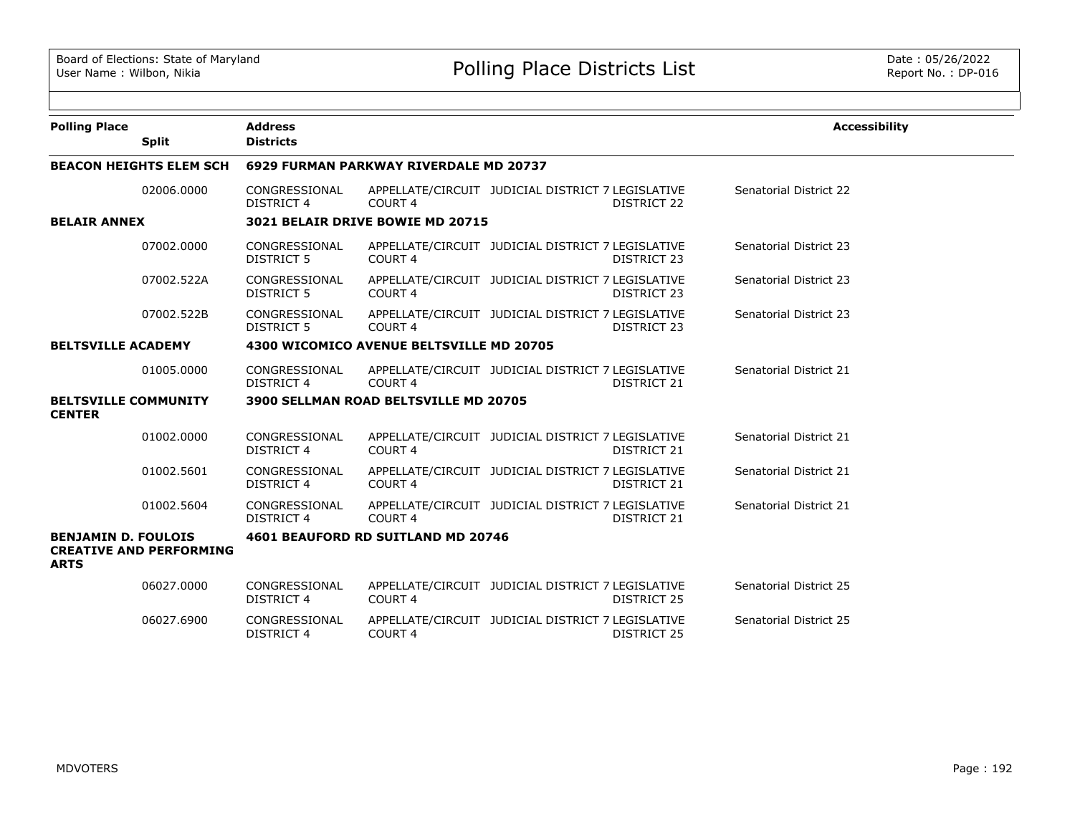| <b>Polling Place</b>                         |                                | <b>Address</b>                     |                                          |                                                                  |                               | <b>Accessibility</b> |
|----------------------------------------------|--------------------------------|------------------------------------|------------------------------------------|------------------------------------------------------------------|-------------------------------|----------------------|
|                                              | <b>Split</b>                   | <b>Districts</b>                   |                                          |                                                                  |                               |                      |
|                                              | <b>BEACON HEIGHTS ELEM SCH</b> |                                    | 6929 FURMAN PARKWAY RIVERDALE MD 20737   |                                                                  |                               |                      |
|                                              | 02006.0000                     | CONGRESSIONAL<br><b>DISTRICT 4</b> | COURT <sub>4</sub>                       | APPELLATE/CIRCUIT JUDICIAL DISTRICT 7 LEGISLATIVE<br>DISTRICT 22 | Senatorial District 22        |                      |
| <b>BELAIR ANNEX</b>                          |                                |                                    | 3021 BELAIR DRIVE BOWIE MD 20715         |                                                                  |                               |                      |
|                                              | 07002.0000                     | CONGRESSIONAL<br><b>DISTRICT 5</b> | COURT <sub>4</sub>                       | APPELLATE/CIRCUIT JUDICIAL DISTRICT 7 LEGISLATIVE<br>DISTRICT 23 | <b>Senatorial District 23</b> |                      |
|                                              | 07002.522A                     | CONGRESSIONAL<br><b>DISTRICT 5</b> | COURT <sub>4</sub>                       | APPELLATE/CIRCUIT JUDICIAL DISTRICT 7 LEGISLATIVE<br>DISTRICT 23 | Senatorial District 23        |                      |
|                                              | 07002.522B                     | CONGRESSIONAL<br><b>DISTRICT 5</b> | COURT <sub>4</sub>                       | APPELLATE/CIRCUIT JUDICIAL DISTRICT 7 LEGISLATIVE<br>DISTRICT 23 | <b>Senatorial District 23</b> |                      |
| <b>BELTSVILLE ACADEMY</b>                    |                                |                                    | 4300 WICOMICO AVENUE BELTSVILLE MD 20705 |                                                                  |                               |                      |
|                                              | 01005.0000                     | CONGRESSIONAL<br>DISTRICT 4        | COURT <sub>4</sub>                       | APPELLATE/CIRCUIT JUDICIAL DISTRICT 7 LEGISLATIVE<br>DISTRICT 21 | Senatorial District 21        |                      |
| <b>BELTSVILLE COMMUNITY</b><br><b>CENTER</b> |                                |                                    | 3900 SELLMAN ROAD BELTSVILLE MD 20705    |                                                                  |                               |                      |
|                                              | 01002.0000                     | CONGRESSIONAL<br><b>DISTRICT 4</b> | COURT <sub>4</sub>                       | APPELLATE/CIRCUIT JUDICIAL DISTRICT 7 LEGISLATIVE<br>DISTRICT 21 | Senatorial District 21        |                      |
|                                              | 01002.5601                     | CONGRESSIONAL<br><b>DISTRICT 4</b> | COURT <sub>4</sub>                       | APPELLATE/CIRCUIT JUDICIAL DISTRICT 7 LEGISLATIVE<br>DISTRICT 21 | Senatorial District 21        |                      |
|                                              | 01002.5604                     | CONGRESSIONAL<br><b>DISTRICT 4</b> | COURT 4                                  | APPELLATE/CIRCUIT JUDICIAL DISTRICT 7 LEGISLATIVE<br>DISTRICT 21 | Senatorial District 21        |                      |
| <b>BENJAMIN D. FOULOIS</b><br><b>ARTS</b>    | <b>CREATIVE AND PERFORMING</b> |                                    | 4601 BEAUFORD RD SUITLAND MD 20746       |                                                                  |                               |                      |
|                                              | 06027.0000                     | CONGRESSIONAL<br><b>DISTRICT 4</b> | COURT <sub>4</sub>                       | APPELLATE/CIRCUIT JUDICIAL DISTRICT 7 LEGISLATIVE<br>DISTRICT 25 | Senatorial District 25        |                      |
|                                              | 06027.6900                     | CONGRESSIONAL<br><b>DISTRICT 4</b> | COURT <sub>4</sub>                       | APPELLATE/CIRCUIT JUDICIAL DISTRICT 7 LEGISLATIVE<br>DISTRICT 25 | Senatorial District 25        |                      |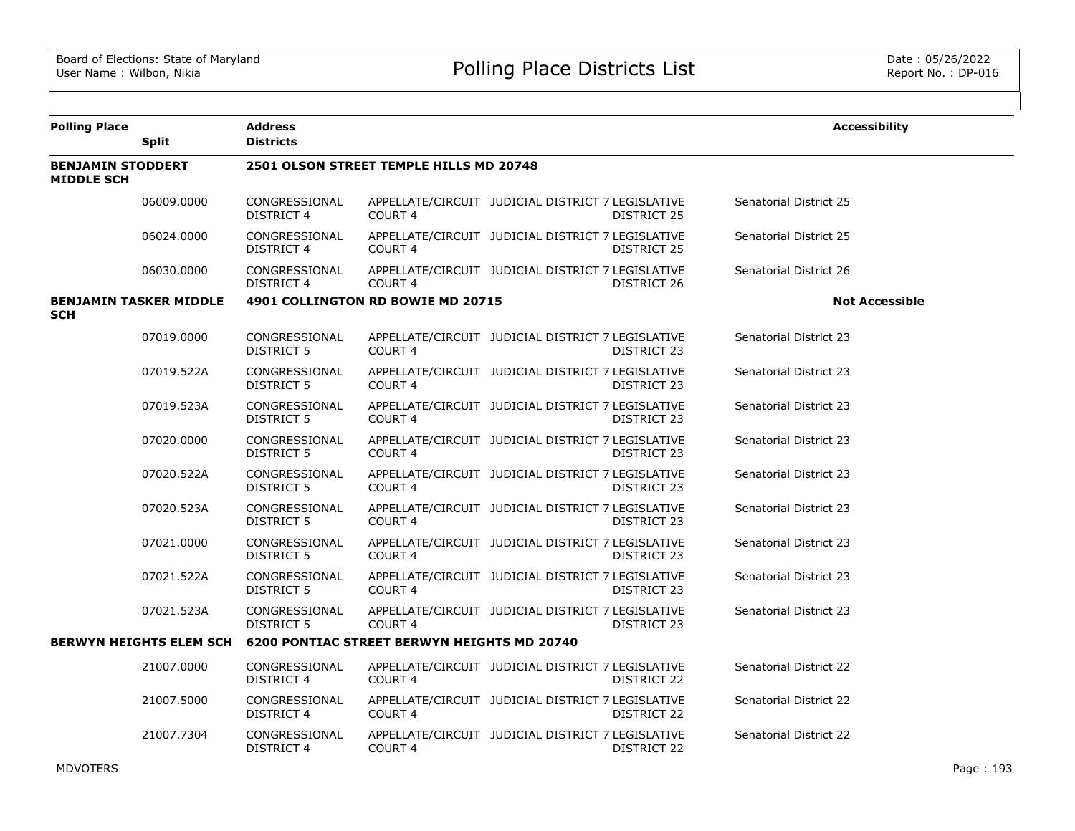| <b>Polling Place</b>                          | <b>Split</b>                   | <b>Address</b><br><b>Districts</b>      |                                                    |                                                   |             | <b>Accessibility</b>   |  |  |  |
|-----------------------------------------------|--------------------------------|-----------------------------------------|----------------------------------------------------|---------------------------------------------------|-------------|------------------------|--|--|--|
| <b>BENJAMIN STODDERT</b><br><b>MIDDLE SCH</b> |                                | 2501 OLSON STREET TEMPLE HILLS MD 20748 |                                                    |                                                   |             |                        |  |  |  |
|                                               | 06009,0000                     | CONGRESSIONAL<br><b>DISTRICT 4</b>      | COURT <sub>4</sub>                                 | APPELLATE/CIRCUIT JUDICIAL DISTRICT 7 LEGISLATIVE | DISTRICT 25 | Senatorial District 25 |  |  |  |
|                                               | 06024.0000                     | CONGRESSIONAL<br><b>DISTRICT 4</b>      | COURT <sub>4</sub>                                 | APPELLATE/CIRCUIT JUDICIAL DISTRICT 7 LEGISLATIVE | DISTRICT 25 | Senatorial District 25 |  |  |  |
|                                               | 06030.0000                     | CONGRESSIONAL<br>DISTRICT 4             | <b>COURT 4</b>                                     | APPELLATE/CIRCUIT JUDICIAL DISTRICT 7 LEGISLATIVE | DISTRICT 26 | Senatorial District 26 |  |  |  |
| <b>SCH</b>                                    | <b>BENJAMIN TASKER MIDDLE</b>  |                                         | 4901 COLLINGTON RD BOWIE MD 20715                  |                                                   |             | <b>Not Accessible</b>  |  |  |  |
|                                               | 07019.0000                     | CONGRESSIONAL<br>DISTRICT 5             | <b>COURT 4</b>                                     | APPELLATE/CIRCUIT JUDICIAL DISTRICT 7 LEGISLATIVE | DISTRICT 23 | Senatorial District 23 |  |  |  |
|                                               | 07019.522A                     | CONGRESSIONAL<br>DISTRICT 5             | COURT 4                                            | APPELLATE/CIRCUIT JUDICIAL DISTRICT 7 LEGISLATIVE | DISTRICT 23 | Senatorial District 23 |  |  |  |
|                                               | 07019.523A                     | CONGRESSIONAL<br>DISTRICT 5             | COURT 4                                            | APPELLATE/CIRCUIT JUDICIAL DISTRICT 7 LEGISLATIVE | DISTRICT 23 | Senatorial District 23 |  |  |  |
|                                               | 07020.0000                     | CONGRESSIONAL<br>DISTRICT 5             | COURT 4                                            | APPELLATE/CIRCUIT JUDICIAL DISTRICT 7 LEGISLATIVE | DISTRICT 23 | Senatorial District 23 |  |  |  |
|                                               | 07020.522A                     | CONGRESSIONAL<br><b>DISTRICT 5</b>      | <b>COURT 4</b>                                     | APPELLATE/CIRCUIT JUDICIAL DISTRICT 7 LEGISLATIVE | DISTRICT 23 | Senatorial District 23 |  |  |  |
|                                               | 07020.523A                     | CONGRESSIONAL<br>DISTRICT 5             | <b>COURT 4</b>                                     | APPELLATE/CIRCUIT JUDICIAL DISTRICT 7 LEGISLATIVE | DISTRICT 23 | Senatorial District 23 |  |  |  |
|                                               | 07021.0000                     | CONGRESSIONAL<br>DISTRICT 5             | <b>COURT 4</b>                                     | APPELLATE/CIRCUIT JUDICIAL DISTRICT 7 LEGISLATIVE | DISTRICT 23 | Senatorial District 23 |  |  |  |
|                                               | 07021.522A                     | CONGRESSIONAL<br>DISTRICT 5             | <b>COURT 4</b>                                     | APPELLATE/CIRCUIT JUDICIAL DISTRICT 7 LEGISLATIVE | DISTRICT 23 | Senatorial District 23 |  |  |  |
|                                               | 07021.523A                     | CONGRESSIONAL<br>DISTRICT 5             | <b>COURT 4</b>                                     | APPELLATE/CIRCUIT JUDICIAL DISTRICT 7 LEGISLATIVE | DISTRICT 23 | Senatorial District 23 |  |  |  |
|                                               | <b>BERWYN HEIGHTS ELEM SCH</b> |                                         | <b>6200 PONTIAC STREET BERWYN HEIGHTS MD 20740</b> |                                                   |             |                        |  |  |  |
|                                               | 21007.0000                     | CONGRESSIONAL<br><b>DISTRICT 4</b>      | COURT <sub>4</sub>                                 | APPELLATE/CIRCUIT JUDICIAL DISTRICT 7 LEGISLATIVE | DISTRICT 22 | Senatorial District 22 |  |  |  |
|                                               | 21007.5000                     | CONGRESSIONAL<br><b>DISTRICT 4</b>      | COURT <sub>4</sub>                                 | APPELLATE/CIRCUIT JUDICIAL DISTRICT 7 LEGISLATIVE | DISTRICT 22 | Senatorial District 22 |  |  |  |
|                                               | 21007.7304                     | CONGRESSIONAL<br><b>DISTRICT 4</b>      | COURT <sub>4</sub>                                 | APPELLATE/CIRCUIT JUDICIAL DISTRICT 7 LEGISLATIVE | DISTRICT 22 | Senatorial District 22 |  |  |  |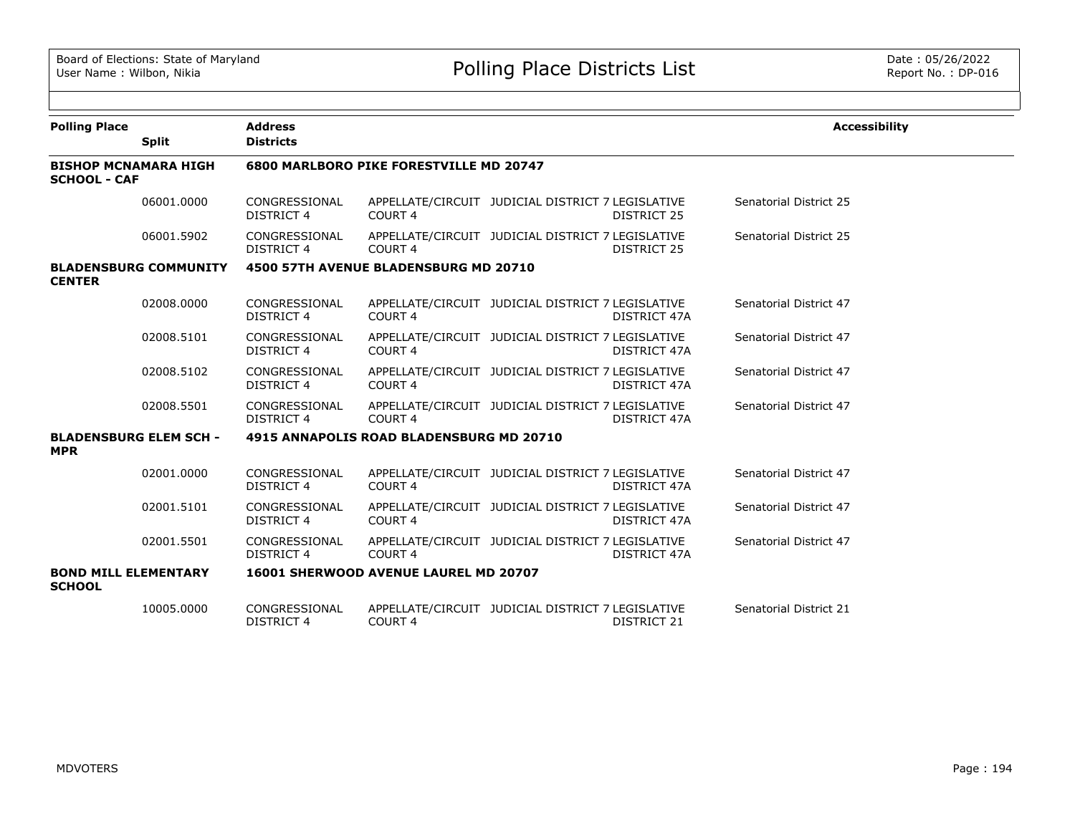| <b>Polling Place</b>                               |                               | <b>Address</b>                                 |                                              |                                                   |                    | <b>Accessibility</b>   |  |  |  |
|----------------------------------------------------|-------------------------------|------------------------------------------------|----------------------------------------------|---------------------------------------------------|--------------------|------------------------|--|--|--|
|                                                    | <b>Split</b>                  | <b>Districts</b>                               |                                              |                                                   |                    |                        |  |  |  |
| <b>BISHOP MCNAMARA HIGH</b><br><b>SCHOOL - CAF</b> |                               | <b>6800 MARLBORO PIKE FORESTVILLE MD 20747</b> |                                              |                                                   |                    |                        |  |  |  |
|                                                    | 06001.0000                    | CONGRESSIONAL<br><b>DISTRICT 4</b>             | COURT <sub>4</sub>                           | APPELLATE/CIRCUIT JUDICIAL DISTRICT 7 LEGISLATIVE | <b>DISTRICT 25</b> | Senatorial District 25 |  |  |  |
|                                                    | 06001.5902                    | CONGRESSIONAL<br>DISTRICT 4                    | COURT <sub>4</sub>                           | APPELLATE/CIRCUIT JUDICIAL DISTRICT 7 LEGISLATIVE | DISTRICT 25        | Senatorial District 25 |  |  |  |
| <b>CENTER</b>                                      | <b>BLADENSBURG COMMUNITY</b>  |                                                | 4500 57TH AVENUE BLADENSBURG MD 20710        |                                                   |                    |                        |  |  |  |
|                                                    | 02008.0000                    | CONGRESSIONAL<br><b>DISTRICT 4</b>             | COURT <sub>4</sub>                           | APPELLATE/CIRCUIT JUDICIAL DISTRICT 7 LEGISLATIVE | DISTRICT 47A       | Senatorial District 47 |  |  |  |
|                                                    | 02008.5101                    | CONGRESSIONAL<br><b>DISTRICT 4</b>             | COURT <sub>4</sub>                           | APPELLATE/CIRCUIT JUDICIAL DISTRICT 7 LEGISLATIVE | DISTRICT 47A       | Senatorial District 47 |  |  |  |
|                                                    | 02008.5102                    | CONGRESSIONAL<br>DISTRICT 4                    | COURT 4                                      | APPELLATE/CIRCUIT JUDICIAL DISTRICT 7 LEGISLATIVE | DISTRICT 47A       | Senatorial District 47 |  |  |  |
|                                                    | 02008.5501                    | CONGRESSIONAL<br>DISTRICT 4                    | COURT <sub>4</sub>                           | APPELLATE/CIRCUIT JUDICIAL DISTRICT 7 LEGISLATIVE | DISTRICT 47A       | Senatorial District 47 |  |  |  |
| <b>MPR</b>                                         | <b>BLADENSBURG ELEM SCH -</b> |                                                | 4915 ANNAPOLIS ROAD BLADENSBURG MD 20710     |                                                   |                    |                        |  |  |  |
|                                                    | 02001.0000                    | CONGRESSIONAL<br><b>DISTRICT 4</b>             | COURT <sub>4</sub>                           | APPELLATE/CIRCUIT JUDICIAL DISTRICT 7 LEGISLATIVE | DISTRICT 47A       | Senatorial District 47 |  |  |  |
|                                                    | 02001.5101                    | CONGRESSIONAL<br><b>DISTRICT 4</b>             | <b>COURT 4</b>                               | APPELLATE/CIRCUIT JUDICIAL DISTRICT 7 LEGISLATIVE | DISTRICT 47A       | Senatorial District 47 |  |  |  |
|                                                    | 02001.5501                    | CONGRESSIONAL<br><b>DISTRICT 4</b>             | COURT <sub>4</sub>                           | APPELLATE/CIRCUIT JUDICIAL DISTRICT 7 LEGISLATIVE | DISTRICT 47A       | Senatorial District 47 |  |  |  |
| <b>BOND MILL ELEMENTARY</b><br><b>SCHOOL</b>       |                               |                                                | <b>16001 SHERWOOD AVENUE LAUREL MD 20707</b> |                                                   |                    |                        |  |  |  |
|                                                    | 10005.0000                    | CONGRESSIONAL<br><b>DISTRICT 4</b>             | COURT <sub>4</sub>                           | APPELLATE/CIRCUIT JUDICIAL DISTRICT 7 LEGISLATIVE | <b>DISTRICT 21</b> | Senatorial District 21 |  |  |  |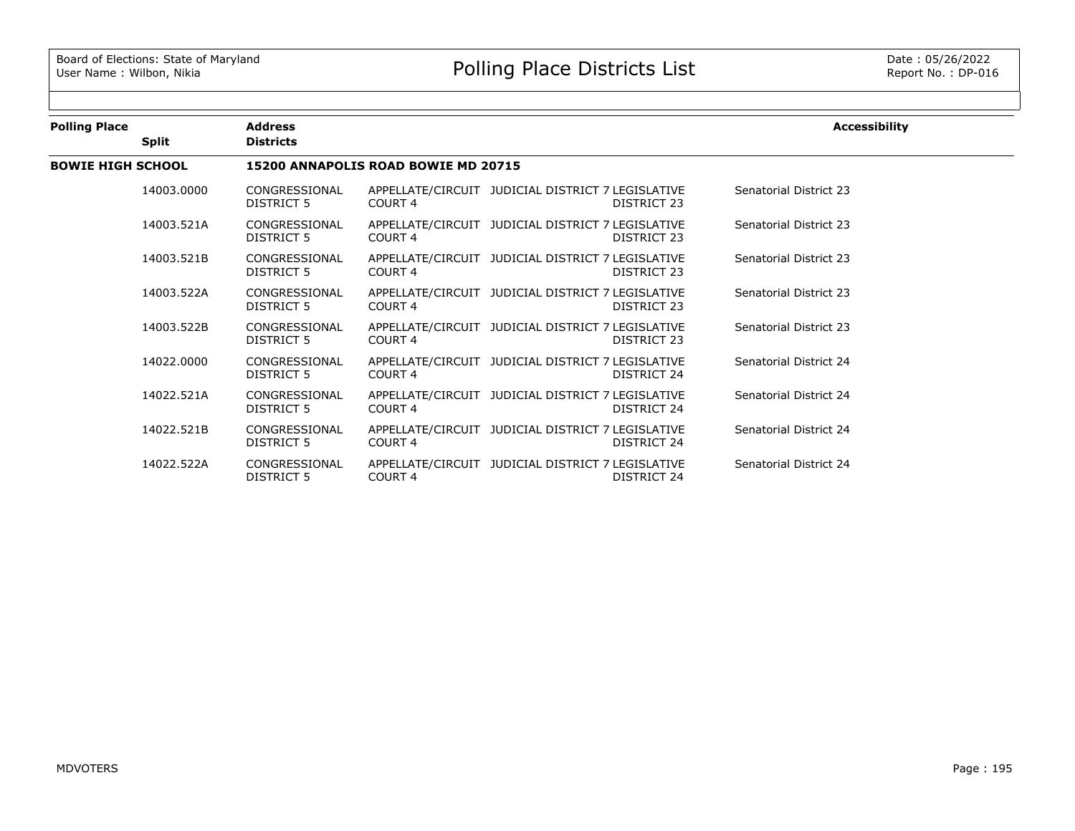| <b>Polling Place</b>     |              | <b>Address</b>                      |                    | <b>Accessibility</b>                                             |                        |  |  |  |  |
|--------------------------|--------------|-------------------------------------|--------------------|------------------------------------------------------------------|------------------------|--|--|--|--|
|                          | <b>Split</b> | <b>Districts</b>                    |                    |                                                                  |                        |  |  |  |  |
| <b>BOWIE HIGH SCHOOL</b> |              | 15200 ANNAPOLIS ROAD BOWIE MD 20715 |                    |                                                                  |                        |  |  |  |  |
|                          | 14003.0000   | CONGRESSIONAL<br>DISTRICT 5         | COURT <sub>4</sub> | APPELLATE/CIRCUIT JUDICIAL DISTRICT 7 LEGISLATIVE<br>DISTRICT 23 | Senatorial District 23 |  |  |  |  |
|                          | 14003.521A   | CONGRESSIONAL<br>DISTRICT 5         | COURT 4            | APPELLATE/CIRCUIT JUDICIAL DISTRICT 7 LEGISLATIVE<br>DISTRICT 23 | Senatorial District 23 |  |  |  |  |
|                          | 14003.521B   | CONGRESSIONAL<br>DISTRICT 5         | COURT 4            | APPELLATE/CIRCUIT JUDICIAL DISTRICT 7 LEGISLATIVE<br>DISTRICT 23 | Senatorial District 23 |  |  |  |  |
|                          | 14003.522A   | CONGRESSIONAL<br>DISTRICT 5         | COURT 4            | APPELLATE/CIRCUIT JUDICIAL DISTRICT 7 LEGISLATIVE<br>DISTRICT 23 | Senatorial District 23 |  |  |  |  |
|                          | 14003.522B   | CONGRESSIONAL<br>DISTRICT 5         | COURT 4            | APPELLATE/CIRCUIT JUDICIAL DISTRICT 7 LEGISLATIVE<br>DISTRICT 23 | Senatorial District 23 |  |  |  |  |
|                          | 14022.0000   | CONGRESSIONAL<br>DISTRICT 5         | COURT <sub>4</sub> | APPELLATE/CIRCUIT JUDICIAL DISTRICT 7 LEGISLATIVE<br>DISTRICT 24 | Senatorial District 24 |  |  |  |  |
|                          | 14022.521A   | CONGRESSIONAL<br>DISTRICT 5         | COURT 4            | APPELLATE/CIRCUIT JUDICIAL DISTRICT 7 LEGISLATIVE<br>DISTRICT 24 | Senatorial District 24 |  |  |  |  |
|                          | 14022.521B   | CONGRESSIONAL<br>DISTRICT 5         | COURT 4            | APPELLATE/CIRCUIT JUDICIAL DISTRICT 7 LEGISLATIVE<br>DISTRICT 24 | Senatorial District 24 |  |  |  |  |
|                          | 14022.522A   | CONGRESSIONAL<br>DISTRICT 5         | COURT <sub>4</sub> | APPELLATE/CIRCUIT JUDICIAL DISTRICT 7 LEGISLATIVE<br>DISTRICT 24 | Senatorial District 24 |  |  |  |  |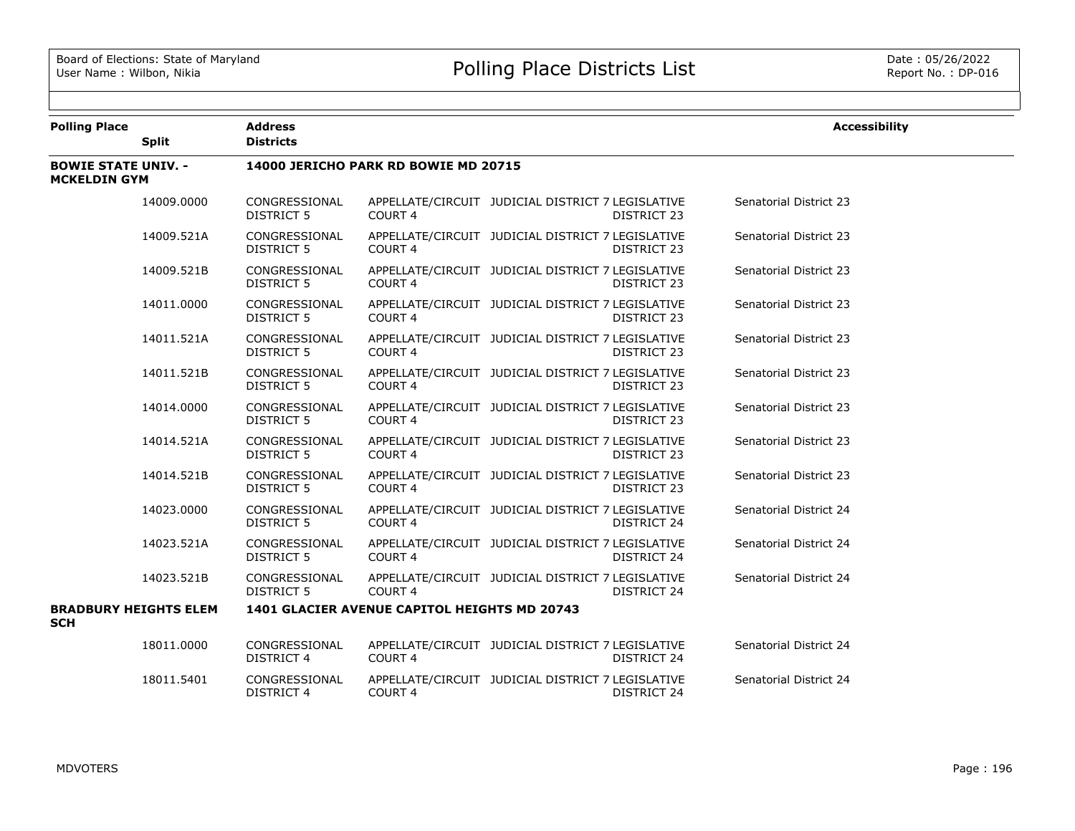| <b>Polling Place</b>                              |              | <b>Address</b>                       |                                              |                                                                         | <b>Accessibility</b>   |  |  |  |  |
|---------------------------------------------------|--------------|--------------------------------------|----------------------------------------------|-------------------------------------------------------------------------|------------------------|--|--|--|--|
|                                                   | <b>Split</b> | <b>Districts</b>                     |                                              |                                                                         |                        |  |  |  |  |
| <b>BOWIE STATE UNIV. -</b><br><b>MCKELDIN GYM</b> |              | 14000 JERICHO PARK RD BOWIE MD 20715 |                                              |                                                                         |                        |  |  |  |  |
|                                                   | 14009.0000   | CONGRESSIONAL<br><b>DISTRICT 5</b>   | COURT <sub>4</sub>                           | APPELLATE/CIRCUIT JUDICIAL DISTRICT 7 LEGISLATIVE<br>DISTRICT 23        | Senatorial District 23 |  |  |  |  |
|                                                   | 14009.521A   | CONGRESSIONAL<br><b>DISTRICT 5</b>   | COURT <sub>4</sub>                           | APPELLATE/CIRCUIT JUDICIAL DISTRICT 7 LEGISLATIVE<br>DISTRICT 23        | Senatorial District 23 |  |  |  |  |
|                                                   | 14009.521B   | CONGRESSIONAL<br><b>DISTRICT 5</b>   | COURT 4                                      | APPELLATE/CIRCUIT JUDICIAL DISTRICT 7 LEGISLATIVE<br><b>DISTRICT 23</b> | Senatorial District 23 |  |  |  |  |
|                                                   | 14011.0000   | CONGRESSIONAL<br><b>DISTRICT 5</b>   | <b>COURT 4</b>                               | APPELLATE/CIRCUIT JUDICIAL DISTRICT 7 LEGISLATIVE<br>DISTRICT 23        | Senatorial District 23 |  |  |  |  |
|                                                   | 14011.521A   | CONGRESSIONAL<br><b>DISTRICT 5</b>   | COURT <sub>4</sub>                           | APPELLATE/CIRCUIT JUDICIAL DISTRICT 7 LEGISLATIVE<br>DISTRICT 23        | Senatorial District 23 |  |  |  |  |
|                                                   | 14011.521B   | CONGRESSIONAL<br><b>DISTRICT 5</b>   | COURT <sub>4</sub>                           | APPELLATE/CIRCUIT JUDICIAL DISTRICT 7 LEGISLATIVE<br>DISTRICT 23        | Senatorial District 23 |  |  |  |  |
|                                                   | 14014.0000   | CONGRESSIONAL<br><b>DISTRICT 5</b>   | COURT <sub>4</sub>                           | APPELLATE/CIRCUIT JUDICIAL DISTRICT 7 LEGISLATIVE<br>DISTRICT 23        | Senatorial District 23 |  |  |  |  |
|                                                   | 14014.521A   | CONGRESSIONAL<br><b>DISTRICT 5</b>   | COURT <sub>4</sub>                           | APPELLATE/CIRCUIT JUDICIAL DISTRICT 7 LEGISLATIVE<br><b>DISTRICT 23</b> | Senatorial District 23 |  |  |  |  |
|                                                   | 14014.521B   | CONGRESSIONAL<br><b>DISTRICT 5</b>   | COURT <sub>4</sub>                           | APPELLATE/CIRCUIT JUDICIAL DISTRICT 7 LEGISLATIVE<br>DISTRICT 23        | Senatorial District 23 |  |  |  |  |
|                                                   | 14023.0000   | CONGRESSIONAL<br><b>DISTRICT 5</b>   | COURT <sub>4</sub>                           | APPELLATE/CIRCUIT JUDICIAL DISTRICT 7 LEGISLATIVE<br><b>DISTRICT 24</b> | Senatorial District 24 |  |  |  |  |
|                                                   | 14023.521A   | CONGRESSIONAL<br><b>DISTRICT 5</b>   | COURT <sub>4</sub>                           | APPELLATE/CIRCUIT JUDICIAL DISTRICT 7 LEGISLATIVE<br>DISTRICT 24        | Senatorial District 24 |  |  |  |  |
|                                                   | 14023.521B   | CONGRESSIONAL<br>DISTRICT 5          | COURT <sub>4</sub>                           | APPELLATE/CIRCUIT JUDICIAL DISTRICT 7 LEGISLATIVE<br>DISTRICT 24        | Senatorial District 24 |  |  |  |  |
| <b>BRADBURY HEIGHTS ELEM</b><br><b>SCH</b>        |              |                                      | 1401 GLACIER AVENUE CAPITOL HEIGHTS MD 20743 |                                                                         |                        |  |  |  |  |
|                                                   | 18011.0000   | CONGRESSIONAL<br><b>DISTRICT 4</b>   | COURT 4                                      | APPELLATE/CIRCUIT JUDICIAL DISTRICT 7 LEGISLATIVE<br>DISTRICT 24        | Senatorial District 24 |  |  |  |  |
|                                                   | 18011.5401   | CONGRESSIONAL<br><b>DISTRICT 4</b>   | COURT 4                                      | APPELLATE/CIRCUIT JUDICIAL DISTRICT 7 LEGISLATIVE<br><b>DISTRICT 24</b> | Senatorial District 24 |  |  |  |  |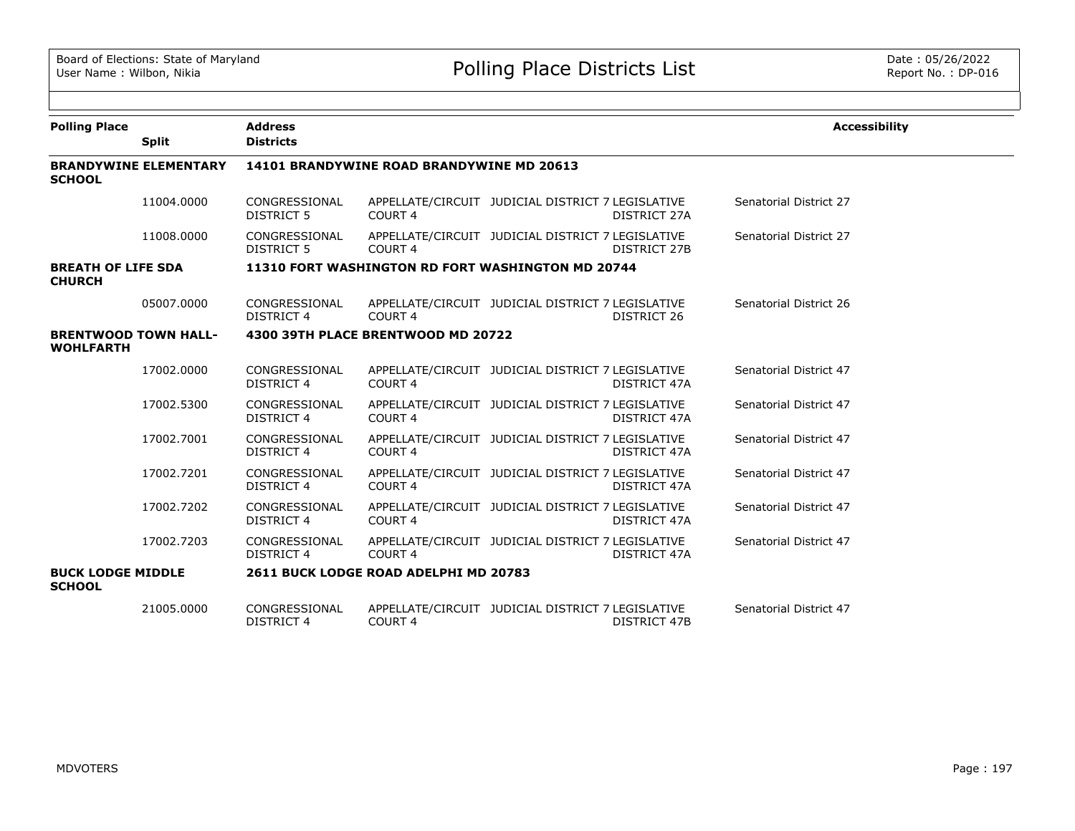| <b>Polling Place</b>                            |                              | <b>Address</b>                            |                                                   |                                                   |              | <b>Accessibility</b>   |  |  |  |
|-------------------------------------------------|------------------------------|-------------------------------------------|---------------------------------------------------|---------------------------------------------------|--------------|------------------------|--|--|--|
|                                                 | <b>Split</b>                 | <b>Districts</b>                          |                                                   |                                                   |              |                        |  |  |  |
| <b>SCHOOL</b>                                   | <b>BRANDYWINE ELEMENTARY</b> | 14101 BRANDYWINE ROAD BRANDYWINE MD 20613 |                                                   |                                                   |              |                        |  |  |  |
|                                                 | 11004.0000                   | CONGRESSIONAL<br><b>DISTRICT 5</b>        | COURT <sub>4</sub>                                | APPELLATE/CIRCUIT JUDICIAL DISTRICT 7 LEGISLATIVE | DISTRICT 27A | Senatorial District 27 |  |  |  |
|                                                 | 11008.0000                   | CONGRESSIONAL<br>DISTRICT 5               | COURT <sub>4</sub>                                | APPELLATE/CIRCUIT JUDICIAL DISTRICT 7 LEGISLATIVE | DISTRICT 27B | Senatorial District 27 |  |  |  |
| <b>BREATH OF LIFE SDA</b><br><b>CHURCH</b>      |                              |                                           | 11310 FORT WASHINGTON RD FORT WASHINGTON MD 20744 |                                                   |              |                        |  |  |  |
|                                                 | 05007.0000                   | CONGRESSIONAL<br><b>DISTRICT 4</b>        | COURT 4                                           | APPELLATE/CIRCUIT JUDICIAL DISTRICT 7 LEGISLATIVE | DISTRICT 26  | Senatorial District 26 |  |  |  |
| <b>BRENTWOOD TOWN HALL-</b><br><b>WOHLFARTH</b> |                              |                                           | 4300 39TH PLACE BRENTWOOD MD 20722                |                                                   |              |                        |  |  |  |
|                                                 | 17002.0000                   | CONGRESSIONAL<br><b>DISTRICT 4</b>        | COURT <sub>4</sub>                                | APPELLATE/CIRCUIT JUDICIAL DISTRICT 7 LEGISLATIVE | DISTRICT 47A | Senatorial District 47 |  |  |  |
|                                                 | 17002.5300                   | CONGRESSIONAL<br><b>DISTRICT 4</b>        | COURT <sub>4</sub>                                | APPELLATE/CIRCUIT JUDICIAL DISTRICT 7 LEGISLATIVE | DISTRICT 47A | Senatorial District 47 |  |  |  |
|                                                 | 17002.7001                   | CONGRESSIONAL<br><b>DISTRICT 4</b>        | COURT <sub>4</sub>                                | APPELLATE/CIRCUIT JUDICIAL DISTRICT 7 LEGISLATIVE | DISTRICT 47A | Senatorial District 47 |  |  |  |
|                                                 | 17002.7201                   | CONGRESSIONAL<br><b>DISTRICT 4</b>        | COURT <sub>4</sub>                                | APPELLATE/CIRCUIT JUDICIAL DISTRICT 7 LEGISLATIVE | DISTRICT 47A | Senatorial District 47 |  |  |  |
|                                                 | 17002.7202                   | CONGRESSIONAL<br><b>DISTRICT 4</b>        | COURT <sub>4</sub>                                | APPELLATE/CIRCUIT JUDICIAL DISTRICT 7 LEGISLATIVE | DISTRICT 47A | Senatorial District 47 |  |  |  |
|                                                 | 17002.7203                   | CONGRESSIONAL<br>DISTRICT 4               | COURT <sub>4</sub>                                | APPELLATE/CIRCUIT JUDICIAL DISTRICT 7 LEGISLATIVE | DISTRICT 47A | Senatorial District 47 |  |  |  |
| <b>BUCK LODGE MIDDLE</b><br><b>SCHOOL</b>       |                              |                                           | 2611 BUCK LODGE ROAD ADELPHI MD 20783             |                                                   |              |                        |  |  |  |
|                                                 | 21005.0000                   | CONGRESSIONAL<br><b>DISTRICT 4</b>        | COURT <sub>4</sub>                                | APPELLATE/CIRCUIT JUDICIAL DISTRICT 7 LEGISLATIVE | DISTRICT 47B | Senatorial District 47 |  |  |  |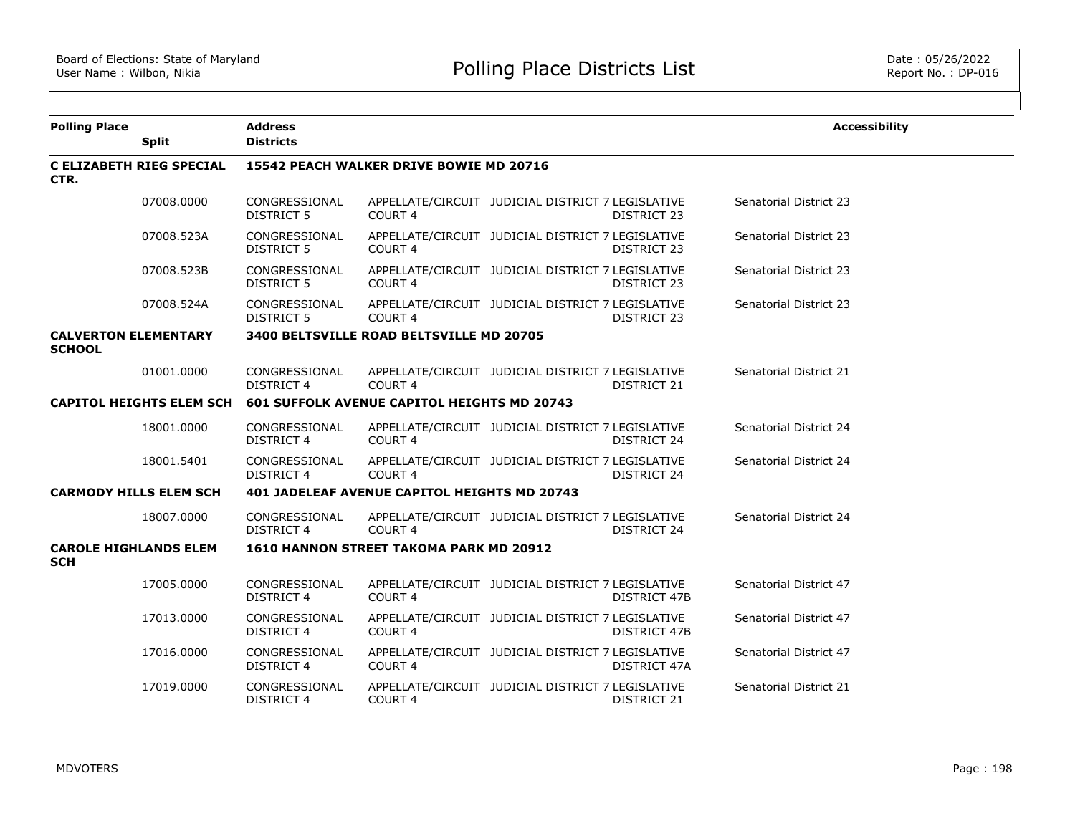| <b>Polling Place</b>                         | <b>Split</b>                    | <b>Address</b><br><b>Districts</b>                  |                                          |                                                   |                     | <b>Accessibility</b>          |  |  |
|----------------------------------------------|---------------------------------|-----------------------------------------------------|------------------------------------------|---------------------------------------------------|---------------------|-------------------------------|--|--|
|                                              |                                 |                                                     |                                          |                                                   |                     |                               |  |  |
| CTR.                                         | <b>C ELIZABETH RIEG SPECIAL</b> |                                                     | 15542 PEACH WALKER DRIVE BOWIE MD 20716  |                                                   |                     |                               |  |  |
|                                              | 07008.0000                      | CONGRESSIONAL<br><b>DISTRICT 5</b>                  | COURT <sub>4</sub>                       | APPELLATE/CIRCUIT JUDICIAL DISTRICT 7 LEGISLATIVE | DISTRICT 23         | <b>Senatorial District 23</b> |  |  |
|                                              | 07008.523A                      | CONGRESSIONAL<br><b>DISTRICT 5</b>                  | COURT <sub>4</sub>                       | APPELLATE/CIRCUIT JUDICIAL DISTRICT 7 LEGISLATIVE | DISTRICT 23         | Senatorial District 23        |  |  |
|                                              | 07008.523B                      | CONGRESSIONAL<br><b>DISTRICT 5</b>                  | COURT 4                                  | APPELLATE/CIRCUIT JUDICIAL DISTRICT 7 LEGISLATIVE | DISTRICT 23         | Senatorial District 23        |  |  |
|                                              | 07008.524A                      | CONGRESSIONAL<br><b>DISTRICT 5</b>                  | COURT <sub>4</sub>                       | APPELLATE/CIRCUIT JUDICIAL DISTRICT 7 LEGISLATIVE | DISTRICT 23         | Senatorial District 23        |  |  |
| <b>CALVERTON ELEMENTARY</b><br><b>SCHOOL</b> |                                 |                                                     | 3400 BELTSVILLE ROAD BELTSVILLE MD 20705 |                                                   |                     |                               |  |  |
|                                              | 01001.0000                      | CONGRESSIONAL<br><b>DISTRICT 4</b>                  | COURT 4                                  | APPELLATE/CIRCUIT JUDICIAL DISTRICT 7 LEGISLATIVE | DISTRICT 21         | Senatorial District 21        |  |  |
|                                              | <b>CAPITOL HEIGHTS ELEM SCH</b> | <b>601 SUFFOLK AVENUE CAPITOL HEIGHTS MD 20743</b>  |                                          |                                                   |                     |                               |  |  |
|                                              | 18001.0000                      | CONGRESSIONAL<br><b>DISTRICT 4</b>                  | COURT <sub>4</sub>                       | APPELLATE/CIRCUIT JUDICIAL DISTRICT 7 LEGISLATIVE | DISTRICT 24         | Senatorial District 24        |  |  |
|                                              | 18001.5401                      | CONGRESSIONAL<br><b>DISTRICT 4</b>                  | COURT <sub>4</sub>                       | APPELLATE/CIRCUIT JUDICIAL DISTRICT 7 LEGISLATIVE | DISTRICT 24         | Senatorial District 24        |  |  |
| <b>CARMODY HILLS ELEM SCH</b>                |                                 | <b>401 JADELEAF AVENUE CAPITOL HEIGHTS MD 20743</b> |                                          |                                                   |                     |                               |  |  |
|                                              | 18007.0000                      | CONGRESSIONAL<br><b>DISTRICT 4</b>                  | COURT <sub>4</sub>                       | APPELLATE/CIRCUIT JUDICIAL DISTRICT 7 LEGISLATIVE | DISTRICT 24         | Senatorial District 24        |  |  |
| <b>CAROLE HIGHLANDS ELEM</b><br><b>SCH</b>   |                                 |                                                     | 1610 HANNON STREET TAKOMA PARK MD 20912  |                                                   |                     |                               |  |  |
|                                              | 17005.0000                      | CONGRESSIONAL<br><b>DISTRICT 4</b>                  | COURT <sub>4</sub>                       | APPELLATE/CIRCUIT JUDICIAL DISTRICT 7 LEGISLATIVE | <b>DISTRICT 47B</b> | Senatorial District 47        |  |  |
|                                              | 17013.0000                      | CONGRESSIONAL<br><b>DISTRICT 4</b>                  | COURT 4                                  | APPELLATE/CIRCUIT JUDICIAL DISTRICT 7 LEGISLATIVE | DISTRICT 47B        | Senatorial District 47        |  |  |
|                                              | 17016.0000                      | CONGRESSIONAL<br>DISTRICT 4                         | COURT <sub>4</sub>                       | APPELLATE/CIRCUIT JUDICIAL DISTRICT 7 LEGISLATIVE | DISTRICT 47A        | Senatorial District 47        |  |  |
|                                              | 17019.0000                      | CONGRESSIONAL<br><b>DISTRICT 4</b>                  | COURT <sub>4</sub>                       | APPELLATE/CIRCUIT JUDICIAL DISTRICT 7 LEGISLATIVE | DISTRICT 21         | Senatorial District 21        |  |  |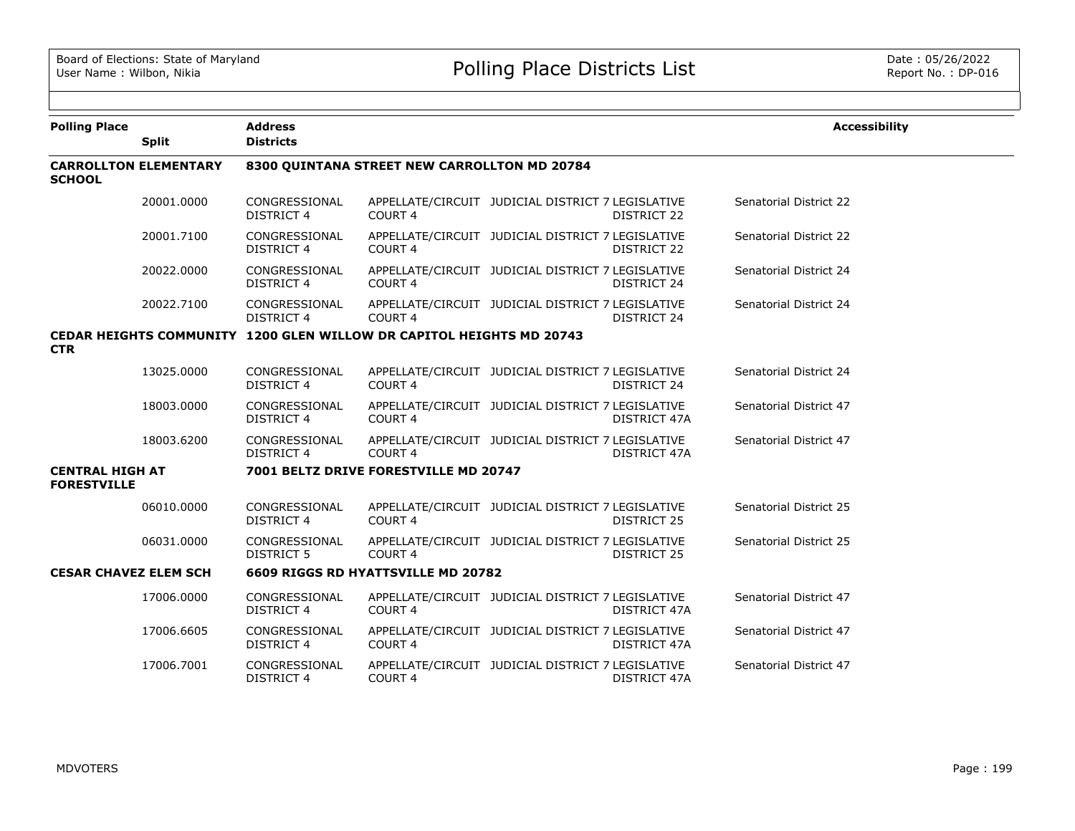| <b>Polling Place</b>                         | <b>Split</b>                 | <b>Address</b><br><b>Districts</b> |                                                                      |                                                   |                    | <b>Accessibility</b>   |
|----------------------------------------------|------------------------------|------------------------------------|----------------------------------------------------------------------|---------------------------------------------------|--------------------|------------------------|
| <b>SCHOOL</b>                                | <b>CARROLLTON ELEMENTARY</b> |                                    | 8300 QUINTANA STREET NEW CARROLLTON MD 20784                         |                                                   |                    |                        |
|                                              | 20001.0000                   | CONGRESSIONAL<br><b>DISTRICT 4</b> | COURT 4                                                              | APPELLATE/CIRCUIT JUDICIAL DISTRICT 7 LEGISLATIVE | DISTRICT 22        | Senatorial District 22 |
|                                              | 20001.7100                   | CONGRESSIONAL<br><b>DISTRICT 4</b> | COURT <sub>4</sub>                                                   | APPELLATE/CIRCUIT JUDICIAL DISTRICT 7 LEGISLATIVE | DISTRICT 22        | Senatorial District 22 |
|                                              | 20022.0000                   | CONGRESSIONAL<br><b>DISTRICT 4</b> | COURT <sub>4</sub>                                                   | APPELLATE/CIRCUIT JUDICIAL DISTRICT 7 LEGISLATIVE | DISTRICT 24        | Senatorial District 24 |
|                                              | 20022.7100                   | CONGRESSIONAL<br><b>DISTRICT 4</b> | COURT <sub>4</sub>                                                   | APPELLATE/CIRCUIT JUDICIAL DISTRICT 7 LEGISLATIVE | <b>DISTRICT 24</b> | Senatorial District 24 |
| <b>CTR</b>                                   |                              |                                    | CEDAR HEIGHTS COMMUNITY 1200 GLEN WILLOW DR CAPITOL HEIGHTS MD 20743 |                                                   |                    |                        |
|                                              | 13025.0000                   | CONGRESSIONAL<br><b>DISTRICT 4</b> | COURT <sub>4</sub>                                                   | APPELLATE/CIRCUIT JUDICIAL DISTRICT 7 LEGISLATIVE | <b>DISTRICT 24</b> | Senatorial District 24 |
|                                              | 18003.0000                   | CONGRESSIONAL<br><b>DISTRICT 4</b> | COURT <sub>4</sub>                                                   | APPELLATE/CIRCUIT JUDICIAL DISTRICT 7 LEGISLATIVE | DISTRICT 47A       | Senatorial District 47 |
|                                              | 18003.6200                   | CONGRESSIONAL<br><b>DISTRICT 4</b> | COURT 4                                                              | APPELLATE/CIRCUIT JUDICIAL DISTRICT 7 LEGISLATIVE | DISTRICT 47A       | Senatorial District 47 |
| <b>CENTRAL HIGH AT</b><br><b>FORESTVILLE</b> |                              |                                    | 7001 BELTZ DRIVE FORESTVILLE MD 20747                                |                                                   |                    |                        |
|                                              | 06010,0000                   | CONGRESSIONAL<br><b>DISTRICT 4</b> | COURT <sub>4</sub>                                                   | APPELLATE/CIRCUIT JUDICIAL DISTRICT 7 LEGISLATIVE | DISTRICT 25        | Senatorial District 25 |
|                                              | 06031.0000                   | CONGRESSIONAL<br><b>DISTRICT 5</b> | COURT 4                                                              | APPELLATE/CIRCUIT JUDICIAL DISTRICT 7 LEGISLATIVE | DISTRICT 25        | Senatorial District 25 |
| <b>CESAR CHAVEZ ELEM SCH</b>                 |                              |                                    | 6609 RIGGS RD HYATTSVILLE MD 20782                                   |                                                   |                    |                        |
|                                              | 17006.0000                   | CONGRESSIONAL<br><b>DISTRICT 4</b> | COURT <sub>4</sub>                                                   | APPELLATE/CIRCUIT JUDICIAL DISTRICT 7 LEGISLATIVE | DISTRICT 47A       | Senatorial District 47 |
|                                              | 17006.6605                   | CONGRESSIONAL<br><b>DISTRICT 4</b> | COURT <sub>4</sub>                                                   | APPELLATE/CIRCUIT JUDICIAL DISTRICT 7 LEGISLATIVE | DISTRICT 47A       | Senatorial District 47 |
|                                              | 17006.7001                   | CONGRESSIONAL<br><b>DISTRICT 4</b> | COURT <sub>4</sub>                                                   | APPELLATE/CIRCUIT JUDICIAL DISTRICT 7 LEGISLATIVE | DISTRICT 47A       | Senatorial District 47 |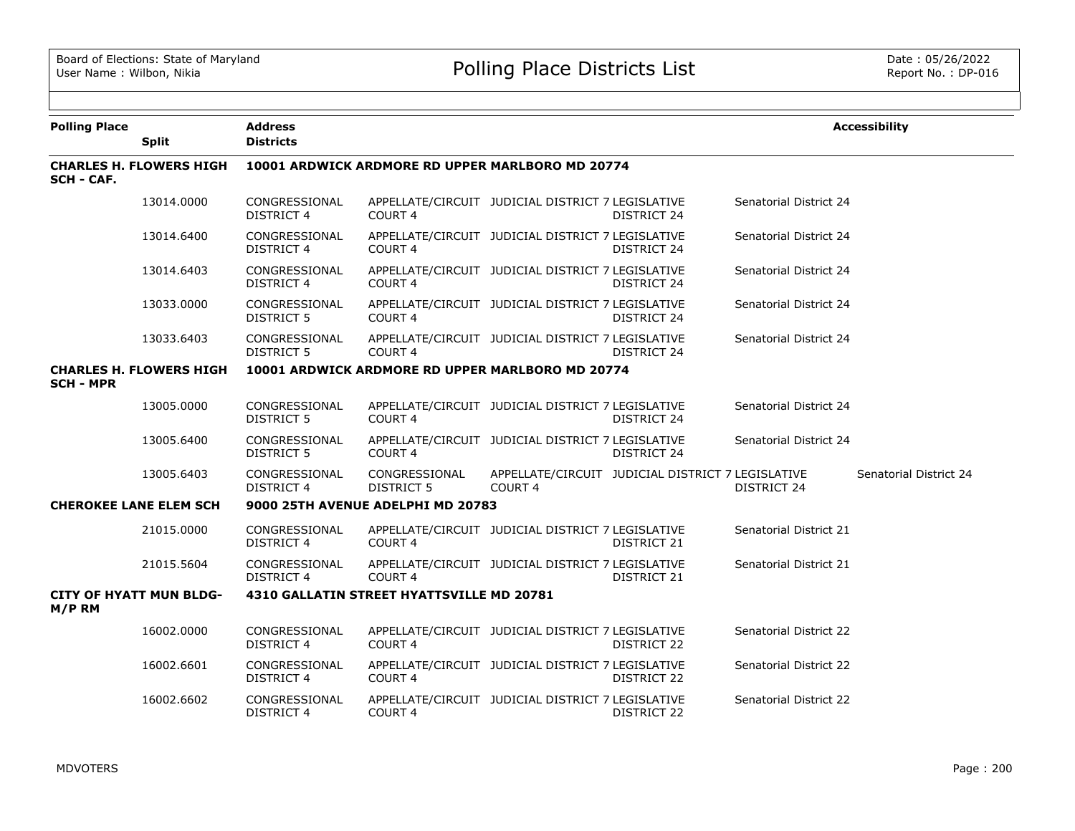| <b>Polling Place</b> | <b>Split</b>                   | Address<br><b>Districts</b>                      |                                                  |                                                   |                                                   |                        | <b>Accessibility</b>   |  |
|----------------------|--------------------------------|--------------------------------------------------|--------------------------------------------------|---------------------------------------------------|---------------------------------------------------|------------------------|------------------------|--|
| <b>SCH - CAF.</b>    | <b>CHARLES H. FLOWERS HIGH</b> | 10001 ARDWICK ARDMORE RD UPPER MARLBORO MD 20774 |                                                  |                                                   |                                                   |                        |                        |  |
|                      | 13014.0000                     | CONGRESSIONAL<br><b>DISTRICT 4</b>               | COURT 4                                          | APPELLATE/CIRCUIT JUDICIAL DISTRICT 7 LEGISLATIVE | DISTRICT 24                                       | Senatorial District 24 |                        |  |
|                      | 13014.6400                     | CONGRESSIONAL<br>DISTRICT 4                      | <b>COURT 4</b>                                   | APPELLATE/CIRCUIT JUDICIAL DISTRICT 7 LEGISLATIVE | DISTRICT 24                                       | Senatorial District 24 |                        |  |
|                      | 13014.6403                     | CONGRESSIONAL<br>DISTRICT 4                      | COURT <sub>4</sub>                               | APPELLATE/CIRCUIT JUDICIAL DISTRICT 7 LEGISLATIVE | DISTRICT 24                                       | Senatorial District 24 |                        |  |
|                      | 13033.0000                     | CONGRESSIONAL<br>DISTRICT 5                      | COURT 4                                          | APPELLATE/CIRCUIT JUDICIAL DISTRICT 7 LEGISLATIVE | DISTRICT 24                                       | Senatorial District 24 |                        |  |
|                      | 13033.6403                     | CONGRESSIONAL<br><b>DISTRICT 5</b>               | COURT <sub>4</sub>                               | APPELLATE/CIRCUIT JUDICIAL DISTRICT 7 LEGISLATIVE | DISTRICT 24                                       | Senatorial District 24 |                        |  |
| <b>SCH - MPR</b>     | <b>CHARLES H. FLOWERS HIGH</b> |                                                  | 10001 ARDWICK ARDMORE RD UPPER MARLBORO MD 20774 |                                                   |                                                   |                        |                        |  |
|                      | 13005.0000                     | CONGRESSIONAL<br><b>DISTRICT 5</b>               | COURT <sub>4</sub>                               | APPELLATE/CIRCUIT JUDICIAL DISTRICT 7 LEGISLATIVE | DISTRICT 24                                       | Senatorial District 24 |                        |  |
|                      | 13005.6400                     | CONGRESSIONAL<br>DISTRICT 5                      | COURT 4                                          | APPELLATE/CIRCUIT JUDICIAL DISTRICT 7 LEGISLATIVE | DISTRICT 24                                       | Senatorial District 24 |                        |  |
|                      | 13005.6403                     | CONGRESSIONAL<br><b>DISTRICT 4</b>               | CONGRESSIONAL<br><b>DISTRICT 5</b>               | COURT <sub>4</sub>                                | APPELLATE/CIRCUIT JUDICIAL DISTRICT 7 LEGISLATIVE | <b>DISTRICT 24</b>     | Senatorial District 24 |  |
|                      | <b>CHEROKEE LANE ELEM SCH</b>  | 9000 25TH AVENUE ADELPHI MD 20783                |                                                  |                                                   |                                                   |                        |                        |  |
|                      | 21015.0000                     | CONGRESSIONAL<br><b>DISTRICT 4</b>               | COURT <sub>4</sub>                               | APPELLATE/CIRCUIT JUDICIAL DISTRICT 7 LEGISLATIVE | DISTRICT 21                                       | Senatorial District 21 |                        |  |
|                      | 21015.5604                     | CONGRESSIONAL<br><b>DISTRICT 4</b>               | COURT <sub>4</sub>                               | APPELLATE/CIRCUIT JUDICIAL DISTRICT 7 LEGISLATIVE | DISTRICT 21                                       | Senatorial District 21 |                        |  |
| M/P RM               | <b>CITY OF HYATT MUN BLDG-</b> |                                                  | 4310 GALLATIN STREET HYATTSVILLE MD 20781        |                                                   |                                                   |                        |                        |  |
|                      | 16002.0000                     | CONGRESSIONAL<br><b>DISTRICT 4</b>               | COURT 4                                          | APPELLATE/CIRCUIT JUDICIAL DISTRICT 7 LEGISLATIVE | DISTRICT 22                                       | Senatorial District 22 |                        |  |
|                      | 16002.6601                     | CONGRESSIONAL<br><b>DISTRICT 4</b>               | COURT 4                                          | APPELLATE/CIRCUIT JUDICIAL DISTRICT 7 LEGISLATIVE | DISTRICT 22                                       | Senatorial District 22 |                        |  |
|                      | 16002.6602                     | CONGRESSIONAL<br>DISTRICT 4                      | COURT 4                                          | APPELLATE/CIRCUIT JUDICIAL DISTRICT 7 LEGISLATIVE | DISTRICT 22                                       | Senatorial District 22 |                        |  |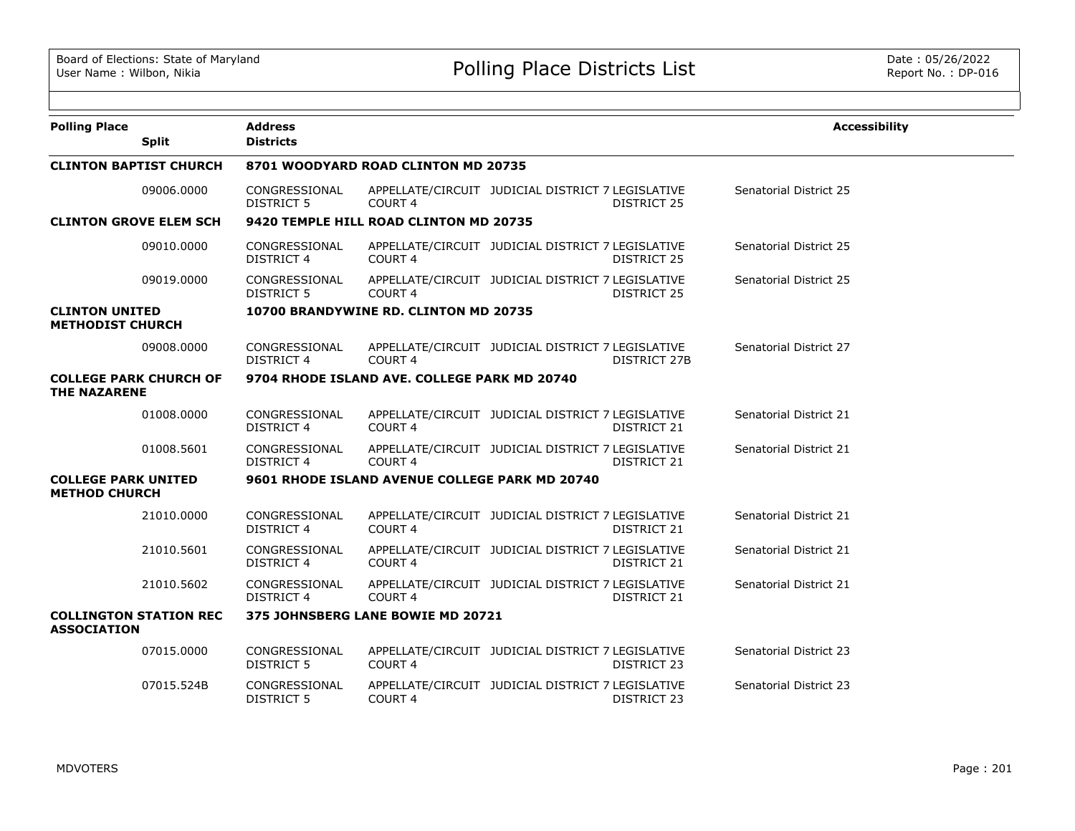| <b>Polling Place</b>                               | <b>Split</b>                  | <b>Address</b><br><b>Districts</b> |                                                |                                                   |                     | <b>Accessibility</b>          |
|----------------------------------------------------|-------------------------------|------------------------------------|------------------------------------------------|---------------------------------------------------|---------------------|-------------------------------|
|                                                    | <b>CLINTON BAPTIST CHURCH</b> |                                    | 8701 WOODYARD ROAD CLINTON MD 20735            |                                                   |                     |                               |
|                                                    | 09006.0000                    | CONGRESSIONAL<br><b>DISTRICT 5</b> | COURT <sub>4</sub>                             | APPELLATE/CIRCUIT JUDICIAL DISTRICT 7 LEGISLATIVE | DISTRICT 25         | Senatorial District 25        |
|                                                    | <b>CLINTON GROVE ELEM SCH</b> |                                    | 9420 TEMPLE HILL ROAD CLINTON MD 20735         |                                                   |                     |                               |
|                                                    | 09010.0000                    | CONGRESSIONAL<br><b>DISTRICT 4</b> | COURT <sub>4</sub>                             | APPELLATE/CIRCUIT JUDICIAL DISTRICT 7 LEGISLATIVE | <b>DISTRICT 25</b>  | Senatorial District 25        |
|                                                    | 09019.0000                    | CONGRESSIONAL<br><b>DISTRICT 5</b> | COURT <sub>4</sub>                             | APPELLATE/CIRCUIT JUDICIAL DISTRICT 7 LEGISLATIVE | DISTRICT 25         | Senatorial District 25        |
| <b>CLINTON UNITED</b><br><b>METHODIST CHURCH</b>   |                               |                                    | 10700 BRANDYWINE RD. CLINTON MD 20735          |                                                   |                     |                               |
|                                                    | 09008.0000                    | CONGRESSIONAL<br><b>DISTRICT 4</b> | COURT <sub>4</sub>                             | APPELLATE/CIRCUIT JUDICIAL DISTRICT 7 LEGISLATIVE | <b>DISTRICT 27B</b> | Senatorial District 27        |
| <b>THE NAZARENE</b>                                | <b>COLLEGE PARK CHURCH OF</b> |                                    | 9704 RHODE ISLAND AVE. COLLEGE PARK MD 20740   |                                                   |                     |                               |
|                                                    | 01008.0000                    | CONGRESSIONAL<br>DISTRICT 4        | COURT 4                                        | APPELLATE/CIRCUIT JUDICIAL DISTRICT 7 LEGISLATIVE | DISTRICT 21         | Senatorial District 21        |
|                                                    | 01008.5601                    | CONGRESSIONAL<br><b>DISTRICT 4</b> | COURT <sub>4</sub>                             | APPELLATE/CIRCUIT JUDICIAL DISTRICT 7 LEGISLATIVE | <b>DISTRICT 21</b>  | Senatorial District 21        |
| <b>COLLEGE PARK UNITED</b><br><b>METHOD CHURCH</b> |                               |                                    | 9601 RHODE ISLAND AVENUE COLLEGE PARK MD 20740 |                                                   |                     |                               |
|                                                    | 21010.0000                    | CONGRESSIONAL<br>DISTRICT 4        | COURT <sub>4</sub>                             | APPELLATE/CIRCUIT JUDICIAL DISTRICT 7 LEGISLATIVE | DISTRICT 21         | Senatorial District 21        |
|                                                    | 21010.5601                    | CONGRESSIONAL<br>DISTRICT 4        | COURT <sub>4</sub>                             | APPELLATE/CIRCUIT JUDICIAL DISTRICT 7 LEGISLATIVE | DISTRICT 21         | Senatorial District 21        |
|                                                    | 21010.5602                    | CONGRESSIONAL<br><b>DISTRICT 4</b> | COURT <sub>4</sub>                             | APPELLATE/CIRCUIT JUDICIAL DISTRICT 7 LEGISLATIVE | DISTRICT 21         | Senatorial District 21        |
| <b>ASSOCIATION</b>                                 | <b>COLLINGTON STATION REC</b> |                                    | 375 JOHNSBERG LANE BOWIE MD 20721              |                                                   |                     |                               |
|                                                    | 07015.0000                    | CONGRESSIONAL<br><b>DISTRICT 5</b> | COURT <sub>4</sub>                             | APPELLATE/CIRCUIT JUDICIAL DISTRICT 7 LEGISLATIVE | DISTRICT 23         | Senatorial District 23        |
|                                                    | 07015.524B                    | CONGRESSIONAL<br><b>DISTRICT 5</b> | COURT 4                                        | APPELLATE/CIRCUIT JUDICIAL DISTRICT 7 LEGISLATIVE | DISTRICT 23         | <b>Senatorial District 23</b> |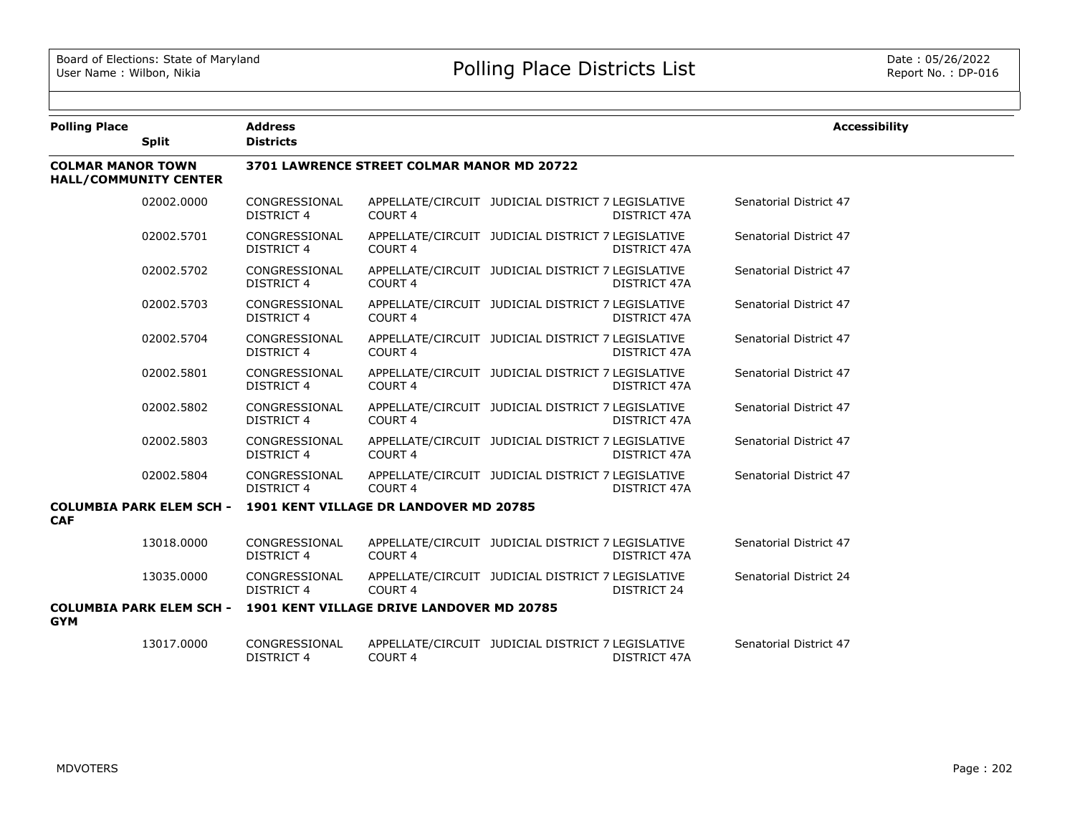| <b>Polling Place</b>     |                                 | <b>Address</b>                             |                                                                           |                                                   |                     | <b>Accessibility</b>   |  |  |  |
|--------------------------|---------------------------------|--------------------------------------------|---------------------------------------------------------------------------|---------------------------------------------------|---------------------|------------------------|--|--|--|
|                          | <b>Split</b>                    | <b>Districts</b>                           |                                                                           |                                                   |                     |                        |  |  |  |
| <b>COLMAR MANOR TOWN</b> | <b>HALL/COMMUNITY CENTER</b>    | 3701 LAWRENCE STREET COLMAR MANOR MD 20722 |                                                                           |                                                   |                     |                        |  |  |  |
|                          | 02002.0000                      | CONGRESSIONAL<br>DISTRICT 4                | COURT <sub>4</sub>                                                        | APPELLATE/CIRCUIT JUDICIAL DISTRICT 7 LEGISLATIVE | DISTRICT 47A        | Senatorial District 47 |  |  |  |
|                          | 02002.5701                      | CONGRESSIONAL<br><b>DISTRICT 4</b>         | COURT <sub>4</sub>                                                        | APPELLATE/CIRCUIT JUDICIAL DISTRICT 7 LEGISLATIVE | DISTRICT 47A        | Senatorial District 47 |  |  |  |
|                          | 02002.5702                      | CONGRESSIONAL<br><b>DISTRICT 4</b>         | COURT <sub>4</sub>                                                        | APPELLATE/CIRCUIT JUDICIAL DISTRICT 7 LEGISLATIVE | <b>DISTRICT 47A</b> | Senatorial District 47 |  |  |  |
|                          | 02002.5703                      | CONGRESSIONAL<br><b>DISTRICT 4</b>         | COURT <sub>4</sub>                                                        | APPELLATE/CIRCUIT JUDICIAL DISTRICT 7 LEGISLATIVE | DISTRICT 47A        | Senatorial District 47 |  |  |  |
|                          | 02002.5704                      | CONGRESSIONAL<br><b>DISTRICT 4</b>         | COURT <sub>4</sub>                                                        | APPELLATE/CIRCUIT JUDICIAL DISTRICT 7 LEGISLATIVE | DISTRICT 47A        | Senatorial District 47 |  |  |  |
|                          | 02002.5801                      | CONGRESSIONAL<br><b>DISTRICT 4</b>         | COURT <sub>4</sub>                                                        | APPELLATE/CIRCUIT JUDICIAL DISTRICT 7 LEGISLATIVE | DISTRICT 47A        | Senatorial District 47 |  |  |  |
|                          | 02002.5802                      | CONGRESSIONAL<br><b>DISTRICT 4</b>         | COURT <sub>4</sub>                                                        | APPELLATE/CIRCUIT JUDICIAL DISTRICT 7 LEGISLATIVE | DISTRICT 47A        | Senatorial District 47 |  |  |  |
|                          | 02002.5803                      | CONGRESSIONAL<br><b>DISTRICT 4</b>         | COURT 4                                                                   | APPELLATE/CIRCUIT JUDICIAL DISTRICT 7 LEGISLATIVE | DISTRICT 47A        | Senatorial District 47 |  |  |  |
|                          | 02002.5804                      | CONGRESSIONAL<br><b>DISTRICT 4</b>         | COURT <sub>4</sub>                                                        | APPELLATE/CIRCUIT JUDICIAL DISTRICT 7 LEGISLATIVE | DISTRICT 47A        | Senatorial District 47 |  |  |  |
|                          | <b>COLUMBIA PARK ELEM SCH -</b> |                                            | <b>1901 KENT VILLAGE DR LANDOVER MD 20785</b>                             |                                                   |                     |                        |  |  |  |
| <b>CAF</b>               |                                 |                                            |                                                                           |                                                   |                     |                        |  |  |  |
|                          | 13018.0000                      | CONGRESSIONAL<br><b>DISTRICT 4</b>         | COURT <sub>4</sub>                                                        | APPELLATE/CIRCUIT JUDICIAL DISTRICT 7 LEGISLATIVE | DISTRICT 47A        | Senatorial District 47 |  |  |  |
|                          | 13035.0000                      | CONGRESSIONAL<br>DISTRICT 4                | COURT 4                                                                   | APPELLATE/CIRCUIT JUDICIAL DISTRICT 7 LEGISLATIVE | DISTRICT 24         | Senatorial District 24 |  |  |  |
| <b>GYM</b>               |                                 |                                            | <b>COLUMBIA PARK ELEM SCH - 1901 KENT VILLAGE DRIVE LANDOVER MD 20785</b> |                                                   |                     |                        |  |  |  |
|                          | 13017.0000                      | CONGRESSIONAL<br><b>DISTRICT 4</b>         | COURT <sub>4</sub>                                                        | APPELLATE/CIRCUIT JUDICIAL DISTRICT 7 LEGISLATIVE | DISTRICT 47A        | Senatorial District 47 |  |  |  |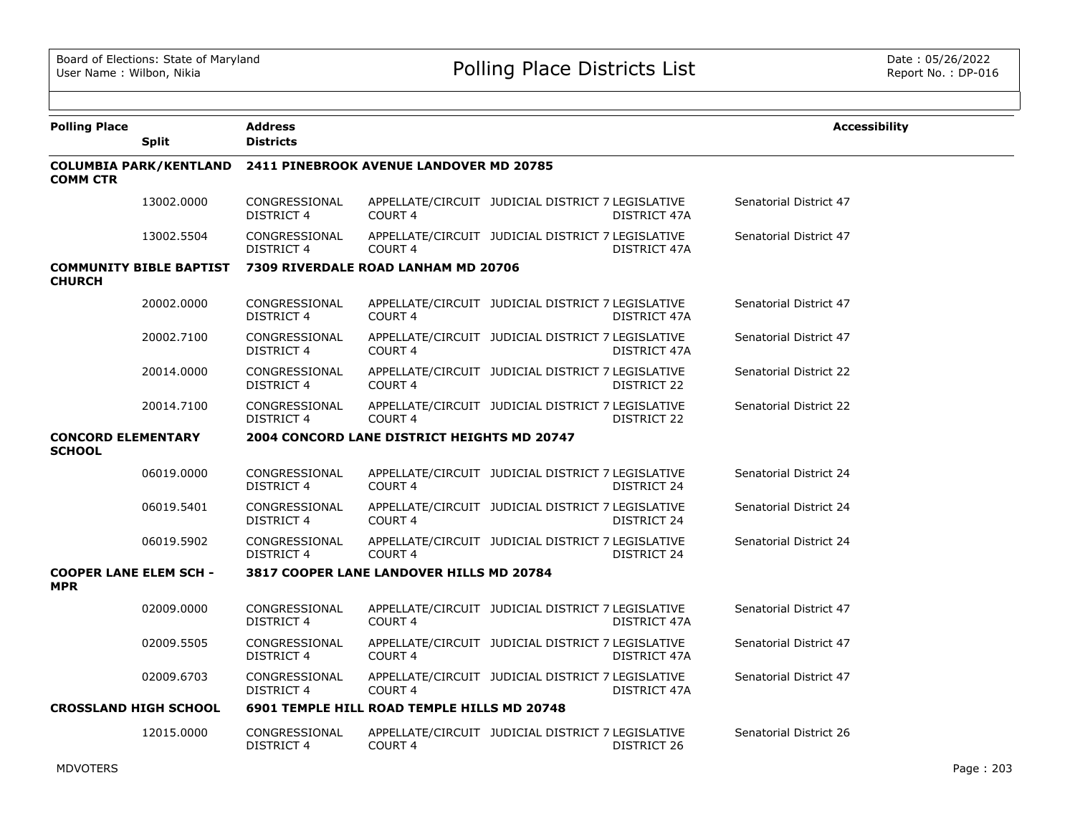| <b>Polling Place</b>                        | <b>Split</b>                   | <b>Address</b><br><b>Districts</b>                             |                                             |                                                   |              | <b>Accessibility</b>   |  |  |  |
|---------------------------------------------|--------------------------------|----------------------------------------------------------------|---------------------------------------------|---------------------------------------------------|--------------|------------------------|--|--|--|
| <b>COMM CTR</b>                             |                                | COLUMBIA PARK/KENTLAND 2411 PINEBROOK AVENUE LANDOVER MD 20785 |                                             |                                                   |              |                        |  |  |  |
|                                             | 13002.0000                     | CONGRESSIONAL<br>DISTRICT 4                                    | COURT <sub>4</sub>                          | APPELLATE/CIRCUIT JUDICIAL DISTRICT 7 LEGISLATIVE | DISTRICT 47A | Senatorial District 47 |  |  |  |
|                                             | 13002.5504                     | CONGRESSIONAL<br><b>DISTRICT 4</b>                             | COURT <sub>4</sub>                          | APPELLATE/CIRCUIT JUDICIAL DISTRICT 7 LEGISLATIVE | DISTRICT 47A | Senatorial District 47 |  |  |  |
| <b>CHURCH</b>                               | <b>COMMUNITY BIBLE BAPTIST</b> |                                                                | 7309 RIVERDALE ROAD LANHAM MD 20706         |                                                   |              |                        |  |  |  |
|                                             | 20002.0000                     | CONGRESSIONAL<br>DISTRICT 4                                    | COURT 4                                     | APPELLATE/CIRCUIT JUDICIAL DISTRICT 7 LEGISLATIVE | DISTRICT 47A | Senatorial District 47 |  |  |  |
|                                             | 20002.7100                     | CONGRESSIONAL<br>DISTRICT 4                                    | COURT <sub>4</sub>                          | APPELLATE/CIRCUIT JUDICIAL DISTRICT 7 LEGISLATIVE | DISTRICT 47A | Senatorial District 47 |  |  |  |
|                                             | 20014.0000                     | CONGRESSIONAL<br>DISTRICT 4                                    | COURT <sub>4</sub>                          | APPELLATE/CIRCUIT JUDICIAL DISTRICT 7 LEGISLATIVE | DISTRICT 22  | Senatorial District 22 |  |  |  |
|                                             | 20014.7100                     | CONGRESSIONAL<br>DISTRICT 4                                    | <b>COURT 4</b>                              | APPELLATE/CIRCUIT JUDICIAL DISTRICT 7 LEGISLATIVE | DISTRICT 22  | Senatorial District 22 |  |  |  |
| <b>CONCORD ELEMENTARY</b><br><b>SCHOOL</b>  |                                |                                                                | 2004 CONCORD LANE DISTRICT HEIGHTS MD 20747 |                                                   |              |                        |  |  |  |
|                                             | 06019.0000                     | CONGRESSIONAL<br>DISTRICT 4                                    | COURT 4                                     | APPELLATE/CIRCUIT JUDICIAL DISTRICT 7 LEGISLATIVE | DISTRICT 24  | Senatorial District 24 |  |  |  |
|                                             | 06019.5401                     | CONGRESSIONAL<br>DISTRICT 4                                    | COURT 4                                     | APPELLATE/CIRCUIT JUDICIAL DISTRICT 7 LEGISLATIVE | DISTRICT 24  | Senatorial District 24 |  |  |  |
|                                             | 06019.5902                     | CONGRESSIONAL<br><b>DISTRICT 4</b>                             | COURT <sub>4</sub>                          | APPELLATE/CIRCUIT JUDICIAL DISTRICT 7 LEGISLATIVE | DISTRICT 24  | Senatorial District 24 |  |  |  |
| <b>COOPER LANE ELEM SCH -</b><br><b>MPR</b> |                                |                                                                | 3817 COOPER LANE LANDOVER HILLS MD 20784    |                                                   |              |                        |  |  |  |
|                                             | 02009.0000                     | CONGRESSIONAL<br>DISTRICT 4                                    | COURT 4                                     | APPELLATE/CIRCUIT JUDICIAL DISTRICT 7 LEGISLATIVE | DISTRICT 47A | Senatorial District 47 |  |  |  |
|                                             | 02009.5505                     | CONGRESSIONAL<br><b>DISTRICT 4</b>                             | COURT <sub>4</sub>                          | APPELLATE/CIRCUIT JUDICIAL DISTRICT 7 LEGISLATIVE | DISTRICT 47A | Senatorial District 47 |  |  |  |
|                                             | 02009.6703                     | CONGRESSIONAL<br><b>DISTRICT 4</b>                             | COURT <sub>4</sub>                          | APPELLATE/CIRCUIT JUDICIAL DISTRICT 7 LEGISLATIVE | DISTRICT 47A | Senatorial District 47 |  |  |  |
|                                             | <b>CROSSLAND HIGH SCHOOL</b>   |                                                                | 6901 TEMPLE HILL ROAD TEMPLE HILLS MD 20748 |                                                   |              |                        |  |  |  |
|                                             | 12015.0000                     | CONGRESSIONAL<br><b>DISTRICT 4</b>                             | COURT 4                                     | APPELLATE/CIRCUIT JUDICIAL DISTRICT 7 LEGISLATIVE | DISTRICT 26  | Senatorial District 26 |  |  |  |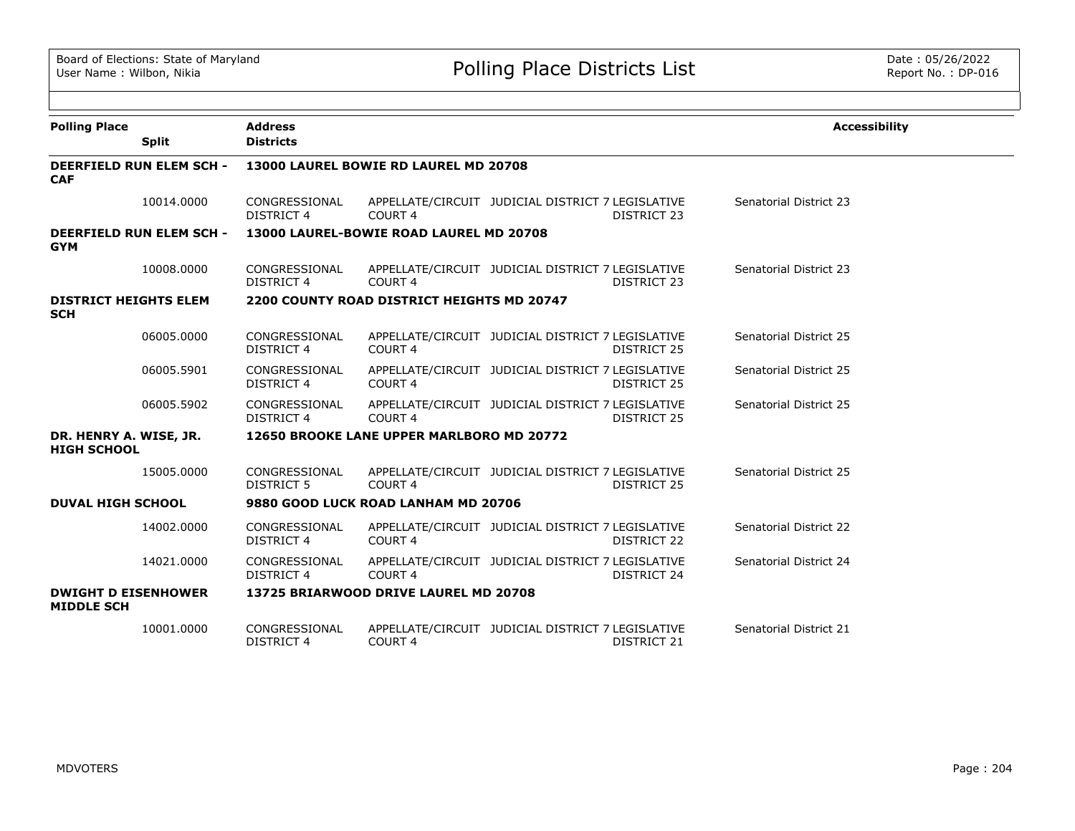| <b>Polling Place</b>                            | <b>Address</b>                     |                                            |                                                                         | <b>Accessibility</b>   |  |  |  |  |  |
|-------------------------------------------------|------------------------------------|--------------------------------------------|-------------------------------------------------------------------------|------------------------|--|--|--|--|--|
| <b>Split</b>                                    | <b>Districts</b>                   |                                            |                                                                         |                        |  |  |  |  |  |
| <b>DEERFIELD RUN ELEM SCH -</b><br><b>CAF</b>   |                                    | 13000 LAUREL BOWIE RD LAUREL MD 20708      |                                                                         |                        |  |  |  |  |  |
| 10014.0000                                      | CONGRESSIONAL<br><b>DISTRICT 4</b> | COURT <sub>4</sub>                         | APPELLATE/CIRCUIT JUDICIAL DISTRICT 7 LEGISLATIVE<br>DISTRICT 23        | Senatorial District 23 |  |  |  |  |  |
| <b>DEERFIELD RUN ELEM SCH -</b><br><b>GYM</b>   |                                    | 13000 LAUREL-BOWIE ROAD LAUREL MD 20708    |                                                                         |                        |  |  |  |  |  |
| 10008.0000                                      | CONGRESSIONAL<br>DISTRICT 4        | COURT <sub>4</sub>                         | APPELLATE/CIRCUIT JUDICIAL DISTRICT 7 LEGISLATIVE<br>DISTRICT 23        | Senatorial District 23 |  |  |  |  |  |
| <b>DISTRICT HEIGHTS ELEM</b><br><b>SCH</b>      |                                    | 2200 COUNTY ROAD DISTRICT HEIGHTS MD 20747 |                                                                         |                        |  |  |  |  |  |
| 06005.0000                                      | CONGRESSIONAL<br><b>DISTRICT 4</b> | COURT <sub>4</sub>                         | APPELLATE/CIRCUIT JUDICIAL DISTRICT 7 LEGISLATIVE<br>DISTRICT 25        | Senatorial District 25 |  |  |  |  |  |
| 06005.5901                                      | CONGRESSIONAL<br><b>DISTRICT 4</b> | COURT <sub>4</sub>                         | APPELLATE/CIRCUIT JUDICIAL DISTRICT 7 LEGISLATIVE<br>DISTRICT 25        | Senatorial District 25 |  |  |  |  |  |
| 06005.5902                                      | CONGRESSIONAL<br><b>DISTRICT 4</b> | COURT <sub>4</sub>                         | APPELLATE/CIRCUIT JUDICIAL DISTRICT 7 LEGISLATIVE<br><b>DISTRICT 25</b> | Senatorial District 25 |  |  |  |  |  |
| DR. HENRY A. WISE, JR.<br><b>HIGH SCHOOL</b>    |                                    | 12650 BROOKE LANE UPPER MARLBORO MD 20772  |                                                                         |                        |  |  |  |  |  |
| 15005.0000                                      | CONGRESSIONAL<br>DISTRICT 5        | COURT <sub>4</sub>                         | APPELLATE/CIRCUIT JUDICIAL DISTRICT 7 LEGISLATIVE<br>DISTRICT 25        | Senatorial District 25 |  |  |  |  |  |
| <b>DUVAL HIGH SCHOOL</b>                        |                                    | 9880 GOOD LUCK ROAD LANHAM MD 20706        |                                                                         |                        |  |  |  |  |  |
| 14002.0000                                      | CONGRESSIONAL<br>DISTRICT 4        | COURT <sub>4</sub>                         | APPELLATE/CIRCUIT JUDICIAL DISTRICT 7 LEGISLATIVE<br><b>DISTRICT 22</b> | Senatorial District 22 |  |  |  |  |  |
| 14021.0000                                      | CONGRESSIONAL<br><b>DISTRICT 4</b> | COURT <sub>4</sub>                         | APPELLATE/CIRCUIT JUDICIAL DISTRICT 7 LEGISLATIVE<br>DISTRICT 24        | Senatorial District 24 |  |  |  |  |  |
| <b>DWIGHT D EISENHOWER</b><br><b>MIDDLE SCH</b> |                                    | 13725 BRIARWOOD DRIVE LAUREL MD 20708      |                                                                         |                        |  |  |  |  |  |
| 10001.0000                                      | CONGRESSIONAL<br><b>DISTRICT 4</b> | COURT 4                                    | APPELLATE/CIRCUIT JUDICIAL DISTRICT 7 LEGISLATIVE<br>DISTRICT 21        | Senatorial District 21 |  |  |  |  |  |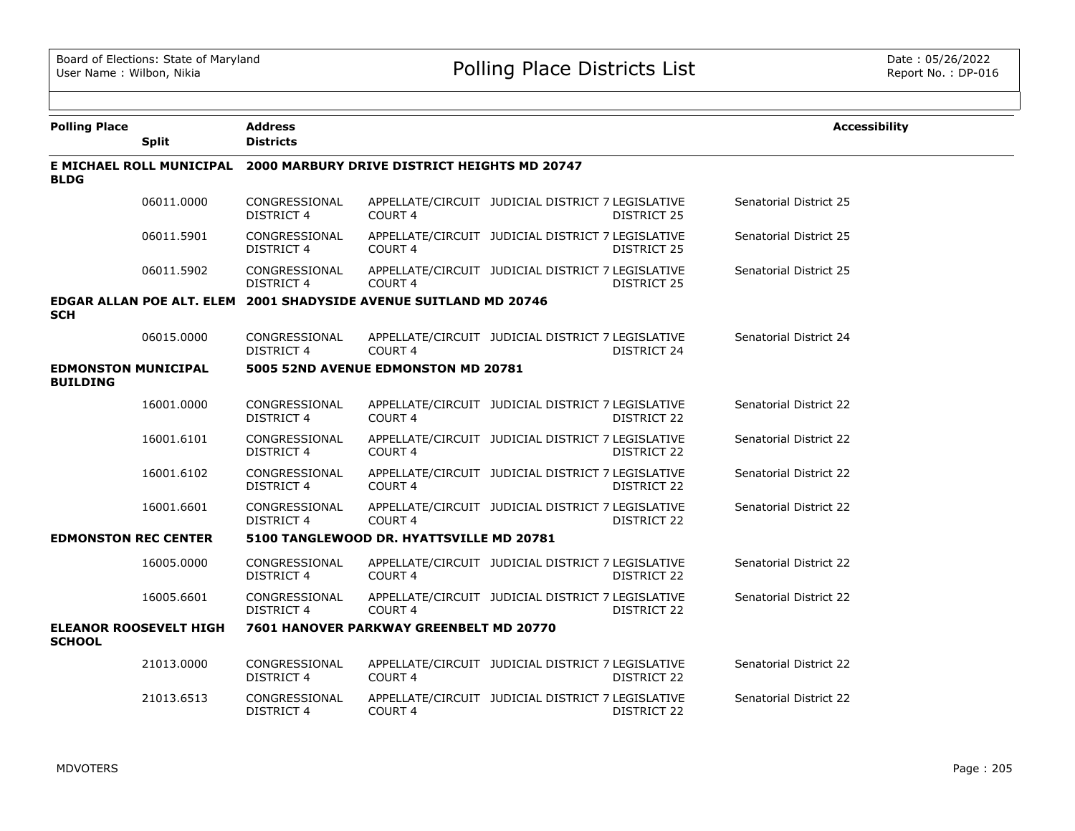| <b>Polling Place</b>                          |                               | <b>Address</b>                                                        |                                                                   |                                                   |                    | <b>Accessibility</b>          |  |  |
|-----------------------------------------------|-------------------------------|-----------------------------------------------------------------------|-------------------------------------------------------------------|---------------------------------------------------|--------------------|-------------------------------|--|--|
|                                               | <b>Split</b>                  | <b>Districts</b>                                                      |                                                                   |                                                   |                    |                               |  |  |
| <b>BLDG</b>                                   |                               | E MICHAEL ROLL MUNICIPAL 2000 MARBURY DRIVE DISTRICT HEIGHTS MD 20747 |                                                                   |                                                   |                    |                               |  |  |
|                                               | 06011.0000                    | CONGRESSIONAL<br><b>DISTRICT 4</b>                                    | COURT <sub>4</sub>                                                | APPELLATE/CIRCUIT JUDICIAL DISTRICT 7 LEGISLATIVE | DISTRICT 25        | Senatorial District 25        |  |  |
|                                               | 06011.5901                    | CONGRESSIONAL<br>DISTRICT 4                                           | COURT <sub>4</sub>                                                | APPELLATE/CIRCUIT JUDICIAL DISTRICT 7 LEGISLATIVE | <b>DISTRICT 25</b> | Senatorial District 25        |  |  |
|                                               | 06011.5902                    | CONGRESSIONAL<br>DISTRICT 4                                           | <b>COURT 4</b>                                                    | APPELLATE/CIRCUIT JUDICIAL DISTRICT 7 LEGISLATIVE | DISTRICT 25        | Senatorial District 25        |  |  |
| <b>SCH</b>                                    |                               |                                                                       | EDGAR ALLAN POE ALT. ELEM 2001 SHADYSIDE AVENUE SUITLAND MD 20746 |                                                   |                    |                               |  |  |
|                                               | 06015.0000                    | CONGRESSIONAL<br>DISTRICT 4                                           | COURT <sub>4</sub>                                                | APPELLATE/CIRCUIT JUDICIAL DISTRICT 7 LEGISLATIVE | DISTRICT 24        | Senatorial District 24        |  |  |
| <b>EDMONSTON MUNICIPAL</b><br><b>BUILDING</b> |                               |                                                                       | 5005 52ND AVENUE EDMONSTON MD 20781                               |                                                   |                    |                               |  |  |
|                                               | 16001.0000                    | CONGRESSIONAL<br>DISTRICT 4                                           | COURT 4                                                           | APPELLATE/CIRCUIT JUDICIAL DISTRICT 7 LEGISLATIVE | DISTRICT 22        | <b>Senatorial District 22</b> |  |  |
|                                               | 16001.6101                    | CONGRESSIONAL<br>DISTRICT 4                                           | COURT <sub>4</sub>                                                | APPELLATE/CIRCUIT JUDICIAL DISTRICT 7 LEGISLATIVE | DISTRICT 22        | Senatorial District 22        |  |  |
|                                               | 16001.6102                    | CONGRESSIONAL<br><b>DISTRICT 4</b>                                    | COURT <sub>4</sub>                                                | APPELLATE/CIRCUIT JUDICIAL DISTRICT 7 LEGISLATIVE | <b>DISTRICT 22</b> | Senatorial District 22        |  |  |
|                                               | 16001.6601                    | CONGRESSIONAL<br>DISTRICT 4                                           | COURT <sub>4</sub>                                                | APPELLATE/CIRCUIT JUDICIAL DISTRICT 7 LEGISLATIVE | DISTRICT 22        | Senatorial District 22        |  |  |
| <b>EDMONSTON REC CENTER</b>                   |                               |                                                                       | 5100 TANGLEWOOD DR. HYATTSVILLE MD 20781                          |                                                   |                    |                               |  |  |
|                                               | 16005.0000                    | CONGRESSIONAL<br><b>DISTRICT 4</b>                                    | <b>COURT 4</b>                                                    | APPELLATE/CIRCUIT JUDICIAL DISTRICT 7 LEGISLATIVE | DISTRICT 22        | Senatorial District 22        |  |  |
|                                               | 16005.6601                    | CONGRESSIONAL<br>DISTRICT 4                                           | <b>COURT 4</b>                                                    | APPELLATE/CIRCUIT JUDICIAL DISTRICT 7 LEGISLATIVE | DISTRICT 22        | Senatorial District 22        |  |  |
| <b>SCHOOL</b>                                 | <b>ELEANOR ROOSEVELT HIGH</b> |                                                                       | 7601 HANOVER PARKWAY GREENBELT MD 20770                           |                                                   |                    |                               |  |  |
|                                               | 21013.0000                    | CONGRESSIONAL<br>DISTRICT 4                                           | COURT <sub>4</sub>                                                | APPELLATE/CIRCUIT JUDICIAL DISTRICT 7 LEGISLATIVE | DISTRICT 22        | Senatorial District 22        |  |  |
|                                               | 21013.6513                    | CONGRESSIONAL<br><b>DISTRICT 4</b>                                    | COURT 4                                                           | APPELLATE/CIRCUIT JUDICIAL DISTRICT 7 LEGISLATIVE | <b>DISTRICT 22</b> | <b>Senatorial District 22</b> |  |  |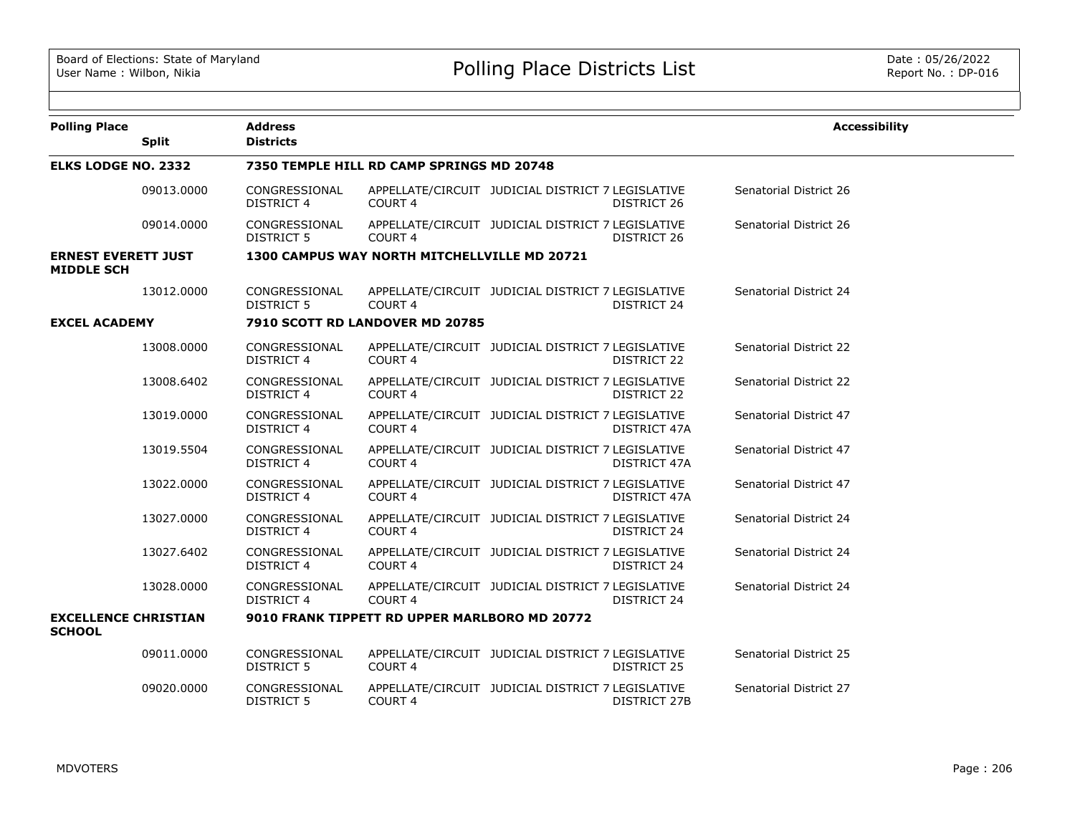| <b>Polling Place</b>                            | <b>Split</b> | <b>Address</b><br><b>Districts</b> |                                               |                                                                         | <b>Accessibility</b>   |  |  |  |
|-------------------------------------------------|--------------|------------------------------------|-----------------------------------------------|-------------------------------------------------------------------------|------------------------|--|--|--|
| <b>ELKS LODGE NO. 2332</b>                      |              |                                    | 7350 TEMPLE HILL RD CAMP SPRINGS MD 20748     |                                                                         |                        |  |  |  |
|                                                 | 09013.0000   | CONGRESSIONAL<br><b>DISTRICT 4</b> | COURT <sub>4</sub>                            | APPELLATE/CIRCUIT JUDICIAL DISTRICT 7 LEGISLATIVE<br>DISTRICT 26        | Senatorial District 26 |  |  |  |
|                                                 | 09014.0000   | CONGRESSIONAL<br>DISTRICT 5        | COURT 4                                       | APPELLATE/CIRCUIT JUDICIAL DISTRICT 7 LEGISLATIVE<br>DISTRICT 26        | Senatorial District 26 |  |  |  |
| <b>ERNEST EVERETT JUST</b><br><b>MIDDLE SCH</b> |              |                                    | 1300 CAMPUS WAY NORTH MITCHELLVILLE MD 20721  |                                                                         |                        |  |  |  |
|                                                 | 13012.0000   | CONGRESSIONAL<br>DISTRICT 5        | COURT <sub>4</sub>                            | APPELLATE/CIRCUIT JUDICIAL DISTRICT 7 LEGISLATIVE<br>DISTRICT 24        | Senatorial District 24 |  |  |  |
| <b>EXCEL ACADEMY</b>                            |              |                                    | 7910 SCOTT RD LANDOVER MD 20785               |                                                                         |                        |  |  |  |
|                                                 | 13008.0000   | CONGRESSIONAL<br><b>DISTRICT 4</b> | COURT <sub>4</sub>                            | APPELLATE/CIRCUIT JUDICIAL DISTRICT 7 LEGISLATIVE<br>DISTRICT 22        | Senatorial District 22 |  |  |  |
|                                                 | 13008.6402   | CONGRESSIONAL<br>DISTRICT 4        | COURT <sub>4</sub>                            | APPELLATE/CIRCUIT JUDICIAL DISTRICT 7 LEGISLATIVE<br>DISTRICT 22        | Senatorial District 22 |  |  |  |
|                                                 | 13019.0000   | CONGRESSIONAL<br><b>DISTRICT 4</b> | COURT <sub>4</sub>                            | APPELLATE/CIRCUIT JUDICIAL DISTRICT 7 LEGISLATIVE<br>DISTRICT 47A       | Senatorial District 47 |  |  |  |
|                                                 | 13019.5504   | CONGRESSIONAL<br><b>DISTRICT 4</b> | COURT 4                                       | APPELLATE/CIRCUIT JUDICIAL DISTRICT 7 LEGISLATIVE<br>DISTRICT 47A       | Senatorial District 47 |  |  |  |
|                                                 | 13022.0000   | CONGRESSIONAL<br><b>DISTRICT 4</b> | COURT <sub>4</sub>                            | APPELLATE/CIRCUIT JUDICIAL DISTRICT 7 LEGISLATIVE<br>DISTRICT 47A       | Senatorial District 47 |  |  |  |
|                                                 | 13027.0000   | CONGRESSIONAL<br><b>DISTRICT 4</b> | COURT <sub>4</sub>                            | APPELLATE/CIRCUIT JUDICIAL DISTRICT 7 LEGISLATIVE<br><b>DISTRICT 24</b> | Senatorial District 24 |  |  |  |
|                                                 | 13027.6402   | CONGRESSIONAL<br><b>DISTRICT 4</b> | COURT <sub>4</sub>                            | APPELLATE/CIRCUIT JUDICIAL DISTRICT 7 LEGISLATIVE<br>DISTRICT 24        | Senatorial District 24 |  |  |  |
|                                                 | 13028.0000   | CONGRESSIONAL<br><b>DISTRICT 4</b> | COURT <sub>4</sub>                            | APPELLATE/CIRCUIT JUDICIAL DISTRICT 7 LEGISLATIVE<br>DISTRICT 24        | Senatorial District 24 |  |  |  |
| <b>EXCELLENCE CHRISTIAN</b><br><b>SCHOOL</b>    |              |                                    | 9010 FRANK TIPPETT RD UPPER MARLBORO MD 20772 |                                                                         |                        |  |  |  |
|                                                 | 09011.0000   | CONGRESSIONAL<br><b>DISTRICT 5</b> | COURT 4                                       | APPELLATE/CIRCUIT JUDICIAL DISTRICT 7 LEGISLATIVE<br>DISTRICT 25        | Senatorial District 25 |  |  |  |
|                                                 | 09020,0000   | CONGRESSIONAL<br>DISTRICT 5        | COURT 4                                       | APPELLATE/CIRCUIT JUDICIAL DISTRICT 7 LEGISLATIVE<br>DISTRICT 27B       | Senatorial District 27 |  |  |  |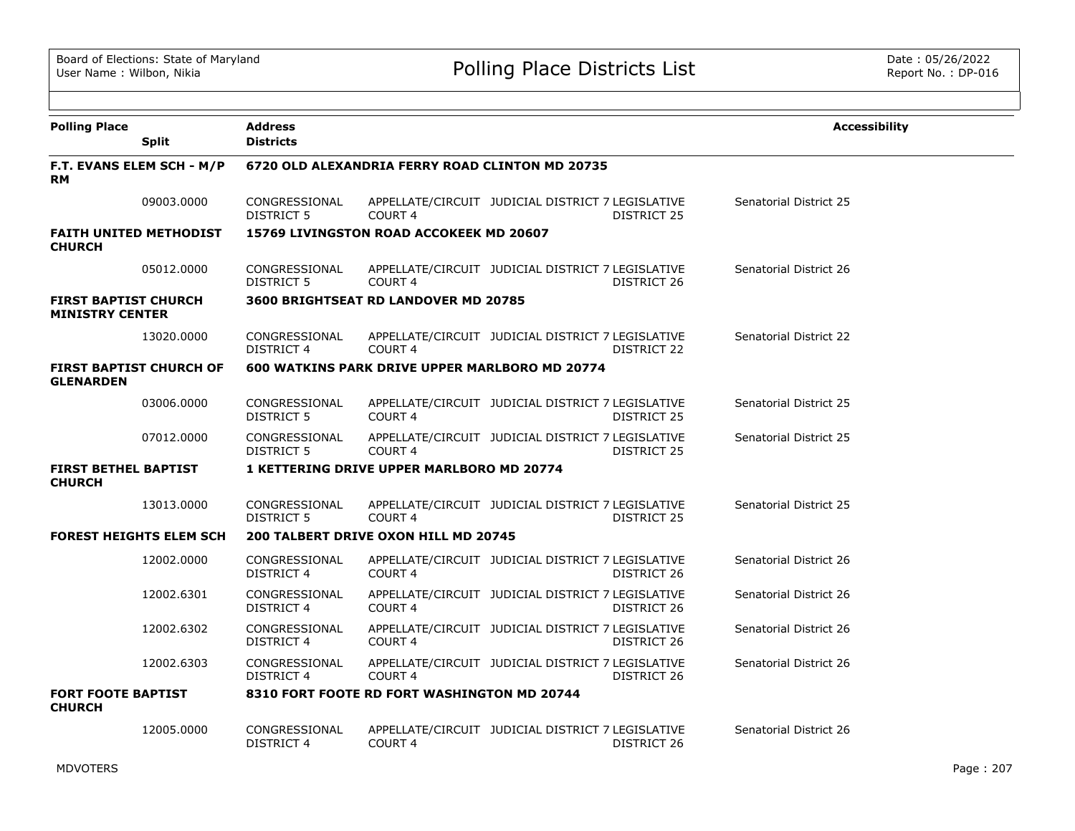| <b>Polling Place</b>                                  | <b>Split</b>                   | <b>Address</b><br><b>Districts</b>              |                                                  |                                                   |                    | <b>Accessibility</b>   |  |  |
|-------------------------------------------------------|--------------------------------|-------------------------------------------------|--------------------------------------------------|---------------------------------------------------|--------------------|------------------------|--|--|
| <b>RM</b>                                             | F.T. EVANS ELEM SCH - M/P      | 6720 OLD ALEXANDRIA FERRY ROAD CLINTON MD 20735 |                                                  |                                                   |                    |                        |  |  |
|                                                       | 09003.0000                     | CONGRESSIONAL<br><b>DISTRICT 5</b>              | COURT <sub>4</sub>                               | APPELLATE/CIRCUIT JUDICIAL DISTRICT 7 LEGISLATIVE | DISTRICT 25        | Senatorial District 25 |  |  |
| <b>CHURCH</b>                                         | <b>FAITH UNITED METHODIST</b>  |                                                 | 15769 LIVINGSTON ROAD ACCOKEEK MD 20607          |                                                   |                    |                        |  |  |
|                                                       | 05012.0000                     | CONGRESSIONAL<br>DISTRICT 5                     | COURT <sub>4</sub>                               | APPELLATE/CIRCUIT JUDICIAL DISTRICT 7 LEGISLATIVE | DISTRICT 26        | Senatorial District 26 |  |  |
| <b>FIRST BAPTIST CHURCH</b><br><b>MINISTRY CENTER</b> |                                |                                                 | <b>3600 BRIGHTSEAT RD LANDOVER MD 20785</b>      |                                                   |                    |                        |  |  |
|                                                       | 13020.0000                     | CONGRESSIONAL<br><b>DISTRICT 4</b>              | COURT <sub>4</sub>                               | APPELLATE/CIRCUIT JUDICIAL DISTRICT 7 LEGISLATIVE | DISTRICT 22        | Senatorial District 22 |  |  |
| <b>GLENARDEN</b>                                      | <b>FIRST BAPTIST CHURCH OF</b> |                                                 | 600 WATKINS PARK DRIVE UPPER MARLBORO MD 20774   |                                                   |                    |                        |  |  |
|                                                       | 03006.0000                     | CONGRESSIONAL<br><b>DISTRICT 5</b>              | <b>COURT 4</b>                                   | APPELLATE/CIRCUIT JUDICIAL DISTRICT 7 LEGISLATIVE | <b>DISTRICT 25</b> | Senatorial District 25 |  |  |
|                                                       | 07012.0000                     | CONGRESSIONAL<br>DISTRICT 5                     | <b>COURT 4</b>                                   | APPELLATE/CIRCUIT JUDICIAL DISTRICT 7 LEGISLATIVE | DISTRICT 25        | Senatorial District 25 |  |  |
| <b>FIRST BETHEL BAPTIST</b><br><b>CHURCH</b>          |                                |                                                 | <b>1 KETTERING DRIVE UPPER MARLBORO MD 20774</b> |                                                   |                    |                        |  |  |
|                                                       | 13013.0000                     | CONGRESSIONAL<br>DISTRICT 5                     | <b>COURT 4</b>                                   | APPELLATE/CIRCUIT JUDICIAL DISTRICT 7 LEGISLATIVE | DISTRICT 25        | Senatorial District 25 |  |  |
|                                                       | <b>FOREST HEIGHTS ELEM SCH</b> |                                                 | 200 TALBERT DRIVE OXON HILL MD 20745             |                                                   |                    |                        |  |  |
|                                                       | 12002.0000                     | CONGRESSIONAL<br>DISTRICT 4                     | <b>COURT 4</b>                                   | APPELLATE/CIRCUIT JUDICIAL DISTRICT 7 LEGISLATIVE | DISTRICT 26        | Senatorial District 26 |  |  |
|                                                       | 12002.6301                     | CONGRESSIONAL<br><b>DISTRICT 4</b>              | <b>COURT 4</b>                                   | APPELLATE/CIRCUIT JUDICIAL DISTRICT 7 LEGISLATIVE | DISTRICT 26        | Senatorial District 26 |  |  |
|                                                       | 12002.6302                     | CONGRESSIONAL<br>DISTRICT 4                     | <b>COURT 4</b>                                   | APPELLATE/CIRCUIT JUDICIAL DISTRICT 7 LEGISLATIVE | DISTRICT 26        | Senatorial District 26 |  |  |
|                                                       | 12002.6303                     | CONGRESSIONAL<br><b>DISTRICT 4</b>              | COURT <sub>4</sub>                               | APPELLATE/CIRCUIT JUDICIAL DISTRICT 7 LEGISLATIVE | DISTRICT 26        | Senatorial District 26 |  |  |
| <b>FORT FOOTE BAPTIST</b><br><b>CHURCH</b>            |                                |                                                 | 8310 FORT FOOTE RD FORT WASHINGTON MD 20744      |                                                   |                    |                        |  |  |
|                                                       | 12005.0000                     | CONGRESSIONAL<br><b>DISTRICT 4</b>              | COURT <sub>4</sub>                               | APPELLATE/CIRCUIT JUDICIAL DISTRICT 7 LEGISLATIVE | DISTRICT 26        | Senatorial District 26 |  |  |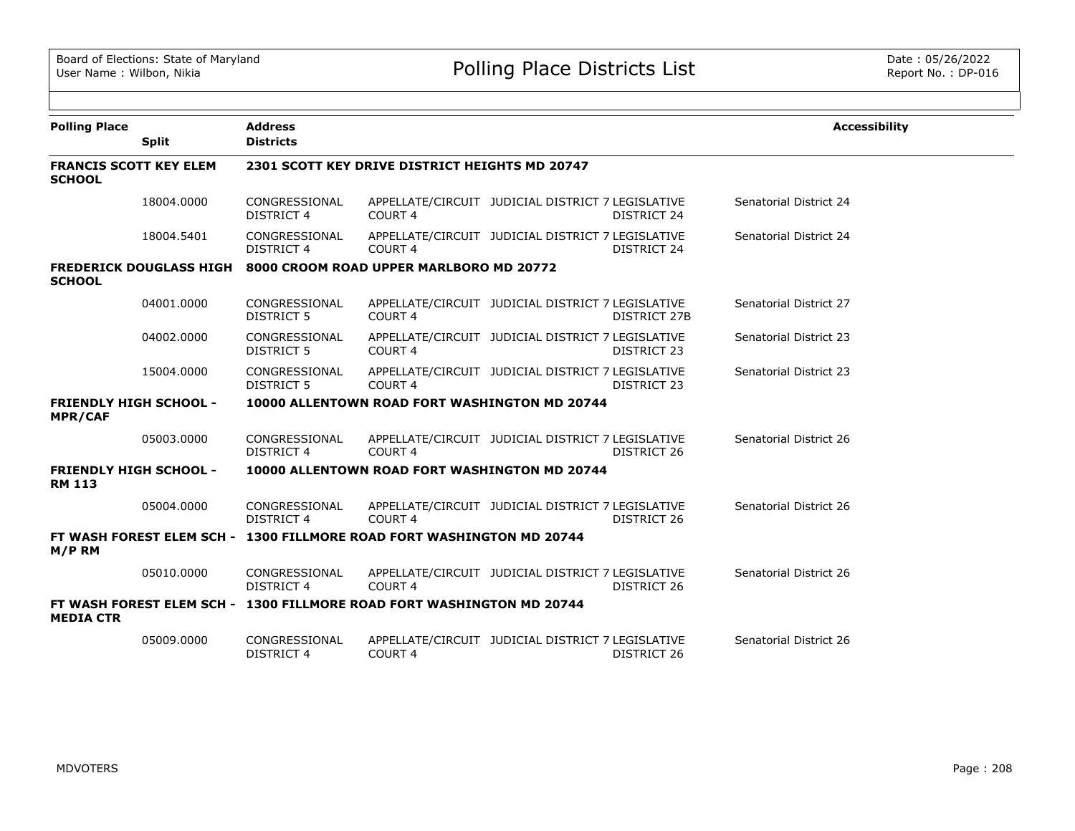| <b>Polling Place</b>                            |              | <b>Address</b>                                                        |                    |                                                   |                     | <b>Accessibility</b>   |  |  |
|-------------------------------------------------|--------------|-----------------------------------------------------------------------|--------------------|---------------------------------------------------|---------------------|------------------------|--|--|
|                                                 | <b>Split</b> | <b>Districts</b>                                                      |                    |                                                   |                     |                        |  |  |
| <b>FRANCIS SCOTT KEY ELEM</b><br><b>SCHOOL</b>  |              | 2301 SCOTT KEY DRIVE DISTRICT HEIGHTS MD 20747                        |                    |                                                   |                     |                        |  |  |
|                                                 | 18004.0000   | CONGRESSIONAL<br><b>DISTRICT 4</b>                                    | COURT <sub>4</sub> | APPELLATE/CIRCUIT JUDICIAL DISTRICT 7 LEGISLATIVE | DISTRICT 24         | Senatorial District 24 |  |  |
|                                                 | 18004.5401   | CONGRESSIONAL<br><b>DISTRICT 4</b>                                    | COURT 4            | APPELLATE/CIRCUIT JUDICIAL DISTRICT 7 LEGISLATIVE | DISTRICT 24         | Senatorial District 24 |  |  |
| <b>SCHOOL</b>                                   |              | FREDERICK DOUGLASS HIGH 8000 CROOM ROAD UPPER MARLBORO MD 20772       |                    |                                                   |                     |                        |  |  |
|                                                 | 04001.0000   | CONGRESSIONAL<br><b>DISTRICT 5</b>                                    | COURT <sub>4</sub> | APPELLATE/CIRCUIT JUDICIAL DISTRICT 7 LEGISLATIVE | <b>DISTRICT 27B</b> | Senatorial District 27 |  |  |
|                                                 | 04002.0000   | CONGRESSIONAL<br><b>DISTRICT 5</b>                                    | COURT <sub>4</sub> | APPELLATE/CIRCUIT JUDICIAL DISTRICT 7 LEGISLATIVE | <b>DISTRICT 23</b>  | Senatorial District 23 |  |  |
|                                                 | 15004.0000   | CONGRESSIONAL<br><b>DISTRICT 5</b>                                    | COURT <sub>4</sub> | APPELLATE/CIRCUIT JUDICIAL DISTRICT 7 LEGISLATIVE | <b>DISTRICT 23</b>  | Senatorial District 23 |  |  |
| <b>FRIENDLY HIGH SCHOOL -</b><br><b>MPR/CAF</b> |              |                                                                       |                    | 10000 ALLENTOWN ROAD FORT WASHINGTON MD 20744     |                     |                        |  |  |
|                                                 | 05003.0000   | CONGRESSIONAL<br><b>DISTRICT 4</b>                                    | COURT <sub>4</sub> | APPELLATE/CIRCUIT JUDICIAL DISTRICT 7 LEGISLATIVE | DISTRICT 26         | Senatorial District 26 |  |  |
| <b>FRIENDLY HIGH SCHOOL -</b><br><b>RM 113</b>  |              |                                                                       |                    | 10000 ALLENTOWN ROAD FORT WASHINGTON MD 20744     |                     |                        |  |  |
|                                                 | 05004.0000   | CONGRESSIONAL<br><b>DISTRICT 4</b>                                    | COURT <sub>4</sub> | APPELLATE/CIRCUIT JUDICIAL DISTRICT 7 LEGISLATIVE | DISTRICT 26         | Senatorial District 26 |  |  |
| M/P RM                                          |              | FT WASH FOREST ELEM SCH - 1300 FILLMORE ROAD FORT WASHINGTON MD 20744 |                    |                                                   |                     |                        |  |  |
|                                                 | 05010.0000   | CONGRESSIONAL<br>DISTRICT 4                                           | COURT <sub>4</sub> | APPELLATE/CIRCUIT JUDICIAL DISTRICT 7 LEGISLATIVE | DISTRICT 26         | Senatorial District 26 |  |  |
| <b>MEDIA CTR</b>                                |              | FT WASH FOREST ELEM SCH - 1300 FILLMORE ROAD FORT WASHINGTON MD 20744 |                    |                                                   |                     |                        |  |  |
|                                                 | 05009.0000   | CONGRESSIONAL<br>DISTRICT 4                                           | COURT <sub>4</sub> | APPELLATE/CIRCUIT JUDICIAL DISTRICT 7 LEGISLATIVE | DISTRICT 26         | Senatorial District 26 |  |  |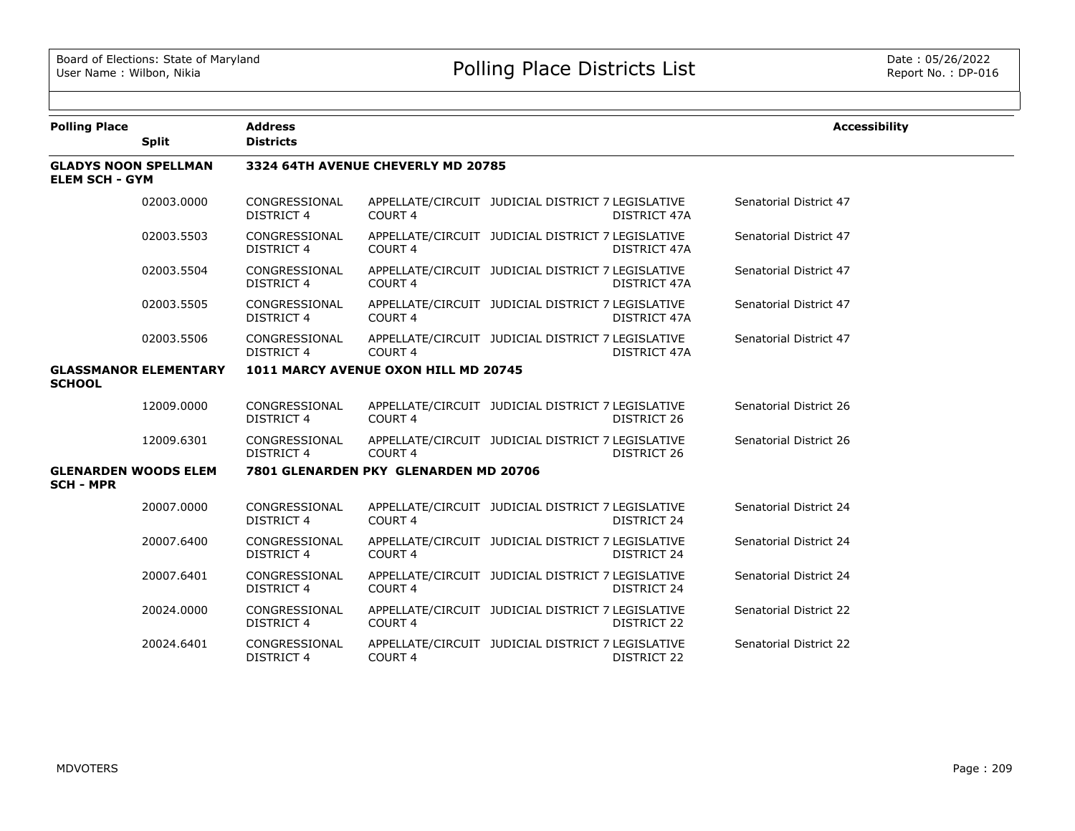| <b>Polling Place</b>                                 | <b>Split</b>                 | <b>Address</b><br><b>Districts</b> |                                       |                                                                   | <b>Accessibility</b>   |
|------------------------------------------------------|------------------------------|------------------------------------|---------------------------------------|-------------------------------------------------------------------|------------------------|
| <b>GLADYS NOON SPELLMAN</b><br><b>ELEM SCH - GYM</b> |                              |                                    | 3324 64TH AVENUE CHEVERLY MD 20785    |                                                                   |                        |
|                                                      | 02003.0000                   | CONGRESSIONAL<br>DISTRICT 4        | COURT <sub>4</sub>                    | APPELLATE/CIRCUIT JUDICIAL DISTRICT 7 LEGISLATIVE<br>DISTRICT 47A | Senatorial District 47 |
|                                                      | 02003.5503                   | CONGRESSIONAL<br><b>DISTRICT 4</b> | <b>COURT 4</b>                        | APPELLATE/CIRCUIT JUDICIAL DISTRICT 7 LEGISLATIVE<br>DISTRICT 47A | Senatorial District 47 |
|                                                      | 02003.5504                   | CONGRESSIONAL<br><b>DISTRICT 4</b> | COURT <sub>4</sub>                    | APPELLATE/CIRCUIT JUDICIAL DISTRICT 7 LEGISLATIVE<br>DISTRICT 47A | Senatorial District 47 |
|                                                      | 02003.5505                   | CONGRESSIONAL<br><b>DISTRICT 4</b> | COURT <sub>4</sub>                    | APPELLATE/CIRCUIT JUDICIAL DISTRICT 7 LEGISLATIVE<br>DISTRICT 47A | Senatorial District 47 |
|                                                      | 02003.5506                   | CONGRESSIONAL<br><b>DISTRICT 4</b> | COURT <sub>4</sub>                    | APPELLATE/CIRCUIT JUDICIAL DISTRICT 7 LEGISLATIVE<br>DISTRICT 47A | Senatorial District 47 |
| <b>SCHOOL</b>                                        | <b>GLASSMANOR ELEMENTARY</b> |                                    | 1011 MARCY AVENUE OXON HILL MD 20745  |                                                                   |                        |
|                                                      | 12009.0000                   | CONGRESSIONAL<br><b>DISTRICT 4</b> | COURT <sub>4</sub>                    | APPELLATE/CIRCUIT JUDICIAL DISTRICT 7 LEGISLATIVE<br>DISTRICT 26  | Senatorial District 26 |
|                                                      | 12009.6301                   | CONGRESSIONAL<br><b>DISTRICT 4</b> | COURT <sub>4</sub>                    | APPELLATE/CIRCUIT JUDICIAL DISTRICT 7 LEGISLATIVE<br>DISTRICT 26  | Senatorial District 26 |
| <b>GLENARDEN WOODS ELEM</b><br><b>SCH - MPR</b>      |                              |                                    | 7801 GLENARDEN PKY GLENARDEN MD 20706 |                                                                   |                        |
|                                                      | 20007.0000                   | CONGRESSIONAL<br><b>DISTRICT 4</b> | COURT <sub>4</sub>                    | APPELLATE/CIRCUIT JUDICIAL DISTRICT 7 LEGISLATIVE<br>DISTRICT 24  | Senatorial District 24 |
|                                                      | 20007.6400                   | CONGRESSIONAL<br><b>DISTRICT 4</b> | COURT <sub>4</sub>                    | APPELLATE/CIRCUIT JUDICIAL DISTRICT 7 LEGISLATIVE<br>DISTRICT 24  | Senatorial District 24 |
|                                                      | 20007.6401                   | CONGRESSIONAL<br><b>DISTRICT 4</b> | COURT <sub>4</sub>                    | APPELLATE/CIRCUIT JUDICIAL DISTRICT 7 LEGISLATIVE<br>DISTRICT 24  | Senatorial District 24 |
|                                                      | 20024.0000                   | CONGRESSIONAL<br><b>DISTRICT 4</b> | COURT 4                               | APPELLATE/CIRCUIT JUDICIAL DISTRICT 7 LEGISLATIVE<br>DISTRICT 22  | Senatorial District 22 |
|                                                      | 20024.6401                   | CONGRESSIONAL<br><b>DISTRICT 4</b> | COURT 4                               | APPELLATE/CIRCUIT JUDICIAL DISTRICT 7 LEGISLATIVE<br>DISTRICT 22  | Senatorial District 22 |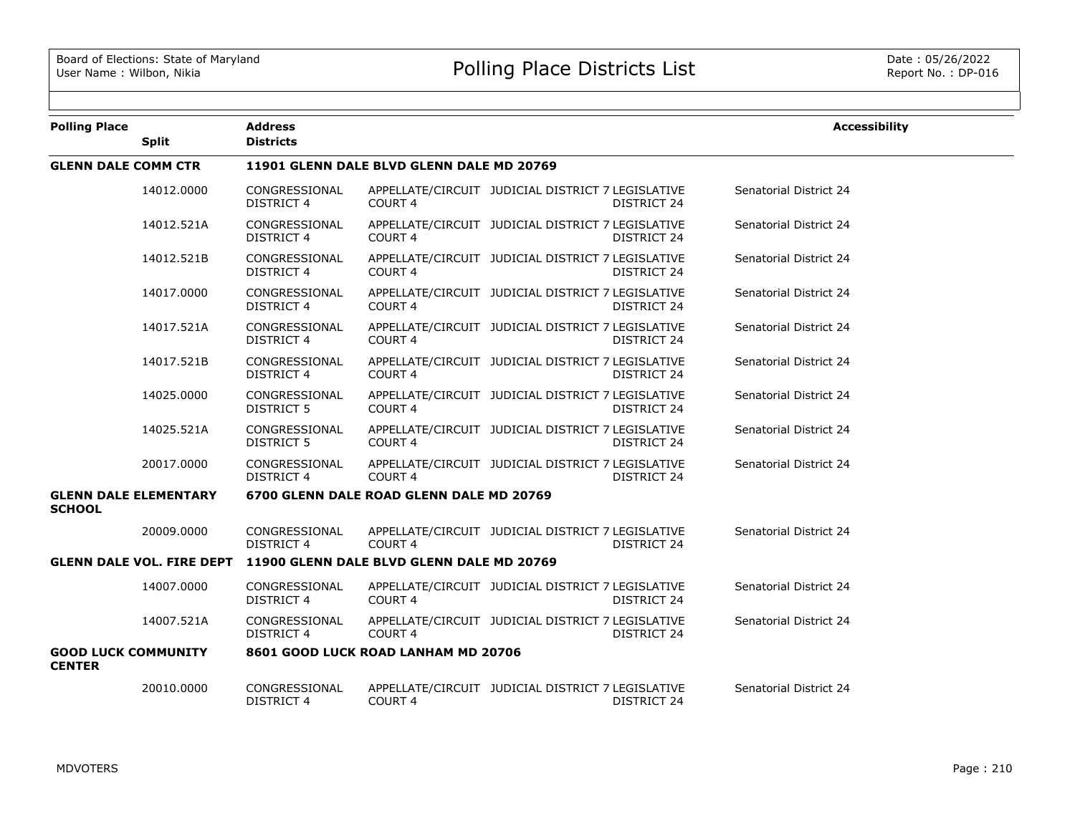| <b>Polling Place</b>                          |                                  | <b>Address</b><br><b>Districts</b>        |                                           |                                                   |                    | <b>Accessibility</b>   |  |  |
|-----------------------------------------------|----------------------------------|-------------------------------------------|-------------------------------------------|---------------------------------------------------|--------------------|------------------------|--|--|
|                                               | <b>Split</b>                     |                                           |                                           |                                                   |                    |                        |  |  |
| <b>GLENN DALE COMM CTR</b>                    |                                  | 11901 GLENN DALE BLVD GLENN DALE MD 20769 |                                           |                                                   |                    |                        |  |  |
|                                               | 14012.0000                       | CONGRESSIONAL<br><b>DISTRICT 4</b>        | COURT <sub>4</sub>                        | APPELLATE/CIRCUIT JUDICIAL DISTRICT 7 LEGISLATIVE | <b>DISTRICT 24</b> | Senatorial District 24 |  |  |
|                                               | 14012.521A                       | CONGRESSIONAL<br>DISTRICT 4               | COURT 4                                   | APPELLATE/CIRCUIT JUDICIAL DISTRICT 7 LEGISLATIVE | DISTRICT 24        | Senatorial District 24 |  |  |
|                                               | 14012.521B                       | CONGRESSIONAL<br><b>DISTRICT 4</b>        | <b>COURT 4</b>                            | APPELLATE/CIRCUIT JUDICIAL DISTRICT 7 LEGISLATIVE | DISTRICT 24        | Senatorial District 24 |  |  |
|                                               | 14017.0000                       | CONGRESSIONAL<br><b>DISTRICT 4</b>        | COURT <sub>4</sub>                        | APPELLATE/CIRCUIT JUDICIAL DISTRICT 7 LEGISLATIVE | DISTRICT 24        | Senatorial District 24 |  |  |
|                                               | 14017.521A                       | CONGRESSIONAL<br><b>DISTRICT 4</b>        | <b>COURT 4</b>                            | APPELLATE/CIRCUIT JUDICIAL DISTRICT 7 LEGISLATIVE | DISTRICT 24        | Senatorial District 24 |  |  |
|                                               | 14017.521B                       | CONGRESSIONAL<br><b>DISTRICT 4</b>        | <b>COURT 4</b>                            | APPELLATE/CIRCUIT JUDICIAL DISTRICT 7 LEGISLATIVE | DISTRICT 24        | Senatorial District 24 |  |  |
|                                               | 14025.0000                       | CONGRESSIONAL<br>DISTRICT 5               | <b>COURT 4</b>                            | APPELLATE/CIRCUIT JUDICIAL DISTRICT 7 LEGISLATIVE | DISTRICT 24        | Senatorial District 24 |  |  |
|                                               | 14025.521A                       | CONGRESSIONAL<br><b>DISTRICT 5</b>        | <b>COURT 4</b>                            | APPELLATE/CIRCUIT JUDICIAL DISTRICT 7 LEGISLATIVE | DISTRICT 24        | Senatorial District 24 |  |  |
|                                               | 20017.0000                       | CONGRESSIONAL<br><b>DISTRICT 4</b>        | COURT 4                                   | APPELLATE/CIRCUIT JUDICIAL DISTRICT 7 LEGISLATIVE | <b>DISTRICT 24</b> | Senatorial District 24 |  |  |
| <b>GLENN DALE ELEMENTARY</b><br><b>SCHOOL</b> |                                  |                                           | 6700 GLENN DALE ROAD GLENN DALE MD 20769  |                                                   |                    |                        |  |  |
|                                               | 20009.0000                       | CONGRESSIONAL<br>DISTRICT 4               | COURT <sub>4</sub>                        | APPELLATE/CIRCUIT JUDICIAL DISTRICT 7 LEGISLATIVE | DISTRICT 24        | Senatorial District 24 |  |  |
|                                               | <b>GLENN DALE VOL. FIRE DEPT</b> |                                           | 11900 GLENN DALE BLVD GLENN DALE MD 20769 |                                                   |                    |                        |  |  |
|                                               | 14007.0000                       | CONGRESSIONAL<br><b>DISTRICT 4</b>        | <b>COURT 4</b>                            | APPELLATE/CIRCUIT JUDICIAL DISTRICT 7 LEGISLATIVE | DISTRICT 24        | Senatorial District 24 |  |  |
|                                               | 14007.521A                       | CONGRESSIONAL<br>DISTRICT 4               | COURT <sub>4</sub>                        | APPELLATE/CIRCUIT JUDICIAL DISTRICT 7 LEGISLATIVE | DISTRICT 24        | Senatorial District 24 |  |  |
| <b>GOOD LUCK COMMUNITY</b><br><b>CENTER</b>   |                                  |                                           | 8601 GOOD LUCK ROAD LANHAM MD 20706       |                                                   |                    |                        |  |  |
|                                               | 20010.0000                       | CONGRESSIONAL<br><b>DISTRICT 4</b>        | COURT 4                                   | APPELLATE/CIRCUIT JUDICIAL DISTRICT 7 LEGISLATIVE | <b>DISTRICT 24</b> | Senatorial District 24 |  |  |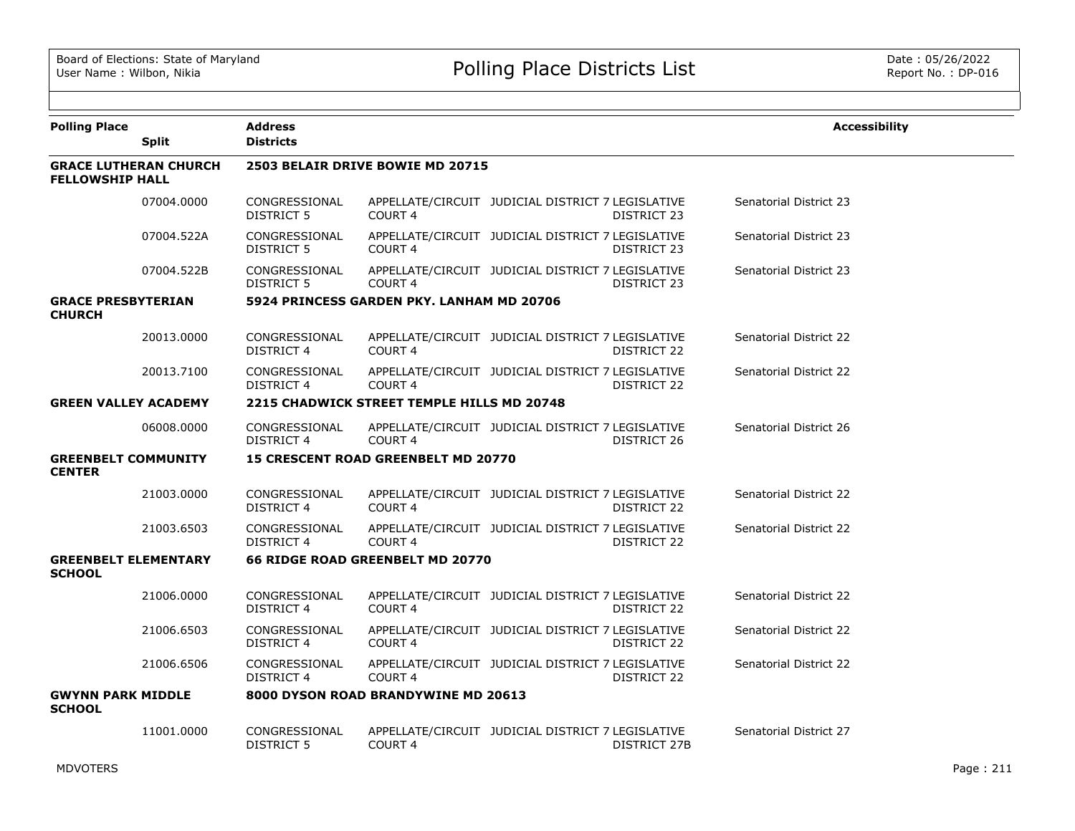| <b>Polling Place</b>                         | <b>Split</b>                 | <b>Address</b><br><b>Districts</b> |                                            |                                                                   | <b>Accessibility</b>   |
|----------------------------------------------|------------------------------|------------------------------------|--------------------------------------------|-------------------------------------------------------------------|------------------------|
| <b>FELLOWSHIP HALL</b>                       | <b>GRACE LUTHERAN CHURCH</b> |                                    | 2503 BELAIR DRIVE BOWIE MD 20715           |                                                                   |                        |
|                                              | 07004.0000                   | CONGRESSIONAL<br>DISTRICT 5        | COURT <sub>4</sub>                         | APPELLATE/CIRCUIT JUDICIAL DISTRICT 7 LEGISLATIVE<br>DISTRICT 23  | Senatorial District 23 |
|                                              | 07004.522A                   | CONGRESSIONAL<br>DISTRICT 5        | COURT 4                                    | APPELLATE/CIRCUIT JUDICIAL DISTRICT 7 LEGISLATIVE<br>DISTRICT 23  | Senatorial District 23 |
|                                              | 07004.522B                   | CONGRESSIONAL<br><b>DISTRICT 5</b> | <b>COURT 4</b>                             | APPELLATE/CIRCUIT JUDICIAL DISTRICT 7 LEGISLATIVE<br>DISTRICT 23  | Senatorial District 23 |
| <b>GRACE PRESBYTERIAN</b><br><b>CHURCH</b>   |                              |                                    | 5924 PRINCESS GARDEN PKY. LANHAM MD 20706  |                                                                   |                        |
|                                              | 20013.0000                   | CONGRESSIONAL<br>DISTRICT 4        | COURT 4                                    | APPELLATE/CIRCUIT JUDICIAL DISTRICT 7 LEGISLATIVE<br>DISTRICT 22  | Senatorial District 22 |
|                                              | 20013.7100                   | CONGRESSIONAL<br>DISTRICT 4        | COURT 4                                    | APPELLATE/CIRCUIT JUDICIAL DISTRICT 7 LEGISLATIVE<br>DISTRICT 22  | Senatorial District 22 |
| <b>GREEN VALLEY ACADEMY</b>                  |                              |                                    | 2215 CHADWICK STREET TEMPLE HILLS MD 20748 |                                                                   |                        |
|                                              | 06008,0000                   | CONGRESSIONAL<br><b>DISTRICT 4</b> | <b>COURT 4</b>                             | APPELLATE/CIRCUIT JUDICIAL DISTRICT 7 LEGISLATIVE<br>DISTRICT 26  | Senatorial District 26 |
| <b>GREENBELT COMMUNITY</b><br><b>CENTER</b>  |                              |                                    | <b>15 CRESCENT ROAD GREENBELT MD 20770</b> |                                                                   |                        |
|                                              | 21003.0000                   | CONGRESSIONAL<br><b>DISTRICT 4</b> | COURT <sub>4</sub>                         | APPELLATE/CIRCUIT JUDICIAL DISTRICT 7 LEGISLATIVE<br>DISTRICT 22  | Senatorial District 22 |
|                                              | 21003.6503                   | CONGRESSIONAL<br><b>DISTRICT 4</b> | COURT <sub>4</sub>                         | APPELLATE/CIRCUIT JUDICIAL DISTRICT 7 LEGISLATIVE<br>DISTRICT 22  | Senatorial District 22 |
| <b>GREENBELT ELEMENTARY</b><br><b>SCHOOL</b> |                              |                                    | 66 RIDGE ROAD GREENBELT MD 20770           |                                                                   |                        |
|                                              | 21006.0000                   | CONGRESSIONAL<br><b>DISTRICT 4</b> | COURT <sub>4</sub>                         | APPELLATE/CIRCUIT JUDICIAL DISTRICT 7 LEGISLATIVE<br>DISTRICT 22  | Senatorial District 22 |
|                                              | 21006.6503                   | CONGRESSIONAL<br>DISTRICT 4        | <b>COURT 4</b>                             | APPELLATE/CIRCUIT JUDICIAL DISTRICT 7 LEGISLATIVE<br>DISTRICT 22  | Senatorial District 22 |
|                                              | 21006.6506                   | CONGRESSIONAL<br><b>DISTRICT 4</b> | COURT 4                                    | APPELLATE/CIRCUIT JUDICIAL DISTRICT 7 LEGISLATIVE<br>DISTRICT 22  | Senatorial District 22 |
| <b>GWYNN PARK MIDDLE</b><br><b>SCHOOL</b>    |                              |                                    | 8000 DYSON ROAD BRANDYWINE MD 20613        |                                                                   |                        |
|                                              | 11001.0000                   | CONGRESSIONAL<br><b>DISTRICT 5</b> | COURT 4                                    | APPELLATE/CIRCUIT JUDICIAL DISTRICT 7 LEGISLATIVE<br>DISTRICT 27B | Senatorial District 27 |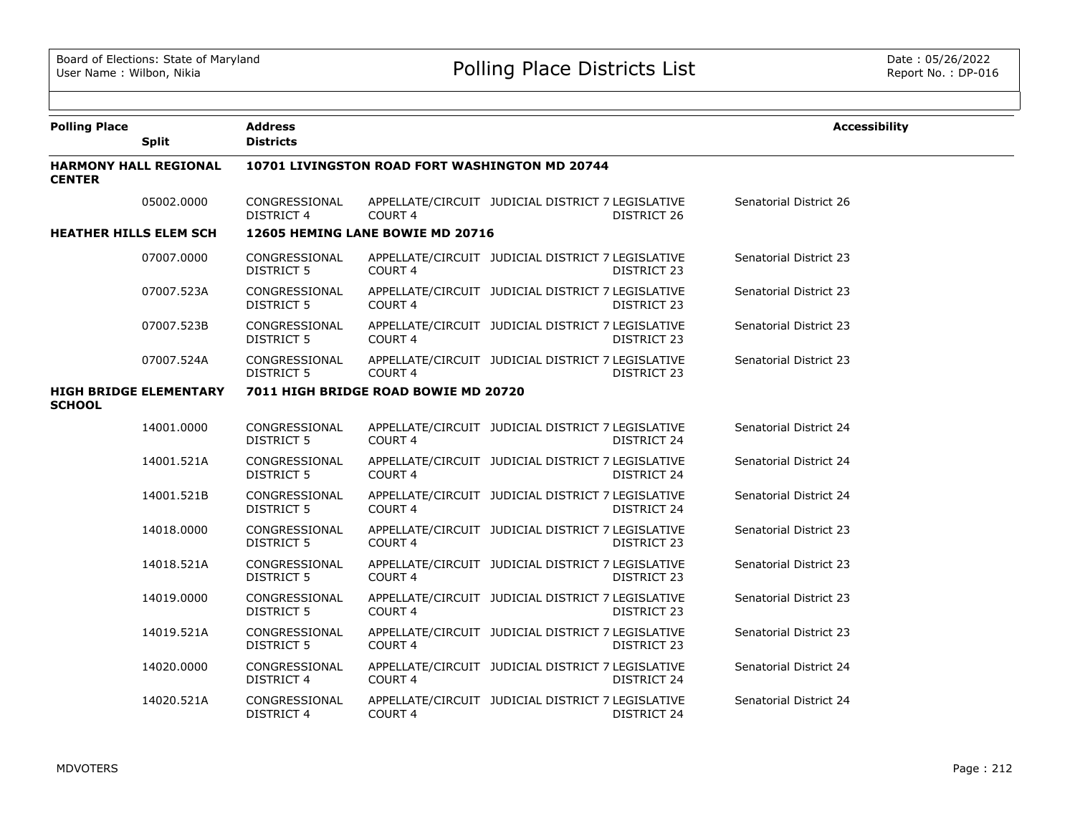| <b>Polling Place</b>                           |                              | <b>Address</b>                     |                                      |                                                   |                    | <b>Accessibility</b>   |  |  |  |  |
|------------------------------------------------|------------------------------|------------------------------------|--------------------------------------|---------------------------------------------------|--------------------|------------------------|--|--|--|--|
|                                                | <b>Split</b>                 | <b>Districts</b>                   |                                      |                                                   |                    |                        |  |  |  |  |
| <b>CENTER</b>                                  | <b>HARMONY HALL REGIONAL</b> |                                    |                                      | 10701 LIVINGSTON ROAD FORT WASHINGTON MD 20744    |                    |                        |  |  |  |  |
|                                                | 05002.0000                   | CONGRESSIONAL<br>DISTRICT 4        | COURT <sub>4</sub>                   | APPELLATE/CIRCUIT JUDICIAL DISTRICT 7 LEGISLATIVE | DISTRICT 26        | Senatorial District 26 |  |  |  |  |
| <b>HEATHER HILLS ELEM SCH</b>                  |                              |                                    | 12605 HEMING LANE BOWIE MD 20716     |                                                   |                    |                        |  |  |  |  |
|                                                | 07007.0000                   | CONGRESSIONAL<br>DISTRICT 5        | COURT 4                              | APPELLATE/CIRCUIT JUDICIAL DISTRICT 7 LEGISLATIVE | DISTRICT 23        | Senatorial District 23 |  |  |  |  |
|                                                | 07007.523A                   | CONGRESSIONAL<br><b>DISTRICT 5</b> | COURT 4                              | APPELLATE/CIRCUIT JUDICIAL DISTRICT 7 LEGISLATIVE | DISTRICT 23        | Senatorial District 23 |  |  |  |  |
|                                                | 07007.523B                   | CONGRESSIONAL<br><b>DISTRICT 5</b> | <b>COURT 4</b>                       | APPELLATE/CIRCUIT JUDICIAL DISTRICT 7 LEGISLATIVE | <b>DISTRICT 23</b> | Senatorial District 23 |  |  |  |  |
|                                                | 07007.524A                   | CONGRESSIONAL<br><b>DISTRICT 5</b> | COURT <sub>4</sub>                   | APPELLATE/CIRCUIT JUDICIAL DISTRICT 7 LEGISLATIVE | DISTRICT 23        | Senatorial District 23 |  |  |  |  |
| <b>HIGH BRIDGE ELEMENTARY</b><br><b>SCHOOL</b> |                              |                                    | 7011 HIGH BRIDGE ROAD BOWIE MD 20720 |                                                   |                    |                        |  |  |  |  |
|                                                | 14001.0000                   | CONGRESSIONAL<br><b>DISTRICT 5</b> | COURT <sub>4</sub>                   | APPELLATE/CIRCUIT JUDICIAL DISTRICT 7 LEGISLATIVE | DISTRICT 24        | Senatorial District 24 |  |  |  |  |
|                                                | 14001.521A                   | CONGRESSIONAL<br>DISTRICT 5        | <b>COURT 4</b>                       | APPELLATE/CIRCUIT JUDICIAL DISTRICT 7 LEGISLATIVE | DISTRICT 24        | Senatorial District 24 |  |  |  |  |
|                                                | 14001.521B                   | CONGRESSIONAL<br><b>DISTRICT 5</b> | COURT <sub>4</sub>                   | APPELLATE/CIRCUIT JUDICIAL DISTRICT 7 LEGISLATIVE | DISTRICT 24        | Senatorial District 24 |  |  |  |  |
|                                                | 14018.0000                   | CONGRESSIONAL<br><b>DISTRICT 5</b> | <b>COURT 4</b>                       | APPELLATE/CIRCUIT JUDICIAL DISTRICT 7 LEGISLATIVE | DISTRICT 23        | Senatorial District 23 |  |  |  |  |
|                                                | 14018.521A                   | CONGRESSIONAL<br>DISTRICT 5        | COURT 4                              | APPELLATE/CIRCUIT JUDICIAL DISTRICT 7 LEGISLATIVE | DISTRICT 23        | Senatorial District 23 |  |  |  |  |
|                                                | 14019.0000                   | CONGRESSIONAL<br><b>DISTRICT 5</b> | <b>COURT 4</b>                       | APPELLATE/CIRCUIT JUDICIAL DISTRICT 7 LEGISLATIVE | DISTRICT 23        | Senatorial District 23 |  |  |  |  |
|                                                | 14019.521A                   | CONGRESSIONAL<br><b>DISTRICT 5</b> | COURT 4                              | APPELLATE/CIRCUIT JUDICIAL DISTRICT 7 LEGISLATIVE | DISTRICT 23        | Senatorial District 23 |  |  |  |  |
|                                                | 14020.0000                   | CONGRESSIONAL<br><b>DISTRICT 4</b> | COURT <sub>4</sub>                   | APPELLATE/CIRCUIT JUDICIAL DISTRICT 7 LEGISLATIVE | <b>DISTRICT 24</b> | Senatorial District 24 |  |  |  |  |
|                                                | 14020.521A                   | CONGRESSIONAL<br><b>DISTRICT 4</b> | COURT 4                              | APPELLATE/CIRCUIT JUDICIAL DISTRICT 7 LEGISLATIVE | DISTRICT 24        | Senatorial District 24 |  |  |  |  |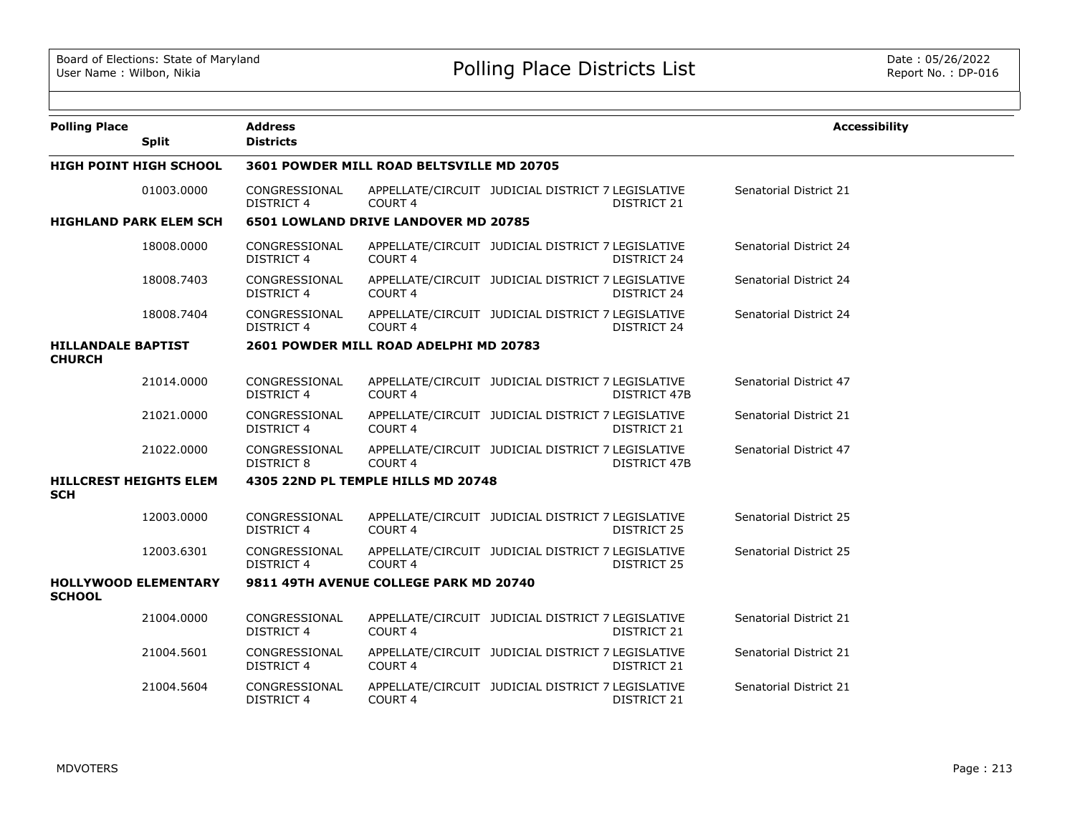| <b>Polling Place</b>                       | <b>Split</b>                  | <b>Address</b><br><b>Districts</b> |                                             |                                                   |                     | <b>Accessibility</b>          |
|--------------------------------------------|-------------------------------|------------------------------------|---------------------------------------------|---------------------------------------------------|---------------------|-------------------------------|
|                                            | <b>HIGH POINT HIGH SCHOOL</b> |                                    | 3601 POWDER MILL ROAD BELTSVILLE MD 20705   |                                                   |                     |                               |
|                                            |                               |                                    |                                             |                                                   |                     |                               |
|                                            | 01003.0000                    | CONGRESSIONAL<br><b>DISTRICT 4</b> | COURT <sub>4</sub>                          | APPELLATE/CIRCUIT JUDICIAL DISTRICT 7 LEGISLATIVE | DISTRICT 21         | Senatorial District 21        |
|                                            | <b>HIGHLAND PARK ELEM SCH</b> |                                    | <b>6501 LOWLAND DRIVE LANDOVER MD 20785</b> |                                                   |                     |                               |
|                                            | 18008,0000                    | CONGRESSIONAL<br><b>DISTRICT 4</b> | COURT 4                                     | APPELLATE/CIRCUIT JUDICIAL DISTRICT 7 LEGISLATIVE | DISTRICT 24         | Senatorial District 24        |
|                                            | 18008.7403                    | CONGRESSIONAL<br><b>DISTRICT 4</b> | COURT <sub>4</sub>                          | APPELLATE/CIRCUIT JUDICIAL DISTRICT 7 LEGISLATIVE | <b>DISTRICT 24</b>  | Senatorial District 24        |
|                                            | 18008.7404                    | CONGRESSIONAL<br><b>DISTRICT 4</b> | <b>COURT 4</b>                              | APPELLATE/CIRCUIT JUDICIAL DISTRICT 7 LEGISLATIVE | DISTRICT 24         | Senatorial District 24        |
| <b>HILLANDALE BAPTIST</b><br><b>CHURCH</b> |                               |                                    | 2601 POWDER MILL ROAD ADELPHI MD 20783      |                                                   |                     |                               |
|                                            | 21014.0000                    | CONGRESSIONAL<br><b>DISTRICT 4</b> | COURT <sub>4</sub>                          | APPELLATE/CIRCUIT JUDICIAL DISTRICT 7 LEGISLATIVE | <b>DISTRICT 47B</b> | Senatorial District 47        |
|                                            | 21021.0000                    | CONGRESSIONAL<br><b>DISTRICT 4</b> | COURT 4                                     | APPELLATE/CIRCUIT JUDICIAL DISTRICT 7 LEGISLATIVE | DISTRICT 21         | Senatorial District 21        |
|                                            | 21022.0000                    | CONGRESSIONAL<br><b>DISTRICT 8</b> | COURT <sub>4</sub>                          | APPELLATE/CIRCUIT JUDICIAL DISTRICT 7 LEGISLATIVE | DISTRICT 47B        | Senatorial District 47        |
| <b>SCH</b>                                 | <b>HILLCREST HEIGHTS ELEM</b> |                                    | 4305 22ND PL TEMPLE HILLS MD 20748          |                                                   |                     |                               |
|                                            | 12003.0000                    | CONGRESSIONAL<br><b>DISTRICT 4</b> | COURT <sub>4</sub>                          | APPELLATE/CIRCUIT JUDICIAL DISTRICT 7 LEGISLATIVE | DISTRICT 25         | <b>Senatorial District 25</b> |
|                                            | 12003.6301                    | CONGRESSIONAL<br><b>DISTRICT 4</b> | <b>COURT 4</b>                              | APPELLATE/CIRCUIT JUDICIAL DISTRICT 7 LEGISLATIVE | DISTRICT 25         | Senatorial District 25        |
| <b>SCHOOL</b>                              | <b>HOLLYWOOD ELEMENTARY</b>   |                                    | 9811 49TH AVENUE COLLEGE PARK MD 20740      |                                                   |                     |                               |
|                                            | 21004.0000                    | CONGRESSIONAL<br><b>DISTRICT 4</b> | COURT <sub>4</sub>                          | APPELLATE/CIRCUIT JUDICIAL DISTRICT 7 LEGISLATIVE | DISTRICT 21         | Senatorial District 21        |
|                                            | 21004.5601                    | CONGRESSIONAL<br><b>DISTRICT 4</b> | COURT <sub>4</sub>                          | APPELLATE/CIRCUIT JUDICIAL DISTRICT 7 LEGISLATIVE | DISTRICT 21         | Senatorial District 21        |
|                                            | 21004.5604                    | CONGRESSIONAL<br><b>DISTRICT 4</b> | COURT 4                                     | APPELLATE/CIRCUIT JUDICIAL DISTRICT 7 LEGISLATIVE | DISTRICT 21         | Senatorial District 21        |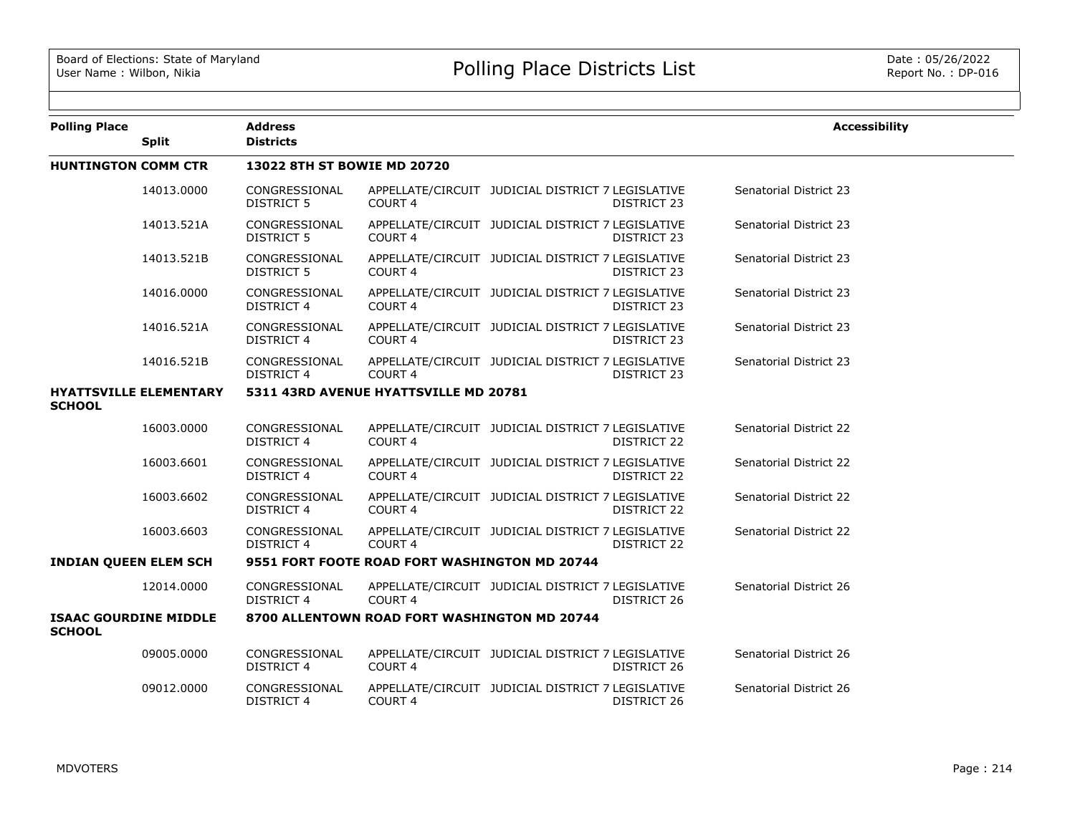| <b>Polling Place</b>                          |                               | <b>Address</b>                     |                                               |                                                   |                    | <b>Accessibility</b>   |
|-----------------------------------------------|-------------------------------|------------------------------------|-----------------------------------------------|---------------------------------------------------|--------------------|------------------------|
|                                               | <b>Split</b>                  | <b>Districts</b>                   |                                               |                                                   |                    |                        |
| <b>HUNTINGTON COMM CTR</b>                    |                               | 13022 8TH ST BOWIE MD 20720        |                                               |                                                   |                    |                        |
|                                               | 14013.0000                    | CONGRESSIONAL<br>DISTRICT 5        | COURT <sub>4</sub>                            | APPELLATE/CIRCUIT JUDICIAL DISTRICT 7 LEGISLATIVE | <b>DISTRICT 23</b> | Senatorial District 23 |
|                                               | 14013.521A                    | CONGRESSIONAL<br>DISTRICT 5        | <b>COURT 4</b>                                | APPELLATE/CIRCUIT JUDICIAL DISTRICT 7 LEGISLATIVE | <b>DISTRICT 23</b> | Senatorial District 23 |
|                                               | 14013.521B                    | CONGRESSIONAL<br><b>DISTRICT 5</b> | COURT 4                                       | APPELLATE/CIRCUIT JUDICIAL DISTRICT 7 LEGISLATIVE | DISTRICT 23        | Senatorial District 23 |
|                                               | 14016.0000                    | CONGRESSIONAL<br><b>DISTRICT 4</b> | COURT 4                                       | APPELLATE/CIRCUIT JUDICIAL DISTRICT 7 LEGISLATIVE | <b>DISTRICT 23</b> | Senatorial District 23 |
|                                               | 14016.521A                    | CONGRESSIONAL<br><b>DISTRICT 4</b> | COURT <sub>4</sub>                            | APPELLATE/CIRCUIT JUDICIAL DISTRICT 7 LEGISLATIVE | <b>DISTRICT 23</b> | Senatorial District 23 |
|                                               | 14016.521B                    | CONGRESSIONAL<br><b>DISTRICT 4</b> | COURT <sub>4</sub>                            | APPELLATE/CIRCUIT JUDICIAL DISTRICT 7 LEGISLATIVE | <b>DISTRICT 23</b> | Senatorial District 23 |
| <b>SCHOOL</b>                                 | <b>HYATTSVILLE ELEMENTARY</b> |                                    | 5311 43RD AVENUE HYATTSVILLE MD 20781         |                                                   |                    |                        |
|                                               | 16003.0000                    | CONGRESSIONAL<br><b>DISTRICT 4</b> | <b>COURT 4</b>                                | APPELLATE/CIRCUIT JUDICIAL DISTRICT 7 LEGISLATIVE | DISTRICT 22        | Senatorial District 22 |
|                                               | 16003.6601                    | CONGRESSIONAL<br><b>DISTRICT 4</b> | COURT <sub>4</sub>                            | APPELLATE/CIRCUIT JUDICIAL DISTRICT 7 LEGISLATIVE | DISTRICT 22        | Senatorial District 22 |
|                                               | 16003.6602                    | CONGRESSIONAL<br><b>DISTRICT 4</b> | COURT 4                                       | APPELLATE/CIRCUIT JUDICIAL DISTRICT 7 LEGISLATIVE | DISTRICT 22        | Senatorial District 22 |
|                                               | 16003.6603                    | CONGRESSIONAL<br><b>DISTRICT 4</b> | COURT <sub>4</sub>                            | APPELLATE/CIRCUIT JUDICIAL DISTRICT 7 LEGISLATIVE | DISTRICT 22        | Senatorial District 22 |
| <b>INDIAN QUEEN ELEM SCH</b>                  |                               |                                    | 9551 FORT FOOTE ROAD FORT WASHINGTON MD 20744 |                                                   |                    |                        |
|                                               | 12014.0000                    | CONGRESSIONAL<br><b>DISTRICT 4</b> | COURT <sub>4</sub>                            | APPELLATE/CIRCUIT JUDICIAL DISTRICT 7 LEGISLATIVE | DISTRICT 26        | Senatorial District 26 |
| <b>ISAAC GOURDINE MIDDLE</b><br><b>SCHOOL</b> |                               |                                    | 8700 ALLENTOWN ROAD FORT WASHINGTON MD 20744  |                                                   |                    |                        |
|                                               | 09005.0000                    | CONGRESSIONAL<br><b>DISTRICT 4</b> | COURT <sub>4</sub>                            | APPELLATE/CIRCUIT JUDICIAL DISTRICT 7 LEGISLATIVE | DISTRICT 26        | Senatorial District 26 |
|                                               | 09012.0000                    | CONGRESSIONAL<br><b>DISTRICT 4</b> | COURT 4                                       | APPELLATE/CIRCUIT JUDICIAL DISTRICT 7 LEGISLATIVE | DISTRICT 26        | Senatorial District 26 |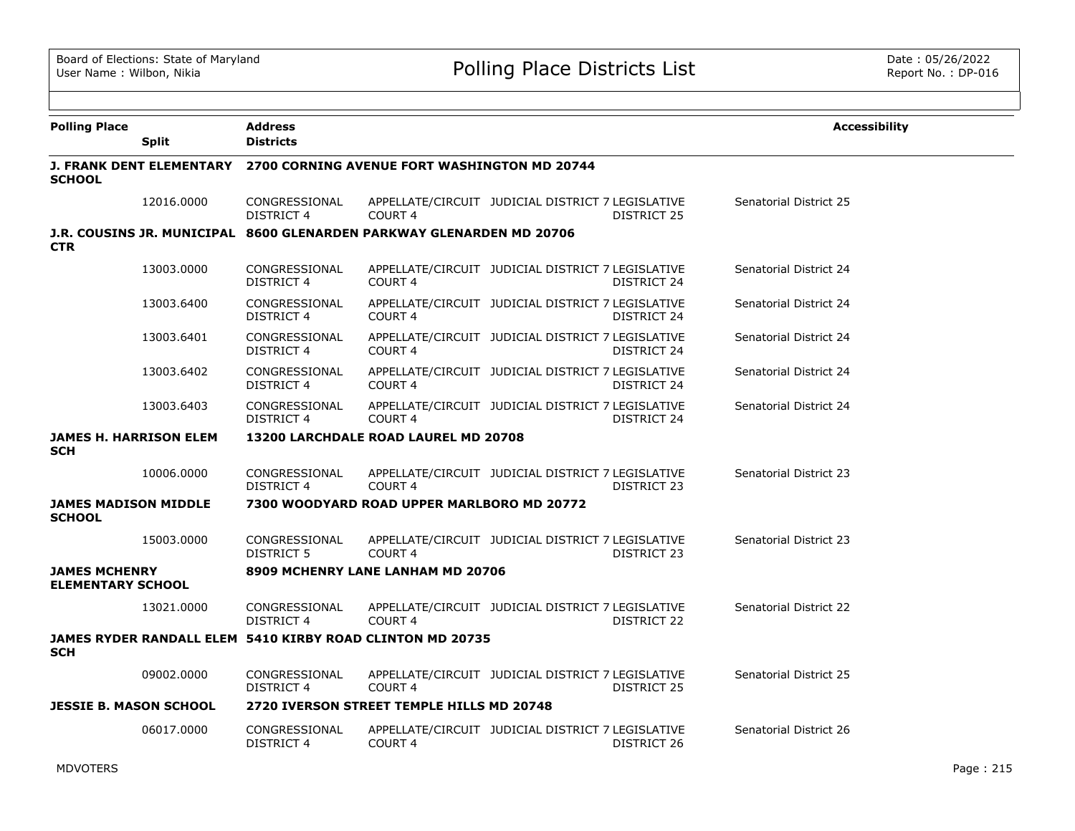| <b>Polling Place</b>                             | <b>Split</b> | <b>Address</b><br><b>Districts</b>                                           |                                                                             |                                                   |             | <b>Accessibility</b>   |  |  |
|--------------------------------------------------|--------------|------------------------------------------------------------------------------|-----------------------------------------------------------------------------|---------------------------------------------------|-------------|------------------------|--|--|
| <b>SCHOOL</b>                                    |              | <b>J. FRANK DENT ELEMENTARY 2700 CORNING AVENUE FORT WASHINGTON MD 20744</b> |                                                                             |                                                   |             |                        |  |  |
|                                                  | 12016.0000   | CONGRESSIONAL<br>DISTRICT 4                                                  | COURT <sub>4</sub>                                                          | APPELLATE/CIRCUIT JUDICIAL DISTRICT 7 LEGISLATIVE | DISTRICT 25 | Senatorial District 25 |  |  |
| <b>CTR</b>                                       |              |                                                                              | <b>J.R. COUSINS JR. MUNICIPAL 8600 GLENARDEN PARKWAY GLENARDEN MD 20706</b> |                                                   |             |                        |  |  |
|                                                  | 13003.0000   | CONGRESSIONAL<br><b>DISTRICT 4</b>                                           | COURT <sub>4</sub>                                                          | APPELLATE/CIRCUIT JUDICIAL DISTRICT 7 LEGISLATIVE | DISTRICT 24 | Senatorial District 24 |  |  |
|                                                  | 13003.6400   | CONGRESSIONAL<br><b>DISTRICT 4</b>                                           | COURT <sub>4</sub>                                                          | APPELLATE/CIRCUIT JUDICIAL DISTRICT 7 LEGISLATIVE | DISTRICT 24 | Senatorial District 24 |  |  |
|                                                  | 13003.6401   | CONGRESSIONAL<br><b>DISTRICT 4</b>                                           | COURT <sub>4</sub>                                                          | APPELLATE/CIRCUIT JUDICIAL DISTRICT 7 LEGISLATIVE | DISTRICT 24 | Senatorial District 24 |  |  |
|                                                  | 13003.6402   | CONGRESSIONAL<br><b>DISTRICT 4</b>                                           | COURT <sub>4</sub>                                                          | APPELLATE/CIRCUIT JUDICIAL DISTRICT 7 LEGISLATIVE | DISTRICT 24 | Senatorial District 24 |  |  |
|                                                  | 13003.6403   | CONGRESSIONAL<br>DISTRICT 4                                                  | COURT <sub>4</sub>                                                          | APPELLATE/CIRCUIT JUDICIAL DISTRICT 7 LEGISLATIVE | DISTRICT 24 | Senatorial District 24 |  |  |
| <b>JAMES H. HARRISON ELEM</b><br><b>SCH</b>      |              |                                                                              | 13200 LARCHDALE ROAD LAUREL MD 20708                                        |                                                   |             |                        |  |  |
|                                                  | 10006.0000   | CONGRESSIONAL<br><b>DISTRICT 4</b>                                           | COURT <sub>4</sub>                                                          | APPELLATE/CIRCUIT JUDICIAL DISTRICT 7 LEGISLATIVE | DISTRICT 23 | Senatorial District 23 |  |  |
| <b>JAMES MADISON MIDDLE</b><br><b>SCHOOL</b>     |              |                                                                              | 7300 WOODYARD ROAD UPPER MARLBORO MD 20772                                  |                                                   |             |                        |  |  |
|                                                  | 15003.0000   | CONGRESSIONAL<br><b>DISTRICT 5</b>                                           | COURT <sub>4</sub>                                                          | APPELLATE/CIRCUIT JUDICIAL DISTRICT 7 LEGISLATIVE | DISTRICT 23 | Senatorial District 23 |  |  |
| <b>JAMES MCHENRY</b><br><b>ELEMENTARY SCHOOL</b> |              |                                                                              | 8909 MCHENRY LANE LANHAM MD 20706                                           |                                                   |             |                        |  |  |
|                                                  | 13021.0000   | CONGRESSIONAL<br><b>DISTRICT 4</b>                                           | COURT <sub>4</sub>                                                          | APPELLATE/CIRCUIT JUDICIAL DISTRICT 7 LEGISLATIVE | DISTRICT 22 | Senatorial District 22 |  |  |
| <b>SCH</b>                                       |              |                                                                              | JAMES RYDER RANDALL ELEM 5410 KIRBY ROAD CLINTON MD 20735                   |                                                   |             |                        |  |  |
|                                                  | 09002.0000   | CONGRESSIONAL<br><b>DISTRICT 4</b>                                           | COURT <sub>4</sub>                                                          | APPELLATE/CIRCUIT JUDICIAL DISTRICT 7 LEGISLATIVE | DISTRICT 25 | Senatorial District 25 |  |  |
| <b>JESSIE B. MASON SCHOOL</b>                    |              |                                                                              | 2720 IVERSON STREET TEMPLE HILLS MD 20748                                   |                                                   |             |                        |  |  |
|                                                  | 06017.0000   | CONGRESSIONAL<br>DISTRICT 4                                                  | COURT <sub>4</sub>                                                          | APPELLATE/CIRCUIT JUDICIAL DISTRICT 7 LEGISLATIVE | DISTRICT 26 | Senatorial District 26 |  |  |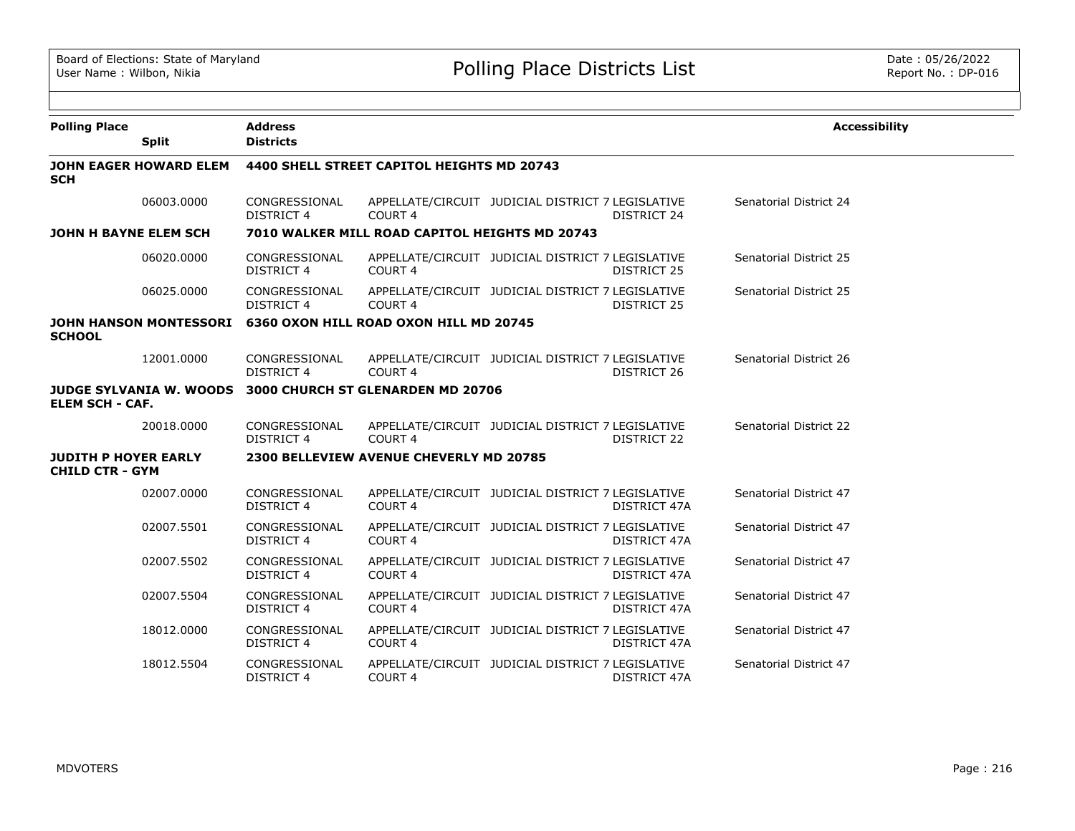| <b>Polling Place</b>                                  | <b>Split</b>                   | <b>Address</b><br><b>Districts</b>         |                                                               |                                                   |              | <b>Accessibility</b>   |  |  |
|-------------------------------------------------------|--------------------------------|--------------------------------------------|---------------------------------------------------------------|---------------------------------------------------|--------------|------------------------|--|--|
| <b>SCH</b>                                            | <b>JOHN EAGER HOWARD ELEM</b>  | 4400 SHELL STREET CAPITOL HEIGHTS MD 20743 |                                                               |                                                   |              |                        |  |  |
|                                                       | 06003.0000                     | CONGRESSIONAL<br><b>DISTRICT 4</b>         | COURT <sub>4</sub>                                            | APPELLATE/CIRCUIT JUDICIAL DISTRICT 7 LEGISLATIVE | DISTRICT 24  | Senatorial District 24 |  |  |
| JOHN H BAYNE ELEM SCH                                 |                                |                                            | 7010 WALKER MILL ROAD CAPITOL HEIGHTS MD 20743                |                                                   |              |                        |  |  |
|                                                       | 06020,0000                     | CONGRESSIONAL<br><b>DISTRICT 4</b>         | COURT <sub>4</sub>                                            | APPELLATE/CIRCUIT JUDICIAL DISTRICT 7 LEGISLATIVE | DISTRICT 25  | Senatorial District 25 |  |  |
|                                                       | 06025.0000                     | CONGRESSIONAL<br><b>DISTRICT 4</b>         | COURT <sub>4</sub>                                            | APPELLATE/CIRCUIT JUDICIAL DISTRICT 7 LEGISLATIVE | DISTRICT 25  | Senatorial District 25 |  |  |
| <b>SCHOOL</b>                                         |                                |                                            | JOHN HANSON MONTESSORI 6360 OXON HILL ROAD OXON HILL MD 20745 |                                                   |              |                        |  |  |
|                                                       | 12001.0000                     | CONGRESSIONAL<br><b>DISTRICT 4</b>         | COURT <sub>4</sub>                                            | APPELLATE/CIRCUIT JUDICIAL DISTRICT 7 LEGISLATIVE | DISTRICT 26  | Senatorial District 26 |  |  |
| <b>ELEM SCH - CAF.</b>                                | <b>JUDGE SYLVANIA W. WOODS</b> |                                            | 3000 CHURCH ST GLENARDEN MD 20706                             |                                                   |              |                        |  |  |
|                                                       | 20018.0000                     | CONGRESSIONAL<br><b>DISTRICT 4</b>         | COURT <sub>4</sub>                                            | APPELLATE/CIRCUIT JUDICIAL DISTRICT 7 LEGISLATIVE | DISTRICT 22  | Senatorial District 22 |  |  |
| <b>JUDITH P HOYER EARLY</b><br><b>CHILD CTR - GYM</b> |                                |                                            | 2300 BELLEVIEW AVENUE CHEVERLY MD 20785                       |                                                   |              |                        |  |  |
|                                                       | 02007.0000                     | CONGRESSIONAL<br><b>DISTRICT 4</b>         | COURT <sub>4</sub>                                            | APPELLATE/CIRCUIT JUDICIAL DISTRICT 7 LEGISLATIVE | DISTRICT 47A | Senatorial District 47 |  |  |
|                                                       | 02007.5501                     | CONGRESSIONAL<br><b>DISTRICT 4</b>         | COURT <sub>4</sub>                                            | APPELLATE/CIRCUIT JUDICIAL DISTRICT 7 LEGISLATIVE | DISTRICT 47A | Senatorial District 47 |  |  |
|                                                       | 02007.5502                     | CONGRESSIONAL<br><b>DISTRICT 4</b>         | COURT <sub>4</sub>                                            | APPELLATE/CIRCUIT JUDICIAL DISTRICT 7 LEGISLATIVE | DISTRICT 47A | Senatorial District 47 |  |  |
|                                                       | 02007.5504                     | CONGRESSIONAL<br><b>DISTRICT 4</b>         | COURT <sub>4</sub>                                            | APPELLATE/CIRCUIT JUDICIAL DISTRICT 7 LEGISLATIVE | DISTRICT 47A | Senatorial District 47 |  |  |
|                                                       | 18012.0000                     | CONGRESSIONAL<br><b>DISTRICT 4</b>         | COURT <sub>4</sub>                                            | APPELLATE/CIRCUIT JUDICIAL DISTRICT 7 LEGISLATIVE | DISTRICT 47A | Senatorial District 47 |  |  |
|                                                       | 18012.5504                     | CONGRESSIONAL<br><b>DISTRICT 4</b>         | COURT <sub>4</sub>                                            | APPELLATE/CIRCUIT JUDICIAL DISTRICT 7 LEGISLATIVE | DISTRICT 47A | Senatorial District 47 |  |  |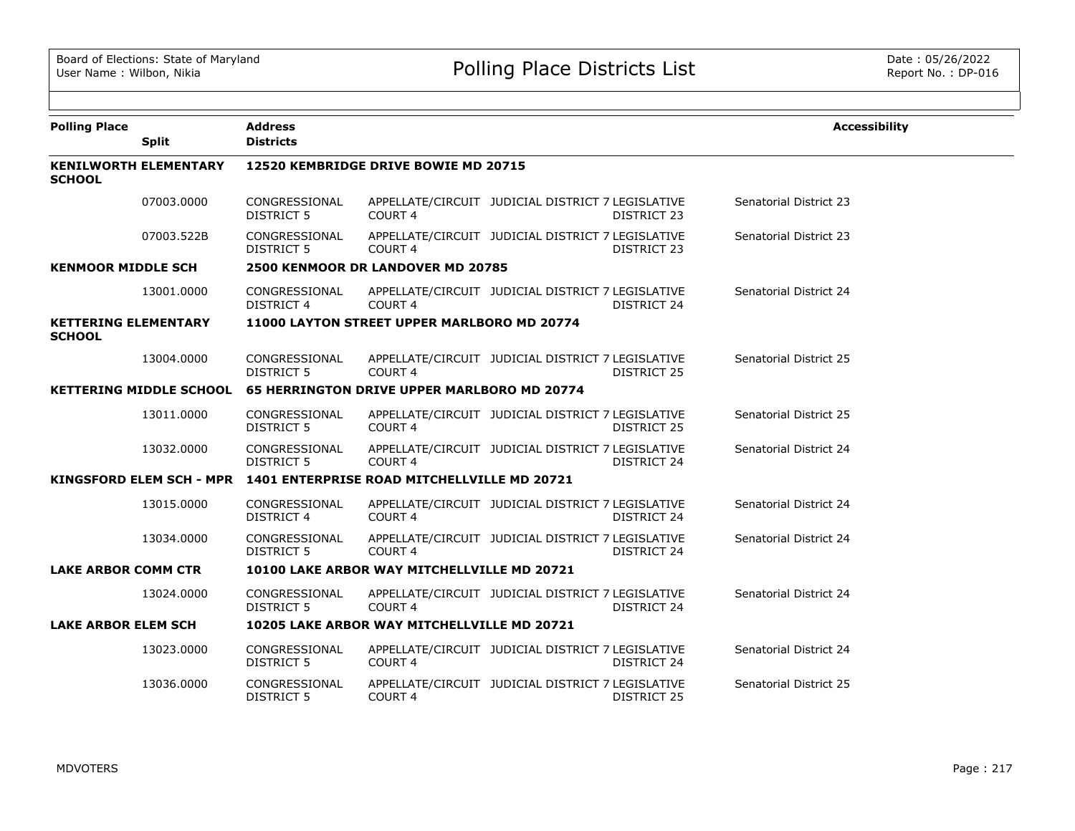| <b>Polling Place</b>                          | <b>Split</b>                    | <b>Address</b><br><b>Districts</b>   |                                                    |                                                   |                    | <b>Accessibility</b>          |  |  |
|-----------------------------------------------|---------------------------------|--------------------------------------|----------------------------------------------------|---------------------------------------------------|--------------------|-------------------------------|--|--|
| <b>KENILWORTH ELEMENTARY</b><br><b>SCHOOL</b> |                                 | 12520 KEMBRIDGE DRIVE BOWIE MD 20715 |                                                    |                                                   |                    |                               |  |  |
|                                               | 07003.0000                      | CONGRESSIONAL<br>DISTRICT 5          | COURT <sub>4</sub>                                 | APPELLATE/CIRCUIT JUDICIAL DISTRICT 7 LEGISLATIVE | DISTRICT 23        | Senatorial District 23        |  |  |
|                                               | 07003.522B                      | CONGRESSIONAL<br><b>DISTRICT 5</b>   | COURT <sub>4</sub>                                 | APPELLATE/CIRCUIT JUDICIAL DISTRICT 7 LEGISLATIVE | DISTRICT 23        | <b>Senatorial District 23</b> |  |  |
| <b>KENMOOR MIDDLE SCH</b>                     |                                 |                                      | 2500 KENMOOR DR LANDOVER MD 20785                  |                                                   |                    |                               |  |  |
|                                               | 13001.0000                      | CONGRESSIONAL<br><b>DISTRICT 4</b>   | COURT <sub>4</sub>                                 | APPELLATE/CIRCUIT JUDICIAL DISTRICT 7 LEGISLATIVE | DISTRICT 24        | Senatorial District 24        |  |  |
| <b>KETTERING ELEMENTARY</b><br><b>SCHOOL</b>  |                                 |                                      | 11000 LAYTON STREET UPPER MARLBORO MD 20774        |                                                   |                    |                               |  |  |
|                                               | 13004.0000                      | CONGRESSIONAL<br>DISTRICT 5          | COURT <sub>4</sub>                                 | APPELLATE/CIRCUIT JUDICIAL DISTRICT 7 LEGISLATIVE | DISTRICT 25        | <b>Senatorial District 25</b> |  |  |
|                                               | <b>KETTERING MIDDLE SCHOOL</b>  |                                      | <b>65 HERRINGTON DRIVE UPPER MARLBORO MD 20774</b> |                                                   |                    |                               |  |  |
|                                               | 13011.0000                      | CONGRESSIONAL<br>DISTRICT 5          | COURT 4                                            | APPELLATE/CIRCUIT JUDICIAL DISTRICT 7 LEGISLATIVE | DISTRICT 25        | Senatorial District 25        |  |  |
|                                               | 13032.0000                      | CONGRESSIONAL<br>DISTRICT 5          | COURT <sub>4</sub>                                 | APPELLATE/CIRCUIT JUDICIAL DISTRICT 7 LEGISLATIVE | DISTRICT 24        | Senatorial District 24        |  |  |
|                                               | <b>KINGSFORD ELEM SCH - MPR</b> |                                      | 1401 ENTERPRISE ROAD MITCHELLVILLE MD 20721        |                                                   |                    |                               |  |  |
|                                               | 13015.0000                      | CONGRESSIONAL<br><b>DISTRICT 4</b>   | COURT <sub>4</sub>                                 | APPELLATE/CIRCUIT JUDICIAL DISTRICT 7 LEGISLATIVE | DISTRICT 24        | Senatorial District 24        |  |  |
|                                               | 13034.0000                      | CONGRESSIONAL<br><b>DISTRICT 5</b>   | <b>COURT 4</b>                                     | APPELLATE/CIRCUIT JUDICIAL DISTRICT 7 LEGISLATIVE | <b>DISTRICT 24</b> | Senatorial District 24        |  |  |
| <b>LAKE ARBOR COMM CTR</b>                    |                                 |                                      | 10100 LAKE ARBOR WAY MITCHELLVILLE MD 20721        |                                                   |                    |                               |  |  |
|                                               | 13024.0000                      | CONGRESSIONAL<br><b>DISTRICT 5</b>   | COURT <sub>4</sub>                                 | APPELLATE/CIRCUIT JUDICIAL DISTRICT 7 LEGISLATIVE | <b>DISTRICT 24</b> | Senatorial District 24        |  |  |
| <b>LAKE ARBOR ELEM SCH</b>                    |                                 |                                      | 10205 LAKE ARBOR WAY MITCHELLVILLE MD 20721        |                                                   |                    |                               |  |  |
|                                               | 13023.0000                      | CONGRESSIONAL<br><b>DISTRICT 5</b>   | COURT 4                                            | APPELLATE/CIRCUIT JUDICIAL DISTRICT 7 LEGISLATIVE | DISTRICT 24        | Senatorial District 24        |  |  |
|                                               | 13036.0000                      | CONGRESSIONAL<br><b>DISTRICT 5</b>   | COURT 4                                            | APPELLATE/CIRCUIT JUDICIAL DISTRICT 7 LEGISLATIVE | <b>DISTRICT 25</b> | Senatorial District 25        |  |  |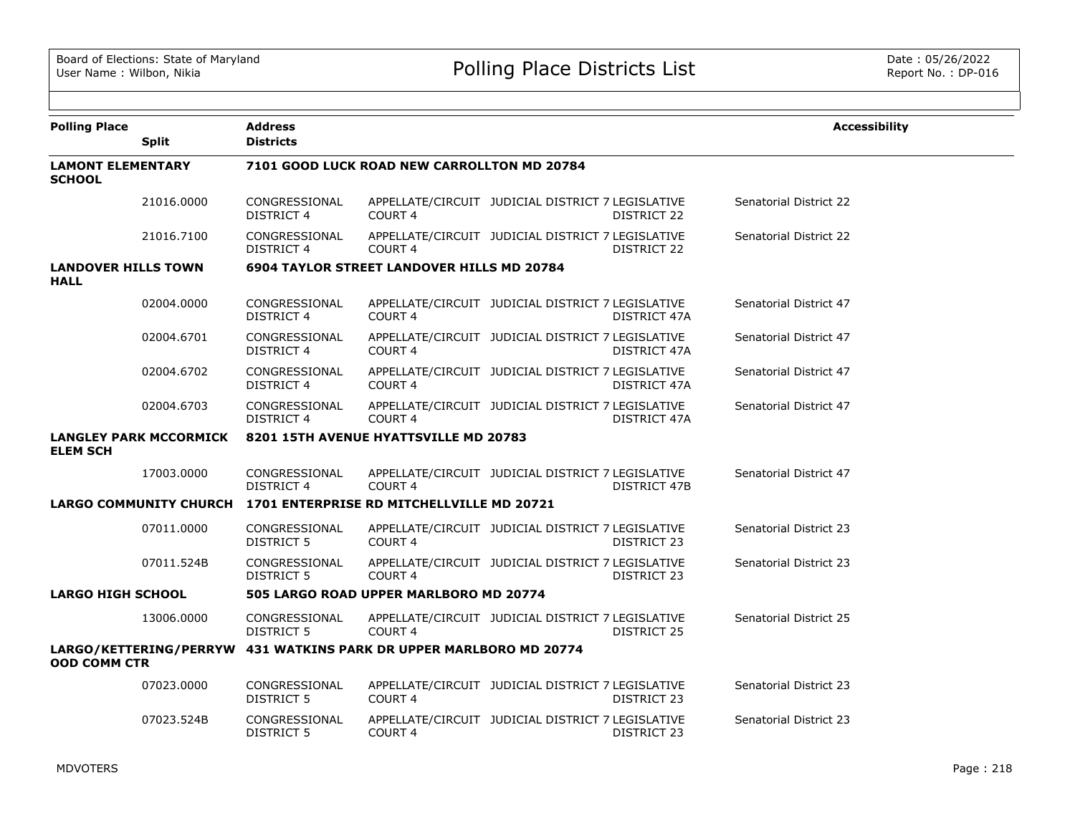| <b>Polling Place</b>                      | <b>Split</b>                  | <b>Address</b><br><b>Districts</b>                               |                                                                    |                                                   |                     | <b>Accessibility</b>   |  |  |  |
|-------------------------------------------|-------------------------------|------------------------------------------------------------------|--------------------------------------------------------------------|---------------------------------------------------|---------------------|------------------------|--|--|--|
| <b>LAMONT ELEMENTARY</b><br><b>SCHOOL</b> |                               |                                                                  | 7101 GOOD LUCK ROAD NEW CARROLLTON MD 20784                        |                                                   |                     |                        |  |  |  |
|                                           | 21016.0000                    | CONGRESSIONAL<br>DISTRICT 4                                      | COURT <sub>4</sub>                                                 | APPELLATE/CIRCUIT JUDICIAL DISTRICT 7 LEGISLATIVE | DISTRICT 22         | Senatorial District 22 |  |  |  |
|                                           | 21016.7100                    | CONGRESSIONAL<br><b>DISTRICT 4</b>                               | COURT <sub>4</sub>                                                 | APPELLATE/CIRCUIT JUDICIAL DISTRICT 7 LEGISLATIVE | DISTRICT 22         | Senatorial District 22 |  |  |  |
| <b>LANDOVER HILLS TOWN</b><br><b>HALL</b> |                               |                                                                  | <b>6904 TAYLOR STREET LANDOVER HILLS MD 20784</b>                  |                                                   |                     |                        |  |  |  |
|                                           | 02004.0000                    | CONGRESSIONAL<br><b>DISTRICT 4</b>                               | COURT <sub>4</sub>                                                 | APPELLATE/CIRCUIT JUDICIAL DISTRICT 7 LEGISLATIVE | DISTRICT 47A        | Senatorial District 47 |  |  |  |
|                                           | 02004.6701                    | CONGRESSIONAL<br><b>DISTRICT 4</b>                               | COURT <sub>4</sub>                                                 | APPELLATE/CIRCUIT JUDICIAL DISTRICT 7 LEGISLATIVE | DISTRICT 47A        | Senatorial District 47 |  |  |  |
|                                           | 02004.6702                    | CONGRESSIONAL<br><b>DISTRICT 4</b>                               | COURT <sub>4</sub>                                                 | APPELLATE/CIRCUIT JUDICIAL DISTRICT 7 LEGISLATIVE | DISTRICT 47A        | Senatorial District 47 |  |  |  |
|                                           | 02004.6703                    | CONGRESSIONAL<br><b>DISTRICT 4</b>                               | <b>COURT 4</b>                                                     | APPELLATE/CIRCUIT JUDICIAL DISTRICT 7 LEGISLATIVE | DISTRICT 47A        | Senatorial District 47 |  |  |  |
| <b>ELEM SCH</b>                           | <b>LANGLEY PARK MCCORMICK</b> |                                                                  | 8201 15TH AVENUE HYATTSVILLE MD 20783                              |                                                   |                     |                        |  |  |  |
|                                           | 17003.0000                    | CONGRESSIONAL<br>DISTRICT 4                                      | COURT <sub>4</sub>                                                 | APPELLATE/CIRCUIT JUDICIAL DISTRICT 7 LEGISLATIVE | <b>DISTRICT 47B</b> | Senatorial District 47 |  |  |  |
|                                           |                               | LARGO COMMUNITY CHURCH 1701 ENTERPRISE RD MITCHELLVILLE MD 20721 |                                                                    |                                                   |                     |                        |  |  |  |
|                                           | 07011.0000                    | CONGRESSIONAL<br><b>DISTRICT 5</b>                               | COURT <sub>4</sub>                                                 | APPELLATE/CIRCUIT JUDICIAL DISTRICT 7 LEGISLATIVE | DISTRICT 23         | Senatorial District 23 |  |  |  |
|                                           | 07011.524B                    | CONGRESSIONAL<br>DISTRICT 5                                      | COURT 4                                                            | APPELLATE/CIRCUIT JUDICIAL DISTRICT 7 LEGISLATIVE | DISTRICT 23         | Senatorial District 23 |  |  |  |
| <b>LARGO HIGH SCHOOL</b>                  |                               |                                                                  | 505 LARGO ROAD UPPER MARLBORO MD 20774                             |                                                   |                     |                        |  |  |  |
|                                           | 13006.0000                    | CONGRESSIONAL<br>DISTRICT 5                                      | COURT <sub>4</sub>                                                 | APPELLATE/CIRCUIT JUDICIAL DISTRICT 7 LEGISLATIVE | DISTRICT 25         | Senatorial District 25 |  |  |  |
| <b>OOD COMM CTR</b>                       |                               |                                                                  | LARGO/KETTERING/PERRYW 431 WATKINS PARK DR UPPER MARLBORO MD 20774 |                                                   |                     |                        |  |  |  |
|                                           | 07023,0000                    | CONGRESSIONAL<br>DISTRICT 5                                      | COURT <sub>4</sub>                                                 | APPELLATE/CIRCUIT JUDICIAL DISTRICT 7 LEGISLATIVE | DISTRICT 23         | Senatorial District 23 |  |  |  |
|                                           | 07023.524B                    | CONGRESSIONAL<br>DISTRICT 5                                      | COURT 4                                                            | APPELLATE/CIRCUIT JUDICIAL DISTRICT 7 LEGISLATIVE | DISTRICT 23         | Senatorial District 23 |  |  |  |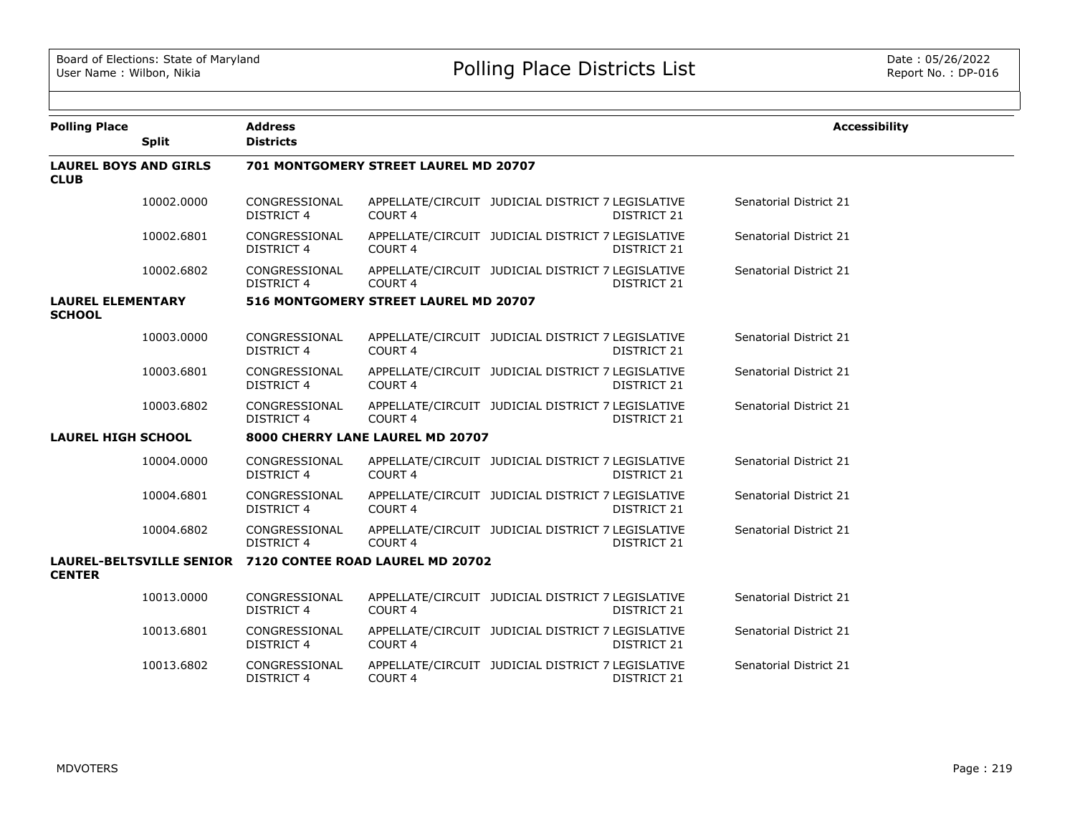| <b>Polling Place</b>                        |              | <b>Address</b>                                            |                                       |                                                   |                    | <b>Accessibility</b>   |  |
|---------------------------------------------|--------------|-----------------------------------------------------------|---------------------------------------|---------------------------------------------------|--------------------|------------------------|--|
|                                             | <b>Split</b> | <b>Districts</b>                                          |                                       |                                                   |                    |                        |  |
| <b>LAUREL BOYS AND GIRLS</b><br><b>CLUB</b> |              |                                                           | 701 MONTGOMERY STREET LAUREL MD 20707 |                                                   |                    |                        |  |
|                                             | 10002.0000   | CONGRESSIONAL<br>DISTRICT 4                               | COURT <sub>4</sub>                    | APPELLATE/CIRCUIT JUDICIAL DISTRICT 7 LEGISLATIVE | DISTRICT 21        | Senatorial District 21 |  |
|                                             | 10002.6801   | CONGRESSIONAL<br><b>DISTRICT 4</b>                        | COURT <sub>4</sub>                    | APPELLATE/CIRCUIT JUDICIAL DISTRICT 7 LEGISLATIVE | DISTRICT 21        | Senatorial District 21 |  |
|                                             | 10002.6802   | CONGRESSIONAL<br><b>DISTRICT 4</b>                        | COURT <sub>4</sub>                    | APPELLATE/CIRCUIT JUDICIAL DISTRICT 7 LEGISLATIVE | DISTRICT 21        | Senatorial District 21 |  |
| <b>LAUREL ELEMENTARY</b><br><b>SCHOOL</b>   |              |                                                           | 516 MONTGOMERY STREET LAUREL MD 20707 |                                                   |                    |                        |  |
|                                             | 10003.0000   | CONGRESSIONAL<br>DISTRICT 4                               | COURT <sub>4</sub>                    | APPELLATE/CIRCUIT JUDICIAL DISTRICT 7 LEGISLATIVE | DISTRICT 21        | Senatorial District 21 |  |
|                                             | 10003.6801   | CONGRESSIONAL<br><b>DISTRICT 4</b>                        | <b>COURT 4</b>                        | APPELLATE/CIRCUIT JUDICIAL DISTRICT 7 LEGISLATIVE | DISTRICT 21        | Senatorial District 21 |  |
|                                             | 10003.6802   | CONGRESSIONAL<br><b>DISTRICT 4</b>                        | COURT <sub>4</sub>                    | APPELLATE/CIRCUIT JUDICIAL DISTRICT 7 LEGISLATIVE | <b>DISTRICT 21</b> | Senatorial District 21 |  |
| <b>LAUREL HIGH SCHOOL</b>                   |              | 8000 CHERRY LANE LAUREL MD 20707                          |                                       |                                                   |                    |                        |  |
|                                             | 10004.0000   | CONGRESSIONAL<br><b>DISTRICT 4</b>                        | COURT <sub>4</sub>                    | APPELLATE/CIRCUIT JUDICIAL DISTRICT 7 LEGISLATIVE | DISTRICT 21        | Senatorial District 21 |  |
|                                             | 10004.6801   | CONGRESSIONAL<br>DISTRICT 4                               | COURT 4                               | APPELLATE/CIRCUIT JUDICIAL DISTRICT 7 LEGISLATIVE | DISTRICT 21        | Senatorial District 21 |  |
|                                             | 10004.6802   | CONGRESSIONAL<br>DISTRICT 4                               | COURT <sub>4</sub>                    | APPELLATE/CIRCUIT JUDICIAL DISTRICT 7 LEGISLATIVE | DISTRICT 21        | Senatorial District 21 |  |
| <b>CENTER</b>                               |              | LAUREL-BELTSVILLE SENIOR 7120 CONTEE ROAD LAUREL MD 20702 |                                       |                                                   |                    |                        |  |
|                                             | 10013.0000   | CONGRESSIONAL<br>DISTRICT 4                               | COURT <sub>4</sub>                    | APPELLATE/CIRCUIT JUDICIAL DISTRICT 7 LEGISLATIVE | DISTRICT 21        | Senatorial District 21 |  |
|                                             | 10013.6801   | CONGRESSIONAL<br><b>DISTRICT 4</b>                        | COURT 4                               | APPELLATE/CIRCUIT JUDICIAL DISTRICT 7 LEGISLATIVE | DISTRICT 21        | Senatorial District 21 |  |
|                                             | 10013.6802   | CONGRESSIONAL<br><b>DISTRICT 4</b>                        | COURT <sub>4</sub>                    | APPELLATE/CIRCUIT JUDICIAL DISTRICT 7 LEGISLATIVE | <b>DISTRICT 21</b> | Senatorial District 21 |  |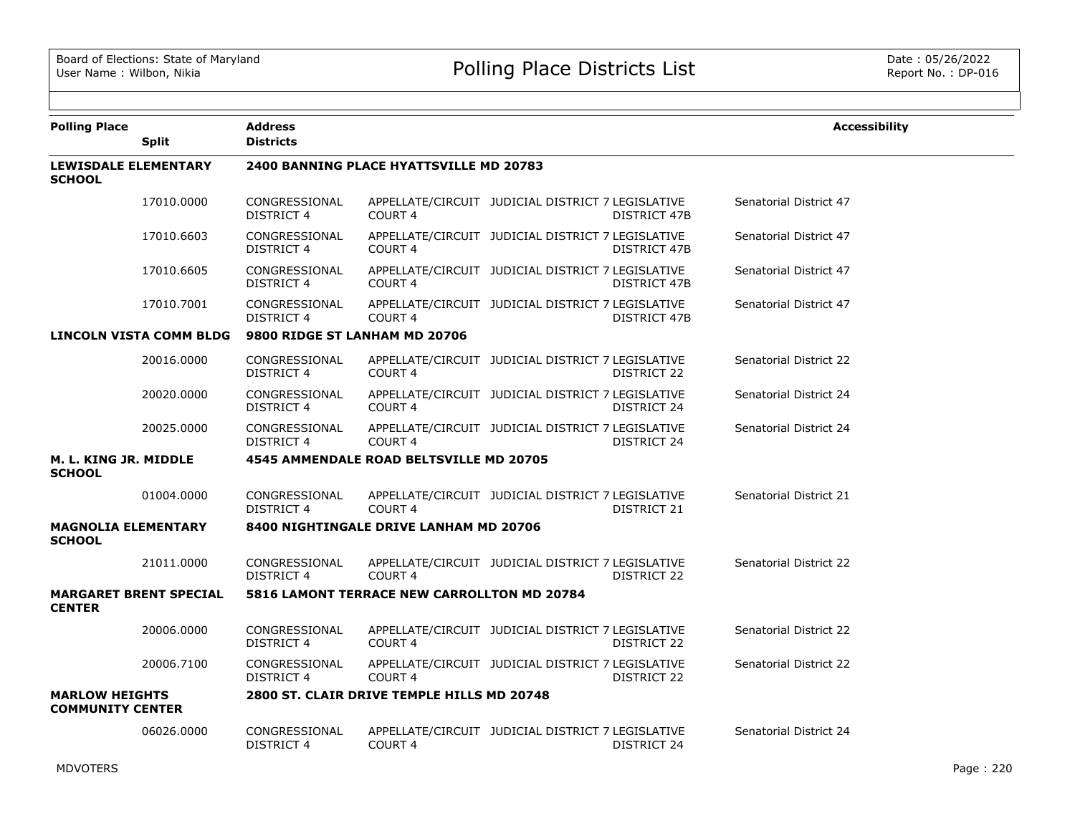| <b>Polling Place</b>                             | <b>Split</b>                   | <b>Address</b><br><b>Districts</b> |                                                |                                                   |                     | <b>Accessibility</b>          |
|--------------------------------------------------|--------------------------------|------------------------------------|------------------------------------------------|---------------------------------------------------|---------------------|-------------------------------|
| <b>LEWISDALE ELEMENTARY</b><br><b>SCHOOL</b>     |                                |                                    | <b>2400 BANNING PLACE HYATTSVILLE MD 20783</b> |                                                   |                     |                               |
|                                                  | 17010.0000                     | CONGRESSIONAL<br><b>DISTRICT 4</b> | COURT <sub>4</sub>                             | APPELLATE/CIRCUIT JUDICIAL DISTRICT 7 LEGISLATIVE | DISTRICT 47B        | Senatorial District 47        |
|                                                  | 17010.6603                     | CONGRESSIONAL<br>DISTRICT 4        | COURT 4                                        | APPELLATE/CIRCUIT JUDICIAL DISTRICT 7 LEGISLATIVE | DISTRICT 47B        | Senatorial District 47        |
|                                                  | 17010.6605                     | CONGRESSIONAL<br><b>DISTRICT 4</b> | COURT <sub>4</sub>                             | APPELLATE/CIRCUIT JUDICIAL DISTRICT 7 LEGISLATIVE | <b>DISTRICT 47B</b> | Senatorial District 47        |
|                                                  | 17010.7001                     | CONGRESSIONAL<br><b>DISTRICT 4</b> | <b>COURT 4</b>                                 | APPELLATE/CIRCUIT JUDICIAL DISTRICT 7 LEGISLATIVE | DISTRICT 47B        | Senatorial District 47        |
|                                                  | <b>LINCOLN VISTA COMM BLDG</b> | 9800 RIDGE ST LANHAM MD 20706      |                                                |                                                   |                     |                               |
|                                                  | 20016.0000                     | CONGRESSIONAL<br><b>DISTRICT 4</b> | COURT <sub>4</sub>                             | APPELLATE/CIRCUIT JUDICIAL DISTRICT 7 LEGISLATIVE | DISTRICT 22         | Senatorial District 22        |
|                                                  | 20020.0000                     | CONGRESSIONAL<br><b>DISTRICT 4</b> | <b>COURT 4</b>                                 | APPELLATE/CIRCUIT JUDICIAL DISTRICT 7 LEGISLATIVE | DISTRICT 24         | Senatorial District 24        |
|                                                  | 20025.0000                     | CONGRESSIONAL<br><b>DISTRICT 4</b> | COURT <sub>4</sub>                             | APPELLATE/CIRCUIT JUDICIAL DISTRICT 7 LEGISLATIVE | DISTRICT 24         | Senatorial District 24        |
| M. L. KING JR. MIDDLE<br><b>SCHOOL</b>           |                                |                                    | 4545 AMMENDALE ROAD BELTSVILLE MD 20705        |                                                   |                     |                               |
|                                                  | 01004.0000                     | CONGRESSIONAL<br><b>DISTRICT 4</b> | COURT <sub>4</sub>                             | APPELLATE/CIRCUIT JUDICIAL DISTRICT 7 LEGISLATIVE | DISTRICT 21         | Senatorial District 21        |
| <b>MAGNOLIA ELEMENTARY</b><br><b>SCHOOL</b>      |                                |                                    | 8400 NIGHTINGALE DRIVE LANHAM MD 20706         |                                                   |                     |                               |
|                                                  | 21011.0000                     | CONGRESSIONAL<br>DISTRICT 4        | COURT <sub>4</sub>                             | APPELLATE/CIRCUIT JUDICIAL DISTRICT 7 LEGISLATIVE | DISTRICT 22         | Senatorial District 22        |
| <b>CENTER</b>                                    | <b>MARGARET BRENT SPECIAL</b>  |                                    | 5816 LAMONT TERRACE NEW CARROLLTON MD 20784    |                                                   |                     |                               |
|                                                  | 20006.0000                     | CONGRESSIONAL<br><b>DISTRICT 4</b> | COURT <sub>4</sub>                             | APPELLATE/CIRCUIT JUDICIAL DISTRICT 7 LEGISLATIVE | DISTRICT 22         | <b>Senatorial District 22</b> |
|                                                  | 20006.7100                     | CONGRESSIONAL<br><b>DISTRICT 4</b> | COURT 4                                        | APPELLATE/CIRCUIT JUDICIAL DISTRICT 7 LEGISLATIVE | DISTRICT 22         | Senatorial District 22        |
| <b>MARLOW HEIGHTS</b><br><b>COMMUNITY CENTER</b> |                                |                                    | 2800 ST. CLAIR DRIVE TEMPLE HILLS MD 20748     |                                                   |                     |                               |
|                                                  | 06026.0000                     | CONGRESSIONAL<br><b>DISTRICT 4</b> | COURT <sub>4</sub>                             | APPELLATE/CIRCUIT JUDICIAL DISTRICT 7 LEGISLATIVE | DISTRICT 24         | Senatorial District 24        |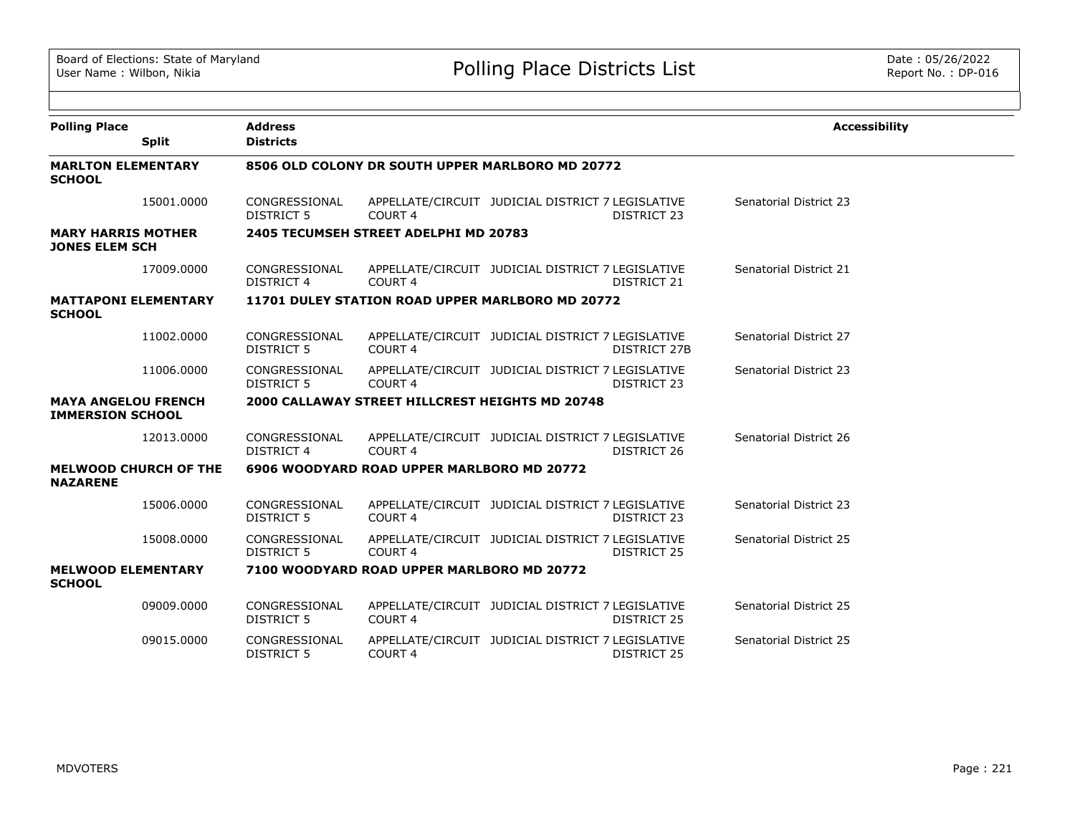| <b>Polling Place</b>                                  |                              | <b>Address</b>                     |                                                 |                                                   |                    | <b>Accessibility</b>   |
|-------------------------------------------------------|------------------------------|------------------------------------|-------------------------------------------------|---------------------------------------------------|--------------------|------------------------|
|                                                       | <b>Split</b>                 | <b>Districts</b>                   |                                                 |                                                   |                    |                        |
| <b>MARLTON ELEMENTARY</b><br><b>SCHOOL</b>            |                              |                                    |                                                 | 8506 OLD COLONY DR SOUTH UPPER MARLBORO MD 20772  |                    |                        |
|                                                       | 15001.0000                   | CONGRESSIONAL<br>DISTRICT 5        | COURT <sub>4</sub>                              | APPELLATE/CIRCUIT JUDICIAL DISTRICT 7 LEGISLATIVE | DISTRICT 23        | Senatorial District 23 |
| <b>MARY HARRIS MOTHER</b><br><b>JONES ELEM SCH</b>    |                              |                                    | 2405 TECUMSEH STREET ADELPHI MD 20783           |                                                   |                    |                        |
|                                                       | 17009.0000                   | CONGRESSIONAL<br><b>DISTRICT 4</b> | COURT <sub>4</sub>                              | APPELLATE/CIRCUIT JUDICIAL DISTRICT 7 LEGISLATIVE | DISTRICT 21        | Senatorial District 21 |
| <b>MATTAPONI ELEMENTARY</b><br><b>SCHOOL</b>          |                              |                                    |                                                 | 11701 DULEY STATION ROAD UPPER MARLBORO MD 20772  |                    |                        |
|                                                       | 11002.0000                   | CONGRESSIONAL<br><b>DISTRICT 5</b> | COURT <sub>4</sub>                              | APPELLATE/CIRCUIT JUDICIAL DISTRICT 7 LEGISLATIVE | DISTRICT 27B       | Senatorial District 27 |
|                                                       | 11006.0000                   | CONGRESSIONAL<br>DISTRICT 5        | COURT <sub>4</sub>                              | APPELLATE/CIRCUIT JUDICIAL DISTRICT 7 LEGISLATIVE | DISTRICT 23        | Senatorial District 23 |
| <b>MAYA ANGELOU FRENCH</b><br><b>IMMERSION SCHOOL</b> |                              |                                    | 2000 CALLAWAY STREET HILLCREST HEIGHTS MD 20748 |                                                   |                    |                        |
|                                                       | 12013.0000                   | CONGRESSIONAL<br><b>DISTRICT 4</b> | COURT <sub>4</sub>                              | APPELLATE/CIRCUIT JUDICIAL DISTRICT 7 LEGISLATIVE | DISTRICT 26        | Senatorial District 26 |
| <b>NAZARENE</b>                                       | <b>MELWOOD CHURCH OF THE</b> |                                    | 6906 WOODYARD ROAD UPPER MARLBORO MD 20772      |                                                   |                    |                        |
|                                                       | 15006.0000                   | CONGRESSIONAL<br><b>DISTRICT 5</b> | COURT 4                                         | APPELLATE/CIRCUIT JUDICIAL DISTRICT 7 LEGISLATIVE | <b>DISTRICT 23</b> | Senatorial District 23 |
|                                                       | 15008.0000                   | CONGRESSIONAL<br>DISTRICT 5        | COURT <sub>4</sub>                              | APPELLATE/CIRCUIT JUDICIAL DISTRICT 7 LEGISLATIVE | DISTRICT 25        | Senatorial District 25 |
| <b>MELWOOD ELEMENTARY</b><br><b>SCHOOL</b>            |                              |                                    | 7100 WOODYARD ROAD UPPER MARLBORO MD 20772      |                                                   |                    |                        |
|                                                       | 09009.0000                   | CONGRESSIONAL<br><b>DISTRICT 5</b> | COURT <sub>4</sub>                              | APPELLATE/CIRCUIT JUDICIAL DISTRICT 7 LEGISLATIVE | <b>DISTRICT 25</b> | Senatorial District 25 |
|                                                       | 09015.0000                   | CONGRESSIONAL<br><b>DISTRICT 5</b> | <b>COURT 4</b>                                  | APPELLATE/CIRCUIT JUDICIAL DISTRICT 7 LEGISLATIVE | DISTRICT 25        | Senatorial District 25 |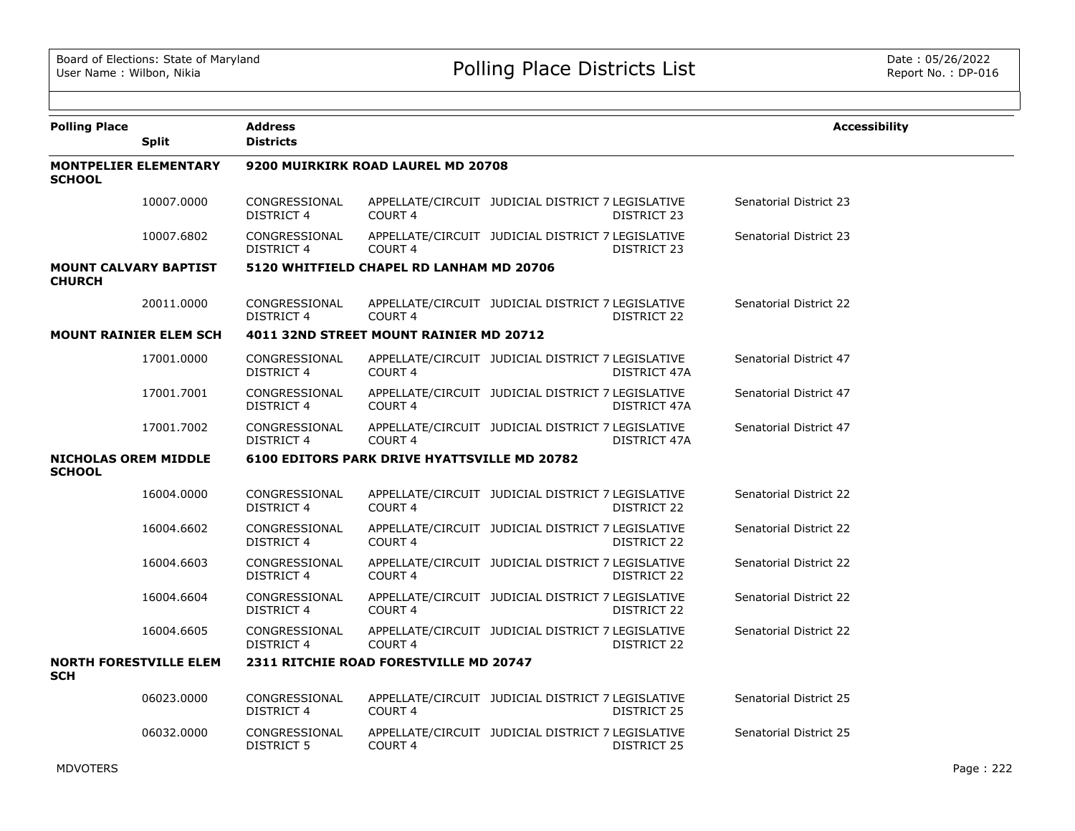| <b>Polling Place</b>                          | <b>Split</b>                  | <b>Address</b><br><b>Districts</b> |                                              |                                                   |                    | <b>Accessibility</b>   |
|-----------------------------------------------|-------------------------------|------------------------------------|----------------------------------------------|---------------------------------------------------|--------------------|------------------------|
| <b>SCHOOL</b>                                 | <b>MONTPELIER ELEMENTARY</b>  |                                    | 9200 MUIRKIRK ROAD LAUREL MD 20708           |                                                   |                    |                        |
|                                               | 10007.0000                    | CONGRESSIONAL<br>DISTRICT 4        | COURT <sub>4</sub>                           | APPELLATE/CIRCUIT JUDICIAL DISTRICT 7 LEGISLATIVE | DISTRICT 23        | Senatorial District 23 |
|                                               | 10007.6802                    | CONGRESSIONAL<br>DISTRICT 4        | COURT <sub>4</sub>                           | APPELLATE/CIRCUIT JUDICIAL DISTRICT 7 LEGISLATIVE | DISTRICT 23        | Senatorial District 23 |
| <b>MOUNT CALVARY BAPTIST</b><br><b>CHURCH</b> |                               |                                    | 5120 WHITFIELD CHAPEL RD LANHAM MD 20706     |                                                   |                    |                        |
|                                               | 20011.0000                    | CONGRESSIONAL<br><b>DISTRICT 4</b> | <b>COURT 4</b>                               | APPELLATE/CIRCUIT JUDICIAL DISTRICT 7 LEGISLATIVE | DISTRICT 22        | Senatorial District 22 |
|                                               | <b>MOUNT RAINIER ELEM SCH</b> |                                    | 4011 32ND STREET MOUNT RAINIER MD 20712      |                                                   |                    |                        |
|                                               | 17001.0000                    | CONGRESSIONAL<br><b>DISTRICT 4</b> | COURT <sub>4</sub>                           | APPELLATE/CIRCUIT JUDICIAL DISTRICT 7 LEGISLATIVE | DISTRICT 47A       | Senatorial District 47 |
|                                               | 17001.7001                    | CONGRESSIONAL<br><b>DISTRICT 4</b> | COURT <sub>4</sub>                           | APPELLATE/CIRCUIT JUDICIAL DISTRICT 7 LEGISLATIVE | DISTRICT 47A       | Senatorial District 47 |
|                                               | 17001.7002                    | CONGRESSIONAL<br><b>DISTRICT 4</b> | <b>COURT 4</b>                               | APPELLATE/CIRCUIT JUDICIAL DISTRICT 7 LEGISLATIVE | DISTRICT 47A       | Senatorial District 47 |
| <b>NICHOLAS OREM MIDDLE</b><br><b>SCHOOL</b>  |                               |                                    | 6100 EDITORS PARK DRIVE HYATTSVILLE MD 20782 |                                                   |                    |                        |
|                                               | 16004.0000                    | CONGRESSIONAL<br><b>DISTRICT 4</b> | COURT <sub>4</sub>                           | APPELLATE/CIRCUIT JUDICIAL DISTRICT 7 LEGISLATIVE | DISTRICT 22        | Senatorial District 22 |
|                                               | 16004.6602                    | CONGRESSIONAL<br><b>DISTRICT 4</b> | <b>COURT 4</b>                               | APPELLATE/CIRCUIT JUDICIAL DISTRICT 7 LEGISLATIVE | DISTRICT 22        | Senatorial District 22 |
|                                               | 16004.6603                    | CONGRESSIONAL<br><b>DISTRICT 4</b> | COURT <sub>4</sub>                           | APPELLATE/CIRCUIT JUDICIAL DISTRICT 7 LEGISLATIVE | DISTRICT 22        | Senatorial District 22 |
|                                               | 16004.6604                    | CONGRESSIONAL<br><b>DISTRICT 4</b> | COURT <sub>4</sub>                           | APPELLATE/CIRCUIT JUDICIAL DISTRICT 7 LEGISLATIVE | DISTRICT 22        | Senatorial District 22 |
|                                               | 16004.6605                    | CONGRESSIONAL<br><b>DISTRICT 4</b> | COURT <sub>4</sub>                           | APPELLATE/CIRCUIT JUDICIAL DISTRICT 7 LEGISLATIVE | DISTRICT 22        | Senatorial District 22 |
| <b>SCH</b>                                    | <b>NORTH FORESTVILLE ELEM</b> |                                    | 2311 RITCHIE ROAD FORESTVILLE MD 20747       |                                                   |                    |                        |
|                                               | 06023,0000                    | CONGRESSIONAL<br><b>DISTRICT 4</b> | COURT <sub>4</sub>                           | APPELLATE/CIRCUIT JUDICIAL DISTRICT 7 LEGISLATIVE | <b>DISTRICT 25</b> | Senatorial District 25 |
|                                               | 06032.0000                    | CONGRESSIONAL<br><b>DISTRICT 5</b> | COURT <sub>4</sub>                           | APPELLATE/CIRCUIT JUDICIAL DISTRICT 7 LEGISLATIVE | <b>DISTRICT 25</b> | Senatorial District 25 |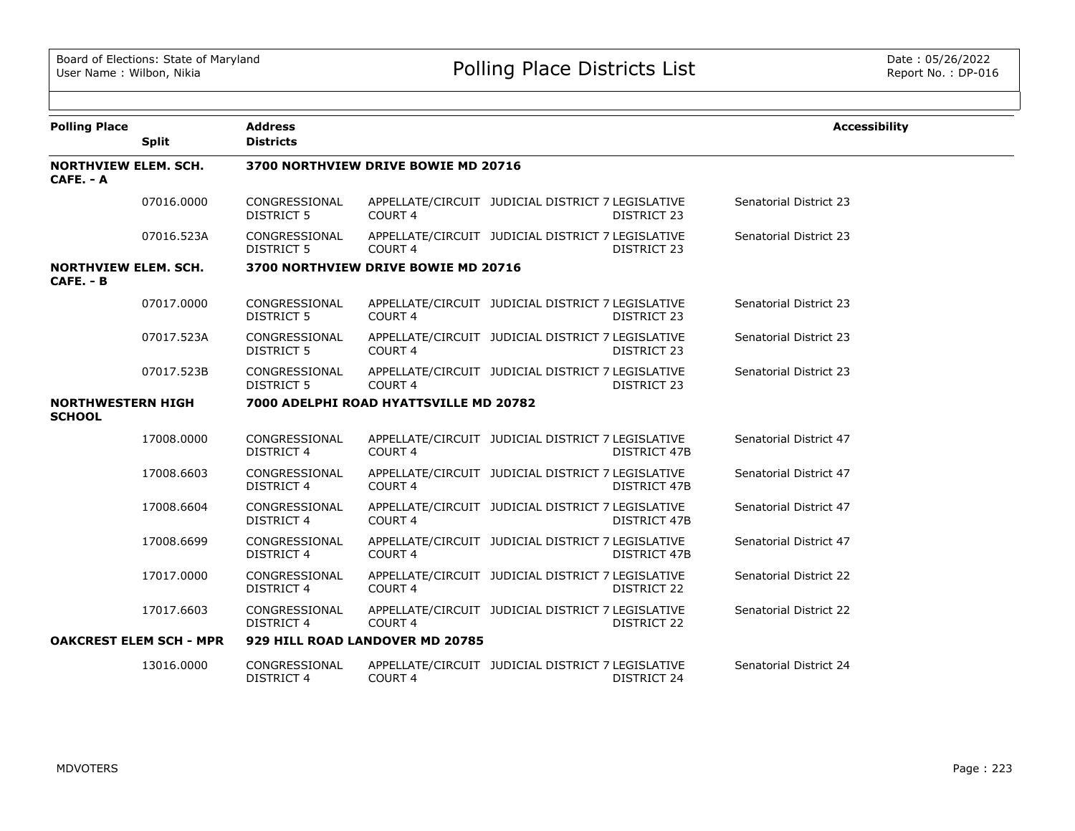| <b>Polling Place</b>                      |                                | <b>Address</b>                     |                                        |                                                   |                     | <b>Accessibility</b>   |
|-------------------------------------------|--------------------------------|------------------------------------|----------------------------------------|---------------------------------------------------|---------------------|------------------------|
|                                           | <b>Split</b>                   | <b>Districts</b>                   |                                        |                                                   |                     |                        |
| <b>NORTHVIEW ELEM. SCH.</b><br>CAFE. - A  |                                |                                    | 3700 NORTHVIEW DRIVE BOWIE MD 20716    |                                                   |                     |                        |
|                                           | 07016.0000                     | CONGRESSIONAL<br><b>DISTRICT 5</b> | COURT <sub>4</sub>                     | APPELLATE/CIRCUIT JUDICIAL DISTRICT 7 LEGISLATIVE | DISTRICT 23         | Senatorial District 23 |
|                                           | 07016.523A                     | CONGRESSIONAL<br><b>DISTRICT 5</b> | COURT <sub>4</sub>                     | APPELLATE/CIRCUIT JUDICIAL DISTRICT 7 LEGISLATIVE | DISTRICT 23         | Senatorial District 23 |
| <b>NORTHVIEW ELEM. SCH.</b><br>CAFE. - B  |                                |                                    | 3700 NORTHVIEW DRIVE BOWIE MD 20716    |                                                   |                     |                        |
|                                           | 07017.0000                     | CONGRESSIONAL<br><b>DISTRICT 5</b> | COURT <sub>4</sub>                     | APPELLATE/CIRCUIT JUDICIAL DISTRICT 7 LEGISLATIVE | DISTRICT 23         | Senatorial District 23 |
|                                           | 07017.523A                     | CONGRESSIONAL<br><b>DISTRICT 5</b> | COURT <sub>4</sub>                     | APPELLATE/CIRCUIT JUDICIAL DISTRICT 7 LEGISLATIVE | DISTRICT 23         | Senatorial District 23 |
|                                           | 07017.523B                     | CONGRESSIONAL<br><b>DISTRICT 5</b> | COURT <sub>4</sub>                     | APPELLATE/CIRCUIT JUDICIAL DISTRICT 7 LEGISLATIVE | DISTRICT 23         | Senatorial District 23 |
| <b>NORTHWESTERN HIGH</b><br><b>SCHOOL</b> |                                |                                    | 7000 ADELPHI ROAD HYATTSVILLE MD 20782 |                                                   |                     |                        |
|                                           | 17008.0000                     | CONGRESSIONAL<br><b>DISTRICT 4</b> | COURT <sub>4</sub>                     | APPELLATE/CIRCUIT JUDICIAL DISTRICT 7 LEGISLATIVE | <b>DISTRICT 47B</b> | Senatorial District 47 |
|                                           | 17008.6603                     | CONGRESSIONAL<br><b>DISTRICT 4</b> | COURT <sub>4</sub>                     | APPELLATE/CIRCUIT JUDICIAL DISTRICT 7 LEGISLATIVE | <b>DISTRICT 47B</b> | Senatorial District 47 |
|                                           | 17008.6604                     | CONGRESSIONAL<br><b>DISTRICT 4</b> | COURT <sub>4</sub>                     | APPELLATE/CIRCUIT JUDICIAL DISTRICT 7 LEGISLATIVE | DISTRICT 47B        | Senatorial District 47 |
|                                           | 17008.6699                     | CONGRESSIONAL<br>DISTRICT 4        | COURT 4                                | APPELLATE/CIRCUIT JUDICIAL DISTRICT 7 LEGISLATIVE | <b>DISTRICT 47B</b> | Senatorial District 47 |
|                                           | 17017.0000                     | CONGRESSIONAL<br><b>DISTRICT 4</b> | COURT <sub>4</sub>                     | APPELLATE/CIRCUIT JUDICIAL DISTRICT 7 LEGISLATIVE | DISTRICT 22         | Senatorial District 22 |
|                                           | 17017.6603                     | CONGRESSIONAL<br><b>DISTRICT 4</b> | COURT <sub>4</sub>                     | APPELLATE/CIRCUIT JUDICIAL DISTRICT 7 LEGISLATIVE | DISTRICT 22         | Senatorial District 22 |
|                                           | <b>OAKCREST ELEM SCH - MPR</b> |                                    | 929 HILL ROAD LANDOVER MD 20785        |                                                   |                     |                        |
|                                           | 13016.0000                     | CONGRESSIONAL<br><b>DISTRICT 4</b> | COURT <sub>4</sub>                     | APPELLATE/CIRCUIT JUDICIAL DISTRICT 7 LEGISLATIVE | DISTRICT 24         | Senatorial District 24 |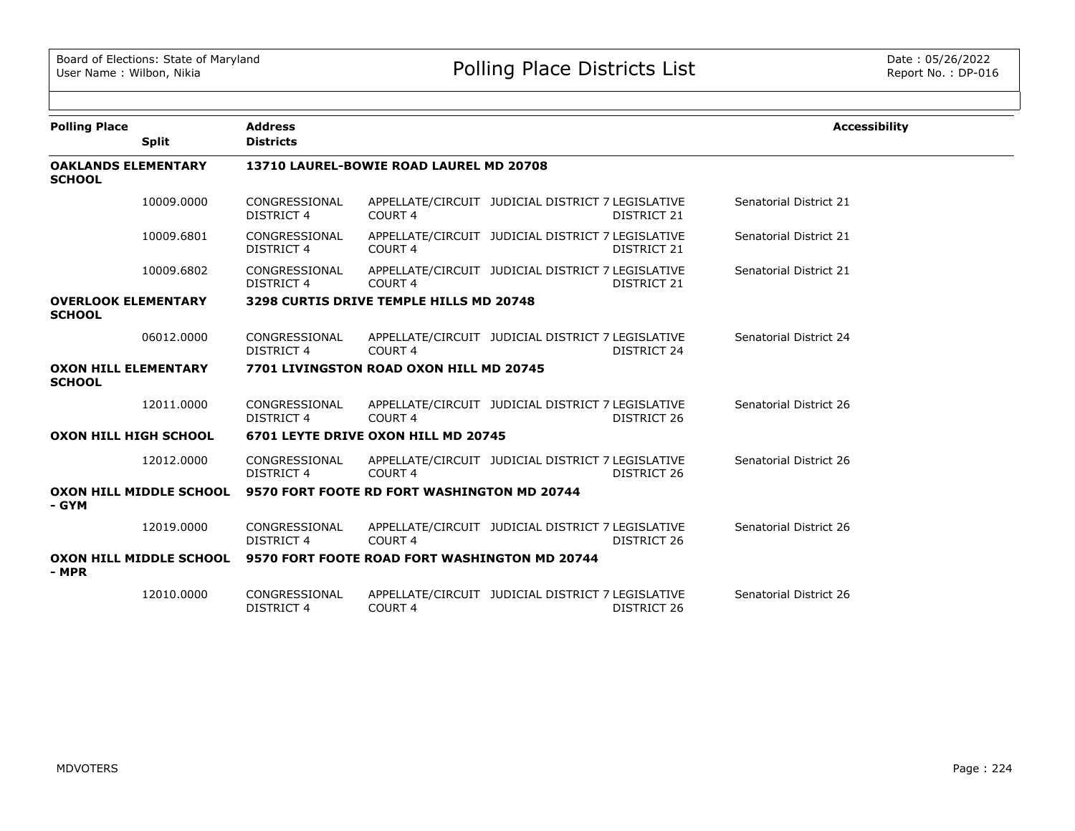| <b>Polling Place</b>                         | <b>Split</b> | <b>Address</b><br><b>Districts</b>  |                                                                       |                                                   |                    | <b>Accessibility</b>   |  |  |
|----------------------------------------------|--------------|-------------------------------------|-----------------------------------------------------------------------|---------------------------------------------------|--------------------|------------------------|--|--|
| <b>OAKLANDS ELEMENTARY</b><br><b>SCHOOL</b>  |              |                                     | 13710 LAUREL-BOWIE ROAD LAUREL MD 20708                               |                                                   |                    |                        |  |  |
|                                              | 10009.0000   | CONGRESSIONAL<br>DISTRICT 4         | COURT 4                                                               | APPELLATE/CIRCUIT JUDICIAL DISTRICT 7 LEGISLATIVE | DISTRICT 21        | Senatorial District 21 |  |  |
|                                              | 10009.6801   | CONGRESSIONAL<br><b>DISTRICT 4</b>  | COURT <sub>4</sub>                                                    | APPELLATE/CIRCUIT JUDICIAL DISTRICT 7 LEGISLATIVE | <b>DISTRICT 21</b> | Senatorial District 21 |  |  |
|                                              | 10009.6802   | CONGRESSIONAL<br><b>DISTRICT 4</b>  | <b>COURT 4</b>                                                        | APPELLATE/CIRCUIT JUDICIAL DISTRICT 7 LEGISLATIVE | <b>DISTRICT 21</b> | Senatorial District 21 |  |  |
| <b>OVERLOOK ELEMENTARY</b><br><b>SCHOOL</b>  |              |                                     | 3298 CURTIS DRIVE TEMPLE HILLS MD 20748                               |                                                   |                    |                        |  |  |
|                                              | 06012.0000   | CONGRESSIONAL<br><b>DISTRICT 4</b>  | COURT <sub>4</sub>                                                    | APPELLATE/CIRCUIT JUDICIAL DISTRICT 7 LEGISLATIVE | DISTRICT 24        | Senatorial District 24 |  |  |
| <b>OXON HILL ELEMENTARY</b><br><b>SCHOOL</b> |              |                                     | 7701 LIVINGSTON ROAD OXON HILL MD 20745                               |                                                   |                    |                        |  |  |
|                                              | 12011.0000   | CONGRESSIONAL<br><b>DISTRICT 4</b>  | COURT <sub>4</sub>                                                    | APPELLATE/CIRCUIT JUDICIAL DISTRICT 7 LEGISLATIVE | DISTRICT 26        | Senatorial District 26 |  |  |
| <b>OXON HILL HIGH SCHOOL</b>                 |              | 6701 LEYTE DRIVE OXON HILL MD 20745 |                                                                       |                                                   |                    |                        |  |  |
|                                              | 12012.0000   | CONGRESSIONAL<br><b>DISTRICT 4</b>  | COURT <sub>4</sub>                                                    | APPELLATE/CIRCUIT JUDICIAL DISTRICT 7 LEGISLATIVE | DISTRICT 26        | Senatorial District 26 |  |  |
| - GYM                                        |              |                                     | OXON HILL MIDDLE SCHOOL 9570 FORT FOOTE RD FORT WASHINGTON MD 20744   |                                                   |                    |                        |  |  |
|                                              | 12019.0000   | CONGRESSIONAL<br><b>DISTRICT 4</b>  | COURT <sub>4</sub>                                                    | APPELLATE/CIRCUIT JUDICIAL DISTRICT 7 LEGISLATIVE | DISTRICT 26        | Senatorial District 26 |  |  |
| - MPR                                        |              |                                     | OXON HILL MIDDLE SCHOOL 9570 FORT FOOTE ROAD FORT WASHINGTON MD 20744 |                                                   |                    |                        |  |  |
|                                              | 12010.0000   | CONGRESSIONAL<br>DISTRICT 4         | COURT <sub>4</sub>                                                    | APPELLATE/CIRCUIT JUDICIAL DISTRICT 7 LEGISLATIVE | DISTRICT 26        | Senatorial District 26 |  |  |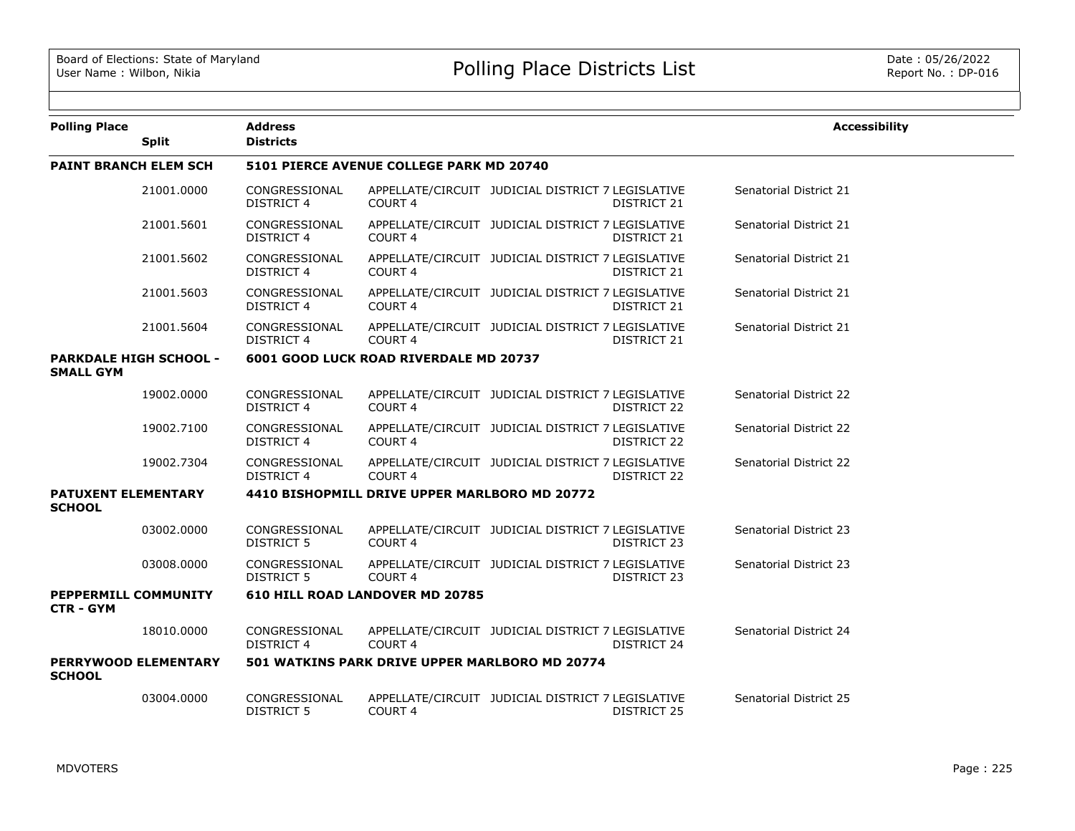| <b>Polling Place</b>                        | <b>Split</b>                  | <b>Address</b><br><b>Districts</b>     |                                                |                                                                         | <b>Accessibility</b>   |  |  |  |
|---------------------------------------------|-------------------------------|----------------------------------------|------------------------------------------------|-------------------------------------------------------------------------|------------------------|--|--|--|
| <b>PAINT BRANCH ELEM SCH</b>                |                               |                                        | 5101 PIERCE AVENUE COLLEGE PARK MD 20740       |                                                                         |                        |  |  |  |
|                                             |                               |                                        |                                                |                                                                         |                        |  |  |  |
|                                             | 21001.0000                    | CONGRESSIONAL<br><b>DISTRICT 4</b>     | <b>COURT 4</b>                                 | APPELLATE/CIRCUIT JUDICIAL DISTRICT 7 LEGISLATIVE<br>DISTRICT 21        | Senatorial District 21 |  |  |  |
|                                             | 21001.5601                    | CONGRESSIONAL<br><b>DISTRICT 4</b>     | COURT <sub>4</sub>                             | APPELLATE/CIRCUIT JUDICIAL DISTRICT 7 LEGISLATIVE<br><b>DISTRICT 21</b> | Senatorial District 21 |  |  |  |
|                                             | 21001.5602                    | CONGRESSIONAL<br><b>DISTRICT 4</b>     | <b>COURT 4</b>                                 | APPELLATE/CIRCUIT JUDICIAL DISTRICT 7 LEGISLATIVE<br>DISTRICT 21        | Senatorial District 21 |  |  |  |
|                                             | 21001.5603                    | CONGRESSIONAL<br><b>DISTRICT 4</b>     | <b>COURT 4</b>                                 | APPELLATE/CIRCUIT JUDICIAL DISTRICT 7 LEGISLATIVE<br>DISTRICT 21        | Senatorial District 21 |  |  |  |
|                                             | 21001.5604                    | CONGRESSIONAL<br><b>DISTRICT 4</b>     | <b>COURT 4</b>                                 | APPELLATE/CIRCUIT JUDICIAL DISTRICT 7 LEGISLATIVE<br>DISTRICT 21        | Senatorial District 21 |  |  |  |
| <b>SMALL GYM</b>                            | <b>PARKDALE HIGH SCHOOL -</b> | 6001 GOOD LUCK ROAD RIVERDALE MD 20737 |                                                |                                                                         |                        |  |  |  |
|                                             | 19002.0000                    | CONGRESSIONAL<br>DISTRICT 4            | COURT 4                                        | APPELLATE/CIRCUIT JUDICIAL DISTRICT 7 LEGISLATIVE<br><b>DISTRICT 22</b> | Senatorial District 22 |  |  |  |
|                                             | 19002.7100                    | CONGRESSIONAL<br><b>DISTRICT 4</b>     | COURT 4                                        | APPELLATE/CIRCUIT JUDICIAL DISTRICT 7 LEGISLATIVE<br><b>DISTRICT 22</b> | Senatorial District 22 |  |  |  |
|                                             | 19002.7304                    | CONGRESSIONAL<br><b>DISTRICT 4</b>     | <b>COURT 4</b>                                 | APPELLATE/CIRCUIT JUDICIAL DISTRICT 7 LEGISLATIVE<br>DISTRICT 22        | Senatorial District 22 |  |  |  |
| <b>PATUXENT ELEMENTARY</b><br><b>SCHOOL</b> |                               |                                        | 4410 BISHOPMILL DRIVE UPPER MARLBORO MD 20772  |                                                                         |                        |  |  |  |
|                                             | 03002.0000                    | CONGRESSIONAL<br><b>DISTRICT 5</b>     | <b>COURT 4</b>                                 | APPELLATE/CIRCUIT JUDICIAL DISTRICT 7 LEGISLATIVE<br><b>DISTRICT 23</b> | Senatorial District 23 |  |  |  |
|                                             | 03008.0000                    | CONGRESSIONAL<br>DISTRICT 5            | <b>COURT 4</b>                                 | APPELLATE/CIRCUIT JUDICIAL DISTRICT 7 LEGISLATIVE<br>DISTRICT 23        | Senatorial District 23 |  |  |  |
| PEPPERMILL COMMUNITY<br><b>CTR - GYM</b>    |                               |                                        | 610 HILL ROAD LANDOVER MD 20785                |                                                                         |                        |  |  |  |
|                                             | 18010.0000                    | CONGRESSIONAL<br>DISTRICT 4            | COURT <sub>4</sub>                             | APPELLATE/CIRCUIT JUDICIAL DISTRICT 7 LEGISLATIVE<br>DISTRICT 24        | Senatorial District 24 |  |  |  |
| <b>SCHOOL</b>                               | <b>PERRYWOOD ELEMENTARY</b>   |                                        | 501 WATKINS PARK DRIVE UPPER MARLBORO MD 20774 |                                                                         |                        |  |  |  |
|                                             | 03004.0000                    | CONGRESSIONAL<br><b>DISTRICT 5</b>     | COURT 4                                        | APPELLATE/CIRCUIT JUDICIAL DISTRICT 7 LEGISLATIVE<br><b>DISTRICT 25</b> | Senatorial District 25 |  |  |  |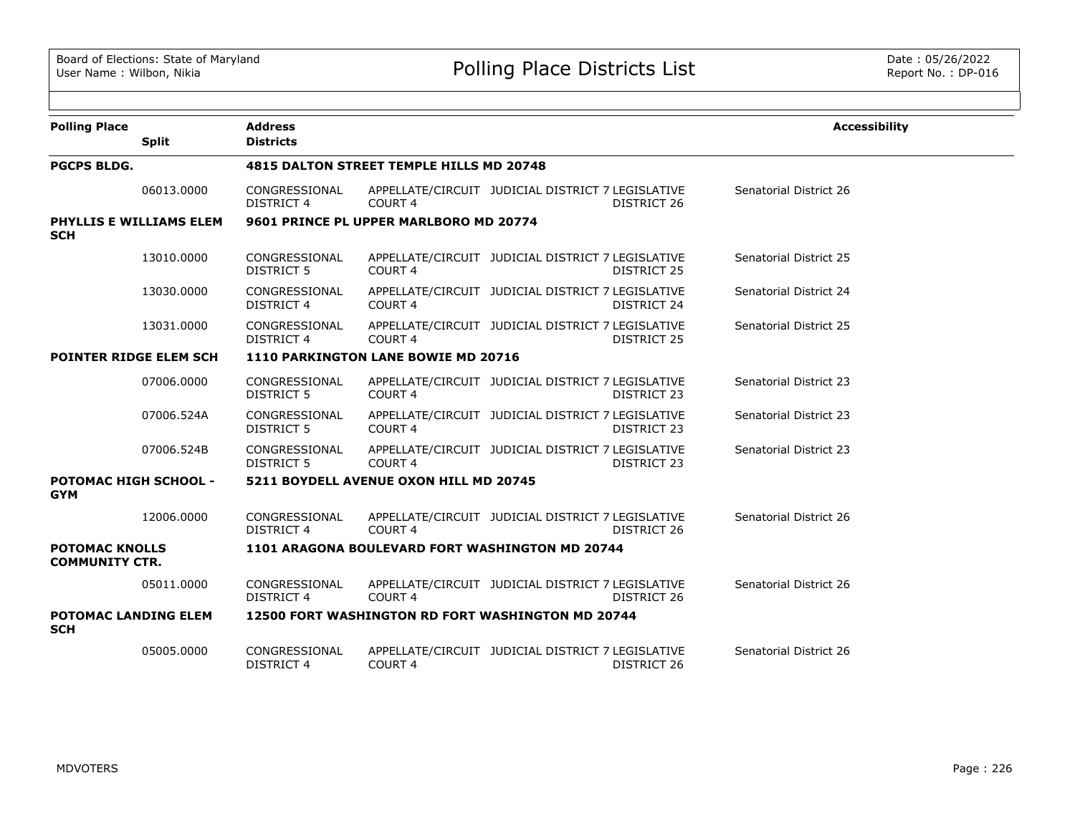| <b>Polling Place</b>                           | <b>Split</b>            | <b>Address</b><br><b>Districts</b>              |                                                   |                                                   |             | <b>Accessibility</b>   |  |  |
|------------------------------------------------|-------------------------|-------------------------------------------------|---------------------------------------------------|---------------------------------------------------|-------------|------------------------|--|--|
| <b>PGCPS BLDG.</b>                             |                         | <b>4815 DALTON STREET TEMPLE HILLS MD 20748</b> |                                                   |                                                   |             |                        |  |  |
|                                                | 06013,0000              | CONGRESSIONAL<br><b>DISTRICT 4</b>              | <b>COURT 4</b>                                    | APPELLATE/CIRCUIT JUDICIAL DISTRICT 7 LEGISLATIVE | DISTRICT 26 | Senatorial District 26 |  |  |
| <b>SCH</b>                                     | PHYLLIS E WILLIAMS ELEM |                                                 | 9601 PRINCE PL UPPER MARLBORO MD 20774            |                                                   |             |                        |  |  |
|                                                | 13010.0000              | CONGRESSIONAL<br><b>DISTRICT 5</b>              | COURT <sub>4</sub>                                | APPELLATE/CIRCUIT JUDICIAL DISTRICT 7 LEGISLATIVE | DISTRICT 25 | Senatorial District 25 |  |  |
|                                                | 13030.0000              | CONGRESSIONAL<br><b>DISTRICT 4</b>              | <b>COURT 4</b>                                    | APPELLATE/CIRCUIT JUDICIAL DISTRICT 7 LEGISLATIVE | DISTRICT 24 | Senatorial District 24 |  |  |
|                                                | 13031.0000              | CONGRESSIONAL<br><b>DISTRICT 4</b>              | COURT <sub>4</sub>                                | APPELLATE/CIRCUIT JUDICIAL DISTRICT 7 LEGISLATIVE | DISTRICT 25 | Senatorial District 25 |  |  |
| <b>POINTER RIDGE ELEM SCH</b>                  |                         | 1110 PARKINGTON LANE BOWIE MD 20716             |                                                   |                                                   |             |                        |  |  |
|                                                | 07006.0000              | CONGRESSIONAL<br><b>DISTRICT 5</b>              | COURT <sub>4</sub>                                | APPELLATE/CIRCUIT JUDICIAL DISTRICT 7 LEGISLATIVE | DISTRICT 23 | Senatorial District 23 |  |  |
|                                                | 07006.524A              | CONGRESSIONAL<br><b>DISTRICT 5</b>              | COURT <sub>4</sub>                                | APPELLATE/CIRCUIT JUDICIAL DISTRICT 7 LEGISLATIVE | DISTRICT 23 | Senatorial District 23 |  |  |
|                                                | 07006.524B              | CONGRESSIONAL<br><b>DISTRICT 5</b>              | COURT <sub>4</sub>                                | APPELLATE/CIRCUIT JUDICIAL DISTRICT 7 LEGISLATIVE | DISTRICT 23 | Senatorial District 23 |  |  |
| <b>POTOMAC HIGH SCHOOL -</b><br><b>GYM</b>     |                         |                                                 | 5211 BOYDELL AVENUE OXON HILL MD 20745            |                                                   |             |                        |  |  |
|                                                | 12006.0000              | CONGRESSIONAL<br><b>DISTRICT 4</b>              | COURT 4                                           | APPELLATE/CIRCUIT JUDICIAL DISTRICT 7 LEGISLATIVE | DISTRICT 26 | Senatorial District 26 |  |  |
| <b>POTOMAC KNOLLS</b><br><b>COMMUNITY CTR.</b> |                         |                                                 | 1101 ARAGONA BOULEVARD FORT WASHINGTON MD 20744   |                                                   |             |                        |  |  |
|                                                | 05011.0000              | CONGRESSIONAL<br><b>DISTRICT 4</b>              | COURT <sub>4</sub>                                | APPELLATE/CIRCUIT JUDICIAL DISTRICT 7 LEGISLATIVE | DISTRICT 26 | Senatorial District 26 |  |  |
| <b>POTOMAC LANDING ELEM</b><br><b>SCH</b>      |                         |                                                 | 12500 FORT WASHINGTON RD FORT WASHINGTON MD 20744 |                                                   |             |                        |  |  |
|                                                | 05005.0000              | CONGRESSIONAL<br><b>DISTRICT 4</b>              | COURT <sub>4</sub>                                | APPELLATE/CIRCUIT JUDICIAL DISTRICT 7 LEGISLATIVE | DISTRICT 26 | Senatorial District 26 |  |  |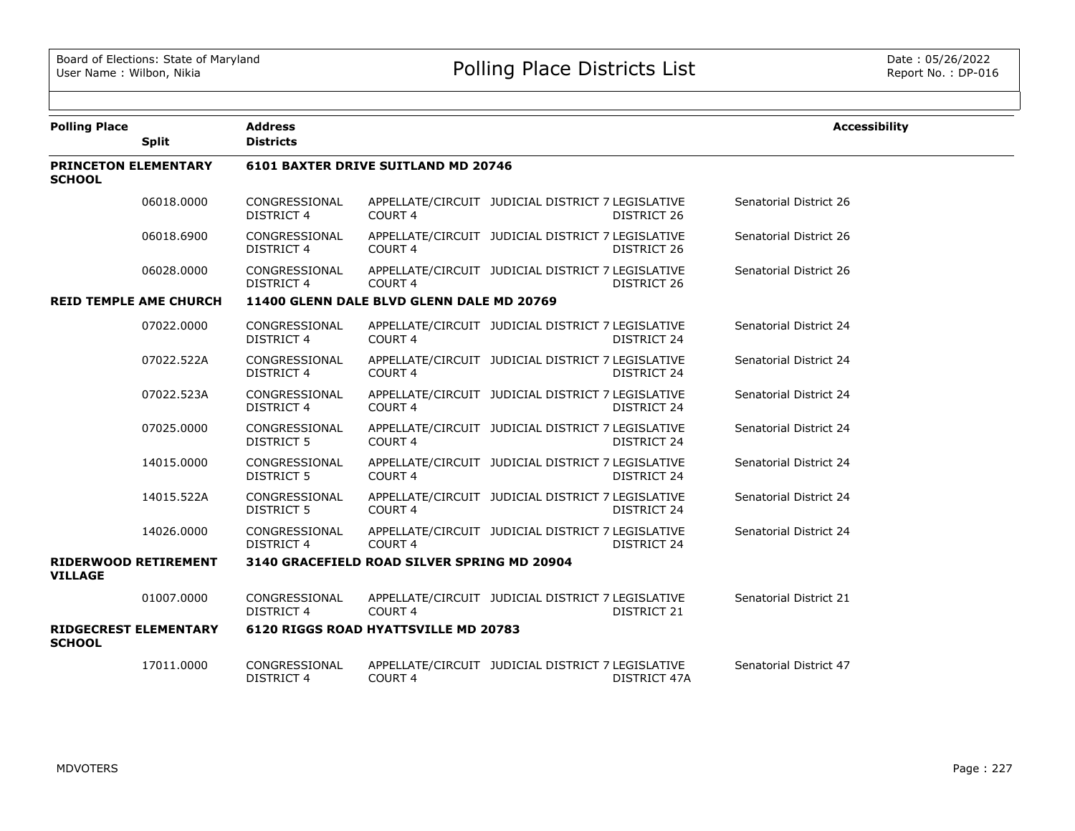| <b>Polling Place</b>                          | <b>Split</b> | <b>Address</b><br><b>Districts</b> |                                             |                                                   |                    | <b>Accessibility</b>   |
|-----------------------------------------------|--------------|------------------------------------|---------------------------------------------|---------------------------------------------------|--------------------|------------------------|
|                                               |              |                                    |                                             |                                                   |                    |                        |
| <b>PRINCETON ELEMENTARY</b><br><b>SCHOOL</b>  |              |                                    | 6101 BAXTER DRIVE SUITLAND MD 20746         |                                                   |                    |                        |
|                                               | 06018,0000   | CONGRESSIONAL<br><b>DISTRICT 4</b> | COURT <sub>4</sub>                          | APPELLATE/CIRCUIT JUDICIAL DISTRICT 7 LEGISLATIVE | DISTRICT 26        | Senatorial District 26 |
|                                               | 06018.6900   | CONGRESSIONAL<br><b>DISTRICT 4</b> | COURT <sub>4</sub>                          | APPELLATE/CIRCUIT JUDICIAL DISTRICT 7 LEGISLATIVE | DISTRICT 26        | Senatorial District 26 |
|                                               | 06028.0000   | CONGRESSIONAL<br><b>DISTRICT 4</b> | COURT <sub>4</sub>                          | APPELLATE/CIRCUIT JUDICIAL DISTRICT 7 LEGISLATIVE | DISTRICT 26        | Senatorial District 26 |
| <b>REID TEMPLE AME CHURCH</b>                 |              |                                    | 11400 GLENN DALE BLVD GLENN DALE MD 20769   |                                                   |                    |                        |
|                                               | 07022.0000   | CONGRESSIONAL<br><b>DISTRICT 4</b> | COURT <sub>4</sub>                          | APPELLATE/CIRCUIT JUDICIAL DISTRICT 7 LEGISLATIVE | <b>DISTRICT 24</b> | Senatorial District 24 |
|                                               | 07022.522A   | CONGRESSIONAL<br><b>DISTRICT 4</b> | COURT <sub>4</sub>                          | APPELLATE/CIRCUIT JUDICIAL DISTRICT 7 LEGISLATIVE | DISTRICT 24        | Senatorial District 24 |
|                                               | 07022.523A   | CONGRESSIONAL<br><b>DISTRICT 4</b> | COURT <sub>4</sub>                          | APPELLATE/CIRCUIT JUDICIAL DISTRICT 7 LEGISLATIVE | DISTRICT 24        | Senatorial District 24 |
|                                               | 07025.0000   | CONGRESSIONAL<br><b>DISTRICT 5</b> | COURT <sub>4</sub>                          | APPELLATE/CIRCUIT JUDICIAL DISTRICT 7 LEGISLATIVE | DISTRICT 24        | Senatorial District 24 |
|                                               | 14015.0000   | CONGRESSIONAL<br>DISTRICT 5        | COURT <sub>4</sub>                          | APPELLATE/CIRCUIT JUDICIAL DISTRICT 7 LEGISLATIVE | DISTRICT 24        | Senatorial District 24 |
|                                               | 14015.522A   | CONGRESSIONAL<br>DISTRICT 5        | COURT 4                                     | APPELLATE/CIRCUIT JUDICIAL DISTRICT 7 LEGISLATIVE | DISTRICT 24        | Senatorial District 24 |
|                                               | 14026.0000   | CONGRESSIONAL<br><b>DISTRICT 4</b> | COURT 4                                     | APPELLATE/CIRCUIT JUDICIAL DISTRICT 7 LEGISLATIVE | DISTRICT 24        | Senatorial District 24 |
| <b>RIDERWOOD RETIREMENT</b><br><b>VILLAGE</b> |              |                                    | 3140 GRACEFIELD ROAD SILVER SPRING MD 20904 |                                                   |                    |                        |
|                                               | 01007.0000   | CONGRESSIONAL<br><b>DISTRICT 4</b> | COURT <sub>4</sub>                          | APPELLATE/CIRCUIT JUDICIAL DISTRICT 7 LEGISLATIVE | DISTRICT 21        | Senatorial District 21 |
| <b>RIDGECREST ELEMENTARY</b><br><b>SCHOOL</b> |              |                                    | <b>6120 RIGGS ROAD HYATTSVILLE MD 20783</b> |                                                   |                    |                        |
|                                               | 17011.0000   | CONGRESSIONAL<br><b>DISTRICT 4</b> | COURT <sub>4</sub>                          | APPELLATE/CIRCUIT JUDICIAL DISTRICT 7 LEGISLATIVE | DISTRICT 47A       | Senatorial District 47 |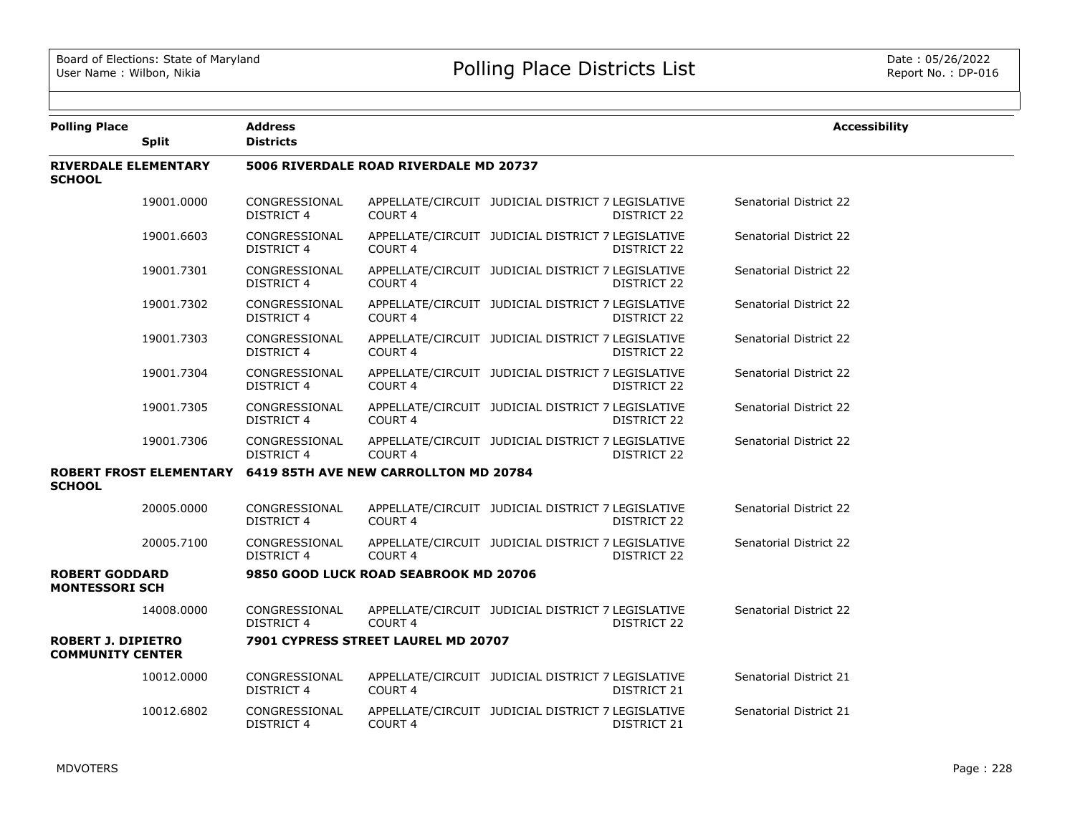| <b>Polling Place</b>                                 | <b>Split</b> | <b>Address</b><br><b>Districts</b>     |                                                               |                                                   |             | <b>Accessibility</b>          |  |  |  |
|------------------------------------------------------|--------------|----------------------------------------|---------------------------------------------------------------|---------------------------------------------------|-------------|-------------------------------|--|--|--|
| <b>RIVERDALE ELEMENTARY</b><br><b>SCHOOL</b>         |              | 5006 RIVERDALE ROAD RIVERDALE MD 20737 |                                                               |                                                   |             |                               |  |  |  |
|                                                      | 19001.0000   | CONGRESSIONAL<br>DISTRICT 4            | COURT <sub>4</sub>                                            | APPELLATE/CIRCUIT JUDICIAL DISTRICT 7 LEGISLATIVE | DISTRICT 22 | <b>Senatorial District 22</b> |  |  |  |
|                                                      | 19001.6603   | CONGRESSIONAL<br><b>DISTRICT 4</b>     | COURT <sub>4</sub>                                            | APPELLATE/CIRCUIT JUDICIAL DISTRICT 7 LEGISLATIVE | DISTRICT 22 | Senatorial District 22        |  |  |  |
|                                                      | 19001.7301   | CONGRESSIONAL<br><b>DISTRICT 4</b>     | COURT <sub>4</sub>                                            | APPELLATE/CIRCUIT JUDICIAL DISTRICT 7 LEGISLATIVE | DISTRICT 22 | Senatorial District 22        |  |  |  |
|                                                      | 19001.7302   | CONGRESSIONAL<br>DISTRICT 4            | COURT <sub>4</sub>                                            | APPELLATE/CIRCUIT JUDICIAL DISTRICT 7 LEGISLATIVE | DISTRICT 22 | Senatorial District 22        |  |  |  |
|                                                      | 19001.7303   | CONGRESSIONAL<br><b>DISTRICT 4</b>     | COURT <sub>4</sub>                                            | APPELLATE/CIRCUIT JUDICIAL DISTRICT 7 LEGISLATIVE | DISTRICT 22 | Senatorial District 22        |  |  |  |
|                                                      | 19001.7304   | CONGRESSIONAL<br><b>DISTRICT 4</b>     | COURT <sub>4</sub>                                            | APPELLATE/CIRCUIT JUDICIAL DISTRICT 7 LEGISLATIVE | DISTRICT 22 | Senatorial District 22        |  |  |  |
|                                                      | 19001.7305   | CONGRESSIONAL<br><b>DISTRICT 4</b>     | COURT <sub>4</sub>                                            | APPELLATE/CIRCUIT JUDICIAL DISTRICT 7 LEGISLATIVE | DISTRICT 22 | Senatorial District 22        |  |  |  |
|                                                      | 19001.7306   | CONGRESSIONAL<br><b>DISTRICT 4</b>     | COURT <sub>4</sub>                                            | APPELLATE/CIRCUIT JUDICIAL DISTRICT 7 LEGISLATIVE | DISTRICT 22 | Senatorial District 22        |  |  |  |
| <b>SCHOOL</b>                                        |              |                                        | ROBERT FROST ELEMENTARY 6419 85TH AVE NEW CARROLLTON MD 20784 |                                                   |             |                               |  |  |  |
|                                                      | 20005.0000   | CONGRESSIONAL<br><b>DISTRICT 4</b>     | COURT <sub>4</sub>                                            | APPELLATE/CIRCUIT JUDICIAL DISTRICT 7 LEGISLATIVE | DISTRICT 22 | Senatorial District 22        |  |  |  |
|                                                      | 20005.7100   | CONGRESSIONAL<br><b>DISTRICT 4</b>     | COURT <sub>4</sub>                                            | APPELLATE/CIRCUIT JUDICIAL DISTRICT 7 LEGISLATIVE | DISTRICT 22 | Senatorial District 22        |  |  |  |
| <b>ROBERT GODDARD</b><br><b>MONTESSORI SCH</b>       |              |                                        | 9850 GOOD LUCK ROAD SEABROOK MD 20706                         |                                                   |             |                               |  |  |  |
|                                                      | 14008,0000   | CONGRESSIONAL<br><b>DISTRICT 4</b>     | COURT 4                                                       | APPELLATE/CIRCUIT JUDICIAL DISTRICT 7 LEGISLATIVE | DISTRICT 22 | Senatorial District 22        |  |  |  |
| <b>ROBERT J. DIPIETRO</b><br><b>COMMUNITY CENTER</b> |              |                                        | 7901 CYPRESS STREET LAUREL MD 20707                           |                                                   |             |                               |  |  |  |
|                                                      | 10012.0000   | CONGRESSIONAL<br><b>DISTRICT 4</b>     | COURT <sub>4</sub>                                            | APPELLATE/CIRCUIT JUDICIAL DISTRICT 7 LEGISLATIVE | DISTRICT 21 | Senatorial District 21        |  |  |  |
|                                                      | 10012.6802   | CONGRESSIONAL<br><b>DISTRICT 4</b>     | COURT 4                                                       | APPELLATE/CIRCUIT JUDICIAL DISTRICT 7 LEGISLATIVE | DISTRICT 21 | Senatorial District 21        |  |  |  |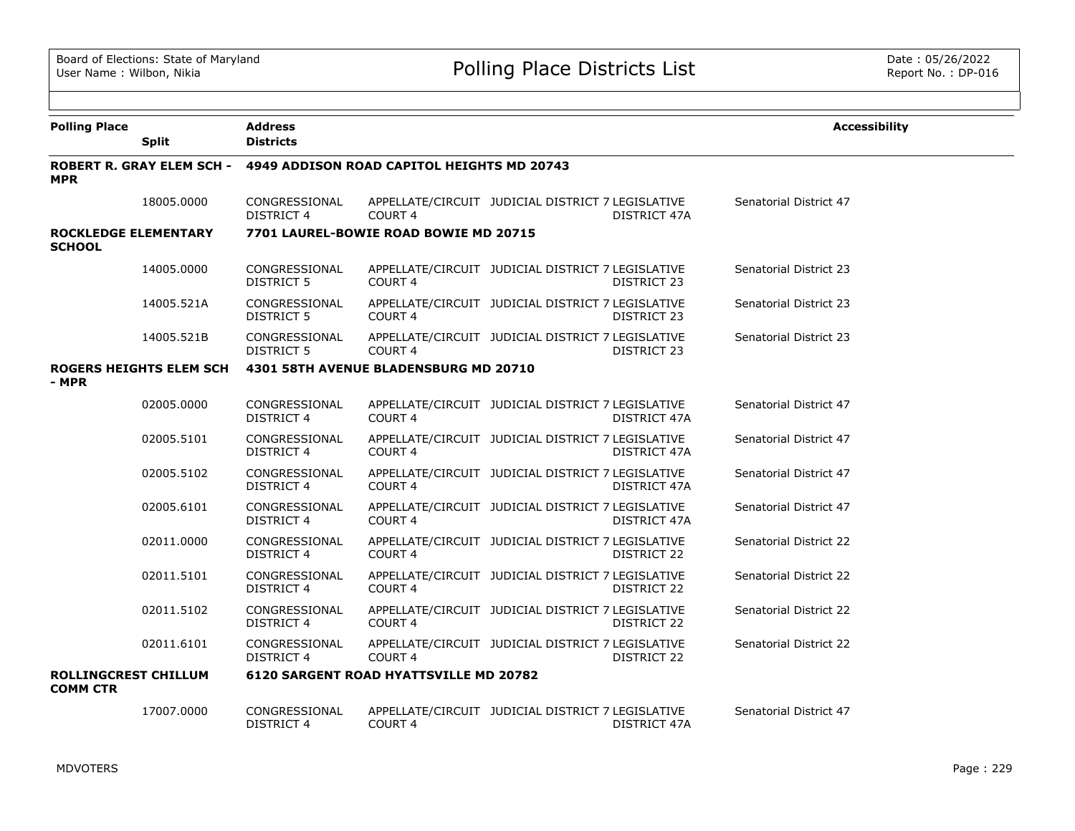| <b>Polling Place</b>                                                             | <b>Split</b>                     | <b>Address</b><br><b>Districts</b> |                                               |                                                   |                     | <b>Accessibility</b>          |  |  |  |
|----------------------------------------------------------------------------------|----------------------------------|------------------------------------|-----------------------------------------------|---------------------------------------------------|---------------------|-------------------------------|--|--|--|
| <b>MPR</b>                                                                       | <b>ROBERT R. GRAY ELEM SCH -</b> |                                    | 4949 ADDISON ROAD CAPITOL HEIGHTS MD 20743    |                                                   |                     |                               |  |  |  |
|                                                                                  | 18005.0000                       | CONGRESSIONAL<br>DISTRICT 4        | COURT <sub>4</sub>                            | APPELLATE/CIRCUIT JUDICIAL DISTRICT 7 LEGISLATIVE | <b>DISTRICT 47A</b> | Senatorial District 47        |  |  |  |
| <b>ROCKLEDGE ELEMENTARY</b><br><b>SCHOOL</b>                                     |                                  |                                    | 7701 LAUREL-BOWIE ROAD BOWIE MD 20715         |                                                   |                     |                               |  |  |  |
|                                                                                  | 14005.0000                       | CONGRESSIONAL<br><b>DISTRICT 5</b> | COURT 4                                       | APPELLATE/CIRCUIT JUDICIAL DISTRICT 7 LEGISLATIVE | DISTRICT 23         | <b>Senatorial District 23</b> |  |  |  |
|                                                                                  | 14005.521A                       | CONGRESSIONAL<br>DISTRICT 5        | COURT <sub>4</sub>                            | APPELLATE/CIRCUIT JUDICIAL DISTRICT 7 LEGISLATIVE | DISTRICT 23         | Senatorial District 23        |  |  |  |
|                                                                                  | 14005.521B                       | CONGRESSIONAL<br>DISTRICT 5        | COURT <sub>4</sub>                            | APPELLATE/CIRCUIT JUDICIAL DISTRICT 7 LEGISLATIVE | DISTRICT 23         | Senatorial District 23        |  |  |  |
| <b>ROGERS HEIGHTS ELEM SCH</b><br>4301 58TH AVENUE BLADENSBURG MD 20710<br>- MPR |                                  |                                    |                                               |                                                   |                     |                               |  |  |  |
|                                                                                  | 02005.0000                       | CONGRESSIONAL<br>DISTRICT 4        | COURT 4                                       | APPELLATE/CIRCUIT JUDICIAL DISTRICT 7 LEGISLATIVE | DISTRICT 47A        | Senatorial District 47        |  |  |  |
|                                                                                  | 02005.5101                       | CONGRESSIONAL<br>DISTRICT 4        | COURT <sub>4</sub>                            | APPELLATE/CIRCUIT JUDICIAL DISTRICT 7 LEGISLATIVE | DISTRICT 47A        | Senatorial District 47        |  |  |  |
|                                                                                  | 02005.5102                       | CONGRESSIONAL<br>DISTRICT 4        | COURT 4                                       | APPELLATE/CIRCUIT JUDICIAL DISTRICT 7 LEGISLATIVE | DISTRICT 47A        | Senatorial District 47        |  |  |  |
|                                                                                  | 02005.6101                       | CONGRESSIONAL<br>DISTRICT 4        | COURT <sub>4</sub>                            | APPELLATE/CIRCUIT JUDICIAL DISTRICT 7 LEGISLATIVE | DISTRICT 47A        | Senatorial District 47        |  |  |  |
|                                                                                  | 02011.0000                       | CONGRESSIONAL<br><b>DISTRICT 4</b> | COURT 4                                       | APPELLATE/CIRCUIT JUDICIAL DISTRICT 7 LEGISLATIVE | DISTRICT 22         | Senatorial District 22        |  |  |  |
|                                                                                  | 02011.5101                       | CONGRESSIONAL<br>DISTRICT 4        | COURT 4                                       | APPELLATE/CIRCUIT JUDICIAL DISTRICT 7 LEGISLATIVE | DISTRICT 22         | Senatorial District 22        |  |  |  |
|                                                                                  | 02011.5102                       | CONGRESSIONAL<br>DISTRICT 4        | COURT 4                                       | APPELLATE/CIRCUIT JUDICIAL DISTRICT 7 LEGISLATIVE | DISTRICT 22         | Senatorial District 22        |  |  |  |
|                                                                                  | 02011.6101                       | CONGRESSIONAL<br>DISTRICT 4        | COURT 4                                       | APPELLATE/CIRCUIT JUDICIAL DISTRICT 7 LEGISLATIVE | DISTRICT 22         | Senatorial District 22        |  |  |  |
| <b>ROLLINGCREST CHILLUM</b><br><b>COMM CTR</b>                                   |                                  |                                    | <b>6120 SARGENT ROAD HYATTSVILLE MD 20782</b> |                                                   |                     |                               |  |  |  |
|                                                                                  | 17007.0000                       | CONGRESSIONAL<br>DISTRICT 4        | COURT 4                                       | APPELLATE/CIRCUIT JUDICIAL DISTRICT 7 LEGISLATIVE | DISTRICT 47A        | Senatorial District 47        |  |  |  |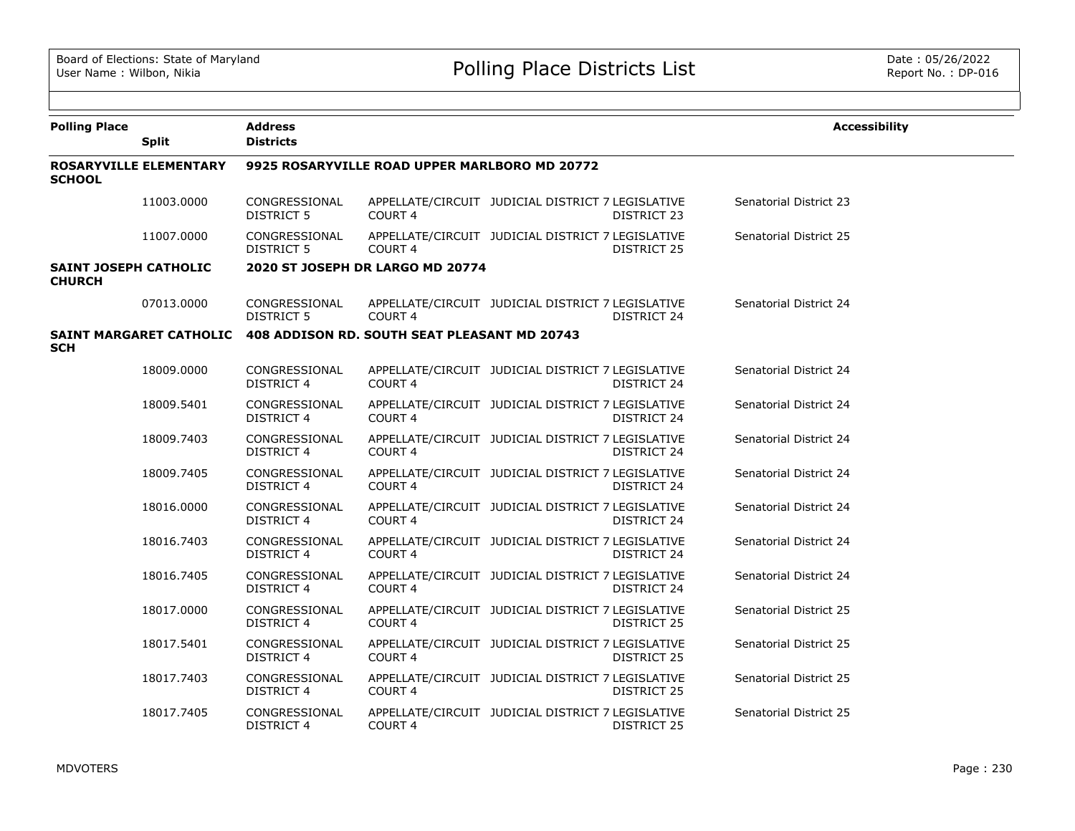| <b>Polling Place</b>                          | <b>Split</b>                   | <b>Address</b><br><b>Districts</b>            |                                              |                                                   |                    | <b>Accessibility</b>   |  |  |
|-----------------------------------------------|--------------------------------|-----------------------------------------------|----------------------------------------------|---------------------------------------------------|--------------------|------------------------|--|--|
| <b>SCHOOL</b>                                 | <b>ROSARYVILLE ELEMENTARY</b>  | 9925 ROSARYVILLE ROAD UPPER MARLBORO MD 20772 |                                              |                                                   |                    |                        |  |  |
|                                               | 11003.0000                     | CONGRESSIONAL<br>DISTRICT 5                   | COURT <sub>4</sub>                           | APPELLATE/CIRCUIT JUDICIAL DISTRICT 7 LEGISLATIVE | DISTRICT 23        | Senatorial District 23 |  |  |
|                                               | 11007.0000                     | CONGRESSIONAL<br>DISTRICT 5                   | <b>COURT 4</b>                               | APPELLATE/CIRCUIT JUDICIAL DISTRICT 7 LEGISLATIVE | DISTRICT 25        | Senatorial District 25 |  |  |
| <b>SAINT JOSEPH CATHOLIC</b><br><b>CHURCH</b> |                                |                                               | 2020 ST JOSEPH DR LARGO MD 20774             |                                                   |                    |                        |  |  |
|                                               | 07013.0000                     | CONGRESSIONAL<br><b>DISTRICT 5</b>            | COURT <sub>4</sub>                           | APPELLATE/CIRCUIT JUDICIAL DISTRICT 7 LEGISLATIVE | DISTRICT 24        | Senatorial District 24 |  |  |
| <b>SCH</b>                                    | <b>SAINT MARGARET CATHOLIC</b> |                                               | 408 ADDISON RD. SOUTH SEAT PLEASANT MD 20743 |                                                   |                    |                        |  |  |
|                                               | 18009.0000                     | CONGRESSIONAL<br><b>DISTRICT 4</b>            | COURT <sub>4</sub>                           | APPELLATE/CIRCUIT JUDICIAL DISTRICT 7 LEGISLATIVE | DISTRICT 24        | Senatorial District 24 |  |  |
|                                               | 18009.5401                     | CONGRESSIONAL<br><b>DISTRICT 4</b>            | <b>COURT 4</b>                               | APPELLATE/CIRCUIT JUDICIAL DISTRICT 7 LEGISLATIVE | DISTRICT 24        | Senatorial District 24 |  |  |
|                                               | 18009.7403                     | CONGRESSIONAL<br><b>DISTRICT 4</b>            | <b>COURT 4</b>                               | APPELLATE/CIRCUIT JUDICIAL DISTRICT 7 LEGISLATIVE | DISTRICT 24        | Senatorial District 24 |  |  |
|                                               | 18009.7405                     | CONGRESSIONAL<br><b>DISTRICT 4</b>            | COURT <sub>4</sub>                           | APPELLATE/CIRCUIT JUDICIAL DISTRICT 7 LEGISLATIVE | DISTRICT 24        | Senatorial District 24 |  |  |
|                                               | 18016.0000                     | CONGRESSIONAL<br><b>DISTRICT 4</b>            | COURT 4                                      | APPELLATE/CIRCUIT JUDICIAL DISTRICT 7 LEGISLATIVE | DISTRICT 24        | Senatorial District 24 |  |  |
|                                               | 18016.7403                     | CONGRESSIONAL<br><b>DISTRICT 4</b>            | <b>COURT 4</b>                               | APPELLATE/CIRCUIT JUDICIAL DISTRICT 7 LEGISLATIVE | DISTRICT 24        | Senatorial District 24 |  |  |
|                                               | 18016.7405                     | CONGRESSIONAL<br><b>DISTRICT 4</b>            | COURT <sub>4</sub>                           | APPELLATE/CIRCUIT JUDICIAL DISTRICT 7 LEGISLATIVE | DISTRICT 24        | Senatorial District 24 |  |  |
|                                               | 18017.0000                     | CONGRESSIONAL<br><b>DISTRICT 4</b>            | COURT 4                                      | APPELLATE/CIRCUIT JUDICIAL DISTRICT 7 LEGISLATIVE | DISTRICT 25        | Senatorial District 25 |  |  |
|                                               | 18017.5401                     | CONGRESSIONAL<br><b>DISTRICT 4</b>            | COURT 4                                      | APPELLATE/CIRCUIT JUDICIAL DISTRICT 7 LEGISLATIVE | DISTRICT 25        | Senatorial District 25 |  |  |
|                                               | 18017.7403                     | CONGRESSIONAL<br><b>DISTRICT 4</b>            | COURT 4                                      | APPELLATE/CIRCUIT JUDICIAL DISTRICT 7 LEGISLATIVE | DISTRICT 25        | Senatorial District 25 |  |  |
|                                               | 18017.7405                     | CONGRESSIONAL<br><b>DISTRICT 4</b>            | COURT <sub>4</sub>                           | APPELLATE/CIRCUIT JUDICIAL DISTRICT 7 LEGISLATIVE | <b>DISTRICT 25</b> | Senatorial District 25 |  |  |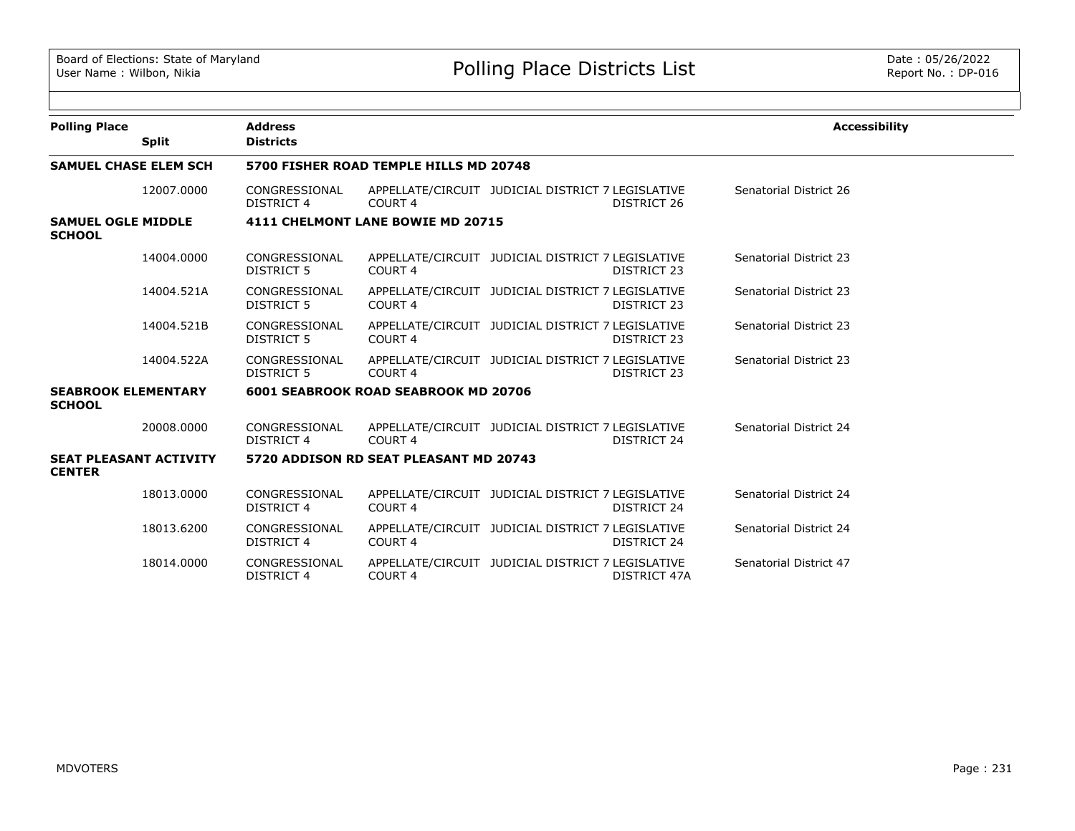| <b>Polling Place</b>                        |                               | <b>Address</b>                         |                                             |                                                   |                    | <b>Accessibility</b>   |  |  |  |
|---------------------------------------------|-------------------------------|----------------------------------------|---------------------------------------------|---------------------------------------------------|--------------------|------------------------|--|--|--|
|                                             | <b>Split</b>                  | <b>Districts</b>                       |                                             |                                                   |                    |                        |  |  |  |
| <b>SAMUEL CHASE ELEM SCH</b>                |                               | 5700 FISHER ROAD TEMPLE HILLS MD 20748 |                                             |                                                   |                    |                        |  |  |  |
|                                             | 12007.0000                    | CONGRESSIONAL<br>DISTRICT 4            | COURT 4                                     | APPELLATE/CIRCUIT JUDICIAL DISTRICT 7 LEGISLATIVE | DISTRICT 26        | Senatorial District 26 |  |  |  |
| <b>SAMUEL OGLE MIDDLE</b><br><b>SCHOOL</b>  |                               | 4111 CHELMONT LANE BOWIE MD 20715      |                                             |                                                   |                    |                        |  |  |  |
|                                             | 14004.0000                    | CONGRESSIONAL<br><b>DISTRICT 5</b>     | COURT <sub>4</sub>                          | APPELLATE/CIRCUIT JUDICIAL DISTRICT 7 LEGISLATIVE | DISTRICT 23        | Senatorial District 23 |  |  |  |
|                                             | 14004.521A                    | CONGRESSIONAL<br><b>DISTRICT 5</b>     | COURT 4                                     | APPELLATE/CIRCUIT JUDICIAL DISTRICT 7 LEGISLATIVE | DISTRICT 23        | Senatorial District 23 |  |  |  |
|                                             | 14004.521B                    | CONGRESSIONAL<br>DISTRICT 5            | COURT 4                                     | APPELLATE/CIRCUIT JUDICIAL DISTRICT 7 LEGISLATIVE | DISTRICT 23        | Senatorial District 23 |  |  |  |
|                                             | 14004.522A                    | CONGRESSIONAL<br><b>DISTRICT 5</b>     | COURT 4                                     | APPELLATE/CIRCUIT JUDICIAL DISTRICT 7 LEGISLATIVE | DISTRICT 23        | Senatorial District 23 |  |  |  |
| <b>SEABROOK ELEMENTARY</b><br><b>SCHOOL</b> |                               |                                        | <b>6001 SEABROOK ROAD SEABROOK MD 20706</b> |                                                   |                    |                        |  |  |  |
|                                             | 20008.0000                    | CONGRESSIONAL<br>DISTRICT 4            | COURT 4                                     | APPELLATE/CIRCUIT JUDICIAL DISTRICT 7 LEGISLATIVE | DISTRICT 24        | Senatorial District 24 |  |  |  |
| <b>CENTER</b>                               | <b>SEAT PLEASANT ACTIVITY</b> |                                        | 5720 ADDISON RD SEAT PLEASANT MD 20743      |                                                   |                    |                        |  |  |  |
|                                             | 18013.0000                    | CONGRESSIONAL<br><b>DISTRICT 4</b>     | COURT 4                                     | APPELLATE/CIRCUIT JUDICIAL DISTRICT 7 LEGISLATIVE | <b>DISTRICT 24</b> | Senatorial District 24 |  |  |  |
|                                             | 18013.6200                    | CONGRESSIONAL<br><b>DISTRICT 4</b>     | COURT 4                                     | APPELLATE/CIRCUIT JUDICIAL DISTRICT 7 LEGISLATIVE | DISTRICT 24        | Senatorial District 24 |  |  |  |
|                                             | 18014.0000                    | CONGRESSIONAL<br><b>DISTRICT 4</b>     | COURT 4                                     | APPELLATE/CIRCUIT JUDICIAL DISTRICT 7 LEGISLATIVE | DISTRICT 47A       | Senatorial District 47 |  |  |  |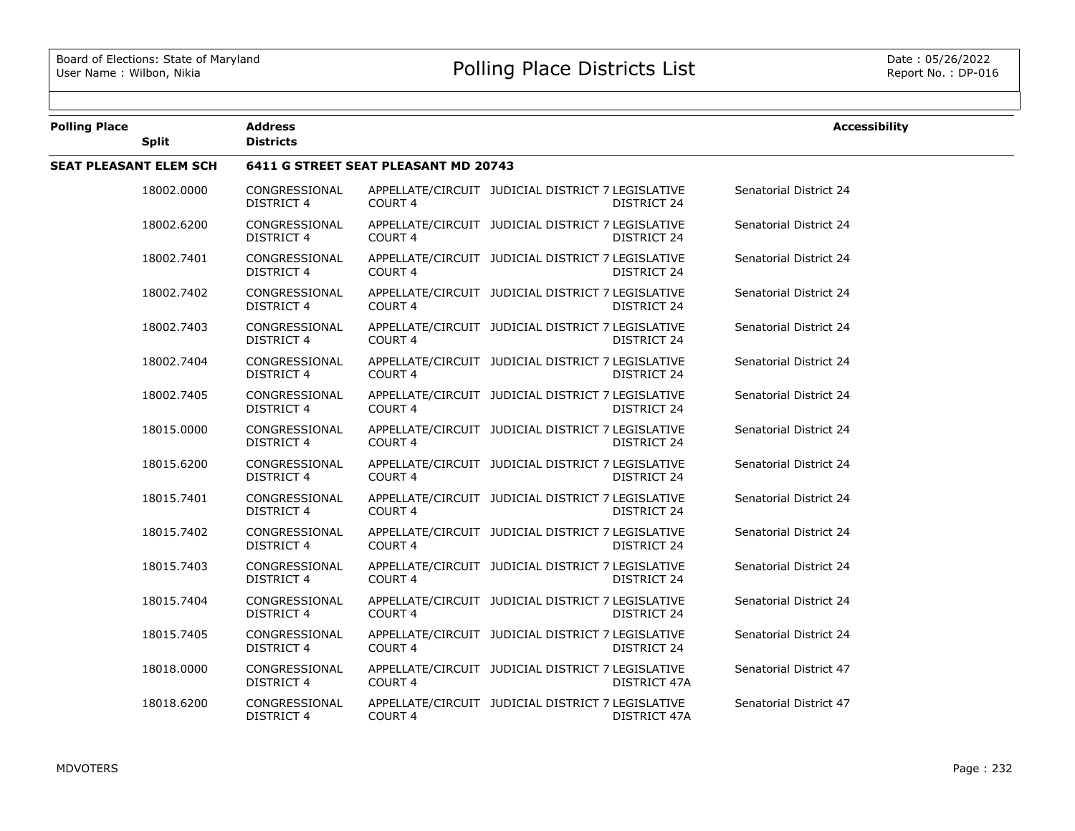| <b>Polling Place</b> | <b>Split</b>                  | <b>Address</b><br><b>Districts</b>   |                    |                                                                   | <b>Accessibility</b>   |  |  |  |  |
|----------------------|-------------------------------|--------------------------------------|--------------------|-------------------------------------------------------------------|------------------------|--|--|--|--|
|                      | <b>SEAT PLEASANT ELEM SCH</b> | 6411 G STREET SEAT PLEASANT MD 20743 |                    |                                                                   |                        |  |  |  |  |
|                      | 18002.0000                    | CONGRESSIONAL<br><b>DISTRICT 4</b>   | COURT <sub>4</sub> | APPELLATE/CIRCUIT JUDICIAL DISTRICT 7 LEGISLATIVE<br>DISTRICT 24  | Senatorial District 24 |  |  |  |  |
|                      | 18002.6200                    | CONGRESSIONAL<br><b>DISTRICT 4</b>   | COURT <sub>4</sub> | APPELLATE/CIRCUIT JUDICIAL DISTRICT 7 LEGISLATIVE<br>DISTRICT 24  | Senatorial District 24 |  |  |  |  |
|                      | 18002.7401                    | CONGRESSIONAL<br><b>DISTRICT 4</b>   | <b>COURT 4</b>     | APPELLATE/CIRCUIT JUDICIAL DISTRICT 7 LEGISLATIVE<br>DISTRICT 24  | Senatorial District 24 |  |  |  |  |
|                      | 18002.7402                    | CONGRESSIONAL<br>DISTRICT 4          | <b>COURT 4</b>     | APPELLATE/CIRCUIT JUDICIAL DISTRICT 7 LEGISLATIVE<br>DISTRICT 24  | Senatorial District 24 |  |  |  |  |
|                      | 18002.7403                    | CONGRESSIONAL<br><b>DISTRICT 4</b>   | <b>COURT 4</b>     | APPELLATE/CIRCUIT JUDICIAL DISTRICT 7 LEGISLATIVE<br>DISTRICT 24  | Senatorial District 24 |  |  |  |  |
|                      | 18002.7404                    | CONGRESSIONAL<br><b>DISTRICT 4</b>   | COURT 4            | APPELLATE/CIRCUIT JUDICIAL DISTRICT 7 LEGISLATIVE<br>DISTRICT 24  | Senatorial District 24 |  |  |  |  |
|                      | 18002.7405                    | CONGRESSIONAL<br><b>DISTRICT 4</b>   | <b>COURT 4</b>     | APPELLATE/CIRCUIT JUDICIAL DISTRICT 7 LEGISLATIVE<br>DISTRICT 24  | Senatorial District 24 |  |  |  |  |
|                      | 18015.0000                    | CONGRESSIONAL<br><b>DISTRICT 4</b>   | COURT <sub>4</sub> | APPELLATE/CIRCUIT JUDICIAL DISTRICT 7 LEGISLATIVE<br>DISTRICT 24  | Senatorial District 24 |  |  |  |  |
|                      | 18015.6200                    | CONGRESSIONAL<br><b>DISTRICT 4</b>   | COURT <sub>4</sub> | APPELLATE/CIRCUIT JUDICIAL DISTRICT 7 LEGISLATIVE<br>DISTRICT 24  | Senatorial District 24 |  |  |  |  |
|                      | 18015.7401                    | CONGRESSIONAL<br><b>DISTRICT 4</b>   | COURT <sub>4</sub> | APPELLATE/CIRCUIT JUDICIAL DISTRICT 7 LEGISLATIVE<br>DISTRICT 24  | Senatorial District 24 |  |  |  |  |
|                      | 18015.7402                    | CONGRESSIONAL<br><b>DISTRICT 4</b>   | COURT <sub>4</sub> | APPELLATE/CIRCUIT JUDICIAL DISTRICT 7 LEGISLATIVE<br>DISTRICT 24  | Senatorial District 24 |  |  |  |  |
|                      | 18015.7403                    | CONGRESSIONAL<br><b>DISTRICT 4</b>   | COURT 4            | APPELLATE/CIRCUIT JUDICIAL DISTRICT 7 LEGISLATIVE<br>DISTRICT 24  | Senatorial District 24 |  |  |  |  |
|                      | 18015.7404                    | CONGRESSIONAL<br><b>DISTRICT 4</b>   | COURT 4            | APPELLATE/CIRCUIT JUDICIAL DISTRICT 7 LEGISLATIVE<br>DISTRICT 24  | Senatorial District 24 |  |  |  |  |
|                      | 18015.7405                    | CONGRESSIONAL<br>DISTRICT 4          | COURT 4            | APPELLATE/CIRCUIT JUDICIAL DISTRICT 7 LEGISLATIVE<br>DISTRICT 24  | Senatorial District 24 |  |  |  |  |
|                      | 18018.0000                    | CONGRESSIONAL<br><b>DISTRICT 4</b>   | COURT 4            | APPELLATE/CIRCUIT JUDICIAL DISTRICT 7 LEGISLATIVE<br>DISTRICT 47A | Senatorial District 47 |  |  |  |  |
|                      | 18018.6200                    | CONGRESSIONAL<br>DISTRICT 4          | COURT 4            | APPELLATE/CIRCUIT JUDICIAL DISTRICT 7 LEGISLATIVE<br>DISTRICT 47A | Senatorial District 47 |  |  |  |  |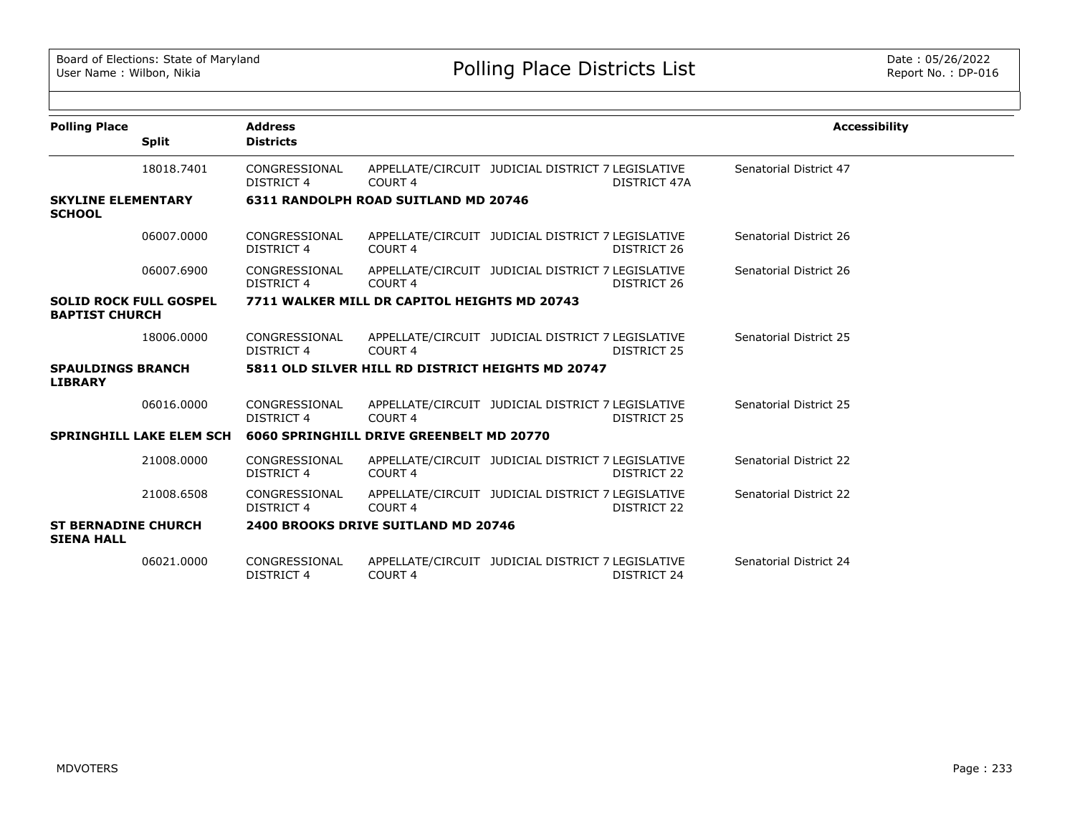| <b>Polling Place</b>                                   | <b>Split</b>                    | <b>Address</b><br><b>Districts</b> |                                                   |                                                   |                    | <b>Accessibility</b>          |
|--------------------------------------------------------|---------------------------------|------------------------------------|---------------------------------------------------|---------------------------------------------------|--------------------|-------------------------------|
|                                                        |                                 |                                    |                                                   |                                                   |                    |                               |
|                                                        | 18018.7401                      | CONGRESSIONAL<br><b>DISTRICT 4</b> | COURT <sub>4</sub>                                | APPELLATE/CIRCUIT JUDICIAL DISTRICT 7 LEGISLATIVE | DISTRICT 47A       | Senatorial District 47        |
| <b>SKYLINE ELEMENTARY</b><br><b>SCHOOL</b>             |                                 |                                    | <b>6311 RANDOLPH ROAD SUITLAND MD 20746</b>       |                                                   |                    |                               |
|                                                        | 06007.0000                      | CONGRESSIONAL<br><b>DISTRICT 4</b> | COURT <sub>4</sub>                                | APPELLATE/CIRCUIT JUDICIAL DISTRICT 7 LEGISLATIVE | DISTRICT 26        | Senatorial District 26        |
|                                                        | 06007.6900                      | CONGRESSIONAL<br><b>DISTRICT 4</b> | COURT <sub>4</sub>                                | APPELLATE/CIRCUIT JUDICIAL DISTRICT 7 LEGISLATIVE | DISTRICT 26        | Senatorial District 26        |
| <b>SOLID ROCK FULL GOSPEL</b><br><b>BAPTIST CHURCH</b> |                                 |                                    | 7711 WALKER MILL DR CAPITOL HEIGHTS MD 20743      |                                                   |                    |                               |
|                                                        | 18006.0000                      | CONGRESSIONAL<br>DISTRICT 4        | COURT 4                                           | APPELLATE/CIRCUIT JUDICIAL DISTRICT 7 LEGISLATIVE | DISTRICT 25        | Senatorial District 25        |
| <b>SPAULDINGS BRANCH</b><br><b>LIBRARY</b>             |                                 |                                    | 5811 OLD SILVER HILL RD DISTRICT HEIGHTS MD 20747 |                                                   |                    |                               |
|                                                        | 06016.0000                      | CONGRESSIONAL<br>DISTRICT 4        | COURT <sub>4</sub>                                | APPELLATE/CIRCUIT JUDICIAL DISTRICT 7 LEGISLATIVE | DISTRICT 25        | Senatorial District 25        |
|                                                        | <b>SPRINGHILL LAKE ELEM SCH</b> |                                    | 6060 SPRINGHILL DRIVE GREENBELT MD 20770          |                                                   |                    |                               |
|                                                        | 21008.0000                      | CONGRESSIONAL<br><b>DISTRICT 4</b> | COURT <sub>4</sub>                                | APPELLATE/CIRCUIT JUDICIAL DISTRICT 7 LEGISLATIVE | DISTRICT 22        | <b>Senatorial District 22</b> |
|                                                        | 21008.6508                      | CONGRESSIONAL<br><b>DISTRICT 4</b> | COURT <sub>4</sub>                                | APPELLATE/CIRCUIT JUDICIAL DISTRICT 7 LEGISLATIVE | <b>DISTRICT 22</b> | <b>Senatorial District 22</b> |
| <b>ST BERNADINE CHURCH</b><br><b>SIENA HALL</b>        |                                 |                                    | 2400 BROOKS DRIVE SUITLAND MD 20746               |                                                   |                    |                               |
|                                                        | 06021,0000                      | CONGRESSIONAL<br><b>DISTRICT 4</b> | COURT 4                                           | APPELLATE/CIRCUIT JUDICIAL DISTRICT 7 LEGISLATIVE | DISTRICT 24        | Senatorial District 24        |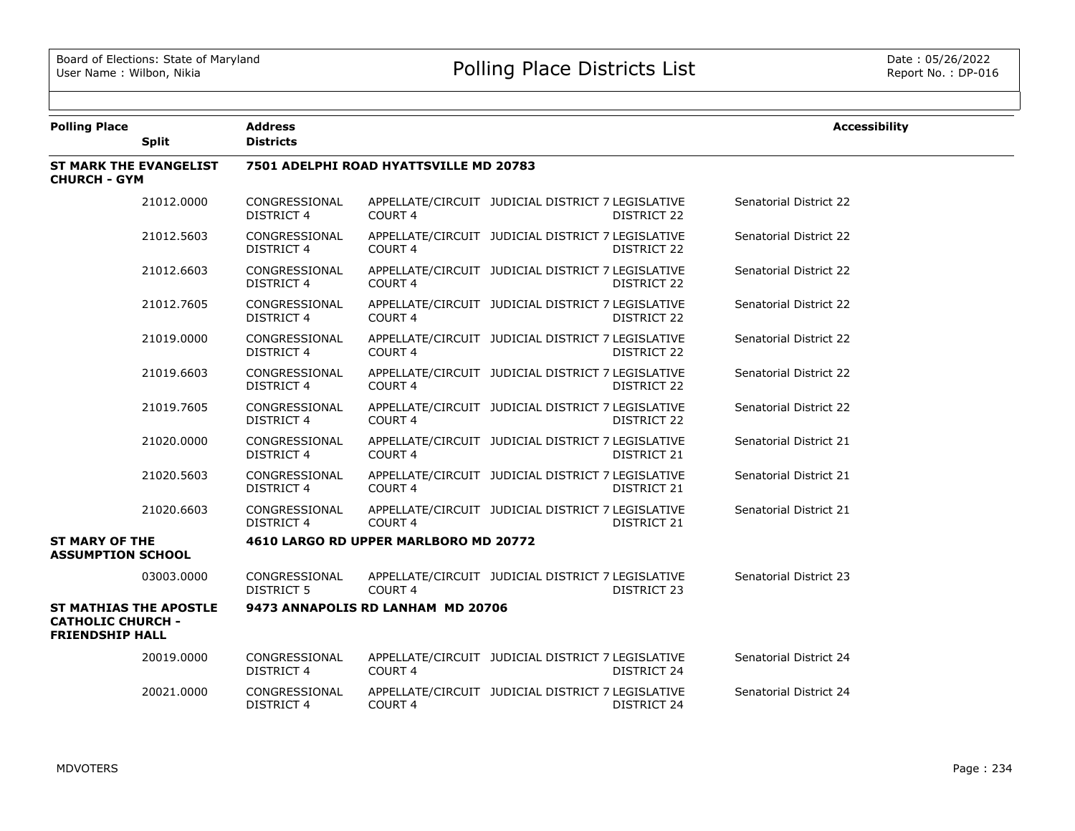| <b>Polling Place</b>                               | <b>Split</b>                  | <b>Address</b><br><b>Districts</b>     |                                       |                                                                         |  | <b>Accessibility</b>   |  |  |  |
|----------------------------------------------------|-------------------------------|----------------------------------------|---------------------------------------|-------------------------------------------------------------------------|--|------------------------|--|--|--|
| <b>CHURCH - GYM</b>                                | <b>ST MARK THE EVANGELIST</b> | 7501 ADELPHI ROAD HYATTSVILLE MD 20783 |                                       |                                                                         |  |                        |  |  |  |
|                                                    | 21012.0000                    | CONGRESSIONAL<br><b>DISTRICT 4</b>     | COURT <sub>4</sub>                    | APPELLATE/CIRCUIT JUDICIAL DISTRICT 7 LEGISLATIVE<br>DISTRICT 22        |  | Senatorial District 22 |  |  |  |
|                                                    | 21012.5603                    | CONGRESSIONAL<br><b>DISTRICT 4</b>     | COURT <sub>4</sub>                    | APPELLATE/CIRCUIT JUDICIAL DISTRICT 7 LEGISLATIVE<br>DISTRICT 22        |  | Senatorial District 22 |  |  |  |
|                                                    | 21012.6603                    | CONGRESSIONAL<br>DISTRICT 4            | COURT 4                               | APPELLATE/CIRCUIT JUDICIAL DISTRICT 7 LEGISLATIVE<br>DISTRICT 22        |  | Senatorial District 22 |  |  |  |
|                                                    | 21012.7605                    | CONGRESSIONAL<br><b>DISTRICT 4</b>     | COURT 4                               | APPELLATE/CIRCUIT JUDICIAL DISTRICT 7 LEGISLATIVE<br>DISTRICT 22        |  | Senatorial District 22 |  |  |  |
|                                                    | 21019.0000                    | CONGRESSIONAL<br><b>DISTRICT 4</b>     | COURT 4                               | APPELLATE/CIRCUIT JUDICIAL DISTRICT 7 LEGISLATIVE<br><b>DISTRICT 22</b> |  | Senatorial District 22 |  |  |  |
|                                                    | 21019.6603                    | CONGRESSIONAL<br><b>DISTRICT 4</b>     | COURT <sub>4</sub>                    | APPELLATE/CIRCUIT JUDICIAL DISTRICT 7 LEGISLATIVE<br>DISTRICT 22        |  | Senatorial District 22 |  |  |  |
|                                                    | 21019.7605                    | CONGRESSIONAL<br><b>DISTRICT 4</b>     | COURT <sub>4</sub>                    | APPELLATE/CIRCUIT JUDICIAL DISTRICT 7 LEGISLATIVE<br><b>DISTRICT 22</b> |  | Senatorial District 22 |  |  |  |
|                                                    | 21020,0000                    | CONGRESSIONAL<br><b>DISTRICT 4</b>     | COURT <sub>4</sub>                    | APPELLATE/CIRCUIT JUDICIAL DISTRICT 7 LEGISLATIVE<br>DISTRICT 21        |  | Senatorial District 21 |  |  |  |
|                                                    | 21020.5603                    | CONGRESSIONAL<br><b>DISTRICT 4</b>     | COURT <sub>4</sub>                    | APPELLATE/CIRCUIT JUDICIAL DISTRICT 7 LEGISLATIVE<br>DISTRICT 21        |  | Senatorial District 21 |  |  |  |
|                                                    | 21020.6603                    | CONGRESSIONAL<br><b>DISTRICT 4</b>     | COURT <sub>4</sub>                    | APPELLATE/CIRCUIT JUDICIAL DISTRICT 7 LEGISLATIVE<br>DISTRICT 21        |  | Senatorial District 21 |  |  |  |
| <b>ST MARY OF THE</b><br><b>ASSUMPTION SCHOOL</b>  |                               |                                        | 4610 LARGO RD UPPER MARLBORO MD 20772 |                                                                         |  |                        |  |  |  |
|                                                    | 03003.0000                    | CONGRESSIONAL<br>DISTRICT 5            | COURT 4                               | APPELLATE/CIRCUIT JUDICIAL DISTRICT 7 LEGISLATIVE<br>DISTRICT 23        |  | Senatorial District 23 |  |  |  |
| <b>CATHOLIC CHURCH -</b><br><b>FRIENDSHIP HALL</b> | <b>ST MATHIAS THE APOSTLE</b> |                                        | 9473 ANNAPOLIS RD LANHAM MD 20706     |                                                                         |  |                        |  |  |  |
|                                                    | 20019.0000                    | CONGRESSIONAL<br><b>DISTRICT 4</b>     | COURT 4                               | APPELLATE/CIRCUIT JUDICIAL DISTRICT 7 LEGISLATIVE<br>DISTRICT 24        |  | Senatorial District 24 |  |  |  |
|                                                    | 20021.0000                    | CONGRESSIONAL<br><b>DISTRICT 4</b>     | COURT <sub>4</sub>                    | APPELLATE/CIRCUIT JUDICIAL DISTRICT 7 LEGISLATIVE<br><b>DISTRICT 24</b> |  | Senatorial District 24 |  |  |  |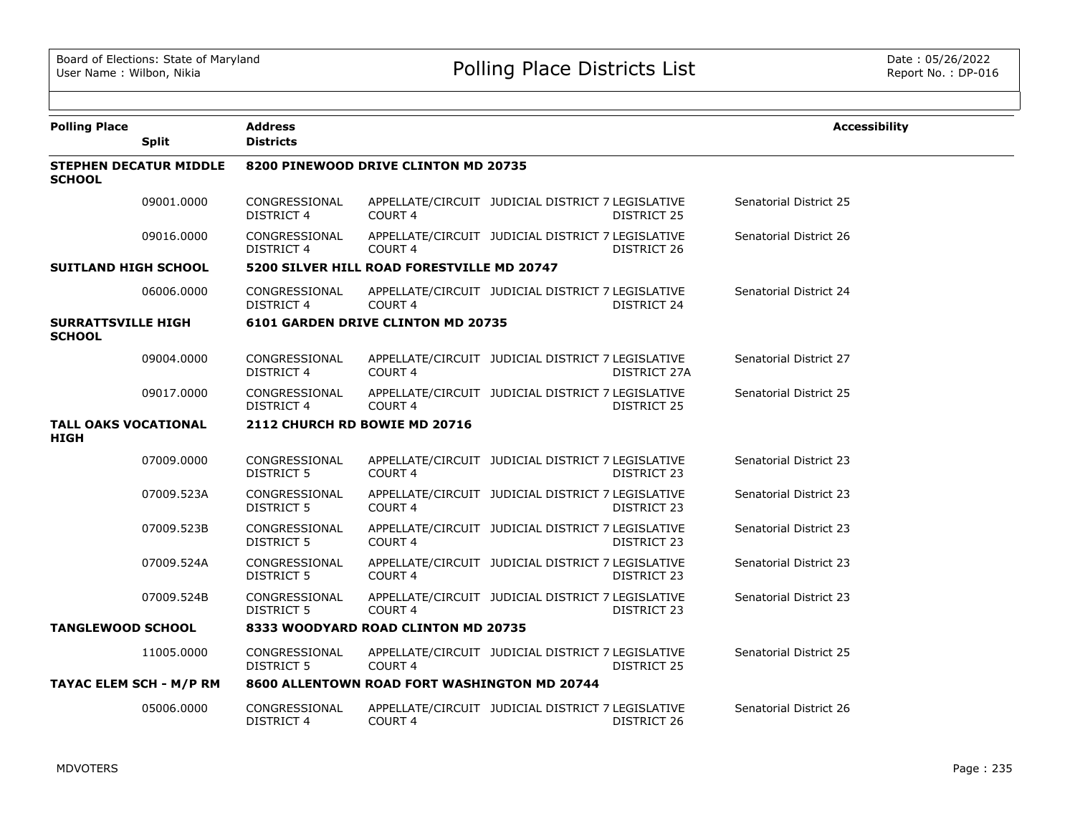| <b>Polling Place</b>                       |                               | <b>Address</b>                       |                                              |                                                   |              | <b>Accessibility</b>   |  |  |  |
|--------------------------------------------|-------------------------------|--------------------------------------|----------------------------------------------|---------------------------------------------------|--------------|------------------------|--|--|--|
|                                            | <b>Split</b>                  | <b>Districts</b>                     |                                              |                                                   |              |                        |  |  |  |
| <b>SCHOOL</b>                              | <b>STEPHEN DECATUR MIDDLE</b> | 8200 PINEWOOD DRIVE CLINTON MD 20735 |                                              |                                                   |              |                        |  |  |  |
|                                            | 09001.0000                    | CONGRESSIONAL<br>DISTRICT 4          | COURT <sub>4</sub>                           | APPELLATE/CIRCUIT JUDICIAL DISTRICT 7 LEGISLATIVE | DISTRICT 25  | Senatorial District 25 |  |  |  |
|                                            | 09016.0000                    | CONGRESSIONAL<br><b>DISTRICT 4</b>   | <b>COURT 4</b>                               | APPELLATE/CIRCUIT JUDICIAL DISTRICT 7 LEGISLATIVE | DISTRICT 26  | Senatorial District 26 |  |  |  |
| <b>SUITLAND HIGH SCHOOL</b>                |                               |                                      | 5200 SILVER HILL ROAD FORESTVILLE MD 20747   |                                                   |              |                        |  |  |  |
|                                            | 06006.0000                    | CONGRESSIONAL<br>DISTRICT 4          | <b>COURT 4</b>                               | APPELLATE/CIRCUIT JUDICIAL DISTRICT 7 LEGISLATIVE | DISTRICT 24  | Senatorial District 24 |  |  |  |
| <b>SURRATTSVILLE HIGH</b><br><b>SCHOOL</b> |                               |                                      | 6101 GARDEN DRIVE CLINTON MD 20735           |                                                   |              |                        |  |  |  |
|                                            | 09004.0000                    | CONGRESSIONAL<br>DISTRICT 4          | COURT <sub>4</sub>                           | APPELLATE/CIRCUIT JUDICIAL DISTRICT 7 LEGISLATIVE | DISTRICT 27A | Senatorial District 27 |  |  |  |
|                                            | 09017.0000                    | CONGRESSIONAL<br>DISTRICT 4          | COURT <sub>4</sub>                           | APPELLATE/CIRCUIT JUDICIAL DISTRICT 7 LEGISLATIVE | DISTRICT 25  | Senatorial District 25 |  |  |  |
| <b>TALL OAKS VOCATIONAL</b><br>HIGH        |                               |                                      | 2112 CHURCH RD BOWIE MD 20716                |                                                   |              |                        |  |  |  |
|                                            | 07009.0000                    | CONGRESSIONAL<br>DISTRICT 5          | <b>COURT 4</b>                               | APPELLATE/CIRCUIT JUDICIAL DISTRICT 7 LEGISLATIVE | DISTRICT 23  | Senatorial District 23 |  |  |  |
|                                            | 07009.523A                    | CONGRESSIONAL<br><b>DISTRICT 5</b>   | COURT <sub>4</sub>                           | APPELLATE/CIRCUIT JUDICIAL DISTRICT 7 LEGISLATIVE | DISTRICT 23  | Senatorial District 23 |  |  |  |
|                                            | 07009.523B                    | CONGRESSIONAL<br><b>DISTRICT 5</b>   | <b>COURT 4</b>                               | APPELLATE/CIRCUIT JUDICIAL DISTRICT 7 LEGISLATIVE | DISTRICT 23  | Senatorial District 23 |  |  |  |
|                                            | 07009.524A                    | CONGRESSIONAL<br><b>DISTRICT 5</b>   | COURT <sub>4</sub>                           | APPELLATE/CIRCUIT JUDICIAL DISTRICT 7 LEGISLATIVE | DISTRICT 23  | Senatorial District 23 |  |  |  |
|                                            | 07009.524B                    | CONGRESSIONAL<br><b>DISTRICT 5</b>   | COURT <sub>4</sub>                           | APPELLATE/CIRCUIT JUDICIAL DISTRICT 7 LEGISLATIVE | DISTRICT 23  | Senatorial District 23 |  |  |  |
| <b>TANGLEWOOD SCHOOL</b>                   |                               |                                      | 8333 WOODYARD ROAD CLINTON MD 20735          |                                                   |              |                        |  |  |  |
|                                            | 11005.0000                    | CONGRESSIONAL<br>DISTRICT 5          | <b>COURT 4</b>                               | APPELLATE/CIRCUIT JUDICIAL DISTRICT 7 LEGISLATIVE | DISTRICT 25  | Senatorial District 25 |  |  |  |
| TAYAC ELEM SCH - M/P RM                    |                               |                                      | 8600 ALLENTOWN ROAD FORT WASHINGTON MD 20744 |                                                   |              |                        |  |  |  |
|                                            | 05006.0000                    | CONGRESSIONAL<br><b>DISTRICT 4</b>   | COURT <sub>4</sub>                           | APPELLATE/CIRCUIT JUDICIAL DISTRICT 7 LEGISLATIVE | DISTRICT 26  | Senatorial District 26 |  |  |  |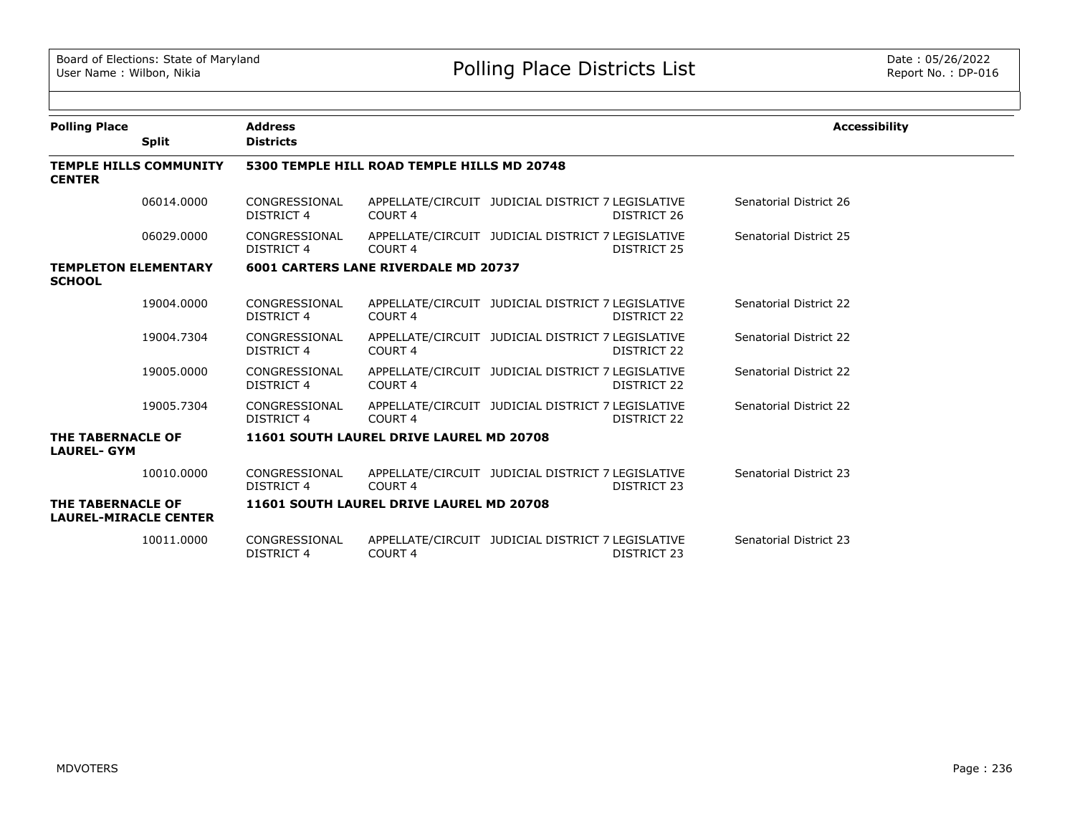| <b>Polling Place</b>                              |              | <b>Address</b>                              |                                             |                                                   |                    | <b>Accessibility</b>   |  |  |  |
|---------------------------------------------------|--------------|---------------------------------------------|---------------------------------------------|---------------------------------------------------|--------------------|------------------------|--|--|--|
|                                                   | <b>Split</b> | <b>Districts</b>                            |                                             |                                                   |                    |                        |  |  |  |
| <b>TEMPLE HILLS COMMUNITY</b><br><b>CENTER</b>    |              | 5300 TEMPLE HILL ROAD TEMPLE HILLS MD 20748 |                                             |                                                   |                    |                        |  |  |  |
|                                                   | 06014.0000   | CONGRESSIONAL<br>DISTRICT 4                 | COURT 4                                     | APPELLATE/CIRCUIT JUDICIAL DISTRICT 7 LEGISLATIVE | DISTRICT 26        | Senatorial District 26 |  |  |  |
|                                                   | 06029,0000   | CONGRESSIONAL<br>DISTRICT 4                 | COURT <sub>4</sub>                          | APPELLATE/CIRCUIT JUDICIAL DISTRICT 7 LEGISLATIVE | DISTRICT 25        | Senatorial District 25 |  |  |  |
| <b>TEMPLETON ELEMENTARY</b><br><b>SCHOOL</b>      |              |                                             | <b>6001 CARTERS LANE RIVERDALE MD 20737</b> |                                                   |                    |                        |  |  |  |
|                                                   | 19004.0000   | CONGRESSIONAL<br><b>DISTRICT 4</b>          | COURT <sub>4</sub>                          | APPELLATE/CIRCUIT JUDICIAL DISTRICT 7 LEGISLATIVE | DISTRICT 22        | Senatorial District 22 |  |  |  |
|                                                   | 19004.7304   | CONGRESSIONAL<br><b>DISTRICT 4</b>          | COURT <sub>4</sub>                          | APPELLATE/CIRCUIT JUDICIAL DISTRICT 7 LEGISLATIVE | DISTRICT 22        | Senatorial District 22 |  |  |  |
|                                                   | 19005.0000   | CONGRESSIONAL<br><b>DISTRICT 4</b>          | COURT <sub>4</sub>                          | APPELLATE/CIRCUIT JUDICIAL DISTRICT 7 LEGISLATIVE | DISTRICT 22        | Senatorial District 22 |  |  |  |
|                                                   | 19005.7304   | CONGRESSIONAL<br>DISTRICT 4                 | COURT <sub>4</sub>                          | APPELLATE/CIRCUIT JUDICIAL DISTRICT 7 LEGISLATIVE | DISTRICT 22        | Senatorial District 22 |  |  |  |
| THE TABERNACLE OF<br><b>LAUREL- GYM</b>           |              |                                             | 11601 SOUTH LAUREL DRIVE LAUREL MD 20708    |                                                   |                    |                        |  |  |  |
|                                                   | 10010.0000   | CONGRESSIONAL<br>DISTRICT 4                 | COURT <sub>4</sub>                          | APPELLATE/CIRCUIT JUDICIAL DISTRICT 7 LEGISLATIVE | DISTRICT 23        | Senatorial District 23 |  |  |  |
| THE TABERNACLE OF<br><b>LAUREL-MIRACLE CENTER</b> |              |                                             | 11601 SOUTH LAUREL DRIVE LAUREL MD 20708    |                                                   |                    |                        |  |  |  |
|                                                   | 10011.0000   | CONGRESSIONAL<br><b>DISTRICT 4</b>          | COURT <sub>4</sub>                          | APPELLATE/CIRCUIT JUDICIAL DISTRICT 7 LEGISLATIVE | <b>DISTRICT 23</b> | Senatorial District 23 |  |  |  |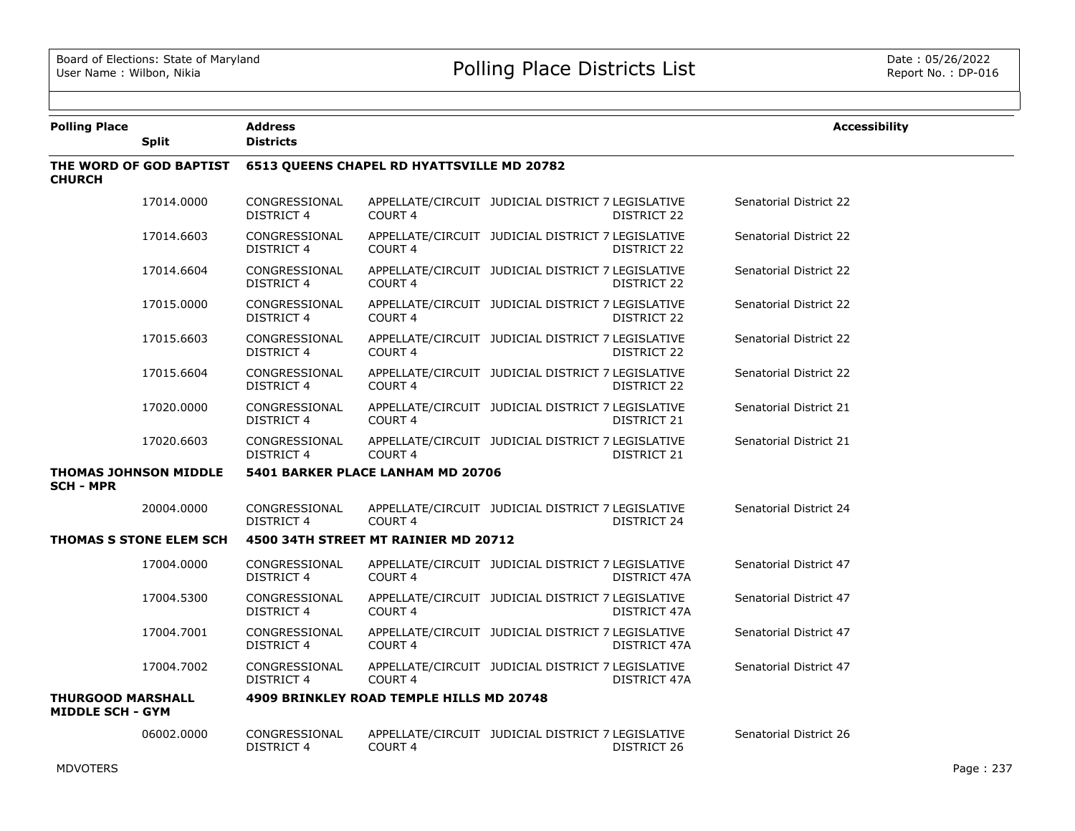| <b>Polling Place</b>                                | <b>Split</b>                   | <b>Address</b><br><b>Districts</b>                |                                          |                                                   |              | <b>Accessibility</b>   |  |  |
|-----------------------------------------------------|--------------------------------|---------------------------------------------------|------------------------------------------|---------------------------------------------------|--------------|------------------------|--|--|
| <b>CHURCH</b>                                       | THE WORD OF GOD BAPTIST        | <b>6513 QUEENS CHAPEL RD HYATTSVILLE MD 20782</b> |                                          |                                                   |              |                        |  |  |
|                                                     | 17014.0000                     | CONGRESSIONAL<br><b>DISTRICT 4</b>                | COURT 4                                  | APPELLATE/CIRCUIT JUDICIAL DISTRICT 7 LEGISLATIVE | DISTRICT 22  | Senatorial District 22 |  |  |
|                                                     | 17014.6603                     | CONGRESSIONAL<br>DISTRICT 4                       | COURT 4                                  | APPELLATE/CIRCUIT JUDICIAL DISTRICT 7 LEGISLATIVE | DISTRICT 22  | Senatorial District 22 |  |  |
|                                                     | 17014.6604                     | CONGRESSIONAL<br>DISTRICT 4                       | COURT <sub>4</sub>                       | APPELLATE/CIRCUIT JUDICIAL DISTRICT 7 LEGISLATIVE | DISTRICT 22  | Senatorial District 22 |  |  |
|                                                     | 17015.0000                     | CONGRESSIONAL<br><b>DISTRICT 4</b>                | COURT <sub>4</sub>                       | APPELLATE/CIRCUIT JUDICIAL DISTRICT 7 LEGISLATIVE | DISTRICT 22  | Senatorial District 22 |  |  |
|                                                     | 17015.6603                     | CONGRESSIONAL<br><b>DISTRICT 4</b>                | COURT <sub>4</sub>                       | APPELLATE/CIRCUIT JUDICIAL DISTRICT 7 LEGISLATIVE | DISTRICT 22  | Senatorial District 22 |  |  |
|                                                     | 17015.6604                     | CONGRESSIONAL<br><b>DISTRICT 4</b>                | COURT 4                                  | APPELLATE/CIRCUIT JUDICIAL DISTRICT 7 LEGISLATIVE | DISTRICT 22  | Senatorial District 22 |  |  |
|                                                     | 17020.0000                     | CONGRESSIONAL<br>DISTRICT 4                       | COURT 4                                  | APPELLATE/CIRCUIT JUDICIAL DISTRICT 7 LEGISLATIVE | DISTRICT 21  | Senatorial District 21 |  |  |
|                                                     | 17020.6603                     | CONGRESSIONAL<br>DISTRICT 4                       | COURT <sub>4</sub>                       | APPELLATE/CIRCUIT JUDICIAL DISTRICT 7 LEGISLATIVE | DISTRICT 21  | Senatorial District 21 |  |  |
| <b>SCH - MPR</b>                                    | <b>THOMAS JOHNSON MIDDLE</b>   | 5401 BARKER PLACE LANHAM MD 20706                 |                                          |                                                   |              |                        |  |  |
|                                                     | 20004.0000                     | CONGRESSIONAL<br><b>DISTRICT 4</b>                | COURT <sub>4</sub>                       | APPELLATE/CIRCUIT JUDICIAL DISTRICT 7 LEGISLATIVE | DISTRICT 24  | Senatorial District 24 |  |  |
|                                                     | <b>THOMAS S STONE ELEM SCH</b> |                                                   | 4500 34TH STREET MT RAINIER MD 20712     |                                                   |              |                        |  |  |
|                                                     | 17004.0000                     | CONGRESSIONAL<br>DISTRICT 4                       | COURT <sub>4</sub>                       | APPELLATE/CIRCUIT JUDICIAL DISTRICT 7 LEGISLATIVE | DISTRICT 47A | Senatorial District 47 |  |  |
|                                                     | 17004.5300                     | CONGRESSIONAL<br><b>DISTRICT 4</b>                | COURT 4                                  | APPELLATE/CIRCUIT JUDICIAL DISTRICT 7 LEGISLATIVE | DISTRICT 47A | Senatorial District 47 |  |  |
|                                                     | 17004.7001                     | CONGRESSIONAL<br>DISTRICT 4                       | COURT 4                                  | APPELLATE/CIRCUIT JUDICIAL DISTRICT 7 LEGISLATIVE | DISTRICT 47A | Senatorial District 47 |  |  |
|                                                     | 17004.7002                     | CONGRESSIONAL<br><b>DISTRICT 4</b>                | COURT <sub>4</sub>                       | APPELLATE/CIRCUIT JUDICIAL DISTRICT 7 LEGISLATIVE | DISTRICT 47A | Senatorial District 47 |  |  |
| <b>THURGOOD MARSHALL</b><br><b>MIDDLE SCH - GYM</b> |                                |                                                   | 4909 BRINKLEY ROAD TEMPLE HILLS MD 20748 |                                                   |              |                        |  |  |
|                                                     | 06002.0000                     | CONGRESSIONAL<br><b>DISTRICT 4</b>                | COURT 4                                  | APPELLATE/CIRCUIT JUDICIAL DISTRICT 7 LEGISLATIVE | DISTRICT 26  | Senatorial District 26 |  |  |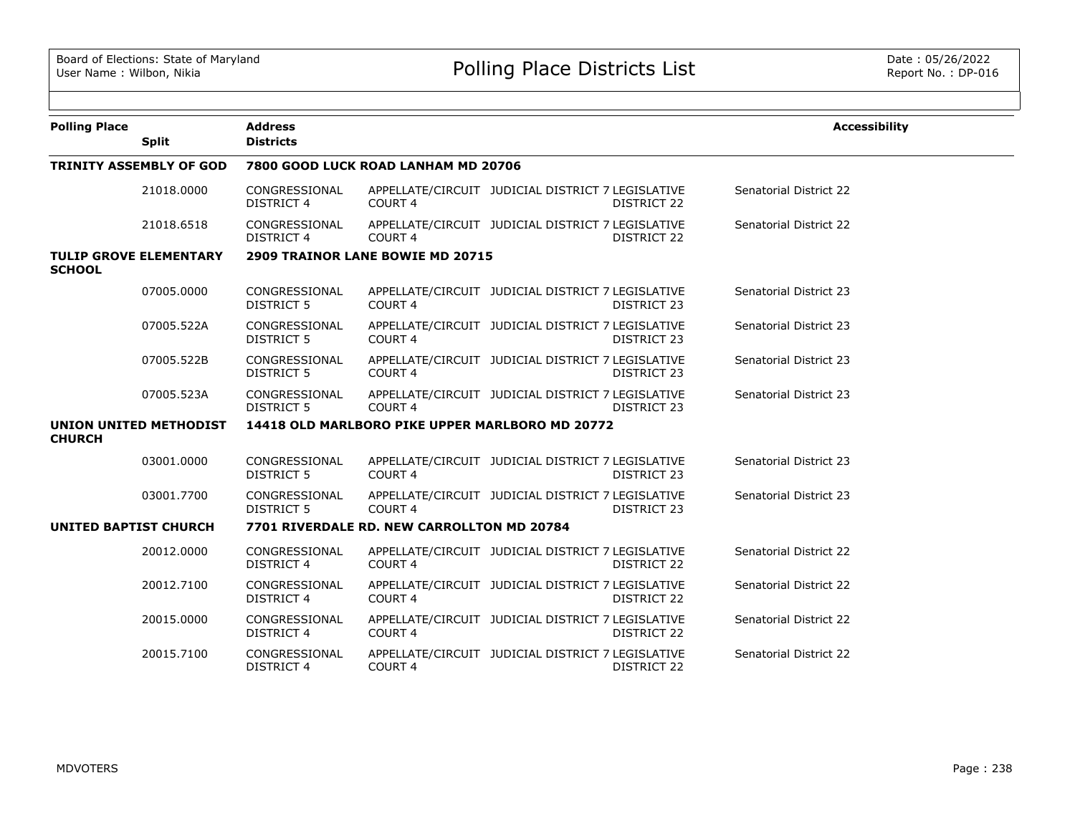| <b>Polling Place</b>         | <b>Split</b>                   | <b>Address</b><br><b>Districts</b> |                                            |                                                   |                                              | <b>Accessibility</b> |  |  |  |  |
|------------------------------|--------------------------------|------------------------------------|--------------------------------------------|---------------------------------------------------|----------------------------------------------|----------------------|--|--|--|--|
|                              | <b>TRINITY ASSEMBLY OF GOD</b> |                                    | 7800 GOOD LUCK ROAD LANHAM MD 20706        |                                                   |                                              |                      |  |  |  |  |
|                              | 21018.0000                     | CONGRESSIONAL<br><b>DISTRICT 4</b> | COURT <sub>4</sub>                         | APPELLATE/CIRCUIT JUDICIAL DISTRICT 7 LEGISLATIVE | Senatorial District 22<br><b>DISTRICT 22</b> |                      |  |  |  |  |
|                              | 21018.6518                     | CONGRESSIONAL<br><b>DISTRICT 4</b> | COURT <sub>4</sub>                         | APPELLATE/CIRCUIT JUDICIAL DISTRICT 7 LEGISLATIVE | Senatorial District 22<br>DISTRICT 22        |                      |  |  |  |  |
| <b>SCHOOL</b>                | <b>TULIP GROVE ELEMENTARY</b>  |                                    | 2909 TRAINOR LANE BOWIE MD 20715           |                                                   |                                              |                      |  |  |  |  |
|                              | 07005.0000                     | CONGRESSIONAL<br><b>DISTRICT 5</b> | COURT <sub>4</sub>                         | APPELLATE/CIRCUIT JUDICIAL DISTRICT 7 LEGISLATIVE | Senatorial District 23<br>DISTRICT 23        |                      |  |  |  |  |
|                              | 07005.522A                     | CONGRESSIONAL<br><b>DISTRICT 5</b> | COURT <sub>4</sub>                         | APPELLATE/CIRCUIT JUDICIAL DISTRICT 7 LEGISLATIVE | Senatorial District 23<br>DISTRICT 23        |                      |  |  |  |  |
|                              | 07005.522B                     | CONGRESSIONAL<br><b>DISTRICT 5</b> | COURT <sub>4</sub>                         | APPELLATE/CIRCUIT JUDICIAL DISTRICT 7 LEGISLATIVE | Senatorial District 23<br><b>DISTRICT 23</b> |                      |  |  |  |  |
|                              | 07005.523A                     | CONGRESSIONAL<br><b>DISTRICT 5</b> | COURT <sub>4</sub>                         | APPELLATE/CIRCUIT JUDICIAL DISTRICT 7 LEGISLATIVE | Senatorial District 23<br>DISTRICT 23        |                      |  |  |  |  |
| <b>CHURCH</b>                | <b>UNION UNITED METHODIST</b>  |                                    |                                            | 14418 OLD MARLBORO PIKE UPPER MARLBORO MD 20772   |                                              |                      |  |  |  |  |
|                              | 03001.0000                     | CONGRESSIONAL<br><b>DISTRICT 5</b> | COURT <sub>4</sub>                         | APPELLATE/CIRCUIT JUDICIAL DISTRICT 7 LEGISLATIVE | Senatorial District 23<br>DISTRICT 23        |                      |  |  |  |  |
|                              | 03001.7700                     | CONGRESSIONAL<br><b>DISTRICT 5</b> | COURT <sub>4</sub>                         | APPELLATE/CIRCUIT JUDICIAL DISTRICT 7 LEGISLATIVE | Senatorial District 23<br>DISTRICT 23        |                      |  |  |  |  |
| <b>UNITED BAPTIST CHURCH</b> |                                |                                    | 7701 RIVERDALE RD. NEW CARROLLTON MD 20784 |                                                   |                                              |                      |  |  |  |  |
|                              | 20012.0000                     | CONGRESSIONAL<br><b>DISTRICT 4</b> | COURT <sub>4</sub>                         | APPELLATE/CIRCUIT JUDICIAL DISTRICT 7 LEGISLATIVE | Senatorial District 22<br>DISTRICT 22        |                      |  |  |  |  |
|                              | 20012.7100                     | CONGRESSIONAL<br><b>DISTRICT 4</b> | COURT <sub>4</sub>                         | APPELLATE/CIRCUIT JUDICIAL DISTRICT 7 LEGISLATIVE | Senatorial District 22<br>DISTRICT 22        |                      |  |  |  |  |
|                              | 20015.0000                     | CONGRESSIONAL<br><b>DISTRICT 4</b> | COURT <sub>4</sub>                         | APPELLATE/CIRCUIT JUDICIAL DISTRICT 7 LEGISLATIVE | Senatorial District 22<br><b>DISTRICT 22</b> |                      |  |  |  |  |
|                              | 20015.7100                     | CONGRESSIONAL<br><b>DISTRICT 4</b> | COURT 4                                    | APPELLATE/CIRCUIT JUDICIAL DISTRICT 7 LEGISLATIVE | Senatorial District 22<br><b>DISTRICT 22</b> |                      |  |  |  |  |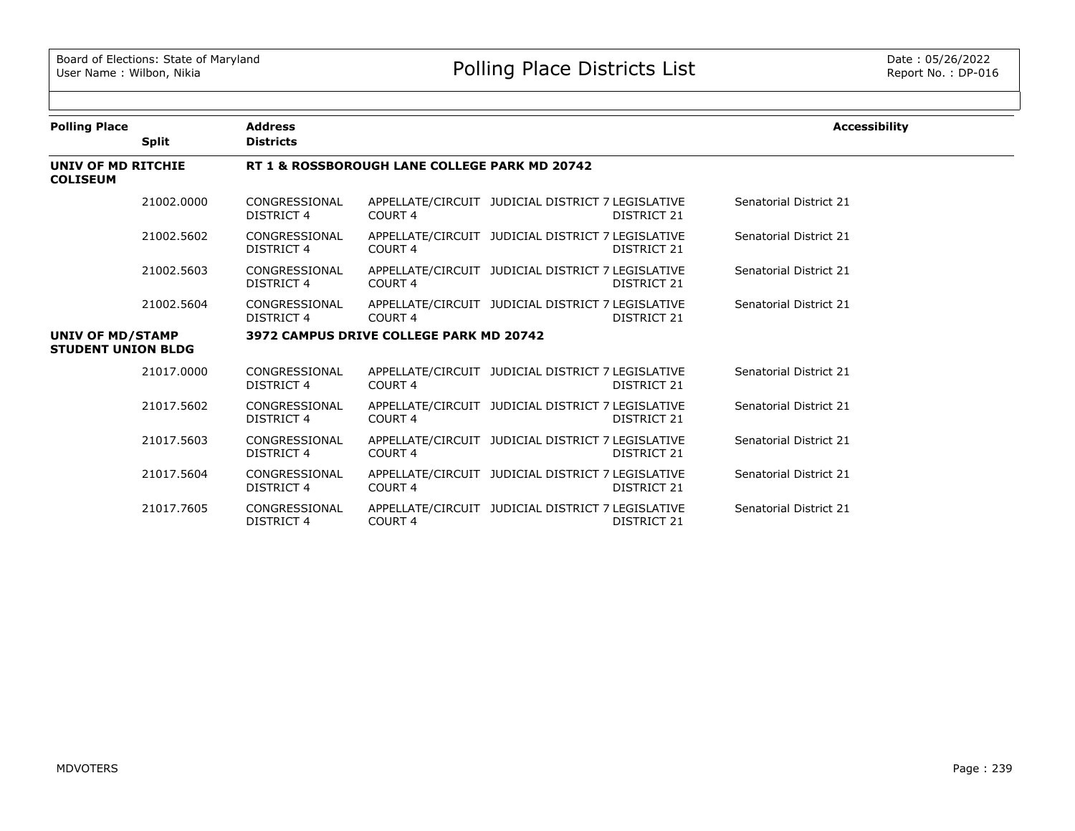| <b>Polling Place</b>                          |              | <b>Address</b>                                |                                         |                                                   |                    | <b>Accessibility</b>   |  |  |  |
|-----------------------------------------------|--------------|-----------------------------------------------|-----------------------------------------|---------------------------------------------------|--------------------|------------------------|--|--|--|
|                                               | <b>Split</b> | <b>Districts</b>                              |                                         |                                                   |                    |                        |  |  |  |
| UNIV OF MD RITCHIE<br><b>COLISEUM</b>         |              | RT 1 & ROSSBOROUGH LANE COLLEGE PARK MD 20742 |                                         |                                                   |                    |                        |  |  |  |
|                                               | 21002.0000   | CONGRESSIONAL<br>DISTRICT 4                   | COURT <sub>4</sub>                      | APPELLATE/CIRCUIT JUDICIAL DISTRICT 7 LEGISLATIVE | DISTRICT 21        | Senatorial District 21 |  |  |  |
|                                               | 21002.5602   | CONGRESSIONAL<br>DISTRICT 4                   | COURT <sub>4</sub>                      | APPELLATE/CIRCUIT JUDICIAL DISTRICT 7 LEGISLATIVE | DISTRICT 21        | Senatorial District 21 |  |  |  |
|                                               | 21002.5603   | CONGRESSIONAL<br>DISTRICT 4                   | COURT <sub>4</sub>                      | APPELLATE/CIRCUIT JUDICIAL DISTRICT 7 LEGISLATIVE | DISTRICT 21        | Senatorial District 21 |  |  |  |
|                                               | 21002.5604   | CONGRESSIONAL<br>DISTRICT 4                   | COURT <sub>4</sub>                      | APPELLATE/CIRCUIT JUDICIAL DISTRICT 7 LEGISLATIVE | DISTRICT 21        | Senatorial District 21 |  |  |  |
| UNIV OF MD/STAMP<br><b>STUDENT UNION BLDG</b> |              |                                               | 3972 CAMPUS DRIVE COLLEGE PARK MD 20742 |                                                   |                    |                        |  |  |  |
|                                               | 21017.0000   | CONGRESSIONAL<br><b>DISTRICT 4</b>            | COURT <sub>4</sub>                      | APPELLATE/CIRCUIT JUDICIAL DISTRICT 7 LEGISLATIVE | <b>DISTRICT 21</b> | Senatorial District 21 |  |  |  |
|                                               | 21017.5602   | CONGRESSIONAL<br><b>DISTRICT 4</b>            | COURT 4                                 | APPELLATE/CIRCUIT JUDICIAL DISTRICT 7 LEGISLATIVE | DISTRICT 21        | Senatorial District 21 |  |  |  |
|                                               | 21017.5603   | CONGRESSIONAL<br>DISTRICT 4                   | COURT <sub>4</sub>                      | APPELLATE/CIRCUIT JUDICIAL DISTRICT 7 LEGISLATIVE | DISTRICT 21        | Senatorial District 21 |  |  |  |
|                                               | 21017.5604   | CONGRESSIONAL<br>DISTRICT 4                   | COURT <sub>4</sub>                      | APPELLATE/CIRCUIT JUDICIAL DISTRICT 7 LEGISLATIVE | DISTRICT 21        | Senatorial District 21 |  |  |  |
|                                               | 21017.7605   | CONGRESSIONAL<br>DISTRICT 4                   | COURT <sub>4</sub>                      | APPELLATE/CIRCUIT JUDICIAL DISTRICT 7 LEGISLATIVE | <b>DISTRICT 21</b> | Senatorial District 21 |  |  |  |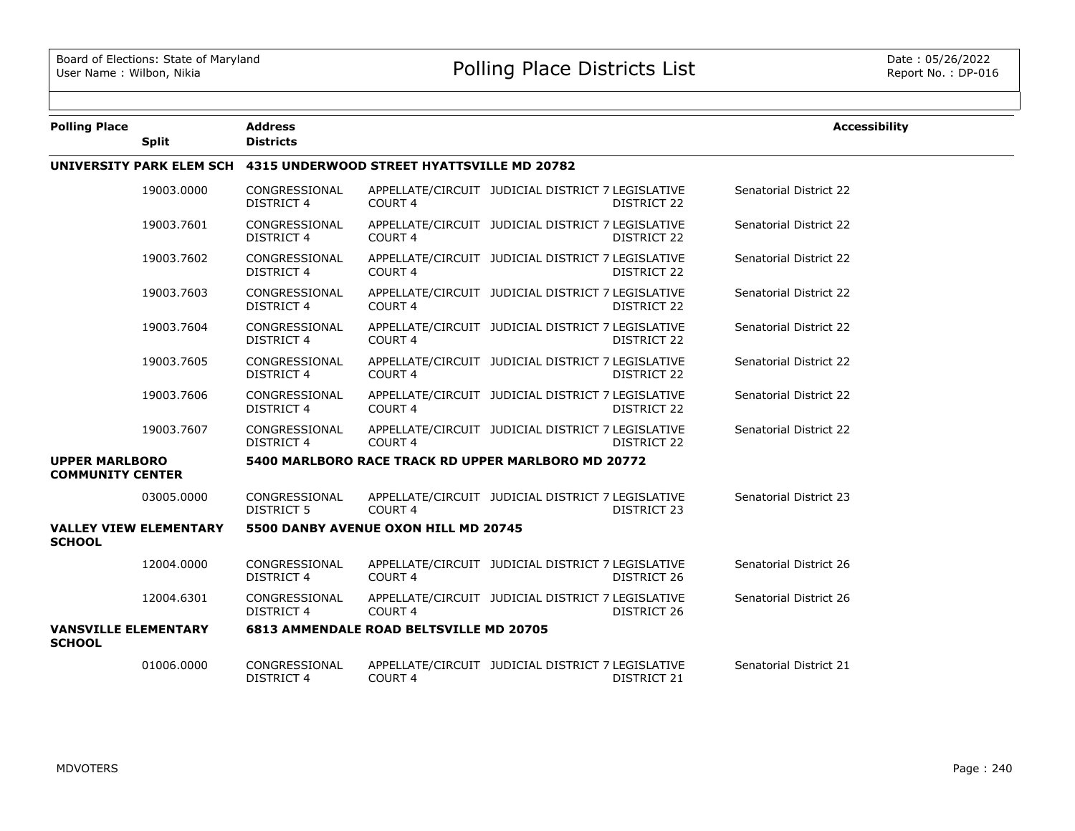| <b>Polling Place</b>                             |                               | <b>Address</b>                                                      |                                                |                                                   |                    | <b>Accessibility</b>          |  |  |  |
|--------------------------------------------------|-------------------------------|---------------------------------------------------------------------|------------------------------------------------|---------------------------------------------------|--------------------|-------------------------------|--|--|--|
|                                                  | <b>Split</b>                  | <b>Districts</b>                                                    |                                                |                                                   |                    |                               |  |  |  |
|                                                  |                               | UNIVERSITY PARK ELEM SCH 4315 UNDERWOOD STREET HYATTSVILLE MD 20782 |                                                |                                                   |                    |                               |  |  |  |
|                                                  | 19003.0000                    | CONGRESSIONAL<br>DISTRICT 4                                         | <b>COURT 4</b>                                 | APPELLATE/CIRCUIT JUDICIAL DISTRICT 7 LEGISLATIVE | <b>DISTRICT 22</b> | <b>Senatorial District 22</b> |  |  |  |
|                                                  | 19003.7601                    | CONGRESSIONAL<br><b>DISTRICT 4</b>                                  | <b>COURT 4</b>                                 | APPELLATE/CIRCUIT JUDICIAL DISTRICT 7 LEGISLATIVE | DISTRICT 22        | <b>Senatorial District 22</b> |  |  |  |
|                                                  | 19003.7602                    | CONGRESSIONAL<br><b>DISTRICT 4</b>                                  | <b>COURT 4</b>                                 | APPELLATE/CIRCUIT JUDICIAL DISTRICT 7 LEGISLATIVE | DISTRICT 22        | Senatorial District 22        |  |  |  |
|                                                  | 19003.7603                    | CONGRESSIONAL<br><b>DISTRICT 4</b>                                  | <b>COURT 4</b>                                 | APPELLATE/CIRCUIT JUDICIAL DISTRICT 7 LEGISLATIVE | DISTRICT 22        | <b>Senatorial District 22</b> |  |  |  |
|                                                  | 19003.7604                    | CONGRESSIONAL<br><b>DISTRICT 4</b>                                  | <b>COURT 4</b>                                 | APPELLATE/CIRCUIT JUDICIAL DISTRICT 7 LEGISLATIVE | <b>DISTRICT 22</b> | Senatorial District 22        |  |  |  |
|                                                  | 19003.7605                    | CONGRESSIONAL<br>DISTRICT 4                                         | <b>COURT 4</b>                                 | APPELLATE/CIRCUIT JUDICIAL DISTRICT 7 LEGISLATIVE | DISTRICT 22        | Senatorial District 22        |  |  |  |
|                                                  | 19003.7606                    | CONGRESSIONAL<br><b>DISTRICT 4</b>                                  | COURT <sub>4</sub>                             | APPELLATE/CIRCUIT JUDICIAL DISTRICT 7 LEGISLATIVE | DISTRICT 22        | Senatorial District 22        |  |  |  |
|                                                  | 19003.7607                    | CONGRESSIONAL<br>DISTRICT 4                                         | <b>COURT 4</b>                                 | APPELLATE/CIRCUIT JUDICIAL DISTRICT 7 LEGISLATIVE | DISTRICT 22        | Senatorial District 22        |  |  |  |
| <b>UPPER MARLBORO</b><br><b>COMMUNITY CENTER</b> |                               | 5400 MARLBORO RACE TRACK RD UPPER MARLBORO MD 20772                 |                                                |                                                   |                    |                               |  |  |  |
|                                                  | 03005.0000                    | CONGRESSIONAL<br>DISTRICT 5                                         | COURT <sub>4</sub>                             | APPELLATE/CIRCUIT JUDICIAL DISTRICT 7 LEGISLATIVE | <b>DISTRICT 23</b> | Senatorial District 23        |  |  |  |
| <b>SCHOOL</b>                                    | <b>VALLEY VIEW ELEMENTARY</b> |                                                                     | 5500 DANBY AVENUE OXON HILL MD 20745           |                                                   |                    |                               |  |  |  |
|                                                  | 12004.0000                    | CONGRESSIONAL<br><b>DISTRICT 4</b>                                  | COURT <sub>4</sub>                             | APPELLATE/CIRCUIT JUDICIAL DISTRICT 7 LEGISLATIVE | DISTRICT 26        | Senatorial District 26        |  |  |  |
|                                                  | 12004.6301                    | CONGRESSIONAL<br>DISTRICT 4                                         | <b>COURT 4</b>                                 | APPELLATE/CIRCUIT JUDICIAL DISTRICT 7 LEGISLATIVE | DISTRICT 26        | Senatorial District 26        |  |  |  |
| <b>VANSVILLE ELEMENTARY</b><br><b>SCHOOL</b>     |                               |                                                                     | <b>6813 AMMENDALE ROAD BELTSVILLE MD 20705</b> |                                                   |                    |                               |  |  |  |
|                                                  | 01006.0000                    | CONGRESSIONAL<br><b>DISTRICT 4</b>                                  | COURT 4                                        | APPELLATE/CIRCUIT JUDICIAL DISTRICT 7 LEGISLATIVE | DISTRICT 21        | Senatorial District 21        |  |  |  |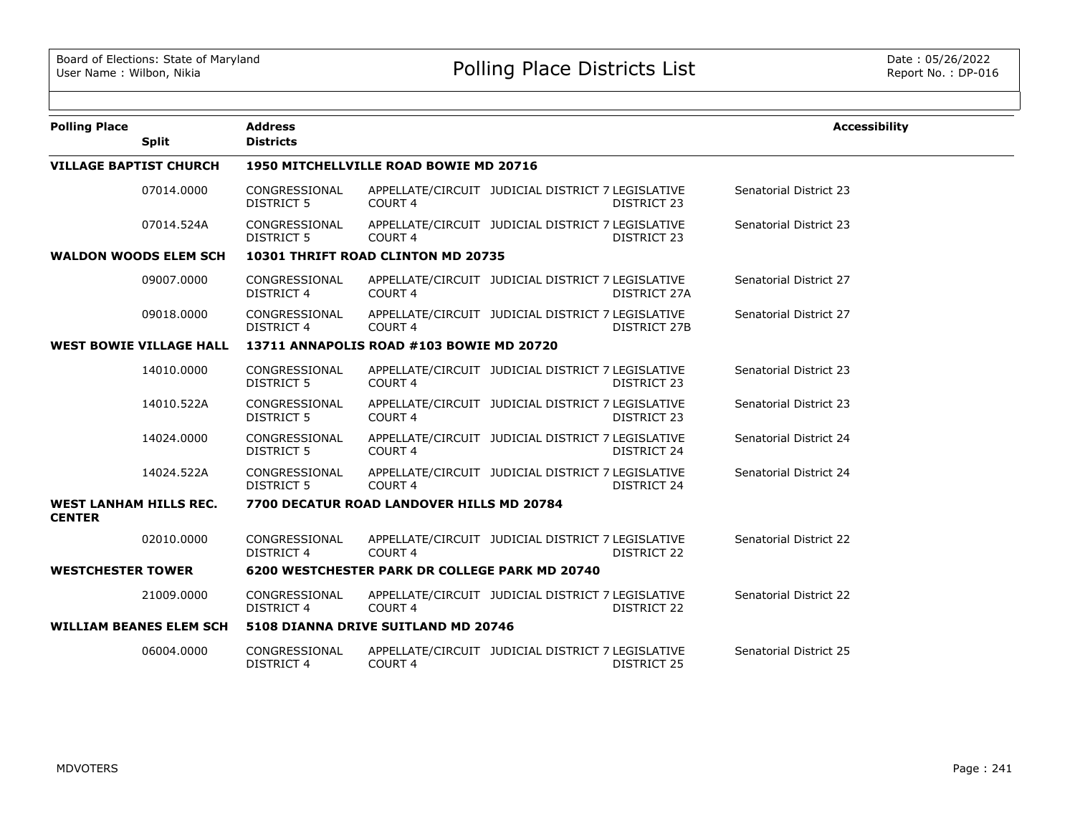| <b>Polling Place</b>                           |                                | <b>Address</b>                     |                                                       |                                                   |                    | <b>Accessibility</b>          |
|------------------------------------------------|--------------------------------|------------------------------------|-------------------------------------------------------|---------------------------------------------------|--------------------|-------------------------------|
|                                                | <b>Split</b>                   | <b>Districts</b>                   |                                                       |                                                   |                    |                               |
|                                                | <b>VILLAGE BAPTIST CHURCH</b>  |                                    | 1950 MITCHELLVILLE ROAD BOWIE MD 20716                |                                                   |                    |                               |
|                                                | 07014.0000                     | CONGRESSIONAL<br>DISTRICT 5        | COURT <sub>4</sub>                                    | APPELLATE/CIRCUIT JUDICIAL DISTRICT 7 LEGISLATIVE | DISTRICT 23        | Senatorial District 23        |
|                                                | 07014.524A                     | CONGRESSIONAL<br>DISTRICT 5        | COURT 4                                               | APPELLATE/CIRCUIT JUDICIAL DISTRICT 7 LEGISLATIVE | DISTRICT 23        | <b>Senatorial District 23</b> |
|                                                | <b>WALDON WOODS ELEM SCH</b>   |                                    | 10301 THRIFT ROAD CLINTON MD 20735                    |                                                   |                    |                               |
|                                                | 09007.0000                     | CONGRESSIONAL<br><b>DISTRICT 4</b> | COURT 4                                               | APPELLATE/CIRCUIT JUDICIAL DISTRICT 7 LEGISLATIVE | DISTRICT 27A       | Senatorial District 27        |
|                                                | 09018.0000                     | CONGRESSIONAL<br><b>DISTRICT 4</b> | COURT <sub>4</sub>                                    | APPELLATE/CIRCUIT JUDICIAL DISTRICT 7 LEGISLATIVE | DISTRICT 27B       | Senatorial District 27        |
|                                                | <b>WEST BOWIE VILLAGE HALL</b> |                                    | 13711 ANNAPOLIS ROAD #103 BOWIE MD 20720              |                                                   |                    |                               |
|                                                | 14010.0000                     | CONGRESSIONAL<br><b>DISTRICT 5</b> | COURT 4                                               | APPELLATE/CIRCUIT JUDICIAL DISTRICT 7 LEGISLATIVE | DISTRICT 23        | Senatorial District 23        |
|                                                | 14010.522A                     | CONGRESSIONAL<br><b>DISTRICT 5</b> | COURT <sub>4</sub>                                    | APPELLATE/CIRCUIT JUDICIAL DISTRICT 7 LEGISLATIVE | DISTRICT 23        | Senatorial District 23        |
|                                                | 14024.0000                     | CONGRESSIONAL<br><b>DISTRICT 5</b> | <b>COURT 4</b>                                        | APPELLATE/CIRCUIT JUDICIAL DISTRICT 7 LEGISLATIVE | DISTRICT 24        | Senatorial District 24        |
|                                                | 14024.522A                     | CONGRESSIONAL<br><b>DISTRICT 5</b> | COURT <sub>4</sub>                                    | APPELLATE/CIRCUIT JUDICIAL DISTRICT 7 LEGISLATIVE | DISTRICT 24        | Senatorial District 24        |
| <b>WEST LANHAM HILLS REC.</b><br><b>CENTER</b> |                                |                                    | 7700 DECATUR ROAD LANDOVER HILLS MD 20784             |                                                   |                    |                               |
|                                                | 02010.0000                     | CONGRESSIONAL<br><b>DISTRICT 4</b> | COURT <sub>4</sub>                                    | APPELLATE/CIRCUIT JUDICIAL DISTRICT 7 LEGISLATIVE | DISTRICT 22        | Senatorial District 22        |
| <b>WESTCHESTER TOWER</b>                       |                                |                                    | <b>6200 WESTCHESTER PARK DR COLLEGE PARK MD 20740</b> |                                                   |                    |                               |
|                                                | 21009.0000                     | CONGRESSIONAL<br>DISTRICT 4        | COURT <sub>4</sub>                                    | APPELLATE/CIRCUIT JUDICIAL DISTRICT 7 LEGISLATIVE | DISTRICT 22        | <b>Senatorial District 22</b> |
|                                                | <b>WILLIAM BEANES ELEM SCH</b> |                                    | 5108 DIANNA DRIVE SUITLAND MD 20746                   |                                                   |                    |                               |
|                                                | 06004.0000                     | CONGRESSIONAL<br><b>DISTRICT 4</b> | COURT 4                                               | APPELLATE/CIRCUIT JUDICIAL DISTRICT 7 LEGISLATIVE | <b>DISTRICT 25</b> | Senatorial District 25        |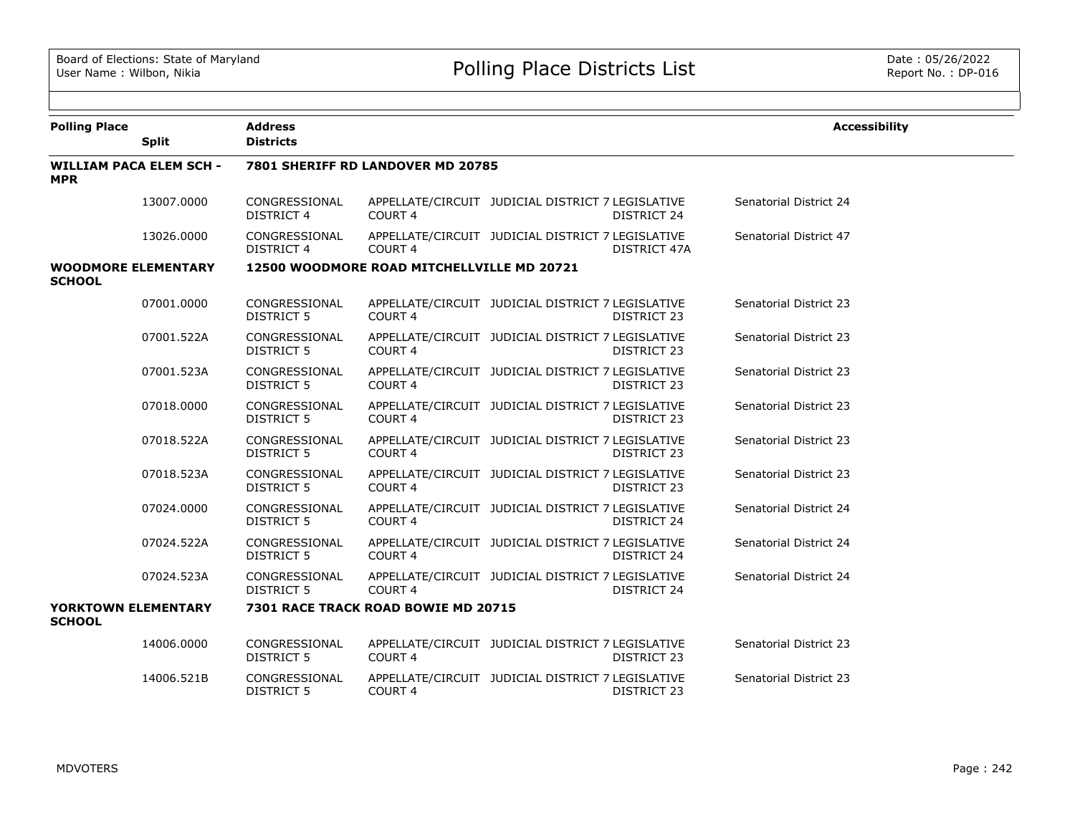| <b>Polling Place</b>                        |                                | <b>Address</b>                     |                                            |                                                   |                    | <b>Accessibility</b>          |
|---------------------------------------------|--------------------------------|------------------------------------|--------------------------------------------|---------------------------------------------------|--------------------|-------------------------------|
|                                             | <b>Split</b>                   | <b>Districts</b>                   |                                            |                                                   |                    |                               |
| <b>MPR</b>                                  | <b>WILLIAM PACA ELEM SCH -</b> |                                    | 7801 SHERIFF RD LANDOVER MD 20785          |                                                   |                    |                               |
|                                             | 13007.0000                     | CONGRESSIONAL<br><b>DISTRICT 4</b> | COURT <sub>4</sub>                         | APPELLATE/CIRCUIT JUDICIAL DISTRICT 7 LEGISLATIVE | <b>DISTRICT 24</b> | Senatorial District 24        |
|                                             | 13026,0000                     | CONGRESSIONAL<br><b>DISTRICT 4</b> | <b>COURT 4</b>                             | APPELLATE/CIRCUIT JUDICIAL DISTRICT 7 LEGISLATIVE | DISTRICT 47A       | Senatorial District 47        |
| <b>WOODMORE ELEMENTARY</b><br><b>SCHOOL</b> |                                |                                    | 12500 WOODMORE ROAD MITCHELLVILLE MD 20721 |                                                   |                    |                               |
|                                             | 07001.0000                     | CONGRESSIONAL<br><b>DISTRICT 5</b> | <b>COURT 4</b>                             | APPELLATE/CIRCUIT JUDICIAL DISTRICT 7 LEGISLATIVE | DISTRICT 23        | <b>Senatorial District 23</b> |
|                                             | 07001.522A                     | CONGRESSIONAL<br><b>DISTRICT 5</b> | COURT 4                                    | APPELLATE/CIRCUIT JUDICIAL DISTRICT 7 LEGISLATIVE | <b>DISTRICT 23</b> | Senatorial District 23        |
|                                             | 07001.523A                     | CONGRESSIONAL<br>DISTRICT 5        | COURT 4                                    | APPELLATE/CIRCUIT JUDICIAL DISTRICT 7 LEGISLATIVE | DISTRICT 23        | Senatorial District 23        |
|                                             | 07018,0000                     | CONGRESSIONAL<br><b>DISTRICT 5</b> | <b>COURT 4</b>                             | APPELLATE/CIRCUIT JUDICIAL DISTRICT 7 LEGISLATIVE | <b>DISTRICT 23</b> | <b>Senatorial District 23</b> |
|                                             | 07018.522A                     | CONGRESSIONAL<br>DISTRICT 5        | COURT 4                                    | APPELLATE/CIRCUIT JUDICIAL DISTRICT 7 LEGISLATIVE | DISTRICT 23        | Senatorial District 23        |
|                                             | 07018.523A                     | CONGRESSIONAL<br>DISTRICT 5        | COURT <sub>4</sub>                         | APPELLATE/CIRCUIT JUDICIAL DISTRICT 7 LEGISLATIVE | DISTRICT 23        | Senatorial District 23        |
|                                             | 07024.0000                     | CONGRESSIONAL<br><b>DISTRICT 5</b> | COURT <sub>4</sub>                         | APPELLATE/CIRCUIT JUDICIAL DISTRICT 7 LEGISLATIVE | <b>DISTRICT 24</b> | Senatorial District 24        |
|                                             | 07024.522A                     | CONGRESSIONAL<br>DISTRICT 5        | COURT <sub>4</sub>                         | APPELLATE/CIRCUIT JUDICIAL DISTRICT 7 LEGISLATIVE | <b>DISTRICT 24</b> | Senatorial District 24        |
|                                             | 07024.523A                     | CONGRESSIONAL<br><b>DISTRICT 5</b> | COURT <sub>4</sub>                         | APPELLATE/CIRCUIT JUDICIAL DISTRICT 7 LEGISLATIVE | <b>DISTRICT 24</b> | Senatorial District 24        |
| <b>YORKTOWN ELEMENTARY</b><br><b>SCHOOL</b> |                                |                                    | 7301 RACE TRACK ROAD BOWIE MD 20715        |                                                   |                    |                               |
|                                             | 14006.0000                     | CONGRESSIONAL<br><b>DISTRICT 5</b> | COURT <sub>4</sub>                         | APPELLATE/CIRCUIT JUDICIAL DISTRICT 7 LEGISLATIVE | <b>DISTRICT 23</b> | Senatorial District 23        |
|                                             | 14006.521B                     | CONGRESSIONAL<br>DISTRICT 5        | COURT 4                                    | APPELLATE/CIRCUIT JUDICIAL DISTRICT 7 LEGISLATIVE | DISTRICT 23        | <b>Senatorial District 23</b> |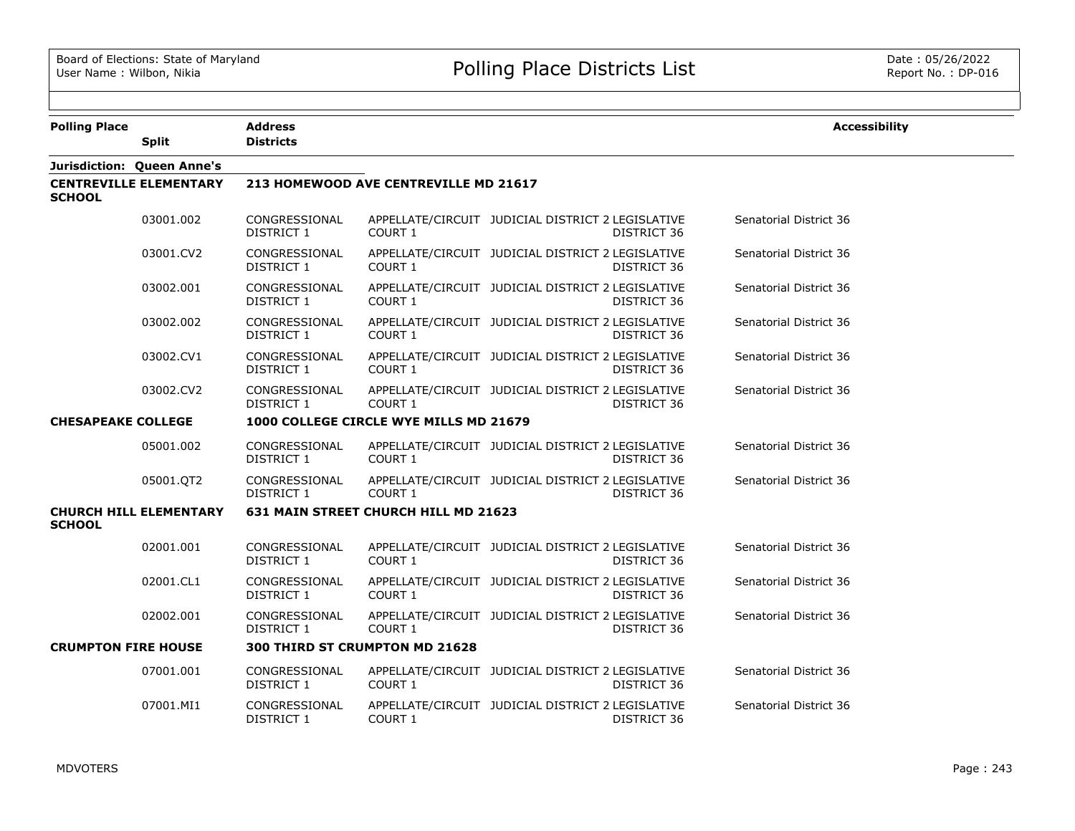| <b>Polling Place</b>       | <b>Split</b>                  | <b>Address</b><br><b>Districts</b> |                                        |                                                                  | <b>Accessibility</b>   |
|----------------------------|-------------------------------|------------------------------------|----------------------------------------|------------------------------------------------------------------|------------------------|
|                            | Jurisdiction: Queen Anne's    |                                    |                                        |                                                                  |                        |
| <b>SCHOOL</b>              | <b>CENTREVILLE ELEMENTARY</b> |                                    | 213 HOMEWOOD AVE CENTREVILLE MD 21617  |                                                                  |                        |
|                            | 03001.002                     | CONGRESSIONAL<br>DISTRICT 1        | COURT 1                                | APPELLATE/CIRCUIT JUDICIAL DISTRICT 2 LEGISLATIVE<br>DISTRICT 36 | Senatorial District 36 |
|                            | 03001.CV2                     | CONGRESSIONAL<br>DISTRICT 1        | COURT 1                                | APPELLATE/CIRCUIT JUDICIAL DISTRICT 2 LEGISLATIVE<br>DISTRICT 36 | Senatorial District 36 |
|                            | 03002.001                     | CONGRESSIONAL<br>DISTRICT 1        | <b>COURT 1</b>                         | APPELLATE/CIRCUIT JUDICIAL DISTRICT 2 LEGISLATIVE<br>DISTRICT 36 | Senatorial District 36 |
|                            | 03002.002                     | CONGRESSIONAL<br>DISTRICT 1        | COURT <sub>1</sub>                     | APPELLATE/CIRCUIT JUDICIAL DISTRICT 2 LEGISLATIVE<br>DISTRICT 36 | Senatorial District 36 |
|                            | 03002.CV1                     | CONGRESSIONAL<br>DISTRICT 1        | <b>COURT 1</b>                         | APPELLATE/CIRCUIT JUDICIAL DISTRICT 2 LEGISLATIVE<br>DISTRICT 36 | Senatorial District 36 |
|                            | 03002.CV2                     | CONGRESSIONAL<br><b>DISTRICT 1</b> | COURT 1                                | APPELLATE/CIRCUIT JUDICIAL DISTRICT 2 LEGISLATIVE<br>DISTRICT 36 | Senatorial District 36 |
| <b>CHESAPEAKE COLLEGE</b>  |                               |                                    | 1000 COLLEGE CIRCLE WYE MILLS MD 21679 |                                                                  |                        |
|                            | 05001.002                     | CONGRESSIONAL<br>DISTRICT 1        | COURT 1                                | APPELLATE/CIRCUIT JUDICIAL DISTRICT 2 LEGISLATIVE<br>DISTRICT 36 | Senatorial District 36 |
|                            | 05001.QT2                     | CONGRESSIONAL<br>DISTRICT 1        | COURT 1                                | APPELLATE/CIRCUIT JUDICIAL DISTRICT 2 LEGISLATIVE<br>DISTRICT 36 | Senatorial District 36 |
| <b>SCHOOL</b>              | <b>CHURCH HILL ELEMENTARY</b> |                                    | 631 MAIN STREET CHURCH HILL MD 21623   |                                                                  |                        |
|                            | 02001.001                     | CONGRESSIONAL<br>DISTRICT 1        | COURT 1                                | APPELLATE/CIRCUIT JUDICIAL DISTRICT 2 LEGISLATIVE<br>DISTRICT 36 | Senatorial District 36 |
|                            | 02001.CL1                     | CONGRESSIONAL<br>DISTRICT 1        | <b>COURT 1</b>                         | APPELLATE/CIRCUIT JUDICIAL DISTRICT 2 LEGISLATIVE<br>DISTRICT 36 | Senatorial District 36 |
|                            | 02002.001                     | CONGRESSIONAL<br>DISTRICT 1        | COURT 1                                | APPELLATE/CIRCUIT JUDICIAL DISTRICT 2 LEGISLATIVE<br>DISTRICT 36 | Senatorial District 36 |
| <b>CRUMPTON FIRE HOUSE</b> |                               |                                    | 300 THIRD ST CRUMPTON MD 21628         |                                                                  |                        |
|                            | 07001.001                     | CONGRESSIONAL<br>DISTRICT 1        | COURT 1                                | APPELLATE/CIRCUIT JUDICIAL DISTRICT 2 LEGISLATIVE<br>DISTRICT 36 | Senatorial District 36 |
|                            | 07001.MI1                     | CONGRESSIONAL<br>DISTRICT 1        | <b>COURT 1</b>                         | APPELLATE/CIRCUIT JUDICIAL DISTRICT 2 LEGISLATIVE<br>DISTRICT 36 | Senatorial District 36 |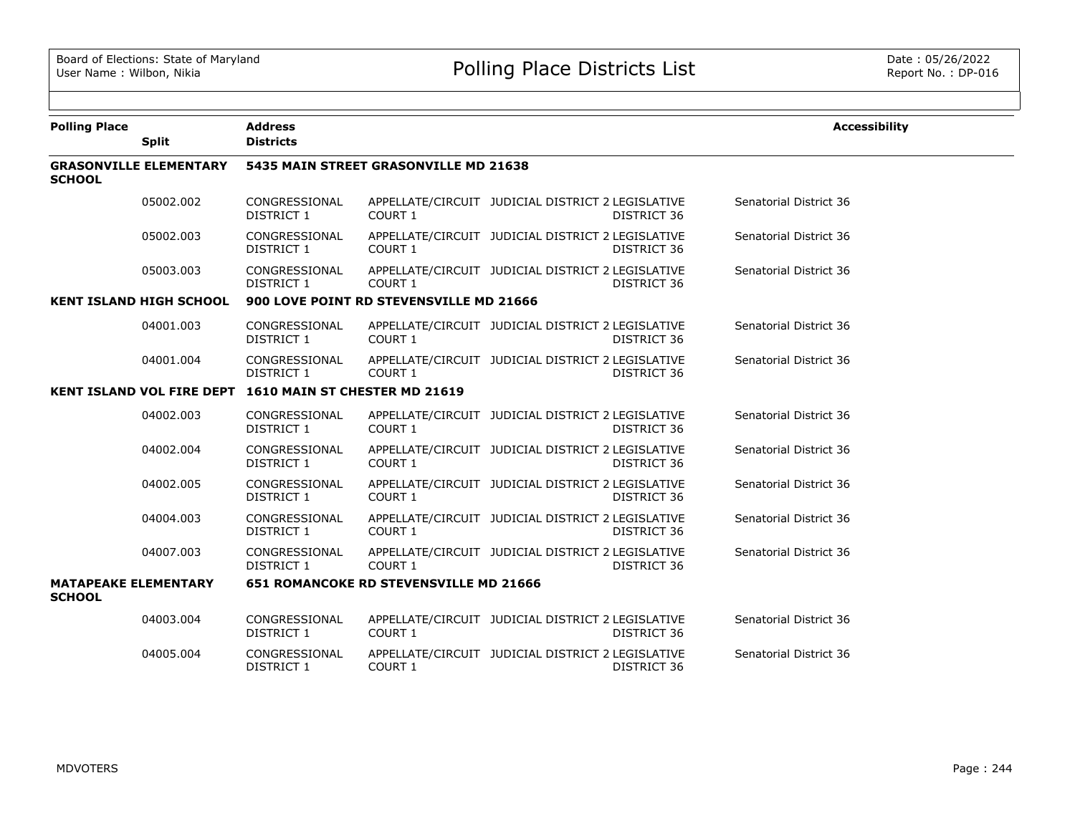| <b>Polling Place</b>                         |                                | <b>Address</b>                                          |                                               |                                                                  | <b>Accessibility</b>   |
|----------------------------------------------|--------------------------------|---------------------------------------------------------|-----------------------------------------------|------------------------------------------------------------------|------------------------|
|                                              | <b>Split</b>                   | <b>Districts</b>                                        |                                               |                                                                  |                        |
| <b>SCHOOL</b>                                | <b>GRASONVILLE ELEMENTARY</b>  |                                                         | 5435 MAIN STREET GRASONVILLE MD 21638         |                                                                  |                        |
|                                              | 05002.002                      | CONGRESSIONAL<br>DISTRICT 1                             | COURT 1                                       | APPELLATE/CIRCUIT JUDICIAL DISTRICT 2 LEGISLATIVE<br>DISTRICT 36 | Senatorial District 36 |
|                                              | 05002.003                      | CONGRESSIONAL<br>DISTRICT 1                             | COURT 1                                       | APPELLATE/CIRCUIT JUDICIAL DISTRICT 2 LEGISLATIVE<br>DISTRICT 36 | Senatorial District 36 |
|                                              | 05003.003                      | CONGRESSIONAL<br>DISTRICT 1                             | COURT 1                                       | APPELLATE/CIRCUIT JUDICIAL DISTRICT 2 LEGISLATIVE<br>DISTRICT 36 | Senatorial District 36 |
|                                              | <b>KENT ISLAND HIGH SCHOOL</b> |                                                         | 900 LOVE POINT RD STEVENSVILLE MD 21666       |                                                                  |                        |
|                                              | 04001.003                      | CONGRESSIONAL<br>DISTRICT 1                             | COURT 1                                       | APPELLATE/CIRCUIT JUDICIAL DISTRICT 2 LEGISLATIVE<br>DISTRICT 36 | Senatorial District 36 |
|                                              | 04001.004                      | CONGRESSIONAL<br>DISTRICT 1                             | COURT 1                                       | APPELLATE/CIRCUIT JUDICIAL DISTRICT 2 LEGISLATIVE<br>DISTRICT 36 | Senatorial District 36 |
|                                              |                                | KENT ISLAND VOL FIRE DEPT 1610 MAIN ST CHESTER MD 21619 |                                               |                                                                  |                        |
|                                              | 04002.003                      | CONGRESSIONAL<br>DISTRICT 1                             | COURT 1                                       | APPELLATE/CIRCUIT JUDICIAL DISTRICT 2 LEGISLATIVE<br>DISTRICT 36 | Senatorial District 36 |
|                                              | 04002.004                      | CONGRESSIONAL<br>DISTRICT 1                             | COURT 1                                       | APPELLATE/CIRCUIT JUDICIAL DISTRICT 2 LEGISLATIVE<br>DISTRICT 36 | Senatorial District 36 |
|                                              | 04002.005                      | CONGRESSIONAL<br>DISTRICT 1                             | COURT 1                                       | APPELLATE/CIRCUIT JUDICIAL DISTRICT 2 LEGISLATIVE<br>DISTRICT 36 | Senatorial District 36 |
|                                              | 04004.003                      | CONGRESSIONAL<br>DISTRICT 1                             | COURT 1                                       | APPELLATE/CIRCUIT JUDICIAL DISTRICT 2 LEGISLATIVE<br>DISTRICT 36 | Senatorial District 36 |
|                                              | 04007.003                      | CONGRESSIONAL<br>DISTRICT 1                             | COURT 1                                       | APPELLATE/CIRCUIT JUDICIAL DISTRICT 2 LEGISLATIVE<br>DISTRICT 36 | Senatorial District 36 |
| <b>MATAPEAKE ELEMENTARY</b><br><b>SCHOOL</b> |                                |                                                         | <b>651 ROMANCOKE RD STEVENSVILLE MD 21666</b> |                                                                  |                        |
|                                              | 04003.004                      | CONGRESSIONAL<br>DISTRICT 1                             | COURT 1                                       | APPELLATE/CIRCUIT JUDICIAL DISTRICT 2 LEGISLATIVE<br>DISTRICT 36 | Senatorial District 36 |
|                                              | 04005.004                      | CONGRESSIONAL<br><b>DISTRICT 1</b>                      | COURT 1                                       | APPELLATE/CIRCUIT JUDICIAL DISTRICT 2 LEGISLATIVE<br>DISTRICT 36 | Senatorial District 36 |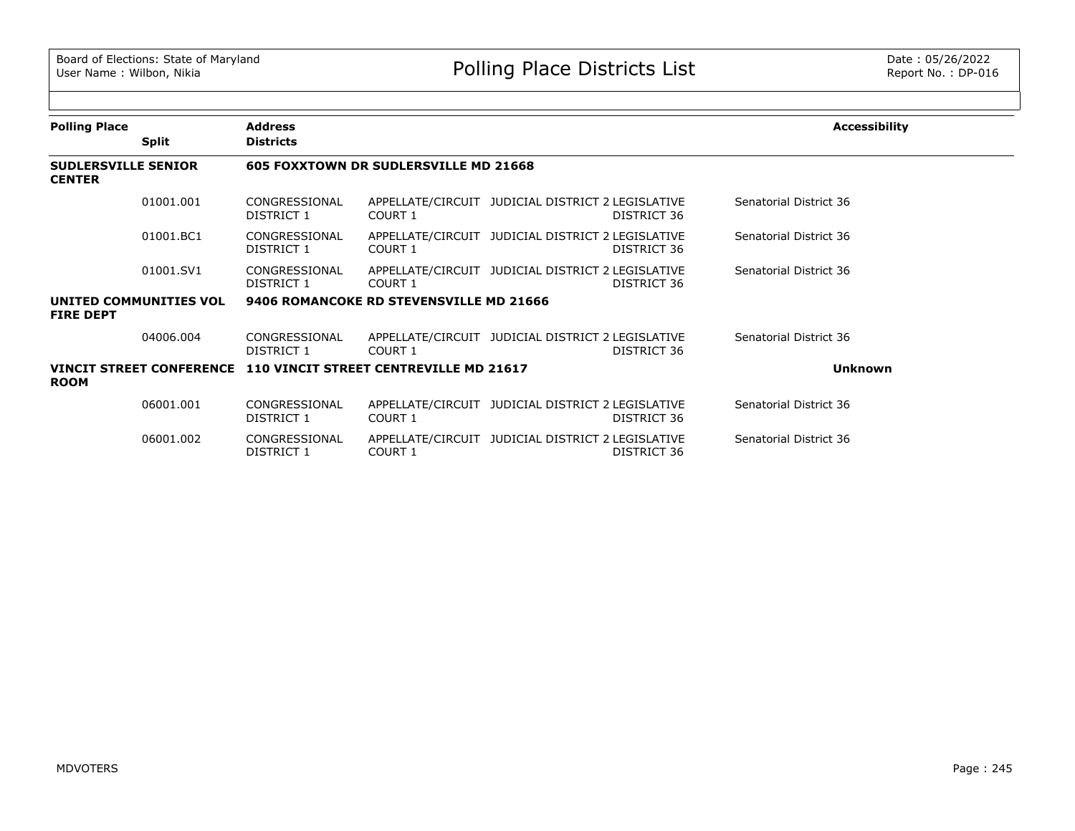| <b>Polling Place</b>                        |                                 | <b>Address</b>                                |                                         |                                                                  | <b>Accessibility</b>   |
|---------------------------------------------|---------------------------------|-----------------------------------------------|-----------------------------------------|------------------------------------------------------------------|------------------------|
|                                             | <b>Split</b>                    | <b>Districts</b>                              |                                         |                                                                  |                        |
| <b>SUDLERSVILLE SENIOR</b><br><b>CENTER</b> |                                 |                                               | 605 FOXXTOWN DR SUDLERSVILLE MD 21668   |                                                                  |                        |
|                                             | 01001.001                       | CONGRESSIONAL<br>DISTRICT 1                   | <b>COURT 1</b>                          | APPELLATE/CIRCUIT JUDICIAL DISTRICT 2 LEGISLATIVE<br>DISTRICT 36 | Senatorial District 36 |
|                                             | 01001.BC1                       | CONGRESSIONAL<br>DISTRICT 1                   | COURT 1                                 | APPELLATE/CIRCUIT JUDICIAL DISTRICT 2 LEGISLATIVE<br>DISTRICT 36 | Senatorial District 36 |
|                                             | 01001.SV1                       | CONGRESSIONAL<br>DISTRICT 1                   | COURT 1                                 | APPELLATE/CIRCUIT JUDICIAL DISTRICT 2 LEGISLATIVE<br>DISTRICT 36 | Senatorial District 36 |
| <b>FIRE DEPT</b>                            | UNITED COMMUNITIES VOL          |                                               | 9406 ROMANCOKE RD STEVENSVILLE MD 21666 |                                                                  |                        |
|                                             | 04006.004                       | CONGRESSIONAL<br>DISTRICT 1                   | COURT 1                                 | APPELLATE/CIRCUIT JUDICIAL DISTRICT 2 LEGISLATIVE<br>DISTRICT 36 | Senatorial District 36 |
| <b>ROOM</b>                                 | <b>VINCIT STREET CONFERENCE</b> | <b>110 VINCIT STREET CENTREVILLE MD 21617</b> |                                         |                                                                  | <b>Unknown</b>         |
|                                             | 06001.001                       | CONGRESSIONAL<br>DISTRICT 1                   | COURT 1                                 | APPELLATE/CIRCUIT JUDICIAL DISTRICT 2 LEGISLATIVE<br>DISTRICT 36 | Senatorial District 36 |
|                                             | 06001.002                       | CONGRESSIONAL<br>DISTRICT 1                   | <b>COURT 1</b>                          | APPELLATE/CIRCUIT JUDICIAL DISTRICT 2 LEGISLATIVE<br>DISTRICT 36 | Senatorial District 36 |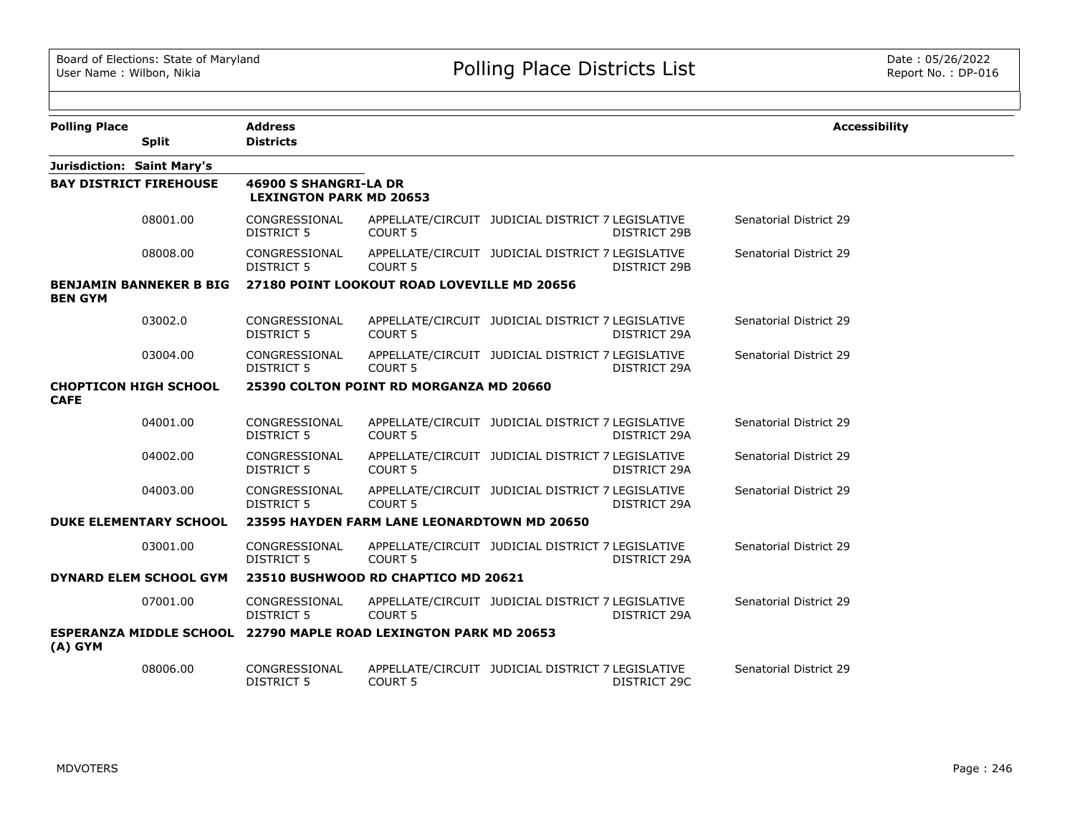| <b>Polling Place</b>                                                          | <b>Address</b>                                          |                                             |                                                   |                     | <b>Accessibility</b>          |
|-------------------------------------------------------------------------------|---------------------------------------------------------|---------------------------------------------|---------------------------------------------------|---------------------|-------------------------------|
| <b>Split</b>                                                                  | <b>Districts</b>                                        |                                             |                                                   |                     |                               |
| Jurisdiction: Saint Mary's                                                    |                                                         |                                             |                                                   |                     |                               |
| <b>BAY DISTRICT FIREHOUSE</b>                                                 | 46900 S SHANGRI-LA DR<br><b>LEXINGTON PARK MD 20653</b> |                                             |                                                   |                     |                               |
| 08001.00                                                                      | CONGRESSIONAL<br><b>DISTRICT 5</b>                      | COURT 5                                     | APPELLATE/CIRCUIT JUDICIAL DISTRICT 7 LEGISLATIVE | DISTRICT 29B        | <b>Senatorial District 29</b> |
| 08008.00                                                                      | CONGRESSIONAL<br><b>DISTRICT 5</b>                      | COURT <sub>5</sub>                          | APPELLATE/CIRCUIT JUDICIAL DISTRICT 7 LEGISLATIVE | <b>DISTRICT 29B</b> | Senatorial District 29        |
| <b>BENJAMIN BANNEKER B BIG</b><br><b>BEN GYM</b>                              |                                                         | 27180 POINT LOOKOUT ROAD LOVEVILLE MD 20656 |                                                   |                     |                               |
| 03002.0                                                                       | CONGRESSIONAL<br><b>DISTRICT 5</b>                      | <b>COURT 5</b>                              | APPELLATE/CIRCUIT JUDICIAL DISTRICT 7 LEGISLATIVE | DISTRICT 29A        | <b>Senatorial District 29</b> |
| 03004.00                                                                      | CONGRESSIONAL<br><b>DISTRICT 5</b>                      | <b>COURT 5</b>                              | APPELLATE/CIRCUIT JUDICIAL DISTRICT 7 LEGISLATIVE | DISTRICT 29A        | Senatorial District 29        |
| <b>CHOPTICON HIGH SCHOOL</b><br><b>CAFE</b>                                   |                                                         | 25390 COLTON POINT RD MORGANZA MD 20660     |                                                   |                     |                               |
| 04001.00                                                                      | CONGRESSIONAL<br><b>DISTRICT 5</b>                      | <b>COURT 5</b>                              | APPELLATE/CIRCUIT JUDICIAL DISTRICT 7 LEGISLATIVE | DISTRICT 29A        | Senatorial District 29        |
| 04002.00                                                                      | CONGRESSIONAL<br><b>DISTRICT 5</b>                      | <b>COURT 5</b>                              | APPELLATE/CIRCUIT JUDICIAL DISTRICT 7 LEGISLATIVE | DISTRICT 29A        | Senatorial District 29        |
| 04003.00                                                                      | CONGRESSIONAL<br><b>DISTRICT 5</b>                      | <b>COURT 5</b>                              | APPELLATE/CIRCUIT JUDICIAL DISTRICT 7 LEGISLATIVE | DISTRICT 29A        | <b>Senatorial District 29</b> |
| <b>DUKE ELEMENTARY SCHOOL</b>                                                 |                                                         | 23595 HAYDEN FARM LANE LEONARDTOWN MD 20650 |                                                   |                     |                               |
| 03001.00                                                                      | CONGRESSIONAL<br><b>DISTRICT 5</b>                      | <b>COURT 5</b>                              | APPELLATE/CIRCUIT JUDICIAL DISTRICT 7 LEGISLATIVE | DISTRICT 29A        | Senatorial District 29        |
| DYNARD ELEM SCHOOL GYM                                                        |                                                         | 23510 BUSHWOOD RD CHAPTICO MD 20621         |                                                   |                     |                               |
| 07001.00                                                                      | CONGRESSIONAL<br><b>DISTRICT 5</b>                      | COURT <sub>5</sub>                          | APPELLATE/CIRCUIT JUDICIAL DISTRICT 7 LEGISLATIVE | DISTRICT 29A        | Senatorial District 29        |
| ESPERANZA MIDDLE SCHOOL 22790 MAPLE ROAD LEXINGTON PARK MD 20653<br>$(A)$ GYM |                                                         |                                             |                                                   |                     |                               |
| 08006.00                                                                      | CONGRESSIONAL<br><b>DISTRICT 5</b>                      | COURT <sub>5</sub>                          | APPELLATE/CIRCUIT JUDICIAL DISTRICT 7 LEGISLATIVE | DISTRICT 29C        | Senatorial District 29        |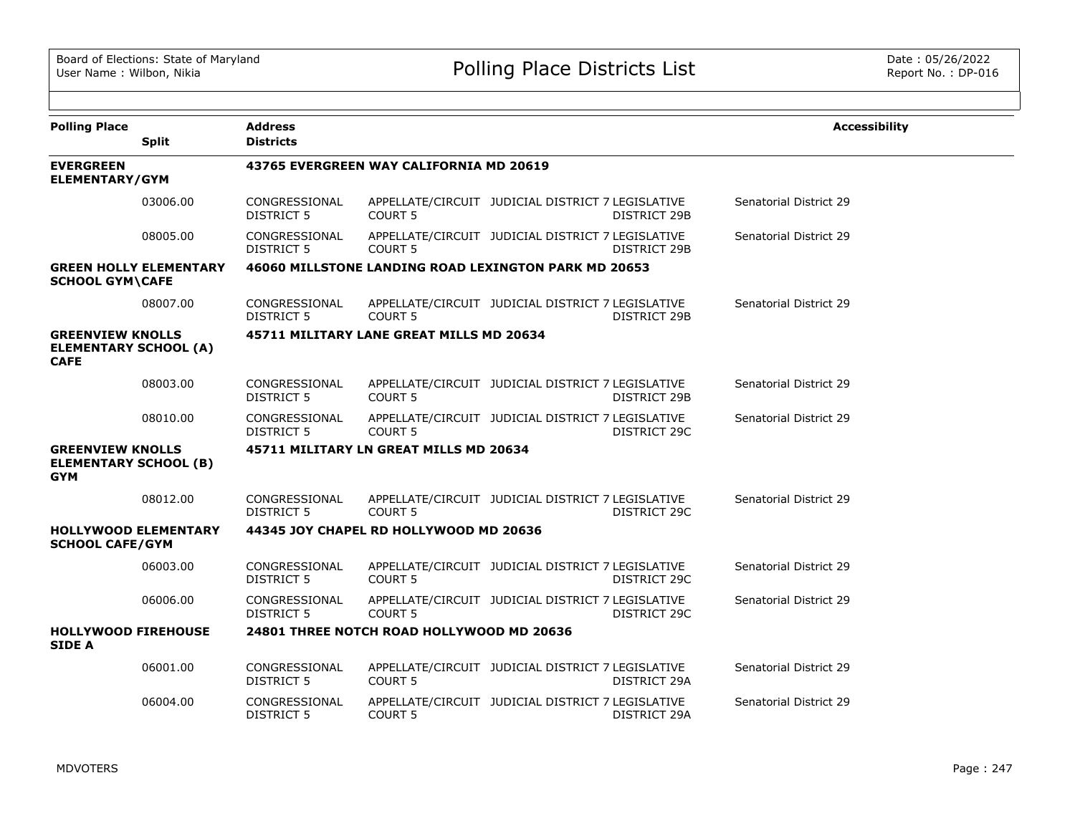| <b>Polling Place</b>                                                   | <b>Split</b>                  | <b>Address</b><br><b>Districts</b> |                                                      |                                                   |              | <b>Accessibility</b>   |
|------------------------------------------------------------------------|-------------------------------|------------------------------------|------------------------------------------------------|---------------------------------------------------|--------------|------------------------|
| <b>EVERGREEN</b><br>ELEMENTARY/GYM                                     |                               |                                    | 43765 EVERGREEN WAY CALIFORNIA MD 20619              |                                                   |              |                        |
|                                                                        | 03006.00                      | CONGRESSIONAL<br><b>DISTRICT 5</b> | <b>COURT 5</b>                                       | APPELLATE/CIRCUIT JUDICIAL DISTRICT 7 LEGISLATIVE | DISTRICT 29B | Senatorial District 29 |
|                                                                        | 08005.00                      | CONGRESSIONAL<br><b>DISTRICT 5</b> | <b>COURT 5</b>                                       | APPELLATE/CIRCUIT JUDICIAL DISTRICT 7 LEGISLATIVE | DISTRICT 29B | Senatorial District 29 |
| <b>SCHOOL GYM\CAFE</b>                                                 | <b>GREEN HOLLY ELEMENTARY</b> |                                    | 46060 MILLSTONE LANDING ROAD LEXINGTON PARK MD 20653 |                                                   |              |                        |
|                                                                        | 08007.00                      | CONGRESSIONAL<br>DISTRICT 5        | COURT <sub>5</sub>                                   | APPELLATE/CIRCUIT JUDICIAL DISTRICT 7 LEGISLATIVE | DISTRICT 29B | Senatorial District 29 |
| <b>GREENVIEW KNOLLS</b><br><b>ELEMENTARY SCHOOL (A)</b><br><b>CAFE</b> |                               |                                    | 45711 MILITARY LANE GREAT MILLS MD 20634             |                                                   |              |                        |
|                                                                        | 08003.00                      | CONGRESSIONAL<br>DISTRICT 5        | <b>COURT 5</b>                                       | APPELLATE/CIRCUIT JUDICIAL DISTRICT 7 LEGISLATIVE | DISTRICT 29B | Senatorial District 29 |
|                                                                        | 08010.00                      | CONGRESSIONAL<br>DISTRICT 5        | COURT <sub>5</sub>                                   | APPELLATE/CIRCUIT JUDICIAL DISTRICT 7 LEGISLATIVE | DISTRICT 29C | Senatorial District 29 |
| <b>GREENVIEW KNOLLS</b><br><b>ELEMENTARY SCHOOL (B)</b><br><b>GYM</b>  |                               |                                    | 45711 MILITARY LN GREAT MILLS MD 20634               |                                                   |              |                        |
|                                                                        | 08012.00                      | CONGRESSIONAL<br>DISTRICT 5        | <b>COURT 5</b>                                       | APPELLATE/CIRCUIT JUDICIAL DISTRICT 7 LEGISLATIVE | DISTRICT 29C | Senatorial District 29 |
| <b>HOLLYWOOD ELEMENTARY</b><br><b>SCHOOL CAFE/GYM</b>                  |                               |                                    | 44345 JOY CHAPEL RD HOLLYWOOD MD 20636               |                                                   |              |                        |
|                                                                        | 06003.00                      | CONGRESSIONAL<br><b>DISTRICT 5</b> | <b>COURT 5</b>                                       | APPELLATE/CIRCUIT JUDICIAL DISTRICT 7 LEGISLATIVE | DISTRICT 29C | Senatorial District 29 |
|                                                                        | 06006.00                      | CONGRESSIONAL<br>DISTRICT 5        | <b>COURT 5</b>                                       | APPELLATE/CIRCUIT JUDICIAL DISTRICT 7 LEGISLATIVE | DISTRICT 29C | Senatorial District 29 |
| <b>HOLLYWOOD FIREHOUSE</b><br><b>SIDE A</b>                            |                               |                                    | 24801 THREE NOTCH ROAD HOLLYWOOD MD 20636            |                                                   |              |                        |
|                                                                        | 06001.00                      | CONGRESSIONAL<br><b>DISTRICT 5</b> | COURT <sub>5</sub>                                   | APPELLATE/CIRCUIT JUDICIAL DISTRICT 7 LEGISLATIVE | DISTRICT 29A | Senatorial District 29 |
|                                                                        | 06004.00                      | CONGRESSIONAL<br><b>DISTRICT 5</b> | <b>COURT 5</b>                                       | APPELLATE/CIRCUIT JUDICIAL DISTRICT 7 LEGISLATIVE | DISTRICT 29A | Senatorial District 29 |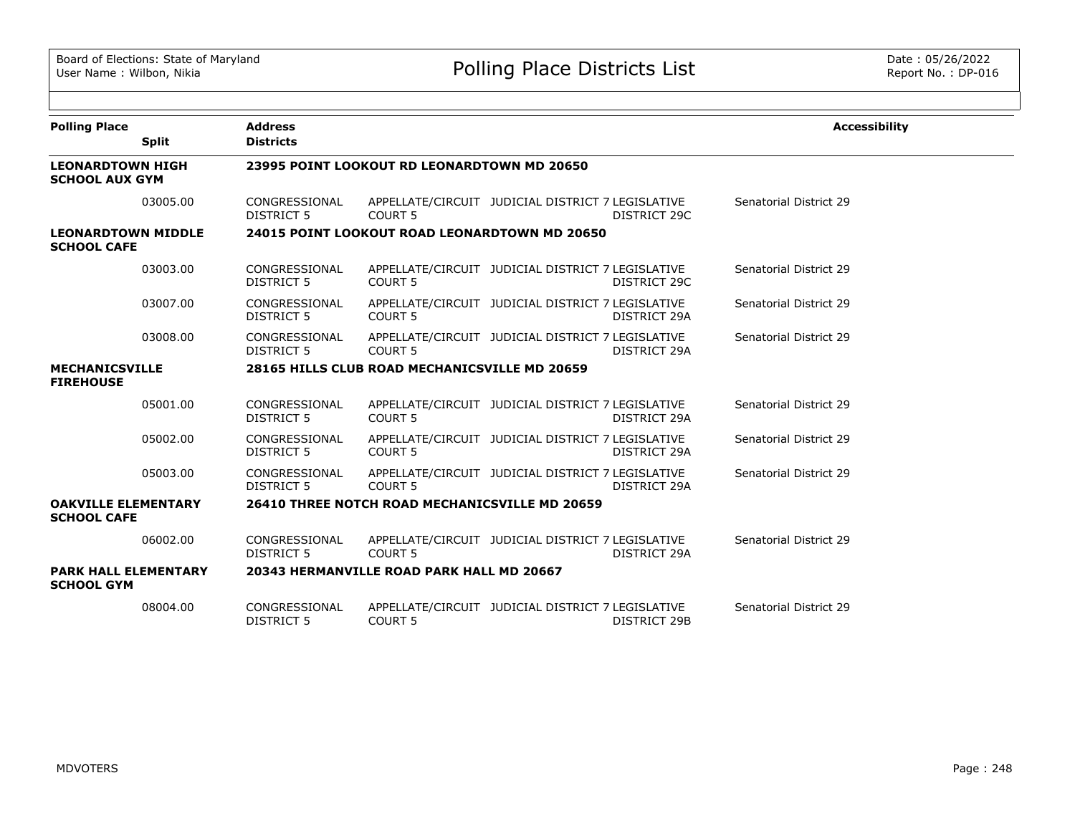| <b>Polling Place</b>                             |              | <b>Address</b>                     |                                                       |                                                   |                     | <b>Accessibility</b>   |
|--------------------------------------------------|--------------|------------------------------------|-------------------------------------------------------|---------------------------------------------------|---------------------|------------------------|
|                                                  | <b>Split</b> | <b>Districts</b>                   |                                                       |                                                   |                     |                        |
| <b>LEONARDTOWN HIGH</b><br><b>SCHOOL AUX GYM</b> |              |                                    | 23995 POINT LOOKOUT RD LEONARDTOWN MD 20650           |                                                   |                     |                        |
|                                                  | 03005.00     | CONGRESSIONAL<br>DISTRICT 5        | COURT <sub>5</sub>                                    | APPELLATE/CIRCUIT JUDICIAL DISTRICT 7 LEGISLATIVE | <b>DISTRICT 29C</b> | Senatorial District 29 |
| <b>LEONARDTOWN MIDDLE</b><br><b>SCHOOL CAFE</b>  |              |                                    | 24015 POINT LOOKOUT ROAD LEONARDTOWN MD 20650         |                                                   |                     |                        |
|                                                  | 03003.00     | CONGRESSIONAL<br><b>DISTRICT 5</b> | <b>COURT 5</b>                                        | APPELLATE/CIRCUIT JUDICIAL DISTRICT 7 LEGISLATIVE | DISTRICT 29C        | Senatorial District 29 |
|                                                  | 03007.00     | CONGRESSIONAL<br>DISTRICT 5        | <b>COURT 5</b>                                        | APPELLATE/CIRCUIT JUDICIAL DISTRICT 7 LEGISLATIVE | DISTRICT 29A        | Senatorial District 29 |
|                                                  | 03008.00     | CONGRESSIONAL<br>DISTRICT 5        | COURT <sub>5</sub>                                    | APPELLATE/CIRCUIT JUDICIAL DISTRICT 7 LEGISLATIVE | DISTRICT 29A        | Senatorial District 29 |
| <b>MECHANICSVILLE</b><br><b>FIREHOUSE</b>        |              |                                    | 28165 HILLS CLUB ROAD MECHANICSVILLE MD 20659         |                                                   |                     |                        |
|                                                  | 05001.00     | CONGRESSIONAL<br><b>DISTRICT 5</b> | <b>COURT 5</b>                                        | APPELLATE/CIRCUIT JUDICIAL DISTRICT 7 LEGISLATIVE | <b>DISTRICT 29A</b> | Senatorial District 29 |
|                                                  | 05002.00     | CONGRESSIONAL<br><b>DISTRICT 5</b> | COURT <sub>5</sub>                                    | APPELLATE/CIRCUIT JUDICIAL DISTRICT 7 LEGISLATIVE | DISTRICT 29A        | Senatorial District 29 |
|                                                  | 05003.00     | CONGRESSIONAL<br><b>DISTRICT 5</b> | COURT <sub>5</sub>                                    | APPELLATE/CIRCUIT JUDICIAL DISTRICT 7 LEGISLATIVE | <b>DISTRICT 29A</b> | Senatorial District 29 |
| <b>OAKVILLE ELEMENTARY</b><br><b>SCHOOL CAFE</b> |              |                                    | <b>26410 THREE NOTCH ROAD MECHANICSVILLE MD 20659</b> |                                                   |                     |                        |
|                                                  | 06002.00     | CONGRESSIONAL<br>DISTRICT 5        | <b>COURT 5</b>                                        | APPELLATE/CIRCUIT JUDICIAL DISTRICT 7 LEGISLATIVE | DISTRICT 29A        | Senatorial District 29 |
| <b>PARK HALL ELEMENTARY</b><br><b>SCHOOL GYM</b> |              |                                    | 20343 HERMANVILLE ROAD PARK HALL MD 20667             |                                                   |                     |                        |
|                                                  | 08004.00     | CONGRESSIONAL<br>DISTRICT 5        | <b>COURT 5</b>                                        | APPELLATE/CIRCUIT JUDICIAL DISTRICT 7 LEGISLATIVE | <b>DISTRICT 29B</b> | Senatorial District 29 |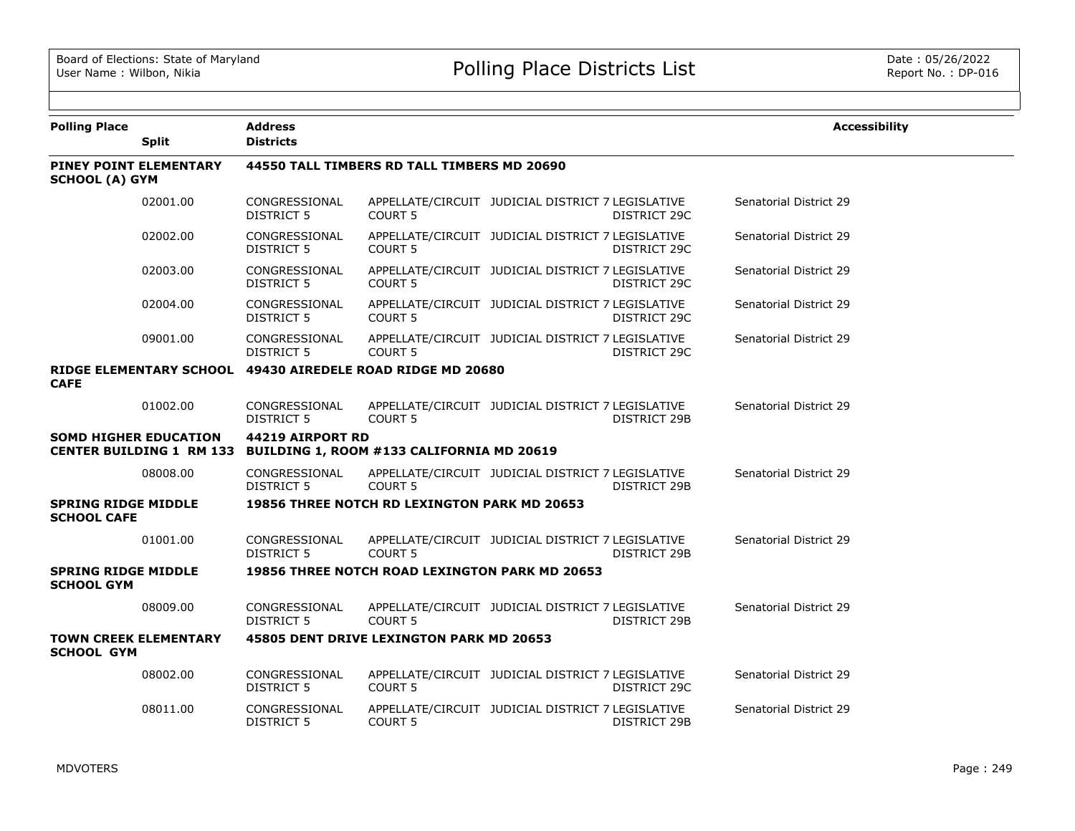| <b>Polling Place</b>                             | <b>Split</b>                 | <b>Address</b><br><b>Districts</b> |                                                                    |                                                   |              | <b>Accessibility</b>   |
|--------------------------------------------------|------------------------------|------------------------------------|--------------------------------------------------------------------|---------------------------------------------------|--------------|------------------------|
| <b>SCHOOL (A) GYM</b>                            | PINEY POINT ELEMENTARY       |                                    | 44550 TALL TIMBERS RD TALL TIMBERS MD 20690                        |                                                   |              |                        |
|                                                  | 02001.00                     | CONGRESSIONAL<br><b>DISTRICT 5</b> | <b>COURT 5</b>                                                     | APPELLATE/CIRCUIT JUDICIAL DISTRICT 7 LEGISLATIVE | DISTRICT 29C | Senatorial District 29 |
|                                                  | 02002.00                     | CONGRESSIONAL<br><b>DISTRICT 5</b> | <b>COURT 5</b>                                                     | APPELLATE/CIRCUIT JUDICIAL DISTRICT 7 LEGISLATIVE | DISTRICT 29C | Senatorial District 29 |
|                                                  | 02003.00                     | CONGRESSIONAL<br>DISTRICT 5        | <b>COURT 5</b>                                                     | APPELLATE/CIRCUIT JUDICIAL DISTRICT 7 LEGISLATIVE | DISTRICT 29C | Senatorial District 29 |
|                                                  | 02004.00                     | CONGRESSIONAL<br><b>DISTRICT 5</b> | <b>COURT 5</b>                                                     | APPELLATE/CIRCUIT JUDICIAL DISTRICT 7 LEGISLATIVE | DISTRICT 29C | Senatorial District 29 |
|                                                  | 09001.00                     | CONGRESSIONAL<br>DISTRICT 5        | <b>COURT 5</b>                                                     | APPELLATE/CIRCUIT JUDICIAL DISTRICT 7 LEGISLATIVE | DISTRICT 29C | Senatorial District 29 |
| <b>CAFE</b>                                      |                              |                                    | RIDGE ELEMENTARY SCHOOL 49430 AIREDELE ROAD RIDGE MD 20680         |                                                   |              |                        |
|                                                  | 01002.00                     | CONGRESSIONAL<br><b>DISTRICT 5</b> | <b>COURT 5</b>                                                     | APPELLATE/CIRCUIT JUDICIAL DISTRICT 7 LEGISLATIVE | DISTRICT 29B | Senatorial District 29 |
|                                                  | <b>SOMD HIGHER EDUCATION</b> | <b>44219 AIRPORT RD</b>            | CENTER BUILDING 1 RM 133 BUILDING 1, ROOM #133 CALIFORNIA MD 20619 |                                                   |              |                        |
|                                                  | 08008.00                     | CONGRESSIONAL<br>DISTRICT 5        | <b>COURT 5</b>                                                     | APPELLATE/CIRCUIT JUDICIAL DISTRICT 7 LEGISLATIVE | DISTRICT 29B | Senatorial District 29 |
| <b>SPRING RIDGE MIDDLE</b><br><b>SCHOOL CAFE</b> |                              |                                    | <b>19856 THREE NOTCH RD LEXINGTON PARK MD 20653</b>                |                                                   |              |                        |
|                                                  | 01001.00                     | CONGRESSIONAL<br><b>DISTRICT 5</b> | <b>COURT 5</b>                                                     | APPELLATE/CIRCUIT JUDICIAL DISTRICT 7 LEGISLATIVE | DISTRICT 29B | Senatorial District 29 |
| <b>SPRING RIDGE MIDDLE</b><br><b>SCHOOL GYM</b>  |                              |                                    | <b>19856 THREE NOTCH ROAD LEXINGTON PARK MD 20653</b>              |                                                   |              |                        |
|                                                  | 08009.00                     | CONGRESSIONAL<br><b>DISTRICT 5</b> | <b>COURT 5</b>                                                     | APPELLATE/CIRCUIT JUDICIAL DISTRICT 7 LEGISLATIVE | DISTRICT 29B | Senatorial District 29 |
| <b>SCHOOL GYM</b>                                | <b>TOWN CREEK ELEMENTARY</b> |                                    | 45805 DENT DRIVE LEXINGTON PARK MD 20653                           |                                                   |              |                        |
|                                                  | 08002.00                     | CONGRESSIONAL<br><b>DISTRICT 5</b> | <b>COURT 5</b>                                                     | APPELLATE/CIRCUIT JUDICIAL DISTRICT 7 LEGISLATIVE | DISTRICT 29C | Senatorial District 29 |
|                                                  | 08011.00                     | CONGRESSIONAL<br><b>DISTRICT 5</b> | <b>COURT 5</b>                                                     | APPELLATE/CIRCUIT JUDICIAL DISTRICT 7 LEGISLATIVE | DISTRICT 29B | Senatorial District 29 |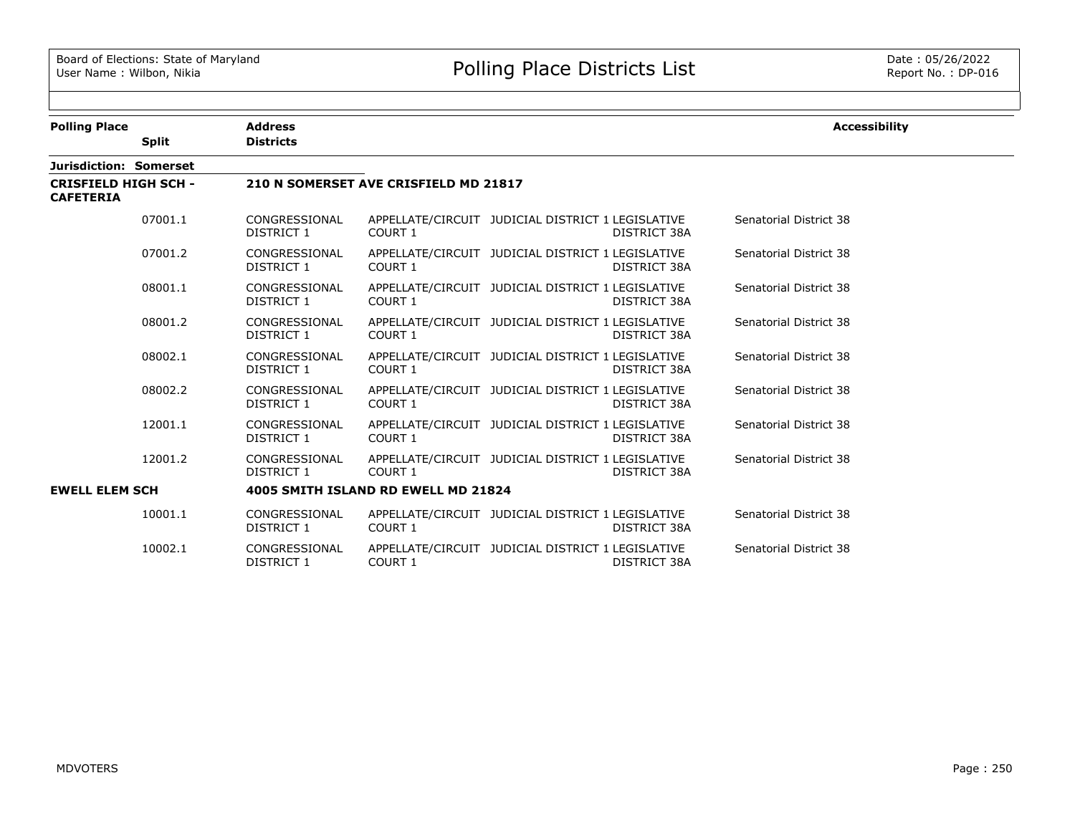| <b>Polling Place</b>                            |              | <b>Address</b>              |                                       |                                                                   | <b>Accessibility</b>   |
|-------------------------------------------------|--------------|-----------------------------|---------------------------------------|-------------------------------------------------------------------|------------------------|
|                                                 | <b>Split</b> | <b>Districts</b>            |                                       |                                                                   |                        |
| Jurisdiction: Somerset                          |              |                             |                                       |                                                                   |                        |
| <b>CRISFIELD HIGH SCH -</b><br><b>CAFETERIA</b> |              |                             | 210 N SOMERSET AVE CRISFIELD MD 21817 |                                                                   |                        |
|                                                 | 07001.1      | CONGRESSIONAL<br>DISTRICT 1 | COURT 1                               | APPELLATE/CIRCUIT JUDICIAL DISTRICT 1 LEGISLATIVE<br>DISTRICT 38A | Senatorial District 38 |
|                                                 | 07001.2      | CONGRESSIONAL<br>DISTRICT 1 | COURT 1                               | APPELLATE/CIRCUIT JUDICIAL DISTRICT 1 LEGISLATIVE<br>DISTRICT 38A | Senatorial District 38 |
|                                                 | 08001.1      | CONGRESSIONAL<br>DISTRICT 1 | COURT 1                               | APPELLATE/CIRCUIT JUDICIAL DISTRICT 1 LEGISLATIVE<br>DISTRICT 38A | Senatorial District 38 |
|                                                 | 08001.2      | CONGRESSIONAL<br>DISTRICT 1 | COURT 1                               | APPELLATE/CIRCUIT JUDICIAL DISTRICT 1 LEGISLATIVE<br>DISTRICT 38A | Senatorial District 38 |
|                                                 | 08002.1      | CONGRESSIONAL<br>DISTRICT 1 | COURT 1                               | APPELLATE/CIRCUIT JUDICIAL DISTRICT 1 LEGISLATIVE<br>DISTRICT 38A | Senatorial District 38 |
|                                                 | 08002.2      | CONGRESSIONAL<br>DISTRICT 1 | COURT 1                               | APPELLATE/CIRCUIT JUDICIAL DISTRICT 1 LEGISLATIVE<br>DISTRICT 38A | Senatorial District 38 |
|                                                 | 12001.1      | CONGRESSIONAL<br>DISTRICT 1 | COURT 1                               | APPELLATE/CIRCUIT JUDICIAL DISTRICT 1 LEGISLATIVE<br>DISTRICT 38A | Senatorial District 38 |
|                                                 | 12001.2      | CONGRESSIONAL<br>DISTRICT 1 | COURT 1                               | APPELLATE/CIRCUIT JUDICIAL DISTRICT 1 LEGISLATIVE<br>DISTRICT 38A | Senatorial District 38 |
| <b>EWELL ELEM SCH</b>                           |              |                             | 4005 SMITH ISLAND RD EWELL MD 21824   |                                                                   |                        |
|                                                 | 10001.1      | CONGRESSIONAL<br>DISTRICT 1 | COURT 1                               | APPELLATE/CIRCUIT JUDICIAL DISTRICT 1 LEGISLATIVE<br>DISTRICT 38A | Senatorial District 38 |
|                                                 | 10002.1      | CONGRESSIONAL<br>DISTRICT 1 | COURT 1                               | APPELLATE/CIRCUIT JUDICIAL DISTRICT 1 LEGISLATIVE<br>DISTRICT 38A | Senatorial District 38 |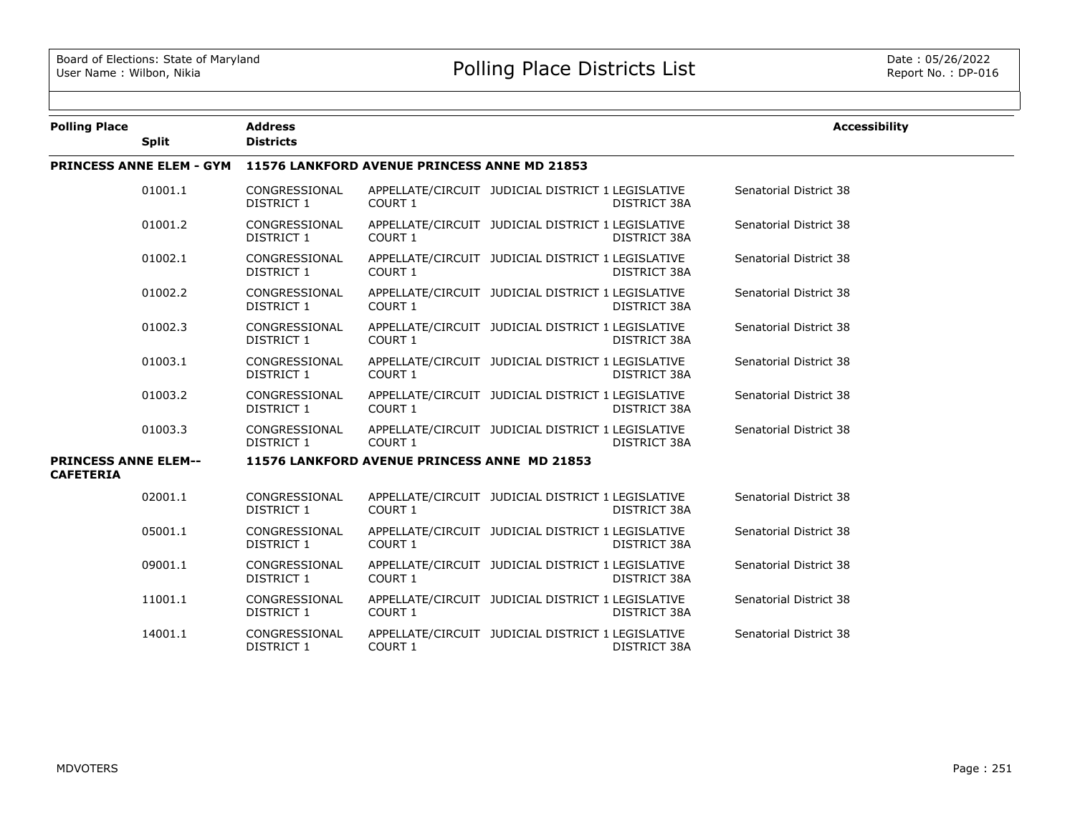| <b>Polling Place</b>                            | <b>Split</b>                    | <b>Address</b><br><b>Districts</b> |                                              |                                                   |                     | <b>Accessibility</b>   |
|-------------------------------------------------|---------------------------------|------------------------------------|----------------------------------------------|---------------------------------------------------|---------------------|------------------------|
|                                                 | <b>PRINCESS ANNE ELEM - GYM</b> |                                    | 11576 LANKFORD AVENUE PRINCESS ANNE MD 21853 |                                                   |                     |                        |
|                                                 | 01001.1                         | CONGRESSIONAL<br>DISTRICT 1        | COURT 1                                      | APPELLATE/CIRCUIT JUDICIAL DISTRICT 1 LEGISLATIVE | DISTRICT 38A        | Senatorial District 38 |
|                                                 | 01001.2                         | CONGRESSIONAL<br>DISTRICT 1        | COURT 1                                      | APPELLATE/CIRCUIT JUDICIAL DISTRICT 1 LEGISLATIVE | DISTRICT 38A        | Senatorial District 38 |
|                                                 | 01002.1                         | CONGRESSIONAL<br>DISTRICT 1        | COURT 1                                      | APPELLATE/CIRCUIT JUDICIAL DISTRICT 1 LEGISLATIVE | DISTRICT 38A        | Senatorial District 38 |
|                                                 | 01002.2                         | CONGRESSIONAL<br>DISTRICT 1        | COURT 1                                      | APPELLATE/CIRCUIT JUDICIAL DISTRICT 1 LEGISLATIVE | DISTRICT 38A        | Senatorial District 38 |
|                                                 | 01002.3                         | CONGRESSIONAL<br>DISTRICT 1        | <b>COURT 1</b>                               | APPELLATE/CIRCUIT JUDICIAL DISTRICT 1 LEGISLATIVE | DISTRICT 38A        | Senatorial District 38 |
|                                                 | 01003.1                         | CONGRESSIONAL<br>DISTRICT 1        | COURT 1                                      | APPELLATE/CIRCUIT JUDICIAL DISTRICT 1 LEGISLATIVE | DISTRICT 38A        | Senatorial District 38 |
|                                                 | 01003.2                         | CONGRESSIONAL<br>DISTRICT 1        | COURT 1                                      | APPELLATE/CIRCUIT JUDICIAL DISTRICT 1 LEGISLATIVE | DISTRICT 38A        | Senatorial District 38 |
|                                                 | 01003.3                         | CONGRESSIONAL<br>DISTRICT 1        | COURT 1                                      | APPELLATE/CIRCUIT JUDICIAL DISTRICT 1 LEGISLATIVE | DISTRICT 38A        | Senatorial District 38 |
| <b>PRINCESS ANNE ELEM--</b><br><b>CAFETERIA</b> |                                 |                                    | 11576 LANKFORD AVENUE PRINCESS ANNE MD 21853 |                                                   |                     |                        |
|                                                 | 02001.1                         | CONGRESSIONAL<br>DISTRICT 1        | COURT 1                                      | APPELLATE/CIRCUIT JUDICIAL DISTRICT 1 LEGISLATIVE | DISTRICT 38A        | Senatorial District 38 |
|                                                 | 05001.1                         | CONGRESSIONAL<br>DISTRICT 1        | <b>COURT 1</b>                               | APPELLATE/CIRCUIT JUDICIAL DISTRICT 1 LEGISLATIVE | DISTRICT 38A        | Senatorial District 38 |
|                                                 | 09001.1                         | CONGRESSIONAL<br>DISTRICT 1        | COURT 1                                      | APPELLATE/CIRCUIT JUDICIAL DISTRICT 1 LEGISLATIVE | DISTRICT 38A        | Senatorial District 38 |
|                                                 | 11001.1                         | CONGRESSIONAL<br>DISTRICT 1        | COURT 1                                      | APPELLATE/CIRCUIT JUDICIAL DISTRICT 1 LEGISLATIVE | DISTRICT 38A        | Senatorial District 38 |
|                                                 | 14001.1                         | CONGRESSIONAL<br><b>DISTRICT 1</b> | COURT 1                                      | APPELLATE/CIRCUIT JUDICIAL DISTRICT 1 LEGISLATIVE | <b>DISTRICT 38A</b> | Senatorial District 38 |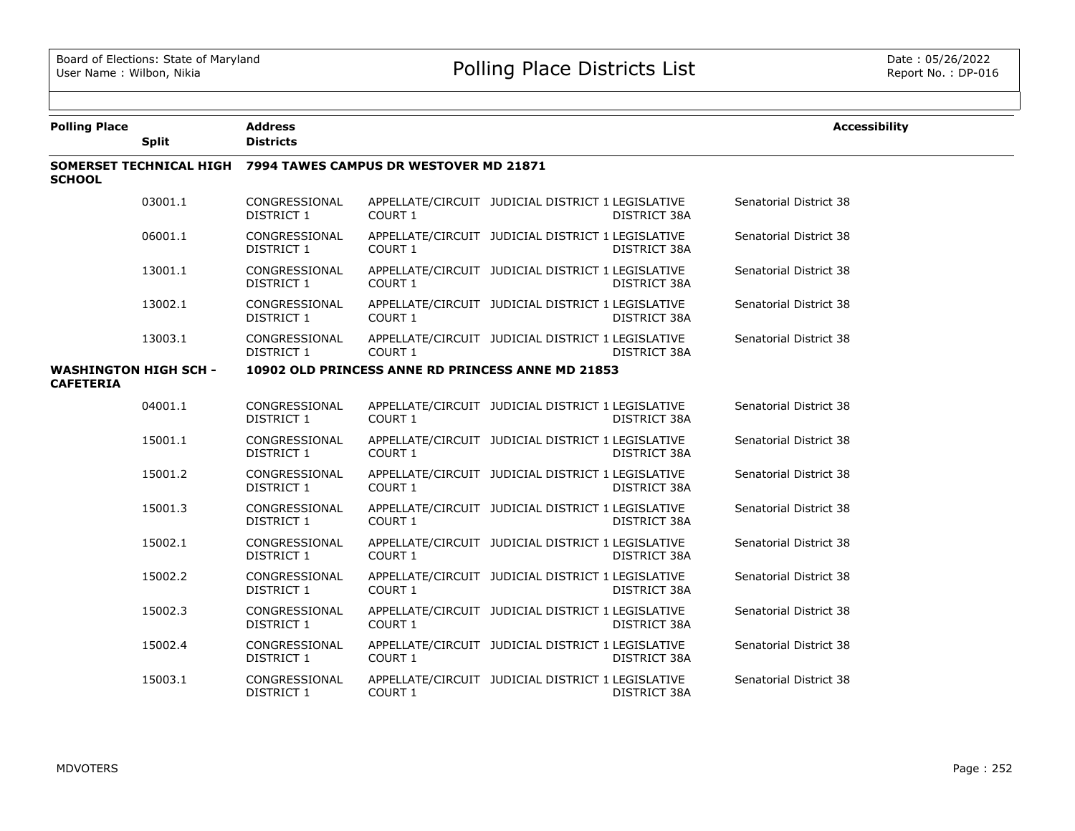| <b>Polling Place</b>                             |              | <b>Address</b>              |                                                                |                                                   |                     | <b>Accessibility</b>   |
|--------------------------------------------------|--------------|-----------------------------|----------------------------------------------------------------|---------------------------------------------------|---------------------|------------------------|
|                                                  | <b>Split</b> | <b>Districts</b>            |                                                                |                                                   |                     |                        |
| <b>SCHOOL</b>                                    |              |                             | SOMERSET TECHNICAL HIGH 7994 TAWES CAMPUS DR WESTOVER MD 21871 |                                                   |                     |                        |
|                                                  | 03001.1      | CONGRESSIONAL<br>DISTRICT 1 | COURT 1                                                        | APPELLATE/CIRCUIT JUDICIAL DISTRICT 1 LEGISLATIVE | DISTRICT 38A        | Senatorial District 38 |
|                                                  | 06001.1      | CONGRESSIONAL<br>DISTRICT 1 | <b>COURT 1</b>                                                 | APPELLATE/CIRCUIT JUDICIAL DISTRICT 1 LEGISLATIVE | DISTRICT 38A        | Senatorial District 38 |
|                                                  | 13001.1      | CONGRESSIONAL<br>DISTRICT 1 | COURT 1                                                        | APPELLATE/CIRCUIT JUDICIAL DISTRICT 1 LEGISLATIVE | <b>DISTRICT 38A</b> | Senatorial District 38 |
|                                                  | 13002.1      | CONGRESSIONAL<br>DISTRICT 1 | COURT 1                                                        | APPELLATE/CIRCUIT JUDICIAL DISTRICT 1 LEGISLATIVE | DISTRICT 38A        | Senatorial District 38 |
|                                                  | 13003.1      | CONGRESSIONAL<br>DISTRICT 1 | COURT 1                                                        | APPELLATE/CIRCUIT JUDICIAL DISTRICT 1 LEGISLATIVE | <b>DISTRICT 38A</b> | Senatorial District 38 |
| <b>WASHINGTON HIGH SCH -</b><br><b>CAFETERIA</b> |              |                             | 10902 OLD PRINCESS ANNE RD PRINCESS ANNE MD 21853              |                                                   |                     |                        |
|                                                  | 04001.1      | CONGRESSIONAL<br>DISTRICT 1 | COURT 1                                                        | APPELLATE/CIRCUIT JUDICIAL DISTRICT 1 LEGISLATIVE | DISTRICT 38A        | Senatorial District 38 |
|                                                  | 15001.1      | CONGRESSIONAL<br>DISTRICT 1 | COURT 1                                                        | APPELLATE/CIRCUIT JUDICIAL DISTRICT 1 LEGISLATIVE | DISTRICT 38A        | Senatorial District 38 |
|                                                  | 15001.2      | CONGRESSIONAL<br>DISTRICT 1 | COURT 1                                                        | APPELLATE/CIRCUIT JUDICIAL DISTRICT 1 LEGISLATIVE | DISTRICT 38A        | Senatorial District 38 |
|                                                  | 15001.3      | CONGRESSIONAL<br>DISTRICT 1 | COURT 1                                                        | APPELLATE/CIRCUIT JUDICIAL DISTRICT 1 LEGISLATIVE | DISTRICT 38A        | Senatorial District 38 |
|                                                  | 15002.1      | CONGRESSIONAL<br>DISTRICT 1 | COURT 1                                                        | APPELLATE/CIRCUIT JUDICIAL DISTRICT 1 LEGISLATIVE | DISTRICT 38A        | Senatorial District 38 |
|                                                  | 15002.2      | CONGRESSIONAL<br>DISTRICT 1 | COURT 1                                                        | APPELLATE/CIRCUIT JUDICIAL DISTRICT 1 LEGISLATIVE | DISTRICT 38A        | Senatorial District 38 |
|                                                  | 15002.3      | CONGRESSIONAL<br>DISTRICT 1 | COURT 1                                                        | APPELLATE/CIRCUIT JUDICIAL DISTRICT 1 LEGISLATIVE | DISTRICT 38A        | Senatorial District 38 |
|                                                  | 15002.4      | CONGRESSIONAL<br>DISTRICT 1 | COURT 1                                                        | APPELLATE/CIRCUIT JUDICIAL DISTRICT 1 LEGISLATIVE | <b>DISTRICT 38A</b> | Senatorial District 38 |
|                                                  | 15003.1      | CONGRESSIONAL<br>DISTRICT 1 | COURT 1                                                        | APPELLATE/CIRCUIT JUDICIAL DISTRICT 1 LEGISLATIVE | <b>DISTRICT 38A</b> | Senatorial District 38 |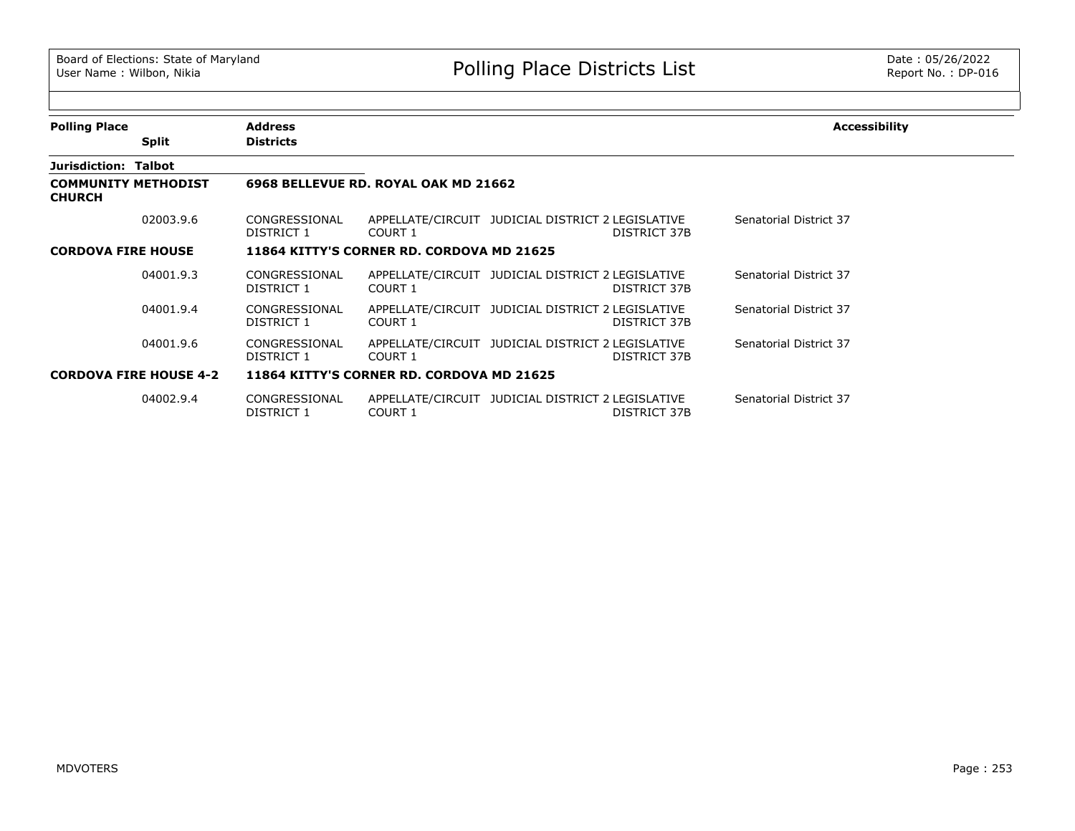| <b>Polling Place</b>                        |                               | <b>Address</b>              |                                           |                                                                   | Accessibility          |
|---------------------------------------------|-------------------------------|-----------------------------|-------------------------------------------|-------------------------------------------------------------------|------------------------|
|                                             | <b>Split</b>                  | <b>Districts</b>            |                                           |                                                                   |                        |
| Jurisdiction: Talbot                        |                               |                             |                                           |                                                                   |                        |
| <b>COMMUNITY METHODIST</b><br><b>CHURCH</b> |                               |                             | 6968 BELLEVUE RD. ROYAL OAK MD 21662      |                                                                   |                        |
|                                             | 02003.9.6                     | CONGRESSIONAL<br>DISTRICT 1 | COURT 1                                   | APPELLATE/CIRCUIT JUDICIAL DISTRICT 2 LEGISLATIVE<br>DISTRICT 37B | Senatorial District 37 |
| <b>CORDOVA FIRE HOUSE</b>                   |                               |                             | 11864 KITTY'S CORNER RD. CORDOVA MD 21625 |                                                                   |                        |
|                                             | 04001.9.3                     | CONGRESSIONAL<br>DISTRICT 1 | COURT 1                                   | APPELLATE/CIRCUIT JUDICIAL DISTRICT 2 LEGISLATIVE<br>DISTRICT 37B | Senatorial District 37 |
|                                             | 04001.9.4                     | CONGRESSIONAL<br>DISTRICT 1 | COURT 1                                   | APPELLATE/CIRCUIT JUDICIAL DISTRICT 2 LEGISLATIVE<br>DISTRICT 37B | Senatorial District 37 |
|                                             | 04001.9.6                     | CONGRESSIONAL<br>DISTRICT 1 | COURT 1                                   | APPELLATE/CIRCUIT JUDICIAL DISTRICT 2 LEGISLATIVE<br>DISTRICT 37B | Senatorial District 37 |
|                                             | <b>CORDOVA FIRE HOUSE 4-2</b> |                             | 11864 KITTY'S CORNER RD. CORDOVA MD 21625 |                                                                   |                        |
|                                             | 04002.9.4                     | CONGRESSIONAL<br>DISTRICT 1 | COURT 1                                   | APPELLATE/CIRCUIT JUDICIAL DISTRICT 2 LEGISLATIVE<br>DISTRICT 37B | Senatorial District 37 |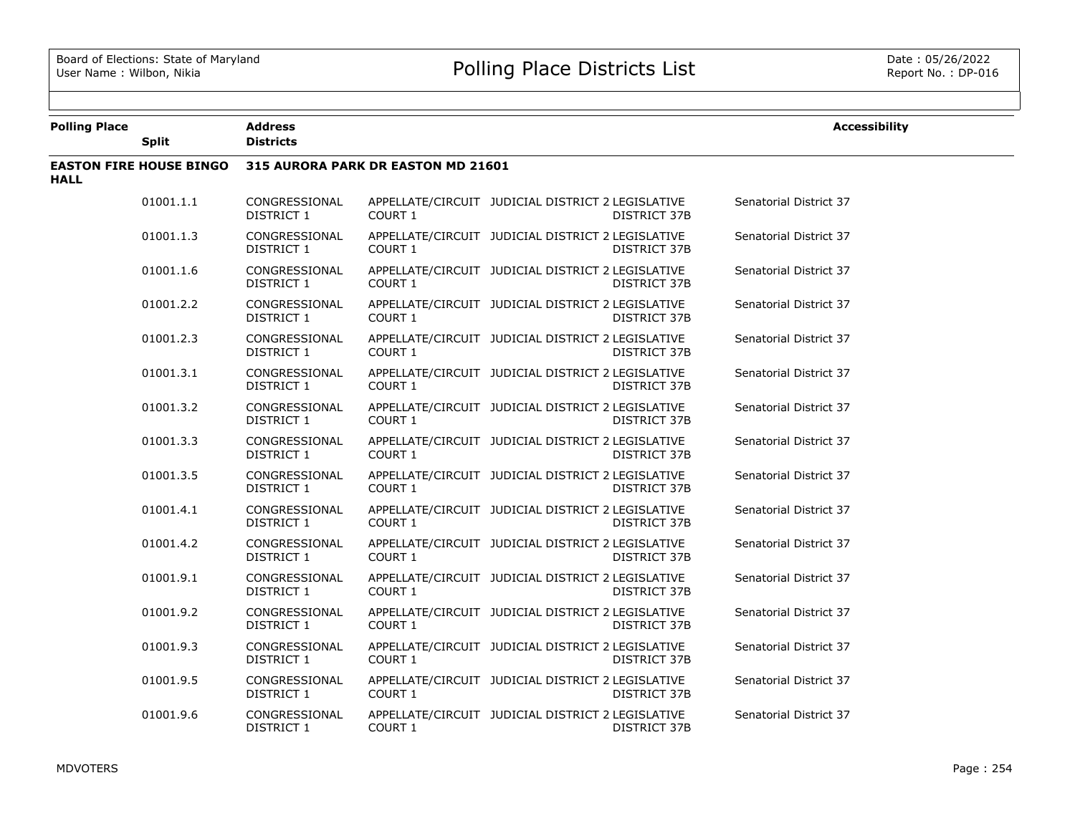| <b>Polling Place</b> | <b>Split</b>                   | <b>Address</b><br><b>Districts</b> |                                    |                                                   |                     | <b>Accessibility</b>   |
|----------------------|--------------------------------|------------------------------------|------------------------------------|---------------------------------------------------|---------------------|------------------------|
| <b>HALL</b>          | <b>EASTON FIRE HOUSE BINGO</b> |                                    | 315 AURORA PARK DR EASTON MD 21601 |                                                   |                     |                        |
|                      | 01001.1.1                      | CONGRESSIONAL<br><b>DISTRICT 1</b> | COURT 1                            | APPELLATE/CIRCUIT JUDICIAL DISTRICT 2 LEGISLATIVE | <b>DISTRICT 37B</b> | Senatorial District 37 |
|                      | 01001.1.3                      | CONGRESSIONAL<br><b>DISTRICT 1</b> | COURT 1                            | APPELLATE/CIRCUIT JUDICIAL DISTRICT 2 LEGISLATIVE | <b>DISTRICT 37B</b> | Senatorial District 37 |
|                      | 01001.1.6                      | CONGRESSIONAL<br><b>DISTRICT 1</b> | COURT 1                            | APPELLATE/CIRCUIT JUDICIAL DISTRICT 2 LEGISLATIVE | DISTRICT 37B        | Senatorial District 37 |
|                      | 01001.2.2                      | CONGRESSIONAL<br>DISTRICT 1        | <b>COURT 1</b>                     | APPELLATE/CIRCUIT JUDICIAL DISTRICT 2 LEGISLATIVE | DISTRICT 37B        | Senatorial District 37 |
|                      | 01001.2.3                      | CONGRESSIONAL<br>DISTRICT 1        | COURT 1                            | APPELLATE/CIRCUIT JUDICIAL DISTRICT 2 LEGISLATIVE | DISTRICT 37B        | Senatorial District 37 |
|                      | 01001.3.1                      | CONGRESSIONAL<br>DISTRICT 1        | <b>COURT 1</b>                     | APPELLATE/CIRCUIT JUDICIAL DISTRICT 2 LEGISLATIVE | DISTRICT 37B        | Senatorial District 37 |
|                      | 01001.3.2                      | CONGRESSIONAL<br>DISTRICT 1        | COURT 1                            | APPELLATE/CIRCUIT JUDICIAL DISTRICT 2 LEGISLATIVE | DISTRICT 37B        | Senatorial District 37 |
|                      | 01001.3.3                      | CONGRESSIONAL<br>DISTRICT 1        | COURT 1                            | APPELLATE/CIRCUIT JUDICIAL DISTRICT 2 LEGISLATIVE | DISTRICT 37B        | Senatorial District 37 |
|                      | 01001.3.5                      | CONGRESSIONAL<br>DISTRICT 1        | COURT 1                            | APPELLATE/CIRCUIT JUDICIAL DISTRICT 2 LEGISLATIVE | DISTRICT 37B        | Senatorial District 37 |
|                      | 01001.4.1                      | CONGRESSIONAL<br>DISTRICT 1        | COURT 1                            | APPELLATE/CIRCUIT JUDICIAL DISTRICT 2 LEGISLATIVE | DISTRICT 37B        | Senatorial District 37 |
|                      | 01001.4.2                      | CONGRESSIONAL<br>DISTRICT 1        | COURT 1                            | APPELLATE/CIRCUIT JUDICIAL DISTRICT 2 LEGISLATIVE | DISTRICT 37B        | Senatorial District 37 |
|                      | 01001.9.1                      | CONGRESSIONAL<br>DISTRICT 1        | COURT 1                            | APPELLATE/CIRCUIT JUDICIAL DISTRICT 2 LEGISLATIVE | DISTRICT 37B        | Senatorial District 37 |
|                      | 01001.9.2                      | CONGRESSIONAL<br>DISTRICT 1        | COURT 1                            | APPELLATE/CIRCUIT JUDICIAL DISTRICT 2 LEGISLATIVE | DISTRICT 37B        | Senatorial District 37 |
|                      | 01001.9.3                      | CONGRESSIONAL<br>DISTRICT 1        | COURT 1                            | APPELLATE/CIRCUIT JUDICIAL DISTRICT 2 LEGISLATIVE | DISTRICT 37B        | Senatorial District 37 |
|                      | 01001.9.5                      | CONGRESSIONAL<br>DISTRICT 1        | COURT 1                            | APPELLATE/CIRCUIT JUDICIAL DISTRICT 2 LEGISLATIVE | DISTRICT 37B        | Senatorial District 37 |
|                      | 01001.9.6                      | CONGRESSIONAL<br>DISTRICT 1        | COURT 1                            | APPELLATE/CIRCUIT JUDICIAL DISTRICT 2 LEGISLATIVE | DISTRICT 37B        | Senatorial District 37 |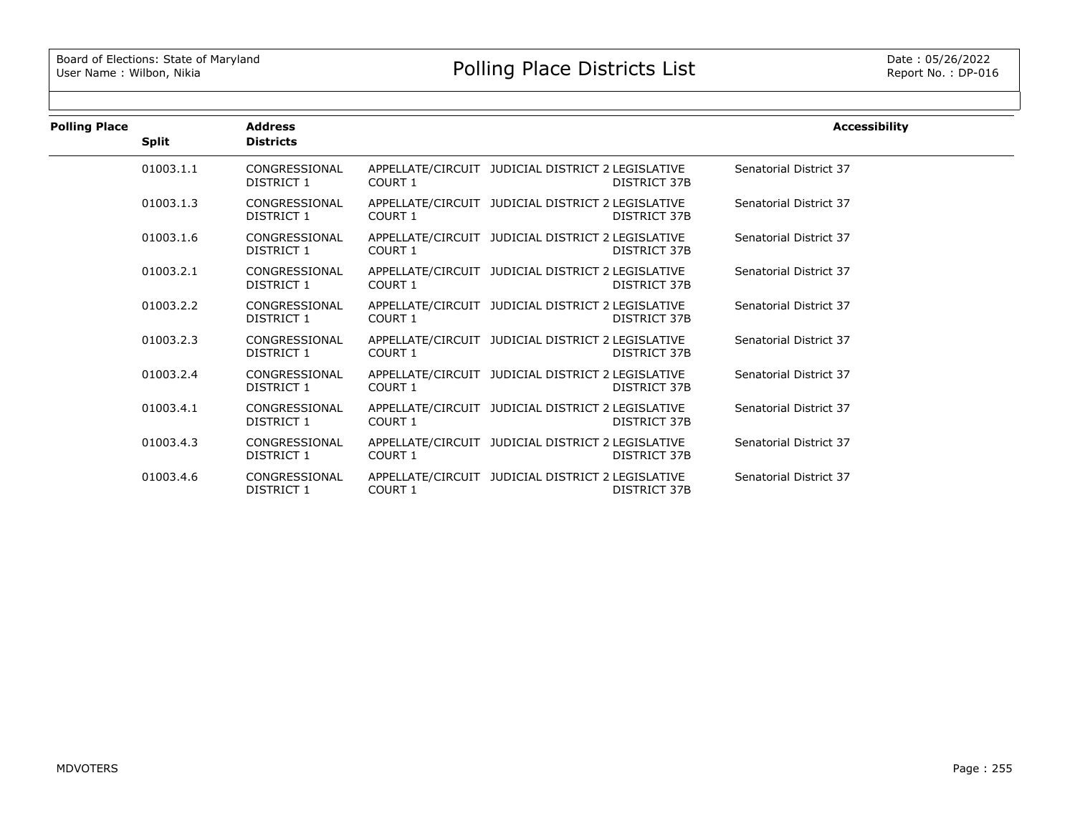| <b>Polling Place</b> |              | <b>Address</b>              |                |                                                                          | <b>Accessibility</b>   |
|----------------------|--------------|-----------------------------|----------------|--------------------------------------------------------------------------|------------------------|
|                      | <b>Split</b> | <b>Districts</b>            |                |                                                                          |                        |
|                      | 01003.1.1    | CONGRESSIONAL<br>DISTRICT 1 | COURT 1        | APPELLATE/CIRCUIT JUDICIAL DISTRICT 2 LEGISLATIVE<br>DISTRICT 37B        | Senatorial District 37 |
|                      | 01003.1.3    | CONGRESSIONAL<br>DISTRICT 1 | COURT 1        | APPELLATE/CIRCUIT JUDICIAL DISTRICT 2 LEGISLATIVE<br>DISTRICT 37B        | Senatorial District 37 |
|                      | 01003.1.6    | CONGRESSIONAL<br>DISTRICT 1 | COURT 1        | APPELLATE/CIRCUIT JUDICIAL DISTRICT 2 LEGISLATIVE<br>DISTRICT 37B        | Senatorial District 37 |
|                      | 01003.2.1    | CONGRESSIONAL<br>DISTRICT 1 | COURT 1        | APPELLATE/CIRCUIT JUDICIAL DISTRICT 2 LEGISLATIVE<br>DISTRICT 37B        | Senatorial District 37 |
|                      | 01003.2.2    | CONGRESSIONAL<br>DISTRICT 1 | COURT 1        | APPELLATE/CIRCUIT JUDICIAL DISTRICT 2 LEGISLATIVE<br>DISTRICT 37B        | Senatorial District 37 |
|                      | 01003.2.3    | CONGRESSIONAL<br>DISTRICT 1 | COURT 1        | APPELLATE/CIRCUIT JUDICIAL DISTRICT 2 LEGISLATIVE<br>DISTRICT 37B        | Senatorial District 37 |
|                      | 01003.2.4    | CONGRESSIONAL<br>DISTRICT 1 | COURT 1        | APPELLATE/CIRCUIT JUDICIAL DISTRICT 2 LEGISLATIVE<br>DISTRICT 37B        | Senatorial District 37 |
|                      | 01003.4.1    | CONGRESSIONAL<br>DISTRICT 1 | <b>COURT 1</b> | APPELLATE/CIRCUIT JUDICIAL DISTRICT 2 LEGISLATIVE<br>DISTRICT 37B        | Senatorial District 37 |
|                      | 01003.4.3    | CONGRESSIONAL<br>DISTRICT 1 | COURT 1        | APPELLATE/CIRCUIT JUDICIAL DISTRICT 2 LEGISLATIVE<br>DISTRICT 37B        | Senatorial District 37 |
|                      | 01003.4.6    | CONGRESSIONAL<br>DISTRICT 1 | COURT 1        | APPELLATE/CIRCUIT JUDICIAL DISTRICT 2 LEGISLATIVE<br><b>DISTRICT 37B</b> | Senatorial District 37 |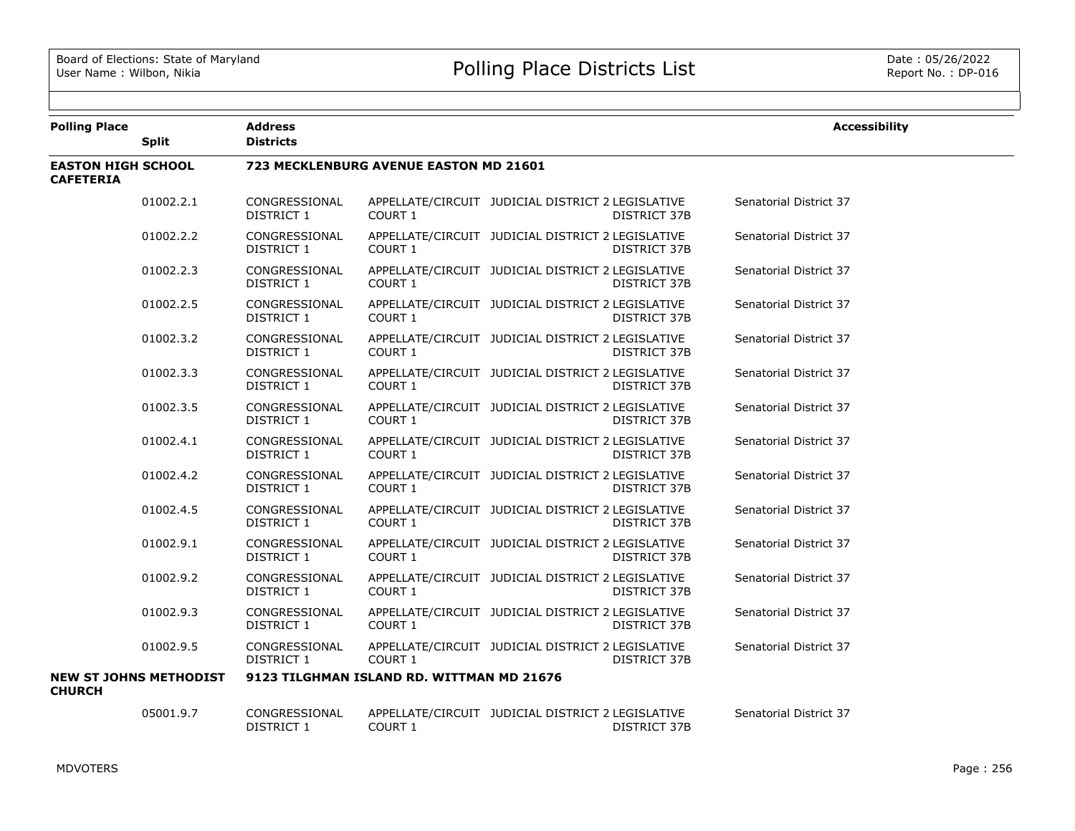| <b>Polling Place</b>                          | <b>Split</b>                  | <b>Address</b><br><b>Districts</b> |                                               |                                                                          | <b>Accessibility</b>   |
|-----------------------------------------------|-------------------------------|------------------------------------|-----------------------------------------------|--------------------------------------------------------------------------|------------------------|
| <b>EASTON HIGH SCHOOL</b><br><b>CAFETERIA</b> |                               |                                    | <b>723 MECKLENBURG AVENUE EASTON MD 21601</b> |                                                                          |                        |
|                                               | 01002.2.1                     | CONGRESSIONAL<br>DISTRICT 1        | COURT 1                                       | APPELLATE/CIRCUIT JUDICIAL DISTRICT 2 LEGISLATIVE<br>DISTRICT 37B        | Senatorial District 37 |
|                                               | 01002.2.2                     | CONGRESSIONAL<br>DISTRICT 1        | COURT 1                                       | APPELLATE/CIRCUIT JUDICIAL DISTRICT 2 LEGISLATIVE<br>DISTRICT 37B        | Senatorial District 37 |
|                                               | 01002.2.3                     | CONGRESSIONAL<br>DISTRICT 1        | COURT 1                                       | APPELLATE/CIRCUIT JUDICIAL DISTRICT 2 LEGISLATIVE<br>DISTRICT 37B        | Senatorial District 37 |
|                                               | 01002.2.5                     | CONGRESSIONAL<br>DISTRICT 1        | COURT 1                                       | APPELLATE/CIRCUIT JUDICIAL DISTRICT 2 LEGISLATIVE<br>DISTRICT 37B        | Senatorial District 37 |
|                                               | 01002.3.2                     | CONGRESSIONAL<br>DISTRICT 1        | COURT 1                                       | APPELLATE/CIRCUIT JUDICIAL DISTRICT 2 LEGISLATIVE<br>DISTRICT 37B        | Senatorial District 37 |
|                                               | 01002.3.3                     | CONGRESSIONAL<br>DISTRICT 1        | COURT 1                                       | APPELLATE/CIRCUIT JUDICIAL DISTRICT 2 LEGISLATIVE<br><b>DISTRICT 37B</b> | Senatorial District 37 |
|                                               | 01002.3.5                     | CONGRESSIONAL<br>DISTRICT 1        | COURT 1                                       | APPELLATE/CIRCUIT JUDICIAL DISTRICT 2 LEGISLATIVE<br>DISTRICT 37B        | Senatorial District 37 |
|                                               | 01002.4.1                     | CONGRESSIONAL<br>DISTRICT 1        | <b>COURT 1</b>                                | APPELLATE/CIRCUIT JUDICIAL DISTRICT 2 LEGISLATIVE<br><b>DISTRICT 37B</b> | Senatorial District 37 |
|                                               | 01002.4.2                     | CONGRESSIONAL<br>DISTRICT 1        | <b>COURT 1</b>                                | APPELLATE/CIRCUIT JUDICIAL DISTRICT 2 LEGISLATIVE<br>DISTRICT 37B        | Senatorial District 37 |
|                                               | 01002.4.5                     | CONGRESSIONAL<br>DISTRICT 1        | <b>COURT 1</b>                                | APPELLATE/CIRCUIT JUDICIAL DISTRICT 2 LEGISLATIVE<br>DISTRICT 37B        | Senatorial District 37 |
|                                               | 01002.9.1                     | CONGRESSIONAL<br>DISTRICT 1        | COURT 1                                       | APPELLATE/CIRCUIT JUDICIAL DISTRICT 2 LEGISLATIVE<br>DISTRICT 37B        | Senatorial District 37 |
|                                               | 01002.9.2                     | CONGRESSIONAL<br>DISTRICT 1        | COURT 1                                       | APPELLATE/CIRCUIT JUDICIAL DISTRICT 2 LEGISLATIVE<br>DISTRICT 37B        | Senatorial District 37 |
|                                               | 01002.9.3                     | CONGRESSIONAL<br>DISTRICT 1        | COURT 1                                       | APPELLATE/CIRCUIT JUDICIAL DISTRICT 2 LEGISLATIVE<br>DISTRICT 37B        | Senatorial District 37 |
|                                               | 01002.9.5                     | CONGRESSIONAL<br>DISTRICT 1        | COURT 1                                       | APPELLATE/CIRCUIT JUDICIAL DISTRICT 2 LEGISLATIVE<br>DISTRICT 37B        | Senatorial District 37 |
| <b>CHURCH</b>                                 | <b>NEW ST JOHNS METHODIST</b> |                                    | 9123 TILGHMAN ISLAND RD. WITTMAN MD 21676     |                                                                          |                        |
|                                               | 05001.9.7                     | CONGRESSIONAL<br>DISTRICT 1        | COURT 1                                       | APPELLATE/CIRCUIT JUDICIAL DISTRICT 2 LEGISLATIVE<br><b>DISTRICT 37B</b> | Senatorial District 37 |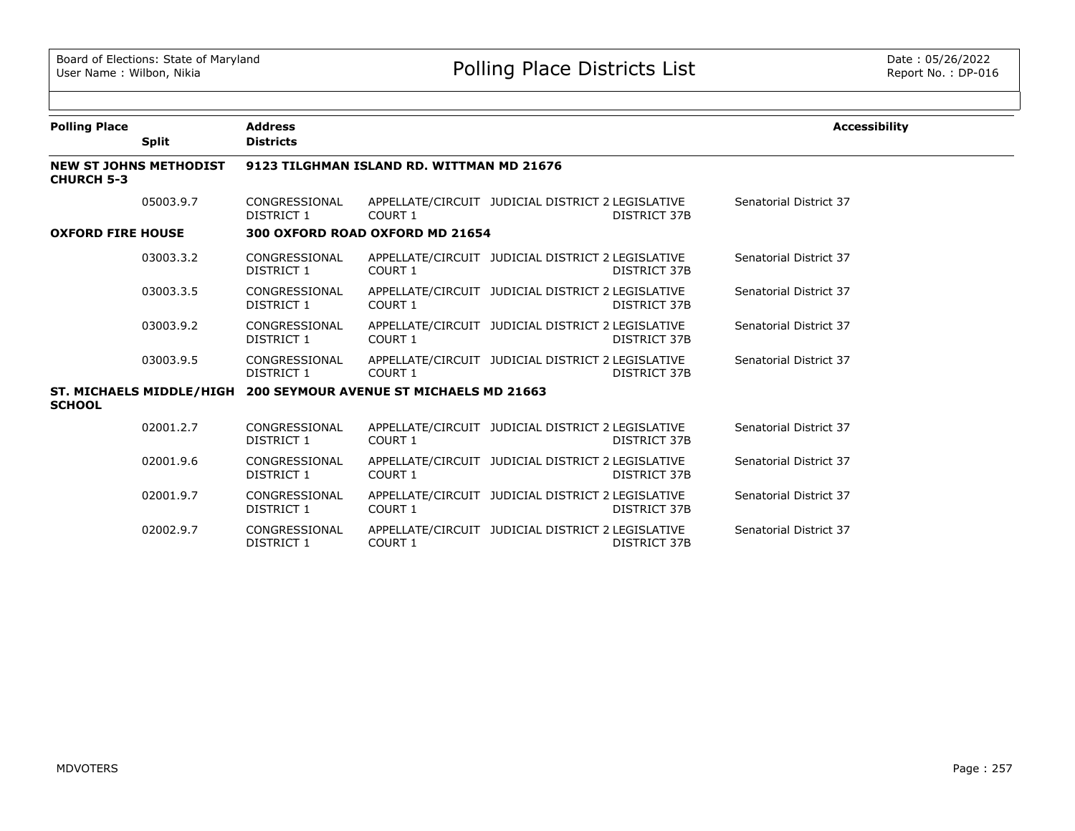| <b>Polling Place</b>                               |              | <b>Address</b>                                                   |                                           |                                                   |                     | <b>Accessibility</b>   |
|----------------------------------------------------|--------------|------------------------------------------------------------------|-------------------------------------------|---------------------------------------------------|---------------------|------------------------|
|                                                    | <b>Split</b> | <b>Districts</b>                                                 |                                           |                                                   |                     |                        |
| <b>NEW ST JOHNS METHODIST</b><br><b>CHURCH 5-3</b> |              |                                                                  | 9123 TILGHMAN ISLAND RD. WITTMAN MD 21676 |                                                   |                     |                        |
|                                                    | 05003.9.7    | CONGRESSIONAL<br>DISTRICT 1                                      | COURT 1                                   | APPELLATE/CIRCUIT JUDICIAL DISTRICT 2 LEGISLATIVE | <b>DISTRICT 37B</b> | Senatorial District 37 |
| <b>OXFORD FIRE HOUSE</b>                           |              |                                                                  | 300 OXFORD ROAD OXFORD MD 21654           |                                                   |                     |                        |
|                                                    | 03003.3.2    | CONGRESSIONAL<br><b>DISTRICT 1</b>                               | COURT 1                                   | APPELLATE/CIRCUIT JUDICIAL DISTRICT 2 LEGISLATIVE | <b>DISTRICT 37B</b> | Senatorial District 37 |
|                                                    | 03003.3.5    | CONGRESSIONAL<br>DISTRICT 1                                      | COURT 1                                   | APPELLATE/CIRCUIT JUDICIAL DISTRICT 2 LEGISLATIVE | <b>DISTRICT 37B</b> | Senatorial District 37 |
|                                                    | 03003.9.2    | CONGRESSIONAL<br>DISTRICT 1                                      | COURT 1                                   | APPELLATE/CIRCUIT JUDICIAL DISTRICT 2 LEGISLATIVE | <b>DISTRICT 37B</b> | Senatorial District 37 |
|                                                    | 03003.9.5    | CONGRESSIONAL<br>DISTRICT 1                                      | COURT 1                                   | APPELLATE/CIRCUIT JUDICIAL DISTRICT 2 LEGISLATIVE | <b>DISTRICT 37B</b> | Senatorial District 37 |
| <b>SCHOOL</b>                                      |              | ST. MICHAELS MIDDLE/HIGH 200 SEYMOUR AVENUE ST MICHAELS MD 21663 |                                           |                                                   |                     |                        |
|                                                    | 02001.2.7    | CONGRESSIONAL<br>DISTRICT 1                                      | COURT 1                                   | APPELLATE/CIRCUIT JUDICIAL DISTRICT 2 LEGISLATIVE | <b>DISTRICT 37B</b> | Senatorial District 37 |
|                                                    | 02001.9.6    | CONGRESSIONAL<br>DISTRICT 1                                      | COURT 1                                   | APPELLATE/CIRCUIT JUDICIAL DISTRICT 2 LEGISLATIVE | <b>DISTRICT 37B</b> | Senatorial District 37 |
|                                                    | 02001.9.7    | CONGRESSIONAL<br><b>DISTRICT 1</b>                               | <b>COURT 1</b>                            | APPELLATE/CIRCUIT JUDICIAL DISTRICT 2 LEGISLATIVE | <b>DISTRICT 37B</b> | Senatorial District 37 |
|                                                    | 02002.9.7    | CONGRESSIONAL<br>DISTRICT 1                                      | COURT 1                                   | APPELLATE/CIRCUIT JUDICIAL DISTRICT 2 LEGISLATIVE | <b>DISTRICT 37B</b> | Senatorial District 37 |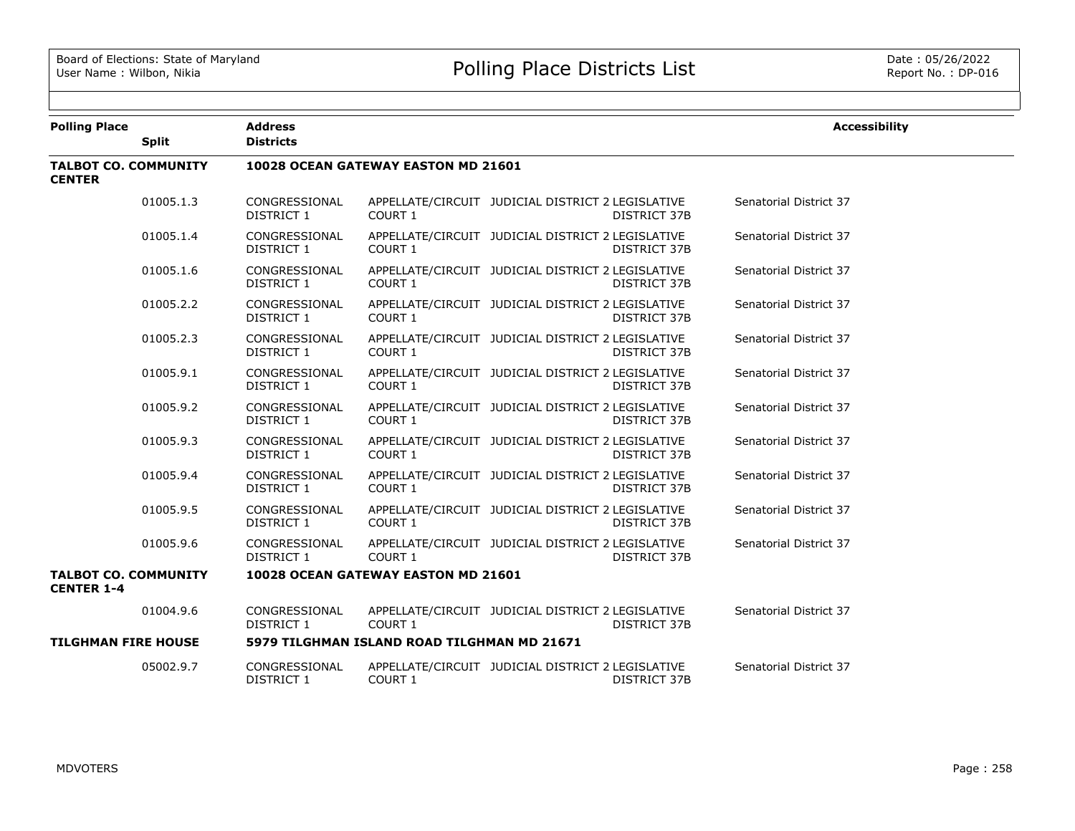| <b>Polling Place</b>                             |              | <b>Address</b>                     |                                             |                                                                          | <b>Accessibility</b>   |
|--------------------------------------------------|--------------|------------------------------------|---------------------------------------------|--------------------------------------------------------------------------|------------------------|
|                                                  | <b>Split</b> | <b>Districts</b>                   |                                             |                                                                          |                        |
| <b>TALBOT CO. COMMUNITY</b><br><b>CENTER</b>     |              |                                    | 10028 OCEAN GATEWAY EASTON MD 21601         |                                                                          |                        |
|                                                  | 01005.1.3    | CONGRESSIONAL<br>DISTRICT 1        | COURT 1                                     | APPELLATE/CIRCUIT JUDICIAL DISTRICT 2 LEGISLATIVE<br>DISTRICT 37B        | Senatorial District 37 |
|                                                  | 01005.1.4    | CONGRESSIONAL<br><b>DISTRICT 1</b> | COURT 1                                     | APPELLATE/CIRCUIT JUDICIAL DISTRICT 2 LEGISLATIVE<br><b>DISTRICT 37B</b> | Senatorial District 37 |
|                                                  | 01005.1.6    | CONGRESSIONAL<br><b>DISTRICT 1</b> | COURT 1                                     | APPELLATE/CIRCUIT JUDICIAL DISTRICT 2 LEGISLATIVE<br>DISTRICT 37B        | Senatorial District 37 |
|                                                  | 01005.2.2    | CONGRESSIONAL<br>DISTRICT 1        | COURT 1                                     | APPELLATE/CIRCUIT JUDICIAL DISTRICT 2 LEGISLATIVE<br><b>DISTRICT 37B</b> | Senatorial District 37 |
|                                                  | 01005.2.3    | CONGRESSIONAL<br>DISTRICT 1        | COURT 1                                     | APPELLATE/CIRCUIT JUDICIAL DISTRICT 2 LEGISLATIVE<br>DISTRICT 37B        | Senatorial District 37 |
|                                                  | 01005.9.1    | CONGRESSIONAL<br>DISTRICT 1        | COURT 1                                     | APPELLATE/CIRCUIT JUDICIAL DISTRICT 2 LEGISLATIVE<br>DISTRICT 37B        | Senatorial District 37 |
|                                                  | 01005.9.2    | CONGRESSIONAL<br>DISTRICT 1        | COURT 1                                     | APPELLATE/CIRCUIT JUDICIAL DISTRICT 2 LEGISLATIVE<br>DISTRICT 37B        | Senatorial District 37 |
|                                                  | 01005.9.3    | CONGRESSIONAL<br>DISTRICT 1        | COURT 1                                     | APPELLATE/CIRCUIT JUDICIAL DISTRICT 2 LEGISLATIVE<br>DISTRICT 37B        | Senatorial District 37 |
|                                                  | 01005.9.4    | CONGRESSIONAL<br>DISTRICT 1        | COURT 1                                     | APPELLATE/CIRCUIT JUDICIAL DISTRICT 2 LEGISLATIVE<br>DISTRICT 37B        | Senatorial District 37 |
|                                                  | 01005.9.5    | CONGRESSIONAL<br>DISTRICT 1        | COURT 1                                     | APPELLATE/CIRCUIT JUDICIAL DISTRICT 2 LEGISLATIVE<br>DISTRICT 37B        | Senatorial District 37 |
|                                                  | 01005.9.6    | CONGRESSIONAL<br>DISTRICT 1        | COURT 1                                     | APPELLATE/CIRCUIT JUDICIAL DISTRICT 2 LEGISLATIVE<br>DISTRICT 37B        | Senatorial District 37 |
| <b>TALBOT CO. COMMUNITY</b><br><b>CENTER 1-4</b> |              |                                    | 10028 OCEAN GATEWAY EASTON MD 21601         |                                                                          |                        |
|                                                  | 01004.9.6    | CONGRESSIONAL<br>DISTRICT 1        | COURT 1                                     | APPELLATE/CIRCUIT JUDICIAL DISTRICT 2 LEGISLATIVE<br>DISTRICT 37B        | Senatorial District 37 |
| <b>TILGHMAN FIRE HOUSE</b>                       |              |                                    | 5979 TILGHMAN ISLAND ROAD TILGHMAN MD 21671 |                                                                          |                        |
|                                                  | 05002.9.7    | CONGRESSIONAL<br>DISTRICT 1        | COURT 1                                     | APPELLATE/CIRCUIT JUDICIAL DISTRICT 2 LEGISLATIVE<br>DISTRICT 37B        | Senatorial District 37 |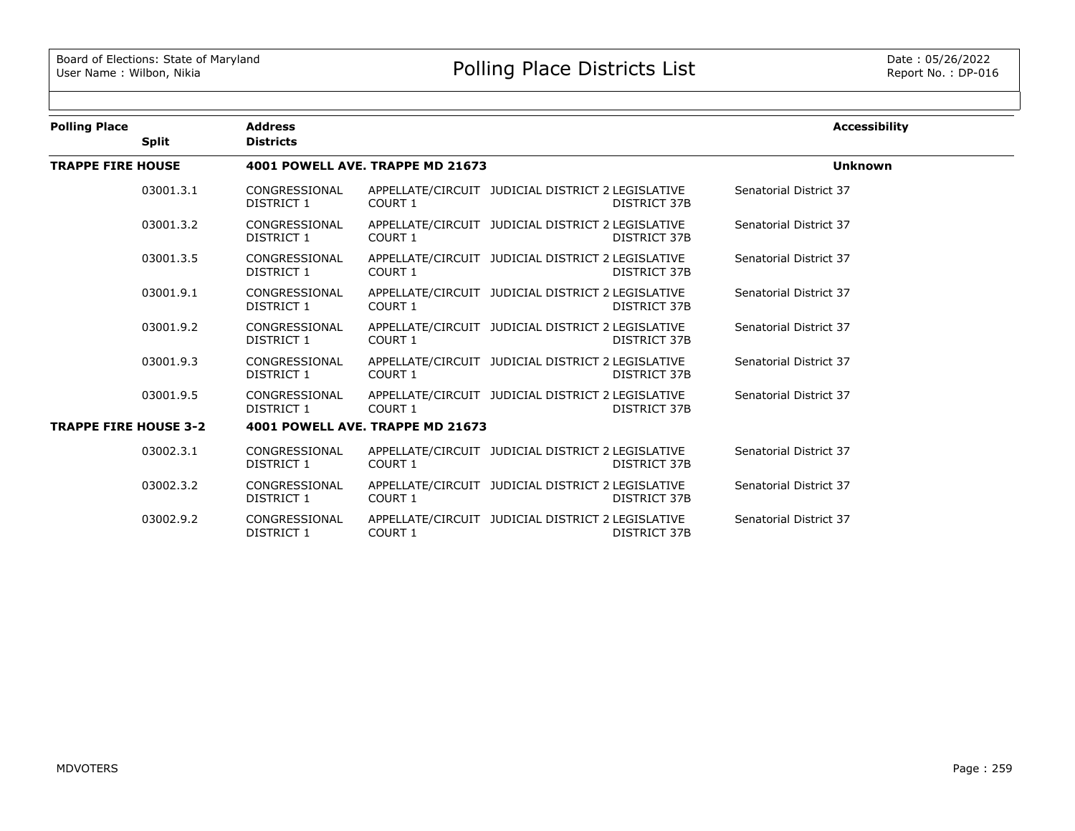| <b>Polling Place</b>         |              | <b>Address</b>              |                                  |                                                   |                     | <b>Accessibility</b>   |
|------------------------------|--------------|-----------------------------|----------------------------------|---------------------------------------------------|---------------------|------------------------|
|                              | <b>Split</b> | <b>Districts</b>            |                                  |                                                   |                     |                        |
| <b>TRAPPE FIRE HOUSE</b>     |              |                             | 4001 POWELL AVE. TRAPPE MD 21673 |                                                   | <b>Unknown</b>      |                        |
|                              | 03001.3.1    | CONGRESSIONAL<br>DISTRICT 1 | COURT 1                          | APPELLATE/CIRCUIT JUDICIAL DISTRICT 2 LEGISLATIVE | <b>DISTRICT 37B</b> | Senatorial District 37 |
|                              | 03001.3.2    | CONGRESSIONAL<br>DISTRICT 1 | COURT 1                          | APPELLATE/CIRCUIT JUDICIAL DISTRICT 2 LEGISLATIVE | <b>DISTRICT 37B</b> | Senatorial District 37 |
|                              | 03001.3.5    | CONGRESSIONAL<br>DISTRICT 1 | COURT 1                          | APPELLATE/CIRCUIT JUDICIAL DISTRICT 2 LEGISLATIVE | DISTRICT 37B        | Senatorial District 37 |
|                              | 03001.9.1    | CONGRESSIONAL<br>DISTRICT 1 | COURT 1                          | APPELLATE/CIRCUIT JUDICIAL DISTRICT 2 LEGISLATIVE | DISTRICT 37B        | Senatorial District 37 |
|                              | 03001.9.2    | CONGRESSIONAL<br>DISTRICT 1 | COURT 1                          | APPELLATE/CIRCUIT JUDICIAL DISTRICT 2 LEGISLATIVE | DISTRICT 37B        | Senatorial District 37 |
|                              | 03001.9.3    | CONGRESSIONAL<br>DISTRICT 1 | COURT 1                          | APPELLATE/CIRCUIT JUDICIAL DISTRICT 2 LEGISLATIVE | <b>DISTRICT 37B</b> | Senatorial District 37 |
|                              | 03001.9.5    | CONGRESSIONAL<br>DISTRICT 1 | COURT 1                          | APPELLATE/CIRCUIT JUDICIAL DISTRICT 2 LEGISLATIVE | DISTRICT 37B        | Senatorial District 37 |
| <b>TRAPPE FIRE HOUSE 3-2</b> |              |                             | 4001 POWELL AVE. TRAPPE MD 21673 |                                                   |                     |                        |
|                              | 03002.3.1    | CONGRESSIONAL<br>DISTRICT 1 | COURT 1                          | APPELLATE/CIRCUIT JUDICIAL DISTRICT 2 LEGISLATIVE | DISTRICT 37B        | Senatorial District 37 |
|                              | 03002.3.2    | CONGRESSIONAL<br>DISTRICT 1 | COURT 1                          | APPELLATE/CIRCUIT JUDICIAL DISTRICT 2 LEGISLATIVE | <b>DISTRICT 37B</b> | Senatorial District 37 |
|                              | 03002.9.2    | CONGRESSIONAL<br>DISTRICT 1 | <b>COURT 1</b>                   | APPELLATE/CIRCUIT JUDICIAL DISTRICT 2 LEGISLATIVE | <b>DISTRICT 37B</b> | Senatorial District 37 |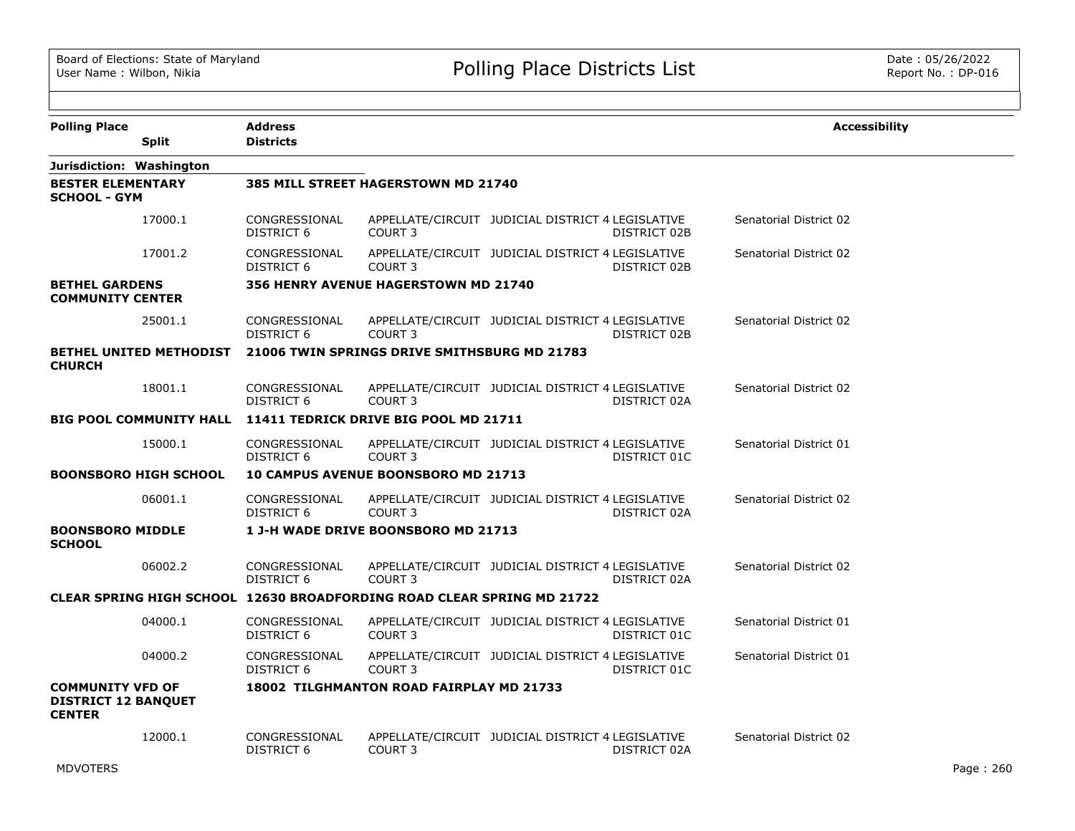| <b>Polling Place</b>                                                   |                                | <b>Address</b>                     |                                                                               |                                                   |              | <b>Accessibility</b>   |
|------------------------------------------------------------------------|--------------------------------|------------------------------------|-------------------------------------------------------------------------------|---------------------------------------------------|--------------|------------------------|
|                                                                        | <b>Split</b>                   | <b>Districts</b>                   |                                                                               |                                                   |              |                        |
|                                                                        | Jurisdiction: Washington       |                                    |                                                                               |                                                   |              |                        |
| <b>BESTER ELEMENTARY</b><br><b>SCHOOL - GYM</b>                        |                                |                                    | 385 MILL STREET HAGERSTOWN MD 21740                                           |                                                   |              |                        |
|                                                                        | 17000.1                        | CONGRESSIONAL<br><b>DISTRICT 6</b> | COURT <sub>3</sub>                                                            | APPELLATE/CIRCUIT JUDICIAL DISTRICT 4 LEGISLATIVE | DISTRICT 02B | Senatorial District 02 |
|                                                                        | 17001.2                        | CONGRESSIONAL<br>DISTRICT 6        | COURT <sub>3</sub>                                                            | APPELLATE/CIRCUIT JUDICIAL DISTRICT 4 LEGISLATIVE | DISTRICT 02B | Senatorial District 02 |
| <b>BETHEL GARDENS</b><br><b>COMMUNITY CENTER</b>                       |                                |                                    | 356 HENRY AVENUE HAGERSTOWN MD 21740                                          |                                                   |              |                        |
|                                                                        | 25001.1                        | CONGRESSIONAL<br>DISTRICT 6        | COURT <sub>3</sub>                                                            | APPELLATE/CIRCUIT JUDICIAL DISTRICT 4 LEGISLATIVE | DISTRICT 02B | Senatorial District 02 |
| <b>CHURCH</b>                                                          | <b>BETHEL UNITED METHODIST</b> |                                    | 21006 TWIN SPRINGS DRIVE SMITHSBURG MD 21783                                  |                                                   |              |                        |
|                                                                        | 18001.1                        | CONGRESSIONAL<br><b>DISTRICT 6</b> | COURT <sub>3</sub>                                                            | APPELLATE/CIRCUIT JUDICIAL DISTRICT 4 LEGISLATIVE | DISTRICT 02A | Senatorial District 02 |
|                                                                        |                                |                                    | BIG POOL COMMUNITY HALL 11411 TEDRICK DRIVE BIG POOL MD 21711                 |                                                   |              |                        |
|                                                                        | 15000.1                        | CONGRESSIONAL<br>DISTRICT 6        | COURT <sub>3</sub>                                                            | APPELLATE/CIRCUIT JUDICIAL DISTRICT 4 LEGISLATIVE | DISTRICT 01C | Senatorial District 01 |
|                                                                        | <b>BOONSBORO HIGH SCHOOL</b>   |                                    | <b>10 CAMPUS AVENUE BOONSBORO MD 21713</b>                                    |                                                   |              |                        |
|                                                                        | 06001.1                        | CONGRESSIONAL<br><b>DISTRICT 6</b> | COURT <sub>3</sub>                                                            | APPELLATE/CIRCUIT JUDICIAL DISTRICT 4 LEGISLATIVE | DISTRICT 02A | Senatorial District 02 |
| <b>BOONSBORO MIDDLE</b><br><b>SCHOOL</b>                               |                                |                                    | 1 J-H WADE DRIVE BOONSBORO MD 21713                                           |                                                   |              |                        |
|                                                                        | 06002.2                        | CONGRESSIONAL<br><b>DISTRICT 6</b> | COURT <sub>3</sub>                                                            | APPELLATE/CIRCUIT JUDICIAL DISTRICT 4 LEGISLATIVE | DISTRICT 02A | Senatorial District 02 |
|                                                                        |                                |                                    | <b>CLEAR SPRING HIGH SCHOOL 12630 BROADFORDING ROAD CLEAR SPRING MD 21722</b> |                                                   |              |                        |
|                                                                        | 04000.1                        | CONGRESSIONAL<br>DISTRICT 6        | COURT <sub>3</sub>                                                            | APPELLATE/CIRCUIT JUDICIAL DISTRICT 4 LEGISLATIVE | DISTRICT 01C | Senatorial District 01 |
|                                                                        | 04000.2                        | CONGRESSIONAL<br><b>DISTRICT 6</b> | COURT <sub>3</sub>                                                            | APPELLATE/CIRCUIT JUDICIAL DISTRICT 4 LEGISLATIVE | DISTRICT 01C | Senatorial District 01 |
| <b>COMMUNITY VFD OF</b><br><b>DISTRICT 12 BANQUET</b><br><b>CENTER</b> |                                |                                    | 18002 TILGHMANTON ROAD FAIRPLAY MD 21733                                      |                                                   |              |                        |
|                                                                        | 12000.1                        | CONGRESSIONAL<br>DISTRICT 6        | COURT <sub>3</sub>                                                            | APPELLATE/CIRCUIT JUDICIAL DISTRICT 4 LEGISLATIVE | DISTRICT 02A | Senatorial District 02 |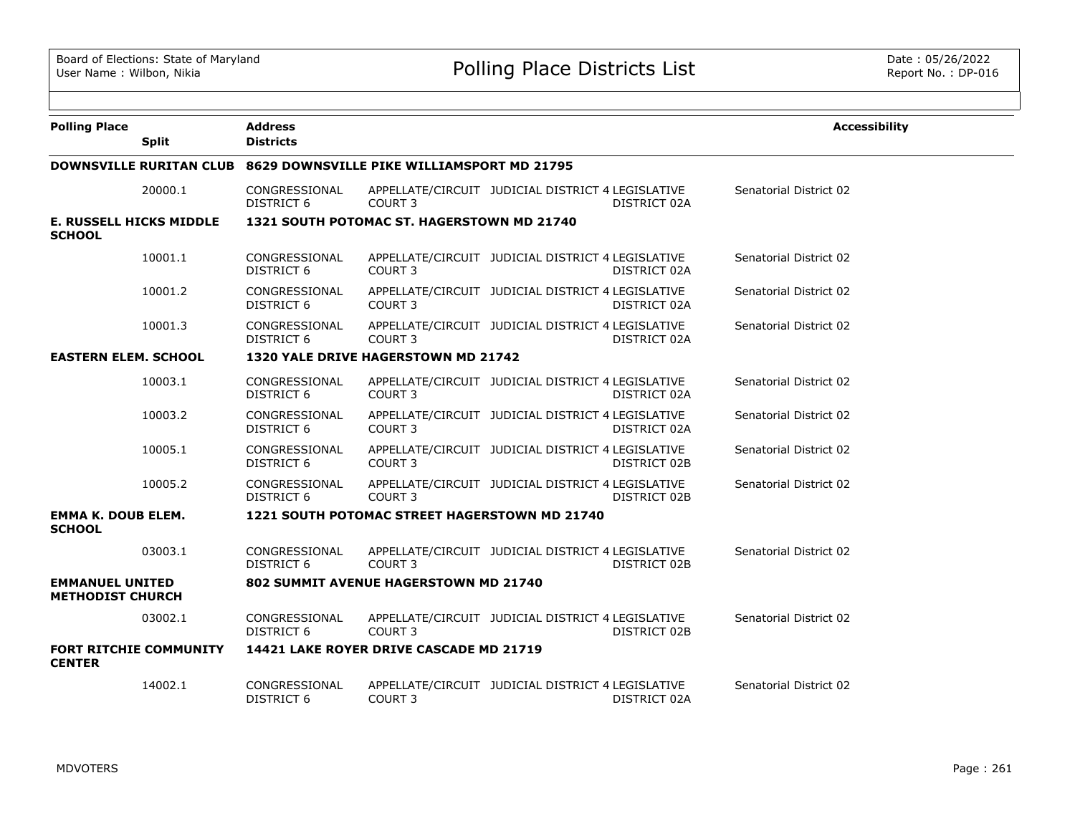| <b>Polling Place</b>                              |              | <b>Address</b>                     |                                                                    |                                                   |              | <b>Accessibility</b>   |
|---------------------------------------------------|--------------|------------------------------------|--------------------------------------------------------------------|---------------------------------------------------|--------------|------------------------|
|                                                   | <b>Split</b> | <b>Districts</b>                   |                                                                    |                                                   |              |                        |
|                                                   |              |                                    | DOWNSVILLE RURITAN CLUB 8629 DOWNSVILLE PIKE WILLIAMSPORT MD 21795 |                                                   |              |                        |
|                                                   | 20000.1      | CONGRESSIONAL<br><b>DISTRICT 6</b> | COURT <sub>3</sub>                                                 | APPELLATE/CIRCUIT JUDICIAL DISTRICT 4 LEGISLATIVE | DISTRICT 02A | Senatorial District 02 |
| <b>E. RUSSELL HICKS MIDDLE</b><br><b>SCHOOL</b>   |              |                                    | 1321 SOUTH POTOMAC ST. HAGERSTOWN MD 21740                         |                                                   |              |                        |
|                                                   | 10001.1      | CONGRESSIONAL<br><b>DISTRICT 6</b> | COURT 3                                                            | APPELLATE/CIRCUIT JUDICIAL DISTRICT 4 LEGISLATIVE | DISTRICT 02A | Senatorial District 02 |
|                                                   | 10001.2      | CONGRESSIONAL<br><b>DISTRICT 6</b> | COURT 3                                                            | APPELLATE/CIRCUIT JUDICIAL DISTRICT 4 LEGISLATIVE | DISTRICT 02A | Senatorial District 02 |
|                                                   | 10001.3      | CONGRESSIONAL<br>DISTRICT 6        | COURT <sub>3</sub>                                                 | APPELLATE/CIRCUIT JUDICIAL DISTRICT 4 LEGISLATIVE | DISTRICT 02A | Senatorial District 02 |
| <b>EASTERN ELEM. SCHOOL</b>                       |              |                                    | 1320 YALE DRIVE HAGERSTOWN MD 21742                                |                                                   |              |                        |
|                                                   | 10003.1      | CONGRESSIONAL<br>DISTRICT 6        | COURT 3                                                            | APPELLATE/CIRCUIT JUDICIAL DISTRICT 4 LEGISLATIVE | DISTRICT 02A | Senatorial District 02 |
|                                                   | 10003.2      | CONGRESSIONAL<br><b>DISTRICT 6</b> | COURT 3                                                            | APPELLATE/CIRCUIT JUDICIAL DISTRICT 4 LEGISLATIVE | DISTRICT 02A | Senatorial District 02 |
|                                                   | 10005.1      | CONGRESSIONAL<br><b>DISTRICT 6</b> | COURT <sub>3</sub>                                                 | APPELLATE/CIRCUIT JUDICIAL DISTRICT 4 LEGISLATIVE | DISTRICT 02B | Senatorial District 02 |
|                                                   | 10005.2      | CONGRESSIONAL<br>DISTRICT 6        | COURT <sub>3</sub>                                                 | APPELLATE/CIRCUIT JUDICIAL DISTRICT 4 LEGISLATIVE | DISTRICT 02B | Senatorial District 02 |
| <b>EMMA K. DOUB ELEM.</b><br><b>SCHOOL</b>        |              |                                    | 1221 SOUTH POTOMAC STREET HAGERSTOWN MD 21740                      |                                                   |              |                        |
|                                                   | 03003.1      | CONGRESSIONAL<br>DISTRICT 6        | COURT <sub>3</sub>                                                 | APPELLATE/CIRCUIT JUDICIAL DISTRICT 4 LEGISLATIVE | DISTRICT 02B | Senatorial District 02 |
| <b>EMMANUEL UNITED</b><br><b>METHODIST CHURCH</b> |              |                                    | 802 SUMMIT AVENUE HAGERSTOWN MD 21740                              |                                                   |              |                        |
|                                                   | 03002.1      | CONGRESSIONAL<br><b>DISTRICT 6</b> | COURT <sub>3</sub>                                                 | APPELLATE/CIRCUIT JUDICIAL DISTRICT 4 LEGISLATIVE | DISTRICT 02B | Senatorial District 02 |
| <b>FORT RITCHIE COMMUNITY</b><br><b>CENTER</b>    |              |                                    | 14421 LAKE ROYER DRIVE CASCADE MD 21719                            |                                                   |              |                        |
|                                                   | 14002.1      | CONGRESSIONAL<br>DISTRICT 6        | COURT 3                                                            | APPELLATE/CIRCUIT JUDICIAL DISTRICT 4 LEGISLATIVE | DISTRICT 02A | Senatorial District 02 |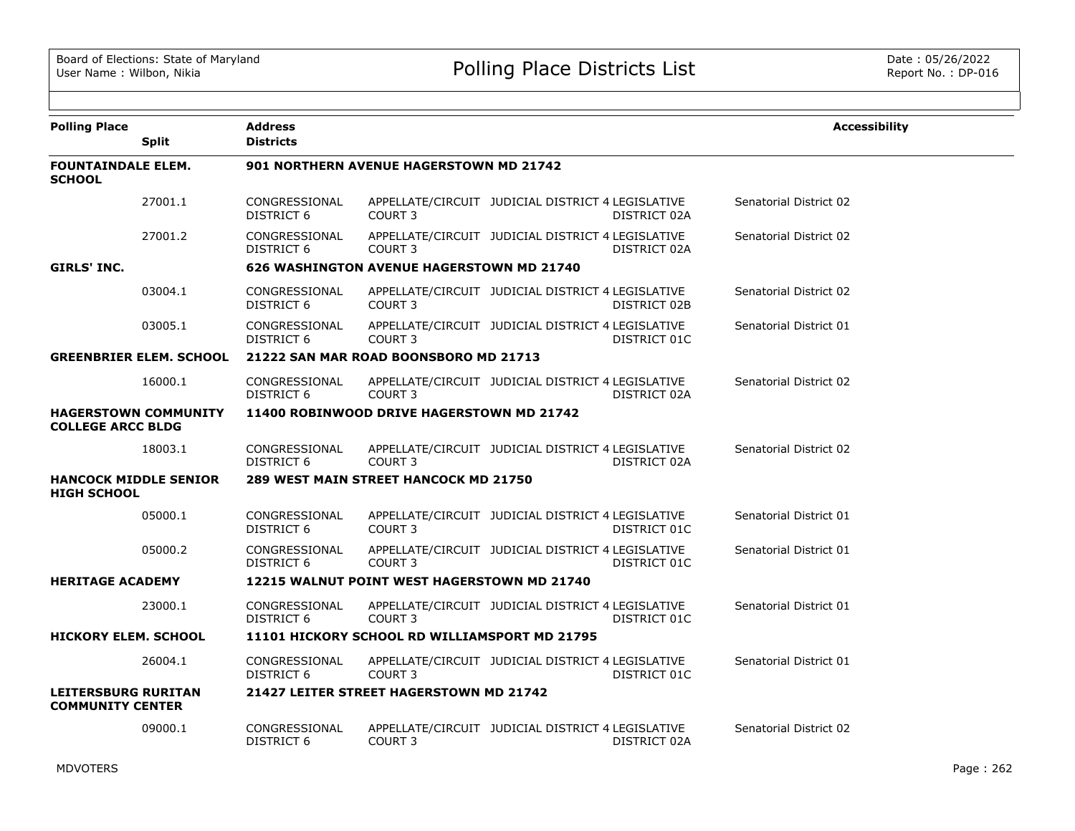| <b>Polling Place</b>                                    | <b>Split</b>                   | <b>Address</b><br><b>Districts</b>        |                                                  |                                                   |              | <b>Accessibility</b>   |
|---------------------------------------------------------|--------------------------------|-------------------------------------------|--------------------------------------------------|---------------------------------------------------|--------------|------------------------|
| <b>FOUNTAINDALE ELEM.</b><br><b>SCHOOL</b>              |                                |                                           | 901 NORTHERN AVENUE HAGERSTOWN MD 21742          |                                                   |              |                        |
|                                                         | 27001.1                        | CONGRESSIONAL<br>DISTRICT 6               | COURT <sub>3</sub>                               | APPELLATE/CIRCUIT JUDICIAL DISTRICT 4 LEGISLATIVE | DISTRICT 02A | Senatorial District 02 |
|                                                         | 27001.2                        | CONGRESSIONAL<br>DISTRICT 6               | COURT 3                                          | APPELLATE/CIRCUIT JUDICIAL DISTRICT 4 LEGISLATIVE | DISTRICT 02A | Senatorial District 02 |
| <b>GIRLS' INC.</b>                                      |                                |                                           | <b>626 WASHINGTON AVENUE HAGERSTOWN MD 21740</b> |                                                   |              |                        |
|                                                         | 03004.1                        | CONGRESSIONAL<br>DISTRICT 6               | COURT <sub>3</sub>                               | APPELLATE/CIRCUIT JUDICIAL DISTRICT 4 LEGISLATIVE | DISTRICT 02B | Senatorial District 02 |
|                                                         | 03005.1                        | CONGRESSIONAL<br>DISTRICT 6               | COURT <sub>3</sub>                               | APPELLATE/CIRCUIT JUDICIAL DISTRICT 4 LEGISLATIVE | DISTRICT 01C | Senatorial District 01 |
|                                                         | <b>GREENBRIER ELEM. SCHOOL</b> |                                           | 21222 SAN MAR ROAD BOONSBORO MD 21713            |                                                   |              |                        |
|                                                         | 16000.1                        | CONGRESSIONAL<br>DISTRICT 6               | COURT <sub>3</sub>                               | APPELLATE/CIRCUIT JUDICIAL DISTRICT 4 LEGISLATIVE | DISTRICT 02A | Senatorial District 02 |
| <b>HAGERSTOWN COMMUNITY</b><br><b>COLLEGE ARCC BLDG</b> |                                | 11400 ROBINWOOD DRIVE HAGERSTOWN MD 21742 |                                                  |                                                   |              |                        |
|                                                         | 18003.1                        | CONGRESSIONAL<br>DISTRICT 6               | COURT <sub>3</sub>                               | APPELLATE/CIRCUIT JUDICIAL DISTRICT 4 LEGISLATIVE | DISTRICT 02A | Senatorial District 02 |
| <b>HANCOCK MIDDLE SENIOR</b><br><b>HIGH SCHOOL</b>      |                                |                                           | 289 WEST MAIN STREET HANCOCK MD 21750            |                                                   |              |                        |
|                                                         | 05000.1                        | CONGRESSIONAL<br>DISTRICT 6               | COURT <sub>3</sub>                               | APPELLATE/CIRCUIT JUDICIAL DISTRICT 4 LEGISLATIVE | DISTRICT 01C | Senatorial District 01 |
|                                                         | 05000.2                        | CONGRESSIONAL<br>DISTRICT 6               | COURT <sub>3</sub>                               | APPELLATE/CIRCUIT JUDICIAL DISTRICT 4 LEGISLATIVE | DISTRICT 01C | Senatorial District 01 |
| <b>HERITAGE ACADEMY</b>                                 |                                |                                           | 12215 WALNUT POINT WEST HAGERSTOWN MD 21740      |                                                   |              |                        |
|                                                         | 23000.1                        | CONGRESSIONAL<br>DISTRICT 6               | COURT <sub>3</sub>                               | APPELLATE/CIRCUIT JUDICIAL DISTRICT 4 LEGISLATIVE | DISTRICT 01C | Senatorial District 01 |
| <b>HICKORY ELEM. SCHOOL</b>                             |                                |                                           | 11101 HICKORY SCHOOL RD WILLIAMSPORT MD 21795    |                                                   |              |                        |
|                                                         | 26004.1                        | CONGRESSIONAL<br>DISTRICT 6               | COURT <sub>3</sub>                               | APPELLATE/CIRCUIT JUDICIAL DISTRICT 4 LEGISLATIVE | DISTRICT 01C | Senatorial District 01 |
| <b>LEITERSBURG RURITAN</b><br><b>COMMUNITY CENTER</b>   |                                |                                           | 21427 LEITER STREET HAGERSTOWN MD 21742          |                                                   |              |                        |
|                                                         | 09000.1                        | CONGRESSIONAL<br>DISTRICT 6               | COURT <sub>3</sub>                               | APPELLATE/CIRCUIT JUDICIAL DISTRICT 4 LEGISLATIVE | DISTRICT 02A | Senatorial District 02 |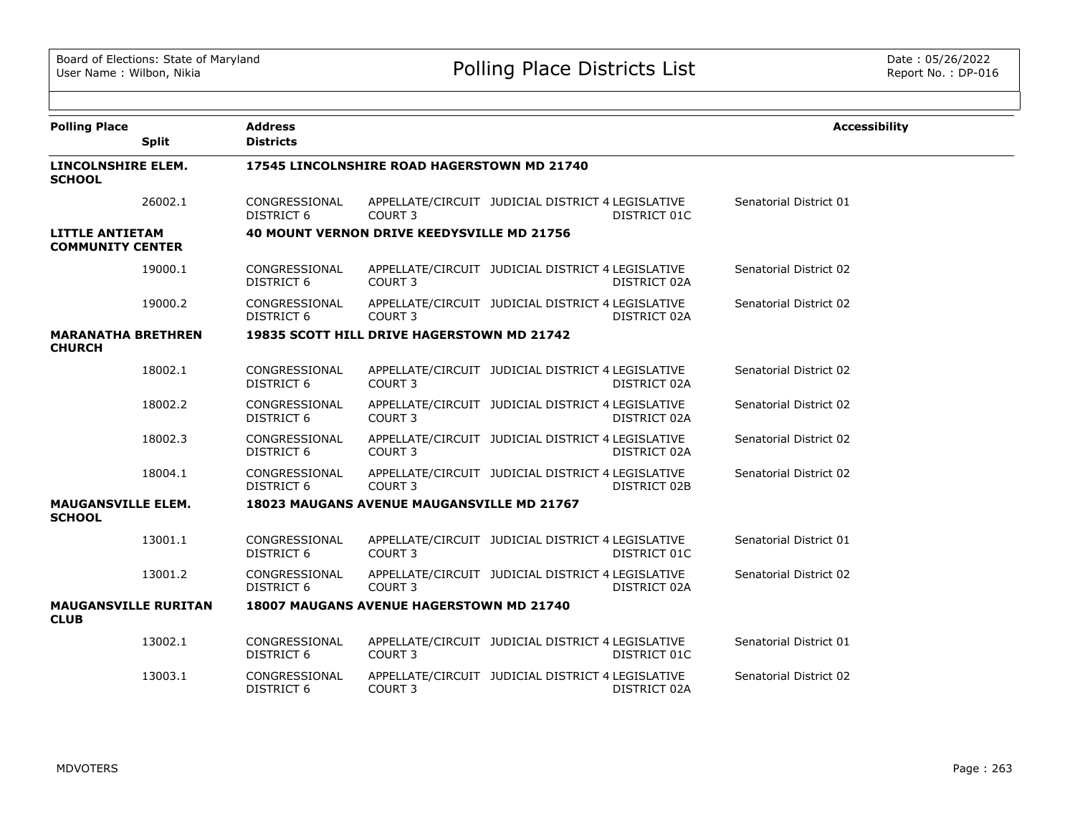| <b>Polling Place</b>                              | <b>Address</b>                     |                                                   |                                                   |              | <b>Accessibility</b>   |
|---------------------------------------------------|------------------------------------|---------------------------------------------------|---------------------------------------------------|--------------|------------------------|
| <b>Split</b>                                      | <b>Districts</b>                   |                                                   |                                                   |              |                        |
| LINCOLNSHIRE ELEM.<br><b>SCHOOL</b>               |                                    | 17545 LINCOLNSHIRE ROAD HAGERSTOWN MD 21740       |                                                   |              |                        |
| 26002.1                                           | CONGRESSIONAL<br><b>DISTRICT 6</b> | COURT <sub>3</sub>                                | APPELLATE/CIRCUIT JUDICIAL DISTRICT 4 LEGISLATIVE | DISTRICT 01C | Senatorial District 01 |
| <b>LITTLE ANTIETAM</b><br><b>COMMUNITY CENTER</b> |                                    | 40 MOUNT VERNON DRIVE KEEDYSVILLE MD 21756        |                                                   |              |                        |
| 19000.1                                           | CONGRESSIONAL<br><b>DISTRICT 6</b> | <b>COURT 3</b>                                    | APPELLATE/CIRCUIT JUDICIAL DISTRICT 4 LEGISLATIVE | DISTRICT 02A | Senatorial District 02 |
| 19000.2                                           | CONGRESSIONAL<br>DISTRICT 6        | COURT <sub>3</sub>                                | APPELLATE/CIRCUIT JUDICIAL DISTRICT 4 LEGISLATIVE | DISTRICT 02A | Senatorial District 02 |
| <b>MARANATHA BRETHREN</b><br><b>CHURCH</b>        |                                    | 19835 SCOTT HILL DRIVE HAGERSTOWN MD 21742        |                                                   |              |                        |
| 18002.1                                           | CONGRESSIONAL<br><b>DISTRICT 6</b> | COURT <sub>3</sub>                                | APPELLATE/CIRCUIT JUDICIAL DISTRICT 4 LEGISLATIVE | DISTRICT 02A | Senatorial District 02 |
| 18002.2                                           | CONGRESSIONAL<br><b>DISTRICT 6</b> | <b>COURT 3</b>                                    | APPELLATE/CIRCUIT JUDICIAL DISTRICT 4 LEGISLATIVE | DISTRICT 02A | Senatorial District 02 |
| 18002.3                                           | CONGRESSIONAL<br><b>DISTRICT 6</b> | COURT <sub>3</sub>                                | APPELLATE/CIRCUIT JUDICIAL DISTRICT 4 LEGISLATIVE | DISTRICT 02A | Senatorial District 02 |
| 18004.1                                           | CONGRESSIONAL<br>DISTRICT 6        | <b>COURT 3</b>                                    | APPELLATE/CIRCUIT JUDICIAL DISTRICT 4 LEGISLATIVE | DISTRICT 02B | Senatorial District 02 |
| <b>MAUGANSVILLE ELEM.</b><br><b>SCHOOL</b>        |                                    | <b>18023 MAUGANS AVENUE MAUGANSVILLE MD 21767</b> |                                                   |              |                        |
| 13001.1                                           | CONGRESSIONAL<br>DISTRICT 6        | COURT <sub>3</sub>                                | APPELLATE/CIRCUIT JUDICIAL DISTRICT 4 LEGISLATIVE | DISTRICT 01C | Senatorial District 01 |
| 13001.2                                           | CONGRESSIONAL<br>DISTRICT 6        | <b>COURT 3</b>                                    | APPELLATE/CIRCUIT JUDICIAL DISTRICT 4 LEGISLATIVE | DISTRICT 02A | Senatorial District 02 |
| <b>MAUGANSVILLE RURITAN</b><br><b>CLUB</b>        |                                    | <b>18007 MAUGANS AVENUE HAGERSTOWN MD 21740</b>   |                                                   |              |                        |
| 13002.1                                           | CONGRESSIONAL<br><b>DISTRICT 6</b> | <b>COURT 3</b>                                    | APPELLATE/CIRCUIT JUDICIAL DISTRICT 4 LEGISLATIVE | DISTRICT 01C | Senatorial District 01 |
| 13003.1                                           | CONGRESSIONAL<br><b>DISTRICT 6</b> | COURT 3                                           | APPELLATE/CIRCUIT JUDICIAL DISTRICT 4 LEGISLATIVE | DISTRICT 02A | Senatorial District 02 |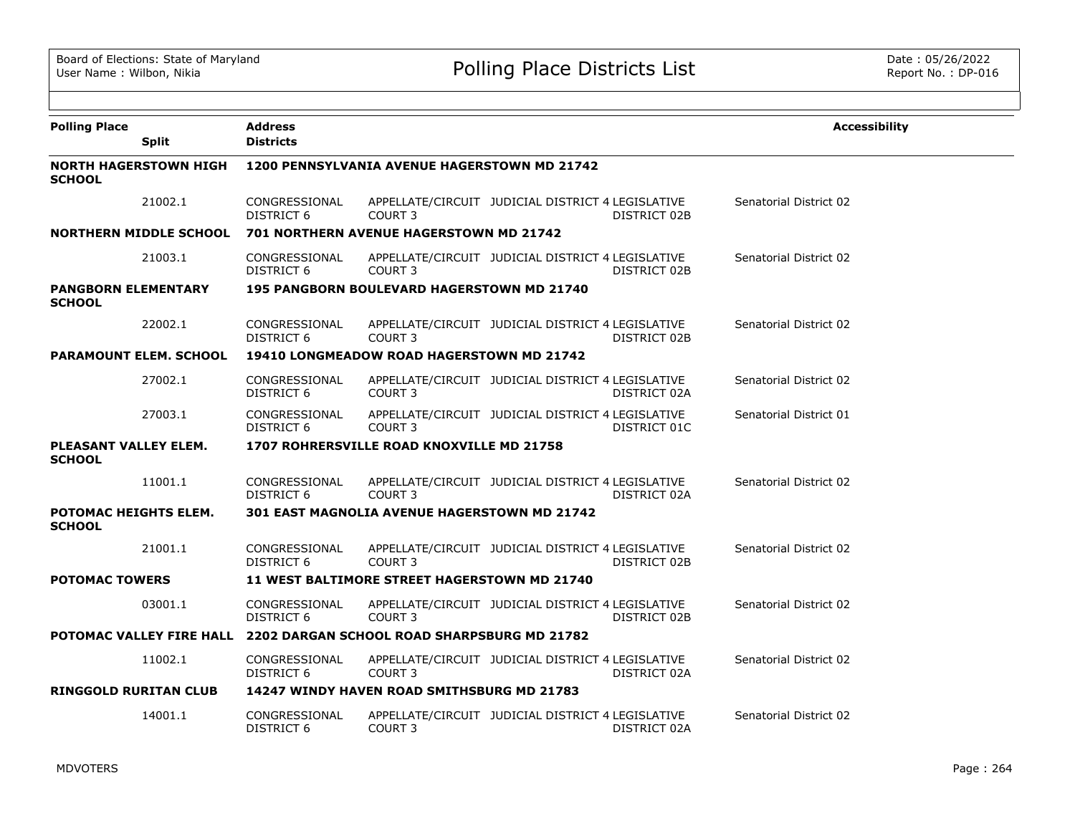| <b>Polling Place</b><br><b>Split</b>                                 | <b>Address</b><br><b>Districts</b> |                                                     |                                                   |              | <b>Accessibility</b>   |  |  |  |
|----------------------------------------------------------------------|------------------------------------|-----------------------------------------------------|---------------------------------------------------|--------------|------------------------|--|--|--|
| <b>NORTH HAGERSTOWN HIGH</b><br><b>SCHOOL</b>                        |                                    | 1200 PENNSYLVANIA AVENUE HAGERSTOWN MD 21742        |                                                   |              |                        |  |  |  |
| 21002.1                                                              | CONGRESSIONAL<br>DISTRICT 6        | COURT 3                                             | APPELLATE/CIRCUIT JUDICIAL DISTRICT 4 LEGISLATIVE | DISTRICT 02B | Senatorial District 02 |  |  |  |
| <b>NORTHERN MIDDLE SCHOOL</b>                                        |                                    | 701 NORTHERN AVENUE HAGERSTOWN MD 21742             |                                                   |              |                        |  |  |  |
| 21003.1                                                              | CONGRESSIONAL<br>DISTRICT 6        | <b>COURT 3</b>                                      | APPELLATE/CIRCUIT JUDICIAL DISTRICT 4 LEGISLATIVE | DISTRICT 02B | Senatorial District 02 |  |  |  |
| <b>PANGBORN ELEMENTARY</b><br><b>SCHOOL</b>                          |                                    | 195 PANGBORN BOULEVARD HAGERSTOWN MD 21740          |                                                   |              |                        |  |  |  |
| 22002.1                                                              | CONGRESSIONAL<br>DISTRICT 6        | COURT <sub>3</sub>                                  | APPELLATE/CIRCUIT JUDICIAL DISTRICT 4 LEGISLATIVE | DISTRICT 02B | Senatorial District 02 |  |  |  |
| <b>PARAMOUNT ELEM. SCHOOL</b>                                        |                                    | <b>19410 LONGMEADOW ROAD HAGERSTOWN MD 21742</b>    |                                                   |              |                        |  |  |  |
| 27002.1                                                              | CONGRESSIONAL<br>DISTRICT 6        | <b>COURT 3</b>                                      | APPELLATE/CIRCUIT JUDICIAL DISTRICT 4 LEGISLATIVE | DISTRICT 02A | Senatorial District 02 |  |  |  |
| 27003.1                                                              | CONGRESSIONAL<br>DISTRICT 6        | COURT <sub>3</sub>                                  | APPELLATE/CIRCUIT JUDICIAL DISTRICT 4 LEGISLATIVE | DISTRICT 01C | Senatorial District 01 |  |  |  |
| PLEASANT VALLEY ELEM.<br><b>SCHOOL</b>                               |                                    | 1707 ROHRERSVILLE ROAD KNOXVILLE MD 21758           |                                                   |              |                        |  |  |  |
| 11001.1                                                              | CONGRESSIONAL<br>DISTRICT 6        | COURT <sub>3</sub>                                  | APPELLATE/CIRCUIT JUDICIAL DISTRICT 4 LEGISLATIVE | DISTRICT 02A | Senatorial District 02 |  |  |  |
| POTOMAC HEIGHTS ELEM.<br><b>SCHOOL</b>                               |                                    | <b>301 EAST MAGNOLIA AVENUE HAGERSTOWN MD 21742</b> |                                                   |              |                        |  |  |  |
| 21001.1                                                              | CONGRESSIONAL<br>DISTRICT 6        | COURT <sub>3</sub>                                  | APPELLATE/CIRCUIT JUDICIAL DISTRICT 4 LEGISLATIVE | DISTRICT 02B | Senatorial District 02 |  |  |  |
| <b>POTOMAC TOWERS</b>                                                |                                    | 11 WEST BALTIMORE STREET HAGERSTOWN MD 21740        |                                                   |              |                        |  |  |  |
| 03001.1                                                              | CONGRESSIONAL<br>DISTRICT 6        | COURT <sub>3</sub>                                  | APPELLATE/CIRCUIT JUDICIAL DISTRICT 4 LEGISLATIVE | DISTRICT 02B | Senatorial District 02 |  |  |  |
| POTOMAC VALLEY FIRE HALL 2202 DARGAN SCHOOL ROAD SHARPSBURG MD 21782 |                                    |                                                     |                                                   |              |                        |  |  |  |
| 11002.1                                                              | CONGRESSIONAL<br>DISTRICT 6        | COURT <sub>3</sub>                                  | APPELLATE/CIRCUIT JUDICIAL DISTRICT 4 LEGISLATIVE | DISTRICT 02A | Senatorial District 02 |  |  |  |
| <b>RINGGOLD RURITAN CLUB</b>                                         |                                    | <b>14247 WINDY HAVEN ROAD SMITHSBURG MD 21783</b>   |                                                   |              |                        |  |  |  |
| 14001.1                                                              | CONGRESSIONAL<br>DISTRICT 6        | <b>COURT 3</b>                                      | APPELLATE/CIRCUIT JUDICIAL DISTRICT 4 LEGISLATIVE | DISTRICT 02A | Senatorial District 02 |  |  |  |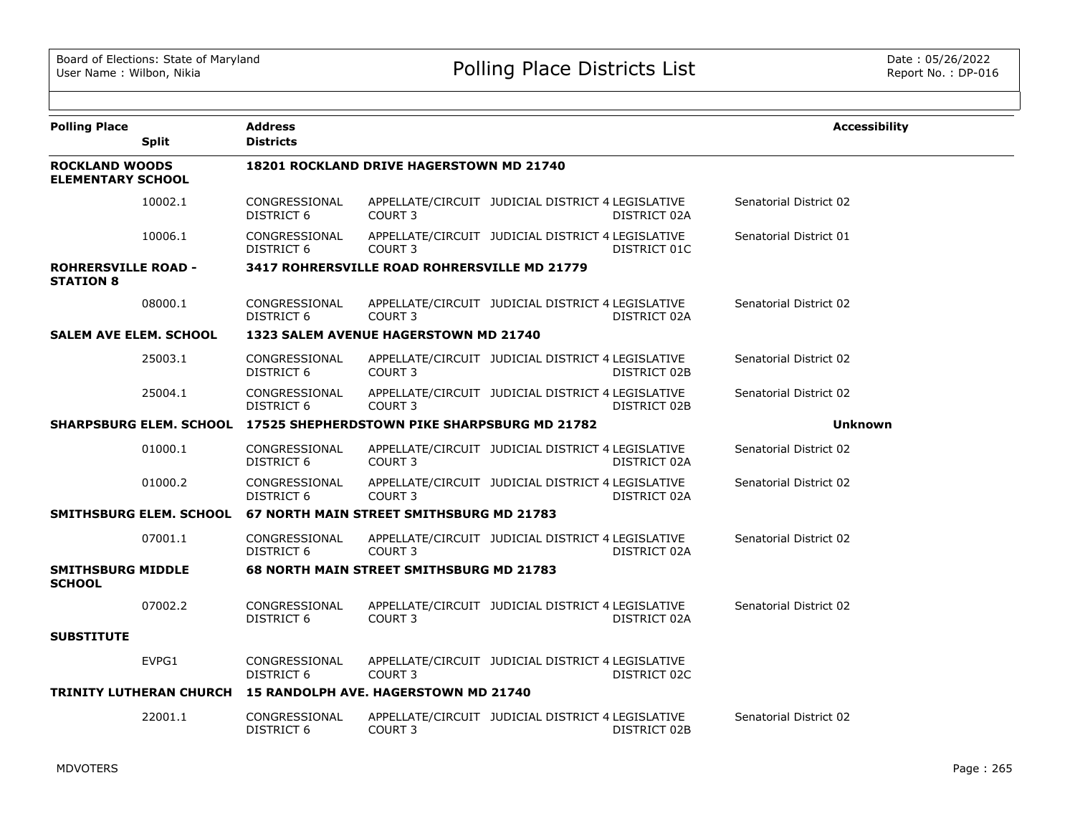| <b>Polling Place</b>                              | <b>Split</b>                   | <b>Address</b><br><b>Districts</b> |                                                                      |                                                   |              | <b>Accessibility</b>   |
|---------------------------------------------------|--------------------------------|------------------------------------|----------------------------------------------------------------------|---------------------------------------------------|--------------|------------------------|
| <b>ROCKLAND WOODS</b><br><b>ELEMENTARY SCHOOL</b> |                                |                                    | <b>18201 ROCKLAND DRIVE HAGERSTOWN MD 21740</b>                      |                                                   |              |                        |
|                                                   | 10002.1                        | CONGRESSIONAL<br>DISTRICT 6        | COURT <sub>3</sub>                                                   | APPELLATE/CIRCUIT JUDICIAL DISTRICT 4 LEGISLATIVE | DISTRICT 02A | Senatorial District 02 |
|                                                   | 10006.1                        | CONGRESSIONAL<br>DISTRICT 6        | COURT <sub>3</sub>                                                   | APPELLATE/CIRCUIT JUDICIAL DISTRICT 4 LEGISLATIVE | DISTRICT 01C | Senatorial District 01 |
| <b>ROHRERSVILLE ROAD -</b><br><b>STATION 8</b>    |                                |                                    | 3417 ROHRERSVILLE ROAD ROHRERSVILLE MD 21779                         |                                                   |              |                        |
|                                                   | 08000.1                        | CONGRESSIONAL<br><b>DISTRICT 6</b> | COURT <sub>3</sub>                                                   | APPELLATE/CIRCUIT JUDICIAL DISTRICT 4 LEGISLATIVE | DISTRICT 02A | Senatorial District 02 |
| <b>SALEM AVE ELEM. SCHOOL</b>                     |                                |                                    | 1323 SALEM AVENUE HAGERSTOWN MD 21740                                |                                                   |              |                        |
|                                                   | 25003.1                        | CONGRESSIONAL<br><b>DISTRICT 6</b> | COURT <sub>3</sub>                                                   | APPELLATE/CIRCUIT JUDICIAL DISTRICT 4 LEGISLATIVE | DISTRICT 02B | Senatorial District 02 |
|                                                   | 25004.1                        | CONGRESSIONAL<br>DISTRICT 6        | COURT <sub>3</sub>                                                   | APPELLATE/CIRCUIT JUDICIAL DISTRICT 4 LEGISLATIVE | DISTRICT 02B | Senatorial District 02 |
|                                                   |                                |                                    | SHARPSBURG ELEM. SCHOOL 17525 SHEPHERDSTOWN PIKE SHARPSBURG MD 21782 |                                                   |              | <b>Unknown</b>         |
|                                                   | 01000.1                        | CONGRESSIONAL<br>DISTRICT 6        | COURT <sub>3</sub>                                                   | APPELLATE/CIRCUIT JUDICIAL DISTRICT 4 LEGISLATIVE | DISTRICT 02A | Senatorial District 02 |
|                                                   | 01000.2                        | CONGRESSIONAL<br>DISTRICT 6        | COURT <sub>3</sub>                                                   | APPELLATE/CIRCUIT JUDICIAL DISTRICT 4 LEGISLATIVE | DISTRICT 02A | Senatorial District 02 |
|                                                   | SMITHSBURG ELEM. SCHOOL        |                                    | 67 NORTH MAIN STREET SMITHSBURG MD 21783                             |                                                   |              |                        |
|                                                   | 07001.1                        | CONGRESSIONAL<br><b>DISTRICT 6</b> | COURT <sub>3</sub>                                                   | APPELLATE/CIRCUIT JUDICIAL DISTRICT 4 LEGISLATIVE | DISTRICT 02A | Senatorial District 02 |
| <b>SMITHSBURG MIDDLE</b><br><b>SCHOOL</b>         |                                |                                    | <b>68 NORTH MAIN STREET SMITHSBURG MD 21783</b>                      |                                                   |              |                        |
|                                                   | 07002.2                        | CONGRESSIONAL<br><b>DISTRICT 6</b> | COURT 3                                                              | APPELLATE/CIRCUIT JUDICIAL DISTRICT 4 LEGISLATIVE | DISTRICT 02A | Senatorial District 02 |
| <b>SUBSTITUTE</b>                                 |                                |                                    |                                                                      |                                                   |              |                        |
|                                                   | EVPG1                          | CONGRESSIONAL<br>DISTRICT 6        | <b>COURT 3</b>                                                       | APPELLATE/CIRCUIT JUDICIAL DISTRICT 4 LEGISLATIVE | DISTRICT 02C |                        |
|                                                   | <b>TRINITY LUTHERAN CHURCH</b> |                                    | <b>15 RANDOLPH AVE. HAGERSTOWN MD 21740</b>                          |                                                   |              |                        |
|                                                   | 22001.1                        | CONGRESSIONAL<br><b>DISTRICT 6</b> | COURT 3                                                              | APPELLATE/CIRCUIT JUDICIAL DISTRICT 4 LEGISLATIVE | DISTRICT 02B | Senatorial District 02 |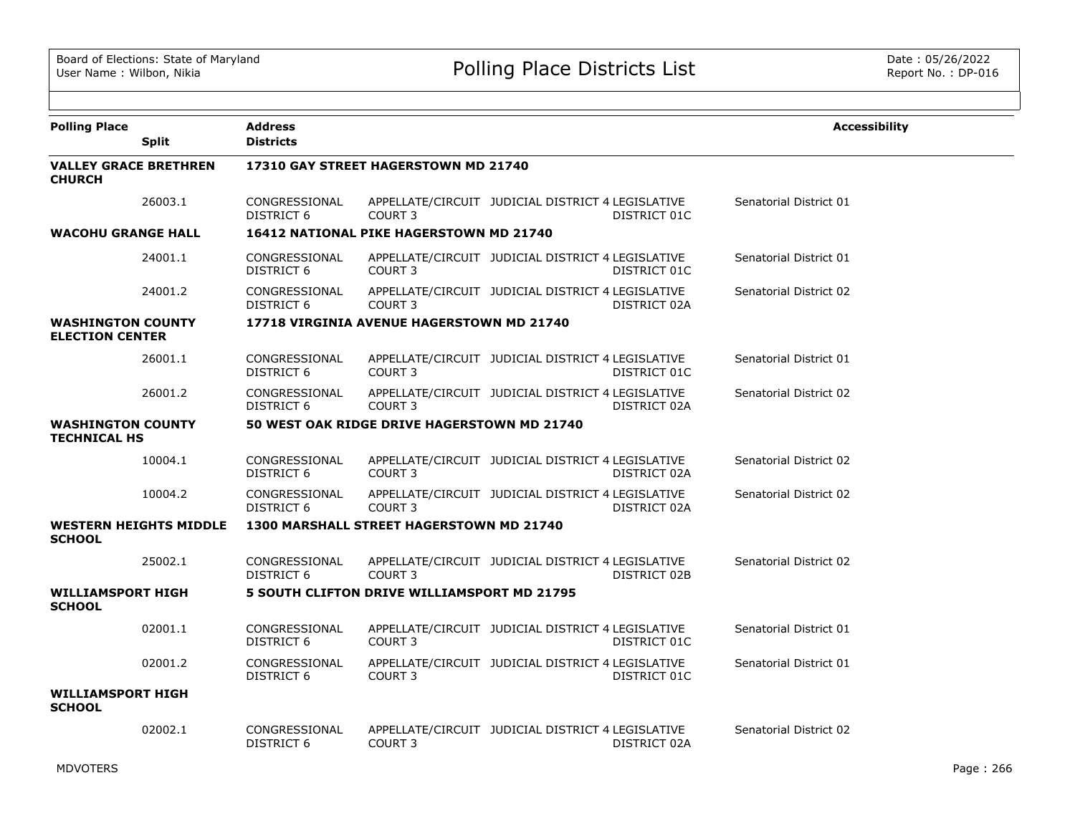| <b>Polling Place</b><br><b>Split</b>               |         | <b>Address</b><br><b>Districts</b> |                                                    |                                                   |              | <b>Accessibility</b>   |
|----------------------------------------------------|---------|------------------------------------|----------------------------------------------------|---------------------------------------------------|--------------|------------------------|
| <b>VALLEY GRACE BRETHREN</b><br><b>CHURCH</b>      |         |                                    | 17310 GAY STREET HAGERSTOWN MD 21740               |                                                   |              |                        |
|                                                    | 26003.1 | CONGRESSIONAL<br>DISTRICT 6        | COURT <sub>3</sub>                                 | APPELLATE/CIRCUIT JUDICIAL DISTRICT 4 LEGISLATIVE | DISTRICT 01C | Senatorial District 01 |
| <b>WACOHU GRANGE HALL</b>                          |         |                                    | 16412 NATIONAL PIKE HAGERSTOWN MD 21740            |                                                   |              |                        |
|                                                    | 24001.1 | CONGRESSIONAL<br>DISTRICT 6        | COURT <sub>3</sub>                                 | APPELLATE/CIRCUIT JUDICIAL DISTRICT 4 LEGISLATIVE | DISTRICT 01C | Senatorial District 01 |
|                                                    | 24001.2 | CONGRESSIONAL<br>DISTRICT 6        | <b>COURT 3</b>                                     | APPELLATE/CIRCUIT JUDICIAL DISTRICT 4 LEGISLATIVE | DISTRICT 02A | Senatorial District 02 |
| <b>WASHINGTON COUNTY</b><br><b>ELECTION CENTER</b> |         |                                    | 17718 VIRGINIA AVENUE HAGERSTOWN MD 21740          |                                                   |              |                        |
|                                                    | 26001.1 | CONGRESSIONAL<br>DISTRICT 6        | COURT 3                                            | APPELLATE/CIRCUIT JUDICIAL DISTRICT 4 LEGISLATIVE | DISTRICT 01C | Senatorial District 01 |
|                                                    | 26001.2 | CONGRESSIONAL<br>DISTRICT 6        | <b>COURT 3</b>                                     | APPELLATE/CIRCUIT JUDICIAL DISTRICT 4 LEGISLATIVE | DISTRICT 02A | Senatorial District 02 |
| <b>WASHINGTON COUNTY</b><br><b>TECHNICAL HS</b>    |         |                                    | 50 WEST OAK RIDGE DRIVE HAGERSTOWN MD 21740        |                                                   |              |                        |
|                                                    | 10004.1 | CONGRESSIONAL<br><b>DISTRICT 6</b> | COURT <sub>3</sub>                                 | APPELLATE/CIRCUIT JUDICIAL DISTRICT 4 LEGISLATIVE | DISTRICT 02A | Senatorial District 02 |
|                                                    | 10004.2 | CONGRESSIONAL<br>DISTRICT 6        | COURT <sub>3</sub>                                 | APPELLATE/CIRCUIT JUDICIAL DISTRICT 4 LEGISLATIVE | DISTRICT 02A | Senatorial District 02 |
| <b>WESTERN HEIGHTS MIDDLE</b><br><b>SCHOOL</b>     |         |                                    | 1300 MARSHALL STREET HAGERSTOWN MD 21740           |                                                   |              |                        |
|                                                    | 25002.1 | CONGRESSIONAL<br>DISTRICT 6        | COURT <sub>3</sub>                                 | APPELLATE/CIRCUIT JUDICIAL DISTRICT 4 LEGISLATIVE | DISTRICT 02B | Senatorial District 02 |
| <b>WILLIAMSPORT HIGH</b><br><b>SCHOOL</b>          |         |                                    | <b>5 SOUTH CLIFTON DRIVE WILLIAMSPORT MD 21795</b> |                                                   |              |                        |
|                                                    | 02001.1 | CONGRESSIONAL<br><b>DISTRICT 6</b> | COURT <sub>3</sub>                                 | APPELLATE/CIRCUIT JUDICIAL DISTRICT 4 LEGISLATIVE | DISTRICT 01C | Senatorial District 01 |
|                                                    | 02001.2 | CONGRESSIONAL<br><b>DISTRICT 6</b> | COURT <sub>3</sub>                                 | APPELLATE/CIRCUIT JUDICIAL DISTRICT 4 LEGISLATIVE | DISTRICT 01C | Senatorial District 01 |
| <b>WILLIAMSPORT HIGH</b><br><b>SCHOOL</b>          |         |                                    |                                                    |                                                   |              |                        |
|                                                    | 02002.1 | CONGRESSIONAL<br>DISTRICT 6        | COURT <sub>3</sub>                                 | APPELLATE/CIRCUIT JUDICIAL DISTRICT 4 LEGISLATIVE | DISTRICT 02A | Senatorial District 02 |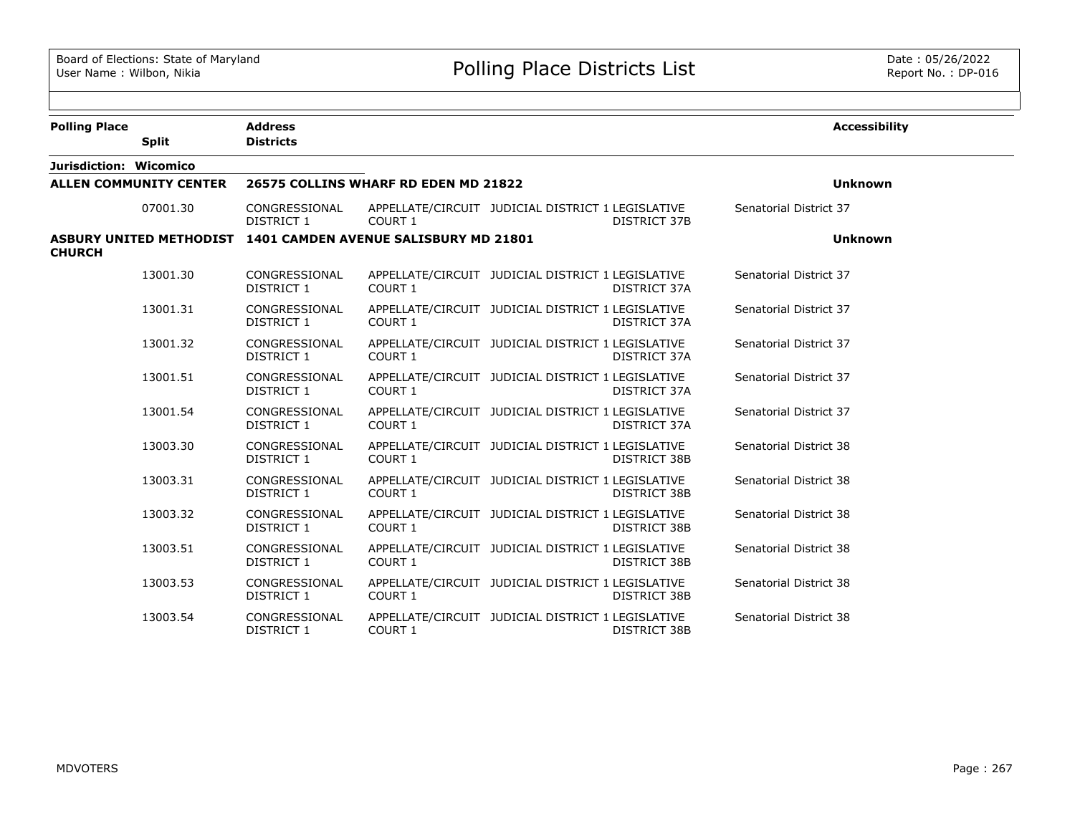| <b>Polling Place</b><br><b>Split</b>                                           | <b>Address</b><br><b>Districts</b> |                                      |                                                   |                     | <b>Accessibility</b>   |
|--------------------------------------------------------------------------------|------------------------------------|--------------------------------------|---------------------------------------------------|---------------------|------------------------|
| Jurisdiction: Wicomico                                                         |                                    |                                      |                                                   |                     |                        |
| <b>ALLEN COMMUNITY CENTER</b>                                                  |                                    | 26575 COLLINS WHARF RD EDEN MD 21822 |                                                   |                     | <b>Unknown</b>         |
| 07001.30                                                                       | CONGRESSIONAL<br>DISTRICT 1        | COURT 1                              | APPELLATE/CIRCUIT JUDICIAL DISTRICT 1 LEGISLATIVE | <b>DISTRICT 37B</b> | Senatorial District 37 |
| ASBURY UNITED METHODIST 1401 CAMDEN AVENUE SALISBURY MD 21801<br><b>CHURCH</b> |                                    |                                      |                                                   |                     | <b>Unknown</b>         |
| 13001.30                                                                       | CONGRESSIONAL<br>DISTRICT 1        | COURT 1                              | APPELLATE/CIRCUIT JUDICIAL DISTRICT 1 LEGISLATIVE | <b>DISTRICT 37A</b> | Senatorial District 37 |
| 13001.31                                                                       | CONGRESSIONAL<br>DISTRICT 1        | COURT 1                              | APPELLATE/CIRCUIT JUDICIAL DISTRICT 1 LEGISLATIVE | DISTRICT 37A        | Senatorial District 37 |
| 13001.32                                                                       | CONGRESSIONAL<br>DISTRICT 1        | COURT 1                              | APPELLATE/CIRCUIT JUDICIAL DISTRICT 1 LEGISLATIVE | DISTRICT 37A        | Senatorial District 37 |
| 13001.51                                                                       | CONGRESSIONAL<br>DISTRICT 1        | COURT 1                              | APPELLATE/CIRCUIT JUDICIAL DISTRICT 1 LEGISLATIVE | DISTRICT 37A        | Senatorial District 37 |
| 13001.54                                                                       | CONGRESSIONAL<br>DISTRICT 1        | COURT 1                              | APPELLATE/CIRCUIT JUDICIAL DISTRICT 1 LEGISLATIVE | DISTRICT 37A        | Senatorial District 37 |
| 13003.30                                                                       | CONGRESSIONAL<br>DISTRICT 1        | COURT 1                              | APPELLATE/CIRCUIT JUDICIAL DISTRICT 1 LEGISLATIVE | <b>DISTRICT 38B</b> | Senatorial District 38 |
| 13003.31                                                                       | CONGRESSIONAL<br>DISTRICT 1        | COURT 1                              | APPELLATE/CIRCUIT JUDICIAL DISTRICT 1 LEGISLATIVE | DISTRICT 38B        | Senatorial District 38 |
| 13003.32                                                                       | CONGRESSIONAL<br>DISTRICT 1        | COURT 1                              | APPELLATE/CIRCUIT JUDICIAL DISTRICT 1 LEGISLATIVE | DISTRICT 38B        | Senatorial District 38 |
| 13003.51                                                                       | CONGRESSIONAL<br>DISTRICT 1        | COURT 1                              | APPELLATE/CIRCUIT JUDICIAL DISTRICT 1 LEGISLATIVE | DISTRICT 38B        | Senatorial District 38 |
| 13003.53                                                                       | CONGRESSIONAL<br>DISTRICT 1        | COURT 1                              | APPELLATE/CIRCUIT JUDICIAL DISTRICT 1 LEGISLATIVE | DISTRICT 38B        | Senatorial District 38 |
| 13003.54                                                                       | CONGRESSIONAL<br><b>DISTRICT 1</b> | <b>COURT 1</b>                       | APPELLATE/CIRCUIT JUDICIAL DISTRICT 1 LEGISLATIVE | <b>DISTRICT 38B</b> | Senatorial District 38 |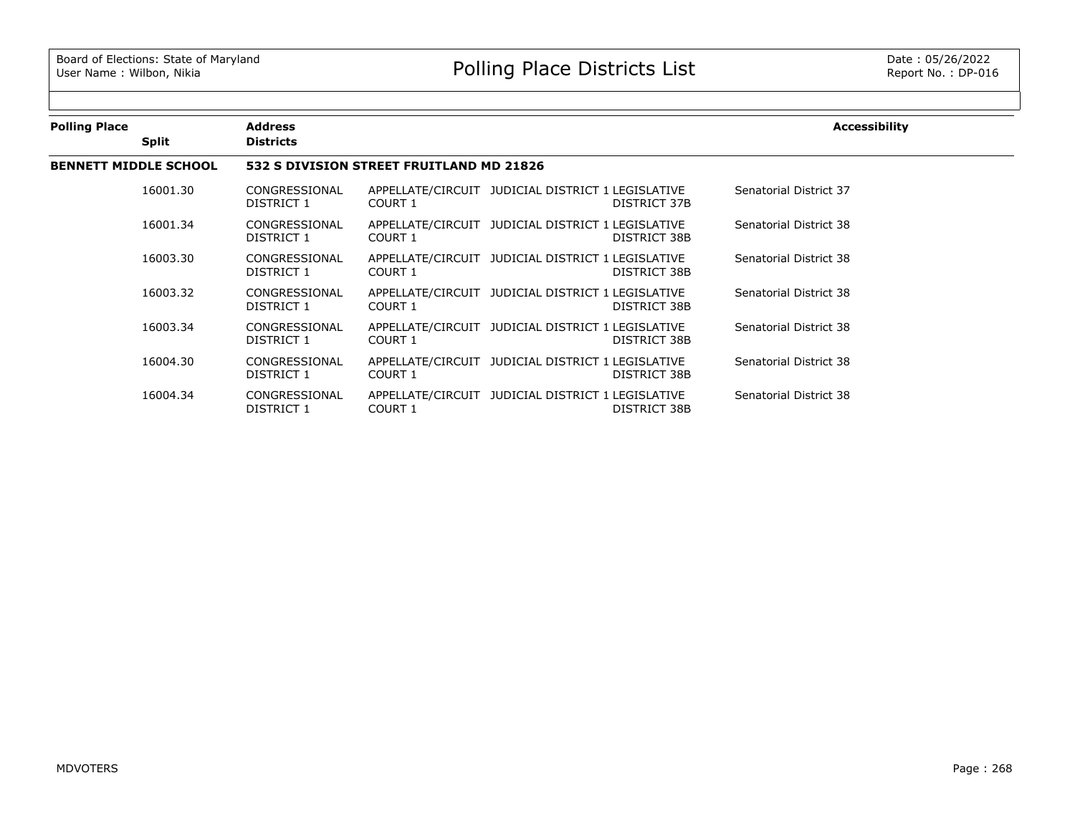| <b>Polling Place</b> | <b>Split</b>                 | <b>Address</b><br><b>Districts</b> |                                          |                                                   |              | Accessibility          |  |  |  |
|----------------------|------------------------------|------------------------------------|------------------------------------------|---------------------------------------------------|--------------|------------------------|--|--|--|
|                      | <b>BENNETT MIDDLE SCHOOL</b> |                                    | 532 S DIVISION STREET FRUITLAND MD 21826 |                                                   |              |                        |  |  |  |
|                      | 16001.30                     | CONGRESSIONAL<br>DISTRICT 1        | COURT 1                                  | APPELLATE/CIRCUIT JUDICIAL DISTRICT 1 LEGISLATIVE | DISTRICT 37B | Senatorial District 37 |  |  |  |
|                      | 16001.34                     | CONGRESSIONAL<br>DISTRICT 1        | COURT 1                                  | APPELLATE/CIRCUIT JUDICIAL DISTRICT 1 LEGISLATIVE | DISTRICT 38B | Senatorial District 38 |  |  |  |
|                      | 16003.30                     | CONGRESSIONAL<br>DISTRICT 1        | COURT 1                                  | APPELLATE/CIRCUIT JUDICIAL DISTRICT 1 LEGISLATIVE | DISTRICT 38B | Senatorial District 38 |  |  |  |
|                      | 16003.32                     | CONGRESSIONAL<br>DISTRICT 1        | COURT 1                                  | APPELLATE/CIRCUIT JUDICIAL DISTRICT 1 LEGISLATIVE | DISTRICT 38B | Senatorial District 38 |  |  |  |
|                      | 16003.34                     | CONGRESSIONAL<br>DISTRICT 1        | COURT 1                                  | APPELLATE/CIRCUIT JUDICIAL DISTRICT 1 LEGISLATIVE | DISTRICT 38B | Senatorial District 38 |  |  |  |
|                      | 16004.30                     | CONGRESSIONAL<br>DISTRICT 1        | COURT 1                                  | APPELLATE/CIRCUIT JUDICIAL DISTRICT 1 LEGISLATIVE | DISTRICT 38B | Senatorial District 38 |  |  |  |
|                      | 16004.34                     | CONGRESSIONAL<br>DISTRICT 1        | COURT 1                                  | APPELLATE/CIRCUIT JUDICIAL DISTRICT 1 LEGISLATIVE | DISTRICT 38B | Senatorial District 38 |  |  |  |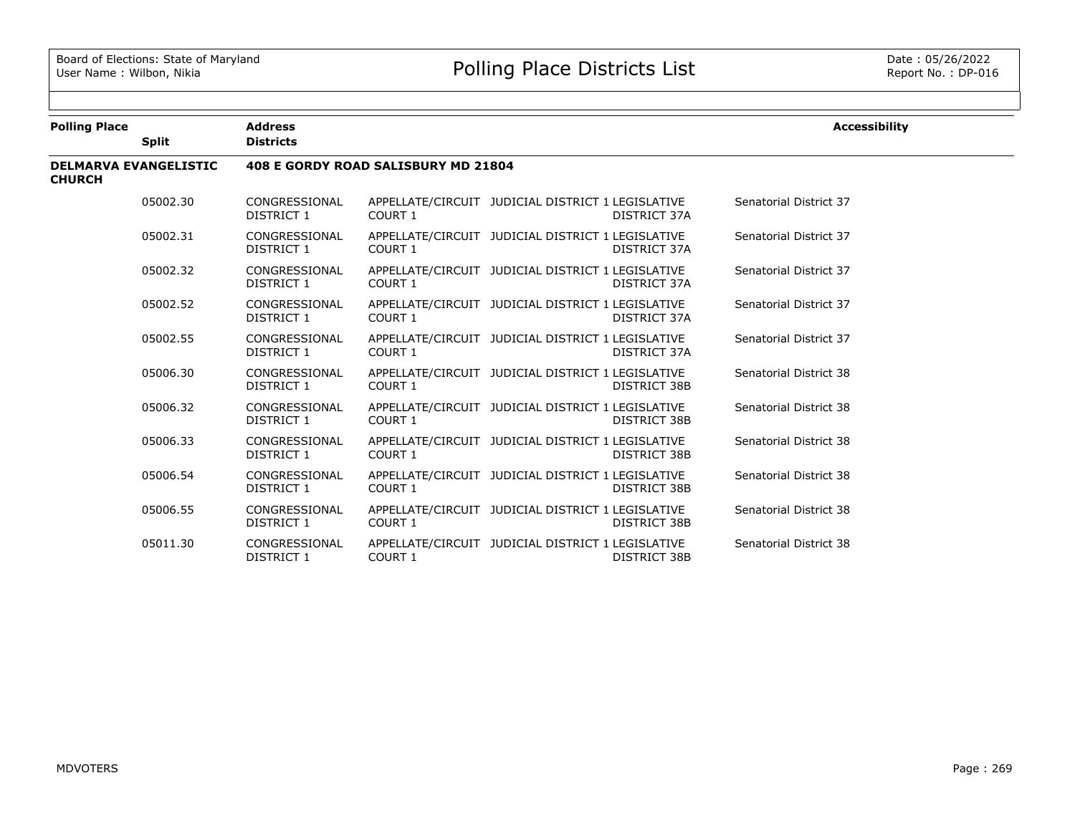| <b>Polling Place</b>                          |              | <b>Address</b>              |                                     |                                                   |                     | <b>Accessibility</b>   |
|-----------------------------------------------|--------------|-----------------------------|-------------------------------------|---------------------------------------------------|---------------------|------------------------|
|                                               | <b>Split</b> | <b>Districts</b>            |                                     |                                                   |                     |                        |
| <b>DELMARVA EVANGELISTIC</b><br><b>CHURCH</b> |              |                             | 408 E GORDY ROAD SALISBURY MD 21804 |                                                   |                     |                        |
|                                               | 05002.30     | CONGRESSIONAL<br>DISTRICT 1 | <b>COURT 1</b>                      | APPELLATE/CIRCUIT JUDICIAL DISTRICT 1 LEGISLATIVE | DISTRICT 37A        | Senatorial District 37 |
|                                               | 05002.31     | CONGRESSIONAL<br>DISTRICT 1 | COURT 1                             | APPELLATE/CIRCUIT JUDICIAL DISTRICT 1 LEGISLATIVE | DISTRICT 37A        | Senatorial District 37 |
|                                               | 05002.32     | CONGRESSIONAL<br>DISTRICT 1 | COURT 1                             | APPELLATE/CIRCUIT JUDICIAL DISTRICT 1 LEGISLATIVE | DISTRICT 37A        | Senatorial District 37 |
|                                               | 05002.52     | CONGRESSIONAL<br>DISTRICT 1 | COURT 1                             | APPELLATE/CIRCUIT JUDICIAL DISTRICT 1 LEGISLATIVE | DISTRICT 37A        | Senatorial District 37 |
|                                               | 05002.55     | CONGRESSIONAL<br>DISTRICT 1 | COURT 1                             | APPELLATE/CIRCUIT JUDICIAL DISTRICT 1 LEGISLATIVE | DISTRICT 37A        | Senatorial District 37 |
|                                               | 05006.30     | CONGRESSIONAL<br>DISTRICT 1 | COURT 1                             | APPELLATE/CIRCUIT JUDICIAL DISTRICT 1 LEGISLATIVE | DISTRICT 38B        | Senatorial District 38 |
|                                               | 05006.32     | CONGRESSIONAL<br>DISTRICT 1 | COURT 1                             | APPELLATE/CIRCUIT JUDICIAL DISTRICT 1 LEGISLATIVE | <b>DISTRICT 38B</b> | Senatorial District 38 |
|                                               | 05006.33     | CONGRESSIONAL<br>DISTRICT 1 | COURT 1                             | APPELLATE/CIRCUIT JUDICIAL DISTRICT 1 LEGISLATIVE | <b>DISTRICT 38B</b> | Senatorial District 38 |
|                                               | 05006.54     | CONGRESSIONAL<br>DISTRICT 1 | COURT 1                             | APPELLATE/CIRCUIT JUDICIAL DISTRICT 1 LEGISLATIVE | DISTRICT 38B        | Senatorial District 38 |
|                                               | 05006.55     | CONGRESSIONAL<br>DISTRICT 1 | COURT 1                             | APPELLATE/CIRCUIT JUDICIAL DISTRICT 1 LEGISLATIVE | <b>DISTRICT 38B</b> | Senatorial District 38 |
|                                               | 05011.30     | CONGRESSIONAL<br>DISTRICT 1 | COURT 1                             | APPELLATE/CIRCUIT JUDICIAL DISTRICT 1 LEGISLATIVE | DISTRICT 38B        | Senatorial District 38 |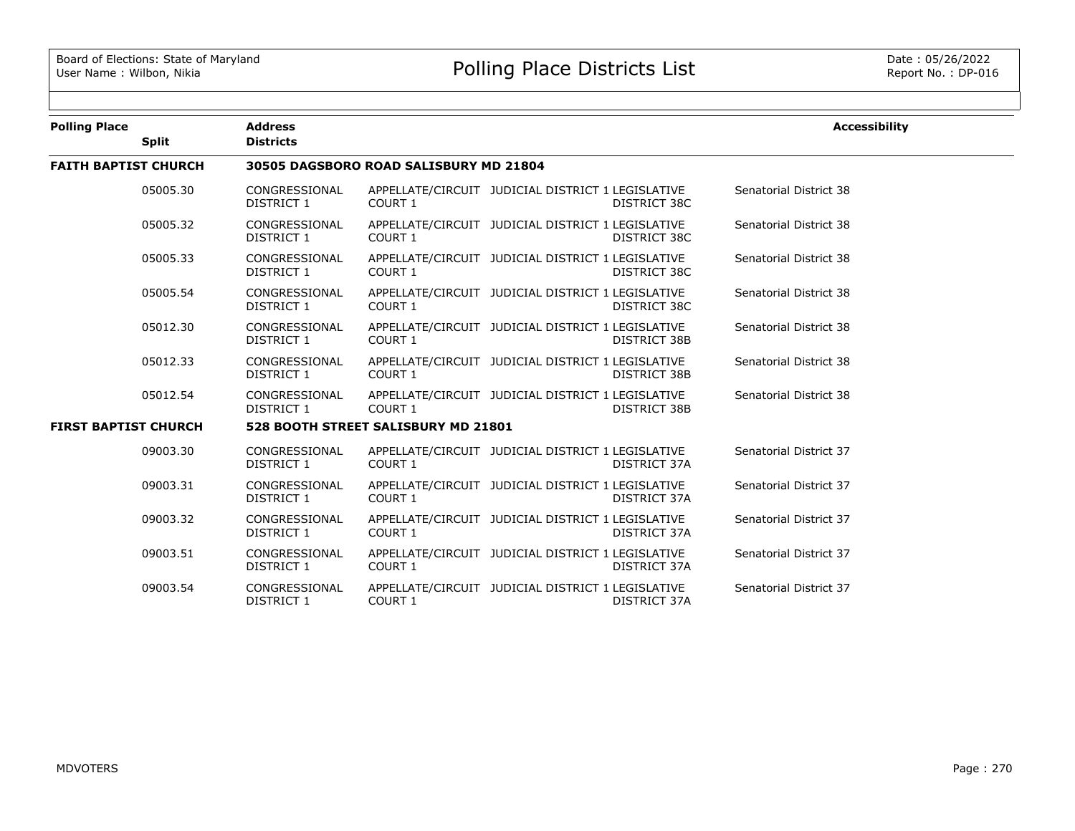| <b>Polling Place</b>        |              | <b>Address</b>                         |                                     |                                                   |              | <b>Accessibility</b>   |  |  |  |
|-----------------------------|--------------|----------------------------------------|-------------------------------------|---------------------------------------------------|--------------|------------------------|--|--|--|
|                             | <b>Split</b> | <b>Districts</b>                       |                                     |                                                   |              |                        |  |  |  |
| <b>FAITH BAPTIST CHURCH</b> |              | 30505 DAGSBORO ROAD SALISBURY MD 21804 |                                     |                                                   |              |                        |  |  |  |
|                             | 05005.30     | CONGRESSIONAL<br>DISTRICT 1            | COURT 1                             | APPELLATE/CIRCUIT JUDICIAL DISTRICT 1 LEGISLATIVE | DISTRICT 38C | Senatorial District 38 |  |  |  |
|                             | 05005.32     | CONGRESSIONAL<br>DISTRICT 1            | COURT 1                             | APPELLATE/CIRCUIT JUDICIAL DISTRICT 1 LEGISLATIVE | DISTRICT 38C | Senatorial District 38 |  |  |  |
|                             | 05005.33     | CONGRESSIONAL<br>DISTRICT 1            | COURT 1                             | APPELLATE/CIRCUIT JUDICIAL DISTRICT 1 LEGISLATIVE | DISTRICT 38C | Senatorial District 38 |  |  |  |
|                             | 05005.54     | CONGRESSIONAL<br>DISTRICT 1            | COURT 1                             | APPELLATE/CIRCUIT JUDICIAL DISTRICT 1 LEGISLATIVE | DISTRICT 38C | Senatorial District 38 |  |  |  |
|                             | 05012.30     | CONGRESSIONAL<br>DISTRICT 1            | COURT 1                             | APPELLATE/CIRCUIT JUDICIAL DISTRICT 1 LEGISLATIVE | DISTRICT 38B | Senatorial District 38 |  |  |  |
|                             | 05012.33     | CONGRESSIONAL<br>DISTRICT 1            | COURT 1                             | APPELLATE/CIRCUIT JUDICIAL DISTRICT 1 LEGISLATIVE | DISTRICT 38B | Senatorial District 38 |  |  |  |
|                             | 05012.54     | CONGRESSIONAL<br>DISTRICT 1            | COURT 1                             | APPELLATE/CIRCUIT JUDICIAL DISTRICT 1 LEGISLATIVE | DISTRICT 38B | Senatorial District 38 |  |  |  |
| <b>FIRST BAPTIST CHURCH</b> |              |                                        | 528 BOOTH STREET SALISBURY MD 21801 |                                                   |              |                        |  |  |  |
|                             | 09003.30     | CONGRESSIONAL<br>DISTRICT 1            | COURT 1                             | APPELLATE/CIRCUIT JUDICIAL DISTRICT 1 LEGISLATIVE | DISTRICT 37A | Senatorial District 37 |  |  |  |
|                             | 09003.31     | CONGRESSIONAL<br>DISTRICT 1            | COURT 1                             | APPELLATE/CIRCUIT JUDICIAL DISTRICT 1 LEGISLATIVE | DISTRICT 37A | Senatorial District 37 |  |  |  |
|                             | 09003.32     | CONGRESSIONAL<br>DISTRICT 1            | COURT 1                             | APPELLATE/CIRCUIT JUDICIAL DISTRICT 1 LEGISLATIVE | DISTRICT 37A | Senatorial District 37 |  |  |  |
|                             | 09003.51     | CONGRESSIONAL<br>DISTRICT 1            | COURT 1                             | APPELLATE/CIRCUIT JUDICIAL DISTRICT 1 LEGISLATIVE | DISTRICT 37A | Senatorial District 37 |  |  |  |
|                             | 09003.54     | CONGRESSIONAL<br>DISTRICT 1            | COURT 1                             | APPELLATE/CIRCUIT JUDICIAL DISTRICT 1 LEGISLATIVE | DISTRICT 37A | Senatorial District 37 |  |  |  |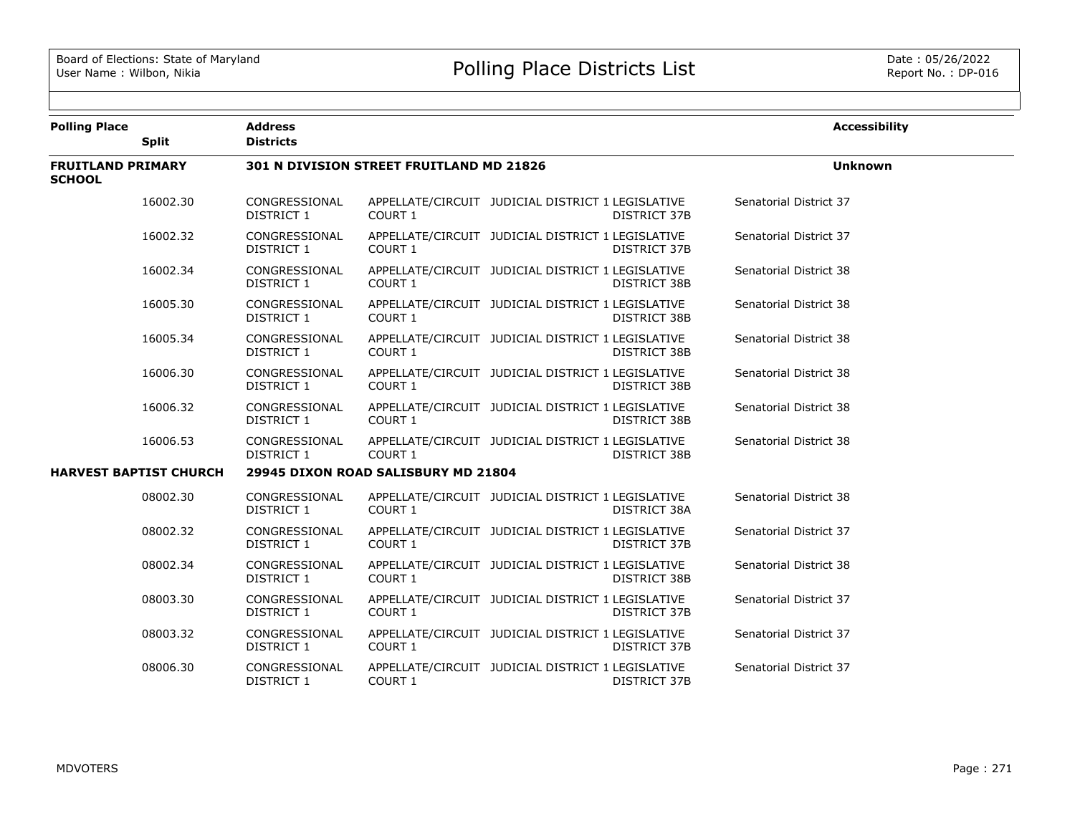| <b>Polling Place</b>                      |                               | <b>Address</b>                      |                                          |                                                   |                     | <b>Accessibility</b>   |  |
|-------------------------------------------|-------------------------------|-------------------------------------|------------------------------------------|---------------------------------------------------|---------------------|------------------------|--|
|                                           | Split                         | <b>Districts</b>                    |                                          |                                                   |                     |                        |  |
| <b>FRUITLAND PRIMARY</b><br><b>SCHOOL</b> |                               |                                     | 301 N DIVISION STREET FRUITLAND MD 21826 |                                                   |                     | <b>Unknown</b>         |  |
|                                           | 16002.30                      | CONGRESSIONAL<br>DISTRICT 1         | COURT 1                                  | APPELLATE/CIRCUIT JUDICIAL DISTRICT 1 LEGISLATIVE | DISTRICT 37B        | Senatorial District 37 |  |
|                                           | 16002.32                      | CONGRESSIONAL<br>DISTRICT 1         | COURT 1                                  | APPELLATE/CIRCUIT JUDICIAL DISTRICT 1 LEGISLATIVE | DISTRICT 37B        | Senatorial District 37 |  |
|                                           | 16002.34                      | CONGRESSIONAL<br>DISTRICT 1         | <b>COURT 1</b>                           | APPELLATE/CIRCUIT JUDICIAL DISTRICT 1 LEGISLATIVE | <b>DISTRICT 38B</b> | Senatorial District 38 |  |
|                                           | 16005.30                      | CONGRESSIONAL<br>DISTRICT 1         | <b>COURT 1</b>                           | APPELLATE/CIRCUIT JUDICIAL DISTRICT 1 LEGISLATIVE | DISTRICT 38B        | Senatorial District 38 |  |
|                                           | 16005.34                      | CONGRESSIONAL<br>DISTRICT 1         | COURT 1                                  | APPELLATE/CIRCUIT JUDICIAL DISTRICT 1 LEGISLATIVE | <b>DISTRICT 38B</b> | Senatorial District 38 |  |
|                                           | 16006.30                      | CONGRESSIONAL<br>DISTRICT 1         | COURT 1                                  | APPELLATE/CIRCUIT JUDICIAL DISTRICT 1 LEGISLATIVE | <b>DISTRICT 38B</b> | Senatorial District 38 |  |
|                                           | 16006.32                      | CONGRESSIONAL<br><b>DISTRICT 1</b>  | COURT 1                                  | APPELLATE/CIRCUIT JUDICIAL DISTRICT 1 LEGISLATIVE | <b>DISTRICT 38B</b> | Senatorial District 38 |  |
|                                           | 16006.53                      | CONGRESSIONAL<br><b>DISTRICT 1</b>  | COURT 1                                  | APPELLATE/CIRCUIT JUDICIAL DISTRICT 1 LEGISLATIVE | <b>DISTRICT 38B</b> | Senatorial District 38 |  |
|                                           | <b>HARVEST BAPTIST CHURCH</b> | 29945 DIXON ROAD SALISBURY MD 21804 |                                          |                                                   |                     |                        |  |
|                                           | 08002.30                      | CONGRESSIONAL<br>DISTRICT 1         | COURT 1                                  | APPELLATE/CIRCUIT JUDICIAL DISTRICT 1 LEGISLATIVE | <b>DISTRICT 38A</b> | Senatorial District 38 |  |
|                                           | 08002.32                      | CONGRESSIONAL<br><b>DISTRICT 1</b>  | COURT 1                                  | APPELLATE/CIRCUIT JUDICIAL DISTRICT 1 LEGISLATIVE | DISTRICT 37B        | Senatorial District 37 |  |
|                                           | 08002.34                      | CONGRESSIONAL<br><b>DISTRICT 1</b>  | <b>COURT 1</b>                           | APPELLATE/CIRCUIT JUDICIAL DISTRICT 1 LEGISLATIVE | <b>DISTRICT 38B</b> | Senatorial District 38 |  |
|                                           | 08003.30                      | CONGRESSIONAL<br>DISTRICT 1         | <b>COURT 1</b>                           | APPELLATE/CIRCUIT JUDICIAL DISTRICT 1 LEGISLATIVE | DISTRICT 37B        | Senatorial District 37 |  |
|                                           | 08003.32                      | CONGRESSIONAL<br>DISTRICT 1         | COURT 1                                  | APPELLATE/CIRCUIT JUDICIAL DISTRICT 1 LEGISLATIVE | DISTRICT 37B        | Senatorial District 37 |  |
|                                           | 08006.30                      | CONGRESSIONAL<br>DISTRICT 1         | <b>COURT 1</b>                           | APPELLATE/CIRCUIT JUDICIAL DISTRICT 1 LEGISLATIVE | DISTRICT 37B        | Senatorial District 37 |  |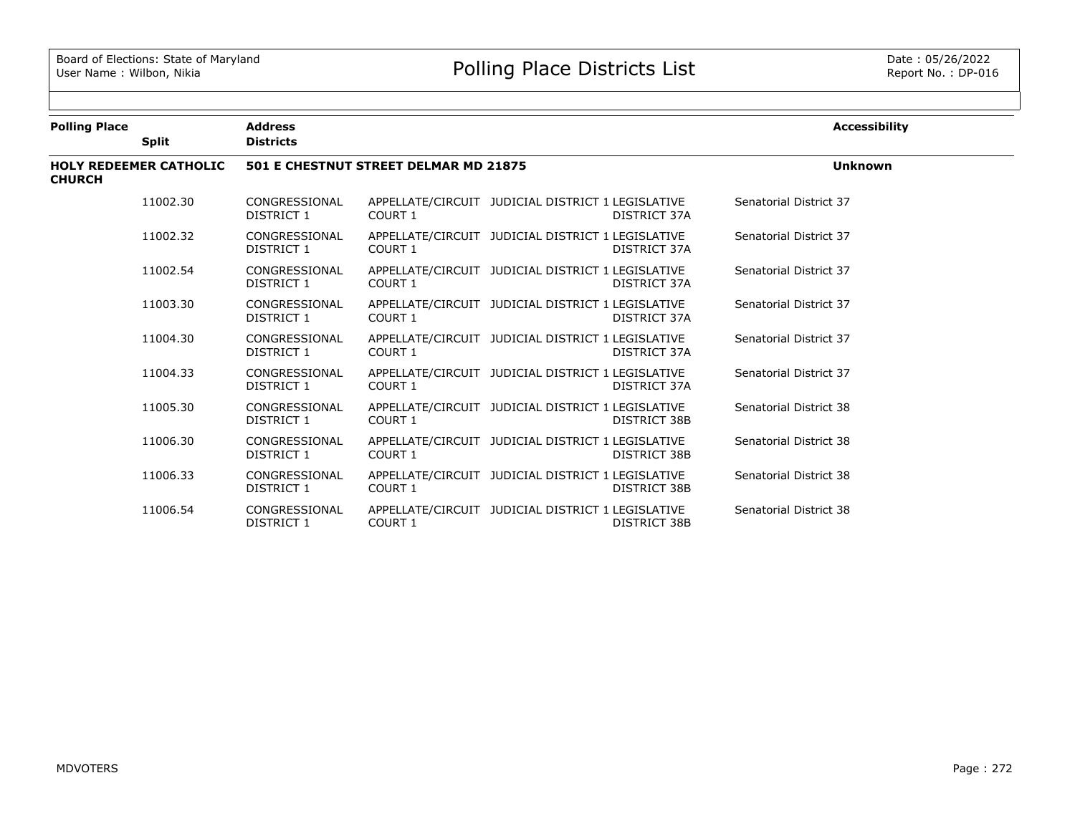| <b>Polling Place</b>                           |              | <b>Address</b>              |                                       |                                                                          | <b>Accessibility</b>   |
|------------------------------------------------|--------------|-----------------------------|---------------------------------------|--------------------------------------------------------------------------|------------------------|
|                                                | <b>Split</b> | <b>Districts</b>            |                                       |                                                                          |                        |
| <b>HOLY REDEEMER CATHOLIC</b><br><b>CHURCH</b> |              |                             | 501 E CHESTNUT STREET DELMAR MD 21875 | <b>Unknown</b>                                                           |                        |
|                                                | 11002.30     | CONGRESSIONAL<br>DISTRICT 1 | <b>COURT 1</b>                        | APPELLATE/CIRCUIT JUDICIAL DISTRICT 1 LEGISLATIVE<br>DISTRICT 37A        | Senatorial District 37 |
|                                                | 11002.32     | CONGRESSIONAL<br>DISTRICT 1 | COURT 1                               | APPELLATE/CIRCUIT JUDICIAL DISTRICT 1 LEGISLATIVE<br>DISTRICT 37A        | Senatorial District 37 |
|                                                | 11002.54     | CONGRESSIONAL<br>DISTRICT 1 | COURT 1                               | APPELLATE/CIRCUIT JUDICIAL DISTRICT 1 LEGISLATIVE<br>DISTRICT 37A        | Senatorial District 37 |
|                                                | 11003.30     | CONGRESSIONAL<br>DISTRICT 1 | <b>COURT 1</b>                        | APPELLATE/CIRCUIT JUDICIAL DISTRICT 1 LEGISLATIVE<br>DISTRICT 37A        | Senatorial District 37 |
|                                                | 11004.30     | CONGRESSIONAL<br>DISTRICT 1 | <b>COURT 1</b>                        | APPELLATE/CIRCUIT JUDICIAL DISTRICT 1 LEGISLATIVE<br>DISTRICT 37A        | Senatorial District 37 |
|                                                | 11004.33     | CONGRESSIONAL<br>DISTRICT 1 | <b>COURT 1</b>                        | APPELLATE/CIRCUIT JUDICIAL DISTRICT 1 LEGISLATIVE<br>DISTRICT 37A        | Senatorial District 37 |
|                                                | 11005.30     | CONGRESSIONAL<br>DISTRICT 1 | <b>COURT 1</b>                        | APPELLATE/CIRCUIT JUDICIAL DISTRICT 1 LEGISLATIVE<br>DISTRICT 38B        | Senatorial District 38 |
|                                                | 11006.30     | CONGRESSIONAL<br>DISTRICT 1 | COURT <sub>1</sub>                    | APPELLATE/CIRCUIT JUDICIAL DISTRICT 1 LEGISLATIVE<br><b>DISTRICT 38B</b> | Senatorial District 38 |
|                                                | 11006.33     | CONGRESSIONAL<br>DISTRICT 1 | COURT 1                               | APPELLATE/CIRCUIT JUDICIAL DISTRICT 1 LEGISLATIVE<br>DISTRICT 38B        | Senatorial District 38 |
|                                                | 11006.54     | CONGRESSIONAL<br>DISTRICT 1 | COURT <sub>1</sub>                    | APPELLATE/CIRCUIT JUDICIAL DISTRICT 1 LEGISLATIVE<br><b>DISTRICT 38B</b> | Senatorial District 38 |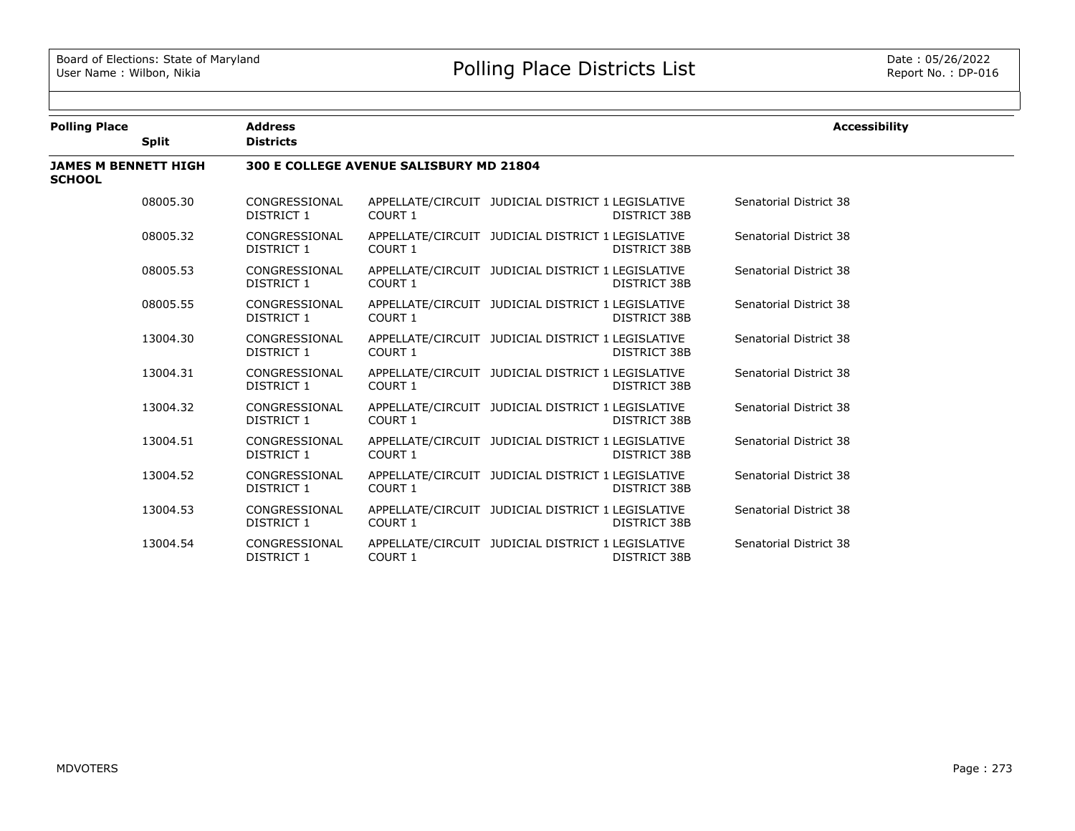| <b>Polling Place</b>                         |              | <b>Address</b>              |                                         |                                                                          | <b>Accessibility</b>   |  |
|----------------------------------------------|--------------|-----------------------------|-----------------------------------------|--------------------------------------------------------------------------|------------------------|--|
|                                              | <b>Split</b> | <b>Districts</b>            |                                         |                                                                          |                        |  |
| <b>JAMES M BENNETT HIGH</b><br><b>SCHOOL</b> |              |                             | 300 E COLLEGE AVENUE SALISBURY MD 21804 |                                                                          |                        |  |
|                                              | 08005.30     | CONGRESSIONAL<br>DISTRICT 1 | COURT 1                                 | APPELLATE/CIRCUIT JUDICIAL DISTRICT 1 LEGISLATIVE<br>DISTRICT 38B        | Senatorial District 38 |  |
|                                              | 08005.32     | CONGRESSIONAL<br>DISTRICT 1 | <b>COURT 1</b>                          | APPELLATE/CIRCUIT JUDICIAL DISTRICT 1 LEGISLATIVE<br>DISTRICT 38B        | Senatorial District 38 |  |
|                                              | 08005.53     | CONGRESSIONAL<br>DISTRICT 1 | <b>COURT 1</b>                          | APPELLATE/CIRCUIT JUDICIAL DISTRICT 1 LEGISLATIVE<br>DISTRICT 38B        | Senatorial District 38 |  |
|                                              | 08005.55     | CONGRESSIONAL<br>DISTRICT 1 | <b>COURT 1</b>                          | APPELLATE/CIRCUIT JUDICIAL DISTRICT 1 LEGISLATIVE<br><b>DISTRICT 38B</b> | Senatorial District 38 |  |
|                                              | 13004.30     | CONGRESSIONAL<br>DISTRICT 1 | COURT 1                                 | APPELLATE/CIRCUIT JUDICIAL DISTRICT 1 LEGISLATIVE<br>DISTRICT 38B        | Senatorial District 38 |  |
|                                              | 13004.31     | CONGRESSIONAL<br>DISTRICT 1 | COURT 1                                 | APPELLATE/CIRCUIT JUDICIAL DISTRICT 1 LEGISLATIVE<br>DISTRICT 38B        | Senatorial District 38 |  |
|                                              | 13004.32     | CONGRESSIONAL<br>DISTRICT 1 | COURT 1                                 | APPELLATE/CIRCUIT JUDICIAL DISTRICT 1 LEGISLATIVE<br><b>DISTRICT 38B</b> | Senatorial District 38 |  |
|                                              | 13004.51     | CONGRESSIONAL<br>DISTRICT 1 | COURT 1                                 | APPELLATE/CIRCUIT JUDICIAL DISTRICT 1 LEGISLATIVE<br>DISTRICT 38B        | Senatorial District 38 |  |
|                                              | 13004.52     | CONGRESSIONAL<br>DISTRICT 1 | <b>COURT 1</b>                          | APPELLATE/CIRCUIT JUDICIAL DISTRICT 1 LEGISLATIVE<br><b>DISTRICT 38B</b> | Senatorial District 38 |  |
|                                              | 13004.53     | CONGRESSIONAL<br>DISTRICT 1 | COURT 1                                 | APPELLATE/CIRCUIT JUDICIAL DISTRICT 1 LEGISLATIVE<br>DISTRICT 38B        | Senatorial District 38 |  |
|                                              | 13004.54     | CONGRESSIONAL<br>DISTRICT 1 | COURT 1                                 | APPELLATE/CIRCUIT JUDICIAL DISTRICT 1 LEGISLATIVE<br>DISTRICT 38B        | Senatorial District 38 |  |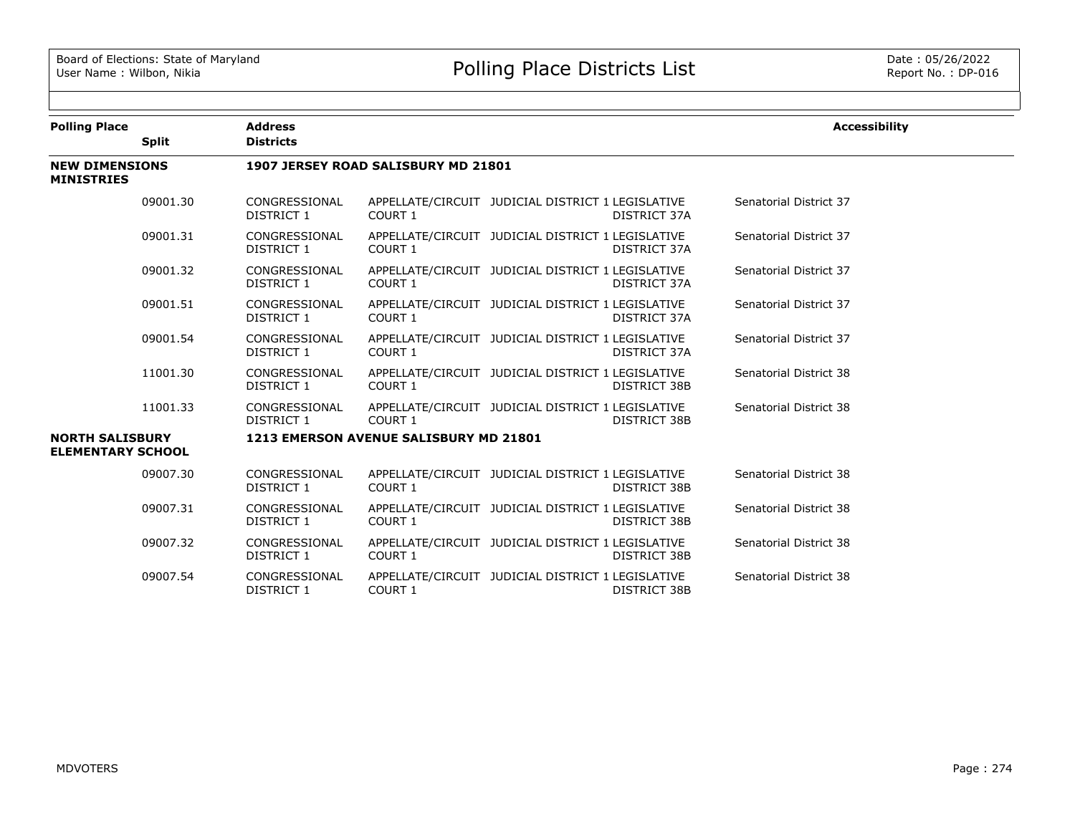| <b>Polling Place</b>                               |              | <b>Address</b>                     |                                        |                                                                          | <b>Accessibility</b>   |
|----------------------------------------------------|--------------|------------------------------------|----------------------------------------|--------------------------------------------------------------------------|------------------------|
|                                                    | <b>Split</b> | <b>Districts</b>                   |                                        |                                                                          |                        |
| <b>NEW DIMENSIONS</b><br><b>MINISTRIES</b>         |              |                                    | 1907 JERSEY ROAD SALISBURY MD 21801    |                                                                          |                        |
|                                                    | 09001.30     | CONGRESSIONAL<br>DISTRICT 1        | <b>COURT 1</b>                         | APPELLATE/CIRCUIT JUDICIAL DISTRICT 1 LEGISLATIVE<br>DISTRICT 37A        | Senatorial District 37 |
|                                                    | 09001.31     | CONGRESSIONAL<br>DISTRICT 1        | COURT 1                                | APPELLATE/CIRCUIT JUDICIAL DISTRICT 1 LEGISLATIVE<br>DISTRICT 37A        | Senatorial District 37 |
|                                                    | 09001.32     | CONGRESSIONAL<br>DISTRICT 1        | <b>COURT 1</b>                         | APPELLATE/CIRCUIT JUDICIAL DISTRICT 1 LEGISLATIVE<br>DISTRICT 37A        | Senatorial District 37 |
|                                                    | 09001.51     | CONGRESSIONAL<br>DISTRICT 1        | COURT 1                                | APPELLATE/CIRCUIT JUDICIAL DISTRICT 1 LEGISLATIVE<br>DISTRICT 37A        | Senatorial District 37 |
|                                                    | 09001.54     | CONGRESSIONAL<br>DISTRICT 1        | <b>COURT 1</b>                         | APPELLATE/CIRCUIT JUDICIAL DISTRICT 1 LEGISLATIVE<br>DISTRICT 37A        | Senatorial District 37 |
|                                                    | 11001.30     | CONGRESSIONAL<br>DISTRICT 1        | COURT 1                                | APPELLATE/CIRCUIT JUDICIAL DISTRICT 1 LEGISLATIVE<br><b>DISTRICT 38B</b> | Senatorial District 38 |
|                                                    | 11001.33     | CONGRESSIONAL<br>DISTRICT 1        | COURT 1                                | APPELLATE/CIRCUIT JUDICIAL DISTRICT 1 LEGISLATIVE<br>DISTRICT 38B        | Senatorial District 38 |
| <b>NORTH SALISBURY</b><br><b>ELEMENTARY SCHOOL</b> |              |                                    | 1213 EMERSON AVENUE SALISBURY MD 21801 |                                                                          |                        |
|                                                    | 09007.30     | CONGRESSIONAL<br><b>DISTRICT 1</b> | COURT 1                                | APPELLATE/CIRCUIT JUDICIAL DISTRICT 1 LEGISLATIVE<br><b>DISTRICT 38B</b> | Senatorial District 38 |
|                                                    | 09007.31     | CONGRESSIONAL<br>DISTRICT 1        | COURT 1                                | APPELLATE/CIRCUIT JUDICIAL DISTRICT 1 LEGISLATIVE<br><b>DISTRICT 38B</b> | Senatorial District 38 |
|                                                    | 09007.32     | CONGRESSIONAL<br>DISTRICT 1        | COURT 1                                | APPELLATE/CIRCUIT JUDICIAL DISTRICT 1 LEGISLATIVE<br><b>DISTRICT 38B</b> | Senatorial District 38 |
|                                                    | 09007.54     | CONGRESSIONAL<br>DISTRICT 1        | COURT 1                                | APPELLATE/CIRCUIT JUDICIAL DISTRICT 1 LEGISLATIVE<br>DISTRICT 38B        | Senatorial District 38 |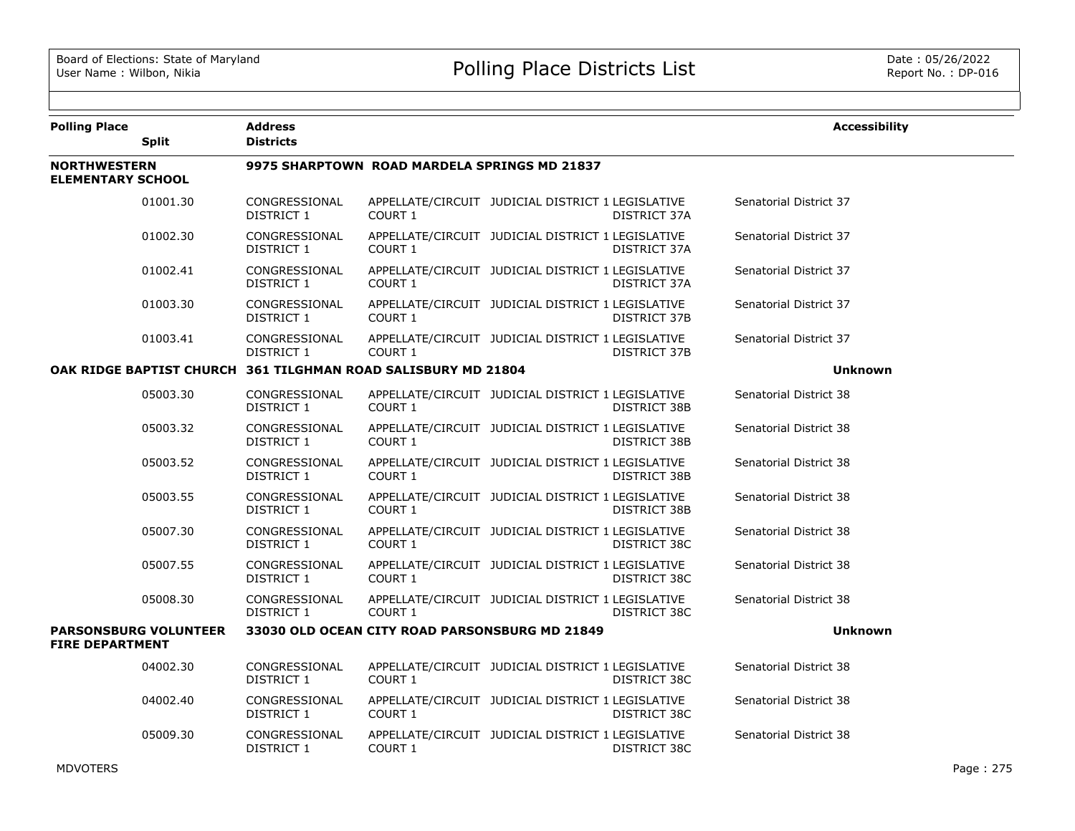| <b>Polling Place</b>                            |                              | <b>Address</b>                     |                                                               |                                                   |                     | <b>Accessibility</b>   |
|-------------------------------------------------|------------------------------|------------------------------------|---------------------------------------------------------------|---------------------------------------------------|---------------------|------------------------|
|                                                 | <b>Split</b>                 | <b>Districts</b>                   |                                                               |                                                   |                     |                        |
| <b>NORTHWESTERN</b><br><b>ELEMENTARY SCHOOL</b> |                              |                                    | 9975 SHARPTOWN ROAD MARDELA SPRINGS MD 21837                  |                                                   |                     |                        |
|                                                 | 01001.30                     | CONGRESSIONAL<br>DISTRICT 1        | COURT 1                                                       | APPELLATE/CIRCUIT JUDICIAL DISTRICT 1 LEGISLATIVE | DISTRICT 37A        | Senatorial District 37 |
|                                                 | 01002.30                     | CONGRESSIONAL<br>DISTRICT 1        | COURT 1                                                       | APPELLATE/CIRCUIT JUDICIAL DISTRICT 1 LEGISLATIVE | DISTRICT 37A        | Senatorial District 37 |
|                                                 | 01002.41                     | CONGRESSIONAL<br>DISTRICT 1        | COURT 1                                                       | APPELLATE/CIRCUIT JUDICIAL DISTRICT 1 LEGISLATIVE | DISTRICT 37A        | Senatorial District 37 |
|                                                 | 01003.30                     | CONGRESSIONAL<br>DISTRICT 1        | COURT 1                                                       | APPELLATE/CIRCUIT JUDICIAL DISTRICT 1 LEGISLATIVE | DISTRICT 37B        | Senatorial District 37 |
|                                                 | 01003.41                     | CONGRESSIONAL<br><b>DISTRICT 1</b> | COURT 1                                                       | APPELLATE/CIRCUIT JUDICIAL DISTRICT 1 LEGISLATIVE | DISTRICT 37B        | Senatorial District 37 |
|                                                 |                              |                                    | OAK RIDGE BAPTIST CHURCH 361 TILGHMAN ROAD SALISBURY MD 21804 |                                                   |                     | <b>Unknown</b>         |
|                                                 | 05003.30                     | CONGRESSIONAL<br>DISTRICT 1        | COURT 1                                                       | APPELLATE/CIRCUIT JUDICIAL DISTRICT 1 LEGISLATIVE | DISTRICT 38B        | Senatorial District 38 |
|                                                 | 05003.32                     | CONGRESSIONAL<br>DISTRICT 1        | <b>COURT 1</b>                                                | APPELLATE/CIRCUIT JUDICIAL DISTRICT 1 LEGISLATIVE | DISTRICT 38B        | Senatorial District 38 |
|                                                 | 05003.52                     | CONGRESSIONAL<br>DISTRICT 1        | COURT 1                                                       | APPELLATE/CIRCUIT JUDICIAL DISTRICT 1 LEGISLATIVE | <b>DISTRICT 38B</b> | Senatorial District 38 |
|                                                 | 05003.55                     | CONGRESSIONAL<br>DISTRICT 1        | <b>COURT 1</b>                                                | APPELLATE/CIRCUIT JUDICIAL DISTRICT 1 LEGISLATIVE | DISTRICT 38B        | Senatorial District 38 |
|                                                 | 05007.30                     | CONGRESSIONAL<br>DISTRICT 1        | COURT 1                                                       | APPELLATE/CIRCUIT JUDICIAL DISTRICT 1 LEGISLATIVE | DISTRICT 38C        | Senatorial District 38 |
|                                                 | 05007.55                     | CONGRESSIONAL<br>DISTRICT 1        | COURT 1                                                       | APPELLATE/CIRCUIT JUDICIAL DISTRICT 1 LEGISLATIVE | DISTRICT 38C        | Senatorial District 38 |
|                                                 | 05008.30                     | CONGRESSIONAL<br>DISTRICT 1        | COURT 1                                                       | APPELLATE/CIRCUIT JUDICIAL DISTRICT 1 LEGISLATIVE | DISTRICT 38C        | Senatorial District 38 |
| <b>FIRE DEPARTMENT</b>                          | <b>PARSONSBURG VOLUNTEER</b> |                                    | 33030 OLD OCEAN CITY ROAD PARSONSBURG MD 21849                |                                                   |                     | <b>Unknown</b>         |
|                                                 | 04002.30                     | CONGRESSIONAL<br>DISTRICT 1        | COURT 1                                                       | APPELLATE/CIRCUIT JUDICIAL DISTRICT 1 LEGISLATIVE | DISTRICT 38C        | Senatorial District 38 |
|                                                 | 04002.40                     | CONGRESSIONAL<br>DISTRICT 1        | COURT 1                                                       | APPELLATE/CIRCUIT JUDICIAL DISTRICT 1 LEGISLATIVE | DISTRICT 38C        | Senatorial District 38 |
|                                                 | 05009.30                     | CONGRESSIONAL<br>DISTRICT 1        | COURT 1                                                       | APPELLATE/CIRCUIT JUDICIAL DISTRICT 1 LEGISLATIVE | DISTRICT 38C        | Senatorial District 38 |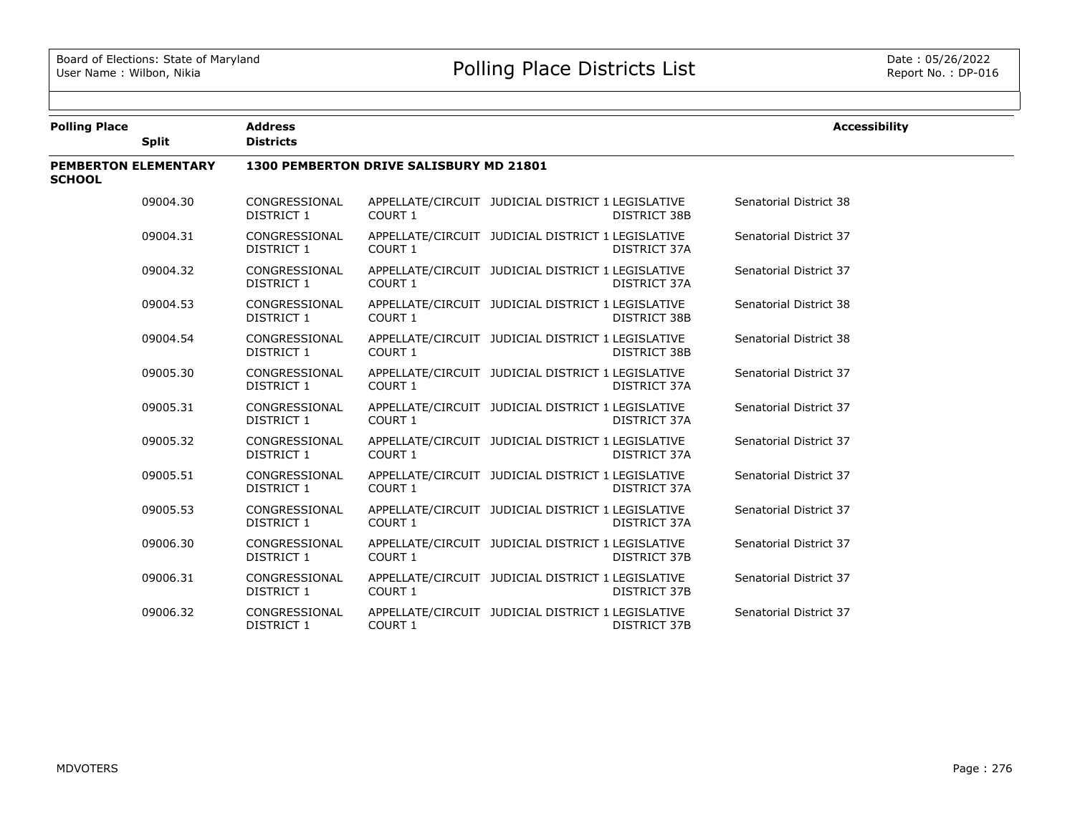| <b>Polling Place</b>                         | <b>Address</b>                     |                                                |                                                                          | <b>Accessibility</b>   |
|----------------------------------------------|------------------------------------|------------------------------------------------|--------------------------------------------------------------------------|------------------------|
| <b>Split</b>                                 | <b>Districts</b>                   |                                                |                                                                          |                        |
| <b>PEMBERTON ELEMENTARY</b><br><b>SCHOOL</b> |                                    | <b>1300 PEMBERTON DRIVE SALISBURY MD 21801</b> |                                                                          |                        |
| 09004.30                                     | CONGRESSIONAL<br><b>DISTRICT 1</b> | COURT 1                                        | APPELLATE/CIRCUIT JUDICIAL DISTRICT 1 LEGISLATIVE<br><b>DISTRICT 38B</b> | Senatorial District 38 |
| 09004.31                                     | CONGRESSIONAL<br>DISTRICT 1        | COURT 1                                        | APPELLATE/CIRCUIT JUDICIAL DISTRICT 1 LEGISLATIVE<br>DISTRICT 37A        | Senatorial District 37 |
| 09004.32                                     | CONGRESSIONAL<br>DISTRICT 1        | COURT 1                                        | APPELLATE/CIRCUIT JUDICIAL DISTRICT 1 LEGISLATIVE<br>DISTRICT 37A        | Senatorial District 37 |
| 09004.53                                     | CONGRESSIONAL<br><b>DISTRICT 1</b> | COURT 1                                        | APPELLATE/CIRCUIT JUDICIAL DISTRICT 1 LEGISLATIVE<br><b>DISTRICT 38B</b> | Senatorial District 38 |
| 09004.54                                     | CONGRESSIONAL<br>DISTRICT 1        | COURT 1                                        | APPELLATE/CIRCUIT JUDICIAL DISTRICT 1 LEGISLATIVE<br><b>DISTRICT 38B</b> | Senatorial District 38 |
| 09005.30                                     | CONGRESSIONAL<br><b>DISTRICT 1</b> | COURT 1                                        | APPELLATE/CIRCUIT JUDICIAL DISTRICT 1 LEGISLATIVE<br>DISTRICT 37A        | Senatorial District 37 |
| 09005.31                                     | CONGRESSIONAL<br>DISTRICT 1        | COURT 1                                        | APPELLATE/CIRCUIT JUDICIAL DISTRICT 1 LEGISLATIVE<br>DISTRICT 37A        | Senatorial District 37 |
| 09005.32                                     | CONGRESSIONAL<br>DISTRICT 1        | <b>COURT 1</b>                                 | APPELLATE/CIRCUIT JUDICIAL DISTRICT 1 LEGISLATIVE<br>DISTRICT 37A        | Senatorial District 37 |
| 09005.51                                     | CONGRESSIONAL<br><b>DISTRICT 1</b> | COURT 1                                        | APPELLATE/CIRCUIT JUDICIAL DISTRICT 1 LEGISLATIVE<br>DISTRICT 37A        | Senatorial District 37 |
| 09005.53                                     | CONGRESSIONAL<br>DISTRICT 1        | COURT 1                                        | APPELLATE/CIRCUIT JUDICIAL DISTRICT 1 LEGISLATIVE<br>DISTRICT 37A        | Senatorial District 37 |
| 09006.30                                     | CONGRESSIONAL<br>DISTRICT 1        | COURT 1                                        | APPELLATE/CIRCUIT JUDICIAL DISTRICT 1 LEGISLATIVE<br>DISTRICT 37B        | Senatorial District 37 |
| 09006.31                                     | CONGRESSIONAL<br>DISTRICT 1        | COURT 1                                        | APPELLATE/CIRCUIT JUDICIAL DISTRICT 1 LEGISLATIVE<br>DISTRICT 37B        | Senatorial District 37 |
| 09006.32                                     | CONGRESSIONAL<br>DISTRICT 1        | COURT 1                                        | APPELLATE/CIRCUIT JUDICIAL DISTRICT 1 LEGISLATIVE<br>DISTRICT 37B        | Senatorial District 37 |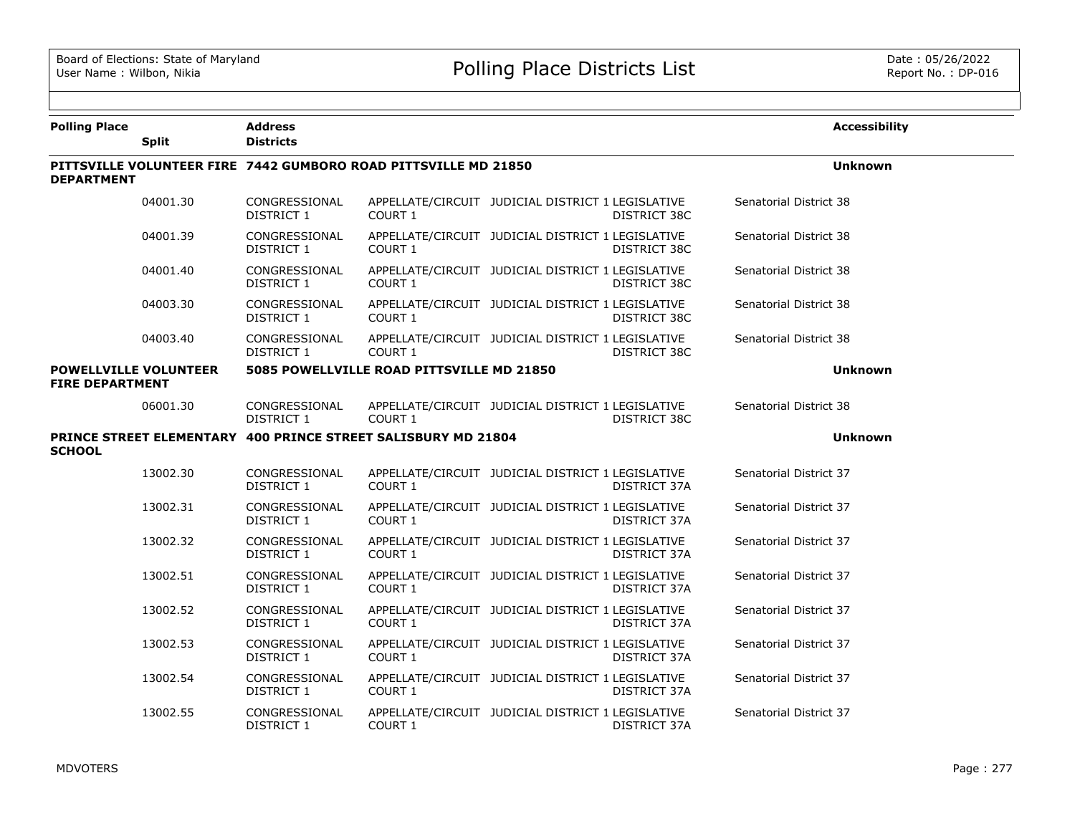$\overline{\phantom{a}}$ 

| <b>Polling Place</b>                                   | <b>Split</b> | <b>Address</b><br><b>Districts</b> |                                                                 |                                                                   |                        | <b>Accessibility</b> |
|--------------------------------------------------------|--------------|------------------------------------|-----------------------------------------------------------------|-------------------------------------------------------------------|------------------------|----------------------|
| <b>DEPARTMENT</b>                                      |              |                                    | PITTSVILLE VOLUNTEER FIRE 7442 GUMBORO ROAD PITTSVILLE MD 21850 |                                                                   |                        | <b>Unknown</b>       |
|                                                        | 04001.30     | CONGRESSIONAL<br>DISTRICT 1        | <b>COURT 1</b>                                                  | APPELLATE/CIRCUIT JUDICIAL DISTRICT 1 LEGISLATIVE<br>DISTRICT 38C | Senatorial District 38 |                      |
|                                                        | 04001.39     | CONGRESSIONAL<br>DISTRICT 1        | COURT 1                                                         | APPELLATE/CIRCUIT JUDICIAL DISTRICT 1 LEGISLATIVE<br>DISTRICT 38C | Senatorial District 38 |                      |
|                                                        | 04001.40     | CONGRESSIONAL<br><b>DISTRICT 1</b> | COURT 1                                                         | APPELLATE/CIRCUIT JUDICIAL DISTRICT 1 LEGISLATIVE<br>DISTRICT 38C | Senatorial District 38 |                      |
|                                                        | 04003.30     | CONGRESSIONAL<br>DISTRICT 1        | COURT 1                                                         | APPELLATE/CIRCUIT JUDICIAL DISTRICT 1 LEGISLATIVE<br>DISTRICT 38C | Senatorial District 38 |                      |
|                                                        | 04003.40     | CONGRESSIONAL<br>DISTRICT 1        | COURT 1                                                         | APPELLATE/CIRCUIT JUDICIAL DISTRICT 1 LEGISLATIVE<br>DISTRICT 38C | Senatorial District 38 |                      |
| <b>POWELLVILLE VOLUNTEER</b><br><b>FIRE DEPARTMENT</b> |              |                                    | 5085 POWELLVILLE ROAD PITTSVILLE MD 21850                       |                                                                   |                        | <b>Unknown</b>       |
|                                                        | 06001.30     | CONGRESSIONAL<br>DISTRICT 1        | COURT <sub>1</sub>                                              | APPELLATE/CIRCUIT JUDICIAL DISTRICT 1 LEGISLATIVE<br>DISTRICT 38C | Senatorial District 38 |                      |
| <b>SCHOOL</b>                                          |              |                                    | PRINCE STREET ELEMENTARY 400 PRINCE STREET SALISBURY MD 21804   |                                                                   |                        | <b>Unknown</b>       |
|                                                        | 13002.30     | CONGRESSIONAL<br>DISTRICT 1        | COURT 1                                                         | APPELLATE/CIRCUIT JUDICIAL DISTRICT 1 LEGISLATIVE<br>DISTRICT 37A | Senatorial District 37 |                      |
|                                                        | 13002.31     | CONGRESSIONAL<br>DISTRICT 1        | <b>COURT 1</b>                                                  | APPELLATE/CIRCUIT JUDICIAL DISTRICT 1 LEGISLATIVE<br>DISTRICT 37A | Senatorial District 37 |                      |
|                                                        | 13002.32     | CONGRESSIONAL<br>DISTRICT 1        | <b>COURT 1</b>                                                  | APPELLATE/CIRCUIT JUDICIAL DISTRICT 1 LEGISLATIVE<br>DISTRICT 37A | Senatorial District 37 |                      |
|                                                        | 13002.51     | CONGRESSIONAL<br>DISTRICT 1        | COURT 1                                                         | APPELLATE/CIRCUIT JUDICIAL DISTRICT 1 LEGISLATIVE<br>DISTRICT 37A | Senatorial District 37 |                      |
|                                                        | 13002.52     | CONGRESSIONAL<br>DISTRICT 1        | COURT 1                                                         | APPELLATE/CIRCUIT JUDICIAL DISTRICT 1 LEGISLATIVE<br>DISTRICT 37A | Senatorial District 37 |                      |
|                                                        | 13002.53     | CONGRESSIONAL<br>DISTRICT 1        | COURT 1                                                         | APPELLATE/CIRCUIT JUDICIAL DISTRICT 1 LEGISLATIVE<br>DISTRICT 37A | Senatorial District 37 |                      |
|                                                        | 13002.54     | CONGRESSIONAL<br>DISTRICT 1        | <b>COURT 1</b>                                                  | APPELLATE/CIRCUIT JUDICIAL DISTRICT 1 LEGISLATIVE<br>DISTRICT 37A | Senatorial District 37 |                      |
|                                                        | 13002.55     | CONGRESSIONAL<br>DISTRICT 1        | COURT 1                                                         | APPELLATE/CIRCUIT JUDICIAL DISTRICT 1 LEGISLATIVE<br>DISTRICT 37A | Senatorial District 37 |                      |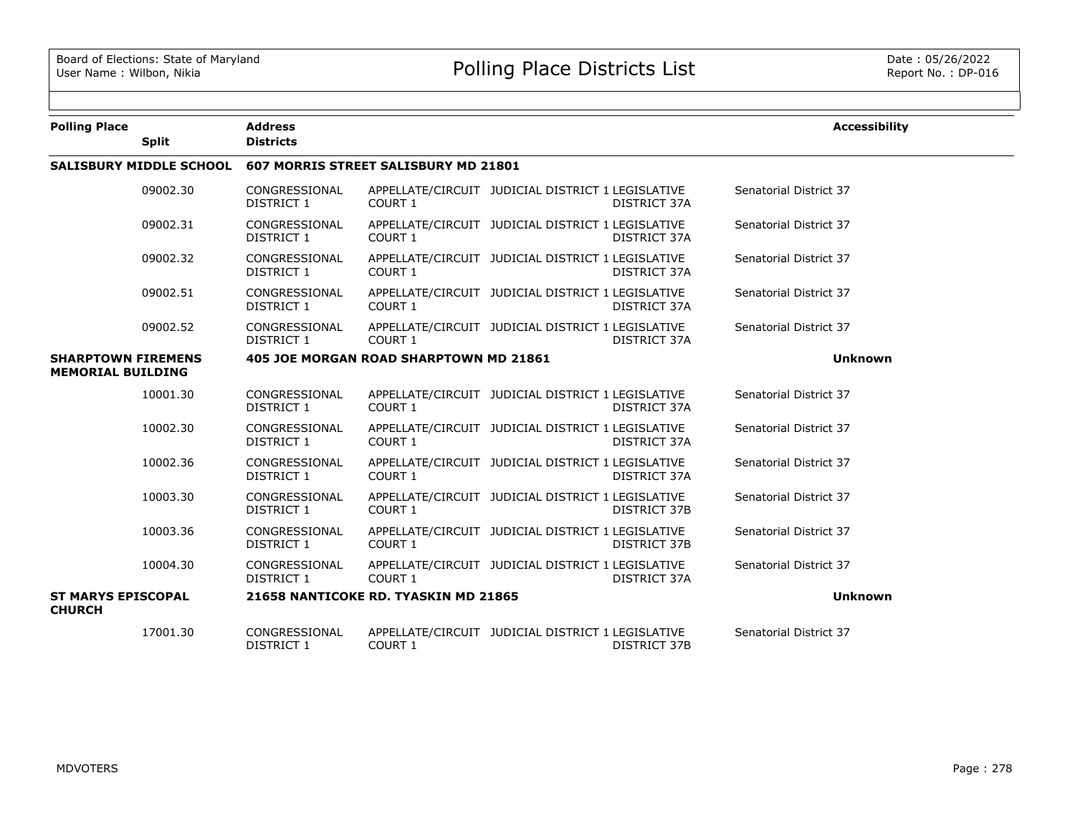| <b>Polling Place</b>                                  |                                | <b>Address</b>                     |                                               |                                                                          | <b>Accessibility</b>   |
|-------------------------------------------------------|--------------------------------|------------------------------------|-----------------------------------------------|--------------------------------------------------------------------------|------------------------|
|                                                       | <b>Split</b>                   | <b>Districts</b>                   |                                               |                                                                          |                        |
|                                                       | <b>SALISBURY MIDDLE SCHOOL</b> |                                    | 607 MORRIS STREET SALISBURY MD 21801          |                                                                          |                        |
|                                                       | 09002.30                       | CONGRESSIONAL<br><b>DISTRICT 1</b> | COURT 1                                       | APPELLATE/CIRCUIT JUDICIAL DISTRICT 1 LEGISLATIVE<br>DISTRICT 37A        | Senatorial District 37 |
|                                                       | 09002.31                       | CONGRESSIONAL<br>DISTRICT 1        | <b>COURT 1</b>                                | APPELLATE/CIRCUIT JUDICIAL DISTRICT 1 LEGISLATIVE<br>DISTRICT 37A        | Senatorial District 37 |
|                                                       | 09002.32                       | CONGRESSIONAL<br><b>DISTRICT 1</b> | COURT 1                                       | APPELLATE/CIRCUIT JUDICIAL DISTRICT 1 LEGISLATIVE<br>DISTRICT 37A        | Senatorial District 37 |
|                                                       | 09002.51                       | CONGRESSIONAL<br>DISTRICT 1        | COURT <sub>1</sub>                            | APPELLATE/CIRCUIT JUDICIAL DISTRICT 1 LEGISLATIVE<br>DISTRICT 37A        | Senatorial District 37 |
|                                                       | 09002.52                       | CONGRESSIONAL<br>DISTRICT 1        | COURT 1                                       | APPELLATE/CIRCUIT JUDICIAL DISTRICT 1 LEGISLATIVE<br>DISTRICT 37A        | Senatorial District 37 |
| <b>SHARPTOWN FIREMENS</b><br><b>MEMORIAL BUILDING</b> |                                |                                    | <b>405 JOE MORGAN ROAD SHARPTOWN MD 21861</b> |                                                                          | <b>Unknown</b>         |
|                                                       | 10001.30                       | CONGRESSIONAL<br>DISTRICT 1        | COURT <sub>1</sub>                            | APPELLATE/CIRCUIT JUDICIAL DISTRICT 1 LEGISLATIVE<br>DISTRICT 37A        | Senatorial District 37 |
|                                                       | 10002.30                       | CONGRESSIONAL<br>DISTRICT 1        | COURT 1                                       | APPELLATE/CIRCUIT JUDICIAL DISTRICT 1 LEGISLATIVE<br>DISTRICT 37A        | Senatorial District 37 |
|                                                       | 10002.36                       | CONGRESSIONAL<br><b>DISTRICT 1</b> | COURT 1                                       | APPELLATE/CIRCUIT JUDICIAL DISTRICT 1 LEGISLATIVE<br>DISTRICT 37A        | Senatorial District 37 |
|                                                       | 10003.30                       | CONGRESSIONAL<br>DISTRICT 1        | COURT 1                                       | APPELLATE/CIRCUIT JUDICIAL DISTRICT 1 LEGISLATIVE<br>DISTRICT 37B        | Senatorial District 37 |
|                                                       | 10003.36                       | CONGRESSIONAL<br>DISTRICT 1        | COURT 1                                       | APPELLATE/CIRCUIT JUDICIAL DISTRICT 1 LEGISLATIVE<br><b>DISTRICT 37B</b> | Senatorial District 37 |
|                                                       | 10004.30                       | CONGRESSIONAL<br><b>DISTRICT 1</b> | COURT 1                                       | APPELLATE/CIRCUIT JUDICIAL DISTRICT 1 LEGISLATIVE<br>DISTRICT 37A        | Senatorial District 37 |
| <b>ST MARYS EPISCOPAL</b><br><b>CHURCH</b>            |                                |                                    | 21658 NANTICOKE RD. TYASKIN MD 21865          |                                                                          | <b>Unknown</b>         |
|                                                       | 17001.30                       | CONGRESSIONAL<br>DISTRICT 1        | COURT <sub>1</sub>                            | APPELLATE/CIRCUIT JUDICIAL DISTRICT 1 LEGISLATIVE<br>DISTRICT 37B        | Senatorial District 37 |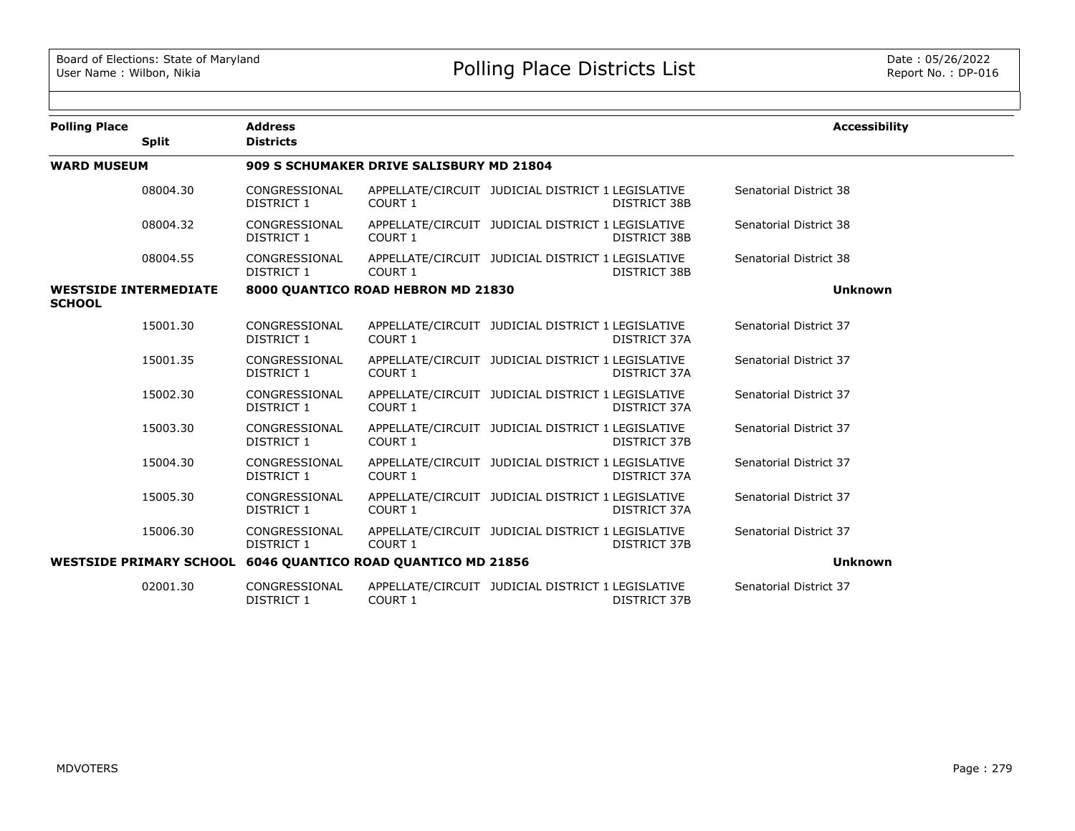| <b>Polling Place</b>                          | <b>Split</b> | <b>Address</b><br><b>Districts</b> |                                                              |                                                   |                     | <b>Accessibility</b>   |
|-----------------------------------------------|--------------|------------------------------------|--------------------------------------------------------------|---------------------------------------------------|---------------------|------------------------|
| <b>WARD MUSEUM</b>                            |              |                                    | 909 S SCHUMAKER DRIVE SALISBURY MD 21804                     |                                                   |                     |                        |
|                                               | 08004.30     | CONGRESSIONAL<br>DISTRICT 1        | COURT 1                                                      | APPELLATE/CIRCUIT JUDICIAL DISTRICT 1 LEGISLATIVE | DISTRICT 38B        | Senatorial District 38 |
|                                               | 08004.32     | CONGRESSIONAL<br>DISTRICT 1        | COURT 1                                                      | APPELLATE/CIRCUIT JUDICIAL DISTRICT 1 LEGISLATIVE | <b>DISTRICT 38B</b> | Senatorial District 38 |
|                                               | 08004.55     | CONGRESSIONAL<br>DISTRICT 1        | <b>COURT 1</b>                                               | APPELLATE/CIRCUIT JUDICIAL DISTRICT 1 LEGISLATIVE | DISTRICT 38B        | Senatorial District 38 |
| <b>WESTSIDE INTERMEDIATE</b><br><b>SCHOOL</b> |              |                                    | 8000 QUANTICO ROAD HEBRON MD 21830                           |                                                   |                     | <b>Unknown</b>         |
|                                               | 15001.30     | CONGRESSIONAL<br>DISTRICT 1        | COURT 1                                                      | APPELLATE/CIRCUIT JUDICIAL DISTRICT 1 LEGISLATIVE | DISTRICT 37A        | Senatorial District 37 |
|                                               | 15001.35     | CONGRESSIONAL<br>DISTRICT 1        | COURT 1                                                      | APPELLATE/CIRCUIT JUDICIAL DISTRICT 1 LEGISLATIVE | DISTRICT 37A        | Senatorial District 37 |
|                                               | 15002.30     | CONGRESSIONAL<br>DISTRICT 1        | COURT 1                                                      | APPELLATE/CIRCUIT JUDICIAL DISTRICT 1 LEGISLATIVE | DISTRICT 37A        | Senatorial District 37 |
|                                               | 15003.30     | CONGRESSIONAL<br><b>DISTRICT 1</b> | <b>COURT 1</b>                                               | APPELLATE/CIRCUIT JUDICIAL DISTRICT 1 LEGISLATIVE | <b>DISTRICT 37B</b> | Senatorial District 37 |
|                                               | 15004.30     | CONGRESSIONAL<br>DISTRICT 1        | COURT 1                                                      | APPELLATE/CIRCUIT JUDICIAL DISTRICT 1 LEGISLATIVE | DISTRICT 37A        | Senatorial District 37 |
|                                               | 15005.30     | CONGRESSIONAL<br>DISTRICT 1        | COURT 1                                                      | APPELLATE/CIRCUIT JUDICIAL DISTRICT 1 LEGISLATIVE | DISTRICT 37A        | Senatorial District 37 |
|                                               | 15006.30     | CONGRESSIONAL<br>DISTRICT 1        | COURT 1                                                      | APPELLATE/CIRCUIT JUDICIAL DISTRICT 1 LEGISLATIVE | DISTRICT 37B        | Senatorial District 37 |
|                                               |              |                                    | WESTSIDE PRIMARY SCHOOL 6046 QUANTICO ROAD QUANTICO MD 21856 |                                                   |                     | <b>Unknown</b>         |
|                                               | 02001.30     | CONGRESSIONAL<br><b>DISTRICT 1</b> | COURT 1                                                      | APPELLATE/CIRCUIT JUDICIAL DISTRICT 1 LEGISLATIVE | DISTRICT 37B        | Senatorial District 37 |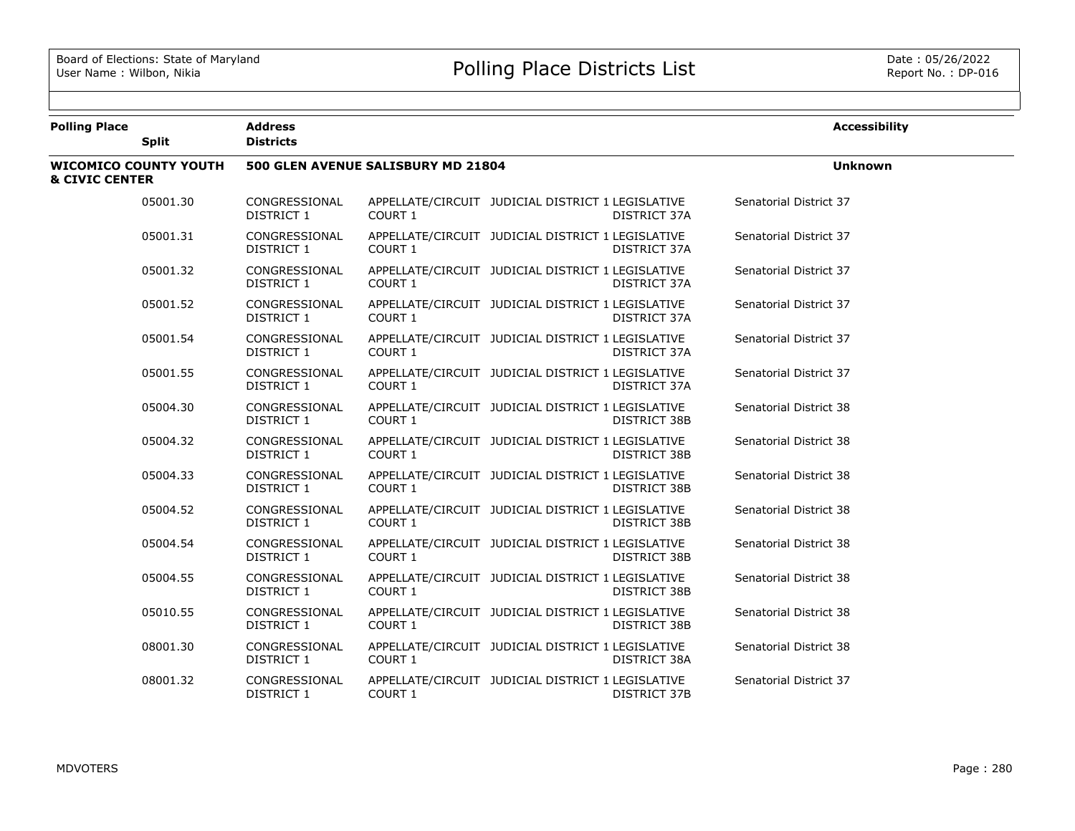| <b>Polling Place</b>      |                              | <b>Address</b>                     |                                    |                                                                          | <b>Accessibility</b>          |
|---------------------------|------------------------------|------------------------------------|------------------------------------|--------------------------------------------------------------------------|-------------------------------|
|                           | <b>Split</b>                 | <b>Districts</b>                   |                                    |                                                                          |                               |
| <b>&amp; CIVIC CENTER</b> | <b>WICOMICO COUNTY YOUTH</b> |                                    | 500 GLEN AVENUE SALISBURY MD 21804 |                                                                          | <b>Unknown</b>                |
|                           | 05001.30                     | CONGRESSIONAL<br>DISTRICT 1        | COURT 1                            | APPELLATE/CIRCUIT JUDICIAL DISTRICT 1 LEGISLATIVE<br>DISTRICT 37A        | Senatorial District 37        |
|                           | 05001.31                     | CONGRESSIONAL<br>DISTRICT 1        | COURT 1                            | APPELLATE/CIRCUIT JUDICIAL DISTRICT 1 LEGISLATIVE<br>DISTRICT 37A        | Senatorial District 37        |
|                           | 05001.32                     | CONGRESSIONAL<br>DISTRICT 1        | COURT 1                            | APPELLATE/CIRCUIT JUDICIAL DISTRICT 1 LEGISLATIVE<br>DISTRICT 37A        | Senatorial District 37        |
|                           | 05001.52                     | CONGRESSIONAL<br>DISTRICT 1        | COURT 1                            | APPELLATE/CIRCUIT JUDICIAL DISTRICT 1 LEGISLATIVE<br>DISTRICT 37A        | Senatorial District 37        |
|                           | 05001.54                     | CONGRESSIONAL<br>DISTRICT 1        | COURT 1                            | APPELLATE/CIRCUIT JUDICIAL DISTRICT 1 LEGISLATIVE<br>DISTRICT 37A        | Senatorial District 37        |
|                           | 05001.55                     | CONGRESSIONAL<br>DISTRICT 1        | COURT 1                            | APPELLATE/CIRCUIT JUDICIAL DISTRICT 1 LEGISLATIVE<br>DISTRICT 37A        | Senatorial District 37        |
|                           | 05004.30                     | CONGRESSIONAL<br><b>DISTRICT 1</b> | COURT 1                            | APPELLATE/CIRCUIT JUDICIAL DISTRICT 1 LEGISLATIVE<br><b>DISTRICT 38B</b> | Senatorial District 38        |
|                           | 05004.32                     | CONGRESSIONAL<br>DISTRICT 1        | COURT 1                            | APPELLATE/CIRCUIT JUDICIAL DISTRICT 1 LEGISLATIVE<br>DISTRICT 38B        | Senatorial District 38        |
|                           | 05004.33                     | CONGRESSIONAL<br>DISTRICT 1        | COURT 1                            | APPELLATE/CIRCUIT JUDICIAL DISTRICT 1 LEGISLATIVE<br>DISTRICT 38B        | Senatorial District 38        |
|                           | 05004.52                     | CONGRESSIONAL<br>DISTRICT 1        | COURT 1                            | APPELLATE/CIRCUIT JUDICIAL DISTRICT 1 LEGISLATIVE<br><b>DISTRICT 38B</b> | Senatorial District 38        |
|                           | 05004.54                     | CONGRESSIONAL<br><b>DISTRICT 1</b> | COURT 1                            | APPELLATE/CIRCUIT JUDICIAL DISTRICT 1 LEGISLATIVE<br><b>DISTRICT 38B</b> | <b>Senatorial District 38</b> |
|                           | 05004.55                     | CONGRESSIONAL<br>DISTRICT 1        | COURT 1                            | APPELLATE/CIRCUIT JUDICIAL DISTRICT 1 LEGISLATIVE<br>DISTRICT 38B        | Senatorial District 38        |
|                           | 05010.55                     | CONGRESSIONAL<br>DISTRICT 1        | COURT 1                            | APPELLATE/CIRCUIT JUDICIAL DISTRICT 1 LEGISLATIVE<br>DISTRICT 38B        | Senatorial District 38        |
|                           | 08001.30                     | CONGRESSIONAL<br>DISTRICT 1        | COURT 1                            | APPELLATE/CIRCUIT JUDICIAL DISTRICT 1 LEGISLATIVE<br><b>DISTRICT 38A</b> | Senatorial District 38        |
|                           | 08001.32                     | CONGRESSIONAL<br>DISTRICT 1        | COURT 1                            | APPELLATE/CIRCUIT JUDICIAL DISTRICT 1 LEGISLATIVE<br>DISTRICT 37B        | Senatorial District 37        |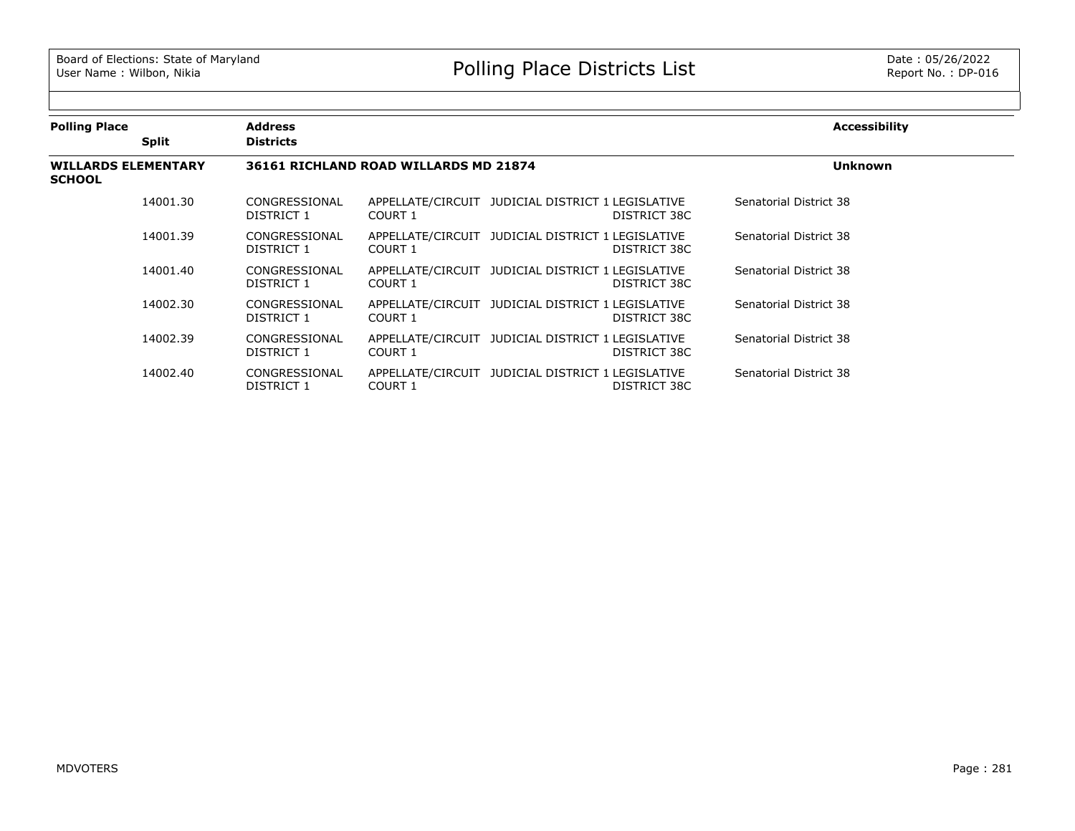$\sim$ 

| <b>Polling Place</b>                        |              | <b>Address</b>              |                                       |                                                                   | <b>Accessibility</b>   |  |
|---------------------------------------------|--------------|-----------------------------|---------------------------------------|-------------------------------------------------------------------|------------------------|--|
|                                             | <b>Split</b> | <b>Districts</b>            |                                       |                                                                   |                        |  |
| <b>WILLARDS ELEMENTARY</b><br><b>SCHOOL</b> |              |                             | 36161 RICHLAND ROAD WILLARDS MD 21874 |                                                                   | <b>Unknown</b>         |  |
|                                             | 14001.30     | CONGRESSIONAL<br>DISTRICT 1 | COURT 1                               | APPELLATE/CIRCUIT JUDICIAL DISTRICT 1 LEGISLATIVE<br>DISTRICT 38C | Senatorial District 38 |  |
|                                             | 14001.39     | CONGRESSIONAL<br>DISTRICT 1 | COURT 1                               | APPELLATE/CIRCUIT JUDICIAL DISTRICT 1 LEGISLATIVE<br>DISTRICT 38C | Senatorial District 38 |  |
|                                             | 14001.40     | CONGRESSIONAL<br>DISTRICT 1 | COURT 1                               | APPELLATE/CIRCUIT JUDICIAL DISTRICT 1 LEGISLATIVE<br>DISTRICT 38C | Senatorial District 38 |  |
|                                             | 14002.30     | CONGRESSIONAL<br>DISTRICT 1 | COURT 1                               | APPELLATE/CIRCUIT JUDICIAL DISTRICT 1 LEGISLATIVE<br>DISTRICT 38C | Senatorial District 38 |  |
|                                             | 14002.39     | CONGRESSIONAL<br>DISTRICT 1 | COURT 1                               | APPELLATE/CIRCUIT JUDICIAL DISTRICT 1 LEGISLATIVE<br>DISTRICT 38C | Senatorial District 38 |  |
|                                             | 14002.40     | CONGRESSIONAL<br>DISTRICT 1 | COURT 1                               | APPELLATE/CIRCUIT JUDICIAL DISTRICT 1 LEGISLATIVE<br>DISTRICT 38C | Senatorial District 38 |  |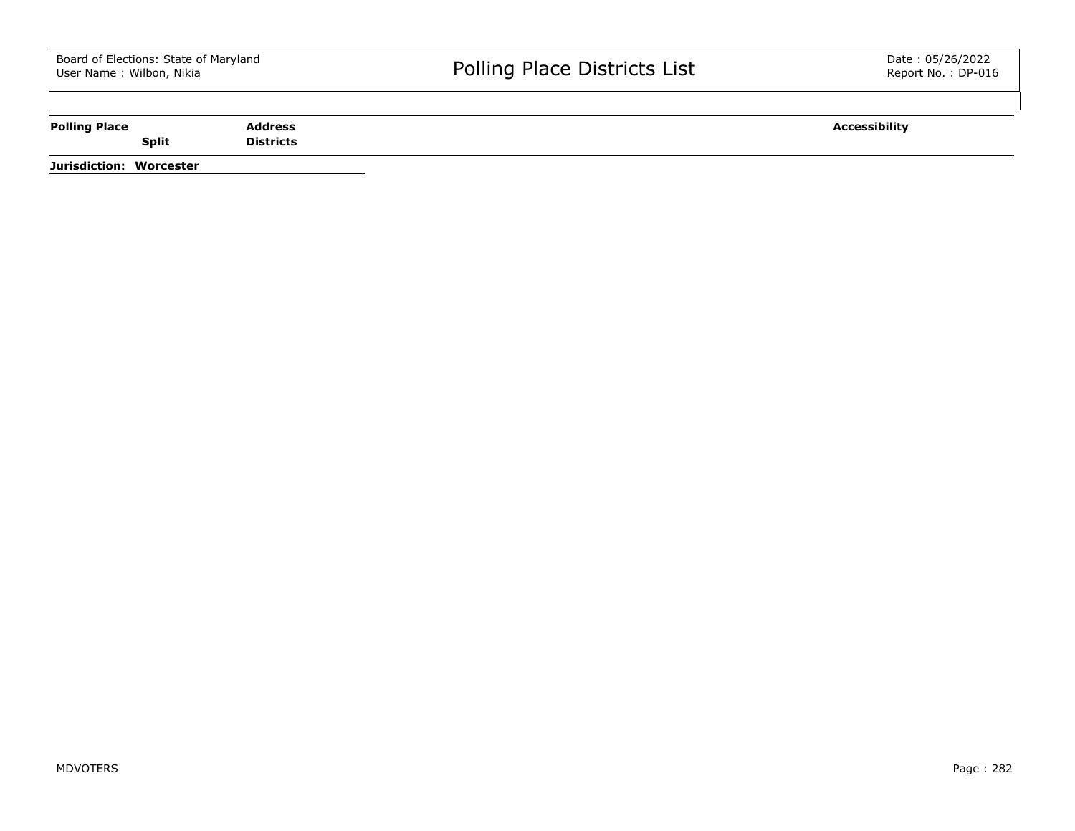| <b>Polling Place</b>    |              | <b>Address</b>   | <b>Accessibility</b> |
|-------------------------|--------------|------------------|----------------------|
|                         | <b>Split</b> | <b>Districts</b> |                      |
| Jurisdiction: Worcester |              |                  |                      |

MDVOTERS Page : 282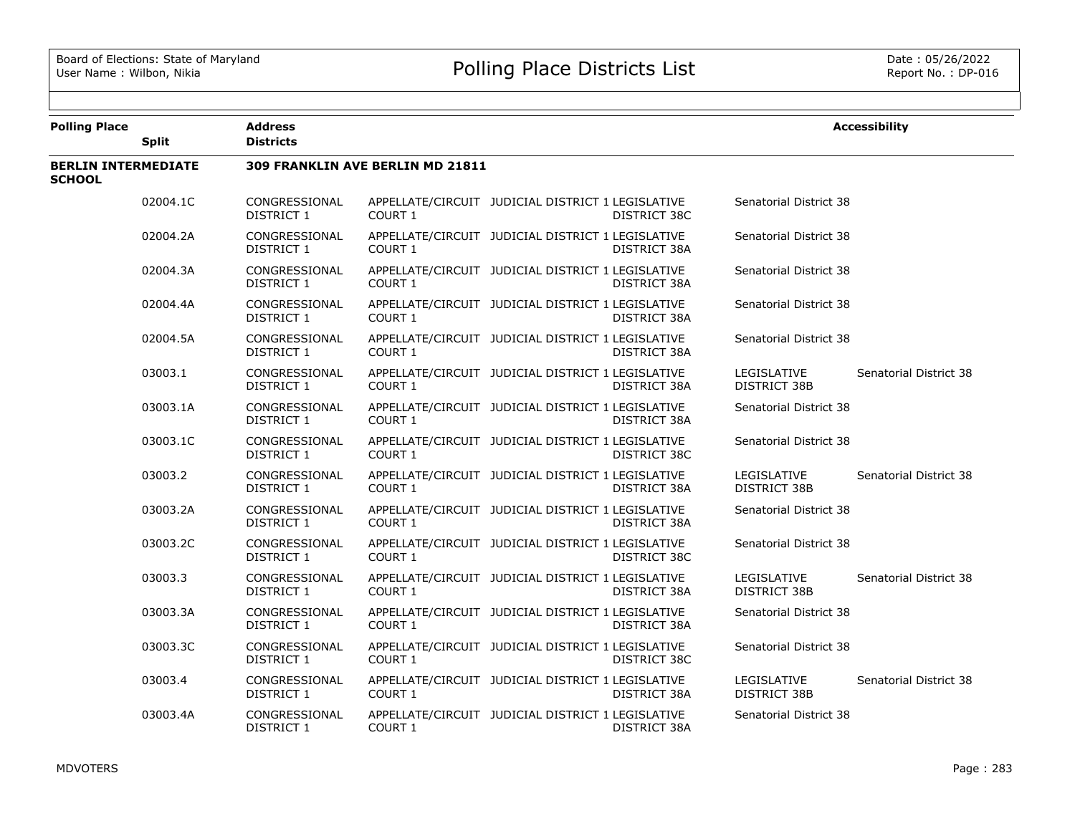| <b>Polling Place</b>                        | <b>Split</b> | <b>Address</b><br><b>Districts</b> |                                  |                                                   |              |                                    | <b>Accessibility</b>   |
|---------------------------------------------|--------------|------------------------------------|----------------------------------|---------------------------------------------------|--------------|------------------------------------|------------------------|
| <b>BERLIN INTERMEDIATE</b><br><b>SCHOOL</b> |              |                                    | 309 FRANKLIN AVE BERLIN MD 21811 |                                                   |              |                                    |                        |
|                                             | 02004.1C     | CONGRESSIONAL<br>DISTRICT 1        | COURT 1                          | APPELLATE/CIRCUIT JUDICIAL DISTRICT 1 LEGISLATIVE | DISTRICT 38C | Senatorial District 38             |                        |
|                                             | 02004.2A     | CONGRESSIONAL<br>DISTRICT 1        | COURT 1                          | APPELLATE/CIRCUIT JUDICIAL DISTRICT 1 LEGISLATIVE | DISTRICT 38A | Senatorial District 38             |                        |
|                                             | 02004.3A     | CONGRESSIONAL<br>DISTRICT 1        | <b>COURT 1</b>                   | APPELLATE/CIRCUIT JUDICIAL DISTRICT 1 LEGISLATIVE | DISTRICT 38A | Senatorial District 38             |                        |
|                                             | 02004.4A     | CONGRESSIONAL<br>DISTRICT 1        | <b>COURT 1</b>                   | APPELLATE/CIRCUIT JUDICIAL DISTRICT 1 LEGISLATIVE | DISTRICT 38A | Senatorial District 38             |                        |
|                                             | 02004.5A     | CONGRESSIONAL<br>DISTRICT 1        | COURT 1                          | APPELLATE/CIRCUIT JUDICIAL DISTRICT 1 LEGISLATIVE | DISTRICT 38A | Senatorial District 38             |                        |
|                                             | 03003.1      | CONGRESSIONAL<br>DISTRICT 1        | COURT 1                          | APPELLATE/CIRCUIT JUDICIAL DISTRICT 1 LEGISLATIVE | DISTRICT 38A | LEGISLATIVE<br>DISTRICT 38B        | Senatorial District 38 |
|                                             | 03003.1A     | CONGRESSIONAL<br>DISTRICT 1        | COURT 1                          | APPELLATE/CIRCUIT JUDICIAL DISTRICT 1 LEGISLATIVE | DISTRICT 38A | Senatorial District 38             |                        |
|                                             | 03003.1C     | CONGRESSIONAL<br>DISTRICT 1        | COURT 1                          | APPELLATE/CIRCUIT JUDICIAL DISTRICT 1 LEGISLATIVE | DISTRICT 38C | Senatorial District 38             |                        |
|                                             | 03003.2      | CONGRESSIONAL<br><b>DISTRICT 1</b> | COURT 1                          | APPELLATE/CIRCUIT JUDICIAL DISTRICT 1 LEGISLATIVE | DISTRICT 38A | LEGISLATIVE<br><b>DISTRICT 38B</b> | Senatorial District 38 |
|                                             | 03003.2A     | CONGRESSIONAL<br><b>DISTRICT 1</b> | COURT 1                          | APPELLATE/CIRCUIT JUDICIAL DISTRICT 1 LEGISLATIVE | DISTRICT 38A | Senatorial District 38             |                        |
|                                             | 03003.2C     | CONGRESSIONAL<br><b>DISTRICT 1</b> | COURT 1                          | APPELLATE/CIRCUIT JUDICIAL DISTRICT 1 LEGISLATIVE | DISTRICT 38C | Senatorial District 38             |                        |
|                                             | 03003.3      | CONGRESSIONAL<br>DISTRICT 1        | COURT 1                          | APPELLATE/CIRCUIT JUDICIAL DISTRICT 1 LEGISLATIVE | DISTRICT 38A | LEGISLATIVE<br>DISTRICT 38B        | Senatorial District 38 |
|                                             | 03003.3A     | CONGRESSIONAL<br><b>DISTRICT 1</b> | COURT 1                          | APPELLATE/CIRCUIT JUDICIAL DISTRICT 1 LEGISLATIVE | DISTRICT 38A | Senatorial District 38             |                        |
|                                             | 03003.3C     | CONGRESSIONAL<br>DISTRICT 1        | <b>COURT 1</b>                   | APPELLATE/CIRCUIT JUDICIAL DISTRICT 1 LEGISLATIVE | DISTRICT 38C | Senatorial District 38             |                        |
|                                             | 03003.4      | CONGRESSIONAL<br>DISTRICT 1        | COURT 1                          | APPELLATE/CIRCUIT JUDICIAL DISTRICT 1 LEGISLATIVE | DISTRICT 38A | LEGISLATIVE<br>DISTRICT 38B        | Senatorial District 38 |
|                                             | 03003.4A     | CONGRESSIONAL<br><b>DISTRICT 1</b> | COURT 1                          | APPELLATE/CIRCUIT JUDICIAL DISTRICT 1 LEGISLATIVE | DISTRICT 38A | Senatorial District 38             |                        |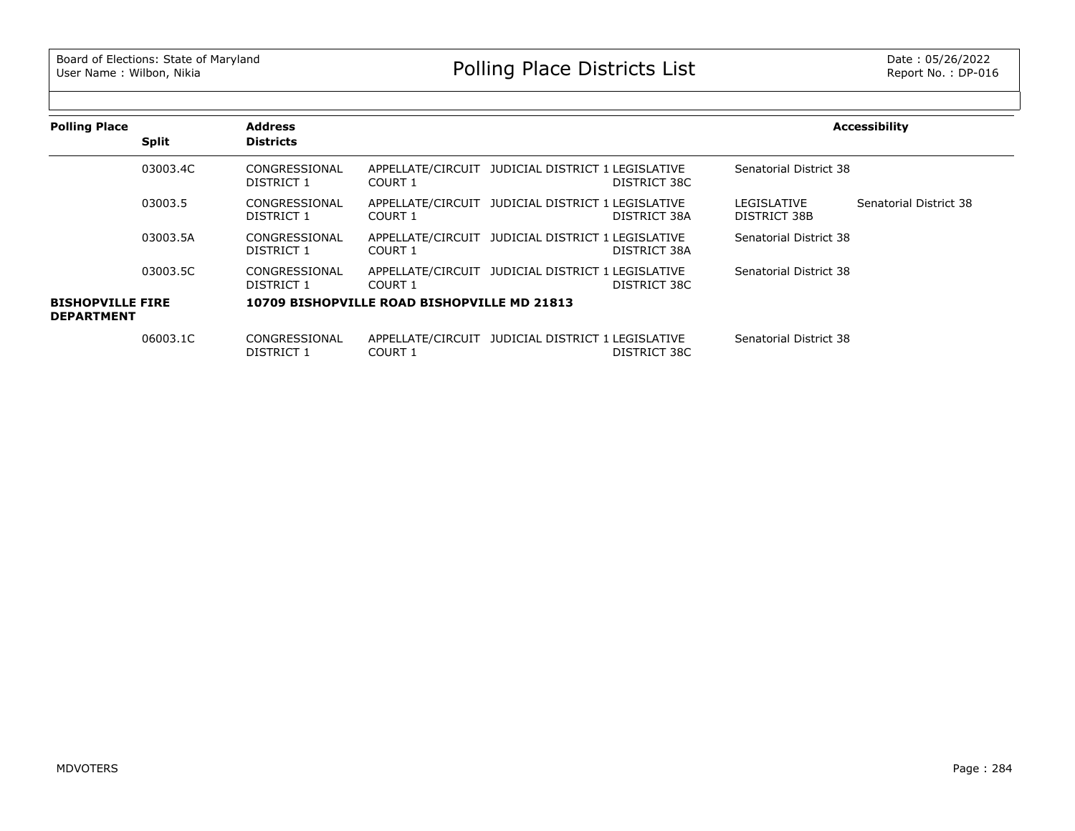| <b>Polling Place</b>                         |              | <b>Address</b>              |                                             |                                                   |              |                             | <b>Accessibility</b>   |
|----------------------------------------------|--------------|-----------------------------|---------------------------------------------|---------------------------------------------------|--------------|-----------------------------|------------------------|
|                                              | <b>Split</b> | <b>Districts</b>            |                                             |                                                   |              |                             |                        |
|                                              | 03003.4C     | CONGRESSIONAL<br>DISTRICT 1 | COURT 1                                     | APPELLATE/CIRCUIT JUDICIAL DISTRICT 1 LEGISLATIVE | DISTRICT 38C | Senatorial District 38      |                        |
|                                              | 03003.5      | CONGRESSIONAL<br>DISTRICT 1 | COURT 1                                     | APPELLATE/CIRCUIT JUDICIAL DISTRICT 1 LEGISLATIVE | DISTRICT 38A | LEGISLATIVE<br>DISTRICT 38B | Senatorial District 38 |
|                                              | 03003.5A     | CONGRESSIONAL<br>DISTRICT 1 | COURT 1                                     | APPELLATE/CIRCUIT JUDICIAL DISTRICT 1 LEGISLATIVE | DISTRICT 38A | Senatorial District 38      |                        |
|                                              | 03003.5C     | CONGRESSIONAL<br>DISTRICT 1 | COURT 1                                     | APPELLATE/CIRCUIT JUDICIAL DISTRICT 1 LEGISLATIVE | DISTRICT 38C | Senatorial District 38      |                        |
| <b>BISHOPVILLE FIRE</b><br><b>DEPARTMENT</b> |              |                             | 10709 BISHOPVILLE ROAD BISHOPVILLE MD 21813 |                                                   |              |                             |                        |
|                                              | 06003.1C     | CONGRESSIONAL<br>DISTRICT 1 | COURT 1                                     | APPELLATE/CIRCUIT JUDICIAL DISTRICT 1 LEGISLATIVE | DISTRICT 38C | Senatorial District 38      |                        |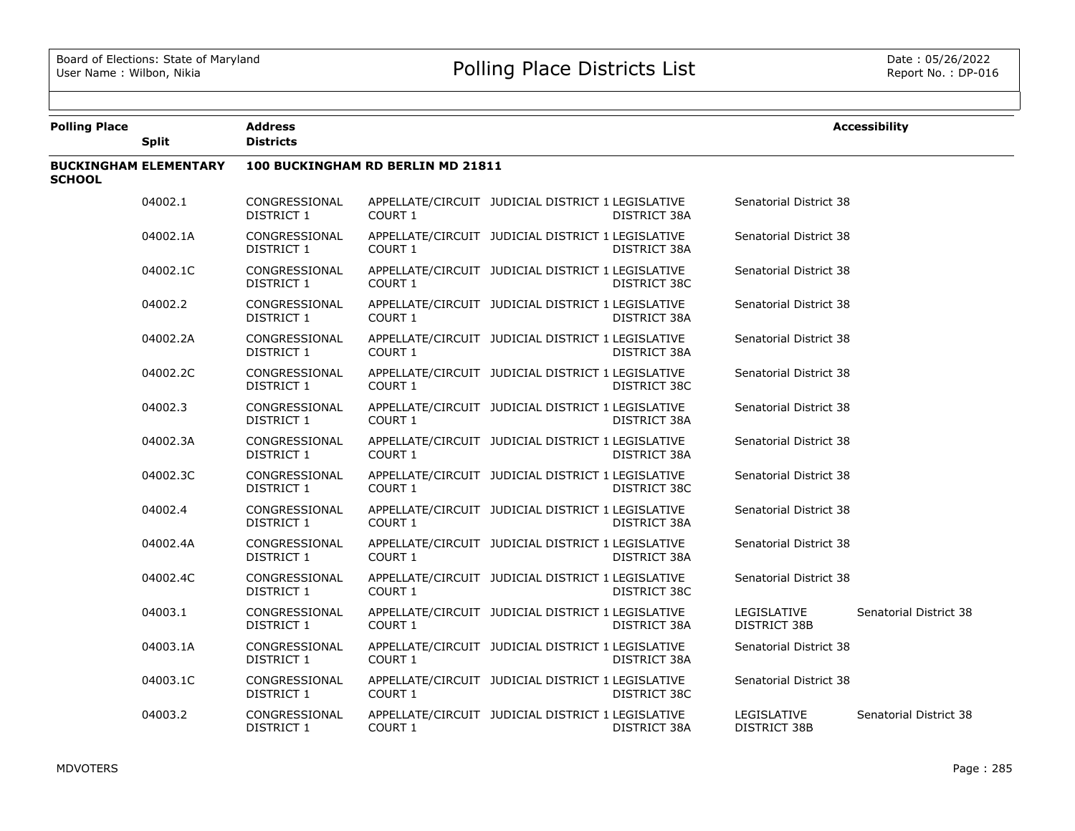| <b>Polling Place</b> | <b>Split</b>                 | <b>Address</b><br><b>Districts</b> |                    |                                                   |              |                             | <b>Accessibility</b>   |  |
|----------------------|------------------------------|------------------------------------|--------------------|---------------------------------------------------|--------------|-----------------------------|------------------------|--|
| <b>SCHOOL</b>        | <b>BUCKINGHAM ELEMENTARY</b> | 100 BUCKINGHAM RD BERLIN MD 21811  |                    |                                                   |              |                             |                        |  |
|                      | 04002.1                      | CONGRESSIONAL<br>DISTRICT 1        | COURT 1            | APPELLATE/CIRCUIT JUDICIAL DISTRICT 1 LEGISLATIVE | DISTRICT 38A | Senatorial District 38      |                        |  |
|                      | 04002.1A                     | CONGRESSIONAL<br>DISTRICT 1        | COURT 1            | APPELLATE/CIRCUIT JUDICIAL DISTRICT 1 LEGISLATIVE | DISTRICT 38A | Senatorial District 38      |                        |  |
|                      | 04002.1C                     | CONGRESSIONAL<br>DISTRICT 1        | COURT <sub>1</sub> | APPELLATE/CIRCUIT JUDICIAL DISTRICT 1 LEGISLATIVE | DISTRICT 38C | Senatorial District 38      |                        |  |
|                      | 04002.2                      | CONGRESSIONAL<br>DISTRICT 1        | <b>COURT 1</b>     | APPELLATE/CIRCUIT JUDICIAL DISTRICT 1 LEGISLATIVE | DISTRICT 38A | Senatorial District 38      |                        |  |
|                      | 04002.2A                     | CONGRESSIONAL<br>DISTRICT 1        | COURT 1            | APPELLATE/CIRCUIT JUDICIAL DISTRICT 1 LEGISLATIVE | DISTRICT 38A | Senatorial District 38      |                        |  |
|                      | 04002.2C                     | CONGRESSIONAL<br>DISTRICT 1        | COURT <sub>1</sub> | APPELLATE/CIRCUIT JUDICIAL DISTRICT 1 LEGISLATIVE | DISTRICT 38C | Senatorial District 38      |                        |  |
|                      | 04002.3                      | CONGRESSIONAL<br>DISTRICT 1        | <b>COURT 1</b>     | APPELLATE/CIRCUIT JUDICIAL DISTRICT 1 LEGISLATIVE | DISTRICT 38A | Senatorial District 38      |                        |  |
|                      | 04002.3A                     | CONGRESSIONAL<br>DISTRICT 1        | COURT 1            | APPELLATE/CIRCUIT JUDICIAL DISTRICT 1 LEGISLATIVE | DISTRICT 38A | Senatorial District 38      |                        |  |
|                      | 04002.3C                     | CONGRESSIONAL<br>DISTRICT 1        | COURT 1            | APPELLATE/CIRCUIT JUDICIAL DISTRICT 1 LEGISLATIVE | DISTRICT 38C | Senatorial District 38      |                        |  |
|                      | 04002.4                      | CONGRESSIONAL<br>DISTRICT 1        | COURT 1            | APPELLATE/CIRCUIT JUDICIAL DISTRICT 1 LEGISLATIVE | DISTRICT 38A | Senatorial District 38      |                        |  |
|                      | 04002.4A                     | CONGRESSIONAL<br>DISTRICT 1        | COURT 1            | APPELLATE/CIRCUIT JUDICIAL DISTRICT 1 LEGISLATIVE | DISTRICT 38A | Senatorial District 38      |                        |  |
|                      | 04002.4C                     | CONGRESSIONAL<br>DISTRICT 1        | <b>COURT 1</b>     | APPELLATE/CIRCUIT JUDICIAL DISTRICT 1 LEGISLATIVE | DISTRICT 38C | Senatorial District 38      |                        |  |
|                      | 04003.1                      | CONGRESSIONAL<br>DISTRICT 1        | COURT 1            | APPELLATE/CIRCUIT JUDICIAL DISTRICT 1 LEGISLATIVE | DISTRICT 38A | LEGISLATIVE<br>DISTRICT 38B | Senatorial District 38 |  |
|                      | 04003.1A                     | CONGRESSIONAL<br>DISTRICT 1        | COURT 1            | APPELLATE/CIRCUIT JUDICIAL DISTRICT 1 LEGISLATIVE | DISTRICT 38A | Senatorial District 38      |                        |  |
|                      | 04003.1C                     | CONGRESSIONAL<br>DISTRICT 1        | COURT 1            | APPELLATE/CIRCUIT JUDICIAL DISTRICT 1 LEGISLATIVE | DISTRICT 38C | Senatorial District 38      |                        |  |
|                      | 04003.2                      | CONGRESSIONAL<br>DISTRICT 1        | <b>COURT 1</b>     | APPELLATE/CIRCUIT JUDICIAL DISTRICT 1 LEGISLATIVE | DISTRICT 38A | LEGISLATIVE<br>DISTRICT 38B | Senatorial District 38 |  |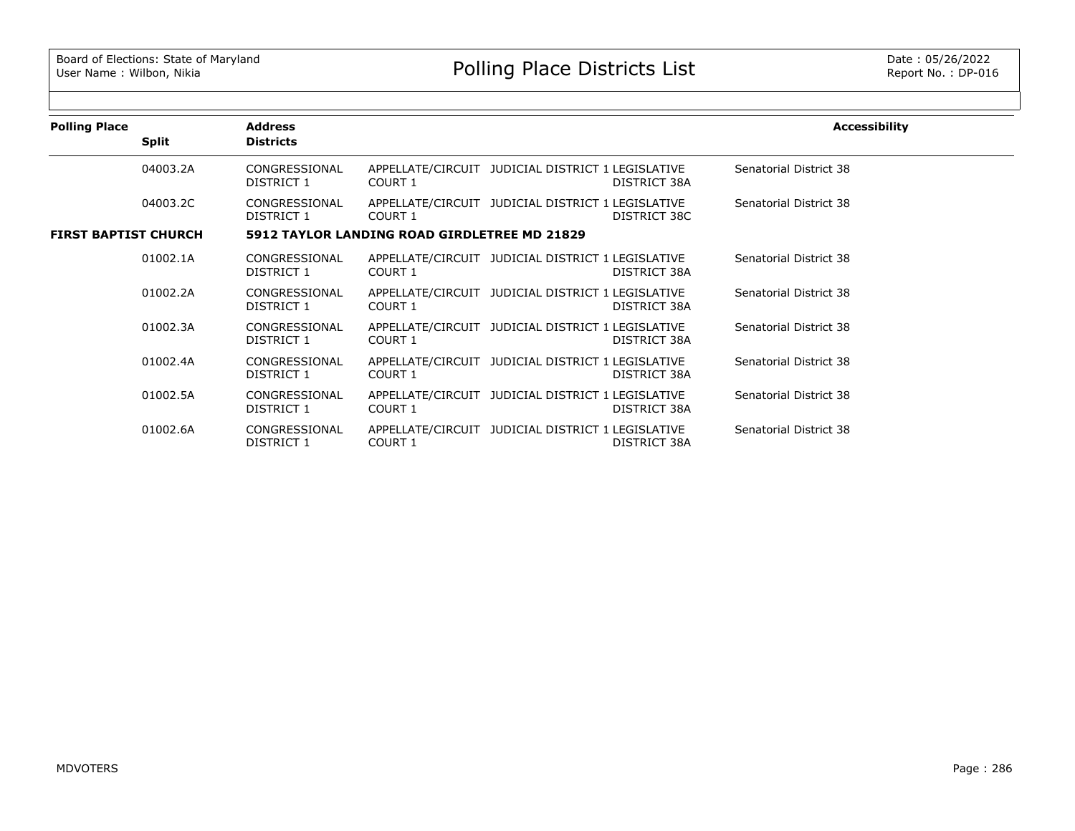| <b>Polling Place</b>        | <b>Split</b> | <b>Address</b><br><b>Districts</b> |                                              |                                                   |              | <b>Accessibility</b>   |
|-----------------------------|--------------|------------------------------------|----------------------------------------------|---------------------------------------------------|--------------|------------------------|
|                             | 04003.2A     | CONGRESSIONAL<br>DISTRICT 1        | COURT 1                                      | APPELLATE/CIRCUIT JUDICIAL DISTRICT 1 LEGISLATIVE | DISTRICT 38A | Senatorial District 38 |
|                             | 04003.2C     | CONGRESSIONAL<br>DISTRICT 1        | COURT 1                                      | APPELLATE/CIRCUIT JUDICIAL DISTRICT 1 LEGISLATIVE | DISTRICT 38C | Senatorial District 38 |
| <b>FIRST BAPTIST CHURCH</b> |              |                                    | 5912 TAYLOR LANDING ROAD GIRDLETREE MD 21829 |                                                   |              |                        |
|                             | 01002.1A     | CONGRESSIONAL<br>DISTRICT 1        | COURT 1                                      | APPELLATE/CIRCUIT JUDICIAL DISTRICT 1 LEGISLATIVE | DISTRICT 38A | Senatorial District 38 |
|                             | 01002.2A     | CONGRESSIONAL<br>DISTRICT 1        | COURT 1                                      | APPELLATE/CIRCUIT JUDICIAL DISTRICT 1 LEGISLATIVE | DISTRICT 38A | Senatorial District 38 |
|                             | 01002.3A     | CONGRESSIONAL<br>DISTRICT 1        | COURT 1                                      | APPELLATE/CIRCUIT JUDICIAL DISTRICT 1 LEGISLATIVE | DISTRICT 38A | Senatorial District 38 |
|                             | 01002.4A     | CONGRESSIONAL<br>DISTRICT 1        | COURT 1                                      | APPELLATE/CIRCUIT JUDICIAL DISTRICT 1 LEGISLATIVE | DISTRICT 38A | Senatorial District 38 |
|                             | 01002.5A     | CONGRESSIONAL<br>DISTRICT 1        | COURT 1                                      | APPELLATE/CIRCUIT JUDICIAL DISTRICT 1 LEGISLATIVE | DISTRICT 38A | Senatorial District 38 |
|                             | 01002.6A     | CONGRESSIONAL<br><b>DISTRICT 1</b> | <b>COURT 1</b>                               | APPELLATE/CIRCUIT JUDICIAL DISTRICT 1 LEGISLATIVE | DISTRICT 38A | Senatorial District 38 |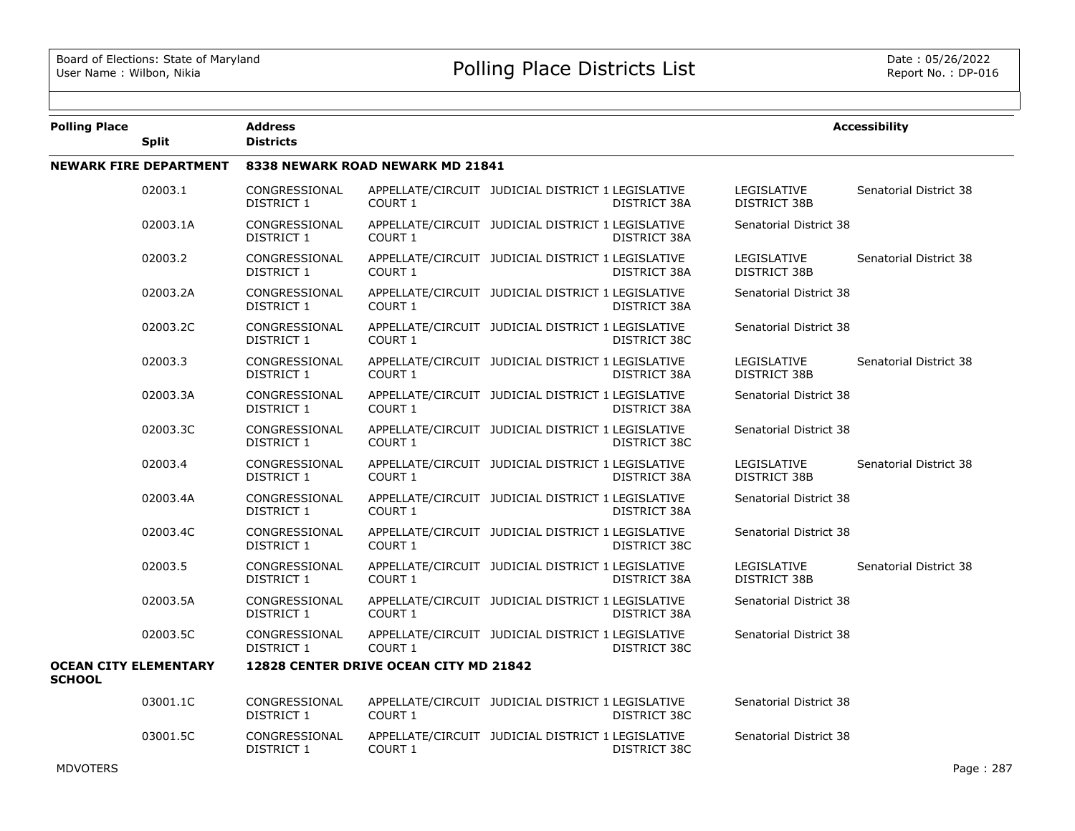| <b>Polling Place</b> | <b>Split</b>                  | <b>Address</b><br><b>Districts</b> |                                        |                                                   |                     |                                    | <b>Accessibility</b>   |
|----------------------|-------------------------------|------------------------------------|----------------------------------------|---------------------------------------------------|---------------------|------------------------------------|------------------------|
|                      | <b>NEWARK FIRE DEPARTMENT</b> |                                    | 8338 NEWARK ROAD NEWARK MD 21841       |                                                   |                     |                                    |                        |
|                      | 02003.1                       | CONGRESSIONAL<br>DISTRICT 1        | COURT 1                                | APPELLATE/CIRCUIT JUDICIAL DISTRICT 1 LEGISLATIVE | DISTRICT 38A        | LEGISLATIVE<br>DISTRICT 38B        | Senatorial District 38 |
|                      | 02003.1A                      | CONGRESSIONAL<br>DISTRICT 1        | <b>COURT 1</b>                         | APPELLATE/CIRCUIT JUDICIAL DISTRICT 1 LEGISLATIVE | DISTRICT 38A        | Senatorial District 38             |                        |
|                      | 02003.2                       | CONGRESSIONAL<br><b>DISTRICT 1</b> | COURT 1                                | APPELLATE/CIRCUIT JUDICIAL DISTRICT 1 LEGISLATIVE | <b>DISTRICT 38A</b> | LEGISLATIVE<br>DISTRICT 38B        | Senatorial District 38 |
|                      | 02003.2A                      | CONGRESSIONAL<br>DISTRICT 1        | <b>COURT 1</b>                         | APPELLATE/CIRCUIT JUDICIAL DISTRICT 1 LEGISLATIVE | DISTRICT 38A        | Senatorial District 38             |                        |
|                      | 02003.2C                      | CONGRESSIONAL<br>DISTRICT 1        | <b>COURT 1</b>                         | APPELLATE/CIRCUIT JUDICIAL DISTRICT 1 LEGISLATIVE | DISTRICT 38C        | Senatorial District 38             |                        |
|                      | 02003.3                       | CONGRESSIONAL<br><b>DISTRICT 1</b> | COURT 1                                | APPELLATE/CIRCUIT JUDICIAL DISTRICT 1 LEGISLATIVE | <b>DISTRICT 38A</b> | LEGISLATIVE<br><b>DISTRICT 38B</b> | Senatorial District 38 |
|                      | 02003.3A                      | CONGRESSIONAL<br>DISTRICT 1        | <b>COURT 1</b>                         | APPELLATE/CIRCUIT JUDICIAL DISTRICT 1 LEGISLATIVE | DISTRICT 38A        | Senatorial District 38             |                        |
|                      | 02003.3C                      | CONGRESSIONAL<br><b>DISTRICT 1</b> | <b>COURT 1</b>                         | APPELLATE/CIRCUIT JUDICIAL DISTRICT 1 LEGISLATIVE | DISTRICT 38C        | Senatorial District 38             |                        |
|                      | 02003.4                       | CONGRESSIONAL<br><b>DISTRICT 1</b> | COURT 1                                | APPELLATE/CIRCUIT JUDICIAL DISTRICT 1 LEGISLATIVE | <b>DISTRICT 38A</b> | LEGISLATIVE<br>DISTRICT 38B        | Senatorial District 38 |
|                      | 02003.4A                      | CONGRESSIONAL<br>DISTRICT 1        | COURT 1                                | APPELLATE/CIRCUIT JUDICIAL DISTRICT 1 LEGISLATIVE | <b>DISTRICT 38A</b> | Senatorial District 38             |                        |
|                      | 02003.4C                      | CONGRESSIONAL<br>DISTRICT 1        | COURT 1                                | APPELLATE/CIRCUIT JUDICIAL DISTRICT 1 LEGISLATIVE | DISTRICT 38C        | Senatorial District 38             |                        |
|                      | 02003.5                       | CONGRESSIONAL<br>DISTRICT 1        | COURT 1                                | APPELLATE/CIRCUIT JUDICIAL DISTRICT 1 LEGISLATIVE | <b>DISTRICT 38A</b> | LEGISLATIVE<br>DISTRICT 38B        | Senatorial District 38 |
|                      | 02003.5A                      | CONGRESSIONAL<br>DISTRICT 1        | COURT 1                                | APPELLATE/CIRCUIT JUDICIAL DISTRICT 1 LEGISLATIVE | DISTRICT 38A        | Senatorial District 38             |                        |
|                      | 02003.5C                      | CONGRESSIONAL<br>DISTRICT 1        | COURT 1                                | APPELLATE/CIRCUIT JUDICIAL DISTRICT 1 LEGISLATIVE | DISTRICT 38C        | Senatorial District 38             |                        |
| <b>SCHOOL</b>        | <b>OCEAN CITY ELEMENTARY</b>  |                                    | 12828 CENTER DRIVE OCEAN CITY MD 21842 |                                                   |                     |                                    |                        |
|                      | 03001.1C                      | CONGRESSIONAL<br>DISTRICT 1        | COURT 1                                | APPELLATE/CIRCUIT JUDICIAL DISTRICT 1 LEGISLATIVE | DISTRICT 38C        | Senatorial District 38             |                        |
|                      | 03001.5C                      | CONGRESSIONAL<br>DISTRICT 1        | COURT 1                                | APPELLATE/CIRCUIT JUDICIAL DISTRICT 1 LEGISLATIVE | DISTRICT 38C        | Senatorial District 38             |                        |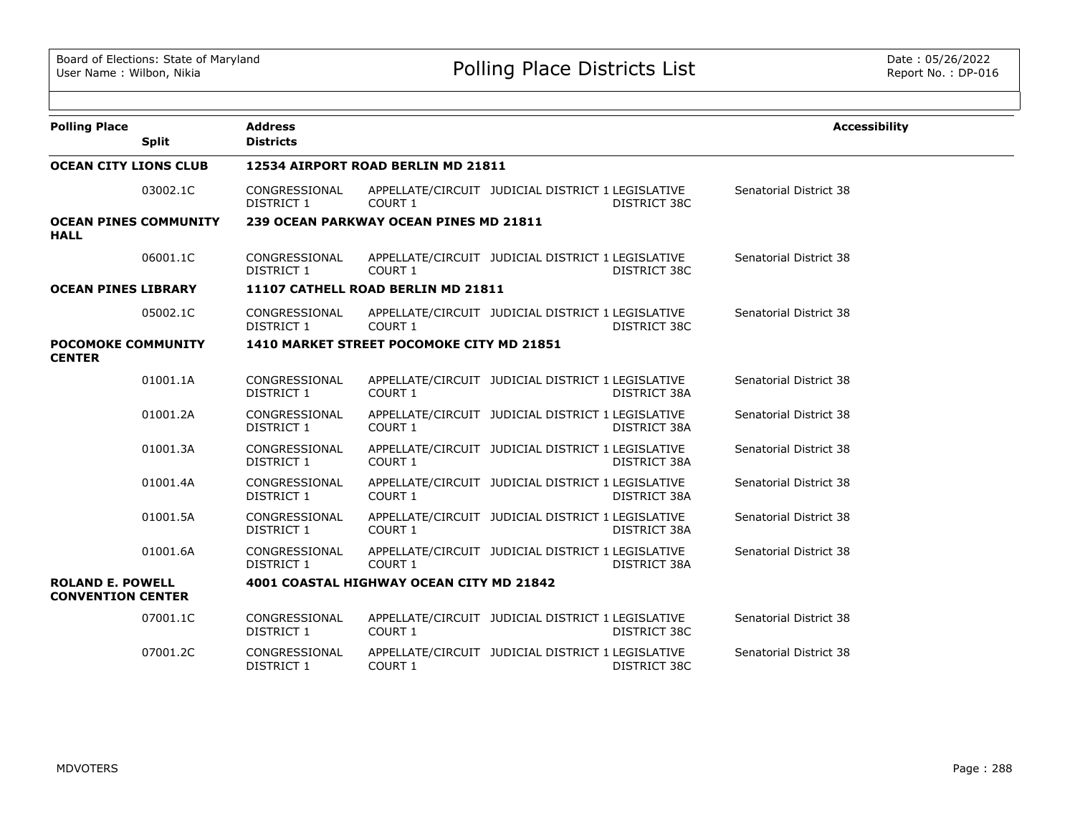| <b>Polling Place</b><br><b>Split</b>                | <b>Address</b><br><b>Districts</b> |                                           |                                                   |                     | <b>Accessibility</b>   |
|-----------------------------------------------------|------------------------------------|-------------------------------------------|---------------------------------------------------|---------------------|------------------------|
| <b>OCEAN CITY LIONS CLUB</b>                        |                                    | 12534 AIRPORT ROAD BERLIN MD 21811        |                                                   |                     |                        |
| 03002.1C                                            | CONGRESSIONAL<br>DISTRICT 1        | COURT 1                                   | APPELLATE/CIRCUIT JUDICIAL DISTRICT 1 LEGISLATIVE | DISTRICT 38C        | Senatorial District 38 |
| <b>OCEAN PINES COMMUNITY</b><br><b>HALL</b>         |                                    | 239 OCEAN PARKWAY OCEAN PINES MD 21811    |                                                   |                     |                        |
| 06001.1C                                            | CONGRESSIONAL<br>DISTRICT 1        | COURT 1                                   | APPELLATE/CIRCUIT JUDICIAL DISTRICT 1 LEGISLATIVE | DISTRICT 38C        | Senatorial District 38 |
| <b>OCEAN PINES LIBRARY</b>                          |                                    | 11107 CATHELL ROAD BERLIN MD 21811        |                                                   |                     |                        |
| 05002.1C                                            | CONGRESSIONAL<br><b>DISTRICT 1</b> | COURT 1                                   | APPELLATE/CIRCUIT JUDICIAL DISTRICT 1 LEGISLATIVE | DISTRICT 38C        | Senatorial District 38 |
| <b>POCOMOKE COMMUNITY</b><br><b>CENTER</b>          |                                    | 1410 MARKET STREET POCOMOKE CITY MD 21851 |                                                   |                     |                        |
| 01001.1A                                            | CONGRESSIONAL<br><b>DISTRICT 1</b> | COURT 1                                   | APPELLATE/CIRCUIT JUDICIAL DISTRICT 1 LEGISLATIVE | DISTRICT 38A        | Senatorial District 38 |
| 01001.2A                                            | CONGRESSIONAL<br>DISTRICT 1        | COURT 1                                   | APPELLATE/CIRCUIT JUDICIAL DISTRICT 1 LEGISLATIVE | DISTRICT 38A        | Senatorial District 38 |
| 01001.3A                                            | CONGRESSIONAL<br>DISTRICT 1        | COURT 1                                   | APPELLATE/CIRCUIT JUDICIAL DISTRICT 1 LEGISLATIVE | DISTRICT 38A        | Senatorial District 38 |
| 01001.4A                                            | CONGRESSIONAL<br>DISTRICT 1        | COURT 1                                   | APPELLATE/CIRCUIT JUDICIAL DISTRICT 1 LEGISLATIVE | DISTRICT 38A        | Senatorial District 38 |
| 01001.5A                                            | CONGRESSIONAL<br>DISTRICT 1        | <b>COURT 1</b>                            | APPELLATE/CIRCUIT JUDICIAL DISTRICT 1 LEGISLATIVE | <b>DISTRICT 38A</b> | Senatorial District 38 |
| 01001.6A                                            | CONGRESSIONAL<br><b>DISTRICT 1</b> | COURT 1                                   | APPELLATE/CIRCUIT JUDICIAL DISTRICT 1 LEGISLATIVE | DISTRICT 38A        | Senatorial District 38 |
| <b>ROLAND E. POWELL</b><br><b>CONVENTION CENTER</b> |                                    | 4001 COASTAL HIGHWAY OCEAN CITY MD 21842  |                                                   |                     |                        |
| 07001.1C                                            | CONGRESSIONAL<br>DISTRICT 1        | COURT 1                                   | APPELLATE/CIRCUIT JUDICIAL DISTRICT 1 LEGISLATIVE | DISTRICT 38C        | Senatorial District 38 |
| 07001.2C                                            | CONGRESSIONAL<br>DISTRICT 1        | COURT 1                                   | APPELLATE/CIRCUIT JUDICIAL DISTRICT 1 LEGISLATIVE | DISTRICT 38C        | Senatorial District 38 |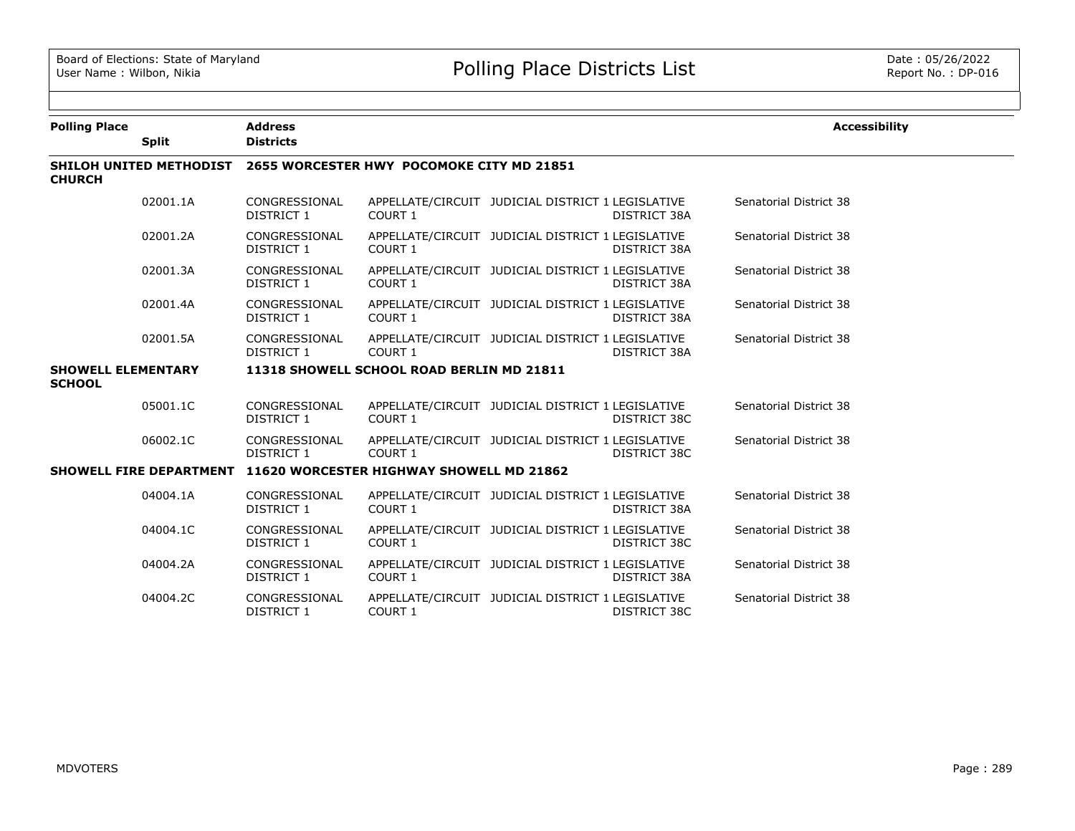| <b>Polling Place</b>                       | <b>Address</b>                                                    |                | <b>Accessibility</b>                                                     |                        |  |  |  |
|--------------------------------------------|-------------------------------------------------------------------|----------------|--------------------------------------------------------------------------|------------------------|--|--|--|
| <b>Split</b>                               | <b>Districts</b>                                                  |                |                                                                          |                        |  |  |  |
| <b>CHURCH</b>                              | SHILOH UNITED METHODIST 2655 WORCESTER HWY POCOMOKE CITY MD 21851 |                |                                                                          |                        |  |  |  |
| 02001.1A                                   | CONGRESSIONAL<br>DISTRICT 1                                       | COURT 1        | APPELLATE/CIRCUIT JUDICIAL DISTRICT 1 LEGISLATIVE<br>DISTRICT 38A        | Senatorial District 38 |  |  |  |
| 02001.2A                                   | CONGRESSIONAL<br>DISTRICT 1                                       | COURT 1        | APPELLATE/CIRCUIT JUDICIAL DISTRICT 1 LEGISLATIVE<br>DISTRICT 38A        | Senatorial District 38 |  |  |  |
| 02001.3A                                   | CONGRESSIONAL<br>DISTRICT 1                                       | COURT 1        | APPELLATE/CIRCUIT JUDICIAL DISTRICT 1 LEGISLATIVE<br>DISTRICT 38A        | Senatorial District 38 |  |  |  |
| 02001.4A                                   | CONGRESSIONAL<br>DISTRICT 1                                       | COURT 1        | APPELLATE/CIRCUIT JUDICIAL DISTRICT 1 LEGISLATIVE<br>DISTRICT 38A        | Senatorial District 38 |  |  |  |
| 02001.5A                                   | CONGRESSIONAL<br>DISTRICT 1                                       | COURT 1        | APPELLATE/CIRCUIT JUDICIAL DISTRICT 1 LEGISLATIVE<br>DISTRICT 38A        | Senatorial District 38 |  |  |  |
| <b>SHOWELL ELEMENTARY</b><br><b>SCHOOL</b> | 11318 SHOWELL SCHOOL ROAD BERLIN MD 21811                         |                |                                                                          |                        |  |  |  |
| 05001.1C                                   | CONGRESSIONAL<br>DISTRICT 1                                       | COURT 1        | APPELLATE/CIRCUIT JUDICIAL DISTRICT 1 LEGISLATIVE<br>DISTRICT 38C        | Senatorial District 38 |  |  |  |
| 06002.1C                                   | CONGRESSIONAL<br>DISTRICT 1                                       | COURT 1        | APPELLATE/CIRCUIT JUDICIAL DISTRICT 1 LEGISLATIVE<br>DISTRICT 38C        | Senatorial District 38 |  |  |  |
|                                            | SHOWELL FIRE DEPARTMENT 11620 WORCESTER HIGHWAY SHOWELL MD 21862  |                |                                                                          |                        |  |  |  |
| 04004.1A                                   | CONGRESSIONAL<br>DISTRICT 1                                       | COURT 1        | APPELLATE/CIRCUIT JUDICIAL DISTRICT 1 LEGISLATIVE<br>DISTRICT 38A        | Senatorial District 38 |  |  |  |
| 04004.1C                                   | CONGRESSIONAL<br>DISTRICT 1                                       | COURT 1        | APPELLATE/CIRCUIT JUDICIAL DISTRICT 1 LEGISLATIVE<br>DISTRICT 38C        | Senatorial District 38 |  |  |  |
| 04004.2A                                   | CONGRESSIONAL<br>DISTRICT 1                                       | COURT 1        | APPELLATE/CIRCUIT JUDICIAL DISTRICT 1 LEGISLATIVE<br>DISTRICT 38A        | Senatorial District 38 |  |  |  |
| 04004.2C                                   | CONGRESSIONAL<br>DISTRICT 1                                       | <b>COURT 1</b> | APPELLATE/CIRCUIT JUDICIAL DISTRICT 1 LEGISLATIVE<br><b>DISTRICT 38C</b> | Senatorial District 38 |  |  |  |